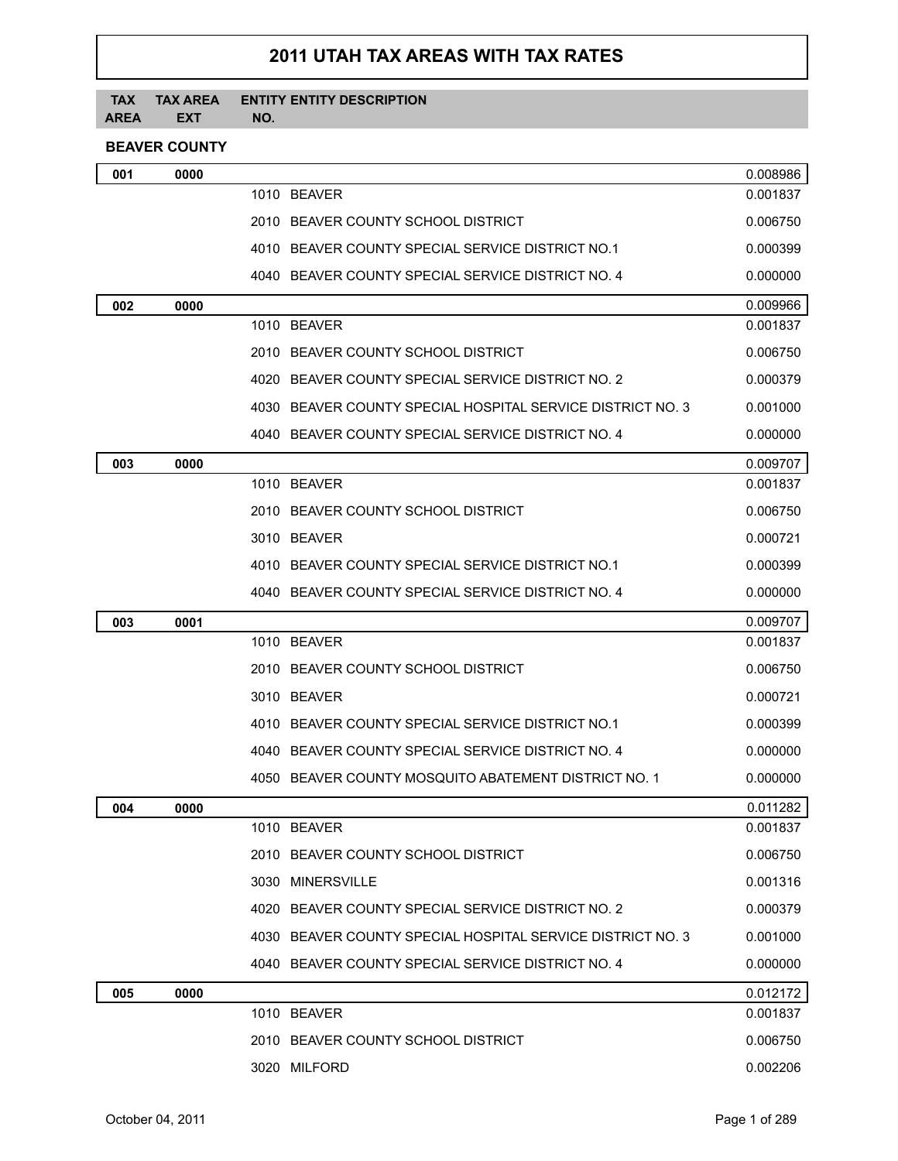## **2011 UTAH TAX AREAS WITH TAX RATES**

## **TAX TAX AREA AREA EXT ENTITY ENTITY DESCRIPTION NO.**

## **BEAVER COUNTY**

| 001 | 0000 |                                                            | 0.008986 |
|-----|------|------------------------------------------------------------|----------|
|     |      | 1010 BEAVER                                                | 0.001837 |
|     |      | 2010 BEAVER COUNTY SCHOOL DISTRICT                         | 0.006750 |
|     |      | 4010 BEAVER COUNTY SPECIAL SERVICE DISTRICT NO.1           | 0.000399 |
|     |      | 4040 BEAVER COUNTY SPECIAL SERVICE DISTRICT NO. 4          | 0.000000 |
| 002 | 0000 |                                                            | 0.009966 |
|     |      | 1010 BEAVER                                                | 0.001837 |
|     |      | 2010 BEAVER COUNTY SCHOOL DISTRICT                         | 0.006750 |
|     |      | 4020 BEAVER COUNTY SPECIAL SERVICE DISTRICT NO. 2          | 0.000379 |
|     |      | 4030 BEAVER COUNTY SPECIAL HOSPITAL SERVICE DISTRICT NO. 3 | 0.001000 |
|     |      | 4040 BEAVER COUNTY SPECIAL SERVICE DISTRICT NO. 4          | 0.000000 |
| 003 | 0000 |                                                            | 0.009707 |
|     |      | 1010 BEAVER                                                | 0.001837 |
|     |      | 2010 BEAVER COUNTY SCHOOL DISTRICT                         | 0.006750 |
|     |      | 3010 BEAVER                                                | 0.000721 |
|     |      | 4010 BEAVER COUNTY SPECIAL SERVICE DISTRICT NO.1           | 0.000399 |
|     |      | 4040 BEAVER COUNTY SPECIAL SERVICE DISTRICT NO. 4          | 0.000000 |
| 003 | 0001 |                                                            | 0.009707 |
|     |      | 1010 BEAVER                                                | 0.001837 |
|     |      | 2010 BEAVER COUNTY SCHOOL DISTRICT                         | 0.006750 |
|     |      | 3010 BEAVER                                                | 0.000721 |
|     |      | 4010 BEAVER COUNTY SPECIAL SERVICE DISTRICT NO.1           | 0.000399 |
|     |      | 4040 BEAVER COUNTY SPECIAL SERVICE DISTRICT NO. 4          | 0.000000 |
|     |      | 4050 BEAVER COUNTY MOSQUITO ABATEMENT DISTRICT NO. 1       | 0.000000 |
| 004 | 0000 |                                                            | 0.011282 |
|     |      | 1010 BEAVER                                                | 0.001837 |
|     |      | 2010 BEAVER COUNTY SCHOOL DISTRICT                         | 0.006750 |
|     |      | 3030 MINERSVILLE                                           | 0.001316 |
|     |      | 4020 BEAVER COUNTY SPECIAL SERVICE DISTRICT NO. 2          | 0.000379 |
|     |      | 4030 BEAVER COUNTY SPECIAL HOSPITAL SERVICE DISTRICT NO. 3 | 0.001000 |
|     |      | 4040 BEAVER COUNTY SPECIAL SERVICE DISTRICT NO. 4          | 0.000000 |
| 005 | 0000 |                                                            | 0.012172 |
|     |      | 1010 BEAVER                                                | 0.001837 |
|     |      | 2010 BEAVER COUNTY SCHOOL DISTRICT                         | 0.006750 |
|     |      | 3020 MILFORD                                               | 0.002206 |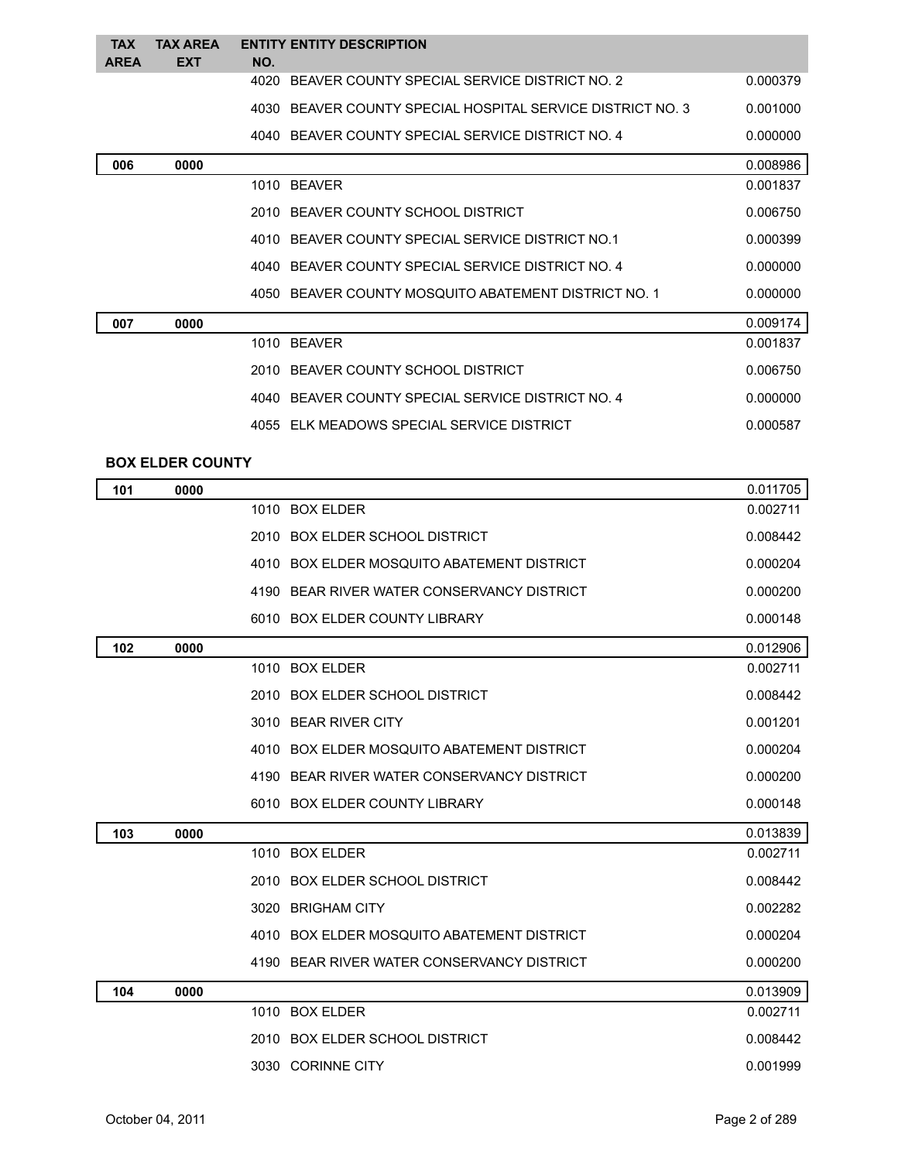| <b>TAX</b>  | <b>TAX AREA</b> | <b>ENTITY ENTITY DESCRIPTION</b>                           |          |
|-------------|-----------------|------------------------------------------------------------|----------|
| <b>AREA</b> | <b>EXT</b>      | NO.                                                        |          |
|             |                 | 4020 BEAVER COUNTY SPECIAL SERVICE DISTRICT NO. 2          | 0.000379 |
|             |                 | 4030 BEAVER COUNTY SPECIAL HOSPITAL SERVICE DISTRICT NO. 3 | 0.001000 |
|             |                 | 4040 BEAVER COUNTY SPECIAL SERVICE DISTRICT NO. 4          | 0.000000 |
| 006         | 0000            |                                                            | 0.008986 |
|             |                 | 1010 BEAVER                                                | 0.001837 |
|             |                 | 2010 BEAVER COUNTY SCHOOL DISTRICT                         | 0.006750 |
|             |                 | 4010 BEAVER COUNTY SPECIAL SERVICE DISTRICT NO.1           | 0.000399 |
|             |                 | 4040 BEAVER COUNTY SPECIAL SERVICE DISTRICT NO. 4          | 0.000000 |
|             |                 | 4050 BEAVER COUNTY MOSQUITO ABATEMENT DISTRICT NO. 1       | 0.000000 |
| 007         | 0000            |                                                            | 0.009174 |
|             |                 | 1010 BEAVER                                                | 0.001837 |
|             |                 | 2010 BEAVER COUNTY SCHOOL DISTRICT                         | 0.006750 |
|             |                 | 4040 BEAVER COUNTY SPECIAL SERVICE DISTRICT NO. 4          | 0.000000 |
|             |                 | 4055 ELK MEADOWS SPECIAL SERVICE DISTRICT                  | 0.000587 |

## **BOX ELDER COUNTY**

| 101 | 0000 |                                            | 0.011705 |
|-----|------|--------------------------------------------|----------|
|     |      | 1010 BOX ELDER                             | 0.002711 |
|     |      | 2010 BOX ELDER SCHOOL DISTRICT             | 0.008442 |
|     |      | 4010 BOX ELDER MOSQUITO ABATEMENT DISTRICT | 0.000204 |
|     |      | 4190 BEAR RIVER WATER CONSERVANCY DISTRICT | 0.000200 |
|     |      | 6010 BOX ELDER COUNTY LIBRARY              | 0.000148 |
| 102 | 0000 |                                            | 0.012906 |
|     |      | 1010 BOX ELDER                             | 0.002711 |
|     |      | 2010 BOX ELDER SCHOOL DISTRICT             | 0.008442 |
|     |      | 3010 BEAR RIVER CITY                       | 0.001201 |
|     |      | 4010 BOX ELDER MOSQUITO ABATEMENT DISTRICT | 0.000204 |
|     |      | 4190 BEAR RIVER WATER CONSERVANCY DISTRICT | 0.000200 |
|     |      | 6010 BOX ELDER COUNTY LIBRARY              | 0.000148 |
| 103 | 0000 |                                            | 0.013839 |
|     |      | 1010 BOX ELDER                             | 0.002711 |
|     |      | 2010 BOX ELDER SCHOOL DISTRICT             | 0.008442 |
|     |      | 3020 BRIGHAM CITY                          | 0.002282 |
|     |      | 4010 BOX ELDER MOSQUITO ABATEMENT DISTRICT | 0.000204 |
|     |      | 4190 BEAR RIVER WATER CONSERVANCY DISTRICT | 0.000200 |
| 104 | 0000 |                                            | 0.013909 |
|     |      | 1010 BOX ELDER                             | 0.002711 |
|     |      | 2010 BOX ELDER SCHOOL DISTRICT             | 0.008442 |
|     |      | 3030 CORINNE CITY                          | 0.001999 |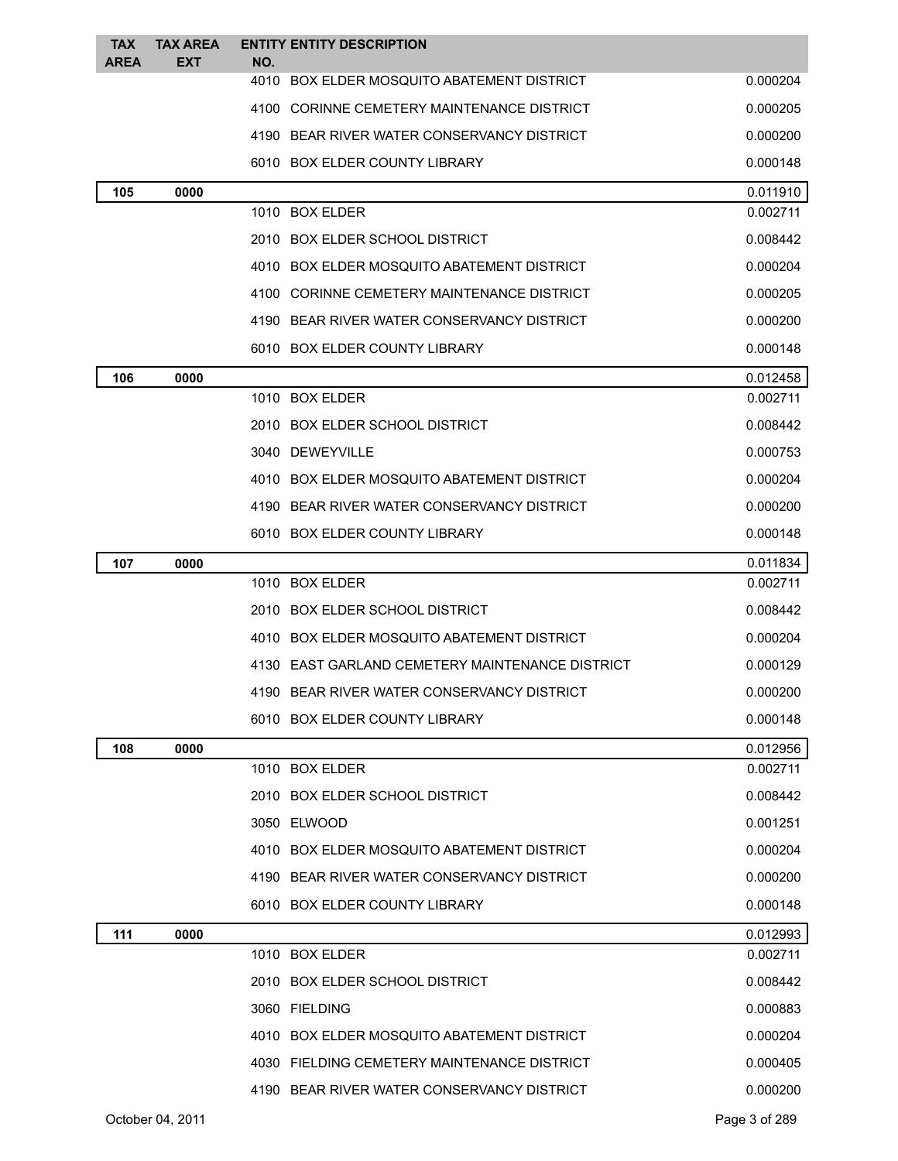| <b>TAX</b><br><b>AREA</b> | <b>TAX AREA</b><br>EXT | NO. | <b>ENTITY ENTITY DESCRIPTION</b>                |          |
|---------------------------|------------------------|-----|-------------------------------------------------|----------|
|                           |                        |     | 4010 BOX ELDER MOSQUITO ABATEMENT DISTRICT      | 0.000204 |
|                           |                        |     | 4100 CORINNE CEMETERY MAINTENANCE DISTRICT      | 0.000205 |
|                           |                        |     | 4190 BEAR RIVER WATER CONSERVANCY DISTRICT      | 0.000200 |
|                           |                        |     | 6010 BOX ELDER COUNTY LIBRARY                   | 0.000148 |
| 105                       | 0000                   |     |                                                 | 0.011910 |
|                           |                        |     | 1010 BOX ELDER                                  | 0.002711 |
|                           |                        |     | 2010 BOX ELDER SCHOOL DISTRICT                  | 0.008442 |
|                           |                        |     | 4010 BOX ELDER MOSQUITO ABATEMENT DISTRICT      | 0.000204 |
|                           |                        |     | 4100 CORINNE CEMETERY MAINTENANCE DISTRICT      | 0.000205 |
|                           |                        |     | 4190 BEAR RIVER WATER CONSERVANCY DISTRICT      | 0.000200 |
|                           |                        |     | 6010 BOX ELDER COUNTY LIBRARY                   | 0.000148 |
| 106                       | 0000                   |     |                                                 | 0.012458 |
|                           |                        |     | 1010 BOX ELDER                                  | 0.002711 |
|                           |                        |     | 2010 BOX ELDER SCHOOL DISTRICT                  | 0.008442 |
|                           |                        |     | 3040 DEWEYVILLE                                 | 0.000753 |
|                           |                        |     | 4010 BOX ELDER MOSQUITO ABATEMENT DISTRICT      | 0.000204 |
|                           |                        |     | 4190 BEAR RIVER WATER CONSERVANCY DISTRICT      | 0.000200 |
|                           |                        |     | 6010 BOX ELDER COUNTY LIBRARY                   | 0.000148 |
| 107                       | 0000                   |     |                                                 | 0.011834 |
|                           |                        |     | 1010 BOX ELDER                                  | 0.002711 |
|                           |                        |     | 2010 BOX ELDER SCHOOL DISTRICT                  | 0.008442 |
|                           |                        |     | 4010 BOX ELDER MOSQUITO ABATEMENT DISTRICT      | 0.000204 |
|                           |                        |     | 4130 EAST GARLAND CEMETERY MAINTENANCE DISTRICT | 0.000129 |
|                           |                        |     | 4190 BEAR RIVER WATER CONSERVANCY DISTRICT      | 0.000200 |
|                           |                        |     | 6010 BOX ELDER COUNTY LIBRARY                   | 0.000148 |
| 108                       | 0000                   |     |                                                 | 0.012956 |
|                           |                        |     | 1010 BOX ELDER                                  | 0.002711 |
|                           |                        |     | 2010 BOX ELDER SCHOOL DISTRICT                  | 0.008442 |
|                           |                        |     | 3050 ELWOOD                                     | 0.001251 |
|                           |                        |     | 4010 BOX ELDER MOSQUITO ABATEMENT DISTRICT      | 0.000204 |
|                           |                        |     | 4190 BEAR RIVER WATER CONSERVANCY DISTRICT      | 0.000200 |
|                           |                        |     | 6010 BOX ELDER COUNTY LIBRARY                   | 0.000148 |
| 111                       | 0000                   |     |                                                 | 0.012993 |
|                           |                        |     | 1010 BOX ELDER                                  | 0.002711 |
|                           |                        |     | 2010 BOX ELDER SCHOOL DISTRICT                  | 0.008442 |
|                           |                        |     | 3060 FIELDING                                   | 0.000883 |
|                           |                        |     | 4010 BOX ELDER MOSQUITO ABATEMENT DISTRICT      | 0.000204 |
|                           |                        |     | 4030 FIELDING CEMETERY MAINTENANCE DISTRICT     | 0.000405 |
|                           |                        |     | 4190 BEAR RIVER WATER CONSERVANCY DISTRICT      | 0.000200 |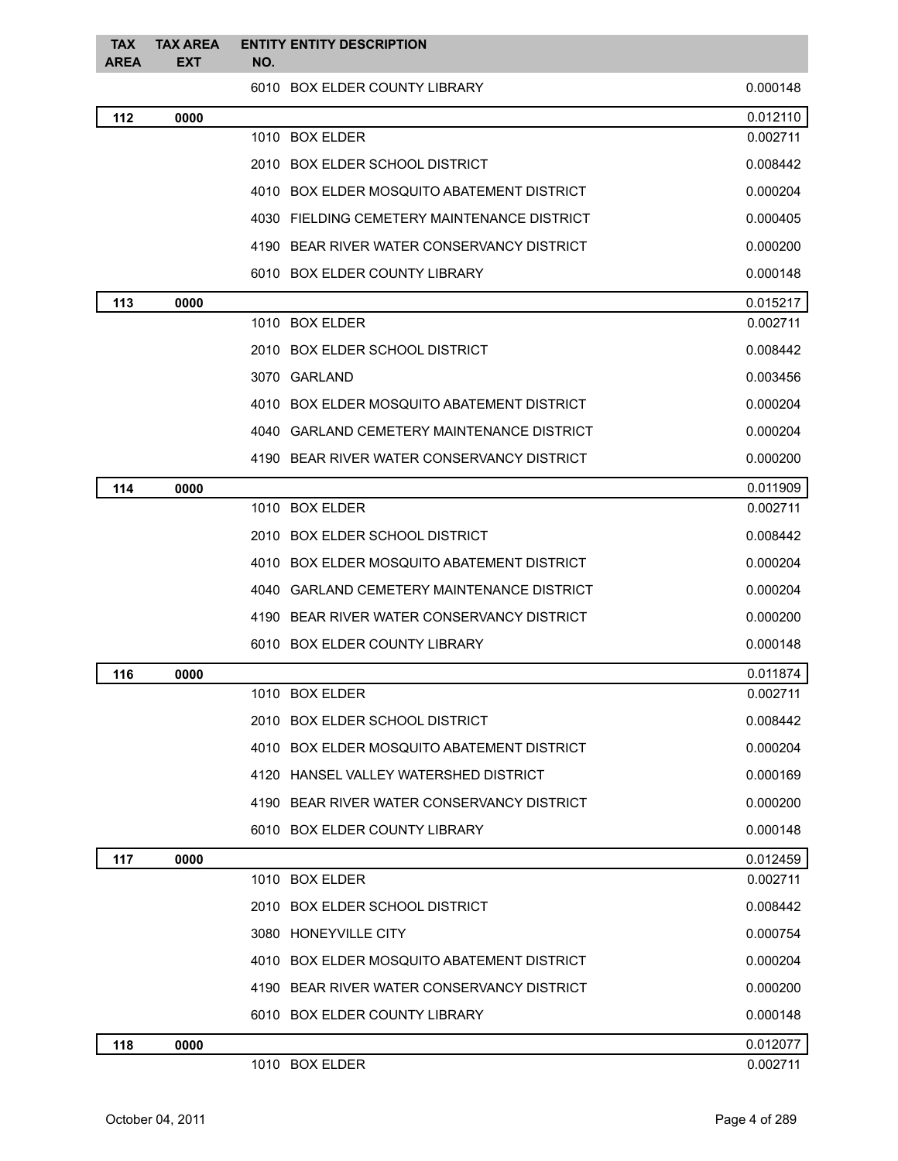| <b>TAX</b><br><b>AREA</b> | <b>TAX AREA</b><br><b>EXT</b> | <b>ENTITY ENTITY DESCRIPTION</b><br>NO.     |          |
|---------------------------|-------------------------------|---------------------------------------------|----------|
|                           |                               | 6010 BOX ELDER COUNTY LIBRARY               | 0.000148 |
| 112                       | 0000                          |                                             | 0.012110 |
|                           |                               | 1010 BOX ELDER                              | 0.002711 |
|                           |                               | 2010 BOX ELDER SCHOOL DISTRICT              | 0.008442 |
|                           |                               | 4010 BOX ELDER MOSQUITO ABATEMENT DISTRICT  | 0.000204 |
|                           |                               | 4030 FIELDING CEMETERY MAINTENANCE DISTRICT | 0.000405 |
|                           |                               | 4190 BEAR RIVER WATER CONSERVANCY DISTRICT  | 0.000200 |
|                           |                               | 6010 BOX ELDER COUNTY LIBRARY               | 0.000148 |
| 113                       | 0000                          |                                             | 0.015217 |
|                           |                               | 1010 BOX ELDER                              | 0.002711 |
|                           |                               | 2010 BOX ELDER SCHOOL DISTRICT              | 0.008442 |
|                           |                               | 3070 GARLAND                                | 0.003456 |
|                           |                               | 4010 BOX ELDER MOSQUITO ABATEMENT DISTRICT  | 0.000204 |
|                           |                               | 4040 GARLAND CEMETERY MAINTENANCE DISTRICT  | 0.000204 |
|                           |                               | 4190 BEAR RIVER WATER CONSERVANCY DISTRICT  | 0.000200 |
| 114                       | 0000                          |                                             | 0.011909 |
|                           |                               | 1010 BOX ELDER                              | 0.002711 |
|                           |                               | 2010 BOX ELDER SCHOOL DISTRICT              | 0.008442 |
|                           |                               | 4010 BOX ELDER MOSQUITO ABATEMENT DISTRICT  | 0.000204 |
|                           |                               | 4040 GARLAND CEMETERY MAINTENANCE DISTRICT  | 0.000204 |
|                           |                               | 4190 BEAR RIVER WATER CONSERVANCY DISTRICT  | 0.000200 |
|                           |                               | 6010 BOX ELDER COUNTY LIBRARY               | 0.000148 |
| 116                       | 0000                          |                                             | 0.011874 |
|                           |                               | 1010 BOX ELDER                              | 0.002711 |
|                           |                               | 2010 BOX ELDER SCHOOL DISTRICT              | 0.008442 |
|                           |                               | 4010 BOX ELDER MOSQUITO ABATEMENT DISTRICT  | 0.000204 |
|                           |                               | 4120 HANSEL VALLEY WATERSHED DISTRICT       | 0.000169 |
|                           |                               | 4190 BEAR RIVER WATER CONSERVANCY DISTRICT  | 0.000200 |
|                           |                               | 6010 BOX ELDER COUNTY LIBRARY               | 0.000148 |
| 117                       | 0000                          |                                             | 0.012459 |
|                           |                               | 1010 BOX ELDER                              | 0.002711 |
|                           |                               | 2010 BOX ELDER SCHOOL DISTRICT              | 0.008442 |
|                           |                               | 3080 HONEYVILLE CITY                        | 0.000754 |
|                           |                               | 4010 BOX ELDER MOSQUITO ABATEMENT DISTRICT  | 0.000204 |
|                           |                               | 4190 BEAR RIVER WATER CONSERVANCY DISTRICT  | 0.000200 |
|                           |                               | 6010 BOX ELDER COUNTY LIBRARY               | 0.000148 |
| 118                       | 0000                          |                                             | 0.012077 |
|                           |                               | 1010 BOX ELDER                              | 0.002711 |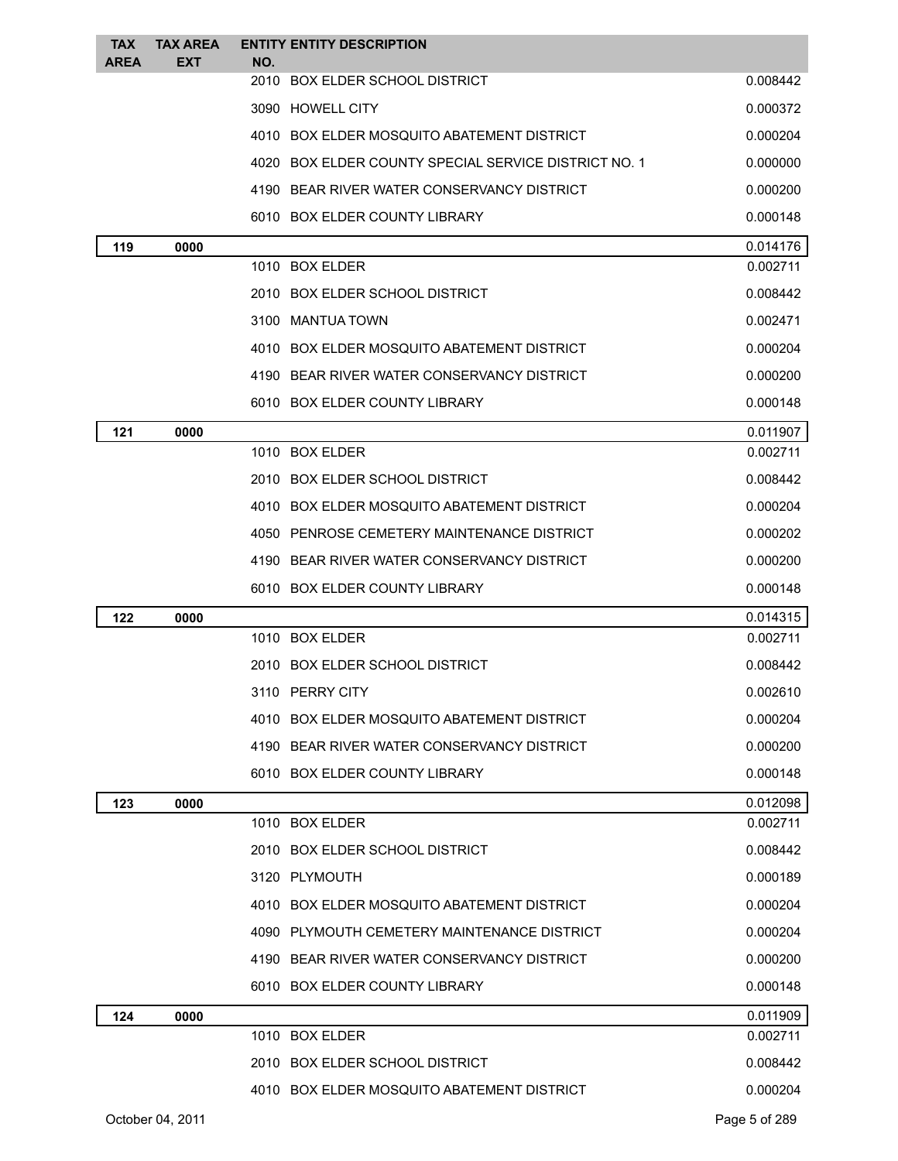| <b>TAX</b>  | <b>TAX AREA</b>  |     | <b>ENTITY ENTITY DESCRIPTION</b>                     |               |
|-------------|------------------|-----|------------------------------------------------------|---------------|
| <b>AREA</b> | <b>EXT</b>       | NO. | 2010 BOX ELDER SCHOOL DISTRICT                       | 0.008442      |
|             |                  |     | 3090 HOWELL CITY                                     | 0.000372      |
|             |                  |     | 4010 BOX ELDER MOSQUITO ABATEMENT DISTRICT           | 0.000204      |
|             |                  |     | 4020 BOX ELDER COUNTY SPECIAL SERVICE DISTRICT NO. 1 | 0.000000      |
|             |                  |     | 4190 BEAR RIVER WATER CONSERVANCY DISTRICT           | 0.000200      |
|             |                  |     | 6010 BOX ELDER COUNTY LIBRARY                        | 0.000148      |
| 119         | 0000             |     |                                                      | 0.014176      |
|             |                  |     | 1010 BOX ELDER                                       | 0.002711      |
|             |                  |     | 2010 BOX ELDER SCHOOL DISTRICT                       | 0.008442      |
|             |                  |     | 3100 MANTUA TOWN                                     | 0.002471      |
|             |                  |     | 4010 BOX ELDER MOSQUITO ABATEMENT DISTRICT           | 0.000204      |
|             |                  |     | 4190 BEAR RIVER WATER CONSERVANCY DISTRICT           | 0.000200      |
|             |                  |     | 6010 BOX ELDER COUNTY LIBRARY                        | 0.000148      |
| 121         | 0000             |     |                                                      | 0.011907      |
|             |                  |     | 1010 BOX ELDER                                       | 0.002711      |
|             |                  |     | 2010 BOX ELDER SCHOOL DISTRICT                       | 0.008442      |
|             |                  |     | 4010 BOX ELDER MOSQUITO ABATEMENT DISTRICT           | 0.000204      |
|             |                  |     | 4050 PENROSE CEMETERY MAINTENANCE DISTRICT           | 0.000202      |
|             |                  |     | 4190 BEAR RIVER WATER CONSERVANCY DISTRICT           | 0.000200      |
|             |                  |     | 6010 BOX ELDER COUNTY LIBRARY                        | 0.000148      |
| 122         | 0000             |     |                                                      | 0.014315      |
|             |                  |     | 1010 BOX ELDER                                       | 0.002711      |
|             |                  |     | 2010 BOX ELDER SCHOOL DISTRICT                       | 0.008442      |
|             |                  |     | 3110 PERRY CITY                                      | 0.002610      |
|             |                  |     | 4010 BOX ELDER MOSQUITO ABATEMENT DISTRICT           | 0.000204      |
|             |                  |     | 4190 BEAR RIVER WATER CONSERVANCY DISTRICT           | 0.000200      |
|             |                  |     | 6010 BOX ELDER COUNTY LIBRARY                        | 0.000148      |
| 123         | 0000             |     |                                                      | 0.012098      |
|             |                  |     | 1010 BOX ELDER                                       | 0.002711      |
|             |                  |     | 2010 BOX ELDER SCHOOL DISTRICT                       | 0.008442      |
|             |                  |     | 3120 PLYMOUTH                                        | 0.000189      |
|             |                  |     | 4010 BOX ELDER MOSQUITO ABATEMENT DISTRICT           | 0.000204      |
|             |                  |     | 4090 PLYMOUTH CEMETERY MAINTENANCE DISTRICT          | 0.000204      |
|             |                  |     | 4190 BEAR RIVER WATER CONSERVANCY DISTRICT           | 0.000200      |
|             |                  |     | 6010 BOX ELDER COUNTY LIBRARY                        | 0.000148      |
| 124         | 0000             |     |                                                      | 0.011909      |
|             |                  |     | 1010 BOX ELDER                                       | 0.002711      |
|             |                  |     | 2010 BOX ELDER SCHOOL DISTRICT                       | 0.008442      |
|             |                  |     | 4010 BOX ELDER MOSQUITO ABATEMENT DISTRICT           | 0.000204      |
|             | October 04, 2011 |     |                                                      | Page 5 of 289 |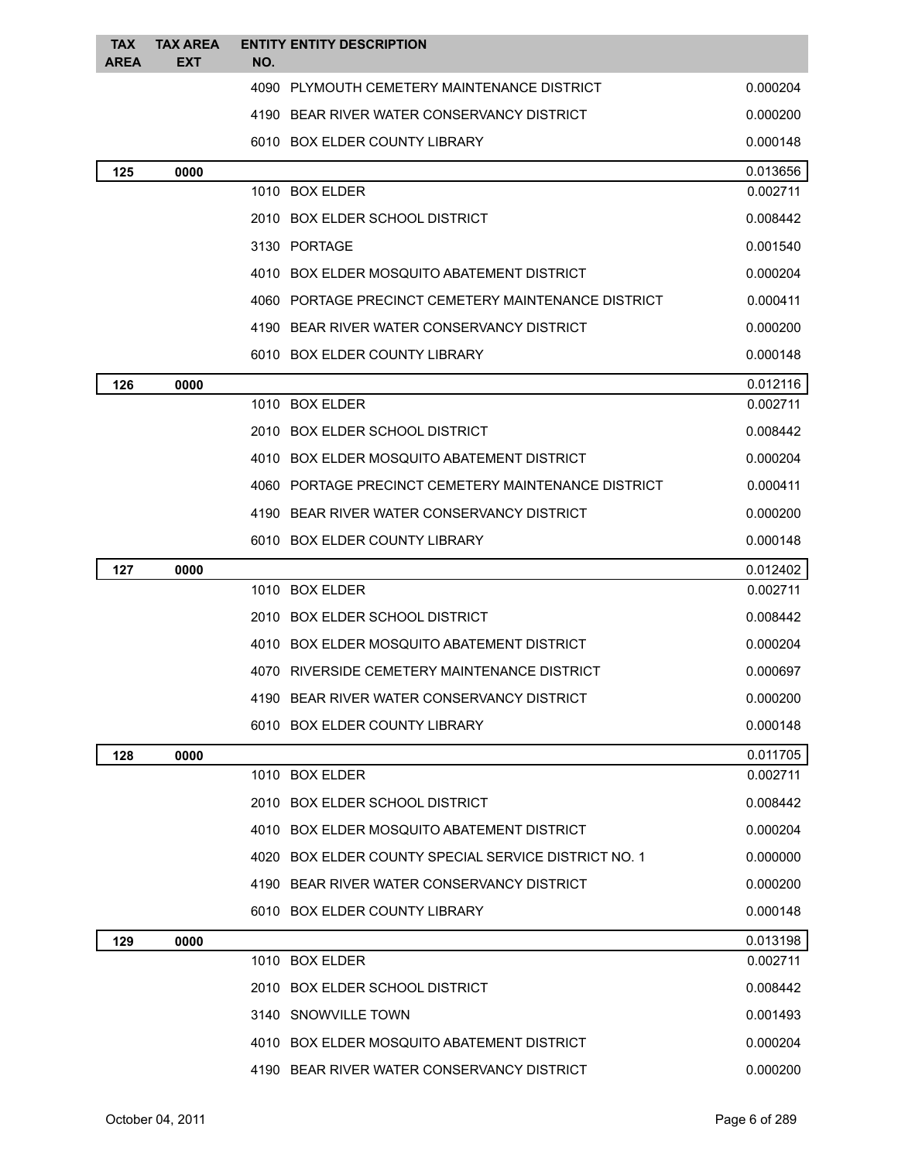| <b>TAX</b> | <b>TAX AREA</b> |     | <b>ENTITY ENTITY DESCRIPTION</b>                     |          |
|------------|-----------------|-----|------------------------------------------------------|----------|
| AREA       | EXT             | NO. |                                                      |          |
|            |                 |     | 4090 PLYMOUTH CEMETERY MAINTENANCE DISTRICT          | 0.000204 |
|            |                 |     | 4190 BEAR RIVER WATER CONSERVANCY DISTRICT           | 0.000200 |
|            |                 |     | 6010 BOX ELDER COUNTY LIBRARY                        | 0.000148 |
| 125        | 0000            |     |                                                      | 0.013656 |
|            |                 |     | 1010 BOX ELDER                                       | 0.002711 |
|            |                 |     | 2010 BOX ELDER SCHOOL DISTRICT                       | 0.008442 |
|            |                 |     | 3130 PORTAGE                                         | 0.001540 |
|            |                 |     | 4010 BOX ELDER MOSQUITO ABATEMENT DISTRICT           | 0.000204 |
|            |                 |     | 4060 PORTAGE PRECINCT CEMETERY MAINTENANCE DISTRICT  | 0.000411 |
|            |                 |     | 4190 BEAR RIVER WATER CONSERVANCY DISTRICT           | 0.000200 |
|            |                 |     | 6010 BOX ELDER COUNTY LIBRARY                        | 0.000148 |
| 126        | 0000            |     |                                                      | 0.012116 |
|            |                 |     | 1010 BOX ELDER                                       | 0.002711 |
|            |                 |     | 2010 BOX ELDER SCHOOL DISTRICT                       | 0.008442 |
|            |                 |     | 4010 BOX ELDER MOSQUITO ABATEMENT DISTRICT           | 0.000204 |
|            |                 |     | 4060 PORTAGE PRECINCT CEMETERY MAINTENANCE DISTRICT  | 0.000411 |
|            |                 |     | 4190 BEAR RIVER WATER CONSERVANCY DISTRICT           | 0.000200 |
|            |                 |     | 6010 BOX ELDER COUNTY LIBRARY                        | 0.000148 |
| 127        | 0000            |     |                                                      | 0.012402 |
|            |                 |     | 1010 BOX ELDER                                       | 0.002711 |
|            |                 |     | 2010 BOX ELDER SCHOOL DISTRICT                       | 0.008442 |
|            |                 |     | 4010 BOX ELDER MOSQUITO ABATEMENT DISTRICT           | 0.000204 |
|            |                 |     | 4070 RIVERSIDE CEMETERY MAINTENANCE DISTRICT         | 0.000697 |
|            |                 |     | 4190 BEAR RIVER WATER CONSERVANCY DISTRICT           | 0.000200 |
|            |                 |     | 6010 BOX ELDER COUNTY LIBRARY                        | 0.000148 |
| 128        | 0000            |     |                                                      | 0.011705 |
|            |                 |     | 1010 BOX ELDER                                       | 0.002711 |
|            |                 |     | 2010 BOX ELDER SCHOOL DISTRICT                       | 0.008442 |
|            |                 |     | 4010 BOX ELDER MOSQUITO ABATEMENT DISTRICT           | 0.000204 |
|            |                 |     | 4020 BOX ELDER COUNTY SPECIAL SERVICE DISTRICT NO. 1 | 0.000000 |
|            |                 |     | 4190 BEAR RIVER WATER CONSERVANCY DISTRICT           | 0.000200 |
|            |                 |     | 6010 BOX ELDER COUNTY LIBRARY                        | 0.000148 |
| 129        | 0000            |     |                                                      | 0.013198 |
|            |                 |     | 1010 BOX ELDER                                       | 0.002711 |
|            |                 |     | 2010 BOX ELDER SCHOOL DISTRICT                       | 0.008442 |
|            |                 |     | 3140 SNOWVILLE TOWN                                  | 0.001493 |
|            |                 |     | 4010 BOX ELDER MOSQUITO ABATEMENT DISTRICT           | 0.000204 |
|            |                 |     | 4190 BEAR RIVER WATER CONSERVANCY DISTRICT           | 0.000200 |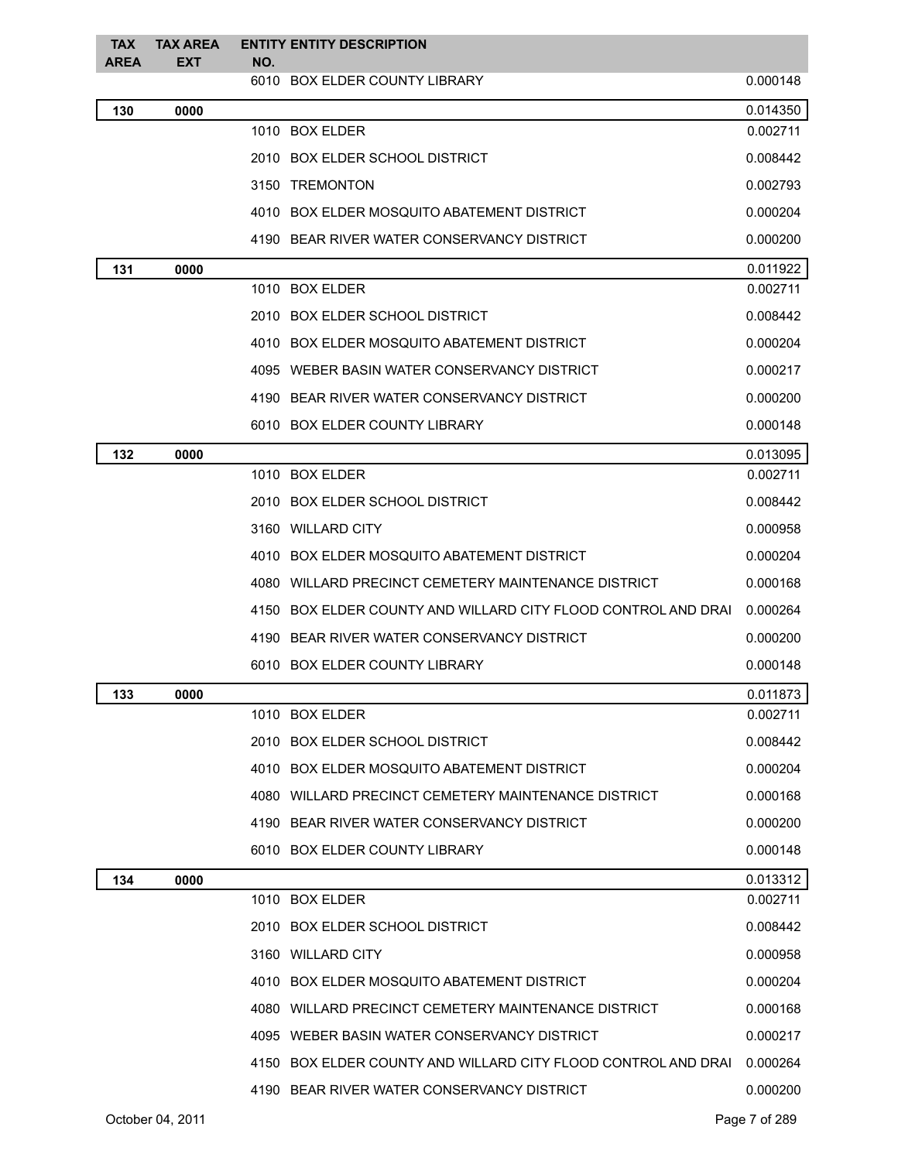| <b>TAX</b><br><b>AREA</b> | <b>TAX AREA</b><br><b>EXT</b> | <b>ENTITY ENTITY DESCRIPTION</b><br>NO.                       |          |
|---------------------------|-------------------------------|---------------------------------------------------------------|----------|
|                           |                               | 6010 BOX ELDER COUNTY LIBRARY                                 | 0.000148 |
| 130                       | 0000                          |                                                               | 0.014350 |
|                           |                               | 1010 BOX ELDER                                                | 0.002711 |
|                           |                               | 2010 BOX ELDER SCHOOL DISTRICT                                | 0.008442 |
|                           |                               | 3150 TREMONTON                                                | 0.002793 |
|                           |                               | 4010 BOX ELDER MOSQUITO ABATEMENT DISTRICT                    | 0.000204 |
|                           |                               | 4190 BEAR RIVER WATER CONSERVANCY DISTRICT                    | 0.000200 |
| 131                       | 0000                          |                                                               | 0.011922 |
|                           |                               | 1010 BOX ELDER                                                | 0.002711 |
|                           |                               | 2010 BOX ELDER SCHOOL DISTRICT                                | 0.008442 |
|                           |                               | 4010 BOX ELDER MOSQUITO ABATEMENT DISTRICT                    | 0.000204 |
|                           |                               | 4095 WEBER BASIN WATER CONSERVANCY DISTRICT                   | 0.000217 |
|                           |                               | 4190 BEAR RIVER WATER CONSERVANCY DISTRICT                    | 0.000200 |
|                           |                               | 6010 BOX ELDER COUNTY LIBRARY                                 | 0.000148 |
| 132                       | 0000                          |                                                               | 0.013095 |
|                           |                               | 1010 BOX ELDER                                                | 0.002711 |
|                           |                               | 2010 BOX ELDER SCHOOL DISTRICT                                | 0.008442 |
|                           |                               | 3160 WILLARD CITY                                             | 0.000958 |
|                           |                               | 4010 BOX ELDER MOSQUITO ABATEMENT DISTRICT                    | 0.000204 |
|                           |                               | 4080 WILLARD PRECINCT CEMETERY MAINTENANCE DISTRICT           | 0.000168 |
|                           |                               | 4150 BOX ELDER COUNTY AND WILLARD CITY FLOOD CONTROL AND DRAI | 0.000264 |
|                           |                               | 4190 BEAR RIVER WATER CONSERVANCY DISTRICT                    | 0.000200 |
|                           |                               | 6010 BOX ELDER COUNTY LIBRARY                                 | 0.000148 |
| 133                       | 0000                          |                                                               | 0.011873 |
|                           |                               | 1010 BOX ELDER                                                | 0.002711 |
|                           |                               | 2010 BOX ELDER SCHOOL DISTRICT                                | 0.008442 |
|                           |                               | 4010 BOX ELDER MOSQUITO ABATEMENT DISTRICT                    | 0.000204 |
|                           |                               | 4080 WILLARD PRECINCT CEMETERY MAINTENANCE DISTRICT           | 0.000168 |
|                           |                               | 4190 BEAR RIVER WATER CONSERVANCY DISTRICT                    | 0.000200 |
|                           |                               | 6010 BOX ELDER COUNTY LIBRARY                                 | 0.000148 |
| 134                       | 0000                          |                                                               | 0.013312 |
|                           |                               | 1010 BOX ELDER                                                | 0.002711 |
|                           |                               | 2010 BOX ELDER SCHOOL DISTRICT                                | 0.008442 |
|                           |                               | 3160 WILLARD CITY                                             | 0.000958 |
|                           |                               | 4010 BOX ELDER MOSQUITO ABATEMENT DISTRICT                    | 0.000204 |
|                           |                               | 4080 WILLARD PRECINCT CEMETERY MAINTENANCE DISTRICT           | 0.000168 |
|                           |                               | 4095 WEBER BASIN WATER CONSERVANCY DISTRICT                   | 0.000217 |
|                           |                               | 4150 BOX ELDER COUNTY AND WILLARD CITY FLOOD CONTROL AND DRAI | 0.000264 |
|                           |                               | 4190 BEAR RIVER WATER CONSERVANCY DISTRICT                    | 0.000200 |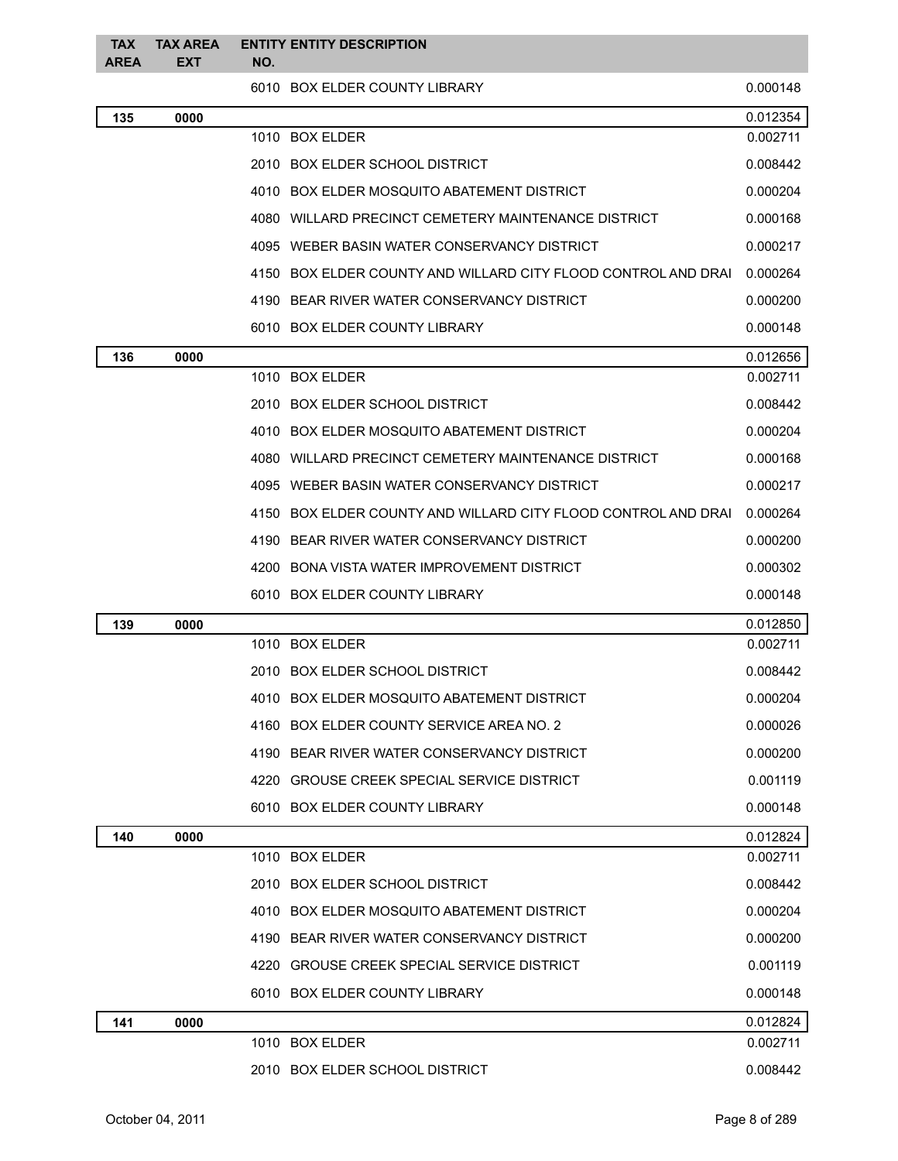| <b>TAX</b><br><b>AREA</b> | <b>TAX AREA</b><br><b>EXT</b> | <b>ENTITY ENTITY DESCRIPTION</b><br>NO.                       |          |
|---------------------------|-------------------------------|---------------------------------------------------------------|----------|
|                           |                               | 6010 BOX ELDER COUNTY LIBRARY                                 | 0.000148 |
| 135                       | 0000                          |                                                               | 0.012354 |
|                           |                               | 1010 BOX ELDER                                                | 0.002711 |
|                           |                               | 2010 BOX ELDER SCHOOL DISTRICT                                | 0.008442 |
|                           |                               | 4010 BOX ELDER MOSQUITO ABATEMENT DISTRICT                    | 0.000204 |
|                           |                               | 4080 WILLARD PRECINCT CEMETERY MAINTENANCE DISTRICT           | 0.000168 |
|                           |                               | 4095 WEBER BASIN WATER CONSERVANCY DISTRICT                   | 0.000217 |
|                           |                               | 4150 BOX ELDER COUNTY AND WILLARD CITY FLOOD CONTROL AND DRAI | 0.000264 |
|                           |                               | 4190 BEAR RIVER WATER CONSERVANCY DISTRICT                    | 0.000200 |
|                           |                               | 6010 BOX ELDER COUNTY LIBRARY                                 | 0.000148 |
| 136                       | 0000                          |                                                               | 0.012656 |
|                           |                               | 1010 BOX ELDER                                                | 0.002711 |
|                           |                               | 2010 BOX ELDER SCHOOL DISTRICT                                | 0.008442 |
|                           |                               | 4010 BOX ELDER MOSQUITO ABATEMENT DISTRICT                    | 0.000204 |
|                           |                               | 4080 WILLARD PRECINCT CEMETERY MAINTENANCE DISTRICT           | 0.000168 |
|                           |                               | 4095 WEBER BASIN WATER CONSERVANCY DISTRICT                   | 0.000217 |
|                           |                               | 4150 BOX ELDER COUNTY AND WILLARD CITY FLOOD CONTROL AND DRAI | 0.000264 |
|                           |                               | 4190 BEAR RIVER WATER CONSERVANCY DISTRICT                    | 0.000200 |
|                           |                               | 4200 BONA VISTA WATER IMPROVEMENT DISTRICT                    | 0.000302 |
|                           |                               | 6010 BOX ELDER COUNTY LIBRARY                                 | 0.000148 |
| 139                       | 0000                          |                                                               | 0.012850 |
|                           |                               | 1010 BOX ELDER                                                | 0.002711 |
|                           |                               | 2010 BOX ELDER SCHOOL DISTRICT                                | 0.008442 |
|                           |                               | 4010 BOX ELDER MOSQUITO ABATEMENT DISTRICT                    | 0.000204 |
|                           |                               | 4160 BOX ELDER COUNTY SERVICE AREA NO. 2                      | 0.000026 |
|                           |                               | 4190 BEAR RIVER WATER CONSERVANCY DISTRICT                    | 0.000200 |
|                           |                               | 4220 GROUSE CREEK SPECIAL SERVICE DISTRICT                    | 0.001119 |
|                           |                               | 6010 BOX ELDER COUNTY LIBRARY                                 | 0.000148 |
| 140                       | 0000                          |                                                               | 0.012824 |
|                           |                               | 1010 BOX ELDER                                                | 0.002711 |
|                           |                               | 2010 BOX ELDER SCHOOL DISTRICT                                | 0.008442 |
|                           |                               | 4010 BOX ELDER MOSQUITO ABATEMENT DISTRICT                    | 0.000204 |
|                           |                               | 4190 BEAR RIVER WATER CONSERVANCY DISTRICT                    | 0.000200 |
|                           |                               | 4220 GROUSE CREEK SPECIAL SERVICE DISTRICT                    | 0.001119 |
|                           |                               | 6010 BOX ELDER COUNTY LIBRARY                                 | 0.000148 |
| 141                       | 0000                          |                                                               | 0.012824 |
|                           |                               | 1010 BOX ELDER                                                | 0.002711 |
|                           |                               | 2010 BOX ELDER SCHOOL DISTRICT                                | 0.008442 |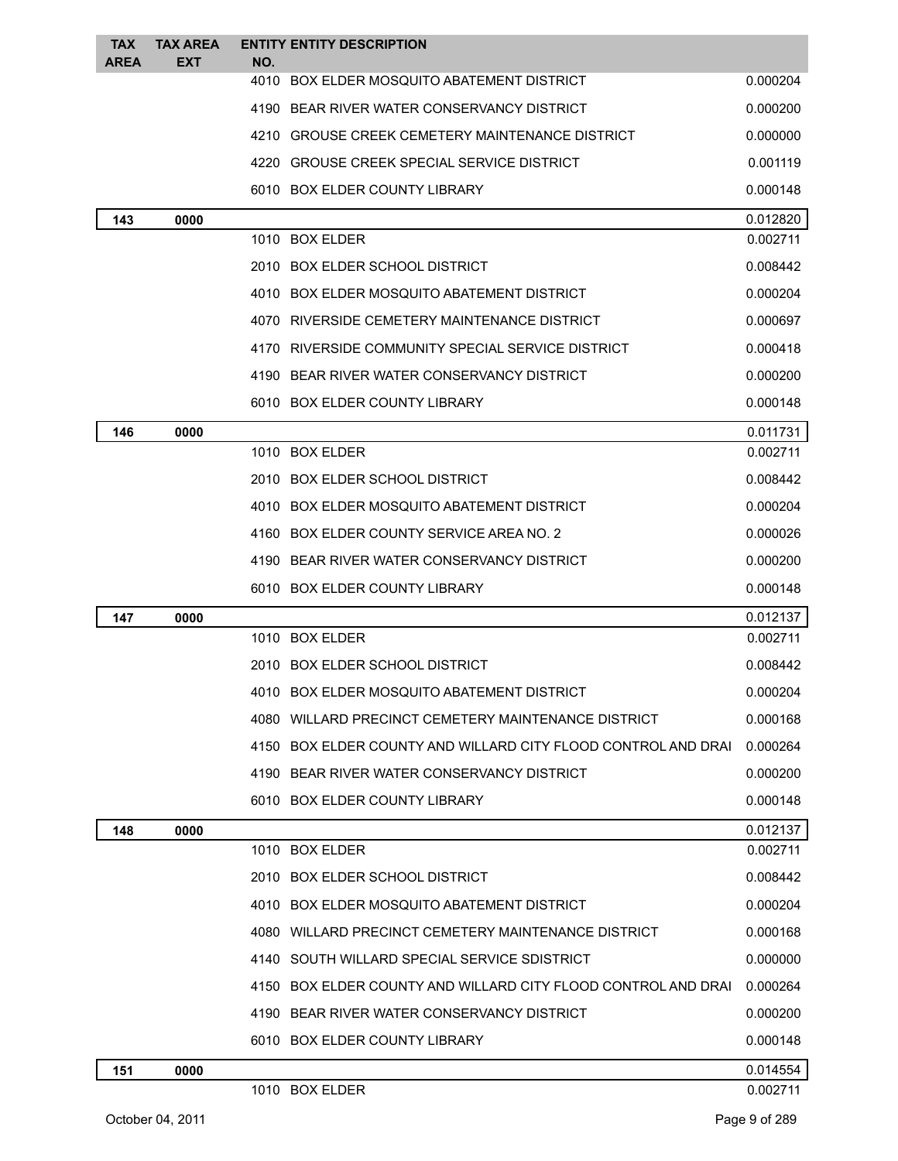| <b>TAX</b>  | <b>TAX AREA</b> | <b>ENTITY ENTITY DESCRIPTION</b>                    |                                                               |          |
|-------------|-----------------|-----------------------------------------------------|---------------------------------------------------------------|----------|
| <b>AREA</b> | EXT             | NO.<br>4010 BOX ELDER MOSQUITO ABATEMENT DISTRICT   |                                                               | 0.000204 |
|             |                 | 4190 BEAR RIVER WATER CONSERVANCY DISTRICT          |                                                               | 0.000200 |
|             |                 | 4210 GROUSE CREEK CEMETERY MAINTENANCE DISTRICT     |                                                               | 0.000000 |
|             |                 | 4220 GROUSE CREEK SPECIAL SERVICE DISTRICT          |                                                               | 0.001119 |
|             |                 | 6010 BOX ELDER COUNTY LIBRARY                       |                                                               | 0.000148 |
| 143         | 0000            |                                                     |                                                               | 0.012820 |
|             |                 | 1010 BOX ELDER                                      |                                                               | 0.002711 |
|             |                 | 2010 BOX ELDER SCHOOL DISTRICT                      |                                                               | 0.008442 |
|             |                 | 4010 BOX ELDER MOSQUITO ABATEMENT DISTRICT          |                                                               | 0.000204 |
|             |                 | 4070 RIVERSIDE CEMETERY MAINTENANCE DISTRICT        |                                                               | 0.000697 |
|             |                 | 4170 RIVERSIDE COMMUNITY SPECIAL SERVICE DISTRICT   |                                                               | 0.000418 |
|             |                 | 4190 BEAR RIVER WATER CONSERVANCY DISTRICT          |                                                               | 0.000200 |
|             |                 | 6010 BOX ELDER COUNTY LIBRARY                       |                                                               | 0.000148 |
| 146         | 0000            |                                                     |                                                               | 0.011731 |
|             |                 | 1010 BOX ELDER                                      |                                                               | 0.002711 |
|             |                 | 2010 BOX ELDER SCHOOL DISTRICT                      |                                                               | 0.008442 |
|             |                 | 4010 BOX ELDER MOSQUITO ABATEMENT DISTRICT          |                                                               | 0.000204 |
|             |                 | 4160 BOX ELDER COUNTY SERVICE AREA NO. 2            |                                                               | 0.000026 |
|             |                 | 4190 BEAR RIVER WATER CONSERVANCY DISTRICT          |                                                               | 0.000200 |
|             |                 | 6010 BOX ELDER COUNTY LIBRARY                       |                                                               | 0.000148 |
| 147         | 0000            |                                                     |                                                               | 0.012137 |
|             |                 | 1010 BOX ELDER                                      |                                                               | 0.002711 |
|             |                 | 2010 BOX ELDER SCHOOL DISTRICT                      |                                                               | 0.008442 |
|             |                 | 4010 BOX ELDER MOSQUITO ABATEMENT DISTRICT          |                                                               | 0.000204 |
|             |                 | 4080 WILLARD PRECINCT CEMETERY MAINTENANCE DISTRICT |                                                               | 0.000168 |
|             |                 |                                                     | 4150 BOX ELDER COUNTY AND WILLARD CITY FLOOD CONTROL AND DRAI | 0.000264 |
|             |                 | 4190 BEAR RIVER WATER CONSERVANCY DISTRICT          |                                                               | 0.000200 |
|             |                 | 6010 BOX ELDER COUNTY LIBRARY                       |                                                               | 0.000148 |
| 148         | 0000            |                                                     |                                                               | 0.012137 |
|             |                 | 1010 BOX ELDER                                      |                                                               | 0.002711 |
|             |                 | 2010 BOX ELDER SCHOOL DISTRICT                      |                                                               | 0.008442 |
|             |                 | 4010 BOX ELDER MOSQUITO ABATEMENT DISTRICT          |                                                               | 0.000204 |
|             |                 | 4080 WILLARD PRECINCT CEMETERY MAINTENANCE DISTRICT |                                                               | 0.000168 |
|             |                 | 4140 SOUTH WILLARD SPECIAL SERVICE SDISTRICT        |                                                               | 0.000000 |
|             |                 |                                                     | 4150 BOX ELDER COUNTY AND WILLARD CITY FLOOD CONTROL AND DRAI | 0.000264 |
|             |                 | 4190 BEAR RIVER WATER CONSERVANCY DISTRICT          |                                                               | 0.000200 |
|             |                 | 6010 BOX ELDER COUNTY LIBRARY                       |                                                               | 0.000148 |
| 151         | 0000            |                                                     |                                                               | 0.014554 |
|             |                 | 1010 BOX ELDER                                      |                                                               | 0.002711 |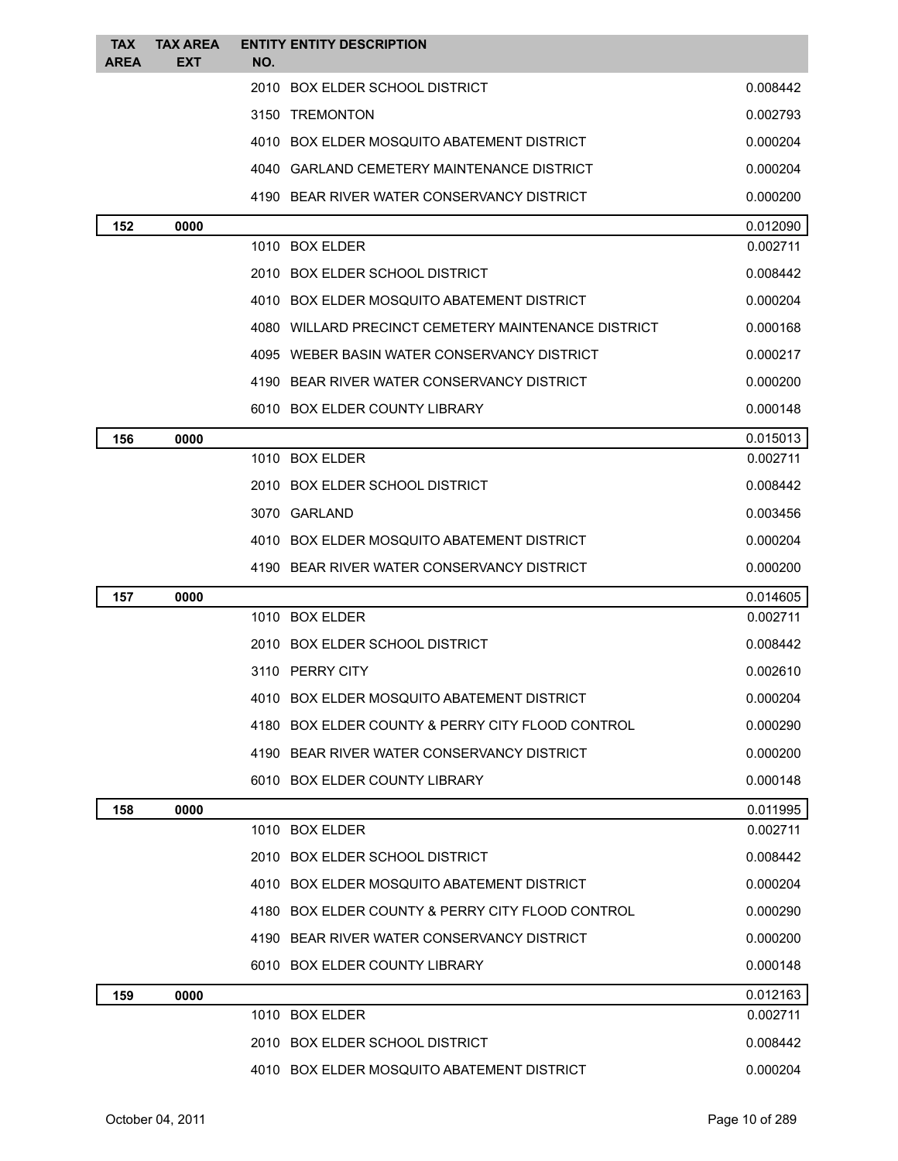| <b>TAX</b><br><b>AREA</b> | <b>TAX AREA</b><br><b>EXT</b> | <b>ENTITY ENTITY DESCRIPTION</b><br>NO.             |          |
|---------------------------|-------------------------------|-----------------------------------------------------|----------|
|                           |                               | 2010 BOX ELDER SCHOOL DISTRICT                      | 0.008442 |
|                           |                               | 3150 TREMONTON                                      | 0.002793 |
|                           |                               | 4010 BOX ELDER MOSQUITO ABATEMENT DISTRICT          | 0.000204 |
|                           |                               | 4040 GARLAND CEMETERY MAINTENANCE DISTRICT          | 0.000204 |
|                           |                               | 4190 BEAR RIVER WATER CONSERVANCY DISTRICT          | 0.000200 |
| 152                       | 0000                          |                                                     | 0.012090 |
|                           |                               | 1010 BOX ELDER                                      | 0.002711 |
|                           |                               | 2010 BOX ELDER SCHOOL DISTRICT                      | 0.008442 |
|                           |                               | 4010 BOX ELDER MOSQUITO ABATEMENT DISTRICT          | 0.000204 |
|                           |                               | 4080 WILLARD PRECINCT CEMETERY MAINTENANCE DISTRICT | 0.000168 |
|                           |                               | 4095 WEBER BASIN WATER CONSERVANCY DISTRICT         | 0.000217 |
|                           |                               | 4190 BEAR RIVER WATER CONSERVANCY DISTRICT          | 0.000200 |
|                           |                               | 6010 BOX ELDER COUNTY LIBRARY                       | 0.000148 |
| 156                       | 0000                          |                                                     | 0.015013 |
|                           |                               | 1010 BOX ELDER                                      | 0.002711 |
|                           |                               | 2010 BOX ELDER SCHOOL DISTRICT                      | 0.008442 |
|                           |                               | 3070 GARLAND                                        | 0.003456 |
|                           |                               | 4010 BOX ELDER MOSQUITO ABATEMENT DISTRICT          | 0.000204 |
|                           |                               | 4190 BEAR RIVER WATER CONSERVANCY DISTRICT          | 0.000200 |
| 157                       | 0000                          |                                                     | 0.014605 |
|                           |                               | 1010 BOX ELDER                                      | 0.002711 |
|                           |                               | 2010 BOX ELDER SCHOOL DISTRICT                      | 0.008442 |
|                           |                               | 3110 PERRY CITY                                     | 0.002610 |
|                           |                               | 4010 BOX ELDER MOSQUITO ABATEMENT DISTRICT          | 0.000204 |
|                           |                               | 4180 BOX ELDER COUNTY & PERRY CITY FLOOD CONTROL    | 0.000290 |
|                           |                               | 4190 BEAR RIVER WATER CONSERVANCY DISTRICT          | 0.000200 |
|                           |                               | 6010 BOX ELDER COUNTY LIBRARY                       | 0.000148 |
| 158                       | 0000                          |                                                     | 0.011995 |
|                           |                               | 1010 BOX ELDER                                      | 0.002711 |
|                           |                               | 2010 BOX ELDER SCHOOL DISTRICT                      | 0.008442 |
|                           |                               | 4010 BOX ELDER MOSQUITO ABATEMENT DISTRICT          | 0.000204 |
|                           |                               | 4180 BOX ELDER COUNTY & PERRY CITY FLOOD CONTROL    | 0.000290 |
|                           |                               | 4190 BEAR RIVER WATER CONSERVANCY DISTRICT          | 0.000200 |
|                           |                               | 6010 BOX ELDER COUNTY LIBRARY                       | 0.000148 |
| 159                       | 0000                          |                                                     | 0.012163 |
|                           |                               | 1010 BOX ELDER                                      | 0.002711 |
|                           |                               | 2010 BOX ELDER SCHOOL DISTRICT                      | 0.008442 |
|                           |                               | 4010 BOX ELDER MOSQUITO ABATEMENT DISTRICT          | 0.000204 |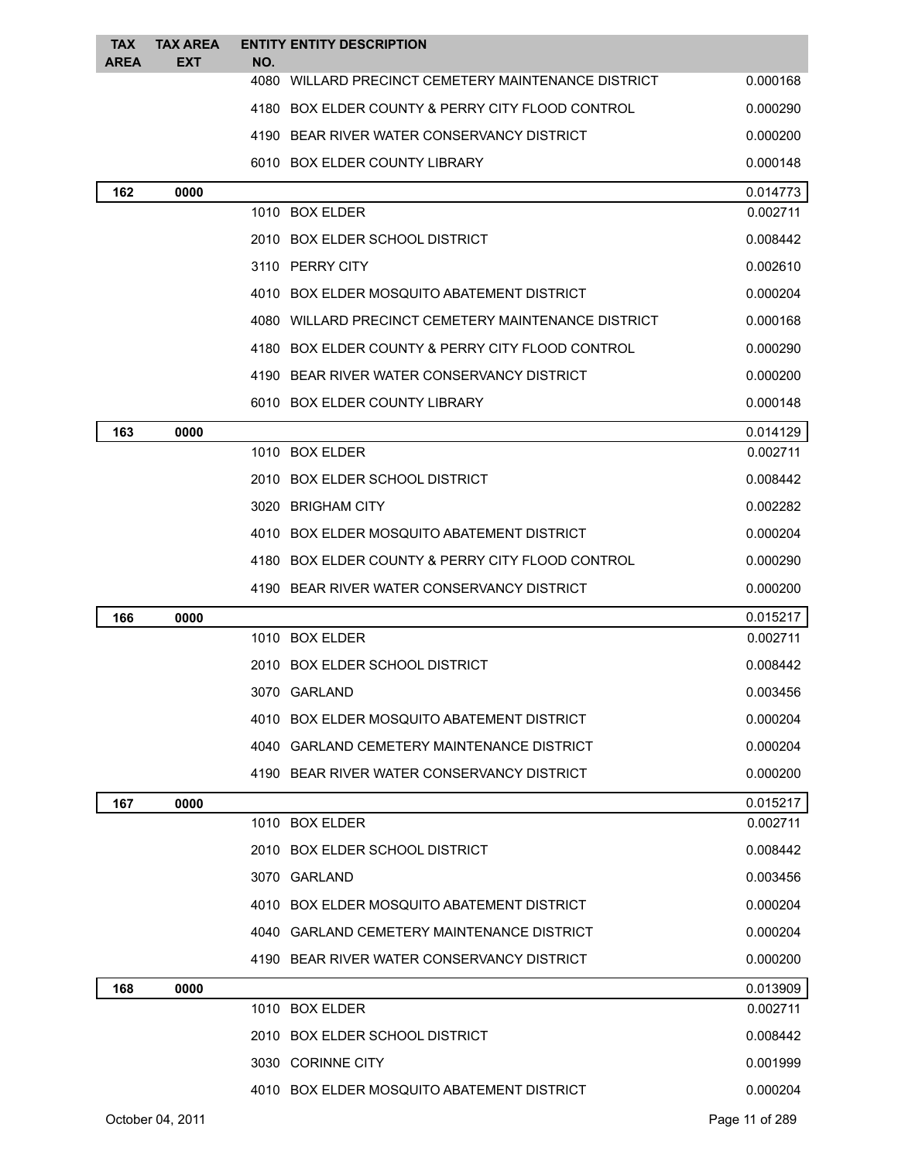| <b>TAX</b><br><b>AREA</b> | <b>TAX AREA</b><br><b>EXT</b> | NO. | <b>ENTITY ENTITY DESCRIPTION</b>                    |                |
|---------------------------|-------------------------------|-----|-----------------------------------------------------|----------------|
|                           |                               |     | 4080 WILLARD PRECINCT CEMETERY MAINTENANCE DISTRICT | 0.000168       |
|                           |                               |     | 4180 BOX ELDER COUNTY & PERRY CITY FLOOD CONTROL    | 0.000290       |
|                           |                               |     | 4190 BEAR RIVER WATER CONSERVANCY DISTRICT          | 0.000200       |
|                           |                               |     | 6010 BOX ELDER COUNTY LIBRARY                       | 0.000148       |
| 162                       | 0000                          |     |                                                     | 0.014773       |
|                           |                               |     | 1010 BOX ELDER                                      | 0.002711       |
|                           |                               |     | 2010 BOX ELDER SCHOOL DISTRICT                      | 0.008442       |
|                           |                               |     | 3110 PERRY CITY                                     | 0.002610       |
|                           |                               |     | 4010 BOX ELDER MOSQUITO ABATEMENT DISTRICT          | 0.000204       |
|                           |                               |     | 4080 WILLARD PRECINCT CEMETERY MAINTENANCE DISTRICT | 0.000168       |
|                           |                               |     | 4180 BOX ELDER COUNTY & PERRY CITY FLOOD CONTROL    | 0.000290       |
|                           |                               |     | 4190 BEAR RIVER WATER CONSERVANCY DISTRICT          | 0.000200       |
|                           |                               |     | 6010 BOX ELDER COUNTY LIBRARY                       | 0.000148       |
| 163                       | 0000                          |     |                                                     | 0.014129       |
|                           |                               |     | 1010 BOX ELDER                                      | 0.002711       |
|                           |                               |     | 2010 BOX ELDER SCHOOL DISTRICT                      | 0.008442       |
|                           |                               |     | 3020 BRIGHAM CITY                                   | 0.002282       |
|                           |                               |     | 4010 BOX ELDER MOSQUITO ABATEMENT DISTRICT          | 0.000204       |
|                           |                               |     | 4180 BOX ELDER COUNTY & PERRY CITY FLOOD CONTROL    | 0.000290       |
|                           |                               |     | 4190 BEAR RIVER WATER CONSERVANCY DISTRICT          | 0.000200       |
| 166                       | 0000                          |     |                                                     | 0.015217       |
|                           |                               |     | 1010 BOX ELDER                                      | 0.002711       |
|                           |                               |     | 2010 BOX ELDER SCHOOL DISTRICT                      | 0.008442       |
|                           |                               |     | 3070 GARLAND                                        | 0.003456       |
|                           |                               |     | 4010 BOX ELDER MOSQUITO ABATEMENT DISTRICT          | 0.000204       |
|                           |                               |     | 4040 GARLAND CEMETERY MAINTENANCE DISTRICT          | 0.000204       |
|                           |                               |     | 4190 BEAR RIVER WATER CONSERVANCY DISTRICT          | 0.000200       |
| 167                       | 0000                          |     |                                                     | 0.015217       |
|                           |                               |     | 1010 BOX ELDER                                      | 0.002711       |
|                           |                               |     | 2010 BOX ELDER SCHOOL DISTRICT                      | 0.008442       |
|                           |                               |     | 3070 GARLAND                                        | 0.003456       |
|                           |                               |     | 4010 BOX ELDER MOSQUITO ABATEMENT DISTRICT          | 0.000204       |
|                           |                               |     | 4040 GARLAND CEMETERY MAINTENANCE DISTRICT          | 0.000204       |
|                           |                               |     | 4190 BEAR RIVER WATER CONSERVANCY DISTRICT          | 0.000200       |
| 168                       | 0000                          |     |                                                     | 0.013909       |
|                           |                               |     | 1010 BOX ELDER                                      | 0.002711       |
|                           |                               |     | 2010 BOX ELDER SCHOOL DISTRICT                      | 0.008442       |
|                           |                               |     | 3030 CORINNE CITY                                   | 0.001999       |
|                           |                               |     | 4010 BOX ELDER MOSQUITO ABATEMENT DISTRICT          | 0.000204       |
|                           | October 04, 2011              |     |                                                     | Page 11 of 289 |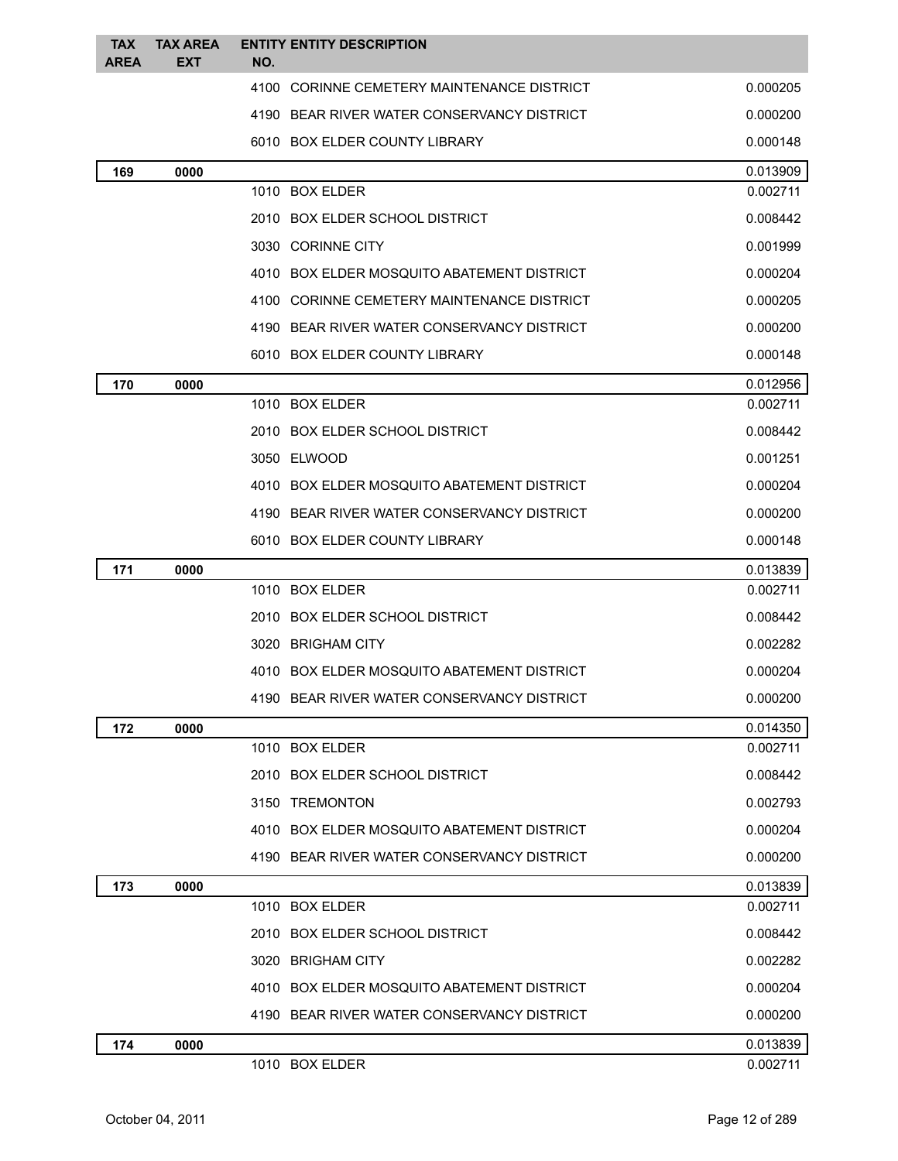| <b>TAX</b>  | <b>TAX AREA</b> |     | <b>ENTITY ENTITY DESCRIPTION</b>           |                      |
|-------------|-----------------|-----|--------------------------------------------|----------------------|
| <b>AREA</b> | <b>EXT</b>      | NO. | 4100 CORINNE CEMETERY MAINTENANCE DISTRICT | 0.000205             |
|             |                 |     | 4190 BEAR RIVER WATER CONSERVANCY DISTRICT | 0.000200             |
|             |                 |     | 6010 BOX ELDER COUNTY LIBRARY              | 0.000148             |
|             |                 |     |                                            |                      |
| 169         | 0000            |     | 1010 BOX ELDER                             | 0.013909<br>0.002711 |
|             |                 |     | 2010 BOX ELDER SCHOOL DISTRICT             | 0.008442             |
|             |                 |     | 3030 CORINNE CITY                          | 0.001999             |
|             |                 |     | 4010 BOX ELDER MOSQUITO ABATEMENT DISTRICT | 0.000204             |
|             |                 |     | 4100 CORINNE CEMETERY MAINTENANCE DISTRICT | 0.000205             |
|             |                 |     | 4190 BEAR RIVER WATER CONSERVANCY DISTRICT | 0.000200             |
|             |                 |     | 6010 BOX ELDER COUNTY LIBRARY              | 0.000148             |
| 170         | 0000            |     |                                            | 0.012956             |
|             |                 |     | 1010 BOX ELDER                             | 0.002711             |
|             |                 |     | 2010 BOX ELDER SCHOOL DISTRICT             | 0.008442             |
|             |                 |     | 3050 ELWOOD                                | 0.001251             |
|             |                 |     | 4010 BOX ELDER MOSQUITO ABATEMENT DISTRICT | 0.000204             |
|             |                 |     | 4190 BEAR RIVER WATER CONSERVANCY DISTRICT | 0.000200             |
|             |                 |     | 6010 BOX ELDER COUNTY LIBRARY              | 0.000148             |
| 171         | 0000            |     |                                            | 0.013839             |
|             |                 |     | 1010 BOX ELDER                             | 0.002711             |
|             |                 |     | 2010 BOX ELDER SCHOOL DISTRICT             | 0.008442             |
|             |                 |     | 3020 BRIGHAM CITY                          | 0.002282             |
|             |                 |     | 4010 BOX ELDER MOSQUITO ABATEMENT DISTRICT | 0.000204             |
|             |                 |     | 4190 BEAR RIVER WATER CONSERVANCY DISTRICT | 0.000200             |
| 172         | 0000            |     |                                            | 0.014350             |
|             |                 |     | 1010 BOX ELDER                             | 0.002711             |
|             |                 |     | 2010 BOX ELDER SCHOOL DISTRICT             | 0.008442             |
|             |                 |     | 3150 TREMONTON                             | 0.002793             |
|             |                 |     | 4010 BOX ELDER MOSQUITO ABATEMENT DISTRICT | 0.000204             |
|             |                 |     | 4190 BEAR RIVER WATER CONSERVANCY DISTRICT | 0.000200             |
| 173         | 0000            |     |                                            | 0.013839             |
|             |                 |     | 1010 BOX ELDER                             | 0.002711             |
|             |                 |     | 2010 BOX ELDER SCHOOL DISTRICT             | 0.008442             |
|             |                 |     | 3020 BRIGHAM CITY                          | 0.002282             |
|             |                 |     | 4010 BOX ELDER MOSQUITO ABATEMENT DISTRICT | 0.000204             |
|             |                 |     | 4190 BEAR RIVER WATER CONSERVANCY DISTRICT | 0.000200             |
| 174         | 0000            |     |                                            | 0.013839             |
|             |                 |     | 1010 BOX ELDER                             | 0.002711             |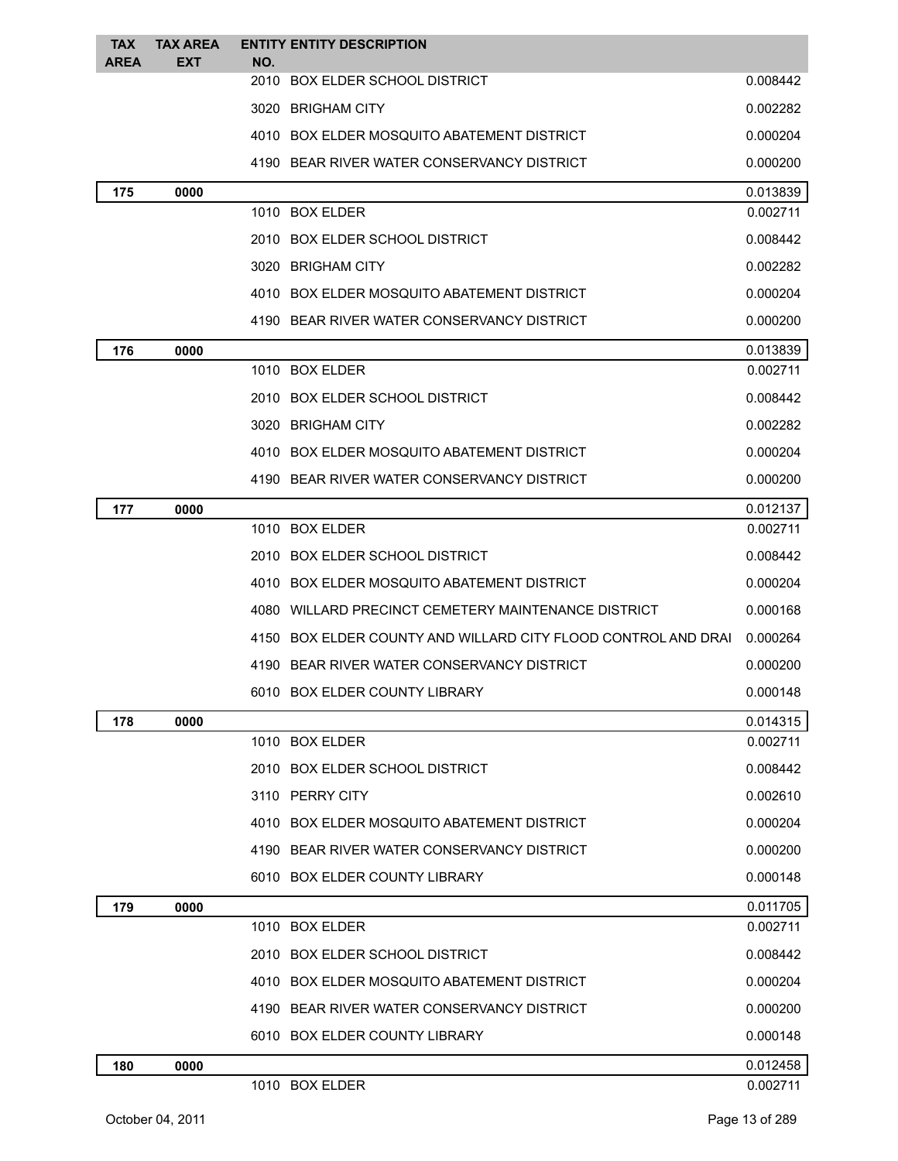| <b>TAX</b><br><b>AREA</b> | <b>TAX AREA</b><br><b>EXT</b> | NO. | <b>ENTITY ENTITY DESCRIPTION</b>                              |          |
|---------------------------|-------------------------------|-----|---------------------------------------------------------------|----------|
|                           |                               |     | 2010 BOX ELDER SCHOOL DISTRICT                                | 0.008442 |
|                           |                               |     | 3020 BRIGHAM CITY                                             | 0.002282 |
|                           |                               |     | 4010 BOX ELDER MOSQUITO ABATEMENT DISTRICT                    | 0.000204 |
|                           |                               |     | 4190 BEAR RIVER WATER CONSERVANCY DISTRICT                    | 0.000200 |
| 175                       | 0000                          |     |                                                               | 0.013839 |
|                           |                               |     | 1010 BOX ELDER                                                | 0.002711 |
|                           |                               |     | 2010 BOX ELDER SCHOOL DISTRICT                                | 0.008442 |
|                           |                               |     | 3020 BRIGHAM CITY                                             | 0.002282 |
|                           |                               |     | 4010 BOX ELDER MOSQUITO ABATEMENT DISTRICT                    | 0.000204 |
|                           |                               |     | 4190 BEAR RIVER WATER CONSERVANCY DISTRICT                    | 0.000200 |
| 176                       | 0000                          |     |                                                               | 0.013839 |
|                           |                               |     | 1010 BOX ELDER                                                | 0.002711 |
|                           |                               |     | 2010 BOX ELDER SCHOOL DISTRICT                                | 0.008442 |
|                           |                               |     | 3020 BRIGHAM CITY                                             | 0.002282 |
|                           |                               |     | 4010 BOX ELDER MOSQUITO ABATEMENT DISTRICT                    | 0.000204 |
|                           |                               |     | 4190 BEAR RIVER WATER CONSERVANCY DISTRICT                    | 0.000200 |
| 177                       | 0000                          |     |                                                               | 0.012137 |
|                           |                               |     | 1010 BOX ELDER                                                | 0.002711 |
|                           |                               |     | 2010 BOX ELDER SCHOOL DISTRICT                                | 0.008442 |
|                           |                               |     | 4010 BOX ELDER MOSQUITO ABATEMENT DISTRICT                    | 0.000204 |
|                           |                               |     | 4080 WILLARD PRECINCT CEMETERY MAINTENANCE DISTRICT           | 0.000168 |
|                           |                               |     | 4150 BOX ELDER COUNTY AND WILLARD CITY FLOOD CONTROL AND DRAI | 0.000264 |
|                           |                               |     | 4190 BEAR RIVER WATER CONSERVANCY DISTRICT                    | 0.000200 |
|                           |                               |     | 6010 BOX ELDER COUNTY LIBRARY                                 | 0.000148 |
| 178                       | 0000                          |     |                                                               | 0.014315 |
|                           |                               |     | 1010 BOX ELDER                                                | 0.002711 |
|                           |                               |     | 2010 BOX ELDER SCHOOL DISTRICT                                | 0.008442 |
|                           |                               |     | 3110 PERRY CITY                                               | 0.002610 |
|                           |                               |     | 4010 BOX ELDER MOSQUITO ABATEMENT DISTRICT                    | 0.000204 |
|                           |                               |     | 4190 BEAR RIVER WATER CONSERVANCY DISTRICT                    | 0.000200 |
|                           |                               |     | 6010 BOX ELDER COUNTY LIBRARY                                 | 0.000148 |
| 179                       | 0000                          |     |                                                               | 0.011705 |
|                           |                               |     | 1010 BOX ELDER                                                | 0.002711 |
|                           |                               |     | 2010 BOX ELDER SCHOOL DISTRICT                                | 0.008442 |
|                           |                               |     | 4010 BOX ELDER MOSQUITO ABATEMENT DISTRICT                    | 0.000204 |
|                           |                               |     | 4190 BEAR RIVER WATER CONSERVANCY DISTRICT                    | 0.000200 |
|                           |                               |     | 6010 BOX ELDER COUNTY LIBRARY                                 | 0.000148 |
| 180                       | 0000                          |     |                                                               | 0.012458 |
|                           |                               |     | 1010 BOX ELDER                                                | 0.002711 |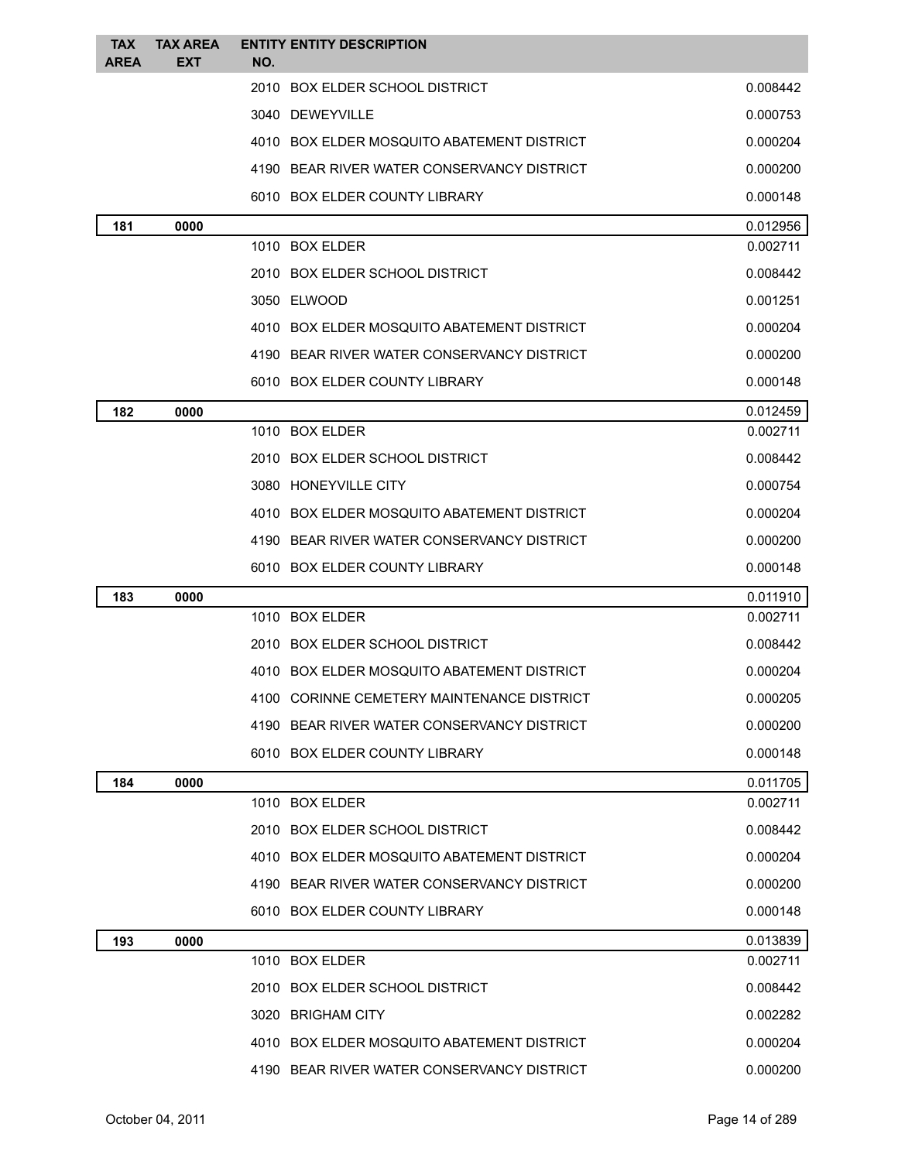| <b>TAX</b><br><b>AREA</b> | <b>TAX AREA</b><br><b>EXT</b> | <b>ENTITY ENTITY DESCRIPTION</b><br>NO.    |          |
|---------------------------|-------------------------------|--------------------------------------------|----------|
|                           |                               | 2010 BOX ELDER SCHOOL DISTRICT             | 0.008442 |
|                           |                               | 3040 DEWEYVILLE                            | 0.000753 |
|                           |                               | 4010 BOX ELDER MOSQUITO ABATEMENT DISTRICT | 0.000204 |
|                           |                               | 4190 BEAR RIVER WATER CONSERVANCY DISTRICT | 0.000200 |
|                           |                               | 6010 BOX ELDER COUNTY LIBRARY              | 0.000148 |
| 181                       | 0000                          |                                            | 0.012956 |
|                           |                               | 1010 BOX ELDER                             | 0.002711 |
|                           |                               | 2010 BOX ELDER SCHOOL DISTRICT             | 0.008442 |
|                           |                               | 3050 ELWOOD                                | 0.001251 |
|                           |                               | 4010 BOX ELDER MOSQUITO ABATEMENT DISTRICT | 0.000204 |
|                           |                               | 4190 BEAR RIVER WATER CONSERVANCY DISTRICT | 0.000200 |
|                           |                               | 6010 BOX ELDER COUNTY LIBRARY              | 0.000148 |
| 182                       | 0000                          |                                            | 0.012459 |
|                           |                               | 1010 BOX ELDER                             | 0.002711 |
|                           |                               | 2010 BOX ELDER SCHOOL DISTRICT             | 0.008442 |
|                           |                               | 3080 HONEYVILLE CITY                       | 0.000754 |
|                           |                               | 4010 BOX ELDER MOSQUITO ABATEMENT DISTRICT | 0.000204 |
|                           |                               | 4190 BEAR RIVER WATER CONSERVANCY DISTRICT | 0.000200 |
|                           |                               | 6010 BOX ELDER COUNTY LIBRARY              | 0.000148 |
| 183                       | 0000                          |                                            | 0.011910 |
|                           |                               | 1010 BOX ELDER                             | 0.002711 |
|                           |                               | 2010 BOX ELDER SCHOOL DISTRICT             | 0.008442 |
|                           |                               | 4010 BOX ELDER MOSQUITO ABATEMENT DISTRICT | 0.000204 |
|                           |                               | 4100 CORINNE CEMETERY MAINTENANCE DISTRICT | 0.000205 |
|                           |                               | 4190 BEAR RIVER WATER CONSERVANCY DISTRICT | 0.000200 |
|                           |                               | 6010 BOX ELDER COUNTY LIBRARY              | 0.000148 |
| 184                       | 0000                          |                                            | 0.011705 |
|                           |                               | 1010 BOX ELDER                             | 0.002711 |
|                           |                               | 2010 BOX ELDER SCHOOL DISTRICT             | 0.008442 |
|                           |                               | 4010 BOX ELDER MOSQUITO ABATEMENT DISTRICT | 0.000204 |
|                           |                               | 4190 BEAR RIVER WATER CONSERVANCY DISTRICT | 0.000200 |
|                           |                               | 6010 BOX ELDER COUNTY LIBRARY              | 0.000148 |
| 193                       | 0000                          |                                            | 0.013839 |
|                           |                               | 1010 BOX ELDER                             | 0.002711 |
|                           |                               | 2010 BOX ELDER SCHOOL DISTRICT             | 0.008442 |
|                           |                               | 3020 BRIGHAM CITY                          | 0.002282 |
|                           |                               | 4010 BOX ELDER MOSQUITO ABATEMENT DISTRICT | 0.000204 |
|                           |                               | 4190 BEAR RIVER WATER CONSERVANCY DISTRICT | 0.000200 |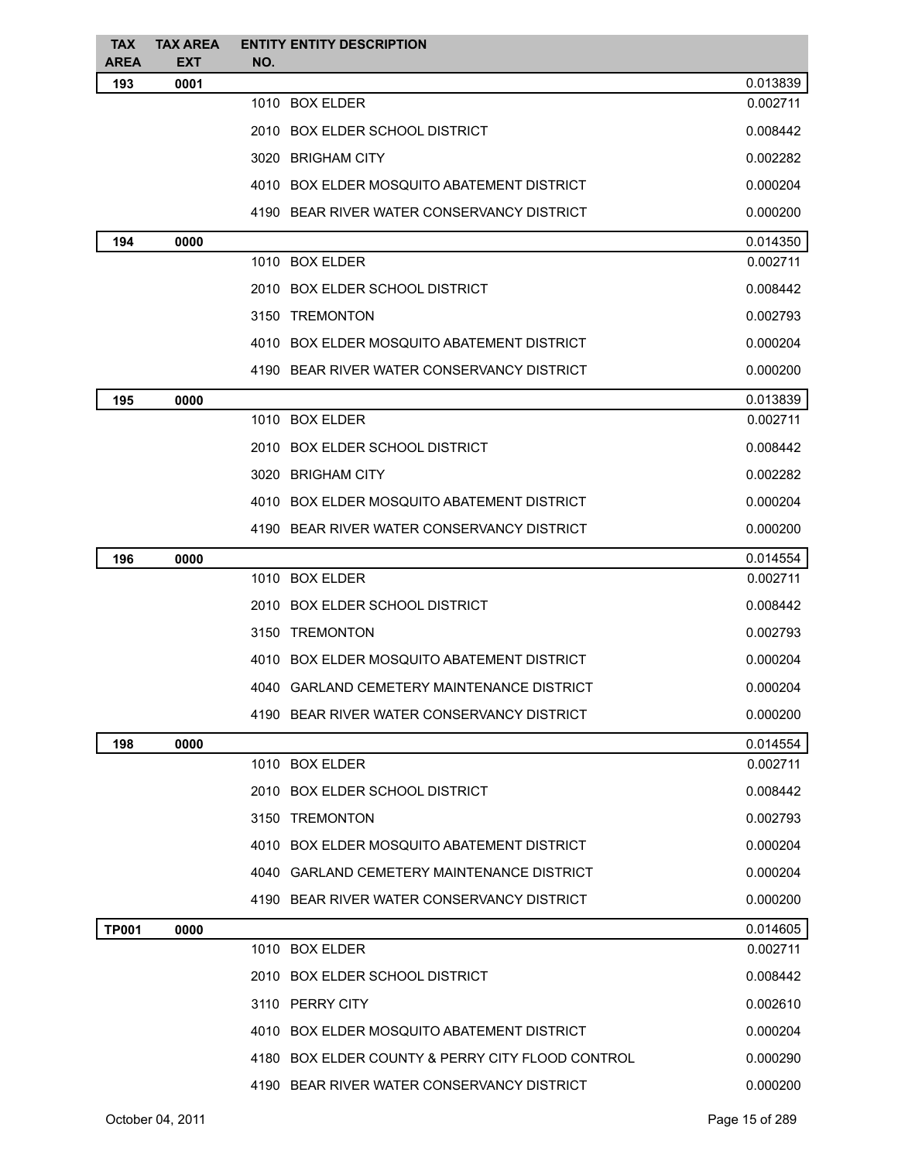| <b>AREA</b><br>NO.<br>193<br>0.013839<br>0001<br>1010 BOX ELDER<br>0.002711<br>2010 BOX ELDER SCHOOL DISTRICT<br>0.008442<br>0.002282<br>3020 BRIGHAM CITY<br>4010 BOX ELDER MOSQUITO ABATEMENT DISTRICT<br>0.000204<br>4190 BEAR RIVER WATER CONSERVANCY DISTRICT<br>0.000200<br>0.014350<br>194<br>0000<br>1010 BOX ELDER<br>0.002711<br>2010 BOX ELDER SCHOOL DISTRICT<br>0.008442<br>3150 TREMONTON<br>0.002793<br>4010 BOX ELDER MOSQUITO ABATEMENT DISTRICT<br>0.000204<br>4190 BEAR RIVER WATER CONSERVANCY DISTRICT<br>0.000200<br>0.013839<br>195<br>0000<br>1010 BOX ELDER<br>0.002711<br>2010 BOX ELDER SCHOOL DISTRICT<br>0.008442<br>3020 BRIGHAM CITY<br>0.002282<br>4010 BOX ELDER MOSQUITO ABATEMENT DISTRICT<br>0.000204<br>4190 BEAR RIVER WATER CONSERVANCY DISTRICT<br>0.000200<br>0.014554<br>196<br>0000<br>1010 BOX ELDER<br>0.002711<br>2010 BOX ELDER SCHOOL DISTRICT<br>0.008442<br>3150 TREMONTON<br>0.002793<br>4010 BOX ELDER MOSQUITO ABATEMENT DISTRICT<br>0.000204<br>4040 GARLAND CEMETERY MAINTENANCE DISTRICT<br>0.000204<br>4190 BEAR RIVER WATER CONSERVANCY DISTRICT<br>0.000200<br>0.014554<br>198<br>0000<br>1010 BOX ELDER<br>0.002711<br>2010 BOX ELDER SCHOOL DISTRICT<br>0.008442<br>3150 TREMONTON<br>0.002793<br>4010 BOX ELDER MOSQUITO ABATEMENT DISTRICT<br>0.000204<br>4040 GARLAND CEMETERY MAINTENANCE DISTRICT<br>0.000204<br>4190 BEAR RIVER WATER CONSERVANCY DISTRICT<br>0.000200<br><b>TP001</b><br>0000<br>1010 BOX ELDER<br>0.002711<br>2010 BOX ELDER SCHOOL DISTRICT<br>0.008442<br>3110 PERRY CITY<br>0.002610<br>4010 BOX ELDER MOSQUITO ABATEMENT DISTRICT<br>0.000204<br>4180 BOX ELDER COUNTY & PERRY CITY FLOOD CONTROL<br>0.000290<br>4190 BEAR RIVER WATER CONSERVANCY DISTRICT<br>0.000200 | <b>TAX</b> | <b>TAX AREA</b> | <b>ENTITY ENTITY DESCRIPTION</b> |          |
|------------------------------------------------------------------------------------------------------------------------------------------------------------------------------------------------------------------------------------------------------------------------------------------------------------------------------------------------------------------------------------------------------------------------------------------------------------------------------------------------------------------------------------------------------------------------------------------------------------------------------------------------------------------------------------------------------------------------------------------------------------------------------------------------------------------------------------------------------------------------------------------------------------------------------------------------------------------------------------------------------------------------------------------------------------------------------------------------------------------------------------------------------------------------------------------------------------------------------------------------------------------------------------------------------------------------------------------------------------------------------------------------------------------------------------------------------------------------------------------------------------------------------------------------------------------------------------------------------------------------------------------------------------------------------------------------------------------------------------------------------------------|------------|-----------------|----------------------------------|----------|
|                                                                                                                                                                                                                                                                                                                                                                                                                                                                                                                                                                                                                                                                                                                                                                                                                                                                                                                                                                                                                                                                                                                                                                                                                                                                                                                                                                                                                                                                                                                                                                                                                                                                                                                                                                  |            | <b>EXT</b>      |                                  |          |
|                                                                                                                                                                                                                                                                                                                                                                                                                                                                                                                                                                                                                                                                                                                                                                                                                                                                                                                                                                                                                                                                                                                                                                                                                                                                                                                                                                                                                                                                                                                                                                                                                                                                                                                                                                  |            |                 |                                  |          |
|                                                                                                                                                                                                                                                                                                                                                                                                                                                                                                                                                                                                                                                                                                                                                                                                                                                                                                                                                                                                                                                                                                                                                                                                                                                                                                                                                                                                                                                                                                                                                                                                                                                                                                                                                                  |            |                 |                                  |          |
|                                                                                                                                                                                                                                                                                                                                                                                                                                                                                                                                                                                                                                                                                                                                                                                                                                                                                                                                                                                                                                                                                                                                                                                                                                                                                                                                                                                                                                                                                                                                                                                                                                                                                                                                                                  |            |                 |                                  |          |
|                                                                                                                                                                                                                                                                                                                                                                                                                                                                                                                                                                                                                                                                                                                                                                                                                                                                                                                                                                                                                                                                                                                                                                                                                                                                                                                                                                                                                                                                                                                                                                                                                                                                                                                                                                  |            |                 |                                  |          |
|                                                                                                                                                                                                                                                                                                                                                                                                                                                                                                                                                                                                                                                                                                                                                                                                                                                                                                                                                                                                                                                                                                                                                                                                                                                                                                                                                                                                                                                                                                                                                                                                                                                                                                                                                                  |            |                 |                                  |          |
|                                                                                                                                                                                                                                                                                                                                                                                                                                                                                                                                                                                                                                                                                                                                                                                                                                                                                                                                                                                                                                                                                                                                                                                                                                                                                                                                                                                                                                                                                                                                                                                                                                                                                                                                                                  |            |                 |                                  |          |
|                                                                                                                                                                                                                                                                                                                                                                                                                                                                                                                                                                                                                                                                                                                                                                                                                                                                                                                                                                                                                                                                                                                                                                                                                                                                                                                                                                                                                                                                                                                                                                                                                                                                                                                                                                  |            |                 |                                  |          |
|                                                                                                                                                                                                                                                                                                                                                                                                                                                                                                                                                                                                                                                                                                                                                                                                                                                                                                                                                                                                                                                                                                                                                                                                                                                                                                                                                                                                                                                                                                                                                                                                                                                                                                                                                                  |            |                 |                                  |          |
|                                                                                                                                                                                                                                                                                                                                                                                                                                                                                                                                                                                                                                                                                                                                                                                                                                                                                                                                                                                                                                                                                                                                                                                                                                                                                                                                                                                                                                                                                                                                                                                                                                                                                                                                                                  |            |                 |                                  |          |
|                                                                                                                                                                                                                                                                                                                                                                                                                                                                                                                                                                                                                                                                                                                                                                                                                                                                                                                                                                                                                                                                                                                                                                                                                                                                                                                                                                                                                                                                                                                                                                                                                                                                                                                                                                  |            |                 |                                  |          |
|                                                                                                                                                                                                                                                                                                                                                                                                                                                                                                                                                                                                                                                                                                                                                                                                                                                                                                                                                                                                                                                                                                                                                                                                                                                                                                                                                                                                                                                                                                                                                                                                                                                                                                                                                                  |            |                 |                                  |          |
|                                                                                                                                                                                                                                                                                                                                                                                                                                                                                                                                                                                                                                                                                                                                                                                                                                                                                                                                                                                                                                                                                                                                                                                                                                                                                                                                                                                                                                                                                                                                                                                                                                                                                                                                                                  |            |                 |                                  |          |
|                                                                                                                                                                                                                                                                                                                                                                                                                                                                                                                                                                                                                                                                                                                                                                                                                                                                                                                                                                                                                                                                                                                                                                                                                                                                                                                                                                                                                                                                                                                                                                                                                                                                                                                                                                  |            |                 |                                  |          |
|                                                                                                                                                                                                                                                                                                                                                                                                                                                                                                                                                                                                                                                                                                                                                                                                                                                                                                                                                                                                                                                                                                                                                                                                                                                                                                                                                                                                                                                                                                                                                                                                                                                                                                                                                                  |            |                 |                                  |          |
|                                                                                                                                                                                                                                                                                                                                                                                                                                                                                                                                                                                                                                                                                                                                                                                                                                                                                                                                                                                                                                                                                                                                                                                                                                                                                                                                                                                                                                                                                                                                                                                                                                                                                                                                                                  |            |                 |                                  |          |
|                                                                                                                                                                                                                                                                                                                                                                                                                                                                                                                                                                                                                                                                                                                                                                                                                                                                                                                                                                                                                                                                                                                                                                                                                                                                                                                                                                                                                                                                                                                                                                                                                                                                                                                                                                  |            |                 |                                  |          |
|                                                                                                                                                                                                                                                                                                                                                                                                                                                                                                                                                                                                                                                                                                                                                                                                                                                                                                                                                                                                                                                                                                                                                                                                                                                                                                                                                                                                                                                                                                                                                                                                                                                                                                                                                                  |            |                 |                                  |          |
|                                                                                                                                                                                                                                                                                                                                                                                                                                                                                                                                                                                                                                                                                                                                                                                                                                                                                                                                                                                                                                                                                                                                                                                                                                                                                                                                                                                                                                                                                                                                                                                                                                                                                                                                                                  |            |                 |                                  |          |
|                                                                                                                                                                                                                                                                                                                                                                                                                                                                                                                                                                                                                                                                                                                                                                                                                                                                                                                                                                                                                                                                                                                                                                                                                                                                                                                                                                                                                                                                                                                                                                                                                                                                                                                                                                  |            |                 |                                  |          |
|                                                                                                                                                                                                                                                                                                                                                                                                                                                                                                                                                                                                                                                                                                                                                                                                                                                                                                                                                                                                                                                                                                                                                                                                                                                                                                                                                                                                                                                                                                                                                                                                                                                                                                                                                                  |            |                 |                                  |          |
|                                                                                                                                                                                                                                                                                                                                                                                                                                                                                                                                                                                                                                                                                                                                                                                                                                                                                                                                                                                                                                                                                                                                                                                                                                                                                                                                                                                                                                                                                                                                                                                                                                                                                                                                                                  |            |                 |                                  |          |
|                                                                                                                                                                                                                                                                                                                                                                                                                                                                                                                                                                                                                                                                                                                                                                                                                                                                                                                                                                                                                                                                                                                                                                                                                                                                                                                                                                                                                                                                                                                                                                                                                                                                                                                                                                  |            |                 |                                  |          |
|                                                                                                                                                                                                                                                                                                                                                                                                                                                                                                                                                                                                                                                                                                                                                                                                                                                                                                                                                                                                                                                                                                                                                                                                                                                                                                                                                                                                                                                                                                                                                                                                                                                                                                                                                                  |            |                 |                                  |          |
|                                                                                                                                                                                                                                                                                                                                                                                                                                                                                                                                                                                                                                                                                                                                                                                                                                                                                                                                                                                                                                                                                                                                                                                                                                                                                                                                                                                                                                                                                                                                                                                                                                                                                                                                                                  |            |                 |                                  |          |
|                                                                                                                                                                                                                                                                                                                                                                                                                                                                                                                                                                                                                                                                                                                                                                                                                                                                                                                                                                                                                                                                                                                                                                                                                                                                                                                                                                                                                                                                                                                                                                                                                                                                                                                                                                  |            |                 |                                  |          |
|                                                                                                                                                                                                                                                                                                                                                                                                                                                                                                                                                                                                                                                                                                                                                                                                                                                                                                                                                                                                                                                                                                                                                                                                                                                                                                                                                                                                                                                                                                                                                                                                                                                                                                                                                                  |            |                 |                                  |          |
|                                                                                                                                                                                                                                                                                                                                                                                                                                                                                                                                                                                                                                                                                                                                                                                                                                                                                                                                                                                                                                                                                                                                                                                                                                                                                                                                                                                                                                                                                                                                                                                                                                                                                                                                                                  |            |                 |                                  |          |
|                                                                                                                                                                                                                                                                                                                                                                                                                                                                                                                                                                                                                                                                                                                                                                                                                                                                                                                                                                                                                                                                                                                                                                                                                                                                                                                                                                                                                                                                                                                                                                                                                                                                                                                                                                  |            |                 |                                  |          |
|                                                                                                                                                                                                                                                                                                                                                                                                                                                                                                                                                                                                                                                                                                                                                                                                                                                                                                                                                                                                                                                                                                                                                                                                                                                                                                                                                                                                                                                                                                                                                                                                                                                                                                                                                                  |            |                 |                                  |          |
|                                                                                                                                                                                                                                                                                                                                                                                                                                                                                                                                                                                                                                                                                                                                                                                                                                                                                                                                                                                                                                                                                                                                                                                                                                                                                                                                                                                                                                                                                                                                                                                                                                                                                                                                                                  |            |                 |                                  |          |
|                                                                                                                                                                                                                                                                                                                                                                                                                                                                                                                                                                                                                                                                                                                                                                                                                                                                                                                                                                                                                                                                                                                                                                                                                                                                                                                                                                                                                                                                                                                                                                                                                                                                                                                                                                  |            |                 |                                  |          |
|                                                                                                                                                                                                                                                                                                                                                                                                                                                                                                                                                                                                                                                                                                                                                                                                                                                                                                                                                                                                                                                                                                                                                                                                                                                                                                                                                                                                                                                                                                                                                                                                                                                                                                                                                                  |            |                 |                                  |          |
|                                                                                                                                                                                                                                                                                                                                                                                                                                                                                                                                                                                                                                                                                                                                                                                                                                                                                                                                                                                                                                                                                                                                                                                                                                                                                                                                                                                                                                                                                                                                                                                                                                                                                                                                                                  |            |                 |                                  | 0.014605 |
|                                                                                                                                                                                                                                                                                                                                                                                                                                                                                                                                                                                                                                                                                                                                                                                                                                                                                                                                                                                                                                                                                                                                                                                                                                                                                                                                                                                                                                                                                                                                                                                                                                                                                                                                                                  |            |                 |                                  |          |
|                                                                                                                                                                                                                                                                                                                                                                                                                                                                                                                                                                                                                                                                                                                                                                                                                                                                                                                                                                                                                                                                                                                                                                                                                                                                                                                                                                                                                                                                                                                                                                                                                                                                                                                                                                  |            |                 |                                  |          |
|                                                                                                                                                                                                                                                                                                                                                                                                                                                                                                                                                                                                                                                                                                                                                                                                                                                                                                                                                                                                                                                                                                                                                                                                                                                                                                                                                                                                                                                                                                                                                                                                                                                                                                                                                                  |            |                 |                                  |          |
|                                                                                                                                                                                                                                                                                                                                                                                                                                                                                                                                                                                                                                                                                                                                                                                                                                                                                                                                                                                                                                                                                                                                                                                                                                                                                                                                                                                                                                                                                                                                                                                                                                                                                                                                                                  |            |                 |                                  |          |
|                                                                                                                                                                                                                                                                                                                                                                                                                                                                                                                                                                                                                                                                                                                                                                                                                                                                                                                                                                                                                                                                                                                                                                                                                                                                                                                                                                                                                                                                                                                                                                                                                                                                                                                                                                  |            |                 |                                  |          |
|                                                                                                                                                                                                                                                                                                                                                                                                                                                                                                                                                                                                                                                                                                                                                                                                                                                                                                                                                                                                                                                                                                                                                                                                                                                                                                                                                                                                                                                                                                                                                                                                                                                                                                                                                                  |            |                 |                                  |          |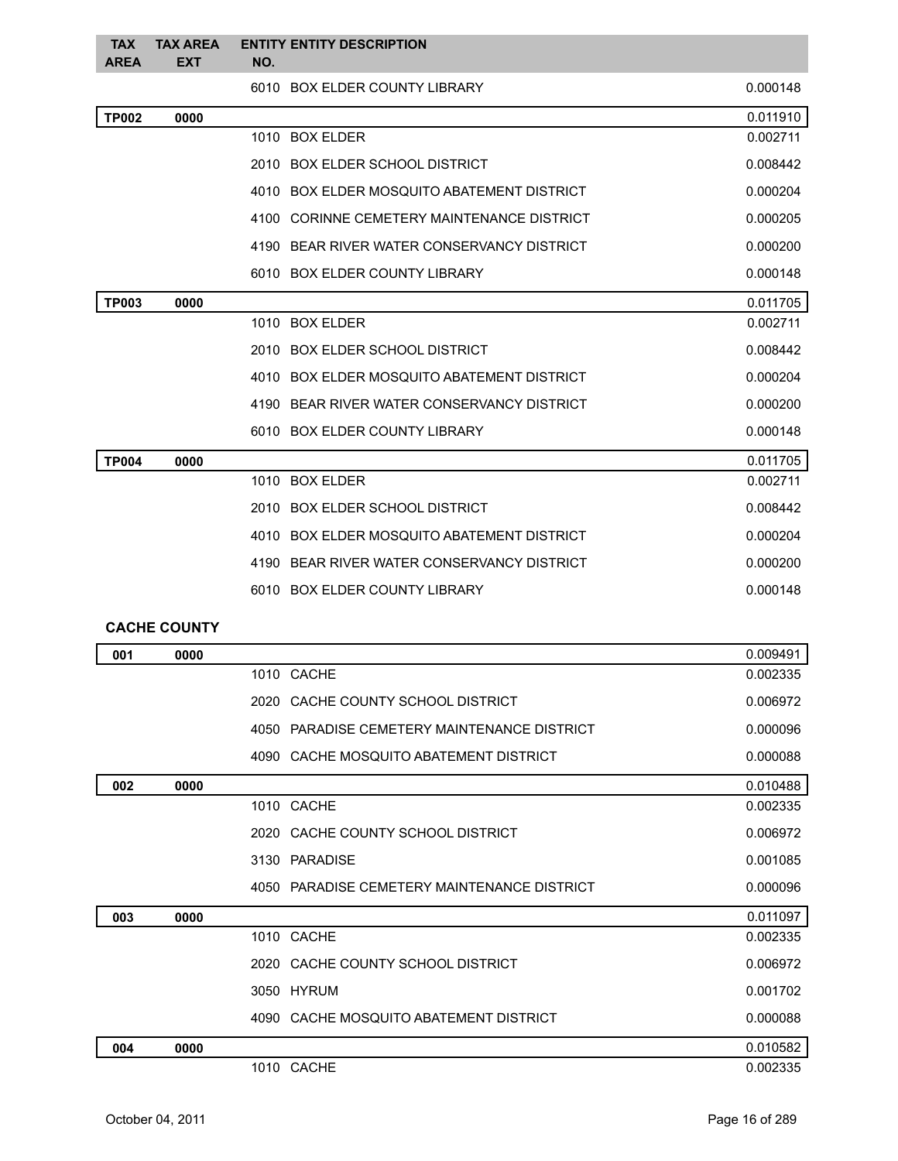| <b>TAX</b><br><b>AREA</b> | <b>TAX AREA</b><br><b>EXT</b> | <b>ENTITY ENTITY DESCRIPTION</b><br>NO.     |          |
|---------------------------|-------------------------------|---------------------------------------------|----------|
|                           |                               | 6010 BOX ELDER COUNTY LIBRARY               | 0.000148 |
| <b>TP002</b>              | 0000                          |                                             | 0.011910 |
|                           |                               | 1010 BOX ELDER                              | 0.002711 |
|                           |                               | 2010 BOX ELDER SCHOOL DISTRICT              | 0.008442 |
|                           |                               | 4010 BOX ELDER MOSQUITO ABATEMENT DISTRICT  | 0.000204 |
|                           |                               | 4100 CORINNE CEMETERY MAINTENANCE DISTRICT  | 0.000205 |
|                           |                               | 4190 BEAR RIVER WATER CONSERVANCY DISTRICT  | 0.000200 |
|                           |                               | 6010 BOX ELDER COUNTY LIBRARY               | 0.000148 |
| <b>TP003</b>              | 0000                          |                                             | 0.011705 |
|                           |                               | 1010 BOX ELDER                              | 0.002711 |
|                           |                               | 2010 BOX ELDER SCHOOL DISTRICT              | 0.008442 |
|                           |                               | 4010 BOX ELDER MOSQUITO ABATEMENT DISTRICT  | 0.000204 |
|                           |                               | 4190 BEAR RIVER WATER CONSERVANCY DISTRICT  | 0.000200 |
|                           |                               | 6010 BOX ELDER COUNTY LIBRARY               | 0.000148 |
| <b>TP004</b>              | 0000                          |                                             | 0.011705 |
|                           |                               | 1010 BOX ELDER                              | 0.002711 |
|                           |                               | 2010 BOX ELDER SCHOOL DISTRICT              | 0.008442 |
|                           |                               | 4010 BOX ELDER MOSQUITO ABATEMENT DISTRICT  | 0.000204 |
|                           |                               | 4190 BEAR RIVER WATER CONSERVANCY DISTRICT  | 0.000200 |
|                           |                               | 6010 BOX ELDER COUNTY LIBRARY               | 0.000148 |
|                           | <b>CACHE COUNTY</b>           |                                             |          |
| 001                       | 0000                          |                                             | 0.009491 |
|                           |                               | 1010 CACHE                                  | 0.002335 |
|                           |                               | 2020 CACHE COUNTY SCHOOL DISTRICT           | 0.006972 |
|                           |                               | 4050 PARADISE CEMETERY MAINTENANCE DISTRICT | 0.000096 |
|                           |                               | 4090 CACHE MOSQUITO ABATEMENT DISTRICT      | 0.000088 |
| 002                       | 0000                          |                                             | 0.010488 |
|                           |                               | 1010 CACHE                                  | 0.002335 |
|                           |                               | 2020 CACHE COUNTY SCHOOL DISTRICT           | 0.006972 |
|                           |                               | 3130 PARADISE                               | 0.001085 |
|                           |                               | 4050 PARADISE CEMETERY MAINTENANCE DISTRICT | 0.000096 |
| 003                       | 0000                          |                                             | 0.011097 |
|                           |                               | 1010 CACHE                                  | 0.002335 |
|                           |                               | 2020 CACHE COUNTY SCHOOL DISTRICT           | 0.006972 |
|                           |                               | 3050 HYRUM                                  | 0.001702 |
|                           |                               | 4090 CACHE MOSQUITO ABATEMENT DISTRICT      | 0.000088 |
| 004                       | 0000                          |                                             | 0.010582 |
|                           |                               | 1010 CACHE                                  | 0.002335 |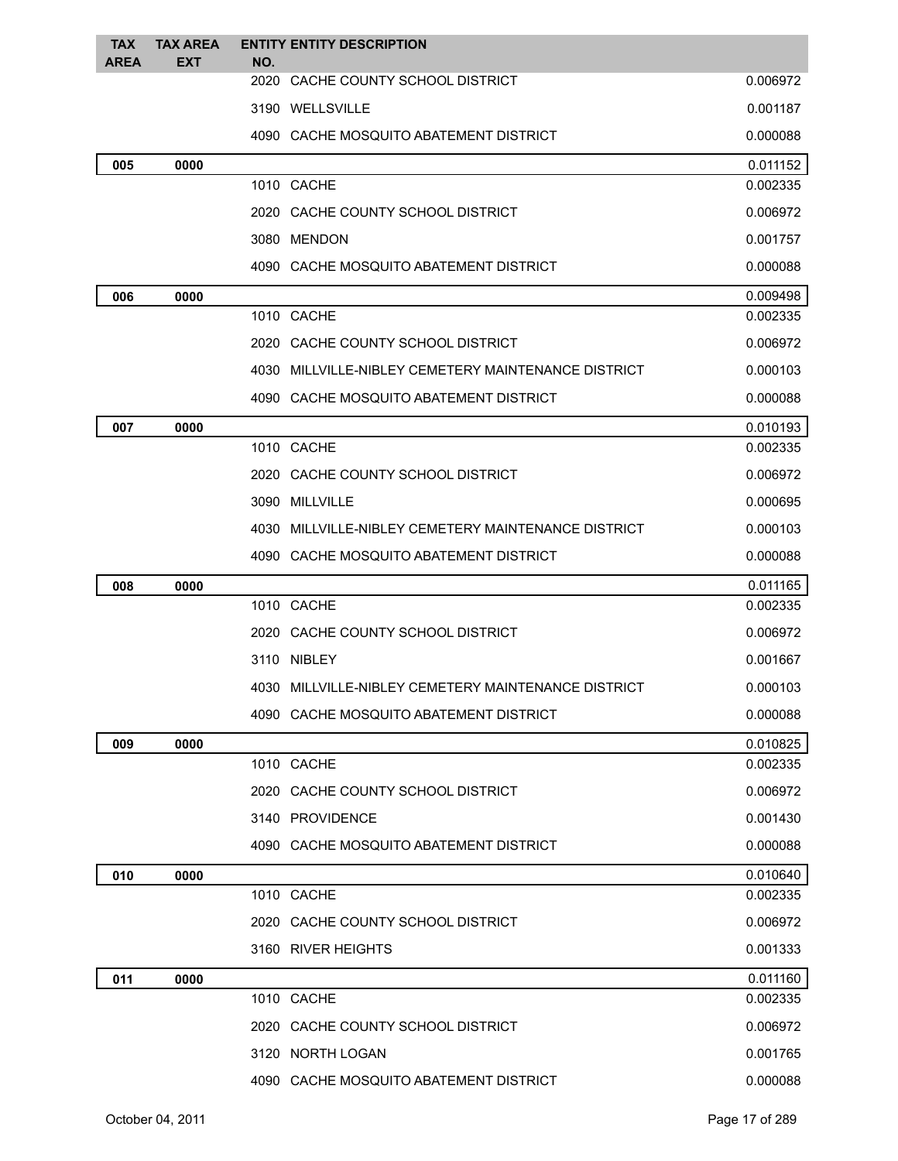| <b>TAX</b><br><b>AREA</b> | <b>TAX AREA</b><br><b>EXT</b> | NO. | <b>ENTITY ENTITY DESCRIPTION</b>                    |          |
|---------------------------|-------------------------------|-----|-----------------------------------------------------|----------|
|                           |                               |     | 2020 CACHE COUNTY SCHOOL DISTRICT                   | 0.006972 |
|                           |                               |     | 3190 WELLSVILLE                                     | 0.001187 |
|                           |                               |     | 4090 CACHE MOSQUITO ABATEMENT DISTRICT              | 0.000088 |
| 005                       | 0000                          |     |                                                     | 0.011152 |
|                           |                               |     | 1010 CACHE                                          | 0.002335 |
|                           |                               |     | 2020 CACHE COUNTY SCHOOL DISTRICT                   | 0.006972 |
|                           |                               |     | 3080 MENDON                                         | 0.001757 |
|                           |                               |     | 4090 CACHE MOSQUITO ABATEMENT DISTRICT              | 0.000088 |
| 006                       | 0000                          |     |                                                     | 0.009498 |
|                           |                               |     | 1010 CACHE                                          | 0.002335 |
|                           |                               |     | 2020 CACHE COUNTY SCHOOL DISTRICT                   | 0.006972 |
|                           |                               |     | 4030 MILLVILLE-NIBLEY CEMETERY MAINTENANCE DISTRICT | 0.000103 |
|                           |                               |     | 4090 CACHE MOSQUITO ABATEMENT DISTRICT              | 0.000088 |
| 007                       | 0000                          |     |                                                     | 0.010193 |
|                           |                               |     | 1010 CACHE                                          | 0.002335 |
|                           |                               |     | 2020 CACHE COUNTY SCHOOL DISTRICT                   | 0.006972 |
|                           |                               |     | 3090 MILLVILLE                                      | 0.000695 |
|                           |                               |     | 4030 MILLVILLE-NIBLEY CEMETERY MAINTENANCE DISTRICT | 0.000103 |
|                           |                               |     | 4090 CACHE MOSQUITO ABATEMENT DISTRICT              | 0.000088 |
| 008                       | 0000                          |     |                                                     | 0.011165 |
|                           |                               |     | 1010 CACHE                                          | 0.002335 |
|                           |                               |     | 2020 CACHE COUNTY SCHOOL DISTRICT                   | 0.006972 |
|                           |                               |     | 3110 NIBLEY                                         | 0.001667 |
|                           |                               |     | 4030 MILLVILLE-NIBLEY CEMETERY MAINTENANCE DISTRICT | 0.000103 |
|                           |                               |     | 4090 CACHE MOSQUITO ABATEMENT DISTRICT              | 0.000088 |
| 009                       | 0000                          |     |                                                     | 0.010825 |
|                           |                               |     | 1010 CACHE                                          | 0.002335 |
|                           |                               |     | 2020 CACHE COUNTY SCHOOL DISTRICT                   | 0.006972 |
|                           |                               |     | 3140 PROVIDENCE                                     | 0.001430 |
|                           |                               |     | 4090 CACHE MOSQUITO ABATEMENT DISTRICT              | 0.000088 |
| 010                       | 0000                          |     |                                                     | 0.010640 |
|                           |                               |     | 1010 CACHE                                          | 0.002335 |
|                           |                               |     | 2020 CACHE COUNTY SCHOOL DISTRICT                   | 0.006972 |
|                           |                               |     | 3160 RIVER HEIGHTS                                  | 0.001333 |
| 011                       | 0000                          |     |                                                     | 0.011160 |
|                           |                               |     | 1010 CACHE                                          | 0.002335 |
|                           |                               |     | 2020 CACHE COUNTY SCHOOL DISTRICT                   | 0.006972 |
|                           |                               |     | 3120 NORTH LOGAN                                    | 0.001765 |
|                           |                               |     | 4090 CACHE MOSQUITO ABATEMENT DISTRICT              | 0.000088 |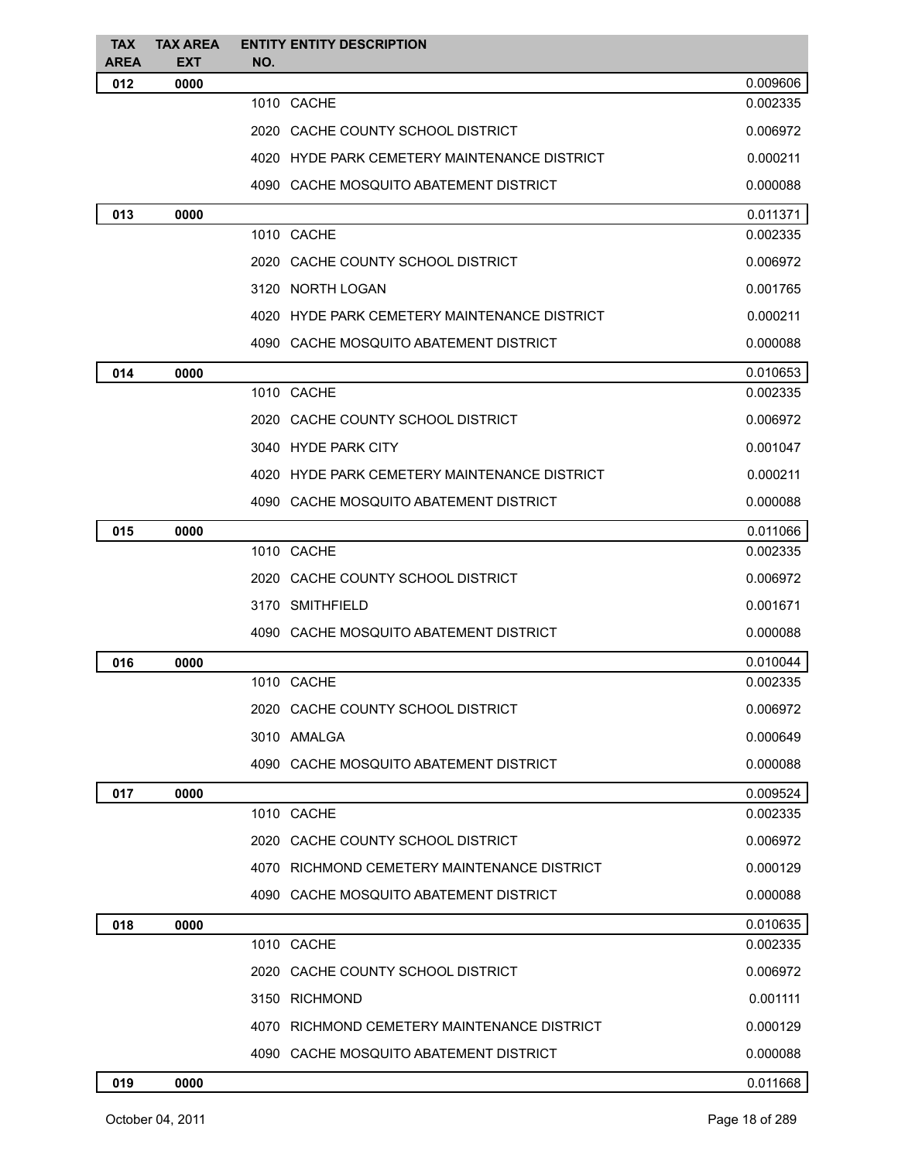| <b>TAX</b>         | <b>TAX AREA</b>    | <b>ENTITY ENTITY DESCRIPTION</b>             |          |
|--------------------|--------------------|----------------------------------------------|----------|
| <b>AREA</b><br>012 | <b>EXT</b><br>0000 | NO.                                          | 0.009606 |
|                    |                    | 1010 CACHE                                   | 0.002335 |
|                    |                    | 2020 CACHE COUNTY SCHOOL DISTRICT            | 0.006972 |
|                    |                    | 4020 HYDE PARK CEMETERY MAINTENANCE DISTRICT | 0.000211 |
|                    |                    | 4090 CACHE MOSQUITO ABATEMENT DISTRICT       | 0.000088 |
| 013                | 0000               |                                              | 0.011371 |
|                    |                    | 1010 CACHE                                   | 0.002335 |
|                    |                    | 2020 CACHE COUNTY SCHOOL DISTRICT            | 0.006972 |
|                    |                    | 3120 NORTH LOGAN                             | 0.001765 |
|                    |                    | 4020 HYDE PARK CEMETERY MAINTENANCE DISTRICT | 0.000211 |
|                    |                    | 4090 CACHE MOSQUITO ABATEMENT DISTRICT       | 0.000088 |
| 014                | 0000               |                                              | 0.010653 |
|                    |                    | 1010 CACHE                                   | 0.002335 |
|                    |                    | 2020 CACHE COUNTY SCHOOL DISTRICT            | 0.006972 |
|                    |                    | 3040 HYDE PARK CITY                          | 0.001047 |
|                    |                    | 4020 HYDE PARK CEMETERY MAINTENANCE DISTRICT | 0.000211 |
|                    |                    | 4090 CACHE MOSQUITO ABATEMENT DISTRICT       | 0.000088 |
| 015                | 0000               |                                              | 0.011066 |
|                    |                    | 1010 CACHE                                   | 0.002335 |
|                    |                    | 2020 CACHE COUNTY SCHOOL DISTRICT            | 0.006972 |
|                    |                    | 3170 SMITHFIELD                              | 0.001671 |
|                    |                    | 4090 CACHE MOSQUITO ABATEMENT DISTRICT       | 0.000088 |
| 016                | 0000               |                                              | 0.010044 |
|                    |                    | 1010 CACHE                                   | 0.002335 |
|                    |                    | 2020 CACHE COUNTY SCHOOL DISTRICT            | 0.006972 |
|                    |                    | 3010 AMALGA                                  | 0.000649 |
|                    |                    | 4090 CACHE MOSQUITO ABATEMENT DISTRICT       | 0.000088 |
| 017                | 0000               |                                              | 0.009524 |
|                    |                    | 1010 CACHE                                   | 0.002335 |
|                    |                    | 2020 CACHE COUNTY SCHOOL DISTRICT            | 0.006972 |
|                    |                    | 4070 RICHMOND CEMETERY MAINTENANCE DISTRICT  | 0.000129 |
|                    |                    | 4090 CACHE MOSQUITO ABATEMENT DISTRICT       | 0.000088 |
| 018                | 0000               |                                              | 0.010635 |
|                    |                    | 1010 CACHE                                   | 0.002335 |
|                    |                    | 2020 CACHE COUNTY SCHOOL DISTRICT            | 0.006972 |
|                    |                    | 3150 RICHMOND                                | 0.001111 |
|                    |                    | 4070 RICHMOND CEMETERY MAINTENANCE DISTRICT  | 0.000129 |
|                    |                    | 4090 CACHE MOSQUITO ABATEMENT DISTRICT       | 0.000088 |
| 019                | 0000               |                                              | 0.011668 |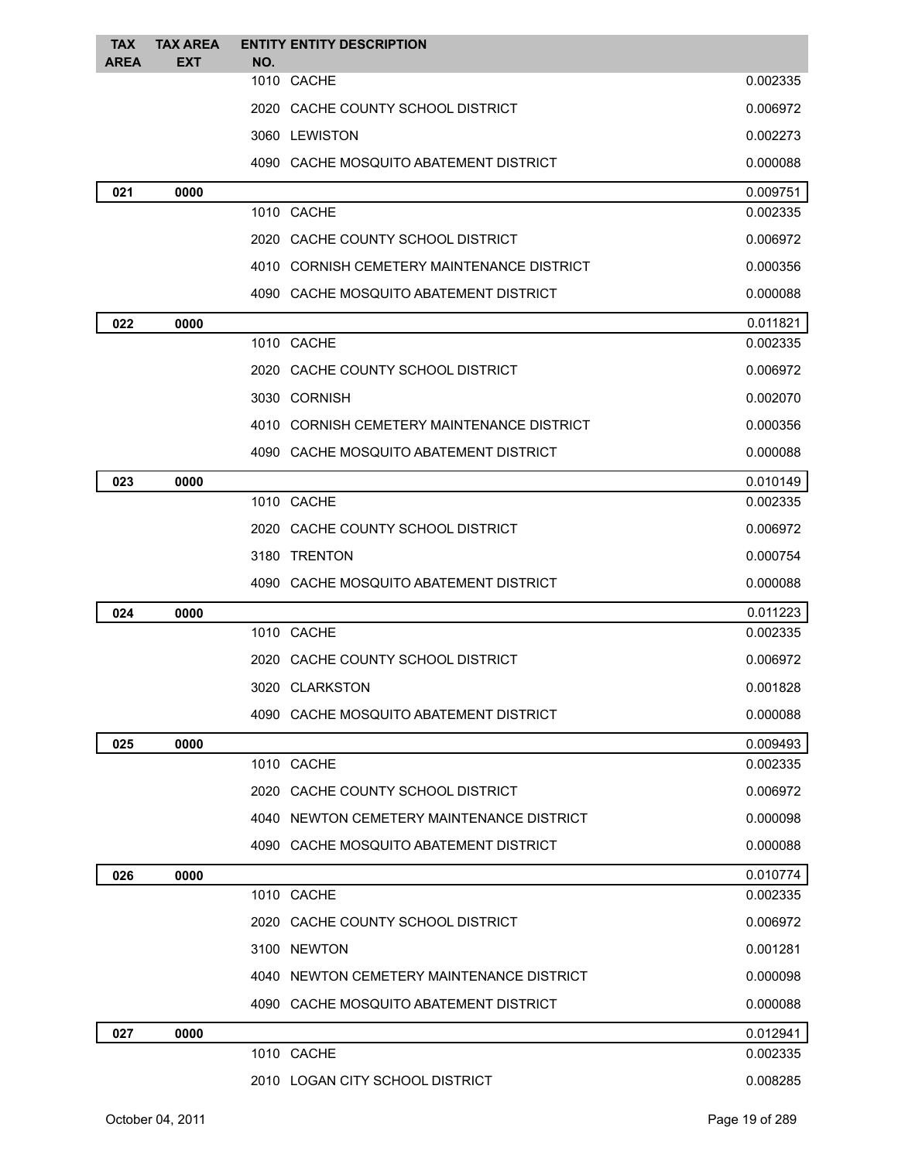| <b>TAX</b>  | <b>TAX AREA</b> | <b>ENTITY ENTITY DESCRIPTION</b> |                                            |          |
|-------------|-----------------|----------------------------------|--------------------------------------------|----------|
| <b>AREA</b> | <b>EXT</b>      | NO.<br>1010 CACHE                |                                            | 0.002335 |
|             |                 |                                  | 2020 CACHE COUNTY SCHOOL DISTRICT          | 0.006972 |
|             |                 | 3060 LEWISTON                    |                                            | 0.002273 |
|             |                 |                                  | 4090 CACHE MOSQUITO ABATEMENT DISTRICT     | 0.000088 |
|             |                 |                                  |                                            | 0.009751 |
| 021         | 0000            | 1010 CACHE                       |                                            | 0.002335 |
|             |                 |                                  | 2020 CACHE COUNTY SCHOOL DISTRICT          | 0.006972 |
|             |                 |                                  | 4010 CORNISH CEMETERY MAINTENANCE DISTRICT | 0.000356 |
|             |                 |                                  | 4090 CACHE MOSQUITO ABATEMENT DISTRICT     | 0.000088 |
| 022         | 0000            |                                  |                                            | 0.011821 |
|             |                 | 1010 CACHE                       |                                            | 0.002335 |
|             |                 |                                  | 2020 CACHE COUNTY SCHOOL DISTRICT          | 0.006972 |
|             |                 | 3030 CORNISH                     |                                            | 0.002070 |
|             |                 |                                  | 4010 CORNISH CEMETERY MAINTENANCE DISTRICT | 0.000356 |
|             |                 |                                  | 4090 CACHE MOSQUITO ABATEMENT DISTRICT     | 0.000088 |
| 023         | 0000            |                                  |                                            | 0.010149 |
|             |                 | 1010 CACHE                       |                                            | 0.002335 |
|             |                 |                                  | 2020 CACHE COUNTY SCHOOL DISTRICT          | 0.006972 |
|             |                 | 3180 TRENTON                     |                                            | 0.000754 |
|             |                 |                                  | 4090 CACHE MOSQUITO ABATEMENT DISTRICT     | 0.000088 |
| 024         | 0000            |                                  |                                            | 0.011223 |
|             |                 | 1010 CACHE                       |                                            | 0.002335 |
|             |                 |                                  | 2020 CACHE COUNTY SCHOOL DISTRICT          | 0.006972 |
|             |                 | 3020 CLARKSTON                   |                                            | 0.001828 |
|             |                 |                                  | 4090 CACHE MOSQUITO ABATEMENT DISTRICT     | 0.000088 |
| 025         | 0000            |                                  |                                            | 0.009493 |
|             |                 | 1010 CACHE                       |                                            | 0.002335 |
|             |                 |                                  | 2020 CACHE COUNTY SCHOOL DISTRICT          | 0.006972 |
|             |                 |                                  | 4040 NEWTON CEMETERY MAINTENANCE DISTRICT  | 0.000098 |
|             |                 |                                  | 4090 CACHE MOSQUITO ABATEMENT DISTRICT     | 0.000088 |
| 026         | 0000            |                                  |                                            | 0.010774 |
|             |                 | 1010 CACHE                       |                                            | 0.002335 |
|             |                 |                                  | 2020 CACHE COUNTY SCHOOL DISTRICT          | 0.006972 |
|             |                 | 3100 NEWTON                      |                                            | 0.001281 |
|             |                 |                                  | 4040 NEWTON CEMETERY MAINTENANCE DISTRICT  | 0.000098 |
|             |                 |                                  | 4090 CACHE MOSQUITO ABATEMENT DISTRICT     | 0.000088 |
| 027         | 0000            |                                  |                                            | 0.012941 |
|             |                 | 1010 CACHE                       |                                            | 0.002335 |
|             |                 |                                  | 2010 LOGAN CITY SCHOOL DISTRICT            | 0.008285 |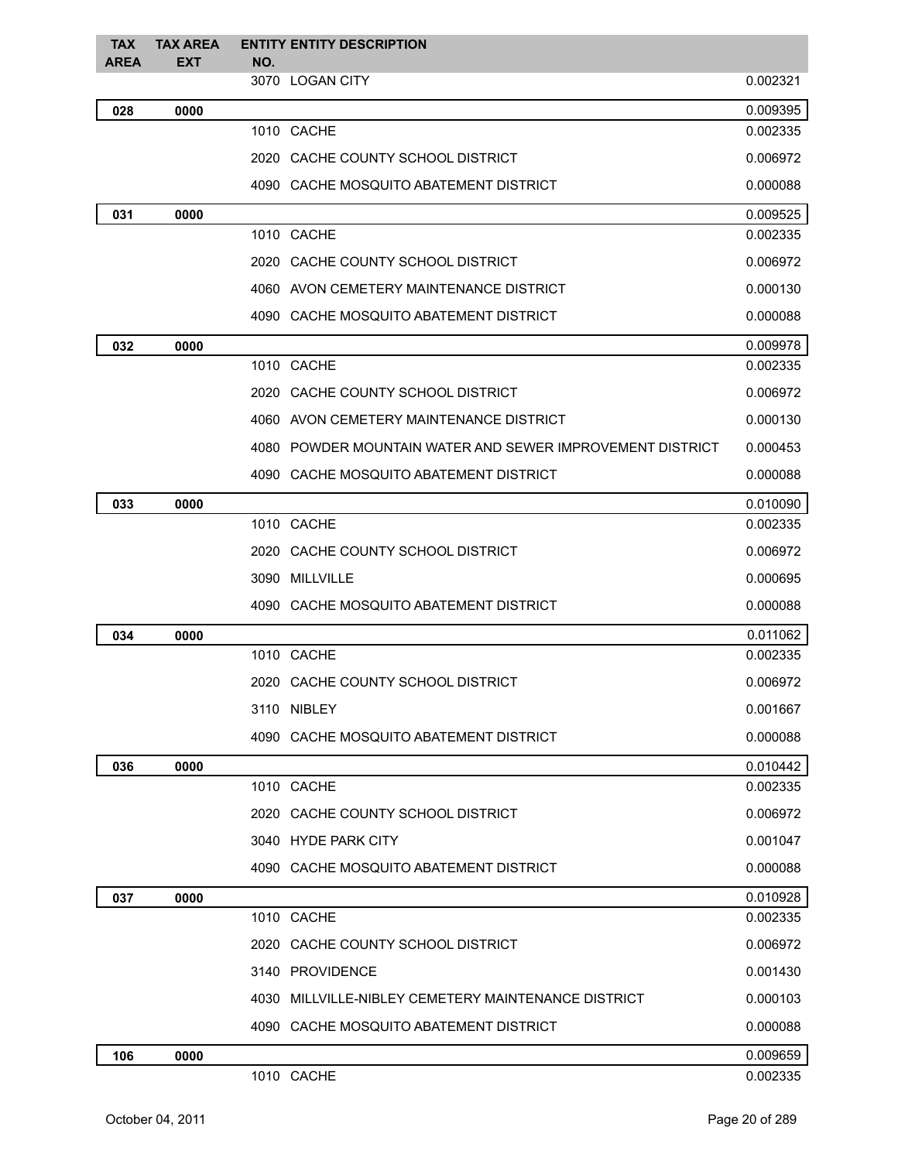| <b>TAX</b><br><b>AREA</b> | <b>TAX AREA</b><br><b>EXT</b> | <b>ENTITY ENTITY DESCRIPTION</b><br>NO. |                                                           |          |
|---------------------------|-------------------------------|-----------------------------------------|-----------------------------------------------------------|----------|
|                           |                               |                                         | 3070 LOGAN CITY                                           | 0.002321 |
| 028                       | 0000                          |                                         |                                                           | 0.009395 |
|                           |                               |                                         | 1010 CACHE                                                | 0.002335 |
|                           |                               |                                         | 2020 CACHE COUNTY SCHOOL DISTRICT                         | 0.006972 |
|                           |                               |                                         | 4090 CACHE MOSQUITO ABATEMENT DISTRICT                    | 0.000088 |
| 031                       | 0000                          |                                         |                                                           | 0.009525 |
|                           |                               |                                         | 1010 CACHE                                                | 0.002335 |
|                           |                               |                                         | 2020 CACHE COUNTY SCHOOL DISTRICT                         | 0.006972 |
|                           |                               |                                         | 4060 AVON CEMETERY MAINTENANCE DISTRICT                   | 0.000130 |
|                           |                               |                                         | 4090 CACHE MOSQUITO ABATEMENT DISTRICT                    | 0.000088 |
| 032                       | 0000                          |                                         |                                                           | 0.009978 |
|                           |                               |                                         | 1010 CACHE                                                | 0.002335 |
|                           |                               |                                         | 2020 CACHE COUNTY SCHOOL DISTRICT                         | 0.006972 |
|                           |                               |                                         | 4060 AVON CEMETERY MAINTENANCE DISTRICT                   | 0.000130 |
|                           |                               |                                         | 4080 POWDER MOUNTAIN WATER AND SEWER IMPROVEMENT DISTRICT | 0.000453 |
|                           |                               |                                         | 4090 CACHE MOSQUITO ABATEMENT DISTRICT                    | 0.000088 |
| 033                       | 0000                          |                                         |                                                           | 0.010090 |
|                           |                               |                                         | 1010 CACHE                                                | 0.002335 |
|                           |                               |                                         | 2020 CACHE COUNTY SCHOOL DISTRICT                         | 0.006972 |
|                           |                               |                                         | 3090 MILLVILLE                                            | 0.000695 |
|                           |                               |                                         | 4090 CACHE MOSQUITO ABATEMENT DISTRICT                    | 0.000088 |
| 034                       | 0000                          |                                         |                                                           | 0.011062 |
|                           |                               |                                         | 1010 CACHE                                                | 0.002335 |
|                           |                               |                                         | 2020 CACHE COUNTY SCHOOL DISTRICT                         | 0.006972 |
|                           |                               |                                         | 3110 NIBLEY                                               | 0.001667 |
|                           |                               |                                         | 4090 CACHE MOSQUITO ABATEMENT DISTRICT                    | 0.000088 |
| 036                       | 0000                          |                                         |                                                           | 0.010442 |
|                           |                               |                                         | 1010 CACHE                                                | 0.002335 |
|                           |                               |                                         | 2020 CACHE COUNTY SCHOOL DISTRICT                         | 0.006972 |
|                           |                               |                                         | 3040 HYDE PARK CITY                                       | 0.001047 |
|                           |                               |                                         | 4090 CACHE MOSQUITO ABATEMENT DISTRICT                    | 0.000088 |
| 037                       | 0000                          |                                         |                                                           | 0.010928 |
|                           |                               |                                         | 1010 CACHE                                                | 0.002335 |
|                           |                               |                                         | 2020 CACHE COUNTY SCHOOL DISTRICT                         | 0.006972 |
|                           |                               |                                         | 3140 PROVIDENCE                                           | 0.001430 |
|                           |                               |                                         | 4030 MILLVILLE-NIBLEY CEMETERY MAINTENANCE DISTRICT       | 0.000103 |
|                           |                               |                                         | 4090 CACHE MOSQUITO ABATEMENT DISTRICT                    | 0.000088 |
| 106                       | 0000                          |                                         |                                                           | 0.009659 |
|                           |                               |                                         | 1010 CACHE                                                | 0.002335 |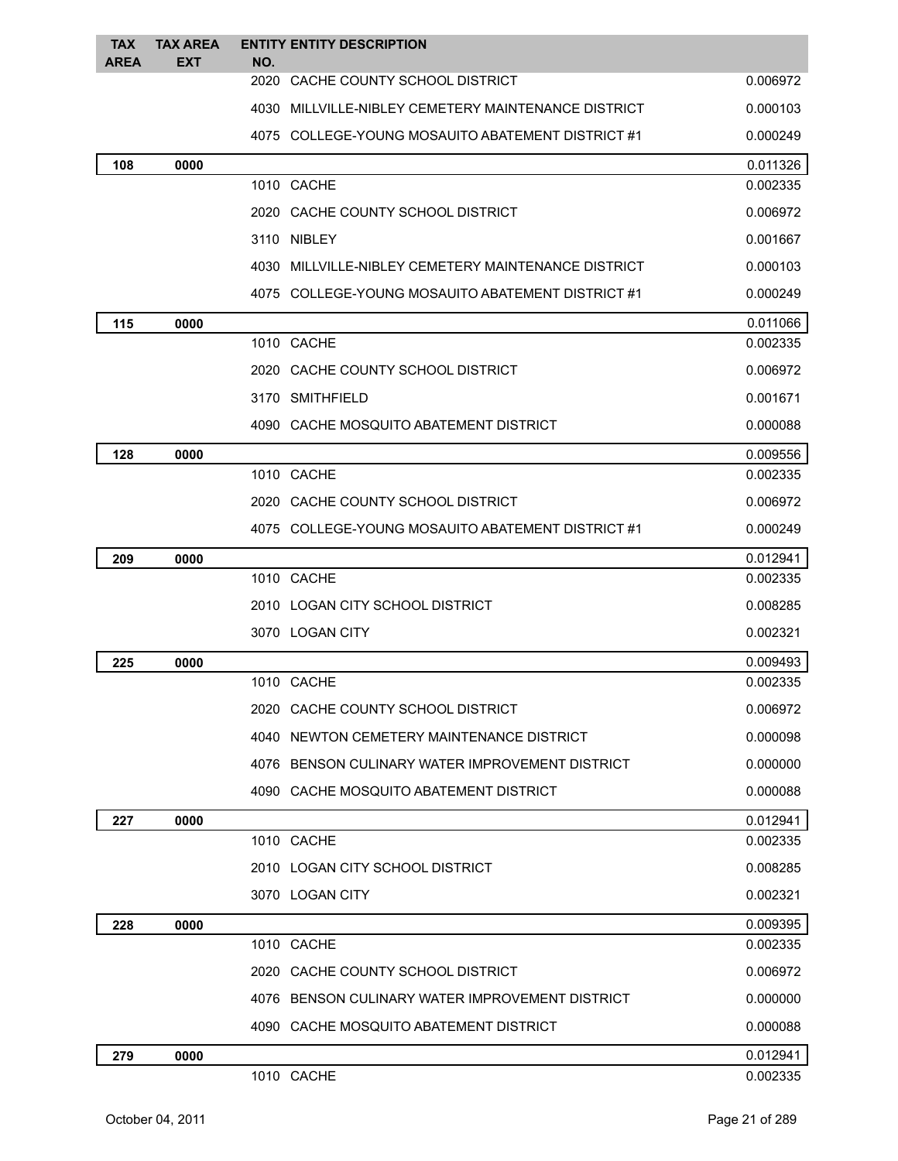| <b>TAX</b><br><b>AREA</b> | <b>TAX AREA</b><br><b>EXT</b> | <b>ENTITY ENTITY DESCRIPTION</b><br>NO.             |          |
|---------------------------|-------------------------------|-----------------------------------------------------|----------|
|                           |                               | 2020 CACHE COUNTY SCHOOL DISTRICT                   | 0.006972 |
|                           |                               | 4030 MILLVILLE-NIBLEY CEMETERY MAINTENANCE DISTRICT | 0.000103 |
|                           |                               | 4075 COLLEGE-YOUNG MOSAUITO ABATEMENT DISTRICT #1   | 0.000249 |
| 108                       | 0000                          |                                                     | 0.011326 |
|                           |                               | 1010 CACHE                                          | 0.002335 |
|                           |                               | 2020 CACHE COUNTY SCHOOL DISTRICT                   | 0.006972 |
|                           |                               | 3110 NIBLEY                                         | 0.001667 |
|                           |                               | 4030 MILLVILLE-NIBLEY CEMETERY MAINTENANCE DISTRICT | 0.000103 |
|                           |                               | 4075 COLLEGE-YOUNG MOSAUITO ABATEMENT DISTRICT #1   | 0.000249 |
| 115                       | 0000                          |                                                     | 0.011066 |
|                           |                               | 1010 CACHE                                          | 0.002335 |
|                           |                               | 2020 CACHE COUNTY SCHOOL DISTRICT                   | 0.006972 |
|                           |                               | 3170 SMITHFIELD                                     | 0.001671 |
|                           |                               | 4090 CACHE MOSQUITO ABATEMENT DISTRICT              | 0.000088 |
| 128                       | 0000                          |                                                     | 0.009556 |
|                           |                               | 1010 CACHE                                          | 0.002335 |
|                           |                               | 2020 CACHE COUNTY SCHOOL DISTRICT                   | 0.006972 |
|                           |                               | 4075 COLLEGE-YOUNG MOSAUITO ABATEMENT DISTRICT #1   | 0.000249 |
| 209                       | 0000                          |                                                     | 0.012941 |
|                           |                               | 1010 CACHE                                          | 0.002335 |
|                           |                               | 2010 LOGAN CITY SCHOOL DISTRICT                     | 0.008285 |
|                           |                               | 3070 LOGAN CITY                                     | 0.002321 |
| 225                       | 0000                          |                                                     | 0.009493 |
|                           |                               | 1010 CACHE                                          | 0.002335 |
|                           |                               | 2020 CACHE COUNTY SCHOOL DISTRICT                   | 0.006972 |
|                           |                               | 4040 NEWTON CEMETERY MAINTENANCE DISTRICT           | 0.000098 |
|                           |                               | 4076 BENSON CULINARY WATER IMPROVEMENT DISTRICT     | 0.000000 |
|                           |                               | 4090 CACHE MOSQUITO ABATEMENT DISTRICT              | 0.000088 |
| 227                       | 0000                          |                                                     | 0.012941 |
|                           |                               | 1010 CACHE                                          | 0.002335 |
|                           |                               | 2010 LOGAN CITY SCHOOL DISTRICT                     | 0.008285 |
|                           |                               | 3070 LOGAN CITY                                     | 0.002321 |
| 228                       | 0000                          |                                                     | 0.009395 |
|                           |                               | 1010 CACHE                                          | 0.002335 |
|                           |                               | 2020 CACHE COUNTY SCHOOL DISTRICT                   | 0.006972 |
|                           |                               | 4076 BENSON CULINARY WATER IMPROVEMENT DISTRICT     | 0.000000 |
|                           |                               | 4090 CACHE MOSQUITO ABATEMENT DISTRICT              | 0.000088 |
| 279                       | 0000                          |                                                     | 0.012941 |
|                           |                               | 1010 CACHE                                          | 0.002335 |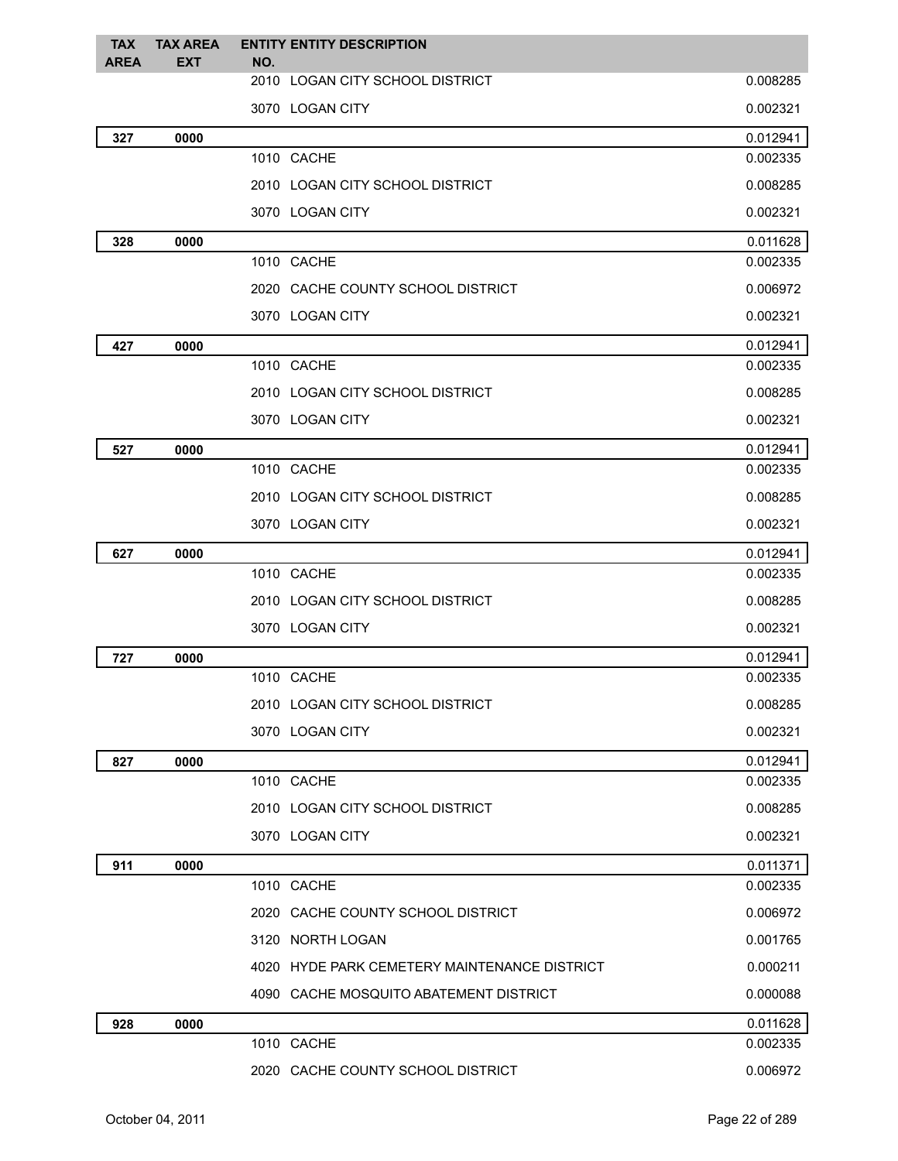| <b>TAX</b><br><b>AREA</b> | <b>TAX AREA</b><br><b>EXT</b> | <b>ENTITY ENTITY DESCRIPTION</b><br>NO.      |          |
|---------------------------|-------------------------------|----------------------------------------------|----------|
|                           |                               | 2010 LOGAN CITY SCHOOL DISTRICT              | 0.008285 |
|                           |                               | 3070 LOGAN CITY                              | 0.002321 |
| 327                       | 0000                          |                                              | 0.012941 |
|                           |                               | 1010 CACHE                                   | 0.002335 |
|                           |                               | 2010 LOGAN CITY SCHOOL DISTRICT              | 0.008285 |
|                           |                               | 3070 LOGAN CITY                              | 0.002321 |
| 328                       | 0000                          |                                              | 0.011628 |
|                           |                               | 1010 CACHE                                   | 0.002335 |
|                           |                               | 2020 CACHE COUNTY SCHOOL DISTRICT            | 0.006972 |
|                           |                               | 3070 LOGAN CITY                              | 0.002321 |
| 427                       | 0000                          |                                              | 0.012941 |
|                           |                               | 1010 CACHE                                   | 0.002335 |
|                           |                               | 2010 LOGAN CITY SCHOOL DISTRICT              | 0.008285 |
|                           |                               | 3070 LOGAN CITY                              | 0.002321 |
| 527                       | 0000                          |                                              | 0.012941 |
|                           |                               | 1010 CACHE                                   | 0.002335 |
|                           |                               | 2010 LOGAN CITY SCHOOL DISTRICT              | 0.008285 |
|                           |                               | 3070 LOGAN CITY                              | 0.002321 |
| 627                       | 0000                          |                                              | 0.012941 |
|                           |                               | 1010 CACHE                                   | 0.002335 |
|                           |                               | 2010 LOGAN CITY SCHOOL DISTRICT              | 0.008285 |
|                           |                               | 3070 LOGAN CITY                              | 0.002321 |
| 727                       | 0000                          |                                              | 0.012941 |
|                           |                               | 1010 CACHE                                   | 0.002335 |
|                           |                               | 2010 LOGAN CITY SCHOOL DISTRICT              | 0.008285 |
|                           |                               | 3070 LOGAN CITY                              | 0.002321 |
| 827                       | 0000                          |                                              | 0.012941 |
|                           |                               | 1010 CACHE                                   | 0.002335 |
|                           |                               | 2010 LOGAN CITY SCHOOL DISTRICT              | 0.008285 |
|                           |                               | 3070 LOGAN CITY                              | 0.002321 |
| 911                       | 0000                          |                                              | 0.011371 |
|                           |                               | 1010 CACHE                                   | 0.002335 |
|                           |                               | 2020 CACHE COUNTY SCHOOL DISTRICT            | 0.006972 |
|                           |                               | 3120 NORTH LOGAN                             | 0.001765 |
|                           |                               | 4020 HYDE PARK CEMETERY MAINTENANCE DISTRICT | 0.000211 |
|                           |                               | 4090 CACHE MOSQUITO ABATEMENT DISTRICT       | 0.000088 |
| 928                       | 0000                          |                                              | 0.011628 |
|                           |                               | 1010 CACHE                                   | 0.002335 |
|                           |                               | 2020 CACHE COUNTY SCHOOL DISTRICT            | 0.006972 |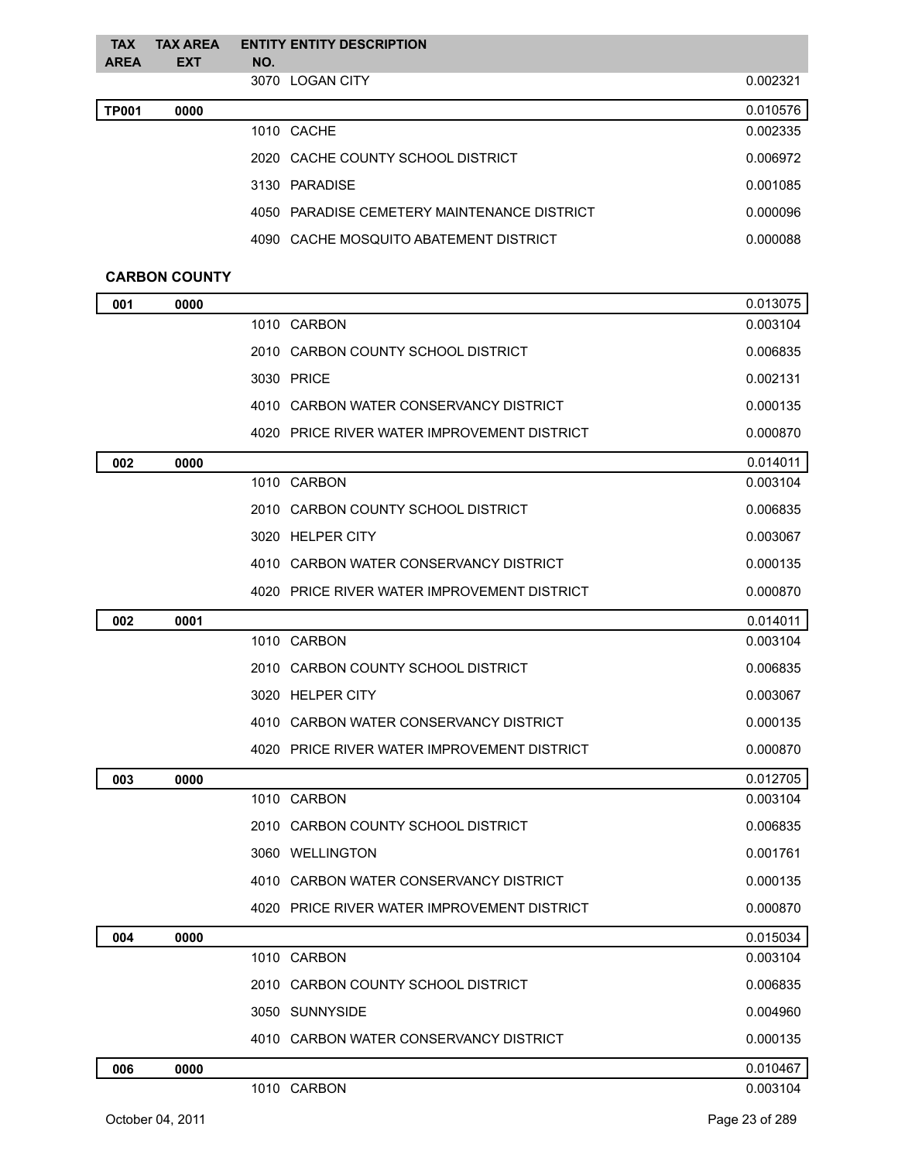| <b>TAX</b>   | <b>TAX AREA</b>      |     | <b>ENTITY ENTITY DESCRIPTION</b>            |          |
|--------------|----------------------|-----|---------------------------------------------|----------|
| <b>AREA</b>  | <b>EXT</b>           | NO. |                                             |          |
|              |                      |     | 3070 LOGAN CITY                             | 0.002321 |
| <b>TP001</b> | 0000                 |     |                                             | 0.010576 |
|              |                      |     | 1010 CACHE                                  | 0.002335 |
|              |                      |     | 2020 CACHE COUNTY SCHOOL DISTRICT           | 0.006972 |
|              |                      |     | 3130 PARADISE                               | 0.001085 |
|              |                      |     | 4050 PARADISE CEMETERY MAINTENANCE DISTRICT | 0.000096 |
|              |                      |     | 4090 CACHE MOSQUITO ABATEMENT DISTRICT      | 0.000088 |
|              | <b>CARBON COUNTY</b> |     |                                             |          |
| 001          | 0000                 |     |                                             | 0.013075 |
|              |                      |     | 1010 CARBON                                 | 0.003104 |
|              |                      |     | 2010 CARBON COUNTY SCHOOL DISTRICT          | 0.006835 |
|              |                      |     | 3030 PRICE                                  | 0.002131 |
|              |                      |     | 4010 CARBON WATER CONSERVANCY DISTRICT      | 0.000135 |
|              |                      |     | 4020 PRICE RIVER WATER IMPROVEMENT DISTRICT | 0.000870 |
| 002          | 0000                 |     |                                             | 0.014011 |
|              |                      |     | 1010 CARBON                                 | 0.003104 |
|              |                      |     | 2010 CARBON COUNTY SCHOOL DISTRICT          | 0.006835 |
|              |                      |     | 3020 HELPER CITY                            | 0.003067 |
|              |                      |     | 4010 CARBON WATER CONSERVANCY DISTRICT      | 0.000135 |
|              |                      |     | 4020 PRICE RIVER WATER IMPROVEMENT DISTRICT | 0.000870 |
| 002          | 0001                 |     |                                             | 0.014011 |
|              |                      |     | 1010 CARBON                                 | 0.003104 |
|              |                      |     | 2010 CARBON COUNTY SCHOOL DISTRICT          | 0.006835 |
|              |                      |     | 3020 HELPER CITY                            | 0.003067 |
|              |                      |     | 4010 CARBON WATER CONSERVANCY DISTRICT      | 0.000135 |
|              |                      |     | 4020 PRICE RIVER WATER IMPROVEMENT DISTRICT | 0.000870 |
| 003          | 0000                 |     |                                             | 0.012705 |
|              |                      |     | 1010 CARBON                                 | 0.003104 |
|              |                      |     | 2010 CARBON COUNTY SCHOOL DISTRICT          | 0.006835 |
|              |                      |     | 3060 WELLINGTON                             | 0.001761 |
|              |                      |     | 4010 CARBON WATER CONSERVANCY DISTRICT      | 0.000135 |

|     |      | 4020 PRICE RIVER WATER IMPROVEMENT DISTRICT | 0.000870 |
|-----|------|---------------------------------------------|----------|
| 004 | 0000 |                                             | 0.015034 |
|     |      | 1010 CARBON                                 | 0.003104 |
|     |      | 2010 CARBON COUNTY SCHOOL DISTRICT          | 0.006835 |
|     |      | 3050 SUNNYSIDE                              | 0.004960 |
|     |      | 4010 CARBON WATER CONSERVANCY DISTRICT      | 0.000135 |
| 006 | 0000 |                                             | 0.010467 |
|     |      | 1010 CARBON                                 | 0.003104 |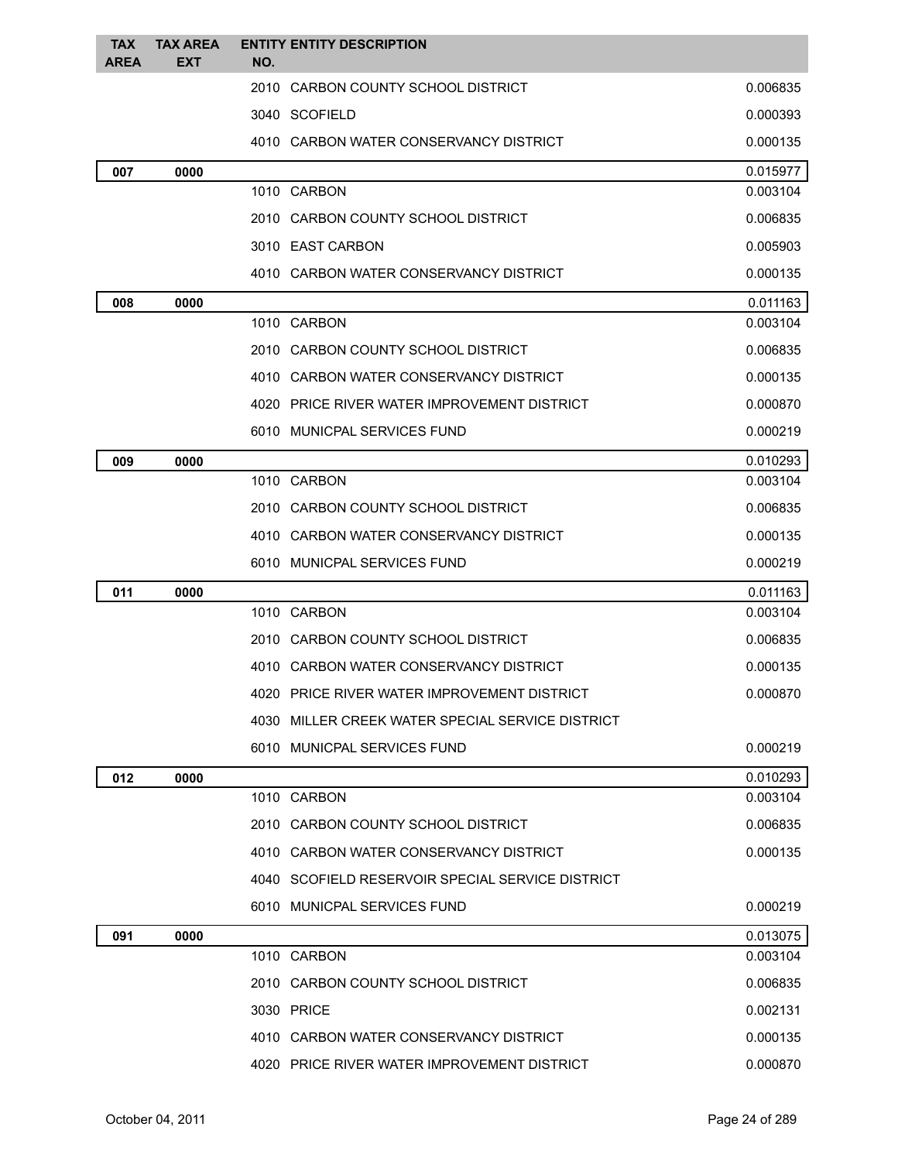| <b>TAX</b>  | <b>TAX AREA</b> | <b>ENTITY ENTITY DESCRIPTION</b>                 |          |
|-------------|-----------------|--------------------------------------------------|----------|
| <b>AREA</b> | <b>EXT</b>      | NO.                                              |          |
|             |                 | 2010 CARBON COUNTY SCHOOL DISTRICT               | 0.006835 |
|             |                 | 3040 SCOFIELD                                    | 0.000393 |
|             |                 | 4010 CARBON WATER CONSERVANCY DISTRICT           | 0.000135 |
| 007         | 0000            |                                                  | 0.015977 |
|             |                 | 1010 CARBON                                      | 0.003104 |
|             |                 | 2010 CARBON COUNTY SCHOOL DISTRICT               | 0.006835 |
|             |                 | 3010 EAST CARBON                                 | 0.005903 |
|             |                 | 4010 CARBON WATER CONSERVANCY DISTRICT           | 0.000135 |
| 008         | 0000            |                                                  | 0.011163 |
|             |                 | 1010 CARBON                                      | 0.003104 |
|             |                 | 2010 CARBON COUNTY SCHOOL DISTRICT               | 0.006835 |
|             |                 | 4010 CARBON WATER CONSERVANCY DISTRICT           | 0.000135 |
|             |                 | 4020 PRICE RIVER WATER IMPROVEMENT DISTRICT      | 0.000870 |
|             |                 | 6010 MUNICPAL SERVICES FUND                      | 0.000219 |
| 009         | 0000            |                                                  | 0.010293 |
|             |                 | 1010 CARBON                                      | 0.003104 |
|             |                 | 2010 CARBON COUNTY SCHOOL DISTRICT               | 0.006835 |
|             |                 | 4010 CARBON WATER CONSERVANCY DISTRICT           | 0.000135 |
|             |                 | 6010 MUNICPAL SERVICES FUND                      | 0.000219 |
| 011         | 0000            |                                                  | 0.011163 |
|             |                 | 1010 CARBON                                      | 0.003104 |
|             |                 | 2010 CARBON COUNTY SCHOOL DISTRICT               | 0.006835 |
|             |                 | 4010 CARBON WATER CONSERVANCY DISTRICT           | 0.000135 |
|             |                 | 4020 PRICE RIVER WATER IMPROVEMENT DISTRICT      | 0.000870 |
|             |                 | 4030 MILLER CREEK WATER SPECIAL SERVICE DISTRICT |          |
|             |                 | 6010 MUNICPAL SERVICES FUND                      | 0.000219 |
| 012         | 0000            |                                                  | 0.010293 |
|             |                 | 1010 CARBON                                      | 0.003104 |
|             |                 | 2010 CARBON COUNTY SCHOOL DISTRICT               | 0.006835 |
|             |                 | 4010 CARBON WATER CONSERVANCY DISTRICT           | 0.000135 |
|             |                 | 4040 SCOFIELD RESERVOIR SPECIAL SERVICE DISTRICT |          |
|             |                 | 6010 MUNICPAL SERVICES FUND                      | 0.000219 |
| 091         | 0000            |                                                  | 0.013075 |
|             |                 | 1010 CARBON                                      | 0.003104 |
|             |                 | 2010 CARBON COUNTY SCHOOL DISTRICT               | 0.006835 |
|             |                 | 3030 PRICE                                       | 0.002131 |
|             |                 | 4010 CARBON WATER CONSERVANCY DISTRICT           | 0.000135 |
|             |                 | 4020 PRICE RIVER WATER IMPROVEMENT DISTRICT      | 0.000870 |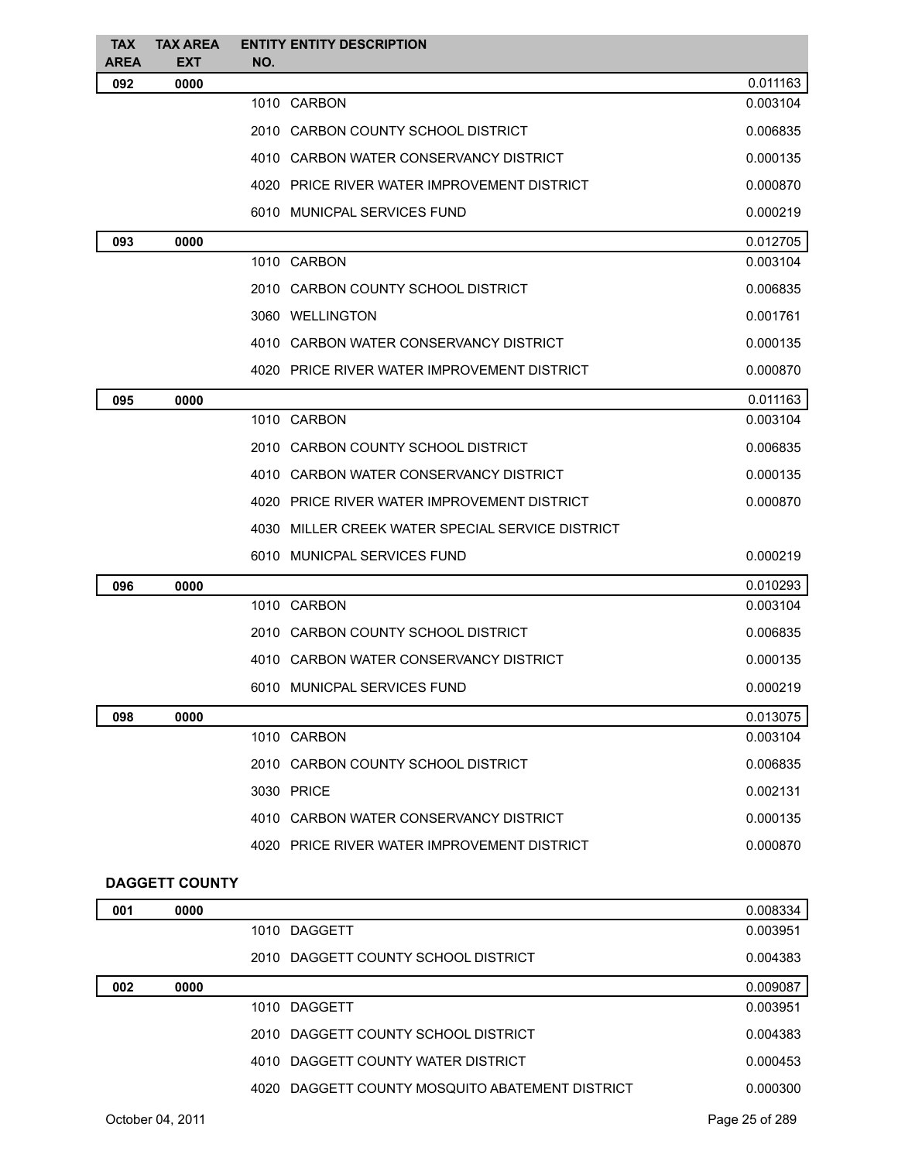| <b>TAX</b><br><b>AREA</b> | <b>TAX AREA</b><br><b>EXT</b> | NO. | <b>ENTITY ENTITY DESCRIPTION</b>                 |          |
|---------------------------|-------------------------------|-----|--------------------------------------------------|----------|
| 092                       | 0000                          |     |                                                  | 0.011163 |
|                           |                               |     | 1010 CARBON                                      | 0.003104 |
|                           |                               |     | 2010 CARBON COUNTY SCHOOL DISTRICT               | 0.006835 |
|                           |                               |     | 4010 CARBON WATER CONSERVANCY DISTRICT           | 0.000135 |
|                           |                               |     | 4020 PRICE RIVER WATER IMPROVEMENT DISTRICT      | 0.000870 |
|                           |                               |     | 6010 MUNICPAL SERVICES FUND                      | 0.000219 |
| 093                       | 0000                          |     |                                                  | 0.012705 |
|                           |                               |     | 1010 CARBON                                      | 0.003104 |
|                           |                               |     | 2010 CARBON COUNTY SCHOOL DISTRICT               | 0.006835 |
|                           |                               |     | 3060 WELLINGTON                                  | 0.001761 |
|                           |                               |     | 4010 CARBON WATER CONSERVANCY DISTRICT           | 0.000135 |
|                           |                               |     | 4020 PRICE RIVER WATER IMPROVEMENT DISTRICT      | 0.000870 |
| 095                       | 0000                          |     |                                                  | 0.011163 |
|                           |                               |     | 1010 CARBON                                      | 0.003104 |
|                           |                               |     | 2010 CARBON COUNTY SCHOOL DISTRICT               | 0.006835 |
|                           |                               |     | 4010 CARBON WATER CONSERVANCY DISTRICT           | 0.000135 |
|                           |                               |     | 4020 PRICE RIVER WATER IMPROVEMENT DISTRICT      | 0.000870 |
|                           |                               |     | 4030 MILLER CREEK WATER SPECIAL SERVICE DISTRICT |          |
|                           |                               |     | 6010 MUNICPAL SERVICES FUND                      | 0.000219 |
| 096                       | 0000                          |     |                                                  | 0.010293 |
|                           |                               |     | 1010 CARBON                                      | 0.003104 |
|                           |                               |     | 2010 CARBON COUNTY SCHOOL DISTRICT               | 0.006835 |
|                           |                               |     | 4010 CARBON WATER CONSERVANCY DISTRICT           | 0.000135 |
|                           |                               |     | 6010 MUNICPAL SERVICES FUND                      | 0.000219 |
| 098                       | 0000                          |     |                                                  | 0.013075 |
|                           |                               |     | 1010 CARBON                                      | 0.003104 |
|                           |                               |     | 2010 CARBON COUNTY SCHOOL DISTRICT               | 0.006835 |
|                           |                               |     | 3030 PRICE                                       | 0.002131 |
|                           |                               |     | 4010 CARBON WATER CONSERVANCY DISTRICT           | 0.000135 |
|                           |                               |     | 4020 PRICE RIVER WATER IMPROVEMENT DISTRICT      | 0.000870 |
|                           | <b>DAGGETT COUNTY</b>         |     |                                                  |          |
| 001                       | 0000                          |     |                                                  | 0.008334 |
|                           |                               |     | 1010 DAGGETT                                     | 0.003951 |
|                           |                               |     | 2010 DAGGETT COUNTY SCHOOL DISTRICT              | 0.004383 |
| 002                       | 0000                          |     |                                                  | 0.009087 |

| 002 | 0000 |                                                 | 0.009087 |
|-----|------|-------------------------------------------------|----------|
|     |      | 1010 DAGGETT                                    | 0.003951 |
|     |      | 2010 DAGGETT COUNTY SCHOOL DISTRICT             | 0.004383 |
|     |      | 4010 DAGGETT COUNTY WATER DISTRICT              | 0.000453 |
|     |      | 4020 DAGGETT COUNTY MOSQUITO ABATEMENT DISTRICT | 0.000300 |
|     |      |                                                 |          |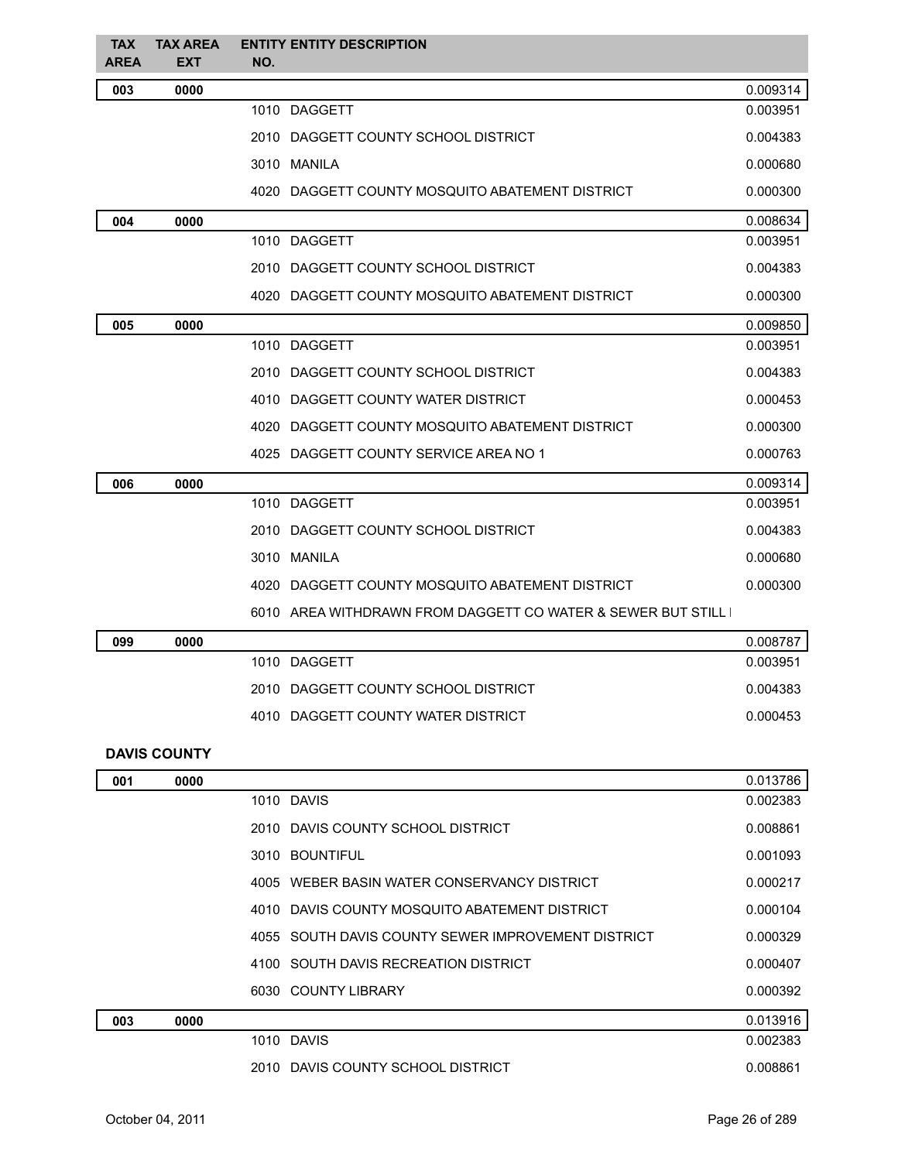| <b>TAX</b><br><b>AREA</b> | <b>TAX AREA</b><br><b>EXT</b> | NO. | <b>ENTITY ENTITY DESCRIPTION</b>                            |          |
|---------------------------|-------------------------------|-----|-------------------------------------------------------------|----------|
| 003                       | 0000                          |     |                                                             | 0.009314 |
|                           |                               |     | 1010 DAGGETT                                                | 0.003951 |
|                           |                               |     | 2010 DAGGETT COUNTY SCHOOL DISTRICT                         | 0.004383 |
|                           |                               |     | 3010 MANILA                                                 | 0.000680 |
|                           |                               |     | 4020 DAGGETT COUNTY MOSQUITO ABATEMENT DISTRICT             | 0.000300 |
| 004                       | 0000                          |     |                                                             | 0.008634 |
|                           |                               |     | 1010 DAGGETT                                                | 0.003951 |
|                           |                               |     | 2010 DAGGETT COUNTY SCHOOL DISTRICT                         | 0.004383 |
|                           |                               |     | 4020 DAGGETT COUNTY MOSQUITO ABATEMENT DISTRICT             | 0.000300 |
| 005                       | 0000                          |     |                                                             | 0.009850 |
|                           |                               |     | 1010 DAGGETT                                                | 0.003951 |
|                           |                               |     | 2010 DAGGETT COUNTY SCHOOL DISTRICT                         | 0.004383 |
|                           |                               |     | 4010 DAGGETT COUNTY WATER DISTRICT                          | 0.000453 |
|                           |                               |     | 4020 DAGGETT COUNTY MOSQUITO ABATEMENT DISTRICT             | 0.000300 |
|                           |                               |     | 4025 DAGGETT COUNTY SERVICE AREA NO 1                       | 0.000763 |
| 006                       | 0000                          |     |                                                             | 0.009314 |
|                           |                               |     | 1010 DAGGETT                                                | 0.003951 |
|                           |                               |     | 2010 DAGGETT COUNTY SCHOOL DISTRICT                         | 0.004383 |
|                           |                               |     | 3010 MANILA                                                 | 0.000680 |
|                           |                               |     | 4020 DAGGETT COUNTY MOSQUITO ABATEMENT DISTRICT             | 0.000300 |
|                           |                               |     | 6010 AREA WITHDRAWN FROM DAGGETT CO WATER & SEWER BUT STILL |          |
| 099                       | 0000                          |     |                                                             | 0.008787 |
|                           |                               |     | 1010 DAGGETT                                                | 0.003951 |
|                           |                               |     | 2010 DAGGETT COUNTY SCHOOL DISTRICT                         | 0.004383 |
|                           |                               |     | 4010 DAGGETT COUNTY WATER DISTRICT                          | 0.000453 |
|                           | <b>DAVIS COUNTY</b>           |     |                                                             |          |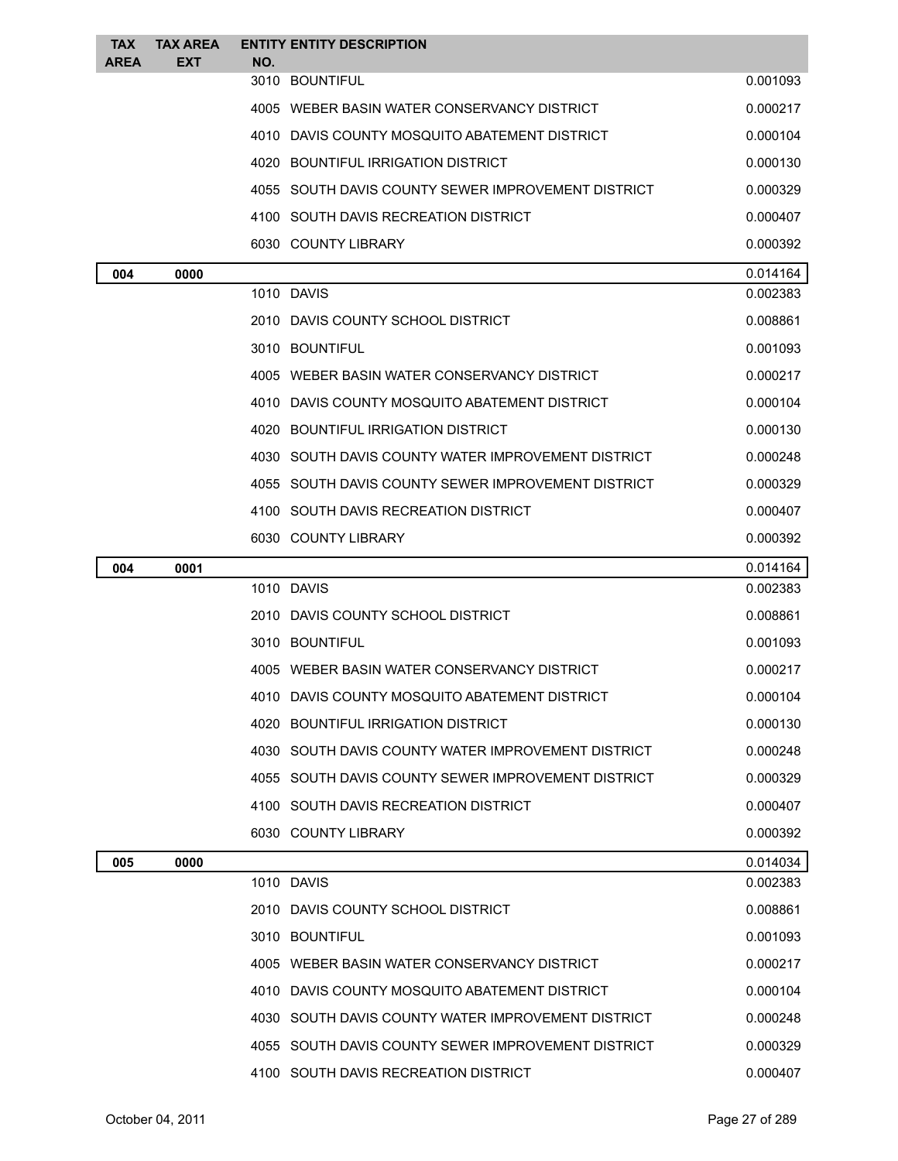| <b>TAX</b>  | <b>TAX AREA</b> | <b>ENTITY ENTITY DESCRIPTION</b>                   |          |
|-------------|-----------------|----------------------------------------------------|----------|
| <b>AREA</b> | <b>EXT</b>      | NO.<br>3010 BOUNTIFUL                              | 0.001093 |
|             |                 |                                                    |          |
|             |                 | 4005 WEBER BASIN WATER CONSERVANCY DISTRICT        | 0.000217 |
|             |                 | 4010 DAVIS COUNTY MOSQUITO ABATEMENT DISTRICT      | 0.000104 |
|             |                 | 4020 BOUNTIFUL IRRIGATION DISTRICT                 | 0.000130 |
|             |                 | 4055 SOUTH DAVIS COUNTY SEWER IMPROVEMENT DISTRICT | 0.000329 |
|             |                 | 4100 SOUTH DAVIS RECREATION DISTRICT               | 0.000407 |
|             |                 | 6030 COUNTY LIBRARY                                | 0.000392 |
| 004         | 0000            |                                                    | 0.014164 |
|             |                 | 1010 DAVIS                                         | 0.002383 |
|             |                 | 2010 DAVIS COUNTY SCHOOL DISTRICT                  | 0.008861 |
|             |                 | 3010 BOUNTIFUL                                     | 0.001093 |
|             |                 | 4005 WEBER BASIN WATER CONSERVANCY DISTRICT        | 0.000217 |
|             |                 | 4010 DAVIS COUNTY MOSQUITO ABATEMENT DISTRICT      | 0.000104 |
|             |                 | 4020 BOUNTIFUL IRRIGATION DISTRICT                 | 0.000130 |
|             |                 | 4030 SOUTH DAVIS COUNTY WATER IMPROVEMENT DISTRICT | 0.000248 |
|             |                 | 4055 SOUTH DAVIS COUNTY SEWER IMPROVEMENT DISTRICT | 0.000329 |
|             |                 | 4100 SOUTH DAVIS RECREATION DISTRICT               | 0.000407 |
|             |                 | 6030 COUNTY LIBRARY                                | 0.000392 |
| 004         | 0001            |                                                    | 0.014164 |
|             |                 | 1010 DAVIS                                         | 0.002383 |
|             |                 | 2010 DAVIS COUNTY SCHOOL DISTRICT                  | 0.008861 |
|             |                 | 3010 BOUNTIFUL                                     | 0.001093 |
|             |                 | 4005 WEBER BASIN WATER CONSERVANCY DISTRICT        | 0.000217 |
|             |                 | 4010 DAVIS COUNTY MOSQUITO ABATEMENT DISTRICT      | 0.000104 |
|             |                 | 4020 BOUNTIFUL IRRIGATION DISTRICT                 | 0.000130 |
|             |                 | 4030 SOUTH DAVIS COUNTY WATER IMPROVEMENT DISTRICT | 0.000248 |
|             |                 | 4055 SOUTH DAVIS COUNTY SEWER IMPROVEMENT DISTRICT | 0.000329 |
|             |                 | 4100 SOUTH DAVIS RECREATION DISTRICT               | 0.000407 |
|             |                 | 6030 COUNTY LIBRARY                                | 0.000392 |
| 005         | 0000            |                                                    | 0.014034 |
|             |                 | 1010 DAVIS                                         | 0.002383 |
|             |                 | 2010 DAVIS COUNTY SCHOOL DISTRICT                  | 0.008861 |
|             |                 | 3010 BOUNTIFUL                                     | 0.001093 |
|             |                 | 4005 WEBER BASIN WATER CONSERVANCY DISTRICT        | 0.000217 |
|             |                 | 4010 DAVIS COUNTY MOSQUITO ABATEMENT DISTRICT      | 0.000104 |
|             |                 | 4030 SOUTH DAVIS COUNTY WATER IMPROVEMENT DISTRICT | 0.000248 |
|             |                 | 4055 SOUTH DAVIS COUNTY SEWER IMPROVEMENT DISTRICT | 0.000329 |
|             |                 | 4100 SOUTH DAVIS RECREATION DISTRICT               | 0.000407 |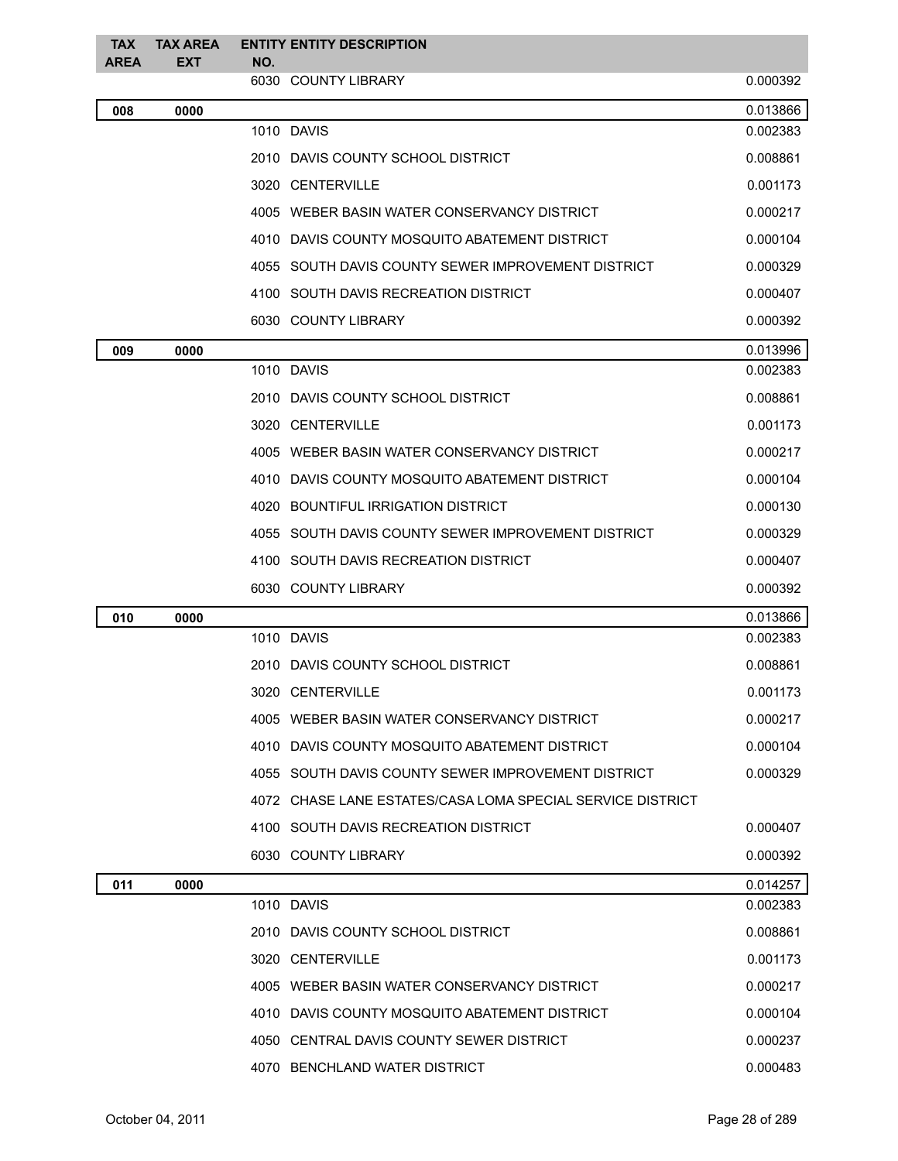| <b>TAX</b><br><b>AREA</b> | <b>TAX AREA</b><br><b>EXT</b> | NO. | <b>ENTITY ENTITY DESCRIPTION</b>                           |          |
|---------------------------|-------------------------------|-----|------------------------------------------------------------|----------|
|                           |                               |     | 6030 COUNTY LIBRARY                                        | 0.000392 |
| 008                       | 0000                          |     |                                                            | 0.013866 |
|                           |                               |     | 1010 DAVIS                                                 | 0.002383 |
|                           |                               |     | 2010 DAVIS COUNTY SCHOOL DISTRICT                          | 0.008861 |
|                           |                               |     | 3020 CENTERVILLE                                           | 0.001173 |
|                           |                               |     | 4005 WEBER BASIN WATER CONSERVANCY DISTRICT                | 0.000217 |
|                           |                               |     | 4010 DAVIS COUNTY MOSQUITO ABATEMENT DISTRICT              | 0.000104 |
|                           |                               |     | 4055 SOUTH DAVIS COUNTY SEWER IMPROVEMENT DISTRICT         | 0.000329 |
|                           |                               |     | 4100 SOUTH DAVIS RECREATION DISTRICT                       | 0.000407 |
|                           |                               |     | 6030 COUNTY LIBRARY                                        | 0.000392 |
| 009                       | 0000                          |     |                                                            | 0.013996 |
|                           |                               |     | 1010 DAVIS                                                 | 0.002383 |
|                           |                               |     | 2010 DAVIS COUNTY SCHOOL DISTRICT                          | 0.008861 |
|                           |                               |     | 3020 CENTERVILLE                                           | 0.001173 |
|                           |                               |     | 4005 WEBER BASIN WATER CONSERVANCY DISTRICT                | 0.000217 |
|                           |                               |     | 4010 DAVIS COUNTY MOSQUITO ABATEMENT DISTRICT              | 0.000104 |
|                           |                               |     | 4020 BOUNTIFUL IRRIGATION DISTRICT                         | 0.000130 |
|                           |                               |     | 4055 SOUTH DAVIS COUNTY SEWER IMPROVEMENT DISTRICT         | 0.000329 |
|                           |                               |     | 4100 SOUTH DAVIS RECREATION DISTRICT                       | 0.000407 |
|                           |                               |     | 6030 COUNTY LIBRARY                                        | 0.000392 |
| 010                       | 0000                          |     |                                                            | 0.013866 |
|                           |                               |     | 1010 DAVIS                                                 | 0.002383 |
|                           |                               |     | 2010 DAVIS COUNTY SCHOOL DISTRICT                          | 0.008861 |
|                           |                               |     | 3020 CENTERVILLE                                           | 0.001173 |
|                           |                               |     | 4005 WEBER BASIN WATER CONSERVANCY DISTRICT                | 0.000217 |
|                           |                               |     | 4010 DAVIS COUNTY MOSQUITO ABATEMENT DISTRICT              | 0.000104 |
|                           |                               |     | 4055 SOUTH DAVIS COUNTY SEWER IMPROVEMENT DISTRICT         | 0.000329 |
|                           |                               |     | 4072 CHASE LANE ESTATES/CASA LOMA SPECIAL SERVICE DISTRICT |          |
|                           |                               |     | 4100 SOUTH DAVIS RECREATION DISTRICT                       | 0.000407 |
|                           |                               |     | 6030 COUNTY LIBRARY                                        | 0.000392 |
| 011                       | 0000                          |     |                                                            | 0.014257 |
|                           |                               |     | 1010 DAVIS                                                 | 0.002383 |
|                           |                               |     | 2010 DAVIS COUNTY SCHOOL DISTRICT                          | 0.008861 |
|                           |                               |     | 3020 CENTERVILLE                                           | 0.001173 |
|                           |                               |     | 4005 WEBER BASIN WATER CONSERVANCY DISTRICT                | 0.000217 |
|                           |                               |     | 4010 DAVIS COUNTY MOSQUITO ABATEMENT DISTRICT              | 0.000104 |
|                           |                               |     | 4050 CENTRAL DAVIS COUNTY SEWER DISTRICT                   | 0.000237 |
|                           |                               |     | 4070 BENCHLAND WATER DISTRICT                              | 0.000483 |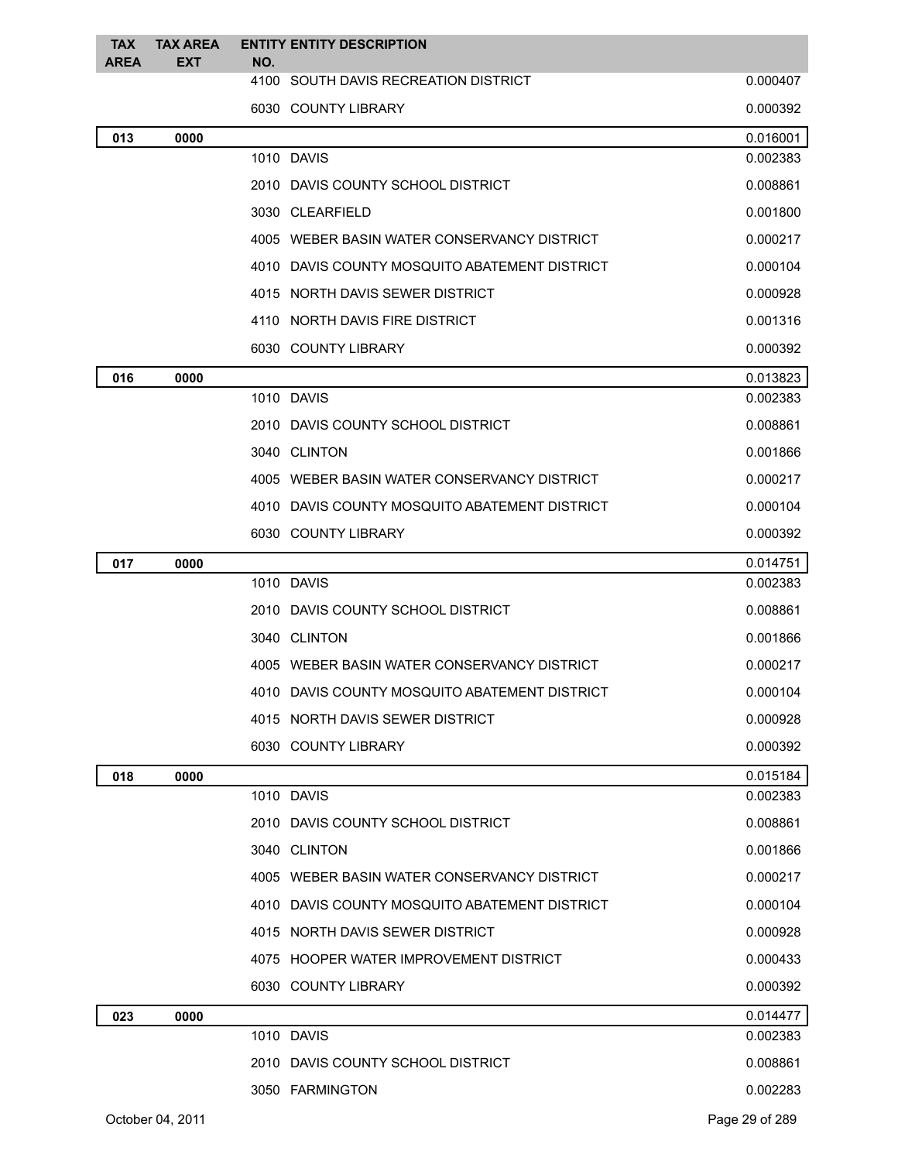| 4100 SOUTH DAVIS RECREATION DISTRICT<br>0.000407<br>6030 COUNTY LIBRARY<br>0.000392<br>0000<br>0.016001<br>013<br>1010 DAVIS<br>0.002383<br>0.008861<br>2010 DAVIS COUNTY SCHOOL DISTRICT<br>3030 CLEARFIELD<br>0.001800<br>4005 WEBER BASIN WATER CONSERVANCY DISTRICT<br>0.000217<br>4010 DAVIS COUNTY MOSQUITO ABATEMENT DISTRICT<br>0.000104<br>4015 NORTH DAVIS SEWER DISTRICT<br>0.000928<br>4110 NORTH DAVIS FIRE DISTRICT<br>0.001316<br>6030 COUNTY LIBRARY<br>0.000392<br>016<br>0000<br>0.013823<br>1010 DAVIS<br>0.002383<br>2010 DAVIS COUNTY SCHOOL DISTRICT<br>0.008861<br>3040 CLINTON<br>0.001866<br>4005 WEBER BASIN WATER CONSERVANCY DISTRICT<br>0.000217<br>4010 DAVIS COUNTY MOSQUITO ABATEMENT DISTRICT<br>0.000104<br>6030 COUNTY LIBRARY<br>0.000392<br>0.014751<br>017<br>0000<br>1010 DAVIS<br>0.002383<br>2010 DAVIS COUNTY SCHOOL DISTRICT<br>0.008861<br>3040 CLINTON<br>0.001866<br>4005 WEBER BASIN WATER CONSERVANCY DISTRICT<br>0.000217<br>4010 DAVIS COUNTY MOSQUITO ABATEMENT DISTRICT<br>0.000104<br>4015 NORTH DAVIS SEWER DISTRICT<br>0.000928<br>6030 COUNTY LIBRARY<br>0.000392<br>0.015184<br>018<br>0000<br>1010 DAVIS<br>0.002383<br>0.008861<br>2010 DAVIS COUNTY SCHOOL DISTRICT<br>3040 CLINTON<br>0.001866<br>4005 WEBER BASIN WATER CONSERVANCY DISTRICT<br>0.000217<br>4010 DAVIS COUNTY MOSQUITO ABATEMENT DISTRICT<br>0.000104<br>4015 NORTH DAVIS SEWER DISTRICT<br>0.000928<br>4075 HOOPER WATER IMPROVEMENT DISTRICT<br>0.000433<br>6030 COUNTY LIBRARY<br>0.000392<br>0.014477<br>023<br>0000<br>1010 DAVIS<br>0.002383<br>2010 DAVIS COUNTY SCHOOL DISTRICT<br>0.008861 | <b>TAX</b><br><b>AREA</b> | <b>TAX AREA</b><br><b>EXT</b> | NO. | <b>ENTITY ENTITY DESCRIPTION</b> |          |
|-----------------------------------------------------------------------------------------------------------------------------------------------------------------------------------------------------------------------------------------------------------------------------------------------------------------------------------------------------------------------------------------------------------------------------------------------------------------------------------------------------------------------------------------------------------------------------------------------------------------------------------------------------------------------------------------------------------------------------------------------------------------------------------------------------------------------------------------------------------------------------------------------------------------------------------------------------------------------------------------------------------------------------------------------------------------------------------------------------------------------------------------------------------------------------------------------------------------------------------------------------------------------------------------------------------------------------------------------------------------------------------------------------------------------------------------------------------------------------------------------------------------------------------------------------------------------------------------------------------------------------------|---------------------------|-------------------------------|-----|----------------------------------|----------|
|                                                                                                                                                                                                                                                                                                                                                                                                                                                                                                                                                                                                                                                                                                                                                                                                                                                                                                                                                                                                                                                                                                                                                                                                                                                                                                                                                                                                                                                                                                                                                                                                                                   |                           |                               |     |                                  |          |
|                                                                                                                                                                                                                                                                                                                                                                                                                                                                                                                                                                                                                                                                                                                                                                                                                                                                                                                                                                                                                                                                                                                                                                                                                                                                                                                                                                                                                                                                                                                                                                                                                                   |                           |                               |     |                                  |          |
|                                                                                                                                                                                                                                                                                                                                                                                                                                                                                                                                                                                                                                                                                                                                                                                                                                                                                                                                                                                                                                                                                                                                                                                                                                                                                                                                                                                                                                                                                                                                                                                                                                   |                           |                               |     |                                  |          |
|                                                                                                                                                                                                                                                                                                                                                                                                                                                                                                                                                                                                                                                                                                                                                                                                                                                                                                                                                                                                                                                                                                                                                                                                                                                                                                                                                                                                                                                                                                                                                                                                                                   |                           |                               |     |                                  |          |
|                                                                                                                                                                                                                                                                                                                                                                                                                                                                                                                                                                                                                                                                                                                                                                                                                                                                                                                                                                                                                                                                                                                                                                                                                                                                                                                                                                                                                                                                                                                                                                                                                                   |                           |                               |     |                                  |          |
|                                                                                                                                                                                                                                                                                                                                                                                                                                                                                                                                                                                                                                                                                                                                                                                                                                                                                                                                                                                                                                                                                                                                                                                                                                                                                                                                                                                                                                                                                                                                                                                                                                   |                           |                               |     |                                  |          |
|                                                                                                                                                                                                                                                                                                                                                                                                                                                                                                                                                                                                                                                                                                                                                                                                                                                                                                                                                                                                                                                                                                                                                                                                                                                                                                                                                                                                                                                                                                                                                                                                                                   |                           |                               |     |                                  |          |
|                                                                                                                                                                                                                                                                                                                                                                                                                                                                                                                                                                                                                                                                                                                                                                                                                                                                                                                                                                                                                                                                                                                                                                                                                                                                                                                                                                                                                                                                                                                                                                                                                                   |                           |                               |     |                                  |          |
|                                                                                                                                                                                                                                                                                                                                                                                                                                                                                                                                                                                                                                                                                                                                                                                                                                                                                                                                                                                                                                                                                                                                                                                                                                                                                                                                                                                                                                                                                                                                                                                                                                   |                           |                               |     |                                  |          |
|                                                                                                                                                                                                                                                                                                                                                                                                                                                                                                                                                                                                                                                                                                                                                                                                                                                                                                                                                                                                                                                                                                                                                                                                                                                                                                                                                                                                                                                                                                                                                                                                                                   |                           |                               |     |                                  |          |
|                                                                                                                                                                                                                                                                                                                                                                                                                                                                                                                                                                                                                                                                                                                                                                                                                                                                                                                                                                                                                                                                                                                                                                                                                                                                                                                                                                                                                                                                                                                                                                                                                                   |                           |                               |     |                                  |          |
|                                                                                                                                                                                                                                                                                                                                                                                                                                                                                                                                                                                                                                                                                                                                                                                                                                                                                                                                                                                                                                                                                                                                                                                                                                                                                                                                                                                                                                                                                                                                                                                                                                   |                           |                               |     |                                  |          |
|                                                                                                                                                                                                                                                                                                                                                                                                                                                                                                                                                                                                                                                                                                                                                                                                                                                                                                                                                                                                                                                                                                                                                                                                                                                                                                                                                                                                                                                                                                                                                                                                                                   |                           |                               |     |                                  |          |
|                                                                                                                                                                                                                                                                                                                                                                                                                                                                                                                                                                                                                                                                                                                                                                                                                                                                                                                                                                                                                                                                                                                                                                                                                                                                                                                                                                                                                                                                                                                                                                                                                                   |                           |                               |     |                                  |          |
|                                                                                                                                                                                                                                                                                                                                                                                                                                                                                                                                                                                                                                                                                                                                                                                                                                                                                                                                                                                                                                                                                                                                                                                                                                                                                                                                                                                                                                                                                                                                                                                                                                   |                           |                               |     |                                  |          |
|                                                                                                                                                                                                                                                                                                                                                                                                                                                                                                                                                                                                                                                                                                                                                                                                                                                                                                                                                                                                                                                                                                                                                                                                                                                                                                                                                                                                                                                                                                                                                                                                                                   |                           |                               |     |                                  |          |
|                                                                                                                                                                                                                                                                                                                                                                                                                                                                                                                                                                                                                                                                                                                                                                                                                                                                                                                                                                                                                                                                                                                                                                                                                                                                                                                                                                                                                                                                                                                                                                                                                                   |                           |                               |     |                                  |          |
|                                                                                                                                                                                                                                                                                                                                                                                                                                                                                                                                                                                                                                                                                                                                                                                                                                                                                                                                                                                                                                                                                                                                                                                                                                                                                                                                                                                                                                                                                                                                                                                                                                   |                           |                               |     |                                  |          |
|                                                                                                                                                                                                                                                                                                                                                                                                                                                                                                                                                                                                                                                                                                                                                                                                                                                                                                                                                                                                                                                                                                                                                                                                                                                                                                                                                                                                                                                                                                                                                                                                                                   |                           |                               |     |                                  |          |
|                                                                                                                                                                                                                                                                                                                                                                                                                                                                                                                                                                                                                                                                                                                                                                                                                                                                                                                                                                                                                                                                                                                                                                                                                                                                                                                                                                                                                                                                                                                                                                                                                                   |                           |                               |     |                                  |          |
|                                                                                                                                                                                                                                                                                                                                                                                                                                                                                                                                                                                                                                                                                                                                                                                                                                                                                                                                                                                                                                                                                                                                                                                                                                                                                                                                                                                                                                                                                                                                                                                                                                   |                           |                               |     |                                  |          |
|                                                                                                                                                                                                                                                                                                                                                                                                                                                                                                                                                                                                                                                                                                                                                                                                                                                                                                                                                                                                                                                                                                                                                                                                                                                                                                                                                                                                                                                                                                                                                                                                                                   |                           |                               |     |                                  |          |
|                                                                                                                                                                                                                                                                                                                                                                                                                                                                                                                                                                                                                                                                                                                                                                                                                                                                                                                                                                                                                                                                                                                                                                                                                                                                                                                                                                                                                                                                                                                                                                                                                                   |                           |                               |     |                                  |          |
|                                                                                                                                                                                                                                                                                                                                                                                                                                                                                                                                                                                                                                                                                                                                                                                                                                                                                                                                                                                                                                                                                                                                                                                                                                                                                                                                                                                                                                                                                                                                                                                                                                   |                           |                               |     |                                  |          |
|                                                                                                                                                                                                                                                                                                                                                                                                                                                                                                                                                                                                                                                                                                                                                                                                                                                                                                                                                                                                                                                                                                                                                                                                                                                                                                                                                                                                                                                                                                                                                                                                                                   |                           |                               |     |                                  |          |
|                                                                                                                                                                                                                                                                                                                                                                                                                                                                                                                                                                                                                                                                                                                                                                                                                                                                                                                                                                                                                                                                                                                                                                                                                                                                                                                                                                                                                                                                                                                                                                                                                                   |                           |                               |     |                                  |          |
|                                                                                                                                                                                                                                                                                                                                                                                                                                                                                                                                                                                                                                                                                                                                                                                                                                                                                                                                                                                                                                                                                                                                                                                                                                                                                                                                                                                                                                                                                                                                                                                                                                   |                           |                               |     |                                  |          |
|                                                                                                                                                                                                                                                                                                                                                                                                                                                                                                                                                                                                                                                                                                                                                                                                                                                                                                                                                                                                                                                                                                                                                                                                                                                                                                                                                                                                                                                                                                                                                                                                                                   |                           |                               |     |                                  |          |
|                                                                                                                                                                                                                                                                                                                                                                                                                                                                                                                                                                                                                                                                                                                                                                                                                                                                                                                                                                                                                                                                                                                                                                                                                                                                                                                                                                                                                                                                                                                                                                                                                                   |                           |                               |     |                                  |          |
|                                                                                                                                                                                                                                                                                                                                                                                                                                                                                                                                                                                                                                                                                                                                                                                                                                                                                                                                                                                                                                                                                                                                                                                                                                                                                                                                                                                                                                                                                                                                                                                                                                   |                           |                               |     |                                  |          |
|                                                                                                                                                                                                                                                                                                                                                                                                                                                                                                                                                                                                                                                                                                                                                                                                                                                                                                                                                                                                                                                                                                                                                                                                                                                                                                                                                                                                                                                                                                                                                                                                                                   |                           |                               |     |                                  |          |
|                                                                                                                                                                                                                                                                                                                                                                                                                                                                                                                                                                                                                                                                                                                                                                                                                                                                                                                                                                                                                                                                                                                                                                                                                                                                                                                                                                                                                                                                                                                                                                                                                                   |                           |                               |     |                                  |          |
|                                                                                                                                                                                                                                                                                                                                                                                                                                                                                                                                                                                                                                                                                                                                                                                                                                                                                                                                                                                                                                                                                                                                                                                                                                                                                                                                                                                                                                                                                                                                                                                                                                   |                           |                               |     |                                  |          |
|                                                                                                                                                                                                                                                                                                                                                                                                                                                                                                                                                                                                                                                                                                                                                                                                                                                                                                                                                                                                                                                                                                                                                                                                                                                                                                                                                                                                                                                                                                                                                                                                                                   |                           |                               |     |                                  |          |
|                                                                                                                                                                                                                                                                                                                                                                                                                                                                                                                                                                                                                                                                                                                                                                                                                                                                                                                                                                                                                                                                                                                                                                                                                                                                                                                                                                                                                                                                                                                                                                                                                                   |                           |                               |     |                                  |          |
|                                                                                                                                                                                                                                                                                                                                                                                                                                                                                                                                                                                                                                                                                                                                                                                                                                                                                                                                                                                                                                                                                                                                                                                                                                                                                                                                                                                                                                                                                                                                                                                                                                   |                           |                               |     |                                  |          |
|                                                                                                                                                                                                                                                                                                                                                                                                                                                                                                                                                                                                                                                                                                                                                                                                                                                                                                                                                                                                                                                                                                                                                                                                                                                                                                                                                                                                                                                                                                                                                                                                                                   |                           |                               |     |                                  |          |
| 3050 FARMINGTON                                                                                                                                                                                                                                                                                                                                                                                                                                                                                                                                                                                                                                                                                                                                                                                                                                                                                                                                                                                                                                                                                                                                                                                                                                                                                                                                                                                                                                                                                                                                                                                                                   |                           |                               |     |                                  | 0.002283 |
| Page 29 of 289<br>October 04, 2011                                                                                                                                                                                                                                                                                                                                                                                                                                                                                                                                                                                                                                                                                                                                                                                                                                                                                                                                                                                                                                                                                                                                                                                                                                                                                                                                                                                                                                                                                                                                                                                                |                           |                               |     |                                  |          |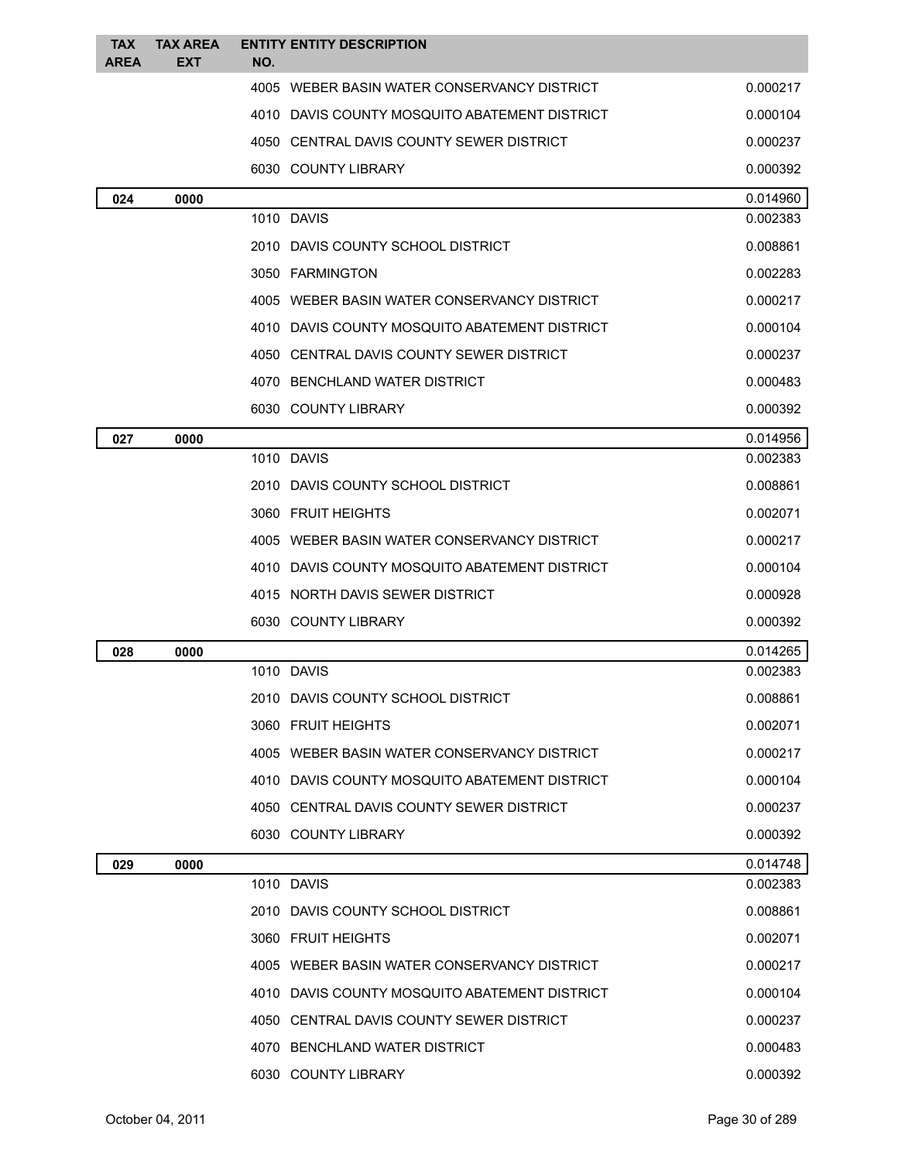| <b>TAX</b>  | <b>TAX AREA</b> |            | <b>ENTITY ENTITY DESCRIPTION</b>              |                      |
|-------------|-----------------|------------|-----------------------------------------------|----------------------|
| <b>AREA</b> | EXT             | NO.        |                                               |                      |
|             |                 |            | 4005 WEBER BASIN WATER CONSERVANCY DISTRICT   | 0.000217             |
|             |                 |            | 4010 DAVIS COUNTY MOSQUITO ABATEMENT DISTRICT | 0.000104             |
|             |                 |            | 4050 CENTRAL DAVIS COUNTY SEWER DISTRICT      | 0.000237             |
|             |                 |            | 6030 COUNTY LIBRARY                           | 0.000392             |
| 024         | 0000            | 1010 DAVIS |                                               | 0.014960<br>0.002383 |
|             |                 |            | 2010 DAVIS COUNTY SCHOOL DISTRICT             | 0.008861             |
|             |                 |            | 3050 FARMINGTON                               | 0.002283             |
|             |                 |            | 4005 WEBER BASIN WATER CONSERVANCY DISTRICT   | 0.000217             |
|             |                 |            | 4010 DAVIS COUNTY MOSQUITO ABATEMENT DISTRICT | 0.000104             |
|             |                 |            | 4050 CENTRAL DAVIS COUNTY SEWER DISTRICT      | 0.000237             |
|             |                 |            | 4070 BENCHLAND WATER DISTRICT                 |                      |
|             |                 |            |                                               | 0.000483             |
|             |                 |            | 6030 COUNTY LIBRARY                           | 0.000392             |
| 027         | 0000            | 1010 DAVIS |                                               | 0.014956<br>0.002383 |
|             |                 |            | 2010 DAVIS COUNTY SCHOOL DISTRICT             | 0.008861             |
|             |                 |            | 3060 FRUIT HEIGHTS                            | 0.002071             |
|             |                 |            |                                               |                      |
|             |                 |            | 4005 WEBER BASIN WATER CONSERVANCY DISTRICT   | 0.000217             |
|             |                 |            | 4010 DAVIS COUNTY MOSQUITO ABATEMENT DISTRICT | 0.000104             |
|             |                 |            | 4015 NORTH DAVIS SEWER DISTRICT               | 0.000928             |
|             |                 |            | 6030 COUNTY LIBRARY                           | 0.000392             |
| 028         | 0000            | 1010 DAVIS |                                               | 0.014265<br>0.002383 |
|             |                 |            | 2010 DAVIS COUNTY SCHOOL DISTRICT             | 0.008861             |
|             |                 |            | 3060 FRUIT HEIGHTS                            | 0.002071             |
|             |                 |            | 4005 WEBER BASIN WATER CONSERVANCY DISTRICT   | 0.000217             |
|             |                 |            | 4010 DAVIS COUNTY MOSQUITO ABATEMENT DISTRICT | 0.000104             |
|             |                 |            | 4050 CENTRAL DAVIS COUNTY SEWER DISTRICT      | 0.000237             |
|             |                 |            | 6030 COUNTY LIBRARY                           | 0.000392             |
|             |                 |            |                                               |                      |
| 029         | 0000            | 1010 DAVIS |                                               | 0.014748<br>0.002383 |
|             |                 |            | 2010 DAVIS COUNTY SCHOOL DISTRICT             | 0.008861             |
|             |                 |            | 3060 FRUIT HEIGHTS                            | 0.002071             |
|             |                 |            | 4005 WEBER BASIN WATER CONSERVANCY DISTRICT   | 0.000217             |
|             |                 |            | 4010 DAVIS COUNTY MOSQUITO ABATEMENT DISTRICT | 0.000104             |
|             |                 |            | 4050 CENTRAL DAVIS COUNTY SEWER DISTRICT      | 0.000237             |
|             |                 |            | 4070 BENCHLAND WATER DISTRICT                 | 0.000483             |
|             |                 |            | 6030 COUNTY LIBRARY                           | 0.000392             |
|             |                 |            |                                               |                      |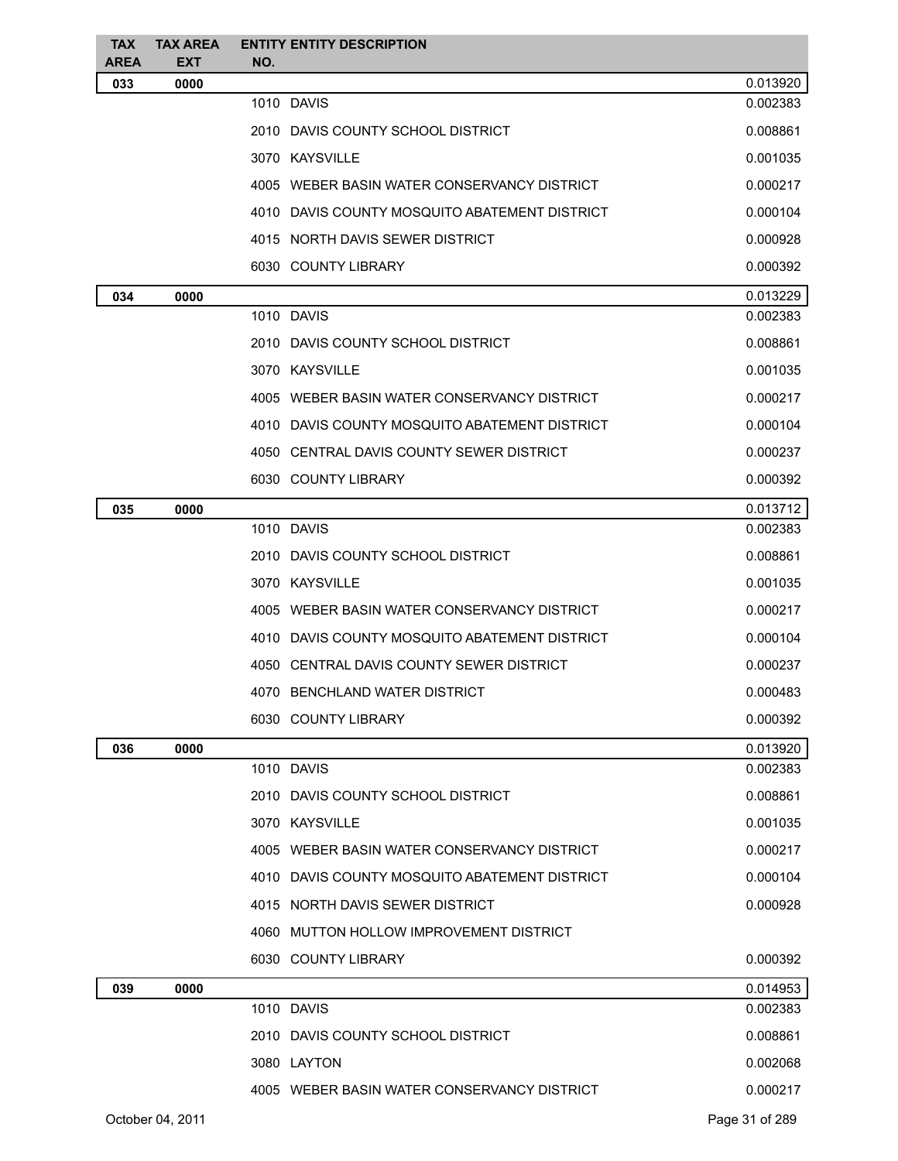| <b>TAX</b><br><b>AREA</b> | <b>TAX AREA</b><br><b>EXT</b> |     | <b>ENTITY ENTITY DESCRIPTION</b>              |                |
|---------------------------|-------------------------------|-----|-----------------------------------------------|----------------|
| 033                       | 0000                          | NO. |                                               | 0.013920       |
|                           |                               |     | 1010 DAVIS                                    | 0.002383       |
|                           |                               |     | 2010 DAVIS COUNTY SCHOOL DISTRICT             | 0.008861       |
|                           |                               |     | 3070 KAYSVILLE                                | 0.001035       |
|                           |                               |     | 4005 WEBER BASIN WATER CONSERVANCY DISTRICT   | 0.000217       |
|                           |                               |     | 4010 DAVIS COUNTY MOSQUITO ABATEMENT DISTRICT | 0.000104       |
|                           |                               |     | 4015 NORTH DAVIS SEWER DISTRICT               | 0.000928       |
|                           |                               |     | 6030 COUNTY LIBRARY                           | 0.000392       |
| 034                       | 0000                          |     |                                               | 0.013229       |
|                           |                               |     | 1010 DAVIS                                    | 0.002383       |
|                           |                               |     | 2010 DAVIS COUNTY SCHOOL DISTRICT             | 0.008861       |
|                           |                               |     | 3070 KAYSVILLE                                | 0.001035       |
|                           |                               |     | 4005 WEBER BASIN WATER CONSERVANCY DISTRICT   | 0.000217       |
|                           |                               |     | 4010 DAVIS COUNTY MOSQUITO ABATEMENT DISTRICT | 0.000104       |
|                           |                               |     | 4050 CENTRAL DAVIS COUNTY SEWER DISTRICT      | 0.000237       |
|                           |                               |     | 6030 COUNTY LIBRARY                           | 0.000392       |
| 035                       | 0000                          |     |                                               | 0.013712       |
|                           |                               |     | 1010 DAVIS                                    | 0.002383       |
|                           |                               |     | 2010 DAVIS COUNTY SCHOOL DISTRICT             | 0.008861       |
|                           |                               |     | 3070 KAYSVILLE                                | 0.001035       |
|                           |                               |     | 4005 WEBER BASIN WATER CONSERVANCY DISTRICT   | 0.000217       |
|                           |                               |     | 4010 DAVIS COUNTY MOSQUITO ABATEMENT DISTRICT | 0.000104       |
|                           |                               |     | 4050 CENTRAL DAVIS COUNTY SEWER DISTRICT      | 0.000237       |
|                           |                               |     | 4070 BENCHLAND WATER DISTRICT                 | 0.000483       |
|                           |                               |     | 6030 COUNTY LIBRARY                           | 0.000392       |
| 036                       | 0000                          |     |                                               | 0.013920       |
|                           |                               |     | 1010 DAVIS                                    | 0.002383       |
|                           |                               |     | 2010 DAVIS COUNTY SCHOOL DISTRICT             | 0.008861       |
|                           |                               |     | 3070 KAYSVILLE                                | 0.001035       |
|                           |                               |     | 4005 WEBER BASIN WATER CONSERVANCY DISTRICT   | 0.000217       |
|                           |                               |     | 4010 DAVIS COUNTY MOSQUITO ABATEMENT DISTRICT | 0.000104       |
|                           |                               |     | 4015 NORTH DAVIS SEWER DISTRICT               | 0.000928       |
|                           |                               |     | 4060 MUTTON HOLLOW IMPROVEMENT DISTRICT       |                |
|                           |                               |     | 6030 COUNTY LIBRARY                           | 0.000392       |
| 039                       | 0000                          |     |                                               | 0.014953       |
|                           |                               |     | 1010 DAVIS                                    | 0.002383       |
|                           |                               |     | 2010 DAVIS COUNTY SCHOOL DISTRICT             | 0.008861       |
|                           |                               |     | 3080 LAYTON                                   | 0.002068       |
|                           |                               |     | 4005 WEBER BASIN WATER CONSERVANCY DISTRICT   | 0.000217       |
|                           | October 04, 2011              |     |                                               | Page 31 of 289 |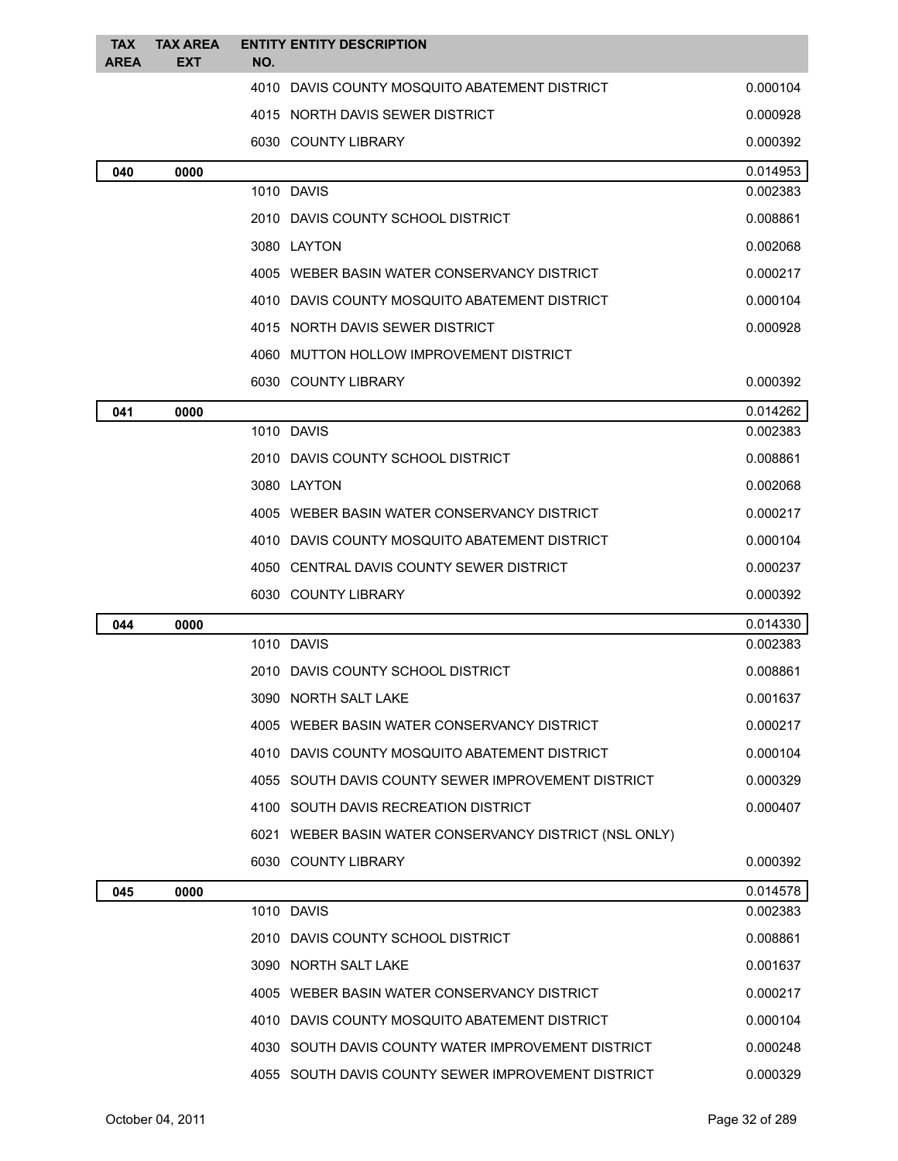| <b>TAX</b>  | <b>TAX AREA</b> | <b>ENTITY ENTITY DESCRIPTION</b>                       |                      |
|-------------|-----------------|--------------------------------------------------------|----------------------|
| <b>AREA</b> | <b>EXT</b>      | NO.                                                    |                      |
|             |                 | 4010 DAVIS COUNTY MOSQUITO ABATEMENT DISTRICT          | 0.000104             |
|             |                 | 4015 NORTH DAVIS SEWER DISTRICT                        | 0.000928             |
|             |                 | 6030 COUNTY LIBRARY                                    | 0.000392             |
| 040         | 0000            | 1010 DAVIS                                             | 0.014953<br>0.002383 |
|             |                 |                                                        |                      |
|             |                 | 2010 DAVIS COUNTY SCHOOL DISTRICT                      | 0.008861             |
|             |                 | 3080 LAYTON                                            | 0.002068             |
|             |                 | 4005 WEBER BASIN WATER CONSERVANCY DISTRICT            | 0.000217             |
|             |                 | 4010 DAVIS COUNTY MOSQUITO ABATEMENT DISTRICT          | 0.000104             |
|             |                 | 4015 NORTH DAVIS SEWER DISTRICT                        | 0.000928             |
|             |                 | 4060 MUTTON HOLLOW IMPROVEMENT DISTRICT                |                      |
|             |                 | 6030 COUNTY LIBRARY                                    | 0.000392             |
| 041         | 0000            |                                                        | 0.014262             |
|             |                 | 1010 DAVIS                                             | 0.002383             |
|             |                 | 2010 DAVIS COUNTY SCHOOL DISTRICT                      | 0.008861             |
|             |                 | 3080 LAYTON                                            | 0.002068             |
|             |                 | 4005 WEBER BASIN WATER CONSERVANCY DISTRICT            | 0.000217             |
|             |                 | 4010 DAVIS COUNTY MOSQUITO ABATEMENT DISTRICT          | 0.000104             |
|             |                 | 4050 CENTRAL DAVIS COUNTY SEWER DISTRICT               | 0.000237             |
|             |                 | 6030 COUNTY LIBRARY                                    | 0.000392             |
| 044         | 0000            |                                                        | 0.014330             |
|             |                 | 1010 DAVIS                                             | 0.002383             |
|             |                 | 2010 DAVIS COUNTY SCHOOL DISTRICT                      | 0.008861             |
|             |                 | 3090 NORTH SALT LAKE                                   | 0.001637             |
|             |                 | 4005 WEBER BASIN WATER CONSERVANCY DISTRICT            | 0.000217             |
|             |                 | 4010 DAVIS COUNTY MOSQUITO ABATEMENT DISTRICT          | 0.000104             |
|             |                 | 4055 SOUTH DAVIS COUNTY SEWER IMPROVEMENT DISTRICT     | 0.000329             |
|             |                 | 4100 SOUTH DAVIS RECREATION DISTRICT                   | 0.000407             |
|             |                 | 6021 WEBER BASIN WATER CONSERVANCY DISTRICT (NSL ONLY) |                      |
|             |                 | 6030 COUNTY LIBRARY                                    | 0.000392             |
| 045         | 0000            |                                                        | 0.014578             |
|             |                 | 1010 DAVIS                                             | 0.002383             |
|             |                 | 2010 DAVIS COUNTY SCHOOL DISTRICT                      | 0.008861             |
|             |                 | 3090 NORTH SALT LAKE                                   | 0.001637             |
|             |                 | 4005 WEBER BASIN WATER CONSERVANCY DISTRICT            | 0.000217             |
|             |                 | 4010 DAVIS COUNTY MOSQUITO ABATEMENT DISTRICT          | 0.000104             |
|             |                 | 4030 SOUTH DAVIS COUNTY WATER IMPROVEMENT DISTRICT     | 0.000248             |
|             |                 | 4055 SOUTH DAVIS COUNTY SEWER IMPROVEMENT DISTRICT     | 0.000329             |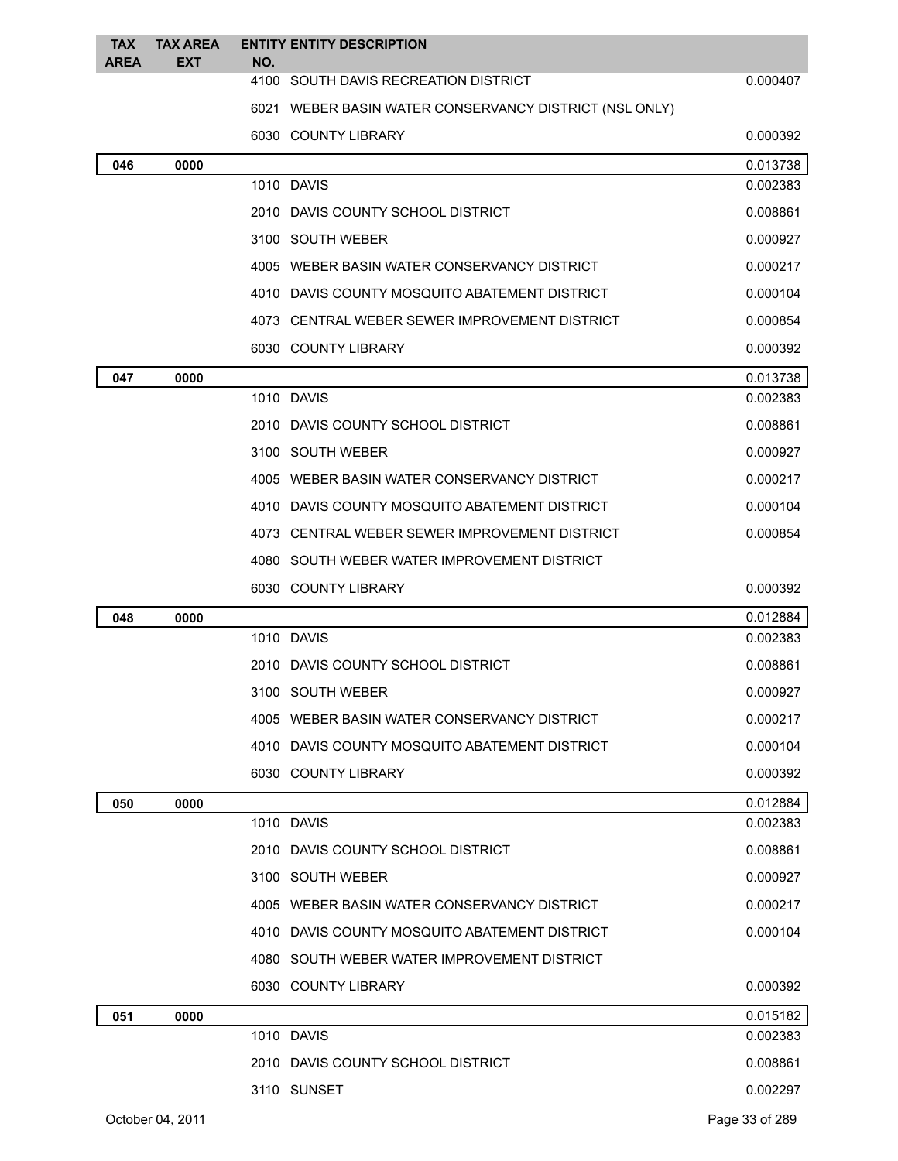| <b>TAX</b><br><b>AREA</b> | <b>TAX AREA</b><br><b>EXT</b> | NO. | <b>ENTITY ENTITY DESCRIPTION</b>                       |                |
|---------------------------|-------------------------------|-----|--------------------------------------------------------|----------------|
|                           |                               |     | 4100 SOUTH DAVIS RECREATION DISTRICT                   | 0.000407       |
|                           |                               |     | 6021 WEBER BASIN WATER CONSERVANCY DISTRICT (NSL ONLY) |                |
|                           |                               |     | 6030 COUNTY LIBRARY                                    | 0.000392       |
| 046                       | 0000                          |     |                                                        | 0.013738       |
|                           |                               |     | 1010 DAVIS                                             | 0.002383       |
|                           |                               |     | 2010 DAVIS COUNTY SCHOOL DISTRICT                      | 0.008861       |
|                           |                               |     | 3100 SOUTH WEBER                                       | 0.000927       |
|                           |                               |     | 4005 WEBER BASIN WATER CONSERVANCY DISTRICT            | 0.000217       |
|                           |                               |     | 4010 DAVIS COUNTY MOSQUITO ABATEMENT DISTRICT          | 0.000104       |
|                           |                               |     | 4073 CENTRAL WEBER SEWER IMPROVEMENT DISTRICT          | 0.000854       |
|                           |                               |     | 6030 COUNTY LIBRARY                                    | 0.000392       |
| 047                       | 0000                          |     |                                                        | 0.013738       |
|                           |                               |     | 1010 DAVIS                                             | 0.002383       |
|                           |                               |     | 2010 DAVIS COUNTY SCHOOL DISTRICT                      | 0.008861       |
|                           |                               |     | 3100 SOUTH WEBER                                       | 0.000927       |
|                           |                               |     | 4005 WEBER BASIN WATER CONSERVANCY DISTRICT            | 0.000217       |
|                           |                               |     | 4010 DAVIS COUNTY MOSQUITO ABATEMENT DISTRICT          | 0.000104       |
|                           |                               |     | 4073 CENTRAL WEBER SEWER IMPROVEMENT DISTRICT          | 0.000854       |
|                           |                               |     | 4080 SOUTH WEBER WATER IMPROVEMENT DISTRICT            |                |
|                           |                               |     | 6030 COUNTY LIBRARY                                    | 0.000392       |
| 048                       | 0000                          |     |                                                        | 0.012884       |
|                           |                               |     | 1010 DAVIS                                             | 0.002383       |
|                           |                               |     | 2010 DAVIS COUNTY SCHOOL DISTRICT                      | 0.008861       |
|                           |                               |     | 3100 SOUTH WEBER                                       | 0.000927       |
|                           |                               |     | 4005 WEBER BASIN WATER CONSERVANCY DISTRICT            | 0.000217       |
|                           |                               |     | 4010 DAVIS COUNTY MOSQUITO ABATEMENT DISTRICT          | 0.000104       |
|                           |                               |     | 6030 COUNTY LIBRARY                                    | 0.000392       |
| 050                       | 0000                          |     |                                                        | 0.012884       |
|                           |                               |     | 1010 DAVIS                                             | 0.002383       |
|                           |                               |     | 2010 DAVIS COUNTY SCHOOL DISTRICT                      | 0.008861       |
|                           |                               |     | 3100 SOUTH WEBER                                       | 0.000927       |
|                           |                               |     | 4005 WEBER BASIN WATER CONSERVANCY DISTRICT            | 0.000217       |
|                           |                               |     | 4010 DAVIS COUNTY MOSQUITO ABATEMENT DISTRICT          | 0.000104       |
|                           |                               |     | 4080 SOUTH WEBER WATER IMPROVEMENT DISTRICT            |                |
|                           |                               |     | 6030 COUNTY LIBRARY                                    | 0.000392       |
| 051                       | 0000                          |     |                                                        | 0.015182       |
|                           |                               |     | 1010 DAVIS                                             | 0.002383       |
|                           |                               |     | 2010 DAVIS COUNTY SCHOOL DISTRICT                      | 0.008861       |
|                           |                               |     | 3110 SUNSET                                            | 0.002297       |
|                           | October 04, 2011              |     |                                                        | Page 33 of 289 |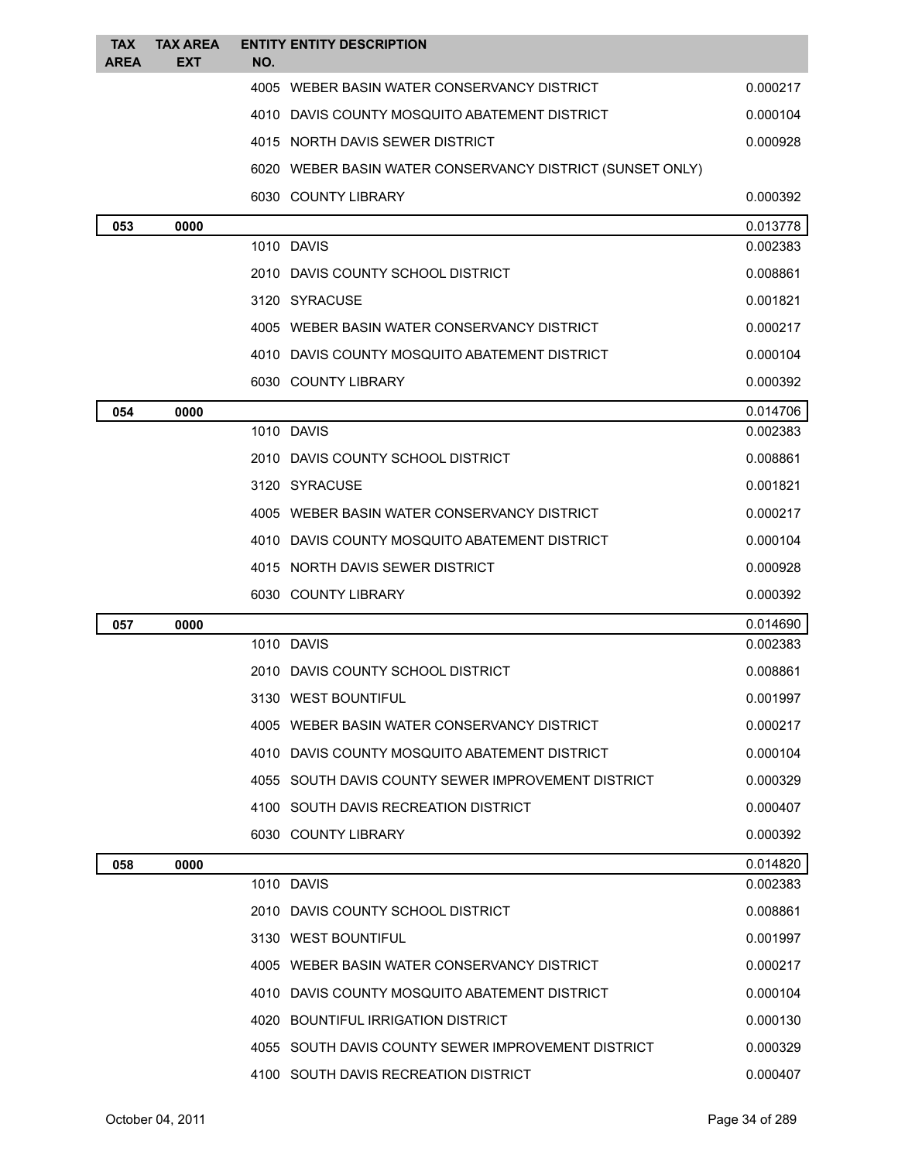| <b>TAX</b><br><b>AREA</b> | <b>TAX AREA</b><br><b>EXT</b> | NO. | <b>ENTITY ENTITY DESCRIPTION</b>                          |          |
|---------------------------|-------------------------------|-----|-----------------------------------------------------------|----------|
|                           |                               |     | 4005 WEBER BASIN WATER CONSERVANCY DISTRICT               | 0.000217 |
|                           |                               |     | 4010 DAVIS COUNTY MOSQUITO ABATEMENT DISTRICT             | 0.000104 |
|                           |                               |     | 4015 NORTH DAVIS SEWER DISTRICT                           | 0.000928 |
|                           |                               |     | 6020 WEBER BASIN WATER CONSERVANCY DISTRICT (SUNSET ONLY) |          |
|                           |                               |     | 6030 COUNTY LIBRARY                                       | 0.000392 |
| 053                       | 0000                          |     |                                                           | 0.013778 |
|                           |                               |     | 1010 DAVIS                                                | 0.002383 |
|                           |                               |     | 2010 DAVIS COUNTY SCHOOL DISTRICT                         | 0.008861 |
|                           |                               |     | 3120 SYRACUSE                                             | 0.001821 |
|                           |                               |     | 4005 WEBER BASIN WATER CONSERVANCY DISTRICT               | 0.000217 |
|                           |                               |     | 4010 DAVIS COUNTY MOSQUITO ABATEMENT DISTRICT             | 0.000104 |
|                           |                               |     | 6030 COUNTY LIBRARY                                       | 0.000392 |
| 054                       | 0000                          |     |                                                           | 0.014706 |
|                           |                               |     | 1010 DAVIS                                                | 0.002383 |
|                           |                               |     | 2010 DAVIS COUNTY SCHOOL DISTRICT                         | 0.008861 |
|                           |                               |     | 3120 SYRACUSE                                             | 0.001821 |
|                           |                               |     | 4005 WEBER BASIN WATER CONSERVANCY DISTRICT               | 0.000217 |
|                           |                               |     | 4010 DAVIS COUNTY MOSQUITO ABATEMENT DISTRICT             | 0.000104 |
|                           |                               |     | 4015 NORTH DAVIS SEWER DISTRICT                           | 0.000928 |
|                           |                               |     | 6030 COUNTY LIBRARY                                       | 0.000392 |
| 057                       | 0000                          |     |                                                           | 0.014690 |
|                           |                               |     | 1010 DAVIS                                                | 0.002383 |
|                           |                               |     | 2010 DAVIS COUNTY SCHOOL DISTRICT                         | 0.008861 |
|                           |                               |     | 3130 WEST BOUNTIFUL                                       | 0.001997 |
|                           |                               |     | 4005 WEBER BASIN WATER CONSERVANCY DISTRICT               | 0.000217 |
|                           |                               |     | 4010 DAVIS COUNTY MOSQUITO ABATEMENT DISTRICT             | 0.000104 |
|                           |                               |     | 4055 SOUTH DAVIS COUNTY SEWER IMPROVEMENT DISTRICT        | 0.000329 |
|                           |                               |     | 4100 SOUTH DAVIS RECREATION DISTRICT                      | 0.000407 |
|                           |                               |     | 6030 COUNTY LIBRARY                                       | 0.000392 |
| 058                       | 0000                          |     |                                                           | 0.014820 |
|                           |                               |     | 1010 DAVIS                                                | 0.002383 |
|                           |                               |     | 2010 DAVIS COUNTY SCHOOL DISTRICT                         | 0.008861 |
|                           |                               |     | 3130 WEST BOUNTIFUL                                       | 0.001997 |
|                           |                               |     | 4005 WEBER BASIN WATER CONSERVANCY DISTRICT               | 0.000217 |
|                           |                               |     | 4010 DAVIS COUNTY MOSQUITO ABATEMENT DISTRICT             | 0.000104 |
|                           |                               |     | 4020 BOUNTIFUL IRRIGATION DISTRICT                        | 0.000130 |
|                           |                               |     | 4055 SOUTH DAVIS COUNTY SEWER IMPROVEMENT DISTRICT        | 0.000329 |
|                           |                               |     | 4100 SOUTH DAVIS RECREATION DISTRICT                      | 0.000407 |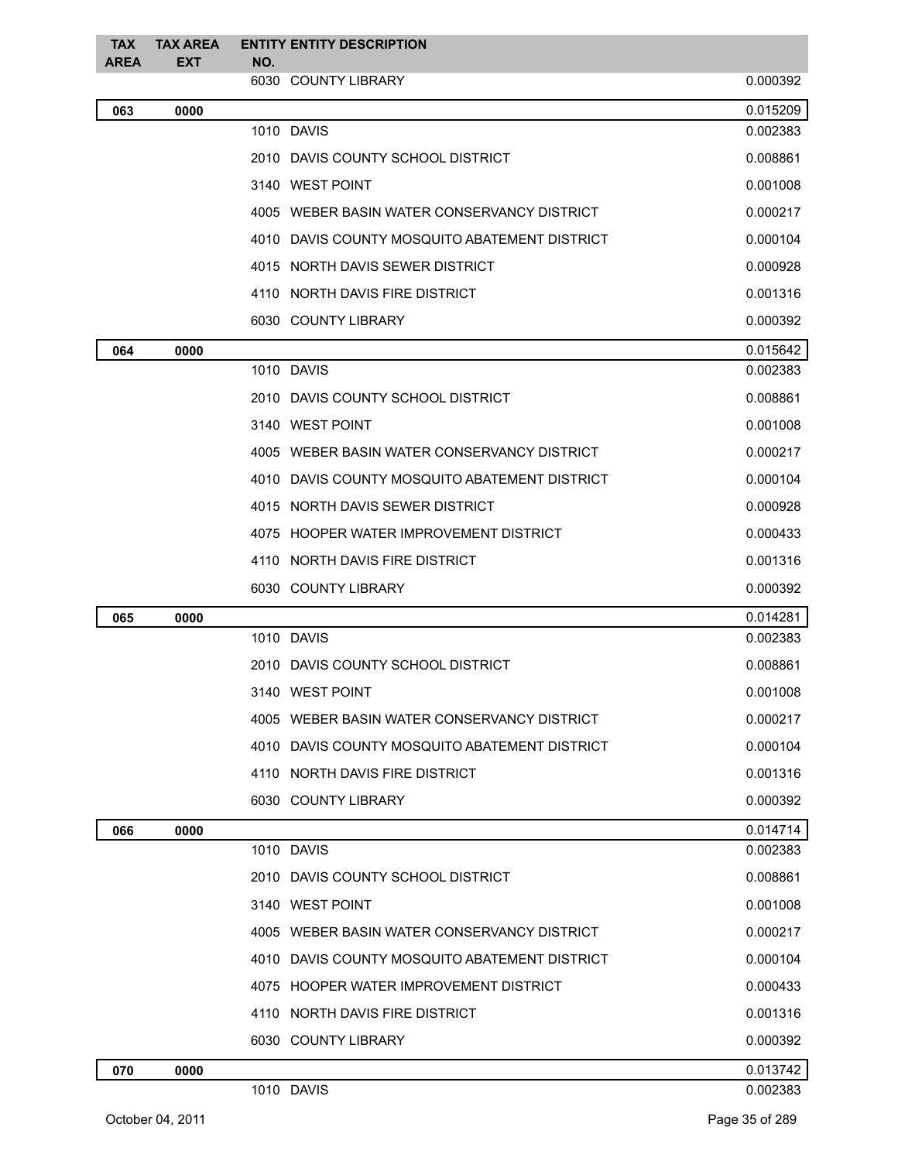| <b>TAX</b>  | <b>TAX AREA</b> |     | <b>ENTITY ENTITY DESCRIPTION</b>              |          |
|-------------|-----------------|-----|-----------------------------------------------|----------|
| <b>AREA</b> | <b>EXT</b>      | NO. | 6030 COUNTY LIBRARY                           | 0.000392 |
| 063         | 0000            |     |                                               | 0.015209 |
|             |                 |     | 1010 DAVIS                                    | 0.002383 |
|             |                 |     | 2010 DAVIS COUNTY SCHOOL DISTRICT             | 0.008861 |
|             |                 |     | 3140 WEST POINT                               | 0.001008 |
|             |                 |     | 4005 WEBER BASIN WATER CONSERVANCY DISTRICT   | 0.000217 |
|             |                 |     | 4010 DAVIS COUNTY MOSQUITO ABATEMENT DISTRICT | 0.000104 |
|             |                 |     | 4015 NORTH DAVIS SEWER DISTRICT               | 0.000928 |
|             |                 |     | 4110 NORTH DAVIS FIRE DISTRICT                | 0.001316 |
|             |                 |     | 6030 COUNTY LIBRARY                           | 0.000392 |
| 064         | 0000            |     |                                               | 0.015642 |
|             |                 |     | 1010 DAVIS                                    | 0.002383 |
|             |                 |     | 2010 DAVIS COUNTY SCHOOL DISTRICT             | 0.008861 |
|             |                 |     | 3140 WEST POINT                               | 0.001008 |
|             |                 |     | 4005 WEBER BASIN WATER CONSERVANCY DISTRICT   | 0.000217 |
|             |                 |     | 4010 DAVIS COUNTY MOSQUITO ABATEMENT DISTRICT | 0.000104 |
|             |                 |     | 4015 NORTH DAVIS SEWER DISTRICT               | 0.000928 |
|             |                 |     | 4075 HOOPER WATER IMPROVEMENT DISTRICT        | 0.000433 |
|             |                 |     | 4110 NORTH DAVIS FIRE DISTRICT                | 0.001316 |
|             |                 |     | 6030 COUNTY LIBRARY                           | 0.000392 |
| 065         | 0000            |     |                                               | 0.014281 |
|             |                 |     | 1010 DAVIS                                    | 0.002383 |
|             |                 |     | 2010 DAVIS COUNTY SCHOOL DISTRICT             | 0.008861 |
|             |                 |     | 3140 WEST POINT                               | 0.001008 |
|             |                 |     | 4005 WEBER BASIN WATER CONSERVANCY DISTRICT   | 0.000217 |
|             |                 |     | 4010 DAVIS COUNTY MOSQUITO ABATEMENT DISTRICT | 0.000104 |
|             |                 |     | 4110 NORTH DAVIS FIRE DISTRICT                | 0.001316 |
|             |                 |     | 6030 COUNTY LIBRARY                           | 0.000392 |
| 066         | 0000            |     |                                               | 0.014714 |
|             |                 |     | 1010 DAVIS                                    | 0.002383 |
|             |                 |     | 2010 DAVIS COUNTY SCHOOL DISTRICT             | 0.008861 |
|             |                 |     | 3140 WEST POINT                               | 0.001008 |
|             |                 |     | 4005 WEBER BASIN WATER CONSERVANCY DISTRICT   | 0.000217 |
|             |                 |     | 4010 DAVIS COUNTY MOSQUITO ABATEMENT DISTRICT | 0.000104 |
|             |                 |     | 4075 HOOPER WATER IMPROVEMENT DISTRICT        | 0.000433 |
|             |                 |     | 4110 NORTH DAVIS FIRE DISTRICT                | 0.001316 |
|             |                 |     | 6030 COUNTY LIBRARY                           | 0.000392 |
| 070         | 0000            |     |                                               | 0.013742 |
|             |                 |     | 1010 DAVIS                                    | 0.002383 |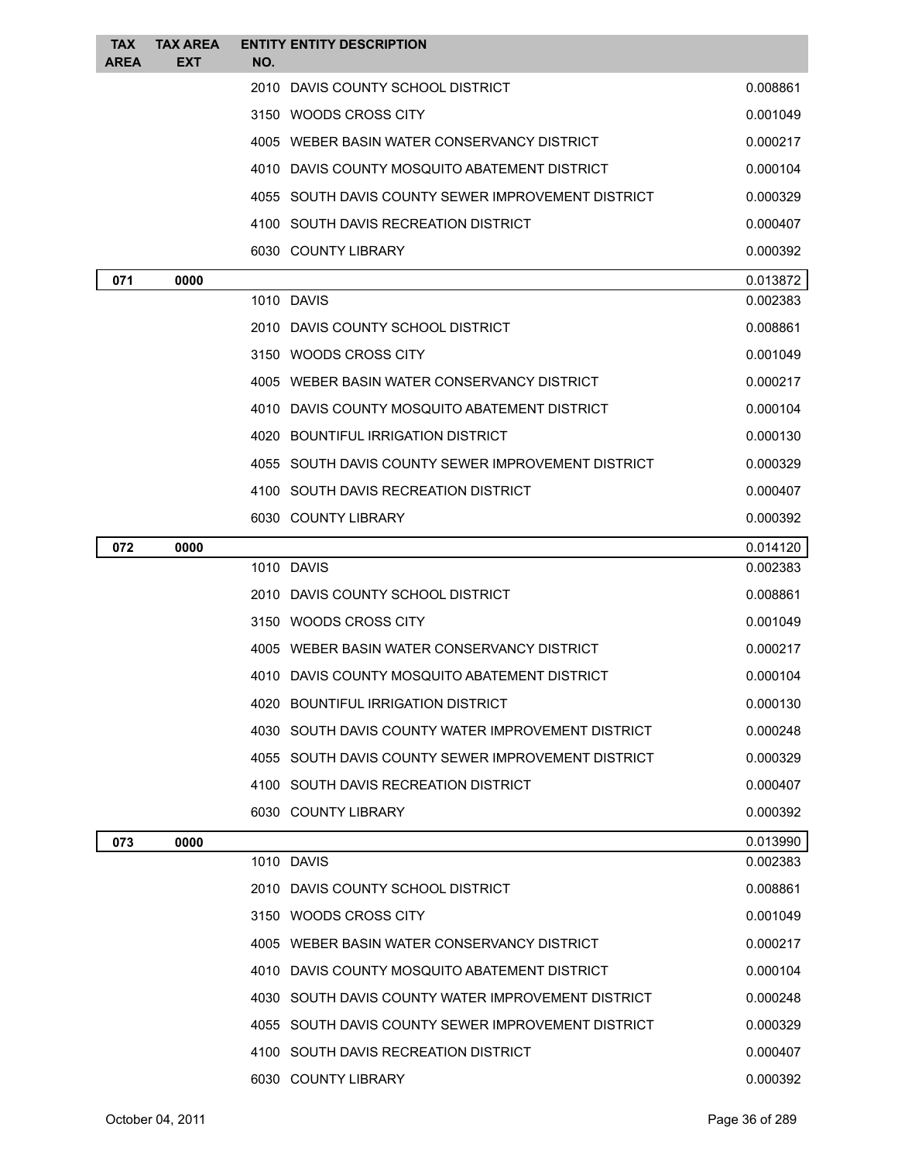| <b>TAX</b><br><b>AREA</b> | <b>TAX AREA</b><br><b>EXT</b> | <b>ENTITY ENTITY DESCRIPTION</b><br>NO.            |          |
|---------------------------|-------------------------------|----------------------------------------------------|----------|
|                           |                               | 2010 DAVIS COUNTY SCHOOL DISTRICT                  | 0.008861 |
|                           |                               | 3150 WOODS CROSS CITY                              | 0.001049 |
|                           |                               | 4005 WEBER BASIN WATER CONSERVANCY DISTRICT        | 0.000217 |
|                           |                               | 4010 DAVIS COUNTY MOSQUITO ABATEMENT DISTRICT      | 0.000104 |
|                           |                               | 4055 SOUTH DAVIS COUNTY SEWER IMPROVEMENT DISTRICT | 0.000329 |
|                           |                               | 4100 SOUTH DAVIS RECREATION DISTRICT               | 0.000407 |
|                           |                               | 6030 COUNTY LIBRARY                                | 0.000392 |
| 071                       | 0000                          |                                                    | 0.013872 |
|                           |                               | 1010 DAVIS                                         | 0.002383 |
|                           |                               | 2010 DAVIS COUNTY SCHOOL DISTRICT                  | 0.008861 |
|                           |                               | 3150 WOODS CROSS CITY                              | 0.001049 |
|                           |                               | 4005 WEBER BASIN WATER CONSERVANCY DISTRICT        | 0.000217 |
|                           |                               | 4010 DAVIS COUNTY MOSQUITO ABATEMENT DISTRICT      | 0.000104 |
|                           |                               | 4020 BOUNTIFUL IRRIGATION DISTRICT                 | 0.000130 |
|                           |                               | 4055 SOUTH DAVIS COUNTY SEWER IMPROVEMENT DISTRICT | 0.000329 |
|                           |                               | 4100 SOUTH DAVIS RECREATION DISTRICT               | 0.000407 |
|                           |                               | 6030 COUNTY LIBRARY                                | 0.000392 |
| 072                       | 0000                          |                                                    | 0.014120 |
|                           |                               | 1010 DAVIS                                         | 0.002383 |
|                           |                               | 2010 DAVIS COUNTY SCHOOL DISTRICT                  | 0.008861 |
|                           |                               | 3150 WOODS CROSS CITY                              | 0.001049 |
|                           |                               | 4005 WEBER BASIN WATER CONSERVANCY DISTRICT        | 0.000217 |
|                           |                               | 4010 DAVIS COUNTY MOSQUITO ABATEMENT DISTRICT      | 0.000104 |
|                           |                               | 4020 BOUNTIFUL IRRIGATION DISTRICT                 | 0.000130 |
|                           |                               | 4030 SOUTH DAVIS COUNTY WATER IMPROVEMENT DISTRICT | 0.000248 |
|                           |                               | 4055 SOUTH DAVIS COUNTY SEWER IMPROVEMENT DISTRICT | 0.000329 |
|                           |                               | 4100 SOUTH DAVIS RECREATION DISTRICT               | 0.000407 |
|                           |                               | 6030 COUNTY LIBRARY                                | 0.000392 |
| 073                       | 0000                          |                                                    | 0.013990 |
|                           |                               | 1010 DAVIS                                         | 0.002383 |
|                           |                               | 2010 DAVIS COUNTY SCHOOL DISTRICT                  | 0.008861 |
|                           |                               | 3150 WOODS CROSS CITY                              | 0.001049 |
|                           |                               | 4005 WEBER BASIN WATER CONSERVANCY DISTRICT        | 0.000217 |
|                           |                               | 4010 DAVIS COUNTY MOSQUITO ABATEMENT DISTRICT      | 0.000104 |
|                           |                               | 4030 SOUTH DAVIS COUNTY WATER IMPROVEMENT DISTRICT | 0.000248 |
|                           |                               | 4055 SOUTH DAVIS COUNTY SEWER IMPROVEMENT DISTRICT | 0.000329 |
|                           |                               | 4100 SOUTH DAVIS RECREATION DISTRICT               | 0.000407 |
|                           |                               | 6030 COUNTY LIBRARY                                | 0.000392 |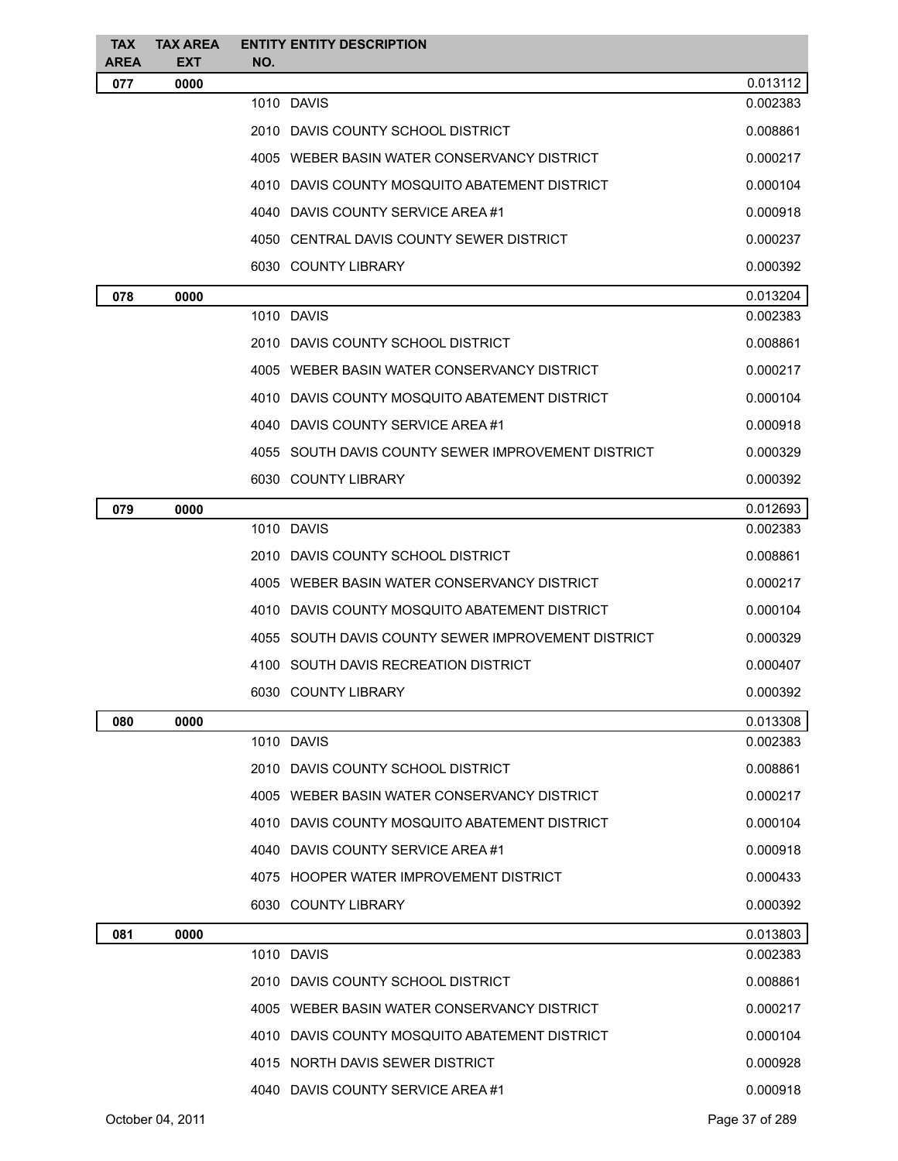| <b>TAX</b>  | <b>TAX AREA</b> | <b>ENTITY ENTITY DESCRIPTION</b>                   |                      |
|-------------|-----------------|----------------------------------------------------|----------------------|
| <b>AREA</b> | <b>EXT</b>      | NO.                                                |                      |
| 077         | 0000            | 1010 DAVIS                                         | 0.013112<br>0.002383 |
|             |                 | 2010 DAVIS COUNTY SCHOOL DISTRICT                  | 0.008861             |
|             |                 | 4005 WEBER BASIN WATER CONSERVANCY DISTRICT        | 0.000217             |
|             |                 | 4010 DAVIS COUNTY MOSQUITO ABATEMENT DISTRICT      | 0.000104             |
|             |                 |                                                    |                      |
|             |                 | 4040 DAVIS COUNTY SERVICE AREA #1                  | 0.000918             |
|             |                 | 4050 CENTRAL DAVIS COUNTY SEWER DISTRICT           | 0.000237             |
|             |                 | 6030 COUNTY LIBRARY                                | 0.000392             |
| 078         | 0000            |                                                    | 0.013204             |
|             |                 | 1010 DAVIS                                         | 0.002383             |
|             |                 | 2010 DAVIS COUNTY SCHOOL DISTRICT                  | 0.008861             |
|             |                 | 4005 WEBER BASIN WATER CONSERVANCY DISTRICT        | 0.000217             |
|             |                 | 4010 DAVIS COUNTY MOSQUITO ABATEMENT DISTRICT      | 0.000104             |
|             |                 | 4040 DAVIS COUNTY SERVICE AREA #1                  | 0.000918             |
|             |                 | 4055 SOUTH DAVIS COUNTY SEWER IMPROVEMENT DISTRICT | 0.000329             |
|             |                 | 6030 COUNTY LIBRARY                                | 0.000392             |
| 079         | 0000            |                                                    | 0.012693             |
|             |                 | 1010 DAVIS                                         | 0.002383             |
|             |                 | 2010 DAVIS COUNTY SCHOOL DISTRICT                  | 0.008861             |
|             |                 | 4005 WEBER BASIN WATER CONSERVANCY DISTRICT        | 0.000217             |
|             |                 | 4010 DAVIS COUNTY MOSQUITO ABATEMENT DISTRICT      | 0.000104             |
|             |                 | 4055 SOUTH DAVIS COUNTY SEWER IMPROVEMENT DISTRICT | 0.000329             |
|             |                 | 4100 SOUTH DAVIS RECREATION DISTRICT               | 0.000407             |
|             |                 | 6030 COUNTY LIBRARY                                | 0.000392             |
| 080         | 0000            |                                                    | 0.013308             |
|             |                 | 1010 DAVIS                                         | 0.002383             |
|             |                 | 2010 DAVIS COUNTY SCHOOL DISTRICT                  | 0.008861             |
|             |                 | 4005 WEBER BASIN WATER CONSERVANCY DISTRICT        | 0.000217             |
|             |                 | 4010 DAVIS COUNTY MOSQUITO ABATEMENT DISTRICT      | 0.000104             |
|             |                 | 4040 DAVIS COUNTY SERVICE AREA #1                  | 0.000918             |
|             |                 | 4075 HOOPER WATER IMPROVEMENT DISTRICT             | 0.000433             |
|             |                 | 6030 COUNTY LIBRARY                                | 0.000392             |
|             |                 |                                                    |                      |
| 081         | 0000            | 1010 DAVIS                                         | 0.013803<br>0.002383 |
|             |                 | 2010 DAVIS COUNTY SCHOOL DISTRICT                  | 0.008861             |
|             |                 | 4005 WEBER BASIN WATER CONSERVANCY DISTRICT        | 0.000217             |
|             |                 | 4010 DAVIS COUNTY MOSQUITO ABATEMENT DISTRICT      | 0.000104             |
|             |                 |                                                    |                      |
|             |                 | 4015 NORTH DAVIS SEWER DISTRICT                    | 0.000928             |
|             |                 | 4040 DAVIS COUNTY SERVICE AREA #1                  | 0.000918             |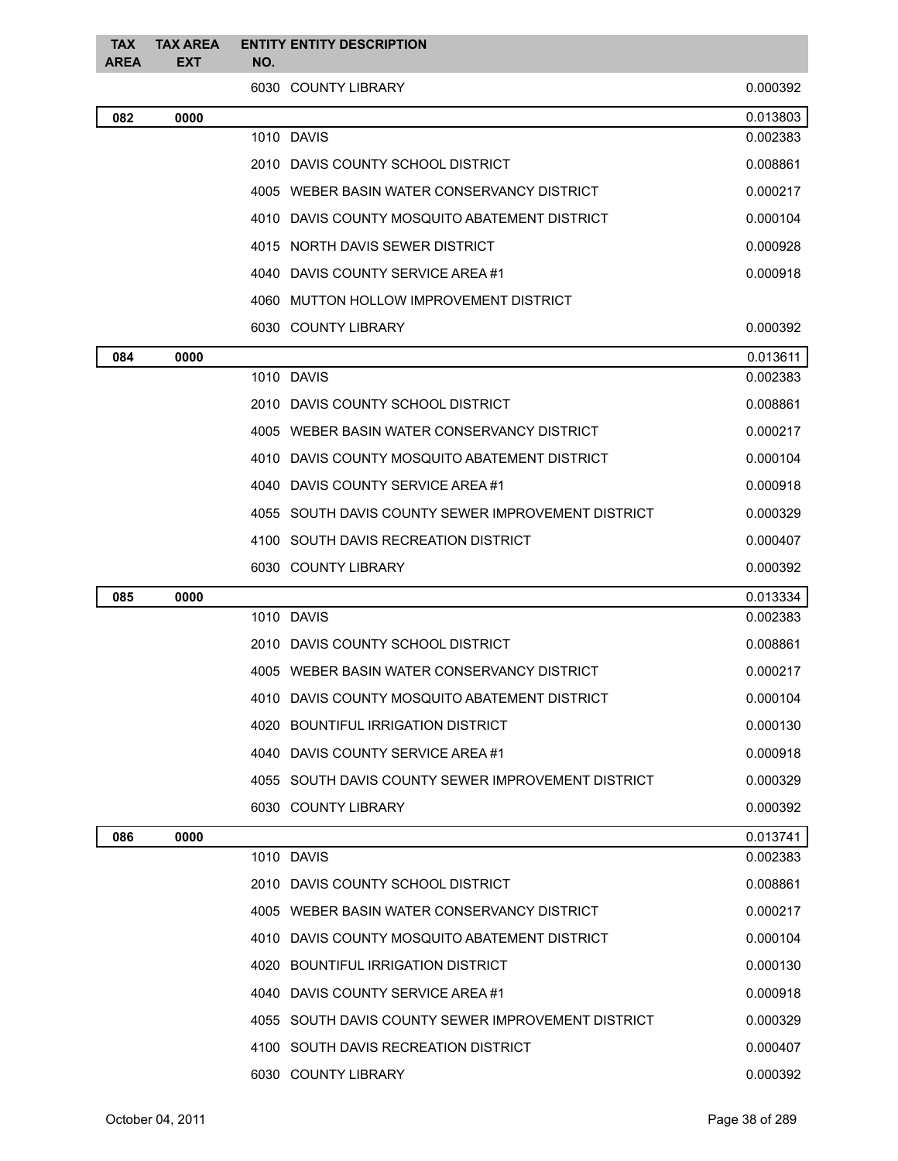| <b>TAX</b><br><b>AREA</b> | <b>TAX AREA</b><br><b>EXT</b> | <b>ENTITY ENTITY DESCRIPTION</b><br>NO.            |          |
|---------------------------|-------------------------------|----------------------------------------------------|----------|
|                           |                               | 6030 COUNTY LIBRARY                                | 0.000392 |
| 082                       | 0000                          |                                                    | 0.013803 |
|                           |                               | 1010 DAVIS                                         | 0.002383 |
|                           |                               | 2010 DAVIS COUNTY SCHOOL DISTRICT                  | 0.008861 |
|                           |                               | 4005 WEBER BASIN WATER CONSERVANCY DISTRICT        | 0.000217 |
|                           |                               | 4010 DAVIS COUNTY MOSQUITO ABATEMENT DISTRICT      | 0.000104 |
|                           |                               | 4015 NORTH DAVIS SEWER DISTRICT                    | 0.000928 |
|                           |                               | 4040 DAVIS COUNTY SERVICE AREA#1                   | 0.000918 |
|                           |                               | 4060 MUTTON HOLLOW IMPROVEMENT DISTRICT            |          |
|                           |                               | 6030 COUNTY LIBRARY                                | 0.000392 |
| 084                       | 0000                          |                                                    | 0.013611 |
|                           |                               | 1010 DAVIS                                         | 0.002383 |
|                           |                               | 2010 DAVIS COUNTY SCHOOL DISTRICT                  | 0.008861 |
|                           |                               | 4005 WEBER BASIN WATER CONSERVANCY DISTRICT        | 0.000217 |
|                           |                               | 4010 DAVIS COUNTY MOSQUITO ABATEMENT DISTRICT      | 0.000104 |
|                           |                               | 4040 DAVIS COUNTY SERVICE AREA #1                  | 0.000918 |
|                           |                               | 4055 SOUTH DAVIS COUNTY SEWER IMPROVEMENT DISTRICT | 0.000329 |
|                           |                               | 4100 SOUTH DAVIS RECREATION DISTRICT               | 0.000407 |
|                           |                               | 6030 COUNTY LIBRARY                                | 0.000392 |
| 085                       | 0000                          |                                                    | 0.013334 |
|                           |                               | 1010 DAVIS                                         | 0.002383 |
|                           |                               | 2010 DAVIS COUNTY SCHOOL DISTRICT                  | 0.008861 |
|                           |                               | 4005 WEBER BASIN WATER CONSERVANCY DISTRICT        | 0.000217 |
|                           |                               | 4010 DAVIS COUNTY MOSQUITO ABATEMENT DISTRICT      | 0.000104 |
|                           |                               | 4020 BOUNTIFUL IRRIGATION DISTRICT                 | 0.000130 |
|                           |                               | 4040 DAVIS COUNTY SERVICE AREA#1                   | 0.000918 |
|                           |                               | 4055 SOUTH DAVIS COUNTY SEWER IMPROVEMENT DISTRICT | 0.000329 |
|                           |                               | 6030 COUNTY LIBRARY                                | 0.000392 |
| 086                       | 0000                          |                                                    | 0.013741 |
|                           |                               | 1010 DAVIS                                         | 0.002383 |
|                           |                               | 2010 DAVIS COUNTY SCHOOL DISTRICT                  | 0.008861 |
|                           |                               | 4005 WEBER BASIN WATER CONSERVANCY DISTRICT        | 0.000217 |
|                           |                               | 4010 DAVIS COUNTY MOSQUITO ABATEMENT DISTRICT      | 0.000104 |
|                           |                               | 4020 BOUNTIFUL IRRIGATION DISTRICT                 | 0.000130 |
|                           |                               | 4040 DAVIS COUNTY SERVICE AREA #1                  | 0.000918 |
|                           |                               | 4055 SOUTH DAVIS COUNTY SEWER IMPROVEMENT DISTRICT | 0.000329 |
|                           |                               | 4100 SOUTH DAVIS RECREATION DISTRICT               | 0.000407 |
|                           |                               | 6030 COUNTY LIBRARY                                | 0.000392 |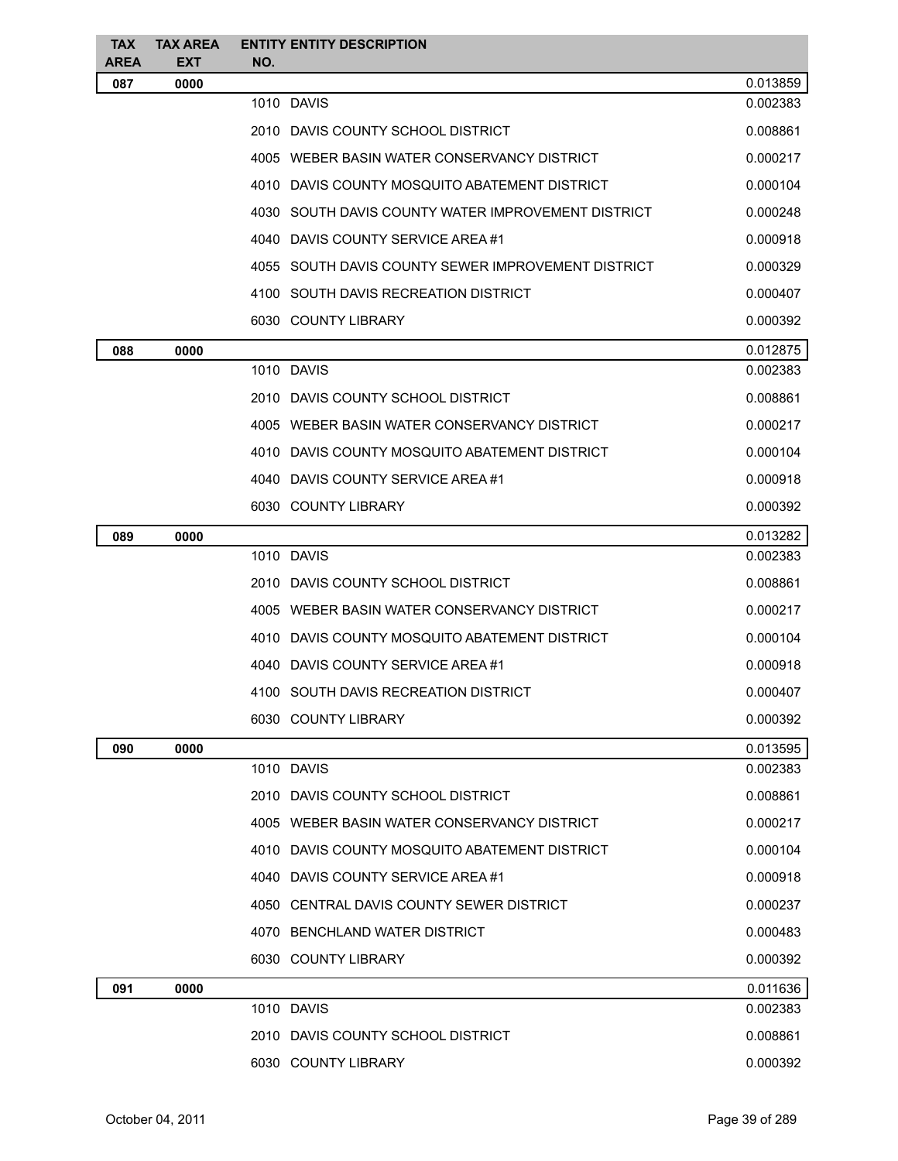| <b>TAX</b>         | <b>TAX AREA</b><br><b>EXT</b> | <b>ENTITY ENTITY DESCRIPTION</b>                   |          |
|--------------------|-------------------------------|----------------------------------------------------|----------|
| <b>AREA</b><br>087 | 0000                          | NO.                                                | 0.013859 |
|                    |                               | 1010 DAVIS                                         | 0.002383 |
|                    |                               | 2010 DAVIS COUNTY SCHOOL DISTRICT                  | 0.008861 |
|                    |                               | 4005 WEBER BASIN WATER CONSERVANCY DISTRICT        | 0.000217 |
|                    |                               | 4010 DAVIS COUNTY MOSQUITO ABATEMENT DISTRICT      | 0.000104 |
|                    |                               | 4030 SOUTH DAVIS COUNTY WATER IMPROVEMENT DISTRICT | 0.000248 |
|                    |                               | 4040 DAVIS COUNTY SERVICE AREA #1                  | 0.000918 |
|                    |                               | 4055 SOUTH DAVIS COUNTY SEWER IMPROVEMENT DISTRICT | 0.000329 |
|                    |                               | 4100 SOUTH DAVIS RECREATION DISTRICT               | 0.000407 |
|                    |                               | 6030 COUNTY LIBRARY                                | 0.000392 |
| 088                | 0000                          |                                                    | 0.012875 |
|                    |                               | 1010 DAVIS                                         | 0.002383 |
|                    |                               | 2010 DAVIS COUNTY SCHOOL DISTRICT                  | 0.008861 |
|                    |                               | 4005 WEBER BASIN WATER CONSERVANCY DISTRICT        | 0.000217 |
|                    |                               | 4010 DAVIS COUNTY MOSQUITO ABATEMENT DISTRICT      | 0.000104 |
|                    |                               | 4040 DAVIS COUNTY SERVICE AREA #1                  | 0.000918 |
|                    |                               | 6030 COUNTY LIBRARY                                | 0.000392 |
| 089                | 0000                          |                                                    | 0.013282 |
|                    |                               | 1010 DAVIS                                         | 0.002383 |
|                    |                               | 2010 DAVIS COUNTY SCHOOL DISTRICT                  | 0.008861 |
|                    |                               | 4005 WEBER BASIN WATER CONSERVANCY DISTRICT        | 0.000217 |
|                    |                               | 4010 DAVIS COUNTY MOSQUITO ABATEMENT DISTRICT      | 0.000104 |
|                    |                               | 4040 DAVIS COUNTY SERVICE AREA #1                  | 0.000918 |
|                    |                               | 4100 SOUTH DAVIS RECREATION DISTRICT               | 0.000407 |
|                    |                               | 6030 COUNTY LIBRARY                                | 0.000392 |
| 090                | 0000                          |                                                    | 0.013595 |
|                    |                               | 1010 DAVIS                                         | 0.002383 |
|                    |                               | 2010 DAVIS COUNTY SCHOOL DISTRICT                  | 0.008861 |
|                    |                               | 4005 WEBER BASIN WATER CONSERVANCY DISTRICT        | 0.000217 |
|                    |                               | 4010 DAVIS COUNTY MOSQUITO ABATEMENT DISTRICT      | 0.000104 |
|                    |                               | 4040 DAVIS COUNTY SERVICE AREA #1                  | 0.000918 |
|                    |                               | 4050 CENTRAL DAVIS COUNTY SEWER DISTRICT           | 0.000237 |
|                    |                               | 4070 BENCHLAND WATER DISTRICT                      | 0.000483 |
|                    |                               | 6030 COUNTY LIBRARY                                | 0.000392 |
| 091                | 0000                          |                                                    | 0.011636 |
|                    |                               | 1010 DAVIS                                         | 0.002383 |
|                    |                               | 2010 DAVIS COUNTY SCHOOL DISTRICT                  | 0.008861 |
|                    |                               | 6030 COUNTY LIBRARY                                | 0.000392 |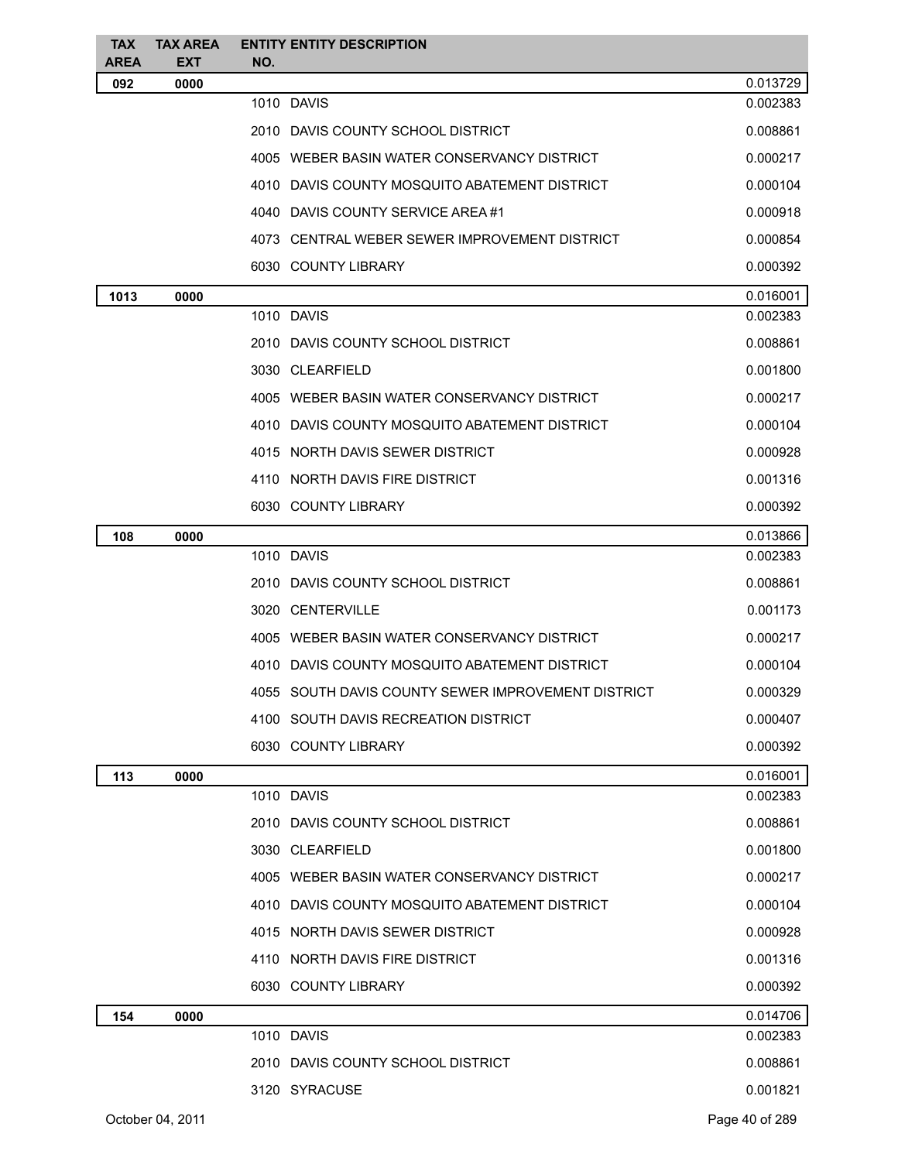| <b>TAX</b><br><b>AREA</b> | <b>TAX AREA</b><br><b>EXT</b> | <b>ENTITY ENTITY DESCRIPTION</b><br>NO.            |                |
|---------------------------|-------------------------------|----------------------------------------------------|----------------|
| 092                       | 0000                          |                                                    | 0.013729       |
|                           |                               | 1010 DAVIS                                         | 0.002383       |
|                           |                               | 2010 DAVIS COUNTY SCHOOL DISTRICT                  | 0.008861       |
|                           |                               | 4005 WEBER BASIN WATER CONSERVANCY DISTRICT        | 0.000217       |
|                           |                               | 4010 DAVIS COUNTY MOSQUITO ABATEMENT DISTRICT      | 0.000104       |
|                           |                               | 4040 DAVIS COUNTY SERVICE AREA#1                   | 0.000918       |
|                           |                               | 4073 CENTRAL WEBER SEWER IMPROVEMENT DISTRICT      | 0.000854       |
|                           |                               | 6030 COUNTY LIBRARY                                | 0.000392       |
| 1013                      | 0000                          |                                                    | 0.016001       |
|                           |                               | 1010 DAVIS                                         | 0.002383       |
|                           |                               | 2010 DAVIS COUNTY SCHOOL DISTRICT                  | 0.008861       |
|                           |                               | 3030 CLEARFIELD                                    | 0.001800       |
|                           |                               | 4005 WEBER BASIN WATER CONSERVANCY DISTRICT        | 0.000217       |
|                           |                               | 4010 DAVIS COUNTY MOSQUITO ABATEMENT DISTRICT      | 0.000104       |
|                           |                               | 4015 NORTH DAVIS SEWER DISTRICT                    | 0.000928       |
|                           |                               | 4110 NORTH DAVIS FIRE DISTRICT                     | 0.001316       |
|                           |                               | 6030 COUNTY LIBRARY                                | 0.000392       |
| 108                       | 0000                          |                                                    | 0.013866       |
|                           |                               | 1010 DAVIS                                         | 0.002383       |
|                           |                               | 2010 DAVIS COUNTY SCHOOL DISTRICT                  | 0.008861       |
|                           |                               | 3020 CENTERVILLE                                   | 0.001173       |
|                           |                               | 4005 WEBER BASIN WATER CONSERVANCY DISTRICT        | 0.000217       |
|                           |                               | 4010 DAVIS COUNTY MOSQUITO ABATEMENT DISTRICT      | 0.000104       |
|                           |                               | 4055 SOUTH DAVIS COUNTY SEWER IMPROVEMENT DISTRICT | 0.000329       |
|                           |                               | 4100 SOUTH DAVIS RECREATION DISTRICT               | 0.000407       |
|                           |                               | 6030 COUNTY LIBRARY                                | 0.000392       |
| 113                       | 0000                          |                                                    | 0.016001       |
|                           |                               | 1010 DAVIS                                         | 0.002383       |
|                           |                               | 2010 DAVIS COUNTY SCHOOL DISTRICT                  | 0.008861       |
|                           |                               | 3030 CLEARFIELD                                    | 0.001800       |
|                           |                               | 4005 WEBER BASIN WATER CONSERVANCY DISTRICT        | 0.000217       |
|                           |                               | 4010 DAVIS COUNTY MOSQUITO ABATEMENT DISTRICT      | 0.000104       |
|                           |                               | 4015 NORTH DAVIS SEWER DISTRICT                    | 0.000928       |
|                           |                               | 4110 NORTH DAVIS FIRE DISTRICT                     | 0.001316       |
|                           |                               | 6030 COUNTY LIBRARY                                | 0.000392       |
| 154                       | 0000                          |                                                    | 0.014706       |
|                           |                               | 1010 DAVIS                                         | 0.002383       |
|                           |                               | 2010 DAVIS COUNTY SCHOOL DISTRICT                  | 0.008861       |
|                           |                               | 3120 SYRACUSE                                      | 0.001821       |
|                           | October 04, 2011              |                                                    | Page 40 of 289 |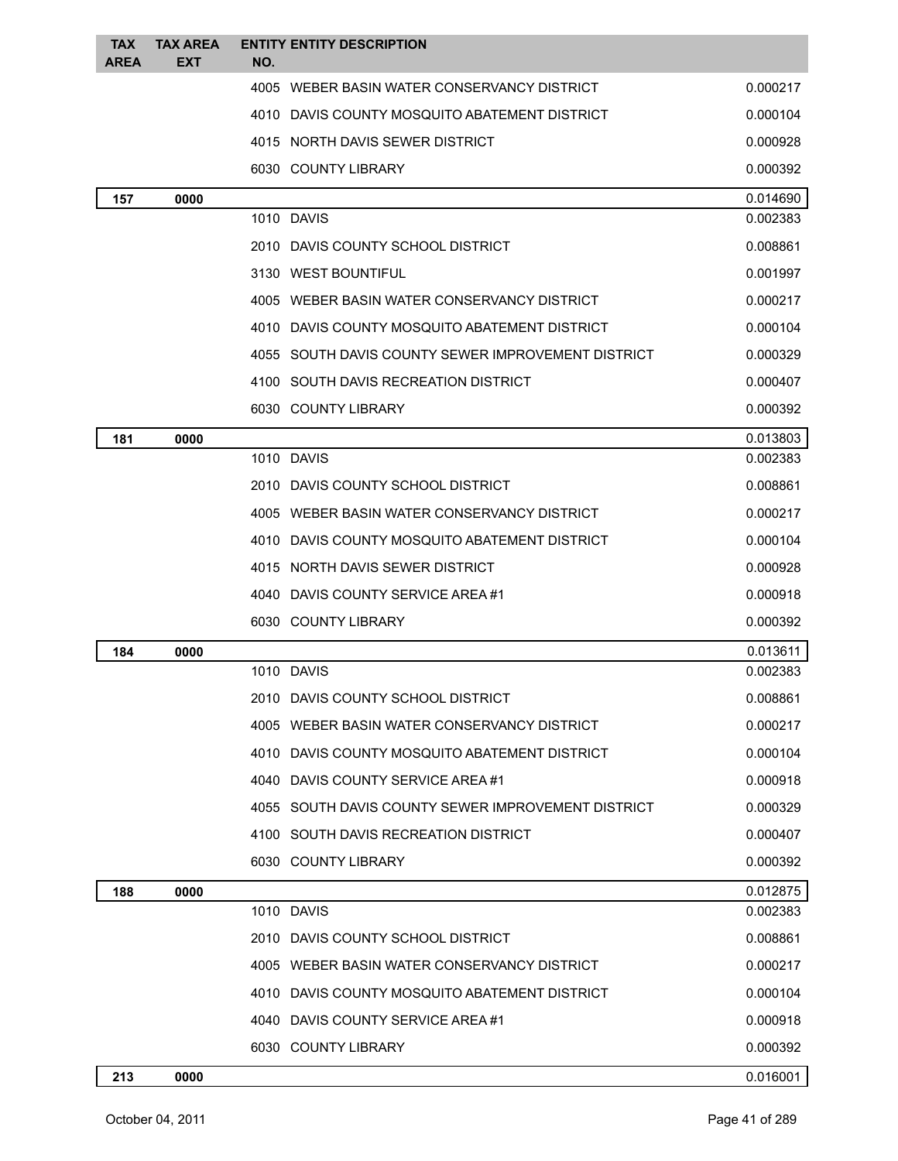| <b>TAX</b><br><b>AREA</b> | <b>TAX AREA</b><br><b>EXT</b> | <b>ENTITY ENTITY DESCRIPTION</b><br>NO.            |          |
|---------------------------|-------------------------------|----------------------------------------------------|----------|
|                           |                               | 4005 WEBER BASIN WATER CONSERVANCY DISTRICT        | 0.000217 |
|                           |                               | 4010 DAVIS COUNTY MOSQUITO ABATEMENT DISTRICT      | 0.000104 |
|                           |                               | 4015 NORTH DAVIS SEWER DISTRICT                    | 0.000928 |
|                           |                               | 6030 COUNTY LIBRARY                                | 0.000392 |
| 157                       | 0000                          |                                                    | 0.014690 |
|                           |                               | 1010 DAVIS                                         | 0.002383 |
|                           |                               | 2010 DAVIS COUNTY SCHOOL DISTRICT                  | 0.008861 |
|                           |                               | 3130 WEST BOUNTIFUL                                | 0.001997 |
|                           |                               | 4005 WEBER BASIN WATER CONSERVANCY DISTRICT        | 0.000217 |
|                           |                               | 4010 DAVIS COUNTY MOSQUITO ABATEMENT DISTRICT      | 0.000104 |
|                           |                               | 4055 SOUTH DAVIS COUNTY SEWER IMPROVEMENT DISTRICT | 0.000329 |
|                           |                               | 4100 SOUTH DAVIS RECREATION DISTRICT               | 0.000407 |
|                           |                               | 6030 COUNTY LIBRARY                                | 0.000392 |
| 181                       | 0000                          |                                                    | 0.013803 |
|                           |                               | 1010 DAVIS                                         | 0.002383 |
|                           |                               | 2010 DAVIS COUNTY SCHOOL DISTRICT                  | 0.008861 |
|                           |                               | 4005 WEBER BASIN WATER CONSERVANCY DISTRICT        | 0.000217 |
|                           |                               | 4010 DAVIS COUNTY MOSQUITO ABATEMENT DISTRICT      | 0.000104 |
|                           |                               | 4015 NORTH DAVIS SEWER DISTRICT                    | 0.000928 |
|                           |                               | 4040 DAVIS COUNTY SERVICE AREA #1                  | 0.000918 |
|                           |                               | 6030 COUNTY LIBRARY                                | 0.000392 |
| 184                       | 0000                          |                                                    | 0.013611 |
|                           |                               | 1010 DAVIS                                         | 0.002383 |
|                           |                               | 2010 DAVIS COUNTY SCHOOL DISTRICT                  | 0.008861 |
|                           |                               | 4005 WEBER BASIN WATER CONSERVANCY DISTRICT        | 0.000217 |
|                           |                               | 4010 DAVIS COUNTY MOSQUITO ABATEMENT DISTRICT      | 0.000104 |
|                           |                               | 4040 DAVIS COUNTY SERVICE AREA #1                  | 0.000918 |
|                           |                               | 4055 SOUTH DAVIS COUNTY SEWER IMPROVEMENT DISTRICT | 0.000329 |
|                           |                               | 4100 SOUTH DAVIS RECREATION DISTRICT               | 0.000407 |
|                           |                               | 6030 COUNTY LIBRARY                                | 0.000392 |
| 188                       | 0000                          |                                                    | 0.012875 |
|                           |                               | 1010 DAVIS                                         | 0.002383 |
|                           |                               | 2010 DAVIS COUNTY SCHOOL DISTRICT                  | 0.008861 |
|                           |                               | 4005 WEBER BASIN WATER CONSERVANCY DISTRICT        | 0.000217 |
|                           |                               | 4010 DAVIS COUNTY MOSQUITO ABATEMENT DISTRICT      | 0.000104 |
|                           |                               | 4040 DAVIS COUNTY SERVICE AREA#1                   | 0.000918 |
|                           |                               | 6030 COUNTY LIBRARY                                | 0.000392 |
| 213                       | 0000                          |                                                    | 0.016001 |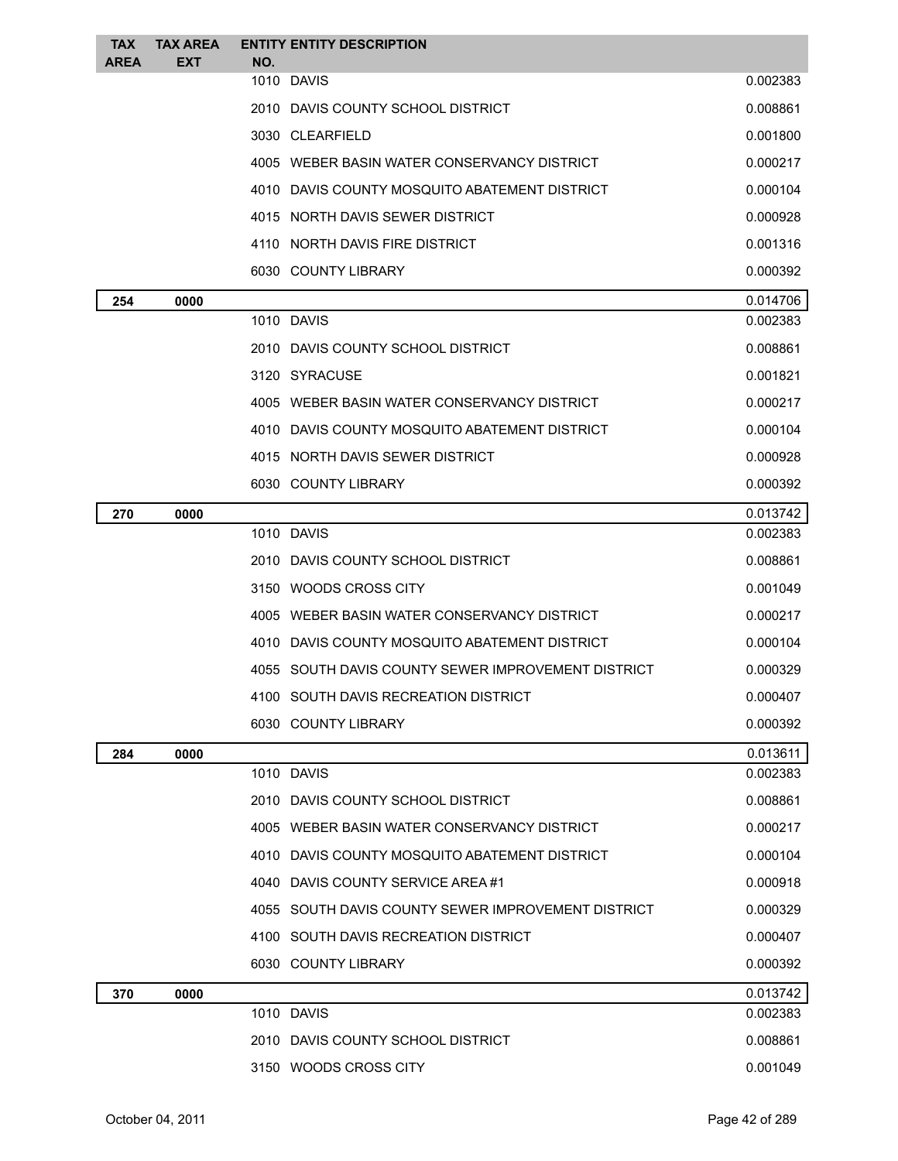| <b>TAX</b><br><b>AREA</b> | <b>TAX AREA</b><br><b>EXT</b> | <b>ENTITY ENTITY DESCRIPTION</b><br>NO.            |                      |
|---------------------------|-------------------------------|----------------------------------------------------|----------------------|
|                           |                               | 1010 DAVIS                                         | 0.002383             |
|                           |                               | 2010 DAVIS COUNTY SCHOOL DISTRICT                  | 0.008861             |
|                           |                               | 3030 CLEARFIELD                                    | 0.001800             |
|                           |                               | 4005 WEBER BASIN WATER CONSERVANCY DISTRICT        | 0.000217             |
|                           |                               | 4010 DAVIS COUNTY MOSQUITO ABATEMENT DISTRICT      | 0.000104             |
|                           |                               | 4015 NORTH DAVIS SEWER DISTRICT                    | 0.000928             |
|                           |                               | 4110 NORTH DAVIS FIRE DISTRICT                     | 0.001316             |
|                           |                               | 6030 COUNTY LIBRARY                                | 0.000392             |
| 254                       | 0000                          |                                                    | 0.014706             |
|                           |                               | 1010 DAVIS                                         | 0.002383             |
|                           |                               | 2010 DAVIS COUNTY SCHOOL DISTRICT                  | 0.008861             |
|                           |                               | 3120 SYRACUSE                                      | 0.001821             |
|                           |                               | 4005 WEBER BASIN WATER CONSERVANCY DISTRICT        | 0.000217             |
|                           |                               | 4010 DAVIS COUNTY MOSQUITO ABATEMENT DISTRICT      | 0.000104             |
|                           |                               | 4015 NORTH DAVIS SEWER DISTRICT                    | 0.000928             |
|                           |                               | 6030 COUNTY LIBRARY                                | 0.000392             |
| 270                       | 0000                          |                                                    | 0.013742             |
|                           |                               | 1010 DAVIS                                         | 0.002383             |
|                           |                               | 2010 DAVIS COUNTY SCHOOL DISTRICT                  | 0.008861             |
|                           |                               | 3150 WOODS CROSS CITY                              | 0.001049             |
|                           |                               | 4005 WEBER BASIN WATER CONSERVANCY DISTRICT        | 0.000217             |
|                           |                               | 4010 DAVIS COUNTY MOSQUITO ABATEMENT DISTRICT      | 0.000104             |
|                           |                               | 4055 SOUTH DAVIS COUNTY SEWER IMPROVEMENT DISTRICT | 0.000329             |
|                           |                               | 4100 SOUTH DAVIS RECREATION DISTRICT               | 0.000407             |
|                           |                               | 6030 COUNTY LIBRARY                                | 0.000392             |
| 284                       | 0000                          |                                                    | 0.013611             |
|                           |                               | 1010 DAVIS                                         | 0.002383             |
|                           |                               | 2010 DAVIS COUNTY SCHOOL DISTRICT                  | 0.008861             |
|                           |                               | 4005 WEBER BASIN WATER CONSERVANCY DISTRICT        | 0.000217             |
|                           |                               | 4010 DAVIS COUNTY MOSQUITO ABATEMENT DISTRICT      | 0.000104             |
|                           |                               | 4040 DAVIS COUNTY SERVICE AREA #1                  | 0.000918             |
|                           |                               | 4055 SOUTH DAVIS COUNTY SEWER IMPROVEMENT DISTRICT | 0.000329             |
|                           |                               | 4100 SOUTH DAVIS RECREATION DISTRICT               | 0.000407             |
|                           |                               | 6030 COUNTY LIBRARY                                | 0.000392             |
| 370                       | 0000                          | 1010 DAVIS                                         | 0.013742<br>0.002383 |
|                           |                               | 2010 DAVIS COUNTY SCHOOL DISTRICT                  | 0.008861             |
|                           |                               | 3150 WOODS CROSS CITY                              | 0.001049             |
|                           |                               |                                                    |                      |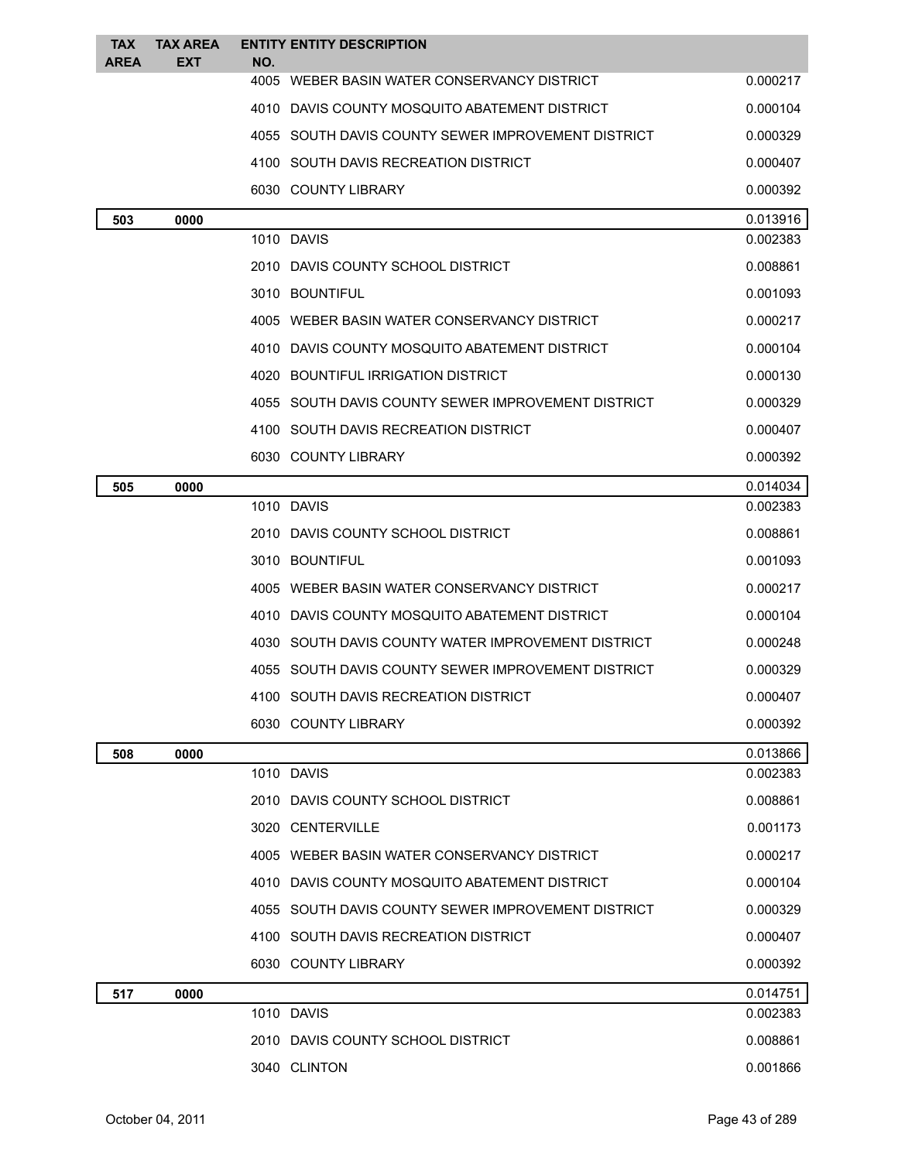| <b>TAX</b><br><b>AREA</b> | <b>TAX AREA</b><br><b>EXT</b> | <b>ENTITY ENTITY DESCRIPTION</b><br>NO.            |          |
|---------------------------|-------------------------------|----------------------------------------------------|----------|
|                           |                               | 4005 WEBER BASIN WATER CONSERVANCY DISTRICT        | 0.000217 |
|                           |                               | 4010 DAVIS COUNTY MOSQUITO ABATEMENT DISTRICT      | 0.000104 |
|                           |                               | 4055 SOUTH DAVIS COUNTY SEWER IMPROVEMENT DISTRICT | 0.000329 |
|                           |                               | 4100 SOUTH DAVIS RECREATION DISTRICT               | 0.000407 |
|                           |                               | 6030 COUNTY LIBRARY                                | 0.000392 |
| 503                       | 0000                          |                                                    | 0.013916 |
|                           |                               | 1010 DAVIS                                         | 0.002383 |
|                           |                               | 2010 DAVIS COUNTY SCHOOL DISTRICT                  | 0.008861 |
|                           |                               | 3010 BOUNTIFUL                                     | 0.001093 |
|                           |                               | 4005 WEBER BASIN WATER CONSERVANCY DISTRICT        | 0.000217 |
|                           |                               | 4010 DAVIS COUNTY MOSQUITO ABATEMENT DISTRICT      | 0.000104 |
|                           |                               | 4020 BOUNTIFUL IRRIGATION DISTRICT                 | 0.000130 |
|                           |                               | 4055 SOUTH DAVIS COUNTY SEWER IMPROVEMENT DISTRICT | 0.000329 |
|                           |                               | 4100 SOUTH DAVIS RECREATION DISTRICT               | 0.000407 |
|                           |                               | 6030 COUNTY LIBRARY                                | 0.000392 |
| 505                       | 0000                          |                                                    | 0.014034 |
|                           |                               | 1010 DAVIS                                         | 0.002383 |
|                           |                               | 2010 DAVIS COUNTY SCHOOL DISTRICT                  | 0.008861 |
|                           |                               | 3010 BOUNTIFUL                                     | 0.001093 |
|                           |                               | 4005 WEBER BASIN WATER CONSERVANCY DISTRICT        | 0.000217 |
|                           |                               | 4010 DAVIS COUNTY MOSQUITO ABATEMENT DISTRICT      | 0.000104 |
|                           |                               | 4030 SOUTH DAVIS COUNTY WATER IMPROVEMENT DISTRICT | 0.000248 |
|                           |                               | 4055 SOUTH DAVIS COUNTY SEWER IMPROVEMENT DISTRICT | 0.000329 |
|                           |                               | 4100 SOUTH DAVIS RECREATION DISTRICT               | 0.000407 |
|                           |                               | 6030 COUNTY LIBRARY                                | 0.000392 |
| 508                       | 0000                          |                                                    | 0.013866 |
|                           |                               | 1010 DAVIS                                         | 0.002383 |
|                           |                               | 2010 DAVIS COUNTY SCHOOL DISTRICT                  | 0.008861 |
|                           |                               | 3020 CENTERVILLE                                   | 0.001173 |
|                           |                               | 4005 WEBER BASIN WATER CONSERVANCY DISTRICT        | 0.000217 |
|                           |                               | 4010 DAVIS COUNTY MOSQUITO ABATEMENT DISTRICT      | 0.000104 |
|                           |                               | 4055 SOUTH DAVIS COUNTY SEWER IMPROVEMENT DISTRICT | 0.000329 |
|                           |                               | 4100 SOUTH DAVIS RECREATION DISTRICT               | 0.000407 |
|                           |                               | 6030 COUNTY LIBRARY                                | 0.000392 |
| 517                       | 0000                          |                                                    | 0.014751 |
|                           |                               | 1010 DAVIS                                         | 0.002383 |
|                           |                               | 2010 DAVIS COUNTY SCHOOL DISTRICT                  | 0.008861 |
|                           |                               | 3040 CLINTON                                       | 0.001866 |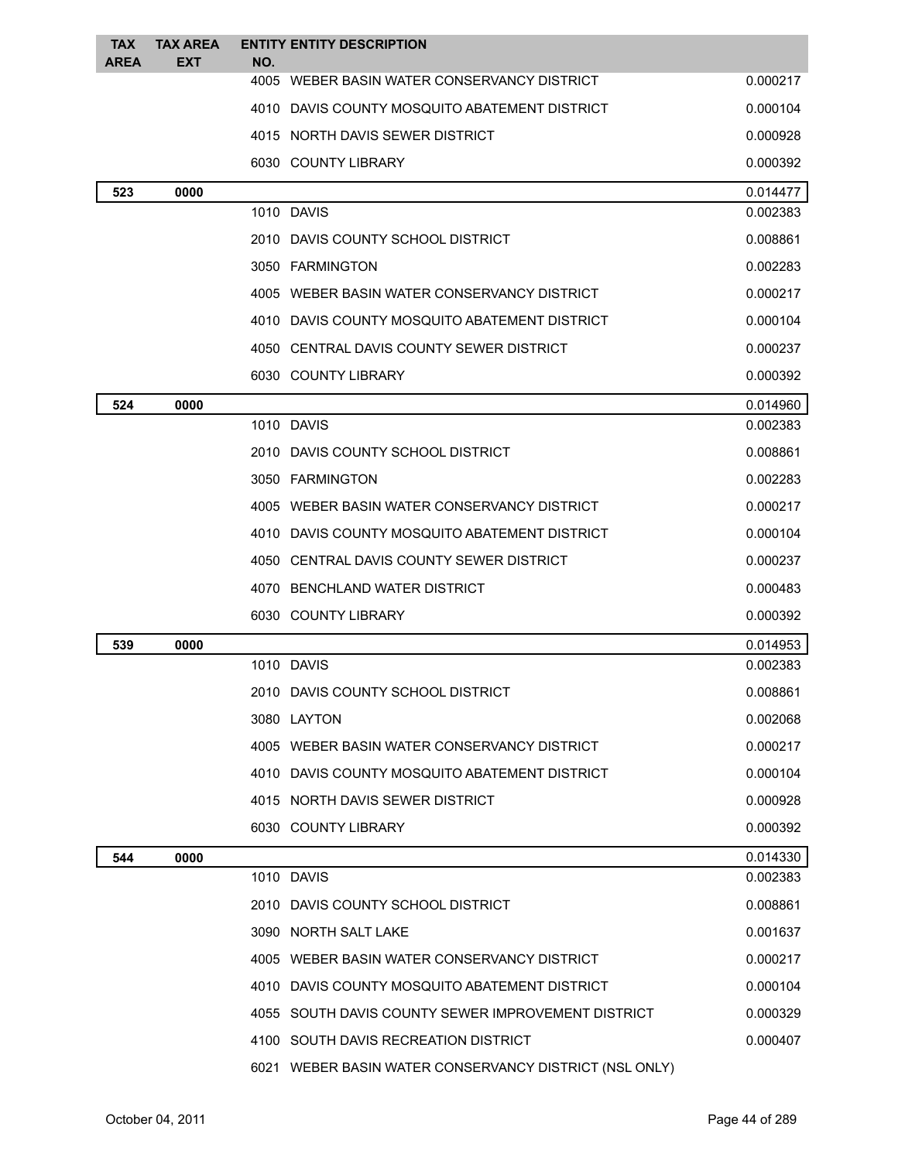| <b>TAX</b><br><b>AREA</b> | <b>TAX AREA</b><br><b>EXT</b> | NO. | <b>ENTITY ENTITY DESCRIPTION</b>                       |          |
|---------------------------|-------------------------------|-----|--------------------------------------------------------|----------|
|                           |                               |     | 4005 WEBER BASIN WATER CONSERVANCY DISTRICT            | 0.000217 |
|                           |                               |     | 4010 DAVIS COUNTY MOSQUITO ABATEMENT DISTRICT          | 0.000104 |
|                           |                               |     | 4015 NORTH DAVIS SEWER DISTRICT                        | 0.000928 |
|                           |                               |     | 6030 COUNTY LIBRARY                                    | 0.000392 |
| 523                       | 0000                          |     |                                                        | 0.014477 |
|                           |                               |     | 1010 DAVIS                                             | 0.002383 |
|                           |                               |     | 2010 DAVIS COUNTY SCHOOL DISTRICT                      | 0.008861 |
|                           |                               |     | 3050 FARMINGTON                                        | 0.002283 |
|                           |                               |     | 4005 WEBER BASIN WATER CONSERVANCY DISTRICT            | 0.000217 |
|                           |                               |     | 4010 DAVIS COUNTY MOSQUITO ABATEMENT DISTRICT          | 0.000104 |
|                           |                               |     | 4050 CENTRAL DAVIS COUNTY SEWER DISTRICT               | 0.000237 |
|                           |                               |     | 6030 COUNTY LIBRARY                                    | 0.000392 |
| 524                       | 0000                          |     |                                                        | 0.014960 |
|                           |                               |     | 1010 DAVIS                                             | 0.002383 |
|                           |                               |     | 2010 DAVIS COUNTY SCHOOL DISTRICT                      | 0.008861 |
|                           |                               |     | 3050 FARMINGTON                                        | 0.002283 |
|                           |                               |     | 4005 WEBER BASIN WATER CONSERVANCY DISTRICT            | 0.000217 |
|                           |                               |     | 4010 DAVIS COUNTY MOSQUITO ABATEMENT DISTRICT          | 0.000104 |
|                           |                               |     | 4050 CENTRAL DAVIS COUNTY SEWER DISTRICT               | 0.000237 |
|                           |                               |     | 4070 BENCHLAND WATER DISTRICT                          | 0.000483 |
|                           |                               |     | 6030 COUNTY LIBRARY                                    | 0.000392 |
| 539                       | 0000                          |     |                                                        | 0.014953 |
|                           |                               |     | 1010 DAVIS                                             | 0.002383 |
|                           |                               |     | 2010 DAVIS COUNTY SCHOOL DISTRICT                      | 0.008861 |
|                           |                               |     | 3080 LAYTON                                            | 0.002068 |
|                           |                               |     | 4005 WEBER BASIN WATER CONSERVANCY DISTRICT            | 0.000217 |
|                           |                               |     | 4010 DAVIS COUNTY MOSQUITO ABATEMENT DISTRICT          | 0.000104 |
|                           |                               |     | 4015 NORTH DAVIS SEWER DISTRICT                        | 0.000928 |
|                           |                               |     | 6030 COUNTY LIBRARY                                    | 0.000392 |
| 544                       | 0000                          |     |                                                        | 0.014330 |
|                           |                               |     | 1010 DAVIS                                             | 0.002383 |
|                           |                               |     | 2010 DAVIS COUNTY SCHOOL DISTRICT                      | 0.008861 |
|                           |                               |     | 3090 NORTH SALT LAKE                                   | 0.001637 |
|                           |                               |     | 4005 WEBER BASIN WATER CONSERVANCY DISTRICT            | 0.000217 |
|                           |                               |     | 4010 DAVIS COUNTY MOSQUITO ABATEMENT DISTRICT          | 0.000104 |
|                           |                               |     | 4055 SOUTH DAVIS COUNTY SEWER IMPROVEMENT DISTRICT     | 0.000329 |
|                           |                               |     | 4100 SOUTH DAVIS RECREATION DISTRICT                   | 0.000407 |
|                           |                               |     | 6021 WEBER BASIN WATER CONSERVANCY DISTRICT (NSL ONLY) |          |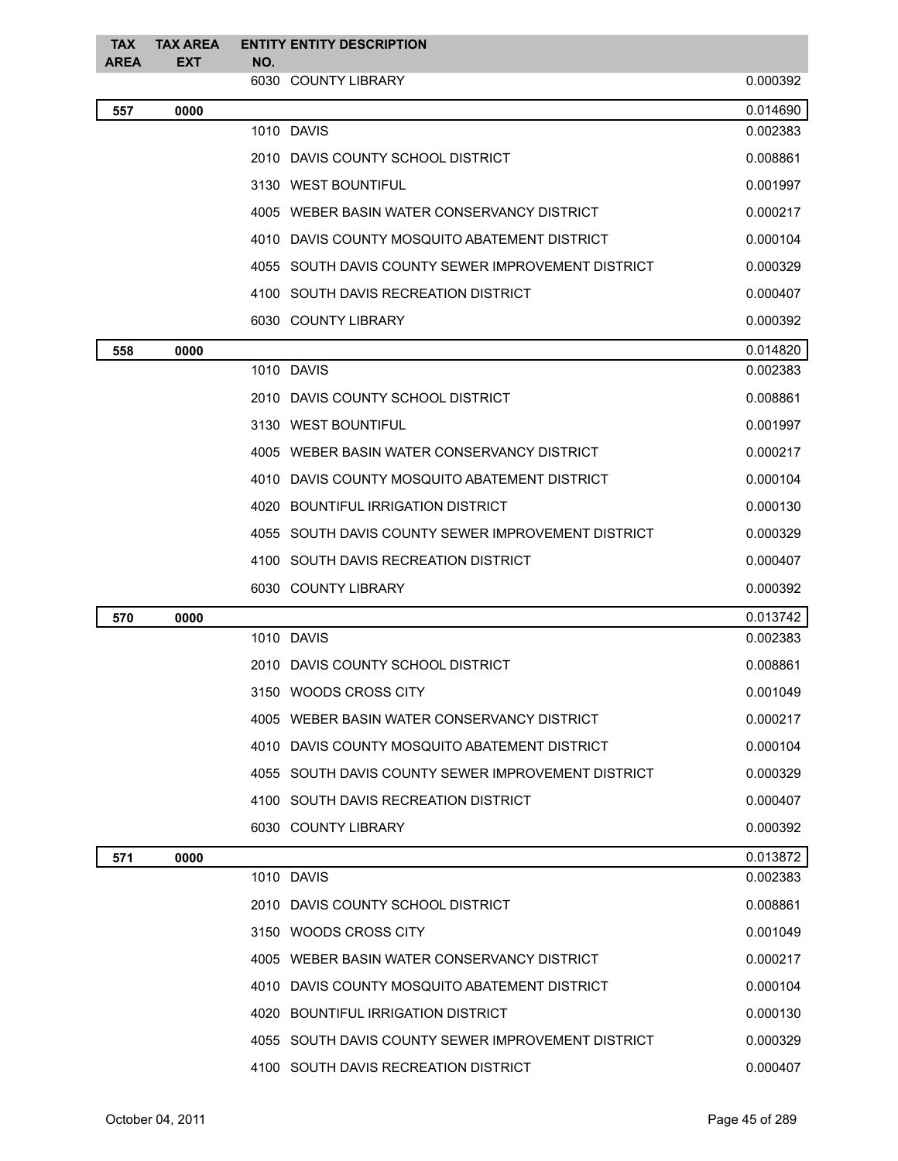| <b>TAX</b><br><b>AREA</b> | <b>TAX AREA</b><br><b>EXT</b> | NO. | <b>ENTITY ENTITY DESCRIPTION</b>                   |          |
|---------------------------|-------------------------------|-----|----------------------------------------------------|----------|
|                           |                               |     | 6030 COUNTY LIBRARY                                | 0.000392 |
| 557                       | 0000                          |     |                                                    | 0.014690 |
|                           |                               |     | 1010 DAVIS                                         | 0.002383 |
|                           |                               |     | 2010 DAVIS COUNTY SCHOOL DISTRICT                  | 0.008861 |
|                           |                               |     | 3130 WEST BOUNTIFUL                                | 0.001997 |
|                           |                               |     | 4005 WEBER BASIN WATER CONSERVANCY DISTRICT        | 0.000217 |
|                           |                               |     | 4010 DAVIS COUNTY MOSQUITO ABATEMENT DISTRICT      | 0.000104 |
|                           |                               |     | 4055 SOUTH DAVIS COUNTY SEWER IMPROVEMENT DISTRICT | 0.000329 |
|                           |                               |     | 4100 SOUTH DAVIS RECREATION DISTRICT               | 0.000407 |
|                           |                               |     | 6030 COUNTY LIBRARY                                | 0.000392 |
| 558                       | 0000                          |     |                                                    | 0.014820 |
|                           |                               |     | 1010 DAVIS                                         | 0.002383 |
|                           |                               |     | 2010 DAVIS COUNTY SCHOOL DISTRICT                  | 0.008861 |
|                           |                               |     | 3130 WEST BOUNTIFUL                                | 0.001997 |
|                           |                               |     | 4005 WEBER BASIN WATER CONSERVANCY DISTRICT        | 0.000217 |
|                           |                               |     | 4010 DAVIS COUNTY MOSQUITO ABATEMENT DISTRICT      | 0.000104 |
|                           |                               |     | 4020 BOUNTIFUL IRRIGATION DISTRICT                 | 0.000130 |
|                           |                               |     | 4055 SOUTH DAVIS COUNTY SEWER IMPROVEMENT DISTRICT | 0.000329 |
|                           |                               |     | 4100 SOUTH DAVIS RECREATION DISTRICT               | 0.000407 |
|                           |                               |     | 6030 COUNTY LIBRARY                                | 0.000392 |
| 570                       | 0000                          |     |                                                    | 0.013742 |
|                           |                               |     | 1010 DAVIS                                         | 0.002383 |
|                           |                               |     | 2010 DAVIS COUNTY SCHOOL DISTRICT                  | 0.008861 |
|                           |                               |     | 3150 WOODS CROSS CITY                              | 0.001049 |
|                           |                               |     | 4005 WEBER BASIN WATER CONSERVANCY DISTRICT        | 0.000217 |
|                           |                               |     | 4010 DAVIS COUNTY MOSQUITO ABATEMENT DISTRICT      | 0.000104 |
|                           |                               |     | 4055 SOUTH DAVIS COUNTY SEWER IMPROVEMENT DISTRICT | 0.000329 |
|                           |                               |     | 4100 SOUTH DAVIS RECREATION DISTRICT               | 0.000407 |
|                           |                               |     | 6030 COUNTY LIBRARY                                | 0.000392 |
| 571                       | 0000                          |     |                                                    | 0.013872 |
|                           |                               |     | 1010 DAVIS                                         | 0.002383 |
|                           |                               |     | 2010 DAVIS COUNTY SCHOOL DISTRICT                  | 0.008861 |
|                           |                               |     | 3150 WOODS CROSS CITY                              | 0.001049 |
|                           |                               |     | 4005 WEBER BASIN WATER CONSERVANCY DISTRICT        | 0.000217 |
|                           |                               |     | 4010 DAVIS COUNTY MOSQUITO ABATEMENT DISTRICT      | 0.000104 |
|                           |                               |     | 4020 BOUNTIFUL IRRIGATION DISTRICT                 | 0.000130 |
|                           |                               |     | 4055 SOUTH DAVIS COUNTY SEWER IMPROVEMENT DISTRICT | 0.000329 |
|                           |                               |     | 4100 SOUTH DAVIS RECREATION DISTRICT               | 0.000407 |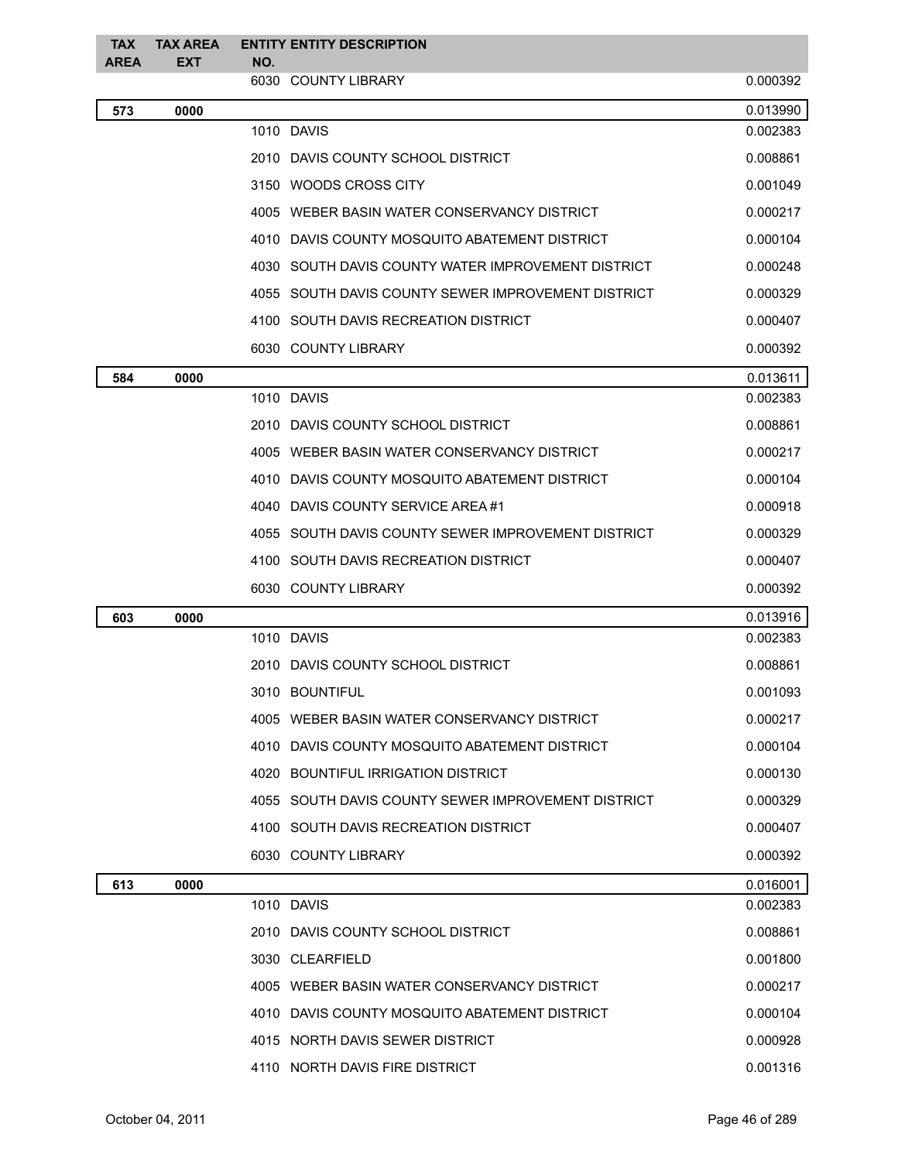| <b>TAX</b><br><b>AREA</b> | <b>TAX AREA</b><br><b>EXT</b> | NO. | <b>ENTITY ENTITY DESCRIPTION</b>                   |          |
|---------------------------|-------------------------------|-----|----------------------------------------------------|----------|
|                           |                               |     | 6030 COUNTY LIBRARY                                | 0.000392 |
| 573                       | 0000                          |     |                                                    | 0.013990 |
|                           |                               |     | 1010 DAVIS                                         | 0.002383 |
|                           |                               |     | 2010 DAVIS COUNTY SCHOOL DISTRICT                  | 0.008861 |
|                           |                               |     | 3150 WOODS CROSS CITY                              | 0.001049 |
|                           |                               |     | 4005 WEBER BASIN WATER CONSERVANCY DISTRICT        | 0.000217 |
|                           |                               |     | 4010 DAVIS COUNTY MOSQUITO ABATEMENT DISTRICT      | 0.000104 |
|                           |                               |     | 4030 SOUTH DAVIS COUNTY WATER IMPROVEMENT DISTRICT | 0.000248 |
|                           |                               |     | 4055 SOUTH DAVIS COUNTY SEWER IMPROVEMENT DISTRICT | 0.000329 |
|                           |                               |     | 4100 SOUTH DAVIS RECREATION DISTRICT               | 0.000407 |
|                           |                               |     | 6030 COUNTY LIBRARY                                | 0.000392 |
| 584                       | 0000                          |     |                                                    | 0.013611 |
|                           |                               |     | 1010 DAVIS                                         | 0.002383 |
|                           |                               |     | 2010 DAVIS COUNTY SCHOOL DISTRICT                  | 0.008861 |
|                           |                               |     | 4005 WEBER BASIN WATER CONSERVANCY DISTRICT        | 0.000217 |
|                           |                               |     | 4010 DAVIS COUNTY MOSQUITO ABATEMENT DISTRICT      | 0.000104 |
|                           |                               |     | 4040 DAVIS COUNTY SERVICE AREA #1                  | 0.000918 |
|                           |                               |     | 4055 SOUTH DAVIS COUNTY SEWER IMPROVEMENT DISTRICT | 0.000329 |
|                           |                               |     | 4100 SOUTH DAVIS RECREATION DISTRICT               | 0.000407 |
|                           |                               |     | 6030 COUNTY LIBRARY                                | 0.000392 |
| 603                       | 0000                          |     |                                                    | 0.013916 |
|                           |                               |     | 1010 DAVIS                                         | 0.002383 |
|                           |                               |     | 2010 DAVIS COUNTY SCHOOL DISTRICT                  | 0.008861 |
|                           |                               |     | 3010 BOUNTIFUL                                     | 0.001093 |
|                           |                               |     | 4005 WEBER BASIN WATER CONSERVANCY DISTRICT        | 0.000217 |
|                           |                               |     | 4010 DAVIS COUNTY MOSQUITO ABATEMENT DISTRICT      | 0.000104 |
|                           |                               |     | 4020 BOUNTIFUL IRRIGATION DISTRICT                 | 0.000130 |
|                           |                               |     | 4055 SOUTH DAVIS COUNTY SEWER IMPROVEMENT DISTRICT | 0.000329 |
|                           |                               |     | 4100 SOUTH DAVIS RECREATION DISTRICT               | 0.000407 |
|                           |                               |     | 6030 COUNTY LIBRARY                                | 0.000392 |
| 613                       | 0000                          |     |                                                    | 0.016001 |
|                           |                               |     | 1010 DAVIS                                         | 0.002383 |
|                           |                               |     | 2010 DAVIS COUNTY SCHOOL DISTRICT                  | 0.008861 |
|                           |                               |     | 3030 CLEARFIELD                                    | 0.001800 |
|                           |                               |     | 4005 WEBER BASIN WATER CONSERVANCY DISTRICT        | 0.000217 |
|                           |                               |     | 4010 DAVIS COUNTY MOSQUITO ABATEMENT DISTRICT      | 0.000104 |
|                           |                               |     | 4015 NORTH DAVIS SEWER DISTRICT                    | 0.000928 |
|                           |                               |     | 4110 NORTH DAVIS FIRE DISTRICT                     | 0.001316 |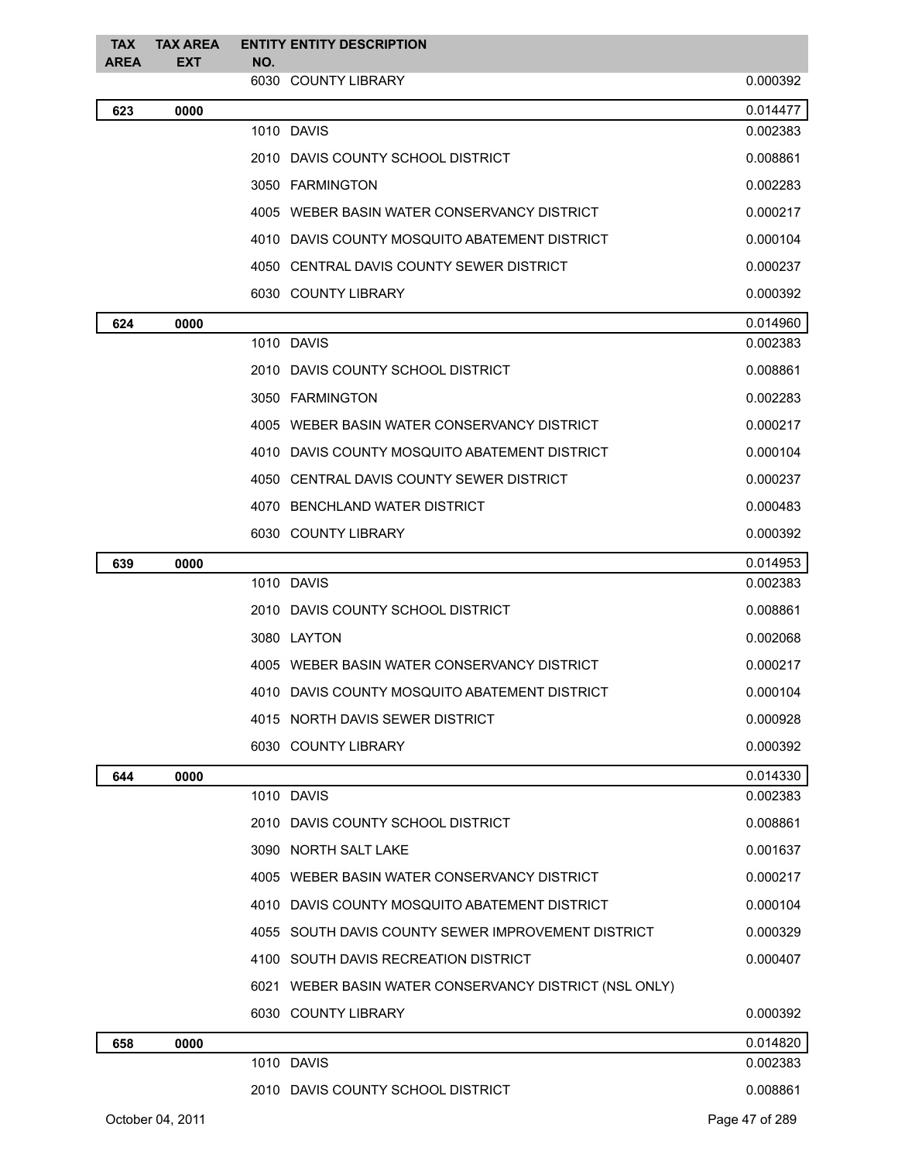| <b>TAX</b>  | <b>TAX AREA</b>  |     | <b>ENTITY ENTITY DESCRIPTION</b>                       |                |
|-------------|------------------|-----|--------------------------------------------------------|----------------|
| <b>AREA</b> | <b>EXT</b>       | NO. | 6030 COUNTY LIBRARY                                    | 0.000392       |
| 623         | 0000             |     |                                                        | 0.014477       |
|             |                  |     | 1010 DAVIS                                             | 0.002383       |
|             |                  |     | 2010 DAVIS COUNTY SCHOOL DISTRICT                      | 0.008861       |
|             |                  |     | 3050 FARMINGTON                                        | 0.002283       |
|             |                  |     | 4005 WEBER BASIN WATER CONSERVANCY DISTRICT            | 0.000217       |
|             |                  |     | 4010 DAVIS COUNTY MOSQUITO ABATEMENT DISTRICT          | 0.000104       |
|             |                  |     | 4050 CENTRAL DAVIS COUNTY SEWER DISTRICT               | 0.000237       |
|             |                  |     | 6030 COUNTY LIBRARY                                    | 0.000392       |
| 624         | 0000             |     |                                                        | 0.014960       |
|             |                  |     | 1010 DAVIS                                             | 0.002383       |
|             |                  |     | 2010 DAVIS COUNTY SCHOOL DISTRICT                      | 0.008861       |
|             |                  |     | 3050 FARMINGTON                                        | 0.002283       |
|             |                  |     | 4005 WEBER BASIN WATER CONSERVANCY DISTRICT            | 0.000217       |
|             |                  |     | 4010 DAVIS COUNTY MOSQUITO ABATEMENT DISTRICT          | 0.000104       |
|             |                  |     | 4050 CENTRAL DAVIS COUNTY SEWER DISTRICT               | 0.000237       |
|             |                  |     | 4070 BENCHLAND WATER DISTRICT                          | 0.000483       |
|             |                  |     | 6030 COUNTY LIBRARY                                    | 0.000392       |
| 639         | 0000             |     |                                                        | 0.014953       |
|             |                  |     | 1010 DAVIS                                             | 0.002383       |
|             |                  |     | 2010 DAVIS COUNTY SCHOOL DISTRICT                      | 0.008861       |
|             |                  |     | 3080 LAYTON                                            | 0.002068       |
|             |                  |     | 4005 WEBER BASIN WATER CONSERVANCY DISTRICT            | 0.000217       |
|             |                  |     | 4010 DAVIS COUNTY MOSQUITO ABATEMENT DISTRICT          | 0.000104       |
|             |                  |     | 4015 NORTH DAVIS SEWER DISTRICT                        | 0.000928       |
|             |                  |     | 6030 COUNTY LIBRARY                                    | 0.000392       |
| 644         | 0000             |     |                                                        | 0.014330       |
|             |                  |     | 1010 DAVIS                                             | 0.002383       |
|             |                  |     | 2010 DAVIS COUNTY SCHOOL DISTRICT                      | 0.008861       |
|             |                  |     | 3090 NORTH SALT LAKE                                   | 0.001637       |
|             |                  |     | 4005 WEBER BASIN WATER CONSERVANCY DISTRICT            | 0.000217       |
|             |                  |     | 4010 DAVIS COUNTY MOSQUITO ABATEMENT DISTRICT          | 0.000104       |
|             |                  |     | 4055 SOUTH DAVIS COUNTY SEWER IMPROVEMENT DISTRICT     | 0.000329       |
|             |                  |     | 4100 SOUTH DAVIS RECREATION DISTRICT                   | 0.000407       |
|             |                  |     | 6021 WEBER BASIN WATER CONSERVANCY DISTRICT (NSL ONLY) |                |
|             |                  |     | 6030 COUNTY LIBRARY                                    | 0.000392       |
| 658         | 0000             |     |                                                        | 0.014820       |
|             |                  |     | 1010 DAVIS                                             | 0.002383       |
|             |                  |     | 2010 DAVIS COUNTY SCHOOL DISTRICT                      | 0.008861       |
|             | October 04, 2011 |     |                                                        | Page 47 of 289 |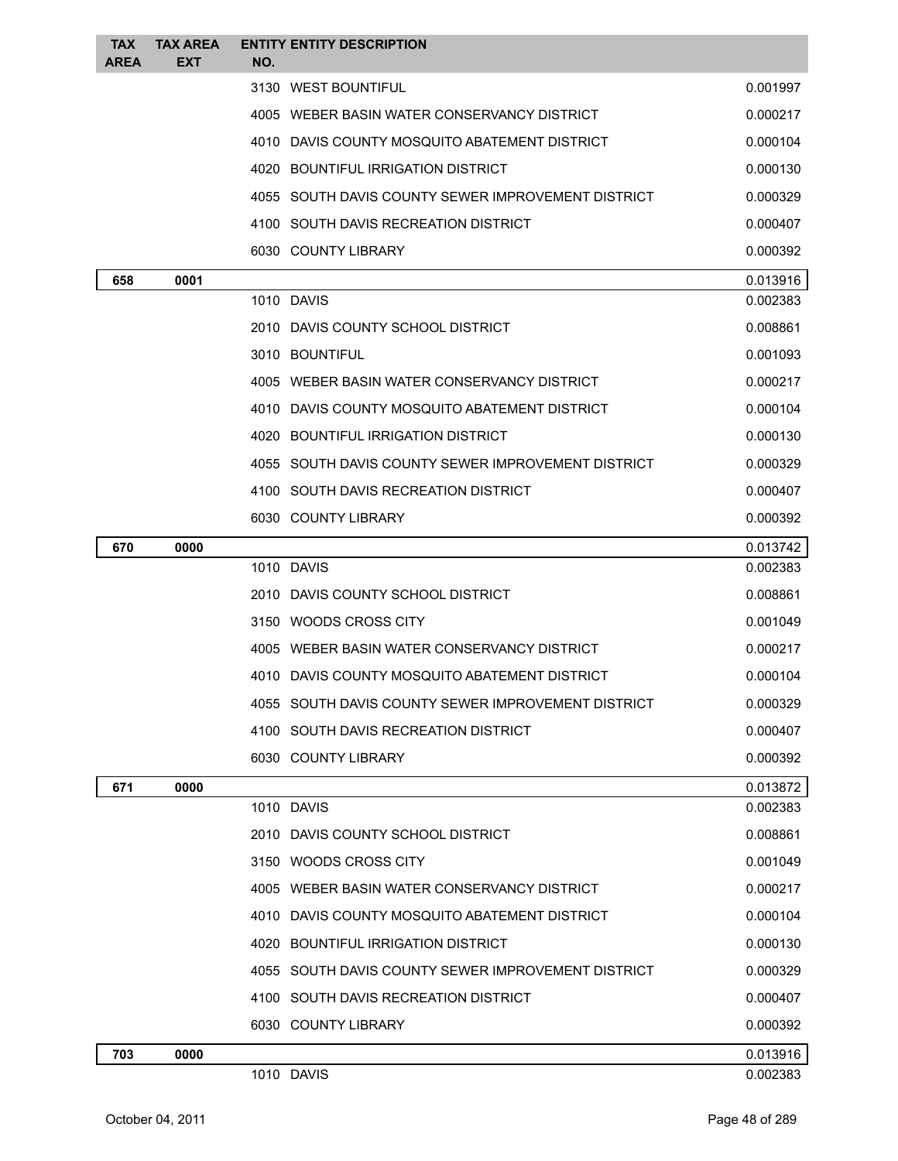| <b>TAX</b><br><b>AREA</b> | <b>TAX AREA</b><br><b>EXT</b> | <b>ENTITY ENTITY DESCRIPTION</b><br>NO.            |          |
|---------------------------|-------------------------------|----------------------------------------------------|----------|
|                           |                               | 3130 WEST BOUNTIFUL                                | 0.001997 |
|                           |                               | 4005 WEBER BASIN WATER CONSERVANCY DISTRICT        | 0.000217 |
|                           |                               | 4010 DAVIS COUNTY MOSQUITO ABATEMENT DISTRICT      | 0.000104 |
|                           |                               | 4020 BOUNTIFUL IRRIGATION DISTRICT                 | 0.000130 |
|                           |                               | 4055 SOUTH DAVIS COUNTY SEWER IMPROVEMENT DISTRICT | 0.000329 |
|                           |                               | 4100 SOUTH DAVIS RECREATION DISTRICT               | 0.000407 |
|                           |                               | 6030 COUNTY LIBRARY                                | 0.000392 |
| 658                       | 0001                          |                                                    | 0.013916 |
|                           |                               | 1010 DAVIS                                         | 0.002383 |
|                           |                               | 2010 DAVIS COUNTY SCHOOL DISTRICT                  | 0.008861 |
|                           |                               | 3010 BOUNTIFUL                                     | 0.001093 |
|                           |                               | 4005 WEBER BASIN WATER CONSERVANCY DISTRICT        | 0.000217 |
|                           |                               | 4010 DAVIS COUNTY MOSQUITO ABATEMENT DISTRICT      | 0.000104 |
|                           |                               | 4020 BOUNTIFUL IRRIGATION DISTRICT                 | 0.000130 |
|                           |                               | 4055 SOUTH DAVIS COUNTY SEWER IMPROVEMENT DISTRICT | 0.000329 |
|                           |                               | 4100 SOUTH DAVIS RECREATION DISTRICT               | 0.000407 |
|                           |                               | 6030 COUNTY LIBRARY                                | 0.000392 |
| 670                       | 0000                          |                                                    | 0.013742 |
|                           |                               | 1010 DAVIS                                         | 0.002383 |
|                           |                               | 2010 DAVIS COUNTY SCHOOL DISTRICT                  | 0.008861 |
|                           |                               | 3150 WOODS CROSS CITY                              | 0.001049 |
|                           |                               | 4005 WEBER BASIN WATER CONSERVANCY DISTRICT        | 0.000217 |
|                           |                               | 4010 DAVIS COUNTY MOSQUITO ABATEMENT DISTRICT      | 0.000104 |
|                           |                               | 4055 SOUTH DAVIS COUNTY SEWER IMPROVEMENT DISTRICT | 0.000329 |
|                           |                               | 4100 SOUTH DAVIS RECREATION DISTRICT               | 0.000407 |
|                           |                               | 6030 COUNTY LIBRARY                                | 0.000392 |
| 671                       | 0000                          |                                                    | 0.013872 |
|                           |                               | 1010 DAVIS                                         | 0.002383 |
|                           |                               | 2010 DAVIS COUNTY SCHOOL DISTRICT                  | 0.008861 |
|                           |                               | 3150 WOODS CROSS CITY                              | 0.001049 |
|                           |                               | 4005 WEBER BASIN WATER CONSERVANCY DISTRICT        | 0.000217 |
|                           |                               | 4010 DAVIS COUNTY MOSQUITO ABATEMENT DISTRICT      | 0.000104 |
|                           |                               | 4020 BOUNTIFUL IRRIGATION DISTRICT                 | 0.000130 |
|                           |                               | 4055 SOUTH DAVIS COUNTY SEWER IMPROVEMENT DISTRICT | 0.000329 |
|                           |                               | 4100 SOUTH DAVIS RECREATION DISTRICT               | 0.000407 |
|                           |                               | 6030 COUNTY LIBRARY                                | 0.000392 |
| 703                       | 0000                          |                                                    | 0.013916 |
|                           |                               | 1010 DAVIS                                         | 0.002383 |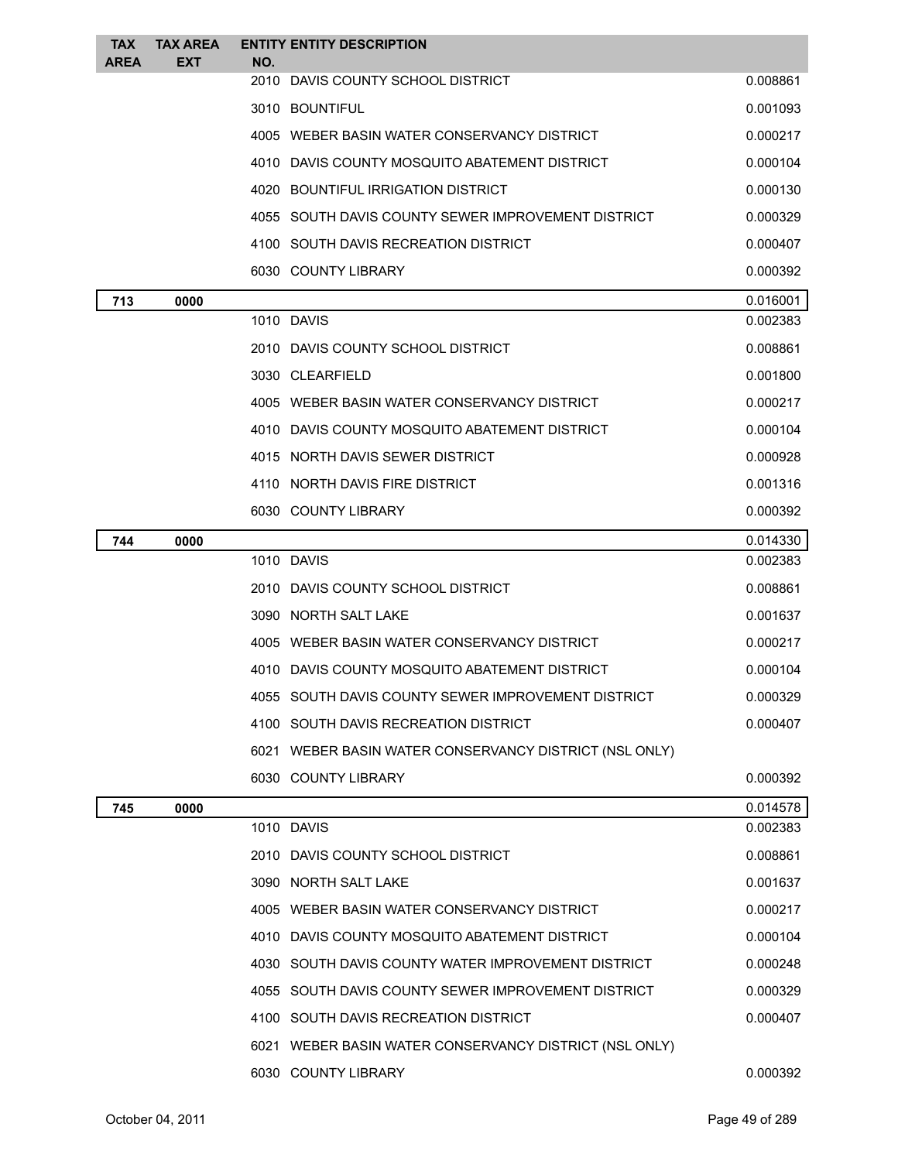| <b>TAX</b>  | <b>TAX AREA</b> |     | <b>ENTITY ENTITY DESCRIPTION</b>                       |          |
|-------------|-----------------|-----|--------------------------------------------------------|----------|
| <b>AREA</b> | <b>EXT</b>      | NO. | 2010 DAVIS COUNTY SCHOOL DISTRICT                      | 0.008861 |
|             |                 |     | 3010 BOUNTIFUL                                         | 0.001093 |
|             |                 |     | 4005 WEBER BASIN WATER CONSERVANCY DISTRICT            | 0.000217 |
|             |                 |     | 4010 DAVIS COUNTY MOSQUITO ABATEMENT DISTRICT          | 0.000104 |
|             |                 |     | 4020 BOUNTIFUL IRRIGATION DISTRICT                     | 0.000130 |
|             |                 |     | 4055 SOUTH DAVIS COUNTY SEWER IMPROVEMENT DISTRICT     | 0.000329 |
|             |                 |     | 4100 SOUTH DAVIS RECREATION DISTRICT                   | 0.000407 |
|             |                 |     | 6030 COUNTY LIBRARY                                    | 0.000392 |
| 713         | 0000            |     |                                                        | 0.016001 |
|             |                 |     | 1010 DAVIS                                             | 0.002383 |
|             |                 |     | 2010 DAVIS COUNTY SCHOOL DISTRICT                      | 0.008861 |
|             |                 |     | 3030 CLEARFIELD                                        | 0.001800 |
|             |                 |     | 4005 WEBER BASIN WATER CONSERVANCY DISTRICT            | 0.000217 |
|             |                 |     | 4010 DAVIS COUNTY MOSQUITO ABATEMENT DISTRICT          | 0.000104 |
|             |                 |     | 4015 NORTH DAVIS SEWER DISTRICT                        | 0.000928 |
|             |                 |     | 4110 NORTH DAVIS FIRE DISTRICT                         | 0.001316 |
|             |                 |     | 6030 COUNTY LIBRARY                                    | 0.000392 |
| 744         | 0000            |     |                                                        | 0.014330 |
|             |                 |     | 1010 DAVIS                                             | 0.002383 |
|             |                 |     | 2010 DAVIS COUNTY SCHOOL DISTRICT                      | 0.008861 |
|             |                 |     | 3090 NORTH SALT LAKE                                   | 0.001637 |
|             |                 |     | 4005 WEBER BASIN WATER CONSERVANCY DISTRICT            | 0.000217 |
|             |                 |     | 4010 DAVIS COUNTY MOSQUITO ABATEMENT DISTRICT          | 0.000104 |
|             |                 |     | 4055 SOUTH DAVIS COUNTY SEWER IMPROVEMENT DISTRICT     | 0.000329 |
|             |                 |     | 4100 SOUTH DAVIS RECREATION DISTRICT                   | 0.000407 |
|             |                 |     | 6021 WEBER BASIN WATER CONSERVANCY DISTRICT (NSL ONLY) |          |
|             |                 |     | 6030 COUNTY LIBRARY                                    | 0.000392 |
| 745         | 0000            |     |                                                        | 0.014578 |
|             |                 |     | 1010 DAVIS                                             | 0.002383 |
|             |                 |     | 2010 DAVIS COUNTY SCHOOL DISTRICT                      | 0.008861 |
|             |                 |     | 3090 NORTH SALT LAKE                                   | 0.001637 |
|             |                 |     | 4005 WEBER BASIN WATER CONSERVANCY DISTRICT            | 0.000217 |
|             |                 |     | 4010 DAVIS COUNTY MOSQUITO ABATEMENT DISTRICT          | 0.000104 |
|             |                 |     | 4030 SOUTH DAVIS COUNTY WATER IMPROVEMENT DISTRICT     | 0.000248 |
|             |                 |     | 4055 SOUTH DAVIS COUNTY SEWER IMPROVEMENT DISTRICT     | 0.000329 |
|             |                 |     | 4100 SOUTH DAVIS RECREATION DISTRICT                   | 0.000407 |
|             |                 |     | 6021 WEBER BASIN WATER CONSERVANCY DISTRICT (NSL ONLY) |          |
|             |                 |     | 6030 COUNTY LIBRARY                                    | 0.000392 |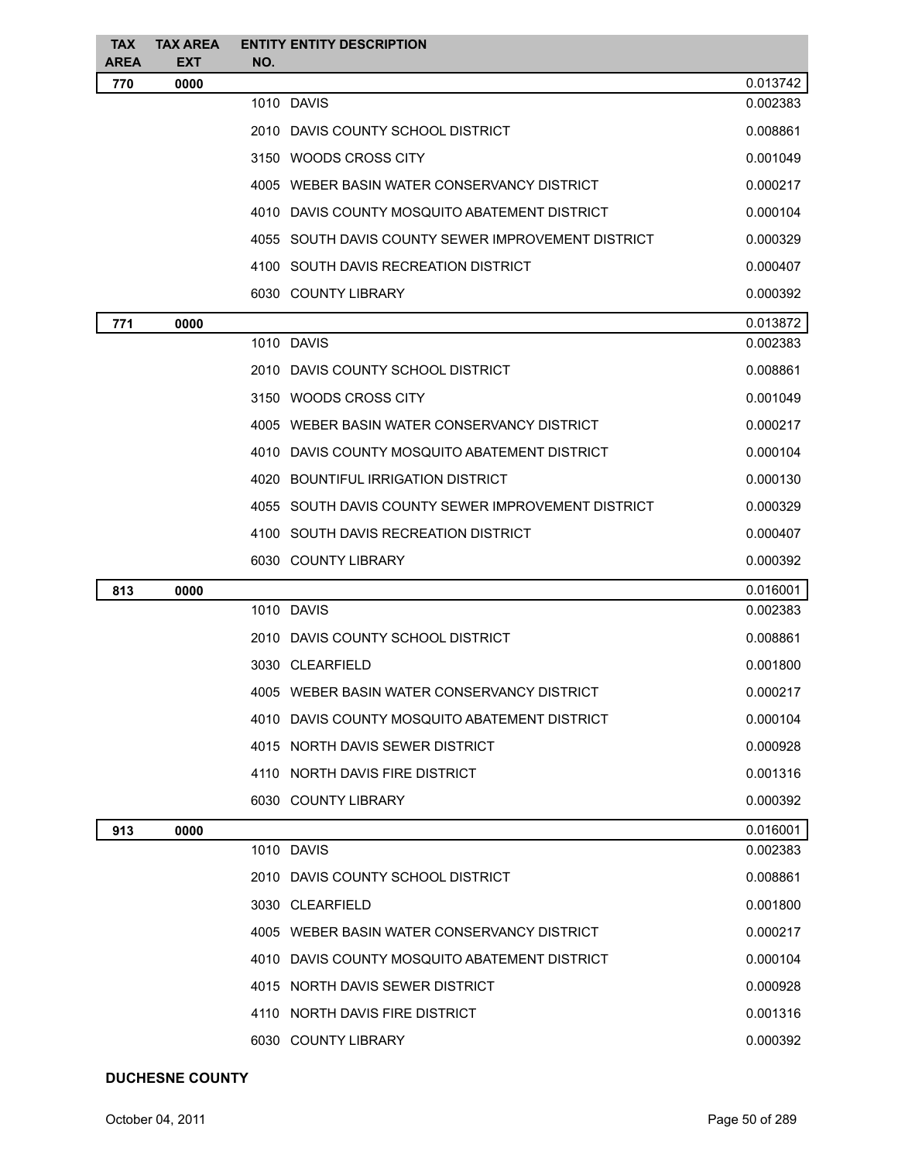| <b>TAX</b><br><b>AREA</b> | <b>TAX AREA</b><br><b>EXT</b> | <b>ENTITY ENTITY DESCRIPTION</b><br>NO.            |          |
|---------------------------|-------------------------------|----------------------------------------------------|----------|
| 770                       | 0000                          |                                                    | 0.013742 |
|                           |                               | 1010 DAVIS                                         | 0.002383 |
|                           |                               | 2010 DAVIS COUNTY SCHOOL DISTRICT                  | 0.008861 |
|                           |                               | 3150 WOODS CROSS CITY                              | 0.001049 |
|                           |                               | 4005 WEBER BASIN WATER CONSERVANCY DISTRICT        | 0.000217 |
|                           |                               | 4010 DAVIS COUNTY MOSQUITO ABATEMENT DISTRICT      | 0.000104 |
|                           |                               | 4055 SOUTH DAVIS COUNTY SEWER IMPROVEMENT DISTRICT | 0.000329 |
|                           |                               | 4100 SOUTH DAVIS RECREATION DISTRICT               | 0.000407 |
|                           |                               | 6030 COUNTY LIBRARY                                | 0.000392 |
| 771                       | 0000                          |                                                    | 0.013872 |
|                           |                               | 1010 DAVIS                                         | 0.002383 |
|                           |                               | 2010 DAVIS COUNTY SCHOOL DISTRICT                  | 0.008861 |
|                           |                               | 3150 WOODS CROSS CITY                              | 0.001049 |
|                           |                               | 4005 WEBER BASIN WATER CONSERVANCY DISTRICT        | 0.000217 |
|                           |                               | 4010 DAVIS COUNTY MOSQUITO ABATEMENT DISTRICT      | 0.000104 |
|                           |                               | 4020 BOUNTIFUL IRRIGATION DISTRICT                 | 0.000130 |
|                           |                               | 4055 SOUTH DAVIS COUNTY SEWER IMPROVEMENT DISTRICT | 0.000329 |
|                           |                               | 4100 SOUTH DAVIS RECREATION DISTRICT               | 0.000407 |
|                           |                               | 6030 COUNTY LIBRARY                                | 0.000392 |
| 813                       | 0000                          |                                                    | 0.016001 |
|                           |                               | 1010 DAVIS                                         | 0.002383 |
|                           |                               | 2010 DAVIS COUNTY SCHOOL DISTRICT                  | 0.008861 |
|                           |                               | 3030 CLEARFIELD                                    | 0.001800 |
|                           |                               | 4005 WEBER BASIN WATER CONSERVANCY DISTRICT        | 0.000217 |
|                           |                               | 4010 DAVIS COUNTY MOSQUITO ABATEMENT DISTRICT      | 0.000104 |
|                           |                               | 4015 NORTH DAVIS SEWER DISTRICT                    | 0.000928 |
|                           |                               | 4110 NORTH DAVIS FIRE DISTRICT                     | 0.001316 |
|                           |                               | 6030 COUNTY LIBRARY                                | 0.000392 |
| 913                       | 0000                          |                                                    | 0.016001 |
|                           |                               | 1010 DAVIS                                         | 0.002383 |
|                           |                               | 2010 DAVIS COUNTY SCHOOL DISTRICT                  | 0.008861 |
|                           |                               | 3030 CLEARFIELD                                    | 0.001800 |
|                           |                               | 4005 WEBER BASIN WATER CONSERVANCY DISTRICT        | 0.000217 |
|                           |                               | 4010 DAVIS COUNTY MOSQUITO ABATEMENT DISTRICT      | 0.000104 |
|                           |                               | 4015 NORTH DAVIS SEWER DISTRICT                    | 0.000928 |
|                           |                               | 4110 NORTH DAVIS FIRE DISTRICT                     | 0.001316 |
|                           |                               | 6030 COUNTY LIBRARY                                | 0.000392 |

## **DUCHESNE COUNTY**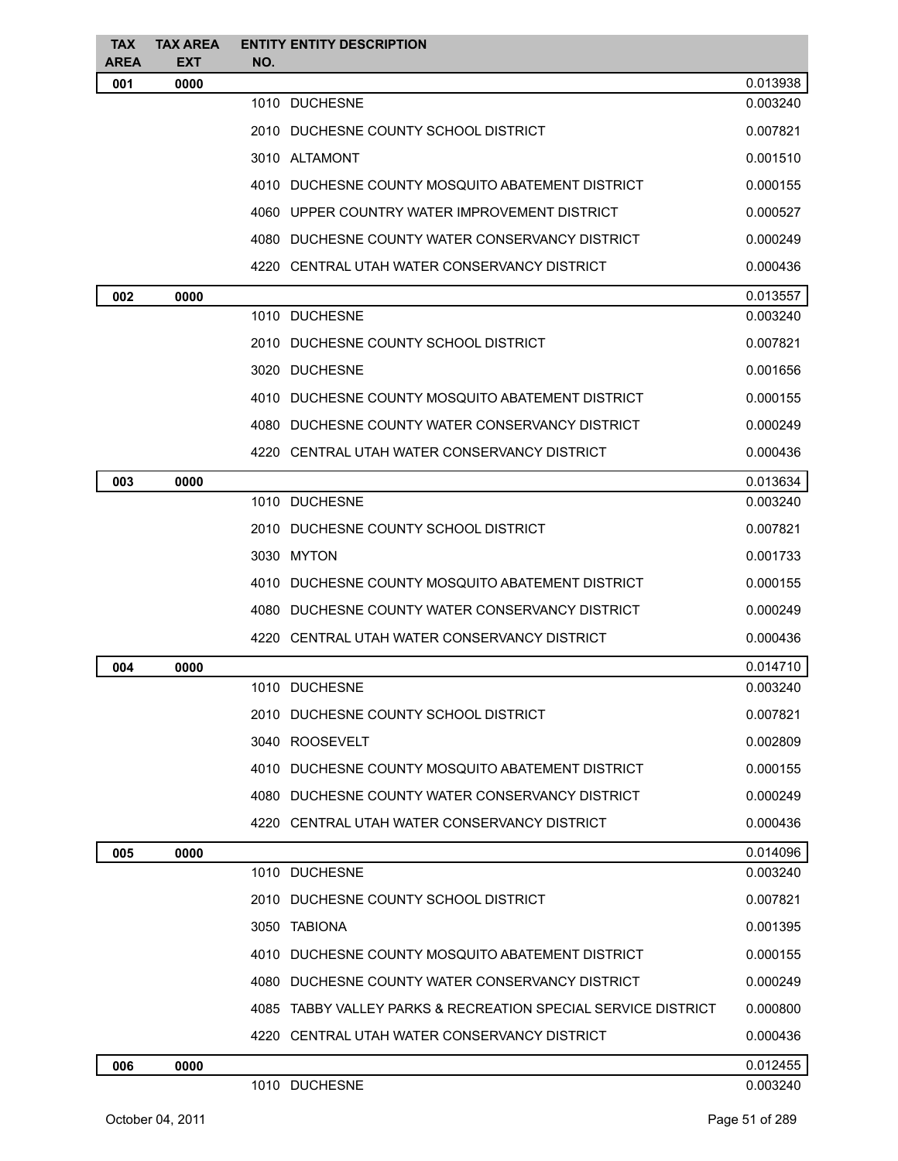| <b>TAX</b>         | <b>TAX AREA</b>    | <b>ENTITY ENTITY DESCRIPTION</b>                              |                      |
|--------------------|--------------------|---------------------------------------------------------------|----------------------|
| <b>AREA</b><br>001 | <b>EXT</b><br>0000 | NO.                                                           | 0.013938             |
|                    |                    | 1010 DUCHESNE                                                 | 0.003240             |
|                    |                    | 2010 DUCHESNE COUNTY SCHOOL DISTRICT                          | 0.007821             |
|                    |                    | 3010 ALTAMONT                                                 | 0.001510             |
|                    |                    | 4010 DUCHESNE COUNTY MOSQUITO ABATEMENT DISTRICT              | 0.000155             |
|                    |                    | 4060 UPPER COUNTRY WATER IMPROVEMENT DISTRICT                 | 0.000527             |
|                    |                    | 4080 DUCHESNE COUNTY WATER CONSERVANCY DISTRICT               |                      |
|                    |                    |                                                               | 0.000249             |
|                    |                    | 4220 CENTRAL UTAH WATER CONSERVANCY DISTRICT                  | 0.000436             |
| 002                | 0000               | 1010 DUCHESNE                                                 | 0.013557<br>0.003240 |
|                    |                    | 2010 DUCHESNE COUNTY SCHOOL DISTRICT                          | 0.007821             |
|                    |                    |                                                               |                      |
|                    |                    | 3020 DUCHESNE                                                 | 0.001656             |
|                    |                    | 4010 DUCHESNE COUNTY MOSQUITO ABATEMENT DISTRICT              | 0.000155             |
|                    |                    | 4080 DUCHESNE COUNTY WATER CONSERVANCY DISTRICT               | 0.000249             |
|                    |                    | 4220 CENTRAL UTAH WATER CONSERVANCY DISTRICT                  | 0.000436             |
| 003                | 0000               |                                                               | 0.013634             |
|                    |                    | 1010 DUCHESNE                                                 | 0.003240             |
|                    |                    | 2010 DUCHESNE COUNTY SCHOOL DISTRICT                          | 0.007821             |
|                    |                    | 3030 MYTON                                                    | 0.001733             |
|                    |                    | 4010 DUCHESNE COUNTY MOSQUITO ABATEMENT DISTRICT              | 0.000155             |
|                    |                    | 4080 DUCHESNE COUNTY WATER CONSERVANCY DISTRICT               | 0.000249             |
|                    |                    | 4220 CENTRAL UTAH WATER CONSERVANCY DISTRICT                  | 0.000436             |
| 004                | 0000               |                                                               | 0.014710             |
|                    |                    | 1010 DUCHESNE                                                 | 0.003240             |
|                    |                    | 2010 DUCHESNE COUNTY SCHOOL DISTRICT                          | 0.007821             |
|                    |                    | 3040 ROOSEVELT                                                | 0.002809             |
|                    |                    | 4010 DUCHESNE COUNTY MOSQUITO ABATEMENT DISTRICT              | 0.000155             |
|                    |                    | 4080 DUCHESNE COUNTY WATER CONSERVANCY DISTRICT               | 0.000249             |
|                    |                    | 4220 CENTRAL UTAH WATER CONSERVANCY DISTRICT                  | 0.000436             |
| 005                | 0000               |                                                               | 0.014096             |
|                    |                    | 1010 DUCHESNE                                                 | 0.003240             |
|                    |                    | 2010 DUCHESNE COUNTY SCHOOL DISTRICT                          | 0.007821             |
|                    |                    | 3050 TABIONA                                                  | 0.001395             |
|                    |                    | 4010 DUCHESNE COUNTY MOSQUITO ABATEMENT DISTRICT              | 0.000155             |
|                    |                    | 4080 DUCHESNE COUNTY WATER CONSERVANCY DISTRICT               | 0.000249             |
|                    |                    | 4085 TABBY VALLEY PARKS & RECREATION SPECIAL SERVICE DISTRICT | 0.000800             |
|                    |                    | 4220 CENTRAL UTAH WATER CONSERVANCY DISTRICT                  | 0.000436             |
| 006                | 0000               |                                                               | 0.012455             |
|                    |                    | 1010 DUCHESNE                                                 | 0.003240             |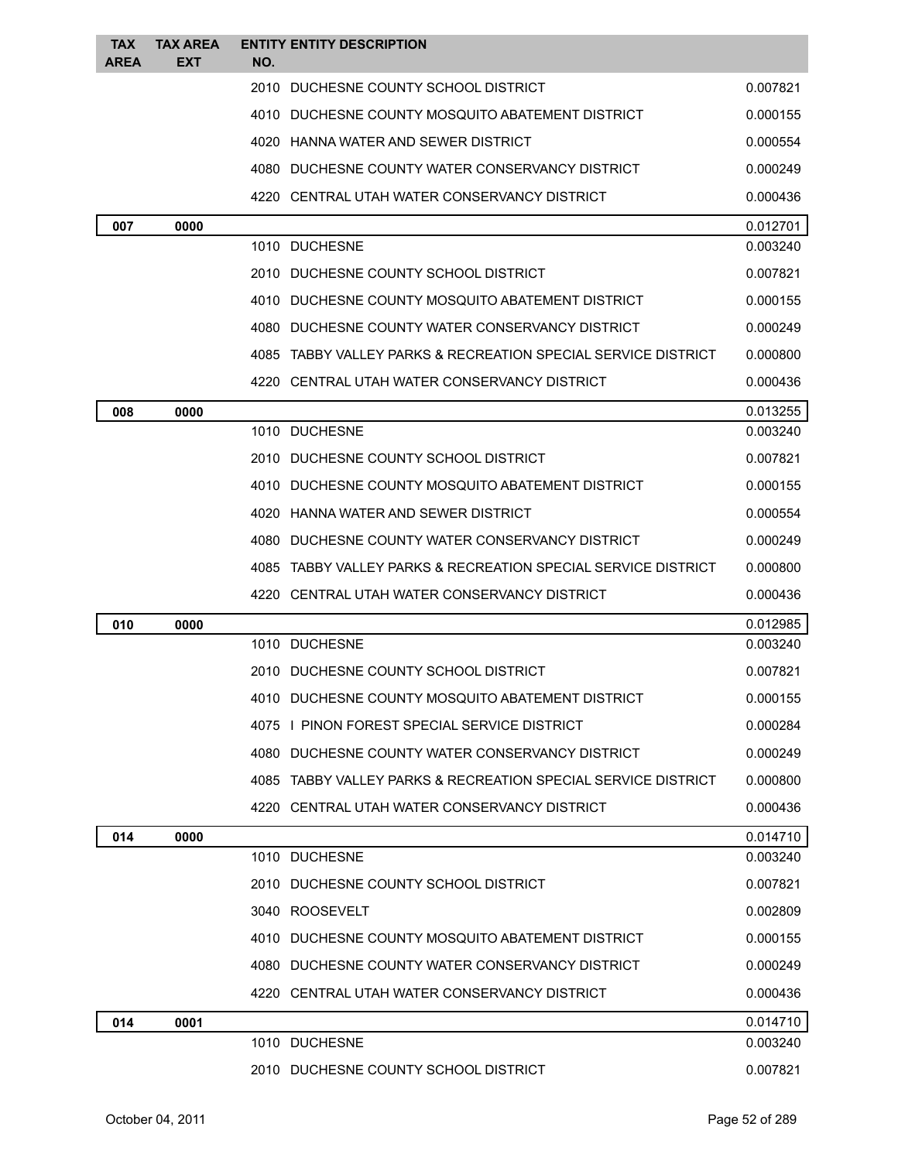| <b>TAX</b>  | <b>TAX AREA</b> | <b>ENTITY ENTITY DESCRIPTION</b>                              |          |
|-------------|-----------------|---------------------------------------------------------------|----------|
| <b>AREA</b> | EXT             | NO.                                                           |          |
|             |                 | 2010 DUCHESNE COUNTY SCHOOL DISTRICT                          | 0.007821 |
|             |                 | 4010 DUCHESNE COUNTY MOSQUITO ABATEMENT DISTRICT              | 0.000155 |
|             |                 | 4020 HANNA WATER AND SEWER DISTRICT                           | 0.000554 |
|             |                 | 4080 DUCHESNE COUNTY WATER CONSERVANCY DISTRICT               | 0.000249 |
|             |                 | 4220 CENTRAL UTAH WATER CONSERVANCY DISTRICT                  | 0.000436 |
| 007         | 0000            |                                                               | 0.012701 |
|             |                 | 1010 DUCHESNE                                                 | 0.003240 |
|             |                 | 2010 DUCHESNE COUNTY SCHOOL DISTRICT                          | 0.007821 |
|             |                 | 4010 DUCHESNE COUNTY MOSQUITO ABATEMENT DISTRICT              | 0.000155 |
|             |                 | 4080 DUCHESNE COUNTY WATER CONSERVANCY DISTRICT               | 0.000249 |
|             |                 | 4085 TABBY VALLEY PARKS & RECREATION SPECIAL SERVICE DISTRICT | 0.000800 |
|             |                 | 4220 CENTRAL UTAH WATER CONSERVANCY DISTRICT                  | 0.000436 |
| 008         | 0000            |                                                               | 0.013255 |
|             |                 | 1010 DUCHESNE                                                 | 0.003240 |
|             |                 | 2010 DUCHESNE COUNTY SCHOOL DISTRICT                          | 0.007821 |
|             |                 | 4010 DUCHESNE COUNTY MOSQUITO ABATEMENT DISTRICT              | 0.000155 |
|             |                 | 4020 HANNA WATER AND SEWER DISTRICT                           | 0.000554 |
|             |                 | 4080 DUCHESNE COUNTY WATER CONSERVANCY DISTRICT               | 0.000249 |
|             |                 | 4085 TABBY VALLEY PARKS & RECREATION SPECIAL SERVICE DISTRICT | 0.000800 |
|             |                 | 4220 CENTRAL UTAH WATER CONSERVANCY DISTRICT                  | 0.000436 |
| 010         | 0000            |                                                               | 0.012985 |
|             |                 | 1010 DUCHESNE                                                 | 0.003240 |
|             |                 | 2010 DUCHESNE COUNTY SCHOOL DISTRICT                          | 0.007821 |
|             |                 | 4010 DUCHESNE COUNTY MOSQUITO ABATEMENT DISTRICT              | 0.000155 |
|             |                 | 4075   PINON FOREST SPECIAL SERVICE DISTRICT                  | 0.000284 |
|             |                 | 4080 DUCHESNE COUNTY WATER CONSERVANCY DISTRICT               | 0.000249 |
|             |                 | 4085 TABBY VALLEY PARKS & RECREATION SPECIAL SERVICE DISTRICT | 0.000800 |
|             |                 | 4220 CENTRAL UTAH WATER CONSERVANCY DISTRICT                  | 0.000436 |
| 014         | 0000            |                                                               | 0.014710 |
|             |                 | 1010 DUCHESNE                                                 | 0.003240 |
|             |                 | 2010 DUCHESNE COUNTY SCHOOL DISTRICT                          | 0.007821 |
|             |                 | 3040 ROOSEVELT                                                | 0.002809 |
|             |                 | 4010 DUCHESNE COUNTY MOSQUITO ABATEMENT DISTRICT              | 0.000155 |
|             |                 | 4080 DUCHESNE COUNTY WATER CONSERVANCY DISTRICT               | 0.000249 |
|             |                 | 4220 CENTRAL UTAH WATER CONSERVANCY DISTRICT                  | 0.000436 |
| 014         | 0001            |                                                               | 0.014710 |
|             |                 | 1010 DUCHESNE                                                 | 0.003240 |
|             |                 | 2010 DUCHESNE COUNTY SCHOOL DISTRICT                          | 0.007821 |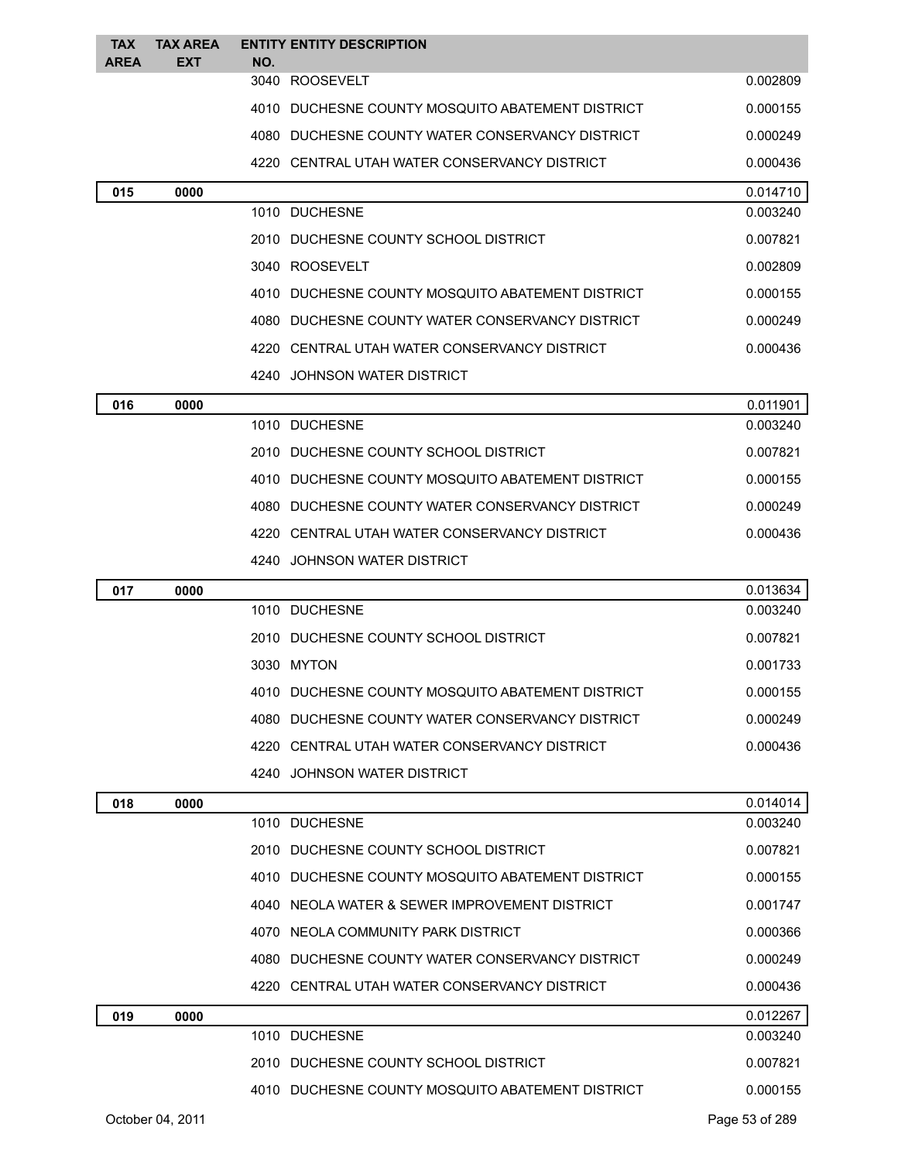| <b>TAX</b>  | <b>TAX AREA</b>  |     | <b>ENTITY ENTITY DESCRIPTION</b>                   |                |
|-------------|------------------|-----|----------------------------------------------------|----------------|
| <b>AREA</b> | EXT              | NO. | 3040 ROOSEVELT                                     | 0.002809       |
|             |                  |     | 4010   DUCHESNE COUNTY MOSQUITO ABATEMENT DISTRICT | 0.000155       |
|             |                  |     | 4080 DUCHESNE COUNTY WATER CONSERVANCY DISTRICT    | 0.000249       |
|             |                  |     | 4220 CENTRAL UTAH WATER CONSERVANCY DISTRICT       | 0.000436       |
| 015         | 0000             |     |                                                    | 0.014710       |
|             |                  |     | 1010 DUCHESNE                                      | 0.003240       |
|             |                  |     | 2010 DUCHESNE COUNTY SCHOOL DISTRICT               | 0.007821       |
|             |                  |     | 3040 ROOSEVELT                                     | 0.002809       |
|             |                  |     | 4010 DUCHESNE COUNTY MOSQUITO ABATEMENT DISTRICT   | 0.000155       |
|             |                  |     | 4080 DUCHESNE COUNTY WATER CONSERVANCY DISTRICT    | 0.000249       |
|             |                  |     | 4220 CENTRAL UTAH WATER CONSERVANCY DISTRICT       | 0.000436       |
|             |                  |     | 4240 JOHNSON WATER DISTRICT                        |                |
| 016         | 0000             |     |                                                    | 0.011901       |
|             |                  |     | 1010 DUCHESNE                                      | 0.003240       |
|             |                  |     | 2010 DUCHESNE COUNTY SCHOOL DISTRICT               | 0.007821       |
|             |                  |     | 4010 DUCHESNE COUNTY MOSQUITO ABATEMENT DISTRICT   | 0.000155       |
|             |                  |     | 4080 DUCHESNE COUNTY WATER CONSERVANCY DISTRICT    | 0.000249       |
|             |                  |     | 4220 CENTRAL UTAH WATER CONSERVANCY DISTRICT       | 0.000436       |
|             |                  |     | 4240 JOHNSON WATER DISTRICT                        |                |
| 017         | 0000             |     |                                                    | 0.013634       |
|             |                  |     | 1010 DUCHESNE                                      | 0.003240       |
|             |                  |     | 2010 DUCHESNE COUNTY SCHOOL DISTRICT               | 0.007821       |
|             |                  |     | 3030 MYTON                                         | 0.001733       |
|             |                  |     | 4010 DUCHESNE COUNTY MOSQUITO ABATEMENT DISTRICT   | 0.000155       |
|             |                  |     | 4080 DUCHESNE COUNTY WATER CONSERVANCY DISTRICT    | 0.000249       |
|             |                  |     | 4220 CENTRAL UTAH WATER CONSERVANCY DISTRICT       | 0.000436       |
|             |                  |     | 4240 JOHNSON WATER DISTRICT                        |                |
| 018         | 0000             |     |                                                    | 0.014014       |
|             |                  |     | 1010 DUCHESNE                                      | 0.003240       |
|             |                  |     | 2010 DUCHESNE COUNTY SCHOOL DISTRICT               | 0.007821       |
|             |                  |     | 4010 DUCHESNE COUNTY MOSQUITO ABATEMENT DISTRICT   | 0.000155       |
|             |                  |     | 4040 NEOLA WATER & SEWER IMPROVEMENT DISTRICT      | 0.001747       |
|             |                  |     | 4070 NEOLA COMMUNITY PARK DISTRICT                 | 0.000366       |
|             |                  |     | 4080 DUCHESNE COUNTY WATER CONSERVANCY DISTRICT    | 0.000249       |
|             |                  |     | 4220 CENTRAL UTAH WATER CONSERVANCY DISTRICT       | 0.000436       |
| 019         | 0000             |     |                                                    | 0.012267       |
|             |                  |     | 1010 DUCHESNE                                      | 0.003240       |
|             |                  |     | 2010 DUCHESNE COUNTY SCHOOL DISTRICT               | 0.007821       |
|             |                  |     | 4010 DUCHESNE COUNTY MOSQUITO ABATEMENT DISTRICT   | 0.000155       |
|             | October 04, 2011 |     |                                                    | Page 53 of 289 |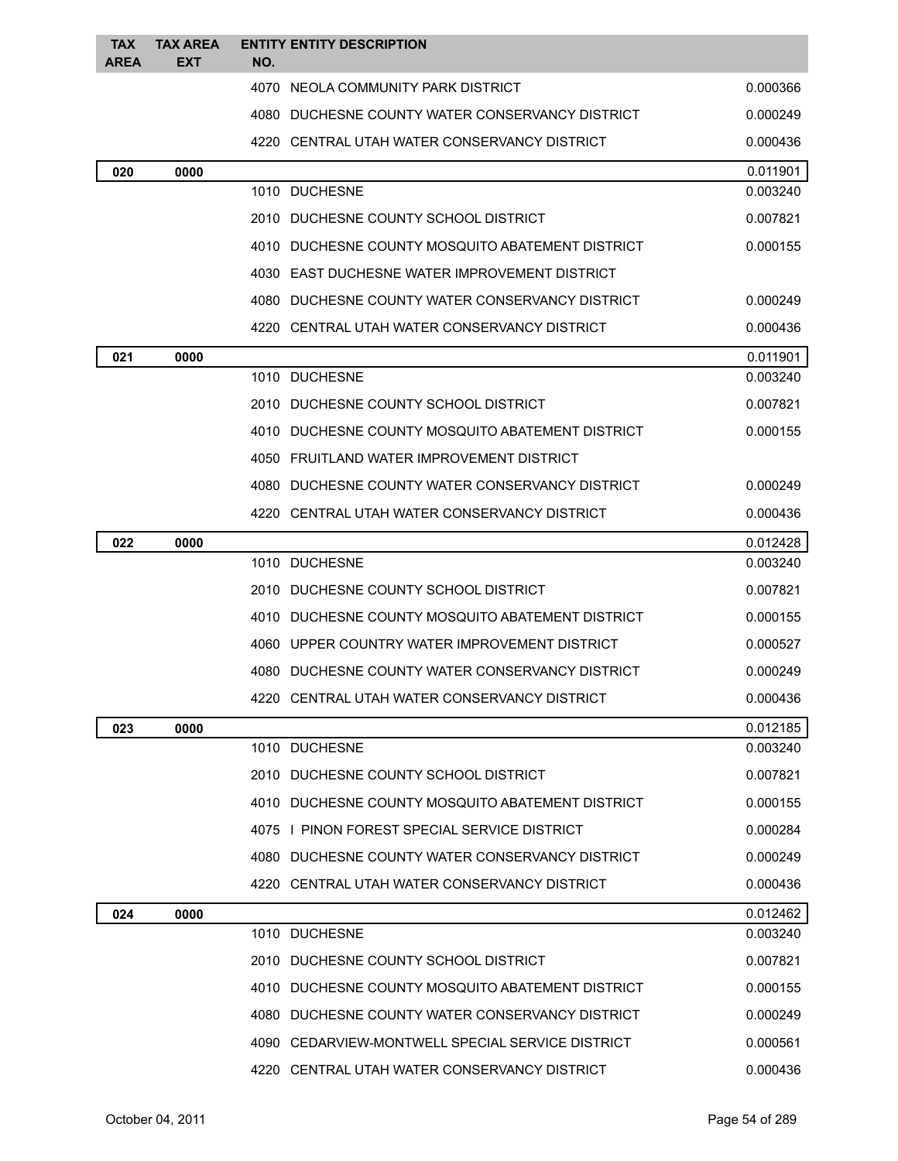| <b>TAX</b> | <b>TAX AREA</b> |     | <b>ENTITY ENTITY DESCRIPTION</b>                 |          |
|------------|-----------------|-----|--------------------------------------------------|----------|
| AREA       | EXT             | NO. |                                                  |          |
|            |                 |     | 4070 NEOLA COMMUNITY PARK DISTRICT               | 0.000366 |
|            |                 |     | 4080 DUCHESNE COUNTY WATER CONSERVANCY DISTRICT  | 0.000249 |
|            |                 |     | 4220 CENTRAL UTAH WATER CONSERVANCY DISTRICT     | 0.000436 |
| 020        | 0000            |     |                                                  | 0.011901 |
|            |                 |     | 1010 DUCHESNE                                    | 0.003240 |
|            |                 |     | 2010 DUCHESNE COUNTY SCHOOL DISTRICT             | 0.007821 |
|            |                 |     | 4010 DUCHESNE COUNTY MOSQUITO ABATEMENT DISTRICT | 0.000155 |
|            |                 |     | 4030 EAST DUCHESNE WATER IMPROVEMENT DISTRICT    |          |
|            |                 |     | 4080 DUCHESNE COUNTY WATER CONSERVANCY DISTRICT  | 0.000249 |
|            |                 |     | 4220 CENTRAL UTAH WATER CONSERVANCY DISTRICT     | 0.000436 |
| 021        | 0000            |     |                                                  | 0.011901 |
|            |                 |     | 1010 DUCHESNE                                    | 0.003240 |
|            |                 |     | 2010 DUCHESNE COUNTY SCHOOL DISTRICT             | 0.007821 |
|            |                 |     | 4010 DUCHESNE COUNTY MOSQUITO ABATEMENT DISTRICT | 0.000155 |
|            |                 |     | 4050 FRUITLAND WATER IMPROVEMENT DISTRICT        |          |
|            |                 |     | 4080 DUCHESNE COUNTY WATER CONSERVANCY DISTRICT  | 0.000249 |
|            |                 |     | 4220 CENTRAL UTAH WATER CONSERVANCY DISTRICT     | 0.000436 |
| 022        | 0000            |     |                                                  | 0.012428 |
|            |                 |     | 1010 DUCHESNE                                    | 0.003240 |
|            |                 |     | 2010 DUCHESNE COUNTY SCHOOL DISTRICT             | 0.007821 |
|            |                 |     | 4010 DUCHESNE COUNTY MOSQUITO ABATEMENT DISTRICT | 0.000155 |
|            |                 |     | 4060 UPPER COUNTRY WATER IMPROVEMENT DISTRICT    | 0.000527 |
|            |                 |     | 4080 DUCHESNE COUNTY WATER CONSERVANCY DISTRICT  | 0.000249 |
|            |                 |     | 4220 CENTRAL UTAH WATER CONSERVANCY DISTRICT     | 0.000436 |
| 023        | 0000            |     |                                                  | 0.012185 |
|            |                 |     | 1010 DUCHESNE                                    | 0.003240 |
|            |                 |     | 2010 DUCHESNE COUNTY SCHOOL DISTRICT             | 0.007821 |
|            |                 |     | 4010 DUCHESNE COUNTY MOSQUITO ABATEMENT DISTRICT | 0.000155 |
|            |                 |     | 4075 I PINON FOREST SPECIAL SERVICE DISTRICT     | 0.000284 |
|            |                 |     | 4080 DUCHESNE COUNTY WATER CONSERVANCY DISTRICT  | 0.000249 |
|            |                 |     | 4220 CENTRAL UTAH WATER CONSERVANCY DISTRICT     | 0.000436 |
| 024        | 0000            |     |                                                  | 0.012462 |
|            |                 |     | 1010 DUCHESNE                                    | 0.003240 |
|            |                 |     | 2010 DUCHESNE COUNTY SCHOOL DISTRICT             | 0.007821 |
|            |                 |     | 4010 DUCHESNE COUNTY MOSQUITO ABATEMENT DISTRICT | 0.000155 |
|            |                 |     | 4080 DUCHESNE COUNTY WATER CONSERVANCY DISTRICT  | 0.000249 |
|            |                 |     | 4090 CEDARVIEW-MONTWELL SPECIAL SERVICE DISTRICT | 0.000561 |
|            |                 |     | 4220 CENTRAL UTAH WATER CONSERVANCY DISTRICT     | 0.000436 |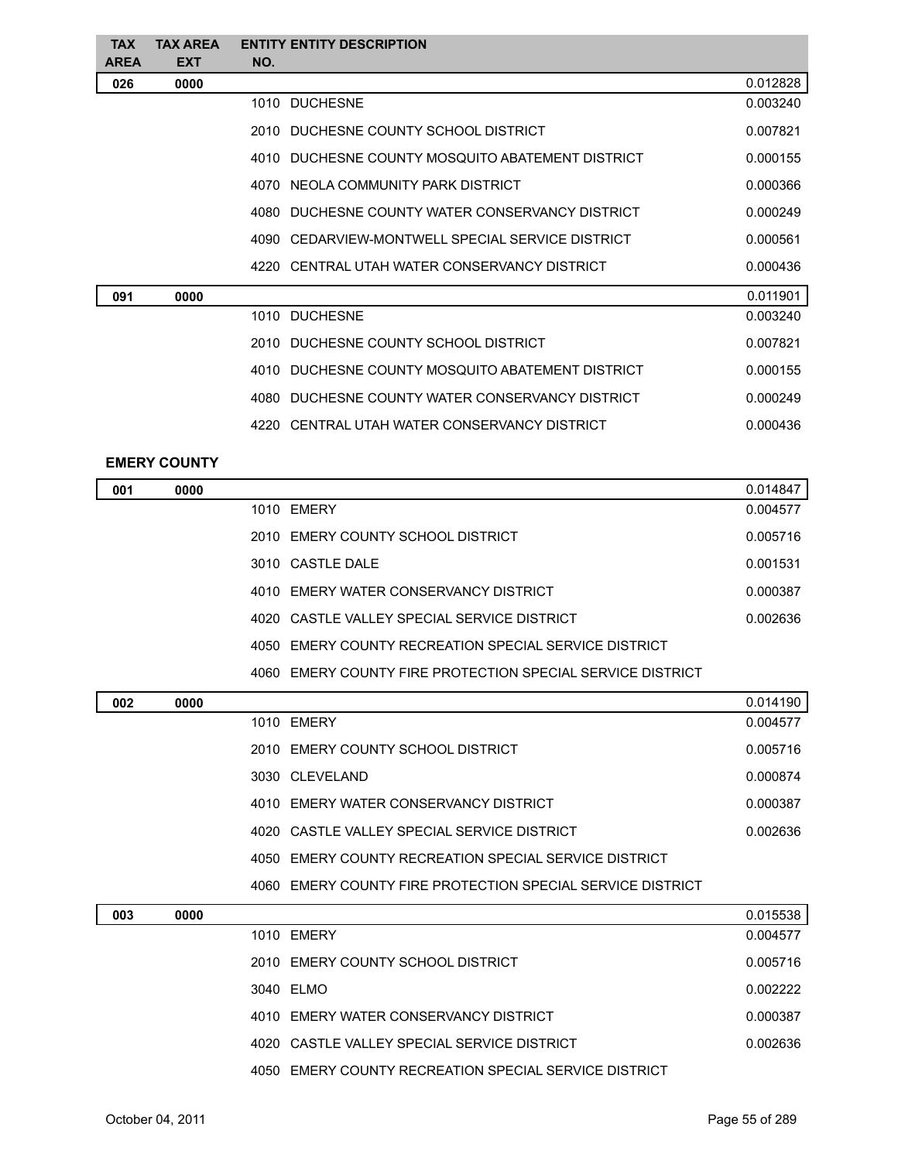| <b>TAX</b>  | <b>TAX AREA</b> | <b>ENTITY ENTITY DESCRIPTION</b>                 |          |
|-------------|-----------------|--------------------------------------------------|----------|
| <b>AREA</b> | <b>EXT</b>      | NO.                                              |          |
| 026         | 0000            |                                                  | 0.012828 |
|             |                 | 1010 DUCHESNE                                    | 0.003240 |
|             |                 | 2010 DUCHESNE COUNTY SCHOOL DISTRICT             | 0.007821 |
|             |                 | 4010 DUCHESNE COUNTY MOSQUITO ABATEMENT DISTRICT | 0.000155 |
|             |                 | 4070 NEOLA COMMUNITY PARK DISTRICT               | 0.000366 |
|             |                 | 4080 DUCHESNE COUNTY WATER CONSERVANCY DISTRICT  | 0.000249 |
|             |                 | 4090 CEDARVIEW-MONTWELL SPECIAL SERVICE DISTRICT | 0.000561 |
|             |                 | 4220 CENTRAL UTAH WATER CONSERVANCY DISTRICT     | 0.000436 |
| 091         | 0000            |                                                  | 0.011901 |
|             |                 | 1010 DUCHESNE                                    | 0.003240 |
|             |                 | 2010 DUCHESNE COUNTY SCHOOL DISTRICT             | 0.007821 |
|             |                 | 4010 DUCHESNE COUNTY MOSQUITO ABATEMENT DISTRICT | 0.000155 |
|             |                 | 4080 DUCHESNE COUNTY WATER CONSERVANCY DISTRICT  | 0.000249 |
|             |                 | 4220 CENTRAL UTAH WATER CONSERVANCY DISTRICT     | 0.000436 |
|             |                 |                                                  |          |

## **EMERY COUNTY**

| 001 | 0000 |                                                            | 0.014847 |
|-----|------|------------------------------------------------------------|----------|
|     |      | 1010 EMERY                                                 | 0.004577 |
|     |      | 2010 EMERY COUNTY SCHOOL DISTRICT                          | 0.005716 |
|     |      | 3010 CASTLE DALE                                           | 0.001531 |
|     |      | 4010 EMERY WATER CONSERVANCY DISTRICT                      | 0.000387 |
|     |      | 4020 CASTLE VALLEY SPECIAL SERVICE DISTRICT                | 0.002636 |
|     |      | 4050 EMERY COUNTY RECREATION SPECIAL SERVICE DISTRICT      |          |
|     |      | 4060 EMERY COUNTY FIRE PROTECTION SPECIAL SERVICE DISTRICT |          |
| 002 | 0000 |                                                            | 0.014190 |
|     |      | 1010 EMERY                                                 | 0.004577 |
|     |      | 2010 EMERY COUNTY SCHOOL DISTRICT                          | 0.005716 |
|     |      | 3030 CLEVELAND                                             | 0.000874 |
|     |      |                                                            |          |

| 4010 EMERY WATER CONSERVANCY DISTRICT                 | 0.000387 |
|-------------------------------------------------------|----------|
| 4020 CASTLE VALLEY SPECIAL SERVICE DISTRICT           | 0.002636 |
| 4050 EMERY COUNTY RECREATION SPECIAL SERVICE DISTRICT |          |

EMERY COUNTY FIRE PROTECTION SPECIAL SERVICE DISTRICT

| 003 | 0000 |                                                       | 0.015538 |
|-----|------|-------------------------------------------------------|----------|
|     |      | 1010 EMERY                                            | 0.004577 |
|     |      | 2010 EMERY COUNTY SCHOOL DISTRICT                     | 0.005716 |
|     |      | 3040 ELMO                                             | 0.002222 |
|     |      | 4010 EMERY WATER CONSERVANCY DISTRICT                 | 0.000387 |
|     |      | 4020 CASTLE VALLEY SPECIAL SERVICE DISTRICT           | 0.002636 |
|     |      | 4050 EMERY COUNTY RECREATION SPECIAL SERVICE DISTRICT |          |
|     |      |                                                       |          |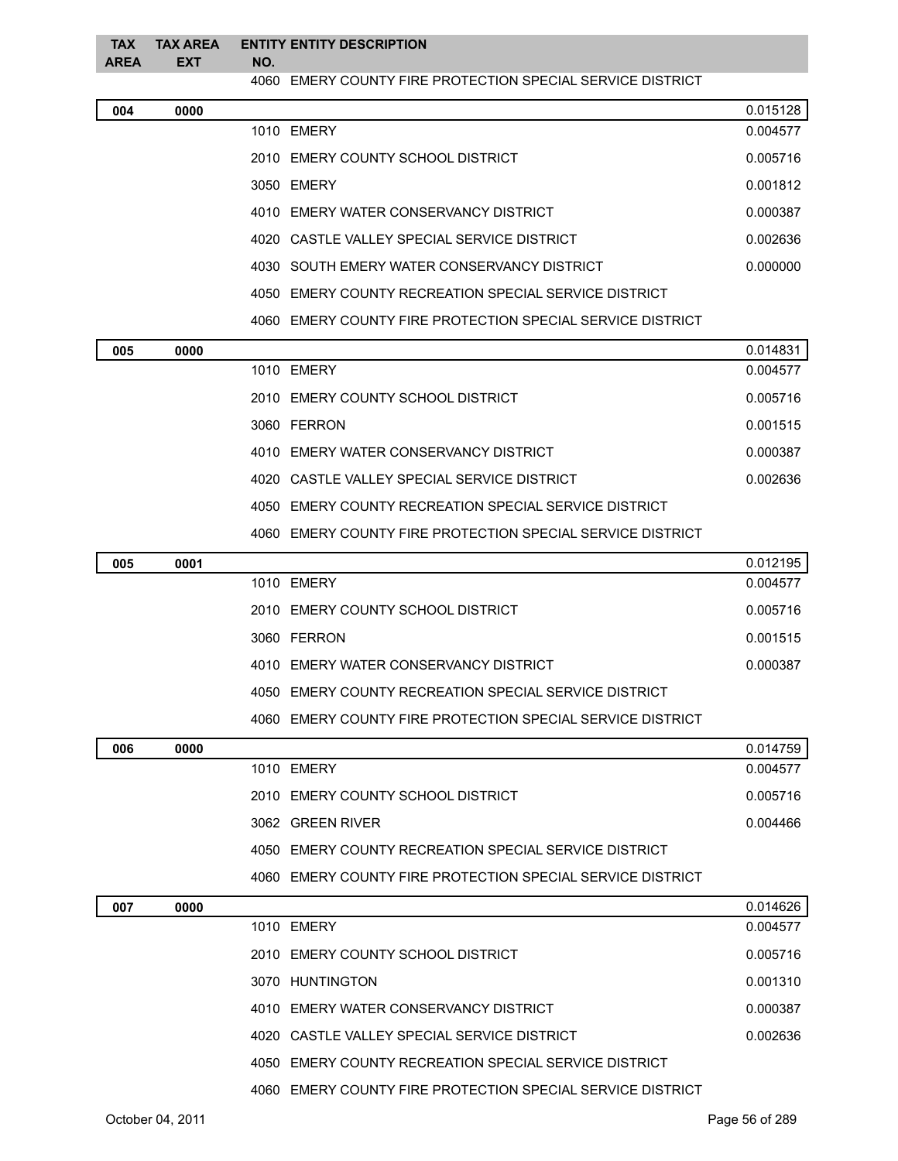| <b>TAX</b><br><b>AREA</b> | <b>TAX AREA</b><br><b>EXT</b> | <b>ENTITY ENTITY DESCRIPTION</b><br>NO.                    |          |
|---------------------------|-------------------------------|------------------------------------------------------------|----------|
|                           |                               | 4060 EMERY COUNTY FIRE PROTECTION SPECIAL SERVICE DISTRICT |          |
| 004                       | 0000                          |                                                            | 0.015128 |
|                           |                               | 1010 EMERY                                                 | 0.004577 |
|                           |                               | 2010 EMERY COUNTY SCHOOL DISTRICT                          | 0.005716 |
|                           |                               | 3050 EMERY                                                 | 0.001812 |
|                           |                               | 4010 EMERY WATER CONSERVANCY DISTRICT                      | 0.000387 |
|                           |                               | 4020 CASTLE VALLEY SPECIAL SERVICE DISTRICT                | 0.002636 |
|                           |                               | 4030 SOUTH EMERY WATER CONSERVANCY DISTRICT                | 0.000000 |

- EMERY COUNTY RECREATION SPECIAL SERVICE DISTRICT
- EMERY COUNTY FIRE PROTECTION SPECIAL SERVICE DISTRICT

| 005 | 0000 |                                                               | 0.014831 |
|-----|------|---------------------------------------------------------------|----------|
|     |      | 1010 EMERY                                                    | 0.004577 |
|     |      | 2010 EMERY COUNTY SCHOOL DISTRICT                             | 0.005716 |
|     |      | 3060 FERRON                                                   | 0.001515 |
|     |      | 4010 EMERY WATER CONSERVANCY DISTRICT                         | 0.000387 |
|     |      | 4020 CASTLE VALLEY SPECIAL SERVICE DISTRICT                   | 0.002636 |
|     |      | 4050 EMERY COUNTY RECREATION SPECIAL SERVICE DISTRICT         |          |
|     |      | EMERY COUNTY FIRE PROTECTION SPECIAL SERVICE DISTRICT<br>4060 |          |

| 005 | 0001 |                                                            | 0.012195 |
|-----|------|------------------------------------------------------------|----------|
|     |      | 1010 EMERY                                                 | 0.004577 |
|     |      | 2010 EMERY COUNTY SCHOOL DISTRICT                          | 0.005716 |
|     |      | 3060 FERRON                                                | 0.001515 |
|     |      | 4010 EMERY WATER CONSERVANCY DISTRICT                      | 0.000387 |
|     |      | 4050 EMERY COUNTY RECREATION SPECIAL SERVICE DISTRICT      |          |
|     |      | 4060 EMERY COUNTY FIRE PROTECTION SPECIAL SERVICE DISTRICT |          |

| 006 | 0000 |                                                            | 0.014759 |
|-----|------|------------------------------------------------------------|----------|
|     |      | 1010 EMERY                                                 | 0.004577 |
|     |      | 2010 EMERY COUNTY SCHOOL DISTRICT                          | 0.005716 |
|     |      | 3062 GREEN RIVER                                           | 0.004466 |
|     |      | 4050 EMERY COUNTY RECREATION SPECIAL SERVICE DISTRICT      |          |
|     |      | 4060 EMERY COUNTY FIRE PROTECTION SPECIAL SERVICE DISTRICT |          |

| 007 | 0000 |                                                                      | 0.014626 |
|-----|------|----------------------------------------------------------------------|----------|
|     |      | 1010 EMERY                                                           | 0.004577 |
|     |      | 2010 EMERY COUNTY SCHOOL DISTRICT                                    | 0.005716 |
|     |      | 3070 HUNTINGTON                                                      | 0.001310 |
|     |      | 4010 EMERY WATER CONSERVANCY DISTRICT                                | 0.000387 |
|     |      | 4020 CASTLE VALLEY SPECIAL SERVICE DISTRICT                          | 0.002636 |
|     |      | 4050 EMERY COUNTY RECREATION SPECIAL SERVICE DISTRICT                |          |
|     |      | <b>EMERY COUNTY FIRE PROTECTION SPECIAL SERVICE DISTRICT</b><br>4060 |          |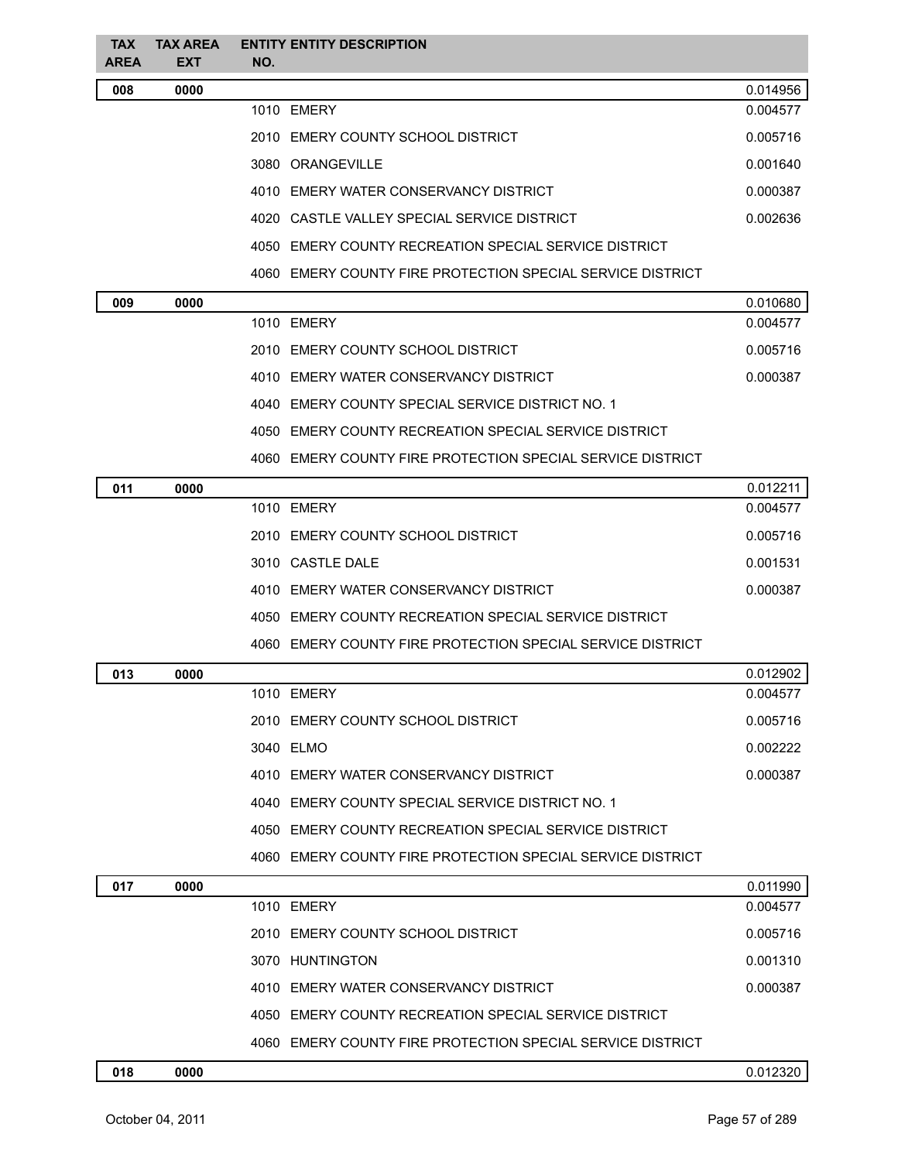| <b>TAX</b><br><b>AREA</b> | <b>TAX AREA</b><br><b>EXT</b> | <b>ENTITY ENTITY DESCRIPTION</b><br>NO.                    |          |
|---------------------------|-------------------------------|------------------------------------------------------------|----------|
| 008                       | 0000                          |                                                            | 0.014956 |
|                           |                               | 1010 EMERY                                                 | 0.004577 |
|                           |                               | 2010 EMERY COUNTY SCHOOL DISTRICT                          | 0.005716 |
|                           |                               | 3080 ORANGEVILLE                                           | 0.001640 |
|                           |                               | 4010 EMERY WATER CONSERVANCY DISTRICT                      | 0.000387 |
|                           |                               | 4020 CASTLE VALLEY SPECIAL SERVICE DISTRICT                | 0.002636 |
|                           |                               | 4050 EMERY COUNTY RECREATION SPECIAL SERVICE DISTRICT      |          |
|                           |                               | 4060 EMERY COUNTY FIRE PROTECTION SPECIAL SERVICE DISTRICT |          |
| 009                       | 0000                          |                                                            | 0.010680 |
|                           |                               | 1010 EMERY                                                 | 0.004577 |
|                           |                               | 2010 EMERY COUNTY SCHOOL DISTRICT                          | 0.005716 |
|                           |                               | 4010 EMERY WATER CONSERVANCY DISTRICT                      | 0.000387 |
|                           |                               | 4040 EMERY COUNTY SPECIAL SERVICE DISTRICT NO. 1           |          |
|                           |                               | 4050 EMERY COUNTY RECREATION SPECIAL SERVICE DISTRICT      |          |
|                           |                               | 4060 EMERY COUNTY FIRE PROTECTION SPECIAL SERVICE DISTRICT |          |
| 011                       | 0000                          |                                                            | 0.012211 |
|                           |                               | 1010 EMERY                                                 | 0.004577 |
|                           |                               | 2010 EMERY COUNTY SCHOOL DISTRICT                          | 0.005716 |
|                           |                               | 3010 CASTLE DALE                                           | 0.001531 |
|                           |                               | 4010 EMERY WATER CONSERVANCY DISTRICT                      | 0.000387 |
|                           |                               | 4050 EMERY COUNTY RECREATION SPECIAL SERVICE DISTRICT      |          |
|                           |                               | 4060 EMERY COUNTY FIRE PROTECTION SPECIAL SERVICE DISTRICT |          |
| 013                       | 0000                          |                                                            | 0.012902 |
|                           |                               | 1010 EMERY                                                 | 0.004577 |
|                           |                               | 2010 EMERY COUNTY SCHOOL DISTRICT                          | 0.005716 |
|                           |                               | 3040 ELMO                                                  | 0.002222 |
|                           |                               | 4010 EMERY WATER CONSERVANCY DISTRICT                      | 0.000387 |
|                           |                               | 4040 EMERY COUNTY SPECIAL SERVICE DISTRICT NO. 1           |          |
|                           |                               | 4050 EMERY COUNTY RECREATION SPECIAL SERVICE DISTRICT      |          |
|                           |                               | 4060 EMERY COUNTY FIRE PROTECTION SPECIAL SERVICE DISTRICT |          |
| 017                       | 0000                          |                                                            | 0.011990 |
|                           |                               | 1010 EMERY                                                 | 0.004577 |
|                           |                               | 2010 EMERY COUNTY SCHOOL DISTRICT                          | 0.005716 |
|                           |                               | 3070 HUNTINGTON                                            | 0.001310 |
|                           |                               | 4010 EMERY WATER CONSERVANCY DISTRICT                      | 0.000387 |
|                           |                               | 4050 EMERY COUNTY RECREATION SPECIAL SERVICE DISTRICT      |          |
|                           |                               | 4060 EMERY COUNTY FIRE PROTECTION SPECIAL SERVICE DISTRICT |          |
| 018                       | 0000                          |                                                            | 0.012320 |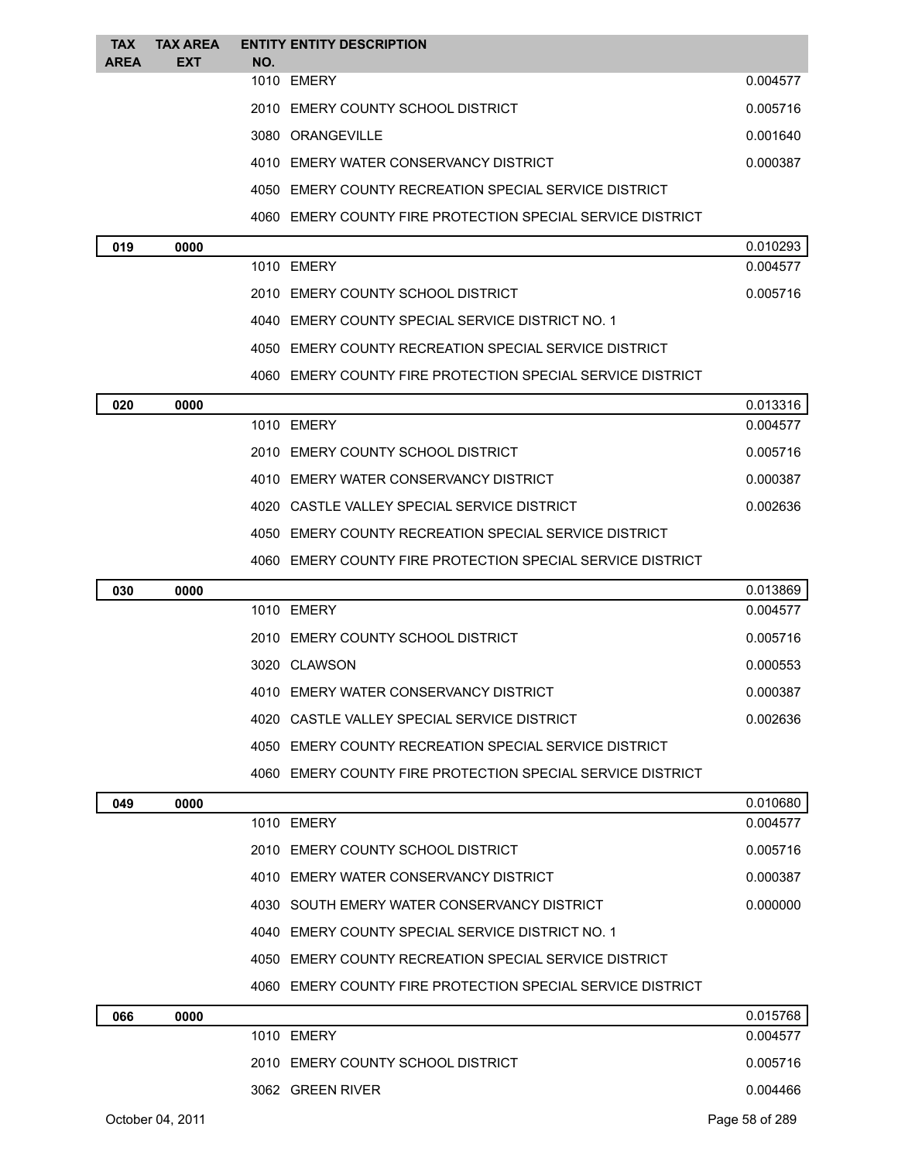| <b>TAX</b>  | <b>TAX AREA</b> |     | <b>ENTITY ENTITY DESCRIPTION</b>                           |          |
|-------------|-----------------|-----|------------------------------------------------------------|----------|
| <b>AREA</b> | <b>EXT</b>      | NO. | 1010 EMERY                                                 | 0.004577 |
|             |                 |     | 2010 EMERY COUNTY SCHOOL DISTRICT                          | 0.005716 |
|             |                 |     | 3080 ORANGEVILLE                                           | 0.001640 |
|             |                 |     | 4010 EMERY WATER CONSERVANCY DISTRICT                      | 0.000387 |
|             |                 |     | 4050 EMERY COUNTY RECREATION SPECIAL SERVICE DISTRICT      |          |
|             |                 |     | 4060 EMERY COUNTY FIRE PROTECTION SPECIAL SERVICE DISTRICT |          |
| 019         | 0000            |     |                                                            | 0.010293 |
|             |                 |     | 1010 EMERY                                                 | 0.004577 |
|             |                 |     | 2010 EMERY COUNTY SCHOOL DISTRICT                          | 0.005716 |
|             |                 |     | 4040 EMERY COUNTY SPECIAL SERVICE DISTRICT NO. 1           |          |
|             |                 |     | 4050 EMERY COUNTY RECREATION SPECIAL SERVICE DISTRICT      |          |
|             |                 |     | 4060 EMERY COUNTY FIRE PROTECTION SPECIAL SERVICE DISTRICT |          |
| 020         | 0000            |     |                                                            | 0.013316 |
|             |                 |     | 1010 EMERY                                                 | 0.004577 |
|             |                 |     | 2010 EMERY COUNTY SCHOOL DISTRICT                          | 0.005716 |
|             |                 |     | 4010 EMERY WATER CONSERVANCY DISTRICT                      | 0.000387 |
|             |                 |     | 4020 CASTLE VALLEY SPECIAL SERVICE DISTRICT                | 0.002636 |
|             |                 |     | 4050 EMERY COUNTY RECREATION SPECIAL SERVICE DISTRICT      |          |
|             |                 |     | 4060 EMERY COUNTY FIRE PROTECTION SPECIAL SERVICE DISTRICT |          |
| 030         | 0000            |     |                                                            | 0.013869 |
|             |                 |     | 1010 EMERY                                                 | 0.004577 |
|             |                 |     | 2010 EMERY COUNTY SCHOOL DISTRICT                          | 0.005716 |
|             |                 |     | 3020 CLAWSON                                               | 0.000553 |
|             |                 |     | 4010 EMERY WATER CONSERVANCY DISTRICT                      | 0.000387 |
|             |                 |     | 4020 CASTLE VALLEY SPECIAL SERVICE DISTRICT                | 0.002636 |
|             |                 |     | 4050 EMERY COUNTY RECREATION SPECIAL SERVICE DISTRICT      |          |
|             |                 |     | 4060 EMERY COUNTY FIRE PROTECTION SPECIAL SERVICE DISTRICT |          |
| 049         | 0000            |     |                                                            | 0.010680 |
|             |                 |     | 1010 EMERY                                                 | 0.004577 |
|             |                 |     | 2010 EMERY COUNTY SCHOOL DISTRICT                          | 0.005716 |
|             |                 |     | 4010 EMERY WATER CONSERVANCY DISTRICT                      | 0.000387 |
|             |                 |     | 4030 SOUTH EMERY WATER CONSERVANCY DISTRICT                | 0.000000 |
|             |                 |     | 4040 EMERY COUNTY SPECIAL SERVICE DISTRICT NO. 1           |          |
|             |                 |     | 4050 EMERY COUNTY RECREATION SPECIAL SERVICE DISTRICT      |          |
|             |                 |     | 4060 EMERY COUNTY FIRE PROTECTION SPECIAL SERVICE DISTRICT |          |
| 066         | 0000            |     |                                                            | 0.015768 |
|             |                 |     | 1010 EMERY                                                 | 0.004577 |
|             |                 |     | 2010 EMERY COUNTY SCHOOL DISTRICT                          | 0.005716 |
|             |                 |     | 3062 GREEN RIVER                                           | 0.004466 |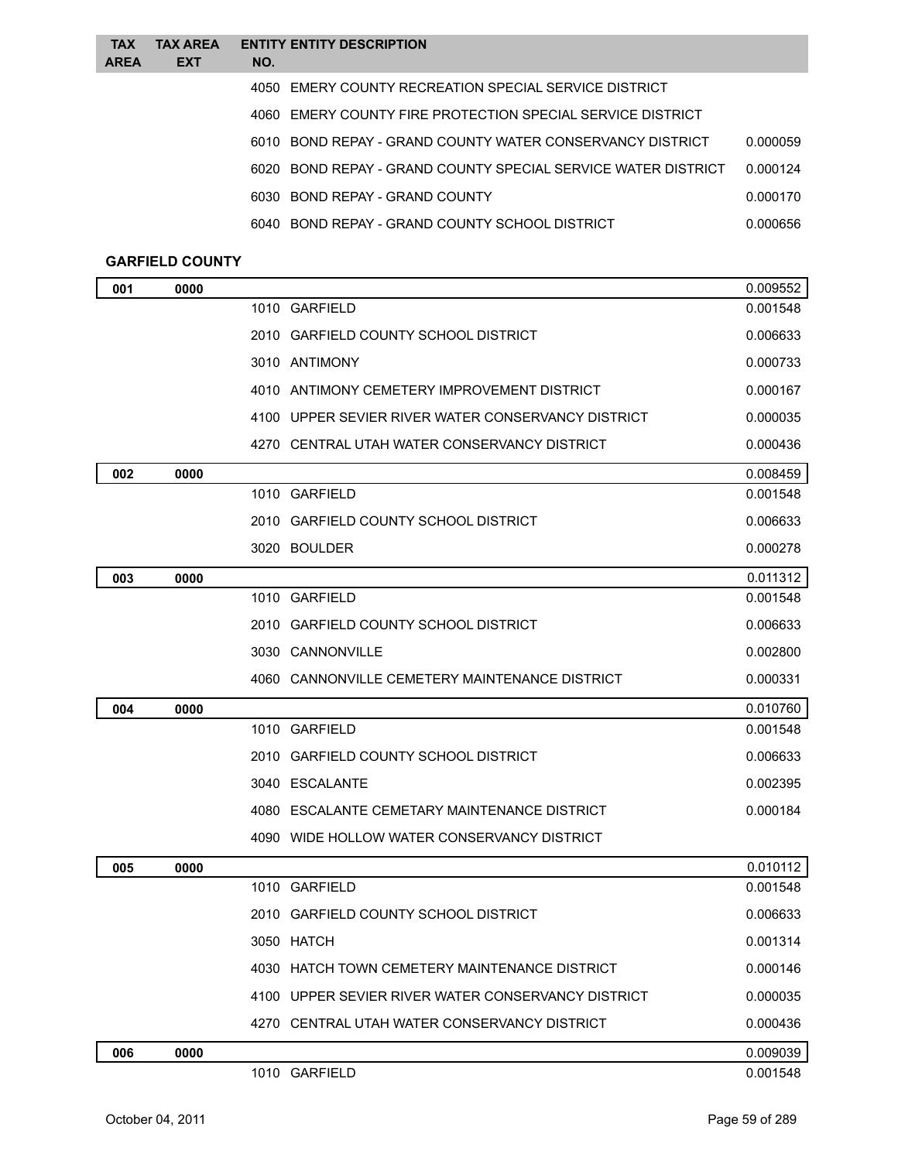| <b>TAX</b><br><b>AREA</b> | <b>TAX AREA</b><br><b>EXT</b> | <b>ENTITY ENTITY DESCRIPTION</b><br>NO.                       |          |
|---------------------------|-------------------------------|---------------------------------------------------------------|----------|
|                           |                               | 4050 EMERY COUNTY RECREATION SPECIAL SERVICE DISTRICT         |          |
|                           |                               | 4060 EMERY COUNTY FIRE PROTECTION SPECIAL SERVICE DISTRICT    |          |
|                           |                               | 6010 BOND REPAY - GRAND COUNTY WATER CONSERVANCY DISTRICT     | 0.000059 |
|                           |                               | 6020 BOND REPAY - GRAND COUNTY SPECIAL SERVICE WATER DISTRICT | 0.000124 |
|                           |                               | 6030 BOND REPAY - GRAND COUNTY                                | 0.000170 |
|                           |                               | 6040 BOND REPAY - GRAND COUNTY SCHOOL DISTRICT                | 0.000656 |
|                           |                               |                                                               |          |

## **GARFIELD COUNTY**

| 001 | 0000 |                                                    | 0.009552 |
|-----|------|----------------------------------------------------|----------|
|     |      | 1010 GARFIELD                                      | 0.001548 |
|     |      | 2010 GARFIELD COUNTY SCHOOL DISTRICT               | 0.006633 |
|     |      | 3010 ANTIMONY                                      | 0.000733 |
|     |      | 4010 ANTIMONY CEMETERY IMPROVEMENT DISTRICT        | 0.000167 |
|     |      | 4100 UPPER SEVIER RIVER WATER CONSERVANCY DISTRICT | 0.000035 |
|     |      | 4270 CENTRAL UTAH WATER CONSERVANCY DISTRICT       | 0.000436 |
| 002 | 0000 |                                                    | 0.008459 |
|     |      | 1010 GARFIELD                                      | 0.001548 |
|     |      | 2010 GARFIELD COUNTY SCHOOL DISTRICT               | 0.006633 |
|     |      | 3020 BOULDER                                       | 0.000278 |
| 003 | 0000 |                                                    | 0.011312 |
|     |      | 1010 GARFIELD                                      | 0.001548 |
|     |      | 2010 GARFIELD COUNTY SCHOOL DISTRICT               | 0.006633 |
|     |      | 3030 CANNONVILLE                                   | 0.002800 |
|     |      | 4060 CANNONVILLE CEMETERY MAINTENANCE DISTRICT     | 0.000331 |
| 004 | 0000 |                                                    | 0.010760 |
|     |      | 1010 GARFIELD                                      | 0.001548 |
|     |      | 2010 GARFIELD COUNTY SCHOOL DISTRICT               | 0.006633 |
|     |      | 3040 ESCALANTE                                     | 0.002395 |
|     |      | 4080 ESCALANTE CEMETARY MAINTENANCE DISTRICT       | 0.000184 |
|     |      | 4090 WIDE HOLLOW WATER CONSERVANCY DISTRICT        |          |
| 005 | 0000 |                                                    | 0.010112 |
|     |      | 1010 GARFIELD                                      | 0.001548 |
|     |      | 2010 GARFIELD COUNTY SCHOOL DISTRICT               | 0.006633 |
|     |      | 3050 HATCH                                         | 0.001314 |
|     |      | 4030 HATCH TOWN CEMETERY MAINTENANCE DISTRICT      | 0.000146 |
|     |      | 4100 UPPER SEVIER RIVER WATER CONSERVANCY DISTRICT | 0.000035 |
|     |      | 4270 CENTRAL UTAH WATER CONSERVANCY DISTRICT       | 0.000436 |
| 006 | 0000 |                                                    | 0.009039 |
|     |      | 1010 GARFIELD                                      | 0.001548 |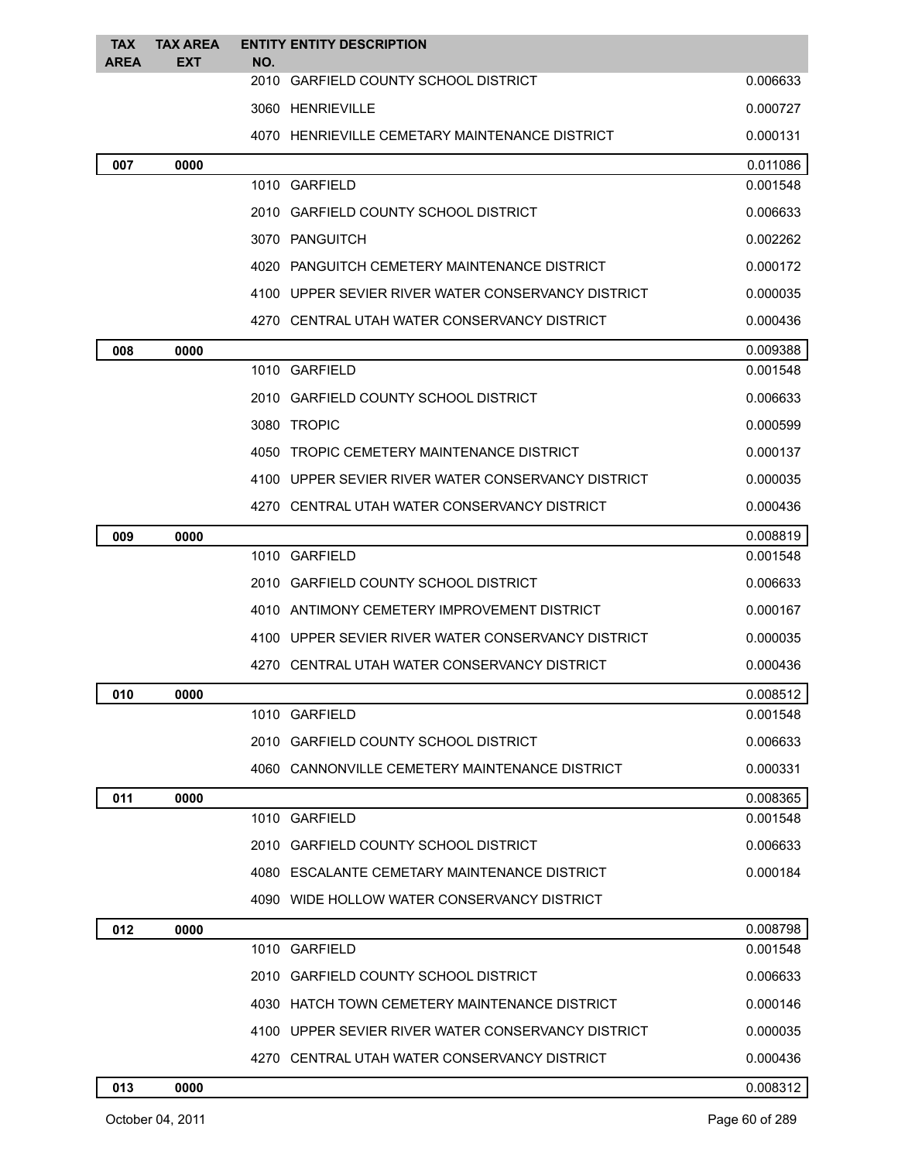| <b>TAX</b><br><b>AREA</b> | <b>TAX AREA</b><br><b>EXT</b> | <b>ENTITY ENTITY DESCRIPTION</b><br>NO.            |          |
|---------------------------|-------------------------------|----------------------------------------------------|----------|
|                           |                               | 2010 GARFIELD COUNTY SCHOOL DISTRICT               | 0.006633 |
|                           |                               | 3060 HENRIEVILLE                                   | 0.000727 |
|                           |                               | 4070 HENRIEVILLE CEMETARY MAINTENANCE DISTRICT     | 0.000131 |
| 007                       | 0000                          |                                                    | 0.011086 |
|                           |                               | 1010 GARFIELD                                      | 0.001548 |
|                           |                               | 2010 GARFIELD COUNTY SCHOOL DISTRICT               | 0.006633 |
|                           |                               | 3070 PANGUITCH                                     | 0.002262 |
|                           |                               | 4020 PANGUITCH CEMETERY MAINTENANCE DISTRICT       | 0.000172 |
|                           |                               | 4100 UPPER SEVIER RIVER WATER CONSERVANCY DISTRICT | 0.000035 |
|                           |                               | 4270 CENTRAL UTAH WATER CONSERVANCY DISTRICT       | 0.000436 |
| 008                       | 0000                          |                                                    | 0.009388 |
|                           |                               | 1010 GARFIELD                                      | 0.001548 |
|                           |                               | 2010 GARFIELD COUNTY SCHOOL DISTRICT               | 0.006633 |
|                           |                               | 3080 TROPIC                                        | 0.000599 |
|                           |                               | 4050 TROPIC CEMETERY MAINTENANCE DISTRICT          | 0.000137 |
|                           |                               | 4100 UPPER SEVIER RIVER WATER CONSERVANCY DISTRICT | 0.000035 |
|                           |                               | 4270 CENTRAL UTAH WATER CONSERVANCY DISTRICT       | 0.000436 |
| 009                       | 0000                          |                                                    | 0.008819 |
|                           |                               | 1010 GARFIELD                                      | 0.001548 |
|                           |                               | 2010 GARFIELD COUNTY SCHOOL DISTRICT               | 0.006633 |
|                           |                               | 4010 ANTIMONY CEMETERY IMPROVEMENT DISTRICT        | 0.000167 |
|                           |                               | 4100 UPPER SEVIER RIVER WATER CONSERVANCY DISTRICT | 0.000035 |
|                           |                               | 4270 CENTRAL UTAH WATER CONSERVANCY DISTRICT       | 0.000436 |
| 010                       | 0000                          |                                                    | 0.008512 |
|                           |                               | 1010 GARFIELD                                      | 0.001548 |
|                           |                               | 2010 GARFIELD COUNTY SCHOOL DISTRICT               | 0.006633 |
|                           |                               | 4060 CANNONVILLE CEMETERY MAINTENANCE DISTRICT     | 0.000331 |
| 011                       | 0000                          |                                                    | 0.008365 |
|                           |                               | 1010 GARFIELD                                      | 0.001548 |
|                           |                               | 2010 GARFIELD COUNTY SCHOOL DISTRICT               | 0.006633 |
|                           |                               | 4080 ESCALANTE CEMETARY MAINTENANCE DISTRICT       | 0.000184 |
|                           |                               | 4090 WIDE HOLLOW WATER CONSERVANCY DISTRICT        |          |
| 012                       | 0000                          |                                                    | 0.008798 |
|                           |                               | 1010 GARFIELD                                      | 0.001548 |
|                           |                               | 2010 GARFIELD COUNTY SCHOOL DISTRICT               | 0.006633 |
|                           |                               | 4030 HATCH TOWN CEMETERY MAINTENANCE DISTRICT      | 0.000146 |
|                           |                               | 4100 UPPER SEVIER RIVER WATER CONSERVANCY DISTRICT | 0.000035 |
|                           |                               | 4270 CENTRAL UTAH WATER CONSERVANCY DISTRICT       | 0.000436 |
| 013                       | 0000                          |                                                    | 0.008312 |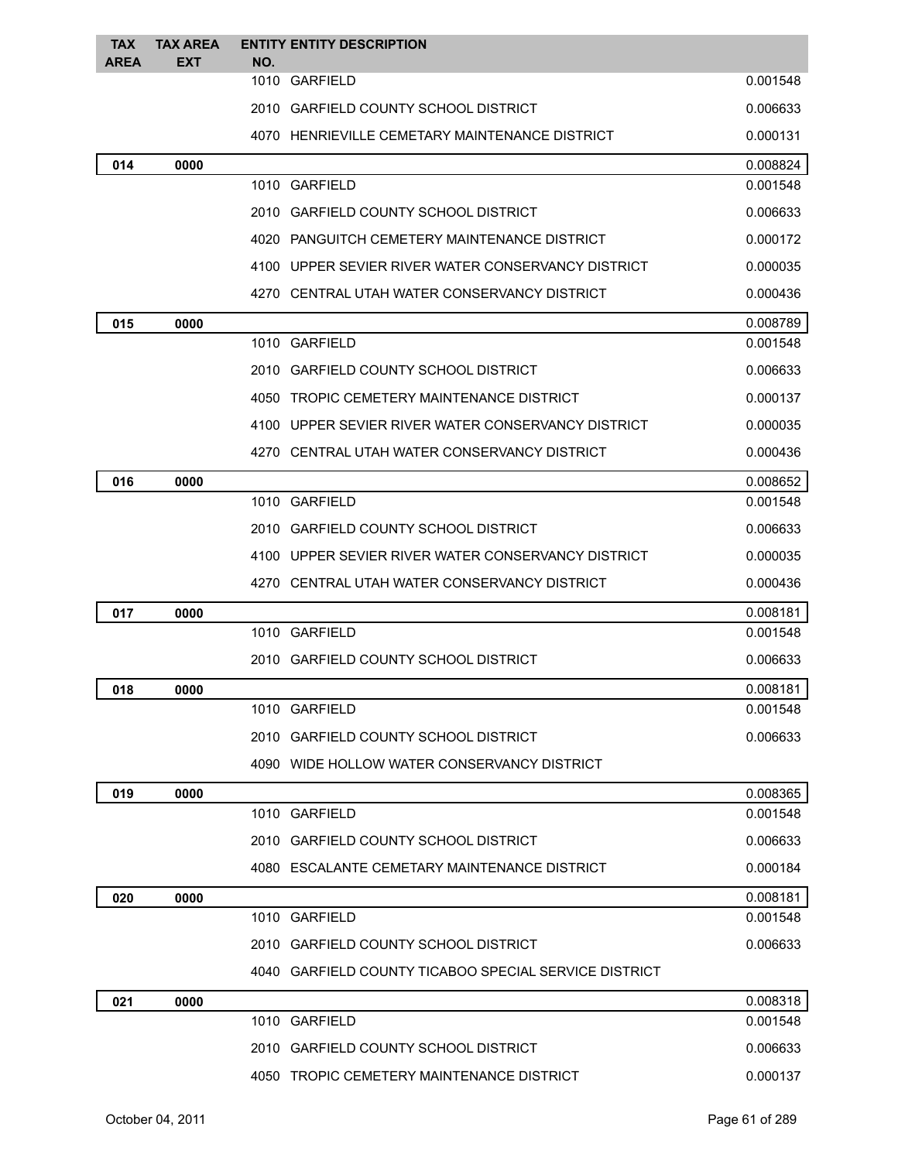| <b>TAX</b>  | <b>TAX AREA</b> |     | <b>ENTITY ENTITY DESCRIPTION</b>                      |          |
|-------------|-----------------|-----|-------------------------------------------------------|----------|
| <b>AREA</b> | <b>EXT</b>      | NO. | 1010 GARFIELD                                         | 0.001548 |
|             |                 |     | 2010 GARFIELD COUNTY SCHOOL DISTRICT                  | 0.006633 |
|             |                 |     | 4070 HENRIEVILLE CEMETARY MAINTENANCE DISTRICT        | 0.000131 |
| 014         | 0000            |     |                                                       | 0.008824 |
|             |                 |     | 1010 GARFIELD                                         | 0.001548 |
|             |                 |     | 2010 GARFIELD COUNTY SCHOOL DISTRICT                  | 0.006633 |
|             |                 |     | 4020 PANGUITCH CEMETERY MAINTENANCE DISTRICT          | 0.000172 |
|             |                 |     | 4100 UPPER SEVIER RIVER WATER CONSERVANCY DISTRICT    | 0.000035 |
|             |                 |     | 4270 CENTRAL UTAH WATER CONSERVANCY DISTRICT          | 0.000436 |
| 015         | 0000            |     |                                                       | 0.008789 |
|             |                 |     | 1010 GARFIELD                                         | 0.001548 |
|             |                 |     | 2010 GARFIELD COUNTY SCHOOL DISTRICT                  | 0.006633 |
|             |                 |     | 4050 TROPIC CEMETERY MAINTENANCE DISTRICT             | 0.000137 |
|             |                 |     | 4100 UPPER SEVIER RIVER WATER CONSERVANCY DISTRICT    | 0.000035 |
|             |                 |     | 4270 CENTRAL UTAH WATER CONSERVANCY DISTRICT          | 0.000436 |
| 016         | 0000            |     |                                                       | 0.008652 |
|             |                 |     | 1010 GARFIELD                                         | 0.001548 |
|             |                 |     | 2010 GARFIELD COUNTY SCHOOL DISTRICT                  | 0.006633 |
|             |                 |     | 4100 UPPER SEVIER RIVER WATER CONSERVANCY DISTRICT    | 0.000035 |
|             |                 |     | 4270 CENTRAL UTAH WATER CONSERVANCY DISTRICT          | 0.000436 |
| 017         | 0000            |     |                                                       | 0.008181 |
|             |                 |     | 1010 GARFIELD                                         | 0.001548 |
|             |                 |     | 2010 GARFIELD COUNTY SCHOOL DISTRICT                  | 0.006633 |
| 018         | 0000            |     |                                                       | 0.008181 |
|             |                 |     | 1010 GARFIELD                                         | 0.001548 |
|             |                 |     | 2010 GARFIELD COUNTY SCHOOL DISTRICT                  | 0.006633 |
|             |                 |     | 4090 WIDE HOLLOW WATER CONSERVANCY DISTRICT           |          |
| 019         | 0000            |     |                                                       | 0.008365 |
|             |                 |     | 1010 GARFIELD                                         | 0.001548 |
|             |                 |     | 2010 GARFIELD COUNTY SCHOOL DISTRICT                  | 0.006633 |
|             |                 |     | 4080 ESCALANTE CEMETARY MAINTENANCE DISTRICT          | 0.000184 |
| 020         | 0000            |     |                                                       | 0.008181 |
|             |                 |     | 1010 GARFIELD                                         | 0.001548 |
|             |                 |     | 2010 GARFIELD COUNTY SCHOOL DISTRICT                  | 0.006633 |
|             |                 |     | 4040 GARFIELD COUNTY TICABOO SPECIAL SERVICE DISTRICT |          |
| 021         | 0000            |     |                                                       | 0.008318 |
|             |                 |     | 1010 GARFIELD                                         | 0.001548 |
|             |                 |     | 2010 GARFIELD COUNTY SCHOOL DISTRICT                  | 0.006633 |
|             |                 |     | 4050 TROPIC CEMETERY MAINTENANCE DISTRICT             | 0.000137 |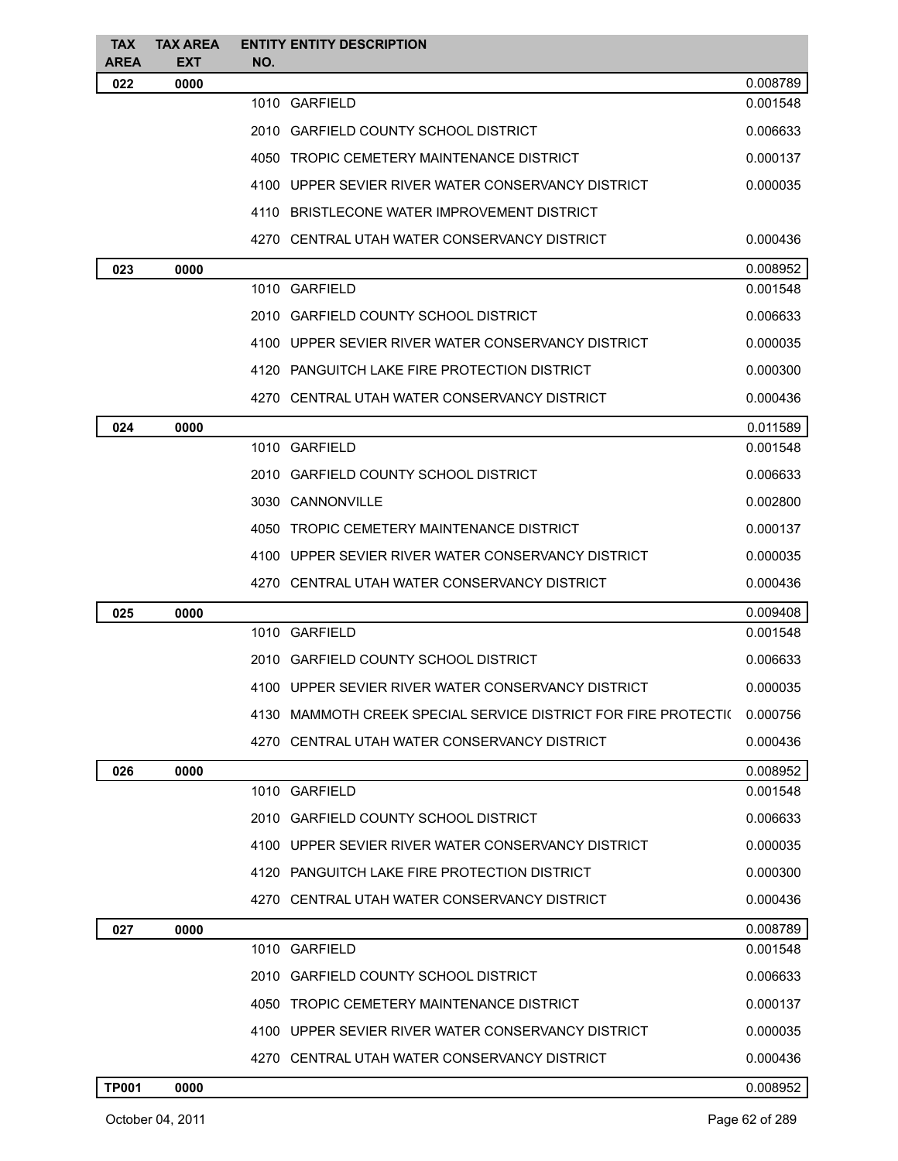| <b>TAX</b>   | <b>TAX AREA</b> | <b>ENTITY ENTITY DESCRIPTION</b>                               |                      |
|--------------|-----------------|----------------------------------------------------------------|----------------------|
| AREA         | <b>EXT</b>      | NO.                                                            |                      |
| 022          | 0000            | 1010 GARFIELD                                                  | 0.008789<br>0.001548 |
|              |                 | 2010 GARFIELD COUNTY SCHOOL DISTRICT                           | 0.006633             |
|              |                 | 4050 TROPIC CEMETERY MAINTENANCE DISTRICT                      | 0.000137             |
|              |                 |                                                                |                      |
|              |                 | 4100 UPPER SEVIER RIVER WATER CONSERVANCY DISTRICT             | 0.000035             |
|              |                 | 4110 BRISTLECONE WATER IMPROVEMENT DISTRICT                    |                      |
|              |                 | 4270 CENTRAL UTAH WATER CONSERVANCY DISTRICT                   | 0.000436             |
| 023          | 0000            |                                                                | 0.008952             |
|              |                 | 1010 GARFIELD                                                  | 0.001548             |
|              |                 | 2010 GARFIELD COUNTY SCHOOL DISTRICT                           | 0.006633             |
|              |                 | 4100 UPPER SEVIER RIVER WATER CONSERVANCY DISTRICT             | 0.000035             |
|              |                 | 4120 PANGUITCH LAKE FIRE PROTECTION DISTRICT                   | 0.000300             |
|              |                 | 4270 CENTRAL UTAH WATER CONSERVANCY DISTRICT                   | 0.000436             |
| 024          | 0000            |                                                                | 0.011589             |
|              |                 | 1010 GARFIELD                                                  | 0.001548             |
|              |                 | 2010 GARFIELD COUNTY SCHOOL DISTRICT                           | 0.006633             |
|              |                 | 3030 CANNONVILLE                                               | 0.002800             |
|              |                 | 4050 TROPIC CEMETERY MAINTENANCE DISTRICT                      | 0.000137             |
|              |                 | 4100 UPPER SEVIER RIVER WATER CONSERVANCY DISTRICT             | 0.000035             |
|              |                 | 4270 CENTRAL UTAH WATER CONSERVANCY DISTRICT                   | 0.000436             |
| 025          | 0000            |                                                                | 0.009408             |
|              |                 | 1010 GARFIELD                                                  | 0.001548             |
|              |                 | 2010 GARFIELD COUNTY SCHOOL DISTRICT                           | 0.006633             |
|              |                 | 4100 UPPER SEVIER RIVER WATER CONSERVANCY DISTRICT             | 0.000035             |
|              |                 | 4130 MAMMOTH CREEK SPECIAL SERVICE DISTRICT FOR FIRE PROTECTI( | 0.000756             |
|              |                 |                                                                |                      |
|              |                 | 4270 CENTRAL UTAH WATER CONSERVANCY DISTRICT                   | 0.000436             |
| 026          | 0000            |                                                                | 0.008952             |
|              |                 | 1010 GARFIELD                                                  | 0.001548             |
|              |                 | 2010 GARFIELD COUNTY SCHOOL DISTRICT                           | 0.006633             |
|              |                 | 4100 UPPER SEVIER RIVER WATER CONSERVANCY DISTRICT             | 0.000035             |
|              |                 | 4120 PANGUITCH LAKE FIRE PROTECTION DISTRICT                   | 0.000300             |
|              |                 | 4270 CENTRAL UTAH WATER CONSERVANCY DISTRICT                   | 0.000436             |
| 027          | 0000            |                                                                | 0.008789             |
|              |                 | 1010 GARFIELD                                                  | 0.001548             |
|              |                 | 2010 GARFIELD COUNTY SCHOOL DISTRICT                           | 0.006633             |
|              |                 | 4050 TROPIC CEMETERY MAINTENANCE DISTRICT                      | 0.000137             |
|              |                 | 4100 UPPER SEVIER RIVER WATER CONSERVANCY DISTRICT             | 0.000035             |
|              |                 | 4270 CENTRAL UTAH WATER CONSERVANCY DISTRICT                   | 0.000436             |
| <b>TP001</b> | 0000            |                                                                | 0.008952             |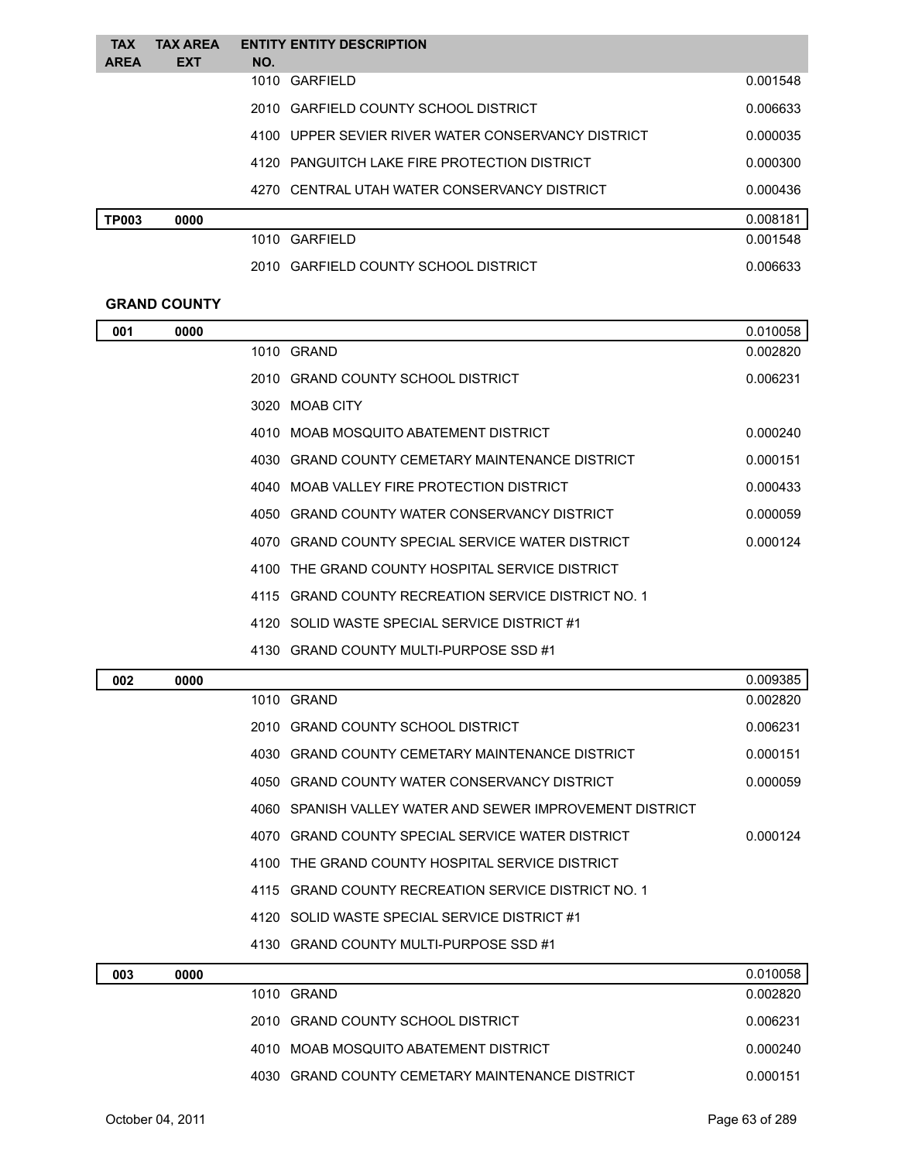| <b>TAX</b>   | <b>TAX AREA</b> | <b>ENTITY ENTITY DESCRIPTION</b>                   |          |
|--------------|-----------------|----------------------------------------------------|----------|
| <b>AREA</b>  | <b>EXT</b>      | NO.                                                |          |
|              |                 | 1010 GARFIELD                                      | 0.001548 |
|              |                 | 2010 GARFIELD COUNTY SCHOOL DISTRICT               | 0.006633 |
|              |                 | 4100 UPPER SEVIER RIVER WATER CONSERVANCY DISTRICT | 0.000035 |
|              |                 | 4120 PANGUITCH LAKE FIRE PROTECTION DISTRICT       | 0.000300 |
|              |                 | 4270 CENTRAL UTAH WATER CONSERVANCY DISTRICT       | 0.000436 |
| <b>TP003</b> | 0000            |                                                    | 0.008181 |
|              |                 | 1010 GARFIELD                                      | 0.001548 |
|              |                 | 2010 GARFIELD COUNTY SCHOOL DISTRICT               | 0.006633 |

#### **GRAND COUNTY**

| 001 | 0000 |                                                          | 0.010058 |
|-----|------|----------------------------------------------------------|----------|
|     |      | 1010 GRAND                                               | 0.002820 |
|     |      | 2010 GRAND COUNTY SCHOOL DISTRICT                        | 0.006231 |
|     |      | 3020 MOAB CITY                                           |          |
|     |      | 4010 MOAB MOSQUITO ABATEMENT DISTRICT                    | 0.000240 |
|     |      | 4030 GRAND COUNTY CEMETARY MAINTENANCE DISTRICT          | 0.000151 |
|     |      | 4040 MOAB VALLEY FIRE PROTECTION DISTRICT                | 0.000433 |
|     |      | 4050 GRAND COUNTY WATER CONSERVANCY DISTRICT             | 0.000059 |
|     |      | 4070 GRAND COUNTY SPECIAL SERVICE WATER DISTRICT         | 0.000124 |
|     |      | 4100 THE GRAND COUNTY HOSPITAL SERVICE DISTRICT          |          |
|     |      | 4115 GRAND COUNTY RECREATION SERVICE DISTRICT NO. 1      |          |
|     |      | 4120 SOLID WASTE SPECIAL SERVICE DISTRICT #1             |          |
|     |      | 4130 GRAND COUNTY MULTI-PURPOSE SSD #1                   |          |
| 002 | 0000 |                                                          | 0.009385 |
|     |      | 1010 GRAND                                               | 0.002820 |
|     |      | 2010 GRAND COUNTY SCHOOL DISTRICT                        | 0.006231 |
|     |      | 4030 GRAND COUNTY CEMETARY MAINTENANCE DISTRICT          | 0.000151 |
|     |      | 4050 GRAND COUNTY WATER CONSERVANCY DISTRICT             | 0.000059 |
|     |      | 4060 SPANISH VALLEY WATER AND SEWER IMPROVEMENT DISTRICT |          |
|     |      | 4070 GRAND COUNTY SPECIAL SERVICE WATER DISTRICT         | 0.000124 |
|     |      | 4100 THE GRAND COUNTY HOSPITAL SERVICE DISTRICT          |          |
|     |      | 4115 GRAND COUNTY RECREATION SERVICE DISTRICT NO. 1      |          |
|     |      | 4120 SOLID WASTE SPECIAL SERVICE DISTRICT #1             |          |
|     |      | 4130 GRAND COUNTY MULTI-PURPOSE SSD #1                   |          |
| 003 | 0000 |                                                          | 0.010058 |
|     |      | 1010 GRAND                                               | 0.002820 |
|     |      | 2010 GRAND COUNTY SCHOOL DISTRICT                        | 0.006231 |
|     |      | 4010 MOAB MOSQUITO ABATEMENT DISTRICT                    | 0.000240 |
|     |      | 4030 GRAND COUNTY CEMETARY MAINTENANCE DISTRICT          | 0.000151 |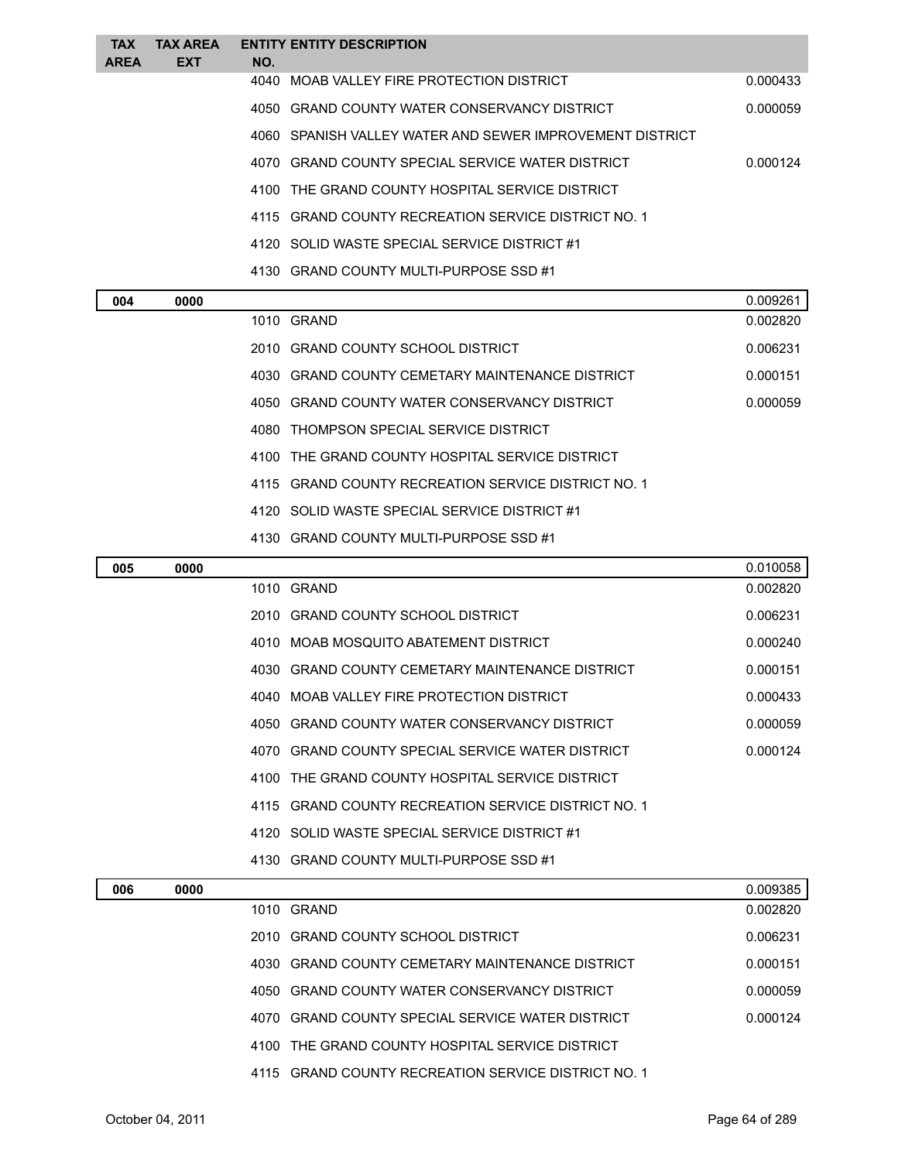| <b>TAX</b>  | <b>TAX AREA</b> |     | <b>ENTITY ENTITY DESCRIPTION</b>                         |          |
|-------------|-----------------|-----|----------------------------------------------------------|----------|
| <b>AREA</b> | <b>EXT</b>      | NO. |                                                          |          |
|             |                 |     | 4040 MOAB VALLEY FIRE PROTECTION DISTRICT                | 0.000433 |
|             |                 |     | 4050 GRAND COUNTY WATER CONSERVANCY DISTRICT             | 0.000059 |
|             |                 |     | 4060 SPANISH VALLEY WATER AND SEWER IMPROVEMENT DISTRICT |          |
|             |                 |     | 4070 GRAND COUNTY SPECIAL SERVICE WATER DISTRICT         | 0.000124 |
|             |                 |     | 4100 THE GRAND COUNTY HOSPITAL SERVICE DISTRICT          |          |
|             |                 |     | 4115 GRAND COUNTY RECREATION SERVICE DISTRICT NO. 1      |          |
|             |                 |     | 4120 SOLID WASTE SPECIAL SERVICE DISTRICT #1             |          |
|             |                 |     | 4130 GRAND COUNTY MULTI-PURPOSE SSD #1                   |          |

| 004 | 0000 |                                                     | 0.009261 |
|-----|------|-----------------------------------------------------|----------|
|     |      | 1010 GRAND                                          | 0.002820 |
|     |      | 2010 GRAND COUNTY SCHOOL DISTRICT                   | 0.006231 |
|     |      | 4030 GRAND COUNTY CEMETARY MAINTENANCE DISTRICT     | 0.000151 |
|     |      | 4050 GRAND COUNTY WATER CONSERVANCY DISTRICT        | 0.000059 |
|     |      | 4080 THOMPSON SPECIAL SERVICE DISTRICT              |          |
|     |      | 4100 THE GRAND COUNTY HOSPITAL SERVICE DISTRICT     |          |
|     |      | 4115 GRAND COUNTY RECREATION SERVICE DISTRICT NO. 1 |          |
|     |      | 4120 SOLID WASTE SPECIAL SERVICE DISTRICT #1        |          |
|     |      | 4130 GRAND COUNTY MULTI-PURPOSE SSD #1              |          |

| 005 | 0000 |                                                     | 0.010058 |
|-----|------|-----------------------------------------------------|----------|
|     |      | 1010 GRAND                                          | 0.002820 |
|     |      | 2010 GRAND COUNTY SCHOOL DISTRICT                   | 0.006231 |
|     |      | 4010 MOAB MOSQUITO ABATEMENT DISTRICT               | 0.000240 |
|     |      | 4030 GRAND COUNTY CEMETARY MAINTENANCE DISTRICT     | 0.000151 |
|     |      | 4040 MOAB VALLEY FIRE PROTECTION DISTRICT           | 0.000433 |
|     |      | 4050 GRAND COUNTY WATER CONSERVANCY DISTRICT        | 0.000059 |
|     |      | 4070 GRAND COUNTY SPECIAL SERVICE WATER DISTRICT    | 0.000124 |
|     |      | 4100 THE GRAND COUNTY HOSPITAL SERVICE DISTRICT     |          |
|     |      | 4115 GRAND COUNTY RECREATION SERVICE DISTRICT NO. 1 |          |
|     |      | 4120 SOLID WASTE SPECIAL SERVICE DISTRICT #1        |          |
|     |      | 4130 GRAND COUNTY MULTI-PURPOSE SSD #1              |          |

| 006 | 0000 |                                                     | 0.009385 |
|-----|------|-----------------------------------------------------|----------|
|     |      | 1010 GRAND                                          | 0.002820 |
|     |      | 2010 GRAND COUNTY SCHOOL DISTRICT                   | 0.006231 |
|     |      | 4030 GRAND COUNTY CEMETARY MAINTENANCE DISTRICT     | 0.000151 |
|     |      | 4050 GRAND COUNTY WATER CONSERVANCY DISTRICT        | 0.000059 |
|     |      | 4070 GRAND COUNTY SPECIAL SERVICE WATER DISTRICT    | 0.000124 |
|     |      | 4100 THE GRAND COUNTY HOSPITAL SERVICE DISTRICT     |          |
|     |      | 4115 GRAND COUNTY RECREATION SERVICE DISTRICT NO. 1 |          |
|     |      |                                                     |          |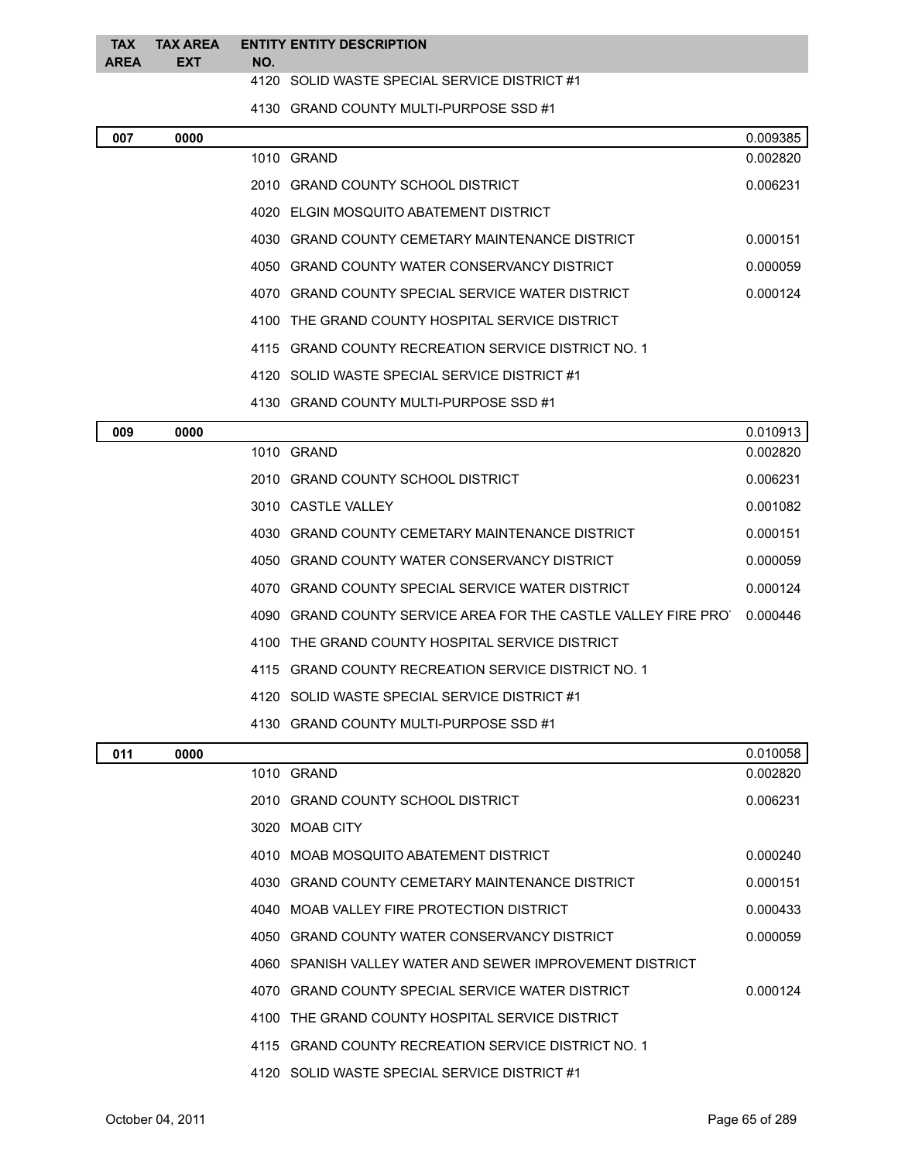|              | TAX TAX AREA ENTITY ENTITY DESCRIPTION |  |
|--------------|----------------------------------------|--|
| AREA EXT NO. |                                        |  |
|              |                                        |  |

SOLID WASTE SPECIAL SERVICE DISTRICT #1

GRAND COUNTY MULTI-PURPOSE SSD #1

| 007 | 0000 |      |                                                          | 0.009385 |
|-----|------|------|----------------------------------------------------------|----------|
|     |      |      | 1010 GRAND                                               | 0.002820 |
|     |      |      | 2010 GRAND COUNTY SCHOOL DISTRICT                        | 0.006231 |
|     |      |      | 4020 ELGIN MOSQUITO ABATEMENT DISTRICT                   |          |
|     |      | 4030 | GRAND COUNTY CEMETARY MAINTENANCE DISTRICT               | 0.000151 |
|     |      |      | 4050 GRAND COUNTY WATER CONSERVANCY DISTRICT             | 0.000059 |
|     |      |      | 4070 GRAND COUNTY SPECIAL SERVICE WATER DISTRICT         | 0.000124 |
|     |      |      | 4100 THE GRAND COUNTY HOSPITAL SERVICE DISTRICT          |          |
|     |      |      | 4115 GRAND COUNTY RECREATION SERVICE DISTRICT NO. 1      |          |
|     |      |      | 4120 SOLID WASTE SPECIAL SERVICE DISTRICT #1             |          |
|     |      |      | 4130 GRAND COUNTY MULTI-PURPOSE SSD #1                   |          |
| 009 | 0000 |      |                                                          | 0.010913 |
|     |      |      | 1010 GRAND                                               | 0.002820 |
|     |      |      | 2010 GRAND COUNTY SCHOOL DISTRICT                        | 0.006231 |
|     |      |      | 3010 CASTLE VALLEY                                       | 0.001082 |
|     |      |      | 4030 GRAND COUNTY CEMETARY MAINTENANCE DISTRICT          | 0.000151 |
|     |      |      | 4050 GRAND COUNTY WATER CONSERVANCY DISTRICT             | 0.000059 |
|     |      | 4070 | GRAND COUNTY SPECIAL SERVICE WATER DISTRICT              | 0.000124 |
|     |      | 4090 | GRAND COUNTY SERVICE AREA FOR THE CASTLE VALLEY FIRE PRO | 0.000446 |
|     |      | 4100 | THE GRAND COUNTY HOSPITAL SERVICE DISTRICT               |          |
|     |      | 4115 | <b>GRAND COUNTY RECREATION SERVICE DISTRICT NO. 1</b>    |          |
|     |      |      | 4120 SOLID WASTE SPECIAL SERVICE DISTRICT #1             |          |
|     |      |      | 4130 GRAND COUNTY MULTI-PURPOSE SSD #1                   |          |
| 011 | 0000 |      |                                                          | 0.010058 |
|     |      |      | 1010 GRAND                                               | 0.002820 |
|     |      |      | 2010 GRAND COUNTY SCHOOL DISTRICT                        | 0.006231 |
|     |      |      | 3020 MOAB CITY                                           |          |
|     |      |      | 4010 MOAB MOSQUITO ABATEMENT DISTRICT                    | 0.000240 |
|     |      |      | 4030 GRAND COUNTY CEMETARY MAINTENANCE DISTRICT          | 0.000151 |
|     |      |      | 4040 MOAB VALLEY FIRE PROTECTION DISTRICT                | 0.000433 |
|     |      |      | 4050 GRAND COUNTY WATER CONSERVANCY DISTRICT             | 0.000059 |
|     |      |      | 4060 SPANISH VALLEY WATER AND SEWER IMPROVEMENT DISTRICT |          |
|     |      |      | 4070 GRAND COUNTY SPECIAL SERVICE WATER DISTRICT         | 0.000124 |
|     |      |      | 4100 THE GRAND COUNTY HOSPITAL SERVICE DISTRICT          |          |
|     |      |      | 4115 GRAND COUNTY RECREATION SERVICE DISTRICT NO. 1      |          |
|     |      |      | 4120 SOLID WASTE SPECIAL SERVICE DISTRICT #1             |          |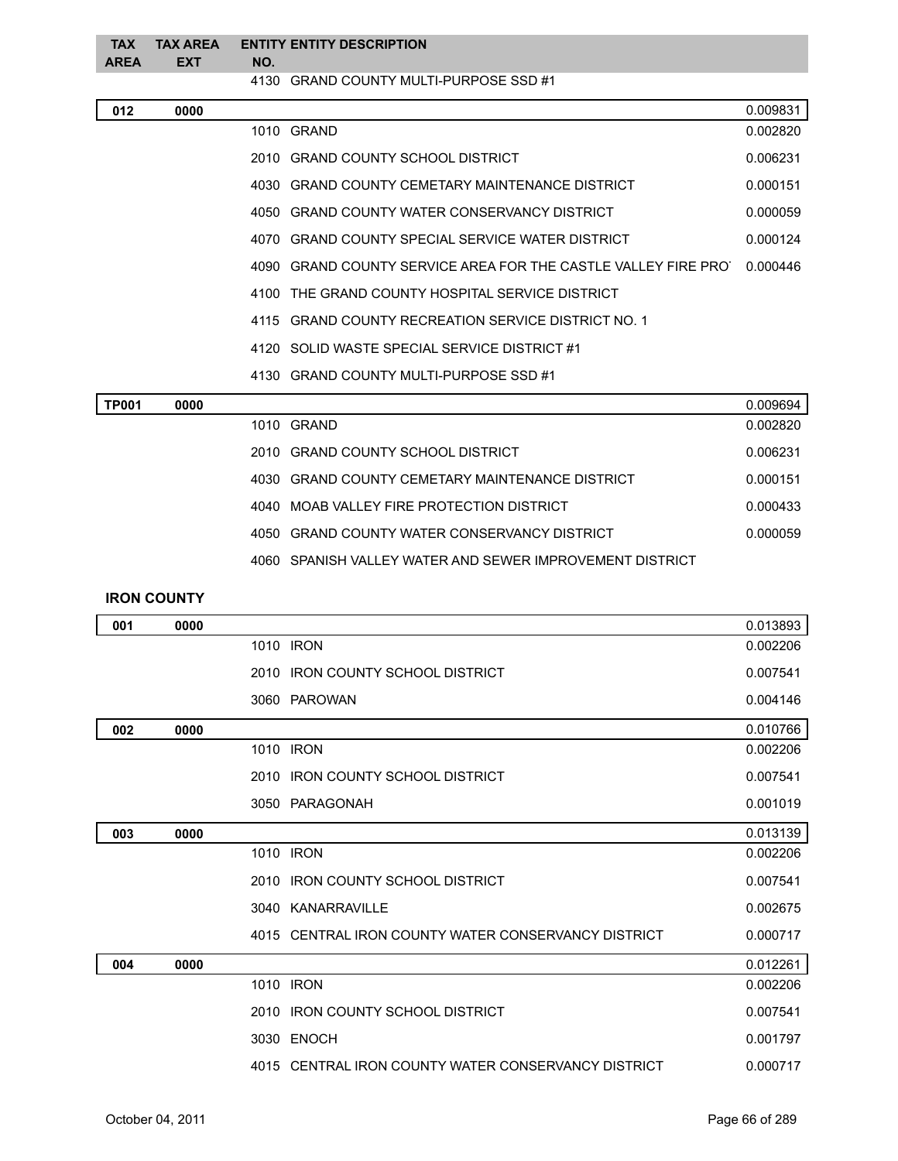| <b>TAX</b><br><b>AREA</b> | <b>TAX AREA</b><br><b>EXT</b> | NO. | <b>ENTITY ENTITY DESCRIPTION</b>                              |          |
|---------------------------|-------------------------------|-----|---------------------------------------------------------------|----------|
|                           |                               |     | 4130 GRAND COUNTY MULTI-PURPOSE SSD #1                        |          |
| 012                       | 0000                          |     |                                                               | 0.009831 |
|                           |                               |     | 1010 GRAND                                                    | 0.002820 |
|                           |                               |     | 2010 GRAND COUNTY SCHOOL DISTRICT                             | 0.006231 |
|                           |                               |     | 4030 GRAND COUNTY CEMETARY MAINTENANCE DISTRICT               | 0.000151 |
|                           |                               |     | 4050 GRAND COUNTY WATER CONSERVANCY DISTRICT                  | 0.000059 |
|                           |                               |     | 4070 GRAND COUNTY SPECIAL SERVICE WATER DISTRICT              | 0.000124 |
|                           |                               |     | 4090 GRAND COUNTY SERVICE AREA FOR THE CASTLE VALLEY FIRE PRO | 0.000446 |
|                           |                               |     | 4100 THE GRAND COUNTY HOSPITAL SERVICE DISTRICT               |          |
|                           |                               |     | 4115 GRAND COUNTY RECREATION SERVICE DISTRICT NO. 1           |          |
|                           |                               |     | 4120 SOLID WASTE SPECIAL SERVICE DISTRICT #1                  |          |
|                           |                               |     | 4130 GRAND COUNTY MULTI-PURPOSE SSD #1                        |          |
| <b>TP001</b>              | 0000                          |     |                                                               | 0.009694 |
|                           |                               |     | 1010 GRAND                                                    | 0.002820 |
|                           |                               |     | 2010 GRAND COUNTY SCHOOL DISTRICT                             | 0.006231 |
|                           |                               |     | 4030 GRAND COUNTY CEMETARY MAINTENANCE DISTRICT               | 0.000151 |
|                           |                               |     | 4040 MOAB VALLEY FIRE PROTECTION DISTRICT                     | 0.000433 |
|                           |                               |     | 4050 GRAND COUNTY WATER CONSERVANCY DISTRICT                  | 0.000059 |
|                           |                               |     | 4060 SPANISH VALLEY WATER AND SEWER IMPROVEMENT DISTRICT      |          |
|                           | <b>IRON COUNTY</b>            |     |                                                               |          |
| 001                       | 0000                          |     |                                                               | 0.013893 |
|                           |                               |     | 1010 IRON                                                     | 0.002206 |
|                           |                               |     | 2010 IRON COUNTY SCHOOL DISTRICT                              | 0.007541 |
|                           |                               |     | 3060 PAROWAN                                                  | 0.004146 |
| 002                       | 0000                          |     |                                                               | 0.010766 |
|                           |                               |     | 1010 IRON                                                     | 0.002206 |
|                           |                               |     | 2010 IRON COUNTY SCHOOL DISTRICT                              | 0.007541 |
|                           |                               |     | 3050 PARAGONAH                                                | 0.001019 |
| 003                       | 0000                          |     |                                                               | 0.013139 |
|                           |                               |     | 1010 IRON                                                     | 0.002206 |
|                           |                               |     | 2010 IRON COUNTY SCHOOL DISTRICT                              | 0.007541 |
|                           |                               |     | 3040 KANARRAVILLE                                             | 0.002675 |
|                           |                               |     | 4015 CENTRAL IRON COUNTY WATER CONSERVANCY DISTRICT           | 0.000717 |
| 004                       | 0000                          |     |                                                               | 0.012261 |
|                           |                               |     | 1010 IRON                                                     | 0.002206 |
|                           |                               |     | 2010 IRON COUNTY SCHOOL DISTRICT                              | 0.007541 |
|                           |                               |     | 3030 ENOCH                                                    | 0.001797 |
|                           |                               |     | 4015 CENTRAL IRON COUNTY WATER CONSERVANCY DISTRICT           | 0.000717 |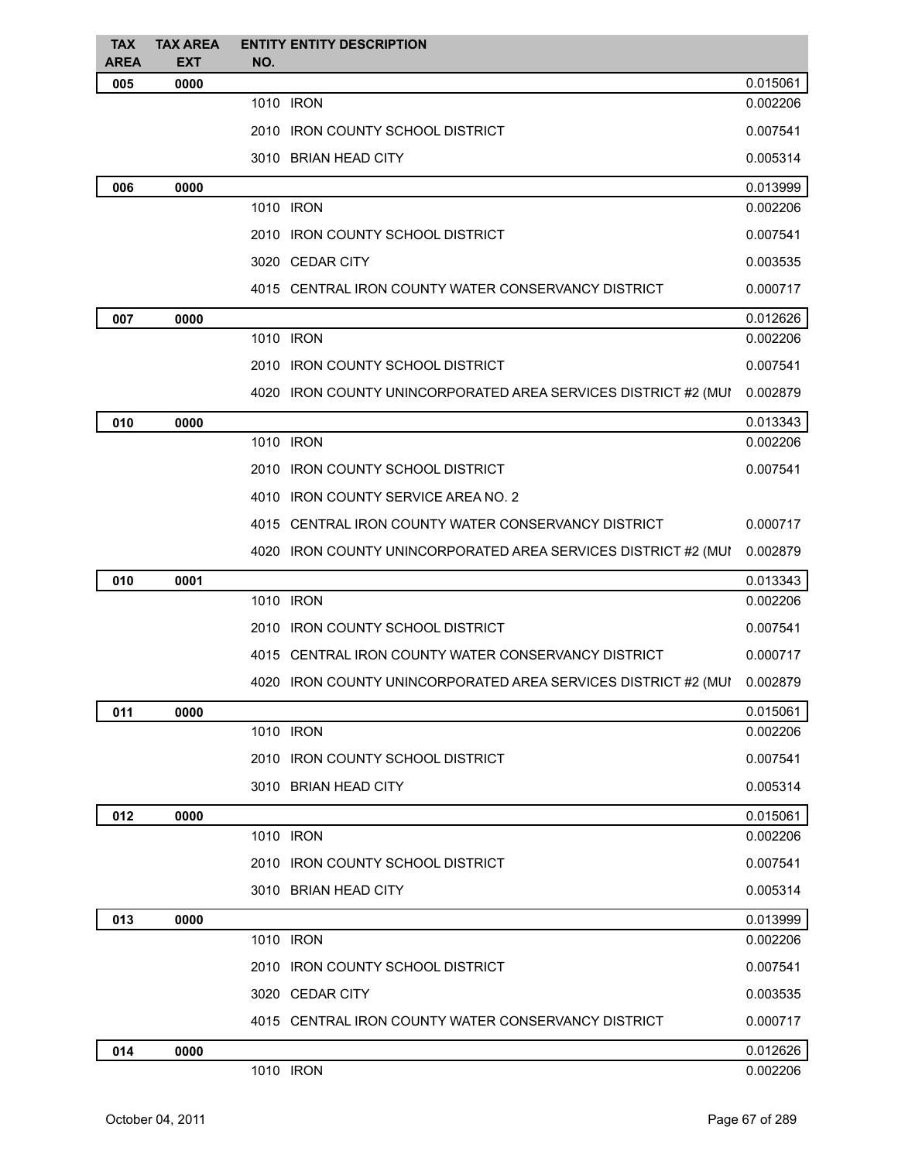| <b>TAX</b>  | <b>TAX AREA</b> | <b>ENTITY ENTITY DESCRIPTION</b>                               |          |
|-------------|-----------------|----------------------------------------------------------------|----------|
| <b>AREA</b> | <b>EXT</b>      | NO.                                                            |          |
| 005         | 0000            |                                                                | 0.015061 |
|             |                 | 1010 IRON                                                      | 0.002206 |
|             |                 | 2010 IRON COUNTY SCHOOL DISTRICT                               | 0.007541 |
|             |                 | 3010 BRIAN HEAD CITY                                           | 0.005314 |
| 006         | 0000            |                                                                | 0.013999 |
|             |                 | 1010 IRON                                                      | 0.002206 |
|             |                 | 2010 IRON COUNTY SCHOOL DISTRICT                               | 0.007541 |
|             |                 | 3020 CEDAR CITY                                                | 0.003535 |
|             |                 | 4015 CENTRAL IRON COUNTY WATER CONSERVANCY DISTRICT            | 0.000717 |
| 007         | 0000            |                                                                | 0.012626 |
|             |                 | 1010 IRON                                                      | 0.002206 |
|             |                 | 2010 IRON COUNTY SCHOOL DISTRICT                               | 0.007541 |
|             |                 | 4020 IRON COUNTY UNINCORPORATED AREA SERVICES DISTRICT #2 (MUI | 0.002879 |
| 010         | 0000            |                                                                | 0.013343 |
|             |                 | 1010 IRON                                                      | 0.002206 |
|             |                 | 2010 IRON COUNTY SCHOOL DISTRICT                               | 0.007541 |
|             |                 | 4010 IRON COUNTY SERVICE AREA NO. 2                            |          |
|             |                 | 4015 CENTRAL IRON COUNTY WATER CONSERVANCY DISTRICT            | 0.000717 |
|             |                 | 4020 IRON COUNTY UNINCORPORATED AREA SERVICES DISTRICT #2 (MUI | 0.002879 |
| 010         | 0001            |                                                                | 0.013343 |
|             |                 | 1010 IRON                                                      | 0.002206 |
|             |                 | 2010 IRON COUNTY SCHOOL DISTRICT                               | 0.007541 |
|             |                 | 4015 CENTRAL IRON COUNTY WATER CONSERVANCY DISTRICT            | 0.000717 |
|             |                 | 4020 IRON COUNTY UNINCORPORATED AREA SERVICES DISTRICT #2 (MUI | 0.002879 |
| 011         | 0000            |                                                                | 0.015061 |
|             |                 | 1010 IRON                                                      | 0.002206 |
|             |                 | 2010 IRON COUNTY SCHOOL DISTRICT                               | 0.007541 |
|             |                 | 3010 BRIAN HEAD CITY                                           | 0.005314 |
| 012         | 0000            |                                                                | 0.015061 |
|             |                 | 1010 IRON                                                      | 0.002206 |
|             |                 | 2010 IRON COUNTY SCHOOL DISTRICT                               | 0.007541 |
|             |                 | 3010 BRIAN HEAD CITY                                           | 0.005314 |
| 013         | 0000            |                                                                | 0.013999 |
|             |                 | 1010 IRON                                                      | 0.002206 |
|             |                 | 2010 IRON COUNTY SCHOOL DISTRICT                               | 0.007541 |
|             |                 | 3020 CEDAR CITY                                                | 0.003535 |
|             |                 | 4015 CENTRAL IRON COUNTY WATER CONSERVANCY DISTRICT            | 0.000717 |
| 014         | 0000            |                                                                | 0.012626 |
|             |                 | 1010 IRON                                                      | 0.002206 |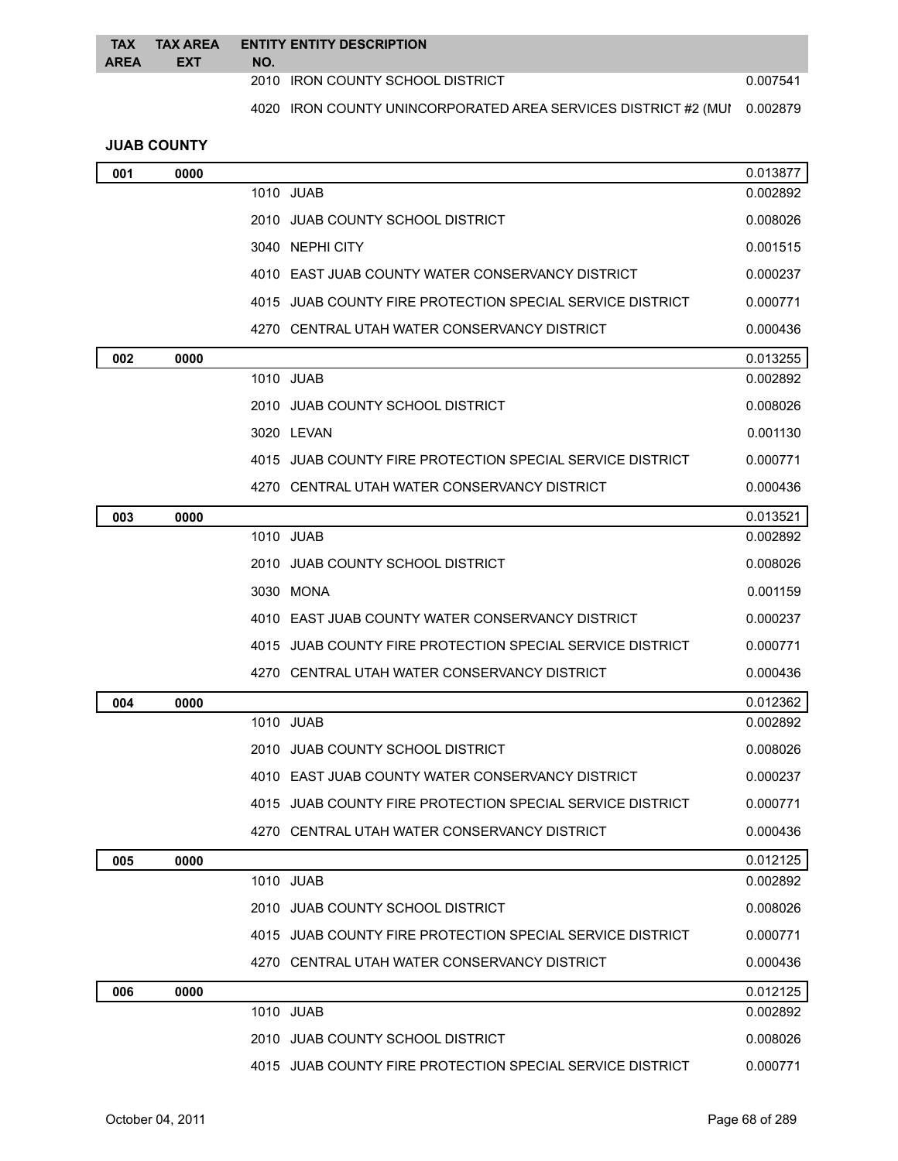| <b>TAX</b>  | <b>ENTITY ENTITY DESCRIPTION</b><br>TAX AREA |                                                                         |          |
|-------------|----------------------------------------------|-------------------------------------------------------------------------|----------|
| <b>AREA</b> | <b>EXT</b>                                   | NO.                                                                     |          |
|             |                                              | 2010 IRON COUNTY SCHOOL DISTRICT                                        | 0.007541 |
|             |                                              | 4020 IRON COUNTY UNINCORPORATED AREA SERVICES DISTRICT #2 (MUI 0.002879 |          |

# **JUAB COUNTY**

| 001 | 0000 |                                                           | 0.013877 |
|-----|------|-----------------------------------------------------------|----------|
|     |      | 1010 JUAB                                                 | 0.002892 |
|     |      | 2010 JUAB COUNTY SCHOOL DISTRICT                          | 0.008026 |
|     |      | 3040 NEPHI CITY                                           | 0.001515 |
|     |      | 4010 EAST JUAB COUNTY WATER CONSERVANCY DISTRICT          | 0.000237 |
|     |      | 4015 JUAB COUNTY FIRE PROTECTION SPECIAL SERVICE DISTRICT | 0.000771 |
|     |      | 4270 CENTRAL UTAH WATER CONSERVANCY DISTRICT              | 0.000436 |
| 002 | 0000 |                                                           | 0.013255 |
|     |      | 1010 JUAB                                                 | 0.002892 |
|     |      | 2010 JUAB COUNTY SCHOOL DISTRICT                          | 0.008026 |
|     |      | 3020 LEVAN                                                | 0.001130 |
|     |      | 4015 JUAB COUNTY FIRE PROTECTION SPECIAL SERVICE DISTRICT | 0.000771 |
|     |      | 4270 CENTRAL UTAH WATER CONSERVANCY DISTRICT              | 0.000436 |
| 003 | 0000 |                                                           | 0.013521 |
|     |      | 1010 JUAB                                                 | 0.002892 |
|     |      | 2010 JUAB COUNTY SCHOOL DISTRICT                          | 0.008026 |
|     |      | 3030 MONA                                                 | 0.001159 |
|     |      | 4010 EAST JUAB COUNTY WATER CONSERVANCY DISTRICT          | 0.000237 |
|     |      | 4015 JUAB COUNTY FIRE PROTECTION SPECIAL SERVICE DISTRICT | 0.000771 |
|     |      | 4270 CENTRAL UTAH WATER CONSERVANCY DISTRICT              | 0.000436 |
| 004 | 0000 |                                                           | 0.012362 |
|     |      | 1010 JUAB                                                 | 0.002892 |
|     |      | 2010 JUAB COUNTY SCHOOL DISTRICT                          | 0.008026 |
|     |      | 4010 EAST JUAB COUNTY WATER CONSERVANCY DISTRICT          | 0.000237 |
|     |      | 4015 JUAB COUNTY FIRE PROTECTION SPECIAL SERVICE DISTRICT | 0.000771 |
|     |      | 4270 CENTRAL UTAH WATER CONSERVANCY DISTRICT              | 0.000436 |
| 005 | 0000 |                                                           | 0.012125 |
|     |      | 1010 JUAB                                                 | 0.002892 |
|     |      | 2010 JUAB COUNTY SCHOOL DISTRICT                          | 0.008026 |
|     |      | 4015 JUAB COUNTY FIRE PROTECTION SPECIAL SERVICE DISTRICT | 0.000771 |
|     |      | 4270 CENTRAL UTAH WATER CONSERVANCY DISTRICT              | 0.000436 |
| 006 | 0000 |                                                           | 0.012125 |
|     |      | 1010 JUAB                                                 | 0.002892 |
|     |      | 2010 JUAB COUNTY SCHOOL DISTRICT                          | 0.008026 |
|     |      | 4015 JUAB COUNTY FIRE PROTECTION SPECIAL SERVICE DISTRICT | 0.000771 |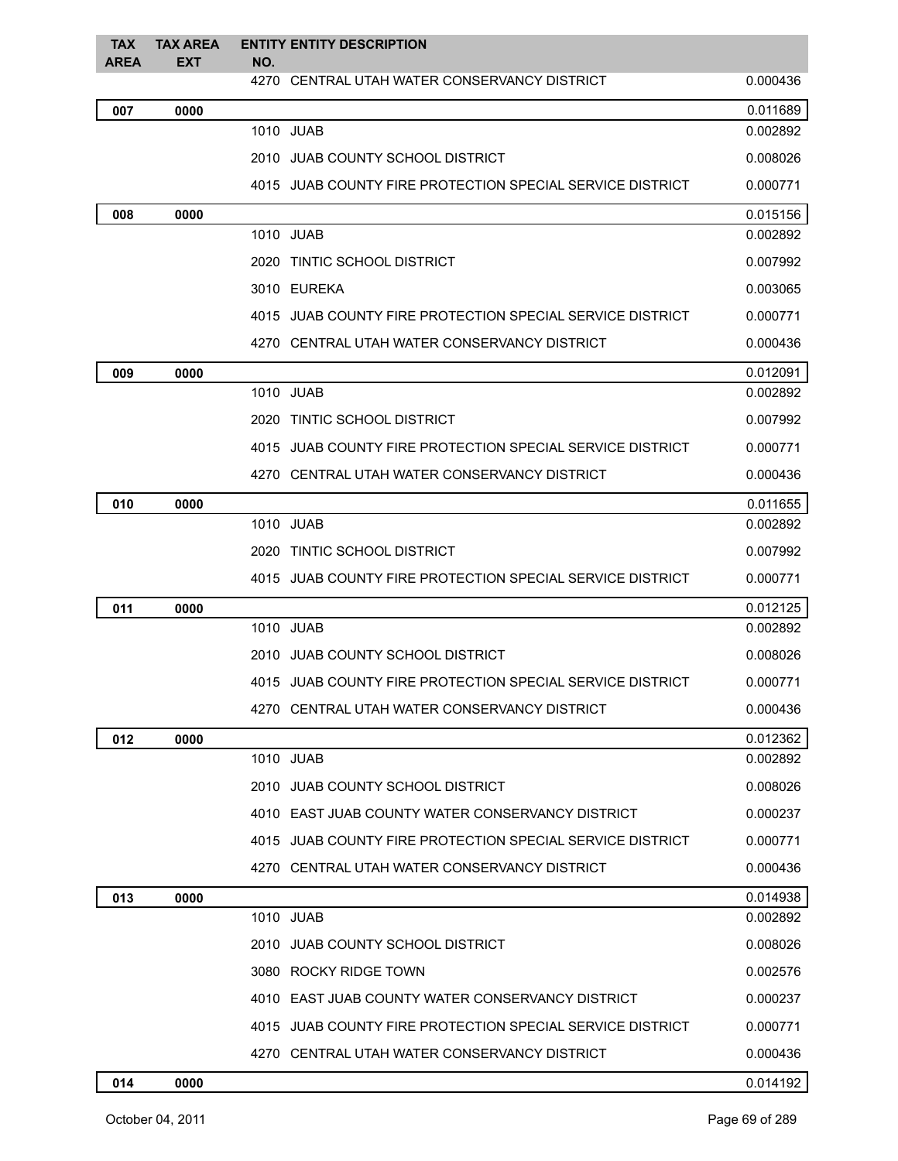| <b>TAX</b><br><b>AREA</b> | <b>TAX AREA</b><br><b>EXT</b> | <b>ENTITY ENTITY DESCRIPTION</b><br>NO.                   |          |
|---------------------------|-------------------------------|-----------------------------------------------------------|----------|
|                           |                               | 4270 CENTRAL UTAH WATER CONSERVANCY DISTRICT              | 0.000436 |
| 007                       | 0000                          |                                                           | 0.011689 |
|                           |                               | 1010 JUAB                                                 | 0.002892 |
|                           |                               | 2010 JUAB COUNTY SCHOOL DISTRICT                          | 0.008026 |
|                           |                               | 4015 JUAB COUNTY FIRE PROTECTION SPECIAL SERVICE DISTRICT | 0.000771 |
| 008                       | 0000                          |                                                           | 0.015156 |
|                           |                               | 1010 JUAB                                                 | 0.002892 |
|                           |                               | 2020 TINTIC SCHOOL DISTRICT                               | 0.007992 |
|                           |                               | 3010 EUREKA                                               | 0.003065 |
|                           |                               | 4015 JUAB COUNTY FIRE PROTECTION SPECIAL SERVICE DISTRICT | 0.000771 |
|                           |                               | 4270 CENTRAL UTAH WATER CONSERVANCY DISTRICT              | 0.000436 |
| 009                       | 0000                          |                                                           | 0.012091 |
|                           |                               | 1010 JUAB                                                 | 0.002892 |
|                           |                               | 2020 TINTIC SCHOOL DISTRICT                               | 0.007992 |
|                           |                               | 4015 JUAB COUNTY FIRE PROTECTION SPECIAL SERVICE DISTRICT | 0.000771 |
|                           |                               | 4270 CENTRAL UTAH WATER CONSERVANCY DISTRICT              | 0.000436 |
| 010                       | 0000                          |                                                           | 0.011655 |
|                           |                               | 1010 JUAB                                                 | 0.002892 |
|                           |                               | 2020 TINTIC SCHOOL DISTRICT                               | 0.007992 |
|                           |                               | 4015 JUAB COUNTY FIRE PROTECTION SPECIAL SERVICE DISTRICT | 0.000771 |
| 011                       | 0000                          |                                                           | 0.012125 |
|                           |                               | 1010 JUAB                                                 | 0.002892 |
|                           |                               | 2010 JUAB COUNTY SCHOOL DISTRICT                          | 0.008026 |
|                           |                               | 4015 JUAB COUNTY FIRE PROTECTION SPECIAL SERVICE DISTRICT | 0.000771 |
|                           |                               | 4270 CENTRAL UTAH WATER CONSERVANCY DISTRICT              | 0.000436 |
| 012                       | 0000                          |                                                           | 0.012362 |
|                           |                               | 1010 JUAB                                                 | 0.002892 |
|                           |                               | 2010 JUAB COUNTY SCHOOL DISTRICT                          | 0.008026 |
|                           |                               | 4010 EAST JUAB COUNTY WATER CONSERVANCY DISTRICT          | 0.000237 |
|                           |                               | 4015 JUAB COUNTY FIRE PROTECTION SPECIAL SERVICE DISTRICT | 0.000771 |
|                           |                               | 4270 CENTRAL UTAH WATER CONSERVANCY DISTRICT              | 0.000436 |
| 013                       | 0000                          |                                                           | 0.014938 |
|                           |                               | 1010 JUAB                                                 | 0.002892 |
|                           |                               | 2010 JUAB COUNTY SCHOOL DISTRICT                          | 0.008026 |
|                           |                               | 3080 ROCKY RIDGE TOWN                                     | 0.002576 |
|                           |                               | 4010 EAST JUAB COUNTY WATER CONSERVANCY DISTRICT          | 0.000237 |
|                           |                               | 4015 JUAB COUNTY FIRE PROTECTION SPECIAL SERVICE DISTRICT | 0.000771 |
|                           |                               | 4270 CENTRAL UTAH WATER CONSERVANCY DISTRICT              | 0.000436 |
| 014                       | 0000                          |                                                           | 0.014192 |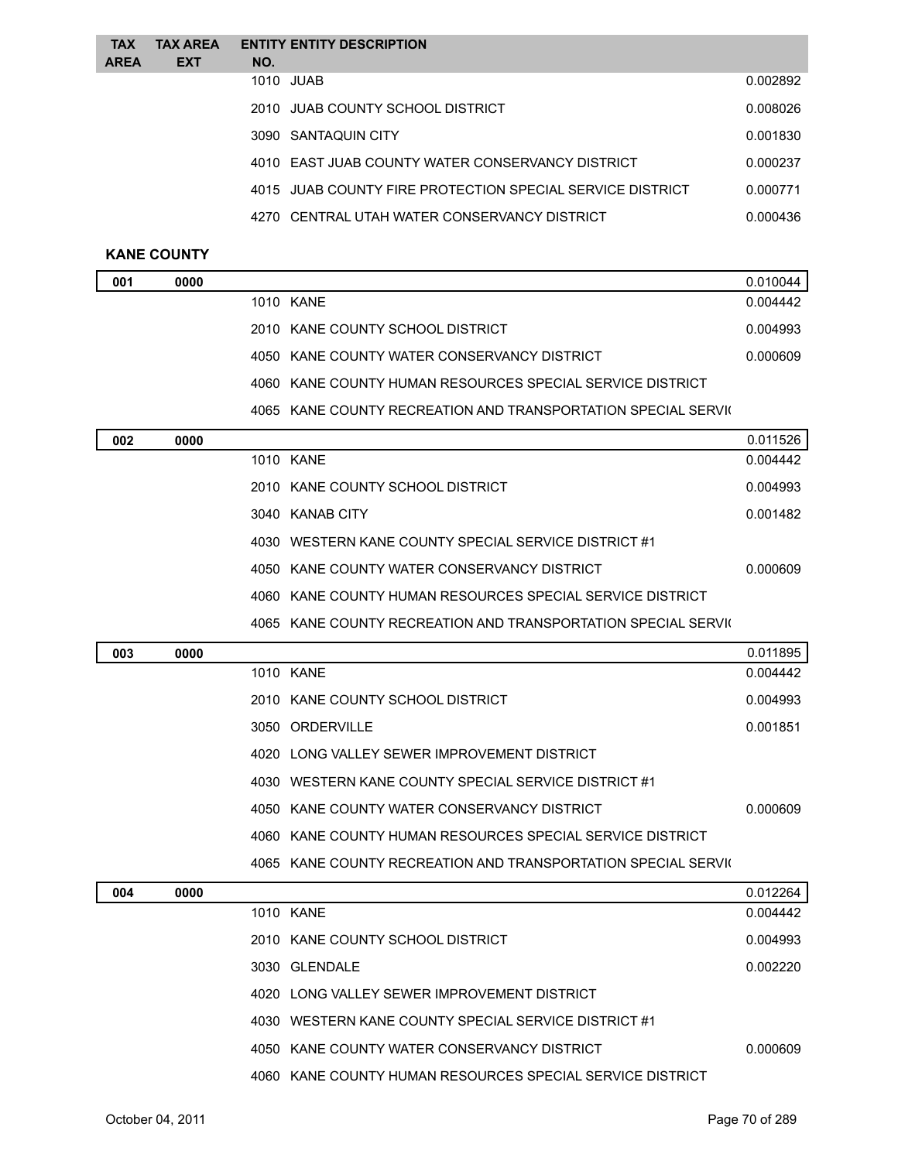| <b>TAX</b><br>AREA | <b>TAX AREA</b><br><b>EXT</b> | <b>ENTITY ENTITY DESCRIPTION</b><br>NO.                   |          |
|--------------------|-------------------------------|-----------------------------------------------------------|----------|
|                    |                               | 1010 JUAB                                                 | 0.002892 |
|                    |                               | 2010 JUAB COUNTY SCHOOL DISTRICT                          | 0.008026 |
|                    |                               | 3090 SANTAQUIN CITY                                       | 0.001830 |
|                    |                               | 4010 EAST JUAB COUNTY WATER CONSERVANCY DISTRICT          | 0.000237 |
|                    |                               | 4015 JUAB COUNTY FIRE PROTECTION SPECIAL SERVICE DISTRICT | 0.000771 |
|                    |                               | 4270 CENTRAL UTAH WATER CONSERVANCY DISTRICT              | 0.000436 |
|                    |                               |                                                           |          |

## **KANE COUNTY**

| 001 | 0000 |           |                                                               | 0.010044 |
|-----|------|-----------|---------------------------------------------------------------|----------|
|     |      | 1010 KANE |                                                               | 0.004442 |
|     |      |           | 2010 KANE COUNTY SCHOOL DISTRICT                              | 0.004993 |
|     |      |           | 4050 KANE COUNTY WATER CONSERVANCY DISTRICT                   | 0.000609 |
|     |      |           | 4060 KANE COUNTY HUMAN RESOURCES SPECIAL SERVICE DISTRICT     |          |
|     |      |           | 4065 KANE COUNTY RECREATION AND TRANSPORTATION SPECIAL SERVIC |          |
| 002 | 0000 |           |                                                               | 0.011526 |
|     |      | 1010 KANE |                                                               | 0.004442 |
|     |      |           | 2010 KANE COUNTY SCHOOL DISTRICT                              | 0.004993 |
|     |      |           | 3040 KANAB CITY                                               | 0.001482 |
|     |      |           | 4030 WESTERN KANE COUNTY SPECIAL SERVICE DISTRICT #1          |          |
|     |      |           | 4050 KANE COUNTY WATER CONSERVANCY DISTRICT                   | 0.000609 |
|     |      |           | 4060 KANE COUNTY HUMAN RESOURCES SPECIAL SERVICE DISTRICT     |          |
|     |      |           | 4065 KANE COUNTY RECREATION AND TRANSPORTATION SPECIAL SERVIC |          |
| 003 | 0000 |           |                                                               | 0.011895 |
|     |      | 1010 KANE |                                                               | 0.004442 |
|     |      |           | 2010 KANE COUNTY SCHOOL DISTRICT                              | 0.004993 |
|     |      |           | 3050 ORDERVILLE                                               | 0.001851 |
|     |      |           | 4020 LONG VALLEY SEWER IMPROVEMENT DISTRICT                   |          |
|     |      |           | 4030 WESTERN KANE COUNTY SPECIAL SERVICE DISTRICT #1          |          |
|     |      |           | 4050 KANE COUNTY WATER CONSERVANCY DISTRICT                   | 0.000609 |
|     |      |           |                                                               |          |

KANE COUNTY HUMAN RESOURCES SPECIAL SERVICE DISTRICT

4065 KANE COUNTY RECREATION AND TRANSPORTATION SPECIAL SERVIC

| 0.012264<br>004<br>0000<br>1010 KANE<br>0.004442          |
|-----------------------------------------------------------|
|                                                           |
|                                                           |
| 0.004993<br>2010 KANE COUNTY SCHOOL DISTRICT              |
| 0.002220<br>3030 GLENDALE                                 |
| 4020 LONG VALLEY SEWER IMPROVEMENT DISTRICT               |
| 4030 WESTERN KANE COUNTY SPECIAL SERVICE DISTRICT #1      |
| 4050 KANE COUNTY WATER CONSERVANCY DISTRICT<br>0.000609   |
| 4060 KANE COUNTY HUMAN RESOURCES SPECIAL SERVICE DISTRICT |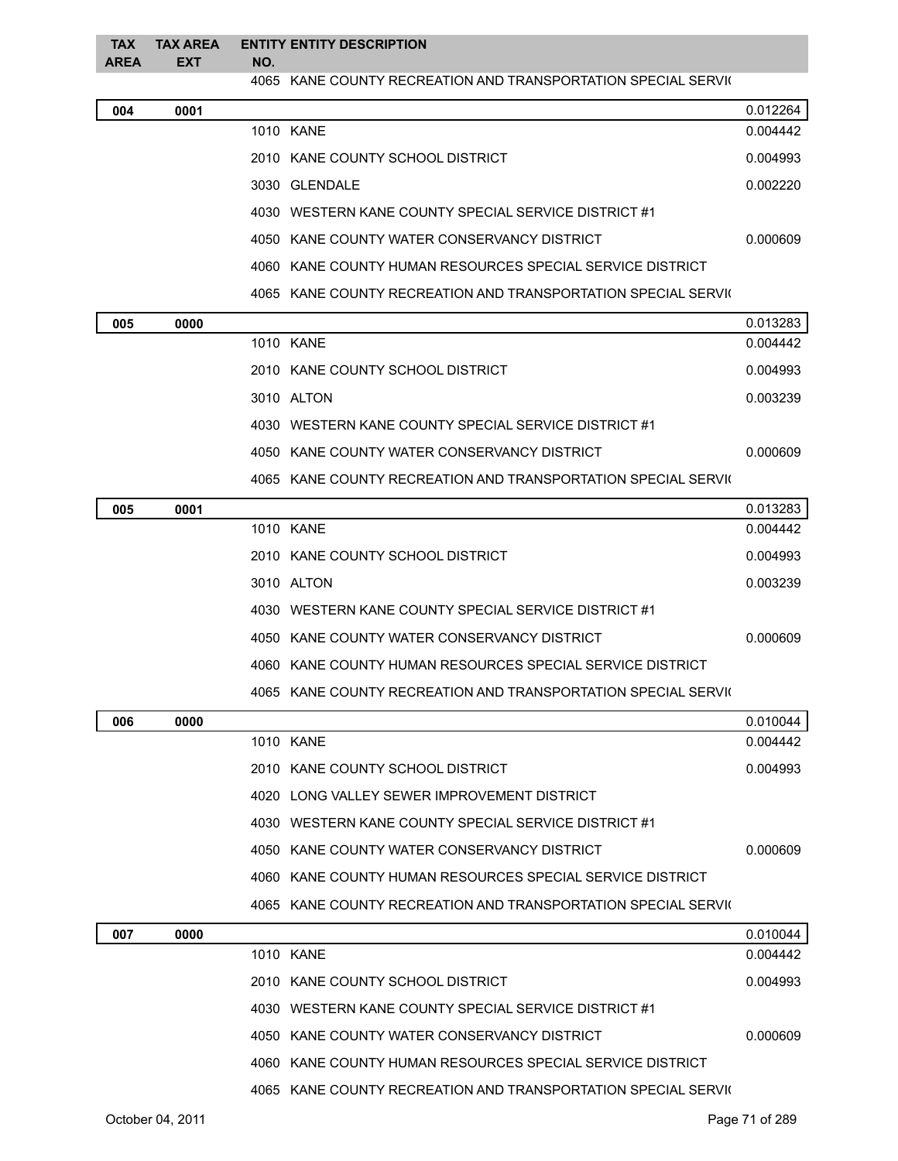| <b>TAX</b>  | <b>TAX AREA</b> | <b>ENTITY ENTITY DESCRIPTION</b>                              |
|-------------|-----------------|---------------------------------------------------------------|
| <b>AREA</b> | <b>EXT</b>      | NO.                                                           |
|             |                 | 4065 KANE COUNTY RECREATION AND TRANSPORTATION SPECIAL SERVIC |

| 004 | 0001 |                                                               | 0.012264 |
|-----|------|---------------------------------------------------------------|----------|
|     |      | 1010 KANE                                                     | 0.004442 |
|     |      | 2010 KANE COUNTY SCHOOL DISTRICT                              | 0.004993 |
|     |      | 3030 GLENDALE                                                 | 0.002220 |
|     |      | 4030 WESTERN KANE COUNTY SPECIAL SERVICE DISTRICT #1          |          |
|     |      | 4050 KANE COUNTY WATER CONSERVANCY DISTRICT                   | 0.000609 |
|     |      | 4060 KANE COUNTY HUMAN RESOURCES SPECIAL SERVICE DISTRICT     |          |
|     |      | 4065 KANE COUNTY RECREATION AND TRANSPORTATION SPECIAL SERVIC |          |

| 005 | 0000 |                                                                              | 0.013283 |
|-----|------|------------------------------------------------------------------------------|----------|
|     |      | 1010 KANE                                                                    | 0.004442 |
|     |      | 2010 KANE COUNTY SCHOOL DISTRICT                                             | 0.004993 |
|     |      | 3010 ALTON                                                                   | 0.003239 |
|     |      | 4030 WESTERN KANE COUNTY SPECIAL SERVICE DISTRICT #1                         |          |
|     |      | 4050 KANE COUNTY WATER CONSERVANCY DISTRICT                                  | 0.000609 |
|     |      | יי יחדש ונוחדים ונחידים המחינות ביותר ביותר ברחבים וביותר ביותר בונות במחינו |          |

| 4065 KANE COUNTY RECREATION AND TRANSPORTATION SPECIAL SERVIC |
|---------------------------------------------------------------|
|                                                               |

| 005 | 0001 |                                                               | 0.013283 |
|-----|------|---------------------------------------------------------------|----------|
|     |      | 1010 KANE                                                     | 0.004442 |
|     |      | 2010 KANE COUNTY SCHOOL DISTRICT                              | 0.004993 |
|     |      | 3010 ALTON                                                    | 0.003239 |
|     |      | 4030 WESTERN KANE COUNTY SPECIAL SERVICE DISTRICT #1          |          |
|     |      | 4050 KANE COUNTY WATER CONSERVANCY DISTRICT                   | 0.000609 |
|     |      | 4060 KANE COUNTY HUMAN RESOURCES SPECIAL SERVICE DISTRICT     |          |
|     |      | 4065 KANE COUNTY RECREATION AND TRANSPORTATION SPECIAL SERVIC |          |

| 006 | 0000 |                                                                  | 0.010044 |
|-----|------|------------------------------------------------------------------|----------|
|     |      | 1010 KANE                                                        | 0.004442 |
|     |      | 2010 KANE COUNTY SCHOOL DISTRICT                                 | 0.004993 |
|     |      | 4020 LONG VALLEY SEWER IMPROVEMENT DISTRICT                      |          |
|     |      | 4030 WESTERN KANE COUNTY SPECIAL SERVICE DISTRICT #1             |          |
|     |      | 4050 KANE COUNTY WATER CONSERVANCY DISTRICT                      | 0.000609 |
|     |      | 4060 KANE COUNTY HUMAN RESOURCES SPECIAL SERVICE DISTRICT        |          |
|     |      | KANE COUNTY RECREATION AND TRANSPORTATION SPECIAL SERVIC<br>4065 |          |
|     |      |                                                                  |          |

| 007 | 0000 |                                                               | 0.010044 |
|-----|------|---------------------------------------------------------------|----------|
|     |      | 1010 KANE                                                     | 0.004442 |
|     |      | 2010 KANE COUNTY SCHOOL DISTRICT                              | 0.004993 |
|     |      | 4030 WESTERN KANE COUNTY SPECIAL SERVICE DISTRICT #1          |          |
|     |      | 4050 KANE COUNTY WATER CONSERVANCY DISTRICT                   | 0.000609 |
|     |      | 4060 KANE COUNTY HUMAN RESOURCES SPECIAL SERVICE DISTRICT     |          |
|     |      | 4065 KANE COUNTY RECREATION AND TRANSPORTATION SPECIAL SERVIC |          |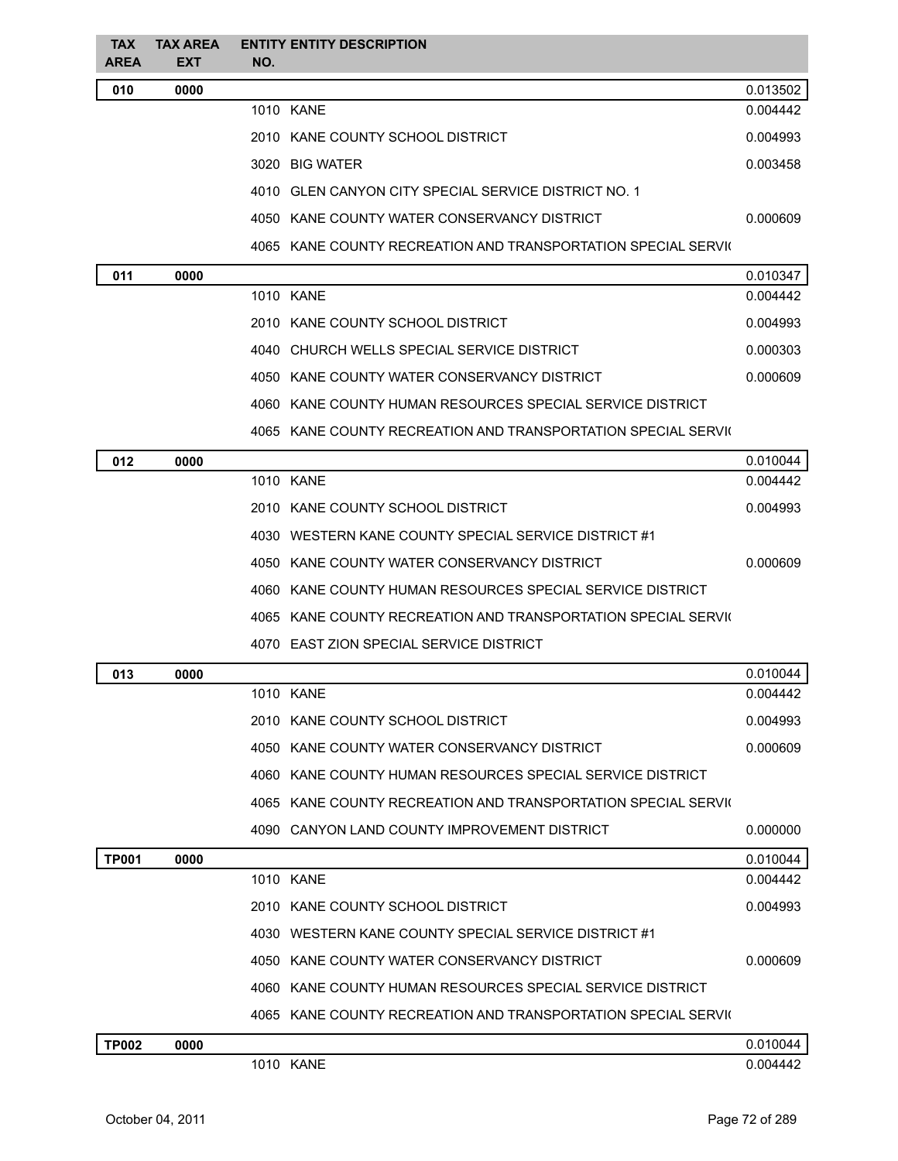| <b>TAX</b><br><b>AREA</b> | <b>TAX AREA</b><br><b>EXT</b> | NO. | <b>ENTITY ENTITY DESCRIPTION</b>                              |          |
|---------------------------|-------------------------------|-----|---------------------------------------------------------------|----------|
| 010                       | 0000                          |     |                                                               | 0.013502 |
|                           |                               |     | 1010 KANE                                                     | 0.004442 |
|                           |                               |     | 2010 KANE COUNTY SCHOOL DISTRICT                              | 0.004993 |
|                           |                               |     | 3020 BIG WATER                                                | 0.003458 |
|                           |                               |     | 4010 GLEN CANYON CITY SPECIAL SERVICE DISTRICT NO. 1          |          |
|                           |                               |     | 4050 KANE COUNTY WATER CONSERVANCY DISTRICT                   | 0.000609 |
|                           |                               |     | 4065 KANE COUNTY RECREATION AND TRANSPORTATION SPECIAL SERVIO |          |
| 011                       | 0000                          |     |                                                               | 0.010347 |
|                           |                               |     | 1010 KANE                                                     | 0.004442 |
|                           |                               |     | 2010 KANE COUNTY SCHOOL DISTRICT                              | 0.004993 |
|                           |                               |     | 4040 CHURCH WELLS SPECIAL SERVICE DISTRICT                    | 0.000303 |
|                           |                               |     | 4050 KANE COUNTY WATER CONSERVANCY DISTRICT                   | 0.000609 |
|                           |                               |     | 4060 KANE COUNTY HUMAN RESOURCES SPECIAL SERVICE DISTRICT     |          |
|                           |                               |     | 4065 KANE COUNTY RECREATION AND TRANSPORTATION SPECIAL SERVIC |          |
| 012                       | 0000                          |     |                                                               | 0.010044 |
|                           |                               |     | 1010 KANE                                                     | 0.004442 |
|                           |                               |     | 2010 KANE COUNTY SCHOOL DISTRICT                              | 0.004993 |
|                           |                               |     | 4030 WESTERN KANE COUNTY SPECIAL SERVICE DISTRICT #1          |          |
|                           |                               |     | 4050 KANE COUNTY WATER CONSERVANCY DISTRICT                   | 0.000609 |
|                           |                               |     | 4060 KANE COUNTY HUMAN RESOURCES SPECIAL SERVICE DISTRICT     |          |
|                           |                               |     | 4065 KANE COUNTY RECREATION AND TRANSPORTATION SPECIAL SERVIC |          |
|                           |                               |     | 4070 EAST ZION SPECIAL SERVICE DISTRICT                       |          |
| 013                       | 0000                          |     |                                                               | 0.010044 |
|                           |                               |     | 1010 KANE                                                     | 0.004442 |
|                           |                               |     | 2010 KANE COUNTY SCHOOL DISTRICT                              | 0.004993 |
|                           |                               |     | 4050 KANE COUNTY WATER CONSERVANCY DISTRICT                   | 0.000609 |
|                           |                               |     | 4060 KANE COUNTY HUMAN RESOURCES SPECIAL SERVICE DISTRICT     |          |
|                           |                               |     | 4065 KANE COUNTY RECREATION AND TRANSPORTATION SPECIAL SERVIO |          |
|                           |                               |     | 4090 CANYON LAND COUNTY IMPROVEMENT DISTRICT                  | 0.000000 |
| <b>TP001</b>              | 0000                          |     |                                                               | 0.010044 |
|                           |                               |     | 1010 KANE                                                     | 0.004442 |
|                           |                               |     | 2010 KANE COUNTY SCHOOL DISTRICT                              | 0.004993 |
|                           |                               |     | 4030 WESTERN KANE COUNTY SPECIAL SERVICE DISTRICT #1          |          |
|                           |                               |     | 4050 KANE COUNTY WATER CONSERVANCY DISTRICT                   | 0.000609 |
|                           |                               |     | 4060 KANE COUNTY HUMAN RESOURCES SPECIAL SERVICE DISTRICT     |          |
|                           |                               |     | 4065 KANE COUNTY RECREATION AND TRANSPORTATION SPECIAL SERVIO |          |
| <b>TP002</b>              | 0000                          |     |                                                               | 0.010044 |
|                           |                               |     | 1010 KANE                                                     | 0.004442 |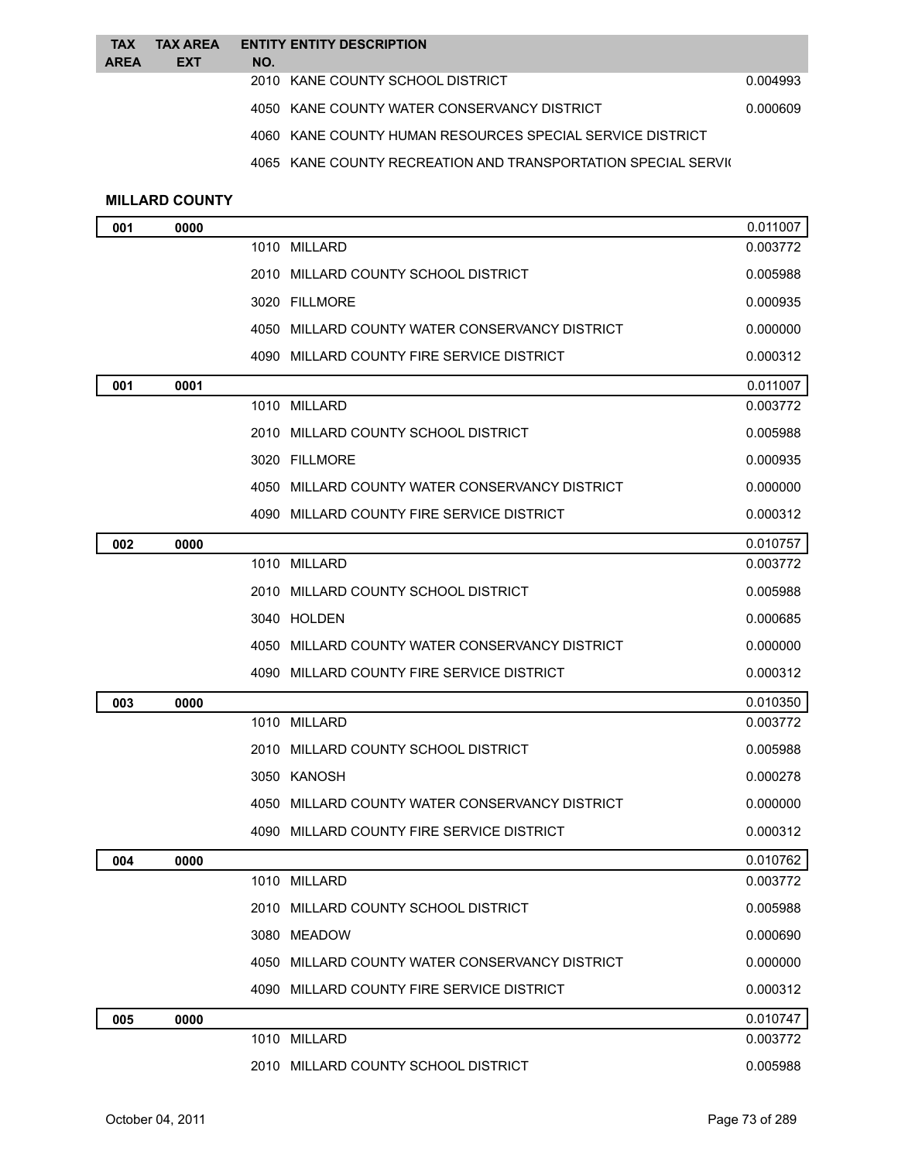| <b>TAX</b><br><b>AREA</b> | <b>TAX AREA</b><br><b>EXT</b> | <b>ENTITY ENTITY DESCRIPTION</b><br>NO.                   |          |
|---------------------------|-------------------------------|-----------------------------------------------------------|----------|
|                           |                               | 2010 KANE COUNTY SCHOOL DISTRICT                          | 0.004993 |
|                           |                               | 4050 KANE COUNTY WATER CONSERVANCY DISTRICT               | 0.000609 |
|                           |                               | 4060 KANE COUNTY HUMAN RESOURCES SPECIAL SERVICE DISTRICT |          |

4065 KANE COUNTY RECREATION AND TRANSPORTATION SPECIAL SERVIC

## **MILLARD COUNTY**

| 001 | 0000 |                                                | 0.011007 |
|-----|------|------------------------------------------------|----------|
|     |      | 1010 MILLARD                                   | 0.003772 |
|     |      | 2010 MILLARD COUNTY SCHOOL DISTRICT            | 0.005988 |
|     |      | 3020 FILLMORE                                  | 0.000935 |
|     |      | 4050 MILLARD COUNTY WATER CONSERVANCY DISTRICT | 0.000000 |
|     |      | 4090 MILLARD COUNTY FIRE SERVICE DISTRICT      | 0.000312 |
| 001 | 0001 |                                                | 0.011007 |
|     |      | 1010 MILLARD                                   | 0.003772 |
|     |      | 2010 MILLARD COUNTY SCHOOL DISTRICT            | 0.005988 |
|     |      | 3020 FILLMORE                                  | 0.000935 |
|     |      | 4050 MILLARD COUNTY WATER CONSERVANCY DISTRICT | 0.000000 |
|     |      | 4090 MILLARD COUNTY FIRE SERVICE DISTRICT      | 0.000312 |
| 002 | 0000 |                                                | 0.010757 |
|     |      | 1010 MILLARD                                   | 0.003772 |
|     |      | 2010 MILLARD COUNTY SCHOOL DISTRICT            | 0.005988 |
|     |      | 3040 HOLDEN                                    | 0.000685 |
|     |      | 4050 MILLARD COUNTY WATER CONSERVANCY DISTRICT | 0.000000 |
|     |      | 4090 MILLARD COUNTY FIRE SERVICE DISTRICT      | 0.000312 |
| 003 | 0000 |                                                | 0.010350 |
|     |      | 1010 MILLARD                                   | 0.003772 |
|     |      | 2010 MILLARD COUNTY SCHOOL DISTRICT            | 0.005988 |
|     |      | 3050 KANOSH                                    | 0.000278 |
|     |      | 4050 MILLARD COUNTY WATER CONSERVANCY DISTRICT | 0.000000 |
|     |      | 4090 MILLARD COUNTY FIRE SERVICE DISTRICT      | 0.000312 |
| 004 | 0000 |                                                | 0.010762 |
|     |      | 1010 MILLARD                                   | 0.003772 |
|     |      | 2010 MILLARD COUNTY SCHOOL DISTRICT            | 0.005988 |
|     |      | 3080 MEADOW                                    | 0.000690 |
|     |      | 4050 MILLARD COUNTY WATER CONSERVANCY DISTRICT | 0.000000 |
|     |      | 4090 MILLARD COUNTY FIRE SERVICE DISTRICT      | 0.000312 |
| 005 | 0000 |                                                | 0.010747 |
|     |      | 1010 MILLARD                                   | 0.003772 |
|     |      | 2010 MILLARD COUNTY SCHOOL DISTRICT            | 0.005988 |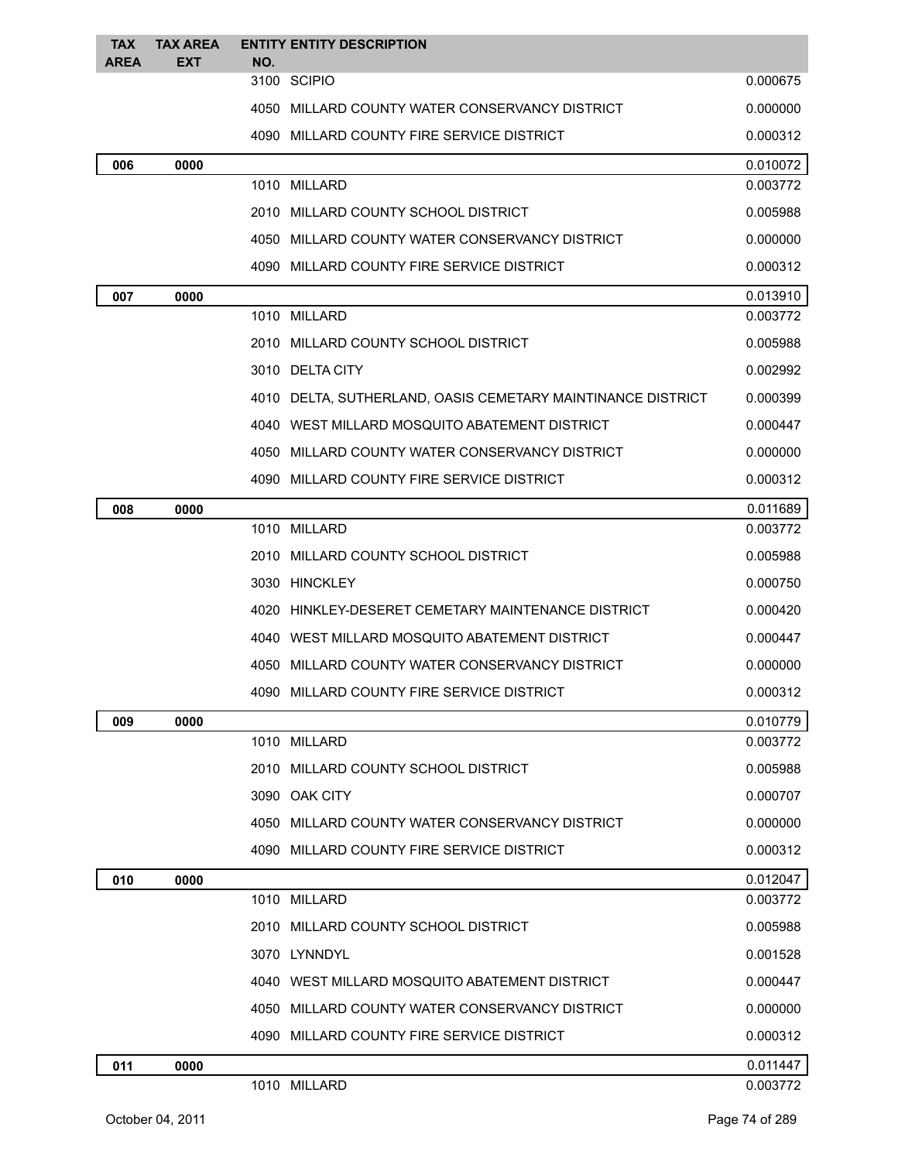| <b>TAX</b>  | <b>TAX AREA</b> | <b>ENTITY ENTITY DESCRIPTION</b>                            |          |
|-------------|-----------------|-------------------------------------------------------------|----------|
| <b>AREA</b> | <b>EXT</b>      | NO.                                                         |          |
|             |                 | 3100 SCIPIO                                                 | 0.000675 |
|             |                 | 4050 MILLARD COUNTY WATER CONSERVANCY DISTRICT              | 0.000000 |
|             |                 | 4090 MILLARD COUNTY FIRE SERVICE DISTRICT                   | 0.000312 |
| 006         | 0000            |                                                             | 0.010072 |
|             |                 | 1010 MILLARD                                                | 0.003772 |
|             |                 | 2010 MILLARD COUNTY SCHOOL DISTRICT                         | 0.005988 |
|             |                 | 4050 MILLARD COUNTY WATER CONSERVANCY DISTRICT              | 0.000000 |
|             |                 | 4090 MILLARD COUNTY FIRE SERVICE DISTRICT                   | 0.000312 |
| 007         | 0000            |                                                             | 0.013910 |
|             |                 | 1010 MILLARD                                                | 0.003772 |
|             |                 | 2010 MILLARD COUNTY SCHOOL DISTRICT                         | 0.005988 |
|             |                 | 3010 DELTA CITY                                             | 0.002992 |
|             |                 | 4010 DELTA, SUTHERLAND, OASIS CEMETARY MAINTINANCE DISTRICT | 0.000399 |
|             |                 | 4040 WEST MILLARD MOSQUITO ABATEMENT DISTRICT               | 0.000447 |
|             |                 | 4050 MILLARD COUNTY WATER CONSERVANCY DISTRICT              | 0.000000 |
|             |                 | 4090 MILLARD COUNTY FIRE SERVICE DISTRICT                   | 0.000312 |
| 008         | 0000            |                                                             | 0.011689 |
|             |                 | 1010 MILLARD                                                | 0.003772 |
|             |                 | 2010 MILLARD COUNTY SCHOOL DISTRICT                         | 0.005988 |
|             |                 | 3030 HINCKLEY                                               | 0.000750 |
|             |                 | 4020 HINKLEY-DESERET CEMETARY MAINTENANCE DISTRICT          | 0.000420 |
|             |                 | 4040 WEST MILLARD MOSQUITO ABATEMENT DISTRICT               | 0.000447 |
|             |                 | 4050 MILLARD COUNTY WATER CONSERVANCY DISTRICT              | 0.000000 |
|             |                 | 4090 MILLARD COUNTY FIRE SERVICE DISTRICT                   | 0.000312 |
| 009         | 0000            |                                                             | 0.010779 |
|             |                 | 1010 MILLARD                                                | 0.003772 |
|             |                 | 2010 MILLARD COUNTY SCHOOL DISTRICT                         | 0.005988 |
|             |                 | 3090 OAK CITY                                               | 0.000707 |
|             |                 | 4050 MILLARD COUNTY WATER CONSERVANCY DISTRICT              | 0.000000 |
|             |                 | 4090 MILLARD COUNTY FIRE SERVICE DISTRICT                   | 0.000312 |
| 010         | 0000            |                                                             | 0.012047 |
|             |                 | 1010 MILLARD                                                | 0.003772 |
|             |                 | 2010 MILLARD COUNTY SCHOOL DISTRICT                         | 0.005988 |
|             |                 | 3070 LYNNDYL                                                | 0.001528 |
|             |                 | 4040 WEST MILLARD MOSQUITO ABATEMENT DISTRICT               | 0.000447 |
|             |                 | 4050 MILLARD COUNTY WATER CONSERVANCY DISTRICT              | 0.000000 |
|             |                 | 4090 MILLARD COUNTY FIRE SERVICE DISTRICT                   | 0.000312 |
| 011         | 0000            |                                                             | 0.011447 |
|             |                 | 1010 MILLARD                                                | 0.003772 |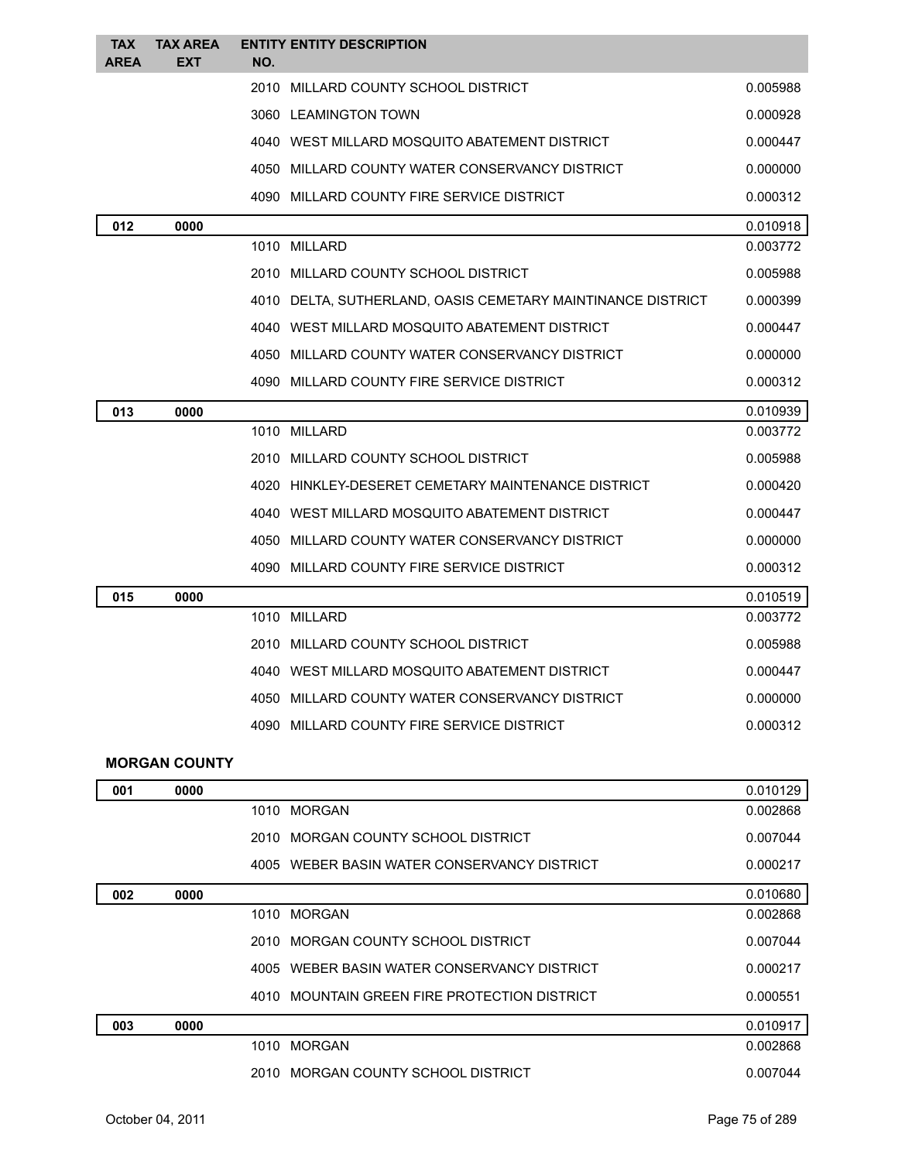| <b>TAX</b><br><b>AREA</b> | <b>TAX AREA</b><br><b>EXT</b> | NO.  | <b>ENTITY ENTITY DESCRIPTION</b>                       |          |
|---------------------------|-------------------------------|------|--------------------------------------------------------|----------|
|                           |                               |      | 2010 MILLARD COUNTY SCHOOL DISTRICT                    | 0.005988 |
|                           |                               |      | 3060 LEAMINGTON TOWN                                   | 0.000928 |
|                           |                               |      | 4040 WEST MILLARD MOSQUITO ABATEMENT DISTRICT          | 0.000447 |
|                           |                               |      | 4050 MILLARD COUNTY WATER CONSERVANCY DISTRICT         | 0.000000 |
|                           |                               |      | 4090 MILLARD COUNTY FIRE SERVICE DISTRICT              | 0.000312 |
| 012                       | 0000                          |      |                                                        | 0.010918 |
|                           |                               |      | 1010 MILLARD                                           | 0.003772 |
|                           |                               |      | 2010 MILLARD COUNTY SCHOOL DISTRICT                    | 0.005988 |
|                           |                               | 4010 | DELTA, SUTHERLAND, OASIS CEMETARY MAINTINANCE DISTRICT | 0.000399 |
|                           |                               |      | 4040 WEST MILLARD MOSQUITO ABATEMENT DISTRICT          | 0.000447 |
|                           |                               |      | 4050 MILLARD COUNTY WATER CONSERVANCY DISTRICT         | 0.000000 |
|                           |                               |      | 4090 MILLARD COUNTY FIRE SERVICE DISTRICT              | 0.000312 |
| 013                       | 0000                          |      |                                                        | 0.010939 |
|                           |                               |      | 1010 MILLARD                                           | 0.003772 |
|                           |                               |      | 2010 MILLARD COUNTY SCHOOL DISTRICT                    | 0.005988 |
|                           |                               |      | 4020 HINKLEY-DESERET CEMETARY MAINTENANCE DISTRICT     | 0.000420 |
|                           |                               |      | 4040 WEST MILLARD MOSQUITO ABATEMENT DISTRICT          | 0.000447 |
|                           |                               |      | 4050 MILLARD COUNTY WATER CONSERVANCY DISTRICT         | 0.000000 |
|                           |                               |      | 4090 MILLARD COUNTY FIRE SERVICE DISTRICT              | 0.000312 |
| 015                       | 0000                          |      |                                                        | 0.010519 |
|                           |                               |      | 1010 MILLARD                                           | 0.003772 |
|                           |                               |      | 2010 MILLARD COUNTY SCHOOL DISTRICT                    | 0.005988 |
|                           |                               |      | 4040 WEST MILLARD MOSQUITO ABATEMENT DISTRICT          | 0.000447 |
|                           |                               |      | 4050 MILLARD COUNTY WATER CONSERVANCY DISTRICT         | 0.000000 |
|                           |                               |      | 4090 MILLARD COUNTY FIRE SERVICE DISTRICT              | 0.000312 |
|                           | <b>MORGAN COUNTY</b>          |      |                                                        |          |
| 001                       | 0000                          |      |                                                        | 0.010129 |
|                           |                               |      | 1010 MORGAN                                            | 0.002868 |
|                           |                               |      | 2010 MORGAN COUNTY SCHOOL DISTRICT                     | 0.007044 |
|                           |                               |      | 4005 WEBER BASIN WATER CONSERVANCY DISTRICT            | 0.000217 |
| 002                       | 0000                          |      |                                                        | 0.010680 |
|                           |                               |      | 1010 MORGAN                                            | 0.002868 |

|     |      | 2010 MORGAN COUNTY SCHOOL DISTRICT           | 0.007044 |
|-----|------|----------------------------------------------|----------|
|     |      | 4005 WEBER BASIN WATER CONSERVANCY DISTRICT  | 0.000217 |
|     |      | 4010 MOUNTAIN GREEN FIRE PROTECTION DISTRICT | 0.000551 |
| 003 | 0000 |                                              | 0.010917 |
|     |      | 1010 MORGAN                                  | 0.002868 |
|     |      | 2010 MORGAN COUNTY SCHOOL DISTRICT           | 0.007044 |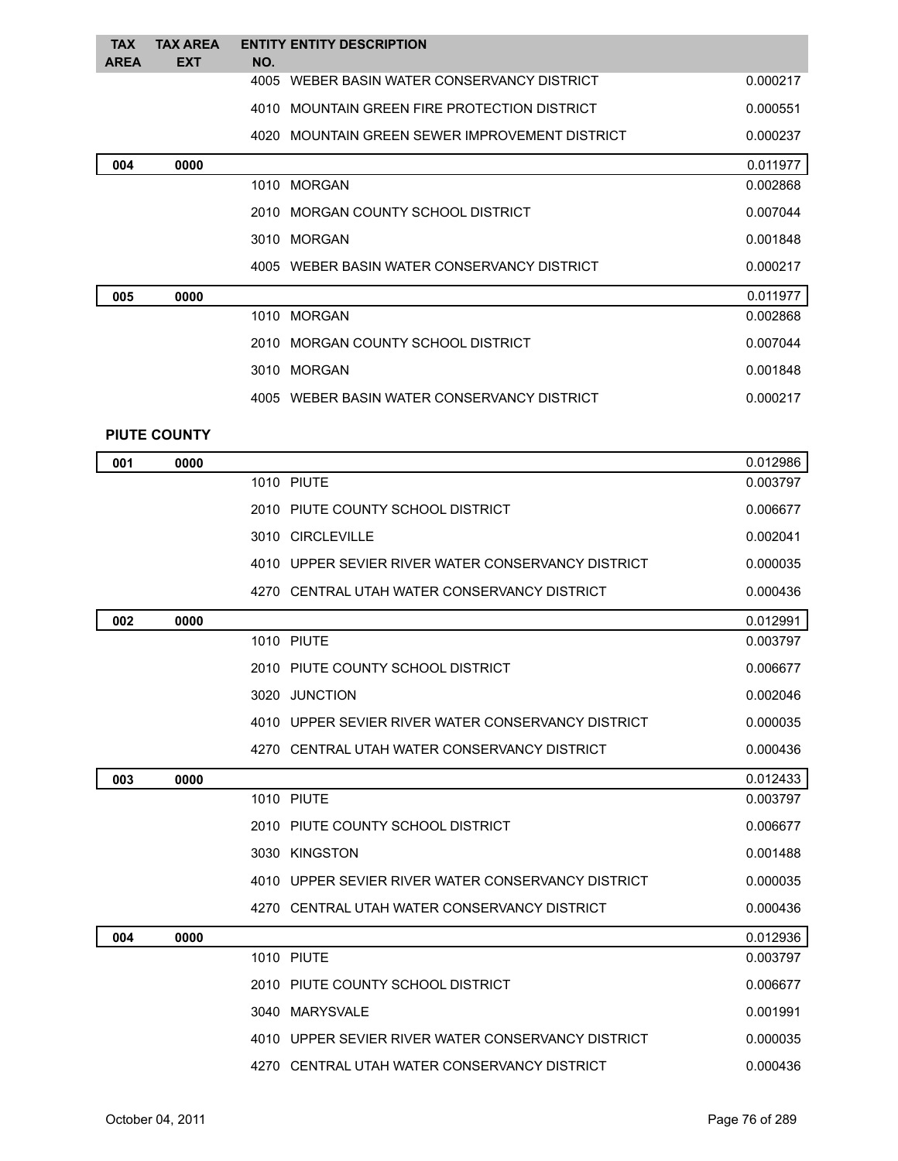| <b>TAX</b><br><b>AREA</b> | <b>TAX AREA</b><br><b>EXT</b> | <b>ENTITY ENTITY DESCRIPTION</b><br>NO.        |          |
|---------------------------|-------------------------------|------------------------------------------------|----------|
|                           |                               | 4005 WEBER BASIN WATER CONSERVANCY DISTRICT    | 0.000217 |
|                           |                               | 4010 MOUNTAIN GREEN FIRE PROTECTION DISTRICT   | 0.000551 |
|                           |                               | 4020 MOUNTAIN GREEN SEWER IMPROVEMENT DISTRICT | 0.000237 |
| 004                       | 0000                          |                                                | 0.011977 |
|                           |                               | 1010 MORGAN                                    | 0.002868 |
|                           |                               | 2010 MORGAN COUNTY SCHOOL DISTRICT             | 0.007044 |
|                           |                               | 3010 MORGAN                                    | 0.001848 |
|                           |                               | 4005 WEBER BASIN WATER CONSERVANCY DISTRICT    | 0.000217 |
| 005                       | 0000                          |                                                | 0.011977 |
|                           |                               | 1010 MORGAN                                    | 0.002868 |
|                           |                               | 2010 MORGAN COUNTY SCHOOL DISTRICT             | 0.007044 |
|                           |                               | 3010 MORGAN                                    | 0.001848 |
|                           |                               | 4005 WEBER BASIN WATER CONSERVANCY DISTRICT    | 0.000217 |
|                           | <b>PIUTE COUNTY</b>           |                                                |          |
| 001                       | nnnn                          |                                                | 0.012986 |

| 001 | 0000 |                                                    | 0.012986 |
|-----|------|----------------------------------------------------|----------|
|     |      | <b>1010 PIUTE</b>                                  | 0.003797 |
|     |      | 2010 PIUTE COUNTY SCHOOL DISTRICT                  | 0.006677 |
|     |      | 3010 CIRCLEVILLE                                   | 0.002041 |
|     |      | 4010 UPPER SEVIER RIVER WATER CONSERVANCY DISTRICT | 0.000035 |
|     |      | 4270 CENTRAL UTAH WATER CONSERVANCY DISTRICT       | 0.000436 |
| 002 | 0000 |                                                    | 0.012991 |
|     |      | <b>1010 PIUTE</b>                                  | 0.003797 |
|     |      | 2010 PIUTE COUNTY SCHOOL DISTRICT                  | 0.006677 |
|     |      | 3020 JUNCTION                                      | 0.002046 |
|     |      | 4010 UPPER SEVIER RIVER WATER CONSERVANCY DISTRICT | 0.000035 |
|     |      | 4270 CENTRAL UTAH WATER CONSERVANCY DISTRICT       | 0.000436 |
| 003 | 0000 |                                                    | 0.012433 |
|     |      | <b>1010 PIUTE</b>                                  | 0.003797 |
|     |      | 2010 PIUTE COUNTY SCHOOL DISTRICT                  | 0.006677 |
|     |      | 3030 KINGSTON                                      | 0.001488 |
|     |      | 4010 UPPER SEVIER RIVER WATER CONSERVANCY DISTRICT | 0.000035 |
|     |      | 4270 CENTRAL UTAH WATER CONSERVANCY DISTRICT       | 0.000436 |
| 004 | 0000 |                                                    | 0.012936 |
|     |      | <b>1010 PIUTE</b>                                  | 0.003797 |
|     |      | 2010 PIUTE COUNTY SCHOOL DISTRICT                  | 0.006677 |
|     |      | 3040 MARYSVALE                                     | 0.001991 |
|     |      | 4010 UPPER SEVIER RIVER WATER CONSERVANCY DISTRICT | 0.000035 |
|     |      | 4270 CENTRAL UTAH WATER CONSERVANCY DISTRICT       | 0.000436 |
|     |      |                                                    |          |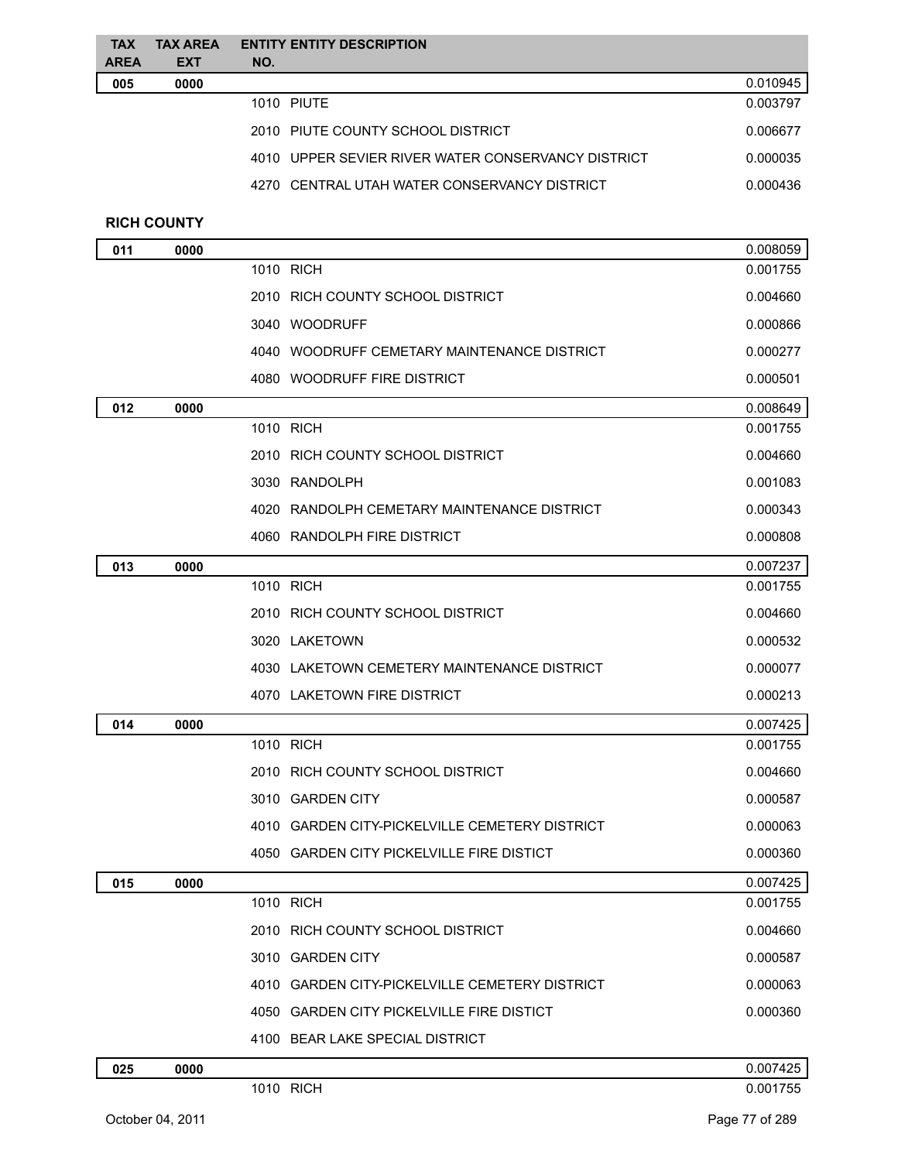| <b>TAX</b><br><b>AREA</b> | <b>TAX AREA</b><br><b>EXT</b> | <b>ENTITY ENTITY DESCRIPTION</b><br>NO.            |          |
|---------------------------|-------------------------------|----------------------------------------------------|----------|
| 005                       | 0000                          |                                                    | 0.010945 |
|                           |                               | 1010 PIUTE                                         | 0.003797 |
|                           |                               | 2010 PIUTE COUNTY SCHOOL DISTRICT                  | 0.006677 |
|                           |                               | 4010 UPPER SEVIER RIVER WATER CONSERVANCY DISTRICT | 0.000035 |
|                           |                               | 4270 CENTRAL UTAH WATER CONSERVANCY DISTRICT       | 0.000436 |
|                           | <b>RICH COUNTY</b>            |                                                    |          |
| 011                       | 0000                          |                                                    | 0.008059 |
|                           |                               | 1010 RICH                                          | 0.001755 |
|                           |                               | 2010 RICH COUNTY SCHOOL DISTRICT                   | 0.004660 |
|                           |                               | 3040 WOODRUFF                                      | 0.000866 |
|                           |                               | 4040 WOODRUFF CEMETARY MAINTENANCE DISTRICT        | 0.000277 |
|                           |                               | 4080 WOODRUFF FIRE DISTRICT                        | 0.000501 |
| 012                       | 0000                          |                                                    | 0.008649 |
|                           |                               | 1010 RICH                                          | 0.001755 |
|                           |                               | 2010 RICH COUNTY SCHOOL DISTRICT                   | 0.004660 |
|                           |                               | 3030 RANDOLPH                                      | 0.001083 |
|                           |                               | 4020 RANDOLPH CEMETARY MAINTENANCE DISTRICT        | 0.000343 |
|                           |                               | 4060 RANDOLPH FIRE DISTRICT                        | 0.000808 |
| 013                       | 0000                          |                                                    | 0.007237 |
|                           |                               | 1010 RICH                                          | 0.001755 |
|                           |                               | 2010 RICH COUNTY SCHOOL DISTRICT                   | 0.004660 |
|                           |                               | 3020 LAKETOWN                                      | 0.000532 |
|                           |                               | 4030 LAKETOWN CEMETERY MAINTENANCE DISTRICT        | 0.000077 |
|                           |                               | 4070 LAKETOWN FIRE DISTRICT                        | 0.000213 |
| 014                       | 0000                          |                                                    | 0.007425 |
|                           |                               | 1010 RICH                                          | 0.001755 |
|                           |                               | 2010 RICH COUNTY SCHOOL DISTRICT                   | 0.004660 |
|                           |                               | 3010 GARDEN CITY                                   | 0.000587 |
|                           |                               | 4010 GARDEN CITY-PICKELVILLE CEMETERY DISTRICT     | 0.000063 |
|                           |                               | 4050 GARDEN CITY PICKELVILLE FIRE DISTICT          | 0.000360 |
| 015                       | 0000                          |                                                    | 0.007425 |
|                           |                               | 1010 RICH                                          | 0.001755 |
|                           |                               | 2010 RICH COUNTY SCHOOL DISTRICT                   | 0.004660 |
|                           |                               | 3010 GARDEN CITY                                   | 0.000587 |
|                           |                               | 4010 GARDEN CITY-PICKELVILLE CEMETERY DISTRICT     | 0.000063 |
|                           |                               | 4050 GARDEN CITY PICKELVILLE FIRE DISTICT          | 0.000360 |
|                           |                               | 4100 BEAR LAKE SPECIAL DISTRICT                    |          |
| 025                       | 0000                          |                                                    | 0.007425 |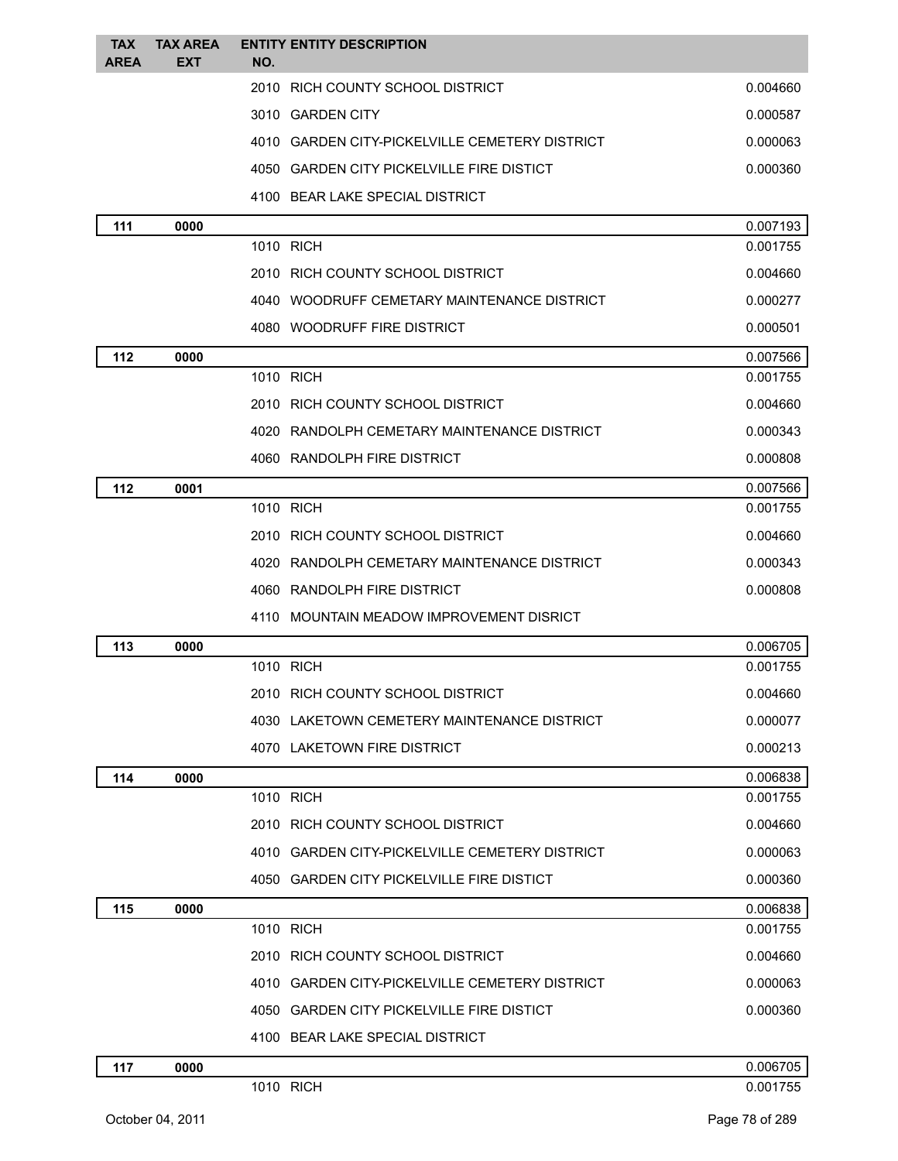| <b>TAX</b><br><b>AREA</b> | <b>TAX AREA</b><br><b>EXT</b> | <b>ENTITY ENTITY DESCRIPTION</b><br>NO.                                      |                      |
|---------------------------|-------------------------------|------------------------------------------------------------------------------|----------------------|
|                           |                               | 2010 RICH COUNTY SCHOOL DISTRICT                                             | 0.004660             |
|                           |                               | 3010 GARDEN CITY                                                             | 0.000587             |
|                           |                               | 4010 GARDEN CITY-PICKELVILLE CEMETERY DISTRICT                               | 0.000063             |
|                           |                               | 4050 GARDEN CITY PICKELVILLE FIRE DISTICT                                    | 0.000360             |
|                           |                               | 4100 BEAR LAKE SPECIAL DISTRICT                                              |                      |
| 111                       | 0000                          |                                                                              | 0.007193             |
|                           |                               | 1010 RICH                                                                    | 0.001755             |
|                           |                               | 2010 RICH COUNTY SCHOOL DISTRICT                                             | 0.004660             |
|                           |                               | 4040 WOODRUFF CEMETARY MAINTENANCE DISTRICT                                  | 0.000277             |
|                           |                               | 4080 WOODRUFF FIRE DISTRICT                                                  | 0.000501             |
| 112                       | 0000                          |                                                                              | 0.007566             |
|                           |                               | 1010 RICH                                                                    | 0.001755             |
|                           |                               | 2010 RICH COUNTY SCHOOL DISTRICT                                             | 0.004660             |
|                           |                               | 4020 RANDOLPH CEMETARY MAINTENANCE DISTRICT                                  | 0.000343             |
|                           |                               | 4060 RANDOLPH FIRE DISTRICT                                                  | 0.000808             |
| 112                       | 0001                          |                                                                              | 0.007566             |
|                           |                               | 1010 RICH                                                                    | 0.001755             |
|                           |                               | 2010 RICH COUNTY SCHOOL DISTRICT                                             | 0.004660             |
|                           |                               | 4020 RANDOLPH CEMETARY MAINTENANCE DISTRICT                                  | 0.000343             |
|                           |                               | 4060 RANDOLPH FIRE DISTRICT                                                  | 0.000808             |
|                           |                               | 4110 MOUNTAIN MEADOW IMPROVEMENT DISRICT                                     |                      |
| 113                       | 0000                          |                                                                              | 0.006705             |
|                           |                               | 1010 RICH                                                                    | 0.001755             |
|                           |                               | 2010 RICH COUNTY SCHOOL DISTRICT                                             | 0.004660             |
|                           |                               | 4030 LAKETOWN CEMETERY MAINTENANCE DISTRICT                                  | 0.000077             |
|                           |                               | 4070 LAKETOWN FIRE DISTRICT                                                  | 0.000213             |
| 114                       | 0000                          |                                                                              | 0.006838             |
|                           |                               | 1010 RICH                                                                    | 0.001755             |
|                           |                               | 2010 RICH COUNTY SCHOOL DISTRICT                                             | 0.004660             |
|                           |                               | 4010 GARDEN CITY-PICKELVILLE CEMETERY DISTRICT                               | 0.000063             |
|                           |                               | 4050 GARDEN CITY PICKELVILLE FIRE DISTICT                                    | 0.000360             |
| 115                       | 0000                          | 1010 RICH                                                                    | 0.006838<br>0.001755 |
|                           |                               | 2010 RICH COUNTY SCHOOL DISTRICT                                             | 0.004660             |
|                           |                               | 4010 GARDEN CITY-PICKELVILLE CEMETERY DISTRICT                               | 0.000063             |
|                           |                               |                                                                              |                      |
|                           |                               | 4050 GARDEN CITY PICKELVILLE FIRE DISTICT<br>4100 BEAR LAKE SPECIAL DISTRICT | 0.000360             |
|                           |                               |                                                                              |                      |
| 117                       | 0000                          | 1010 RICH                                                                    | 0.006705<br>0.001755 |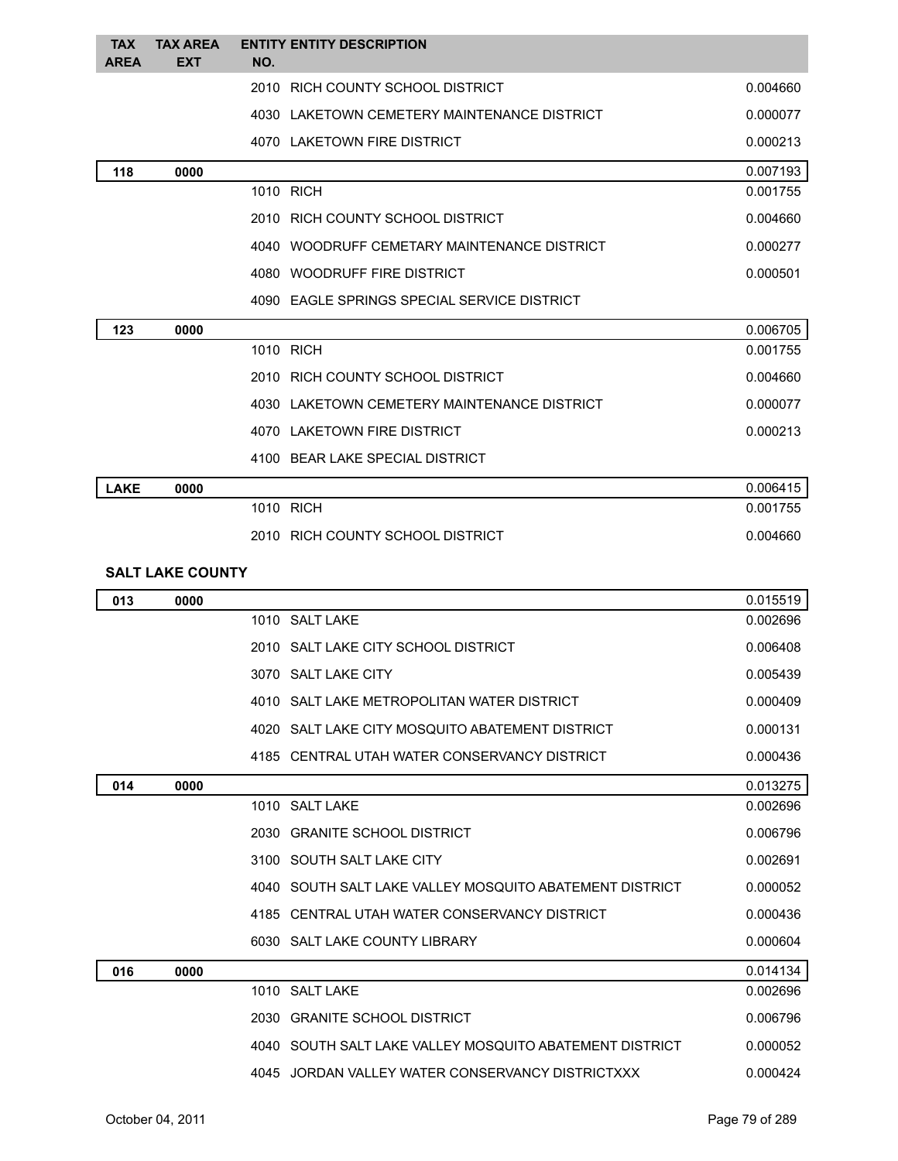| <b>TAX</b><br><b>AREA</b> | <b>TAX AREA</b><br><b>EXT</b> | NO.  | <b>ENTITY ENTITY DESCRIPTION</b>                |          |
|---------------------------|-------------------------------|------|-------------------------------------------------|----------|
|                           |                               |      | 2010 RICH COUNTY SCHOOL DISTRICT                | 0.004660 |
|                           |                               |      | 4030 LAKETOWN CEMETERY MAINTENANCE DISTRICT     | 0.000077 |
|                           |                               |      | 4070 LAKETOWN FIRE DISTRICT                     | 0.000213 |
| 118                       | 0000                          |      |                                                 | 0.007193 |
|                           |                               |      | 1010 RICH                                       | 0.001755 |
|                           |                               |      | 2010 RICH COUNTY SCHOOL DISTRICT                | 0.004660 |
|                           |                               |      | 4040 WOODRUFF CEMETARY MAINTENANCE DISTRICT     | 0.000277 |
|                           |                               |      | 4080 WOODRUFF FIRE DISTRICT                     | 0.000501 |
|                           |                               |      | 4090 EAGLE SPRINGS SPECIAL SERVICE DISTRICT     |          |
| 123                       | 0000                          |      |                                                 | 0.006705 |
|                           |                               |      | 1010 RICH                                       | 0.001755 |
|                           |                               |      | 2010 RICH COUNTY SCHOOL DISTRICT                | 0.004660 |
|                           |                               |      | 4030 LAKETOWN CEMETERY MAINTENANCE DISTRICT     | 0.000077 |
|                           |                               |      | 4070 LAKETOWN FIRE DISTRICT                     | 0.000213 |
|                           |                               |      | 4100 BEAR LAKE SPECIAL DISTRICT                 |          |
| <b>LAKE</b>               | 0000                          |      |                                                 | 0.006415 |
|                           |                               |      | 1010 RICH                                       | 0.001755 |
|                           |                               |      | 2010 RICH COUNTY SCHOOL DISTRICT                | 0.004660 |
|                           | <b>SALT LAKE COUNTY</b>       |      |                                                 |          |
| 013                       | 0000                          |      |                                                 | 0.015519 |
|                           |                               |      | 1010 SALT LAKE                                  | 0.002696 |
|                           |                               |      | 2010 SALT LAKE CITY SCHOOL DISTRICT             | 0.006408 |
|                           |                               |      | 3070 SALT LAKE CITY                             | 0.005439 |
|                           |                               |      | 4010 SALT LAKE METROPOLITAN WATER DISTRICT      | 0.000409 |
|                           |                               |      | 4020 SALT LAKE CITY MOSQUITO ABATEMENT DISTRICT | 0.000131 |
|                           |                               |      | 4185 CENTRAL UTAH WATER CONSERVANCY DISTRICT    | 0.000436 |
| 014                       | 0000                          |      |                                                 | 0.013275 |
|                           |                               | 1010 | 0.11T11V                                        | 0.00000  |

| 014 | 0000 |                                                         | 0.013275 |
|-----|------|---------------------------------------------------------|----------|
|     |      | 1010 SALT LAKE                                          | 0.002696 |
|     |      | 2030 GRANITE SCHOOL DISTRICT                            | 0.006796 |
|     |      | 3100 SOUTH SALT LAKE CITY                               | 0.002691 |
|     |      | 4040 SOUTH SALT LAKE VALLEY MOSQUITO ABATEMENT DISTRICT | 0.000052 |
|     |      | 4185 CENTRAL UTAH WATER CONSERVANCY DISTRICT            | 0.000436 |
|     |      | 6030 SALT LAKE COUNTY LIBRARY                           | 0.000604 |
| 016 | 0000 |                                                         | 0.014134 |
|     |      | 1010 SALT LAKE                                          | 0.002696 |
|     |      | 2030 GRANITE SCHOOL DISTRICT                            | 0.006796 |
|     |      | 4040 SOUTH SALT LAKE VALLEY MOSQUITO ABATEMENT DISTRICT | 0.000052 |
|     |      | 4045 JORDAN VALLEY WATER CONSERVANCY DISTRICTXXX        | 0.000424 |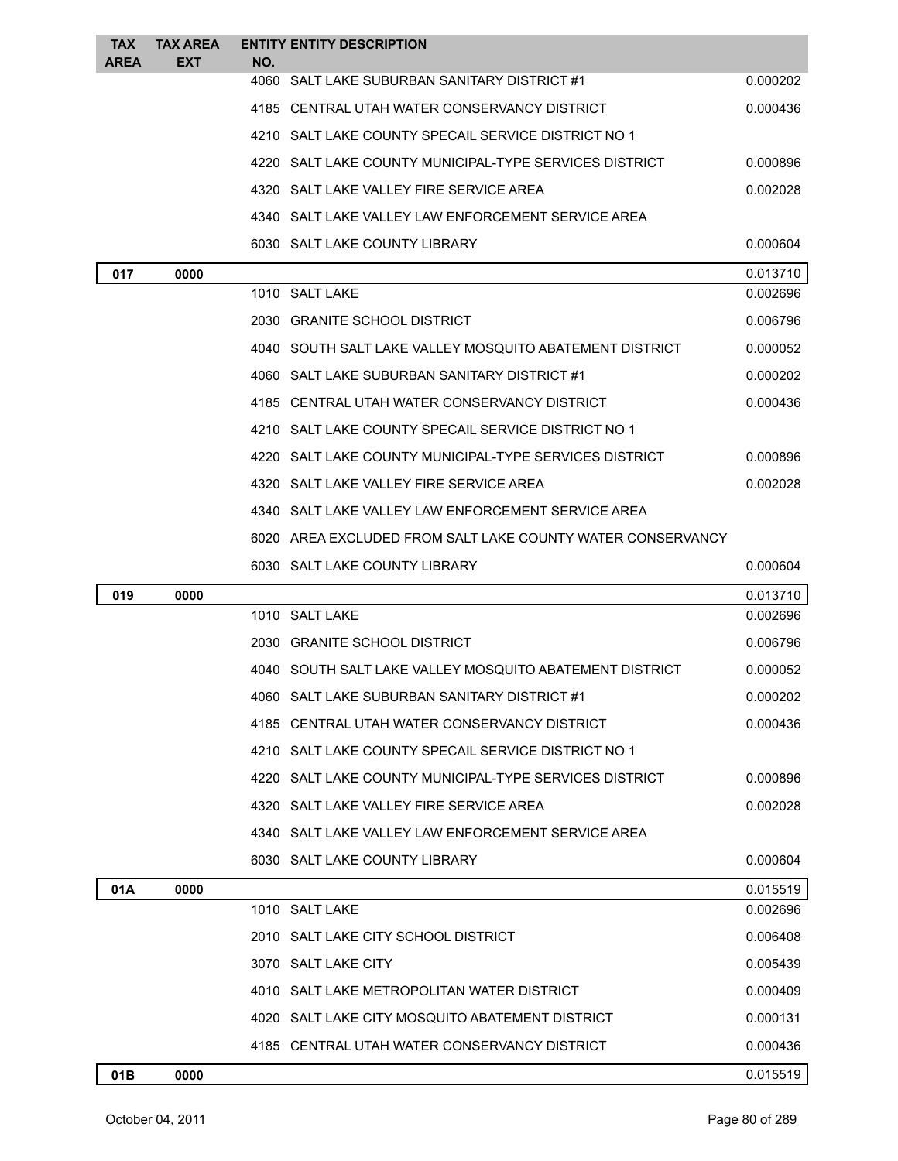| <b>TAX</b>  | <b>TAX AREA</b> |     | <b>ENTITY ENTITY DESCRIPTION</b>                                                             |                      |
|-------------|-----------------|-----|----------------------------------------------------------------------------------------------|----------------------|
| <b>AREA</b> | <b>EXT</b>      | NO. | 4060 SALT LAKE SUBURBAN SANITARY DISTRICT #1                                                 | 0.000202             |
|             |                 |     | 4185 CENTRAL UTAH WATER CONSERVANCY DISTRICT                                                 | 0.000436             |
|             |                 |     | 4210 SALT LAKE COUNTY SPECAIL SERVICE DISTRICT NO 1                                          |                      |
|             |                 |     | 4220 SALT LAKE COUNTY MUNICIPAL-TYPE SERVICES DISTRICT                                       | 0.000896             |
|             |                 |     | 4320 SALT LAKE VALLEY FIRE SERVICE AREA                                                      | 0.002028             |
|             |                 |     |                                                                                              |                      |
|             |                 |     | 4340 SALT LAKE VALLEY LAW ENFORCEMENT SERVICE AREA                                           |                      |
|             |                 |     | 6030 SALT LAKE COUNTY LIBRARY                                                                | 0.000604             |
| 017         | 0000            |     | 1010 SALT LAKE                                                                               | 0.013710<br>0.002696 |
|             |                 |     | 2030 GRANITE SCHOOL DISTRICT                                                                 | 0.006796             |
|             |                 |     | 4040 SOUTH SALT LAKE VALLEY MOSQUITO ABATEMENT DISTRICT                                      | 0.000052             |
|             |                 |     |                                                                                              |                      |
|             |                 |     | 4060 SALT LAKE SUBURBAN SANITARY DISTRICT #1<br>4185 CENTRAL UTAH WATER CONSERVANCY DISTRICT | 0.000202<br>0.000436 |
|             |                 |     |                                                                                              |                      |
|             |                 |     | 4210 SALT LAKE COUNTY SPECAIL SERVICE DISTRICT NO 1                                          |                      |
|             |                 |     | 4220   SALT LAKE COUNTY MUNICIPAL-TYPE SERVICES DISTRICT                                     | 0.000896             |
|             |                 |     | 4320 SALT LAKE VALLEY FIRE SERVICE AREA                                                      | 0.002028             |
|             |                 |     | 4340 SALT LAKE VALLEY LAW ENFORCEMENT SERVICE AREA                                           |                      |
|             |                 |     | 6020 AREA EXCLUDED FROM SALT LAKE COUNTY WATER CONSERVANCY                                   |                      |
|             |                 |     | 6030 SALT LAKE COUNTY LIBRARY                                                                | 0.000604             |
| 019         | 0000            |     |                                                                                              | 0.013710             |
|             |                 |     | 1010 SALT LAKE                                                                               | 0.002696             |
|             |                 |     | 2030 GRANITE SCHOOL DISTRICT                                                                 | 0.006796             |
|             |                 |     | 4040 SOUTH SALT LAKE VALLEY MOSQUITO ABATEMENT DISTRICT                                      | 0.000052             |
|             |                 |     |                                                                                              |                      |
|             |                 |     | 4060 SALT LAKE SUBURBAN SANITARY DISTRICT #1                                                 | 0.000202             |
|             |                 |     | 4185 CENTRAL UTAH WATER CONSERVANCY DISTRICT                                                 | 0.000436             |
|             |                 |     | 4210 SALT LAKE COUNTY SPECAIL SERVICE DISTRICT NO 1                                          |                      |
|             |                 |     | 4220 SALT LAKE COUNTY MUNICIPAL-TYPE SERVICES DISTRICT                                       | 0.000896             |
|             |                 |     | 4320 SALT LAKE VALLEY FIRE SERVICE AREA                                                      | 0.002028             |
|             |                 |     | 4340 SALT LAKE VALLEY LAW ENFORCEMENT SERVICE AREA                                           |                      |
|             |                 |     | 6030 SALT LAKE COUNTY LIBRARY                                                                | 0.000604             |
| 01A         | 0000            |     |                                                                                              | 0.015519             |
|             |                 |     | 1010 SALT LAKE                                                                               | 0.002696             |
|             |                 |     | 2010 SALT LAKE CITY SCHOOL DISTRICT                                                          | 0.006408             |
|             |                 |     | 3070 SALT LAKE CITY                                                                          | 0.005439             |
|             |                 |     | 4010 SALT LAKE METROPOLITAN WATER DISTRICT                                                   | 0.000409             |
|             |                 |     | 4020 SALT LAKE CITY MOSQUITO ABATEMENT DISTRICT                                              | 0.000131             |
|             |                 |     | 4185 CENTRAL UTAH WATER CONSERVANCY DISTRICT                                                 | 0.000436             |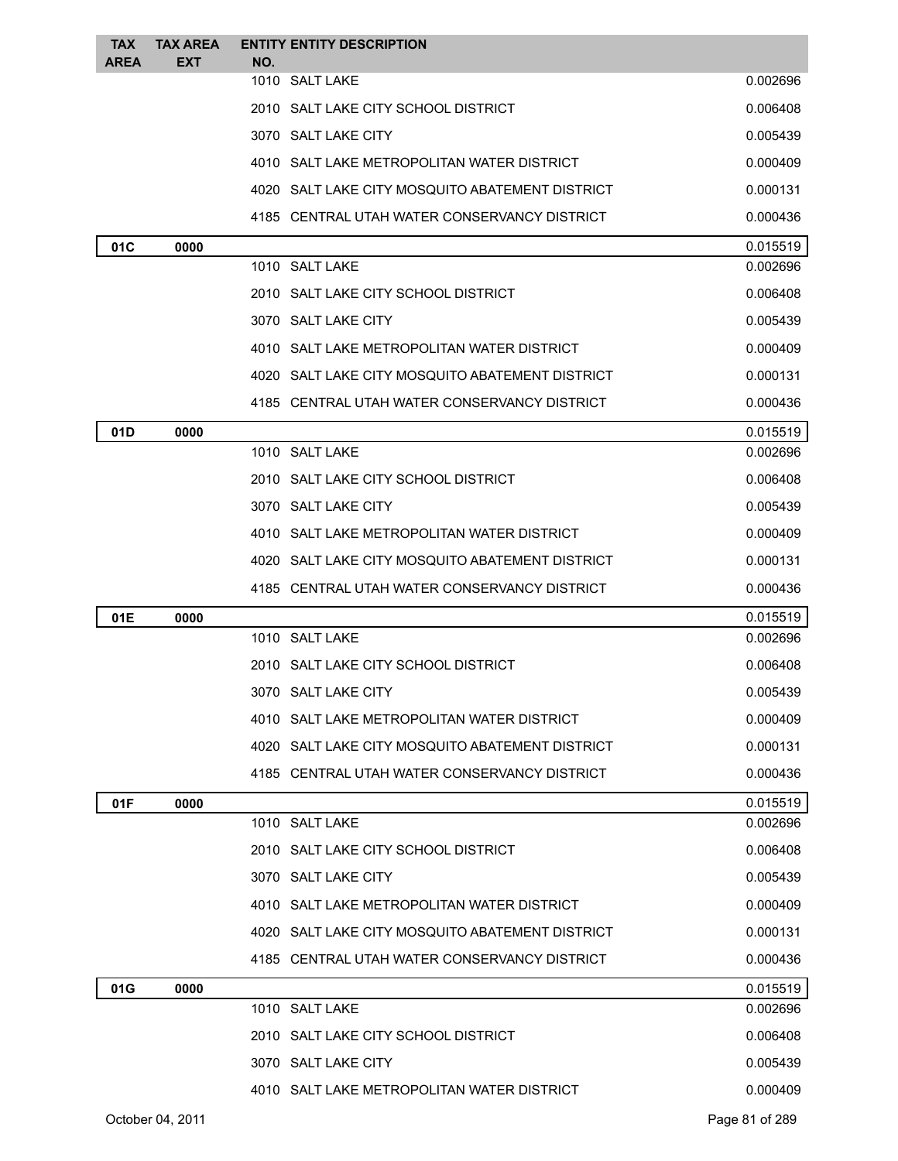| <b>TAX</b>  | <b>TAX AREA</b> |     | <b>ENTITY ENTITY DESCRIPTION</b>                |                      |
|-------------|-----------------|-----|-------------------------------------------------|----------------------|
| <b>AREA</b> | EXT             | NO. | 1010 SALT LAKE                                  | 0.002696             |
|             |                 |     | 2010 SALT LAKE CITY SCHOOL DISTRICT             | 0.006408             |
|             |                 |     | 3070 SALT LAKE CITY                             | 0.005439             |
|             |                 |     |                                                 |                      |
|             |                 |     | 4010 SALT LAKE METROPOLITAN WATER DISTRICT      | 0.000409             |
|             |                 |     | 4020 SALT LAKE CITY MOSQUITO ABATEMENT DISTRICT | 0.000131             |
|             |                 |     | 4185 CENTRAL UTAH WATER CONSERVANCY DISTRICT    | 0.000436             |
| 01C         | 0000            |     | 1010 SALT LAKE                                  | 0.015519<br>0.002696 |
|             |                 |     | 2010 SALT LAKE CITY SCHOOL DISTRICT             | 0.006408             |
|             |                 |     |                                                 |                      |
|             |                 |     | 3070 SALT LAKE CITY                             | 0.005439             |
|             |                 |     | 4010 SALT LAKE METROPOLITAN WATER DISTRICT      | 0.000409             |
|             |                 |     | 4020 SALT LAKE CITY MOSQUITO ABATEMENT DISTRICT | 0.000131             |
|             |                 |     | 4185 CENTRAL UTAH WATER CONSERVANCY DISTRICT    | 0.000436             |
| 01D         | 0000            |     |                                                 | 0.015519             |
|             |                 |     | 1010 SALT LAKE                                  | 0.002696             |
|             |                 |     | 2010 SALT LAKE CITY SCHOOL DISTRICT             | 0.006408             |
|             |                 |     | 3070 SALT LAKE CITY                             | 0.005439             |
|             |                 |     | 4010 SALT LAKE METROPOLITAN WATER DISTRICT      | 0.000409             |
|             |                 |     | 4020 SALT LAKE CITY MOSQUITO ABATEMENT DISTRICT | 0.000131             |
|             |                 |     | 4185 CENTRAL UTAH WATER CONSERVANCY DISTRICT    | 0.000436             |
| 01E         | 0000            |     |                                                 | 0.015519             |
|             |                 |     | 1010 SALT LAKE                                  | 0.002696             |
|             |                 |     | 2010 SALT LAKE CITY SCHOOL DISTRICT             | 0.006408             |
|             |                 |     | 3070 SALT LAKE CITY                             | 0.005439             |
|             |                 |     | 4010 SALT LAKE METROPOLITAN WATER DISTRICT      | 0.000409             |
|             |                 |     | 4020 SALT LAKE CITY MOSQUITO ABATEMENT DISTRICT | 0.000131             |
|             |                 |     | 4185 CENTRAL UTAH WATER CONSERVANCY DISTRICT    | 0.000436             |
| 01F         | 0000            |     |                                                 | 0.015519             |
|             |                 |     | 1010 SALT LAKE                                  | 0.002696             |
|             |                 |     | 2010 SALT LAKE CITY SCHOOL DISTRICT             | 0.006408             |
|             |                 |     | 3070 SALT LAKE CITY                             | 0.005439             |
|             |                 |     | 4010 SALT LAKE METROPOLITAN WATER DISTRICT      | 0.000409             |
|             |                 |     | 4020 SALT LAKE CITY MOSQUITO ABATEMENT DISTRICT | 0.000131             |
|             |                 |     | 4185 CENTRAL UTAH WATER CONSERVANCY DISTRICT    | 0.000436             |
| 01G         | 0000            |     |                                                 | 0.015519             |
|             |                 |     | 1010 SALT LAKE                                  | 0.002696             |
|             |                 |     | 2010 SALT LAKE CITY SCHOOL DISTRICT             | 0.006408             |
|             |                 |     | 3070 SALT LAKE CITY                             | 0.005439             |
|             |                 |     | 4010 SALT LAKE METROPOLITAN WATER DISTRICT      | 0.000409             |
|             |                 |     |                                                 |                      |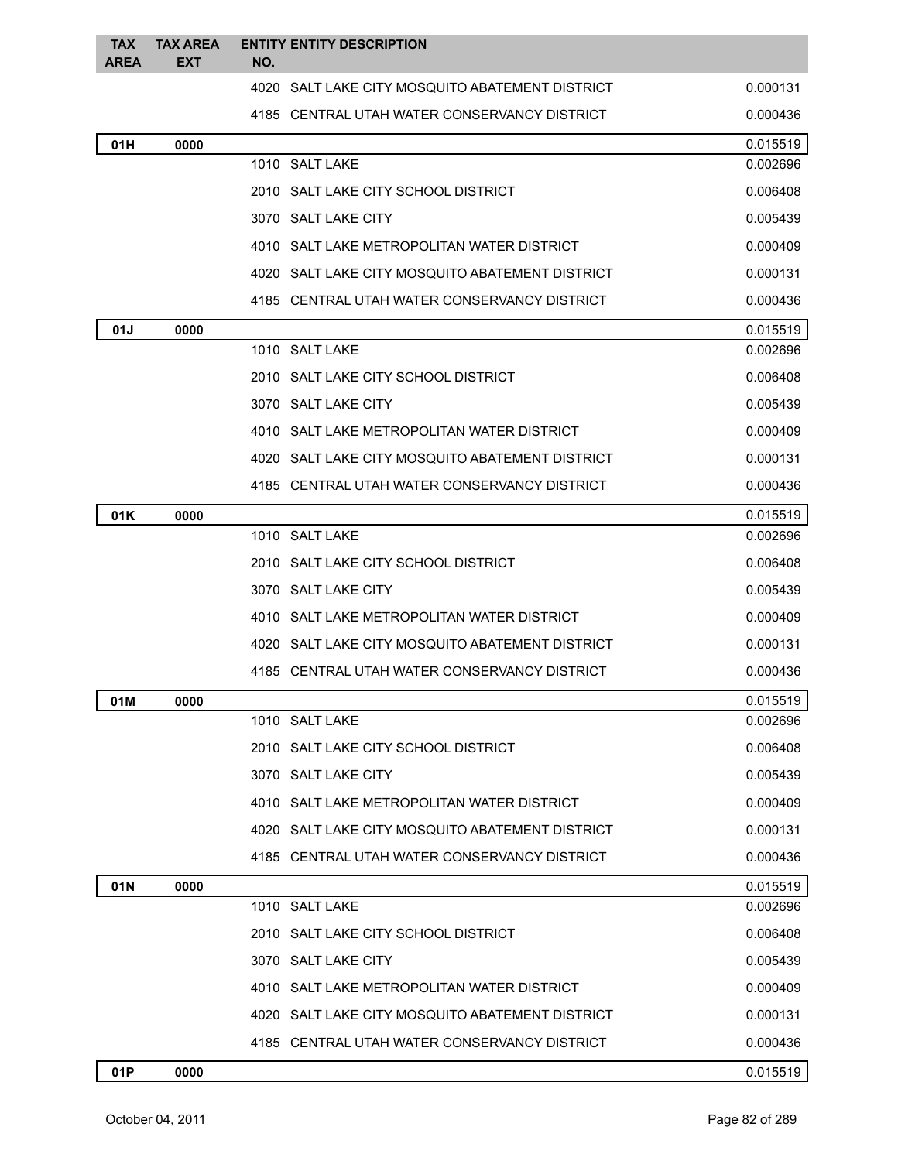| <b>TAX</b><br><b>AREA</b> | <b>TAX AREA</b><br><b>EXT</b> | NO. | <b>ENTITY ENTITY DESCRIPTION</b>                |          |
|---------------------------|-------------------------------|-----|-------------------------------------------------|----------|
|                           |                               |     | 4020 SALT LAKE CITY MOSQUITO ABATEMENT DISTRICT | 0.000131 |
|                           |                               |     | 4185 CENTRAL UTAH WATER CONSERVANCY DISTRICT    | 0.000436 |
| 01H                       | 0000                          |     |                                                 | 0.015519 |
|                           |                               |     | 1010 SALT LAKE                                  | 0.002696 |
|                           |                               |     | 2010 SALT LAKE CITY SCHOOL DISTRICT             | 0.006408 |
|                           |                               |     | 3070 SALT LAKE CITY                             | 0.005439 |
|                           |                               |     | 4010 SALT LAKE METROPOLITAN WATER DISTRICT      | 0.000409 |
|                           |                               |     | 4020 SALT LAKE CITY MOSQUITO ABATEMENT DISTRICT | 0.000131 |
|                           |                               |     | 4185 CENTRAL UTAH WATER CONSERVANCY DISTRICT    | 0.000436 |
| 01J                       | 0000                          |     |                                                 | 0.015519 |
|                           |                               |     | 1010 SALT LAKE                                  | 0.002696 |
|                           |                               |     | 2010 SALT LAKE CITY SCHOOL DISTRICT             | 0.006408 |
|                           |                               |     | 3070 SALT LAKE CITY                             | 0.005439 |
|                           |                               |     | 4010 SALT LAKE METROPOLITAN WATER DISTRICT      | 0.000409 |
|                           |                               |     | 4020 SALT LAKE CITY MOSQUITO ABATEMENT DISTRICT | 0.000131 |
|                           |                               |     | 4185 CENTRAL UTAH WATER CONSERVANCY DISTRICT    | 0.000436 |
| 01K                       | 0000                          |     |                                                 | 0.015519 |
|                           |                               |     | 1010 SALT LAKE                                  | 0.002696 |
|                           |                               |     | 2010 SALT LAKE CITY SCHOOL DISTRICT             | 0.006408 |
|                           |                               |     | 3070 SALT LAKE CITY                             | 0.005439 |
|                           |                               |     | 4010 SALT LAKE METROPOLITAN WATER DISTRICT      | 0.000409 |
|                           |                               |     | 4020 SALT LAKE CITY MOSQUITO ABATEMENT DISTRICT | 0.000131 |
|                           |                               |     | 4185 CENTRAL UTAH WATER CONSERVANCY DISTRICT    | 0.000436 |
| 01M                       | 0000                          |     |                                                 | 0.015519 |
|                           |                               |     | 1010 SALT LAKE                                  | 0.002696 |
|                           |                               |     | 2010 SALT LAKE CITY SCHOOL DISTRICT             | 0.006408 |
|                           |                               |     | 3070 SALT LAKE CITY                             | 0.005439 |
|                           |                               |     | 4010 SALT LAKE METROPOLITAN WATER DISTRICT      | 0.000409 |
|                           |                               |     | 4020 SALT LAKE CITY MOSQUITO ABATEMENT DISTRICT | 0.000131 |
|                           |                               |     | 4185 CENTRAL UTAH WATER CONSERVANCY DISTRICT    | 0.000436 |
| 01N                       | 0000                          |     |                                                 | 0.015519 |
|                           |                               |     | 1010 SALT LAKE                                  | 0.002696 |
|                           |                               |     | 2010 SALT LAKE CITY SCHOOL DISTRICT             | 0.006408 |
|                           |                               |     | 3070 SALT LAKE CITY                             | 0.005439 |
|                           |                               |     | 4010 SALT LAKE METROPOLITAN WATER DISTRICT      | 0.000409 |
|                           |                               |     | 4020 SALT LAKE CITY MOSQUITO ABATEMENT DISTRICT | 0.000131 |
|                           |                               |     | 4185 CENTRAL UTAH WATER CONSERVANCY DISTRICT    | 0.000436 |
| 01P                       | 0000                          |     |                                                 | 0.015519 |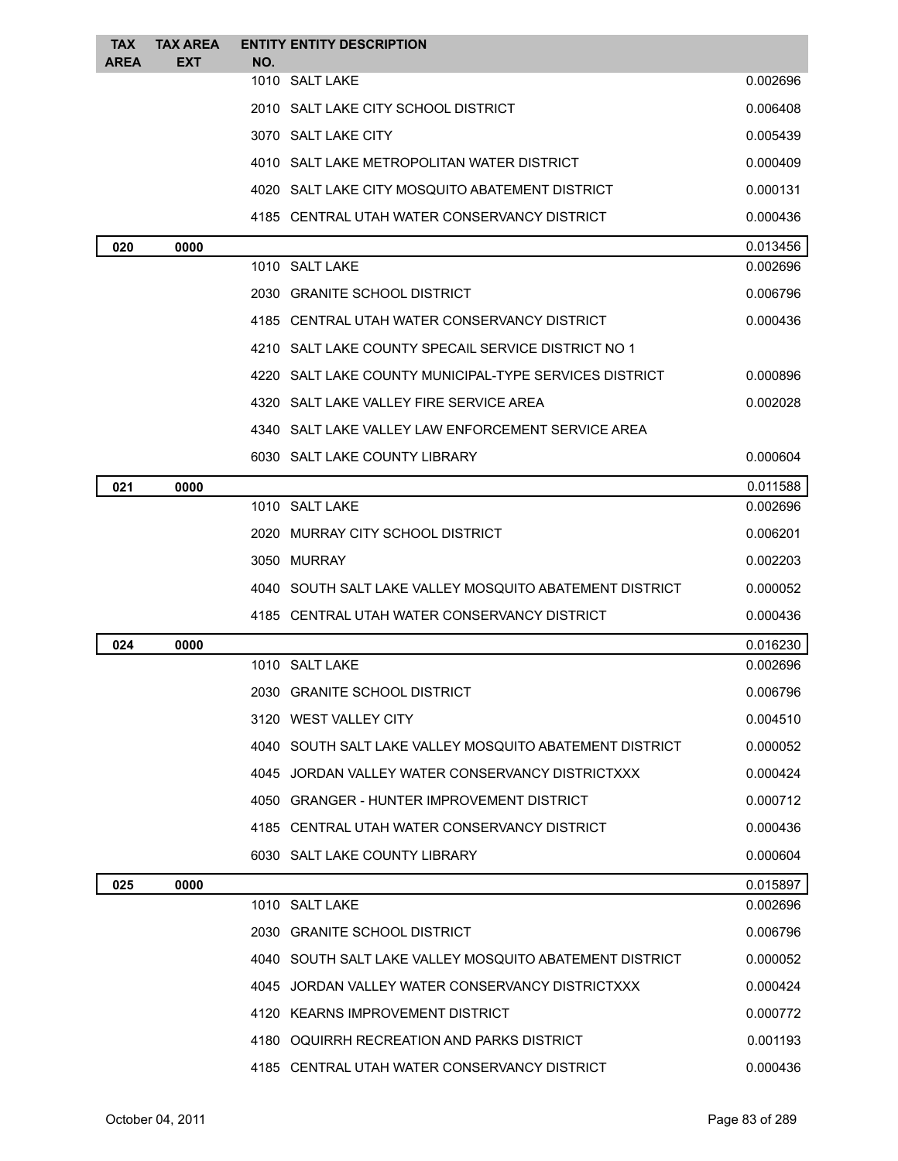| <b>TAX</b>  | <b>TAX AREA</b> | <b>ENTITY ENTITY DESCRIPTION</b>                        |                      |
|-------------|-----------------|---------------------------------------------------------|----------------------|
| <b>AREA</b> | EXT             | NO.<br>1010 SALT LAKE                                   | 0.002696             |
|             |                 | 2010 SALT LAKE CITY SCHOOL DISTRICT                     | 0.006408             |
|             |                 | 3070 SALT LAKE CITY                                     | 0.005439             |
|             |                 | 4010 SALT LAKE METROPOLITAN WATER DISTRICT              | 0.000409             |
|             |                 | 4020 SALT LAKE CITY MOSQUITO ABATEMENT DISTRICT         | 0.000131             |
|             |                 | 4185 CENTRAL UTAH WATER CONSERVANCY DISTRICT            | 0.000436             |
|             |                 |                                                         |                      |
| 020         | 0000            | 1010 SALT LAKE                                          | 0.013456<br>0.002696 |
|             |                 | 2030 GRANITE SCHOOL DISTRICT                            | 0.006796             |
|             |                 | 4185 CENTRAL UTAH WATER CONSERVANCY DISTRICT            | 0.000436             |
|             |                 | 4210 SALT LAKE COUNTY SPECAIL SERVICE DISTRICT NO 1     |                      |
|             |                 | 4220 SALT LAKE COUNTY MUNICIPAL-TYPE SERVICES DISTRICT  | 0.000896             |
|             |                 | 4320 SALT LAKE VALLEY FIRE SERVICE AREA                 | 0.002028             |
|             |                 | 4340 SALT LAKE VALLEY LAW ENFORCEMENT SERVICE AREA      |                      |
|             |                 | 6030 SALT LAKE COUNTY LIBRARY                           | 0.000604             |
|             |                 |                                                         |                      |
| 021         | 0000            | 1010 SALT LAKE                                          | 0.011588<br>0.002696 |
|             |                 | 2020 MURRAY CITY SCHOOL DISTRICT                        | 0.006201             |
|             |                 | 3050 MURRAY                                             | 0.002203             |
|             |                 | 4040 SOUTH SALT LAKE VALLEY MOSQUITO ABATEMENT DISTRICT | 0.000052             |
|             |                 | 4185 CENTRAL UTAH WATER CONSERVANCY DISTRICT            | 0.000436             |
| 024         | 0000            |                                                         | 0.016230             |
|             |                 | 1010 SALT LAKE                                          | 0.002696             |
|             |                 | 2030 GRANITE SCHOOL DISTRICT                            | 0.006796             |
|             |                 | 3120 WEST VALLEY CITY                                   | 0.004510             |
|             |                 | 4040 SOUTH SALT LAKE VALLEY MOSQUITO ABATEMENT DISTRICT | 0.000052             |
|             |                 | 4045 JORDAN VALLEY WATER CONSERVANCY DISTRICTXXX        | 0.000424             |
|             |                 | 4050 GRANGER - HUNTER IMPROVEMENT DISTRICT              | 0.000712             |
|             |                 | 4185 CENTRAL UTAH WATER CONSERVANCY DISTRICT            | 0.000436             |
|             |                 | 6030 SALT LAKE COUNTY LIBRARY                           | 0.000604             |
| 025         | 0000            |                                                         | 0.015897             |
|             |                 | 1010 SALT LAKE                                          | 0.002696             |
|             |                 | 2030 GRANITE SCHOOL DISTRICT                            | 0.006796             |
|             |                 | 4040 SOUTH SALT LAKE VALLEY MOSQUITO ABATEMENT DISTRICT | 0.000052             |
|             |                 | 4045 JORDAN VALLEY WATER CONSERVANCY DISTRICTXXX        | 0.000424             |
|             |                 | 4120 KEARNS IMPROVEMENT DISTRICT                        | 0.000772             |
|             |                 | 4180 OQUIRRH RECREATION AND PARKS DISTRICT              | 0.001193             |
|             |                 | 4185 CENTRAL UTAH WATER CONSERVANCY DISTRICT            | 0.000436             |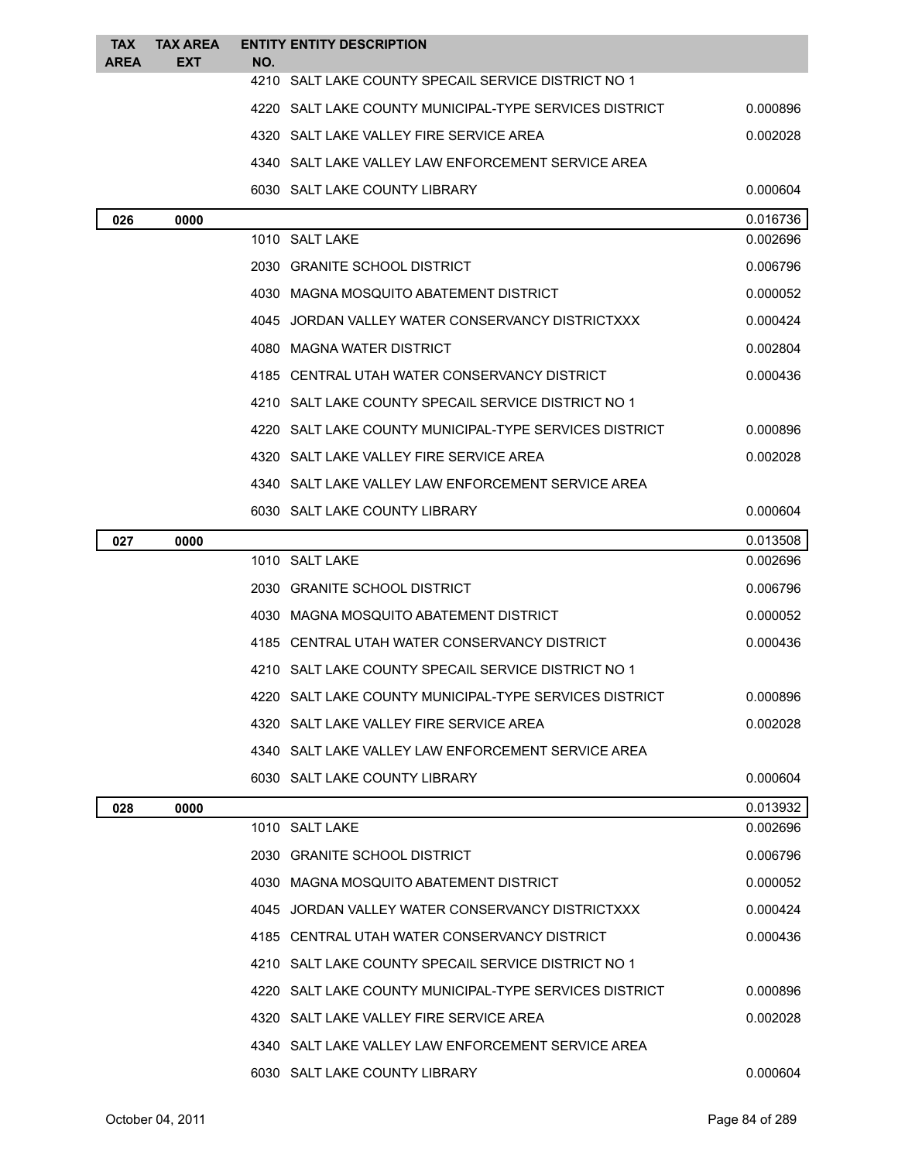| <b>TAX</b><br><b>AREA</b> | <b>TAX AREA</b><br><b>EXT</b> | <b>ENTITY ENTITY DESCRIPTION</b><br>NO.                |          |
|---------------------------|-------------------------------|--------------------------------------------------------|----------|
|                           |                               | 4210 SALT LAKE COUNTY SPECAIL SERVICE DISTRICT NO 1    |          |
|                           |                               | 4220 SALT LAKE COUNTY MUNICIPAL-TYPE SERVICES DISTRICT | 0.000896 |
|                           |                               | 4320 SALT LAKE VALLEY FIRE SERVICE AREA                | 0.002028 |
|                           |                               | 4340 SALT LAKE VALLEY LAW ENFORCEMENT SERVICE AREA     |          |
|                           |                               | 6030 SALT LAKE COUNTY LIBRARY                          | 0.000604 |
| 026                       | 0000                          |                                                        | 0.016736 |
|                           |                               | 1010 SALT LAKE                                         | 0.002696 |
|                           |                               | 2030 GRANITE SCHOOL DISTRICT                           | 0.006796 |
|                           |                               | 4030 MAGNA MOSQUITO ABATEMENT DISTRICT                 | 0.000052 |
|                           |                               | 4045 JORDAN VALLEY WATER CONSERVANCY DISTRICTXXX       | 0.000424 |
|                           |                               | 4080 MAGNA WATER DISTRICT                              | 0.002804 |
|                           |                               | 4185 CENTRAL UTAH WATER CONSERVANCY DISTRICT           | 0.000436 |
|                           |                               | 4210 SALT LAKE COUNTY SPECAIL SERVICE DISTRICT NO 1    |          |
|                           |                               | 4220 SALT LAKE COUNTY MUNICIPAL-TYPE SERVICES DISTRICT | 0.000896 |
|                           |                               | 4320 SALT LAKE VALLEY FIRE SERVICE AREA                | 0.002028 |
|                           |                               | 4340 SALT LAKE VALLEY LAW ENFORCEMENT SERVICE AREA     |          |
|                           |                               | 6030 SALT LAKE COUNTY LIBRARY                          | 0.000604 |
| 027                       | 0000                          |                                                        | 0.013508 |
|                           |                               | 1010 SALT LAKE                                         | 0.002696 |
|                           |                               | 2030 GRANITE SCHOOL DISTRICT                           | 0.006796 |
|                           |                               | 4030 MAGNA MOSQUITO ABATEMENT DISTRICT                 | 0.000052 |
|                           |                               | 4185 CENTRAL UTAH WATER CONSERVANCY DISTRICT           | 0.000436 |
|                           |                               | 4210 SALT LAKE COUNTY SPECAIL SERVICE DISTRICT NO 1    |          |
|                           |                               | 4220 SALT LAKE COUNTY MUNICIPAL-TYPE SERVICES DISTRICT | 0.000896 |
|                           |                               | 4320 SALT LAKE VALLEY FIRE SERVICE AREA                | 0.002028 |
|                           |                               | 4340 SALT LAKE VALLEY LAW ENFORCEMENT SERVICE AREA     |          |
|                           |                               | 6030 SALT LAKE COUNTY LIBRARY                          | 0.000604 |
| 028                       | 0000                          |                                                        | 0.013932 |
|                           |                               | 1010 SALT LAKE                                         | 0.002696 |
|                           |                               | 2030 GRANITE SCHOOL DISTRICT                           | 0.006796 |
|                           |                               | 4030 MAGNA MOSQUITO ABATEMENT DISTRICT                 | 0.000052 |
|                           |                               | 4045 JORDAN VALLEY WATER CONSERVANCY DISTRICTXXX       | 0.000424 |
|                           |                               | 4185 CENTRAL UTAH WATER CONSERVANCY DISTRICT           | 0.000436 |
|                           |                               | 4210 SALT LAKE COUNTY SPECAIL SERVICE DISTRICT NO 1    |          |
|                           |                               | 4220 SALT LAKE COUNTY MUNICIPAL-TYPE SERVICES DISTRICT | 0.000896 |
|                           |                               | 4320 SALT LAKE VALLEY FIRE SERVICE AREA                | 0.002028 |
|                           |                               | 4340 SALT LAKE VALLEY LAW ENFORCEMENT SERVICE AREA     |          |
|                           |                               | 6030 SALT LAKE COUNTY LIBRARY                          | 0.000604 |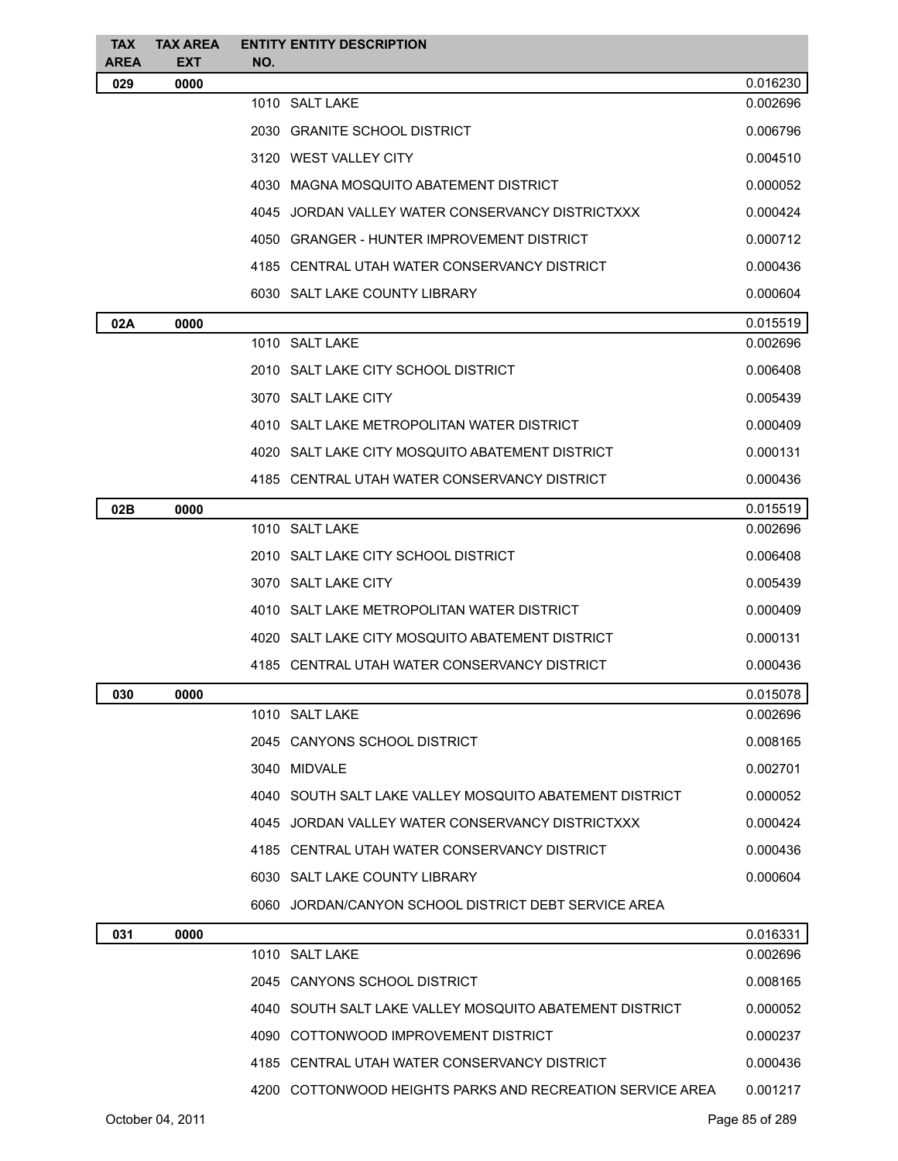| <b>TAX</b><br><b>AREA</b> | <b>TAX AREA</b><br><b>EXT</b> | NO. | <b>ENTITY ENTITY DESCRIPTION</b>                          |                |
|---------------------------|-------------------------------|-----|-----------------------------------------------------------|----------------|
| 029                       | 0000                          |     |                                                           | 0.016230       |
|                           |                               |     | 1010 SALT LAKE                                            | 0.002696       |
|                           |                               |     | 2030 GRANITE SCHOOL DISTRICT                              | 0.006796       |
|                           |                               |     | 3120 WEST VALLEY CITY                                     | 0.004510       |
|                           |                               |     | 4030 MAGNA MOSQUITO ABATEMENT DISTRICT                    | 0.000052       |
|                           |                               |     | 4045 JORDAN VALLEY WATER CONSERVANCY DISTRICTXXX          | 0.000424       |
|                           |                               |     | 4050 GRANGER - HUNTER IMPROVEMENT DISTRICT                | 0.000712       |
|                           |                               |     | 4185 CENTRAL UTAH WATER CONSERVANCY DISTRICT              | 0.000436       |
|                           |                               |     | 6030 SALT LAKE COUNTY LIBRARY                             | 0.000604       |
| 02A                       | 0000                          |     |                                                           | 0.015519       |
|                           |                               |     | 1010 SALT LAKE                                            | 0.002696       |
|                           |                               |     | 2010   SALT LAKE CITY SCHOOL DISTRICT                     | 0.006408       |
|                           |                               |     | 3070 SALT LAKE CITY                                       | 0.005439       |
|                           |                               |     | 4010 SALT LAKE METROPOLITAN WATER DISTRICT                | 0.000409       |
|                           |                               |     | 4020 SALT LAKE CITY MOSQUITO ABATEMENT DISTRICT           | 0.000131       |
|                           |                               |     | 4185 CENTRAL UTAH WATER CONSERVANCY DISTRICT              | 0.000436       |
| 02B                       | 0000                          |     |                                                           | 0.015519       |
|                           |                               |     | 1010 SALT LAKE                                            | 0.002696       |
|                           |                               |     | 2010 SALT LAKE CITY SCHOOL DISTRICT                       | 0.006408       |
|                           |                               |     | 3070 SALT LAKE CITY                                       | 0.005439       |
|                           |                               |     | 4010 SALT LAKE METROPOLITAN WATER DISTRICT                | 0.000409       |
|                           |                               |     | 4020 SALT LAKE CITY MOSQUITO ABATEMENT DISTRICT           | 0.000131       |
|                           |                               |     | 4185 CENTRAL UTAH WATER CONSERVANCY DISTRICT              | 0.000436       |
| 030                       | 0000                          |     |                                                           | 0.015078       |
|                           |                               |     | 1010 SALT LAKE                                            | 0.002696       |
|                           |                               |     | 2045 CANYONS SCHOOL DISTRICT                              | 0.008165       |
|                           |                               |     | 3040 MIDVALE                                              | 0.002701       |
|                           |                               |     | 4040 SOUTH SALT LAKE VALLEY MOSQUITO ABATEMENT DISTRICT   | 0.000052       |
|                           |                               |     | 4045 JORDAN VALLEY WATER CONSERVANCY DISTRICTXXX          | 0.000424       |
|                           |                               |     | 4185 CENTRAL UTAH WATER CONSERVANCY DISTRICT              | 0.000436       |
|                           |                               |     | 6030 SALT LAKE COUNTY LIBRARY                             | 0.000604       |
|                           |                               |     | 6060 JORDAN/CANYON SCHOOL DISTRICT DEBT SERVICE AREA      |                |
| 031                       | 0000                          |     |                                                           | 0.016331       |
|                           |                               |     | 1010 SALT LAKE                                            | 0.002696       |
|                           |                               |     | 2045 CANYONS SCHOOL DISTRICT                              | 0.008165       |
|                           |                               |     | 4040 SOUTH SALT LAKE VALLEY MOSQUITO ABATEMENT DISTRICT   | 0.000052       |
|                           |                               |     | 4090 COTTONWOOD IMPROVEMENT DISTRICT                      | 0.000237       |
|                           |                               |     | 4185 CENTRAL UTAH WATER CONSERVANCY DISTRICT              | 0.000436       |
|                           |                               |     | 4200 COTTONWOOD HEIGHTS PARKS AND RECREATION SERVICE AREA | 0.001217       |
|                           | October 04, 2011              |     |                                                           | Page 85 of 289 |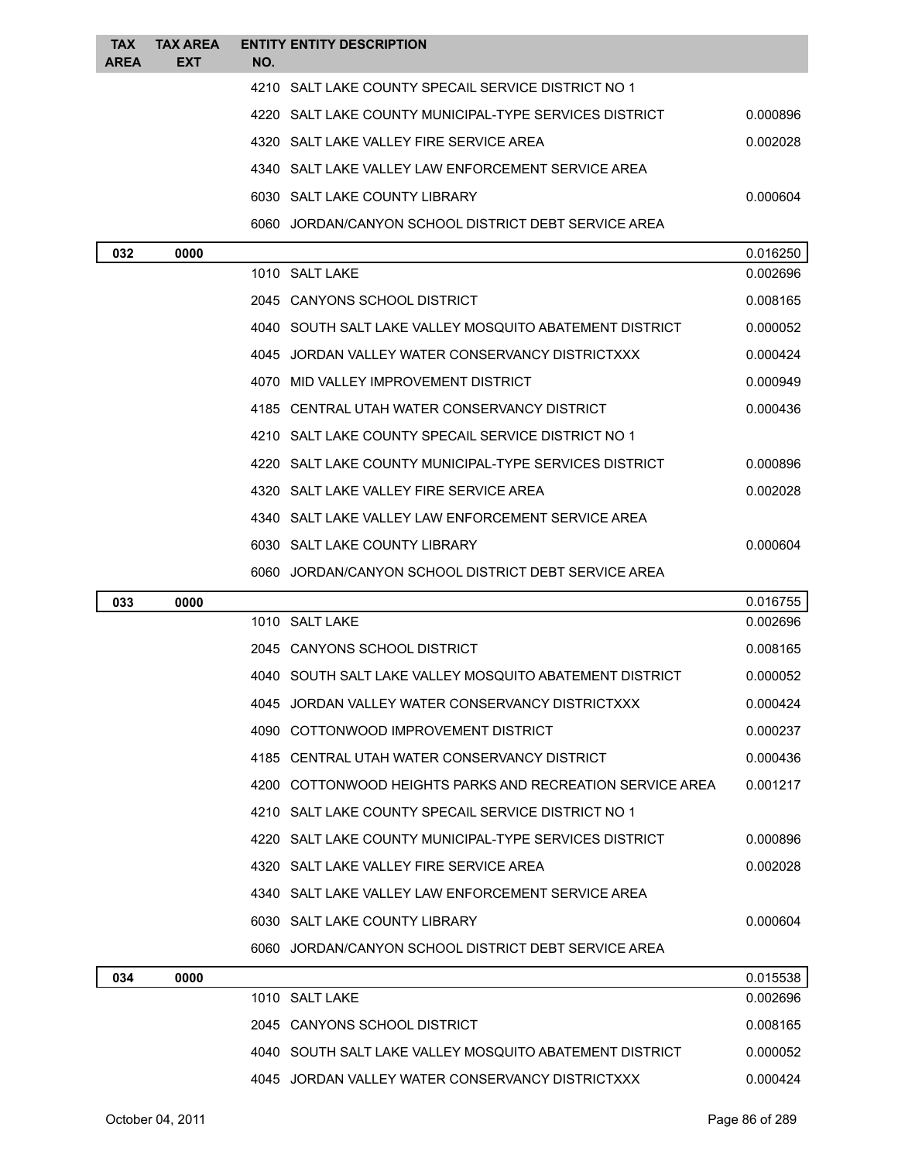| <b>TAX</b><br><b>AREA</b> | TAX AREA<br><b>EXT</b> | NO. | <b>ENTITY ENTITY DESCRIPTION</b>                          |          |
|---------------------------|------------------------|-----|-----------------------------------------------------------|----------|
|                           |                        |     | 4210 SALT LAKE COUNTY SPECAIL SERVICE DISTRICT NO 1       |          |
|                           |                        |     | 4220 SALT LAKE COUNTY MUNICIPAL-TYPE SERVICES DISTRICT    | 0.000896 |
|                           |                        |     | 4320 SALT LAKE VALLEY FIRE SERVICE AREA                   | 0.002028 |
|                           |                        |     | 4340 SALT LAKE VALLEY LAW ENFORCEMENT SERVICE AREA        |          |
|                           |                        |     | 6030 SALT LAKE COUNTY LIBRARY                             | 0.000604 |
|                           |                        |     | 6060 JORDAN/CANYON SCHOOL DISTRICT DEBT SERVICE AREA      |          |
| 032                       | 0000                   |     |                                                           | 0.016250 |
|                           |                        |     | 1010 SALT LAKE                                            | 0.002696 |
|                           |                        |     | 2045 CANYONS SCHOOL DISTRICT                              | 0.008165 |
|                           |                        |     | 4040 SOUTH SALT LAKE VALLEY MOSQUITO ABATEMENT DISTRICT   | 0.000052 |
|                           |                        |     | 4045 JORDAN VALLEY WATER CONSERVANCY DISTRICTXXX          | 0.000424 |
|                           |                        |     | 4070 MID VALLEY IMPROVEMENT DISTRICT                      | 0.000949 |
|                           |                        |     | 4185 CENTRAL UTAH WATER CONSERVANCY DISTRICT              | 0.000436 |
|                           |                        |     | 4210 SALT LAKE COUNTY SPECAIL SERVICE DISTRICT NO 1       |          |
|                           |                        |     | 4220 SALT LAKE COUNTY MUNICIPAL-TYPE SERVICES DISTRICT    | 0.000896 |
|                           |                        |     | 4320 SALT LAKE VALLEY FIRE SERVICE AREA                   | 0.002028 |
|                           |                        |     | 4340 SALT LAKE VALLEY LAW ENFORCEMENT SERVICE AREA        |          |
|                           |                        |     | 6030 SALT LAKE COUNTY LIBRARY                             | 0.000604 |
|                           |                        |     | 6060 JORDAN/CANYON SCHOOL DISTRICT DEBT SERVICE AREA      |          |
| 033                       | 0000                   |     |                                                           | 0.016755 |
|                           |                        |     | 1010 SALT LAKE                                            | 0.002696 |
|                           |                        |     | 2045 CANYONS SCHOOL DISTRICT                              | 0.008165 |
|                           |                        |     | 4040 SOUTH SALT LAKE VALLEY MOSQUITO ABATEMENT DISTRICT   | 0.000052 |
|                           |                        |     | 4045 JORDAN VALLEY WATER CONSERVANCY DISTRICTXXX          | 0.000424 |
|                           |                        |     | 4090 COTTONWOOD IMPROVEMENT DISTRICT                      | 0.000237 |
|                           |                        |     | 4185 CENTRAL UTAH WATER CONSERVANCY DISTRICT              | 0.000436 |
|                           |                        |     | 4200 COTTONWOOD HEIGHTS PARKS AND RECREATION SERVICE AREA | 0.001217 |
|                           |                        |     | 4210 SALT LAKE COUNTY SPECAIL SERVICE DISTRICT NO 1       |          |
|                           |                        |     | 4220 SALT LAKE COUNTY MUNICIPAL-TYPE SERVICES DISTRICT    | 0.000896 |
|                           |                        |     | 4320 SALT LAKE VALLEY FIRE SERVICE AREA                   | 0.002028 |
|                           |                        |     | 4340 SALT LAKE VALLEY LAW ENFORCEMENT SERVICE AREA        |          |
|                           |                        |     | 6030 SALT LAKE COUNTY LIBRARY                             | 0.000604 |
|                           |                        |     | 6060 JORDAN/CANYON SCHOOL DISTRICT DEBT SERVICE AREA      |          |
| 034                       | 0000                   |     |                                                           | 0.015538 |
|                           |                        |     | 1010 SALT LAKE                                            | 0.002696 |
|                           |                        |     | 2045 CANYONS SCHOOL DISTRICT                              | 0.008165 |
|                           |                        |     | 4040 SOUTH SALT LAKE VALLEY MOSQUITO ABATEMENT DISTRICT   | 0.000052 |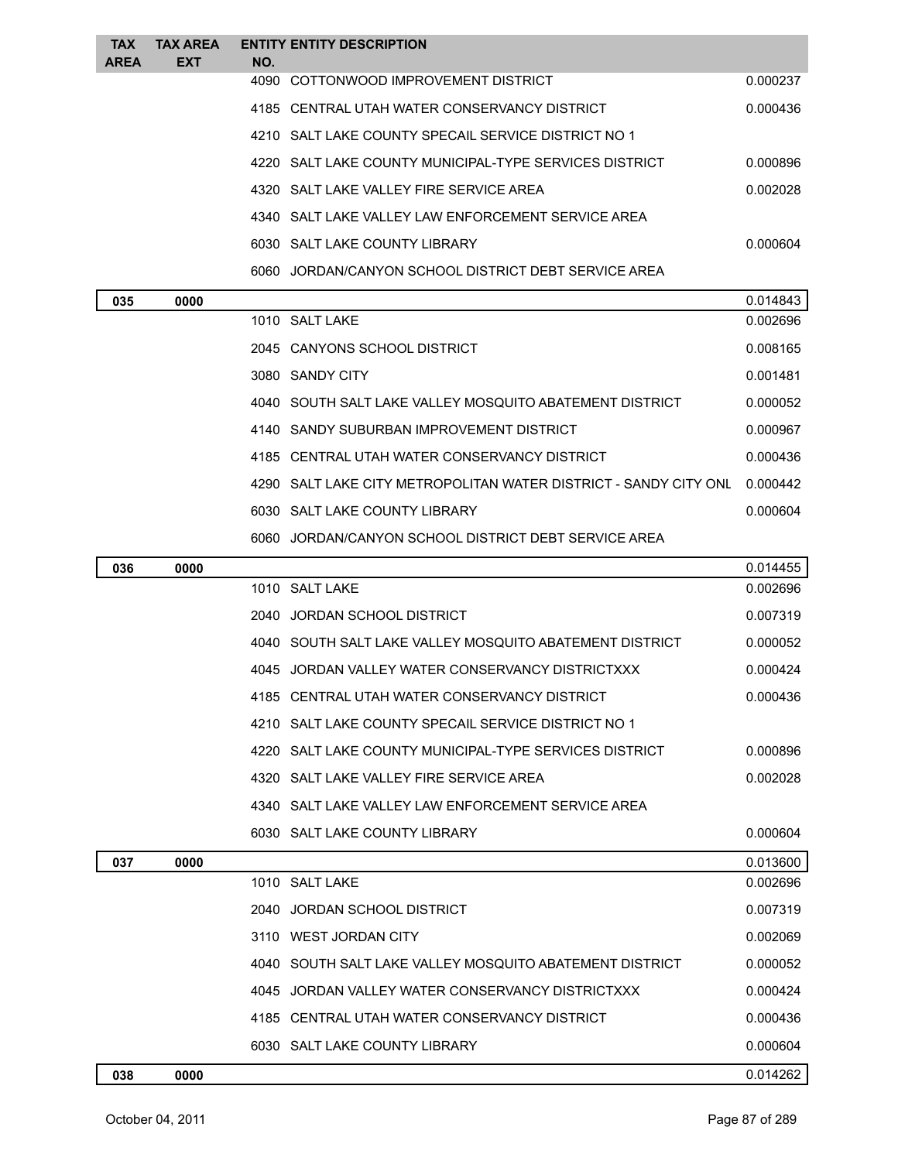| <b>TAX</b><br><b>AREA</b> | <b>TAX AREA</b><br><b>EXT</b> | NO.            | <b>ENTITY ENTITY DESCRIPTION</b>                                 |          |
|---------------------------|-------------------------------|----------------|------------------------------------------------------------------|----------|
|                           |                               |                | 4090 COTTONWOOD IMPROVEMENT DISTRICT                             | 0.000237 |
|                           |                               |                | 4185 CENTRAL UTAH WATER CONSERVANCY DISTRICT                     | 0.000436 |
|                           |                               |                | 4210 SALT LAKE COUNTY SPECAIL SERVICE DISTRICT NO 1              |          |
|                           |                               |                | 4220 SALT LAKE COUNTY MUNICIPAL-TYPE SERVICES DISTRICT           | 0.000896 |
|                           |                               |                | 4320 SALT LAKE VALLEY FIRE SERVICE AREA                          | 0.002028 |
|                           |                               |                | 4340 SALT LAKE VALLEY LAW ENFORCEMENT SERVICE AREA               |          |
|                           |                               |                | 6030 SALT LAKE COUNTY LIBRARY                                    | 0.000604 |
|                           |                               |                | 6060 JORDAN/CANYON SCHOOL DISTRICT DEBT SERVICE AREA             |          |
| 035                       | 0000                          |                |                                                                  | 0.014843 |
|                           |                               | 1010 SALT LAKE |                                                                  | 0.002696 |
|                           |                               |                | 2045 CANYONS SCHOOL DISTRICT                                     | 0.008165 |
|                           |                               |                | 3080 SANDY CITY                                                  | 0.001481 |
|                           |                               |                | 4040 SOUTH SALT LAKE VALLEY MOSQUITO ABATEMENT DISTRICT          | 0.000052 |
|                           |                               |                | 4140 SANDY SUBURBAN IMPROVEMENT DISTRICT                         | 0.000967 |
|                           |                               |                | 4185 CENTRAL UTAH WATER CONSERVANCY DISTRICT                     | 0.000436 |
|                           |                               |                | 4290 SALT LAKE CITY METROPOLITAN WATER DISTRICT - SANDY CITY ONL | 0.000442 |

JORDAN/CANYON SCHOOL DISTRICT DEBT SERVICE AREA

SALT LAKE COUNTY LIBRARY 0.000604

| 036 | 0000 |                                                         | 0.014455 |
|-----|------|---------------------------------------------------------|----------|
|     |      | 1010 SALT LAKE                                          | 0.002696 |
|     |      | 2040 JORDAN SCHOOL DISTRICT                             | 0.007319 |
|     |      | 4040 SOUTH SALT LAKE VALLEY MOSQUITO ABATEMENT DISTRICT | 0.000052 |
|     |      | 4045 JORDAN VALLEY WATER CONSERVANCY DISTRICTXXX        | 0.000424 |
|     |      | 4185 CENTRAL UTAH WATER CONSERVANCY DISTRICT            | 0.000436 |
|     |      | 4210 SALT LAKE COUNTY SPECAIL SERVICE DISTRICT NO 1     |          |
|     |      | 4220 SALT LAKE COUNTY MUNICIPAL-TYPE SERVICES DISTRICT  | 0.000896 |
|     |      | 4320 SALT LAKE VALLEY FIRE SERVICE AREA                 | 0.002028 |
|     |      | 4340 SALT LAKE VALLEY LAW ENFORCEMENT SERVICE AREA      |          |
|     |      | 6030 SALT LAKE COUNTY LIBRARY                           | 0.000604 |
| 037 | 0000 |                                                         | 0.013600 |
|     |      | 1010 SALT LAKE                                          | 0.002696 |
|     |      | 2040 JORDAN SCHOOL DISTRICT                             | 0.007319 |
|     |      | 3110 WEST JORDAN CITY                                   | 0.002069 |
|     |      | 4040 SOUTH SALT LAKE VALLEY MOSQUITO ABATEMENT DISTRICT | 0.000052 |
|     |      | 4045 JORDAN VALLEY WATER CONSERVANCY DISTRICTXXX        | 0.000424 |
|     |      | 4185 CENTRAL UTAH WATER CONSERVANCY DISTRICT            | 0.000436 |
|     |      | 6030 SALT LAKE COUNTY LIBRARY                           | 0.000604 |
| 038 | 0000 |                                                         | 0.014262 |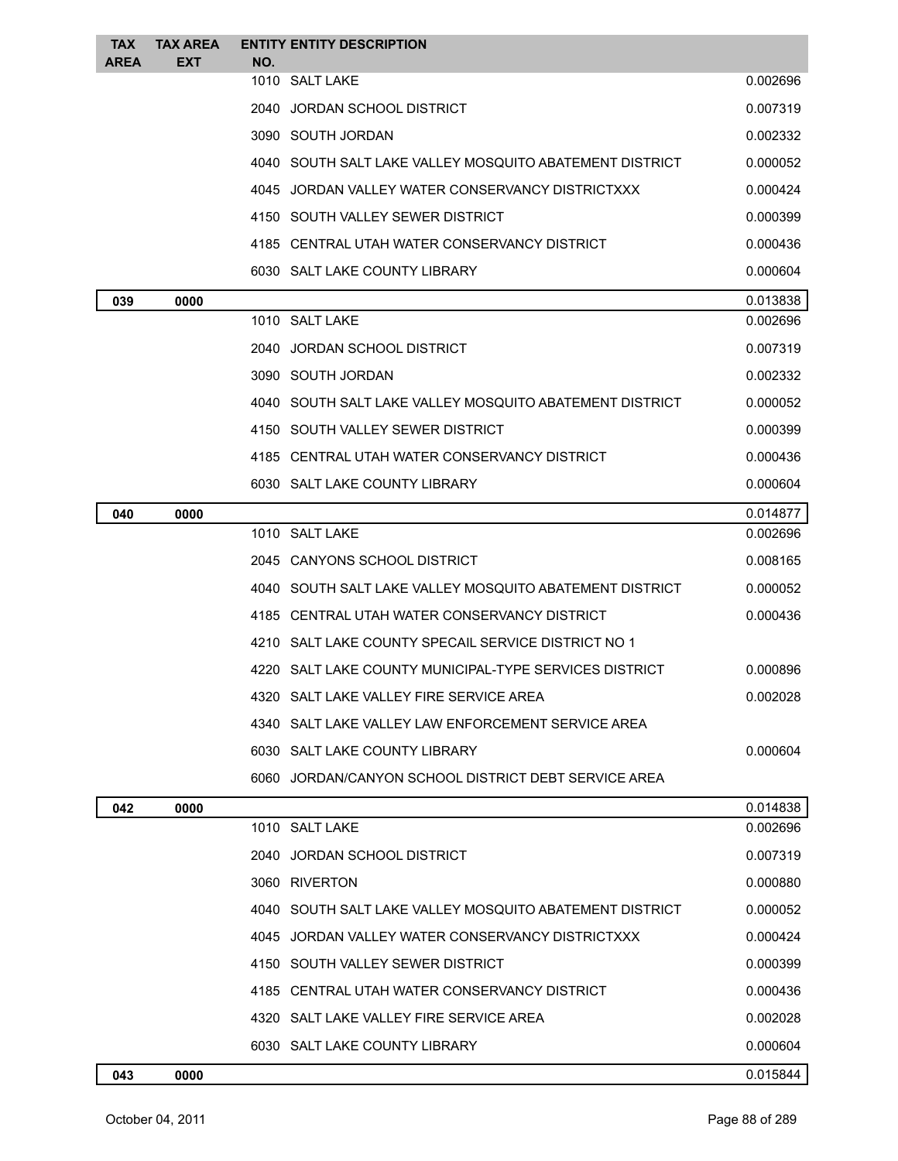| <b>TAX</b><br><b>AREA</b> | <b>TAX AREA</b><br><b>EXT</b> | <b>ENTITY ENTITY DESCRIPTION</b><br>NO.                   |          |
|---------------------------|-------------------------------|-----------------------------------------------------------|----------|
|                           |                               | 1010 SALT LAKE                                            | 0.002696 |
|                           |                               | 2040 JORDAN SCHOOL DISTRICT                               | 0.007319 |
|                           |                               | 3090 SOUTH JORDAN                                         | 0.002332 |
|                           |                               | 4040   SOUTH SALT LAKE VALLEY MOSQUITO ABATEMENT DISTRICT | 0.000052 |
|                           |                               | 4045 JORDAN VALLEY WATER CONSERVANCY DISTRICTXXX          | 0.000424 |
|                           |                               | 4150 SOUTH VALLEY SEWER DISTRICT                          | 0.000399 |
|                           |                               | 4185 CENTRAL UTAH WATER CONSERVANCY DISTRICT              | 0.000436 |
|                           |                               | 6030 SALT LAKE COUNTY LIBRARY                             | 0.000604 |
| 039                       | 0000                          |                                                           | 0.013838 |
|                           |                               | 1010 SALT LAKE                                            | 0.002696 |
|                           |                               | 2040 JORDAN SCHOOL DISTRICT                               | 0.007319 |
|                           |                               | 3090 SOUTH JORDAN                                         | 0.002332 |
|                           |                               | 4040 SOUTH SALT LAKE VALLEY MOSQUITO ABATEMENT DISTRICT   | 0.000052 |
|                           |                               | 4150 SOUTH VALLEY SEWER DISTRICT                          | 0.000399 |
|                           |                               | 4185 CENTRAL UTAH WATER CONSERVANCY DISTRICT              | 0.000436 |
|                           |                               | 6030 SALT LAKE COUNTY LIBRARY                             | 0.000604 |
| 040                       | 0000                          |                                                           | 0.014877 |
|                           |                               | 1010 SALT LAKE                                            | 0.002696 |
|                           |                               | 2045 CANYONS SCHOOL DISTRICT                              | 0.008165 |
|                           |                               | 4040 SOUTH SALT LAKE VALLEY MOSQUITO ABATEMENT DISTRICT   | 0.000052 |
|                           |                               | 4185 CENTRAL UTAH WATER CONSERVANCY DISTRICT              | 0.000436 |
|                           |                               | 4210 SALT LAKE COUNTY SPECAIL SERVICE DISTRICT NO 1       |          |
|                           |                               | 4220 SALT LAKE COUNTY MUNICIPAL-TYPE SERVICES DISTRICT    | 0.000896 |
|                           |                               | 4320 SALT LAKE VALLEY FIRE SERVICE AREA                   | 0.002028 |
|                           |                               | 4340 SALT LAKE VALLEY LAW ENFORCEMENT SERVICE AREA        |          |
|                           |                               | 6030 SALT LAKE COUNTY LIBRARY                             | 0.000604 |
|                           |                               | 6060 JORDAN/CANYON SCHOOL DISTRICT DEBT SERVICE AREA      |          |
| 042                       | 0000                          |                                                           | 0.014838 |
|                           |                               | 1010 SALT LAKE                                            | 0.002696 |
|                           |                               | 2040 JORDAN SCHOOL DISTRICT                               | 0.007319 |
|                           |                               | 3060 RIVERTON                                             | 0.000880 |
|                           |                               | 4040   SOUTH SALT LAKE VALLEY MOSQUITO ABATEMENT DISTRICT | 0.000052 |
|                           |                               | 4045 JORDAN VALLEY WATER CONSERVANCY DISTRICTXXX          | 0.000424 |
|                           |                               | 4150 SOUTH VALLEY SEWER DISTRICT                          | 0.000399 |
|                           |                               | 4185 CENTRAL UTAH WATER CONSERVANCY DISTRICT              | 0.000436 |
|                           |                               | 4320 SALT LAKE VALLEY FIRE SERVICE AREA                   | 0.002028 |
|                           |                               | 6030 SALT LAKE COUNTY LIBRARY                             | 0.000604 |
| 043                       | 0000                          |                                                           | 0.015844 |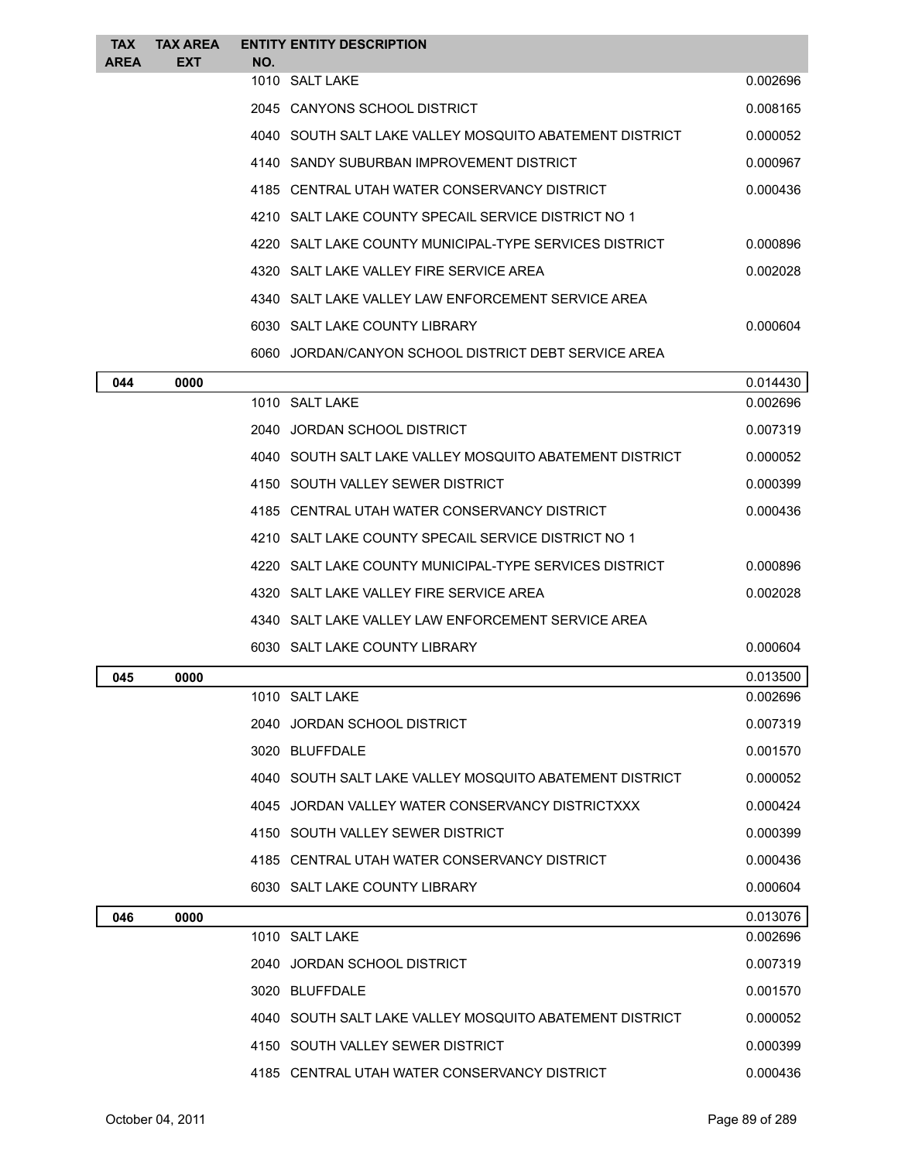| <b>TAX</b><br><b>AREA</b> | <b>TAX AREA</b><br>EXT | NO. | <b>ENTITY ENTITY DESCRIPTION</b>                        |          |
|---------------------------|------------------------|-----|---------------------------------------------------------|----------|
|                           |                        |     | 1010 SALT LAKE                                          | 0.002696 |
|                           |                        |     | 2045 CANYONS SCHOOL DISTRICT                            | 0.008165 |
|                           |                        |     | 4040 SOUTH SALT LAKE VALLEY MOSQUITO ABATEMENT DISTRICT | 0.000052 |
|                           |                        |     | 4140 SANDY SUBURBAN IMPROVEMENT DISTRICT                | 0.000967 |
|                           |                        |     | 4185 CENTRAL UTAH WATER CONSERVANCY DISTRICT            | 0.000436 |
|                           |                        |     | 4210 SALT LAKE COUNTY SPECAIL SERVICE DISTRICT NO 1     |          |
|                           |                        |     | 4220 SALT LAKE COUNTY MUNICIPAL-TYPE SERVICES DISTRICT  | 0.000896 |
|                           |                        |     | 4320 SALT LAKE VALLEY FIRE SERVICE AREA                 | 0.002028 |
|                           |                        |     | 4340 SALT LAKE VALLEY LAW ENFORCEMENT SERVICE AREA      |          |
|                           |                        |     | 6030 SALT LAKE COUNTY LIBRARY                           | 0.000604 |
|                           |                        |     | 6060 JORDAN/CANYON SCHOOL DISTRICT DEBT SERVICE AREA    |          |
| 044                       | 0000                   |     |                                                         | 0.014430 |
|                           |                        |     | 1010 SALT LAKE                                          | 0.002696 |
|                           |                        |     | 2040 JORDAN SCHOOL DISTRICT                             | 0.007319 |
|                           |                        |     | 4040 SOUTH SALT LAKE VALLEY MOSQUITO ABATEMENT DISTRICT | 0.000052 |
|                           |                        |     | 4150 SOUTH VALLEY SEWER DISTRICT                        | 0.000399 |
|                           |                        |     | 4185 CENTRAL UTAH WATER CONSERVANCY DISTRICT            | 0.000436 |
|                           |                        |     | 4210 SALT LAKE COUNTY SPECAIL SERVICE DISTRICT NO 1     |          |
|                           |                        |     | 4220 SALT LAKE COUNTY MUNICIPAL-TYPE SERVICES DISTRICT  | 0.000896 |
|                           |                        |     | 4320 SALT LAKE VALLEY FIRE SERVICE AREA                 | 0.002028 |
|                           |                        |     | 4340 SALT LAKE VALLEY LAW ENFORCEMENT SERVICE AREA      |          |
|                           |                        |     | 6030 SALT LAKE COUNTY LIBRARY                           | 0.000604 |
| 045                       | 0000                   |     |                                                         | 0.013500 |
|                           |                        |     | 1010 SALT LAKE                                          | 0.002696 |
|                           |                        |     | 2040 JORDAN SCHOOL DISTRICT                             | 0.007319 |
|                           |                        |     | 3020 BLUFFDALE                                          | 0.001570 |
|                           |                        |     | 4040 SOUTH SALT LAKE VALLEY MOSQUITO ABATEMENT DISTRICT | 0.000052 |
|                           |                        |     | 4045 JORDAN VALLEY WATER CONSERVANCY DISTRICTXXX        | 0.000424 |
|                           |                        |     | 4150 SOUTH VALLEY SEWER DISTRICT                        | 0.000399 |
|                           |                        |     | 4185 CENTRAL UTAH WATER CONSERVANCY DISTRICT            | 0.000436 |
|                           |                        |     | 6030 SALT LAKE COUNTY LIBRARY                           | 0.000604 |
| 046                       | 0000                   |     |                                                         | 0.013076 |
|                           |                        |     | 1010 SALT LAKE                                          | 0.002696 |
|                           |                        |     | 2040 JORDAN SCHOOL DISTRICT                             | 0.007319 |
|                           |                        |     | 3020 BLUFFDALE                                          | 0.001570 |
|                           |                        |     | 4040 SOUTH SALT LAKE VALLEY MOSQUITO ABATEMENT DISTRICT | 0.000052 |
|                           |                        |     | 4150 SOUTH VALLEY SEWER DISTRICT                        | 0.000399 |
|                           |                        |     | 4185 CENTRAL UTAH WATER CONSERVANCY DISTRICT            | 0.000436 |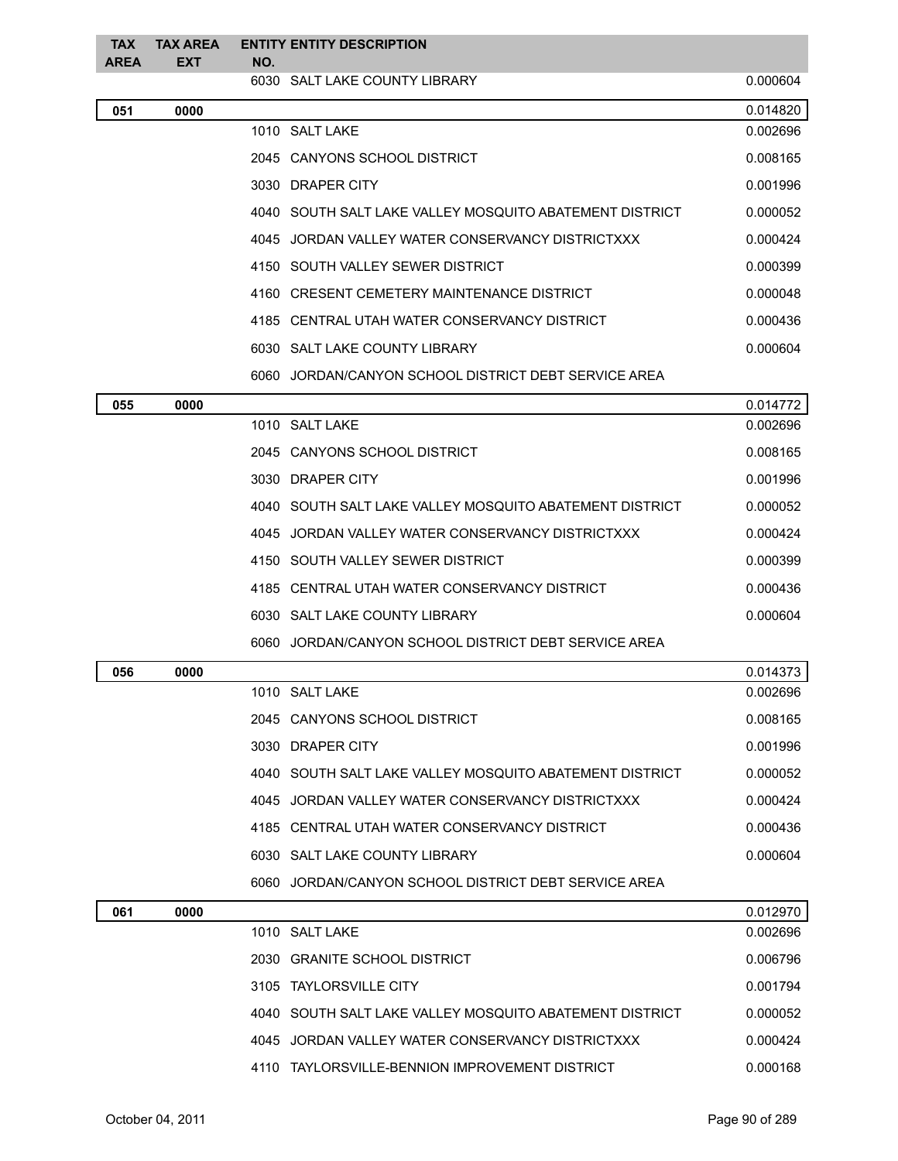| <b>TAX</b><br><b>AREA</b> | <b>TAX AREA</b><br><b>EXT</b> | NO. | <b>ENTITY ENTITY DESCRIPTION</b>                        |          |
|---------------------------|-------------------------------|-----|---------------------------------------------------------|----------|
|                           |                               |     | 6030 SALT LAKE COUNTY LIBRARY                           | 0.000604 |
| 051                       | 0000                          |     |                                                         | 0.014820 |
|                           |                               |     | 1010 SALT LAKE                                          | 0.002696 |
|                           |                               |     | 2045 CANYONS SCHOOL DISTRICT                            | 0.008165 |
|                           |                               |     | 3030 DRAPER CITY                                        | 0.001996 |
|                           |                               |     | 4040 SOUTH SALT LAKE VALLEY MOSQUITO ABATEMENT DISTRICT | 0.000052 |
|                           |                               |     | 4045 JORDAN VALLEY WATER CONSERVANCY DISTRICTXXX        | 0.000424 |
|                           |                               |     | 4150 SOUTH VALLEY SEWER DISTRICT                        | 0.000399 |
|                           |                               |     | 4160 CRESENT CEMETERY MAINTENANCE DISTRICT              | 0.000048 |
|                           |                               |     | 4185 CENTRAL UTAH WATER CONSERVANCY DISTRICT            | 0.000436 |
|                           |                               |     | 6030 SALT LAKE COUNTY LIBRARY                           | 0.000604 |
|                           |                               |     | 6060 JORDAN/CANYON SCHOOL DISTRICT DEBT SERVICE AREA    |          |
| 055                       | 0000                          |     |                                                         | 0.014772 |
|                           |                               |     | 1010 SALT LAKE                                          | 0.002696 |
|                           |                               |     | 2045 CANYONS SCHOOL DISTRICT                            | 0.008165 |
|                           |                               |     | 3030 DRAPER CITY                                        | 0.001996 |
|                           |                               |     | 4040 SOUTH SALT LAKE VALLEY MOSQUITO ABATEMENT DISTRICT | 0.000052 |
|                           |                               |     | 4045 JORDAN VALLEY WATER CONSERVANCY DISTRICTXXX        | 0.000424 |
|                           |                               |     | 4150 SOUTH VALLEY SEWER DISTRICT                        | 0.000399 |
|                           |                               |     | 4185 CENTRAL UTAH WATER CONSERVANCY DISTRICT            | 0.000436 |
|                           |                               |     | 6030 SALT LAKE COUNTY LIBRARY                           | 0.000604 |
|                           |                               |     | 6060 JORDAN/CANYON SCHOOL DISTRICT DEBT SERVICE AREA    |          |
| 056                       | 0000                          |     |                                                         | 0.014373 |
|                           |                               |     | 1010 SALT LAKE                                          | 0.002696 |
|                           |                               |     | 2045 CANYONS SCHOOL DISTRICT                            | 0.008165 |
|                           |                               |     | 3030 DRAPER CITY                                        | 0.001996 |
|                           |                               |     | 4040 SOUTH SALT LAKE VALLEY MOSQUITO ABATEMENT DISTRICT | 0.000052 |
|                           |                               |     | 4045 JORDAN VALLEY WATER CONSERVANCY DISTRICTXXX        | 0.000424 |
|                           |                               |     | 4185 CENTRAL UTAH WATER CONSERVANCY DISTRICT            | 0.000436 |
|                           |                               |     | 6030 SALT LAKE COUNTY LIBRARY                           | 0.000604 |
|                           |                               |     | 6060 JORDAN/CANYON SCHOOL DISTRICT DEBT SERVICE AREA    |          |
| 061                       | 0000                          |     |                                                         | 0.012970 |
|                           |                               |     | 1010 SALT LAKE                                          | 0.002696 |
|                           |                               |     | 2030 GRANITE SCHOOL DISTRICT                            | 0.006796 |
|                           |                               |     | 3105 TAYLORSVILLE CITY                                  | 0.001794 |
|                           |                               |     | 4040 SOUTH SALT LAKE VALLEY MOSQUITO ABATEMENT DISTRICT | 0.000052 |
|                           |                               |     | 4045 JORDAN VALLEY WATER CONSERVANCY DISTRICTXXX        | 0.000424 |
|                           |                               |     | 4110 TAYLORSVILLE-BENNION IMPROVEMENT DISTRICT          | 0.000168 |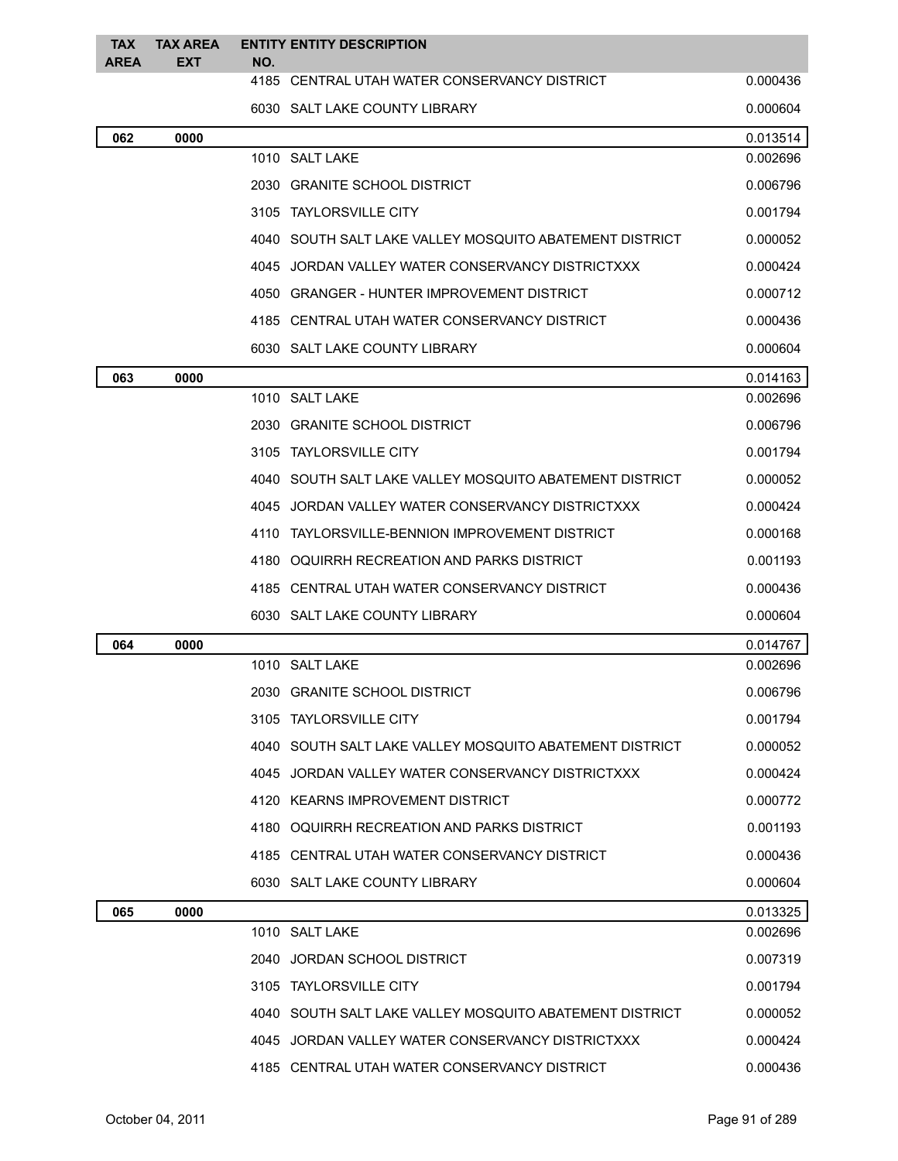| <b>TAX</b><br><b>AREA</b> | <b>TAX AREA</b><br><b>EXT</b> | <b>ENTITY ENTITY DESCRIPTION</b><br>NO.                 |          |
|---------------------------|-------------------------------|---------------------------------------------------------|----------|
|                           |                               | 4185 CENTRAL UTAH WATER CONSERVANCY DISTRICT            | 0.000436 |
|                           |                               | 6030 SALT LAKE COUNTY LIBRARY                           | 0.000604 |
| 062                       | 0000                          |                                                         | 0.013514 |
|                           |                               | 1010 SALT LAKE                                          | 0.002696 |
|                           |                               | 2030 GRANITE SCHOOL DISTRICT                            | 0.006796 |
|                           |                               | 3105 TAYLORSVILLE CITY                                  | 0.001794 |
|                           |                               | 4040 SOUTH SALT LAKE VALLEY MOSQUITO ABATEMENT DISTRICT | 0.000052 |
|                           |                               | 4045 JORDAN VALLEY WATER CONSERVANCY DISTRICTXXX        | 0.000424 |
|                           |                               | 4050 GRANGER - HUNTER IMPROVEMENT DISTRICT              | 0.000712 |
|                           |                               | 4185 CENTRAL UTAH WATER CONSERVANCY DISTRICT            | 0.000436 |
|                           |                               | 6030 SALT LAKE COUNTY LIBRARY                           | 0.000604 |
| 063                       | 0000                          |                                                         | 0.014163 |
|                           |                               | 1010 SALT LAKE                                          | 0.002696 |
|                           |                               | 2030 GRANITE SCHOOL DISTRICT                            | 0.006796 |
|                           |                               | 3105 TAYLORSVILLE CITY                                  | 0.001794 |
|                           |                               | 4040 SOUTH SALT LAKE VALLEY MOSQUITO ABATEMENT DISTRICT | 0.000052 |
|                           |                               | 4045 JORDAN VALLEY WATER CONSERVANCY DISTRICTXXX        | 0.000424 |
|                           |                               | 4110 TAYLORSVILLE-BENNION IMPROVEMENT DISTRICT          | 0.000168 |
|                           |                               | 4180 OQUIRRH RECREATION AND PARKS DISTRICT              | 0.001193 |
|                           |                               | 4185 CENTRAL UTAH WATER CONSERVANCY DISTRICT            | 0.000436 |
|                           |                               | 6030 SALT LAKE COUNTY LIBRARY                           | 0.000604 |
| 064                       | 0000                          |                                                         | 0.014767 |
|                           |                               | 1010 SALT LAKE                                          | 0.002696 |
|                           |                               | 2030 GRANITE SCHOOL DISTRICT                            | 0.006796 |
|                           |                               | 3105 TAYLORSVILLE CITY                                  | 0.001794 |
|                           |                               | 4040 SOUTH SALT LAKE VALLEY MOSQUITO ABATEMENT DISTRICT | 0.000052 |
|                           |                               | 4045 JORDAN VALLEY WATER CONSERVANCY DISTRICTXXX        | 0.000424 |
|                           |                               | 4120 KEARNS IMPROVEMENT DISTRICT                        | 0.000772 |
|                           |                               | 4180 OQUIRRH RECREATION AND PARKS DISTRICT              | 0.001193 |
|                           |                               | 4185 CENTRAL UTAH WATER CONSERVANCY DISTRICT            | 0.000436 |
|                           |                               | 6030 SALT LAKE COUNTY LIBRARY                           | 0.000604 |
| 065                       | 0000                          |                                                         | 0.013325 |
|                           |                               | 1010 SALT LAKE                                          | 0.002696 |
|                           |                               | 2040 JORDAN SCHOOL DISTRICT                             | 0.007319 |
|                           |                               | 3105 TAYLORSVILLE CITY                                  | 0.001794 |
|                           |                               | 4040 SOUTH SALT LAKE VALLEY MOSQUITO ABATEMENT DISTRICT | 0.000052 |
|                           |                               | 4045 JORDAN VALLEY WATER CONSERVANCY DISTRICTXXX        | 0.000424 |
|                           |                               | 4185 CENTRAL UTAH WATER CONSERVANCY DISTRICT            | 0.000436 |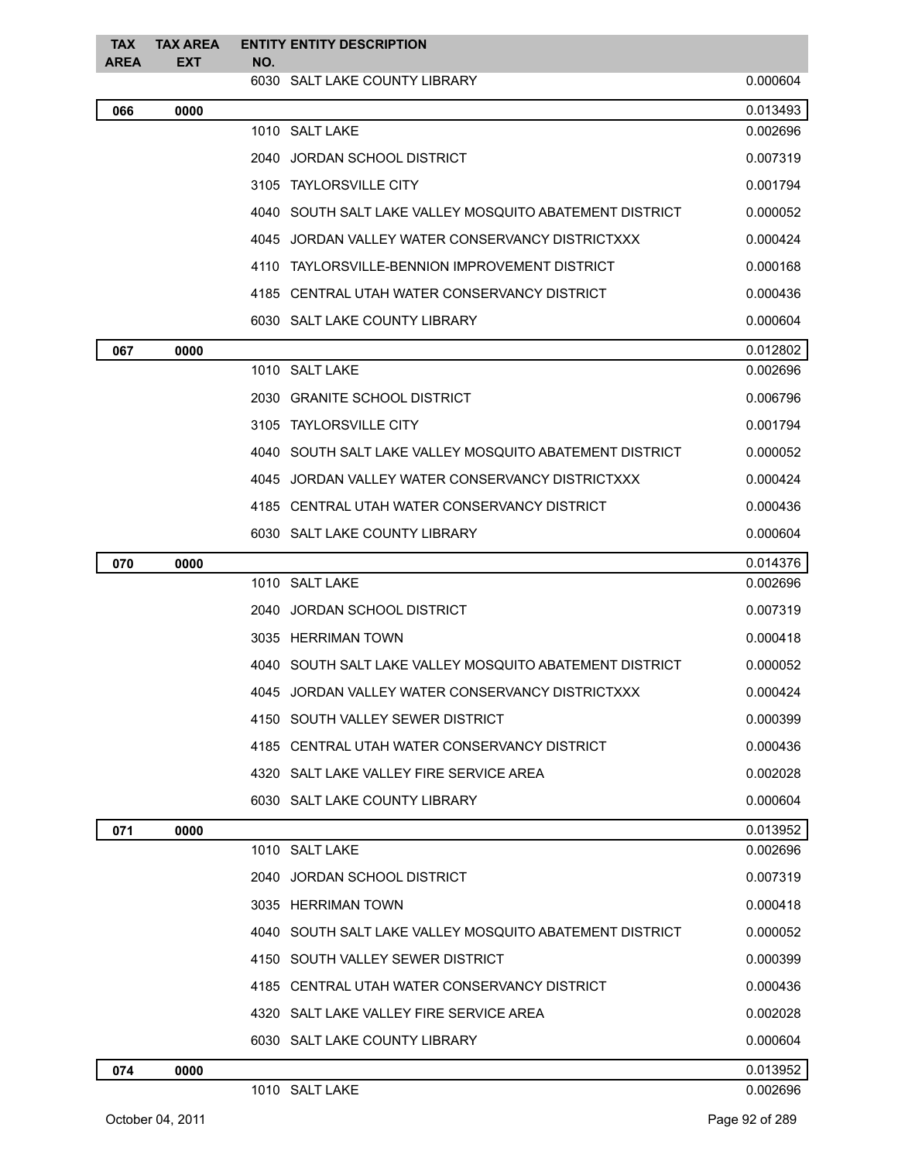| <b>TAX</b><br><b>AREA</b> | <b>TAX AREA</b><br><b>EXT</b> | NO. | <b>ENTITY ENTITY DESCRIPTION</b>                        |          |
|---------------------------|-------------------------------|-----|---------------------------------------------------------|----------|
|                           |                               |     | 6030 SALT LAKE COUNTY LIBRARY                           | 0.000604 |
| 066                       | 0000                          |     |                                                         | 0.013493 |
|                           |                               |     | 1010 SALT LAKE                                          | 0.002696 |
|                           |                               |     | 2040 JORDAN SCHOOL DISTRICT                             | 0.007319 |
|                           |                               |     | 3105 TAYLORSVILLE CITY                                  | 0.001794 |
|                           |                               |     | 4040 SOUTH SALT LAKE VALLEY MOSQUITO ABATEMENT DISTRICT | 0.000052 |
|                           |                               |     | 4045 JORDAN VALLEY WATER CONSERVANCY DISTRICTXXX        | 0.000424 |
|                           |                               |     | 4110 TAYLORSVILLE-BENNION IMPROVEMENT DISTRICT          | 0.000168 |
|                           |                               |     | 4185 CENTRAL UTAH WATER CONSERVANCY DISTRICT            | 0.000436 |
|                           |                               |     | 6030 SALT LAKE COUNTY LIBRARY                           | 0.000604 |
| 067                       | 0000                          |     |                                                         | 0.012802 |
|                           |                               |     | 1010 SALT LAKE                                          | 0.002696 |
|                           |                               |     | 2030 GRANITE SCHOOL DISTRICT                            | 0.006796 |
|                           |                               |     | 3105 TAYLORSVILLE CITY                                  | 0.001794 |
|                           |                               |     | 4040 SOUTH SALT LAKE VALLEY MOSQUITO ABATEMENT DISTRICT | 0.000052 |
|                           |                               |     | 4045 JORDAN VALLEY WATER CONSERVANCY DISTRICTXXX        | 0.000424 |
|                           |                               |     | 4185 CENTRAL UTAH WATER CONSERVANCY DISTRICT            | 0.000436 |
|                           |                               |     | 6030 SALT LAKE COUNTY LIBRARY                           | 0.000604 |
| 070                       | 0000                          |     |                                                         | 0.014376 |
|                           |                               |     | 1010 SALT LAKE                                          | 0.002696 |
|                           |                               |     | 2040 JORDAN SCHOOL DISTRICT                             | 0.007319 |
|                           |                               |     | 3035 HERRIMAN TOWN                                      | 0.000418 |
|                           |                               |     | 4040 SOUTH SALT LAKE VALLEY MOSQUITO ABATEMENT DISTRICT | 0.000052 |
|                           |                               |     | 4045 JORDAN VALLEY WATER CONSERVANCY DISTRICTXXX        | 0.000424 |
|                           |                               |     | 4150 SOUTH VALLEY SEWER DISTRICT                        | 0.000399 |
|                           |                               |     | 4185 CENTRAL UTAH WATER CONSERVANCY DISTRICT            | 0.000436 |
|                           |                               |     | 4320 SALT LAKE VALLEY FIRE SERVICE AREA                 | 0.002028 |
|                           |                               |     | 6030 SALT LAKE COUNTY LIBRARY                           | 0.000604 |
| 071                       | 0000                          |     |                                                         | 0.013952 |
|                           |                               |     | 1010 SALT LAKE                                          | 0.002696 |
|                           |                               |     | 2040 JORDAN SCHOOL DISTRICT                             | 0.007319 |
|                           |                               |     | 3035 HERRIMAN TOWN                                      | 0.000418 |
|                           |                               |     | 4040 SOUTH SALT LAKE VALLEY MOSQUITO ABATEMENT DISTRICT | 0.000052 |
|                           |                               |     | 4150 SOUTH VALLEY SEWER DISTRICT                        | 0.000399 |
|                           |                               |     | 4185 CENTRAL UTAH WATER CONSERVANCY DISTRICT            | 0.000436 |
|                           |                               |     | 4320 SALT LAKE VALLEY FIRE SERVICE AREA                 | 0.002028 |
|                           |                               |     | 6030 SALT LAKE COUNTY LIBRARY                           | 0.000604 |
| 074                       | 0000                          |     |                                                         | 0.013952 |
|                           |                               |     | 1010 SALT LAKE                                          | 0.002696 |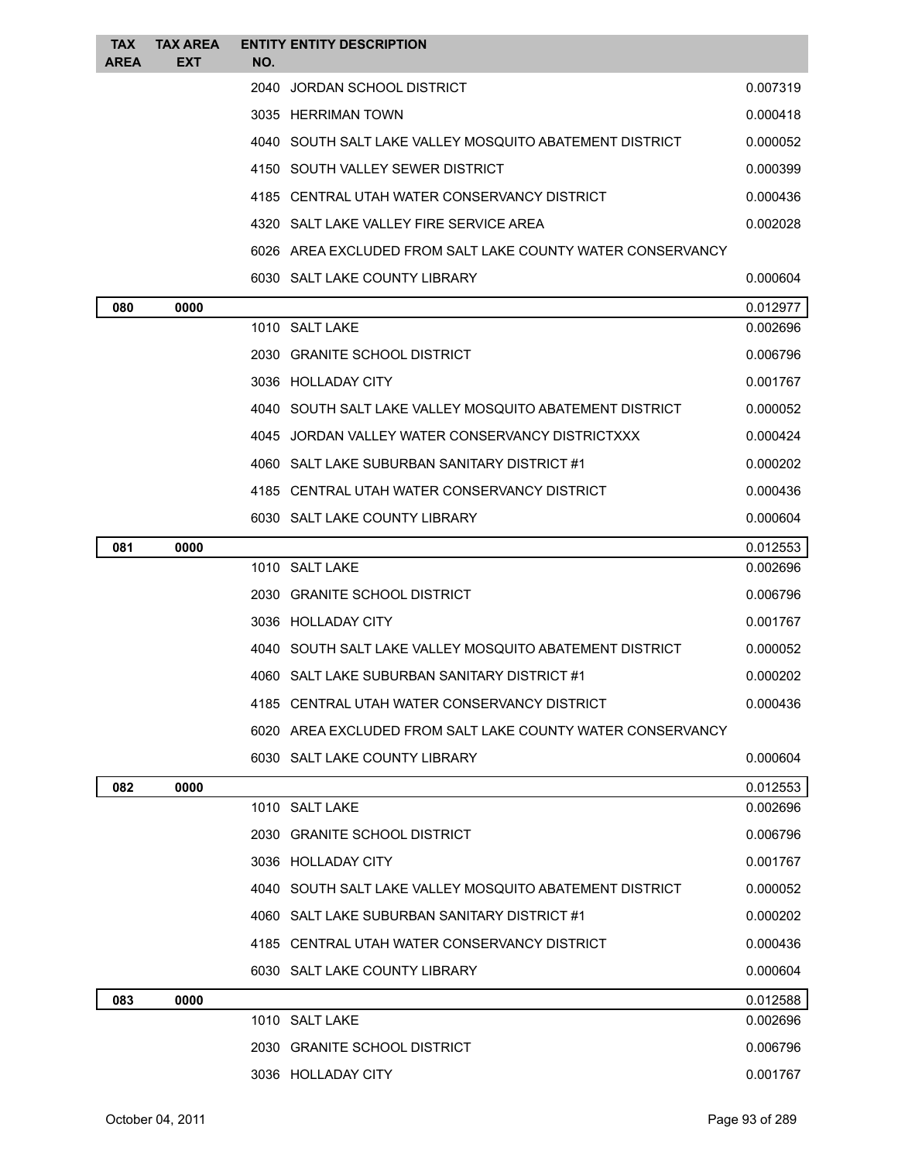| <b>TAX</b>  | <b>TAX AREA</b> |     | <b>ENTITY ENTITY DESCRIPTION</b>                           |          |
|-------------|-----------------|-----|------------------------------------------------------------|----------|
| <b>AREA</b> | <b>EXT</b>      | NO. | 2040 JORDAN SCHOOL DISTRICT                                | 0.007319 |
|             |                 |     | 3035 HERRIMAN TOWN                                         |          |
|             |                 |     |                                                            | 0.000418 |
|             |                 |     | 4040 SOUTH SALT LAKE VALLEY MOSQUITO ABATEMENT DISTRICT    | 0.000052 |
|             |                 |     | 4150 SOUTH VALLEY SEWER DISTRICT                           | 0.000399 |
|             |                 |     | 4185 CENTRAL UTAH WATER CONSERVANCY DISTRICT               | 0.000436 |
|             |                 |     | 4320 SALT LAKE VALLEY FIRE SERVICE AREA                    | 0.002028 |
|             |                 |     | 6026 AREA EXCLUDED FROM SALT LAKE COUNTY WATER CONSERVANCY |          |
|             |                 |     | 6030 SALT LAKE COUNTY LIBRARY                              | 0.000604 |
| 080         | 0000            |     | 1010 SALT LAKE                                             | 0.012977 |
|             |                 |     |                                                            | 0.002696 |
|             |                 |     | 2030 GRANITE SCHOOL DISTRICT                               | 0.006796 |
|             |                 |     | 3036 HOLLADAY CITY                                         | 0.001767 |
|             |                 |     | 4040 SOUTH SALT LAKE VALLEY MOSQUITO ABATEMENT DISTRICT    | 0.000052 |
|             |                 |     | 4045 JORDAN VALLEY WATER CONSERVANCY DISTRICTXXX           | 0.000424 |
|             |                 |     | 4060 SALT LAKE SUBURBAN SANITARY DISTRICT #1               | 0.000202 |
|             |                 |     | 4185 CENTRAL UTAH WATER CONSERVANCY DISTRICT               | 0.000436 |
|             |                 |     | 6030 SALT LAKE COUNTY LIBRARY                              | 0.000604 |
| 081         | 0000            |     |                                                            | 0.012553 |
|             |                 |     | 1010 SALT LAKE                                             | 0.002696 |
|             |                 |     | 2030 GRANITE SCHOOL DISTRICT                               | 0.006796 |
|             |                 |     | 3036 HOLLADAY CITY                                         | 0.001767 |
|             |                 |     | 4040 SOUTH SALT LAKE VALLEY MOSQUITO ABATEMENT DISTRICT    | 0.000052 |
|             |                 |     | 4060 SALT LAKE SUBURBAN SANITARY DISTRICT #1               | 0.000202 |
|             |                 |     | 4185 CENTRAL UTAH WATER CONSERVANCY DISTRICT               | 0.000436 |
|             |                 |     | 6020 AREA EXCLUDED FROM SALT LAKE COUNTY WATER CONSERVANCY |          |
|             |                 |     | 6030 SALT LAKE COUNTY LIBRARY                              | 0.000604 |
| 082         | 0000            |     |                                                            | 0.012553 |
|             |                 |     | 1010 SALT LAKE                                             | 0.002696 |
|             |                 |     | 2030 GRANITE SCHOOL DISTRICT                               | 0.006796 |
|             |                 |     | 3036 HOLLADAY CITY                                         | 0.001767 |
|             |                 |     | 4040 SOUTH SALT LAKE VALLEY MOSQUITO ABATEMENT DISTRICT    | 0.000052 |
|             |                 |     | 4060 SALT LAKE SUBURBAN SANITARY DISTRICT #1               | 0.000202 |
|             |                 |     | 4185 CENTRAL UTAH WATER CONSERVANCY DISTRICT               | 0.000436 |
|             |                 |     | 6030 SALT LAKE COUNTY LIBRARY                              | 0.000604 |
| 083         | 0000            |     |                                                            | 0.012588 |
|             |                 |     | 1010 SALT LAKE                                             | 0.002696 |
|             |                 |     | 2030 GRANITE SCHOOL DISTRICT                               | 0.006796 |
|             |                 |     | 3036 HOLLADAY CITY                                         | 0.001767 |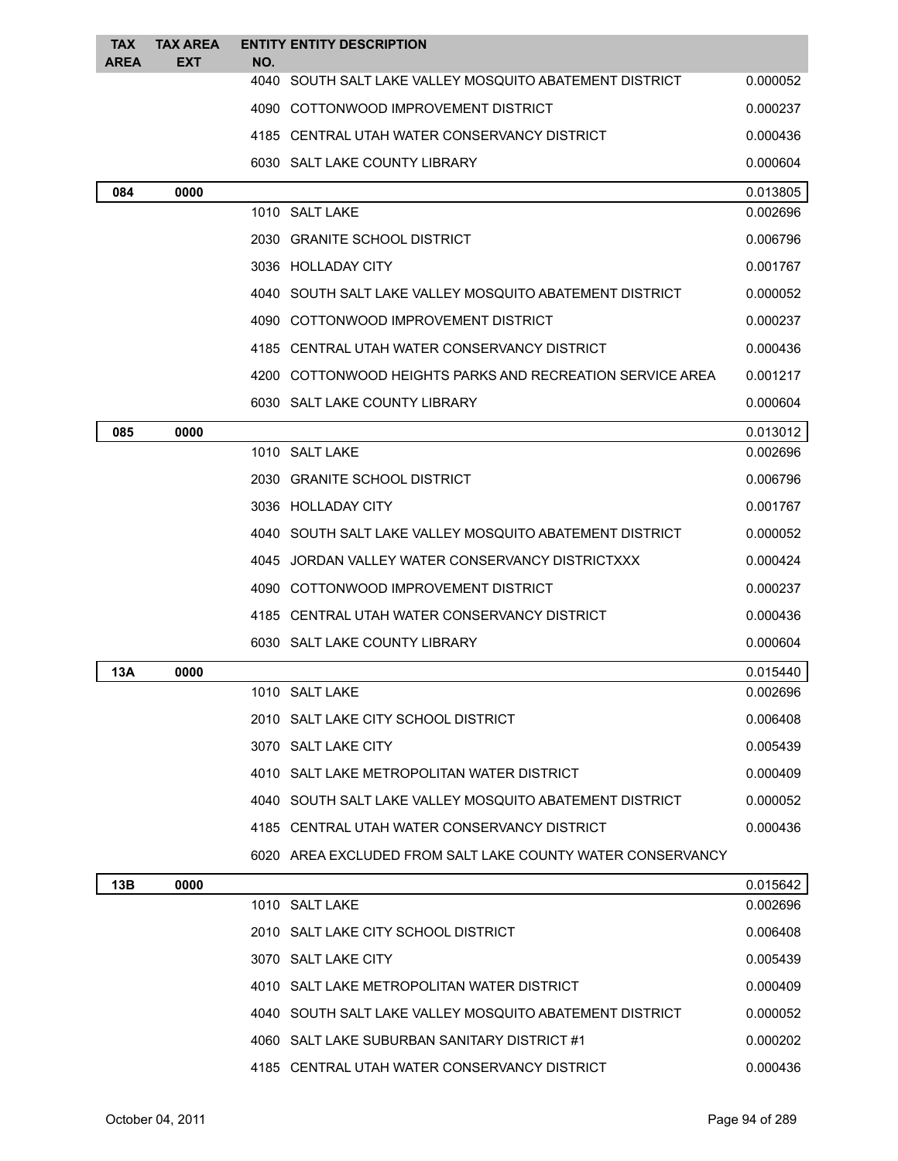| <b>TAX</b><br><b>AREA</b> | <b>TAX AREA</b><br><b>EXT</b> | NO. | <b>ENTITY ENTITY DESCRIPTION</b>                           |          |
|---------------------------|-------------------------------|-----|------------------------------------------------------------|----------|
|                           |                               |     | 4040 SOUTH SALT LAKE VALLEY MOSQUITO ABATEMENT DISTRICT    | 0.000052 |
|                           |                               |     | 4090 COTTONWOOD IMPROVEMENT DISTRICT                       | 0.000237 |
|                           |                               |     | 4185 CENTRAL UTAH WATER CONSERVANCY DISTRICT               | 0.000436 |
|                           |                               |     | 6030 SALT LAKE COUNTY LIBRARY                              | 0.000604 |
| 084                       | 0000                          |     |                                                            | 0.013805 |
|                           |                               |     | 1010 SALT LAKE                                             | 0.002696 |
|                           |                               |     | 2030 GRANITE SCHOOL DISTRICT                               | 0.006796 |
|                           |                               |     | 3036 HOLLADAY CITY                                         | 0.001767 |
|                           |                               |     | 4040 SOUTH SALT LAKE VALLEY MOSQUITO ABATEMENT DISTRICT    | 0.000052 |
|                           |                               |     | 4090 COTTONWOOD IMPROVEMENT DISTRICT                       | 0.000237 |
|                           |                               |     | 4185 CENTRAL UTAH WATER CONSERVANCY DISTRICT               | 0.000436 |
|                           |                               |     | 4200 COTTONWOOD HEIGHTS PARKS AND RECREATION SERVICE AREA  | 0.001217 |
|                           |                               |     | 6030 SALT LAKE COUNTY LIBRARY                              | 0.000604 |
| 085                       | 0000                          |     |                                                            | 0.013012 |
|                           |                               |     | 1010 SALT LAKE                                             | 0.002696 |
|                           |                               |     | 2030 GRANITE SCHOOL DISTRICT                               | 0.006796 |
|                           |                               |     | 3036 HOLLADAY CITY                                         | 0.001767 |
|                           |                               |     | 4040 SOUTH SALT LAKE VALLEY MOSQUITO ABATEMENT DISTRICT    | 0.000052 |
|                           |                               |     | 4045 JORDAN VALLEY WATER CONSERVANCY DISTRICTXXX           | 0.000424 |
|                           |                               |     | 4090 COTTONWOOD IMPROVEMENT DISTRICT                       | 0.000237 |
|                           |                               |     | 4185 CENTRAL UTAH WATER CONSERVANCY DISTRICT               | 0.000436 |
|                           |                               |     | 6030 SALT LAKE COUNTY LIBRARY                              | 0.000604 |
| 13A                       | 0000                          |     |                                                            | 0.015440 |
|                           |                               |     | 1010 SALT LAKE                                             | 0.002696 |
|                           |                               |     | 2010 SALT LAKE CITY SCHOOL DISTRICT                        | 0.006408 |
|                           |                               |     | 3070 SALT LAKE CITY                                        | 0.005439 |
|                           |                               |     | 4010 SALT LAKE METROPOLITAN WATER DISTRICT                 | 0.000409 |
|                           |                               |     | 4040 SOUTH SALT LAKE VALLEY MOSQUITO ABATEMENT DISTRICT    | 0.000052 |
|                           |                               |     | 4185 CENTRAL UTAH WATER CONSERVANCY DISTRICT               | 0.000436 |
|                           |                               |     | 6020 AREA EXCLUDED FROM SALT LAKE COUNTY WATER CONSERVANCY |          |
| 13B                       | 0000                          |     |                                                            | 0.015642 |
|                           |                               |     | 1010 SALT LAKE                                             | 0.002696 |
|                           |                               |     | 2010 SALT LAKE CITY SCHOOL DISTRICT                        | 0.006408 |
|                           |                               |     | 3070 SALT LAKE CITY                                        | 0.005439 |
|                           |                               |     | 4010 SALT LAKE METROPOLITAN WATER DISTRICT                 | 0.000409 |
|                           |                               |     | 4040 SOUTH SALT LAKE VALLEY MOSQUITO ABATEMENT DISTRICT    | 0.000052 |
|                           |                               |     | 4060 SALT LAKE SUBURBAN SANITARY DISTRICT #1               | 0.000202 |
|                           |                               |     | 4185 CENTRAL UTAH WATER CONSERVANCY DISTRICT               | 0.000436 |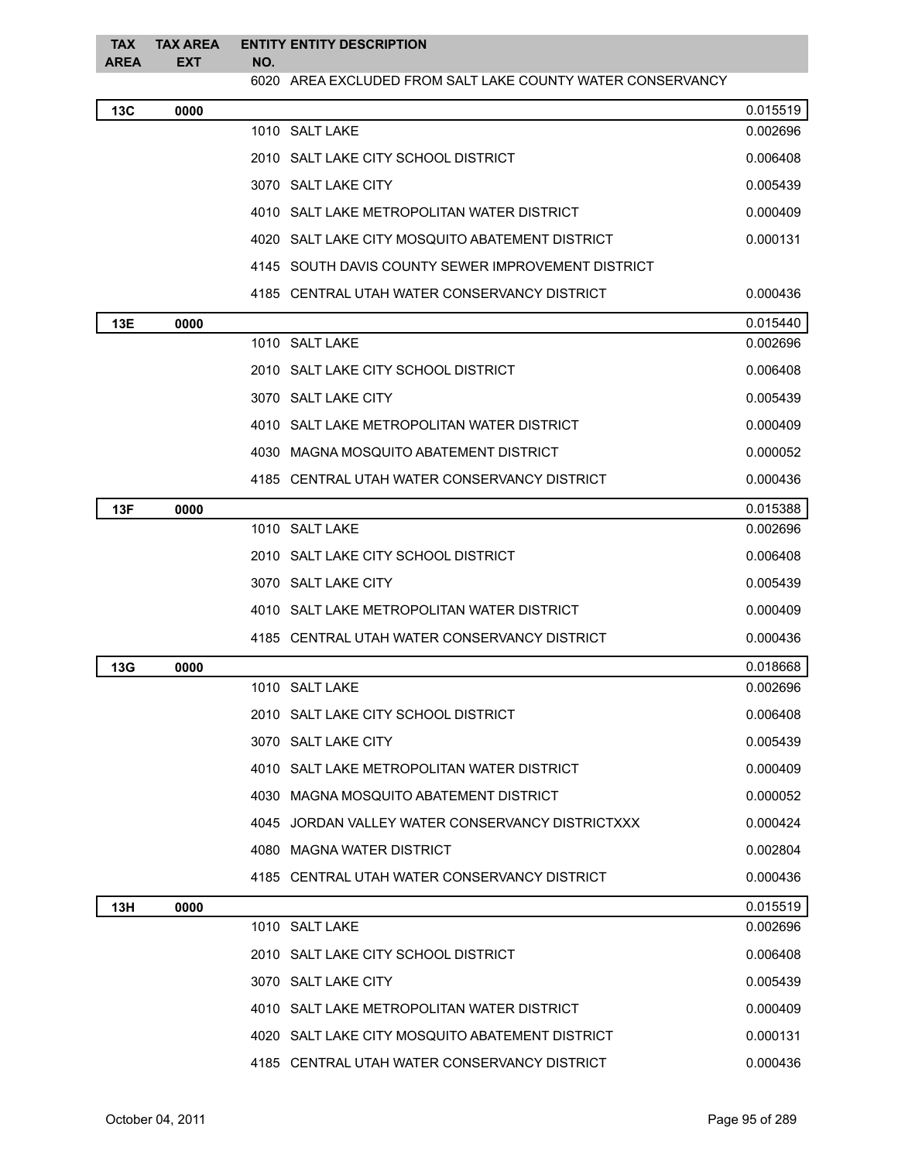| <b>TAX</b><br><b>AREA</b> | <b>TAX AREA</b><br><b>EXT</b> | NO. | <b>ENTITY ENTITY DESCRIPTION</b>                           |          |
|---------------------------|-------------------------------|-----|------------------------------------------------------------|----------|
|                           |                               |     | 6020 AREA EXCLUDED FROM SALT LAKE COUNTY WATER CONSERVANCY |          |
| 13C                       | 0000                          |     |                                                            | 0.015519 |
|                           |                               |     | 1010 SALT LAKE                                             | 0.002696 |
|                           |                               |     | 2010 SALT LAKE CITY SCHOOL DISTRICT                        | 0.006408 |
|                           |                               |     | 3070 SALT LAKE CITY                                        | 0.005439 |
|                           |                               |     | 4010 SALT LAKE METROPOLITAN WATER DISTRICT                 | 0.000409 |
|                           |                               |     | 4020 SALT LAKE CITY MOSQUITO ABATEMENT DISTRICT            | 0.000131 |
|                           |                               |     | 4145 SOUTH DAVIS COUNTY SEWER IMPROVEMENT DISTRICT         |          |
|                           |                               |     | 4185 CENTRAL UTAH WATER CONSERVANCY DISTRICT               | 0.000436 |
| 13E                       | 0000                          |     |                                                            | 0.015440 |
|                           |                               |     | 1010 SALT LAKE                                             | 0.002696 |
|                           |                               |     | 2010 SALT LAKE CITY SCHOOL DISTRICT                        | 0.006408 |
|                           |                               |     | 3070 SALT LAKE CITY                                        | 0.005439 |
|                           |                               |     | 4010 SALT LAKE METROPOLITAN WATER DISTRICT                 | 0.000409 |
|                           |                               |     | 4030 MAGNA MOSQUITO ABATEMENT DISTRICT                     | 0.000052 |
|                           |                               |     | 4185 CENTRAL UTAH WATER CONSERVANCY DISTRICT               | 0.000436 |
| 13F                       | 0000                          |     |                                                            | 0.015388 |
|                           |                               |     | 1010 SALT LAKE                                             | 0.002696 |
|                           |                               |     | 2010 SALT LAKE CITY SCHOOL DISTRICT                        | 0.006408 |
|                           |                               |     | 3070 SALT LAKE CITY                                        | 0.005439 |
|                           |                               |     | 4010 SALT LAKE METROPOLITAN WATER DISTRICT                 | 0.000409 |
|                           |                               |     | 4185 CENTRAL UTAH WATER CONSERVANCY DISTRICT               | 0.000436 |
| 13G                       | 0000                          |     |                                                            | 0.018668 |
|                           |                               |     | 1010 SALT LAKE                                             | 0.002696 |
|                           |                               |     | 2010 SALT LAKE CITY SCHOOL DISTRICT                        | 0.006408 |
|                           |                               |     | 3070 SALT LAKE CITY                                        | 0.005439 |
|                           |                               |     | 4010 SALT LAKE METROPOLITAN WATER DISTRICT                 | 0.000409 |
|                           |                               |     | 4030 MAGNA MOSQUITO ABATEMENT DISTRICT                     | 0.000052 |
|                           |                               |     | 4045 JORDAN VALLEY WATER CONSERVANCY DISTRICTXXX           | 0.000424 |
|                           |                               |     | 4080 MAGNA WATER DISTRICT                                  | 0.002804 |
|                           |                               |     | 4185 CENTRAL UTAH WATER CONSERVANCY DISTRICT               | 0.000436 |
| 13H                       | 0000                          |     |                                                            | 0.015519 |
|                           |                               |     | 1010 SALT LAKE                                             | 0.002696 |
|                           |                               |     | 2010 SALT LAKE CITY SCHOOL DISTRICT                        | 0.006408 |
|                           |                               |     | 3070 SALT LAKE CITY                                        | 0.005439 |
|                           |                               |     | 4010 SALT LAKE METROPOLITAN WATER DISTRICT                 | 0.000409 |
|                           |                               |     | 4020 SALT LAKE CITY MOSQUITO ABATEMENT DISTRICT            | 0.000131 |
|                           |                               |     | 4185 CENTRAL UTAH WATER CONSERVANCY DISTRICT               | 0.000436 |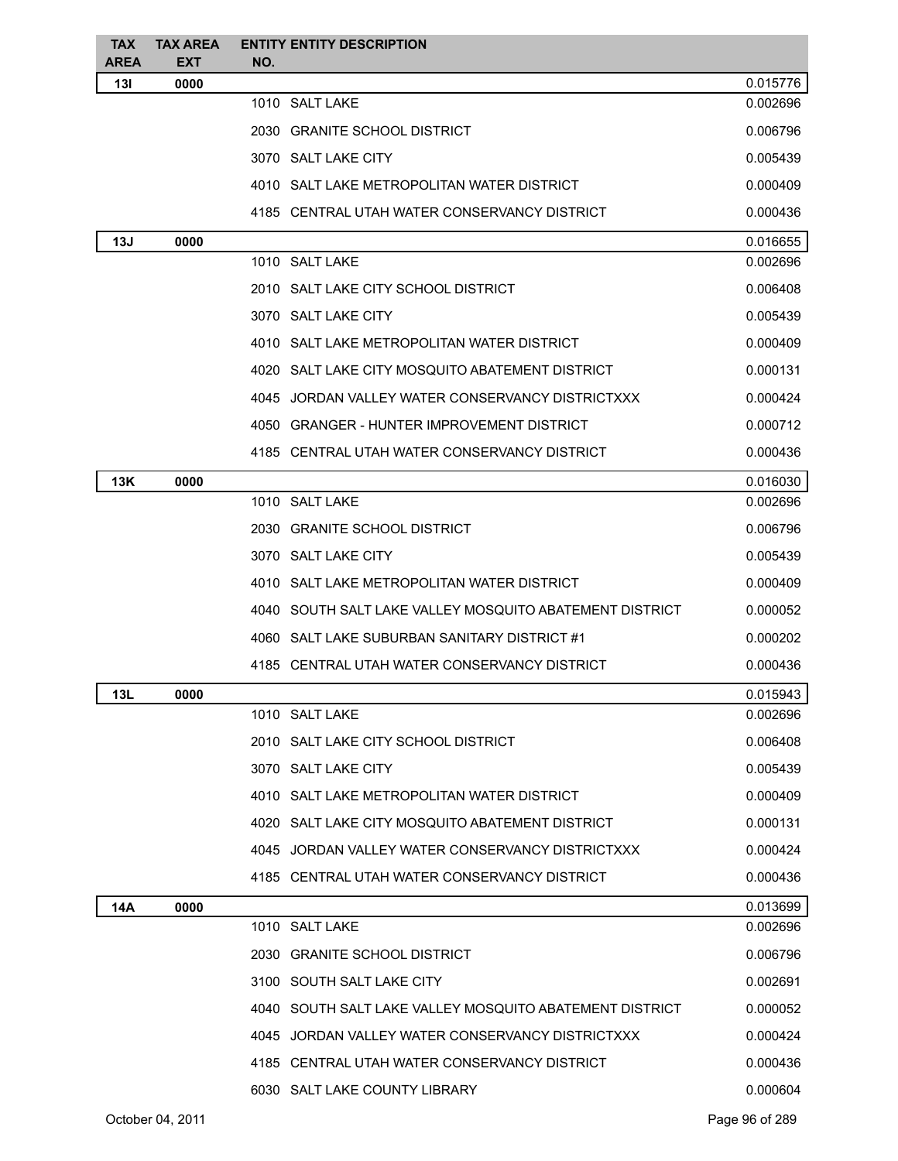| <b>TAX</b>         | <b>TAX AREA</b>    | <b>ENTITY ENTITY DESCRIPTION</b>                        |          |
|--------------------|--------------------|---------------------------------------------------------|----------|
| <b>AREA</b><br>13I | <b>EXT</b><br>0000 | NO.                                                     | 0.015776 |
|                    |                    | 1010 SALT LAKE                                          | 0.002696 |
|                    |                    | 2030 GRANITE SCHOOL DISTRICT                            | 0.006796 |
|                    |                    | 3070 SALT LAKE CITY                                     | 0.005439 |
|                    |                    | 4010 SALT LAKE METROPOLITAN WATER DISTRICT              | 0.000409 |
|                    |                    | 4185 CENTRAL UTAH WATER CONSERVANCY DISTRICT            | 0.000436 |
| 13J                | 0000               |                                                         | 0.016655 |
|                    |                    | 1010 SALT LAKE                                          | 0.002696 |
|                    |                    | 2010 SALT LAKE CITY SCHOOL DISTRICT                     | 0.006408 |
|                    |                    | 3070 SALT LAKE CITY                                     | 0.005439 |
|                    |                    | 4010 SALT LAKE METROPOLITAN WATER DISTRICT              | 0.000409 |
|                    |                    | 4020 SALT LAKE CITY MOSQUITO ABATEMENT DISTRICT         | 0.000131 |
|                    |                    | 4045 JORDAN VALLEY WATER CONSERVANCY DISTRICTXXX        | 0.000424 |
|                    |                    | 4050 GRANGER - HUNTER IMPROVEMENT DISTRICT              | 0.000712 |
|                    |                    | 4185 CENTRAL UTAH WATER CONSERVANCY DISTRICT            | 0.000436 |
| 13K                | 0000               |                                                         | 0.016030 |
|                    |                    | 1010 SALT LAKE                                          | 0.002696 |
|                    |                    | 2030 GRANITE SCHOOL DISTRICT                            | 0.006796 |
|                    |                    | 3070 SALT LAKE CITY                                     | 0.005439 |
|                    |                    | 4010 SALT LAKE METROPOLITAN WATER DISTRICT              | 0.000409 |
|                    |                    | 4040 SOUTH SALT LAKE VALLEY MOSQUITO ABATEMENT DISTRICT | 0.000052 |
|                    |                    | 4060 SALT LAKE SUBURBAN SANITARY DISTRICT #1            | 0.000202 |
|                    |                    | 4185 CENTRAL UTAH WATER CONSERVANCY DISTRICT            | 0.000436 |
| 13L                | 0000               |                                                         | 0.015943 |
|                    |                    | 1010 SALT LAKE                                          | 0.002696 |
|                    |                    | 2010 SALT LAKE CITY SCHOOL DISTRICT                     | 0.006408 |
|                    |                    | 3070 SALT LAKE CITY                                     | 0.005439 |
|                    |                    | 4010 SALT LAKE METROPOLITAN WATER DISTRICT              | 0.000409 |
|                    |                    | 4020 SALT LAKE CITY MOSQUITO ABATEMENT DISTRICT         | 0.000131 |
|                    |                    | 4045 JORDAN VALLEY WATER CONSERVANCY DISTRICTXXX        | 0.000424 |
|                    |                    | 4185 CENTRAL UTAH WATER CONSERVANCY DISTRICT            | 0.000436 |
| 14A                | 0000               |                                                         | 0.013699 |
|                    |                    | 1010 SALT LAKE                                          | 0.002696 |
|                    |                    | 2030 GRANITE SCHOOL DISTRICT                            | 0.006796 |
|                    |                    | 3100 SOUTH SALT LAKE CITY                               | 0.002691 |
|                    |                    | 4040 SOUTH SALT LAKE VALLEY MOSQUITO ABATEMENT DISTRICT | 0.000052 |
|                    |                    | 4045 JORDAN VALLEY WATER CONSERVANCY DISTRICTXXX        | 0.000424 |
|                    |                    | 4185 CENTRAL UTAH WATER CONSERVANCY DISTRICT            | 0.000436 |
|                    |                    | 6030 SALT LAKE COUNTY LIBRARY                           | 0.000604 |
|                    |                    |                                                         |          |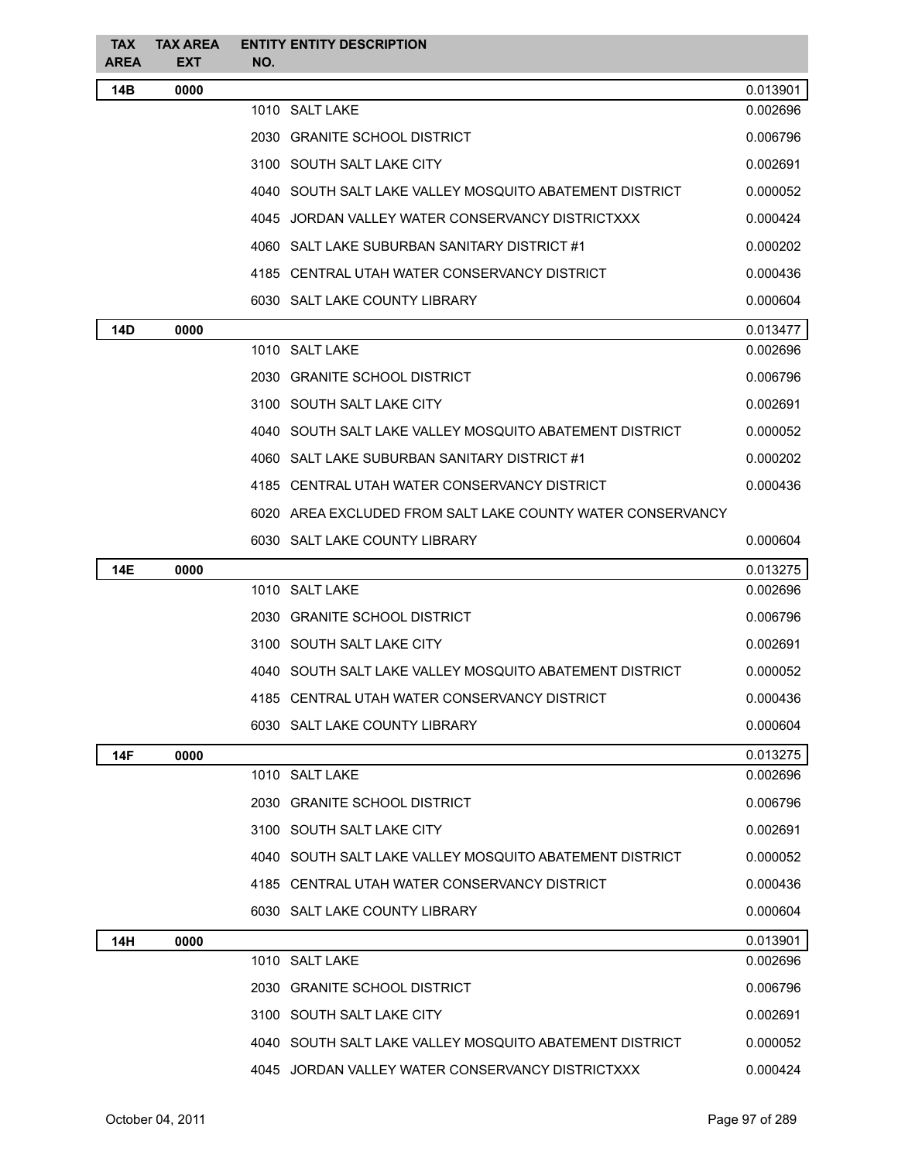| <b>TAX</b><br><b>AREA</b> | <b>TAX AREA</b><br><b>EXT</b> | NO. | <b>ENTITY ENTITY DESCRIPTION</b>                           |          |
|---------------------------|-------------------------------|-----|------------------------------------------------------------|----------|
| 14B                       | 0000                          |     |                                                            | 0.013901 |
|                           |                               |     | 1010 SALT LAKE                                             | 0.002696 |
|                           |                               |     | 2030 GRANITE SCHOOL DISTRICT                               | 0.006796 |
|                           |                               |     | 3100 SOUTH SALT LAKE CITY                                  | 0.002691 |
|                           |                               |     | 4040 SOUTH SALT LAKE VALLEY MOSQUITO ABATEMENT DISTRICT    | 0.000052 |
|                           |                               |     | 4045 JORDAN VALLEY WATER CONSERVANCY DISTRICTXXX           | 0.000424 |
|                           |                               |     | 4060 SALT LAKE SUBURBAN SANITARY DISTRICT #1               | 0.000202 |
|                           |                               |     | 4185 CENTRAL UTAH WATER CONSERVANCY DISTRICT               | 0.000436 |
|                           |                               |     | 6030 SALT LAKE COUNTY LIBRARY                              | 0.000604 |
| <b>14D</b>                | 0000                          |     |                                                            | 0.013477 |
|                           |                               |     | 1010 SALT LAKE                                             | 0.002696 |
|                           |                               |     | 2030 GRANITE SCHOOL DISTRICT                               | 0.006796 |
|                           |                               |     | 3100 SOUTH SALT LAKE CITY                                  | 0.002691 |
|                           |                               |     | 4040 SOUTH SALT LAKE VALLEY MOSQUITO ABATEMENT DISTRICT    | 0.000052 |
|                           |                               |     | 4060 SALT LAKE SUBURBAN SANITARY DISTRICT #1               | 0.000202 |
|                           |                               |     | 4185 CENTRAL UTAH WATER CONSERVANCY DISTRICT               | 0.000436 |
|                           |                               |     | 6020 AREA EXCLUDED FROM SALT LAKE COUNTY WATER CONSERVANCY |          |
|                           |                               |     | 6030 SALT LAKE COUNTY LIBRARY                              | 0.000604 |
| <b>14E</b>                | 0000                          |     |                                                            | 0.013275 |
|                           |                               |     | 1010 SALT LAKE                                             | 0.002696 |
|                           |                               |     | 2030 GRANITE SCHOOL DISTRICT                               | 0.006796 |
|                           |                               |     | 3100 SOUTH SALT LAKE CITY                                  | 0.002691 |
|                           |                               |     | 4040   SOUTH SALT LAKE VALLEY MOSQUITO ABATEMENT DISTRICT  | 0.000052 |
|                           |                               |     | 4185 CENTRAL UTAH WATER CONSERVANCY DISTRICT               | 0.000436 |
|                           |                               |     | 6030 SALT LAKE COUNTY LIBRARY                              | 0.000604 |
| 14F                       | 0000                          |     |                                                            | 0.013275 |
|                           |                               |     | 1010 SALT LAKE                                             | 0.002696 |
|                           |                               |     | 2030 GRANITE SCHOOL DISTRICT                               | 0.006796 |
|                           |                               |     | 3100 SOUTH SALT LAKE CITY                                  | 0.002691 |
|                           |                               |     | 4040   SOUTH SALT LAKE VALLEY MOSQUITO ABATEMENT DISTRICT  | 0.000052 |
|                           |                               |     | 4185 CENTRAL UTAH WATER CONSERVANCY DISTRICT               | 0.000436 |
|                           |                               |     | 6030 SALT LAKE COUNTY LIBRARY                              | 0.000604 |
| 14H                       | 0000                          |     |                                                            | 0.013901 |
|                           |                               |     | 1010 SALT LAKE                                             | 0.002696 |
|                           |                               |     | 2030 GRANITE SCHOOL DISTRICT                               | 0.006796 |
|                           |                               |     | 3100 SOUTH SALT LAKE CITY                                  | 0.002691 |
|                           |                               |     | 4040 SOUTH SALT LAKE VALLEY MOSQUITO ABATEMENT DISTRICT    | 0.000052 |
|                           |                               |     | 4045 JORDAN VALLEY WATER CONSERVANCY DISTRICTXXX           | 0.000424 |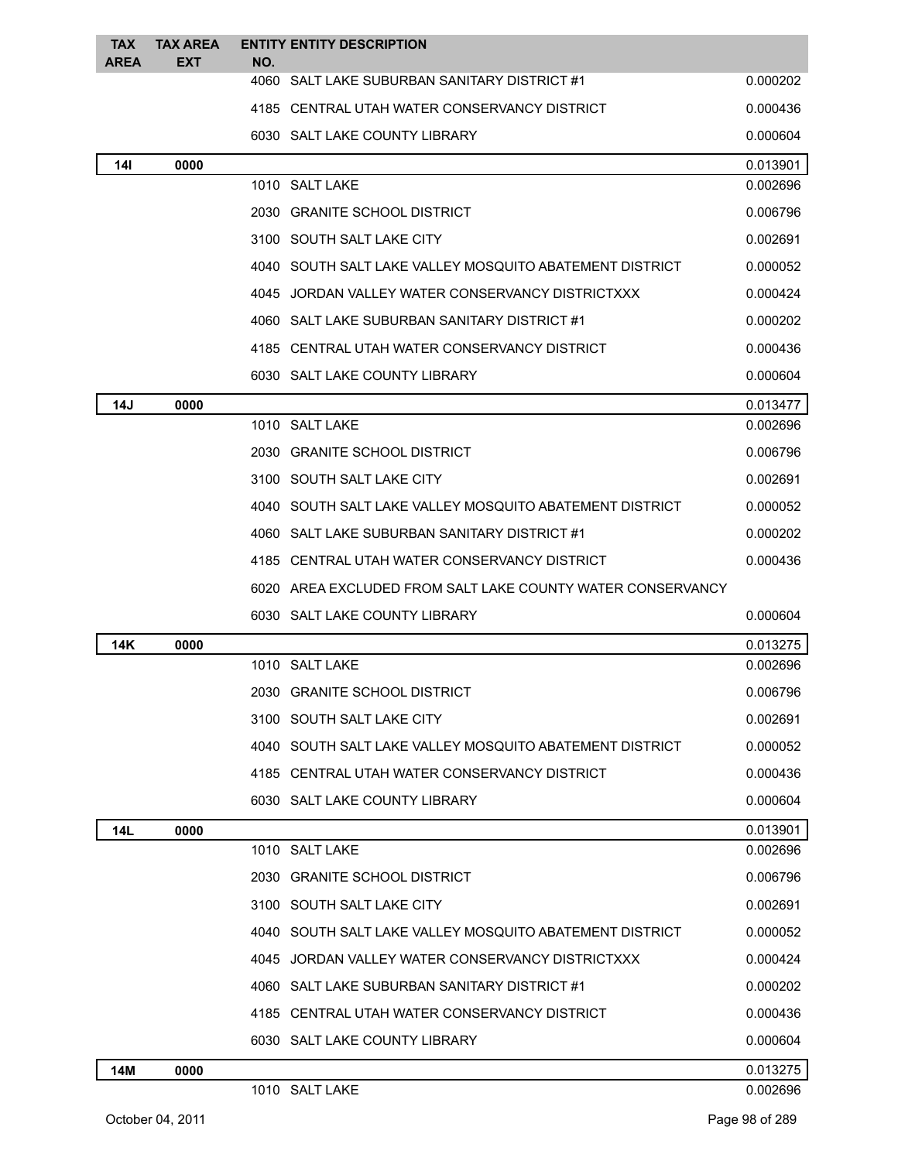| <b>TAX</b><br><b>AREA</b> | <b>TAX AREA</b><br><b>EXT</b> | NO. | <b>ENTITY ENTITY DESCRIPTION</b>                           |          |
|---------------------------|-------------------------------|-----|------------------------------------------------------------|----------|
|                           |                               |     | 4060 SALT LAKE SUBURBAN SANITARY DISTRICT #1               | 0.000202 |
|                           |                               |     | 4185 CENTRAL UTAH WATER CONSERVANCY DISTRICT               | 0.000436 |
|                           |                               |     | 6030 SALT LAKE COUNTY LIBRARY                              | 0.000604 |
| <b>14l</b>                | 0000                          |     |                                                            | 0.013901 |
|                           |                               |     | 1010 SALT LAKE                                             | 0.002696 |
|                           |                               |     | 2030 GRANITE SCHOOL DISTRICT                               | 0.006796 |
|                           |                               |     | 3100 SOUTH SALT LAKE CITY                                  | 0.002691 |
|                           |                               |     | 4040 SOUTH SALT LAKE VALLEY MOSQUITO ABATEMENT DISTRICT    | 0.000052 |
|                           |                               |     | 4045 JORDAN VALLEY WATER CONSERVANCY DISTRICTXXX           | 0.000424 |
|                           |                               |     | 4060 SALT LAKE SUBURBAN SANITARY DISTRICT #1               | 0.000202 |
|                           |                               |     | 4185 CENTRAL UTAH WATER CONSERVANCY DISTRICT               | 0.000436 |
|                           |                               |     | 6030 SALT LAKE COUNTY LIBRARY                              | 0.000604 |
| 14J                       | 0000                          |     |                                                            | 0.013477 |
|                           |                               |     | 1010 SALT LAKE                                             | 0.002696 |
|                           |                               |     | 2030 GRANITE SCHOOL DISTRICT                               | 0.006796 |
|                           |                               |     | 3100 SOUTH SALT LAKE CITY                                  | 0.002691 |
|                           |                               |     | 4040 SOUTH SALT LAKE VALLEY MOSQUITO ABATEMENT DISTRICT    | 0.000052 |
|                           |                               |     | 4060 SALT LAKE SUBURBAN SANITARY DISTRICT #1               | 0.000202 |
|                           |                               |     | 4185 CENTRAL UTAH WATER CONSERVANCY DISTRICT               | 0.000436 |
|                           |                               |     | 6020 AREA EXCLUDED FROM SALT LAKE COUNTY WATER CONSERVANCY |          |
|                           |                               |     | 6030 SALT LAKE COUNTY LIBRARY                              | 0.000604 |
| 14K                       | 0000                          |     |                                                            | 0.013275 |
|                           |                               |     | 1010 SALT LAKE                                             | 0.002696 |
|                           |                               |     | 2030 GRANITE SCHOOL DISTRICT                               | 0.006796 |
|                           |                               |     | 3100 SOUTH SALT LAKE CITY                                  | 0.002691 |
|                           |                               |     | 4040 SOUTH SALT LAKE VALLEY MOSQUITO ABATEMENT DISTRICT    | 0.000052 |
|                           |                               |     | 4185 CENTRAL UTAH WATER CONSERVANCY DISTRICT               | 0.000436 |
|                           |                               |     | 6030 SALT LAKE COUNTY LIBRARY                              | 0.000604 |
| <b>14L</b>                | 0000                          |     |                                                            | 0.013901 |
|                           |                               |     | 1010 SALT LAKE                                             | 0.002696 |
|                           |                               |     | 2030 GRANITE SCHOOL DISTRICT                               | 0.006796 |
|                           |                               |     | 3100 SOUTH SALT LAKE CITY                                  | 0.002691 |
|                           |                               |     | 4040 SOUTH SALT LAKE VALLEY MOSQUITO ABATEMENT DISTRICT    | 0.000052 |
|                           |                               |     | 4045 JORDAN VALLEY WATER CONSERVANCY DISTRICTXXX           | 0.000424 |
|                           |                               |     | 4060 SALT LAKE SUBURBAN SANITARY DISTRICT #1               | 0.000202 |
|                           |                               |     | 4185 CENTRAL UTAH WATER CONSERVANCY DISTRICT               | 0.000436 |
|                           |                               |     | 6030 SALT LAKE COUNTY LIBRARY                              | 0.000604 |
| 14M                       | 0000                          |     |                                                            | 0.013275 |
|                           |                               |     | 1010 SALT LAKE                                             | 0.002696 |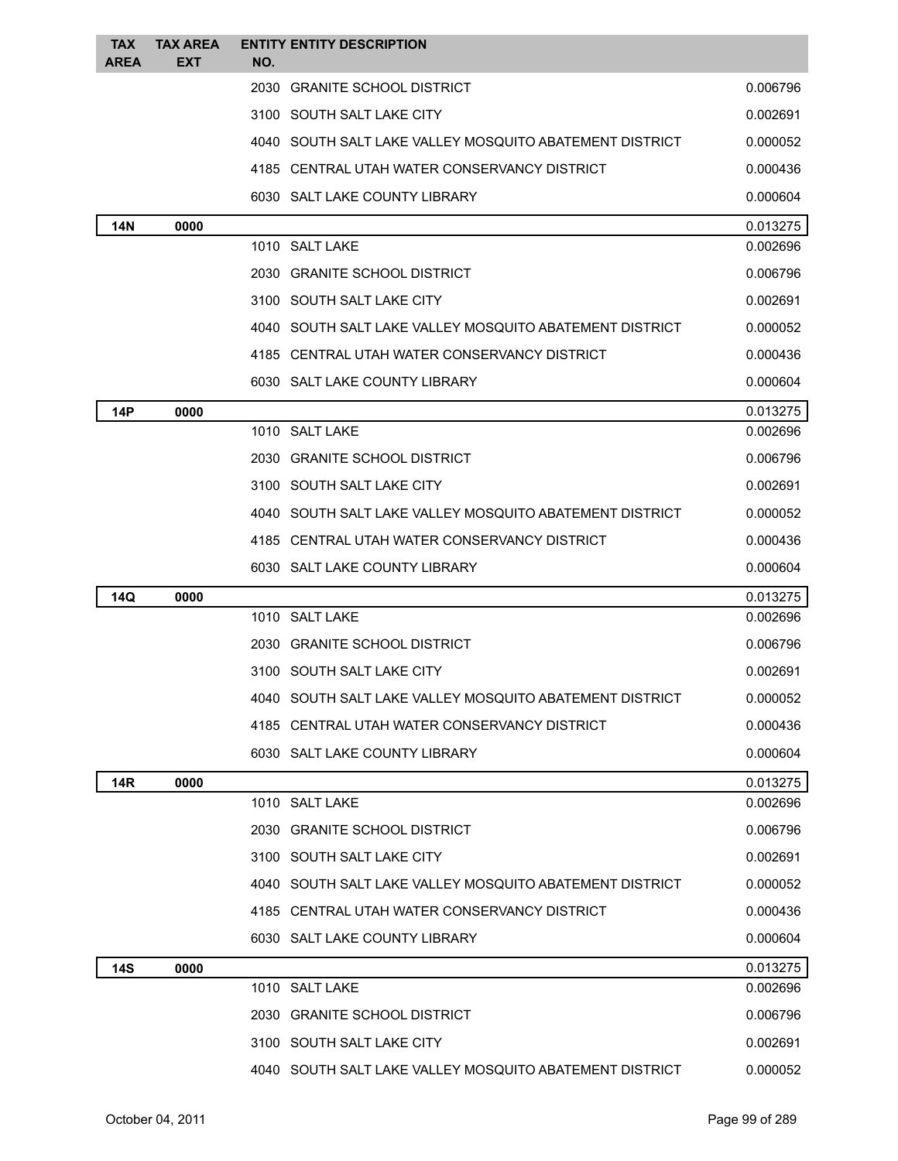| <b>TAX</b><br><b>AREA</b> | <b>TAX AREA</b><br><b>EXT</b> | <b>ENTITY ENTITY DESCRIPTION</b><br>NO.                 |          |
|---------------------------|-------------------------------|---------------------------------------------------------|----------|
|                           |                               | 2030 GRANITE SCHOOL DISTRICT                            | 0.006796 |
|                           |                               | 3100 SOUTH SALT LAKE CITY                               | 0.002691 |
|                           |                               | 4040 SOUTH SALT LAKE VALLEY MOSQUITO ABATEMENT DISTRICT | 0.000052 |
|                           |                               | 4185 CENTRAL UTAH WATER CONSERVANCY DISTRICT            | 0.000436 |
|                           |                               | 6030 SALT LAKE COUNTY LIBRARY                           | 0.000604 |
|                           | 0000                          |                                                         | 0.013275 |
| 14N                       |                               | 1010 SALT LAKE                                          | 0.002696 |
|                           |                               | 2030 GRANITE SCHOOL DISTRICT                            | 0.006796 |
|                           |                               | 3100 SOUTH SALT LAKE CITY                               | 0.002691 |
|                           |                               | 4040 SOUTH SALT LAKE VALLEY MOSQUITO ABATEMENT DISTRICT | 0.000052 |
|                           |                               | 4185 CENTRAL UTAH WATER CONSERVANCY DISTRICT            | 0.000436 |
|                           |                               | 6030 SALT LAKE COUNTY LIBRARY                           | 0.000604 |
| 14P                       | 0000                          |                                                         | 0.013275 |
|                           |                               | 1010 SALT LAKE                                          | 0.002696 |
|                           |                               | 2030 GRANITE SCHOOL DISTRICT                            | 0.006796 |
|                           |                               | 3100 SOUTH SALT LAKE CITY                               | 0.002691 |
|                           |                               | 4040 SOUTH SALT LAKE VALLEY MOSQUITO ABATEMENT DISTRICT | 0.000052 |
|                           |                               | 4185 CENTRAL UTAH WATER CONSERVANCY DISTRICT            | 0.000436 |
|                           |                               | 6030 SALT LAKE COUNTY LIBRARY                           | 0.000604 |
| 14Q                       | 0000                          |                                                         | 0.013275 |
|                           |                               | 1010 SALT LAKE                                          | 0.002696 |
|                           |                               | 2030 GRANITE SCHOOL DISTRICT                            | 0.006796 |
|                           |                               | 3100 SOUTH SALT LAKE CITY                               | 0.002691 |
|                           |                               | 4040 SOUTH SALT LAKE VALLEY MOSQUITO ABATEMENT DISTRICT | 0.000052 |
|                           |                               | 4185 CENTRAL UTAH WATER CONSERVANCY DISTRICT            | 0.000436 |
|                           |                               | 6030 SALT LAKE COUNTY LIBRARY                           | 0.000604 |
| 14R                       | 0000                          |                                                         | 0.013275 |
|                           |                               | 1010 SALT LAKE                                          | 0.002696 |
|                           |                               | 2030 GRANITE SCHOOL DISTRICT                            | 0.006796 |
|                           |                               | 3100 SOUTH SALT LAKE CITY                               | 0.002691 |
|                           |                               | 4040 SOUTH SALT LAKE VALLEY MOSQUITO ABATEMENT DISTRICT | 0.000052 |
|                           |                               | 4185 CENTRAL UTAH WATER CONSERVANCY DISTRICT            | 0.000436 |
|                           |                               | 6030 SALT LAKE COUNTY LIBRARY                           | 0.000604 |
| <b>14S</b>                | 0000                          |                                                         | 0.013275 |
|                           |                               | 1010 SALT LAKE                                          | 0.002696 |
|                           |                               | 2030 GRANITE SCHOOL DISTRICT                            | 0.006796 |
|                           |                               | 3100 SOUTH SALT LAKE CITY                               | 0.002691 |
|                           |                               | 4040 SOUTH SALT LAKE VALLEY MOSQUITO ABATEMENT DISTRICT | 0.000052 |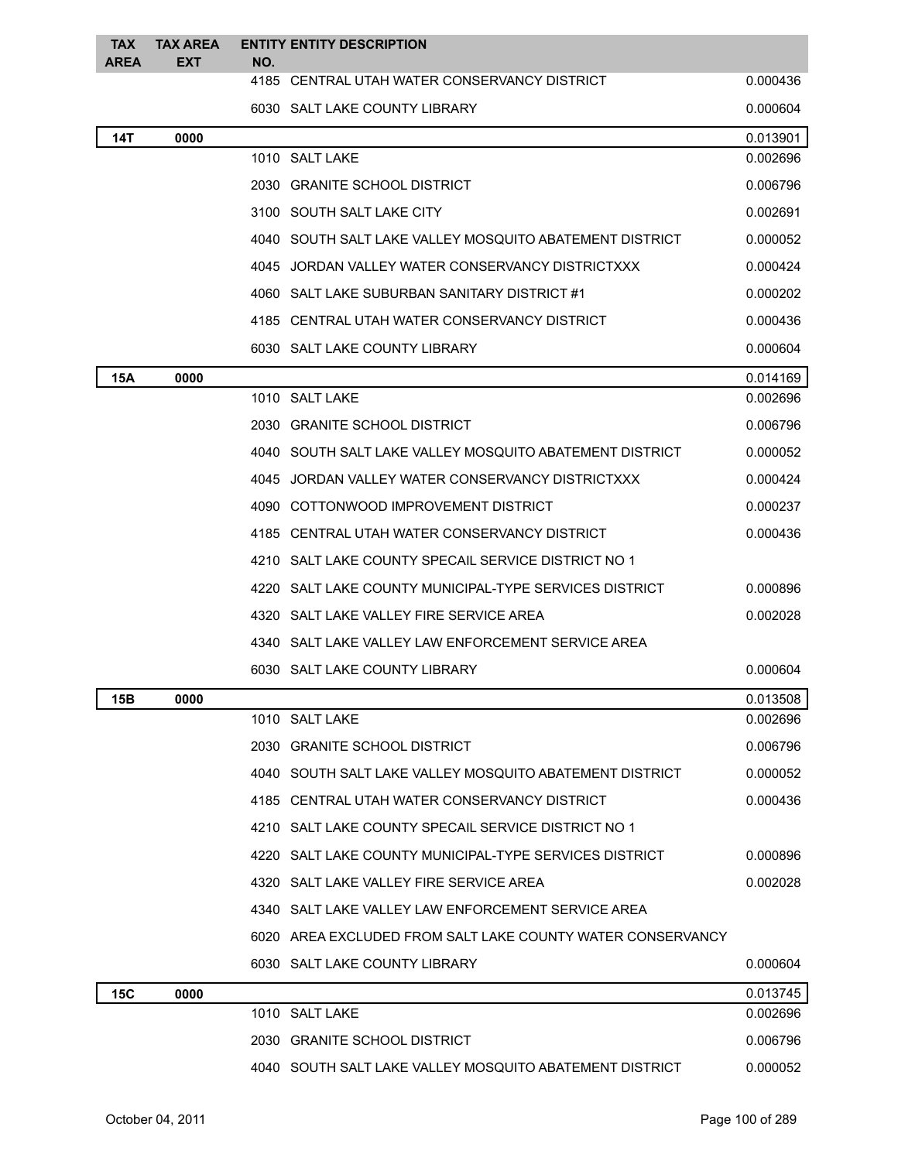| <b>TAX</b><br><b>AREA</b> | <b>TAX AREA</b><br><b>EXT</b> | NO.  | <b>ENTITY ENTITY DESCRIPTION</b>                           |          |
|---------------------------|-------------------------------|------|------------------------------------------------------------|----------|
|                           |                               |      | 4185 CENTRAL UTAH WATER CONSERVANCY DISTRICT               | 0.000436 |
|                           |                               |      | 6030 SALT LAKE COUNTY LIBRARY                              | 0.000604 |
| 14T                       | 0000                          |      |                                                            | 0.013901 |
|                           |                               |      | 1010 SALT LAKE                                             | 0.002696 |
|                           |                               |      | 2030 GRANITE SCHOOL DISTRICT                               | 0.006796 |
|                           |                               |      | 3100 SOUTH SALT LAKE CITY                                  | 0.002691 |
|                           |                               |      | 4040 SOUTH SALT LAKE VALLEY MOSQUITO ABATEMENT DISTRICT    | 0.000052 |
|                           |                               | 4045 | JORDAN VALLEY WATER CONSERVANCY DISTRICTXXX                | 0.000424 |
|                           |                               |      | 4060 SALT LAKE SUBURBAN SANITARY DISTRICT #1               | 0.000202 |
|                           |                               |      | 4185 CENTRAL UTAH WATER CONSERVANCY DISTRICT               | 0.000436 |
|                           |                               |      | 6030 SALT LAKE COUNTY LIBRARY                              | 0.000604 |
| 15A                       | 0000                          |      |                                                            | 0.014169 |
|                           |                               |      | 1010 SALT LAKE                                             | 0.002696 |
|                           |                               |      | 2030 GRANITE SCHOOL DISTRICT                               | 0.006796 |
|                           |                               | 4040 | SOUTH SALT LAKE VALLEY MOSQUITO ABATEMENT DISTRICT         | 0.000052 |
|                           |                               |      | 4045 JORDAN VALLEY WATER CONSERVANCY DISTRICTXXX           | 0.000424 |
|                           |                               |      | 4090 COTTONWOOD IMPROVEMENT DISTRICT                       | 0.000237 |
|                           |                               |      | 4185 CENTRAL UTAH WATER CONSERVANCY DISTRICT               | 0.000436 |
|                           |                               |      | 4210 SALT LAKE COUNTY SPECAIL SERVICE DISTRICT NO 1        |          |
|                           |                               |      | 4220   SALT LAKE COUNTY MUNICIPAL-TYPE SERVICES DISTRICT   | 0.000896 |
|                           |                               |      | 4320 SALT LAKE VALLEY FIRE SERVICE AREA                    | 0.002028 |
|                           |                               |      | 4340 SALT LAKE VALLEY LAW ENFORCEMENT SERVICE AREA         |          |
|                           |                               |      | 6030 SALT LAKE COUNTY LIBRARY                              | 0.000604 |
| 15B                       | 0000                          |      |                                                            | 0.013508 |
|                           |                               |      | 1010 SALT LAKE                                             | 0.002696 |
|                           |                               |      | 2030 GRANITE SCHOOL DISTRICT                               | 0.006796 |
|                           |                               |      | 4040 SOUTH SALT LAKE VALLEY MOSQUITO ABATEMENT DISTRICT    | 0.000052 |
|                           |                               |      | 4185 CENTRAL UTAH WATER CONSERVANCY DISTRICT               | 0.000436 |
|                           |                               | 4210 | SALT LAKE COUNTY SPECAIL SERVICE DISTRICT NO 1             |          |
|                           |                               | 4220 | SALT LAKE COUNTY MUNICIPAL-TYPE SERVICES DISTRICT          | 0.000896 |
|                           |                               |      | 4320 SALT LAKE VALLEY FIRE SERVICE AREA                    | 0.002028 |
|                           |                               |      | 4340 SALT LAKE VALLEY LAW ENFORCEMENT SERVICE AREA         |          |
|                           |                               |      | 6020 AREA EXCLUDED FROM SALT LAKE COUNTY WATER CONSERVANCY |          |
|                           |                               |      | 6030 SALT LAKE COUNTY LIBRARY                              | 0.000604 |
| 15C                       | 0000                          |      |                                                            | 0.013745 |
|                           |                               |      | 1010 SALT LAKE                                             | 0.002696 |
|                           |                               |      | 2030 GRANITE SCHOOL DISTRICT                               | 0.006796 |
|                           |                               |      | 4040 SOUTH SALT LAKE VALLEY MOSQUITO ABATEMENT DISTRICT    | 0.000052 |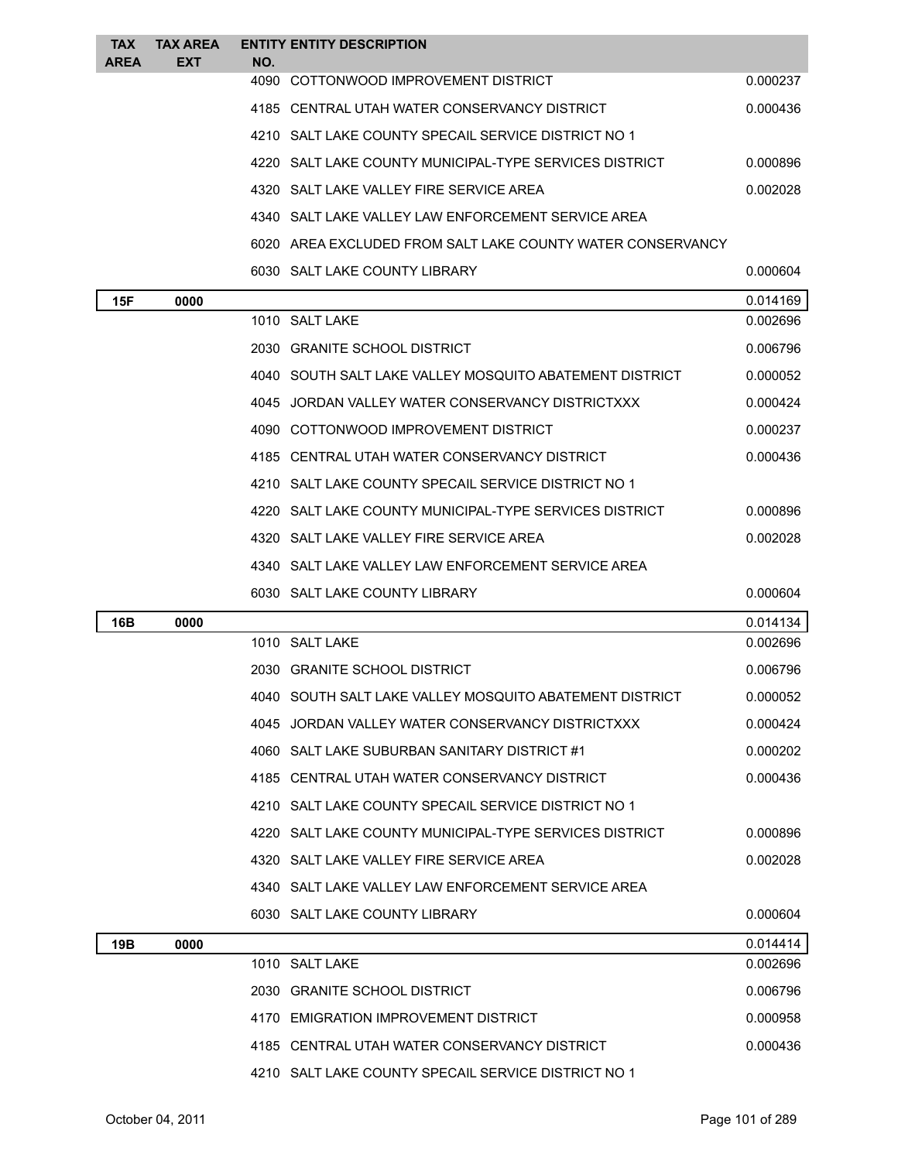| <b>TAX</b><br><b>AREA</b> | <b>TAX AREA</b><br><b>EXT</b> | NO. | <b>ENTITY ENTITY DESCRIPTION</b>                           |          |
|---------------------------|-------------------------------|-----|------------------------------------------------------------|----------|
|                           |                               |     | 4090 COTTONWOOD IMPROVEMENT DISTRICT                       | 0.000237 |
|                           |                               |     | 4185 CENTRAL UTAH WATER CONSERVANCY DISTRICT               | 0.000436 |
|                           |                               |     | 4210 SALT LAKE COUNTY SPECAIL SERVICE DISTRICT NO 1        |          |
|                           |                               |     | 4220 SALT LAKE COUNTY MUNICIPAL-TYPE SERVICES DISTRICT     | 0.000896 |
|                           |                               |     | 4320 SALT LAKE VALLEY FIRE SERVICE AREA                    | 0.002028 |
|                           |                               |     | 4340 SALT LAKE VALLEY LAW ENFORCEMENT SERVICE AREA         |          |
|                           |                               |     | 6020 AREA EXCLUDED FROM SALT LAKE COUNTY WATER CONSERVANCY |          |
|                           |                               |     | 6030 SALT LAKE COUNTY LIBRARY                              | 0.000604 |
| <b>15F</b>                | 0000                          |     |                                                            | 0.014169 |
|                           |                               |     | 1010 SALT LAKE                                             | 0.002696 |
|                           |                               |     | 2030 GRANITE SCHOOL DISTRICT                               | 0.006796 |
|                           |                               |     | 4040 SOUTH SALT LAKE VALLEY MOSQUITO ABATEMENT DISTRICT    | 0.000052 |
|                           |                               |     | 4045 JORDAN VALLEY WATER CONSERVANCY DISTRICTXXX           | 0.000424 |
|                           |                               |     | 4090 COTTONWOOD IMPROVEMENT DISTRICT                       | 0.000237 |
|                           |                               |     | 4185 CENTRAL UTAH WATER CONSERVANCY DISTRICT               | 0.000436 |
|                           |                               |     | 4210 SALT LAKE COUNTY SPECAIL SERVICE DISTRICT NO 1        |          |
|                           |                               |     | 4220 SALT LAKE COUNTY MUNICIPAL-TYPE SERVICES DISTRICT     | 0.000896 |
|                           |                               |     | 4320 SALT LAKE VALLEY FIRE SERVICE AREA                    | 0.002028 |
|                           |                               |     | 4340 SALT LAKE VALLEY LAW ENFORCEMENT SERVICE AREA         |          |
|                           |                               |     | 6030 SALT LAKE COUNTY LIBRARY                              | 0.000604 |
| 16B                       | 0000                          |     |                                                            | 0.014134 |
|                           |                               |     | 1010 SALT LAKE                                             | 0.002696 |
|                           |                               |     | 2030 GRANITE SCHOOL DISTRICT                               | 0.006796 |
|                           |                               |     | 4040 SOUTH SALT LAKE VALLEY MOSQUITO ABATEMENT DISTRICT    | 0.000052 |
|                           |                               |     | 4045 JORDAN VALLEY WATER CONSERVANCY DISTRICTXXX           | 0.000424 |
|                           |                               |     | 4060 SALT LAKE SUBURBAN SANITARY DISTRICT #1               | 0.000202 |
|                           |                               |     | 4185 CENTRAL UTAH WATER CONSERVANCY DISTRICT               | 0.000436 |
|                           |                               |     | 4210 SALT LAKE COUNTY SPECAIL SERVICE DISTRICT NO 1        |          |
|                           |                               |     | 4220 SALT LAKE COUNTY MUNICIPAL-TYPE SERVICES DISTRICT     | 0.000896 |
|                           |                               |     | 4320 SALT LAKE VALLEY FIRE SERVICE AREA                    | 0.002028 |
|                           |                               |     | 4340 SALT LAKE VALLEY LAW ENFORCEMENT SERVICE AREA         |          |
|                           |                               |     | 6030 SALT LAKE COUNTY LIBRARY                              | 0.000604 |
| 19B                       | 0000                          |     |                                                            | 0.014414 |
|                           |                               |     | 1010 SALT LAKE                                             | 0.002696 |
|                           |                               |     | 2030 GRANITE SCHOOL DISTRICT                               | 0.006796 |
|                           |                               |     | 4170 EMIGRATION IMPROVEMENT DISTRICT                       | 0.000958 |

SALT LAKE COUNTY SPECAIL SERVICE DISTRICT NO 1

CENTRAL UTAH WATER CONSERVANCY DISTRICT 0.000436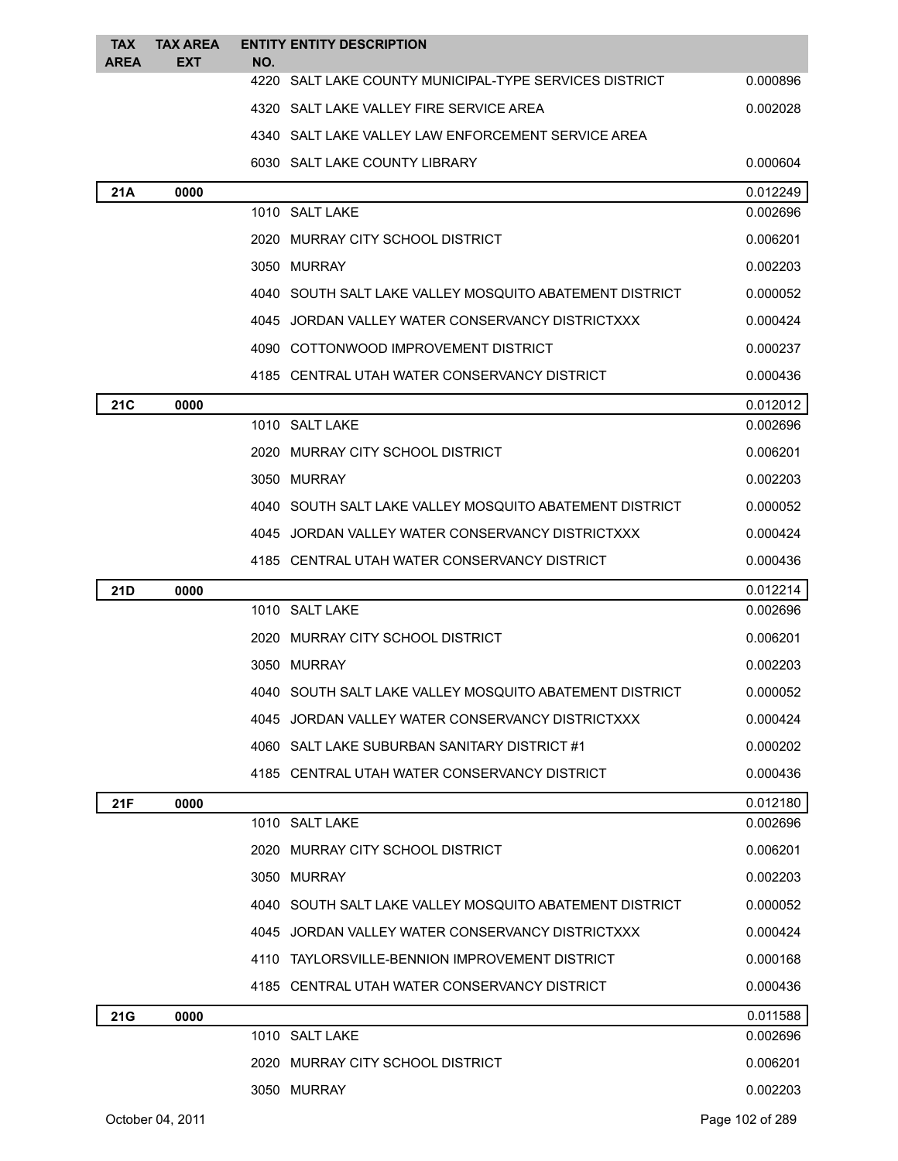| <b>TAX</b>  | <b>TAX AREA</b> |     | <b>ENTITY ENTITY DESCRIPTION</b>                        |          |
|-------------|-----------------|-----|---------------------------------------------------------|----------|
| <b>AREA</b> | EXT             | NO. | 4220 SALT LAKE COUNTY MUNICIPAL-TYPE SERVICES DISTRICT  | 0.000896 |
|             |                 |     | 4320 SALT LAKE VALLEY FIRE SERVICE AREA                 | 0.002028 |
|             |                 |     | 4340 SALT LAKE VALLEY LAW ENFORCEMENT SERVICE AREA      |          |
|             |                 |     | 6030 SALT LAKE COUNTY LIBRARY                           | 0.000604 |
| 21A         | 0000            |     |                                                         | 0.012249 |
|             |                 |     | 1010 SALT LAKE                                          | 0.002696 |
|             |                 |     | 2020 MURRAY CITY SCHOOL DISTRICT                        | 0.006201 |
|             |                 |     | 3050 MURRAY                                             | 0.002203 |
|             |                 |     | 4040 SOUTH SALT LAKE VALLEY MOSQUITO ABATEMENT DISTRICT | 0.000052 |
|             |                 |     | 4045 JORDAN VALLEY WATER CONSERVANCY DISTRICTXXX        | 0.000424 |
|             |                 |     | 4090 COTTONWOOD IMPROVEMENT DISTRICT                    | 0.000237 |
|             |                 |     | 4185 CENTRAL UTAH WATER CONSERVANCY DISTRICT            | 0.000436 |
| <b>21C</b>  | 0000            |     |                                                         | 0.012012 |
|             |                 |     | 1010 SALT LAKE                                          | 0.002696 |
|             |                 |     | 2020 MURRAY CITY SCHOOL DISTRICT                        | 0.006201 |
|             |                 |     | 3050 MURRAY                                             | 0.002203 |
|             |                 |     | 4040 SOUTH SALT LAKE VALLEY MOSQUITO ABATEMENT DISTRICT | 0.000052 |
|             |                 |     | 4045 JORDAN VALLEY WATER CONSERVANCY DISTRICTXXX        | 0.000424 |
|             |                 |     | 4185 CENTRAL UTAH WATER CONSERVANCY DISTRICT            | 0.000436 |
| 21D         | 0000            |     |                                                         | 0.012214 |
|             |                 |     | 1010 SALT LAKE                                          | 0.002696 |
|             |                 |     | 2020 MURRAY CITY SCHOOL DISTRICT                        | 0.006201 |
|             |                 |     | 3050 MURRAY                                             | 0.002203 |
|             |                 |     | 4040 SOUTH SALT LAKE VALLEY MOSQUITO ABATEMENT DISTRICT | 0.000052 |
|             |                 |     | 4045 JORDAN VALLEY WATER CONSERVANCY DISTRICTXXX        | 0.000424 |
|             |                 |     | 4060 SALT LAKE SUBURBAN SANITARY DISTRICT #1            | 0.000202 |
|             |                 |     | 4185 CENTRAL UTAH WATER CONSERVANCY DISTRICT            | 0.000436 |
| 21F         | 0000            |     |                                                         | 0.012180 |
|             |                 |     | 1010 SALT LAKE                                          | 0.002696 |
|             |                 |     | 2020 MURRAY CITY SCHOOL DISTRICT                        | 0.006201 |
|             |                 |     | 3050 MURRAY                                             | 0.002203 |
|             |                 |     | 4040 SOUTH SALT LAKE VALLEY MOSQUITO ABATEMENT DISTRICT | 0.000052 |
|             |                 |     | 4045 JORDAN VALLEY WATER CONSERVANCY DISTRICTXXX        | 0.000424 |
|             |                 |     | 4110 TAYLORSVILLE-BENNION IMPROVEMENT DISTRICT          | 0.000168 |
|             |                 |     | 4185 CENTRAL UTAH WATER CONSERVANCY DISTRICT            | 0.000436 |
| 21G         | 0000            |     |                                                         | 0.011588 |
|             |                 |     | 1010 SALT LAKE                                          | 0.002696 |
|             |                 |     | 2020 MURRAY CITY SCHOOL DISTRICT                        | 0.006201 |
|             |                 |     | 3050 MURRAY                                             | 0.002203 |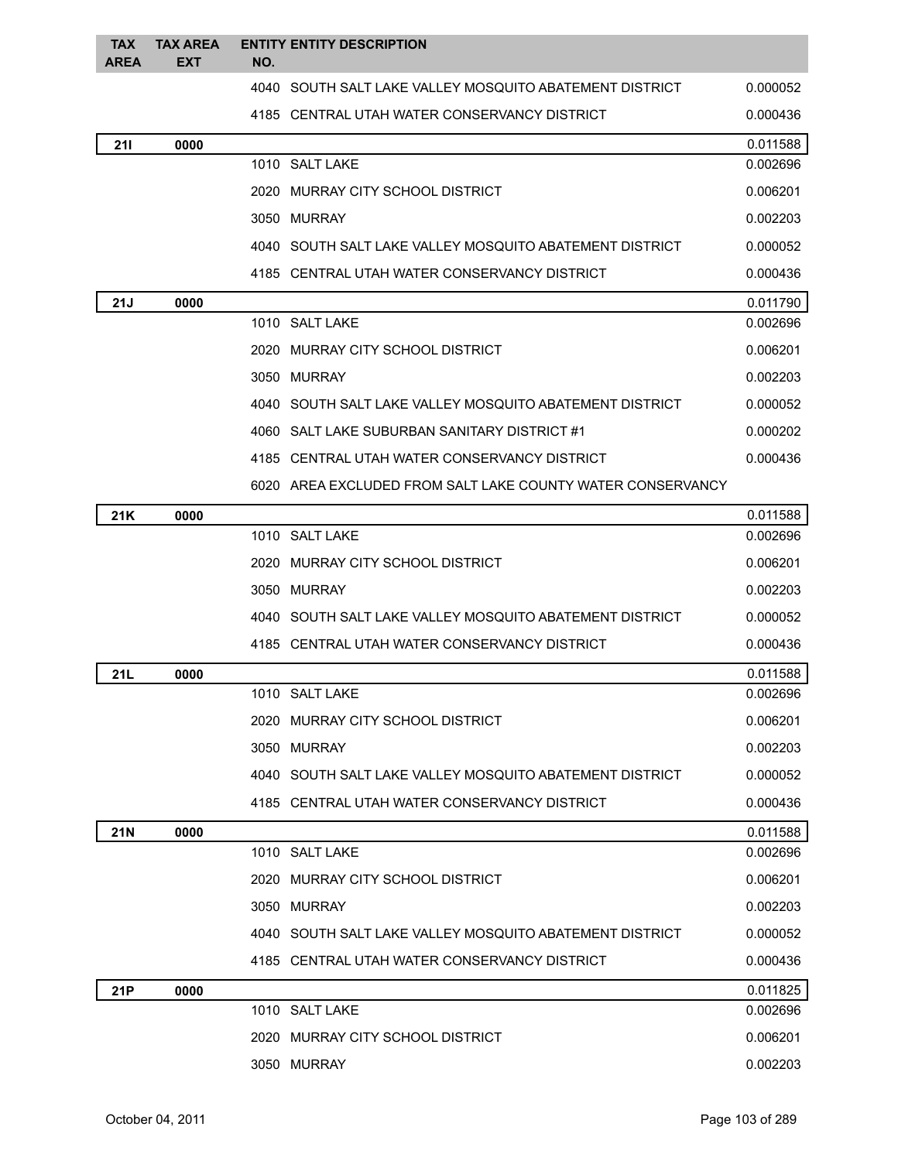| <b>TAX</b>  | <b>TAX AREA</b> |     | <b>ENTITY ENTITY DESCRIPTION</b>                           |          |
|-------------|-----------------|-----|------------------------------------------------------------|----------|
| <b>AREA</b> | <b>EXT</b>      | NO. |                                                            |          |
|             |                 |     | 4040 SOUTH SALT LAKE VALLEY MOSQUITO ABATEMENT DISTRICT    | 0.000052 |
|             |                 |     | 4185 CENTRAL UTAH WATER CONSERVANCY DISTRICT               | 0.000436 |
| 211         | 0000            |     |                                                            | 0.011588 |
|             |                 |     | 1010 SALT LAKE                                             | 0.002696 |
|             |                 |     | 2020 MURRAY CITY SCHOOL DISTRICT                           | 0.006201 |
|             |                 |     | 3050 MURRAY                                                | 0.002203 |
|             |                 |     | 4040 SOUTH SALT LAKE VALLEY MOSQUITO ABATEMENT DISTRICT    | 0.000052 |
|             |                 |     | 4185 CENTRAL UTAH WATER CONSERVANCY DISTRICT               | 0.000436 |
| 21J         | 0000            |     |                                                            | 0.011790 |
|             |                 |     | 1010 SALT LAKE                                             | 0.002696 |
|             |                 |     | 2020 MURRAY CITY SCHOOL DISTRICT                           | 0.006201 |
|             |                 |     | 3050 MURRAY                                                | 0.002203 |
|             |                 |     | 4040 SOUTH SALT LAKE VALLEY MOSQUITO ABATEMENT DISTRICT    | 0.000052 |
|             |                 |     | 4060 SALT LAKE SUBURBAN SANITARY DISTRICT #1               | 0.000202 |
|             |                 |     | 4185 CENTRAL UTAH WATER CONSERVANCY DISTRICT               | 0.000436 |
|             |                 |     | 6020 AREA EXCLUDED FROM SALT LAKE COUNTY WATER CONSERVANCY |          |
| 21K         | 0000            |     |                                                            | 0.011588 |
|             |                 |     | 1010 SALT LAKE                                             | 0.002696 |
|             |                 |     | 2020 MURRAY CITY SCHOOL DISTRICT                           | 0.006201 |
|             |                 |     | 3050 MURRAY                                                | 0.002203 |
|             |                 |     | 4040 SOUTH SALT LAKE VALLEY MOSQUITO ABATEMENT DISTRICT    | 0.000052 |
|             |                 |     | 4185 CENTRAL UTAH WATER CONSERVANCY DISTRICT               | 0.000436 |
| 21L         | 0000            |     |                                                            | 0.011588 |
|             |                 |     | 1010 SALT LAKE                                             | 0.002696 |
|             |                 |     | 2020 MURRAY CITY SCHOOL DISTRICT                           | 0.006201 |
|             |                 |     | 3050 MURRAY                                                | 0.002203 |
|             |                 |     | 4040 SOUTH SALT LAKE VALLEY MOSQUITO ABATEMENT DISTRICT    | 0.000052 |
|             |                 |     | 4185 CENTRAL UTAH WATER CONSERVANCY DISTRICT               | 0.000436 |
| <b>21N</b>  | 0000            |     |                                                            | 0.011588 |
|             |                 |     | 1010 SALT LAKE                                             | 0.002696 |
|             |                 |     | 2020 MURRAY CITY SCHOOL DISTRICT                           | 0.006201 |
|             |                 |     | 3050 MURRAY                                                | 0.002203 |
|             |                 |     | 4040 SOUTH SALT LAKE VALLEY MOSQUITO ABATEMENT DISTRICT    | 0.000052 |
|             |                 |     | 4185 CENTRAL UTAH WATER CONSERVANCY DISTRICT               | 0.000436 |
| 21P         | 0000            |     |                                                            | 0.011825 |
|             |                 |     | 1010 SALT LAKE                                             | 0.002696 |
|             |                 |     | 2020 MURRAY CITY SCHOOL DISTRICT                           | 0.006201 |
|             |                 |     | 3050 MURRAY                                                | 0.002203 |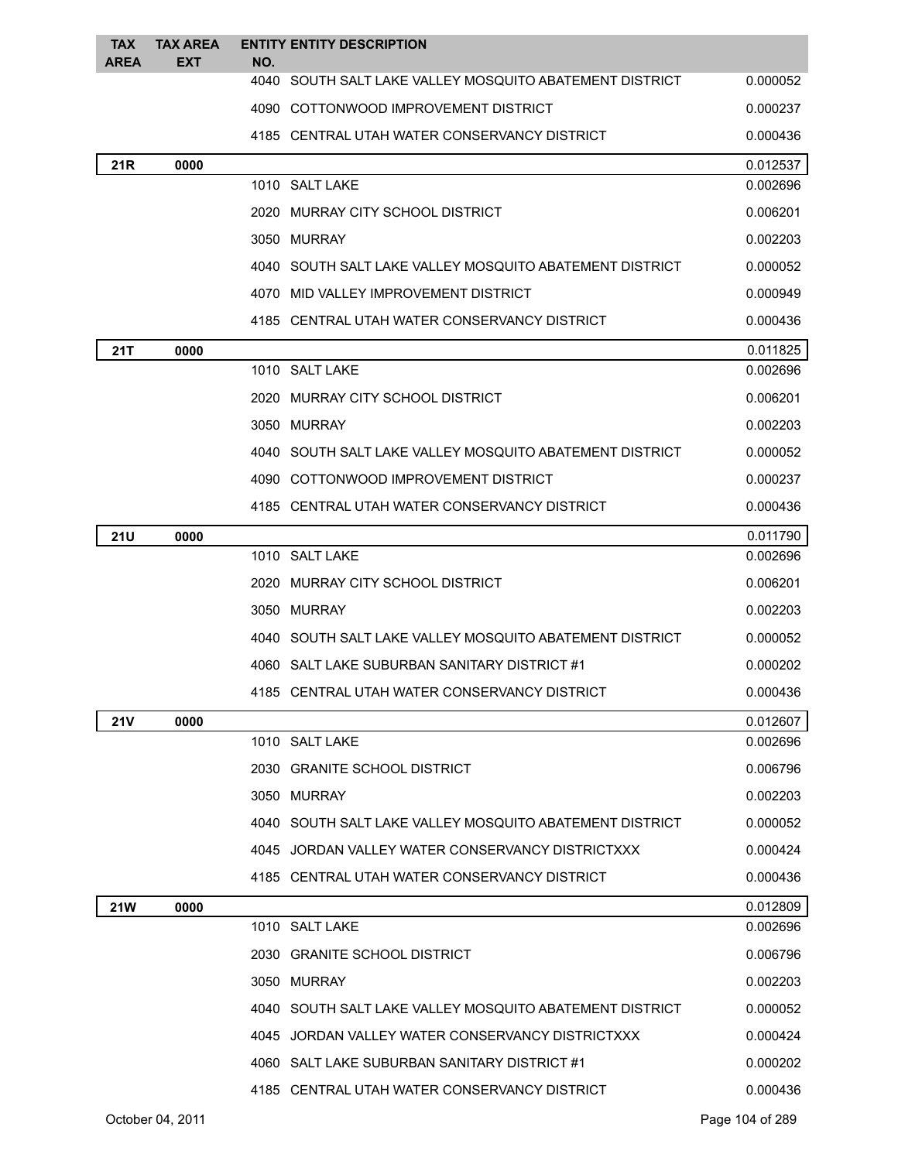| <b>TAX</b><br><b>AREA</b> | <b>TAX AREA</b><br><b>EXT</b> | <b>ENTITY ENTITY DESCRIPTION</b><br>NO.                 |          |
|---------------------------|-------------------------------|---------------------------------------------------------|----------|
|                           |                               | 4040 SOUTH SALT LAKE VALLEY MOSOUITO ABATEMENT DISTRICT | 0.000052 |
|                           |                               | 4090 COTTONWOOD IMPROVEMENT DISTRICT                    | 0.000237 |
|                           |                               | 4185 CENTRAL UTAH WATER CONSERVANCY DISTRICT            | 0.000436 |
| 21R                       | 0000                          |                                                         | 0.012537 |
|                           |                               | 1010 SALT LAKE                                          | 0.002696 |
|                           |                               | 2020 MURRAY CITY SCHOOL DISTRICT                        | 0.006201 |
|                           |                               | 3050 MURRAY                                             | 0.002203 |
|                           |                               | 4040 SOUTH SALT LAKE VALLEY MOSQUITO ABATEMENT DISTRICT | 0.000052 |
|                           |                               | 4070 MID VALLEY IMPROVEMENT DISTRICT                    | 0.000949 |
|                           |                               | 4185 CENTRAL UTAH WATER CONSERVANCY DISTRICT            | 0.000436 |
| 21T                       | 0000                          |                                                         | 0.011825 |
|                           |                               | 1010 SALT LAKE                                          | 0.002696 |
|                           |                               | 2020 MURRAY CITY SCHOOL DISTRICT                        | 0.006201 |
|                           |                               | 3050 MURRAY                                             | 0.002203 |
|                           |                               | 4040 SOUTH SALT LAKE VALLEY MOSQUITO ABATEMENT DISTRICT | 0.000052 |
|                           |                               | 4090 COTTONWOOD IMPROVEMENT DISTRICT                    | 0.000237 |
|                           |                               | 4185 CENTRAL UTAH WATER CONSERVANCY DISTRICT            | 0.000436 |
| <b>21U</b>                | 0000                          |                                                         | 0.011790 |
|                           |                               | 1010 SALT LAKE                                          | 0.002696 |
|                           |                               | 2020 MURRAY CITY SCHOOL DISTRICT                        | 0.006201 |
|                           |                               | 3050 MURRAY                                             | 0.002203 |
|                           |                               | 4040 SOUTH SALT LAKE VALLEY MOSQUITO ABATEMENT DISTRICT | 0.000052 |
|                           |                               | 4060 SALT LAKE SUBURBAN SANITARY DISTRICT #1            | 0.000202 |
|                           |                               | 4185 CENTRAL UTAH WATER CONSERVANCY DISTRICT            | 0.000436 |
| <b>21V</b>                | 0000                          |                                                         | 0.012607 |
|                           |                               | 1010 SALT LAKE                                          | 0.002696 |
|                           |                               | 2030 GRANITE SCHOOL DISTRICT                            | 0.006796 |
|                           |                               | 3050 MURRAY                                             | 0.002203 |
|                           |                               | 4040 SOUTH SALT LAKE VALLEY MOSQUITO ABATEMENT DISTRICT | 0.000052 |
|                           |                               | 4045 JORDAN VALLEY WATER CONSERVANCY DISTRICTXXX        | 0.000424 |
|                           |                               | 4185 CENTRAL UTAH WATER CONSERVANCY DISTRICT            | 0.000436 |
| <b>21W</b>                | 0000                          |                                                         | 0.012809 |
|                           |                               | 1010 SALT LAKE                                          | 0.002696 |
|                           |                               | 2030 GRANITE SCHOOL DISTRICT                            | 0.006796 |
|                           |                               | 3050 MURRAY                                             | 0.002203 |
|                           |                               | 4040 SOUTH SALT LAKE VALLEY MOSQUITO ABATEMENT DISTRICT | 0.000052 |
|                           |                               | 4045 JORDAN VALLEY WATER CONSERVANCY DISTRICTXXX        | 0.000424 |
|                           |                               | 4060 SALT LAKE SUBURBAN SANITARY DISTRICT #1            | 0.000202 |
|                           |                               | 4185 CENTRAL UTAH WATER CONSERVANCY DISTRICT            | 0.000436 |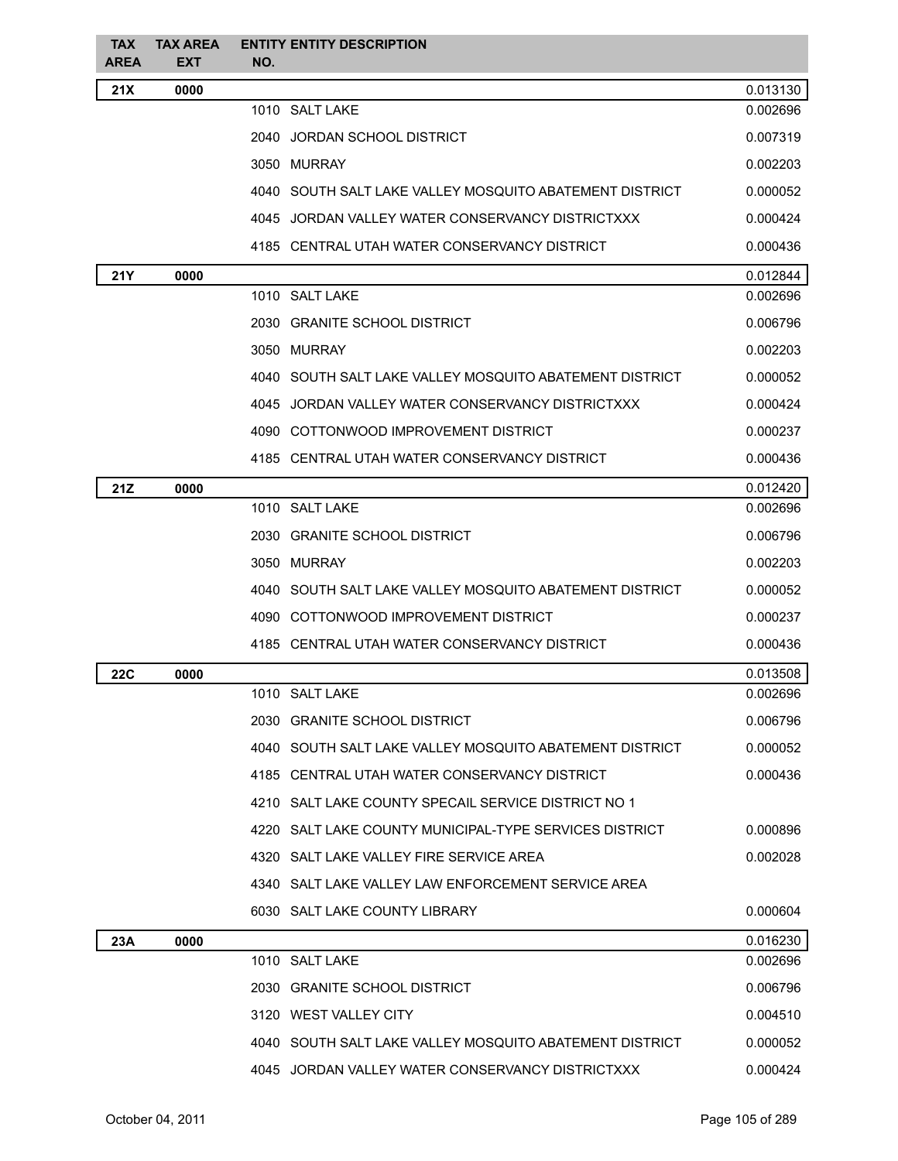| <b>TAX</b><br><b>AREA</b> | <b>TAX AREA</b><br><b>EXT</b> | <b>ENTITY ENTITY DESCRIPTION</b><br>NO.                 |          |
|---------------------------|-------------------------------|---------------------------------------------------------|----------|
| 21X                       | 0000                          |                                                         | 0.013130 |
|                           |                               | 1010 SALT LAKE                                          | 0.002696 |
|                           |                               | 2040 JORDAN SCHOOL DISTRICT                             | 0.007319 |
|                           |                               | 3050 MURRAY                                             | 0.002203 |
|                           |                               | 4040 SOUTH SALT LAKE VALLEY MOSQUITO ABATEMENT DISTRICT | 0.000052 |
|                           |                               | 4045 JORDAN VALLEY WATER CONSERVANCY DISTRICTXXX        | 0.000424 |
|                           |                               | 4185 CENTRAL UTAH WATER CONSERVANCY DISTRICT            | 0.000436 |
| <b>21Y</b>                | 0000                          |                                                         | 0.012844 |
|                           |                               | 1010 SALT LAKE                                          | 0.002696 |
|                           |                               | 2030 GRANITE SCHOOL DISTRICT                            | 0.006796 |
|                           |                               | 3050 MURRAY                                             | 0.002203 |
|                           |                               | 4040 SOUTH SALT LAKE VALLEY MOSQUITO ABATEMENT DISTRICT | 0.000052 |
|                           |                               | 4045 JORDAN VALLEY WATER CONSERVANCY DISTRICTXXX        | 0.000424 |
|                           |                               | 4090 COTTONWOOD IMPROVEMENT DISTRICT                    | 0.000237 |
|                           |                               | 4185 CENTRAL UTAH WATER CONSERVANCY DISTRICT            | 0.000436 |
| 21Z                       | 0000                          |                                                         | 0.012420 |
|                           |                               | 1010 SALT LAKE                                          | 0.002696 |
|                           |                               | 2030 GRANITE SCHOOL DISTRICT                            | 0.006796 |
|                           |                               | 3050 MURRAY                                             | 0.002203 |
|                           |                               | 4040 SOUTH SALT LAKE VALLEY MOSQUITO ABATEMENT DISTRICT | 0.000052 |
|                           |                               | 4090 COTTONWOOD IMPROVEMENT DISTRICT                    | 0.000237 |
|                           |                               | 4185 CENTRAL UTAH WATER CONSERVANCY DISTRICT            | 0.000436 |
| 22C                       | 0000                          |                                                         | 0.013508 |
|                           |                               | 1010 SALT LAKE                                          | 0.002696 |
|                           |                               | 2030 GRANITE SCHOOL DISTRICT                            | 0.006796 |
|                           |                               | 4040 SOUTH SALT LAKE VALLEY MOSQUITO ABATEMENT DISTRICT | 0.000052 |
|                           |                               | 4185 CENTRAL UTAH WATER CONSERVANCY DISTRICT            | 0.000436 |
|                           |                               | 4210 SALT LAKE COUNTY SPECAIL SERVICE DISTRICT NO 1     |          |
|                           |                               | 4220 SALT LAKE COUNTY MUNICIPAL-TYPE SERVICES DISTRICT  | 0.000896 |
|                           |                               | 4320 SALT LAKE VALLEY FIRE SERVICE AREA                 | 0.002028 |
|                           |                               | 4340 SALT LAKE VALLEY LAW ENFORCEMENT SERVICE AREA      |          |
|                           |                               | 6030 SALT LAKE COUNTY LIBRARY                           | 0.000604 |
| 23A                       | 0000                          |                                                         | 0.016230 |
|                           |                               | 1010 SALT LAKE                                          | 0.002696 |
|                           |                               | 2030 GRANITE SCHOOL DISTRICT                            | 0.006796 |
|                           |                               | 3120 WEST VALLEY CITY                                   | 0.004510 |
|                           |                               | 4040 SOUTH SALT LAKE VALLEY MOSQUITO ABATEMENT DISTRICT | 0.000052 |
|                           |                               | 4045 JORDAN VALLEY WATER CONSERVANCY DISTRICTXXX        | 0.000424 |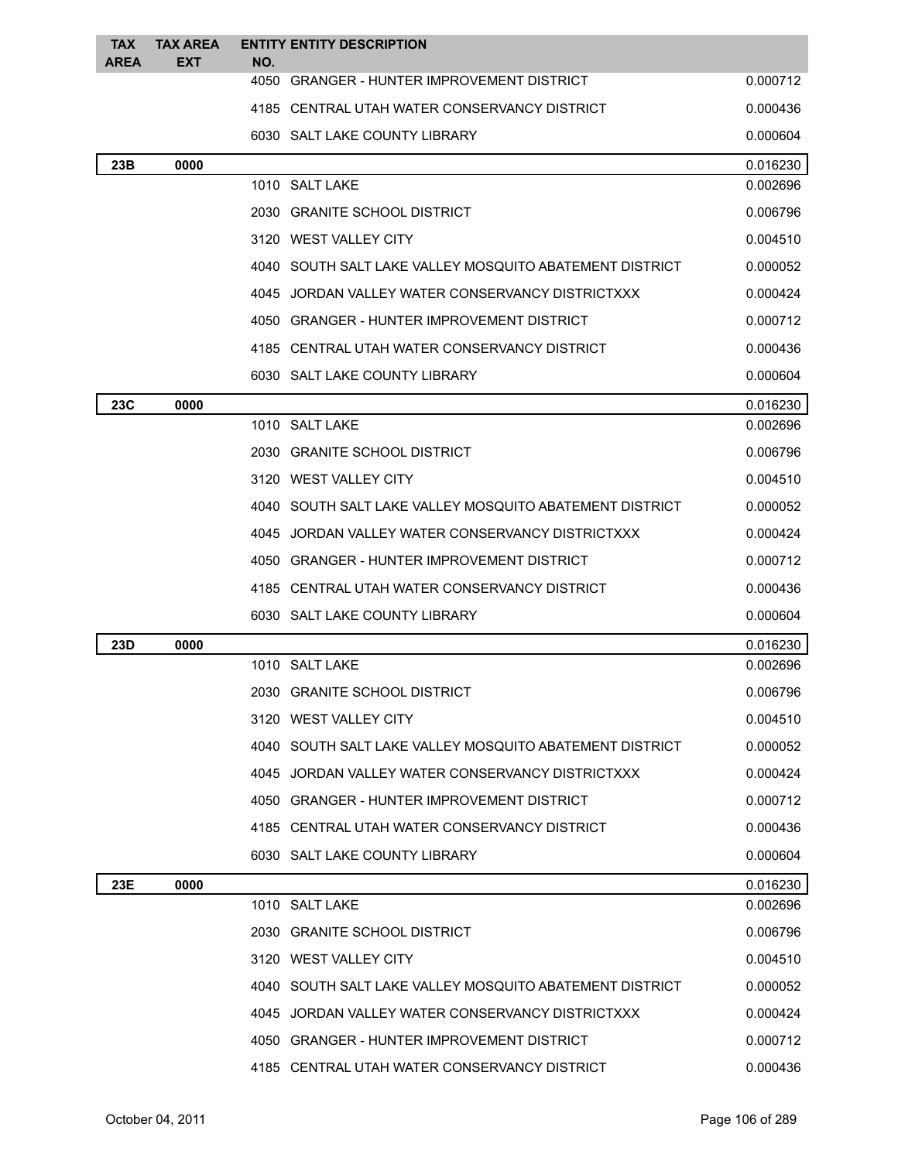| <b>TAX</b><br><b>AREA</b> | <b>TAX AREA</b><br><b>EXT</b> | <b>ENTITY ENTITY DESCRIPTION</b><br>NO.                 |          |
|---------------------------|-------------------------------|---------------------------------------------------------|----------|
|                           |                               | 4050 GRANGER - HUNTER IMPROVEMENT DISTRICT              | 0.000712 |
|                           |                               | 4185 CENTRAL UTAH WATER CONSERVANCY DISTRICT            | 0.000436 |
|                           |                               | 6030 SALT LAKE COUNTY LIBRARY                           | 0.000604 |
| 23B                       | 0000                          |                                                         | 0.016230 |
|                           |                               | 1010 SALT LAKE                                          | 0.002696 |
|                           |                               | 2030 GRANITE SCHOOL DISTRICT                            | 0.006796 |
|                           |                               | 3120 WEST VALLEY CITY                                   | 0.004510 |
|                           |                               | 4040 SOUTH SALT LAKE VALLEY MOSQUITO ABATEMENT DISTRICT | 0.000052 |
|                           |                               | 4045 JORDAN VALLEY WATER CONSERVANCY DISTRICTXXX        | 0.000424 |
|                           |                               | 4050 GRANGER - HUNTER IMPROVEMENT DISTRICT              | 0.000712 |
|                           |                               | 4185 CENTRAL UTAH WATER CONSERVANCY DISTRICT            | 0.000436 |
|                           |                               | 6030 SALT LAKE COUNTY LIBRARY                           | 0.000604 |
| 23C                       | 0000                          |                                                         | 0.016230 |
|                           |                               | 1010 SALT LAKE                                          | 0.002696 |
|                           |                               | 2030 GRANITE SCHOOL DISTRICT                            | 0.006796 |
|                           |                               | 3120 WEST VALLEY CITY                                   | 0.004510 |
|                           |                               | 4040 SOUTH SALT LAKE VALLEY MOSQUITO ABATEMENT DISTRICT | 0.000052 |
|                           |                               | 4045 JORDAN VALLEY WATER CONSERVANCY DISTRICTXXX        | 0.000424 |
|                           |                               | 4050 GRANGER - HUNTER IMPROVEMENT DISTRICT              | 0.000712 |
|                           |                               | 4185 CENTRAL UTAH WATER CONSERVANCY DISTRICT            | 0.000436 |
|                           |                               | 6030 SALT LAKE COUNTY LIBRARY                           | 0.000604 |
| 23D                       | 0000                          |                                                         | 0.016230 |
|                           |                               | 1010 SALT LAKE                                          | 0.002696 |
|                           |                               | 2030 GRANITE SCHOOL DISTRICT                            | 0.006796 |
|                           |                               | 3120 WEST VALLEY CITY                                   | 0.004510 |
|                           |                               | 4040 SOUTH SALT LAKE VALLEY MOSQUITO ABATEMENT DISTRICT | 0.000052 |
|                           |                               | 4045 JORDAN VALLEY WATER CONSERVANCY DISTRICTXXX        | 0.000424 |
|                           |                               | 4050 GRANGER - HUNTER IMPROVEMENT DISTRICT              | 0.000712 |
|                           |                               | 4185 CENTRAL UTAH WATER CONSERVANCY DISTRICT            | 0.000436 |
|                           |                               | 6030 SALT LAKE COUNTY LIBRARY                           | 0.000604 |
| 23E                       | 0000                          |                                                         | 0.016230 |
|                           |                               | 1010 SALT LAKE                                          | 0.002696 |
|                           |                               | 2030 GRANITE SCHOOL DISTRICT                            | 0.006796 |
|                           |                               | 3120 WEST VALLEY CITY                                   | 0.004510 |
|                           |                               | 4040 SOUTH SALT LAKE VALLEY MOSQUITO ABATEMENT DISTRICT | 0.000052 |
|                           |                               | 4045 JORDAN VALLEY WATER CONSERVANCY DISTRICTXXX        | 0.000424 |
|                           |                               | 4050 GRANGER - HUNTER IMPROVEMENT DISTRICT              | 0.000712 |
|                           |                               | 4185 CENTRAL UTAH WATER CONSERVANCY DISTRICT            | 0.000436 |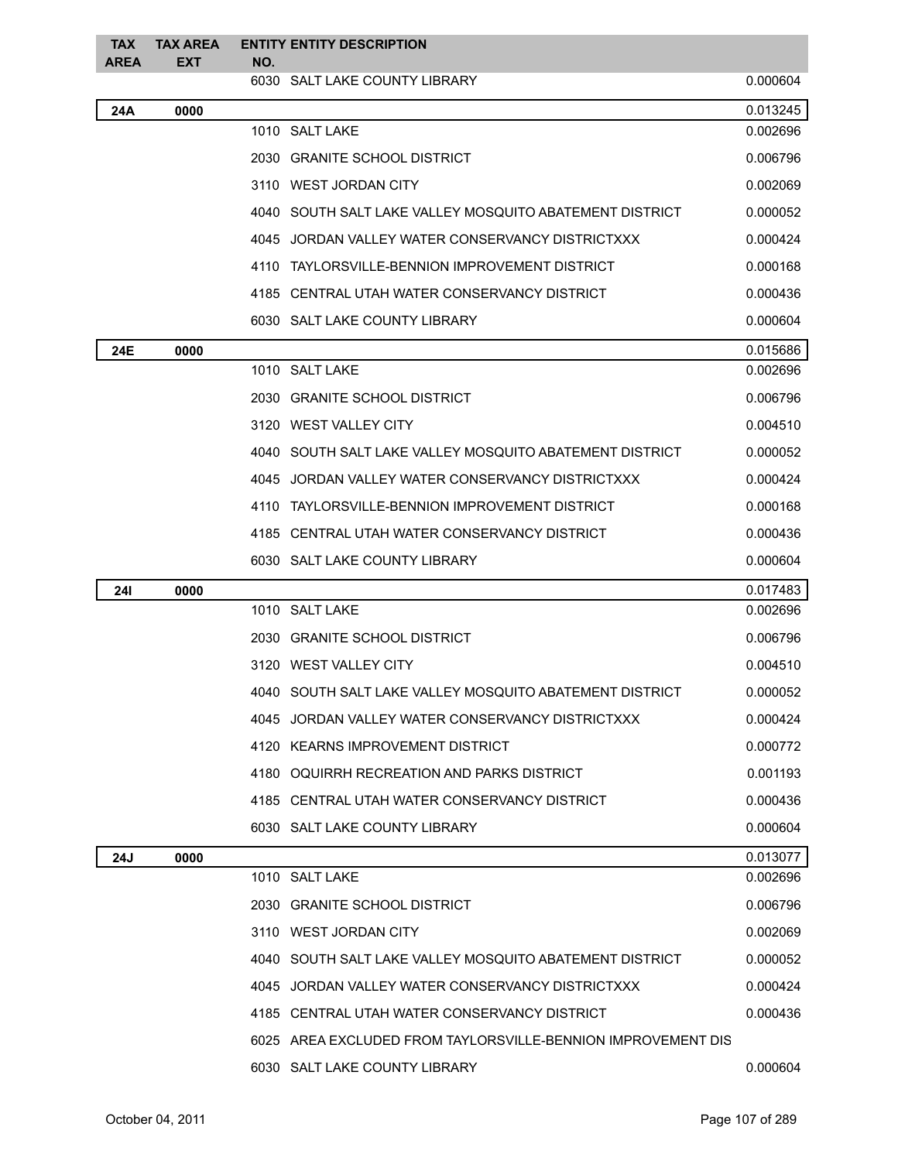| <b>TAX</b><br><b>AREA</b> | <b>TAX AREA</b><br><b>EXT</b> | <b>ENTITY ENTITY DESCRIPTION</b><br>NO.          |                                                              |          |
|---------------------------|-------------------------------|--------------------------------------------------|--------------------------------------------------------------|----------|
|                           |                               | 6030 SALT LAKE COUNTY LIBRARY                    |                                                              | 0.000604 |
| 24A                       | 0000                          |                                                  |                                                              | 0.013245 |
|                           |                               | 1010 SALT LAKE                                   |                                                              | 0.002696 |
|                           |                               | 2030 GRANITE SCHOOL DISTRICT                     |                                                              | 0.006796 |
|                           |                               | 3110 WEST JORDAN CITY                            |                                                              | 0.002069 |
|                           |                               |                                                  | 4040 SOUTH SALT LAKE VALLEY MOSQUITO ABATEMENT DISTRICT      | 0.000052 |
|                           |                               | 4045 JORDAN VALLEY WATER CONSERVANCY DISTRICTXXX |                                                              | 0.000424 |
|                           |                               | 4110 TAYLORSVILLE-BENNION IMPROVEMENT DISTRICT   |                                                              | 0.000168 |
|                           |                               | 4185 CENTRAL UTAH WATER CONSERVANCY DISTRICT     |                                                              | 0.000436 |
|                           |                               | 6030 SALT LAKE COUNTY LIBRARY                    |                                                              | 0.000604 |
| 24E                       | 0000                          |                                                  |                                                              | 0.015686 |
|                           |                               | 1010 SALT LAKE                                   |                                                              | 0.002696 |
|                           |                               | 2030 GRANITE SCHOOL DISTRICT                     |                                                              | 0.006796 |
|                           |                               | 3120 WEST VALLEY CITY                            |                                                              | 0.004510 |
|                           |                               |                                                  | 4040 SOUTH SALT LAKE VALLEY MOSQUITO ABATEMENT DISTRICT      | 0.000052 |
|                           |                               | 4045 JORDAN VALLEY WATER CONSERVANCY DISTRICTXXX |                                                              | 0.000424 |
|                           |                               | 4110 TAYLORSVILLE-BENNION IMPROVEMENT DISTRICT   |                                                              | 0.000168 |
|                           |                               | 4185 CENTRAL UTAH WATER CONSERVANCY DISTRICT     |                                                              | 0.000436 |
|                           |                               | 6030 SALT LAKE COUNTY LIBRARY                    |                                                              | 0.000604 |
| <b>241</b>                | 0000                          |                                                  |                                                              | 0.017483 |
|                           |                               | 1010 SALT LAKE                                   |                                                              | 0.002696 |
|                           |                               | 2030 GRANITE SCHOOL DISTRICT                     |                                                              | 0.006796 |
|                           |                               | 3120 WEST VALLEY CITY                            |                                                              | 0.004510 |
|                           |                               |                                                  | 4040 SOUTH SALT LAKE VALLEY MOSQUITO ABATEMENT DISTRICT      | 0.000052 |
|                           |                               | 4045 JORDAN VALLEY WATER CONSERVANCY DISTRICTXXX |                                                              | 0.000424 |
|                           |                               | 4120 KEARNS IMPROVEMENT DISTRICT                 |                                                              | 0.000772 |
|                           |                               | 4180 OQUIRRH RECREATION AND PARKS DISTRICT       |                                                              | 0.001193 |
|                           |                               | 4185 CENTRAL UTAH WATER CONSERVANCY DISTRICT     |                                                              | 0.000436 |
|                           |                               | 6030 SALT LAKE COUNTY LIBRARY                    |                                                              | 0.000604 |
| 24J                       | 0000                          |                                                  |                                                              | 0.013077 |
|                           |                               | 1010 SALT LAKE                                   |                                                              | 0.002696 |
|                           |                               | 2030 GRANITE SCHOOL DISTRICT                     |                                                              | 0.006796 |
|                           |                               | 3110 WEST JORDAN CITY                            |                                                              | 0.002069 |
|                           |                               |                                                  | 4040 SOUTH SALT LAKE VALLEY MOSQUITO ABATEMENT DISTRICT      | 0.000052 |
|                           |                               | 4045 JORDAN VALLEY WATER CONSERVANCY DISTRICTXXX |                                                              | 0.000424 |
|                           |                               | 4185 CENTRAL UTAH WATER CONSERVANCY DISTRICT     |                                                              | 0.000436 |
|                           |                               |                                                  | 6025 AREA EXCLUDED FROM TAYLORSVILLE-BENNION IMPROVEMENT DIS |          |
|                           |                               | 6030 SALT LAKE COUNTY LIBRARY                    |                                                              | 0.000604 |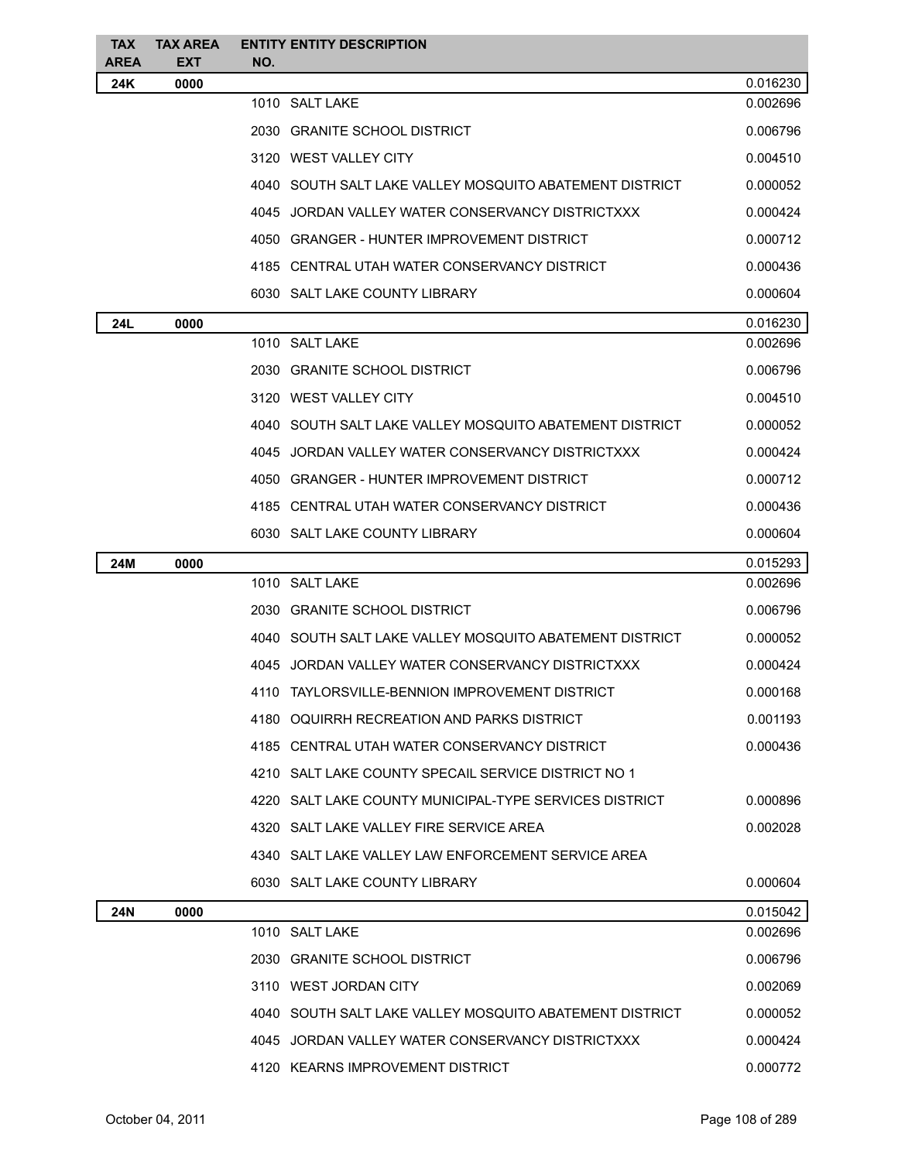| <b>TAX AREA</b><br><b>TAX</b><br><b>ENTITY ENTITY DESCRIPTION</b><br><b>AREA</b><br><b>EXT</b><br>NO. |          |
|-------------------------------------------------------------------------------------------------------|----------|
| 24K<br>0000                                                                                           | 0.016230 |
| 1010 SALT LAKE                                                                                        | 0.002696 |
| 2030 GRANITE SCHOOL DISTRICT                                                                          | 0.006796 |
| 3120 WEST VALLEY CITY                                                                                 | 0.004510 |
| 4040 SOUTH SALT LAKE VALLEY MOSQUITO ABATEMENT DISTRICT                                               | 0.000052 |
| 4045 JORDAN VALLEY WATER CONSERVANCY DISTRICTXXX                                                      | 0.000424 |
| 4050 GRANGER - HUNTER IMPROVEMENT DISTRICT                                                            | 0.000712 |
| 4185 CENTRAL UTAH WATER CONSERVANCY DISTRICT                                                          | 0.000436 |
| 6030 SALT LAKE COUNTY LIBRARY                                                                         | 0.000604 |
| 24L<br>0000                                                                                           | 0.016230 |
| 1010 SALT LAKE                                                                                        | 0.002696 |
| 2030 GRANITE SCHOOL DISTRICT                                                                          | 0.006796 |
| 3120 WEST VALLEY CITY                                                                                 | 0.004510 |
| 4040 SOUTH SALT LAKE VALLEY MOSQUITO ABATEMENT DISTRICT                                               | 0.000052 |
| 4045 JORDAN VALLEY WATER CONSERVANCY DISTRICTXXX                                                      | 0.000424 |
| 4050 GRANGER - HUNTER IMPROVEMENT DISTRICT                                                            | 0.000712 |
| 4185 CENTRAL UTAH WATER CONSERVANCY DISTRICT                                                          | 0.000436 |
| 6030 SALT LAKE COUNTY LIBRARY                                                                         | 0.000604 |
| 0000<br>24M                                                                                           | 0.015293 |
| 1010 SALT LAKE                                                                                        | 0.002696 |
| 2030 GRANITE SCHOOL DISTRICT                                                                          | 0.006796 |
| 4040 SOUTH SALT LAKE VALLEY MOSQUITO ABATEMENT DISTRICT                                               | 0.000052 |
| 4045 JORDAN VALLEY WATER CONSERVANCY DISTRICTXXX                                                      | 0.000424 |
| 4110 TAYLORSVILLE-BENNION IMPROVEMENT DISTRICT                                                        | 0.000168 |
| 4180 OQUIRRH RECREATION AND PARKS DISTRICT                                                            | 0.001193 |
| 4185 CENTRAL UTAH WATER CONSERVANCY DISTRICT                                                          | 0.000436 |
| 4210 SALT LAKE COUNTY SPECAIL SERVICE DISTRICT NO 1                                                   |          |
| 4220   SALT LAKE COUNTY MUNICIPAL-TYPE SERVICES DISTRICT                                              | 0.000896 |
| 4320 SALT LAKE VALLEY FIRE SERVICE AREA                                                               | 0.002028 |
| 4340 SALT LAKE VALLEY LAW ENFORCEMENT SERVICE AREA                                                    |          |
| 6030 SALT LAKE COUNTY LIBRARY                                                                         | 0.000604 |
| 0000                                                                                                  | 0.015042 |
|                                                                                                       |          |
| 24N<br>1010 SALT LAKE                                                                                 | 0.002696 |
| 2030 GRANITE SCHOOL DISTRICT                                                                          | 0.006796 |
| 3110 WEST JORDAN CITY                                                                                 | 0.002069 |
| 4040 SOUTH SALT LAKE VALLEY MOSQUITO ABATEMENT DISTRICT                                               | 0.000052 |
| 4045 JORDAN VALLEY WATER CONSERVANCY DISTRICTXXX                                                      | 0.000424 |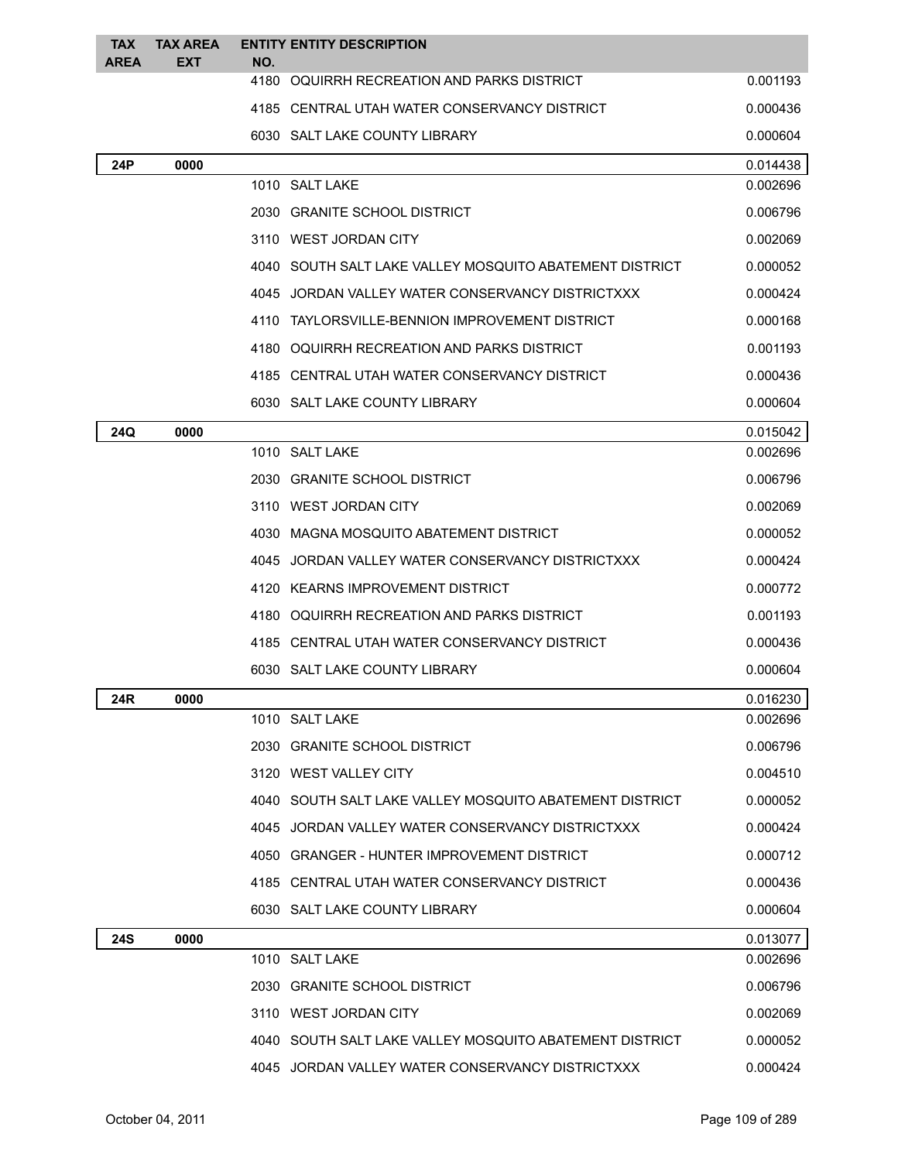| <b>TAX</b><br><b>AREA</b> | <b>TAX AREA</b><br><b>EXT</b> | NO. | <b>ENTITY ENTITY DESCRIPTION</b>                        |          |
|---------------------------|-------------------------------|-----|---------------------------------------------------------|----------|
|                           |                               |     | 4180 OQUIRRH RECREATION AND PARKS DISTRICT              | 0.001193 |
|                           |                               |     | 4185 CENTRAL UTAH WATER CONSERVANCY DISTRICT            | 0.000436 |
|                           |                               |     | 6030 SALT LAKE COUNTY LIBRARY                           | 0.000604 |
| 24P                       | 0000                          |     |                                                         | 0.014438 |
|                           |                               |     | 1010 SALT LAKE                                          | 0.002696 |
|                           |                               |     | 2030 GRANITE SCHOOL DISTRICT                            | 0.006796 |
|                           |                               |     | 3110 WEST JORDAN CITY                                   | 0.002069 |
|                           |                               |     | 4040 SOUTH SALT LAKE VALLEY MOSQUITO ABATEMENT DISTRICT | 0.000052 |
|                           |                               |     | 4045 JORDAN VALLEY WATER CONSERVANCY DISTRICTXXX        | 0.000424 |
|                           |                               |     | 4110 TAYLORSVILLE-BENNION IMPROVEMENT DISTRICT          | 0.000168 |
|                           |                               |     | 4180 OQUIRRH RECREATION AND PARKS DISTRICT              | 0.001193 |
|                           |                               |     | 4185 CENTRAL UTAH WATER CONSERVANCY DISTRICT            | 0.000436 |
|                           |                               |     | 6030 SALT LAKE COUNTY LIBRARY                           | 0.000604 |
| 24Q                       | 0000                          |     |                                                         | 0.015042 |
|                           |                               |     | 1010 SALT LAKE                                          | 0.002696 |
|                           |                               |     | 2030 GRANITE SCHOOL DISTRICT                            | 0.006796 |
|                           |                               |     | 3110 WEST JORDAN CITY                                   | 0.002069 |
|                           |                               |     | 4030 MAGNA MOSQUITO ABATEMENT DISTRICT                  | 0.000052 |
|                           |                               |     | 4045 JORDAN VALLEY WATER CONSERVANCY DISTRICTXXX        | 0.000424 |
|                           |                               |     | 4120 KEARNS IMPROVEMENT DISTRICT                        | 0.000772 |
|                           |                               |     | 4180 OQUIRRH RECREATION AND PARKS DISTRICT              | 0.001193 |
|                           |                               |     | 4185 CENTRAL UTAH WATER CONSERVANCY DISTRICT            | 0.000436 |
|                           |                               |     | 6030 SALT LAKE COUNTY LIBRARY                           | 0.000604 |
| 24R                       | 0000                          |     |                                                         | 0.016230 |
|                           |                               |     | 1010 SALT LAKE                                          | 0.002696 |
|                           |                               |     | 2030 GRANITE SCHOOL DISTRICT                            | 0.006796 |
|                           |                               |     | 3120 WEST VALLEY CITY                                   | 0.004510 |
|                           |                               |     | 4040 SOUTH SALT LAKE VALLEY MOSQUITO ABATEMENT DISTRICT | 0.000052 |
|                           |                               |     | 4045 JORDAN VALLEY WATER CONSERVANCY DISTRICTXXX        | 0.000424 |
|                           |                               |     | 4050 GRANGER - HUNTER IMPROVEMENT DISTRICT              | 0.000712 |
|                           |                               |     | 4185 CENTRAL UTAH WATER CONSERVANCY DISTRICT            | 0.000436 |
|                           |                               |     | 6030 SALT LAKE COUNTY LIBRARY                           | 0.000604 |
| <b>24S</b>                | 0000                          |     |                                                         | 0.013077 |
|                           |                               |     | 1010 SALT LAKE                                          | 0.002696 |
|                           |                               |     | 2030 GRANITE SCHOOL DISTRICT                            | 0.006796 |
|                           |                               |     | 3110 WEST JORDAN CITY                                   | 0.002069 |
|                           |                               |     | 4040 SOUTH SALT LAKE VALLEY MOSQUITO ABATEMENT DISTRICT | 0.000052 |
|                           |                               |     | 4045 JORDAN VALLEY WATER CONSERVANCY DISTRICTXXX        | 0.000424 |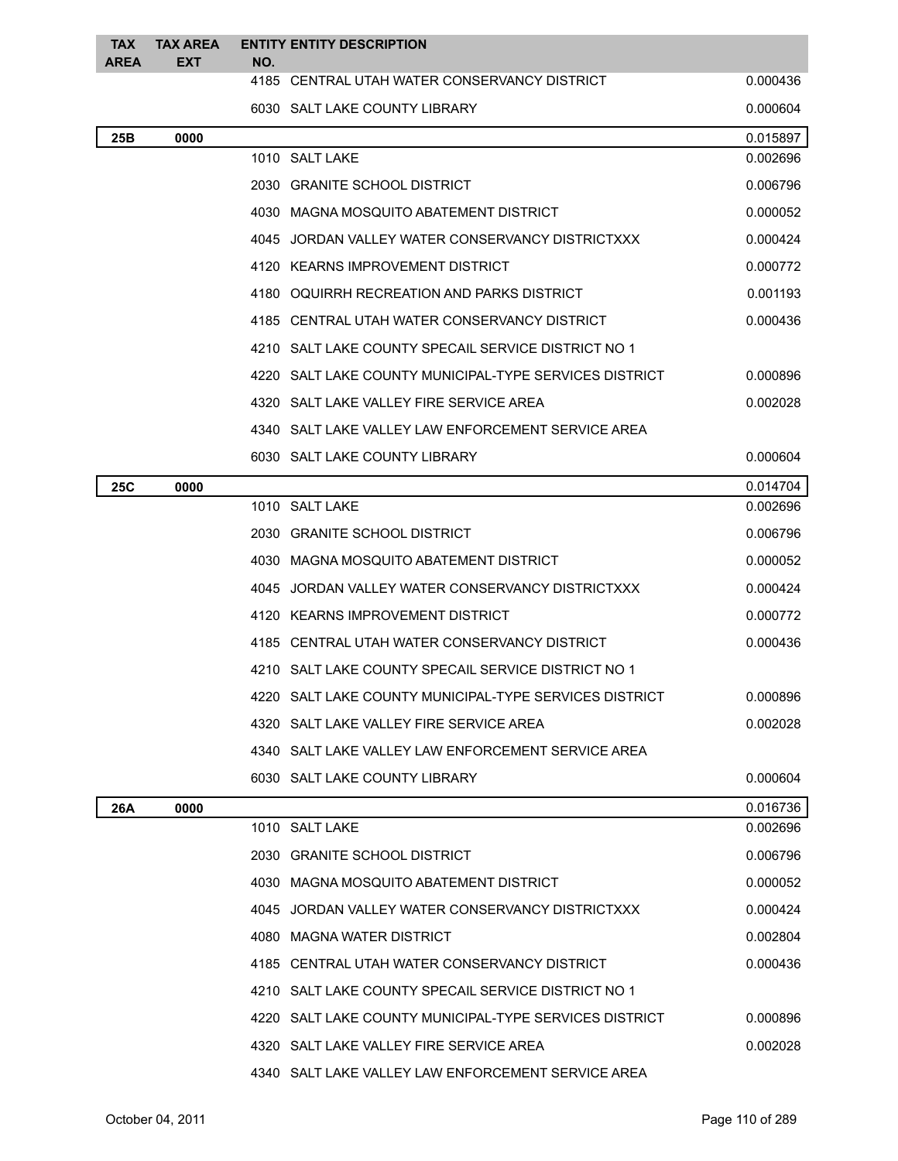| <b>TAX</b><br><b>AREA</b> | <b>TAX AREA</b><br>EXT | NO. | <b>ENTITY ENTITY DESCRIPTION</b>                         |          |
|---------------------------|------------------------|-----|----------------------------------------------------------|----------|
|                           |                        |     | 4185 CENTRAL UTAH WATER CONSERVANCY DISTRICT             | 0.000436 |
|                           |                        |     | 6030 SALT LAKE COUNTY LIBRARY                            | 0.000604 |
| 25B                       | 0000                   |     |                                                          | 0.015897 |
|                           |                        |     | 1010 SALT LAKE                                           | 0.002696 |
|                           |                        |     | 2030 GRANITE SCHOOL DISTRICT                             | 0.006796 |
|                           |                        |     | 4030 MAGNA MOSQUITO ABATEMENT DISTRICT                   | 0.000052 |
|                           |                        |     | 4045 JORDAN VALLEY WATER CONSERVANCY DISTRICTXXX         | 0.000424 |
|                           |                        |     | 4120 KEARNS IMPROVEMENT DISTRICT                         | 0.000772 |
|                           |                        |     | 4180 OQUIRRH RECREATION AND PARKS DISTRICT               | 0.001193 |
|                           |                        |     | 4185 CENTRAL UTAH WATER CONSERVANCY DISTRICT             | 0.000436 |
|                           |                        |     | 4210 SALT LAKE COUNTY SPECAIL SERVICE DISTRICT NO 1      |          |
|                           |                        |     | 4220   SALT LAKE COUNTY MUNICIPAL-TYPE SERVICES DISTRICT | 0.000896 |
|                           |                        |     | 4320 SALT LAKE VALLEY FIRE SERVICE AREA                  | 0.002028 |
|                           |                        |     | 4340 SALT LAKE VALLEY LAW ENFORCEMENT SERVICE AREA       |          |
|                           |                        |     | 6030 SALT LAKE COUNTY LIBRARY                            | 0.000604 |
| 25C                       | 0000                   |     |                                                          | 0.014704 |
|                           |                        |     | 1010 SALT LAKE                                           | 0.002696 |
|                           |                        |     | 2030 GRANITE SCHOOL DISTRICT                             | 0.006796 |
|                           |                        |     | 4030 MAGNA MOSQUITO ABATEMENT DISTRICT                   | 0.000052 |
|                           |                        |     | 4045 JORDAN VALLEY WATER CONSERVANCY DISTRICTXXX         | 0.000424 |
|                           |                        |     | 4120 KEARNS IMPROVEMENT DISTRICT                         | 0.000772 |
|                           |                        |     | 4185 CENTRAL UTAH WATER CONSERVANCY DISTRICT             | 0.000436 |
|                           |                        |     | 4210 SALT LAKE COUNTY SPECAIL SERVICE DISTRICT NO 1      |          |
|                           |                        |     | 4220 SALT LAKE COUNTY MUNICIPAL-TYPE SERVICES DISTRICT   | 0.000896 |
|                           |                        |     | 4320 SALT LAKE VALLEY FIRE SERVICE AREA                  | 0.002028 |
|                           |                        |     | 4340 SALT LAKE VALLEY LAW ENFORCEMENT SERVICE AREA       |          |
|                           |                        |     | 6030 SALT LAKE COUNTY LIBRARY                            | 0.000604 |
| 26A                       | 0000                   |     |                                                          | 0.016736 |
|                           |                        |     | 1010 SALT LAKE                                           | 0.002696 |
|                           |                        |     | 2030 GRANITE SCHOOL DISTRICT                             | 0.006796 |
|                           |                        |     | 4030 MAGNA MOSQUITO ABATEMENT DISTRICT                   | 0.000052 |
|                           |                        |     | 4045 JORDAN VALLEY WATER CONSERVANCY DISTRICTXXX         | 0.000424 |
|                           |                        |     | 4080 MAGNA WATER DISTRICT                                | 0.002804 |
|                           |                        |     | 4185 CENTRAL UTAH WATER CONSERVANCY DISTRICT             | 0.000436 |
|                           |                        |     | 4210 SALT LAKE COUNTY SPECAIL SERVICE DISTRICT NO 1      |          |
|                           |                        |     | 4220   SALT LAKE COUNTY MUNICIPAL-TYPE SERVICES DISTRICT | 0.000896 |
|                           |                        |     | 4320 SALT LAKE VALLEY FIRE SERVICE AREA                  | 0.002028 |
|                           |                        |     | 4340 SALT LAKE VALLEY LAW ENFORCEMENT SERVICE AREA       |          |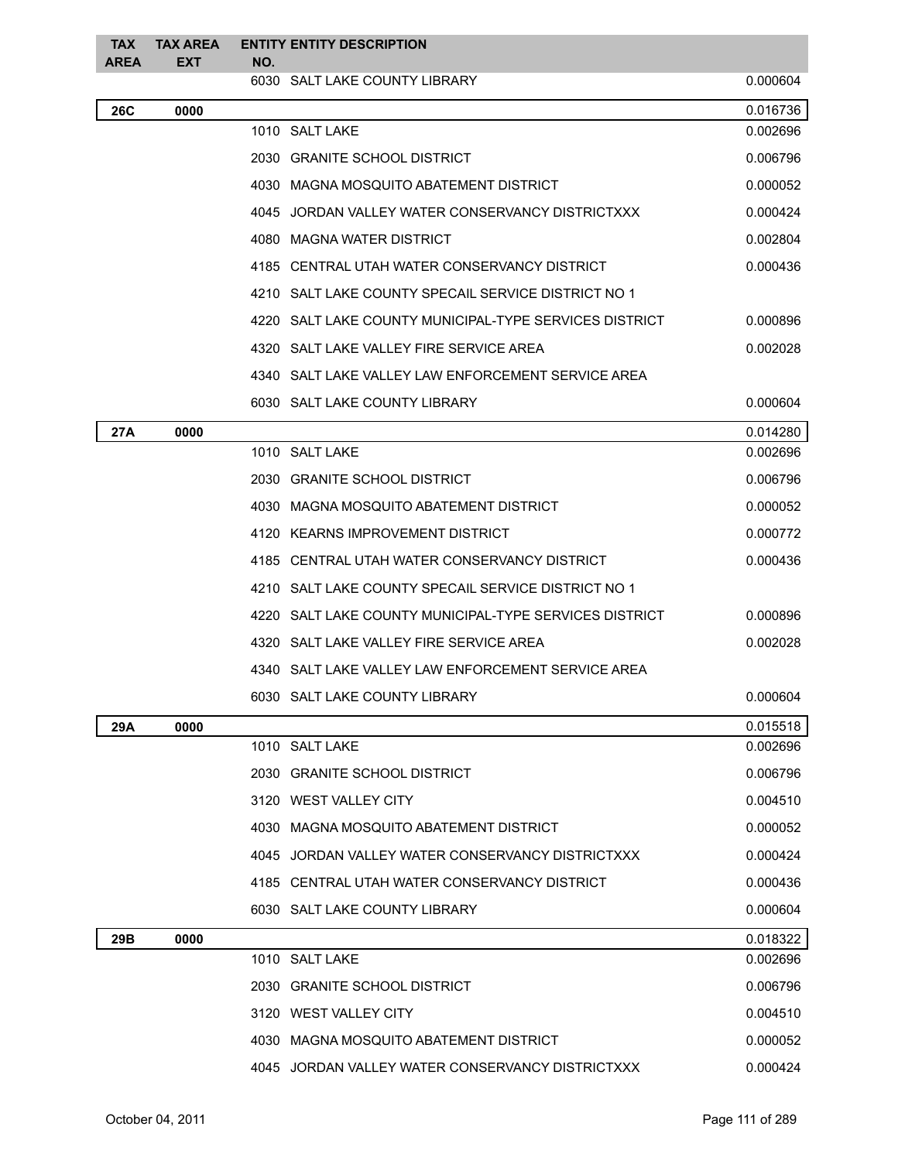| <b>TAX</b><br><b>AREA</b> | <b>TAX AREA</b><br><b>EXT</b> | NO. | <b>ENTITY ENTITY DESCRIPTION</b>                       |          |
|---------------------------|-------------------------------|-----|--------------------------------------------------------|----------|
|                           |                               |     | 6030 SALT LAKE COUNTY LIBRARY                          | 0.000604 |
| <b>26C</b>                | 0000                          |     |                                                        | 0.016736 |
|                           |                               |     | 1010 SALT LAKE                                         | 0.002696 |
|                           |                               |     | 2030 GRANITE SCHOOL DISTRICT                           | 0.006796 |
|                           |                               |     | 4030 MAGNA MOSQUITO ABATEMENT DISTRICT                 | 0.000052 |
|                           |                               |     | 4045 JORDAN VALLEY WATER CONSERVANCY DISTRICTXXX       | 0.000424 |
|                           |                               |     | 4080 MAGNA WATER DISTRICT                              | 0.002804 |
|                           |                               |     | 4185 CENTRAL UTAH WATER CONSERVANCY DISTRICT           | 0.000436 |
|                           |                               |     | 4210 SALT LAKE COUNTY SPECAIL SERVICE DISTRICT NO 1    |          |
|                           |                               |     | 4220 SALT LAKE COUNTY MUNICIPAL-TYPE SERVICES DISTRICT | 0.000896 |
|                           |                               |     | 4320 SALT LAKE VALLEY FIRE SERVICE AREA                | 0.002028 |
|                           |                               |     | 4340 SALT LAKE VALLEY LAW ENFORCEMENT SERVICE AREA     |          |
|                           |                               |     | 6030 SALT LAKE COUNTY LIBRARY                          | 0.000604 |
| 27A                       | 0000                          |     |                                                        | 0.014280 |
|                           |                               |     | 1010 SALT LAKE                                         | 0.002696 |
|                           |                               |     | 2030 GRANITE SCHOOL DISTRICT                           | 0.006796 |
|                           |                               |     | 4030 MAGNA MOSQUITO ABATEMENT DISTRICT                 | 0.000052 |
|                           |                               |     | 4120 KEARNS IMPROVEMENT DISTRICT                       | 0.000772 |
|                           |                               |     | 4185 CENTRAL UTAH WATER CONSERVANCY DISTRICT           | 0.000436 |
|                           |                               |     | 4210 SALT LAKE COUNTY SPECAIL SERVICE DISTRICT NO 1    |          |
|                           |                               |     | 4220 SALT LAKE COUNTY MUNICIPAL-TYPE SERVICES DISTRICT | 0.000896 |
|                           |                               |     | 4320 SALT LAKE VALLEY FIRE SERVICE AREA                | 0.002028 |
|                           |                               |     | 4340 SALT LAKE VALLEY LAW ENFORCEMENT SERVICE AREA     |          |
|                           |                               |     | 6030 SALT LAKE COUNTY LIBRARY                          | 0.000604 |
| 29A                       | 0000                          |     |                                                        | 0.015518 |
|                           |                               |     | 1010 SALT LAKE                                         | 0.002696 |
|                           |                               |     | 2030 GRANITE SCHOOL DISTRICT                           | 0.006796 |
|                           |                               |     | 3120 WEST VALLEY CITY                                  | 0.004510 |
|                           |                               |     | 4030 MAGNA MOSQUITO ABATEMENT DISTRICT                 | 0.000052 |
|                           |                               |     | 4045 JORDAN VALLEY WATER CONSERVANCY DISTRICTXXX       | 0.000424 |
|                           |                               |     | 4185 CENTRAL UTAH WATER CONSERVANCY DISTRICT           | 0.000436 |
|                           |                               |     | 6030 SALT LAKE COUNTY LIBRARY                          | 0.000604 |
| 29B                       | 0000                          |     |                                                        | 0.018322 |
|                           |                               |     | 1010 SALT LAKE                                         | 0.002696 |
|                           |                               |     | 2030 GRANITE SCHOOL DISTRICT                           | 0.006796 |
|                           |                               |     | 3120 WEST VALLEY CITY                                  | 0.004510 |
|                           |                               |     | 4030 MAGNA MOSQUITO ABATEMENT DISTRICT                 | 0.000052 |
|                           |                               |     | 4045 JORDAN VALLEY WATER CONSERVANCY DISTRICTXXX       | 0.000424 |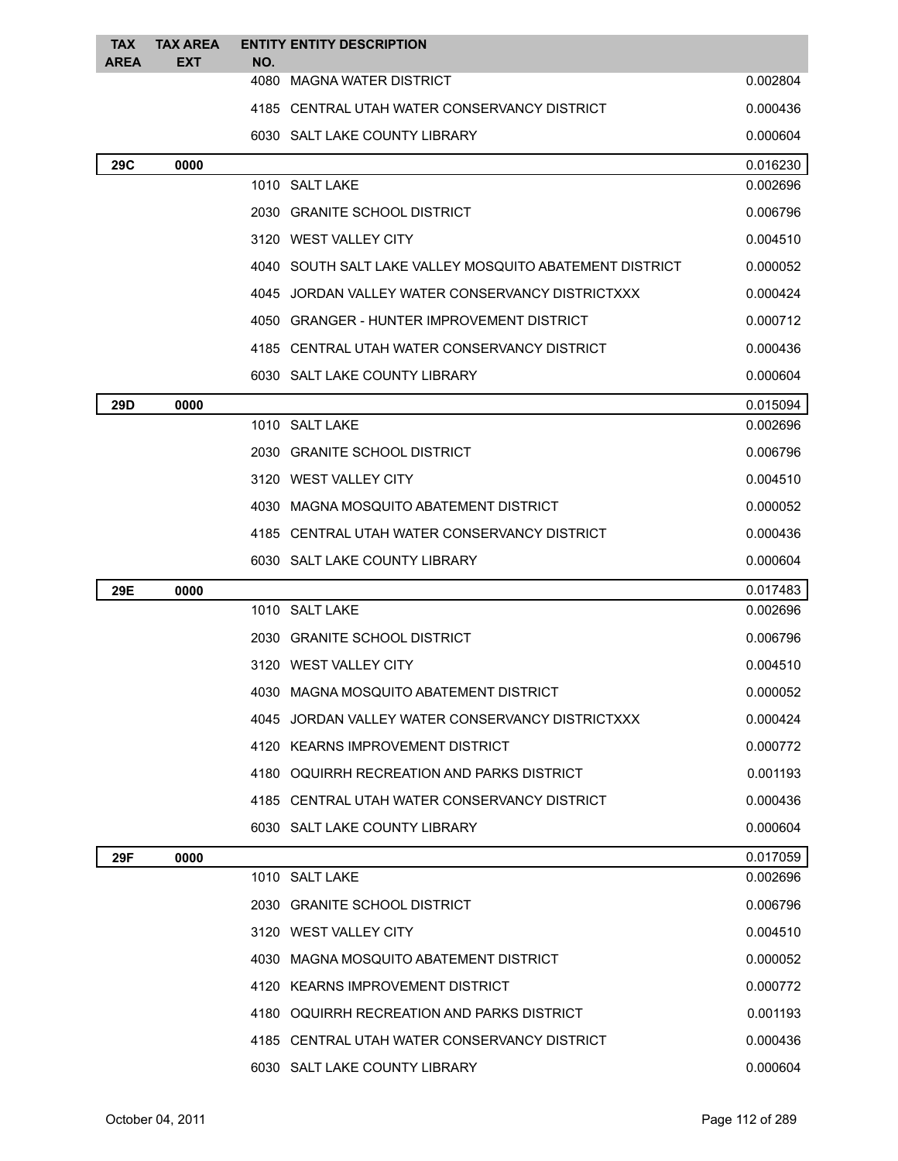| <b>TAX</b><br><b>AREA</b> | <b>TAX AREA</b><br><b>EXT</b> | <b>ENTITY ENTITY DESCRIPTION</b><br>NO.                 |          |
|---------------------------|-------------------------------|---------------------------------------------------------|----------|
|                           |                               | 4080 MAGNA WATER DISTRICT                               | 0.002804 |
|                           |                               | 4185 CENTRAL UTAH WATER CONSERVANCY DISTRICT            | 0.000436 |
|                           |                               | 6030 SALT LAKE COUNTY LIBRARY                           | 0.000604 |
| 29C                       | 0000                          |                                                         | 0.016230 |
|                           |                               | 1010 SALT LAKE                                          | 0.002696 |
|                           |                               | 2030 GRANITE SCHOOL DISTRICT                            | 0.006796 |
|                           |                               | 3120 WEST VALLEY CITY                                   | 0.004510 |
|                           |                               | 4040 SOUTH SALT LAKE VALLEY MOSQUITO ABATEMENT DISTRICT | 0.000052 |
|                           |                               | 4045 JORDAN VALLEY WATER CONSERVANCY DISTRICTXXX        | 0.000424 |
|                           |                               | 4050 GRANGER - HUNTER IMPROVEMENT DISTRICT              | 0.000712 |
|                           |                               | 4185 CENTRAL UTAH WATER CONSERVANCY DISTRICT            | 0.000436 |
|                           |                               | 6030 SALT LAKE COUNTY LIBRARY                           | 0.000604 |
| 29D                       | 0000                          |                                                         | 0.015094 |
|                           |                               | 1010 SALT LAKE                                          | 0.002696 |
|                           |                               | 2030 GRANITE SCHOOL DISTRICT                            | 0.006796 |
|                           |                               | 3120 WEST VALLEY CITY                                   | 0.004510 |
|                           |                               | 4030 MAGNA MOSQUITO ABATEMENT DISTRICT                  | 0.000052 |
|                           |                               | 4185 CENTRAL UTAH WATER CONSERVANCY DISTRICT            | 0.000436 |
|                           |                               | 6030 SALT LAKE COUNTY LIBRARY                           | 0.000604 |
| 29E                       | 0000                          |                                                         | 0.017483 |
|                           |                               | 1010 SALT LAKE                                          | 0.002696 |
|                           |                               | 2030 GRANITE SCHOOL DISTRICT                            | 0.006796 |
|                           |                               | 3120 WEST VALLEY CITY                                   | 0.004510 |
|                           |                               | 4030 MAGNA MOSQUITO ABATEMENT DISTRICT                  | 0.000052 |
|                           |                               | 4045 JORDAN VALLEY WATER CONSERVANCY DISTRICTXXX        | 0.000424 |
|                           |                               | 4120 KEARNS IMPROVEMENT DISTRICT                        | 0.000772 |
|                           |                               | 4180 OQUIRRH RECREATION AND PARKS DISTRICT              | 0.001193 |
|                           |                               | 4185 CENTRAL UTAH WATER CONSERVANCY DISTRICT            | 0.000436 |
|                           |                               | 6030 SALT LAKE COUNTY LIBRARY                           | 0.000604 |
| 29F                       | 0000                          |                                                         | 0.017059 |
|                           |                               | 1010 SALT LAKE                                          | 0.002696 |
|                           |                               | 2030 GRANITE SCHOOL DISTRICT                            | 0.006796 |
|                           |                               | 3120 WEST VALLEY CITY                                   | 0.004510 |
|                           |                               | 4030 MAGNA MOSQUITO ABATEMENT DISTRICT                  | 0.000052 |
|                           |                               | 4120 KEARNS IMPROVEMENT DISTRICT                        | 0.000772 |
|                           |                               | 4180 OQUIRRH RECREATION AND PARKS DISTRICT              | 0.001193 |
|                           |                               | 4185 CENTRAL UTAH WATER CONSERVANCY DISTRICT            | 0.000436 |
|                           |                               | 6030 SALT LAKE COUNTY LIBRARY                           | 0.000604 |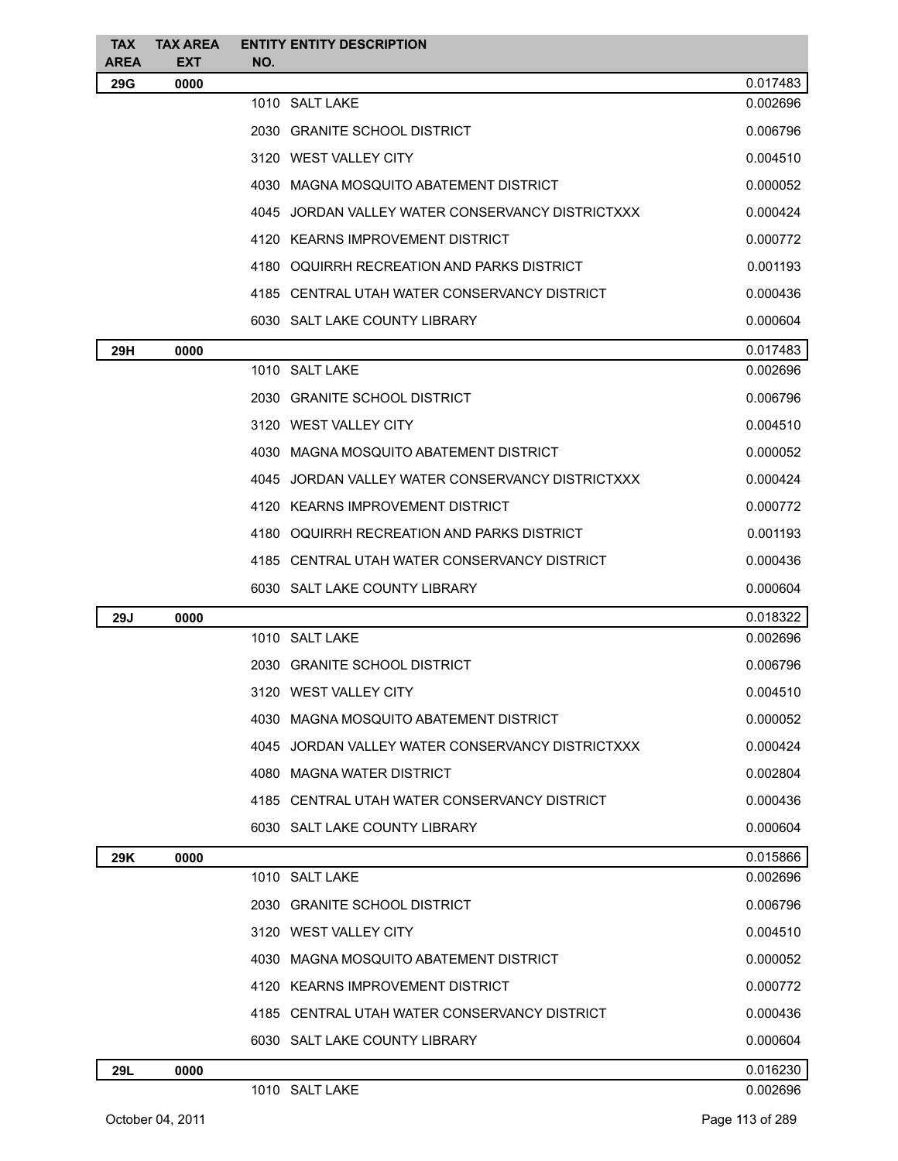| <b>TAX</b> | <b>TAX AREA</b> | <b>ENTITY ENTITY DESCRIPTION</b>                 |                      |
|------------|-----------------|--------------------------------------------------|----------------------|
| AREA       | <b>EXT</b>      | NO.                                              |                      |
| 29G        | 0000            | 1010 SALT LAKE                                   | 0.017483<br>0.002696 |
|            |                 | 2030 GRANITE SCHOOL DISTRICT                     | 0.006796             |
|            |                 | 3120 WEST VALLEY CITY                            | 0.004510             |
|            |                 | 4030 MAGNA MOSQUITO ABATEMENT DISTRICT           | 0.000052             |
|            |                 | 4045 JORDAN VALLEY WATER CONSERVANCY DISTRICTXXX |                      |
|            |                 |                                                  | 0.000424             |
|            |                 | 4120 KEARNS IMPROVEMENT DISTRICT                 | 0.000772             |
|            |                 | 4180 OQUIRRH RECREATION AND PARKS DISTRICT       | 0.001193             |
|            |                 | 4185 CENTRAL UTAH WATER CONSERVANCY DISTRICT     | 0.000436             |
|            |                 | 6030 SALT LAKE COUNTY LIBRARY                    | 0.000604             |
| 29H        | 0000            |                                                  | 0.017483             |
|            |                 | 1010 SALT LAKE                                   | 0.002696             |
|            |                 | 2030 GRANITE SCHOOL DISTRICT                     | 0.006796             |
|            |                 | 3120 WEST VALLEY CITY                            | 0.004510             |
|            |                 | 4030 MAGNA MOSQUITO ABATEMENT DISTRICT           | 0.000052             |
|            |                 | 4045 JORDAN VALLEY WATER CONSERVANCY DISTRICTXXX | 0.000424             |
|            |                 | 4120 KEARNS IMPROVEMENT DISTRICT                 | 0.000772             |
|            |                 | 4180 OQUIRRH RECREATION AND PARKS DISTRICT       | 0.001193             |
|            |                 | 4185 CENTRAL UTAH WATER CONSERVANCY DISTRICT     | 0.000436             |
|            |                 | 6030 SALT LAKE COUNTY LIBRARY                    | 0.000604             |
| 29J        | 0000            |                                                  | 0.018322             |
|            |                 | 1010 SALT LAKE                                   | 0.002696             |
|            |                 | 2030 GRANITE SCHOOL DISTRICT                     | 0.006796             |
|            |                 | 3120 WEST VALLEY CITY                            | 0.004510             |
|            |                 | 4030 MAGNA MOSQUITO ABATEMENT DISTRICT           | 0.000052             |
|            |                 | 4045 JORDAN VALLEY WATER CONSERVANCY DISTRICTXXX | 0.000424             |
|            |                 | 4080 MAGNA WATER DISTRICT                        | 0.002804             |
|            |                 | 4185 CENTRAL UTAH WATER CONSERVANCY DISTRICT     | 0.000436             |
|            |                 | 6030 SALT LAKE COUNTY LIBRARY                    | 0.000604             |
| 29K        | 0000            |                                                  | 0.015866             |
|            |                 | 1010 SALT LAKE                                   | 0.002696             |
|            |                 | 2030 GRANITE SCHOOL DISTRICT                     | 0.006796             |
|            |                 | 3120 WEST VALLEY CITY                            | 0.004510             |
|            |                 | 4030 MAGNA MOSQUITO ABATEMENT DISTRICT           | 0.000052             |
|            |                 | 4120 KEARNS IMPROVEMENT DISTRICT                 | 0.000772             |
|            |                 | 4185 CENTRAL UTAH WATER CONSERVANCY DISTRICT     | 0.000436             |
|            |                 | 6030 SALT LAKE COUNTY LIBRARY                    | 0.000604             |
| 29L        | 0000            |                                                  | 0.016230             |
|            |                 | 1010 SALT LAKE                                   | 0.002696             |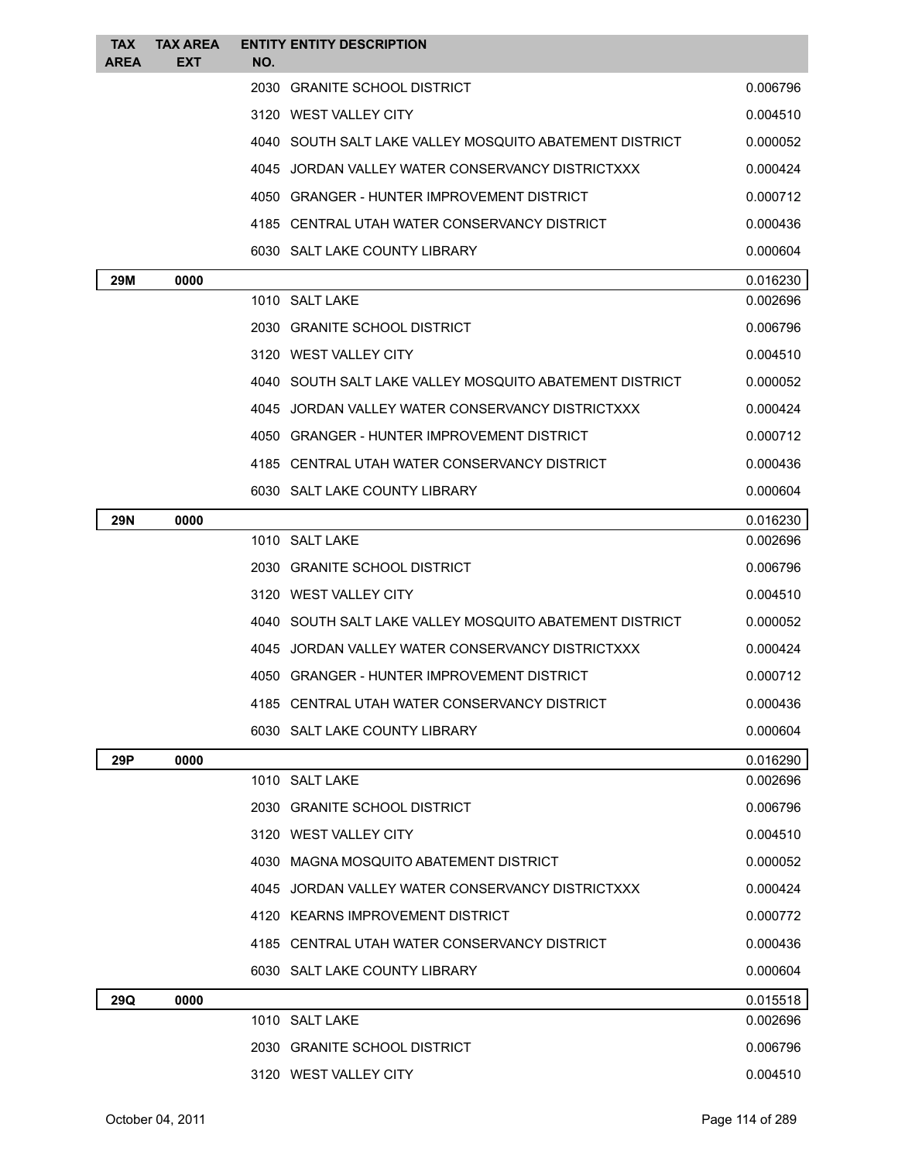| <b>TAX</b><br><b>AREA</b> | <b>TAX AREA</b><br><b>EXT</b> | <b>ENTITY ENTITY DESCRIPTION</b><br>NO.                 |          |
|---------------------------|-------------------------------|---------------------------------------------------------|----------|
|                           |                               | 2030 GRANITE SCHOOL DISTRICT                            | 0.006796 |
|                           |                               | 3120 WEST VALLEY CITY                                   | 0.004510 |
|                           |                               | 4040 SOUTH SALT LAKE VALLEY MOSQUITO ABATEMENT DISTRICT | 0.000052 |
|                           |                               | 4045 JORDAN VALLEY WATER CONSERVANCY DISTRICTXXX        | 0.000424 |
|                           |                               | 4050 GRANGER - HUNTER IMPROVEMENT DISTRICT              | 0.000712 |
|                           |                               | 4185 CENTRAL UTAH WATER CONSERVANCY DISTRICT            | 0.000436 |
|                           |                               | 6030 SALT LAKE COUNTY LIBRARY                           | 0.000604 |
| 29M                       | 0000                          |                                                         | 0.016230 |
|                           |                               | 1010 SALT LAKE                                          | 0.002696 |
|                           |                               | 2030 GRANITE SCHOOL DISTRICT                            | 0.006796 |
|                           |                               | 3120 WEST VALLEY CITY                                   | 0.004510 |
|                           |                               | 4040 SOUTH SALT LAKE VALLEY MOSQUITO ABATEMENT DISTRICT | 0.000052 |
|                           |                               | 4045 JORDAN VALLEY WATER CONSERVANCY DISTRICTXXX        | 0.000424 |
|                           |                               | 4050 GRANGER - HUNTER IMPROVEMENT DISTRICT              | 0.000712 |
|                           |                               | 4185 CENTRAL UTAH WATER CONSERVANCY DISTRICT            | 0.000436 |
|                           |                               | 6030 SALT LAKE COUNTY LIBRARY                           | 0.000604 |
| <b>29N</b>                | 0000                          |                                                         | 0.016230 |
|                           |                               | 1010 SALT LAKE                                          | 0.002696 |
|                           |                               | 2030 GRANITE SCHOOL DISTRICT                            | 0.006796 |
|                           |                               | 3120 WEST VALLEY CITY                                   | 0.004510 |
|                           |                               | 4040 SOUTH SALT LAKE VALLEY MOSQUITO ABATEMENT DISTRICT | 0.000052 |
|                           |                               | 4045 JORDAN VALLEY WATER CONSERVANCY DISTRICTXXX        | 0.000424 |
|                           |                               | 4050 GRANGER - HUNTER IMPROVEMENT DISTRICT              | 0.000712 |
|                           |                               | 4185 CENTRAL UTAH WATER CONSERVANCY DISTRICT            | 0.000436 |
|                           |                               | 6030 SALT LAKE COUNTY LIBRARY                           | 0.000604 |
| 29P                       | 0000                          |                                                         | 0.016290 |
|                           |                               | 1010 SALT LAKE                                          | 0.002696 |
|                           |                               | 2030 GRANITE SCHOOL DISTRICT                            | 0.006796 |
|                           |                               | 3120 WEST VALLEY CITY                                   | 0.004510 |
|                           |                               | 4030 MAGNA MOSQUITO ABATEMENT DISTRICT                  | 0.000052 |
|                           |                               | 4045 JORDAN VALLEY WATER CONSERVANCY DISTRICTXXX        | 0.000424 |
|                           |                               | 4120 KEARNS IMPROVEMENT DISTRICT                        | 0.000772 |
|                           |                               | 4185 CENTRAL UTAH WATER CONSERVANCY DISTRICT            | 0.000436 |
|                           |                               | 6030 SALT LAKE COUNTY LIBRARY                           | 0.000604 |
| 29Q                       | 0000                          |                                                         | 0.015518 |
|                           |                               | 1010 SALT LAKE                                          | 0.002696 |
|                           |                               | 2030 GRANITE SCHOOL DISTRICT                            | 0.006796 |
|                           |                               | 3120 WEST VALLEY CITY                                   | 0.004510 |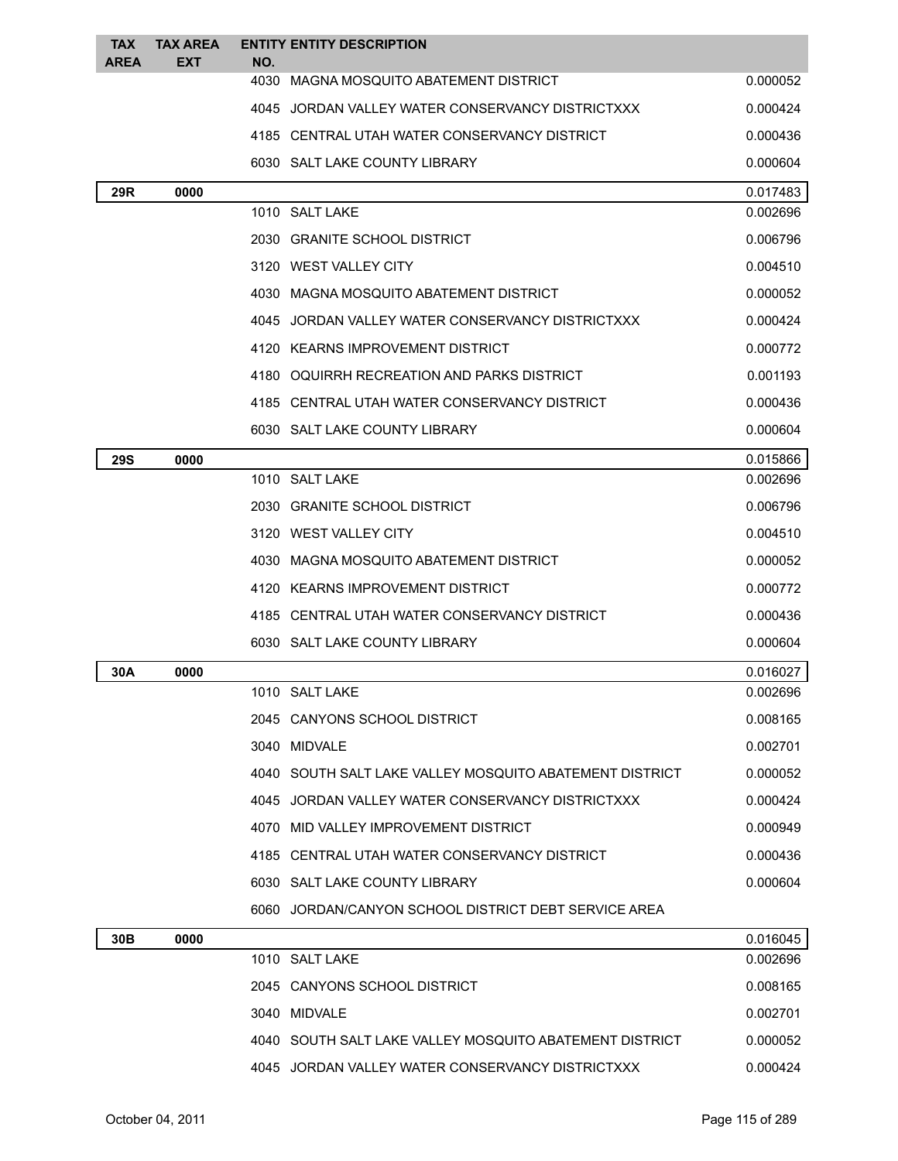| <b>TAX</b><br><b>AREA</b> | <b>TAX AREA</b><br><b>EXT</b> | NO. | <b>ENTITY ENTITY DESCRIPTION</b>                        |          |
|---------------------------|-------------------------------|-----|---------------------------------------------------------|----------|
|                           |                               |     | 4030 MAGNA MOSQUITO ABATEMENT DISTRICT                  | 0.000052 |
|                           |                               |     | 4045 JORDAN VALLEY WATER CONSERVANCY DISTRICTXXX        | 0.000424 |
|                           |                               |     | 4185 CENTRAL UTAH WATER CONSERVANCY DISTRICT            | 0.000436 |
|                           |                               |     | 6030 SALT LAKE COUNTY LIBRARY                           | 0.000604 |
| 29R                       | 0000                          |     |                                                         | 0.017483 |
|                           |                               |     | 1010 SALT LAKE                                          | 0.002696 |
|                           |                               |     | 2030 GRANITE SCHOOL DISTRICT                            | 0.006796 |
|                           |                               |     | 3120 WEST VALLEY CITY                                   | 0.004510 |
|                           |                               |     | 4030 MAGNA MOSQUITO ABATEMENT DISTRICT                  | 0.000052 |
|                           |                               |     | 4045 JORDAN VALLEY WATER CONSERVANCY DISTRICTXXX        | 0.000424 |
|                           |                               |     | 4120 KEARNS IMPROVEMENT DISTRICT                        | 0.000772 |
|                           |                               |     | 4180 OQUIRRH RECREATION AND PARKS DISTRICT              | 0.001193 |
|                           |                               |     | 4185 CENTRAL UTAH WATER CONSERVANCY DISTRICT            | 0.000436 |
|                           |                               |     | 6030 SALT LAKE COUNTY LIBRARY                           | 0.000604 |
| <b>29S</b>                | 0000                          |     |                                                         | 0.015866 |
|                           |                               |     | 1010 SALT LAKE                                          | 0.002696 |
|                           |                               |     | 2030 GRANITE SCHOOL DISTRICT                            | 0.006796 |
|                           |                               |     | 3120 WEST VALLEY CITY                                   | 0.004510 |
|                           |                               |     | 4030 MAGNA MOSQUITO ABATEMENT DISTRICT                  | 0.000052 |
|                           |                               |     | 4120 KEARNS IMPROVEMENT DISTRICT                        | 0.000772 |
|                           |                               |     | 4185 CENTRAL UTAH WATER CONSERVANCY DISTRICT            | 0.000436 |
|                           |                               |     | 6030 SALT LAKE COUNTY LIBRARY                           | 0.000604 |
| 30A                       | 0000                          |     |                                                         | 0.016027 |
|                           |                               |     | 1010 SALT LAKE                                          | 0.002696 |
|                           |                               |     | 2045 CANYONS SCHOOL DISTRICT                            | 0.008165 |
|                           |                               |     | 3040 MIDVALE                                            | 0.002701 |
|                           |                               |     | 4040 SOUTH SALT LAKE VALLEY MOSQUITO ABATEMENT DISTRICT | 0.000052 |
|                           |                               |     | 4045 JORDAN VALLEY WATER CONSERVANCY DISTRICTXXX        | 0.000424 |
|                           |                               |     | 4070 MID VALLEY IMPROVEMENT DISTRICT                    | 0.000949 |
|                           |                               |     | 4185 CENTRAL UTAH WATER CONSERVANCY DISTRICT            | 0.000436 |
|                           |                               |     | 6030 SALT LAKE COUNTY LIBRARY                           | 0.000604 |
|                           |                               |     | 6060 JORDAN/CANYON SCHOOL DISTRICT DEBT SERVICE AREA    |          |
| 30B                       | 0000                          |     |                                                         | 0.016045 |
|                           |                               |     | 1010 SALT LAKE                                          | 0.002696 |
|                           |                               |     | 2045 CANYONS SCHOOL DISTRICT                            | 0.008165 |
|                           |                               |     | 3040 MIDVALE                                            | 0.002701 |
|                           |                               |     | 4040 SOUTH SALT LAKE VALLEY MOSQUITO ABATEMENT DISTRICT | 0.000052 |

4045 JORDAN VALLEY WATER CONSERVANCY DISTRICTXXX 0.000424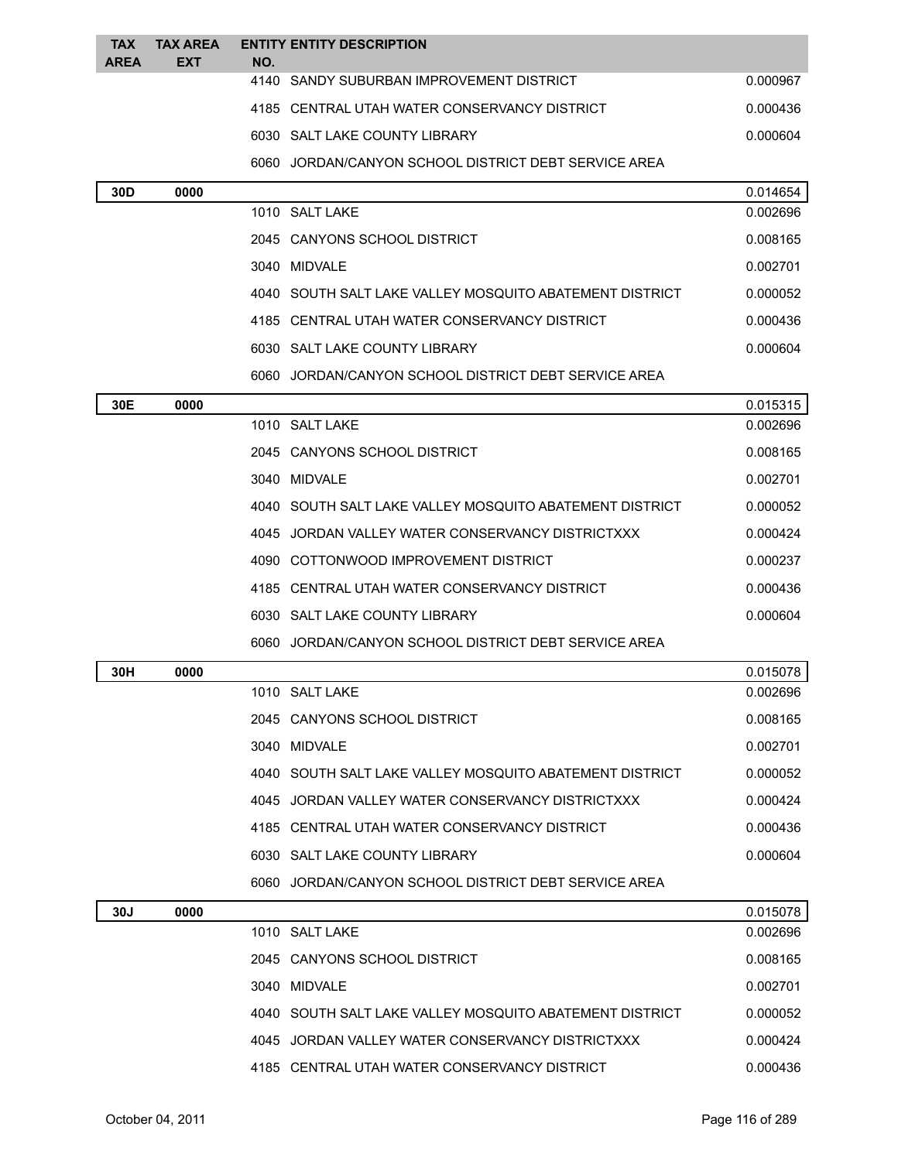| <b>TAX</b><br><b>AREA</b> | <b>TAX AREA</b><br><b>EXT</b> | NO. | <b>ENTITY ENTITY DESCRIPTION</b>                        |          |
|---------------------------|-------------------------------|-----|---------------------------------------------------------|----------|
|                           |                               |     | 4140 SANDY SUBURBAN IMPROVEMENT DISTRICT                | 0.000967 |
|                           |                               |     | 4185 CENTRAL UTAH WATER CONSERVANCY DISTRICT            | 0.000436 |
|                           |                               |     | 6030 SALT LAKE COUNTY LIBRARY                           | 0.000604 |
|                           |                               |     | 6060 JORDAN/CANYON SCHOOL DISTRICT DEBT SERVICE AREA    |          |
| 30 <sub>D</sub>           | 0000                          |     |                                                         | 0.014654 |
|                           |                               |     | 1010 SALT LAKE                                          | 0.002696 |
|                           |                               |     | 2045 CANYONS SCHOOL DISTRICT                            | 0.008165 |
|                           |                               |     | 3040 MIDVALE                                            | 0.002701 |
|                           |                               |     | 4040 SOUTH SALT LAKE VALLEY MOSQUITO ABATEMENT DISTRICT | 0.000052 |
|                           |                               |     | 4185 CENTRAL UTAH WATER CONSERVANCY DISTRICT            | 0.000436 |
|                           |                               |     | 6030 SALT LAKE COUNTY LIBRARY                           | 0.000604 |
|                           |                               |     | 6060 JORDAN/CANYON SCHOOL DISTRICT DEBT SERVICE AREA    |          |
| 30E                       | 0000                          |     |                                                         | 0.015315 |
|                           |                               |     | 1010 SALT LAKE                                          | 0.002696 |
|                           |                               |     | 2045 CANYONS SCHOOL DISTRICT                            | 0.008165 |
|                           |                               |     | 3040 MIDVALE                                            | 0.002701 |
|                           |                               |     | 4040 SOUTH SALT LAKE VALLEY MOSQUITO ABATEMENT DISTRICT | 0.000052 |
|                           |                               |     | 4045 JORDAN VALLEY WATER CONSERVANCY DISTRICTXXX        | 0.000424 |
|                           |                               |     | 4090 COTTONWOOD IMPROVEMENT DISTRICT                    | 0.000237 |
|                           |                               |     | 4185 CENTRAL UTAH WATER CONSERVANCY DISTRICT            | 0.000436 |
|                           |                               |     | 6030 SALT LAKE COUNTY LIBRARY                           | 0.000604 |
|                           |                               |     | 6060 JORDAN/CANYON SCHOOL DISTRICT DEBT SERVICE AREA    |          |
| 30H                       | 0000                          |     |                                                         | 0.015078 |
|                           |                               |     | 1010 SALT LAKE                                          | 0.002696 |
|                           |                               |     | 2045 CANYONS SCHOOL DISTRICT                            | 0.008165 |
|                           |                               |     | 3040 MIDVALE                                            | 0.002701 |
|                           |                               |     | 4040 SOUTH SALT LAKE VALLEY MOSQUITO ABATEMENT DISTRICT | 0.000052 |
|                           |                               |     | 4045 JORDAN VALLEY WATER CONSERVANCY DISTRICTXXX        | 0.000424 |
|                           |                               |     | 4185 CENTRAL UTAH WATER CONSERVANCY DISTRICT            | 0.000436 |
|                           |                               |     | 6030 SALT LAKE COUNTY LIBRARY                           | 0.000604 |
|                           |                               |     | 6060 JORDAN/CANYON SCHOOL DISTRICT DEBT SERVICE AREA    |          |
| 30J                       | 0000                          |     |                                                         | 0.015078 |
|                           |                               |     | 1010 SALT LAKE                                          | 0.002696 |
|                           |                               |     | 2045 CANYONS SCHOOL DISTRICT                            | 0.008165 |
|                           |                               |     | 3040 MIDVALE                                            | 0.002701 |
|                           |                               |     | 4040 SOUTH SALT LAKE VALLEY MOSQUITO ABATEMENT DISTRICT | 0.000052 |
|                           |                               |     | 4045 JORDAN VALLEY WATER CONSERVANCY DISTRICTXXX        | 0.000424 |

4185 CENTRAL UTAH WATER CONSERVANCY DISTRICT 0.000436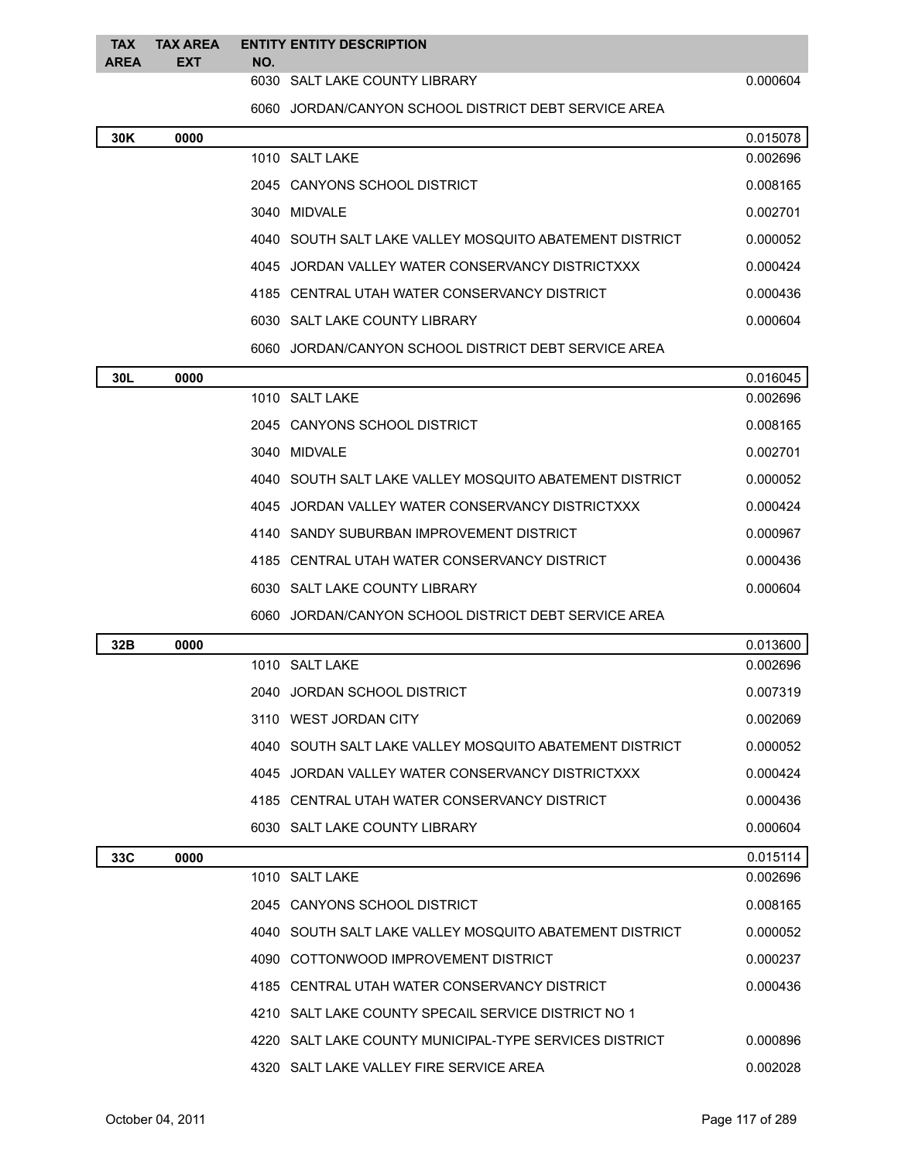|          | TAX TAX AREA ENTITY ENTITY DESCRIPTION |  |
|----------|----------------------------------------|--|
| AREA EXT | NO.                                    |  |

6030 SALT LAKE COUNTY LIBRARY 0.000604

JORDAN/CANYON SCHOOL DISTRICT DEBT SERVICE AREA

| 30K | 0000 |                                                         | 0.015078 |
|-----|------|---------------------------------------------------------|----------|
|     |      | 1010 SALT LAKE                                          | 0.002696 |
|     |      | 2045 CANYONS SCHOOL DISTRICT                            | 0.008165 |
|     |      | 3040 MIDVALE                                            | 0.002701 |
|     |      | 4040 SOUTH SALT LAKE VALLEY MOSQUITO ABATEMENT DISTRICT | 0.000052 |
|     |      | 4045 JORDAN VALLEY WATER CONSERVANCY DISTRICTXXX        | 0.000424 |
|     |      | 4185 CENTRAL UTAH WATER CONSERVANCY DISTRICT            | 0.000436 |
|     |      | 6030 SALT LAKE COUNTY LIBRARY                           | 0.000604 |
|     |      | 6060 JORDAN/CANYON SCHOOL DISTRICT DEBT SERVICE AREA    |          |
| 30L | 0000 |                                                         | 0.016045 |
|     |      | 1010 SALT LAKE                                          | 0.002696 |
|     |      | 2045 CANYONS SCHOOL DISTRICT                            | 0.008165 |
|     |      | 3040 MIDVALE                                            | 0.002701 |
|     |      | 4040 SOUTH SALT LAKE VALLEY MOSQUITO ABATEMENT DISTRICT | 0.000052 |
|     |      | 4045 JORDAN VALLEY WATER CONSERVANCY DISTRICTXXX        | 0.000424 |
|     |      | 4140 SANDY SUBURBAN IMPROVEMENT DISTRICT                | 0.000967 |
|     |      | 4185 CENTRAL UTAH WATER CONSERVANCY DISTRICT            | 0.000436 |
|     |      | 6030 SALT LAKE COUNTY LIBRARY                           | 0.000604 |
|     |      | 6060 JORDAN/CANYON SCHOOL DISTRICT DEBT SERVICE AREA    |          |
| 32B | 0000 |                                                         | 0.013600 |
|     |      | 1010 SALT LAKE                                          | 0.002696 |
|     |      | JORDAN SCHOOL DISTRICT<br>2040                          | 0.007319 |
|     |      | 3110 WEST JORDAN CITY                                   | 0.002069 |
|     |      | 4040 SOUTH SALT LAKE VALLEY MOSQUITO ABATEMENT DISTRICT | 0.000052 |
|     |      | 4045 JORDAN VALLEY WATER CONSERVANCY DISTRICTXXX        | 0.000424 |
|     |      | 4185 CENTRAL UTAH WATER CONSERVANCY DISTRICT            | 0.000436 |
|     |      | 6030 SALT LAKE COUNTY LIBRARY                           | 0.000604 |
| 33C | 0000 |                                                         | 0.015114 |
|     |      | 1010 SALT LAKE                                          | 0.002696 |
|     |      | 2045 CANYONS SCHOOL DISTRICT                            | 0.008165 |
|     |      | 4040 SOUTH SALT LAKE VALLEY MOSQUITO ABATEMENT DISTRICT | 0.000052 |
|     |      | 4090 COTTONWOOD IMPROVEMENT DISTRICT                    | 0.000237 |
|     |      | 4185 CENTRAL UTAH WATER CONSERVANCY DISTRICT            | 0.000436 |
|     |      | 4210 SALT LAKE COUNTY SPECAIL SERVICE DISTRICT NO 1     |          |
|     |      | 4220 SALT LAKE COUNTY MUNICIPAL-TYPE SERVICES DISTRICT  | 0.000896 |
|     |      | 4320 SALT LAKE VALLEY FIRE SERVICE AREA                 | 0.002028 |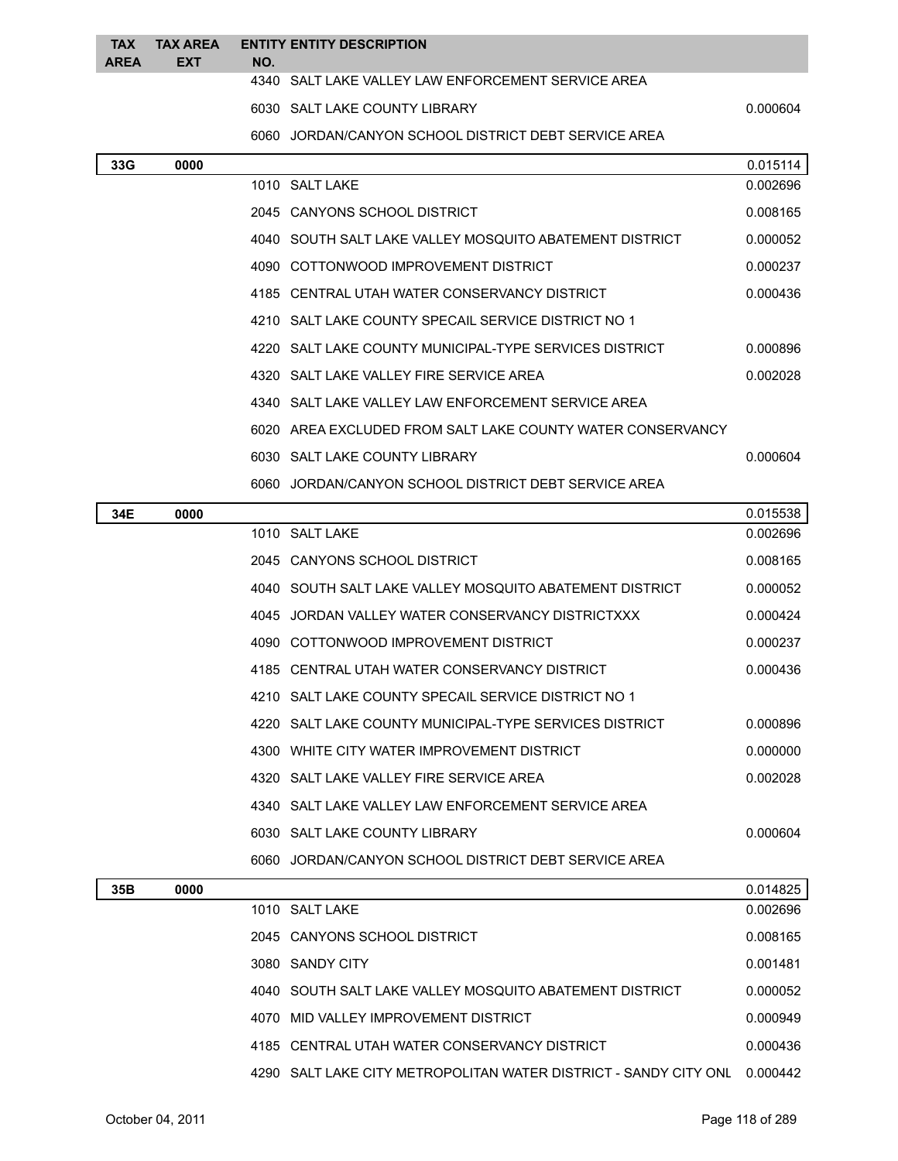| <b>TAX</b><br><b>AREA</b> | TAX AREA<br><b>EXT</b> | NO.  | <b>ENTITY ENTITY DESCRIPTION</b>                           |          |
|---------------------------|------------------------|------|------------------------------------------------------------|----------|
|                           |                        |      | 4340 SALT LAKE VALLEY LAW ENFORCEMENT SERVICE AREA         |          |
|                           |                        |      | 6030 SALT LAKE COUNTY LIBRARY                              | 0.000604 |
|                           |                        |      | 6060 JORDAN/CANYON SCHOOL DISTRICT DEBT SERVICE AREA       |          |
| 33G                       | 0000                   |      |                                                            | 0.015114 |
|                           |                        |      | 1010 SALT LAKE                                             | 0.002696 |
|                           |                        |      | 2045 CANYONS SCHOOL DISTRICT                               | 0.008165 |
|                           |                        |      | 4040 SOUTH SALT LAKE VALLEY MOSQUITO ABATEMENT DISTRICT    | 0.000052 |
|                           |                        |      | 4090 COTTONWOOD IMPROVEMENT DISTRICT                       | 0.000237 |
|                           |                        |      | 4185 CENTRAL UTAH WATER CONSERVANCY DISTRICT               | 0.000436 |
|                           |                        |      | 4210 SALT LAKE COUNTY SPECAIL SERVICE DISTRICT NO 1        |          |
|                           |                        |      | 4220 SALT LAKE COUNTY MUNICIPAL-TYPE SERVICES DISTRICT     | 0.000896 |
|                           |                        |      | 4320 SALT LAKE VALLEY FIRE SERVICE AREA                    | 0.002028 |
|                           |                        |      | 4340 SALT LAKE VALLEY LAW ENFORCEMENT SERVICE AREA         |          |
|                           |                        |      | 6020 AREA EXCLUDED FROM SALT LAKE COUNTY WATER CONSERVANCY |          |
|                           |                        |      | 6030 SALT LAKE COUNTY LIBRARY                              | 0.000604 |
|                           |                        |      | 6060 JORDAN/CANYON SCHOOL DISTRICT DEBT SERVICE AREA       |          |
| 34E                       | 0000                   |      |                                                            | 0.015538 |
|                           |                        |      | 1010 SALT LAKE                                             | 0.002696 |
|                           |                        |      | 2045 CANYONS SCHOOL DISTRICT                               | 0.008165 |
|                           |                        |      | 4040 SOUTH SALT LAKE VALLEY MOSQUITO ABATEMENT DISTRICT    | 0.000052 |
|                           |                        | 4045 | JORDAN VALLEY WATER CONSERVANCY DISTRICTXXX                | 0.000424 |
|                           |                        |      | 4090 COTTONWOOD IMPROVEMENT DISTRICT                       | 0.000237 |
|                           |                        |      | 4185 CENTRAL UTAH WATER CONSERVANCY DISTRICT               | 0.000436 |
|                           |                        |      | 4210 SALT LAKE COUNTY SPECAIL SERVICE DISTRICT NO 1        |          |
|                           |                        |      | 4220 SALT LAKE COUNTY MUNICIPAL-TYPE SERVICES DISTRICT     | 0.000896 |
|                           |                        |      | 4300 WHITE CITY WATER IMPROVEMENT DISTRICT                 | 0.000000 |
|                           |                        |      | 4320 SALT LAKE VALLEY FIRE SERVICE AREA                    | 0.002028 |
|                           |                        |      | 4340 SALT LAKE VALLEY LAW ENFORCEMENT SERVICE AREA         |          |
|                           |                        |      | 6030 SALT LAKE COUNTY LIBRARY                              | 0.000604 |
|                           |                        |      | 6060 JORDAN/CANYON SCHOOL DISTRICT DEBT SERVICE AREA       |          |
| 35B                       | 0000                   |      |                                                            | 0.014825 |
|                           |                        |      | 1010 SALT LAKE                                             | 0.002696 |
|                           |                        |      | 2045 CANYONS SCHOOL DISTRICT                               | 0.008165 |
|                           |                        |      | 3080 SANDY CITY                                            | 0.001481 |
|                           |                        |      | 4040 SOUTH SALT LAKE VALLEY MOSQUITO ABATEMENT DISTRICT    | 0.000052 |
|                           |                        |      | 4070 MID VALLEY IMPROVEMENT DISTRICT                       | 0.000949 |
|                           |                        |      | 4185 CENTRAL UTAH WATER CONSERVANCY DISTRICT               | 0.000436 |

4290 SALT LAKE CITY METROPOLITAN WATER DISTRICT - SANDY CITY ONL 0.000442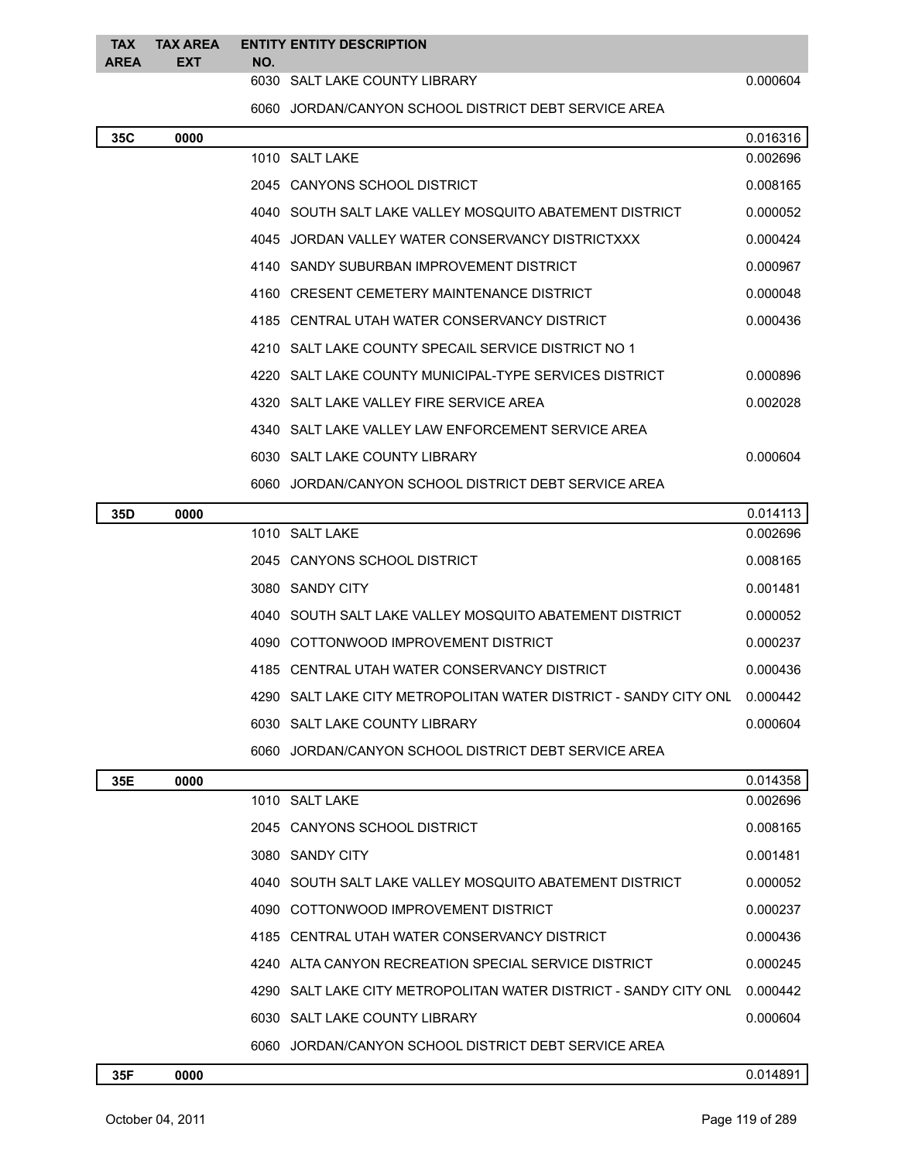| <b>TAX</b><br>AREA | <b>FXT</b> | TAX AREA ENTITY ENTITY DESCRIPTION<br>NO. |          |
|--------------------|------------|-------------------------------------------|----------|
|                    |            | 6030 SALT LAKE COUNTY LIBRARY             | 0.000604 |

JORDAN/CANYON SCHOOL DISTRICT DEBT SERVICE AREA

| 35C | 0000 |      |                                                                  | 0.016316 |
|-----|------|------|------------------------------------------------------------------|----------|
|     |      |      | 1010 SALT LAKE                                                   | 0.002696 |
|     |      |      | 2045 CANYONS SCHOOL DISTRICT                                     | 0.008165 |
|     |      |      | 4040 SOUTH SALT LAKE VALLEY MOSQUITO ABATEMENT DISTRICT          | 0.000052 |
|     |      |      | 4045 JORDAN VALLEY WATER CONSERVANCY DISTRICTXXX                 | 0.000424 |
|     |      |      | 4140 SANDY SUBURBAN IMPROVEMENT DISTRICT                         | 0.000967 |
|     |      |      | 4160 CRESENT CEMETERY MAINTENANCE DISTRICT                       | 0.000048 |
|     |      |      | 4185 CENTRAL UTAH WATER CONSERVANCY DISTRICT                     | 0.000436 |
|     |      |      | 4210 SALT LAKE COUNTY SPECAIL SERVICE DISTRICT NO 1              |          |
|     |      | 4220 | SALT LAKE COUNTY MUNICIPAL-TYPE SERVICES DISTRICT                | 0.000896 |
|     |      |      | 4320 SALT LAKE VALLEY FIRE SERVICE AREA                          | 0.002028 |
|     |      |      | 4340 SALT LAKE VALLEY LAW ENFORCEMENT SERVICE AREA               |          |
|     |      |      | 6030 SALT LAKE COUNTY LIBRARY                                    | 0.000604 |
|     |      |      | 6060 JORDAN/CANYON SCHOOL DISTRICT DEBT SERVICE AREA             |          |
| 35D | 0000 |      |                                                                  | 0.014113 |
|     |      |      | 1010 SALT LAKE                                                   | 0.002696 |
|     |      |      | 2045 CANYONS SCHOOL DISTRICT                                     | 0.008165 |
|     |      |      | 3080 SANDY CITY                                                  | 0.001481 |
|     |      | 4040 | SOUTH SALT LAKE VALLEY MOSQUITO ABATEMENT DISTRICT               | 0.000052 |
|     |      | 4090 | COTTONWOOD IMPROVEMENT DISTRICT                                  | 0.000237 |
|     |      | 4185 | CENTRAL UTAH WATER CONSERVANCY DISTRICT                          | 0.000436 |
|     |      | 4290 | SALT LAKE CITY METROPOLITAN WATER DISTRICT - SANDY CITY ONL      | 0.000442 |
|     |      |      | 6030 SALT LAKE COUNTY LIBRARY                                    | 0.000604 |
|     |      |      | 6060 JORDAN/CANYON SCHOOL DISTRICT DEBT SERVICE AREA             |          |
| 35E | 0000 |      |                                                                  | 0.014358 |
|     |      |      | 1010 SALT LAKE                                                   | 0.002696 |
|     |      |      | 2045 CANYONS SCHOOL DISTRICT                                     | 0.008165 |
|     |      |      | 3080 SANDY CITY                                                  | 0.001481 |
|     |      |      | 4040 SOUTH SALT LAKE VALLEY MOSQUITO ABATEMENT DISTRICT          | 0.000052 |
|     |      |      | 4090 COTTONWOOD IMPROVEMENT DISTRICT                             | 0.000237 |
|     |      |      | 4185 CENTRAL UTAH WATER CONSERVANCY DISTRICT                     | 0.000436 |
|     |      |      | 4240 ALTA CANYON RECREATION SPECIAL SERVICE DISTRICT             | 0.000245 |
|     |      |      | 4290 SALT LAKE CITY METROPOLITAN WATER DISTRICT - SANDY CITY ONL | 0.000442 |
|     |      |      | 6030 SALT LAKE COUNTY LIBRARY                                    | 0.000604 |
|     |      |      | 6060 JORDAN/CANYON SCHOOL DISTRICT DEBT SERVICE AREA             |          |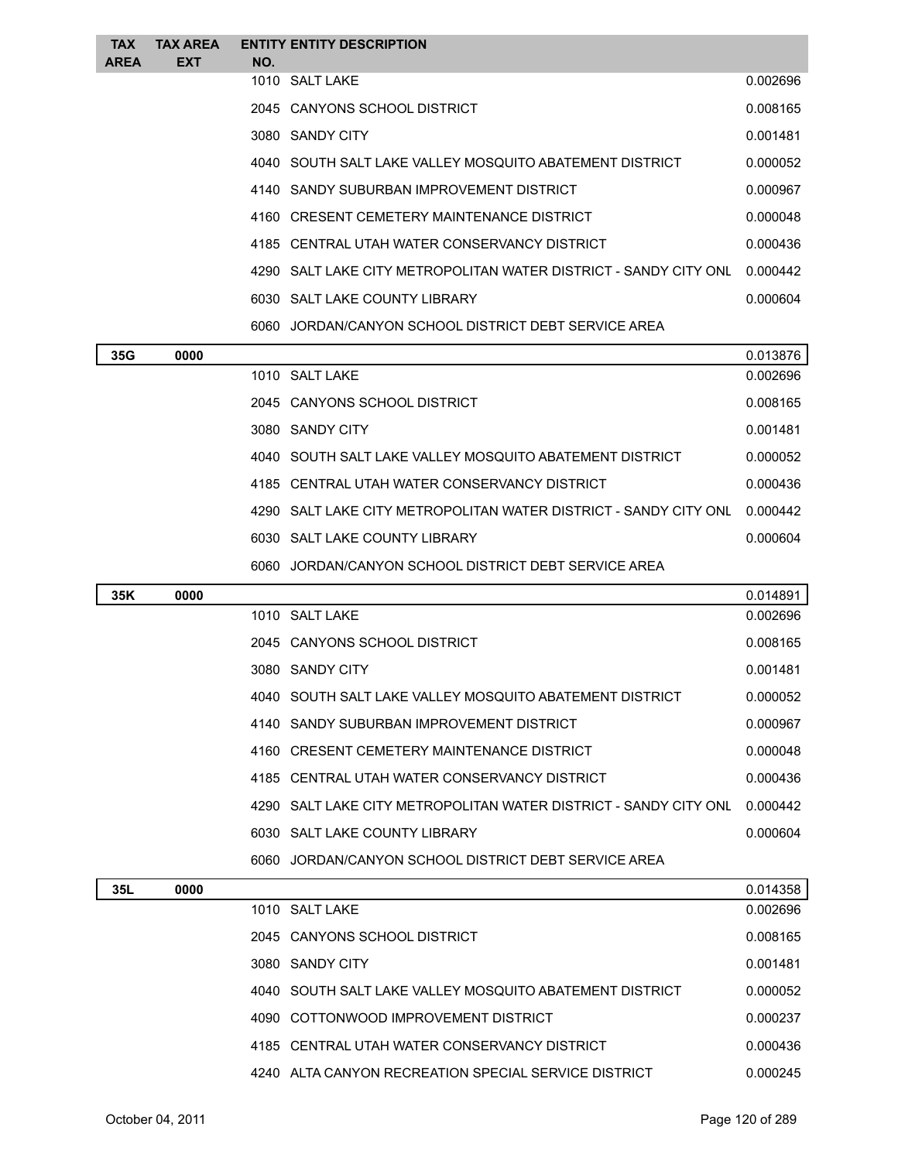| <b>TAX</b>  | <b>TAX AREA</b> |     | <b>ENTITY ENTITY DESCRIPTION</b>                                 |          |
|-------------|-----------------|-----|------------------------------------------------------------------|----------|
| <b>AREA</b> | <b>EXT</b>      | NO. |                                                                  |          |
|             |                 |     | 1010 SALT LAKE                                                   | 0.002696 |
|             |                 |     | 2045 CANYONS SCHOOL DISTRICT                                     | 0.008165 |
|             |                 |     | 3080 SANDY CITY                                                  | 0.001481 |
|             |                 |     | 4040 SOUTH SALT LAKE VALLEY MOSQUITO ABATEMENT DISTRICT          | 0.000052 |
|             |                 |     | 4140 SANDY SUBURBAN IMPROVEMENT DISTRICT                         | 0.000967 |
|             |                 |     | 4160 CRESENT CEMETERY MAINTENANCE DISTRICT                       | 0.000048 |
|             |                 |     | 4185 CENTRAL UTAH WATER CONSERVANCY DISTRICT                     | 0.000436 |
|             |                 |     | 4290 SALT LAKE CITY METROPOLITAN WATER DISTRICT - SANDY CITY ONL | 0.000442 |
|             |                 |     | 6030 SALT LAKE COUNTY LIBRARY                                    | 0.000604 |
|             |                 |     | 6060 JORDAN/CANYON SCHOOL DISTRICT DEBT SERVICE AREA             |          |
|             |                 |     |                                                                  |          |

| 35G | 0000 |                                                                  | 0.013876 |
|-----|------|------------------------------------------------------------------|----------|
|     |      | 1010 SAITIAKE                                                    | 0.002696 |
|     |      | 2045 CANYONS SCHOOL DISTRICT                                     | 0.008165 |
|     |      | 3080 SANDY CITY                                                  | 0.001481 |
|     |      | 4040 SOUTH SALT LAKE VALLEY MOSQUITO ABATEMENT DISTRICT          | 0.000052 |
|     |      | 4185 CENTRAL UTAH WATER CONSERVANCY DISTRICT                     | 0.000436 |
|     |      | 4290 SALT LAKE CITY METROPOLITAN WATER DISTRICT - SANDY CITY ONL | 0.000442 |
|     |      | 6030 SALT LAKE COUNTY LIBRARY                                    | 0.000604 |
|     |      | 6060 JORDAN/CANYON SCHOOL DISTRICT DEBT SERVICE AREA             |          |

| 35K | 0000 |                                                                  | 0.014891 |
|-----|------|------------------------------------------------------------------|----------|
|     |      | 1010 SALT LAKE                                                   | 0.002696 |
|     |      | 2045 CANYONS SCHOOL DISTRICT                                     | 0.008165 |
|     |      | 3080 SANDY CITY                                                  | 0.001481 |
|     |      | 4040 SOUTH SALT LAKE VALLEY MOSOUITO ABATEMENT DISTRICT          | 0.000052 |
|     |      | 4140 SANDY SUBURBAN IMPROVEMENT DISTRICT                         | 0.000967 |
|     |      | 4160 CRESENT CEMETERY MAINTENANCE DISTRICT                       | 0.000048 |
|     |      | 4185 CENTRAL UTAH WATER CONSERVANCY DISTRICT                     | 0.000436 |
|     |      | 4290 SALT LAKE CITY METROPOLITAN WATER DISTRICT - SANDY CITY ONL | 0.000442 |
|     |      | 6030 SALT LAKE COUNTY LIBRARY                                    | 0.000604 |
|     |      | 6060 JORDAN/CANYON SCHOOL DISTRICT DEBT SERVICE AREA             |          |

| 35L | 0000 |                                                         | 0.014358 |
|-----|------|---------------------------------------------------------|----------|
|     |      | 1010 SALT LAKE                                          | 0.002696 |
|     |      | 2045 CANYONS SCHOOL DISTRICT                            | 0.008165 |
|     |      | 3080 SANDY CITY                                         | 0.001481 |
|     |      | 4040 SOUTH SALT LAKE VALLEY MOSQUITO ABATEMENT DISTRICT | 0.000052 |
|     |      | 4090 COTTONWOOD IMPROVEMENT DISTRICT                    | 0.000237 |
|     |      | 4185 CENTRAL UTAH WATER CONSERVANCY DISTRICT            | 0.000436 |
|     |      | 4240 ALTA CANYON RECREATION SPECIAL SERVICE DISTRICT    | 0.000245 |
|     |      |                                                         |          |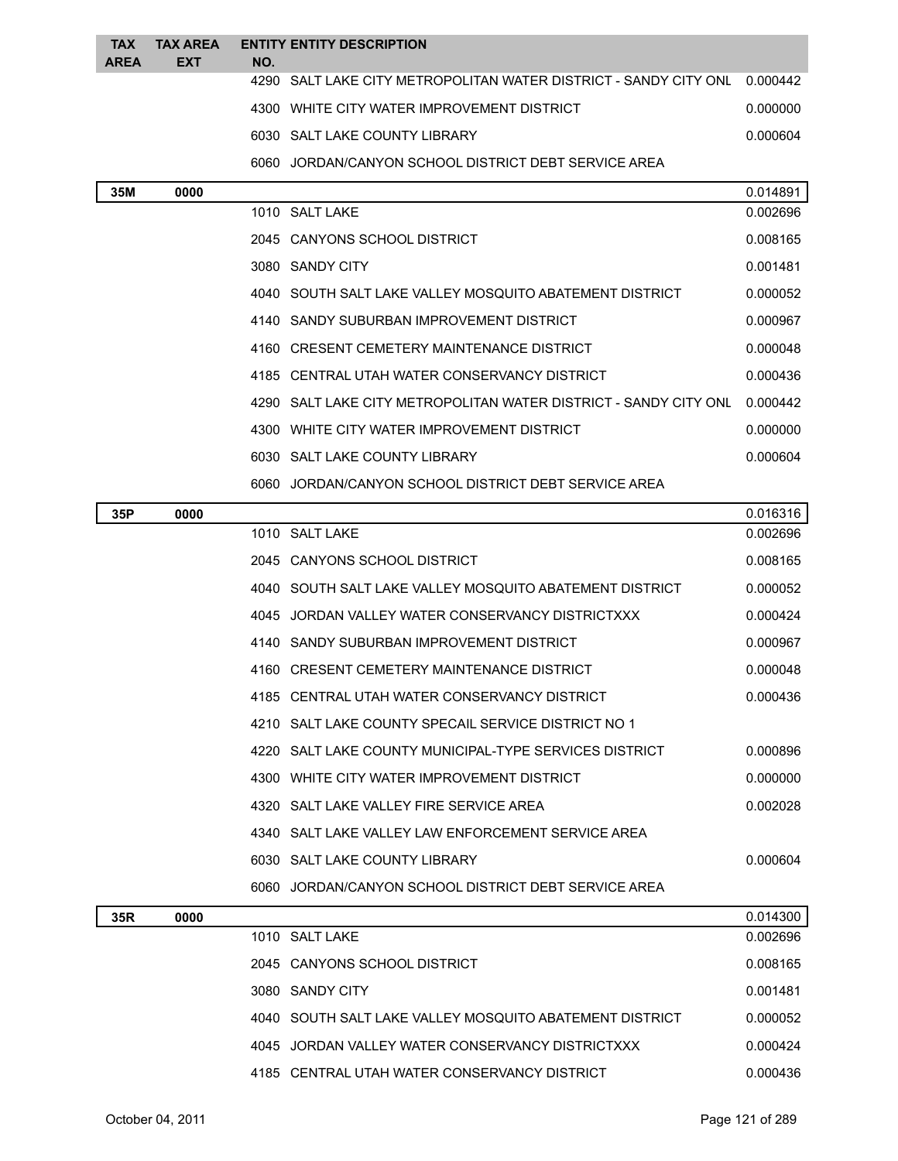| <b>TAX</b><br><b>AREA</b> | <b>TAX AREA</b><br><b>EXT</b> |     | <b>ENTITY ENTITY DESCRIPTION</b>                                 |          |
|---------------------------|-------------------------------|-----|------------------------------------------------------------------|----------|
|                           |                               | NO. | 4290 SALT LAKE CITY METROPOLITAN WATER DISTRICT - SANDY CITY ONL | 0.000442 |
|                           |                               |     | 4300 WHITE CITY WATER IMPROVEMENT DISTRICT                       | 0.000000 |
|                           |                               |     | 6030 SALT LAKE COUNTY LIBRARY                                    | 0.000604 |
|                           |                               |     | 6060 JORDAN/CANYON SCHOOL DISTRICT DEBT SERVICE AREA             |          |
| 35M                       | 0000                          |     |                                                                  | 0.014891 |
|                           |                               |     | 1010 SALT LAKE                                                   | 0.002696 |
|                           |                               |     | 2045 CANYONS SCHOOL DISTRICT                                     | 0.008165 |
|                           |                               |     | 3080 SANDY CITY                                                  | 0.001481 |
|                           |                               |     | 4040 SOUTH SALT LAKE VALLEY MOSQUITO ABATEMENT DISTRICT          | 0.000052 |
|                           |                               |     | 4140 SANDY SUBURBAN IMPROVEMENT DISTRICT                         | 0.000967 |
|                           |                               |     | 4160 CRESENT CEMETERY MAINTENANCE DISTRICT                       | 0.000048 |
|                           |                               |     | 4185 CENTRAL UTAH WATER CONSERVANCY DISTRICT                     | 0.000436 |
|                           |                               |     | 4290 SALT LAKE CITY METROPOLITAN WATER DISTRICT - SANDY CITY ONL | 0.000442 |
|                           |                               |     | 4300 WHITE CITY WATER IMPROVEMENT DISTRICT                       | 0.000000 |
|                           |                               |     | 6030 SALT LAKE COUNTY LIBRARY                                    | 0.000604 |
|                           |                               |     | 6060 JORDAN/CANYON SCHOOL DISTRICT DEBT SERVICE AREA             |          |
| 35P                       | 0000                          |     |                                                                  | 0.016316 |
|                           |                               |     | 1010 SALT LAKE                                                   | 0.002696 |
|                           |                               |     | 2045 CANYONS SCHOOL DISTRICT                                     | 0.008165 |
|                           |                               |     | 4040 SOUTH SALT LAKE VALLEY MOSQUITO ABATEMENT DISTRICT          | 0.000052 |
|                           |                               |     | 4045 JORDAN VALLEY WATER CONSERVANCY DISTRICTXXX                 | 0.000424 |
|                           |                               |     | 4140 SANDY SUBURBAN IMPROVEMENT DISTRICT                         | 0.000967 |
|                           |                               |     | 4160 CRESENT CEMETERY MAINTENANCE DISTRICT                       | 0.000048 |
|                           |                               |     | 4185 CENTRAL UTAH WATER CONSERVANCY DISTRICT                     | 0.000436 |
|                           |                               |     | 4210 SALT LAKE COUNTY SPECAIL SERVICE DISTRICT NO 1              |          |
|                           |                               |     | 4220 SALT LAKE COUNTY MUNICIPAL-TYPE SERVICES DISTRICT           | 0.000896 |
|                           |                               |     | 4300 WHITE CITY WATER IMPROVEMENT DISTRICT                       | 0.000000 |
|                           |                               |     | 4320 SALT LAKE VALLEY FIRE SERVICE AREA                          | 0.002028 |
|                           |                               |     | 4340 SALT LAKE VALLEY LAW ENFORCEMENT SERVICE AREA               |          |
|                           |                               |     | 6030 SALT LAKE COUNTY LIBRARY                                    | 0.000604 |
|                           |                               |     | 6060 JORDAN/CANYON SCHOOL DISTRICT DEBT SERVICE AREA             |          |
| 35R                       | 0000                          |     |                                                                  | 0.014300 |
|                           |                               |     | 1010 SALT LAKE                                                   | 0.002696 |
|                           |                               |     | 2045 CANYONS SCHOOL DISTRICT                                     | 0.008165 |
|                           |                               |     | 3080 SANDY CITY                                                  | 0.001481 |
|                           |                               |     | 4040 SOUTH SALT LAKE VALLEY MOSQUITO ABATEMENT DISTRICT          | 0.000052 |

JORDAN VALLEY WATER CONSERVANCY DISTRICTXXX 0.000424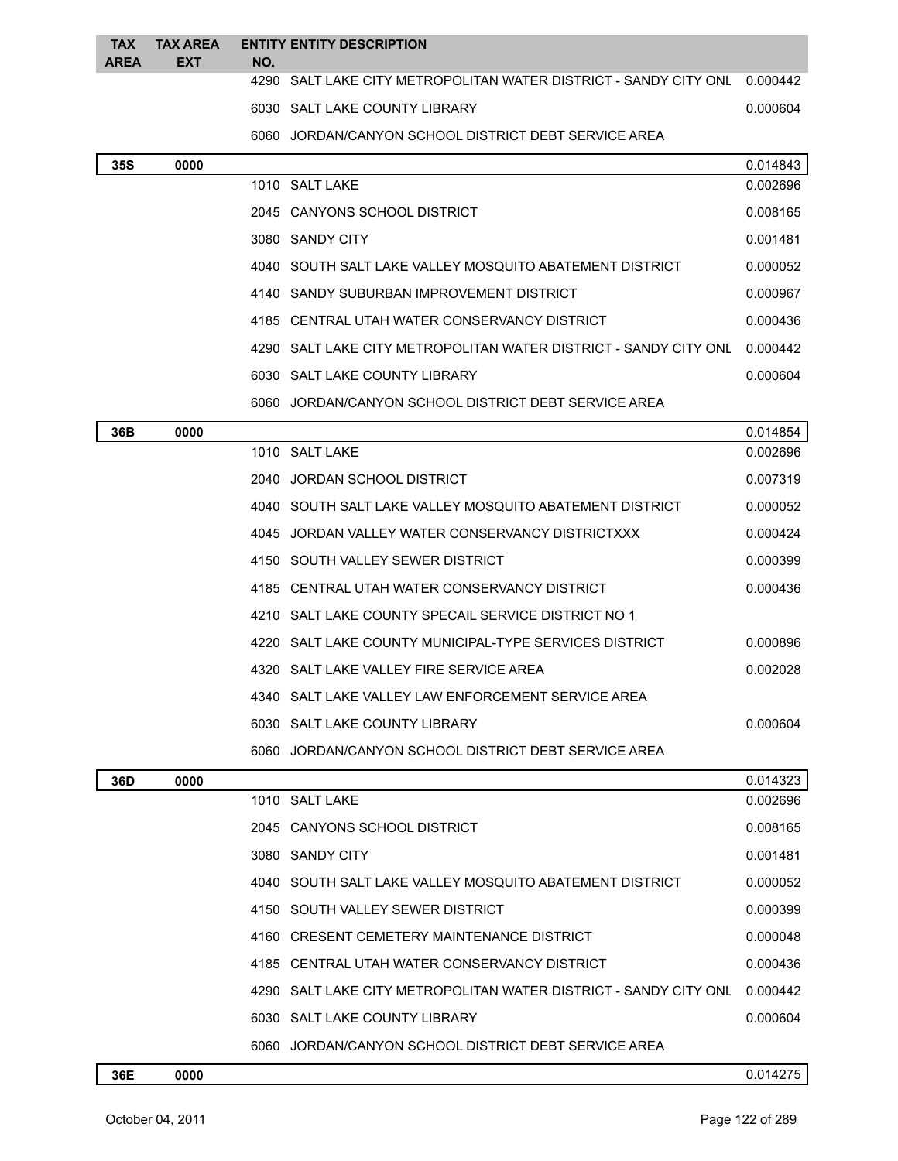| <b>TAX</b><br><b>AREA</b> | <b>TAX AREA</b><br>EXT | NO. | <b>ENTITY ENTITY DESCRIPTION</b>                                           |          |
|---------------------------|------------------------|-----|----------------------------------------------------------------------------|----------|
|                           |                        |     | 4290 SALT LAKE CITY METROPOLITAN WATER DISTRICT - SANDY CITY ONL  0.000442 |          |
|                           |                        |     | 6030 SALT LAKE COUNTY LIBRARY                                              | 0.000604 |
|                           |                        |     | 6060 JORDAN/CANYON SCHOOL DISTRICT DEBT SERVICE AREA                       |          |
| 35S                       | 0000                   |     |                                                                            | 0.014843 |
|                           |                        |     | 1010 SALT LAKE                                                             | 0.002696 |
|                           |                        |     | 2045 CANYONS SCHOOL DISTRICT                                               | 0.008165 |
|                           |                        |     | 3080 SANDY CITY                                                            | 0.001481 |
|                           |                        |     | 4040 SOUTH SALT LAKE VALLEY MOSQUITO ABATEMENT DISTRICT                    | 0.000052 |
|                           |                        |     | 4140 SANDY SUBURBAN IMPROVEMENT DISTRICT                                   | 0.000967 |
|                           |                        |     | 4185 CENTRAL UTAH WATER CONSERVANCY DISTRICT                               | 0.000436 |
|                           |                        |     | 4290 SALT LAKE CITY METROPOLITAN WATER DISTRICT - SANDY CITY ONL           | 0.000442 |
|                           |                        |     | 6030 SALT LAKE COUNTY LIBRARY                                              | 0.000604 |
|                           |                        |     | 6060 JORDAN/CANYON SCHOOL DISTRICT DEBT SERVICE AREA                       |          |
| 36B                       | 0000                   |     |                                                                            | 0.014854 |
|                           |                        |     | 1010 SALT LAKE                                                             | 0.002696 |
|                           |                        |     | 2040 JORDAN SCHOOL DISTRICT                                                | 0.007319 |
|                           |                        |     | 4040 SOUTH SALT LAKE VALLEY MOSQUITO ABATEMENT DISTRICT                    | 0.000052 |
|                           |                        |     | 4045 JORDAN VALLEY WATER CONSERVANCY DISTRICTXXX                           | 0.000424 |
|                           |                        |     | 4150 SOUTH VALLEY SEWER DISTRICT                                           | 0.000399 |
|                           |                        |     | 4185 CENTRAL UTAH WATER CONSERVANCY DISTRICT                               | 0.000436 |
|                           |                        |     | 4210 SALT LAKE COUNTY SPECAIL SERVICE DISTRICT NO 1                        |          |
|                           |                        |     | 4220 SALT LAKE COUNTY MUNICIPAL-TYPE SERVICES DISTRICT                     | 0.000896 |
|                           |                        |     | 4320   SALT LAKE VALLEY FIRE SERVICE AREA                                  | 0.002028 |
|                           |                        |     | 4340   SALT LAKE VALLEY LAW ENFORCEMENT SERVICE AREA                       |          |
|                           |                        |     | 6030 SALT LAKE COUNTY LIBRARY                                              | 0.000604 |
|                           |                        |     | 6060 JORDAN/CANYON SCHOOL DISTRICT DEBT SERVICE AREA                       |          |
| 36D                       | 0000                   |     |                                                                            | 0.014323 |
|                           |                        |     | 1010 SALT LAKE                                                             | 0.002696 |
|                           |                        |     | 2045 CANYONS SCHOOL DISTRICT                                               | 0.008165 |
|                           |                        |     | 3080 SANDY CITY                                                            | 0.001481 |
|                           |                        |     | 4040 SOUTH SALT LAKE VALLEY MOSQUITO ABATEMENT DISTRICT                    | 0.000052 |
|                           |                        |     | 4150 SOUTH VALLEY SEWER DISTRICT                                           | 0.000399 |
|                           |                        |     | 4160 CRESENT CEMETERY MAINTENANCE DISTRICT                                 | 0.000048 |
|                           |                        |     | 4185 CENTRAL UTAH WATER CONSERVANCY DISTRICT                               | 0.000436 |
|                           |                        |     | 4290 SALT LAKE CITY METROPOLITAN WATER DISTRICT - SANDY CITY ONL           | 0.000442 |
|                           |                        |     | 6030 SALT LAKE COUNTY LIBRARY                                              | 0.000604 |
|                           |                        |     | 6060 JORDAN/CANYON SCHOOL DISTRICT DEBT SERVICE AREA                       |          |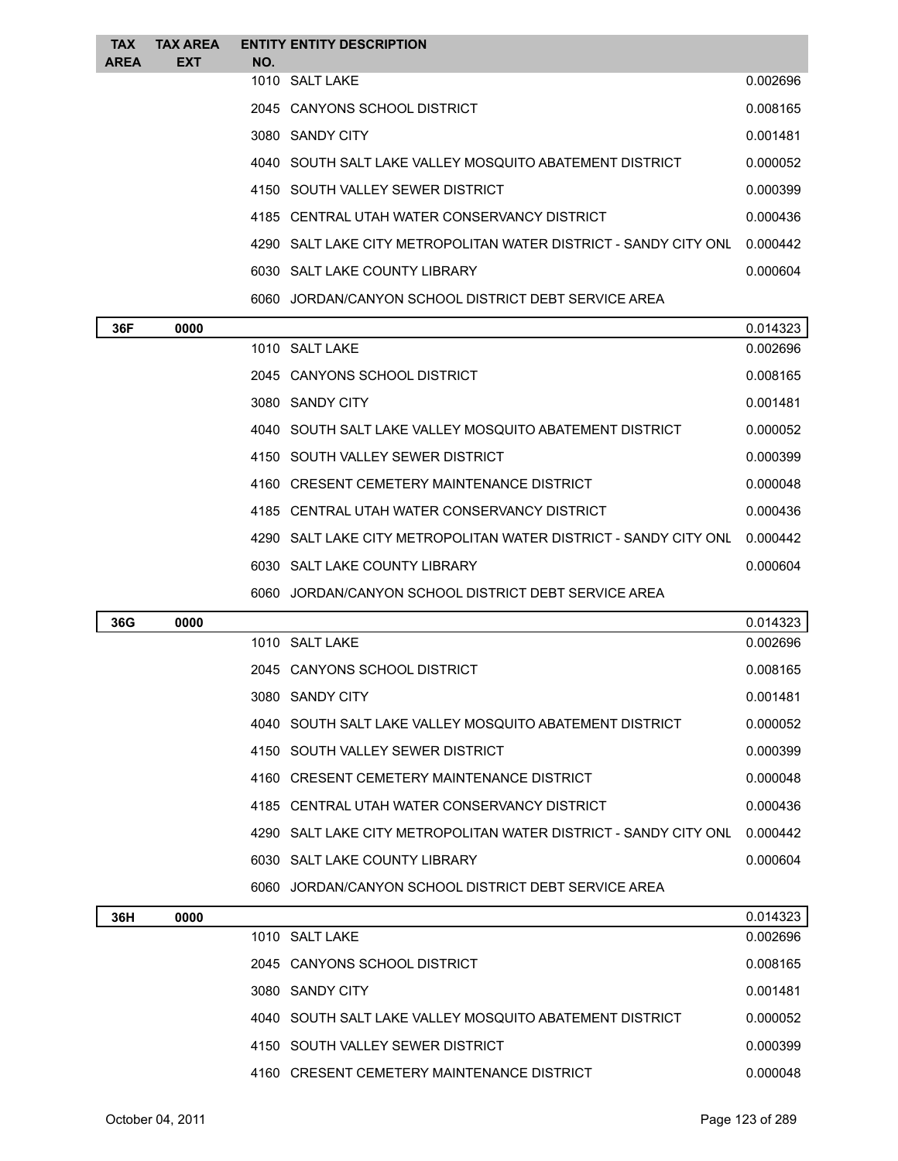| <b>TAX</b>  | <b>TAX AREA</b> | <b>ENTITY ENTITY DESCRIPTION</b>                                 |          |
|-------------|-----------------|------------------------------------------------------------------|----------|
| <b>AREA</b> | <b>EXT</b>      | NO.                                                              |          |
|             |                 | 1010 SALT LAKE                                                   | 0.002696 |
|             |                 | 2045 CANYONS SCHOOL DISTRICT                                     | 0.008165 |
|             |                 | 3080 SANDY CITY                                                  | 0.001481 |
|             |                 | 4040 SOUTH SALT LAKE VALLEY MOSQUITO ABATEMENT DISTRICT          | 0.000052 |
|             |                 | 4150 SOUTH VALLEY SEWER DISTRICT                                 | 0.000399 |
|             |                 | 4185 CENTRAL UTAH WATER CONSERVANCY DISTRICT                     | 0.000436 |
|             |                 | 4290 SALT LAKE CITY METROPOLITAN WATER DISTRICT - SANDY CITY ONL | 0.000442 |
|             |                 | 6030 SALT LAKE COUNTY LIBRARY                                    | 0.000604 |
|             |                 | 6060 JORDAN/CANYON SCHOOL DISTRICT DEBT SERVICE AREA             |          |
|             |                 |                                                                  |          |

| 36F | 0000 |                                                                  | 0.014323 |
|-----|------|------------------------------------------------------------------|----------|
|     |      | 1010 SALT LAKE                                                   | 0.002696 |
|     |      | 2045 CANYONS SCHOOL DISTRICT                                     | 0.008165 |
|     |      | 3080 SANDY CITY                                                  | 0.001481 |
|     |      | 4040 SOUTH SALT LAKE VALLEY MOSQUITO ABATEMENT DISTRICT          | 0.000052 |
|     |      | 4150 SOUTH VALLEY SEWER DISTRICT                                 | 0.000399 |
|     |      | 4160 CRESENT CEMETERY MAINTENANCE DISTRICT                       | 0.000048 |
|     |      | 4185 CENTRAL UTAH WATER CONSERVANCY DISTRICT                     | 0.000436 |
|     |      | 4290 SALT LAKE CITY METROPOLITAN WATER DISTRICT - SANDY CITY ONL | 0.000442 |
|     |      | 6030 SALT LAKE COUNTY LIBRARY                                    | 0.000604 |
|     |      | 6060 JORDAN/CANYON SCHOOL DISTRICT DEBT SERVICE AREA             |          |

| 0000 |                                                         | 0.014323                                                         |
|------|---------------------------------------------------------|------------------------------------------------------------------|
|      | 1010 SALT LAKE                                          | 0.002696                                                         |
|      | 2045 CANYONS SCHOOL DISTRICT                            | 0.008165                                                         |
|      | 3080 SANDY CITY                                         | 0.001481                                                         |
|      | 4040 SOUTH SALT LAKE VALLEY MOSQUITO ABATEMENT DISTRICT | 0.000052                                                         |
|      | 4150 SOUTH VALLEY SEWER DISTRICT                        | 0.000399                                                         |
|      | 4160 CRESENT CEMETERY MAINTENANCE DISTRICT              | 0.000048                                                         |
|      | 4185 CENTRAL UTAH WATER CONSERVANCY DISTRICT            | 0.000436                                                         |
|      |                                                         | 0.000442                                                         |
|      | 6030 SALT LAKE COUNTY LIBRARY                           | 0.000604                                                         |
|      | 6060 JORDAN/CANYON SCHOOL DISTRICT DEBT SERVICE AREA    |                                                                  |
|      |                                                         | 4290 SALT LAKE CITY METROPOLITAN WATER DISTRICT - SANDY CITY ONL |

| 36H | 0000 |                                                         | 0.014323 |
|-----|------|---------------------------------------------------------|----------|
|     |      | 1010 SALT LAKE                                          | 0.002696 |
|     |      | 2045 CANYONS SCHOOL DISTRICT                            | 0.008165 |
|     |      | 3080 SANDY CITY                                         | 0.001481 |
|     |      | 4040 SOUTH SALT LAKE VALLEY MOSQUITO ABATEMENT DISTRICT | 0.000052 |
|     |      | 4150 SOUTH VALLEY SEWER DISTRICT                        | 0.000399 |
|     |      | 4160 CRESENT CEMETERY MAINTENANCE DISTRICT              | 0.000048 |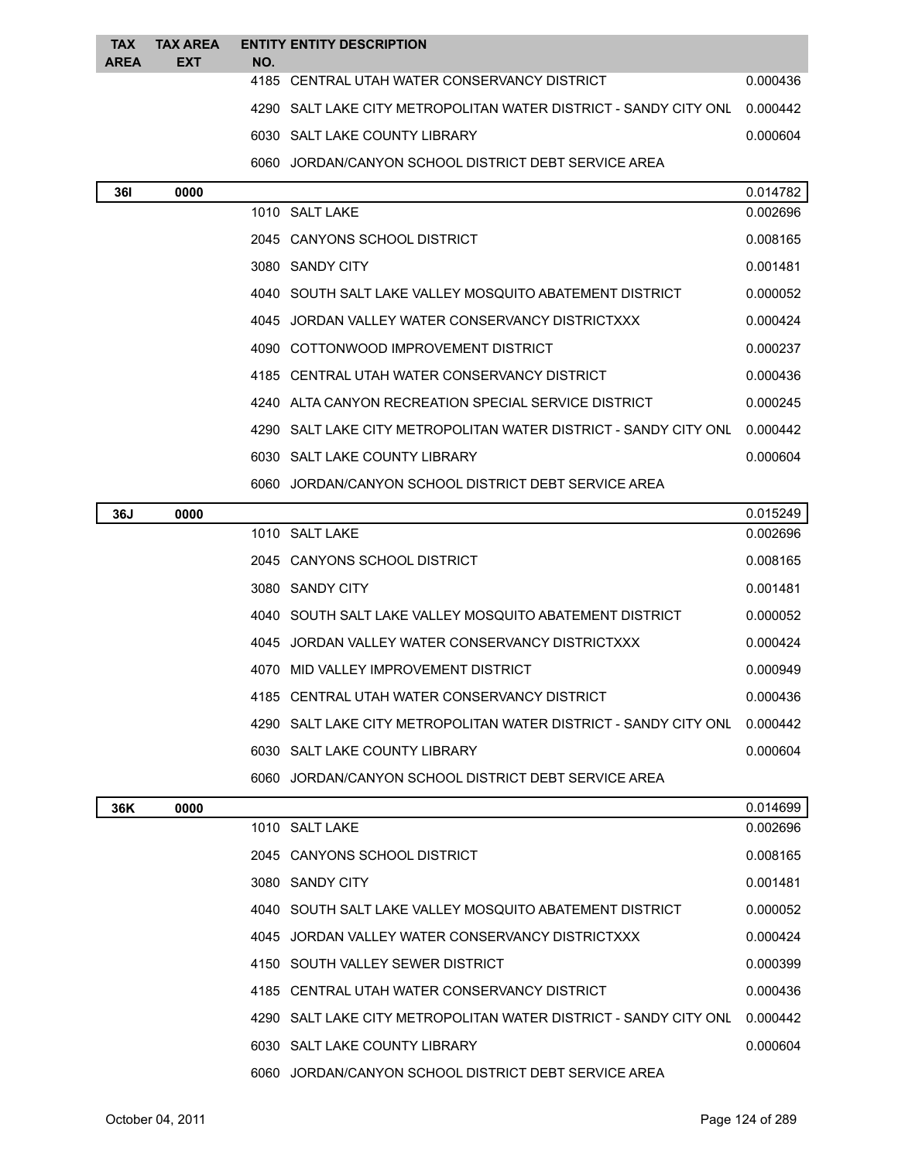| <b>TAX</b>  | <b>TAX AREA</b> |     | <b>ENTITY ENTITY DESCRIPTION</b>                                 |          |
|-------------|-----------------|-----|------------------------------------------------------------------|----------|
| <b>AREA</b> | <b>EXT</b>      | NO. | 4185 CENTRAL UTAH WATER CONSERVANCY DISTRICT                     | 0.000436 |
|             |                 |     | 4290 SALT LAKE CITY METROPOLITAN WATER DISTRICT - SANDY CITY ONL | 0.000442 |
|             |                 |     | 6030 SALT LAKE COUNTY LIBRARY                                    | 0.000604 |
|             |                 |     | 6060 JORDAN/CANYON SCHOOL DISTRICT DEBT SERVICE AREA             |          |
| 36I         | 0000            |     |                                                                  | 0.014782 |
|             |                 |     | 1010 SALT LAKE                                                   | 0.002696 |
|             |                 |     | 2045 CANYONS SCHOOL DISTRICT                                     | 0.008165 |
|             |                 |     | 3080 SANDY CITY                                                  | 0.001481 |
|             |                 |     | 4040 SOUTH SALT LAKE VALLEY MOSQUITO ABATEMENT DISTRICT          | 0.000052 |
|             |                 |     | 4045 JORDAN VALLEY WATER CONSERVANCY DISTRICTXXX                 | 0.000424 |
|             |                 |     | 4090 COTTONWOOD IMPROVEMENT DISTRICT                             | 0.000237 |
|             |                 |     | 4185 CENTRAL UTAH WATER CONSERVANCY DISTRICT                     | 0.000436 |
|             |                 |     | 4240 ALTA CANYON RECREATION SPECIAL SERVICE DISTRICT             | 0.000245 |
|             |                 |     | 4290 SALT LAKE CITY METROPOLITAN WATER DISTRICT - SANDY CITY ONL | 0.000442 |
|             |                 |     | 6030 SALT LAKE COUNTY LIBRARY                                    | 0.000604 |
|             |                 |     | 6060 JORDAN/CANYON SCHOOL DISTRICT DEBT SERVICE AREA             |          |
| 36J         | 0000            |     |                                                                  | 0.015249 |
|             |                 |     | 1010 SALT LAKE                                                   | 0.002696 |
|             |                 |     | 2045 CANYONS SCHOOL DISTRICT                                     | 0.008165 |
|             |                 |     | 3080 SANDY CITY                                                  | 0.001481 |
|             |                 |     | 4040 SOUTH SALT LAKE VALLEY MOSQUITO ABATEMENT DISTRICT          | 0.000052 |
|             |                 |     | 4045 JORDAN VALLEY WATER CONSERVANCY DISTRICTXXX                 | 0.000424 |
|             |                 |     | 4070 MID VALLEY IMPROVEMENT DISTRICT                             | 0.000949 |
|             |                 |     | 4185 CENTRAL UTAH WATER CONSERVANCY DISTRICT                     | 0.000436 |
|             |                 |     | 4290 SALT LAKE CITY METROPOLITAN WATER DISTRICT - SANDY CITY ONL | 0.000442 |
|             |                 |     | 6030 SALT LAKE COUNTY LIBRARY                                    | 0.000604 |
|             |                 |     | 6060 JORDAN/CANYON SCHOOL DISTRICT DEBT SERVICE AREA             |          |
| 36K         | 0000            |     |                                                                  | 0.014699 |
|             |                 |     | 1010 SALT LAKE                                                   | 0.002696 |
|             |                 |     | 2045 CANYONS SCHOOL DISTRICT                                     | 0.008165 |
|             |                 |     | 3080 SANDY CITY                                                  | 0.001481 |
|             |                 |     | 4040 SOUTH SALT LAKE VALLEY MOSQUITO ABATEMENT DISTRICT          | 0.000052 |
|             |                 |     | 4045 JORDAN VALLEY WATER CONSERVANCY DISTRICTXXX                 | 0.000424 |
|             |                 |     | 4150 SOUTH VALLEY SEWER DISTRICT                                 | 0.000399 |
|             |                 |     | 4185 CENTRAL UTAH WATER CONSERVANCY DISTRICT                     | 0.000436 |
|             |                 |     | 4290 SALT LAKE CITY METROPOLITAN WATER DISTRICT - SANDY CITY ONL | 0.000442 |
|             |                 |     | 6030 SALT LAKE COUNTY LIBRARY                                    | 0.000604 |
|             |                 |     | 6060 JORDAN/CANYON SCHOOL DISTRICT DEBT SERVICE AREA             |          |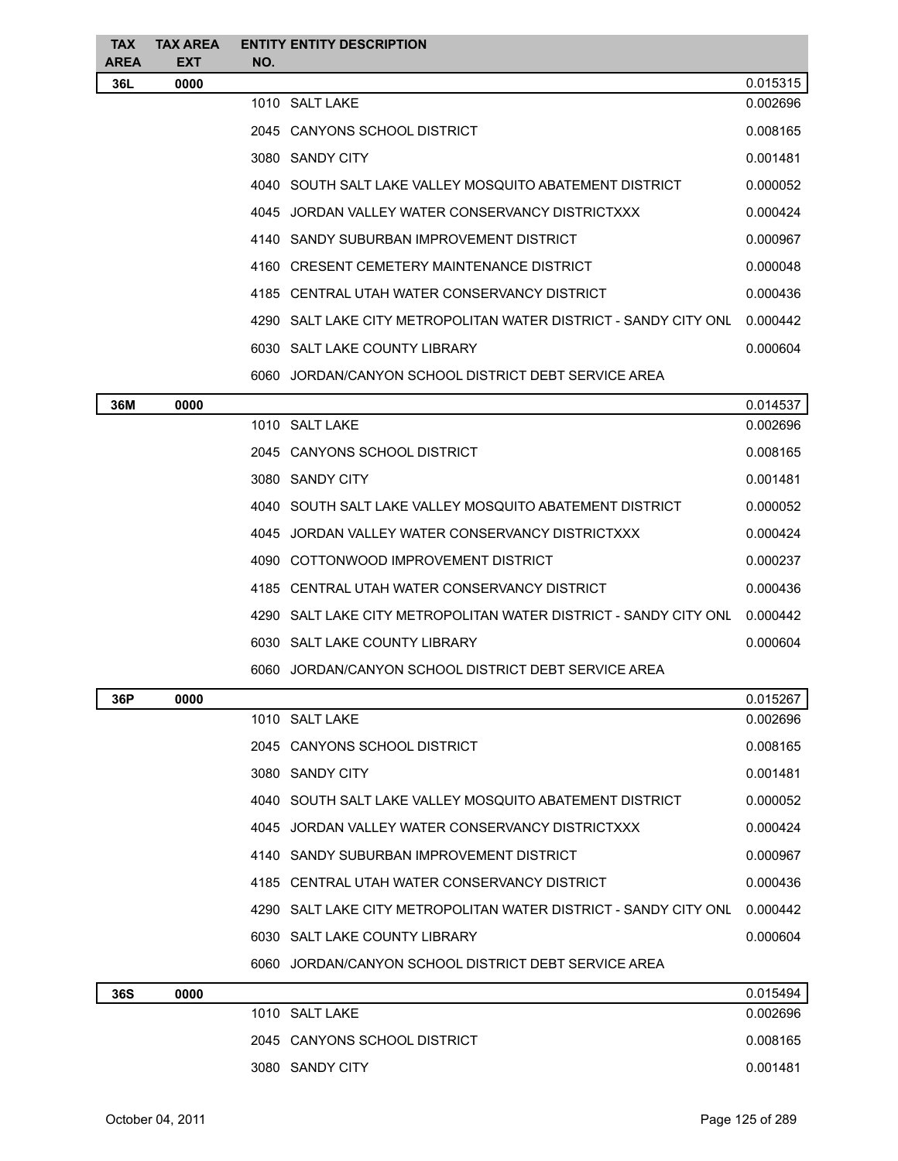| <b>TAX</b>         | <b>TAX AREA</b>    |     | <b>ENTITY ENTITY DESCRIPTION</b>                                   |          |
|--------------------|--------------------|-----|--------------------------------------------------------------------|----------|
| <b>AREA</b><br>36L | <b>EXT</b><br>0000 | NO. |                                                                    | 0.015315 |
|                    |                    |     | 1010 SALT LAKE                                                     | 0.002696 |
|                    |                    |     | 2045 CANYONS SCHOOL DISTRICT                                       | 0.008165 |
|                    |                    |     | 3080 SANDY CITY                                                    | 0.001481 |
|                    |                    |     | 4040 SOUTH SALT LAKE VALLEY MOSQUITO ABATEMENT DISTRICT            | 0.000052 |
|                    |                    |     | 4045 JORDAN VALLEY WATER CONSERVANCY DISTRICTXXX                   | 0.000424 |
|                    |                    |     | 4140 SANDY SUBURBAN IMPROVEMENT DISTRICT                           | 0.000967 |
|                    |                    |     | 4160 CRESENT CEMETERY MAINTENANCE DISTRICT                         | 0.000048 |
|                    |                    |     | 4185 CENTRAL UTAH WATER CONSERVANCY DISTRICT                       | 0.000436 |
|                    |                    |     | 4290   SALT LAKE CITY METROPOLITAN WATER DISTRICT - SANDY CITY ONL | 0.000442 |
|                    |                    |     | 6030 SALT LAKE COUNTY LIBRARY                                      | 0.000604 |
|                    |                    |     | 6060 JORDAN/CANYON SCHOOL DISTRICT DEBT SERVICE AREA               |          |
| 36M                | 0000               |     |                                                                    | 0.014537 |
|                    |                    |     | 1010 SALT LAKE                                                     | 0.002696 |
|                    |                    |     | 2045 CANYONS SCHOOL DISTRICT                                       | 0.008165 |
|                    |                    |     | 3080 SANDY CITY                                                    | 0.001481 |
|                    |                    |     | 4040 SOUTH SALT LAKE VALLEY MOSQUITO ABATEMENT DISTRICT            | 0.000052 |
|                    |                    |     | 4045 JORDAN VALLEY WATER CONSERVANCY DISTRICTXXX                   | 0.000424 |
|                    |                    |     | 4090 COTTONWOOD IMPROVEMENT DISTRICT                               | 0.000237 |
|                    |                    |     | 4185 CENTRAL UTAH WATER CONSERVANCY DISTRICT                       | 0.000436 |
|                    |                    |     | 4290 SALT LAKE CITY METROPOLITAN WATER DISTRICT - SANDY CITY ONL   | 0.000442 |
|                    |                    |     | 6030 SALT LAKE COUNTY LIBRARY                                      | 0.000604 |
|                    |                    |     | 6060 JORDAN/CANYON SCHOOL DISTRICT DEBT SERVICE AREA               |          |
| 36P                | 0000               |     |                                                                    | 0.015267 |
|                    |                    |     | 1010 SALT LAKE                                                     | 0.002696 |
|                    |                    |     | 2045 CANYONS SCHOOL DISTRICT                                       | 0.008165 |
|                    |                    |     | 3080 SANDY CITY                                                    | 0.001481 |
|                    |                    |     | 4040 SOUTH SALT LAKE VALLEY MOSQUITO ABATEMENT DISTRICT            | 0.000052 |
|                    |                    |     | 4045 JORDAN VALLEY WATER CONSERVANCY DISTRICTXXX                   | 0.000424 |
|                    |                    |     | 4140 SANDY SUBURBAN IMPROVEMENT DISTRICT                           | 0.000967 |
|                    |                    |     | 4185 CENTRAL UTAH WATER CONSERVANCY DISTRICT                       | 0.000436 |
|                    |                    |     | 4290 SALT LAKE CITY METROPOLITAN WATER DISTRICT - SANDY CITY ONL   | 0.000442 |
|                    |                    |     | 6030 SALT LAKE COUNTY LIBRARY                                      | 0.000604 |
|                    |                    |     | 6060 JORDAN/CANYON SCHOOL DISTRICT DEBT SERVICE AREA               |          |
| 36S                | 0000               |     |                                                                    | 0.015494 |
|                    |                    |     | 1010 SALT LAKE                                                     | 0.002696 |
|                    |                    |     | 2045 CANYONS SCHOOL DISTRICT                                       | 0.008165 |
|                    |                    |     | 3080 SANDY CITY                                                    | 0.001481 |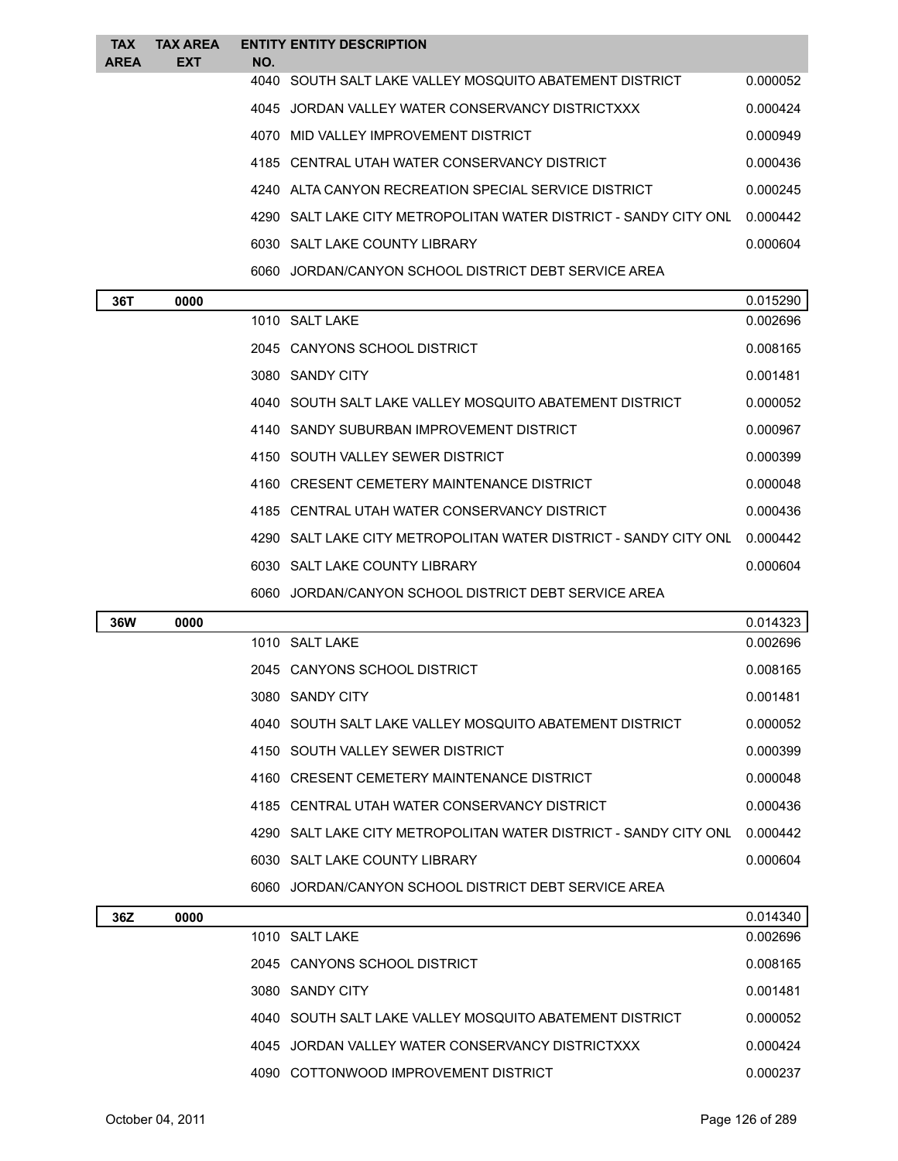| <b>TAX</b>  | <b>TAX AREA</b> |     | <b>ENTITY ENTITY DESCRIPTION</b>                                 |          |
|-------------|-----------------|-----|------------------------------------------------------------------|----------|
| <b>AREA</b> | <b>EXT</b>      | NO. |                                                                  |          |
|             |                 |     | 4040 SOUTH SALT LAKE VALLEY MOSQUITO ABATEMENT DISTRICT          | 0.000052 |
|             |                 |     | 4045 JORDAN VALLEY WATER CONSERVANCY DISTRICTXXX                 | 0.000424 |
|             |                 |     | 4070 MID VALLEY IMPROVEMENT DISTRICT                             | 0.000949 |
|             |                 |     | 4185 CENTRAL UTAH WATER CONSERVANCY DISTRICT                     | 0.000436 |
|             |                 |     | 4240 ALTA CANYON RECREATION SPECIAL SERVICE DISTRICT             | 0.000245 |
|             |                 |     | 4290 SALT LAKE CITY METROPOLITAN WATER DISTRICT - SANDY CITY ONL | 0.000442 |
|             |                 |     | 6030 SALT LAKE COUNTY LIBRARY                                    | 0.000604 |
|             |                 |     | 6060 JORDAN/CANYON SCHOOL DISTRICT DEBT SERVICE AREA             |          |

| 36T | 0000 |                                                                  | 0.015290 |
|-----|------|------------------------------------------------------------------|----------|
|     |      | 1010 SALT LAKE                                                   | 0.002696 |
|     |      | 2045 CANYONS SCHOOL DISTRICT                                     | 0.008165 |
|     |      | 3080 SANDY CITY                                                  | 0.001481 |
|     |      | 4040 SOUTH SALT LAKE VALLEY MOSQUITO ABATEMENT DISTRICT          | 0.000052 |
|     |      | 4140 SANDY SUBURBAN IMPROVEMENT DISTRICT                         | 0.000967 |
|     |      | 4150 SOUTH VALLEY SEWER DISTRICT                                 | 0.000399 |
|     |      | 4160 CRESENT CEMETERY MAINTENANCE DISTRICT                       | 0.000048 |
|     |      | 4185 CENTRAL UTAH WATER CONSERVANCY DISTRICT                     | 0.000436 |
|     |      | 4290 SALT LAKE CITY METROPOLITAN WATER DISTRICT - SANDY CITY ONL | 0.000442 |
|     |      | 6030 SALT LAKE COUNTY LIBRARY                                    | 0.000604 |
|     |      | 6060 JORDAN/CANYON SCHOOL DISTRICT DEBT SERVICE AREA             |          |
|     |      |                                                                  |          |

| 36W | 0000 |                                                                  | 0.014323 |
|-----|------|------------------------------------------------------------------|----------|
|     |      | 1010 SALT LAKE                                                   | 0.002696 |
|     |      | 2045 CANYONS SCHOOL DISTRICT                                     | 0.008165 |
|     |      | 3080 SANDY CITY                                                  | 0.001481 |
|     |      | 4040 SOUTH SALT LAKE VALLEY MOSQUITO ABATEMENT DISTRICT          | 0.000052 |
|     |      | 4150 SOUTH VALLEY SEWER DISTRICT                                 | 0.000399 |
|     |      | 4160 CRESENT CEMETERY MAINTENANCE DISTRICT                       | 0.000048 |
|     |      | 4185 CENTRAL UTAH WATER CONSERVANCY DISTRICT                     | 0.000436 |
|     |      | 4290 SALT LAKE CITY METROPOLITAN WATER DISTRICT - SANDY CITY ONL | 0.000442 |
|     |      | 6030 SALT LAKE COUNTY LIBRARY                                    | 0.000604 |
|     |      | 6060 JORDAN/CANYON SCHOOL DISTRICT DEBT SERVICE AREA             |          |
|     |      |                                                                  |          |

| 36Z | 0000 |                                                         | 0.014340 |
|-----|------|---------------------------------------------------------|----------|
|     |      | 1010 SALT LAKE                                          | 0.002696 |
|     |      | 2045 CANYONS SCHOOL DISTRICT                            | 0.008165 |
|     |      | 3080 SANDY CITY                                         | 0.001481 |
|     |      | 4040 SOUTH SALT LAKE VALLEY MOSQUITO ABATEMENT DISTRICT | 0.000052 |
|     |      | 4045 JORDAN VALLEY WATER CONSERVANCY DISTRICTXXX        | 0.000424 |
|     |      | 4090 COTTONWOOD IMPROVEMENT DISTRICT                    | 0.000237 |
|     |      |                                                         |          |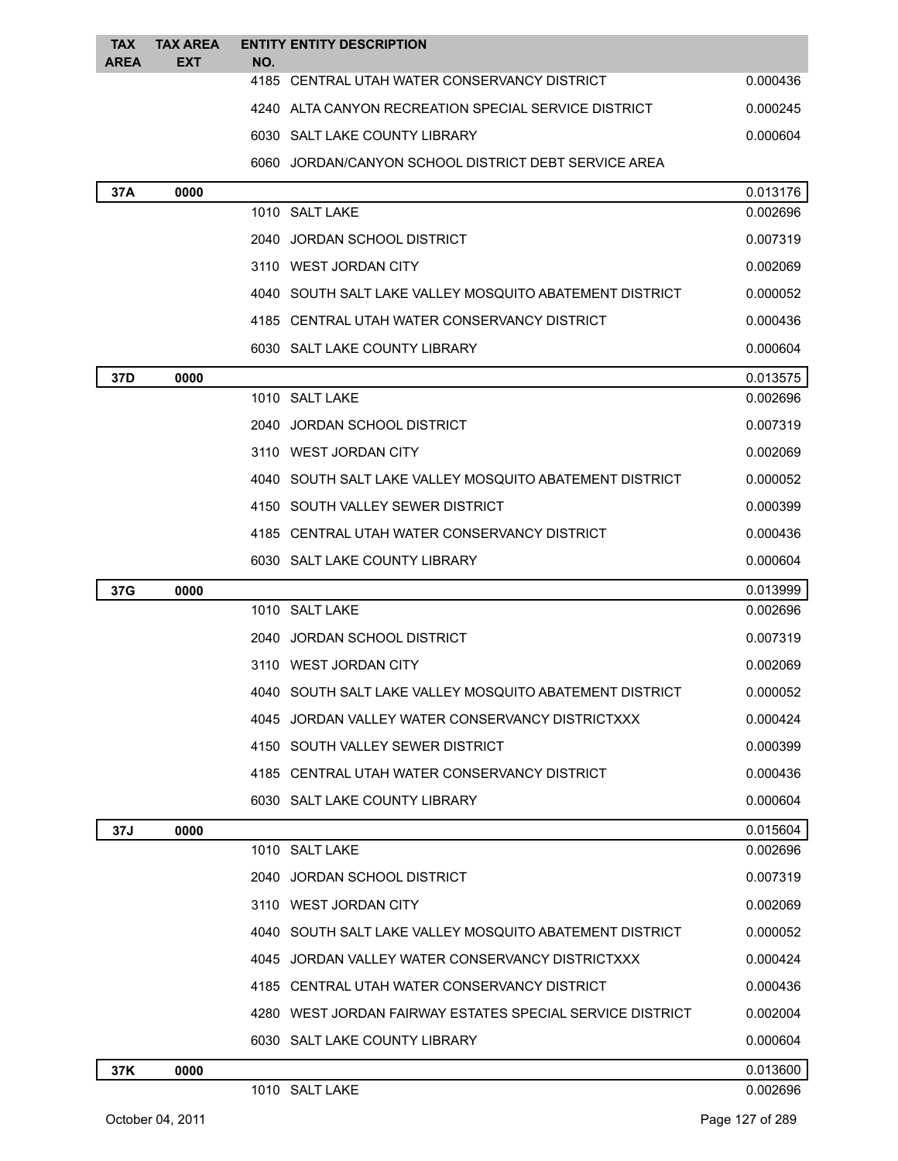| <b>TAX</b>  | <b>TAX AREA</b> | <b>ENTITY ENTITY DESCRIPTION</b>                          |          |
|-------------|-----------------|-----------------------------------------------------------|----------|
| <b>AREA</b> | EXT             | NO.<br>4185 CENTRAL UTAH WATER CONSERVANCY DISTRICT       | 0.000436 |
|             |                 | 4240 ALTA CANYON RECREATION SPECIAL SERVICE DISTRICT      | 0.000245 |
|             |                 | 6030 SALT LAKE COUNTY LIBRARY                             | 0.000604 |
|             |                 | 6060 JORDAN/CANYON SCHOOL DISTRICT DEBT SERVICE AREA      |          |
| 37A         | 0000            |                                                           | 0.013176 |
|             |                 | 1010 SALT LAKE                                            | 0.002696 |
|             |                 | 2040 JORDAN SCHOOL DISTRICT                               | 0.007319 |
|             |                 | 3110 WEST JORDAN CITY                                     | 0.002069 |
|             |                 | 4040 SOUTH SALT LAKE VALLEY MOSQUITO ABATEMENT DISTRICT   | 0.000052 |
|             |                 | 4185 CENTRAL UTAH WATER CONSERVANCY DISTRICT              | 0.000436 |
|             |                 | 6030 SALT LAKE COUNTY LIBRARY                             | 0.000604 |
| 37D         | 0000            |                                                           | 0.013575 |
|             |                 | 1010 SALT LAKE                                            | 0.002696 |
|             |                 | 2040 JORDAN SCHOOL DISTRICT                               | 0.007319 |
|             |                 | 3110 WEST JORDAN CITY                                     | 0.002069 |
|             |                 | 4040 SOUTH SALT LAKE VALLEY MOSQUITO ABATEMENT DISTRICT   | 0.000052 |
|             |                 | 4150 SOUTH VALLEY SEWER DISTRICT                          | 0.000399 |
|             |                 | 4185 CENTRAL UTAH WATER CONSERVANCY DISTRICT              | 0.000436 |
|             |                 | 6030 SALT LAKE COUNTY LIBRARY                             | 0.000604 |
| 37G         | 0000            |                                                           | 0.013999 |
|             |                 | 1010 SALT LAKE                                            | 0.002696 |
|             |                 | 2040 JORDAN SCHOOL DISTRICT                               | 0.007319 |
|             |                 | 3110 WEST JORDAN CITY                                     | 0.002069 |
|             |                 | 4040 SOUTH SALT LAKE VALLEY MOSQUITO ABATEMENT DISTRICT   | 0.000052 |
|             |                 | 4045 JORDAN VALLEY WATER CONSERVANCY DISTRICTXXX          | 0.000424 |
|             |                 | 4150 SOUTH VALLEY SEWER DISTRICT                          | 0.000399 |
|             |                 | 4185 CENTRAL UTAH WATER CONSERVANCY DISTRICT              | 0.000436 |
|             |                 | 6030 SALT LAKE COUNTY LIBRARY                             | 0.000604 |
| 37J         | 0000            |                                                           | 0.015604 |
|             |                 | 1010 SALT LAKE                                            | 0.002696 |
|             |                 | 2040 JORDAN SCHOOL DISTRICT                               | 0.007319 |
|             |                 | 3110 WEST JORDAN CITY                                     | 0.002069 |
|             |                 | 4040 SOUTH SALT LAKE VALLEY MOSQUITO ABATEMENT DISTRICT   | 0.000052 |
|             |                 | 4045 JORDAN VALLEY WATER CONSERVANCY DISTRICTXXX          | 0.000424 |
|             |                 | 4185 CENTRAL UTAH WATER CONSERVANCY DISTRICT              | 0.000436 |
|             |                 | 4280 WEST JORDAN FAIRWAY ESTATES SPECIAL SERVICE DISTRICT | 0.002004 |
|             |                 | 6030 SALT LAKE COUNTY LIBRARY                             | 0.000604 |
| 37K         | 0000            |                                                           | 0.013600 |
|             |                 | 1010 SALT LAKE                                            | 0.002696 |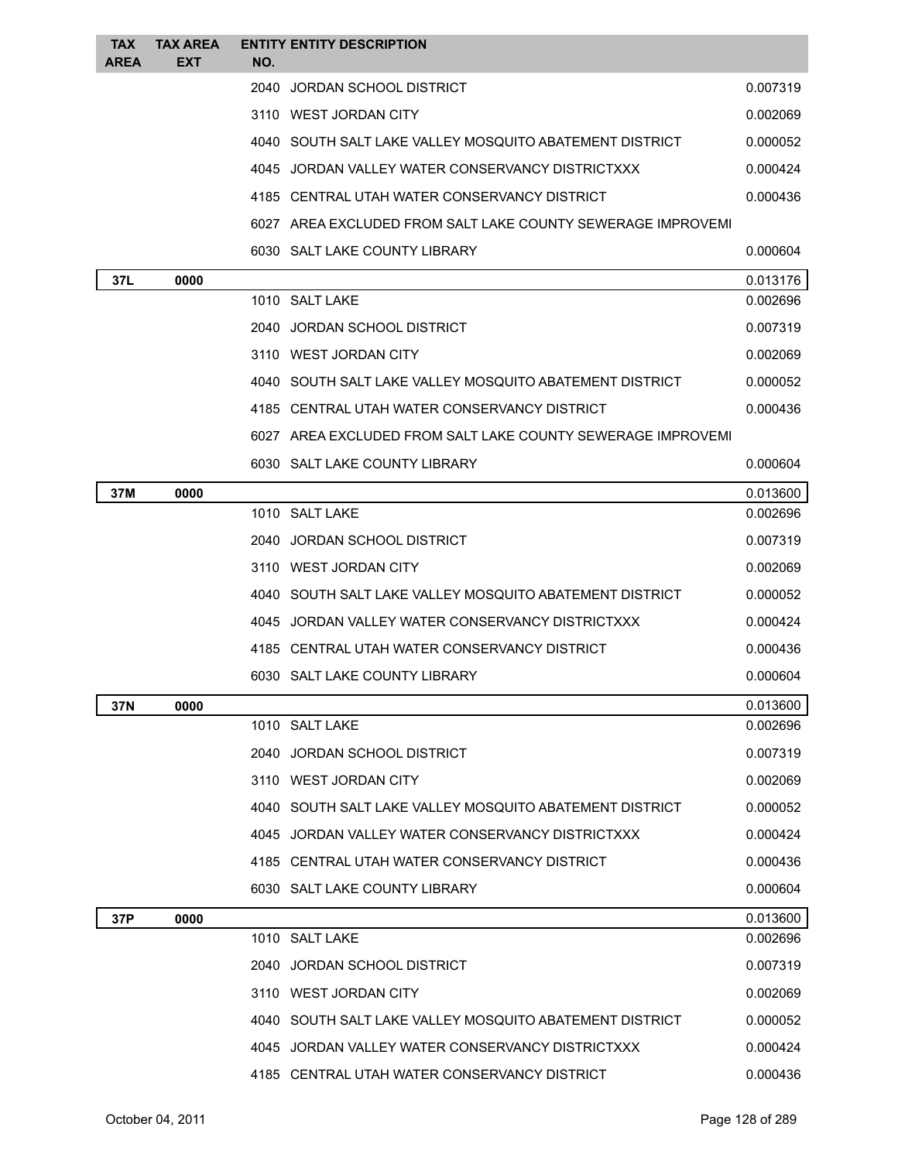| <b>TAX</b><br><b>AREA</b> | <b>TAX AREA</b><br>EXT | NO. | <b>ENTITY ENTITY DESCRIPTION</b>                            |          |
|---------------------------|------------------------|-----|-------------------------------------------------------------|----------|
|                           |                        |     | 2040 JORDAN SCHOOL DISTRICT                                 | 0.007319 |
|                           |                        |     | 3110 WEST JORDAN CITY                                       | 0.002069 |
|                           |                        |     | 4040 SOUTH SALT LAKE VALLEY MOSQUITO ABATEMENT DISTRICT     | 0.000052 |
|                           |                        |     | 4045 JORDAN VALLEY WATER CONSERVANCY DISTRICTXXX            | 0.000424 |
|                           |                        |     | 4185 CENTRAL UTAH WATER CONSERVANCY DISTRICT                | 0.000436 |
|                           |                        |     | 6027 AREA EXCLUDED FROM SALT LAKE COUNTY SEWERAGE IMPROVEMI |          |
|                           |                        |     | 6030 SALT LAKE COUNTY LIBRARY                               | 0.000604 |
| 37L                       | 0000                   |     |                                                             | 0.013176 |
|                           |                        |     | 1010 SALT LAKE                                              | 0.002696 |
|                           |                        |     | 2040 JORDAN SCHOOL DISTRICT                                 | 0.007319 |
|                           |                        |     | 3110 WEST JORDAN CITY                                       | 0.002069 |
|                           |                        |     | 4040 SOUTH SALT LAKE VALLEY MOSQUITO ABATEMENT DISTRICT     | 0.000052 |
|                           |                        |     | 4185 CENTRAL UTAH WATER CONSERVANCY DISTRICT                | 0.000436 |
|                           |                        |     | 6027 AREA EXCLUDED FROM SALT LAKE COUNTY SEWERAGE IMPROVEMI |          |
|                           |                        |     | 6030 SALT LAKE COUNTY LIBRARY                               | 0.000604 |
| 37M                       | 0000                   |     |                                                             | 0.013600 |
|                           |                        |     | 1010 SALT LAKE                                              | 0.002696 |
|                           |                        |     | 2040 JORDAN SCHOOL DISTRICT                                 | 0.007319 |
|                           |                        |     | 3110 WEST JORDAN CITY                                       | 0.002069 |
|                           |                        |     | 4040 SOUTH SALT LAKE VALLEY MOSQUITO ABATEMENT DISTRICT     | 0.000052 |
|                           |                        |     | 4045 JORDAN VALLEY WATER CONSERVANCY DISTRICTXXX            | 0.000424 |
|                           |                        |     | 4185 CENTRAL UTAH WATER CONSERVANCY DISTRICT                | 0.000436 |
|                           |                        |     | 6030 SALT LAKE COUNTY LIBRARY                               | 0.000604 |
| 37N                       | 0000                   |     |                                                             | 0.013600 |
|                           |                        |     | 1010 SALT LAKE                                              | 0.002696 |
|                           |                        |     | 2040 JORDAN SCHOOL DISTRICT                                 | 0.007319 |
|                           |                        |     | 3110 WEST JORDAN CITY                                       | 0.002069 |
|                           |                        |     | 4040 SOUTH SALT LAKE VALLEY MOSQUITO ABATEMENT DISTRICT     | 0.000052 |
|                           |                        |     | 4045 JORDAN VALLEY WATER CONSERVANCY DISTRICTXXX            | 0.000424 |
|                           |                        |     | 4185 CENTRAL UTAH WATER CONSERVANCY DISTRICT                | 0.000436 |
|                           |                        |     | 6030 SALT LAKE COUNTY LIBRARY                               | 0.000604 |
| 37P                       | 0000                   |     |                                                             | 0.013600 |
|                           |                        |     | 1010 SALT LAKE                                              | 0.002696 |
|                           |                        |     | 2040 JORDAN SCHOOL DISTRICT                                 | 0.007319 |
|                           |                        |     | 3110 WEST JORDAN CITY                                       | 0.002069 |
|                           |                        |     | 4040 SOUTH SALT LAKE VALLEY MOSQUITO ABATEMENT DISTRICT     | 0.000052 |
|                           |                        |     | 4045 JORDAN VALLEY WATER CONSERVANCY DISTRICTXXX            | 0.000424 |
|                           |                        |     | 4185 CENTRAL UTAH WATER CONSERVANCY DISTRICT                | 0.000436 |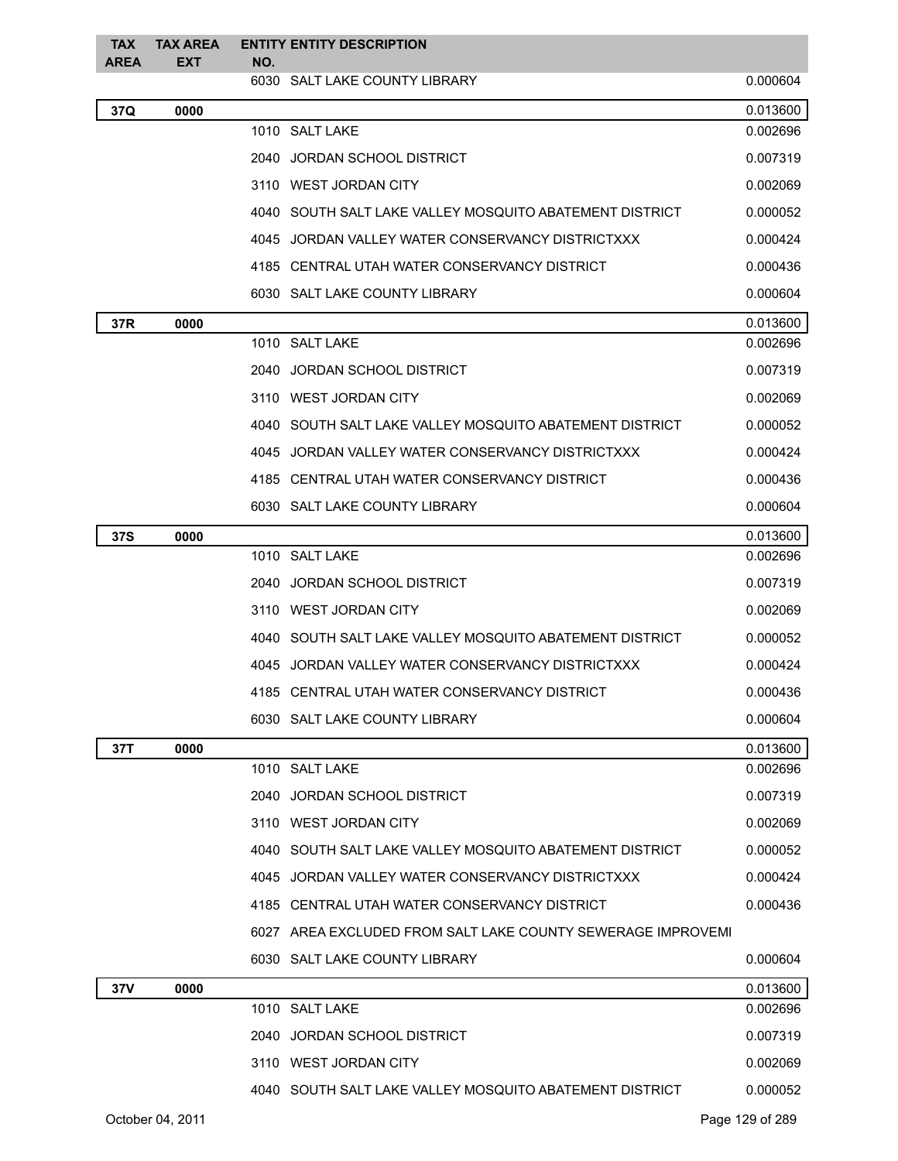| <b>TAX</b><br><b>AREA</b> | <b>TAX AREA</b><br>EXT | NO. | <b>ENTITY ENTITY DESCRIPTION</b>                            |                 |
|---------------------------|------------------------|-----|-------------------------------------------------------------|-----------------|
|                           |                        |     | 6030 SALT LAKE COUNTY LIBRARY                               | 0.000604        |
| 37Q                       | 0000                   |     |                                                             | 0.013600        |
|                           |                        |     | 1010 SALT LAKE                                              | 0.002696        |
|                           |                        |     | 2040 JORDAN SCHOOL DISTRICT                                 | 0.007319        |
|                           |                        |     | 3110 WEST JORDAN CITY                                       | 0.002069        |
|                           |                        |     | 4040   SOUTH SALT LAKE VALLEY MOSQUITO ABATEMENT DISTRICT   | 0.000052        |
|                           |                        |     | 4045 JORDAN VALLEY WATER CONSERVANCY DISTRICTXXX            | 0.000424        |
|                           |                        |     | 4185 CENTRAL UTAH WATER CONSERVANCY DISTRICT                | 0.000436        |
|                           |                        |     | 6030 SALT LAKE COUNTY LIBRARY                               | 0.000604        |
| 37R                       | 0000                   |     |                                                             | 0.013600        |
|                           |                        |     | 1010 SALT LAKE                                              | 0.002696        |
|                           |                        |     | 2040 JORDAN SCHOOL DISTRICT                                 | 0.007319        |
|                           |                        |     | 3110 WEST JORDAN CITY                                       | 0.002069        |
|                           |                        |     | 4040 SOUTH SALT LAKE VALLEY MOSQUITO ABATEMENT DISTRICT     | 0.000052        |
|                           |                        |     | 4045 JORDAN VALLEY WATER CONSERVANCY DISTRICTXXX            | 0.000424        |
|                           |                        |     | 4185 CENTRAL UTAH WATER CONSERVANCY DISTRICT                | 0.000436        |
|                           |                        |     | 6030 SALT LAKE COUNTY LIBRARY                               | 0.000604        |
| <b>37S</b>                | 0000                   |     |                                                             | 0.013600        |
|                           |                        |     | 1010 SALT LAKE                                              | 0.002696        |
|                           |                        |     | 2040 JORDAN SCHOOL DISTRICT                                 | 0.007319        |
|                           |                        |     | 3110 WEST JORDAN CITY                                       | 0.002069        |
|                           |                        |     | 4040 SOUTH SALT LAKE VALLEY MOSQUITO ABATEMENT DISTRICT     | 0.000052        |
|                           |                        |     | 4045 JORDAN VALLEY WATER CONSERVANCY DISTRICTXXX            | 0.000424        |
|                           |                        |     | 4185 CENTRAL UTAH WATER CONSERVANCY DISTRICT                | 0.000436        |
|                           |                        |     | 6030 SALT LAKE COUNTY LIBRARY                               | 0.000604        |
| 37T                       | 0000                   |     |                                                             | 0.013600        |
|                           |                        |     | 1010 SALT LAKE                                              | 0.002696        |
|                           |                        |     | 2040 JORDAN SCHOOL DISTRICT                                 | 0.007319        |
|                           |                        |     | 3110 WEST JORDAN CITY                                       | 0.002069        |
|                           |                        |     | 4040 SOUTH SALT LAKE VALLEY MOSQUITO ABATEMENT DISTRICT     | 0.000052        |
|                           |                        |     | 4045 JORDAN VALLEY WATER CONSERVANCY DISTRICTXXX            | 0.000424        |
|                           |                        |     | 4185 CENTRAL UTAH WATER CONSERVANCY DISTRICT                | 0.000436        |
|                           |                        |     | 6027 AREA EXCLUDED FROM SALT LAKE COUNTY SEWERAGE IMPROVEMI |                 |
|                           |                        |     | 6030 SALT LAKE COUNTY LIBRARY                               | 0.000604        |
| 37V                       | 0000                   |     |                                                             | 0.013600        |
|                           |                        |     | 1010 SALT LAKE                                              | 0.002696        |
|                           |                        |     | 2040 JORDAN SCHOOL DISTRICT                                 | 0.007319        |
|                           |                        |     | 3110 WEST JORDAN CITY                                       | 0.002069        |
|                           |                        |     | 4040 SOUTH SALT LAKE VALLEY MOSQUITO ABATEMENT DISTRICT     | 0.000052        |
|                           | October 04, 2011       |     |                                                             | Page 129 of 289 |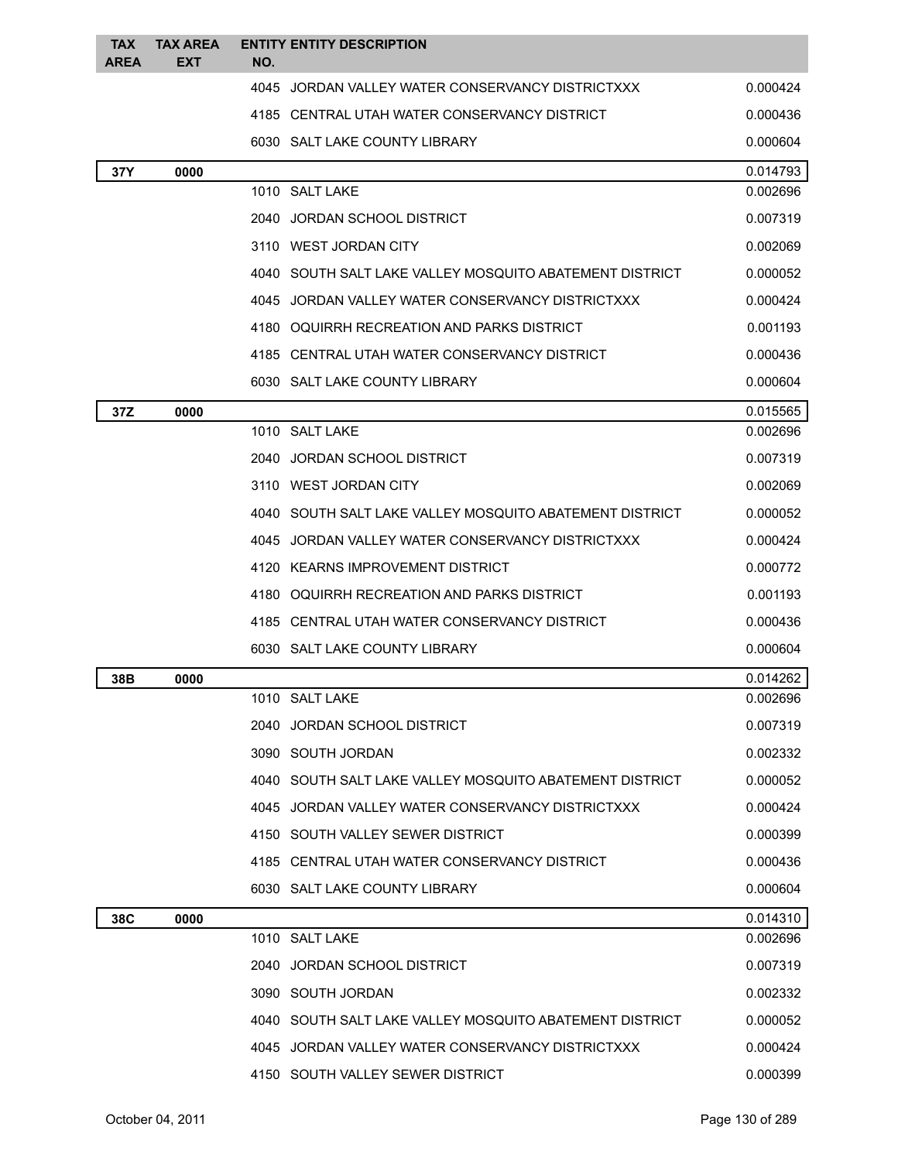| <b>TAX</b><br><b>AREA</b> | <b>TAX AREA</b><br><b>EXT</b> | NO. | <b>ENTITY ENTITY DESCRIPTION</b>                        |          |
|---------------------------|-------------------------------|-----|---------------------------------------------------------|----------|
|                           |                               |     | 4045 JORDAN VALLEY WATER CONSERVANCY DISTRICTXXX        | 0.000424 |
|                           |                               |     | 4185 CENTRAL UTAH WATER CONSERVANCY DISTRICT            | 0.000436 |
|                           |                               |     | 6030 SALT LAKE COUNTY LIBRARY                           | 0.000604 |
| 37Y                       | 0000                          |     |                                                         | 0.014793 |
|                           |                               |     | 1010 SALT LAKE                                          | 0.002696 |
|                           |                               |     | 2040 JORDAN SCHOOL DISTRICT                             | 0.007319 |
|                           |                               |     | 3110 WEST JORDAN CITY                                   | 0.002069 |
|                           |                               |     | 4040 SOUTH SALT LAKE VALLEY MOSQUITO ABATEMENT DISTRICT | 0.000052 |
|                           |                               |     | 4045 JORDAN VALLEY WATER CONSERVANCY DISTRICTXXX        | 0.000424 |
|                           |                               |     | 4180 OQUIRRH RECREATION AND PARKS DISTRICT              | 0.001193 |
|                           |                               |     | 4185 CENTRAL UTAH WATER CONSERVANCY DISTRICT            | 0.000436 |
|                           |                               |     | 6030 SALT LAKE COUNTY LIBRARY                           | 0.000604 |
| 37Z                       | 0000                          |     |                                                         | 0.015565 |
|                           |                               |     | 1010 SALT LAKE                                          | 0.002696 |
|                           |                               |     | 2040 JORDAN SCHOOL DISTRICT                             | 0.007319 |
|                           |                               |     | 3110 WEST JORDAN CITY                                   | 0.002069 |
|                           |                               |     | 4040 SOUTH SALT LAKE VALLEY MOSQUITO ABATEMENT DISTRICT | 0.000052 |
|                           |                               |     | 4045 JORDAN VALLEY WATER CONSERVANCY DISTRICTXXX        | 0.000424 |
|                           |                               |     | 4120 KEARNS IMPROVEMENT DISTRICT                        | 0.000772 |
|                           |                               |     | 4180 OQUIRRH RECREATION AND PARKS DISTRICT              | 0.001193 |
|                           |                               |     | 4185 CENTRAL UTAH WATER CONSERVANCY DISTRICT            | 0.000436 |
|                           |                               |     | 6030 SALT LAKE COUNTY LIBRARY                           | 0.000604 |
| 38B                       | 0000                          |     |                                                         | 0.014262 |
|                           |                               |     | 1010 SALT LAKE                                          | 0.002696 |
|                           |                               |     | 2040 JORDAN SCHOOL DISTRICT                             | 0.007319 |
|                           |                               |     | 3090 SOUTH JORDAN                                       | 0.002332 |
|                           |                               |     | 4040 SOUTH SALT LAKE VALLEY MOSQUITO ABATEMENT DISTRICT | 0.000052 |
|                           |                               |     | 4045 JORDAN VALLEY WATER CONSERVANCY DISTRICTXXX        | 0.000424 |
|                           |                               |     | 4150 SOUTH VALLEY SEWER DISTRICT                        | 0.000399 |
|                           |                               |     | 4185 CENTRAL UTAH WATER CONSERVANCY DISTRICT            | 0.000436 |
|                           |                               |     | 6030 SALT LAKE COUNTY LIBRARY                           | 0.000604 |
| 38C                       | 0000                          |     |                                                         | 0.014310 |
|                           |                               |     | 1010 SALT LAKE                                          | 0.002696 |
|                           |                               |     | 2040 JORDAN SCHOOL DISTRICT                             | 0.007319 |
|                           |                               |     | 3090 SOUTH JORDAN                                       | 0.002332 |
|                           |                               |     | 4040 SOUTH SALT LAKE VALLEY MOSQUITO ABATEMENT DISTRICT | 0.000052 |
|                           |                               |     | 4045 JORDAN VALLEY WATER CONSERVANCY DISTRICTXXX        | 0.000424 |
|                           |                               |     | 4150 SOUTH VALLEY SEWER DISTRICT                        | 0.000399 |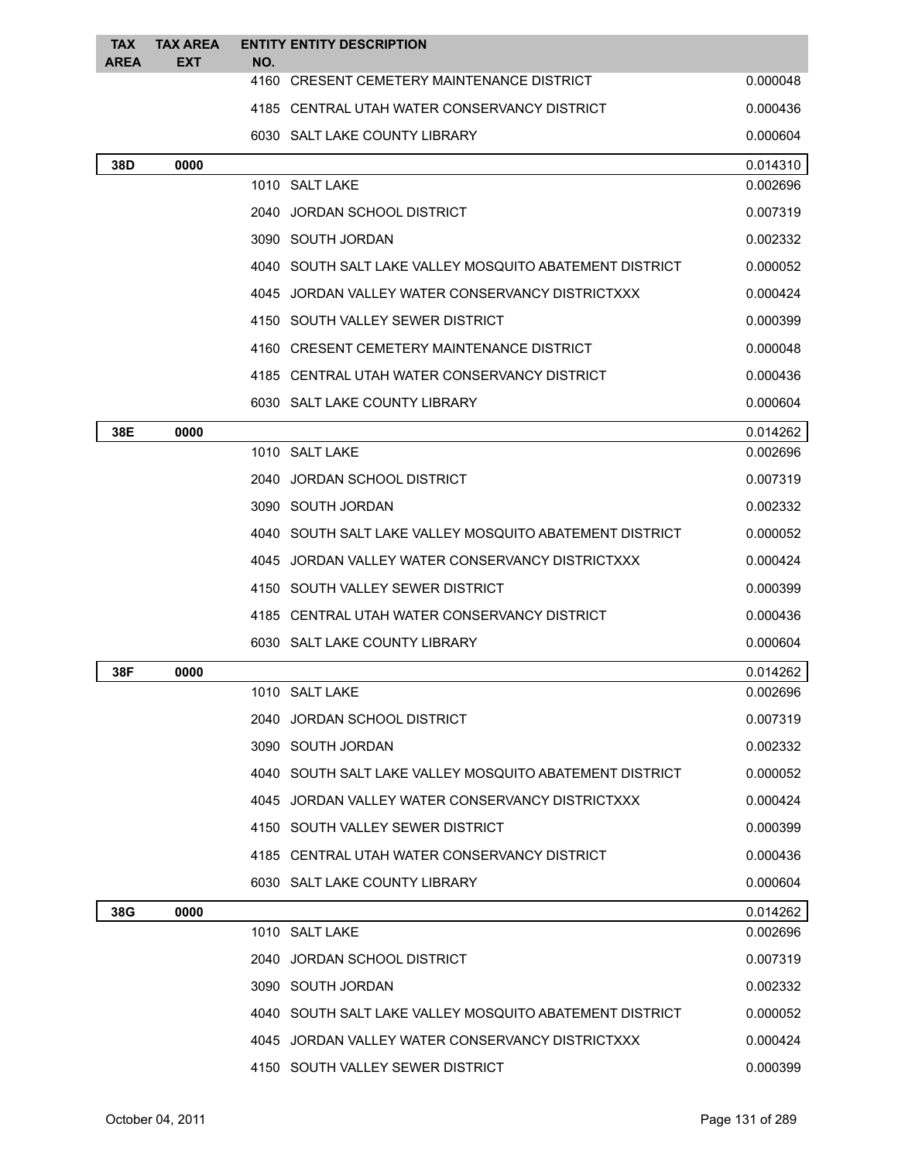| <b>TAX</b><br><b>AREA</b> | <b>TAX AREA</b><br><b>EXT</b> | <b>ENTITY ENTITY DESCRIPTION</b><br>NO.                 |          |
|---------------------------|-------------------------------|---------------------------------------------------------|----------|
|                           |                               | 4160 CRESENT CEMETERY MAINTENANCE DISTRICT              | 0.000048 |
|                           |                               | 4185 CENTRAL UTAH WATER CONSERVANCY DISTRICT            | 0.000436 |
|                           |                               | 6030 SALT LAKE COUNTY LIBRARY                           | 0.000604 |
| 38D                       | 0000                          |                                                         | 0.014310 |
|                           |                               | 1010 SALT LAKE                                          | 0.002696 |
|                           |                               | 2040 JORDAN SCHOOL DISTRICT                             | 0.007319 |
|                           |                               | 3090 SOUTH JORDAN                                       | 0.002332 |
|                           |                               | 4040 SOUTH SALT LAKE VALLEY MOSQUITO ABATEMENT DISTRICT | 0.000052 |
|                           |                               | 4045 JORDAN VALLEY WATER CONSERVANCY DISTRICTXXX        | 0.000424 |
|                           |                               | 4150 SOUTH VALLEY SEWER DISTRICT                        | 0.000399 |
|                           |                               | 4160 CRESENT CEMETERY MAINTENANCE DISTRICT              | 0.000048 |
|                           |                               | 4185 CENTRAL UTAH WATER CONSERVANCY DISTRICT            | 0.000436 |
|                           |                               | 6030 SALT LAKE COUNTY LIBRARY                           | 0.000604 |
| 38E                       | 0000                          |                                                         | 0.014262 |
|                           |                               | 1010 SALT LAKE                                          | 0.002696 |
|                           |                               | 2040 JORDAN SCHOOL DISTRICT                             | 0.007319 |
|                           |                               | 3090 SOUTH JORDAN                                       | 0.002332 |
|                           |                               | 4040 SOUTH SALT LAKE VALLEY MOSQUITO ABATEMENT DISTRICT | 0.000052 |
|                           |                               | 4045 JORDAN VALLEY WATER CONSERVANCY DISTRICTXXX        | 0.000424 |
|                           |                               | 4150 SOUTH VALLEY SEWER DISTRICT                        | 0.000399 |
|                           |                               | 4185 CENTRAL UTAH WATER CONSERVANCY DISTRICT            | 0.000436 |
|                           |                               | 6030 SALT LAKE COUNTY LIBRARY                           | 0.000604 |
| 38F                       | 0000                          |                                                         | 0.014262 |
|                           |                               | 1010 SALT LAKE                                          | 0.002696 |
|                           |                               | 2040 JORDAN SCHOOL DISTRICT                             | 0.007319 |
|                           |                               | 3090 SOUTH JORDAN                                       | 0.002332 |
|                           |                               | 4040 SOUTH SALT LAKE VALLEY MOSQUITO ABATEMENT DISTRICT | 0.000052 |
|                           |                               | 4045 JORDAN VALLEY WATER CONSERVANCY DISTRICTXXX        | 0.000424 |
|                           |                               | 4150 SOUTH VALLEY SEWER DISTRICT                        | 0.000399 |
|                           |                               | 4185 CENTRAL UTAH WATER CONSERVANCY DISTRICT            | 0.000436 |
|                           |                               | 6030 SALT LAKE COUNTY LIBRARY                           | 0.000604 |
| 38G                       | 0000                          |                                                         | 0.014262 |
|                           |                               | 1010 SALT LAKE                                          | 0.002696 |
|                           |                               | 2040 JORDAN SCHOOL DISTRICT                             | 0.007319 |
|                           |                               | 3090 SOUTH JORDAN                                       | 0.002332 |
|                           |                               | 4040 SOUTH SALT LAKE VALLEY MOSQUITO ABATEMENT DISTRICT | 0.000052 |
|                           |                               | 4045 JORDAN VALLEY WATER CONSERVANCY DISTRICTXXX        | 0.000424 |
|                           |                               | 4150 SOUTH VALLEY SEWER DISTRICT                        | 0.000399 |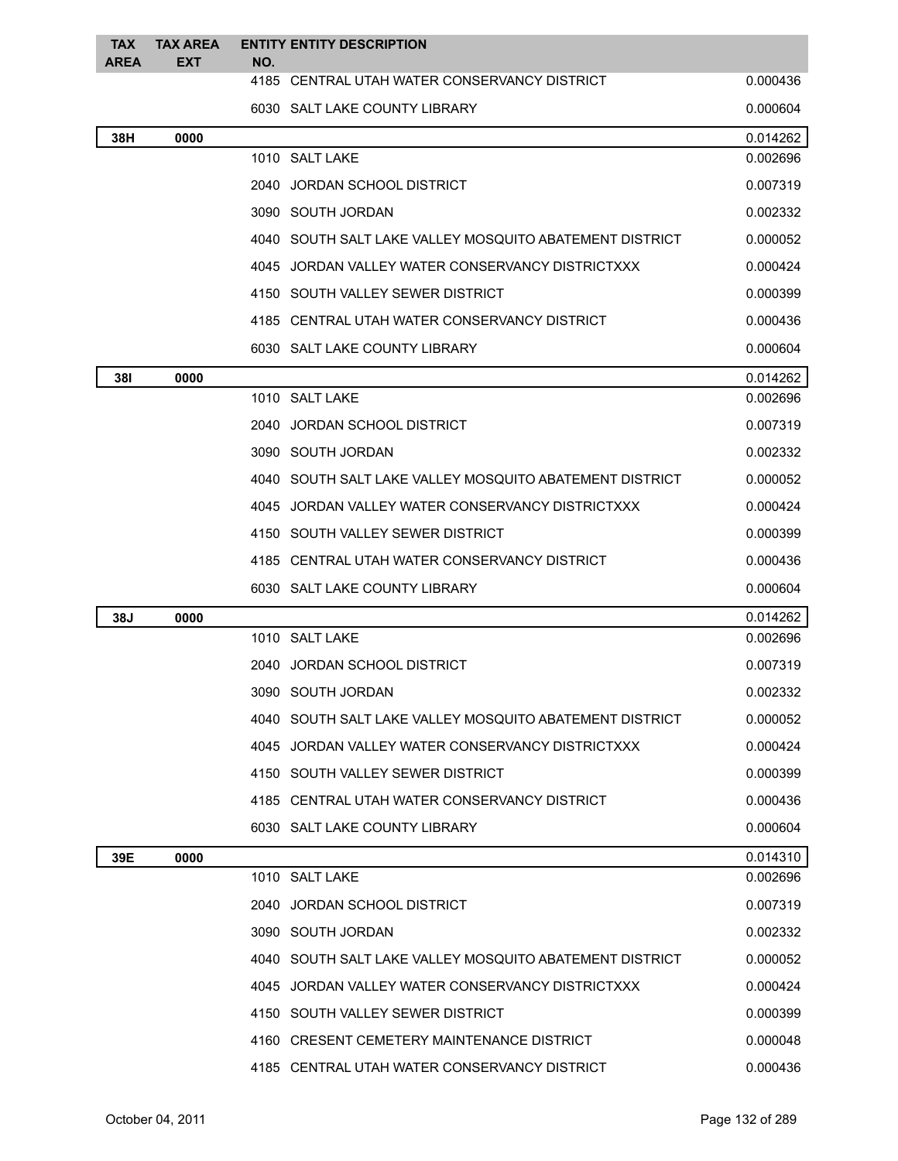| <b>TAX</b><br><b>AREA</b> | <b>TAX AREA</b><br><b>EXT</b> | NO. | <b>ENTITY ENTITY DESCRIPTION</b>                        |          |
|---------------------------|-------------------------------|-----|---------------------------------------------------------|----------|
|                           |                               |     | 4185 CENTRAL UTAH WATER CONSERVANCY DISTRICT            | 0.000436 |
|                           |                               |     | 6030 SALT LAKE COUNTY LIBRARY                           | 0.000604 |
| 38H                       | 0000                          |     |                                                         | 0.014262 |
|                           |                               |     | 1010 SALT LAKE                                          | 0.002696 |
|                           |                               |     | 2040 JORDAN SCHOOL DISTRICT                             | 0.007319 |
|                           |                               |     | 3090 SOUTH JORDAN                                       | 0.002332 |
|                           |                               |     | 4040 SOUTH SALT LAKE VALLEY MOSQUITO ABATEMENT DISTRICT | 0.000052 |
|                           |                               |     | 4045 JORDAN VALLEY WATER CONSERVANCY DISTRICTXXX        | 0.000424 |
|                           |                               |     | 4150 SOUTH VALLEY SEWER DISTRICT                        | 0.000399 |
|                           |                               |     | 4185 CENTRAL UTAH WATER CONSERVANCY DISTRICT            | 0.000436 |
|                           |                               |     | 6030 SALT LAKE COUNTY LIBRARY                           | 0.000604 |
| 38I                       | 0000                          |     |                                                         | 0.014262 |
|                           |                               |     | 1010 SALT LAKE                                          | 0.002696 |
|                           |                               |     | 2040 JORDAN SCHOOL DISTRICT                             | 0.007319 |
|                           |                               |     | 3090 SOUTH JORDAN                                       | 0.002332 |
|                           |                               |     | 4040 SOUTH SALT LAKE VALLEY MOSQUITO ABATEMENT DISTRICT | 0.000052 |
|                           |                               |     | 4045 JORDAN VALLEY WATER CONSERVANCY DISTRICTXXX        | 0.000424 |
|                           |                               |     | 4150 SOUTH VALLEY SEWER DISTRICT                        | 0.000399 |
|                           |                               |     | 4185 CENTRAL UTAH WATER CONSERVANCY DISTRICT            | 0.000436 |
|                           |                               |     | 6030 SALT LAKE COUNTY LIBRARY                           | 0.000604 |
| 38J                       | 0000                          |     |                                                         | 0.014262 |
|                           |                               |     | 1010 SALT LAKE                                          | 0.002696 |
|                           |                               |     | 2040 JORDAN SCHOOL DISTRICT                             | 0.007319 |
|                           |                               |     | 3090 SOUTH JORDAN                                       | 0.002332 |
|                           |                               |     | 4040 SOUTH SALT LAKE VALLEY MOSQUITO ABATEMENT DISTRICT | 0.000052 |
|                           |                               |     | 4045 JORDAN VALLEY WATER CONSERVANCY DISTRICTXXX        | 0.000424 |
|                           |                               |     | 4150 SOUTH VALLEY SEWER DISTRICT                        | 0.000399 |
|                           |                               |     | 4185 CENTRAL UTAH WATER CONSERVANCY DISTRICT            | 0.000436 |
|                           |                               |     | 6030 SALT LAKE COUNTY LIBRARY                           | 0.000604 |
| 39E                       | 0000                          |     |                                                         | 0.014310 |
|                           |                               |     | 1010 SALT LAKE                                          | 0.002696 |
|                           |                               |     | 2040 JORDAN SCHOOL DISTRICT                             | 0.007319 |
|                           |                               |     | 3090 SOUTH JORDAN                                       | 0.002332 |
|                           |                               |     | 4040 SOUTH SALT LAKE VALLEY MOSQUITO ABATEMENT DISTRICT | 0.000052 |
|                           |                               |     | 4045 JORDAN VALLEY WATER CONSERVANCY DISTRICTXXX        | 0.000424 |
|                           |                               |     | 4150 SOUTH VALLEY SEWER DISTRICT                        | 0.000399 |
|                           |                               |     | 4160 CRESENT CEMETERY MAINTENANCE DISTRICT              | 0.000048 |
|                           |                               |     | 4185 CENTRAL UTAH WATER CONSERVANCY DISTRICT            | 0.000436 |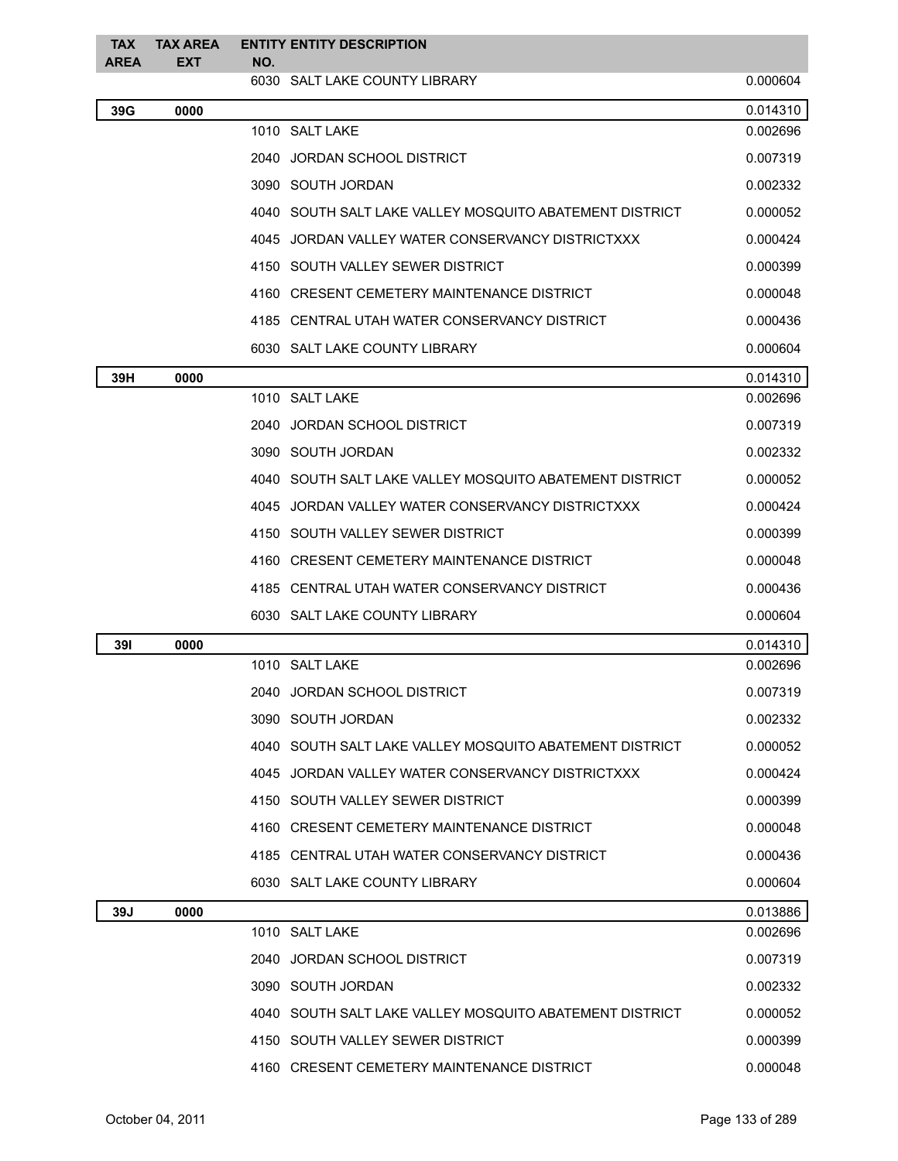| <b>TAX</b><br><b>AREA</b> | <b>TAX AREA</b><br><b>EXT</b> | NO. | <b>ENTITY ENTITY DESCRIPTION</b>                        |          |
|---------------------------|-------------------------------|-----|---------------------------------------------------------|----------|
|                           |                               |     | 6030 SALT LAKE COUNTY LIBRARY                           | 0.000604 |
| 39G                       | 0000                          |     |                                                         | 0.014310 |
|                           |                               |     | 1010 SALT LAKE                                          | 0.002696 |
|                           |                               |     | 2040 JORDAN SCHOOL DISTRICT                             | 0.007319 |
|                           |                               |     | 3090 SOUTH JORDAN                                       | 0.002332 |
|                           |                               |     | 4040 SOUTH SALT LAKE VALLEY MOSQUITO ABATEMENT DISTRICT | 0.000052 |
|                           |                               |     | 4045 JORDAN VALLEY WATER CONSERVANCY DISTRICTXXX        | 0.000424 |
|                           |                               |     | 4150 SOUTH VALLEY SEWER DISTRICT                        | 0.000399 |
|                           |                               |     | 4160 CRESENT CEMETERY MAINTENANCE DISTRICT              | 0.000048 |
|                           |                               |     | 4185 CENTRAL UTAH WATER CONSERVANCY DISTRICT            | 0.000436 |
|                           |                               |     | 6030 SALT LAKE COUNTY LIBRARY                           | 0.000604 |
| 39H                       | 0000                          |     |                                                         | 0.014310 |
|                           |                               |     | 1010 SALT LAKE                                          | 0.002696 |
|                           |                               |     | 2040 JORDAN SCHOOL DISTRICT                             | 0.007319 |
|                           |                               |     | 3090 SOUTH JORDAN                                       | 0.002332 |
|                           |                               |     | 4040 SOUTH SALT LAKE VALLEY MOSQUITO ABATEMENT DISTRICT | 0.000052 |
|                           |                               |     | 4045 JORDAN VALLEY WATER CONSERVANCY DISTRICTXXX        | 0.000424 |
|                           |                               |     | 4150 SOUTH VALLEY SEWER DISTRICT                        | 0.000399 |
|                           |                               |     | 4160 CRESENT CEMETERY MAINTENANCE DISTRICT              | 0.000048 |
|                           |                               |     | 4185 CENTRAL UTAH WATER CONSERVANCY DISTRICT            | 0.000436 |
|                           |                               |     | 6030 SALT LAKE COUNTY LIBRARY                           | 0.000604 |
| <b>391</b>                | 0000                          |     |                                                         | 0.014310 |
|                           |                               |     | 1010 SALT LAKE                                          | 0.002696 |
|                           |                               |     | 2040 JORDAN SCHOOL DISTRICT                             | 0.007319 |
|                           |                               |     | 3090 SOUTH JORDAN                                       | 0.002332 |
|                           |                               |     | 4040 SOUTH SALT LAKE VALLEY MOSQUITO ABATEMENT DISTRICT | 0.000052 |
|                           |                               |     | 4045 JORDAN VALLEY WATER CONSERVANCY DISTRICTXXX        | 0.000424 |
|                           |                               |     | 4150 SOUTH VALLEY SEWER DISTRICT                        | 0.000399 |
|                           |                               |     | 4160 CRESENT CEMETERY MAINTENANCE DISTRICT              | 0.000048 |
|                           |                               |     | 4185 CENTRAL UTAH WATER CONSERVANCY DISTRICT            | 0.000436 |
|                           |                               |     | 6030 SALT LAKE COUNTY LIBRARY                           | 0.000604 |
| 39J                       | 0000                          |     |                                                         | 0.013886 |
|                           |                               |     | 1010 SALT LAKE                                          | 0.002696 |
|                           |                               |     | 2040 JORDAN SCHOOL DISTRICT                             | 0.007319 |
|                           |                               |     | 3090 SOUTH JORDAN                                       | 0.002332 |
|                           |                               |     | 4040 SOUTH SALT LAKE VALLEY MOSQUITO ABATEMENT DISTRICT | 0.000052 |
|                           |                               |     | 4150 SOUTH VALLEY SEWER DISTRICT                        | 0.000399 |
|                           |                               |     | 4160 CRESENT CEMETERY MAINTENANCE DISTRICT              | 0.000048 |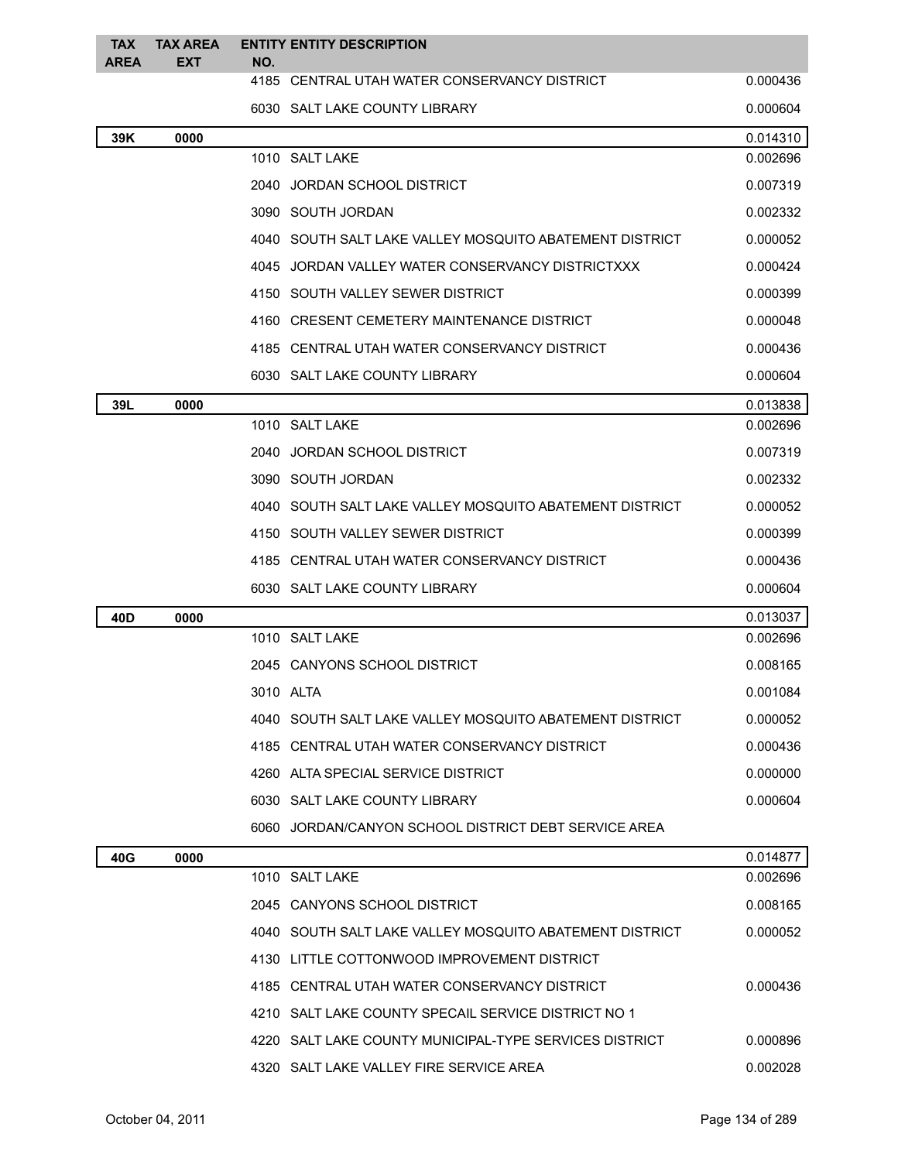| <b>TAX</b><br><b>AREA</b> | <b>TAX AREA</b><br><b>EXT</b> | <b>ENTITY ENTITY DESCRIPTION</b><br>NO.                                                           |                      |
|---------------------------|-------------------------------|---------------------------------------------------------------------------------------------------|----------------------|
|                           |                               | 4185 CENTRAL UTAH WATER CONSERVANCY DISTRICT                                                      | 0.000436             |
|                           |                               | 6030 SALT LAKE COUNTY LIBRARY                                                                     | 0.000604             |
| 39K                       | 0000                          |                                                                                                   | 0.014310             |
|                           |                               | 1010 SALT LAKE                                                                                    | 0.002696             |
|                           |                               | 2040 JORDAN SCHOOL DISTRICT                                                                       | 0.007319             |
|                           |                               | 3090 SOUTH JORDAN                                                                                 | 0.002332             |
|                           |                               | 4040 SOUTH SALT LAKE VALLEY MOSQUITO ABATEMENT DISTRICT                                           | 0.000052             |
|                           |                               | 4045 JORDAN VALLEY WATER CONSERVANCY DISTRICTXXX                                                  | 0.000424             |
|                           |                               | 4150 SOUTH VALLEY SEWER DISTRICT                                                                  | 0.000399             |
|                           |                               | 4160 CRESENT CEMETERY MAINTENANCE DISTRICT                                                        | 0.000048             |
|                           |                               | 4185 CENTRAL UTAH WATER CONSERVANCY DISTRICT                                                      | 0.000436             |
|                           |                               | 6030 SALT LAKE COUNTY LIBRARY                                                                     | 0.000604             |
| 39L                       | 0000                          |                                                                                                   | 0.013838             |
|                           |                               | 1010 SALT LAKE                                                                                    | 0.002696             |
|                           |                               | 2040 JORDAN SCHOOL DISTRICT                                                                       | 0.007319             |
|                           |                               | 3090 SOUTH JORDAN                                                                                 | 0.002332             |
|                           |                               | 4040 SOUTH SALT LAKE VALLEY MOSQUITO ABATEMENT DISTRICT                                           | 0.000052             |
|                           |                               | 4150 SOUTH VALLEY SEWER DISTRICT                                                                  | 0.000399             |
|                           |                               | 4185 CENTRAL UTAH WATER CONSERVANCY DISTRICT                                                      | 0.000436             |
|                           |                               | 6030 SALT LAKE COUNTY LIBRARY                                                                     | 0.000604             |
| 40D                       | 0000                          |                                                                                                   | 0.013037             |
|                           |                               | 1010 SALT LAKE                                                                                    | 0.002696             |
|                           |                               | 2045 CANYONS SCHOOL DISTRICT                                                                      | 0.008165             |
|                           |                               | 3010 ALTA                                                                                         | 0.001084             |
|                           |                               | 4040 SOUTH SALT LAKE VALLEY MOSQUITO ABATEMENT DISTRICT                                           | 0.000052             |
|                           |                               | 4185 CENTRAL UTAH WATER CONSERVANCY DISTRICT                                                      | 0.000436             |
|                           |                               | 4260 ALTA SPECIAL SERVICE DISTRICT                                                                | 0.000000             |
|                           |                               | 6030 SALT LAKE COUNTY LIBRARY                                                                     | 0.000604             |
|                           |                               | 6060 JORDAN/CANYON SCHOOL DISTRICT DEBT SERVICE AREA                                              |                      |
| 40G                       | 0000                          | 1010 SALT LAKE                                                                                    | 0.014877<br>0.002696 |
|                           |                               |                                                                                                   |                      |
|                           |                               | 2045 CANYONS SCHOOL DISTRICT                                                                      | 0.008165             |
|                           |                               | 4040 SOUTH SALT LAKE VALLEY MOSQUITO ABATEMENT DISTRICT                                           | 0.000052             |
|                           |                               | 4130 LITTLE COTTONWOOD IMPROVEMENT DISTRICT                                                       |                      |
|                           |                               | 4185 CENTRAL UTAH WATER CONSERVANCY DISTRICT                                                      | 0.000436             |
|                           |                               | 4210 SALT LAKE COUNTY SPECAIL SERVICE DISTRICT NO 1                                               |                      |
|                           |                               | 4220 SALT LAKE COUNTY MUNICIPAL-TYPE SERVICES DISTRICT<br>4320 SALT LAKE VALLEY FIRE SERVICE AREA | 0.000896<br>0.002028 |
|                           |                               |                                                                                                   |                      |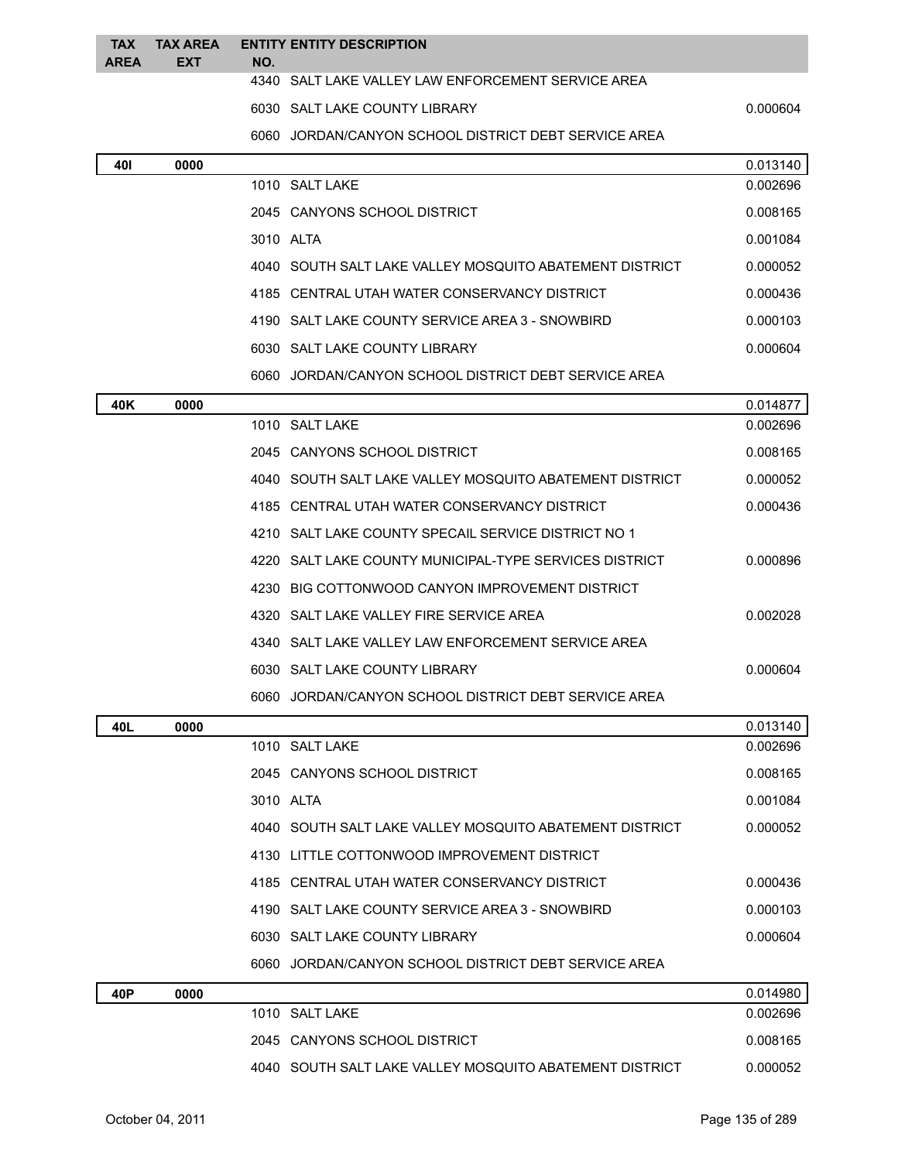| <b>TAX</b><br><b>AREA</b> | <b>TAX AREA</b><br><b>EXT</b> | <b>ENTITY ENTITY DESCRIPTION</b><br>NO.                 |          |
|---------------------------|-------------------------------|---------------------------------------------------------|----------|
|                           |                               | 4340 SALT LAKE VALLEY LAW ENFORCEMENT SERVICE AREA      |          |
|                           |                               | 6030 SALT LAKE COUNTY LIBRARY                           | 0.000604 |
|                           |                               | 6060 JORDAN/CANYON SCHOOL DISTRICT DEBT SERVICE AREA    |          |
| 401                       | 0000                          |                                                         | 0.013140 |
|                           |                               | 1010 SALT LAKE                                          | 0.002696 |
|                           |                               | 2045 CANYONS SCHOOL DISTRICT                            | 0.008165 |
|                           |                               | 3010 ALTA                                               | 0.001084 |
|                           |                               | 4040 SOUTH SALT LAKE VALLEY MOSQUITO ABATEMENT DISTRICT | 0.000052 |
|                           |                               | 4185 CENTRAL UTAH WATER CONSERVANCY DISTRICT            | 0.000436 |
|                           |                               | 4190 SALT LAKE COUNTY SERVICE AREA 3 - SNOWBIRD         | 0.000103 |
|                           |                               | 6030 SALT LAKE COUNTY LIBRARY                           | 0.000604 |
|                           |                               | 6060 JORDAN/CANYON SCHOOL DISTRICT DEBT SERVICE AREA    |          |
| 40K                       | 0000                          |                                                         | 0.014877 |
|                           |                               | 1010 SALT LAKE                                          | 0.002696 |
|                           |                               | 2045 CANYONS SCHOOL DISTRICT                            | 0.008165 |
|                           |                               | 4040 SOUTH SALT LAKE VALLEY MOSQUITO ABATEMENT DISTRICT | 0.000052 |
|                           |                               | 4185 CENTRAL UTAH WATER CONSERVANCY DISTRICT            | 0.000436 |
|                           |                               | 4210 SALT LAKE COUNTY SPECAIL SERVICE DISTRICT NO 1     |          |
|                           |                               | 4220 SALT LAKE COUNTY MUNICIPAL-TYPE SERVICES DISTRICT  | 0.000896 |
|                           |                               | BIG COTTONWOOD CANYON IMPROVEMENT DISTRICT<br>4230      |          |
|                           |                               | 4320 SALT LAKE VALLEY FIRE SERVICE AREA                 | 0.002028 |
|                           |                               | 4340 SALT LAKE VALLEY LAW ENFORCEMENT SERVICE AREA      |          |
|                           |                               | 6030 SALT LAKE COUNTY LIBRARY                           | 0.000604 |
|                           |                               | 6060 JORDAN/CANYON SCHOOL DISTRICT DEBT SERVICE AREA    |          |
| 40L                       | 0000                          |                                                         | 0.013140 |
|                           |                               | 1010 SALT LAKE                                          | 0.002696 |
|                           |                               | 2045 CANYONS SCHOOL DISTRICT                            | 0.008165 |
|                           |                               | 3010 ALTA                                               | 0.001084 |
|                           |                               | 4040 SOUTH SALT LAKE VALLEY MOSQUITO ABATEMENT DISTRICT | 0.000052 |
|                           |                               | 4130 LITTLE COTTONWOOD IMPROVEMENT DISTRICT             |          |
|                           |                               | 4185 CENTRAL UTAH WATER CONSERVANCY DISTRICT            | 0.000436 |
|                           |                               | 4190 SALT LAKE COUNTY SERVICE AREA 3 - SNOWBIRD         | 0.000103 |
|                           |                               | 6030 SALT LAKE COUNTY LIBRARY                           | 0.000604 |
|                           |                               | 6060 JORDAN/CANYON SCHOOL DISTRICT DEBT SERVICE AREA    |          |
| 40P                       | 0000                          |                                                         | 0.014980 |
|                           |                               | 1010 SALT LAKE                                          | 0.002696 |
|                           |                               | 2045 CANYONS SCHOOL DISTRICT                            | 0.008165 |
|                           |                               | 4040 SOUTH SALT LAKE VALLEY MOSQUITO ABATEMENT DISTRICT | 0.000052 |
|                           |                               |                                                         |          |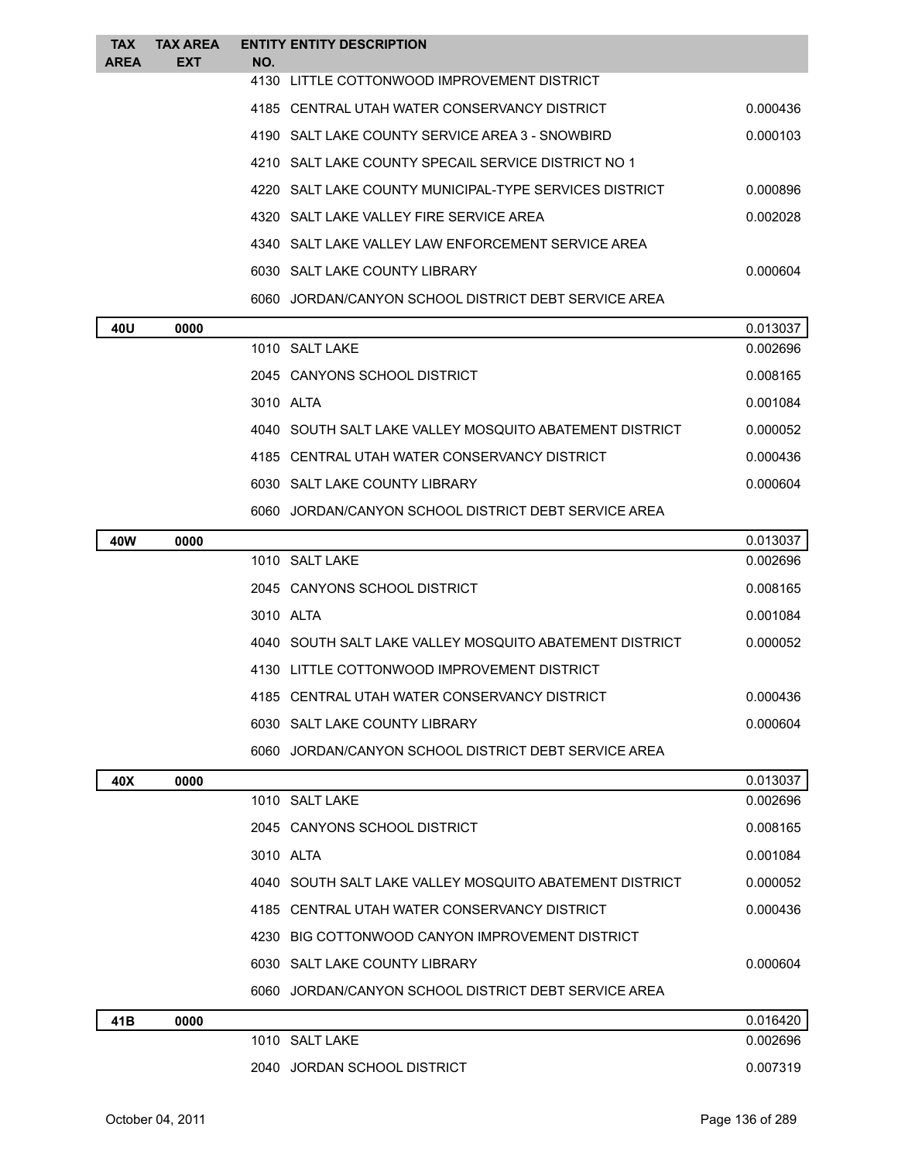| <b>TAX</b><br><b>AREA</b> | <b>TAX AREA</b><br><b>EXT</b> | NO. | <b>ENTITY ENTITY DESCRIPTION</b>                        |          |
|---------------------------|-------------------------------|-----|---------------------------------------------------------|----------|
|                           |                               |     | 4130 LITTLE COTTONWOOD IMPROVEMENT DISTRICT             |          |
|                           |                               |     | 4185 CENTRAL UTAH WATER CONSERVANCY DISTRICT            | 0.000436 |
|                           |                               |     | 4190 SALT LAKE COUNTY SERVICE AREA 3 - SNOWBIRD         | 0.000103 |
|                           |                               |     | 4210 SALT LAKE COUNTY SPECAIL SERVICE DISTRICT NO 1     |          |
|                           |                               |     | 4220 SALT LAKE COUNTY MUNICIPAL-TYPE SERVICES DISTRICT  | 0.000896 |
|                           |                               |     | 4320 SALT LAKE VALLEY FIRE SERVICE AREA                 | 0.002028 |
|                           |                               |     | 4340 SALT LAKE VALLEY LAW ENFORCEMENT SERVICE AREA      |          |
|                           |                               |     | 6030 SALT LAKE COUNTY LIBRARY                           | 0.000604 |
|                           |                               |     | 6060 JORDAN/CANYON SCHOOL DISTRICT DEBT SERVICE AREA    |          |
| 40U                       | 0000                          |     |                                                         | 0.013037 |
|                           |                               |     | 1010 SALT LAKE                                          | 0.002696 |
|                           |                               |     | 2045 CANYONS SCHOOL DISTRICT                            | 0.008165 |
|                           |                               |     | 3010 ALTA                                               | 0.001084 |
|                           |                               |     | 4040 SOUTH SALT LAKE VALLEY MOSQUITO ABATEMENT DISTRICT | 0.000052 |
|                           |                               |     | 4185 CENTRAL UTAH WATER CONSERVANCY DISTRICT            | 0.000436 |
|                           |                               |     | 6030 SALT LAKE COUNTY LIBRARY                           | 0.000604 |
|                           |                               |     | 6060 JORDAN/CANYON SCHOOL DISTRICT DEBT SERVICE AREA    |          |
| 40W                       | 0000                          |     |                                                         | 0.013037 |
|                           |                               |     | 1010 SALT LAKE                                          | 0.002696 |
|                           |                               |     | 2045 CANYONS SCHOOL DISTRICT                            | 0.008165 |
|                           |                               |     | 3010 ALTA                                               | 0.001084 |
|                           |                               |     | 4040 SOUTH SALT LAKE VALLEY MOSQUITO ABATEMENT DISTRICT | 0.000052 |
|                           |                               |     | 4130 LITTLE COTTONWOOD IMPROVEMENT DISTRICT             |          |
|                           |                               |     | 4185 CENTRAL UTAH WATER CONSERVANCY DISTRICT            | 0.000436 |
|                           |                               |     | 6030 SALT LAKE COUNTY LIBRARY                           | 0.000604 |
|                           |                               |     | 6060 JORDAN/CANYON SCHOOL DISTRICT DEBT SERVICE AREA    |          |
| 40X                       | 0000                          |     |                                                         | 0.013037 |
|                           |                               |     | 1010 SALT LAKE                                          | 0.002696 |
|                           |                               |     | 2045 CANYONS SCHOOL DISTRICT                            | 0.008165 |
|                           |                               |     | 3010 ALTA                                               | 0.001084 |
|                           |                               |     | 4040 SOUTH SALT LAKE VALLEY MOSQUITO ABATEMENT DISTRICT | 0.000052 |
|                           |                               |     | 4185 CENTRAL UTAH WATER CONSERVANCY DISTRICT            | 0.000436 |
|                           |                               |     | 4230 BIG COTTONWOOD CANYON IMPROVEMENT DISTRICT         |          |
|                           |                               |     | 6030 SALT LAKE COUNTY LIBRARY                           | 0.000604 |
|                           |                               |     | 6060 JORDAN/CANYON SCHOOL DISTRICT DEBT SERVICE AREA    |          |
| 41B                       | 0000                          |     |                                                         | 0.016420 |
|                           |                               |     | 1010 SALT LAKE                                          | 0.002696 |
|                           |                               |     |                                                         |          |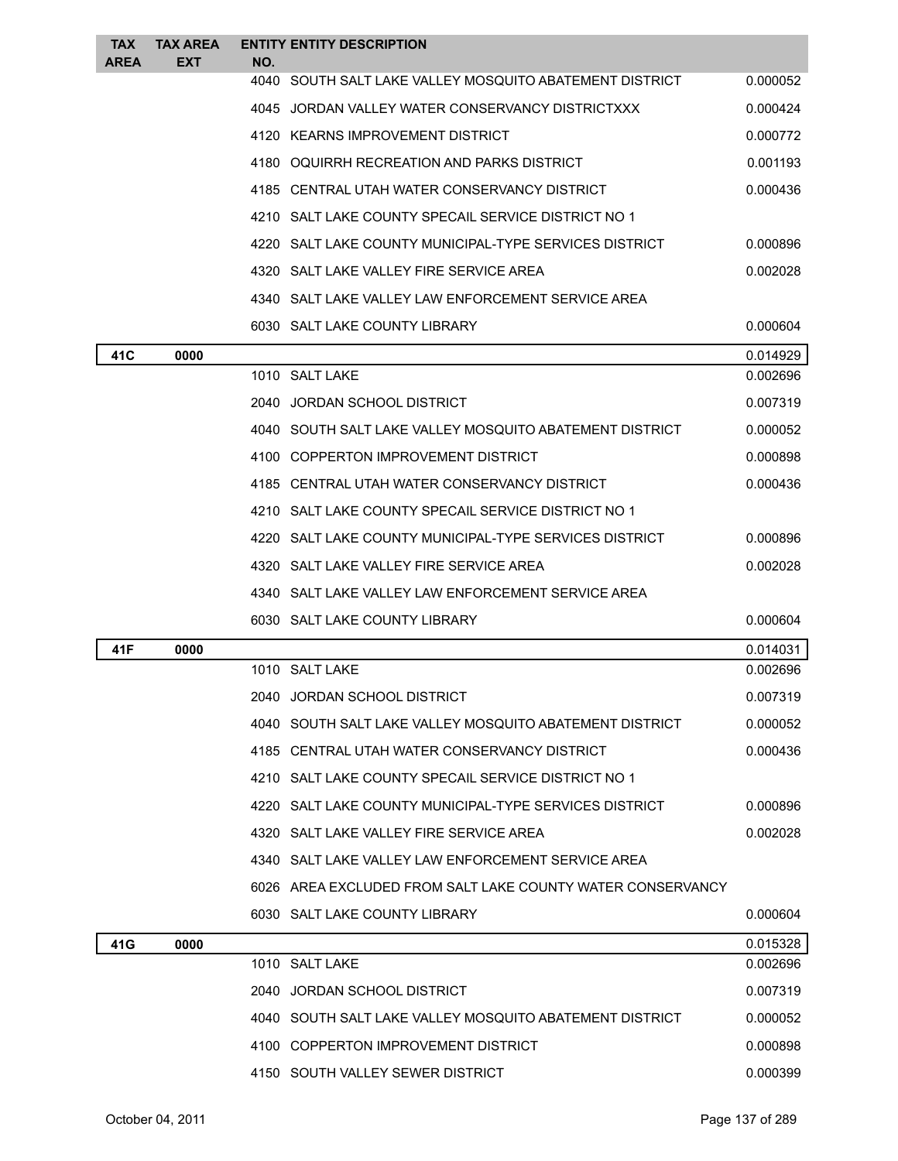| <b>TAX</b><br>AREA | <b>TAX AREA</b><br><b>EXT</b> | NO.  | <b>ENTITY ENTITY DESCRIPTION</b>                           |          |
|--------------------|-------------------------------|------|------------------------------------------------------------|----------|
|                    |                               |      | 4040 SOUTH SALT LAKE VALLEY MOSQUITO ABATEMENT DISTRICT    | 0.000052 |
|                    |                               |      | 4045 JORDAN VALLEY WATER CONSERVANCY DISTRICTXXX           | 0.000424 |
|                    |                               |      | 4120 KEARNS IMPROVEMENT DISTRICT                           | 0.000772 |
|                    |                               |      | 4180 OQUIRRH RECREATION AND PARKS DISTRICT                 | 0.001193 |
|                    |                               |      | 4185 CENTRAL UTAH WATER CONSERVANCY DISTRICT               | 0.000436 |
|                    |                               |      | 4210 SALT LAKE COUNTY SPECAIL SERVICE DISTRICT NO 1        |          |
|                    |                               | 4220 | SALT LAKE COUNTY MUNICIPAL-TYPE SERVICES DISTRICT          | 0.000896 |
|                    |                               |      | 4320 SALT LAKE VALLEY FIRE SERVICE AREA                    | 0.002028 |
|                    |                               |      | 4340 SALT LAKE VALLEY LAW ENFORCEMENT SERVICE AREA         |          |
|                    |                               |      | 6030 SALT LAKE COUNTY LIBRARY                              | 0.000604 |
| 41C                | 0000                          |      |                                                            | 0.014929 |
|                    |                               |      | 1010 SALT LAKE                                             | 0.002696 |
|                    |                               |      | 2040 JORDAN SCHOOL DISTRICT                                | 0.007319 |
|                    |                               |      | 4040 SOUTH SALT LAKE VALLEY MOSQUITO ABATEMENT DISTRICT    | 0.000052 |
|                    |                               |      | 4100 COPPERTON IMPROVEMENT DISTRICT                        | 0.000898 |
|                    |                               |      | 4185 CENTRAL UTAH WATER CONSERVANCY DISTRICT               | 0.000436 |
|                    |                               |      | 4210 SALT LAKE COUNTY SPECAIL SERVICE DISTRICT NO 1        |          |
|                    |                               |      | 4220 SALT LAKE COUNTY MUNICIPAL-TYPE SERVICES DISTRICT     | 0.000896 |
|                    |                               |      | 4320 SALT LAKE VALLEY FIRE SERVICE AREA                    | 0.002028 |
|                    |                               |      | 4340 SALT LAKE VALLEY LAW ENFORCEMENT SERVICE AREA         |          |
|                    |                               |      | 6030 SALT LAKE COUNTY LIBRARY                              | 0.000604 |
| 41F                | 0000                          |      |                                                            | 0.014031 |
|                    |                               |      | 1010 SALT LAKE                                             | 0.002696 |
|                    |                               |      | 2040 JORDAN SCHOOL DISTRICT                                | 0.007319 |
|                    |                               |      | 4040 SOUTH SALT LAKE VALLEY MOSQUITO ABATEMENT DISTRICT    | 0.000052 |
|                    |                               |      | 4185 CENTRAL UTAH WATER CONSERVANCY DISTRICT               | 0.000436 |
|                    |                               |      | 4210 SALT LAKE COUNTY SPECAIL SERVICE DISTRICT NO 1        |          |
|                    |                               |      | 4220 SALT LAKE COUNTY MUNICIPAL-TYPE SERVICES DISTRICT     | 0.000896 |
|                    |                               |      | 4320 SALT LAKE VALLEY FIRE SERVICE AREA                    | 0.002028 |
|                    |                               |      | 4340 SALT LAKE VALLEY LAW ENFORCEMENT SERVICE AREA         |          |
|                    |                               |      | 6026 AREA EXCLUDED FROM SALT LAKE COUNTY WATER CONSERVANCY |          |
|                    |                               |      | 6030 SALT LAKE COUNTY LIBRARY                              | 0.000604 |
| 41G                | 0000                          |      |                                                            | 0.015328 |
|                    |                               |      | 1010 SALT LAKE                                             | 0.002696 |
|                    |                               |      | 2040 JORDAN SCHOOL DISTRICT                                | 0.007319 |
|                    |                               |      | 4040 SOUTH SALT LAKE VALLEY MOSQUITO ABATEMENT DISTRICT    | 0.000052 |
|                    |                               |      | 4100 COPPERTON IMPROVEMENT DISTRICT                        | 0.000898 |
|                    |                               |      | 4150 SOUTH VALLEY SEWER DISTRICT                           | 0.000399 |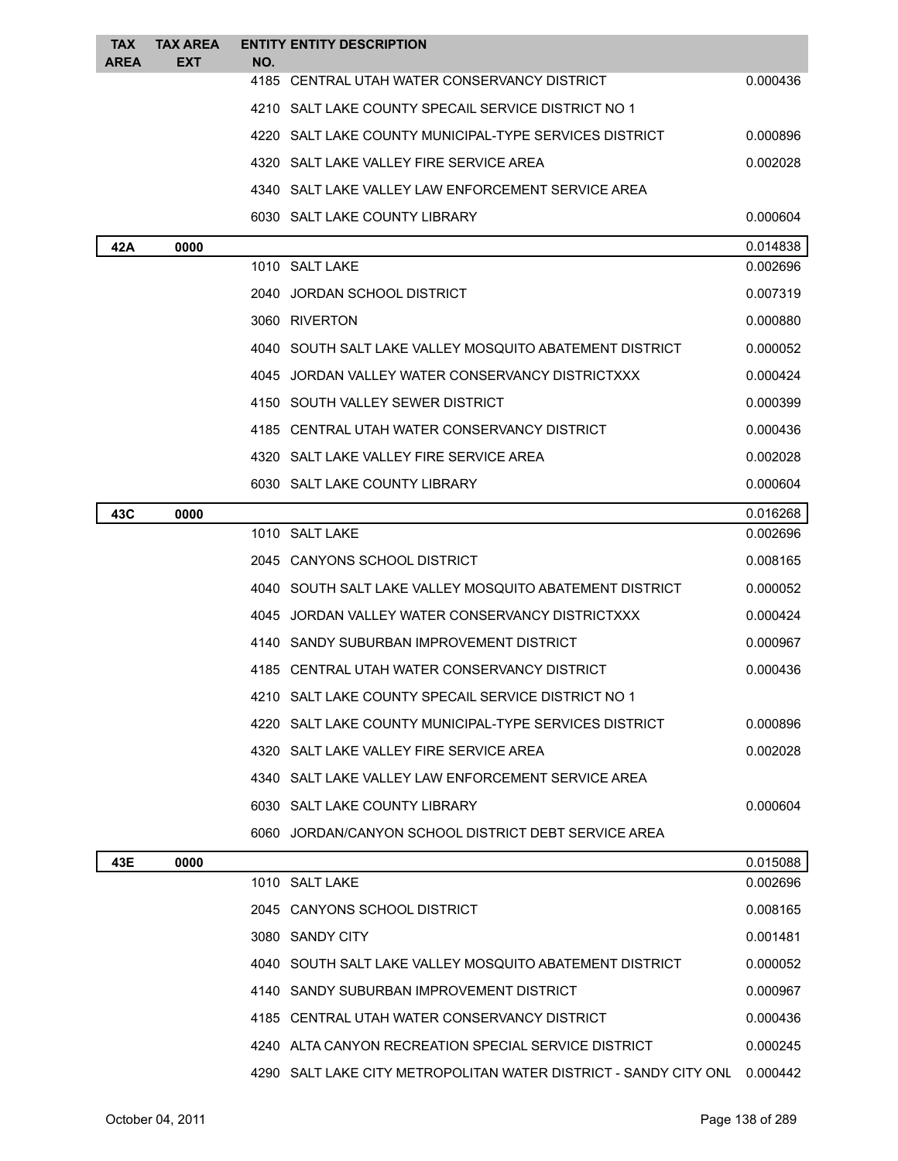| <b>TAX</b><br><b>AREA</b> | <b>TAX AREA</b><br><b>EXT</b> | <b>ENTITY ENTITY DESCRIPTION</b><br>NO. |                                                                           |          |
|---------------------------|-------------------------------|-----------------------------------------|---------------------------------------------------------------------------|----------|
|                           |                               |                                         | 4185 CENTRAL UTAH WATER CONSERVANCY DISTRICT                              | 0.000436 |
|                           |                               |                                         | 4210 SALT LAKE COUNTY SPECAIL SERVICE DISTRICT NO 1                       |          |
|                           |                               |                                         | 4220 SALT LAKE COUNTY MUNICIPAL-TYPE SERVICES DISTRICT                    | 0.000896 |
|                           |                               |                                         | 4320 SALT LAKE VALLEY FIRE SERVICE AREA                                   | 0.002028 |
|                           |                               |                                         | 4340 SALT LAKE VALLEY LAW ENFORCEMENT SERVICE AREA                        |          |
|                           |                               |                                         | 6030 SALT LAKE COUNTY LIBRARY                                             | 0.000604 |
| 42A                       | 0000                          |                                         |                                                                           | 0.014838 |
|                           |                               | 1010 SALT LAKE                          |                                                                           | 0.002696 |
|                           |                               | 2040 JORDAN SCHOOL DISTRICT             |                                                                           | 0.007319 |
|                           |                               | 3060 RIVERTON                           |                                                                           | 0.000880 |
|                           |                               |                                         | 4040 SOUTH SALT LAKE VALLEY MOSQUITO ABATEMENT DISTRICT                   | 0.000052 |
|                           |                               |                                         | 4045 JORDAN VALLEY WATER CONSERVANCY DISTRICTXXX                          | 0.000424 |
|                           |                               |                                         | 4150 SOUTH VALLEY SEWER DISTRICT                                          | 0.000399 |
|                           |                               |                                         | 4185 CENTRAL UTAH WATER CONSERVANCY DISTRICT                              | 0.000436 |
|                           |                               |                                         | 4320 SALT LAKE VALLEY FIRE SERVICE AREA                                   | 0.002028 |
|                           |                               |                                         | 6030 SALT LAKE COUNTY LIBRARY                                             | 0.000604 |
| 43C                       | 0000                          |                                         |                                                                           | 0.016268 |
|                           |                               | 1010 SALT LAKE                          |                                                                           | 0.002696 |
|                           |                               |                                         | 2045 CANYONS SCHOOL DISTRICT                                              | 0.008165 |
|                           |                               |                                         | 4040 SOUTH SALT LAKE VALLEY MOSQUITO ABATEMENT DISTRICT                   | 0.000052 |
|                           |                               |                                         | 4045 JORDAN VALLEY WATER CONSERVANCY DISTRICTXXX                          | 0.000424 |
|                           |                               |                                         | 4140 SANDY SUBURBAN IMPROVEMENT DISTRICT                                  | 0.000967 |
|                           |                               |                                         | 4185 CENTRAL UTAH WATER CONSERVANCY DISTRICT                              | 0.000436 |
|                           |                               |                                         | 4210 SALT LAKE COUNTY SPECAIL SERVICE DISTRICT NO 1                       |          |
|                           |                               |                                         | 4220 SALT LAKE COUNTY MUNICIPAL-TYPE SERVICES DISTRICT                    | 0.000896 |
|                           |                               |                                         | 4320 SALT LAKE VALLEY FIRE SERVICE AREA                                   | 0.002028 |
|                           |                               |                                         | 4340 SALT LAKE VALLEY LAW ENFORCEMENT SERVICE AREA                        |          |
|                           |                               |                                         | 6030 SALT LAKE COUNTY LIBRARY                                             | 0.000604 |
|                           |                               |                                         | 6060 JORDAN/CANYON SCHOOL DISTRICT DEBT SERVICE AREA                      |          |
| 43E                       | 0000                          |                                         |                                                                           | 0.015088 |
|                           |                               | 1010 SALT LAKE                          |                                                                           | 0.002696 |
|                           |                               |                                         | 2045 CANYONS SCHOOL DISTRICT                                              | 0.008165 |
|                           |                               | 3080 SANDY CITY                         |                                                                           | 0.001481 |
|                           |                               |                                         | 4040 SOUTH SALT LAKE VALLEY MOSQUITO ABATEMENT DISTRICT                   | 0.000052 |
|                           |                               |                                         | 4140 SANDY SUBURBAN IMPROVEMENT DISTRICT                                  | 0.000967 |
|                           |                               |                                         | 4185 CENTRAL UTAH WATER CONSERVANCY DISTRICT                              | 0.000436 |
|                           |                               |                                         | 4240 ALTA CANYON RECREATION SPECIAL SERVICE DISTRICT                      | 0.000245 |
|                           |                               |                                         | 4290 SALT LAKE CITY METROPOLITAN WATER DISTRICT - SANDY CITY ONL 0.000442 |          |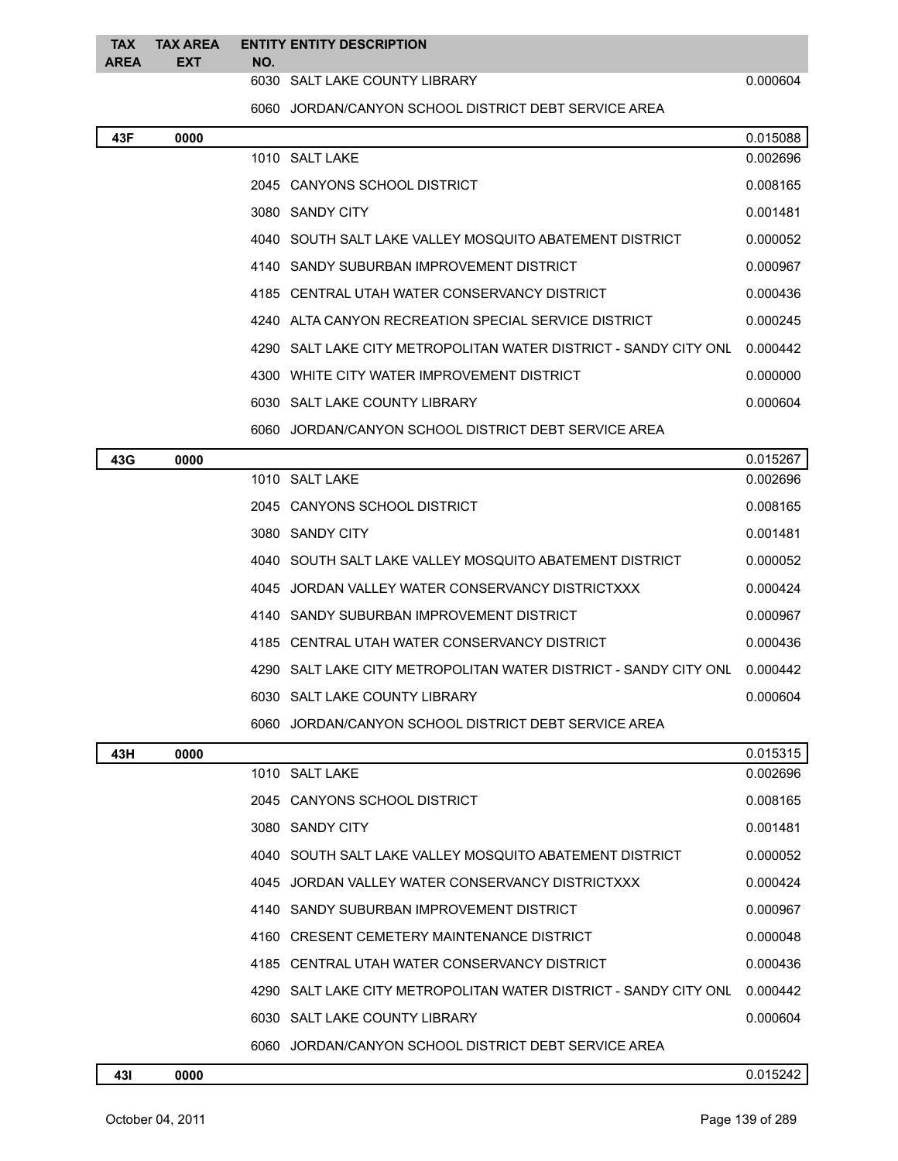| EXT |      | TAX TAX AREA ENTITY ENTITY DESCRIPTION |  |
|-----|------|----------------------------------------|--|
|     | AREA | NO.                                    |  |

6030 SALT LAKE COUNTY LIBRARY 0.000604

JORDAN/CANYON SCHOOL DISTRICT DEBT SERVICE AREA

| 43F | 0000 |      |                                                                  | 0.015088 |
|-----|------|------|------------------------------------------------------------------|----------|
|     |      |      | 1010 SALT LAKE                                                   | 0.002696 |
|     |      |      | 2045 CANYONS SCHOOL DISTRICT                                     | 0.008165 |
|     |      |      | 3080 SANDY CITY                                                  | 0.001481 |
|     |      |      | 4040 SOUTH SALT LAKE VALLEY MOSQUITO ABATEMENT DISTRICT          | 0.000052 |
|     |      |      | 4140 SANDY SUBURBAN IMPROVEMENT DISTRICT                         | 0.000967 |
|     |      |      | 4185 CENTRAL UTAH WATER CONSERVANCY DISTRICT                     | 0.000436 |
|     |      |      | 4240 ALTA CANYON RECREATION SPECIAL SERVICE DISTRICT             | 0.000245 |
|     |      |      | 4290 SALT LAKE CITY METROPOLITAN WATER DISTRICT - SANDY CITY ONL | 0.000442 |
|     |      |      | 4300 WHITE CITY WATER IMPROVEMENT DISTRICT                       | 0.000000 |
|     |      |      | 6030 SALT LAKE COUNTY LIBRARY                                    | 0.000604 |
|     |      |      | 6060 JORDAN/CANYON SCHOOL DISTRICT DEBT SERVICE AREA             |          |
| 43G | 0000 |      |                                                                  | 0.015267 |
|     |      |      | 1010 SALT LAKE                                                   | 0.002696 |
|     |      |      | 2045 CANYONS SCHOOL DISTRICT                                     | 0.008165 |
|     |      |      | 3080 SANDY CITY                                                  | 0.001481 |
|     |      |      | 4040 SOUTH SALT LAKE VALLEY MOSQUITO ABATEMENT DISTRICT          | 0.000052 |
|     |      |      | 4045 JORDAN VALLEY WATER CONSERVANCY DISTRICTXXX                 | 0.000424 |
|     |      |      | 4140 SANDY SUBURBAN IMPROVEMENT DISTRICT                         | 0.000967 |
|     |      |      | 4185 CENTRAL UTAH WATER CONSERVANCY DISTRICT                     | 0.000436 |
|     |      |      | 4290 SALT LAKE CITY METROPOLITAN WATER DISTRICT - SANDY CITY ONL | 0.000442 |
|     |      |      | 6030 SALT LAKE COUNTY LIBRARY                                    | 0.000604 |
|     |      |      | 6060 JORDAN/CANYON SCHOOL DISTRICT DEBT SERVICE AREA             |          |
| 43H | 0000 |      |                                                                  | 0.015315 |
|     |      |      | 1010 SALT LAKE                                                   | 0.002696 |
|     |      |      | 2045 CANYONS SCHOOL DISTRICT                                     | 0.008165 |
|     |      |      | 3080 SANDY CITY                                                  | 0.001481 |
|     |      |      | 4040 SOUTH SALT LAKE VALLEY MOSQUITO ABATEMENT DISTRICT          | 0.000052 |
|     |      |      | 4045 JORDAN VALLEY WATER CONSERVANCY DISTRICTXXX                 | 0.000424 |
|     |      |      | 4140 SANDY SUBURBAN IMPROVEMENT DISTRICT                         | 0.000967 |
|     |      |      | 4160 CRESENT CEMETERY MAINTENANCE DISTRICT                       | 0.000048 |
|     |      |      | 4185 CENTRAL UTAH WATER CONSERVANCY DISTRICT                     | 0.000436 |
|     |      | 4290 | SALT LAKE CITY METROPOLITAN WATER DISTRICT - SANDY CITY ONL      | 0.000442 |
|     |      |      | 6030 SALT LAKE COUNTY LIBRARY                                    | 0.000604 |
|     |      |      | 6060 JORDAN/CANYON SCHOOL DISTRICT DEBT SERVICE AREA             |          |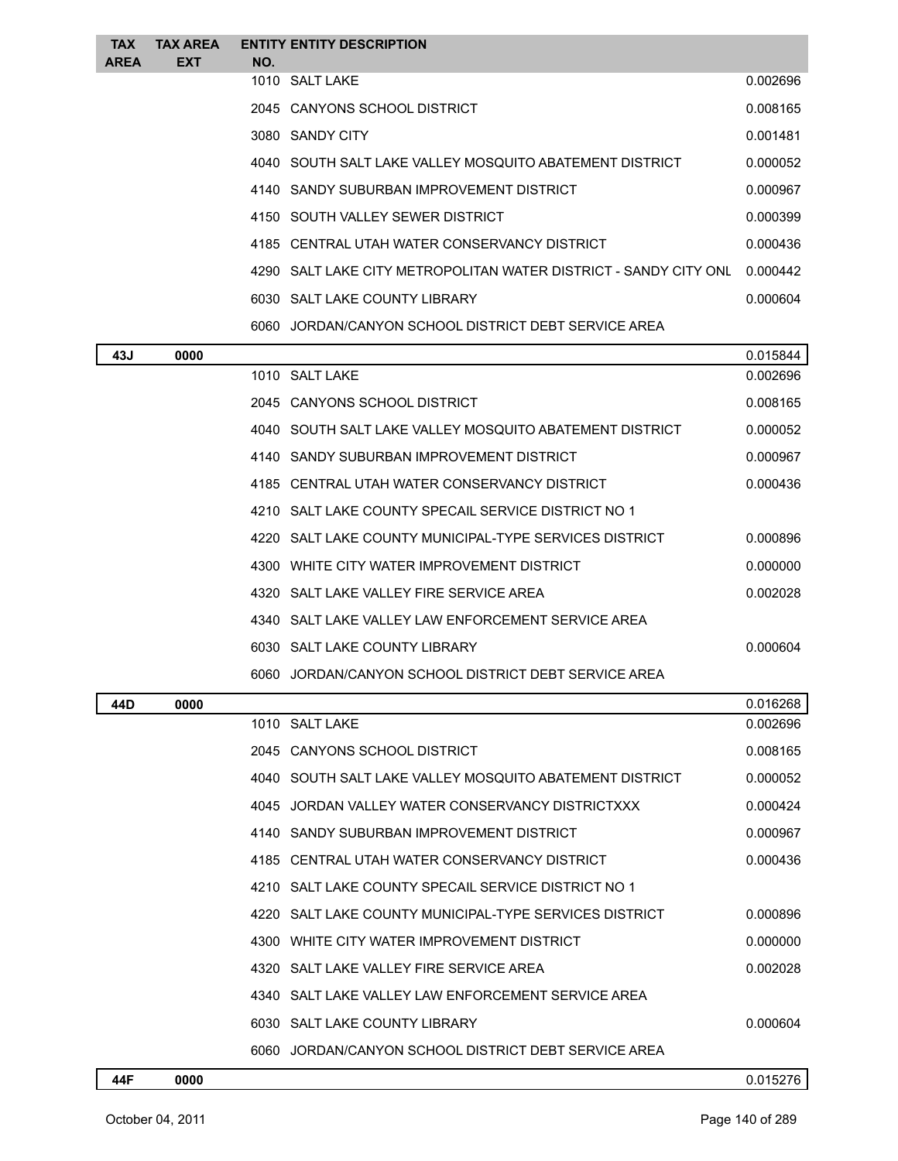| <b>TAX</b>  | <b>TAX AREA</b> |     | <b>ENTITY ENTITY DESCRIPTION</b>                                 |          |
|-------------|-----------------|-----|------------------------------------------------------------------|----------|
| <b>AREA</b> | <b>EXT</b>      | NO. |                                                                  |          |
|             |                 |     | 1010 SALT LAKE                                                   | 0.002696 |
|             |                 |     | 2045 CANYONS SCHOOL DISTRICT                                     | 0.008165 |
|             |                 |     | 3080 SANDY CITY                                                  | 0.001481 |
|             |                 |     | 4040 SOUTH SALT LAKE VALLEY MOSQUITO ABATEMENT DISTRICT          | 0.000052 |
|             |                 |     | 4140 SANDY SUBURBAN IMPROVEMENT DISTRICT                         | 0.000967 |
|             |                 |     | 4150 SOUTH VALLEY SEWER DISTRICT                                 | 0.000399 |
|             |                 |     | 4185 CENTRAL UTAH WATER CONSERVANCY DISTRICT                     | 0.000436 |
|             |                 |     | 4290 SALT LAKE CITY METROPOLITAN WATER DISTRICT - SANDY CITY ONL | 0.000442 |
|             |                 |     | 6030 SALT LAKE COUNTY LIBRARY                                    | 0.000604 |
|             |                 |     | 6060 JORDAN/CANYON SCHOOL DISTRICT DEBT SERVICE AREA             |          |
| 43J         | 0000            |     |                                                                  | 0.015844 |
|             |                 |     | 1010 SALT LAKE                                                   | 0.002696 |
|             |                 |     | 2045 CANYONS SCHOOL DISTRICT                                     | 0.008165 |
|             |                 |     | 4040 SOUTH SALT LAKE VALLEY MOSQUITO ABATEMENT DISTRICT          | 0.000052 |

|  | TUTU UUUIIIUILEI EINLE VILLEI INUUQUIIUIIUILIILIII PIUIINUI | v.vvvvc  |
|--|-------------------------------------------------------------|----------|
|  | 4140 SANDY SUBURBAN IMPROVEMENT DISTRICT                    | 0.000967 |
|  | 4185 CENTRAL UTAH WATER CONSERVANCY DISTRICT                | 0.000436 |
|  | 4210 SALT LAKE COUNTY SPECAIL SERVICE DISTRICT NO 1         |          |
|  | 4220 SALT LAKE COUNTY MUNICIPAL-TYPE SERVICES DISTRICT      | 0.000896 |
|  | 4300 WHITE CITY WATER IMPROVEMENT DISTRICT                  | 0.000000 |
|  | 4320 SALT LAKE VALLEY FIRE SERVICE AREA                     | 0.002028 |
|  | 4340 SALT LAKE VALLEY LAW ENFORCEMENT SERVICE AREA          |          |
|  | 6030 SALT LAKE COUNTY LIBRARY                               | 0.000604 |
|  | 6060 JORDAN/CANYON SCHOOL DISTRICT DEBT SERVICE AREA        |          |

| 44D | 0000 |                                                         | 0.016268 |
|-----|------|---------------------------------------------------------|----------|
|     |      | 1010 SALT LAKE                                          | 0.002696 |
|     |      | 2045 CANYONS SCHOOL DISTRICT                            | 0.008165 |
|     |      | 4040 SOUTH SALT LAKE VALLEY MOSQUITO ABATEMENT DISTRICT | 0.000052 |
|     |      | 4045 JORDAN VALLEY WATER CONSERVANCY DISTRICTXXX        | 0.000424 |
|     |      | 4140 SANDY SUBURBAN IMPROVEMENT DISTRICT                | 0.000967 |
|     |      | 4185 CENTRAL UTAH WATER CONSERVANCY DISTRICT            | 0.000436 |
|     |      | 4210 SALT LAKE COUNTY SPECAIL SERVICE DISTRICT NO 1     |          |
|     |      | 4220 SALT LAKE COUNTY MUNICIPAL-TYPE SERVICES DISTRICT  | 0.000896 |
|     |      | 4300 WHITE CITY WATER IMPROVEMENT DISTRICT              | 0.000000 |
|     |      | 4320 SALT LAKE VALLEY FIRE SERVICE AREA                 | 0.002028 |
|     |      | 4340 SALT LAKE VALLEY LAW ENFORCEMENT SERVICE AREA      |          |
|     |      | 6030 SALT LAKE COUNTY LIBRARY                           | 0.000604 |
|     |      | 6060 JORDAN/CANYON SCHOOL DISTRICT DEBT SERVICE AREA    |          |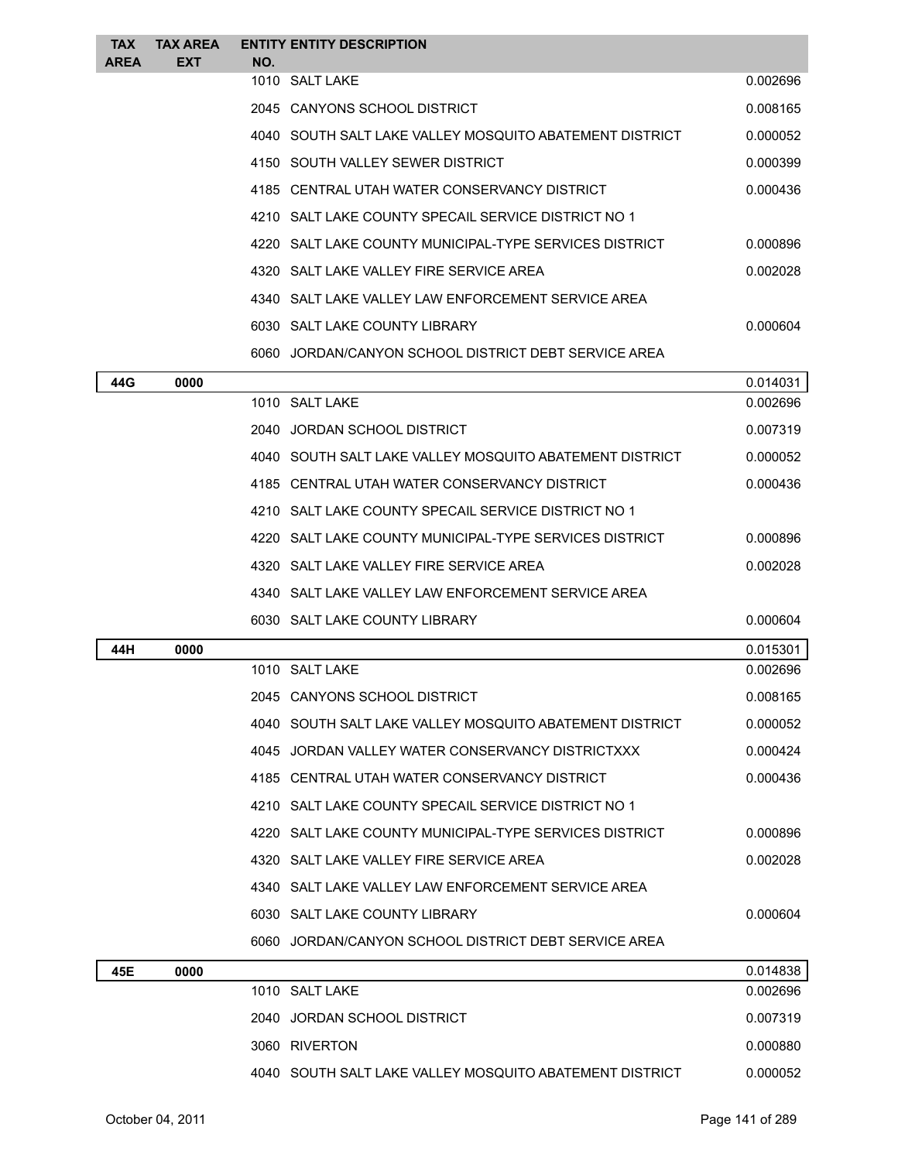| <b>TAX</b>  | TAX AREA | <b>ENTITY ENTITY DESCRIPTION</b>                        |                      |
|-------------|----------|---------------------------------------------------------|----------------------|
| <b>AREA</b> | EXT      | NO.<br>1010 SALT LAKE                                   | 0.002696             |
|             |          | 2045 CANYONS SCHOOL DISTRICT                            | 0.008165             |
|             |          | 4040 SOUTH SALT LAKE VALLEY MOSQUITO ABATEMENT DISTRICT | 0.000052             |
|             |          |                                                         |                      |
|             |          | 4150 SOUTH VALLEY SEWER DISTRICT                        | 0.000399<br>0.000436 |
|             |          | 4185 CENTRAL UTAH WATER CONSERVANCY DISTRICT            |                      |
|             |          | 4210 SALT LAKE COUNTY SPECAIL SERVICE DISTRICT NO 1     |                      |
|             |          | 4220 SALT LAKE COUNTY MUNICIPAL-TYPE SERVICES DISTRICT  | 0.000896             |
|             |          | 4320 SALT LAKE VALLEY FIRE SERVICE AREA                 | 0.002028             |
|             |          | 4340 SALT LAKE VALLEY LAW ENFORCEMENT SERVICE AREA      |                      |
|             |          | 6030 SALT LAKE COUNTY LIBRARY                           | 0.000604             |
|             |          | 6060 JORDAN/CANYON SCHOOL DISTRICT DEBT SERVICE AREA    |                      |
| 44G         | 0000     |                                                         | 0.014031             |
|             |          | 1010 SALT LAKE                                          | 0.002696             |
|             |          | 2040 JORDAN SCHOOL DISTRICT                             | 0.007319             |
|             |          | 4040 SOUTH SALT LAKE VALLEY MOSQUITO ABATEMENT DISTRICT | 0.000052             |
|             |          | 4185 CENTRAL UTAH WATER CONSERVANCY DISTRICT            | 0.000436             |
|             |          | 4210 SALT LAKE COUNTY SPECAIL SERVICE DISTRICT NO 1     |                      |
|             |          | 4220 SALT LAKE COUNTY MUNICIPAL-TYPE SERVICES DISTRICT  | 0.000896             |
|             |          | 4320 SALT LAKE VALLEY FIRE SERVICE AREA                 | 0.002028             |
|             |          | 4340 SALT LAKE VALLEY LAW ENFORCEMENT SERVICE AREA      |                      |
|             |          | 6030 SALT LAKE COUNTY LIBRARY                           | 0.000604             |
| 44H         | 0000     |                                                         | 0.015301             |
|             |          | 1010 SALT LAKE                                          | 0.002696             |
|             |          | 2045 CANYONS SCHOOL DISTRICT                            | 0.008165             |
|             |          | 4040 SOUTH SALT LAKE VALLEY MOSQUITO ABATEMENT DISTRICT | 0.000052             |
|             |          | 4045 JORDAN VALLEY WATER CONSERVANCY DISTRICTXXX        | 0.000424             |
|             |          | 4185 CENTRAL UTAH WATER CONSERVANCY DISTRICT            | 0.000436             |
|             |          | 4210 SALT LAKE COUNTY SPECAIL SERVICE DISTRICT NO 1     |                      |
|             |          | 4220 SALT LAKE COUNTY MUNICIPAL-TYPE SERVICES DISTRICT  | 0.000896             |
|             |          | 4320 SALT LAKE VALLEY FIRE SERVICE AREA                 | 0.002028             |
|             |          | 4340 SALT LAKE VALLEY LAW ENFORCEMENT SERVICE AREA      |                      |
|             |          | 6030 SALT LAKE COUNTY LIBRARY                           | 0.000604             |
|             |          | 6060 JORDAN/CANYON SCHOOL DISTRICT DEBT SERVICE AREA    |                      |
| 45E         | 0000     |                                                         | 0.014838             |
|             |          | 1010 SALT LAKE                                          | 0.002696             |
|             |          | 2040 JORDAN SCHOOL DISTRICT                             | 0.007319             |
|             |          | 3060 RIVERTON                                           | 0.000880             |
|             |          | 4040 SOUTH SALT LAKE VALLEY MOSQUITO ABATEMENT DISTRICT | 0.000052             |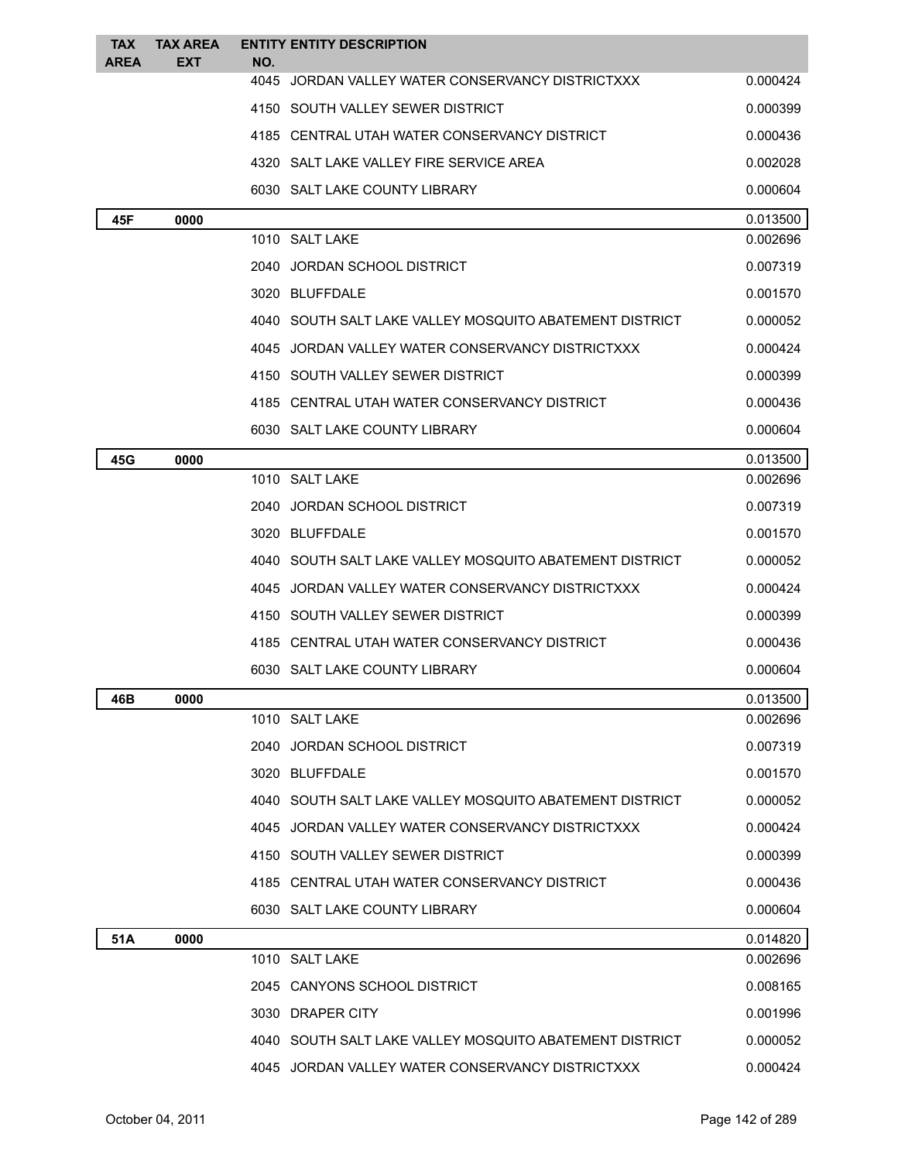| <b>TAX</b><br><b>AREA</b> | <b>TAX AREA</b><br>EXT | <b>ENTITY ENTITY DESCRIPTION</b><br>NO.                 |          |
|---------------------------|------------------------|---------------------------------------------------------|----------|
|                           |                        | 4045 JORDAN VALLEY WATER CONSERVANCY DISTRICTXXX        | 0.000424 |
|                           |                        | 4150 SOUTH VALLEY SEWER DISTRICT                        | 0.000399 |
|                           |                        | 4185 CENTRAL UTAH WATER CONSERVANCY DISTRICT            | 0.000436 |
|                           |                        | 4320 SALT LAKE VALLEY FIRE SERVICE AREA                 | 0.002028 |
|                           |                        | 6030 SALT LAKE COUNTY LIBRARY                           | 0.000604 |
| 45F                       | 0000                   |                                                         | 0.013500 |
|                           |                        | 1010 SALT LAKE                                          | 0.002696 |
|                           |                        | 2040 JORDAN SCHOOL DISTRICT                             | 0.007319 |
|                           |                        | 3020 BLUFFDALE                                          | 0.001570 |
|                           |                        | 4040 SOUTH SALT LAKE VALLEY MOSQUITO ABATEMENT DISTRICT | 0.000052 |
|                           |                        | 4045 JORDAN VALLEY WATER CONSERVANCY DISTRICTXXX        | 0.000424 |
|                           |                        | 4150 SOUTH VALLEY SEWER DISTRICT                        | 0.000399 |
|                           |                        | 4185 CENTRAL UTAH WATER CONSERVANCY DISTRICT            | 0.000436 |
|                           |                        | 6030 SALT LAKE COUNTY LIBRARY                           | 0.000604 |
| 45G                       | 0000                   |                                                         | 0.013500 |
|                           |                        | 1010 SALT LAKE                                          | 0.002696 |
|                           |                        | 2040 JORDAN SCHOOL DISTRICT                             | 0.007319 |
|                           |                        | 3020 BLUFFDALE                                          | 0.001570 |
|                           |                        | 4040 SOUTH SALT LAKE VALLEY MOSQUITO ABATEMENT DISTRICT | 0.000052 |
|                           |                        | 4045 JORDAN VALLEY WATER CONSERVANCY DISTRICTXXX        | 0.000424 |
|                           |                        | 4150 SOUTH VALLEY SEWER DISTRICT                        | 0.000399 |
|                           |                        | 4185 CENTRAL UTAH WATER CONSERVANCY DISTRICT            | 0.000436 |
|                           |                        | 6030 SALT LAKE COUNTY LIBRARY                           | 0.000604 |
| 46B                       | 0000                   |                                                         | 0.013500 |
|                           |                        | 1010 SALT LAKE                                          | 0.002696 |
|                           |                        | JORDAN SCHOOL DISTRICT<br>2040                          | 0.007319 |
|                           |                        | 3020 BLUFFDALE                                          | 0.001570 |
|                           |                        | 4040 SOUTH SALT LAKE VALLEY MOSQUITO ABATEMENT DISTRICT | 0.000052 |
|                           |                        | 4045 JORDAN VALLEY WATER CONSERVANCY DISTRICTXXX        | 0.000424 |
|                           |                        | 4150 SOUTH VALLEY SEWER DISTRICT                        | 0.000399 |
|                           |                        | 4185 CENTRAL UTAH WATER CONSERVANCY DISTRICT            | 0.000436 |
|                           |                        | 6030 SALT LAKE COUNTY LIBRARY                           | 0.000604 |
| 51A                       | 0000                   |                                                         | 0.014820 |
|                           |                        | 1010 SALT LAKE                                          | 0.002696 |
|                           |                        | 2045 CANYONS SCHOOL DISTRICT                            | 0.008165 |
|                           |                        | 3030 DRAPER CITY                                        | 0.001996 |
|                           |                        | 4040 SOUTH SALT LAKE VALLEY MOSQUITO ABATEMENT DISTRICT | 0.000052 |
|                           |                        | 4045 JORDAN VALLEY WATER CONSERVANCY DISTRICTXXX        | 0.000424 |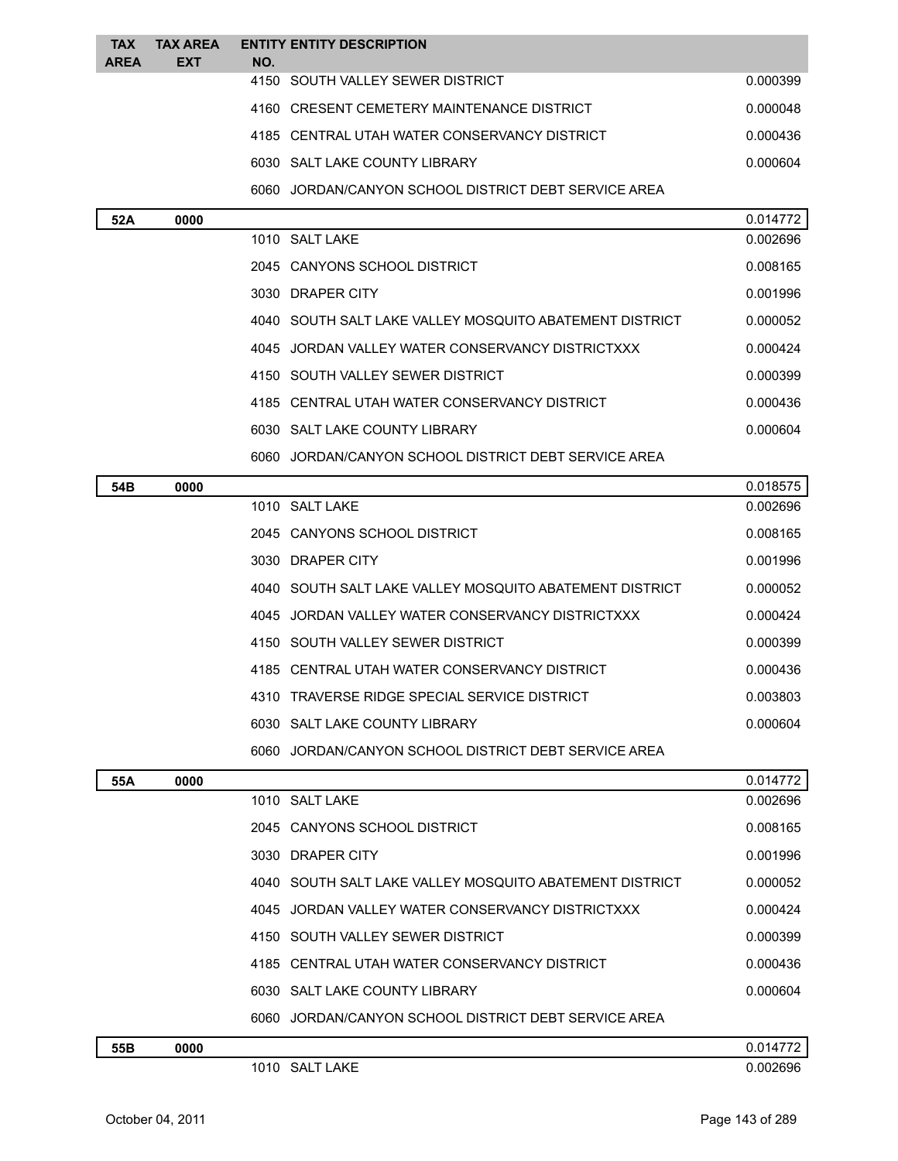| <b>TAX</b><br><b>AREA</b> | <b>TAX AREA</b><br><b>EXT</b> | NO. | <b>ENTITY ENTITY DESCRIPTION</b>                        |          |
|---------------------------|-------------------------------|-----|---------------------------------------------------------|----------|
|                           |                               |     | 4150 SOUTH VALLEY SEWER DISTRICT                        | 0.000399 |
|                           |                               |     | 4160 CRESENT CEMETERY MAINTENANCE DISTRICT              | 0.000048 |
|                           |                               |     | 4185 CENTRAL UTAH WATER CONSERVANCY DISTRICT            | 0.000436 |
|                           |                               |     | 6030 SALT LAKE COUNTY LIBRARY                           | 0.000604 |
|                           |                               |     | 6060 JORDAN/CANYON SCHOOL DISTRICT DEBT SERVICE AREA    |          |
| 52A                       | 0000                          |     |                                                         | 0.014772 |
|                           |                               |     | 1010 SALT LAKE                                          | 0.002696 |
|                           |                               |     | 2045 CANYONS SCHOOL DISTRICT                            | 0.008165 |
|                           |                               |     | 3030 DRAPER CITY                                        | 0.001996 |
|                           |                               |     | 4040 SOUTH SALT LAKE VALLEY MOSQUITO ABATEMENT DISTRICT | 0.000052 |
|                           |                               |     | 4045 JORDAN VALLEY WATER CONSERVANCY DISTRICTXXX        | 0.000424 |
|                           |                               |     | 4150 SOUTH VALLEY SEWER DISTRICT                        | 0.000399 |
|                           |                               |     | 4185 CENTRAL UTAH WATER CONSERVANCY DISTRICT            | 0.000436 |
|                           |                               |     | 6030 SALT LAKE COUNTY LIBRARY                           | 0.000604 |
|                           |                               |     | 6060 JORDAN/CANYON SCHOOL DISTRICT DEBT SERVICE AREA    |          |
| 54B                       | 0000                          |     |                                                         | 0.018575 |
|                           |                               |     | 1010 SALT LAKE                                          | 0.002696 |
|                           |                               |     | 2045 CANYONS SCHOOL DISTRICT                            | 0.008165 |
|                           |                               |     | 3030 DRAPER CITY                                        | 0.001996 |
|                           |                               |     | 4040 SOUTH SALT LAKE VALLEY MOSQUITO ABATEMENT DISTRICT | 0.000052 |
|                           |                               |     | 4045 JORDAN VALLEY WATER CONSERVANCY DISTRICTXXX        | 0.000424 |
|                           |                               |     | 4150 SOUTH VALLEY SEWER DISTRICT                        | 0.000399 |
|                           |                               |     | 4185 CENTRAL UTAH WATER CONSERVANCY DISTRICT            | 0.000436 |
|                           |                               |     | 4310 TRAVERSE RIDGE SPECIAL SERVICE DISTRICT            | 0.003803 |
|                           |                               |     | 6030 SALT LAKE COUNTY LIBRARY                           | 0.000604 |
|                           |                               |     | 6060 JORDAN/CANYON SCHOOL DISTRICT DEBT SERVICE AREA    |          |
| 55A                       | 0000                          |     |                                                         | 0.014772 |
|                           |                               |     | 1010 SALT LAKE                                          | 0.002696 |
|                           |                               |     | 2045 CANYONS SCHOOL DISTRICT                            | 0.008165 |
|                           |                               |     | 3030 DRAPER CITY                                        | 0.001996 |
|                           |                               |     | 4040 SOUTH SALT LAKE VALLEY MOSQUITO ABATEMENT DISTRICT | 0.000052 |
|                           |                               |     | 4045 JORDAN VALLEY WATER CONSERVANCY DISTRICTXXX        | 0.000424 |
|                           |                               |     | 4150 SOUTH VALLEY SEWER DISTRICT                        | 0.000399 |
|                           |                               |     | 4185 CENTRAL UTAH WATER CONSERVANCY DISTRICT            | 0.000436 |
|                           |                               |     | 6030 SALT LAKE COUNTY LIBRARY                           | 0.000604 |
|                           |                               |     | 6060 JORDAN/CANYON SCHOOL DISTRICT DEBT SERVICE AREA    |          |
| 55B                       | 0000                          |     |                                                         | 0.014772 |
|                           |                               |     | 1010 SALT LAKE                                          | 0.002696 |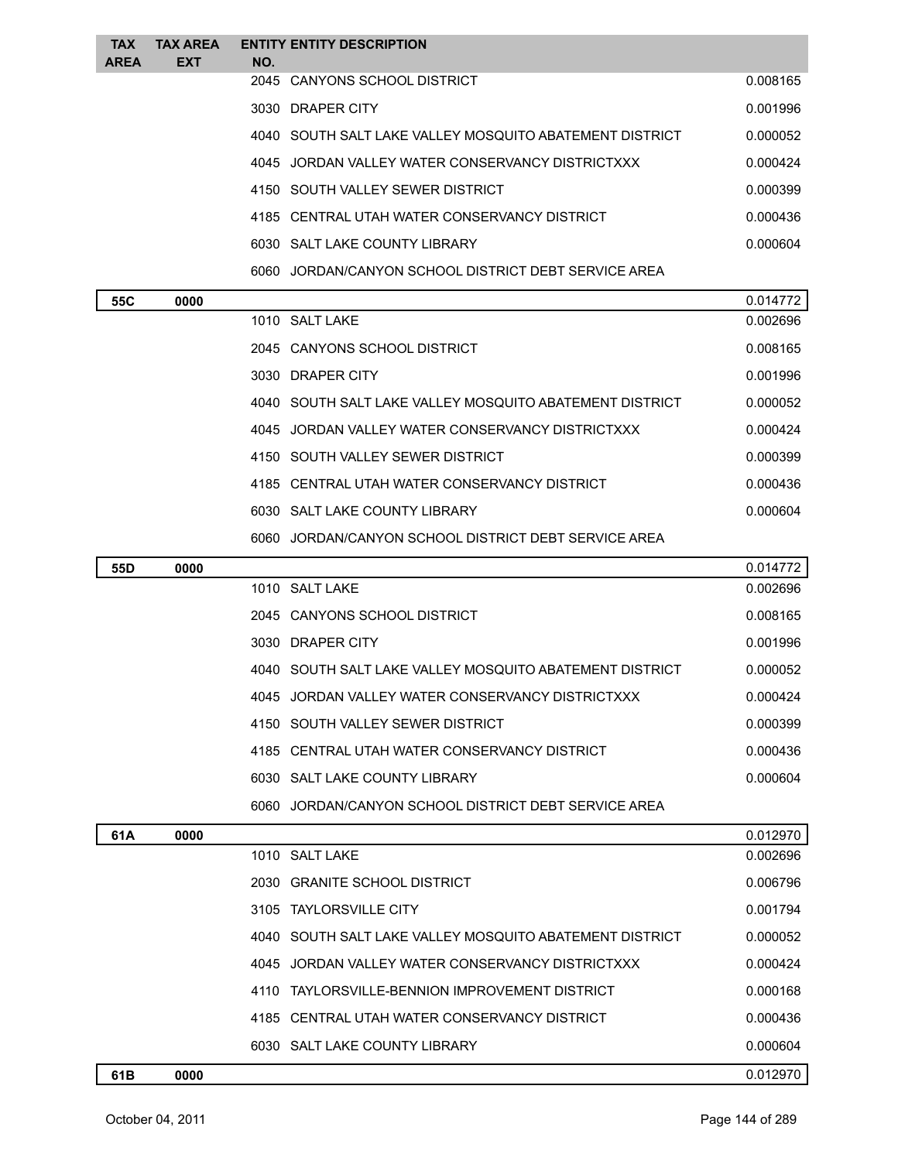| <b>TAX</b>  | <b>TAX AREA</b> | <b>ENTITY ENTITY DESCRIPTION</b>                        |          |
|-------------|-----------------|---------------------------------------------------------|----------|
| <b>AREA</b> | <b>EXT</b>      | NO.                                                     |          |
|             |                 | 2045 CANYONS SCHOOL DISTRICT                            | 0.008165 |
|             |                 | 3030 DRAPER CITY                                        | 0.001996 |
|             |                 | 4040 SOUTH SALT LAKE VALLEY MOSQUITO ABATEMENT DISTRICT | 0.000052 |
|             |                 | 4045 JORDAN VALLEY WATER CONSERVANCY DISTRICTXXX        | 0.000424 |
|             |                 | 4150 SOUTH VALLEY SEWER DISTRICT                        | 0.000399 |
|             |                 | 4185 CENTRAL UTAH WATER CONSERVANCY DISTRICT            | 0.000436 |
|             |                 | 6030 SALT LAKE COUNTY LIBRARY                           | 0.000604 |
|             |                 | 6060 JORDAN/CANYON SCHOOL DISTRICT DEBT SERVICE AREA    |          |
| <b>FFA</b>  | 0.000           |                                                         | 0.011772 |

| 55C | 0000 |                                                         | 0.014772 |
|-----|------|---------------------------------------------------------|----------|
|     |      | 1010 SALT LAKE                                          | 0.002696 |
|     |      | 2045 CANYONS SCHOOL DISTRICT                            | 0.008165 |
|     |      | 3030 DRAPER CITY                                        | 0.001996 |
|     |      | 4040 SOUTH SALT LAKE VALLEY MOSQUITO ABATEMENT DISTRICT | 0.000052 |
|     |      | 4045 JORDAN VALLEY WATER CONSERVANCY DISTRICTXXX        | 0.000424 |
|     |      | 4150 SOUTH VALLEY SEWER DISTRICT                        | 0.000399 |
|     |      | 4185 CENTRAL UTAH WATER CONSERVANCY DISTRICT            | 0.000436 |
|     |      | 6030 SALT LAKE COUNTY LIBRARY                           | 0.000604 |
|     |      | 6060 JORDAN/CANYON SCHOOL DISTRICT DEBT SERVICE AREA    |          |

| 55D | 0000 |                                                         | 0.014772 |
|-----|------|---------------------------------------------------------|----------|
|     |      | 1010 SALT LAKE                                          | 0.002696 |
|     |      | 2045 CANYONS SCHOOL DISTRICT                            | 0.008165 |
|     |      | 3030 DRAPER CITY                                        | 0.001996 |
|     |      | 4040 SOUTH SALT LAKE VALLEY MOSQUITO ABATEMENT DISTRICT | 0.000052 |
|     |      | 4045 JORDAN VALLEY WATER CONSERVANCY DISTRICTXXX        | 0.000424 |
|     |      | 4150 SOUTH VALLEY SEWER DISTRICT                        | 0.000399 |
|     |      | 4185 CENTRAL UTAH WATER CONSERVANCY DISTRICT            | 0.000436 |
|     |      | 6030 SALT LAKE COUNTY LIBRARY                           | 0.000604 |
|     |      | JORDAN/CANYON SCHOOL DISTRICT DEBT SERVICE AREA<br>6060 |          |
|     |      |                                                         |          |

| 61A | 0000 |                                                         | 0.012970 |
|-----|------|---------------------------------------------------------|----------|
|     |      | 1010 SALT LAKE                                          | 0.002696 |
|     |      | 2030 GRANITE SCHOOL DISTRICT                            | 0.006796 |
|     |      | 3105 TAYLORSVILLE CITY                                  | 0.001794 |
|     |      | 4040 SOUTH SALT LAKE VALLEY MOSQUITO ABATEMENT DISTRICT | 0.000052 |
|     |      | 4045 JORDAN VALLEY WATER CONSERVANCY DISTRICTXXX        | 0.000424 |
|     |      | 4110 TAYLORSVILLE-BENNION IMPROVEMENT DISTRICT          | 0.000168 |
|     |      | 4185 CENTRAL UTAH WATER CONSERVANCY DISTRICT            | 0.000436 |
|     |      | 6030 SALT LAKE COUNTY LIBRARY                           | 0.000604 |
| 61B | 0000 |                                                         | 0.012970 |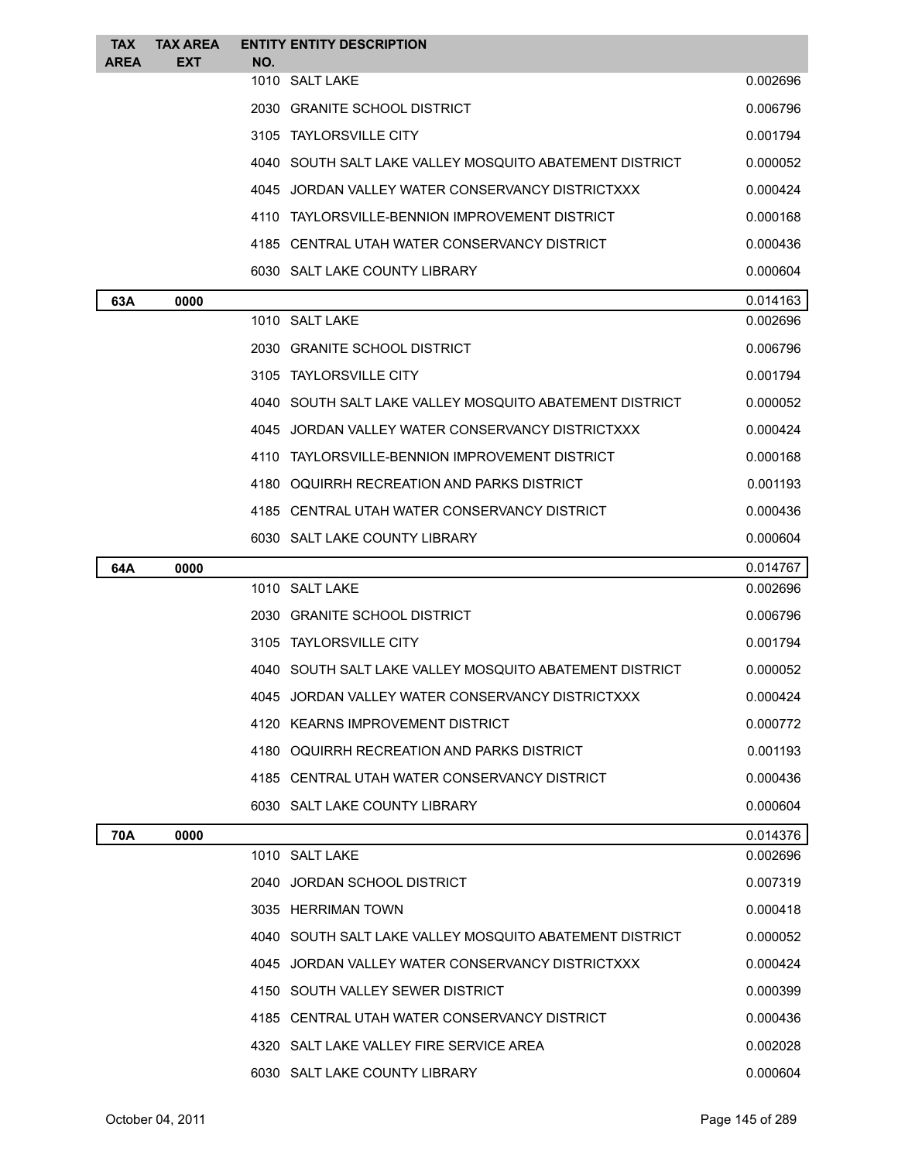| <b>TAX</b>  | <b>TAX AREA</b> | <b>ENTITY ENTITY DESCRIPTION</b>                        |                      |
|-------------|-----------------|---------------------------------------------------------|----------------------|
| <b>AREA</b> | <b>EXT</b>      | NO.<br>1010 SALT LAKE                                   | 0.002696             |
|             |                 | 2030 GRANITE SCHOOL DISTRICT                            | 0.006796             |
|             |                 | 3105 TAYLORSVILLE CITY                                  | 0.001794             |
|             |                 | 4040 SOUTH SALT LAKE VALLEY MOSQUITO ABATEMENT DISTRICT | 0.000052             |
|             |                 | 4045 JORDAN VALLEY WATER CONSERVANCY DISTRICTXXX        | 0.000424             |
|             |                 | 4110 TAYLORSVILLE-BENNION IMPROVEMENT DISTRICT          | 0.000168             |
|             |                 | 4185 CENTRAL UTAH WATER CONSERVANCY DISTRICT            | 0.000436             |
|             |                 | 6030 SALT LAKE COUNTY LIBRARY                           | 0.000604             |
|             |                 |                                                         |                      |
| 63A         | 0000            | 1010 SALT LAKE                                          | 0.014163<br>0.002696 |
|             |                 | 2030 GRANITE SCHOOL DISTRICT                            | 0.006796             |
|             |                 | 3105 TAYLORSVILLE CITY                                  | 0.001794             |
|             |                 | 4040 SOUTH SALT LAKE VALLEY MOSQUITO ABATEMENT DISTRICT | 0.000052             |
|             |                 | 4045 JORDAN VALLEY WATER CONSERVANCY DISTRICTXXX        | 0.000424             |
|             |                 | 4110 TAYLORSVILLE-BENNION IMPROVEMENT DISTRICT          | 0.000168             |
|             |                 | 4180 OQUIRRH RECREATION AND PARKS DISTRICT              | 0.001193             |
|             |                 | 4185 CENTRAL UTAH WATER CONSERVANCY DISTRICT            | 0.000436             |
|             |                 | 6030 SALT LAKE COUNTY LIBRARY                           | 0.000604             |
| 64A         | 0000            |                                                         | 0.014767             |
|             |                 | 1010 SALT LAKE                                          | 0.002696             |
|             |                 | 2030 GRANITE SCHOOL DISTRICT                            | 0.006796             |
|             |                 | 3105 TAYLORSVILLE CITY                                  | 0.001794             |
|             |                 | 4040 SOUTH SALT LAKE VALLEY MOSQUITO ABATEMENT DISTRICT | 0.000052             |
|             |                 | 4045 JORDAN VALLEY WATER CONSERVANCY DISTRICTXXX        | 0.000424             |
|             |                 | 4120 KEARNS IMPROVEMENT DISTRICT                        | 0.000772             |
|             |                 | 4180 OQUIRRH RECREATION AND PARKS DISTRICT              | 0.001193             |
|             |                 | 4185 CENTRAL UTAH WATER CONSERVANCY DISTRICT            | 0.000436             |
|             |                 | 6030 SALT LAKE COUNTY LIBRARY                           | 0.000604             |
| 70A         | 0000            |                                                         | 0.014376             |
|             |                 | 1010 SALT LAKE                                          | 0.002696             |
|             |                 | 2040 JORDAN SCHOOL DISTRICT                             | 0.007319             |
|             |                 | 3035 HERRIMAN TOWN                                      | 0.000418             |
|             |                 | 4040 SOUTH SALT LAKE VALLEY MOSQUITO ABATEMENT DISTRICT | 0.000052             |
|             |                 | 4045 JORDAN VALLEY WATER CONSERVANCY DISTRICTXXX        | 0.000424             |
|             |                 | 4150 SOUTH VALLEY SEWER DISTRICT                        | 0.000399             |
|             |                 | 4185 CENTRAL UTAH WATER CONSERVANCY DISTRICT            | 0.000436             |
|             |                 | 4320 SALT LAKE VALLEY FIRE SERVICE AREA                 | 0.002028             |
|             |                 | 6030 SALT LAKE COUNTY LIBRARY                           | 0.000604             |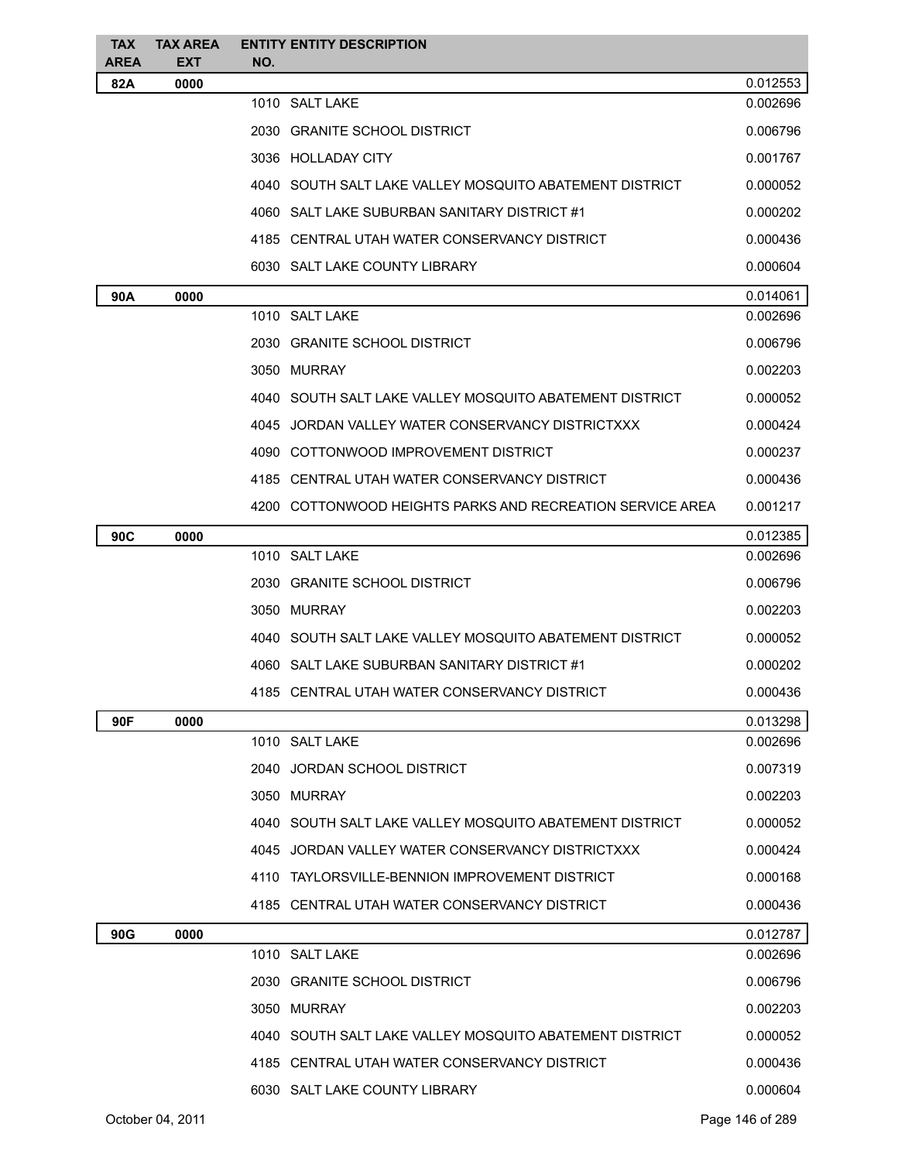| <b>TAX</b>  | <b>TAX AREA</b> |     | <b>ENTITY ENTITY DESCRIPTION</b>                          |                      |
|-------------|-----------------|-----|-----------------------------------------------------------|----------------------|
| <b>AREA</b> | <b>EXT</b>      | NO. |                                                           |                      |
| 82A         | 0000            |     |                                                           | 0.012553             |
|             |                 |     | 1010 SALT LAKE                                            | 0.002696             |
|             |                 |     | 2030 GRANITE SCHOOL DISTRICT                              | 0.006796             |
|             |                 |     | 3036 HOLLADAY CITY                                        | 0.001767             |
|             |                 |     | 4040 SOUTH SALT LAKE VALLEY MOSQUITO ABATEMENT DISTRICT   | 0.000052             |
|             |                 |     | 4060 SALT LAKE SUBURBAN SANITARY DISTRICT #1              | 0.000202             |
|             |                 |     | 4185 CENTRAL UTAH WATER CONSERVANCY DISTRICT              | 0.000436             |
|             |                 |     | 6030 SALT LAKE COUNTY LIBRARY                             | 0.000604             |
| 90A         | 0000            |     |                                                           | 0.014061             |
|             |                 |     | 1010 SALT LAKE                                            | 0.002696             |
|             |                 |     | 2030 GRANITE SCHOOL DISTRICT                              | 0.006796             |
|             |                 |     | 3050 MURRAY                                               | 0.002203             |
|             |                 |     | 4040 SOUTH SALT LAKE VALLEY MOSQUITO ABATEMENT DISTRICT   | 0.000052             |
|             |                 |     | 4045 JORDAN VALLEY WATER CONSERVANCY DISTRICTXXX          | 0.000424             |
|             |                 |     | 4090 COTTONWOOD IMPROVEMENT DISTRICT                      | 0.000237             |
|             |                 |     | 4185 CENTRAL UTAH WATER CONSERVANCY DISTRICT              | 0.000436             |
|             |                 |     | 4200 COTTONWOOD HEIGHTS PARKS AND RECREATION SERVICE AREA | 0.001217             |
| 90C         | 0000            |     |                                                           | 0.012385             |
|             |                 |     | 1010 SALT LAKE                                            | 0.002696             |
|             |                 |     | 2030 GRANITE SCHOOL DISTRICT                              | 0.006796             |
|             |                 |     | 3050 MURRAY                                               | 0.002203             |
|             |                 |     | 4040 SOUTH SALT LAKE VALLEY MOSQUITO ABATEMENT DISTRICT   | 0.000052             |
|             |                 |     | 4060 SALT LAKE SUBURBAN SANITARY DISTRICT #1              | 0.000202             |
|             |                 |     | 4185 CENTRAL UTAH WATER CONSERVANCY DISTRICT              | 0.000436             |
| 90F         | 0000            |     |                                                           | 0.013298             |
|             |                 |     | 1010 SALT LAKE                                            | 0.002696             |
|             |                 |     | 2040 JORDAN SCHOOL DISTRICT                               | 0.007319             |
|             |                 |     | 3050 MURRAY                                               | 0.002203             |
|             |                 |     | 4040   SOUTH SALT LAKE VALLEY MOSQUITO ABATEMENT DISTRICT | 0.000052             |
|             |                 |     | 4045 JORDAN VALLEY WATER CONSERVANCY DISTRICTXXX          | 0.000424             |
|             |                 |     | 4110 TAYLORSVILLE-BENNION IMPROVEMENT DISTRICT            | 0.000168             |
|             |                 |     |                                                           |                      |
|             |                 |     | 4185 CENTRAL UTAH WATER CONSERVANCY DISTRICT              | 0.000436             |
| 90G         | 0000            |     | 1010 SALT LAKE                                            | 0.012787<br>0.002696 |
|             |                 |     |                                                           |                      |
|             |                 |     | 2030 GRANITE SCHOOL DISTRICT                              | 0.006796             |
|             |                 |     | 3050 MURRAY                                               | 0.002203             |
|             |                 |     | 4040 SOUTH SALT LAKE VALLEY MOSQUITO ABATEMENT DISTRICT   | 0.000052             |
|             |                 |     | 4185 CENTRAL UTAH WATER CONSERVANCY DISTRICT              | 0.000436             |
|             |                 |     | 6030 SALT LAKE COUNTY LIBRARY                             | 0.000604             |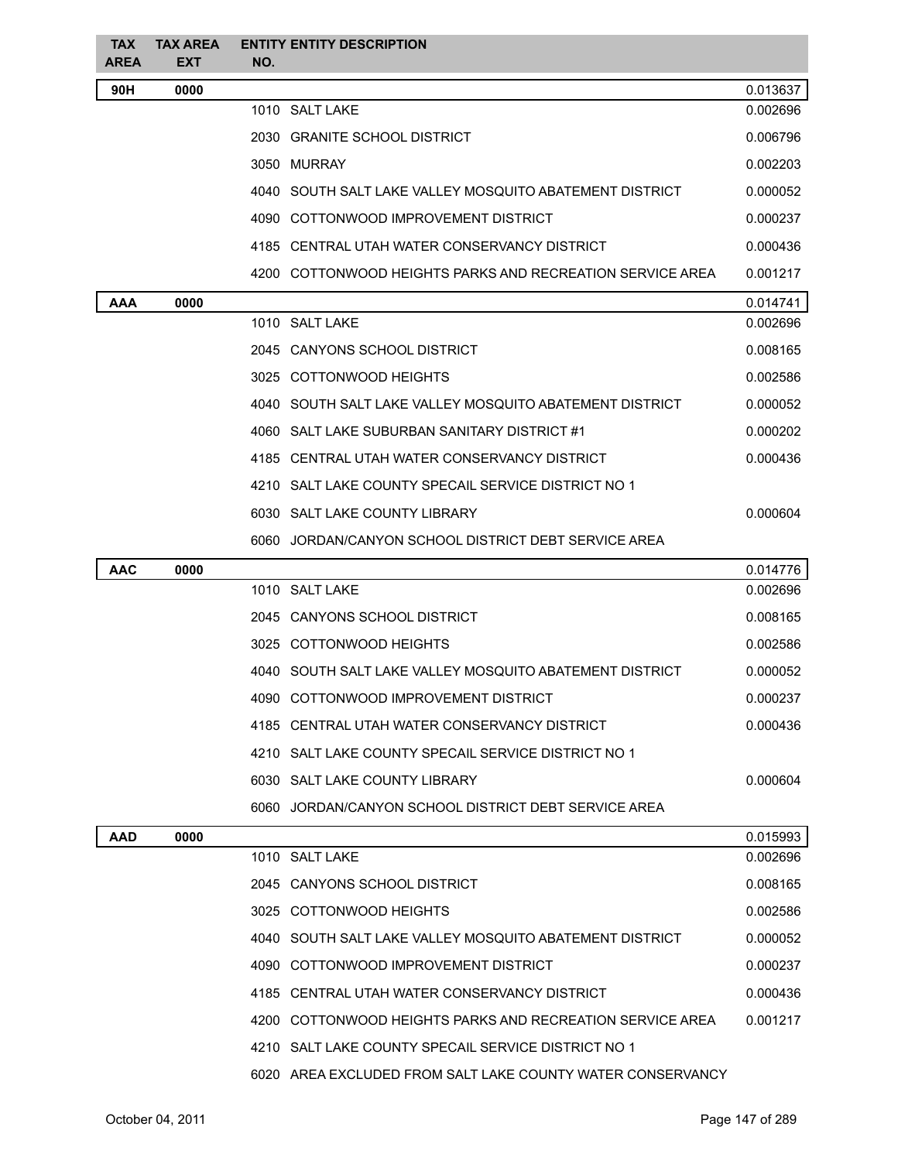| <b>TAX</b><br><b>AREA</b> | <b>TAX AREA</b><br><b>EXT</b> | <b>ENTITY ENTITY DESCRIPTION</b><br>NO.                    |          |
|---------------------------|-------------------------------|------------------------------------------------------------|----------|
| 90H                       | 0000                          |                                                            | 0.013637 |
|                           |                               | 1010 SALT LAKE                                             | 0.002696 |
|                           |                               | 2030 GRANITE SCHOOL DISTRICT                               | 0.006796 |
|                           |                               | 3050 MURRAY                                                | 0.002203 |
|                           |                               | 4040 SOUTH SALT LAKE VALLEY MOSQUITO ABATEMENT DISTRICT    | 0.000052 |
|                           |                               | 4090 COTTONWOOD IMPROVEMENT DISTRICT                       | 0.000237 |
|                           |                               | 4185 CENTRAL UTAH WATER CONSERVANCY DISTRICT               | 0.000436 |
|                           |                               | 4200 COTTONWOOD HEIGHTS PARKS AND RECREATION SERVICE AREA  | 0.001217 |
| AAA                       | 0000                          |                                                            | 0.014741 |
|                           |                               | 1010 SALT LAKE                                             | 0.002696 |
|                           |                               | 2045 CANYONS SCHOOL DISTRICT                               | 0.008165 |
|                           |                               | 3025 COTTONWOOD HEIGHTS                                    | 0.002586 |
|                           |                               | 4040 SOUTH SALT LAKE VALLEY MOSQUITO ABATEMENT DISTRICT    | 0.000052 |
|                           |                               | 4060 SALT LAKE SUBURBAN SANITARY DISTRICT #1               | 0.000202 |
|                           |                               | 4185 CENTRAL UTAH WATER CONSERVANCY DISTRICT               | 0.000436 |
|                           |                               | 4210 SALT LAKE COUNTY SPECAIL SERVICE DISTRICT NO 1        |          |
|                           |                               | 6030 SALT LAKE COUNTY LIBRARY                              | 0.000604 |
|                           |                               | 6060 JORDAN/CANYON SCHOOL DISTRICT DEBT SERVICE AREA       |          |
| <b>AAC</b>                | 0000                          |                                                            | 0.014776 |
|                           |                               | 1010 SALT LAKE                                             | 0.002696 |
|                           |                               | 2045 CANYONS SCHOOL DISTRICT                               | 0.008165 |
|                           |                               | 3025 COTTONWOOD HEIGHTS                                    | 0.002586 |
|                           |                               | 4040 SOUTH SALT LAKE VALLEY MOSQUITO ABATEMENT DISTRICT    | 0.000052 |
|                           |                               | 4090 COTTONWOOD IMPROVEMENT DISTRICT                       | 0.000237 |
|                           |                               | 4185 CENTRAL UTAH WATER CONSERVANCY DISTRICT               | 0.000436 |
|                           |                               | 4210 SALT LAKE COUNTY SPECAIL SERVICE DISTRICT NO 1        |          |
|                           |                               | 6030 SALT LAKE COUNTY LIBRARY                              | 0.000604 |
|                           |                               | 6060 JORDAN/CANYON SCHOOL DISTRICT DEBT SERVICE AREA       |          |
| <b>AAD</b>                | 0000                          |                                                            | 0.015993 |
|                           |                               | 1010 SALT LAKE                                             | 0.002696 |
|                           |                               | 2045 CANYONS SCHOOL DISTRICT                               | 0.008165 |
|                           |                               | 3025 COTTONWOOD HEIGHTS                                    | 0.002586 |
|                           |                               | 4040 SOUTH SALT LAKE VALLEY MOSQUITO ABATEMENT DISTRICT    | 0.000052 |
|                           |                               | 4090 COTTONWOOD IMPROVEMENT DISTRICT                       | 0.000237 |
|                           |                               | 4185 CENTRAL UTAH WATER CONSERVANCY DISTRICT               | 0.000436 |
|                           |                               | 4200 COTTONWOOD HEIGHTS PARKS AND RECREATION SERVICE AREA  | 0.001217 |
|                           |                               | 4210 SALT LAKE COUNTY SPECAIL SERVICE DISTRICT NO 1        |          |
|                           |                               | 6020 AREA EXCLUDED FROM SALT LAKE COUNTY WATER CONSERVANCY |          |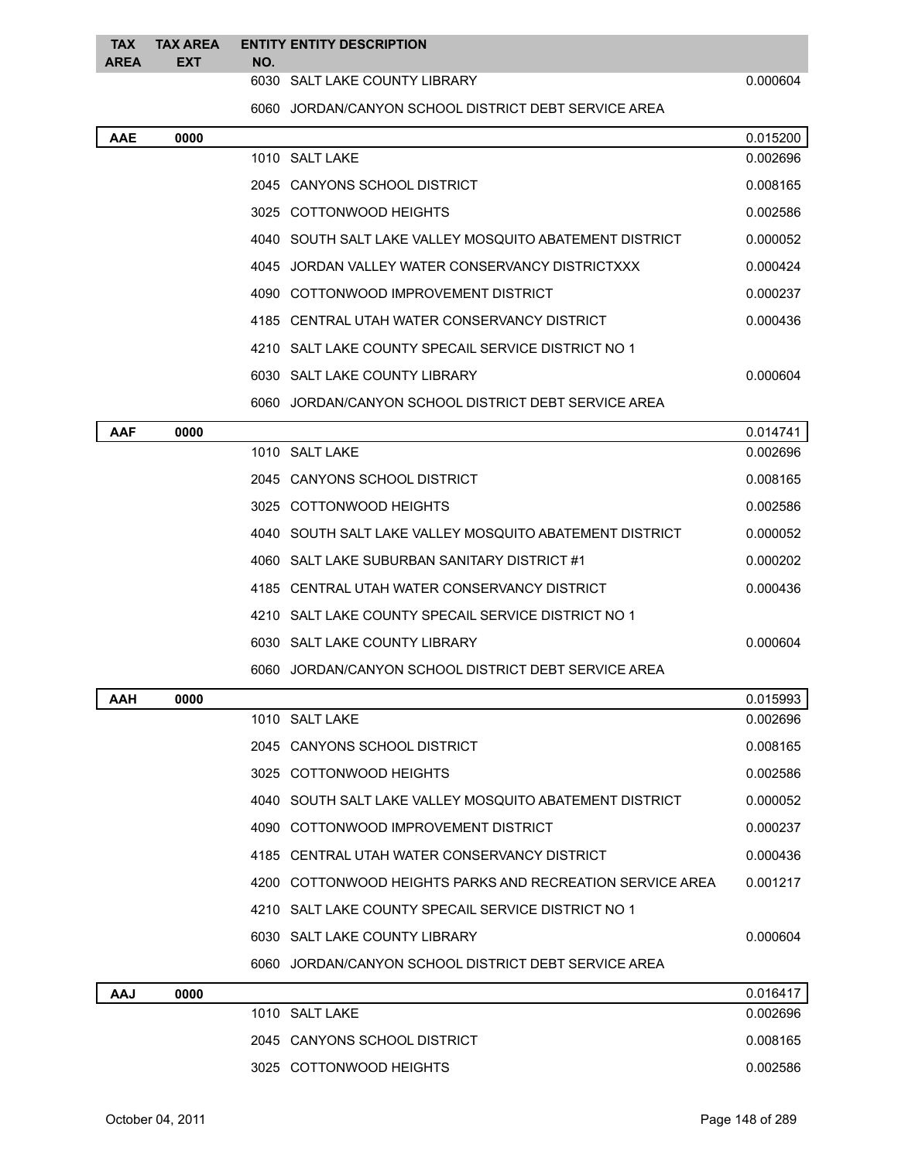**TAX TAX AREA ENTITY ENTITY DESCRIPTION NO.**

**AREA**

**EXT**

6030 SALT LAKE COUNTY LIBRARY 0.000604

JORDAN/CANYON SCHOOL DISTRICT DEBT SERVICE AREA

| <b>AAE</b> | 0000 |                                                      |                                                           | 0.015200 |
|------------|------|------------------------------------------------------|-----------------------------------------------------------|----------|
|            |      | 1010 SALT LAKE                                       |                                                           | 0.002696 |
|            |      | 2045 CANYONS SCHOOL DISTRICT                         |                                                           | 0.008165 |
|            |      | 3025 COTTONWOOD HEIGHTS                              |                                                           | 0.002586 |
|            |      |                                                      | 4040 SOUTH SALT LAKE VALLEY MOSQUITO ABATEMENT DISTRICT   | 0.000052 |
|            |      | 4045 JORDAN VALLEY WATER CONSERVANCY DISTRICTXXX     |                                                           | 0.000424 |
|            |      | 4090 COTTONWOOD IMPROVEMENT DISTRICT                 |                                                           | 0.000237 |
|            |      | 4185 CENTRAL UTAH WATER CONSERVANCY DISTRICT         |                                                           | 0.000436 |
|            |      | 4210 SALT LAKE COUNTY SPECAIL SERVICE DISTRICT NO 1  |                                                           |          |
|            |      | 6030 SALT LAKE COUNTY LIBRARY                        |                                                           | 0.000604 |
|            |      | 6060 JORDAN/CANYON SCHOOL DISTRICT DEBT SERVICE AREA |                                                           |          |
| AAF        | 0000 |                                                      |                                                           | 0.014741 |
|            |      | 1010 SALT LAKE                                       |                                                           | 0.002696 |
|            |      | 2045 CANYONS SCHOOL DISTRICT                         |                                                           | 0.008165 |
|            |      | 3025 COTTONWOOD HEIGHTS                              |                                                           | 0.002586 |
|            |      |                                                      | 4040 SOUTH SALT LAKE VALLEY MOSQUITO ABATEMENT DISTRICT   | 0.000052 |
|            |      | 4060 SALT LAKE SUBURBAN SANITARY DISTRICT #1         |                                                           | 0.000202 |
|            |      | 4185 CENTRAL UTAH WATER CONSERVANCY DISTRICT         |                                                           | 0.000436 |
|            |      | 4210 SALT LAKE COUNTY SPECAIL SERVICE DISTRICT NO 1  |                                                           |          |
|            |      | 6030 SALT LAKE COUNTY LIBRARY                        |                                                           | 0.000604 |
|            |      | 6060 JORDAN/CANYON SCHOOL DISTRICT DEBT SERVICE AREA |                                                           |          |
| AAH        | 0000 |                                                      |                                                           | 0.015993 |
|            |      | 1010 SALT LAKE                                       |                                                           | 0.002696 |
|            |      | 2045 CANYONS SCHOOL DISTRICT                         |                                                           | 0.008165 |
|            |      | 3025 COTTONWOOD HEIGHTS                              |                                                           | 0.002586 |
|            |      |                                                      | 4040 SOUTH SALT LAKE VALLEY MOSQUITO ABATEMENT DISTRICT   | 0.000052 |
|            |      | 4090 COTTONWOOD IMPROVEMENT DISTRICT                 |                                                           | 0.000237 |
|            |      | 4185 CENTRAL UTAH WATER CONSERVANCY DISTRICT         |                                                           | 0.000436 |
|            |      |                                                      | 4200 COTTONWOOD HEIGHTS PARKS AND RECREATION SERVICE AREA | 0.001217 |
|            |      | 4210 SALT LAKE COUNTY SPECAIL SERVICE DISTRICT NO 1  |                                                           |          |
|            |      | 6030 SALT LAKE COUNTY LIBRARY                        |                                                           | 0.000604 |
|            |      | 6060 JORDAN/CANYON SCHOOL DISTRICT DEBT SERVICE AREA |                                                           |          |
| <b>AAJ</b> | 0000 |                                                      |                                                           | 0.016417 |
|            |      | 1010 SALT LAKE                                       |                                                           | 0.002696 |
|            |      | 2045 CANYONS SCHOOL DISTRICT                         |                                                           | 0.008165 |
|            |      | 3025 COTTONWOOD HEIGHTS                              |                                                           | 0.002586 |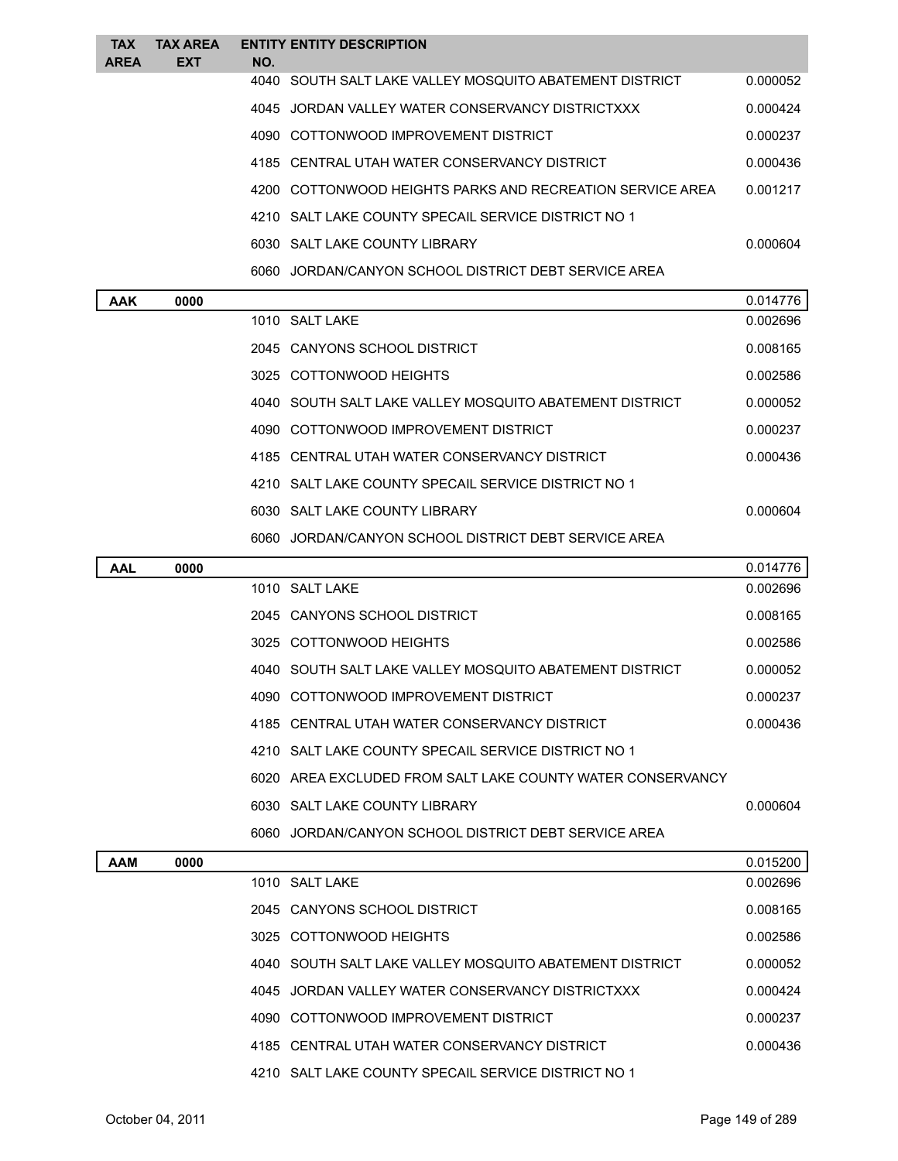| <b>TAX</b><br><b>AREA</b> | <b>TAX AREA</b><br><b>EXT</b> | <b>ENTITY ENTITY DESCRIPTION</b><br>NO.                   |          |
|---------------------------|-------------------------------|-----------------------------------------------------------|----------|
|                           |                               | 4040 SOUTH SALT LAKE VALLEY MOSQUITO ABATEMENT DISTRICT   | 0.000052 |
|                           |                               | 4045 JORDAN VALLEY WATER CONSERVANCY DISTRICTXXX          | 0.000424 |
|                           |                               | 4090 COTTONWOOD IMPROVEMENT DISTRICT                      | 0.000237 |
|                           |                               | 4185 CENTRAL UTAH WATER CONSERVANCY DISTRICT              | 0.000436 |
|                           |                               | 4200 COTTONWOOD HEIGHTS PARKS AND RECREATION SERVICE AREA | 0.001217 |
|                           |                               | 4210 SALT LAKE COUNTY SPECAIL SERVICE DISTRICT NO 1       |          |
|                           |                               | 6030 SALT LAKE COUNTY LIBRARY                             | 0.000604 |
|                           |                               | 6060 JORDAN/CANYON SCHOOL DISTRICT DEBT SERVICE AREA      |          |
| <b>AAK</b>                | 0000                          |                                                           | 0.014776 |
|                           |                               | 1010 SALT LAKE                                            | 0.002696 |
|                           |                               | 2045 CANYONS SCHOOL DISTRICT                              | 0.008165 |
|                           |                               | 3025 COTTONWOOD HEIGHTS                                   | 0.002586 |
|                           |                               | 4040 SOUTH SALT LAKE VALLEY MOSQUITO ABATEMENT DISTRICT   | 0.000052 |
|                           |                               | 4090 COTTONWOOD IMPROVEMENT DISTRICT                      | 0.000237 |
|                           |                               | 4185 CENTRAL UTAH WATER CONSERVANCY DISTRICT              | 0.000436 |
|                           |                               | 4210 SALT LAKE COUNTY SPECAIL SERVICE DISTRICT NO 1       |          |

|            |      | 6060 JORDAN/CANYON SCHOOL DISTRICT DEBT SERVICE AREA       |          |
|------------|------|------------------------------------------------------------|----------|
| <b>AAL</b> | 0000 |                                                            | 0.014776 |
|            |      | 1010 SALT LAKE                                             | 0.002696 |
|            |      | 2045 CANYONS SCHOOL DISTRICT                               | 0.008165 |
|            |      | 3025 COTTONWOOD HEIGHTS                                    | 0.002586 |
|            |      | 4040 SOUTH SALT LAKE VALLEY MOSQUITO ABATEMENT DISTRICT    | 0.000052 |
|            |      | 4090 COTTONWOOD IMPROVEMENT DISTRICT                       | 0.000237 |
|            |      | 4185 CENTRAL UTAH WATER CONSERVANCY DISTRICT               | 0.000436 |
|            |      | 4210 SALT LAKE COUNTY SPECAIL SERVICE DISTRICT NO 1        |          |
|            |      | 6020 AREA EXCLUDED FROM SALT LAKE COUNTY WATER CONSERVANCY |          |
|            |      | 6030 SALT LAKE COUNTY LIBRARY                              | 0.000604 |
|            |      | 6060 JORDAN/CANYON SCHOOL DISTRICT DEBT SERVICE AREA       |          |
|            |      |                                                            |          |

6030 SALT LAKE COUNTY LIBRARY 0.000604

| <b>AAM</b> | 0000 |                                                         | 0.015200 |
|------------|------|---------------------------------------------------------|----------|
|            |      | 1010 SALT LAKE                                          | 0.002696 |
|            |      | 2045 CANYONS SCHOOL DISTRICT                            | 0.008165 |
|            |      | 3025 COTTONWOOD HEIGHTS                                 | 0.002586 |
|            |      | 4040 SOUTH SALT LAKE VALLEY MOSQUITO ABATEMENT DISTRICT | 0.000052 |
|            |      | 4045 JORDAN VALLEY WATER CONSERVANCY DISTRICTXXX        | 0.000424 |
|            |      | 4090 COTTONWOOD IMPROVEMENT DISTRICT                    | 0.000237 |
|            |      | 4185 CENTRAL UTAH WATER CONSERVANCY DISTRICT            | 0.000436 |
|            |      | 4210 SALT LAKE COUNTY SPECAIL SERVICE DISTRICT NO 1     |          |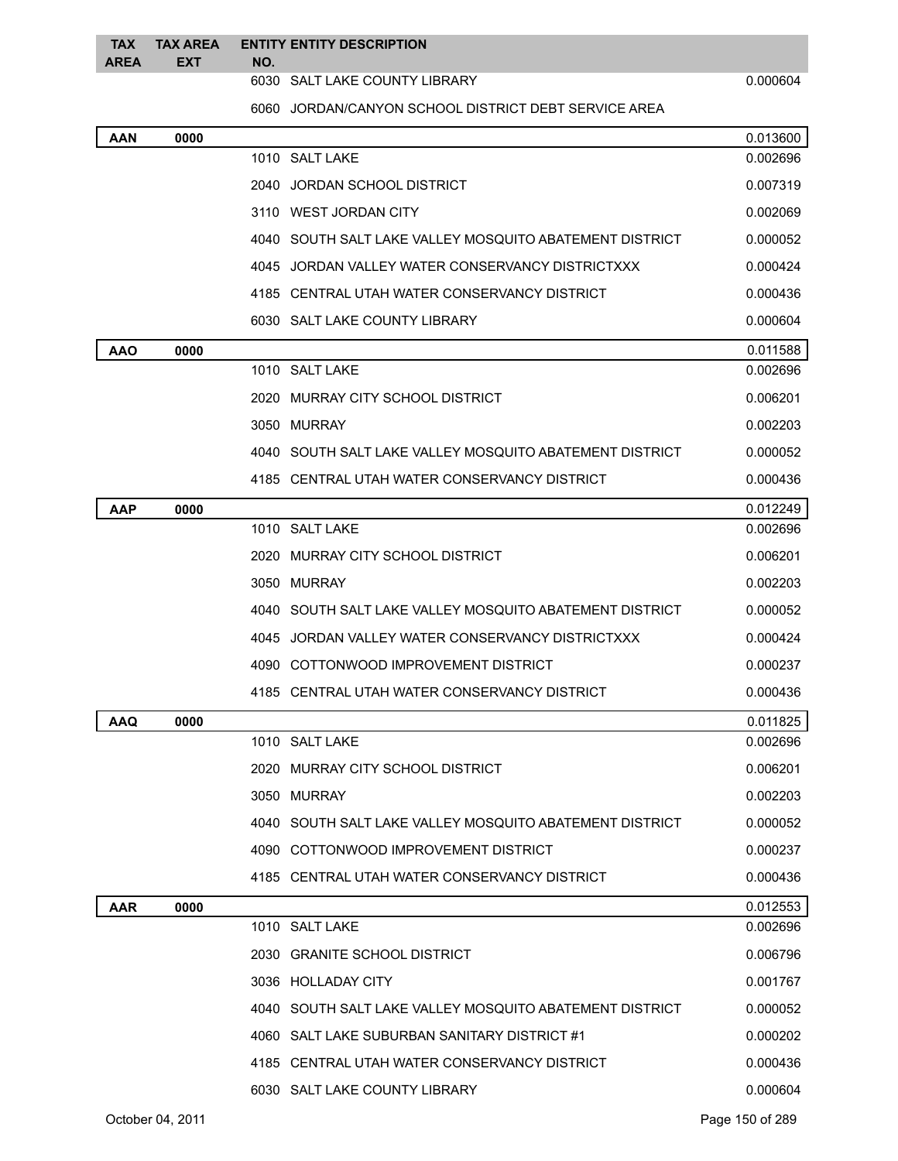**TAX TAX AREA ENTITY ENTITY DESCRIPTION EXT NO.**

**AREA**

6030 SALT LAKE COUNTY LIBRARY 0.000604

JORDAN/CANYON SCHOOL DISTRICT DEBT SERVICE AREA

| AAN        | 0000 |                                                         | 0.013600 |
|------------|------|---------------------------------------------------------|----------|
|            |      | 1010 SALT LAKE                                          | 0.002696 |
|            |      | 2040 JORDAN SCHOOL DISTRICT                             | 0.007319 |
|            |      | 3110 WEST JORDAN CITY                                   | 0.002069 |
|            |      | 4040 SOUTH SALT LAKE VALLEY MOSQUITO ABATEMENT DISTRICT | 0.000052 |
|            |      | 4045 JORDAN VALLEY WATER CONSERVANCY DISTRICTXXX        | 0.000424 |
|            |      | 4185 CENTRAL UTAH WATER CONSERVANCY DISTRICT            | 0.000436 |
|            |      | 6030 SALT LAKE COUNTY LIBRARY                           | 0.000604 |
| <b>AAO</b> | 0000 |                                                         | 0.011588 |
|            |      | 1010 SALT LAKE                                          | 0.002696 |
|            |      | 2020 MURRAY CITY SCHOOL DISTRICT                        | 0.006201 |
|            |      | 3050 MURRAY                                             | 0.002203 |
|            |      | 4040 SOUTH SALT LAKE VALLEY MOSQUITO ABATEMENT DISTRICT | 0.000052 |
|            |      | 4185 CENTRAL UTAH WATER CONSERVANCY DISTRICT            | 0.000436 |
| AAP        | 0000 |                                                         | 0.012249 |
|            |      | 1010 SALT LAKE                                          | 0.002696 |
|            |      | 2020 MURRAY CITY SCHOOL DISTRICT                        | 0.006201 |
|            |      | 3050 MURRAY                                             | 0.002203 |
|            |      | 4040 SOUTH SALT LAKE VALLEY MOSQUITO ABATEMENT DISTRICT | 0.000052 |
|            |      | 4045 JORDAN VALLEY WATER CONSERVANCY DISTRICTXXX        | 0.000424 |
|            |      | 4090 COTTONWOOD IMPROVEMENT DISTRICT                    | 0.000237 |
|            |      | 4185 CENTRAL UTAH WATER CONSERVANCY DISTRICT            | 0.000436 |
| <b>AAQ</b> | 0000 |                                                         | 0.011825 |
|            |      | 1010 SALT LAKE                                          | 0.002696 |
|            |      | 2020 MURRAY CITY SCHOOL DISTRICT                        | 0.006201 |
|            |      | 3050 MURRAY                                             | 0.002203 |
|            |      | 4040 SOUTH SALT LAKE VALLEY MOSQUITO ABATEMENT DISTRICT | 0.000052 |
|            |      | 4090 COTTONWOOD IMPROVEMENT DISTRICT                    | 0.000237 |
|            |      | 4185 CENTRAL UTAH WATER CONSERVANCY DISTRICT            | 0.000436 |
| AAR        | 0000 |                                                         | 0.012553 |
|            |      | 1010 SALT LAKE                                          | 0.002696 |
|            |      | 2030 GRANITE SCHOOL DISTRICT                            | 0.006796 |
|            |      | 3036 HOLLADAY CITY                                      | 0.001767 |
|            |      | 4040 SOUTH SALT LAKE VALLEY MOSQUITO ABATEMENT DISTRICT | 0.000052 |
|            |      | 4060 SALT LAKE SUBURBAN SANITARY DISTRICT #1            | 0.000202 |
|            |      | 4185 CENTRAL UTAH WATER CONSERVANCY DISTRICT            | 0.000436 |
|            |      | 6030 SALT LAKE COUNTY LIBRARY                           | 0.000604 |
|            |      |                                                         |          |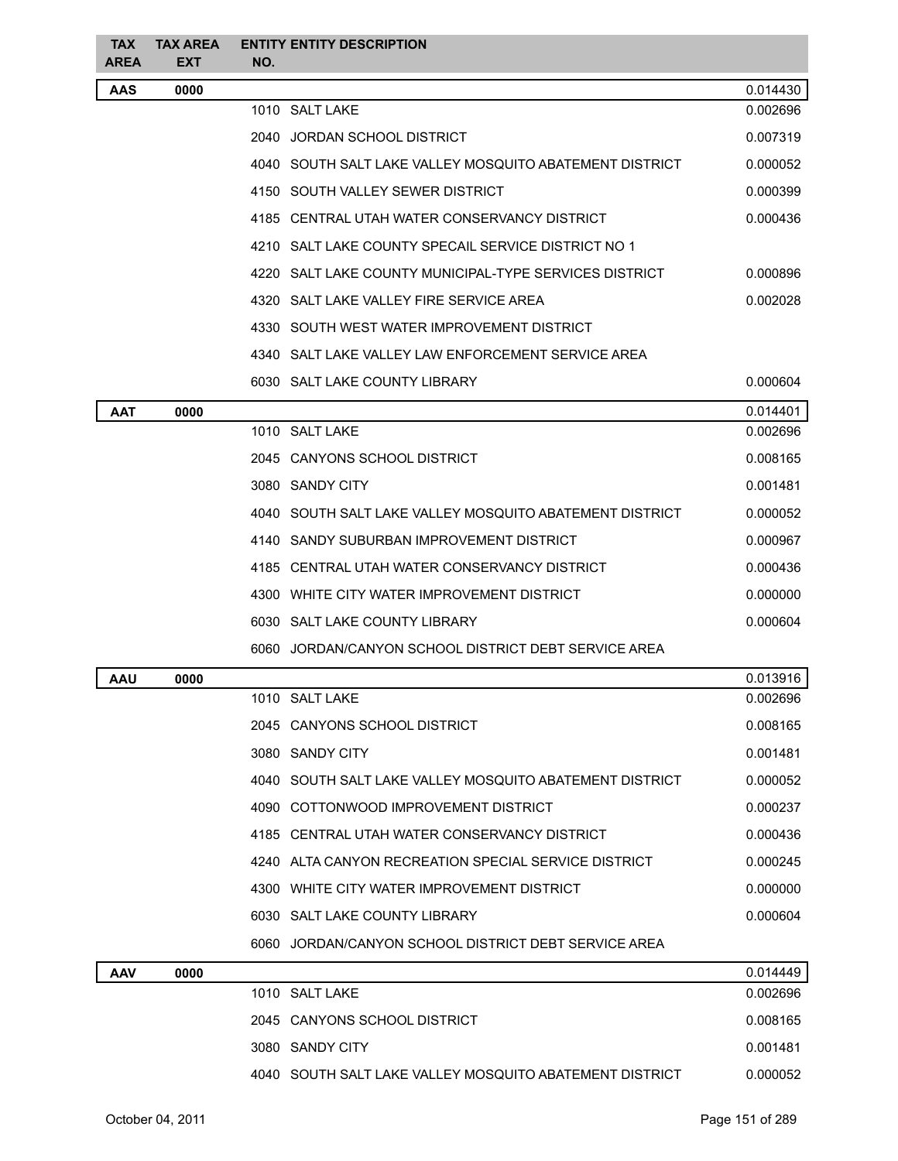| <b>TAX</b><br><b>AREA</b> | <b>TAX AREA</b><br><b>EXT</b> | <b>ENTITY ENTITY DESCRIPTION</b><br>NO.                 |          |
|---------------------------|-------------------------------|---------------------------------------------------------|----------|
| <b>AAS</b>                | 0000                          |                                                         | 0.014430 |
|                           |                               | 1010 SALT LAKE                                          | 0.002696 |
|                           |                               | 2040 JORDAN SCHOOL DISTRICT                             | 0.007319 |
|                           |                               | 4040 SOUTH SALT LAKE VALLEY MOSQUITO ABATEMENT DISTRICT | 0.000052 |
|                           |                               | 4150 SOUTH VALLEY SEWER DISTRICT                        | 0.000399 |
|                           |                               | 4185 CENTRAL UTAH WATER CONSERVANCY DISTRICT            | 0.000436 |
|                           |                               | 4210 SALT LAKE COUNTY SPECAIL SERVICE DISTRICT NO 1     |          |
|                           |                               | 4220 SALT LAKE COUNTY MUNICIPAL-TYPE SERVICES DISTRICT  | 0.000896 |
|                           |                               | 4320 SALT LAKE VALLEY FIRE SERVICE AREA                 | 0.002028 |
|                           |                               | 4330 SOUTH WEST WATER IMPROVEMENT DISTRICT              |          |
|                           |                               | 4340 SALT LAKE VALLEY LAW ENFORCEMENT SERVICE AREA      |          |
|                           |                               | 6030 SALT LAKE COUNTY LIBRARY                           | 0.000604 |
| <b>AAT</b>                | 0000                          |                                                         | 0.014401 |
|                           |                               | 1010 SALT LAKE                                          | 0.002696 |
|                           |                               | 2045 CANYONS SCHOOL DISTRICT                            | 0.008165 |
|                           |                               | 3080 SANDY CITY                                         | 0.001481 |
|                           |                               | 4040 SOUTH SALT LAKE VALLEY MOSQUITO ABATEMENT DISTRICT | 0.000052 |
|                           |                               | 4140 SANDY SUBURBAN IMPROVEMENT DISTRICT                | 0.000967 |
|                           |                               | 4185 CENTRAL UTAH WATER CONSERVANCY DISTRICT            | 0.000436 |
|                           |                               | 4300 WHITE CITY WATER IMPROVEMENT DISTRICT              | 0.000000 |
|                           |                               | 6030 SALT LAKE COUNTY LIBRARY                           | 0.000604 |
|                           |                               | 6060 JORDAN/CANYON SCHOOL DISTRICT DEBT SERVICE AREA    |          |
| <b>AAU</b>                | 0000                          |                                                         | 0.013916 |
|                           |                               | 1010 SALT LAKE                                          | 0.002696 |
|                           |                               | 2045 CANYONS SCHOOL DISTRICT                            | 0.008165 |
|                           |                               | 3080 SANDY CITY                                         | 0.001481 |
|                           |                               | 4040 SOUTH SALT LAKE VALLEY MOSQUITO ABATEMENT DISTRICT | 0.000052 |
|                           |                               | 4090 COTTONWOOD IMPROVEMENT DISTRICT                    | 0.000237 |
|                           |                               | 4185 CENTRAL UTAH WATER CONSERVANCY DISTRICT            | 0.000436 |
|                           |                               | 4240 ALTA CANYON RECREATION SPECIAL SERVICE DISTRICT    | 0.000245 |
|                           |                               | 4300 WHITE CITY WATER IMPROVEMENT DISTRICT              | 0.000000 |
|                           |                               | 6030 SALT LAKE COUNTY LIBRARY                           | 0.000604 |
|                           |                               | 6060 JORDAN/CANYON SCHOOL DISTRICT DEBT SERVICE AREA    |          |
| <b>AAV</b>                | 0000                          |                                                         | 0.014449 |
|                           |                               | 1010 SALT LAKE                                          | 0.002696 |
|                           |                               | 2045 CANYONS SCHOOL DISTRICT                            | 0.008165 |
|                           |                               | 3080 SANDY CITY                                         | 0.001481 |
|                           |                               | 4040 SOUTH SALT LAKE VALLEY MOSQUITO ABATEMENT DISTRICT | 0.000052 |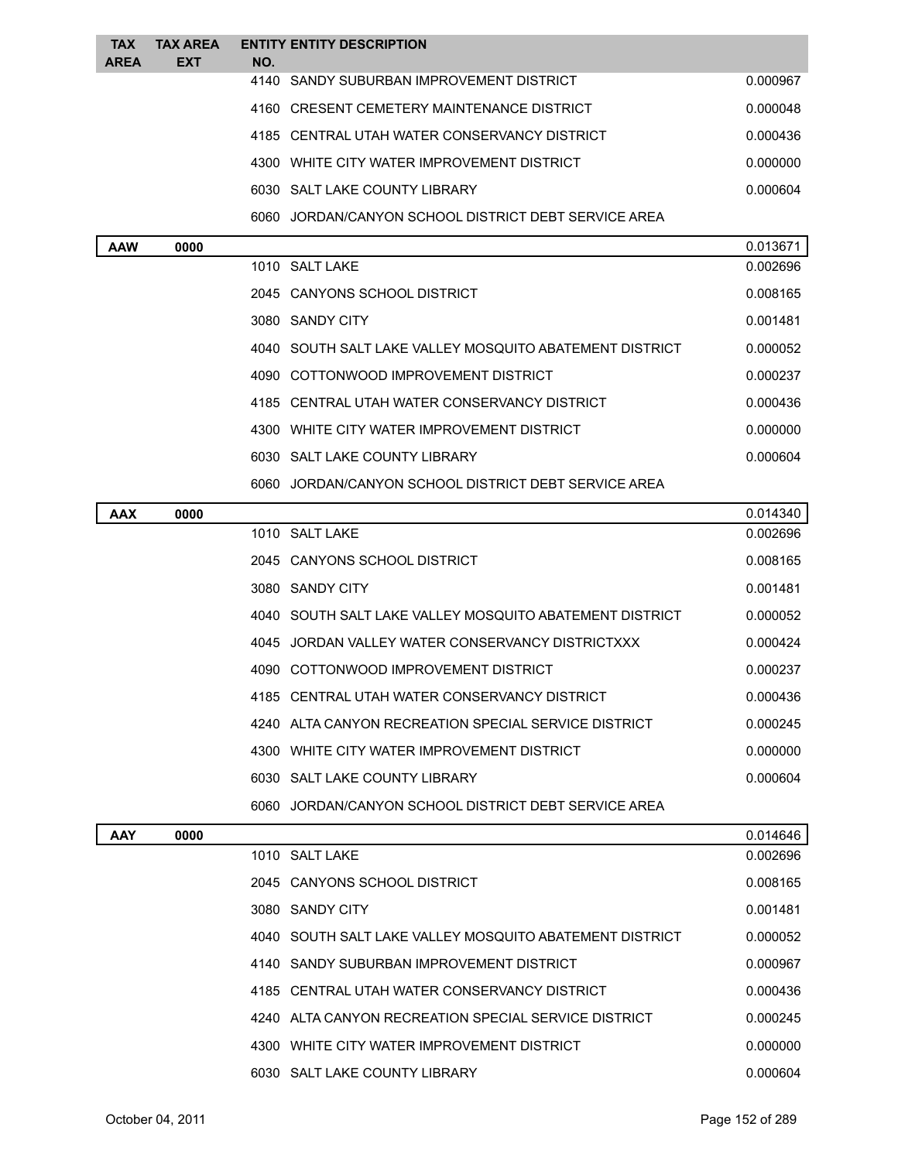| <b>TAX</b><br><b>AREA</b> | <b>TAX AREA</b><br><b>EXT</b> | <b>ENTITY ENTITY DESCRIPTION</b><br>NO.                 |          |
|---------------------------|-------------------------------|---------------------------------------------------------|----------|
|                           |                               | 4140 SANDY SUBURBAN IMPROVEMENT DISTRICT                | 0.000967 |
|                           |                               | 4160 CRESENT CEMETERY MAINTENANCE DISTRICT              | 0.000048 |
|                           |                               | 4185 CENTRAL UTAH WATER CONSERVANCY DISTRICT            | 0.000436 |
|                           |                               | 4300 WHITE CITY WATER IMPROVEMENT DISTRICT              | 0.000000 |
|                           |                               | 6030 SALT LAKE COUNTY LIBRARY                           | 0.000604 |
|                           |                               | 6060 JORDAN/CANYON SCHOOL DISTRICT DEBT SERVICE AREA    |          |
| <b>AAW</b>                | 0000                          |                                                         | 0.013671 |
|                           |                               | 1010 SALT LAKE                                          | 0.002696 |
|                           |                               | 2045 CANYONS SCHOOL DISTRICT                            | 0.008165 |
|                           |                               | 3080 SANDY CITY                                         | 0.001481 |
|                           |                               | 4040 SOUTH SALT LAKE VALLEY MOSQUITO ABATEMENT DISTRICT | 0.000052 |
|                           |                               | 4090 COTTONWOOD IMPROVEMENT DISTRICT                    | 0.000237 |
|                           |                               | 4185 CENTRAL UTAH WATER CONSERVANCY DISTRICT            | 0.000436 |
|                           |                               | 4300 WHITE CITY WATER IMPROVEMENT DISTRICT              | 0.000000 |
|                           |                               | 6030 SALT LAKE COUNTY LIBRARY                           | 0.000604 |
|                           |                               | 6060 JORDAN/CANYON SCHOOL DISTRICT DEBT SERVICE AREA    |          |
| AAX                       | 0000                          |                                                         | 0.014340 |
|                           |                               | 1010 SALT LAKE                                          | 0.002696 |
|                           |                               | 2045 CANYONS SCHOOL DISTRICT                            | 0.008165 |
|                           |                               | 3080 SANDY CITY                                         | 0.001481 |
|                           |                               | 4040 SOUTH SALT LAKE VALLEY MOSQUITO ABATEMENT DISTRICT | 0.000052 |
|                           |                               | 4045 JORDAN VALLEY WATER CONSERVANCY DISTRICTXXX        | 0.000424 |
|                           |                               | 4090 COTTONWOOD IMPROVEMENT DISTRICT                    | 0.000237 |
|                           |                               | 4185 CENTRAL UTAH WATER CONSERVANCY DISTRICT            | 0.000436 |
|                           |                               | 4240 ALTA CANYON RECREATION SPECIAL SERVICE DISTRICT    | 0.000245 |
|                           |                               | 4300 WHITE CITY WATER IMPROVEMENT DISTRICT              | 0.000000 |
|                           |                               | 6030 SALT LAKE COUNTY LIBRARY                           | 0.000604 |
|                           |                               | 6060 JORDAN/CANYON SCHOOL DISTRICT DEBT SERVICE AREA    |          |
| <b>AAY</b>                | 0000                          |                                                         | 0.014646 |
|                           |                               | 1010 SALT LAKE                                          | 0.002696 |
|                           |                               | 2045 CANYONS SCHOOL DISTRICT                            | 0.008165 |
|                           |                               | 3080 SANDY CITY                                         | 0.001481 |
|                           |                               | 4040 SOUTH SALT LAKE VALLEY MOSQUITO ABATEMENT DISTRICT | 0.000052 |
|                           |                               | 4140 SANDY SUBURBAN IMPROVEMENT DISTRICT                | 0.000967 |
|                           |                               | 4185 CENTRAL UTAH WATER CONSERVANCY DISTRICT            | 0.000436 |
|                           |                               | 4240 ALTA CANYON RECREATION SPECIAL SERVICE DISTRICT    | 0.000245 |
|                           |                               | 4300 WHITE CITY WATER IMPROVEMENT DISTRICT              | 0.000000 |
|                           |                               | 6030 SALT LAKE COUNTY LIBRARY                           | 0.000604 |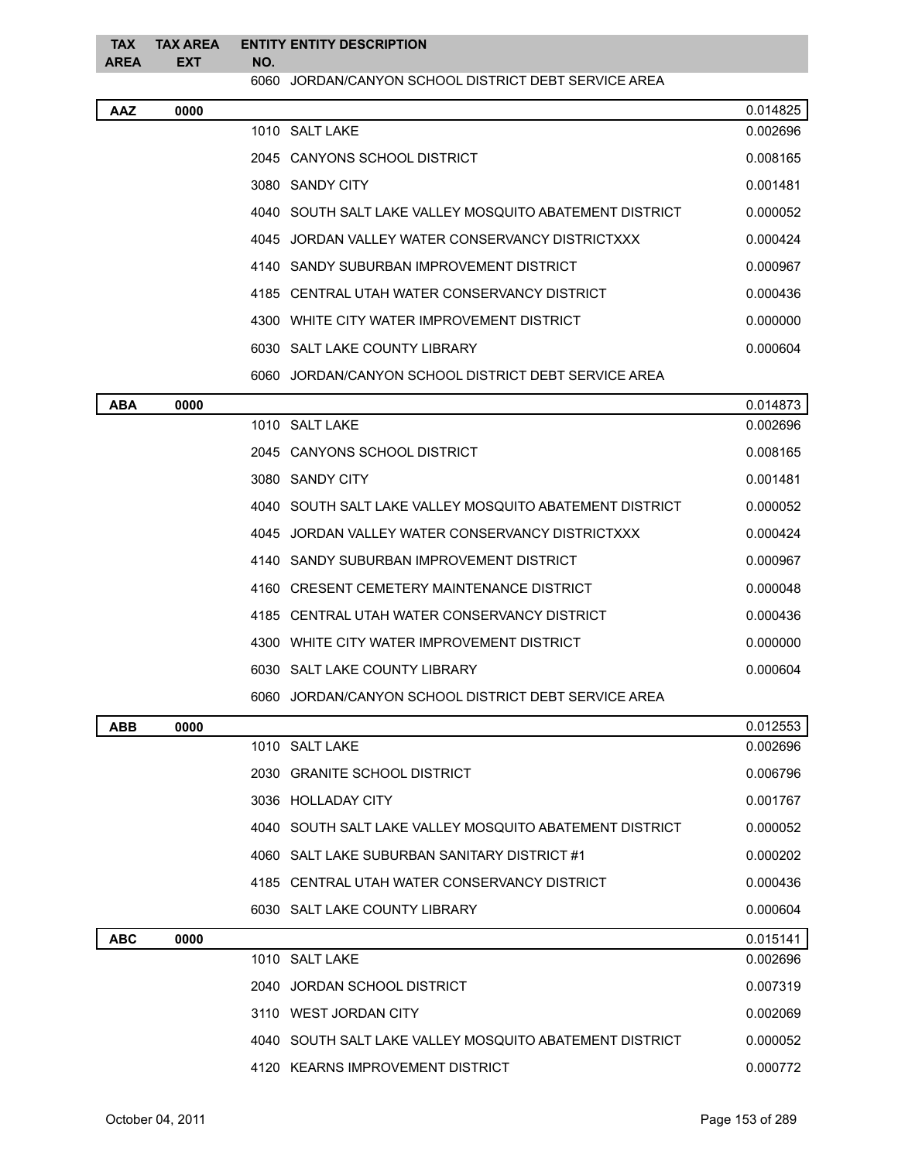| <b>TAX</b><br><b>AREA</b> | <b>TAX AREA</b><br><b>EXT</b> | NO. | <b>ENTITY ENTITY DESCRIPTION</b>                        |          |
|---------------------------|-------------------------------|-----|---------------------------------------------------------|----------|
|                           |                               |     | 6060 JORDAN/CANYON SCHOOL DISTRICT DEBT SERVICE AREA    |          |
| <b>AAZ</b>                | 0000                          |     |                                                         | 0.014825 |
|                           |                               |     | 1010 SALT LAKE                                          | 0.002696 |
|                           |                               |     | 2045 CANYONS SCHOOL DISTRICT                            | 0.008165 |
|                           |                               |     | 3080 SANDY CITY                                         | 0.001481 |
|                           |                               |     | 4040 SOUTH SALT LAKE VALLEY MOSQUITO ABATEMENT DISTRICT | 0.000052 |
|                           |                               |     | 4045 JORDAN VALLEY WATER CONSERVANCY DISTRICTXXX        | 0.000424 |
|                           |                               |     | 4140 SANDY SUBURBAN IMPROVEMENT DISTRICT                | 0.000967 |
|                           |                               |     | 4185 CENTRAL UTAH WATER CONSERVANCY DISTRICT            | 0.000436 |
|                           |                               |     | 4300 WHITE CITY WATER IMPROVEMENT DISTRICT              | 0.000000 |
|                           |                               |     | 6030 SALT LAKE COUNTY LIBRARY                           | 0.000604 |
|                           |                               |     | 6060 JORDAN/CANYON SCHOOL DISTRICT DEBT SERVICE AREA    |          |
| <b>ABA</b>                | 0000                          |     |                                                         | 0.014873 |
|                           |                               |     | 1010 SALT LAKE                                          | 0.002696 |
|                           |                               |     | 2045 CANYONS SCHOOL DISTRICT                            | 0.008165 |
|                           |                               |     | 3080 SANDY CITY                                         | 0.001481 |
|                           |                               |     | 4040 SOUTH SALT LAKE VALLEY MOSQUITO ABATEMENT DISTRICT | 0.000052 |
|                           |                               |     | 4045 JORDAN VALLEY WATER CONSERVANCY DISTRICTXXX        | 0.000424 |
|                           |                               |     | 4140 SANDY SUBURBAN IMPROVEMENT DISTRICT                | 0.000967 |
|                           |                               |     | 4160 CRESENT CEMETERY MAINTENANCE DISTRICT              | 0.000048 |
|                           |                               |     | 4185 CENTRAL UTAH WATER CONSERVANCY DISTRICT            | 0.000436 |
|                           |                               |     | 4300 WHITE CITY WATER IMPROVEMENT DISTRICT              | 0.000000 |
|                           |                               |     | 6030 SALT LAKE COUNTY LIBRARY                           | 0.000604 |
|                           |                               |     | 6060 JORDAN/CANYON SCHOOL DISTRICT DEBT SERVICE AREA    |          |
| <b>ABB</b>                | 0000                          |     |                                                         | 0.012553 |
|                           |                               |     | 1010 SALT LAKE                                          | 0.002696 |
|                           |                               |     | 2030 GRANITE SCHOOL DISTRICT                            | 0.006796 |
|                           |                               |     | 3036 HOLLADAY CITY                                      | 0.001767 |
|                           |                               |     | 4040 SOUTH SALT LAKE VALLEY MOSQUITO ABATEMENT DISTRICT | 0.000052 |
|                           |                               |     | 4060 SALT LAKE SUBURBAN SANITARY DISTRICT #1            | 0.000202 |
|                           |                               |     | 4185 CENTRAL UTAH WATER CONSERVANCY DISTRICT            | 0.000436 |
|                           |                               |     | 6030 SALT LAKE COUNTY LIBRARY                           | 0.000604 |
| <b>ABC</b>                | 0000                          |     |                                                         | 0.015141 |
|                           |                               |     | 1010 SALT LAKE                                          | 0.002696 |
|                           |                               |     | 2040 JORDAN SCHOOL DISTRICT                             | 0.007319 |
|                           |                               |     | 3110 WEST JORDAN CITY                                   | 0.002069 |
|                           |                               |     | 4040 SOUTH SALT LAKE VALLEY MOSQUITO ABATEMENT DISTRICT | 0.000052 |
|                           |                               |     | 4120 KEARNS IMPROVEMENT DISTRICT                        | 0.000772 |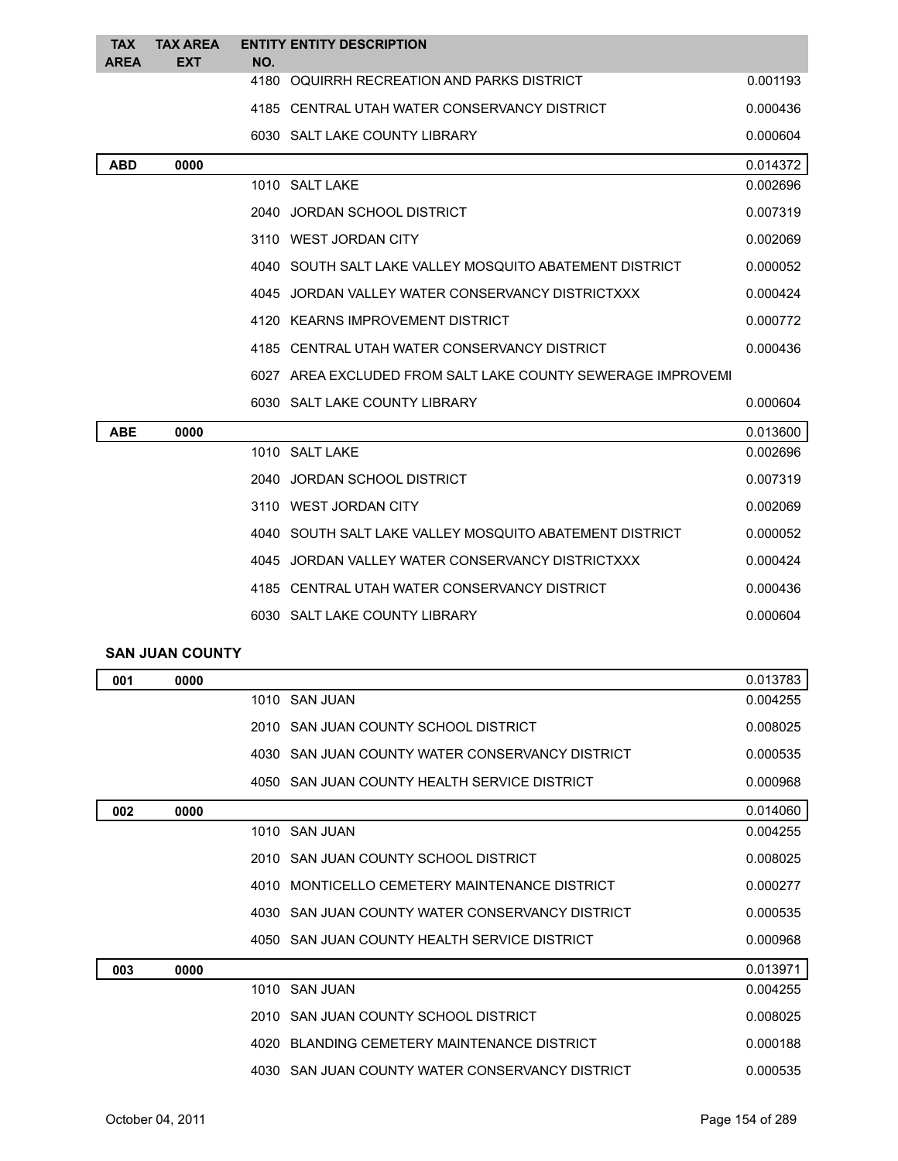| <b>TAX</b><br><b>AREA</b> | <b>TAX AREA</b><br><b>EXT</b> | NO. | <b>ENTITY ENTITY DESCRIPTION</b>                            |          |
|---------------------------|-------------------------------|-----|-------------------------------------------------------------|----------|
|                           |                               |     | 4180 OQUIRRH RECREATION AND PARKS DISTRICT                  | 0.001193 |
|                           |                               |     | 4185 CENTRAL UTAH WATER CONSERVANCY DISTRICT                | 0.000436 |
|                           |                               |     | 6030 SALT LAKE COUNTY LIBRARY                               | 0.000604 |
| <b>ABD</b>                | 0000                          |     |                                                             | 0.014372 |
|                           |                               |     | 1010 SALT LAKE                                              | 0.002696 |
|                           |                               |     | 2040 JORDAN SCHOOL DISTRICT                                 | 0.007319 |
|                           |                               |     | 3110 WEST JORDAN CITY                                       | 0.002069 |
|                           |                               |     | 4040 SOUTH SALT LAKE VALLEY MOSQUITO ABATEMENT DISTRICT     | 0.000052 |
|                           |                               |     | 4045 JORDAN VALLEY WATER CONSERVANCY DISTRICTXXX            | 0.000424 |
|                           |                               |     | 4120 KEARNS IMPROVEMENT DISTRICT                            | 0.000772 |
|                           |                               |     | 4185 CENTRAL UTAH WATER CONSERVANCY DISTRICT                | 0.000436 |
|                           |                               |     | 6027 AREA EXCLUDED FROM SALT LAKE COUNTY SEWERAGE IMPROVEMI |          |
|                           |                               |     | 6030 SALT LAKE COUNTY LIBRARY                               | 0.000604 |
| <b>ABE</b>                | 0000                          |     |                                                             | 0.013600 |
|                           |                               |     | 1010 SALT LAKE                                              | 0.002696 |
|                           |                               |     | 2040 JORDAN SCHOOL DISTRICT                                 | 0.007319 |
|                           |                               |     | 3110 WEST JORDAN CITY                                       | 0.002069 |
|                           |                               |     | 4040 SOUTH SALT LAKE VALLEY MOSQUITO ABATEMENT DISTRICT     | 0.000052 |
|                           |                               |     | 4045 JORDAN VALLEY WATER CONSERVANCY DISTRICTXXX            | 0.000424 |
|                           |                               |     | 4185 CENTRAL UTAH WATER CONSERVANCY DISTRICT                | 0.000436 |
|                           |                               |     | 6030 SALT LAKE COUNTY LIBRARY                               | 0.000604 |
|                           | <b>SAN JUAN COUNTY</b>        |     |                                                             |          |
| 001                       | 0000                          |     |                                                             | 0.013783 |
|                           |                               |     | 1010 SAN JUAN                                               | 0.004255 |
|                           |                               |     | 2010 SAN JUAN COUNTY SCHOOL DISTRICT                        | 0.008025 |
|                           |                               |     | 4030 SAN JUAN COUNTY WATER CONSERVANCY DISTRICT             | 0.000535 |
|                           |                               |     | 4050 SAN JUAN COUNTY HEALTH SERVICE DISTRICT                | 0.000968 |
| 002                       | 0000                          |     |                                                             | 0.014060 |
|                           |                               |     | 1010 SAN JUAN                                               | 0.004255 |
|                           |                               |     | 2010 SAN JUAN COUNTY SCHOOL DISTRICT                        | 0.008025 |
|                           |                               |     | 4010 MONTICELLO CEMETERY MAINTENANCE DISTRICT               | 0.000277 |
|                           |                               |     | 4030 SAN JUAN COUNTY WATER CONSERVANCY DISTRICT             | 0.000535 |
|                           |                               |     | 4050 SAN JUAN COUNTY HEALTH SERVICE DISTRICT                | 0.000968 |
| 003                       | 0000                          |     |                                                             | 0.013971 |
|                           |                               |     | 1010 SAN JUAN                                               | 0.004255 |
|                           |                               |     | 2010 SAN JUAN COUNTY SCHOOL DISTRICT                        | 0.008025 |
|                           |                               |     | 4020 BLANDING CEMETERY MAINTENANCE DISTRICT                 | 0.000188 |
|                           |                               |     | 4030 SAN JUAN COUNTY WATER CONSERVANCY DISTRICT             | 0.000535 |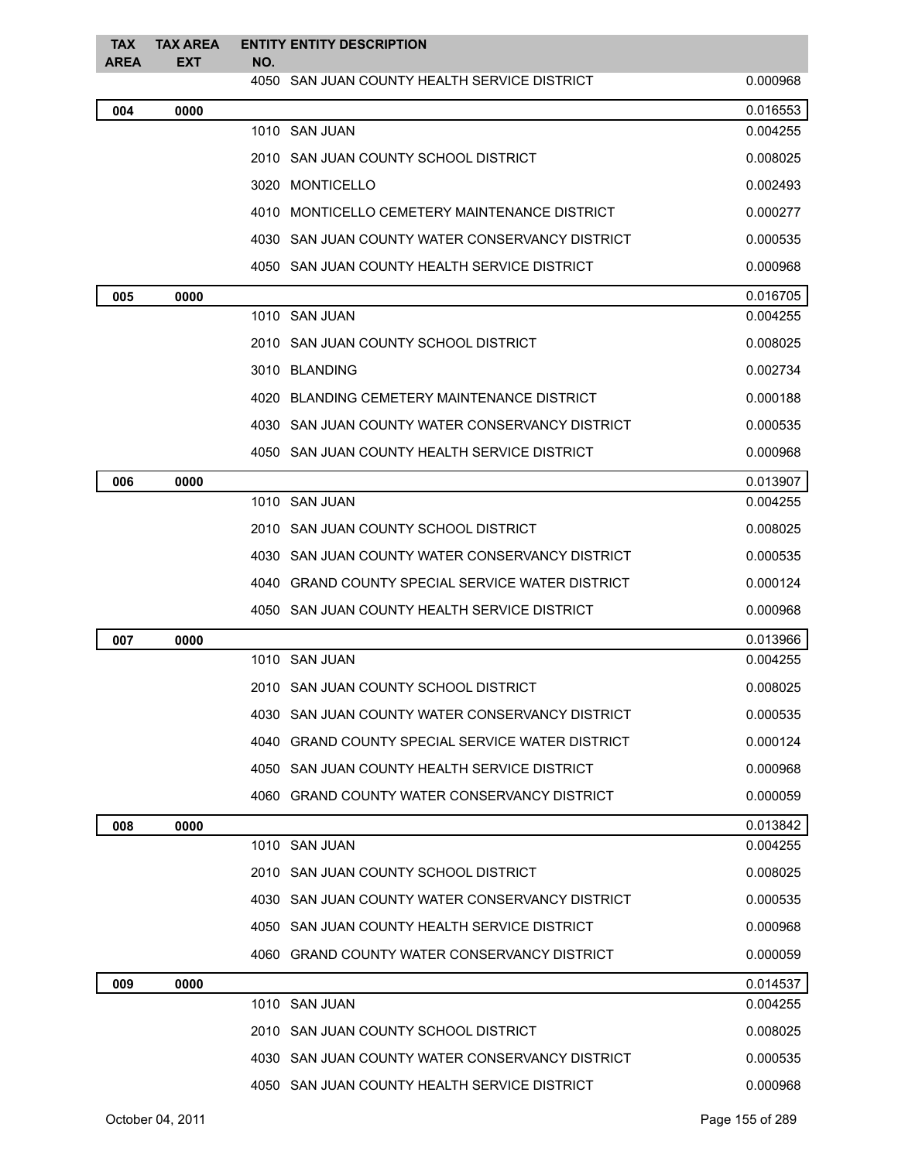| <b>TAX</b><br><b>AREA</b> | <b>TAX AREA</b><br>EXT | NO. | <b>ENTITY ENTITY DESCRIPTION</b>                 |          |
|---------------------------|------------------------|-----|--------------------------------------------------|----------|
|                           |                        |     | 4050 SAN JUAN COUNTY HEALTH SERVICE DISTRICT     | 0.000968 |
| 004                       | 0000                   |     |                                                  | 0.016553 |
|                           |                        |     | 1010 SAN JUAN                                    | 0.004255 |
|                           |                        |     | 2010   SAN JUAN COUNTY SCHOOL DISTRICT           | 0.008025 |
|                           |                        |     | 3020 MONTICELLO                                  | 0.002493 |
|                           |                        |     | 4010 MONTICELLO CEMETERY MAINTENANCE DISTRICT    | 0.000277 |
|                           |                        |     | 4030 SAN JUAN COUNTY WATER CONSERVANCY DISTRICT  | 0.000535 |
|                           |                        |     | 4050 SAN JUAN COUNTY HEALTH SERVICE DISTRICT     | 0.000968 |
| 005                       | 0000                   |     |                                                  | 0.016705 |
|                           |                        |     | 1010 SAN JUAN                                    | 0.004255 |
|                           |                        |     | 2010 SAN JUAN COUNTY SCHOOL DISTRICT             | 0.008025 |
|                           |                        |     | 3010 BLANDING                                    | 0.002734 |
|                           |                        |     | 4020 BLANDING CEMETERY MAINTENANCE DISTRICT      | 0.000188 |
|                           |                        |     | 4030 SAN JUAN COUNTY WATER CONSERVANCY DISTRICT  | 0.000535 |
|                           |                        |     | 4050 SAN JUAN COUNTY HEALTH SERVICE DISTRICT     | 0.000968 |
| 006                       | 0000                   |     |                                                  | 0.013907 |
|                           |                        |     | 1010 SAN JUAN                                    | 0.004255 |
|                           |                        |     | 2010 SAN JUAN COUNTY SCHOOL DISTRICT             | 0.008025 |
|                           |                        |     | 4030 SAN JUAN COUNTY WATER CONSERVANCY DISTRICT  | 0.000535 |
|                           |                        |     | 4040 GRAND COUNTY SPECIAL SERVICE WATER DISTRICT | 0.000124 |
|                           |                        |     | 4050 SAN JUAN COUNTY HEALTH SERVICE DISTRICT     | 0.000968 |
| 007                       | 0000                   |     |                                                  | 0.013966 |
|                           |                        |     | 1010 SAN JUAN                                    | 0.004255 |
|                           |                        |     | 2010   SAN JUAN COUNTY SCHOOL DISTRICT I         | 0.008025 |
|                           |                        |     | 4030 SAN JUAN COUNTY WATER CONSERVANCY DISTRICT  | 0.000535 |
|                           |                        |     | 4040 GRAND COUNTY SPECIAL SERVICE WATER DISTRICT | 0.000124 |
|                           |                        |     | 4050 SAN JUAN COUNTY HEALTH SERVICE DISTRICT     | 0.000968 |
|                           |                        |     | 4060 GRAND COUNTY WATER CONSERVANCY DISTRICT     | 0.000059 |
| 008                       | 0000                   |     |                                                  | 0.013842 |
|                           |                        |     | 1010 SAN JUAN                                    | 0.004255 |
|                           |                        |     | 2010 SAN JUAN COUNTY SCHOOL DISTRICT             | 0.008025 |
|                           |                        |     | 4030 SAN JUAN COUNTY WATER CONSERVANCY DISTRICT  | 0.000535 |
|                           |                        |     | 4050 SAN JUAN COUNTY HEALTH SERVICE DISTRICT     | 0.000968 |
|                           |                        |     | 4060 GRAND COUNTY WATER CONSERVANCY DISTRICT     | 0.000059 |
| 009                       | 0000                   |     |                                                  | 0.014537 |
|                           |                        |     | 1010 SAN JUAN                                    | 0.004255 |
|                           |                        |     | 2010 SAN JUAN COUNTY SCHOOL DISTRICT             | 0.008025 |
|                           |                        |     | 4030 SAN JUAN COUNTY WATER CONSERVANCY DISTRICT  | 0.000535 |
|                           |                        |     | 4050 SAN JUAN COUNTY HEALTH SERVICE DISTRICT     | 0.000968 |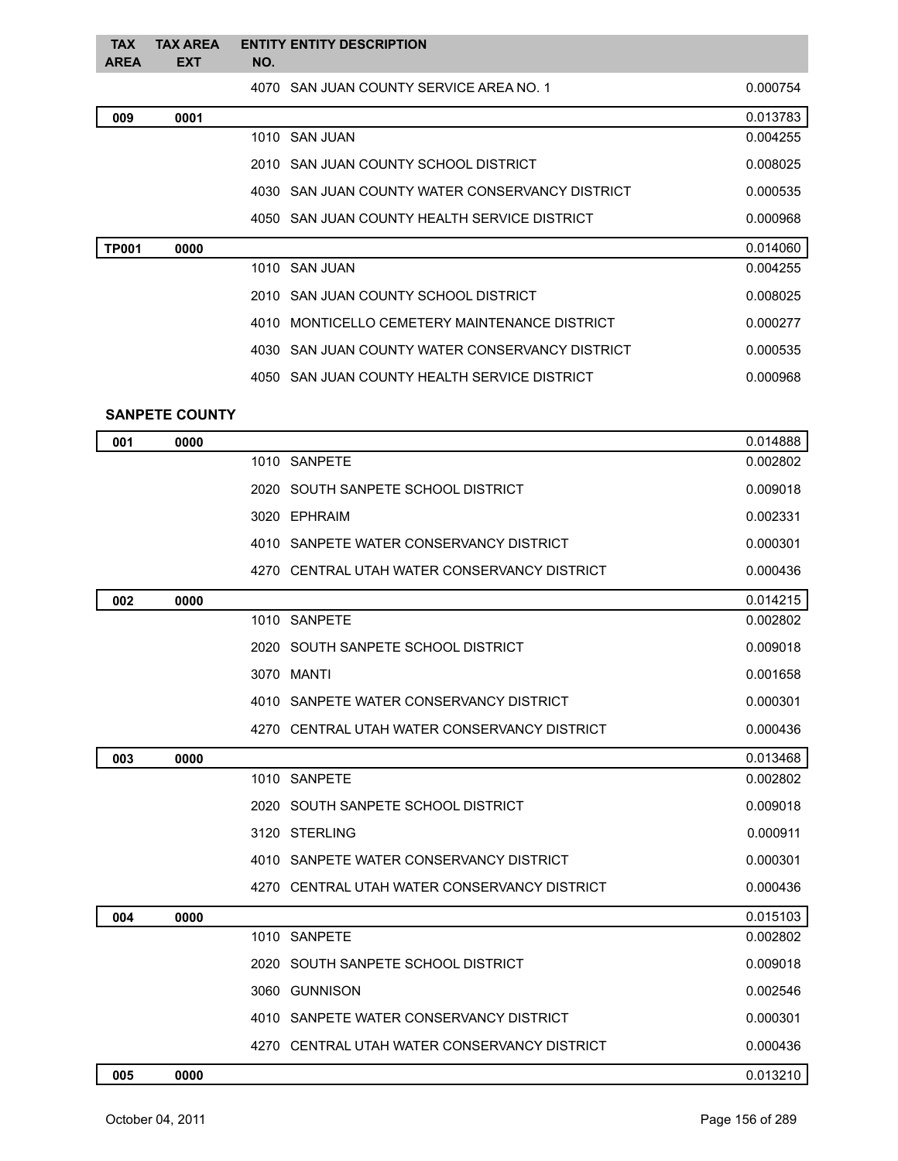| <b>TAX</b><br><b>AREA</b> | <b>TAX AREA</b><br><b>EXT</b> | NO. | <b>ENTITY ENTITY DESCRIPTION</b>                |          |
|---------------------------|-------------------------------|-----|-------------------------------------------------|----------|
|                           |                               |     | 4070 SAN JUAN COUNTY SERVICE AREA NO. 1         | 0.000754 |
| 009                       | 0001                          |     |                                                 | 0.013783 |
|                           |                               |     | 1010 SAN JUAN                                   | 0.004255 |
|                           |                               |     | 2010 SAN JUAN COUNTY SCHOOL DISTRICT            | 0.008025 |
|                           |                               |     | 4030 SAN JUAN COUNTY WATER CONSERVANCY DISTRICT | 0.000535 |
|                           |                               |     | 4050 SAN JUAN COUNTY HEALTH SERVICE DISTRICT    | 0.000968 |
| <b>TP001</b>              | 0000                          |     |                                                 | 0.014060 |
|                           |                               |     | 1010 SAN JUAN                                   | 0.004255 |
|                           |                               |     | 2010 SAN JUAN COUNTY SCHOOL DISTRICT            | 0.008025 |
|                           |                               |     | 4010 MONTICELLO CEMETERY MAINTENANCE DISTRICT   | 0.000277 |
|                           |                               |     | 4030 SAN JUAN COUNTY WATER CONSERVANCY DISTRICT | 0.000535 |
|                           |                               |     | 4050 SAN JUAN COUNTY HEALTH SERVICE DISTRICT    | 0.000968 |
|                           | <b>SANPETE COUNTY</b>         |     |                                                 |          |
| 001                       | 0000                          |     |                                                 | 0.014888 |
|                           |                               |     | 1010 SANPETE                                    | 0.002802 |
|                           |                               |     | 2020 SOUTH SANPETE SCHOOL DISTRICT              | 0.009018 |
|                           |                               |     | 3020 EPHRAIM                                    | 0.002331 |
|                           |                               |     | 4010 SANPETE WATER CONSERVANCY DISTRICT         | 0.000301 |
|                           |                               |     | 4270 CENTRAL UTAH WATER CONSERVANCY DISTRICT    | 0.000436 |
| 002                       | 0000                          |     |                                                 | 0.014215 |
|                           |                               |     | 1010 SANPETE                                    | 0.002802 |
|                           |                               |     | 2020 SOUTH SANPETE SCHOOL DISTRICT              | 0.009018 |
|                           |                               |     | 3070 MANTI                                      | 0.001658 |
|                           |                               |     | 4010 SANPETE WATER CONSERVANCY DISTRICT         | 0.000301 |
|                           |                               |     | 4270 CENTRAL UTAH WATER CONSERVANCY DISTRICT    | 0.000436 |
| 003                       | 0000                          |     |                                                 | 0.013468 |
|                           |                               |     | 1010 SANPETE                                    | 0.002802 |
|                           |                               |     | 2020 SOUTH SANPETE SCHOOL DISTRICT              | 0.009018 |
|                           |                               |     | 3120 STERLING                                   | 0.000911 |
|                           |                               |     | 4010 SANPETE WATER CONSERVANCY DISTRICT         | 0.000301 |
|                           |                               |     | 4270 CENTRAL UTAH WATER CONSERVANCY DISTRICT    | 0.000436 |
| 004                       | 0000                          |     |                                                 | 0.015103 |
|                           |                               |     | 1010 SANPETE                                    | 0.002802 |
|                           |                               |     | 2020 SOUTH SANPETE SCHOOL DISTRICT              | 0.009018 |
|                           |                               |     | 3060 GUNNISON                                   | 0.002546 |
|                           |                               |     | 4010 SANPETE WATER CONSERVANCY DISTRICT         | 0.000301 |

4270 CENTRAL UTAH WATER CONSERVANCY DISTRICT 0.000436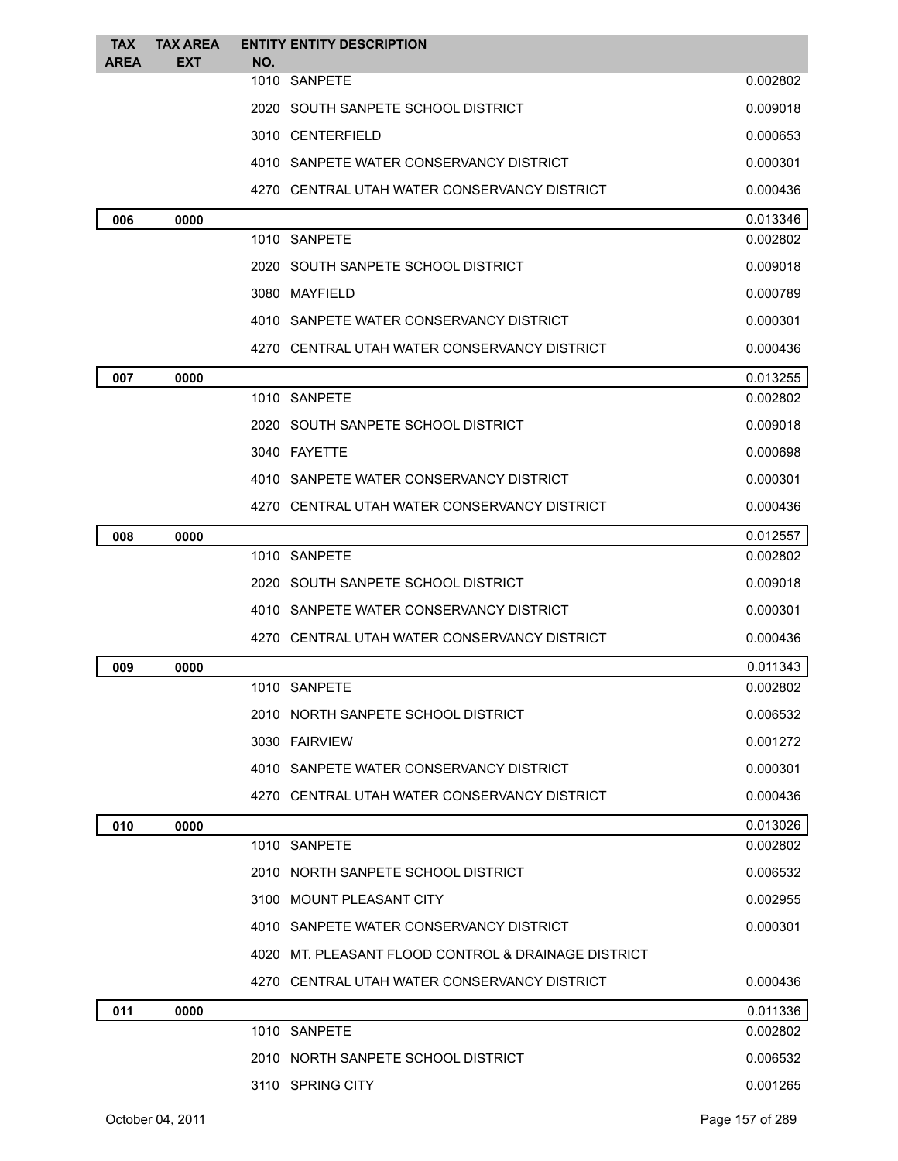| <b>TAX</b><br><b>AREA</b> | <b>TAX AREA</b><br><b>EXT</b> | NO. | <b>ENTITY ENTITY DESCRIPTION</b>                    |          |
|---------------------------|-------------------------------|-----|-----------------------------------------------------|----------|
|                           |                               |     | 1010 SANPETE                                        | 0.002802 |
|                           |                               |     | 2020 SOUTH SANPETE SCHOOL DISTRICT                  | 0.009018 |
|                           |                               |     | 3010 CENTERFIELD                                    | 0.000653 |
|                           |                               |     | 4010 SANPETE WATER CONSERVANCY DISTRICT             | 0.000301 |
|                           |                               |     | 4270 CENTRAL UTAH WATER CONSERVANCY DISTRICT        | 0.000436 |
| 006                       | 0000                          |     |                                                     | 0.013346 |
|                           |                               |     | 1010 SANPETE                                        | 0.002802 |
|                           |                               |     | 2020 SOUTH SANPETE SCHOOL DISTRICT                  | 0.009018 |
|                           |                               |     | 3080 MAYFIELD                                       | 0.000789 |
|                           |                               |     | 4010 SANPETE WATER CONSERVANCY DISTRICT             | 0.000301 |
|                           |                               |     | 4270 CENTRAL UTAH WATER CONSERVANCY DISTRICT        | 0.000436 |
| 007                       | 0000                          |     |                                                     | 0.013255 |
|                           |                               |     | 1010 SANPETE                                        | 0.002802 |
|                           |                               |     | 2020 SOUTH SANPETE SCHOOL DISTRICT                  | 0.009018 |
|                           |                               |     | 3040 FAYETTE                                        | 0.000698 |
|                           |                               |     | 4010 SANPETE WATER CONSERVANCY DISTRICT             | 0.000301 |
|                           |                               |     | 4270 CENTRAL UTAH WATER CONSERVANCY DISTRICT        | 0.000436 |
| 008                       | 0000                          |     |                                                     | 0.012557 |
|                           |                               |     | 1010 SANPETE                                        | 0.002802 |
|                           |                               |     | 2020 SOUTH SANPETE SCHOOL DISTRICT                  | 0.009018 |
|                           |                               |     | 4010 SANPETE WATER CONSERVANCY DISTRICT             | 0.000301 |
|                           |                               |     | 4270 CENTRAL UTAH WATER CONSERVANCY DISTRICT        | 0.000436 |
| 009                       | 0000                          |     |                                                     | 0.011343 |
|                           |                               |     | 1010 SANPETE                                        | 0.002802 |
|                           |                               |     | 2010 NORTH SANPETE SCHOOL DISTRICT                  | 0.006532 |
|                           |                               |     | 3030 FAIRVIEW                                       | 0.001272 |
|                           |                               |     | 4010 SANPETE WATER CONSERVANCY DISTRICT             | 0.000301 |
|                           |                               |     | 4270 CENTRAL UTAH WATER CONSERVANCY DISTRICT        | 0.000436 |
| 010                       | 0000                          |     |                                                     | 0.013026 |
|                           |                               |     | 1010 SANPETE                                        | 0.002802 |
|                           |                               |     | 2010 NORTH SANPETE SCHOOL DISTRICT                  | 0.006532 |
|                           |                               |     | 3100 MOUNT PLEASANT CITY                            | 0.002955 |
|                           |                               |     | 4010 SANPETE WATER CONSERVANCY DISTRICT             | 0.000301 |
|                           |                               |     | 4020 MT. PLEASANT FLOOD CONTROL & DRAINAGE DISTRICT |          |
|                           |                               |     | 4270 CENTRAL UTAH WATER CONSERVANCY DISTRICT        | 0.000436 |
| 011                       | 0000                          |     |                                                     | 0.011336 |
|                           |                               |     | 1010 SANPETE                                        | 0.002802 |
|                           |                               |     | 2010 NORTH SANPETE SCHOOL DISTRICT                  | 0.006532 |
|                           |                               |     | 3110 SPRING CITY                                    | 0.001265 |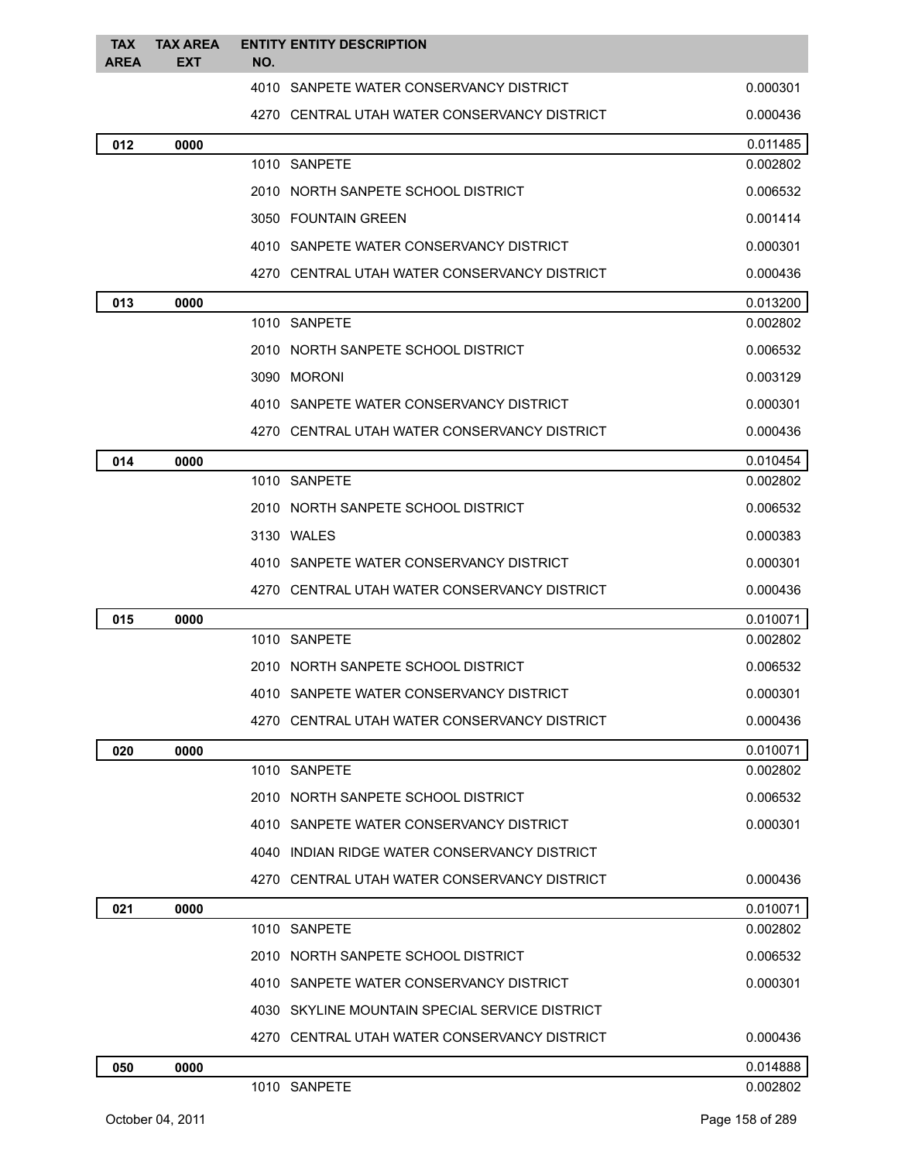| <b>TAX</b><br><b>AREA</b> | <b>TAX AREA</b><br><b>EXT</b> | <b>ENTITY ENTITY DESCRIPTION</b><br>NO.        |          |
|---------------------------|-------------------------------|------------------------------------------------|----------|
|                           |                               | 4010 SANPETE WATER CONSERVANCY DISTRICT        | 0.000301 |
|                           |                               | 4270 CENTRAL UTAH WATER CONSERVANCY DISTRICT   | 0.000436 |
| 012                       | 0000                          |                                                | 0.011485 |
|                           |                               | 1010 SANPETE                                   | 0.002802 |
|                           |                               | 2010 NORTH SANPETE SCHOOL DISTRICT             | 0.006532 |
|                           |                               | 3050 FOUNTAIN GREEN                            | 0.001414 |
|                           |                               | 4010 SANPETE WATER CONSERVANCY DISTRICT        | 0.000301 |
|                           |                               | 4270 CENTRAL UTAH WATER CONSERVANCY DISTRICT   | 0.000436 |
| 013                       | 0000                          |                                                | 0.013200 |
|                           |                               | 1010 SANPETE                                   | 0.002802 |
|                           |                               | 2010 NORTH SANPETE SCHOOL DISTRICT             | 0.006532 |
|                           |                               | 3090 MORONI                                    | 0.003129 |
|                           |                               | 4010 SANPETE WATER CONSERVANCY DISTRICT        | 0.000301 |
|                           |                               | 4270 CENTRAL UTAH WATER CONSERVANCY DISTRICT   | 0.000436 |
| 014                       | 0000                          |                                                | 0.010454 |
|                           |                               | 1010 SANPETE                                   | 0.002802 |
|                           |                               | 2010 NORTH SANPETE SCHOOL DISTRICT             | 0.006532 |
|                           |                               | 3130 WALES                                     | 0.000383 |
|                           |                               | 4010 SANPETE WATER CONSERVANCY DISTRICT        | 0.000301 |
|                           |                               | 4270 CENTRAL UTAH WATER CONSERVANCY DISTRICT   | 0.000436 |
| 015                       | 0000                          |                                                | 0.010071 |
|                           |                               | 1010 SANPETE                                   | 0.002802 |
|                           |                               | 2010 NORTH SANPETE SCHOOL DISTRICT             | 0.006532 |
|                           |                               | 4010 SANPETE WATER CONSERVANCY DISTRICT        | 0.000301 |
|                           |                               | 4270 CENTRAL UTAH WATER CONSERVANCY DISTRICT   | 0.000436 |
| 020                       | 0000                          |                                                | 0.010071 |
|                           |                               | 1010 SANPETE                                   | 0.002802 |
|                           |                               | 2010 NORTH SANPETE SCHOOL DISTRICT             | 0.006532 |
|                           |                               | 4010 SANPETE WATER CONSERVANCY DISTRICT        | 0.000301 |
|                           |                               | 4040 INDIAN RIDGE WATER CONSERVANCY DISTRICT   |          |
|                           |                               | 4270 CENTRAL UTAH WATER CONSERVANCY DISTRICT   | 0.000436 |
| 021                       | 0000                          |                                                | 0.010071 |
|                           |                               | 1010 SANPETE                                   | 0.002802 |
|                           |                               | 2010 NORTH SANPETE SCHOOL DISTRICT             | 0.006532 |
|                           |                               | 4010 SANPETE WATER CONSERVANCY DISTRICT        | 0.000301 |
|                           |                               | 4030 SKYLINE MOUNTAIN SPECIAL SERVICE DISTRICT |          |
|                           |                               | 4270 CENTRAL UTAH WATER CONSERVANCY DISTRICT   | 0.000436 |
| 050                       | 0000                          |                                                | 0.014888 |
|                           |                               | 1010 SANPETE                                   | 0.002802 |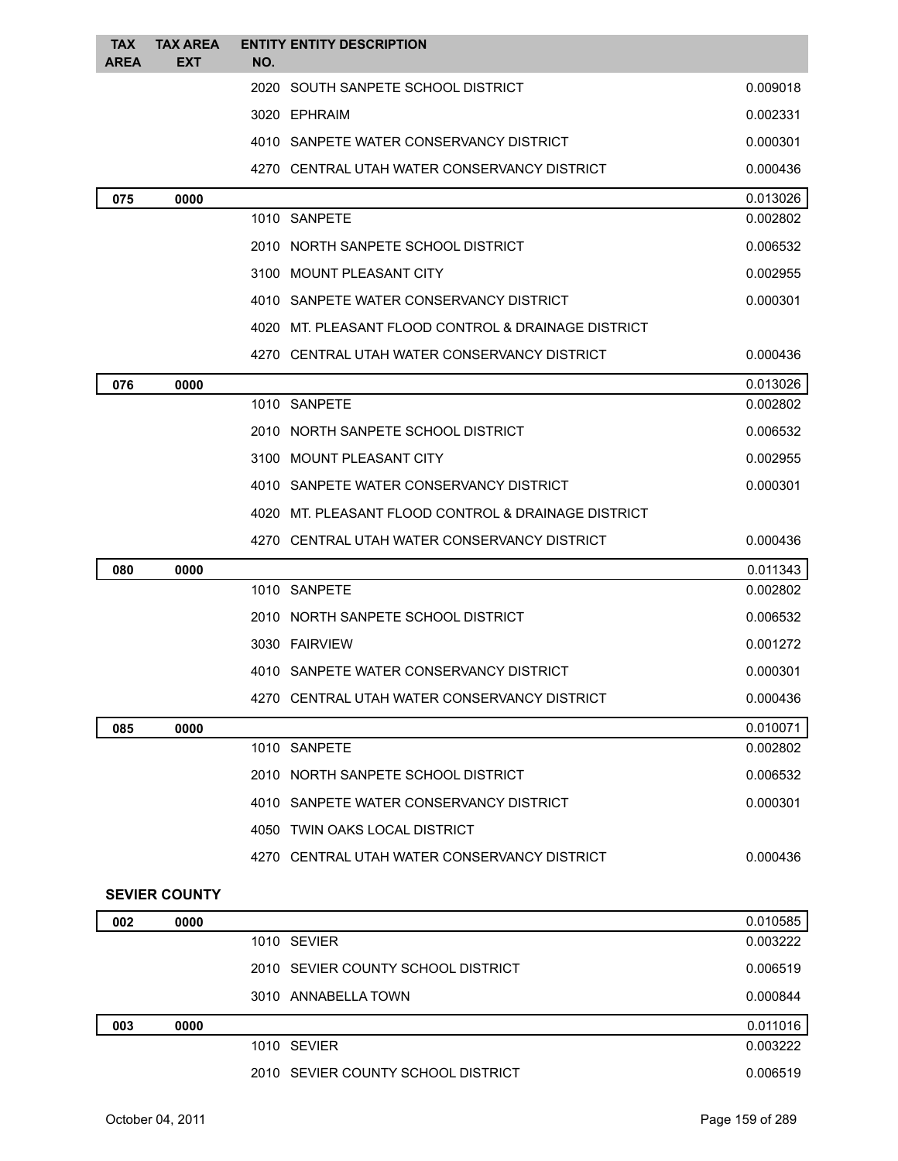| <b>TAX</b>  | <b>TAX AREA</b>      | <b>ENTITY ENTITY DESCRIPTION</b>                    |          |
|-------------|----------------------|-----------------------------------------------------|----------|
| <b>AREA</b> | <b>EXT</b>           | NO.                                                 |          |
|             |                      | 2020 SOUTH SANPETE SCHOOL DISTRICT                  | 0.009018 |
|             |                      | 3020 EPHRAIM                                        | 0.002331 |
|             |                      | 4010 SANPETE WATER CONSERVANCY DISTRICT             | 0.000301 |
|             |                      | 4270 CENTRAL UTAH WATER CONSERVANCY DISTRICT        | 0.000436 |
| 075         | 0000                 |                                                     | 0.013026 |
|             |                      | 1010 SANPETE                                        | 0.002802 |
|             |                      | 2010 NORTH SANPETE SCHOOL DISTRICT                  | 0.006532 |
|             |                      | 3100 MOUNT PLEASANT CITY                            | 0.002955 |
|             |                      | 4010 SANPETE WATER CONSERVANCY DISTRICT             | 0.000301 |
|             |                      | 4020 MT. PLEASANT FLOOD CONTROL & DRAINAGE DISTRICT |          |
|             |                      | 4270 CENTRAL UTAH WATER CONSERVANCY DISTRICT        | 0.000436 |
| 076         | 0000                 |                                                     | 0.013026 |
|             |                      | 1010 SANPETE                                        | 0.002802 |
|             |                      | 2010 NORTH SANPETE SCHOOL DISTRICT                  | 0.006532 |
|             |                      | 3100 MOUNT PLEASANT CITY                            | 0.002955 |
|             |                      | 4010 SANPETE WATER CONSERVANCY DISTRICT             | 0.000301 |
|             |                      | 4020 MT, PLEASANT FLOOD CONTROL & DRAINAGE DISTRICT |          |
|             |                      | 4270 CENTRAL UTAH WATER CONSERVANCY DISTRICT        | 0.000436 |
| 080         | 0000                 |                                                     | 0.011343 |
|             |                      | 1010 SANPETE                                        | 0.002802 |
|             |                      | 2010 NORTH SANPETE SCHOOL DISTRICT                  | 0.006532 |
|             |                      | 3030 FAIRVIEW                                       | 0.001272 |
|             |                      | 4010 SANPETE WATER CONSERVANCY DISTRICT             | 0.000301 |
|             |                      | 4270 CENTRAL UTAH WATER CONSERVANCY DISTRICT        | 0.000436 |
| 085         | 0000                 |                                                     | 0.010071 |
|             |                      | 1010 SANPETE                                        | 0.002802 |
|             |                      | 2010 NORTH SANPETE SCHOOL DISTRICT                  | 0.006532 |
|             |                      | 4010 SANPETE WATER CONSERVANCY DISTRICT             | 0.000301 |
|             |                      | 4050 TWIN OAKS LOCAL DISTRICT                       |          |
|             |                      | 4270 CENTRAL UTAH WATER CONSERVANCY DISTRICT        | 0.000436 |
|             | <b>SEVIER COUNTY</b> |                                                     |          |
| 002         | 0000                 |                                                     | 0.010585 |
|             |                      | 1010 SEVIER                                         | 0.003222 |
|             |                      | 2010 SEVIER COUNTY SCHOOL DISTRICT                  | 0.006519 |
|             |                      | 3010 ANNABELLA TOWN                                 | 0.000844 |
| 003         | 0000                 |                                                     | 0.011016 |
|             |                      | 1010 SEVIER                                         | 0.003222 |

2010 SEVIER COUNTY SCHOOL DISTRICT 0.006519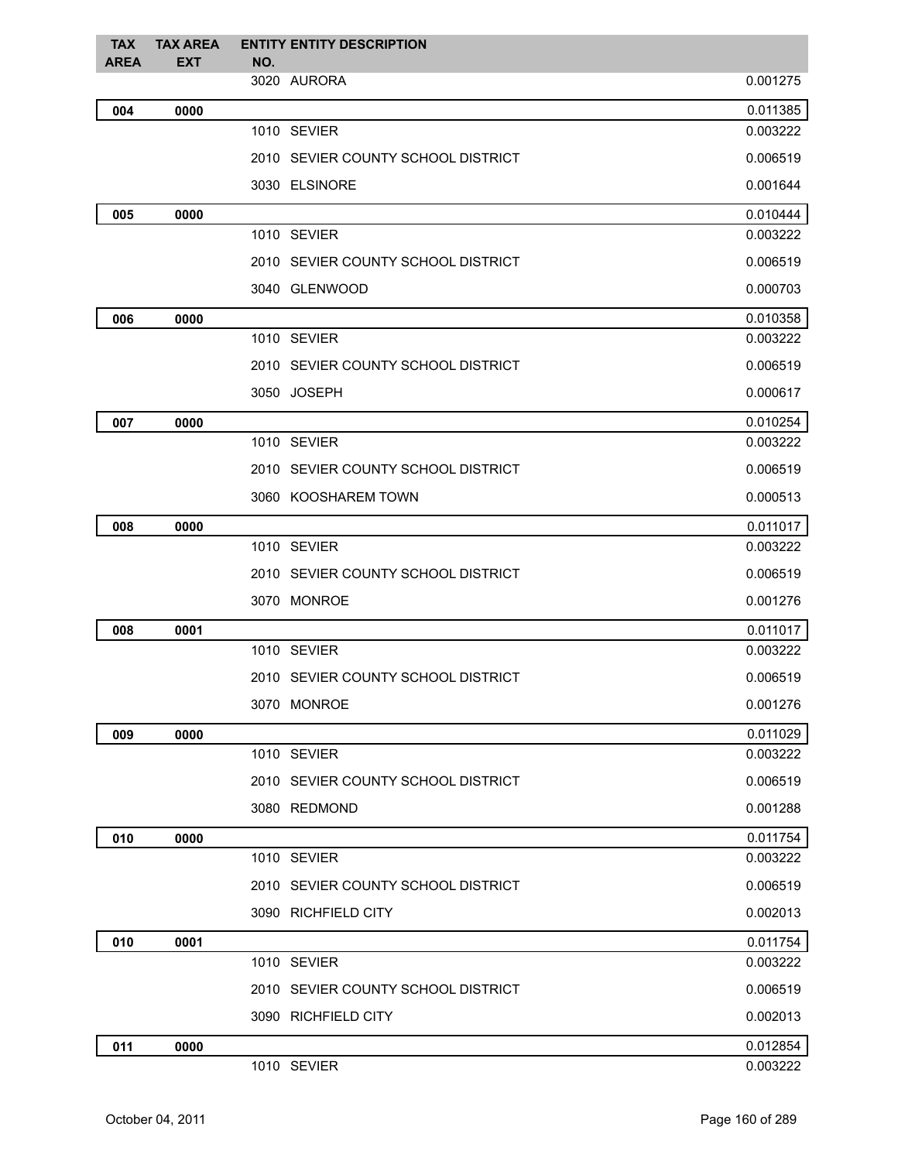| <b>TAX</b>  | <b>TAX AREA</b> | <b>ENTITY ENTITY DESCRIPTION</b>   |                      |
|-------------|-----------------|------------------------------------|----------------------|
| <b>AREA</b> | <b>EXT</b>      | NO.<br>3020 AURORA                 | 0.001275             |
|             |                 |                                    |                      |
| 004         | 0000            | 1010 SEVIER                        | 0.011385<br>0.003222 |
|             |                 |                                    |                      |
|             |                 | 2010 SEVIER COUNTY SCHOOL DISTRICT | 0.006519             |
|             |                 | 3030 ELSINORE                      | 0.001644             |
| 005         | 0000            |                                    | 0.010444             |
|             |                 | 1010 SEVIER                        | 0.003222             |
|             |                 | 2010 SEVIER COUNTY SCHOOL DISTRICT | 0.006519             |
|             |                 | 3040 GLENWOOD                      | 0.000703             |
| 006         | 0000            |                                    | 0.010358             |
|             |                 | 1010 SEVIER                        | 0.003222             |
|             |                 | 2010 SEVIER COUNTY SCHOOL DISTRICT | 0.006519             |
|             |                 | 3050 JOSEPH                        | 0.000617             |
| 007         | 0000            |                                    | 0.010254             |
|             |                 | 1010 SEVIER                        | 0.003222             |
|             |                 | 2010 SEVIER COUNTY SCHOOL DISTRICT | 0.006519             |
|             |                 | 3060 KOOSHAREM TOWN                | 0.000513             |
| 008         | 0000            |                                    | 0.011017             |
|             |                 | 1010 SEVIER                        | 0.003222             |
|             |                 | 2010 SEVIER COUNTY SCHOOL DISTRICT | 0.006519             |
|             |                 | 3070 MONROE                        | 0.001276             |
| 008         | 0001            |                                    | 0.011017             |
|             |                 | 1010 SEVIER                        | 0.003222             |
|             |                 | 2010 SEVIER COUNTY SCHOOL DISTRICT | 0.006519             |
|             |                 | 3070 MONROE                        | 0.001276             |
| 009         | 0000            |                                    | 0.011029             |
|             |                 | 1010 SEVIER                        | 0.003222             |
|             |                 | 2010 SEVIER COUNTY SCHOOL DISTRICT | 0.006519             |
|             |                 | 3080 REDMOND                       | 0.001288             |
| 010         | 0000            |                                    | 0.011754             |
|             |                 | 1010 SEVIER                        | 0.003222             |
|             |                 | 2010 SEVIER COUNTY SCHOOL DISTRICT | 0.006519             |
|             |                 | 3090 RICHFIELD CITY                | 0.002013             |
| 010         | 0001            |                                    | 0.011754             |
|             |                 | 1010 SEVIER                        | 0.003222             |
|             |                 | 2010 SEVIER COUNTY SCHOOL DISTRICT | 0.006519             |
|             |                 | 3090 RICHFIELD CITY                | 0.002013             |
| 011         | 0000            |                                    | 0.012854             |
|             |                 | 1010 SEVIER                        | 0.003222             |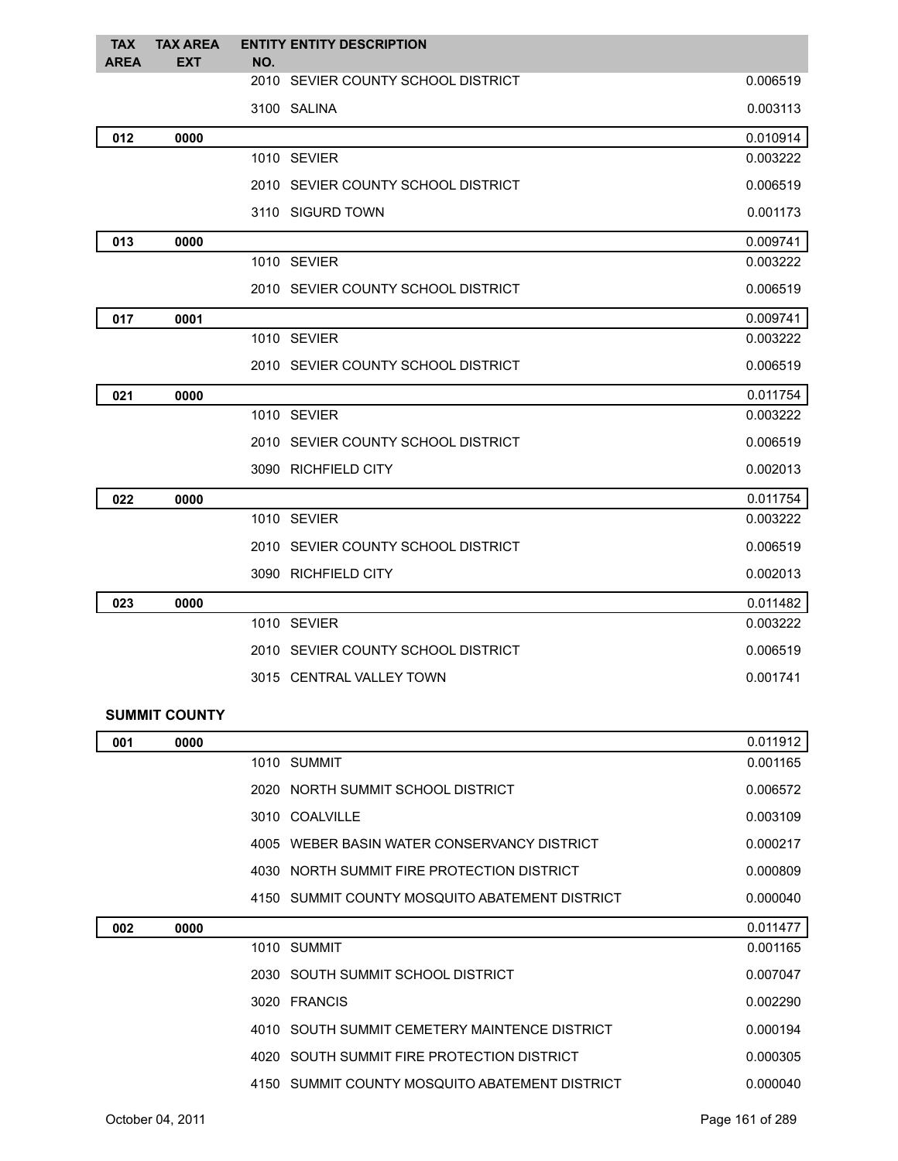| <b>TAX</b><br><b>AREA</b> | <b>TAX AREA</b><br><b>EXT</b> | <b>ENTITY ENTITY DESCRIPTION</b><br>NO. |          |
|---------------------------|-------------------------------|-----------------------------------------|----------|
|                           |                               | 2010 SEVIER COUNTY SCHOOL DISTRICT      | 0.006519 |
|                           |                               | 3100 SALINA                             | 0.003113 |
| 012                       | 0000                          |                                         | 0.010914 |
|                           |                               | 1010 SEVIER                             | 0.003222 |
|                           |                               | 2010 SEVIER COUNTY SCHOOL DISTRICT      | 0.006519 |
|                           |                               | 3110 SIGURD TOWN                        | 0.001173 |
| 013                       | 0000                          |                                         | 0.009741 |
|                           |                               | 1010 SEVIER                             | 0.003222 |
|                           |                               | 2010 SEVIER COUNTY SCHOOL DISTRICT      | 0.006519 |
| 017                       | 0001                          |                                         | 0.009741 |
|                           |                               | 1010 SEVIER                             | 0.003222 |
|                           |                               | 2010 SEVIER COUNTY SCHOOL DISTRICT      | 0.006519 |
| 021                       | 0000                          |                                         | 0.011754 |
|                           |                               | 1010 SEVIER                             | 0.003222 |
|                           |                               | 2010 SEVIER COUNTY SCHOOL DISTRICT      | 0.006519 |
|                           |                               | 3090 RICHFIELD CITY                     | 0.002013 |
| 022                       | 0000                          |                                         | 0.011754 |
|                           |                               | 1010 SEVIER                             | 0.003222 |
|                           |                               | 2010 SEVIER COUNTY SCHOOL DISTRICT      | 0.006519 |
|                           |                               | 3090 RICHFIELD CITY                     | 0.002013 |
| 023                       | 0000                          |                                         | 0.011482 |
|                           |                               | 1010 SEVIER                             | 0.003222 |
|                           |                               | 2010 SEVIER COUNTY SCHOOL DISTRICT      | 0.006519 |
|                           |                               | 3015 CENTRAL VALLEY TOWN                | 0.001741 |
|                           |                               |                                         |          |

## **SUMMIT COUNTY**

| 001 | 0000 |                                                | 0.011912 |
|-----|------|------------------------------------------------|----------|
|     |      | 1010 SUMMIT                                    | 0.001165 |
|     |      | 2020 NORTH SUMMIT SCHOOL DISTRICT              | 0.006572 |
|     |      | 3010 COALVILLE                                 | 0.003109 |
|     |      | 4005 WEBER BASIN WATER CONSERVANCY DISTRICT    | 0.000217 |
|     |      | 4030 NORTH SUMMIT FIRE PROTECTION DISTRICT     | 0.000809 |
|     |      | 4150 SUMMIT COUNTY MOSQUITO ABATEMENT DISTRICT | 0.000040 |
|     |      |                                                |          |
| 002 | 0000 |                                                | 0.011477 |
|     |      | 1010 SUMMIT                                    | 0.001165 |
|     |      | 2030 SOUTH SUMMIT SCHOOL DISTRICT              | 0.007047 |
|     |      | 3020 FRANCIS                                   | 0.002290 |
|     |      | 4010 SOUTH SUMMIT CEMETERY MAINTENCE DISTRICT  | 0.000194 |
|     |      | 4020 SOUTH SUMMIT FIRE PROTECTION DISTRICT     | 0.000305 |
|     |      | 4150 SUMMIT COUNTY MOSQUITO ABATEMENT DISTRICT | 0.000040 |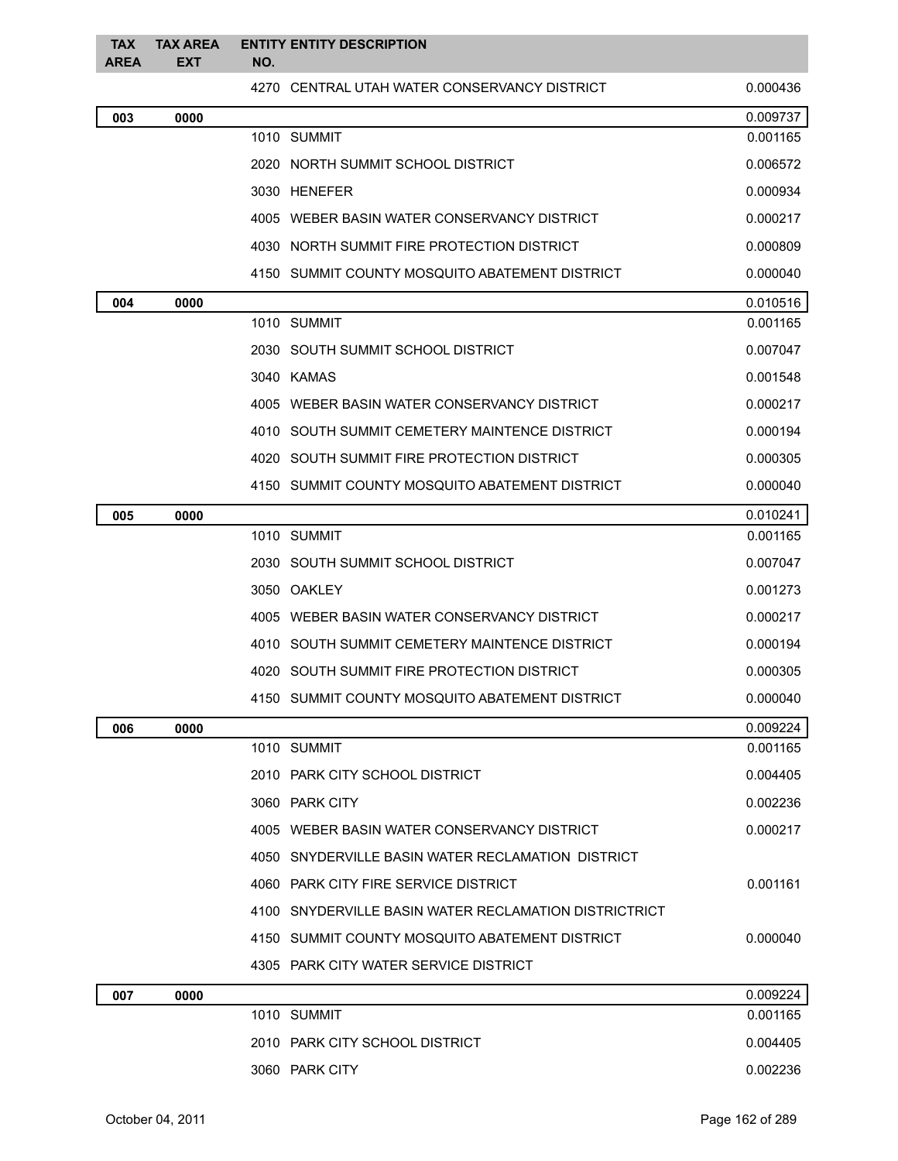| <b>TAX</b><br><b>AREA</b> | <b>TAX AREA</b><br><b>EXT</b> | NO. | <b>ENTITY ENTITY DESCRIPTION</b>                      |          |
|---------------------------|-------------------------------|-----|-------------------------------------------------------|----------|
|                           |                               |     | 4270 CENTRAL UTAH WATER CONSERVANCY DISTRICT          | 0.000436 |
| 003                       | 0000                          |     |                                                       | 0.009737 |
|                           |                               |     | 1010 SUMMIT                                           | 0.001165 |
|                           |                               |     | 2020 NORTH SUMMIT SCHOOL DISTRICT                     | 0.006572 |
|                           |                               |     | 3030 HENEFER                                          | 0.000934 |
|                           |                               |     | 4005 WEBER BASIN WATER CONSERVANCY DISTRICT           | 0.000217 |
|                           |                               |     | 4030 NORTH SUMMIT FIRE PROTECTION DISTRICT            | 0.000809 |
|                           |                               |     | 4150 SUMMIT COUNTY MOSQUITO ABATEMENT DISTRICT        | 0.000040 |
| 004                       | 0000                          |     |                                                       | 0.010516 |
|                           |                               |     | 1010 SUMMIT                                           | 0.001165 |
|                           |                               |     | 2030 SOUTH SUMMIT SCHOOL DISTRICT                     | 0.007047 |
|                           |                               |     | 3040 KAMAS                                            | 0.001548 |
|                           |                               |     | 4005 WEBER BASIN WATER CONSERVANCY DISTRICT           | 0.000217 |
|                           |                               |     | 4010 SOUTH SUMMIT CEMETERY MAINTENCE DISTRICT         | 0.000194 |
|                           |                               |     | 4020 SOUTH SUMMIT FIRE PROTECTION DISTRICT            | 0.000305 |
|                           |                               |     | 4150 SUMMIT COUNTY MOSQUITO ABATEMENT DISTRICT        | 0.000040 |
| 005                       | 0000                          |     |                                                       | 0.010241 |
|                           |                               |     | 1010 SUMMIT                                           | 0.001165 |
|                           |                               |     | 2030 SOUTH SUMMIT SCHOOL DISTRICT                     | 0.007047 |
|                           |                               |     | 3050 OAKLEY                                           | 0.001273 |
|                           |                               |     | 4005 WEBER BASIN WATER CONSERVANCY DISTRICT           | 0.000217 |
|                           |                               |     | 4010 SOUTH SUMMIT CEMETERY MAINTENCE DISTRICT         | 0.000194 |
|                           |                               |     | 4020 SOUTH SUMMIT FIRE PROTECTION DISTRICT            | 0.000305 |
|                           |                               |     | 4150 SUMMIT COUNTY MOSQUITO ABATEMENT DISTRICT        | 0.000040 |
| 006                       | 0000                          |     |                                                       | 0.009224 |
|                           |                               |     | 1010 SUMMIT                                           | 0.001165 |
|                           |                               |     | 2010 PARK CITY SCHOOL DISTRICT                        | 0.004405 |
|                           |                               |     | 3060 PARK CITY                                        | 0.002236 |
|                           |                               |     | 4005 WEBER BASIN WATER CONSERVANCY DISTRICT           | 0.000217 |
|                           |                               |     | 4050 SNYDERVILLE BASIN WATER RECLAMATION DISTRICT     |          |
|                           |                               |     | 4060 PARK CITY FIRE SERVICE DISTRICT                  | 0.001161 |
|                           |                               |     | 4100 SNYDERVILLE BASIN WATER RECLAMATION DISTRICTRICT |          |
|                           |                               |     | 4150 SUMMIT COUNTY MOSQUITO ABATEMENT DISTRICT        | 0.000040 |
|                           |                               |     | 4305 PARK CITY WATER SERVICE DISTRICT                 |          |
| 007                       | 0000                          |     |                                                       | 0.009224 |
|                           |                               |     | 1010 SUMMIT                                           | 0.001165 |
|                           |                               |     | 2010 PARK CITY SCHOOL DISTRICT                        | 0.004405 |
|                           |                               |     | 3060 PARK CITY                                        | 0.002236 |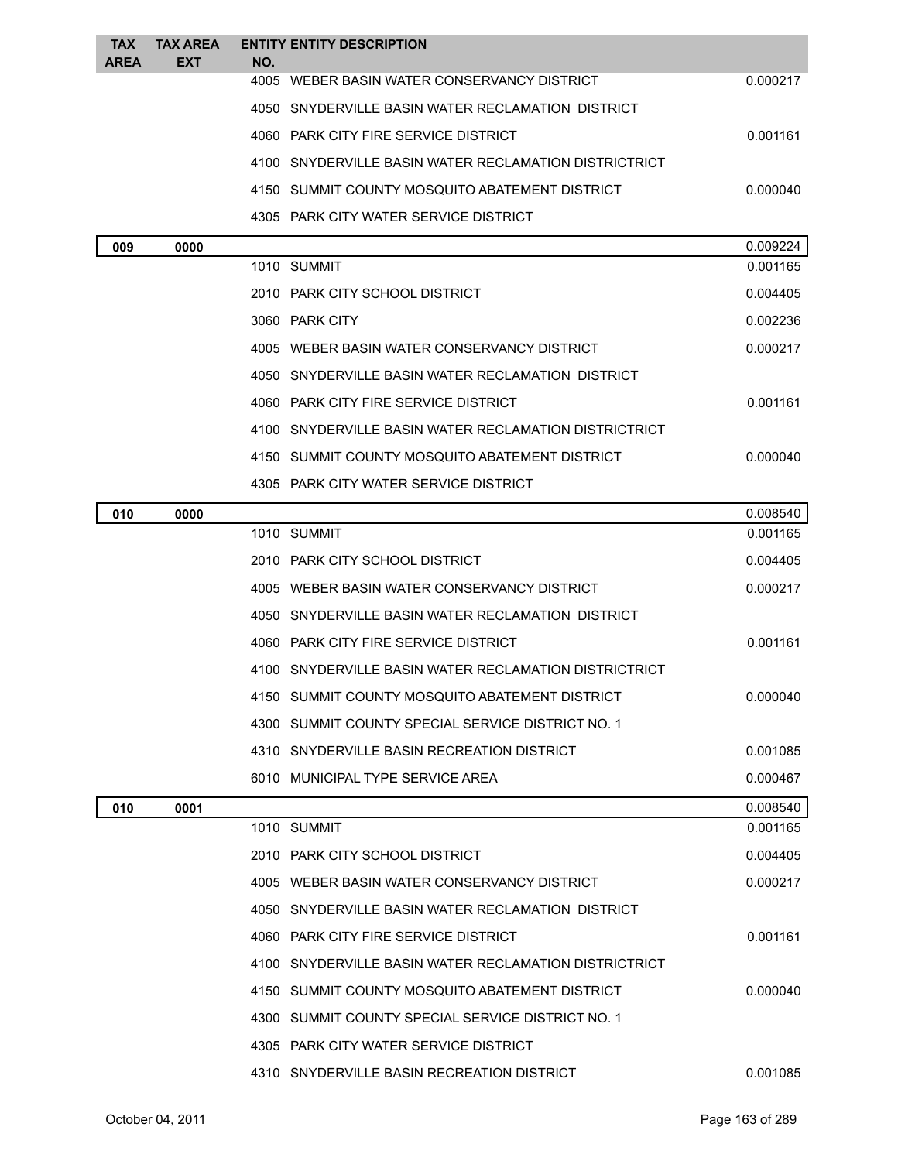| <b>TAX</b> | <b>TAX AREA</b> | <b>ENTITY ENTITY DESCRIPTION</b>                      |          |
|------------|-----------------|-------------------------------------------------------|----------|
| AREA       | EXT             | NO.                                                   |          |
|            |                 | 4005 WEBER BASIN WATER CONSERVANCY DISTRICT           | 0.000217 |
|            |                 | 4050 SNYDERVILLE BASIN WATER RECLAMATION DISTRICT     |          |
|            |                 | 4060 PARK CITY FIRE SERVICE DISTRICT                  | 0.001161 |
|            |                 | 4100 SNYDERVILLE BASIN WATER RECLAMATION DISTRICTRICT |          |
|            |                 | 4150 SUMMIT COUNTY MOSQUITO ABATEMENT DISTRICT        | 0.000040 |
|            |                 | 4305 PARK CITY WATER SERVICE DISTRICT                 |          |
| 009        | 0000            |                                                       | 0.009224 |
|            |                 | 1010 SUMMIT                                           | 0.001165 |
|            |                 | 2010 PARK CITY SCHOOL DISTRICT                        | 0.004405 |
|            |                 | 3060 PARK CITY                                        | 0.002236 |
|            |                 | 4005 WEBER BASIN WATER CONSERVANCY DISTRICT           | 0.000217 |
|            |                 | 4050 SNYDERVILLE BASIN WATER RECLAMATION DISTRICT     |          |
|            |                 | 4060 PARK CITY FIRE SERVICE DISTRICT                  | 0.001161 |
|            |                 | 4100 SNYDERVILLE BASIN WATER RECLAMATION DISTRICTRICT |          |
|            |                 | 4150 SUMMIT COUNTY MOSQUITO ABATEMENT DISTRICT        | 0.000040 |
|            |                 | 4305 PARK CITY WATER SERVICE DISTRICT                 |          |
| 010        | 0000            |                                                       | 0.008540 |
|            |                 | 1010 SUMMIT                                           | 0.001165 |
|            |                 | 2010 PARK CITY SCHOOL DISTRICT                        | 0.004405 |
|            |                 | 4005 WEBER BASIN WATER CONSERVANCY DISTRICT           | 0.000217 |
|            |                 | 4050 SNYDERVILLE BASIN WATER RECLAMATION DISTRICT     |          |
|            |                 | 4060 PARK CITY FIRE SERVICE DISTRICT                  | 0.001161 |
|            |                 | 4100 SNYDERVILLE BASIN WATER RECLAMATION DISTRICTRICT |          |
|            |                 | 4150 SUMMIT COUNTY MOSQUITO ABATEMENT DISTRICT        | 0.000040 |
|            |                 | 4300 SUMMIT COUNTY SPECIAL SERVICE DISTRICT NO. 1     |          |
|            |                 | 4310 SNYDERVILLE BASIN RECREATION DISTRICT            | 0.001085 |
|            |                 | 6010 MUNICIPAL TYPE SERVICE AREA                      | 0.000467 |
| 010        | 0001            |                                                       | 0.008540 |
|            |                 | 1010 SUMMIT                                           | 0.001165 |
|            |                 | 2010 PARK CITY SCHOOL DISTRICT                        | 0.004405 |
|            |                 | 4005 WEBER BASIN WATER CONSERVANCY DISTRICT           | 0.000217 |
|            |                 | 4050 SNYDERVILLE BASIN WATER RECLAMATION DISTRICT     |          |
|            |                 | 4060 PARK CITY FIRE SERVICE DISTRICT                  | 0.001161 |
|            |                 | 4100 SNYDERVILLE BASIN WATER RECLAMATION DISTRICTRICT |          |
|            |                 | 4150 SUMMIT COUNTY MOSQUITO ABATEMENT DISTRICT        | 0.000040 |
|            |                 | 4300 SUMMIT COUNTY SPECIAL SERVICE DISTRICT NO. 1     |          |
|            |                 | 4305 PARK CITY WATER SERVICE DISTRICT                 |          |
|            |                 | 4310 SNYDERVILLE BASIN RECREATION DISTRICT            | 0.001085 |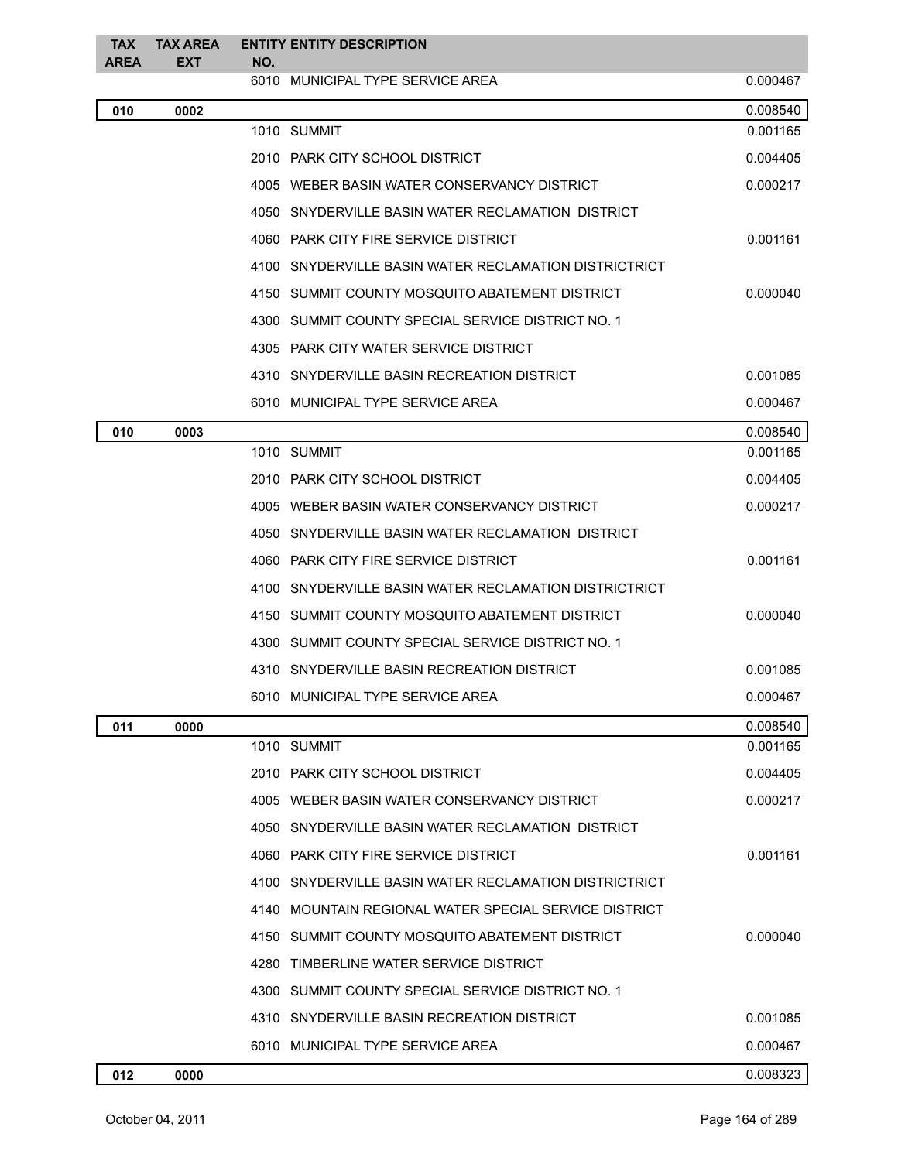| <b>TAX</b><br><b>AREA</b> | <b>TAX AREA</b><br><b>EXT</b> |     | <b>ENTITY ENTITY DESCRIPTION</b>                      |          |
|---------------------------|-------------------------------|-----|-------------------------------------------------------|----------|
|                           |                               | NO. | 6010 MUNICIPAL TYPE SERVICE AREA                      | 0.000467 |
| 010                       | 0002                          |     |                                                       | 0.008540 |
|                           |                               |     | 1010 SUMMIT                                           | 0.001165 |
|                           |                               |     | 2010 PARK CITY SCHOOL DISTRICT                        | 0.004405 |
|                           |                               |     | 4005 WEBER BASIN WATER CONSERVANCY DISTRICT           | 0.000217 |
|                           |                               |     | 4050 SNYDERVILLE BASIN WATER RECLAMATION DISTRICT     |          |
|                           |                               |     | 4060 PARK CITY FIRE SERVICE DISTRICT                  | 0.001161 |
|                           |                               |     | 4100 SNYDERVILLE BASIN WATER RECLAMATION DISTRICTRICT |          |
|                           |                               |     | 4150 SUMMIT COUNTY MOSQUITO ABATEMENT DISTRICT        | 0.000040 |
|                           |                               |     | 4300 SUMMIT COUNTY SPECIAL SERVICE DISTRICT NO. 1     |          |
|                           |                               |     | 4305 PARK CITY WATER SERVICE DISTRICT                 |          |
|                           |                               |     | 4310 SNYDERVILLE BASIN RECREATION DISTRICT            | 0.001085 |
|                           |                               |     | 6010 MUNICIPAL TYPE SERVICE AREA                      | 0.000467 |
| 010                       | 0003                          |     |                                                       | 0.008540 |
|                           |                               |     | 1010 SUMMIT                                           | 0.001165 |
|                           |                               |     | 2010 PARK CITY SCHOOL DISTRICT                        | 0.004405 |
|                           |                               |     | 4005 WEBER BASIN WATER CONSERVANCY DISTRICT           | 0.000217 |
|                           |                               |     | 4050 SNYDERVILLE BASIN WATER RECLAMATION DISTRICT     |          |
|                           |                               |     | 4060 PARK CITY FIRE SERVICE DISTRICT                  | 0.001161 |
|                           |                               |     | 4100 SNYDERVILLE BASIN WATER RECLAMATION DISTRICTRICT |          |
|                           |                               |     | 4150 SUMMIT COUNTY MOSQUITO ABATEMENT DISTRICT        | 0.000040 |
|                           |                               |     | 4300 SUMMIT COUNTY SPECIAL SERVICE DISTRICT NO. 1     |          |
|                           |                               |     | 4310 SNYDERVILLE BASIN RECREATION DISTRICT            | 0.001085 |
|                           |                               |     | 6010 MUNICIPAL TYPE SERVICE AREA                      | 0.000467 |
| 011                       | 0000                          |     |                                                       | 0.008540 |
|                           |                               |     | 1010 SUMMIT                                           | 0.001165 |
|                           |                               |     | 2010 PARK CITY SCHOOL DISTRICT                        | 0.004405 |
|                           |                               |     | 4005 WEBER BASIN WATER CONSERVANCY DISTRICT           | 0.000217 |
|                           |                               |     | 4050 SNYDERVILLE BASIN WATER RECLAMATION DISTRICT     |          |
|                           |                               |     | 4060 PARK CITY FIRE SERVICE DISTRICT                  | 0.001161 |
|                           |                               |     | 4100 SNYDERVILLE BASIN WATER RECLAMATION DISTRICTRICT |          |
|                           |                               |     | 4140 MOUNTAIN REGIONAL WATER SPECIAL SERVICE DISTRICT |          |
|                           |                               |     | 4150 SUMMIT COUNTY MOSQUITO ABATEMENT DISTRICT        | 0.000040 |
|                           |                               |     | 4280 TIMBERLINE WATER SERVICE DISTRICT                |          |
|                           |                               |     | 4300 SUMMIT COUNTY SPECIAL SERVICE DISTRICT NO. 1     |          |
|                           |                               |     | 4310 SNYDERVILLE BASIN RECREATION DISTRICT            | 0.001085 |
|                           |                               |     | 6010 MUNICIPAL TYPE SERVICE AREA                      | 0.000467 |
| 012                       | 0000                          |     |                                                       | 0.008323 |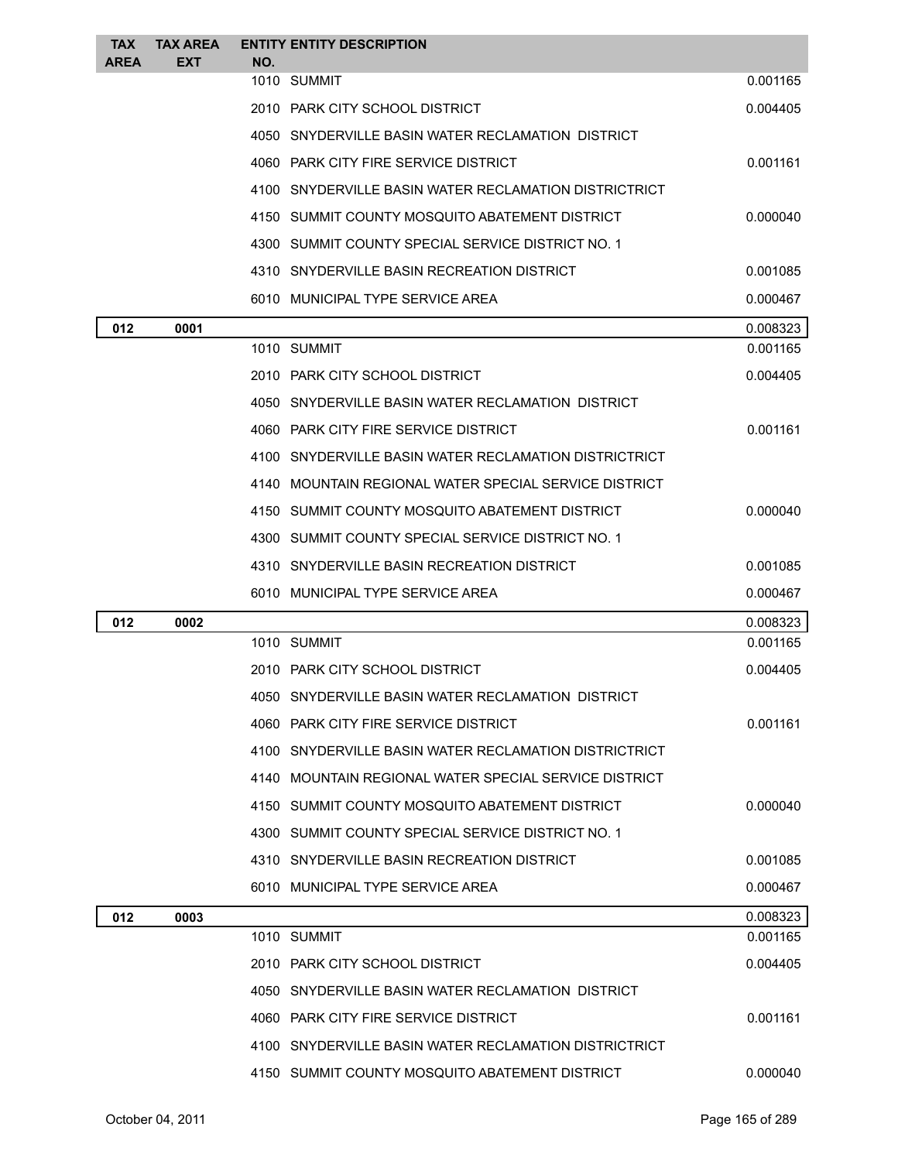| <b>TAX</b>  | <b>TAX AREA</b> |     | <b>ENTITY ENTITY DESCRIPTION</b>                      |          |
|-------------|-----------------|-----|-------------------------------------------------------|----------|
| <b>AREA</b> | EXT             | NO. | 1010 SUMMIT                                           | 0.001165 |
|             |                 |     | 2010 PARK CITY SCHOOL DISTRICT                        | 0.004405 |
|             |                 |     | 4050 SNYDERVILLE BASIN WATER RECLAMATION DISTRICT     |          |
|             |                 |     | 4060 PARK CITY FIRE SERVICE DISTRICT                  | 0.001161 |
|             |                 |     | 4100 SNYDERVILLE BASIN WATER RECLAMATION DISTRICTRICT |          |
|             |                 |     | 4150 SUMMIT COUNTY MOSQUITO ABATEMENT DISTRICT        | 0.000040 |
|             |                 |     | 4300 SUMMIT COUNTY SPECIAL SERVICE DISTRICT NO. 1     |          |
|             |                 |     | 4310 SNYDERVILLE BASIN RECREATION DISTRICT            | 0.001085 |
|             |                 |     | 6010 MUNICIPAL TYPE SERVICE AREA                      | 0.000467 |
| 012         | 0001            |     |                                                       | 0.008323 |
|             |                 |     | 1010 SUMMIT                                           | 0.001165 |
|             |                 |     | 2010 PARK CITY SCHOOL DISTRICT                        | 0.004405 |
|             |                 |     | 4050 SNYDERVILLE BASIN WATER RECLAMATION DISTRICT     |          |
|             |                 |     | 4060 PARK CITY FIRE SERVICE DISTRICT                  | 0.001161 |
|             |                 |     | 4100 SNYDERVILLE BASIN WATER RECLAMATION DISTRICTRICT |          |
|             |                 |     | 4140 MOUNTAIN REGIONAL WATER SPECIAL SERVICE DISTRICT |          |
|             |                 |     | 4150 SUMMIT COUNTY MOSQUITO ABATEMENT DISTRICT        | 0.000040 |
|             |                 |     | 4300 SUMMIT COUNTY SPECIAL SERVICE DISTRICT NO. 1     |          |
|             |                 |     | 4310 SNYDERVILLE BASIN RECREATION DISTRICT            | 0.001085 |
|             |                 |     | 6010 MUNICIPAL TYPE SERVICE AREA                      | 0.000467 |
| 012         | 0002            |     |                                                       | 0.008323 |
|             |                 |     | 1010 SUMMIT                                           | 0.001165 |
|             |                 |     | 2010 PARK CITY SCHOOL DISTRICT                        | 0.004405 |
|             |                 |     | 4050 SNYDERVILLE BASIN WATER RECLAMATION DISTRICT     |          |
|             |                 |     |                                                       |          |
|             |                 |     | 4060 PARK CITY FIRE SERVICE DISTRICT                  | 0.001161 |
|             |                 |     | 4100 SNYDERVILLE BASIN WATER RECLAMATION DISTRICTRICT |          |
|             |                 |     | 4140 MOUNTAIN REGIONAL WATER SPECIAL SERVICE DISTRICT |          |
|             |                 |     | 4150 SUMMIT COUNTY MOSQUITO ABATEMENT DISTRICT        | 0.000040 |
|             |                 |     | 4300 SUMMIT COUNTY SPECIAL SERVICE DISTRICT NO. 1     |          |
|             |                 |     | 4310 SNYDERVILLE BASIN RECREATION DISTRICT            | 0.001085 |
|             |                 |     | 6010 MUNICIPAL TYPE SERVICE AREA                      | 0.000467 |
| 012         | 0003            |     |                                                       | 0.008323 |
|             |                 |     | 1010 SUMMIT                                           | 0.001165 |
|             |                 |     | 2010 PARK CITY SCHOOL DISTRICT                        | 0.004405 |
|             |                 |     | 4050 SNYDERVILLE BASIN WATER RECLAMATION DISTRICT     |          |
|             |                 |     | 4060 PARK CITY FIRE SERVICE DISTRICT                  | 0.001161 |
|             |                 |     | 4100 SNYDERVILLE BASIN WATER RECLAMATION DISTRICTRICT |          |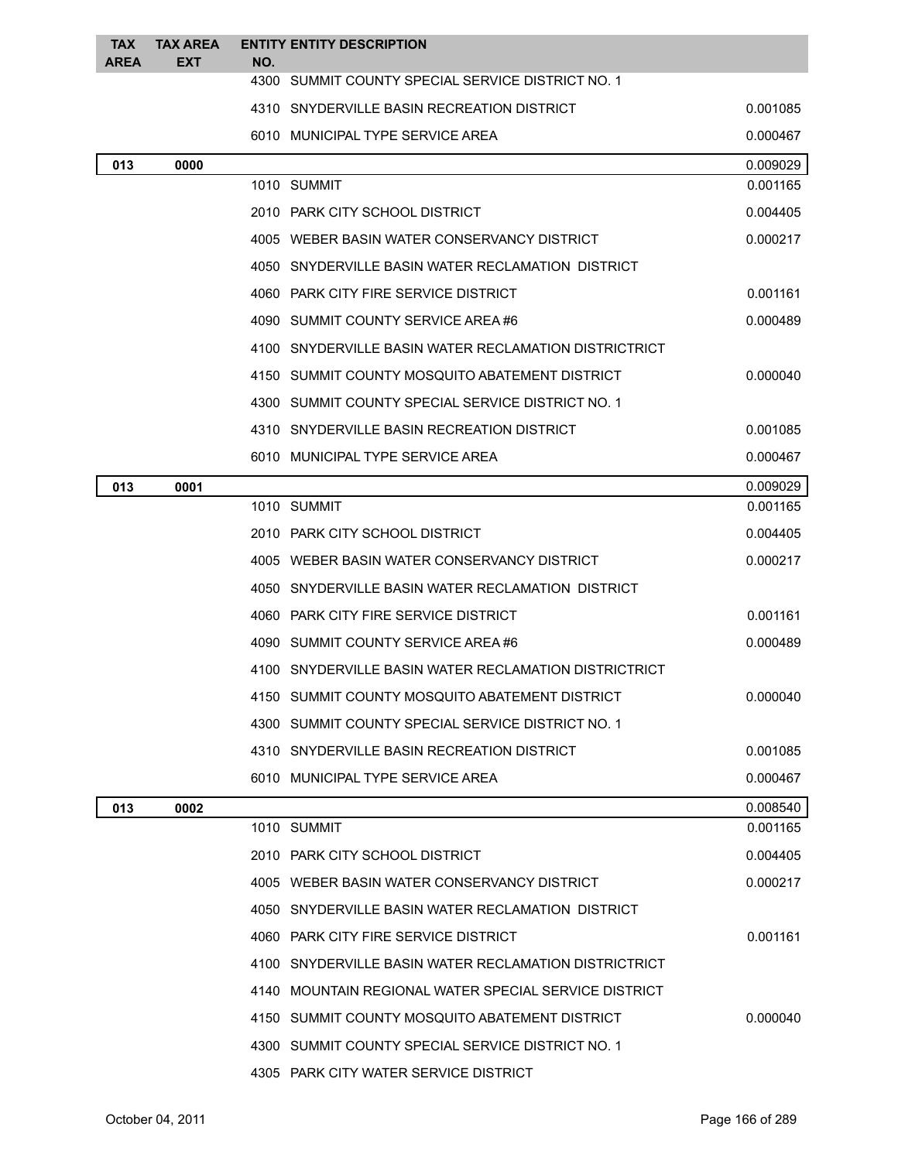| <b>TAX</b><br><b>AREA</b> | <b>TAX AREA</b><br><b>EXT</b> | NO. | <b>ENTITY ENTITY DESCRIPTION</b>                       |          |
|---------------------------|-------------------------------|-----|--------------------------------------------------------|----------|
|                           |                               |     | 4300 SUMMIT COUNTY SPECIAL SERVICE DISTRICT NO. 1      |          |
|                           |                               |     | 4310 SNYDERVILLE BASIN RECREATION DISTRICT<br>0.001085 |          |
|                           |                               |     | 6010 MUNICIPAL TYPE SERVICE AREA                       | 0.000467 |
| 013                       | 0000                          |     |                                                        | 0.009029 |
|                           |                               |     | 1010 SUMMIT                                            | 0.001165 |
|                           |                               |     | 2010 PARK CITY SCHOOL DISTRICT                         | 0.004405 |
|                           |                               |     | 4005 WEBER BASIN WATER CONSERVANCY DISTRICT            | 0.000217 |
|                           |                               |     | 4050 SNYDERVILLE BASIN WATER RECLAMATION DISTRICT      |          |
|                           |                               |     | 4060 PARK CITY FIRE SERVICE DISTRICT                   | 0.001161 |
|                           |                               |     | 4090 SUMMIT COUNTY SERVICE AREA #6                     | 0.000489 |
|                           |                               |     | 4100 SNYDERVILLE BASIN WATER RECLAMATION DISTRICTRICT  |          |
|                           |                               |     | 4150 SUMMIT COUNTY MOSQUITO ABATEMENT DISTRICT         | 0.000040 |
|                           |                               |     | 4300 SUMMIT COUNTY SPECIAL SERVICE DISTRICT NO. 1      |          |
|                           |                               |     | 4310 SNYDERVILLE BASIN RECREATION DISTRICT             | 0.001085 |
|                           |                               |     | 6010 MUNICIPAL TYPE SERVICE AREA                       | 0.000467 |
| 013                       | 0001                          |     |                                                        | 0.009029 |
|                           |                               |     | 1010 SUMMIT                                            | 0.001165 |
|                           |                               |     | 2010 PARK CITY SCHOOL DISTRICT                         | 0.004405 |
|                           |                               |     | 4005 WEBER BASIN WATER CONSERVANCY DISTRICT            | 0.000217 |
|                           |                               |     | 4050 SNYDERVILLE BASIN WATER RECLAMATION DISTRICT      |          |
|                           |                               |     | 4060 PARK CITY FIRE SERVICE DISTRICT                   | 0.001161 |
|                           |                               |     | 4090 SUMMIT COUNTY SERVICE AREA #6                     | 0.000489 |
|                           |                               |     | 4100 SNYDERVILLE BASIN WATER RECLAMATION DISTRICTRICT  |          |
|                           |                               |     | 4150 SUMMIT COUNTY MOSQUITO ABATEMENT DISTRICT         | 0.000040 |
|                           |                               |     | 4300 SUMMIT COUNTY SPECIAL SERVICE DISTRICT NO. 1      |          |
|                           |                               |     | 4310 SNYDERVILLE BASIN RECREATION DISTRICT             | 0.001085 |
|                           |                               |     | 6010 MUNICIPAL TYPE SERVICE AREA                       | 0.000467 |
| 013                       | 0002                          |     |                                                        | 0.008540 |
|                           |                               |     | 1010 SUMMIT                                            | 0.001165 |
|                           |                               |     | 2010 PARK CITY SCHOOL DISTRICT                         | 0.004405 |
|                           |                               |     | 4005 WEBER BASIN WATER CONSERVANCY DISTRICT            | 0.000217 |
|                           |                               |     | 4050 SNYDERVILLE BASIN WATER RECLAMATION DISTRICT      |          |
|                           |                               |     | 4060 PARK CITY FIRE SERVICE DISTRICT                   | 0.001161 |
|                           |                               |     | 4100 SNYDERVILLE BASIN WATER RECLAMATION DISTRICTRICT  |          |
|                           |                               |     | 4140 MOUNTAIN REGIONAL WATER SPECIAL SERVICE DISTRICT  |          |
|                           |                               |     | 4150 SUMMIT COUNTY MOSQUITO ABATEMENT DISTRICT         | 0.000040 |
|                           |                               |     | 4300 SUMMIT COUNTY SPECIAL SERVICE DISTRICT NO. 1      |          |
|                           |                               |     | 4305 PARK CITY WATER SERVICE DISTRICT                  |          |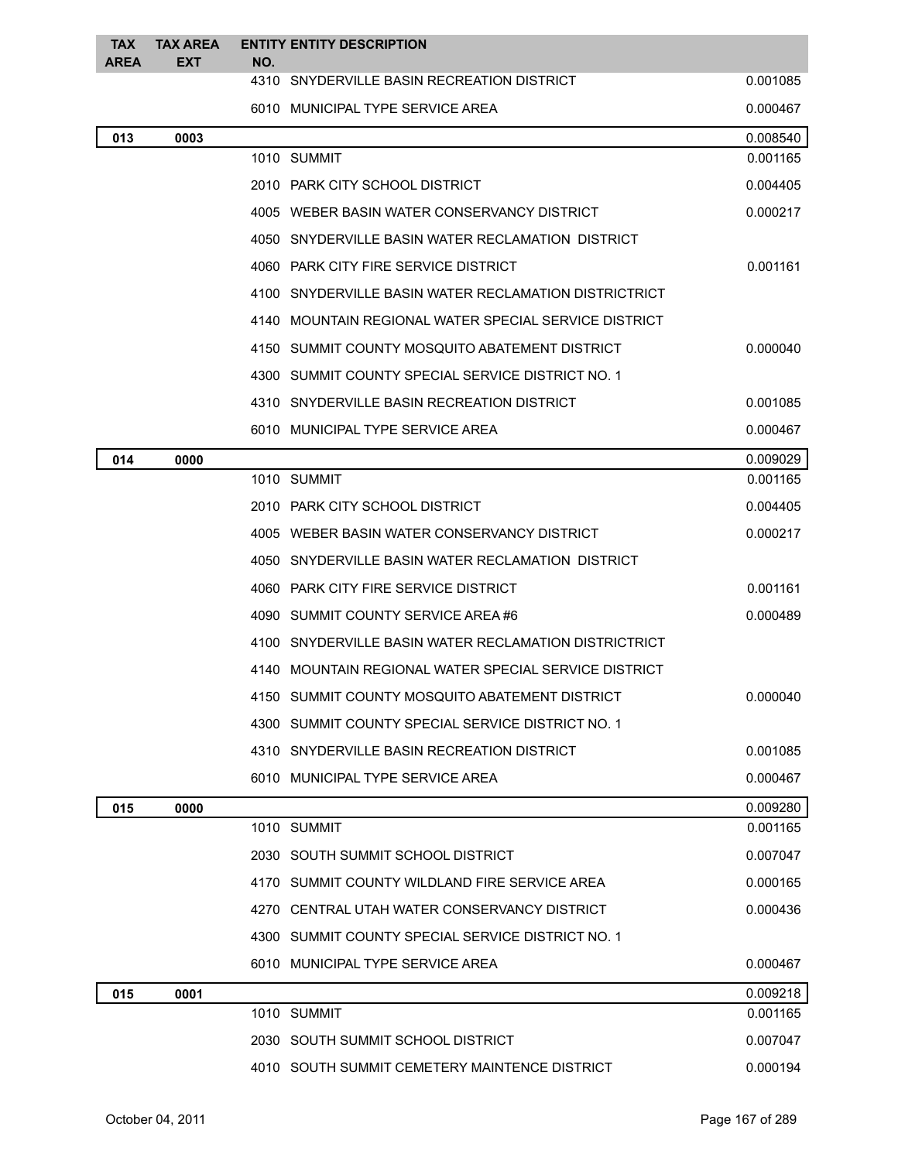| <b>TAX</b><br><b>AREA</b> | <b>TAX AREA</b><br><b>EXT</b> | <b>ENTITY ENTITY DESCRIPTION</b><br>NO. |                                                       |          |
|---------------------------|-------------------------------|-----------------------------------------|-------------------------------------------------------|----------|
|                           |                               |                                         | 4310 SNYDERVILLE BASIN RECREATION DISTRICT            | 0.001085 |
|                           |                               |                                         | 6010 MUNICIPAL TYPE SERVICE AREA                      | 0.000467 |
| 013                       | 0003                          |                                         |                                                       | 0.008540 |
|                           |                               | 1010 SUMMIT                             |                                                       | 0.001165 |
|                           |                               |                                         | 2010 PARK CITY SCHOOL DISTRICT                        | 0.004405 |
|                           |                               |                                         | 4005 WEBER BASIN WATER CONSERVANCY DISTRICT           | 0.000217 |
|                           |                               |                                         | 4050 SNYDERVILLE BASIN WATER RECLAMATION DISTRICT     |          |
|                           |                               |                                         | 4060 PARK CITY FIRE SERVICE DISTRICT                  | 0.001161 |
|                           |                               |                                         | 4100 SNYDERVILLE BASIN WATER RECLAMATION DISTRICTRICT |          |
|                           |                               |                                         | 4140 MOUNTAIN REGIONAL WATER SPECIAL SERVICE DISTRICT |          |
|                           |                               |                                         | 4150 SUMMIT COUNTY MOSQUITO ABATEMENT DISTRICT        | 0.000040 |
|                           |                               |                                         | 4300 SUMMIT COUNTY SPECIAL SERVICE DISTRICT NO. 1     |          |
|                           |                               |                                         | 4310 SNYDERVILLE BASIN RECREATION DISTRICT            | 0.001085 |
|                           |                               |                                         | 6010 MUNICIPAL TYPE SERVICE AREA                      | 0.000467 |
| 014                       | 0000                          |                                         |                                                       | 0.009029 |
|                           |                               | 1010 SUMMIT                             |                                                       | 0.001165 |
|                           |                               |                                         | 2010 PARK CITY SCHOOL DISTRICT                        | 0.004405 |
|                           |                               |                                         | 4005 WEBER BASIN WATER CONSERVANCY DISTRICT           | 0.000217 |
|                           |                               |                                         | 4050 SNYDERVILLE BASIN WATER RECLAMATION DISTRICT     |          |
|                           |                               |                                         | 4060 PARK CITY FIRE SERVICE DISTRICT                  | 0.001161 |
|                           |                               |                                         | 4090 SUMMIT COUNTY SERVICE AREA #6                    | 0.000489 |
|                           |                               |                                         | 4100 SNYDERVILLE BASIN WATER RECLAMATION DISTRICTRICT |          |
|                           |                               |                                         | 4140 MOUNTAIN REGIONAL WATER SPECIAL SERVICE DISTRICT |          |
|                           |                               |                                         | 4150 SUMMIT COUNTY MOSQUITO ABATEMENT DISTRICT        | 0.000040 |
|                           |                               |                                         | 4300 SUMMIT COUNTY SPECIAL SERVICE DISTRICT NO. 1     |          |
|                           |                               |                                         | 4310 SNYDERVILLE BASIN RECREATION DISTRICT            | 0.001085 |
|                           |                               |                                         | 6010 MUNICIPAL TYPE SERVICE AREA                      | 0.000467 |
| 015                       | 0000                          |                                         |                                                       | 0.009280 |
|                           |                               | 1010 SUMMIT                             |                                                       | 0.001165 |
|                           |                               |                                         | 2030 SOUTH SUMMIT SCHOOL DISTRICT                     | 0.007047 |
|                           |                               |                                         | 4170 SUMMIT COUNTY WILDLAND FIRE SERVICE AREA         | 0.000165 |
|                           |                               |                                         | 4270 CENTRAL UTAH WATER CONSERVANCY DISTRICT          | 0.000436 |
|                           |                               |                                         | 4300 SUMMIT COUNTY SPECIAL SERVICE DISTRICT NO. 1     |          |
|                           |                               |                                         | 6010 MUNICIPAL TYPE SERVICE AREA                      | 0.000467 |
| 015                       | 0001                          |                                         |                                                       | 0.009218 |
|                           |                               | 1010 SUMMIT                             |                                                       | 0.001165 |
|                           |                               |                                         | 2030 SOUTH SUMMIT SCHOOL DISTRICT                     | 0.007047 |
|                           |                               |                                         | 4010 SOUTH SUMMIT CEMETERY MAINTENCE DISTRICT         | 0.000194 |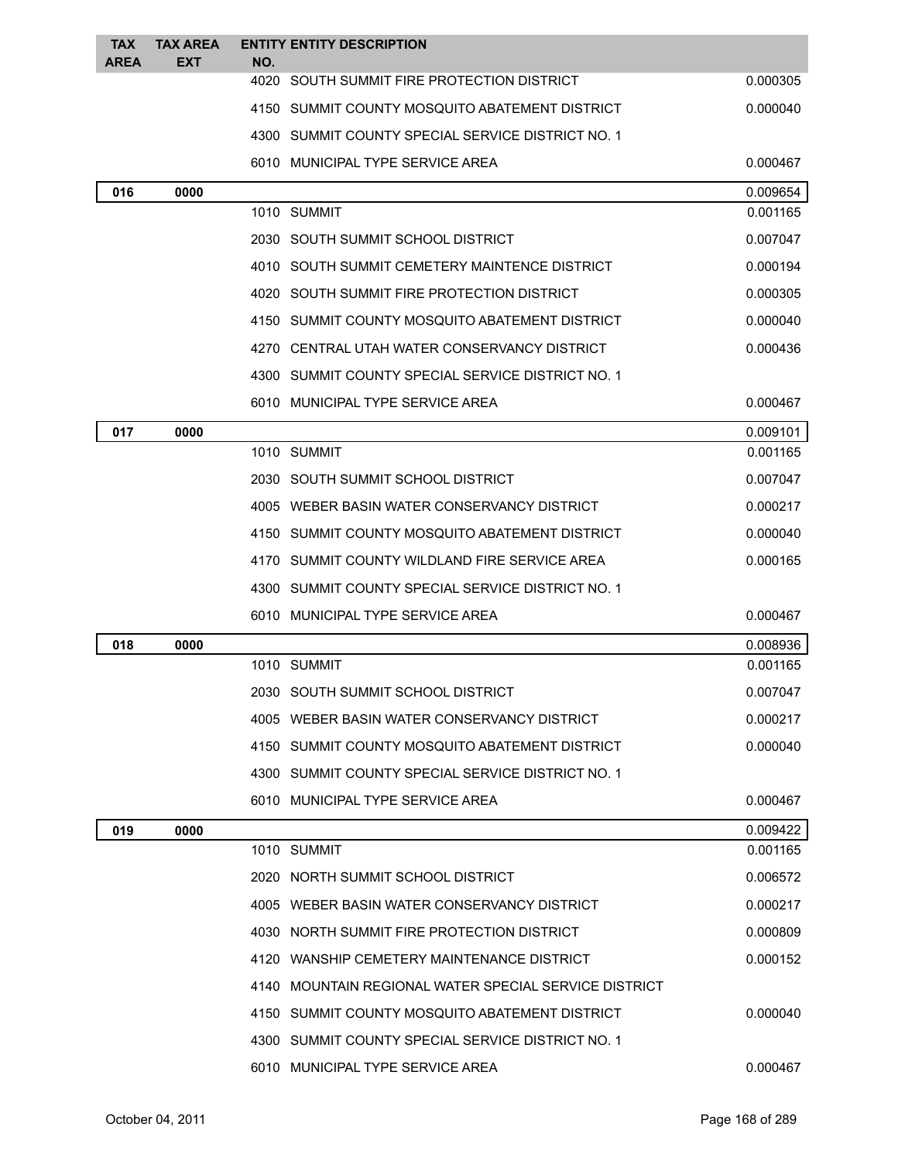| <b>TAX</b>  | <b>TAX AREA</b> |     | <b>ENTITY ENTITY DESCRIPTION</b>                      |                      |
|-------------|-----------------|-----|-------------------------------------------------------|----------------------|
| <b>AREA</b> | EXT             | NO. | 4020 SOUTH SUMMIT FIRE PROTECTION DISTRICT            | 0.000305             |
|             |                 |     | 4150 SUMMIT COUNTY MOSQUITO ABATEMENT DISTRICT        | 0.000040             |
|             |                 |     |                                                       |                      |
|             |                 |     | 4300 SUMMIT COUNTY SPECIAL SERVICE DISTRICT NO. 1     |                      |
|             |                 |     | 6010 MUNICIPAL TYPE SERVICE AREA                      | 0.000467             |
| 016         | 0000            |     | 1010 SUMMIT                                           | 0.009654<br>0.001165 |
|             |                 |     | 2030 SOUTH SUMMIT SCHOOL DISTRICT                     | 0.007047             |
|             |                 |     | 4010 SOUTH SUMMIT CEMETERY MAINTENCE DISTRICT         | 0.000194             |
|             |                 |     | 4020 SOUTH SUMMIT FIRE PROTECTION DISTRICT            |                      |
|             |                 |     |                                                       | 0.000305             |
|             |                 |     | 4150 SUMMIT COUNTY MOSQUITO ABATEMENT DISTRICT        | 0.000040             |
|             |                 |     | 4270 CENTRAL UTAH WATER CONSERVANCY DISTRICT          | 0.000436             |
|             |                 |     | 4300 SUMMIT COUNTY SPECIAL SERVICE DISTRICT NO. 1     |                      |
|             |                 |     | 6010 MUNICIPAL TYPE SERVICE AREA                      | 0.000467             |
| 017         | 0000            |     | 1010 SUMMIT                                           | 0.009101             |
|             |                 |     |                                                       | 0.001165             |
|             |                 |     | 2030 SOUTH SUMMIT SCHOOL DISTRICT                     | 0.007047             |
|             |                 |     | 4005 WEBER BASIN WATER CONSERVANCY DISTRICT           | 0.000217             |
|             |                 |     | 4150 SUMMIT COUNTY MOSQUITO ABATEMENT DISTRICT        | 0.000040             |
|             |                 |     | 4170 SUMMIT COUNTY WILDLAND FIRE SERVICE AREA         | 0.000165             |
|             |                 |     | 4300 SUMMIT COUNTY SPECIAL SERVICE DISTRICT NO. 1     |                      |
|             |                 |     | 6010 MUNICIPAL TYPE SERVICE AREA                      | 0.000467             |
| 018         | 0000            |     |                                                       | 0.008936             |
|             |                 |     | 1010 SUMMIT                                           | 0.001165             |
|             |                 |     | 2030 SOUTH SUMMIT SCHOOL DISTRICT                     | 0.007047             |
|             |                 |     | 4005 WEBER BASIN WATER CONSERVANCY DISTRICT           | 0.000217             |
|             |                 |     | 4150 SUMMIT COUNTY MOSQUITO ABATEMENT DISTRICT        | 0.000040             |
|             |                 |     | 4300 SUMMIT COUNTY SPECIAL SERVICE DISTRICT NO. 1     |                      |
|             |                 |     | 6010 MUNICIPAL TYPE SERVICE AREA                      | 0.000467             |
| 019         | 0000            |     |                                                       | 0.009422             |
|             |                 |     | 1010 SUMMIT                                           | 0.001165             |
|             |                 |     | 2020 NORTH SUMMIT SCHOOL DISTRICT                     | 0.006572             |
|             |                 |     | 4005 WEBER BASIN WATER CONSERVANCY DISTRICT           | 0.000217             |
|             |                 |     | 4030 NORTH SUMMIT FIRE PROTECTION DISTRICT            | 0.000809             |
|             |                 |     | 4120 WANSHIP CEMETERY MAINTENANCE DISTRICT            | 0.000152             |
|             |                 |     | 4140 MOUNTAIN REGIONAL WATER SPECIAL SERVICE DISTRICT |                      |
|             |                 |     | 4150 SUMMIT COUNTY MOSQUITO ABATEMENT DISTRICT        | 0.000040             |
|             |                 |     | 4300 SUMMIT COUNTY SPECIAL SERVICE DISTRICT NO. 1     |                      |
|             |                 |     | 6010 MUNICIPAL TYPE SERVICE AREA                      | 0.000467             |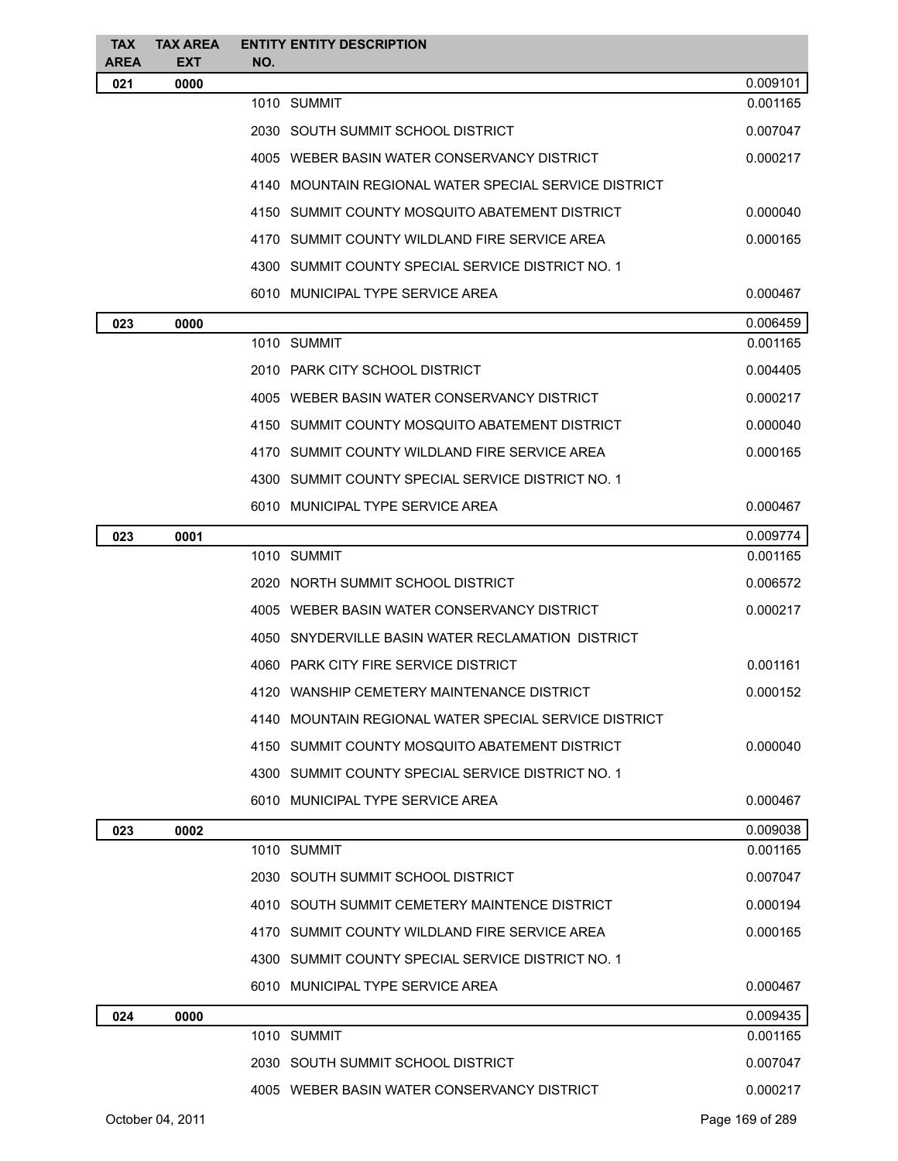| <b>TAX</b><br><b>AREA</b> | <b>TAX AREA</b><br><b>EXT</b> |     | <b>ENTITY ENTITY DESCRIPTION</b>                      |                 |
|---------------------------|-------------------------------|-----|-------------------------------------------------------|-----------------|
| 021                       | 0000                          | NO. |                                                       | 0.009101        |
|                           |                               |     | 1010 SUMMIT                                           | 0.001165        |
|                           |                               |     | 2030 SOUTH SUMMIT SCHOOL DISTRICT                     | 0.007047        |
|                           |                               |     | 4005 WEBER BASIN WATER CONSERVANCY DISTRICT           | 0.000217        |
|                           |                               |     | 4140 MOUNTAIN REGIONAL WATER SPECIAL SERVICE DISTRICT |                 |
|                           |                               |     | 4150 SUMMIT COUNTY MOSQUITO ABATEMENT DISTRICT        | 0.000040        |
|                           |                               |     | 4170 SUMMIT COUNTY WILDLAND FIRE SERVICE AREA         | 0.000165        |
|                           |                               |     | 4300 SUMMIT COUNTY SPECIAL SERVICE DISTRICT NO. 1     |                 |
|                           |                               |     | 6010 MUNICIPAL TYPE SERVICE AREA                      | 0.000467        |
| 023                       | 0000                          |     |                                                       | 0.006459        |
|                           |                               |     | 1010 SUMMIT                                           | 0.001165        |
|                           |                               |     | 2010 PARK CITY SCHOOL DISTRICT                        | 0.004405        |
|                           |                               |     | 4005 WEBER BASIN WATER CONSERVANCY DISTRICT           | 0.000217        |
|                           |                               |     | 4150 SUMMIT COUNTY MOSQUITO ABATEMENT DISTRICT        | 0.000040        |
|                           |                               |     | 4170 SUMMIT COUNTY WILDLAND FIRE SERVICE AREA         | 0.000165        |
|                           |                               |     | 4300 SUMMIT COUNTY SPECIAL SERVICE DISTRICT NO. 1     |                 |
|                           |                               |     | 6010 MUNICIPAL TYPE SERVICE AREA                      | 0.000467        |
| 023                       | 0001                          |     |                                                       | 0.009774        |
|                           |                               |     | 1010 SUMMIT                                           | 0.001165        |
|                           |                               |     | 2020 NORTH SUMMIT SCHOOL DISTRICT                     | 0.006572        |
|                           |                               |     | 4005 WEBER BASIN WATER CONSERVANCY DISTRICT           | 0.000217        |
|                           |                               |     | 4050 SNYDERVILLE BASIN WATER RECLAMATION DISTRICT     |                 |
|                           |                               |     | 4060 PARK CITY FIRE SERVICE DISTRICT                  | 0.001161        |
|                           |                               |     | 4120 WANSHIP CEMETERY MAINTENANCE DISTRICT            | 0.000152        |
|                           |                               |     | 4140 MOUNTAIN REGIONAL WATER SPECIAL SERVICE DISTRICT |                 |
|                           |                               |     | 4150 SUMMIT COUNTY MOSQUITO ABATEMENT DISTRICT        | 0.000040        |
|                           |                               |     | 4300 SUMMIT COUNTY SPECIAL SERVICE DISTRICT NO. 1     |                 |
|                           |                               |     | 6010 MUNICIPAL TYPE SERVICE AREA                      | 0.000467        |
| 023                       | 0002                          |     |                                                       | 0.009038        |
|                           |                               |     | 1010 SUMMIT                                           | 0.001165        |
|                           |                               |     | 2030 SOUTH SUMMIT SCHOOL DISTRICT                     | 0.007047        |
|                           |                               |     | 4010 SOUTH SUMMIT CEMETERY MAINTENCE DISTRICT         | 0.000194        |
|                           |                               |     | 4170 SUMMIT COUNTY WILDLAND FIRE SERVICE AREA         | 0.000165        |
|                           |                               |     | 4300 SUMMIT COUNTY SPECIAL SERVICE DISTRICT NO. 1     |                 |
|                           |                               |     | 6010 MUNICIPAL TYPE SERVICE AREA                      | 0.000467        |
| 024                       | 0000                          |     |                                                       | 0.009435        |
|                           |                               |     | 1010 SUMMIT                                           | 0.001165        |
|                           |                               |     | 2030 SOUTH SUMMIT SCHOOL DISTRICT                     | 0.007047        |
|                           |                               |     | 4005 WEBER BASIN WATER CONSERVANCY DISTRICT           | 0.000217        |
|                           | October 04, 2011              |     |                                                       | Page 169 of 289 |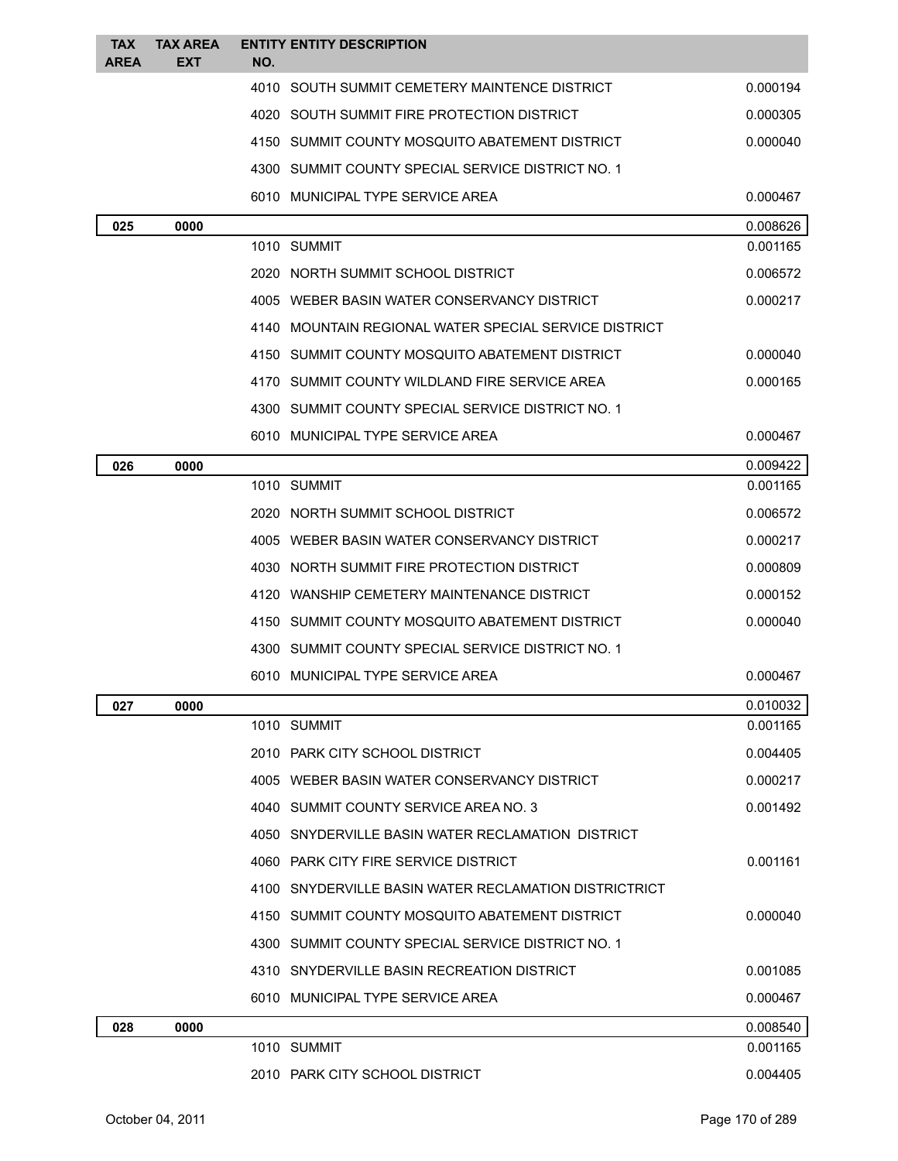| <b>TAX</b><br><b>AREA</b> | <b>TAX AREA</b><br><b>EXT</b> | <b>ENTITY ENTITY DESCRIPTION</b><br>NO.               |          |
|---------------------------|-------------------------------|-------------------------------------------------------|----------|
|                           |                               | 4010 SOUTH SUMMIT CEMETERY MAINTENCE DISTRICT         | 0.000194 |
|                           |                               | 4020 SOUTH SUMMIT FIRE PROTECTION DISTRICT            | 0.000305 |
|                           |                               | 4150 SUMMIT COUNTY MOSQUITO ABATEMENT DISTRICT        | 0.000040 |
|                           |                               | 4300 SUMMIT COUNTY SPECIAL SERVICE DISTRICT NO. 1     |          |
|                           |                               | 6010 MUNICIPAL TYPE SERVICE AREA                      | 0.000467 |
| 025                       | 0000                          |                                                       | 0.008626 |
|                           |                               | 1010 SUMMIT                                           | 0.001165 |
|                           |                               | 2020 NORTH SUMMIT SCHOOL DISTRICT                     | 0.006572 |
|                           |                               | 4005 WEBER BASIN WATER CONSERVANCY DISTRICT           | 0.000217 |
|                           |                               | 4140 MOUNTAIN REGIONAL WATER SPECIAL SERVICE DISTRICT |          |
|                           |                               | 4150 SUMMIT COUNTY MOSQUITO ABATEMENT DISTRICT        | 0.000040 |
|                           |                               | 4170 SUMMIT COUNTY WILDLAND FIRE SERVICE AREA         | 0.000165 |
|                           |                               | 4300 SUMMIT COUNTY SPECIAL SERVICE DISTRICT NO. 1     |          |
|                           |                               | 6010 MUNICIPAL TYPE SERVICE AREA                      | 0.000467 |
| 026                       | 0000                          |                                                       | 0.009422 |
|                           |                               | 1010 SUMMIT                                           | 0.001165 |
|                           |                               | 2020 NORTH SUMMIT SCHOOL DISTRICT                     | 0.006572 |
|                           |                               | 4005 WEBER BASIN WATER CONSERVANCY DISTRICT           | 0.000217 |
|                           |                               | 4030 NORTH SUMMIT FIRE PROTECTION DISTRICT            | 0.000809 |
|                           |                               | 4120 WANSHIP CEMETERY MAINTENANCE DISTRICT            | 0.000152 |
|                           |                               | 4150 SUMMIT COUNTY MOSQUITO ABATEMENT DISTRICT        | 0.000040 |
|                           |                               | 4300 SUMMIT COUNTY SPECIAL SERVICE DISTRICT NO. 1     |          |
|                           |                               | 6010 MUNICIPAL TYPE SERVICE AREA                      | 0.000467 |
| 027                       | 0000                          |                                                       | 0.010032 |
|                           |                               | 1010 SUMMIT                                           | 0.001165 |
|                           |                               | 2010 PARK CITY SCHOOL DISTRICT                        | 0.004405 |
|                           |                               | 4005 WEBER BASIN WATER CONSERVANCY DISTRICT           | 0.000217 |
|                           |                               | 4040 SUMMIT COUNTY SERVICE AREA NO. 3                 | 0.001492 |
|                           |                               | 4050 SNYDERVILLE BASIN WATER RECLAMATION DISTRICT     |          |
|                           |                               | 4060 PARK CITY FIRE SERVICE DISTRICT                  | 0.001161 |
|                           |                               | 4100 SNYDERVILLE BASIN WATER RECLAMATION DISTRICTRICT |          |
|                           |                               | 4150 SUMMIT COUNTY MOSQUITO ABATEMENT DISTRICT        | 0.000040 |
|                           |                               | 4300 SUMMIT COUNTY SPECIAL SERVICE DISTRICT NO. 1     |          |
|                           |                               | 4310 SNYDERVILLE BASIN RECREATION DISTRICT            | 0.001085 |
|                           |                               | 6010 MUNICIPAL TYPE SERVICE AREA                      | 0.000467 |
| 028                       | 0000                          |                                                       | 0.008540 |
|                           |                               | 1010 SUMMIT                                           | 0.001165 |
|                           |                               | 2010 PARK CITY SCHOOL DISTRICT                        | 0.004405 |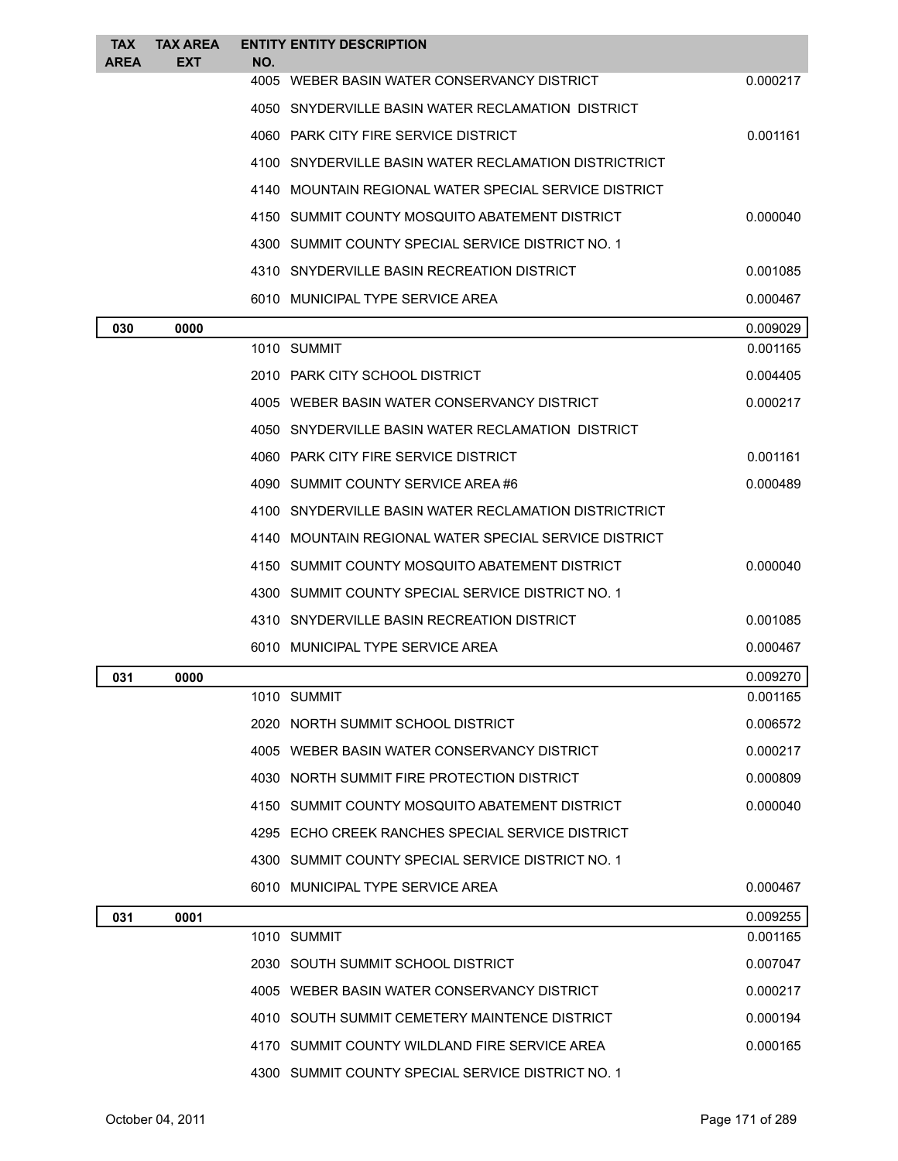| <b>TAX</b><br><b>AREA</b> | <b>TAX AREA</b><br>EXT | NO. | <b>ENTITY ENTITY DESCRIPTION</b>                      |          |
|---------------------------|------------------------|-----|-------------------------------------------------------|----------|
|                           |                        |     | 4005 WEBER BASIN WATER CONSERVANCY DISTRICT           | 0.000217 |
|                           |                        |     | 4050 SNYDERVILLE BASIN WATER RECLAMATION DISTRICT     |          |
|                           |                        |     | 4060 PARK CITY FIRE SERVICE DISTRICT                  | 0.001161 |
|                           |                        |     | 4100 SNYDERVILLE BASIN WATER RECLAMATION DISTRICTRICT |          |
|                           |                        |     | 4140 MOUNTAIN REGIONAL WATER SPECIAL SERVICE DISTRICT |          |
|                           |                        |     | 4150 SUMMIT COUNTY MOSQUITO ABATEMENT DISTRICT        | 0.000040 |
|                           |                        |     | 4300 SUMMIT COUNTY SPECIAL SERVICE DISTRICT NO. 1     |          |
|                           |                        |     | 4310 SNYDERVILLE BASIN RECREATION DISTRICT            | 0.001085 |
|                           |                        |     | 6010 MUNICIPAL TYPE SERVICE AREA                      | 0.000467 |
| 030                       | 0000                   |     |                                                       | 0.009029 |
|                           |                        |     | 1010 SUMMIT                                           | 0.001165 |
|                           |                        |     | 2010 PARK CITY SCHOOL DISTRICT                        | 0.004405 |
|                           |                        |     | 4005 WEBER BASIN WATER CONSERVANCY DISTRICT           | 0.000217 |
|                           |                        |     | 4050 SNYDERVILLE BASIN WATER RECLAMATION DISTRICT     |          |
|                           |                        |     | 4060 PARK CITY FIRE SERVICE DISTRICT                  | 0.001161 |
|                           |                        |     | 4090 SUMMIT COUNTY SERVICE AREA #6                    | 0.000489 |
|                           |                        |     | 4100 SNYDERVILLE BASIN WATER RECLAMATION DISTRICTRICT |          |
|                           |                        |     | 4140 MOUNTAIN REGIONAL WATER SPECIAL SERVICE DISTRICT |          |
|                           |                        |     | 4150 SUMMIT COUNTY MOSQUITO ABATEMENT DISTRICT        | 0.000040 |
|                           |                        |     | 4300 SUMMIT COUNTY SPECIAL SERVICE DISTRICT NO. 1     |          |
|                           |                        |     | 4310 SNYDERVILLE BASIN RECREATION DISTRICT            | 0.001085 |
|                           |                        |     | 6010 MUNICIPAL TYPE SERVICE AREA                      | 0.000467 |
| 031                       | 0000                   |     |                                                       | 0.009270 |
|                           |                        |     | 1010 SUMMIT                                           | 0.001165 |
|                           |                        |     | 2020 NORTH SUMMIT SCHOOL DISTRICT                     | 0.006572 |
|                           |                        |     | 4005 WEBER BASIN WATER CONSERVANCY DISTRICT           | 0.000217 |
|                           |                        |     | 4030 NORTH SUMMIT FIRE PROTECTION DISTRICT            | 0.000809 |
|                           |                        |     | 4150 SUMMIT COUNTY MOSQUITO ABATEMENT DISTRICT        | 0.000040 |
|                           |                        |     | 4295 ECHO CREEK RANCHES SPECIAL SERVICE DISTRICT      |          |
|                           |                        |     | 4300 SUMMIT COUNTY SPECIAL SERVICE DISTRICT NO. 1     |          |
|                           |                        |     | 6010 MUNICIPAL TYPE SERVICE AREA                      | 0.000467 |
| 031                       | 0001                   |     |                                                       | 0.009255 |
|                           |                        |     | 1010 SUMMIT                                           | 0.001165 |
|                           |                        |     | 2030 SOUTH SUMMIT SCHOOL DISTRICT                     | 0.007047 |
|                           |                        |     | 4005 WEBER BASIN WATER CONSERVANCY DISTRICT           | 0.000217 |
|                           |                        |     | 4010 SOUTH SUMMIT CEMETERY MAINTENCE DISTRICT         | 0.000194 |
|                           |                        |     | 4170 SUMMIT COUNTY WILDLAND FIRE SERVICE AREA         | 0.000165 |
|                           |                        |     | 4300 SUMMIT COUNTY SPECIAL SERVICE DISTRICT NO. 1     |          |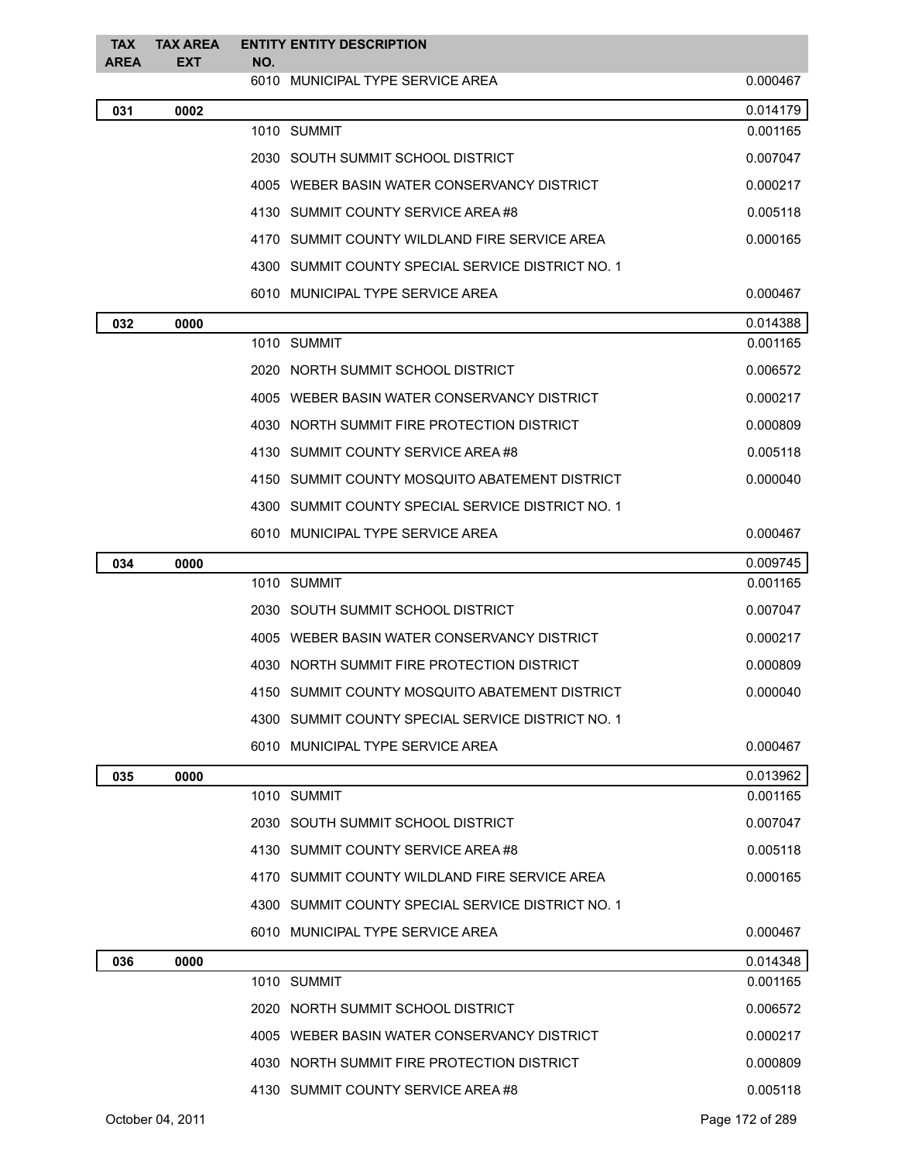| <b>TAX</b><br><b>AREA</b> | <b>TAX AREA</b><br><b>EXT</b> | NO. | <b>ENTITY ENTITY DESCRIPTION</b>                  |          |
|---------------------------|-------------------------------|-----|---------------------------------------------------|----------|
|                           |                               |     | 6010 MUNICIPAL TYPE SERVICE AREA                  | 0.000467 |
| 031                       | 0002                          |     |                                                   | 0.014179 |
|                           |                               |     | 1010 SUMMIT                                       | 0.001165 |
|                           |                               |     | 2030 SOUTH SUMMIT SCHOOL DISTRICT                 | 0.007047 |
|                           |                               |     | 4005 WEBER BASIN WATER CONSERVANCY DISTRICT       | 0.000217 |
|                           |                               |     | 4130 SUMMIT COUNTY SERVICE AREA #8                | 0.005118 |
|                           |                               |     | 4170 SUMMIT COUNTY WILDLAND FIRE SERVICE AREA     | 0.000165 |
|                           |                               |     | 4300 SUMMIT COUNTY SPECIAL SERVICE DISTRICT NO. 1 |          |
|                           |                               |     | 6010 MUNICIPAL TYPE SERVICE AREA                  | 0.000467 |
| 032                       | 0000                          |     |                                                   | 0.014388 |
|                           |                               |     | 1010 SUMMIT                                       | 0.001165 |
|                           |                               |     | 2020 NORTH SUMMIT SCHOOL DISTRICT                 | 0.006572 |
|                           |                               |     | 4005 WEBER BASIN WATER CONSERVANCY DISTRICT       | 0.000217 |
|                           |                               |     | 4030 NORTH SUMMIT FIRE PROTECTION DISTRICT        | 0.000809 |
|                           |                               |     | 4130 SUMMIT COUNTY SERVICE AREA #8                | 0.005118 |
|                           |                               |     | 4150 SUMMIT COUNTY MOSQUITO ABATEMENT DISTRICT    | 0.000040 |
|                           |                               |     | 4300 SUMMIT COUNTY SPECIAL SERVICE DISTRICT NO. 1 |          |
|                           |                               |     | 6010 MUNICIPAL TYPE SERVICE AREA                  | 0.000467 |
| 034                       | 0000                          |     |                                                   | 0.009745 |
|                           |                               |     | 1010 SUMMIT                                       | 0.001165 |
|                           |                               |     | 2030 SOUTH SUMMIT SCHOOL DISTRICT                 | 0.007047 |
|                           |                               |     | 4005 WEBER BASIN WATER CONSERVANCY DISTRICT       | 0.000217 |
|                           |                               |     | 4030 NORTH SUMMIT FIRE PROTECTION DISTRICT        | 0.000809 |
|                           |                               |     | 4150 SUMMIT COUNTY MOSQUITO ABATEMENT DISTRICT    | 0.000040 |
|                           |                               |     | 4300 SUMMIT COUNTY SPECIAL SERVICE DISTRICT NO. 1 |          |
|                           |                               |     | 6010 MUNICIPAL TYPE SERVICE AREA                  | 0.000467 |
| 035                       | 0000                          |     |                                                   | 0.013962 |
|                           |                               |     | 1010 SUMMIT                                       | 0.001165 |
|                           |                               |     | 2030 SOUTH SUMMIT SCHOOL DISTRICT                 | 0.007047 |
|                           |                               |     | 4130 SUMMIT COUNTY SERVICE AREA #8                | 0.005118 |
|                           |                               |     | 4170 SUMMIT COUNTY WILDLAND FIRE SERVICE AREA     | 0.000165 |
|                           |                               |     | 4300 SUMMIT COUNTY SPECIAL SERVICE DISTRICT NO. 1 |          |
|                           |                               |     | 6010 MUNICIPAL TYPE SERVICE AREA                  | 0.000467 |
| 036                       | 0000                          |     |                                                   | 0.014348 |
|                           |                               |     | 1010 SUMMIT                                       | 0.001165 |
|                           |                               |     | 2020 NORTH SUMMIT SCHOOL DISTRICT                 | 0.006572 |
|                           |                               |     | 4005 WEBER BASIN WATER CONSERVANCY DISTRICT       | 0.000217 |
|                           |                               |     | 4030 NORTH SUMMIT FIRE PROTECTION DISTRICT        | 0.000809 |
|                           |                               |     | 4130 SUMMIT COUNTY SERVICE AREA #8                | 0.005118 |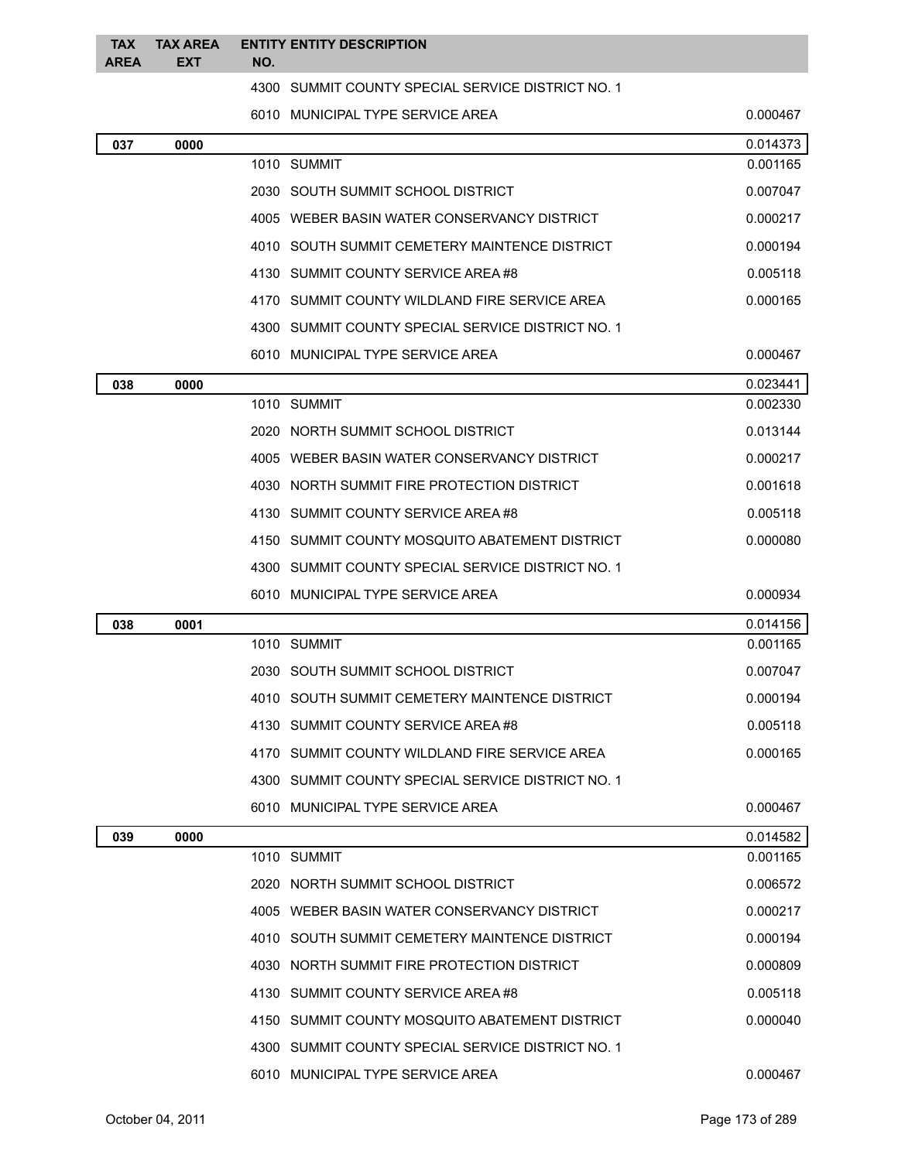| <b>TAX</b><br><b>AREA</b> | <b>TAX AREA</b><br><b>EXT</b> | NO. | <b>ENTITY ENTITY DESCRIPTION</b>                  |          |
|---------------------------|-------------------------------|-----|---------------------------------------------------|----------|
|                           |                               |     | 4300 SUMMIT COUNTY SPECIAL SERVICE DISTRICT NO. 1 |          |
|                           |                               |     | 6010 MUNICIPAL TYPE SERVICE AREA                  | 0.000467 |
| 037                       | 0000                          |     |                                                   | 0.014373 |
|                           |                               |     | 1010 SUMMIT                                       | 0.001165 |
|                           |                               |     | 2030 SOUTH SUMMIT SCHOOL DISTRICT                 | 0.007047 |
|                           |                               |     | 4005 WEBER BASIN WATER CONSERVANCY DISTRICT       | 0.000217 |
|                           |                               |     | 4010 SOUTH SUMMIT CEMETERY MAINTENCE DISTRICT     | 0.000194 |
|                           |                               |     | 4130 SUMMIT COUNTY SERVICE AREA #8                | 0.005118 |
|                           |                               |     | 4170 SUMMIT COUNTY WILDLAND FIRE SERVICE AREA     | 0.000165 |
|                           |                               |     | 4300 SUMMIT COUNTY SPECIAL SERVICE DISTRICT NO. 1 |          |
|                           |                               |     | 6010 MUNICIPAL TYPE SERVICE AREA                  | 0.000467 |
| 038                       | 0000                          |     |                                                   | 0.023441 |
|                           |                               |     | 1010 SUMMIT                                       | 0.002330 |
|                           |                               |     | 2020 NORTH SUMMIT SCHOOL DISTRICT                 | 0.013144 |
|                           |                               |     | 4005 WEBER BASIN WATER CONSERVANCY DISTRICT       | 0.000217 |
|                           |                               |     | 4030 NORTH SUMMIT FIRE PROTECTION DISTRICT        | 0.001618 |
|                           |                               |     | 4130 SUMMIT COUNTY SERVICE AREA #8                | 0.005118 |
|                           |                               |     | 4150 SUMMIT COUNTY MOSQUITO ABATEMENT DISTRICT    | 0.000080 |
|                           |                               |     | 4300 SUMMIT COUNTY SPECIAL SERVICE DISTRICT NO. 1 |          |
|                           |                               |     | 6010 MUNICIPAL TYPE SERVICE AREA                  | 0.000934 |
| 038                       | 0001                          |     |                                                   | 0.014156 |
|                           |                               |     | 1010 SUMMIT                                       | 0.001165 |
|                           |                               |     | 2030 SOUTH SUMMIT SCHOOL DISTRICT                 | 0.007047 |
|                           |                               |     | 4010 SOUTH SUMMIT CEMETERY MAINTENCE DISTRICT     | 0.000194 |
|                           |                               |     | 4130 SUMMIT COUNTY SERVICE AREA #8                | 0.005118 |
|                           |                               |     | 4170 SUMMIT COUNTY WILDLAND FIRE SERVICE AREA     | 0.000165 |
|                           |                               |     | 4300 SUMMIT COUNTY SPECIAL SERVICE DISTRICT NO. 1 |          |
|                           |                               |     | 6010 MUNICIPAL TYPE SERVICE AREA                  | 0.000467 |
| 039                       | 0000                          |     |                                                   | 0.014582 |
|                           |                               |     | 1010 SUMMIT                                       | 0.001165 |
|                           |                               |     | 2020 NORTH SUMMIT SCHOOL DISTRICT                 | 0.006572 |
|                           |                               |     | 4005 WEBER BASIN WATER CONSERVANCY DISTRICT       | 0.000217 |
|                           |                               |     | 4010 SOUTH SUMMIT CEMETERY MAINTENCE DISTRICT     | 0.000194 |
|                           |                               |     | 4030 NORTH SUMMIT FIRE PROTECTION DISTRICT        | 0.000809 |
|                           |                               |     | 4130 SUMMIT COUNTY SERVICE AREA #8                | 0.005118 |
|                           |                               |     | 4150 SUMMIT COUNTY MOSQUITO ABATEMENT DISTRICT    | 0.000040 |
|                           |                               |     | 4300 SUMMIT COUNTY SPECIAL SERVICE DISTRICT NO. 1 |          |
|                           |                               |     | 6010 MUNICIPAL TYPE SERVICE AREA                  | 0.000467 |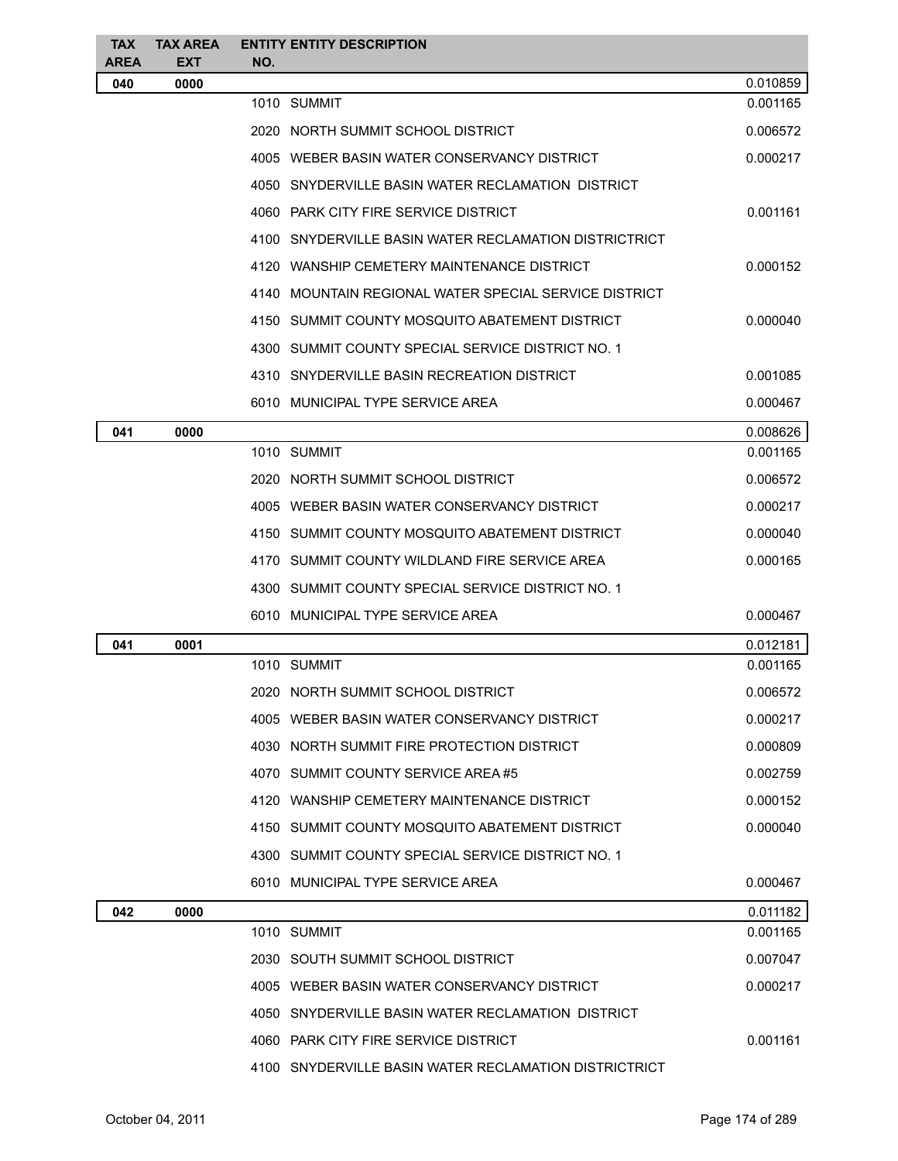| <b>TAX</b>         | <b>TAX AREA</b>    | <b>ENTITY ENTITY DESCRIPTION</b>                      |          |
|--------------------|--------------------|-------------------------------------------------------|----------|
| <b>AREA</b><br>040 | <b>EXT</b><br>0000 | NO.                                                   | 0.010859 |
|                    |                    | 1010 SUMMIT                                           | 0.001165 |
|                    |                    | 2020 NORTH SUMMIT SCHOOL DISTRICT                     | 0.006572 |
|                    |                    | 4005 WEBER BASIN WATER CONSERVANCY DISTRICT           | 0.000217 |
|                    |                    | 4050 SNYDERVILLE BASIN WATER RECLAMATION DISTRICT     |          |
|                    |                    | 4060 PARK CITY FIRE SERVICE DISTRICT                  | 0.001161 |
|                    |                    | 4100 SNYDERVILLE BASIN WATER RECLAMATION DISTRICTRICT |          |
|                    |                    | 4120 WANSHIP CEMETERY MAINTENANCE DISTRICT            | 0.000152 |
|                    |                    | 4140 MOUNTAIN REGIONAL WATER SPECIAL SERVICE DISTRICT |          |
|                    |                    | 4150 SUMMIT COUNTY MOSQUITO ABATEMENT DISTRICT        | 0.000040 |
|                    |                    | 4300 SUMMIT COUNTY SPECIAL SERVICE DISTRICT NO. 1     |          |
|                    |                    | 4310 SNYDERVILLE BASIN RECREATION DISTRICT            | 0.001085 |
|                    |                    | 6010 MUNICIPAL TYPE SERVICE AREA                      | 0.000467 |
| 041                | 0000               |                                                       | 0.008626 |
|                    |                    | 1010 SUMMIT                                           | 0.001165 |
|                    |                    | 2020 NORTH SUMMIT SCHOOL DISTRICT                     | 0.006572 |
|                    |                    | 4005 WEBER BASIN WATER CONSERVANCY DISTRICT           | 0.000217 |
|                    |                    | 4150 SUMMIT COUNTY MOSQUITO ABATEMENT DISTRICT        | 0.000040 |
|                    |                    | 4170 SUMMIT COUNTY WILDLAND FIRE SERVICE AREA         | 0.000165 |
|                    |                    | 4300 SUMMIT COUNTY SPECIAL SERVICE DISTRICT NO. 1     |          |
|                    |                    | 6010 MUNICIPAL TYPE SERVICE AREA                      | 0.000467 |
| 041                | 0001               |                                                       | 0.012181 |
|                    |                    | 1010 SUMMIT                                           | 0.001165 |
|                    |                    | 2020 NORTH SUMMIT SCHOOL DISTRICT                     | 0.006572 |
|                    |                    | 4005 WEBER BASIN WATER CONSERVANCY DISTRICT           | 0.000217 |
|                    |                    | 4030 NORTH SUMMIT FIRE PROTECTION DISTRICT            | 0.000809 |
|                    |                    | 4070 SUMMIT COUNTY SERVICE AREA #5                    | 0.002759 |
|                    |                    | 4120 WANSHIP CEMETERY MAINTENANCE DISTRICT            | 0.000152 |
|                    |                    | 4150 SUMMIT COUNTY MOSQUITO ABATEMENT DISTRICT        | 0.000040 |
|                    |                    | 4300 SUMMIT COUNTY SPECIAL SERVICE DISTRICT NO. 1     |          |
|                    |                    | 6010 MUNICIPAL TYPE SERVICE AREA                      | 0.000467 |
| 042                | 0000               |                                                       | 0.011182 |
|                    |                    | 1010 SUMMIT                                           | 0.001165 |
|                    |                    | 2030 SOUTH SUMMIT SCHOOL DISTRICT                     | 0.007047 |
|                    |                    | 4005 WEBER BASIN WATER CONSERVANCY DISTRICT           | 0.000217 |
|                    |                    | 4050 SNYDERVILLE BASIN WATER RECLAMATION DISTRICT     |          |
|                    |                    | 4060 PARK CITY FIRE SERVICE DISTRICT                  | 0.001161 |
|                    |                    | 4100 SNYDERVILLE BASIN WATER RECLAMATION DISTRICTRICT |          |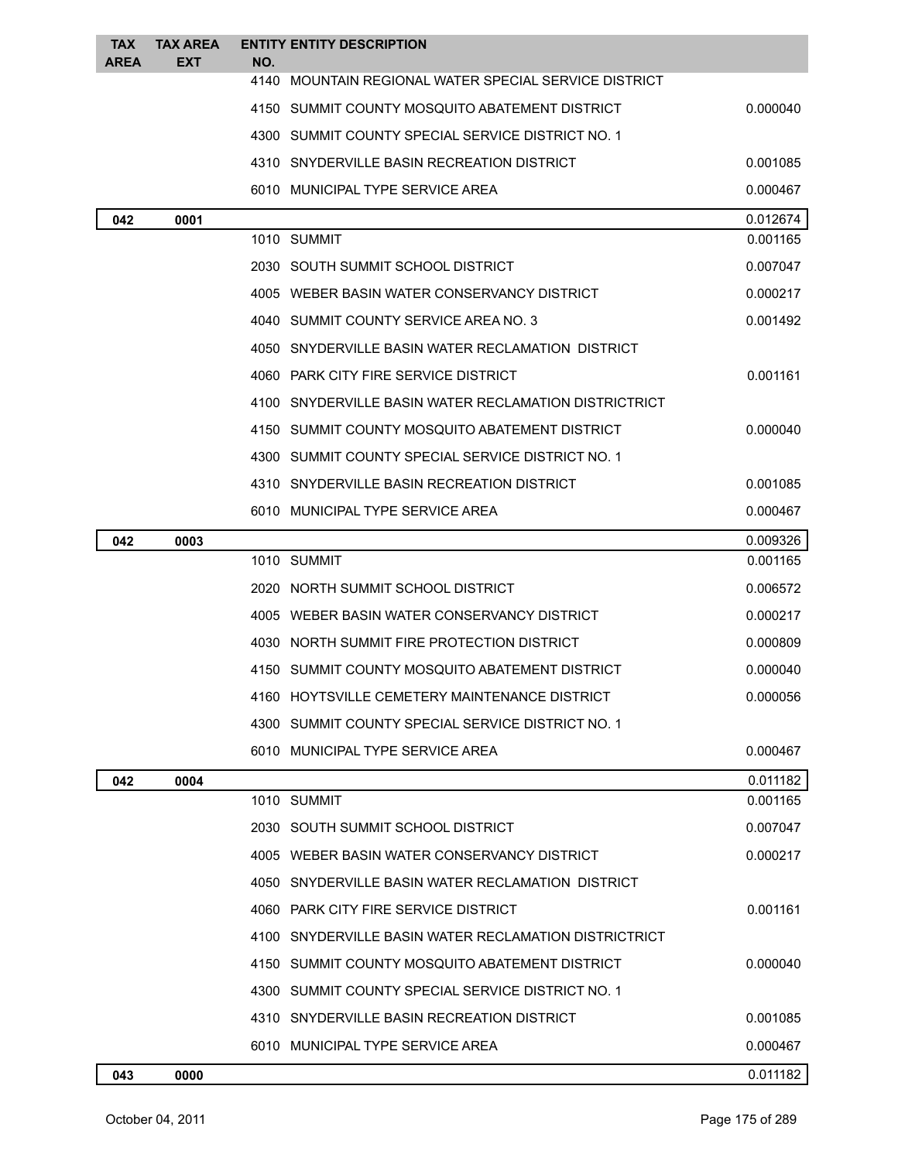| <b>TAX</b><br><b>AREA</b> | <b>TAX AREA</b><br><b>EXT</b> | <b>ENTITY ENTITY DESCRIPTION</b><br>NO.               |          |
|---------------------------|-------------------------------|-------------------------------------------------------|----------|
|                           |                               | 4140 MOUNTAIN REGIONAL WATER SPECIAL SERVICE DISTRICT |          |
|                           |                               | 4150 SUMMIT COUNTY MOSQUITO ABATEMENT DISTRICT        | 0.000040 |
|                           |                               | 4300 SUMMIT COUNTY SPECIAL SERVICE DISTRICT NO. 1     |          |
|                           |                               | 4310 SNYDERVILLE BASIN RECREATION DISTRICT            | 0.001085 |
|                           |                               | 6010 MUNICIPAL TYPE SERVICE AREA                      | 0.000467 |
| 042                       | 0001                          |                                                       | 0.012674 |
|                           |                               | 1010 SUMMIT                                           | 0.001165 |
|                           |                               | 2030 SOUTH SUMMIT SCHOOL DISTRICT                     | 0.007047 |
|                           |                               | 4005 WEBER BASIN WATER CONSERVANCY DISTRICT           | 0.000217 |
|                           |                               | 4040 SUMMIT COUNTY SERVICE AREA NO. 3                 | 0.001492 |
|                           |                               | 4050 SNYDERVILLE BASIN WATER RECLAMATION DISTRICT     |          |
|                           |                               | 4060 PARK CITY FIRE SERVICE DISTRICT                  | 0.001161 |
|                           |                               | 4100 SNYDERVILLE BASIN WATER RECLAMATION DISTRICTRICT |          |
|                           |                               | 4150 SUMMIT COUNTY MOSQUITO ABATEMENT DISTRICT        | 0.000040 |
|                           |                               | 4300 SUMMIT COUNTY SPECIAL SERVICE DISTRICT NO. 1     |          |
|                           |                               | 4310 SNYDERVILLE BASIN RECREATION DISTRICT            | 0.001085 |
|                           |                               | 6010 MUNICIPAL TYPE SERVICE AREA                      | 0.000467 |
| 042                       | 0003                          |                                                       | 0.009326 |
|                           |                               | 1010 SUMMIT                                           | 0.001165 |
|                           |                               | 2020 NORTH SUMMIT SCHOOL DISTRICT                     | 0.006572 |
|                           |                               | 4005 WEBER BASIN WATER CONSERVANCY DISTRICT           | 0.000217 |
|                           |                               | 4030 NORTH SUMMIT FIRE PROTECTION DISTRICT            | 0.000809 |
|                           |                               | 4150 SUMMIT COUNTY MOSQUITO ABATEMENT DISTRICT        | 0.000040 |
|                           |                               | 4160 HOYTSVILLE CEMETERY MAINTENANCE DISTRICT         | 0.000056 |
|                           |                               | 4300 SUMMIT COUNTY SPECIAL SERVICE DISTRICT NO. 1     |          |
|                           |                               | 6010 MUNICIPAL TYPE SERVICE AREA                      | 0.000467 |
| 042                       | 0004                          |                                                       | 0.011182 |
|                           |                               | 1010 SUMMIT                                           | 0.001165 |
|                           |                               | 2030 SOUTH SUMMIT SCHOOL DISTRICT                     | 0.007047 |
|                           |                               | 4005 WEBER BASIN WATER CONSERVANCY DISTRICT           | 0.000217 |
|                           |                               | 4050 SNYDERVILLE BASIN WATER RECLAMATION DISTRICT     |          |
|                           |                               | 4060 PARK CITY FIRE SERVICE DISTRICT                  | 0.001161 |
|                           |                               | 4100 SNYDERVILLE BASIN WATER RECLAMATION DISTRICTRICT |          |
|                           |                               | 4150 SUMMIT COUNTY MOSQUITO ABATEMENT DISTRICT        | 0.000040 |
|                           |                               | 4300 SUMMIT COUNTY SPECIAL SERVICE DISTRICT NO. 1     |          |
|                           |                               | 4310 SNYDERVILLE BASIN RECREATION DISTRICT            | 0.001085 |
|                           |                               | 6010 MUNICIPAL TYPE SERVICE AREA                      | 0.000467 |
| 043                       | 0000                          |                                                       | 0.011182 |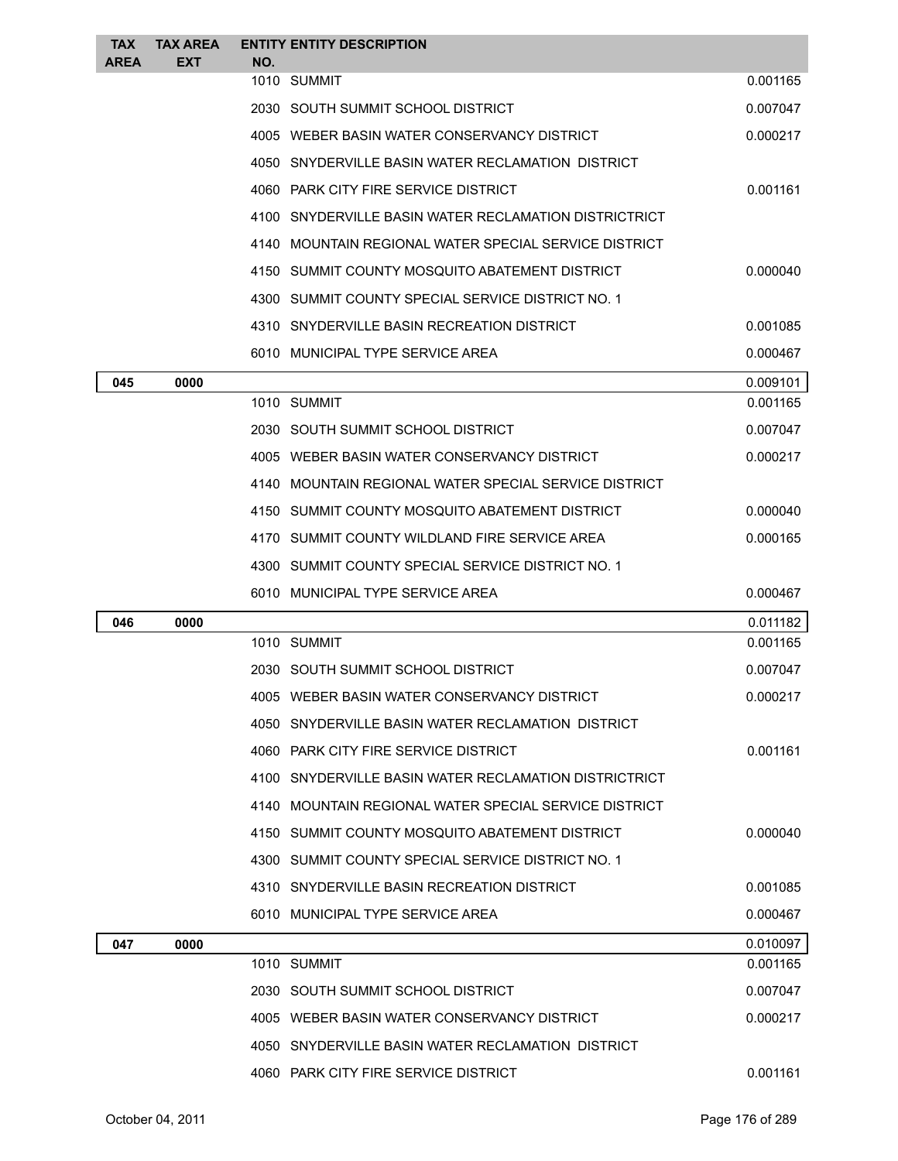| <b>TAX</b>  | <b>TAX AREA</b> |                                                       | <b>ENTITY ENTITY DESCRIPTION</b>                      |          |
|-------------|-----------------|-------------------------------------------------------|-------------------------------------------------------|----------|
| <b>AREA</b> | <b>EXT</b>      | NO.                                                   | 1010 SUMMIT                                           | 0.001165 |
|             |                 |                                                       | 2030 SOUTH SUMMIT SCHOOL DISTRICT                     | 0.007047 |
|             |                 |                                                       | 4005 WEBER BASIN WATER CONSERVANCY DISTRICT           | 0.000217 |
|             |                 |                                                       | 4050 SNYDERVILLE BASIN WATER RECLAMATION DISTRICT     |          |
|             |                 |                                                       | 4060 PARK CITY FIRE SERVICE DISTRICT                  | 0.001161 |
|             |                 |                                                       | 4100 SNYDERVILLE BASIN WATER RECLAMATION DISTRICTRICT |          |
|             |                 | 4140 MOUNTAIN REGIONAL WATER SPECIAL SERVICE DISTRICT |                                                       |          |
|             |                 |                                                       | 4150 SUMMIT COUNTY MOSQUITO ABATEMENT DISTRICT        | 0.000040 |
|             |                 |                                                       | 4300 SUMMIT COUNTY SPECIAL SERVICE DISTRICT NO. 1     |          |
|             |                 |                                                       | 4310 SNYDERVILLE BASIN RECREATION DISTRICT            | 0.001085 |
|             |                 |                                                       | 6010 MUNICIPAL TYPE SERVICE AREA                      | 0.000467 |
| 045         | 0000            |                                                       |                                                       | 0.009101 |
|             |                 |                                                       | 1010 SUMMIT                                           | 0.001165 |
|             |                 |                                                       | 2030 SOUTH SUMMIT SCHOOL DISTRICT                     | 0.007047 |
|             |                 |                                                       | 4005 WEBER BASIN WATER CONSERVANCY DISTRICT           | 0.000217 |
|             |                 |                                                       | 4140 MOUNTAIN REGIONAL WATER SPECIAL SERVICE DISTRICT |          |
|             |                 |                                                       | 4150 SUMMIT COUNTY MOSQUITO ABATEMENT DISTRICT        | 0.000040 |
|             |                 |                                                       | 4170 SUMMIT COUNTY WILDLAND FIRE SERVICE AREA         | 0.000165 |
|             |                 |                                                       | 4300 SUMMIT COUNTY SPECIAL SERVICE DISTRICT NO. 1     |          |
|             |                 |                                                       | 6010 MUNICIPAL TYPE SERVICE AREA                      | 0.000467 |
| 046         | 0000            |                                                       |                                                       | 0.011182 |
|             |                 |                                                       | 1010 SUMMIT                                           | 0.001165 |
|             |                 |                                                       | 2030 SOUTH SUMMIT SCHOOL DISTRICT                     | 0.007047 |
|             |                 |                                                       | 4005 WEBER BASIN WATER CONSERVANCY DISTRICT           | 0.000217 |
|             |                 |                                                       | 4050 SNYDERVILLE BASIN WATER RECLAMATION DISTRICT     |          |
|             |                 |                                                       | 4060 PARK CITY FIRE SERVICE DISTRICT                  | 0.001161 |
|             |                 |                                                       | 4100 SNYDERVILLE BASIN WATER RECLAMATION DISTRICTRICT |          |
|             |                 |                                                       | 4140 MOUNTAIN REGIONAL WATER SPECIAL SERVICE DISTRICT |          |
|             |                 |                                                       | 4150 SUMMIT COUNTY MOSQUITO ABATEMENT DISTRICT        | 0.000040 |
|             |                 |                                                       | 4300 SUMMIT COUNTY SPECIAL SERVICE DISTRICT NO. 1     |          |
|             |                 |                                                       | 4310 SNYDERVILLE BASIN RECREATION DISTRICT            | 0.001085 |
|             |                 |                                                       | 6010 MUNICIPAL TYPE SERVICE AREA                      | 0.000467 |
| 047         | 0000            |                                                       |                                                       | 0.010097 |
|             |                 |                                                       | 1010 SUMMIT                                           | 0.001165 |
|             |                 |                                                       | 2030 SOUTH SUMMIT SCHOOL DISTRICT                     | 0.007047 |
|             |                 |                                                       | 4005 WEBER BASIN WATER CONSERVANCY DISTRICT           | 0.000217 |
|             |                 |                                                       | 4050 SNYDERVILLE BASIN WATER RECLAMATION DISTRICT     |          |
|             |                 |                                                       | 4060 PARK CITY FIRE SERVICE DISTRICT                  | 0.001161 |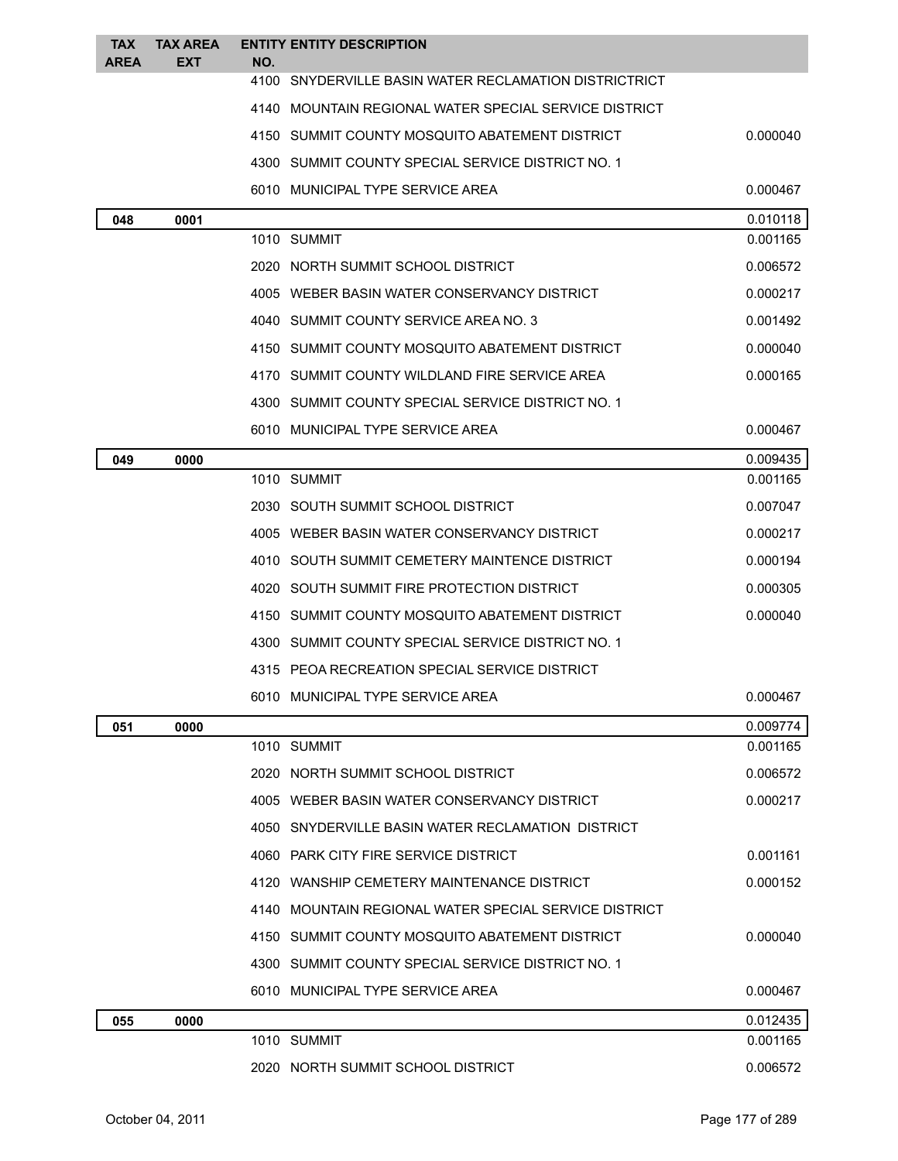| <b>TAX</b><br><b>AREA</b> | <b>TAX AREA</b><br><b>EXT</b> | <b>ENTITY ENTITY DESCRIPTION</b><br>NO.               |          |
|---------------------------|-------------------------------|-------------------------------------------------------|----------|
|                           |                               | 4100 SNYDERVILLE BASIN WATER RECLAMATION DISTRICTRICT |          |
|                           |                               | 4140 MOUNTAIN REGIONAL WATER SPECIAL SERVICE DISTRICT |          |
|                           |                               | 4150 SUMMIT COUNTY MOSQUITO ABATEMENT DISTRICT        | 0.000040 |
|                           |                               | 4300 SUMMIT COUNTY SPECIAL SERVICE DISTRICT NO. 1     |          |
|                           |                               | 6010 MUNICIPAL TYPE SERVICE AREA                      | 0.000467 |
| 048                       | 0001                          |                                                       | 0.010118 |
|                           |                               | 1010 SUMMIT                                           | 0.001165 |
|                           |                               | 2020 NORTH SUMMIT SCHOOL DISTRICT                     | 0.006572 |
|                           |                               | 4005 WEBER BASIN WATER CONSERVANCY DISTRICT           | 0.000217 |
|                           |                               | 4040 SUMMIT COUNTY SERVICE AREA NO. 3                 | 0.001492 |
|                           |                               | 4150 SUMMIT COUNTY MOSQUITO ABATEMENT DISTRICT        | 0.000040 |
|                           |                               | 4170 SUMMIT COUNTY WILDLAND FIRE SERVICE AREA         | 0.000165 |
|                           |                               | 4300 SUMMIT COUNTY SPECIAL SERVICE DISTRICT NO. 1     |          |
|                           |                               | 6010 MUNICIPAL TYPE SERVICE AREA                      | 0.000467 |
| 049                       | 0000                          |                                                       | 0.009435 |
|                           |                               | 1010 SUMMIT                                           | 0.001165 |
|                           |                               | 2030 SOUTH SUMMIT SCHOOL DISTRICT                     | 0.007047 |
|                           |                               | 4005 WEBER BASIN WATER CONSERVANCY DISTRICT           | 0.000217 |
|                           |                               | 4010 SOUTH SUMMIT CEMETERY MAINTENCE DISTRICT         | 0.000194 |
|                           |                               | 4020 SOUTH SUMMIT FIRE PROTECTION DISTRICT            | 0.000305 |
|                           |                               | 4150 SUMMIT COUNTY MOSQUITO ABATEMENT DISTRICT        | 0.000040 |
|                           |                               | 4300 SUMMIT COUNTY SPECIAL SERVICE DISTRICT NO. 1     |          |
|                           |                               | 4315 PEOA RECREATION SPECIAL SERVICE DISTRICT         |          |
|                           |                               | 6010 MUNICIPAL TYPE SERVICE AREA                      | 0.000467 |
| 051                       | 0000                          |                                                       | 0.009774 |
|                           |                               | 1010 SUMMIT                                           | 0.001165 |
|                           |                               | 2020 NORTH SUMMIT SCHOOL DISTRICT                     | 0.006572 |
|                           |                               | 4005 WEBER BASIN WATER CONSERVANCY DISTRICT           | 0.000217 |
|                           |                               | 4050 SNYDERVILLE BASIN WATER RECLAMATION DISTRICT     |          |
|                           |                               | 4060 PARK CITY FIRE SERVICE DISTRICT                  | 0.001161 |
|                           |                               | 4120 WANSHIP CEMETERY MAINTENANCE DISTRICT            | 0.000152 |
|                           |                               | 4140 MOUNTAIN REGIONAL WATER SPECIAL SERVICE DISTRICT |          |
|                           |                               | 4150 SUMMIT COUNTY MOSQUITO ABATEMENT DISTRICT        | 0.000040 |
|                           |                               | 4300 SUMMIT COUNTY SPECIAL SERVICE DISTRICT NO. 1     |          |
|                           |                               | 6010 MUNICIPAL TYPE SERVICE AREA                      | 0.000467 |
| 055                       | 0000                          |                                                       | 0.012435 |
|                           |                               | 1010 SUMMIT                                           | 0.001165 |
|                           |                               | 2020 NORTH SUMMIT SCHOOL DISTRICT                     | 0.006572 |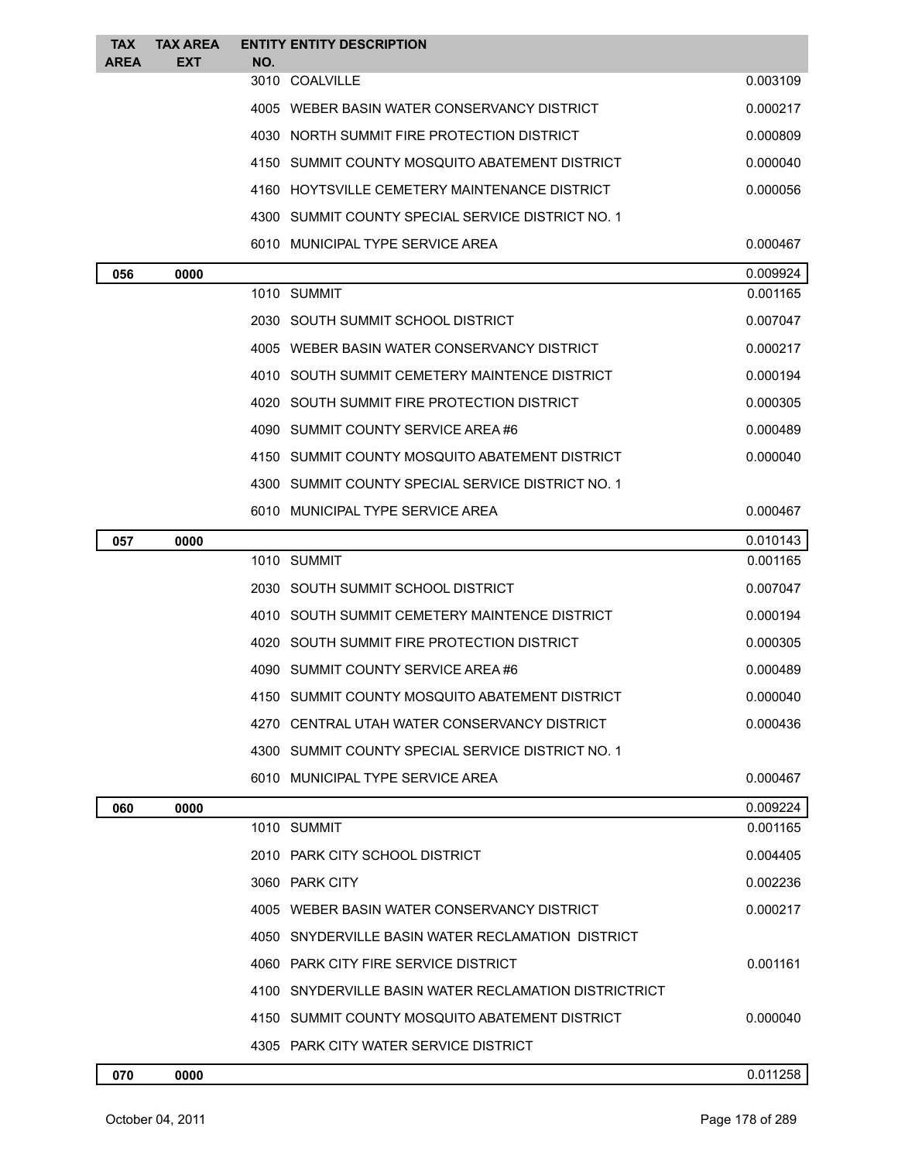| <b>TAX</b><br><b>AREA</b> | <b>TAX AREA</b><br>EXT | NO. | <b>ENTITY ENTITY DESCRIPTION</b>                      |          |
|---------------------------|------------------------|-----|-------------------------------------------------------|----------|
|                           |                        |     | 3010 COALVILLE                                        | 0.003109 |
|                           |                        |     | 4005 WEBER BASIN WATER CONSERVANCY DISTRICT           | 0.000217 |
|                           |                        |     | 4030 NORTH SUMMIT FIRE PROTECTION DISTRICT            | 0.000809 |
|                           |                        |     | 4150 SUMMIT COUNTY MOSQUITO ABATEMENT DISTRICT        | 0.000040 |
|                           |                        |     | 4160 HOYTSVILLE CEMETERY MAINTENANCE DISTRICT         | 0.000056 |
|                           |                        |     | 4300 SUMMIT COUNTY SPECIAL SERVICE DISTRICT NO. 1     |          |
|                           |                        |     | 6010 MUNICIPAL TYPE SERVICE AREA                      | 0.000467 |
| 056                       | 0000                   |     |                                                       | 0.009924 |
|                           |                        |     | 1010 SUMMIT                                           | 0.001165 |
|                           |                        |     | 2030 SOUTH SUMMIT SCHOOL DISTRICT                     | 0.007047 |
|                           |                        |     | 4005 WEBER BASIN WATER CONSERVANCY DISTRICT           | 0.000217 |
|                           |                        |     | 4010 SOUTH SUMMIT CEMETERY MAINTENCE DISTRICT         | 0.000194 |
|                           |                        |     | 4020 SOUTH SUMMIT FIRE PROTECTION DISTRICT            | 0.000305 |
|                           |                        |     | 4090 SUMMIT COUNTY SERVICE AREA#6                     | 0.000489 |
|                           |                        |     | 4150 SUMMIT COUNTY MOSQUITO ABATEMENT DISTRICT        | 0.000040 |
|                           |                        |     | 4300 SUMMIT COUNTY SPECIAL SERVICE DISTRICT NO. 1     |          |
|                           |                        |     | 6010 MUNICIPAL TYPE SERVICE AREA                      | 0.000467 |
| 057                       | 0000                   |     |                                                       | 0.010143 |
|                           |                        |     | 1010 SUMMIT                                           | 0.001165 |
|                           |                        |     | 2030 SOUTH SUMMIT SCHOOL DISTRICT                     | 0.007047 |
|                           |                        |     | 4010 SOUTH SUMMIT CEMETERY MAINTENCE DISTRICT         | 0.000194 |
|                           |                        |     | 4020 SOUTH SUMMIT FIRE PROTECTION DISTRICT            | 0.000305 |
|                           |                        |     | 4090 SUMMIT COUNTY SERVICE AREA #6                    | 0.000489 |
|                           |                        |     | 4150 SUMMIT COUNTY MOSQUITO ABATEMENT DISTRICT        | 0.000040 |
|                           |                        |     | 4270 CENTRAL UTAH WATER CONSERVANCY DISTRICT          | 0.000436 |
|                           |                        |     | 4300 SUMMIT COUNTY SPECIAL SERVICE DISTRICT NO. 1     |          |
|                           |                        |     | 6010 MUNICIPAL TYPE SERVICE AREA                      | 0.000467 |
| 060                       | 0000                   |     |                                                       | 0.009224 |
|                           |                        |     | 1010 SUMMIT                                           | 0.001165 |
|                           |                        |     | 2010 PARK CITY SCHOOL DISTRICT                        | 0.004405 |
|                           |                        |     | 3060 PARK CITY                                        | 0.002236 |
|                           |                        |     | 4005 WEBER BASIN WATER CONSERVANCY DISTRICT           | 0.000217 |
|                           |                        |     | 4050 SNYDERVILLE BASIN WATER RECLAMATION DISTRICT     |          |
|                           |                        |     | 4060 PARK CITY FIRE SERVICE DISTRICT                  | 0.001161 |
|                           |                        |     | 4100 SNYDERVILLE BASIN WATER RECLAMATION DISTRICTRICT |          |
|                           |                        |     | 4150 SUMMIT COUNTY MOSQUITO ABATEMENT DISTRICT        | 0.000040 |
|                           |                        |     | 4305 PARK CITY WATER SERVICE DISTRICT                 |          |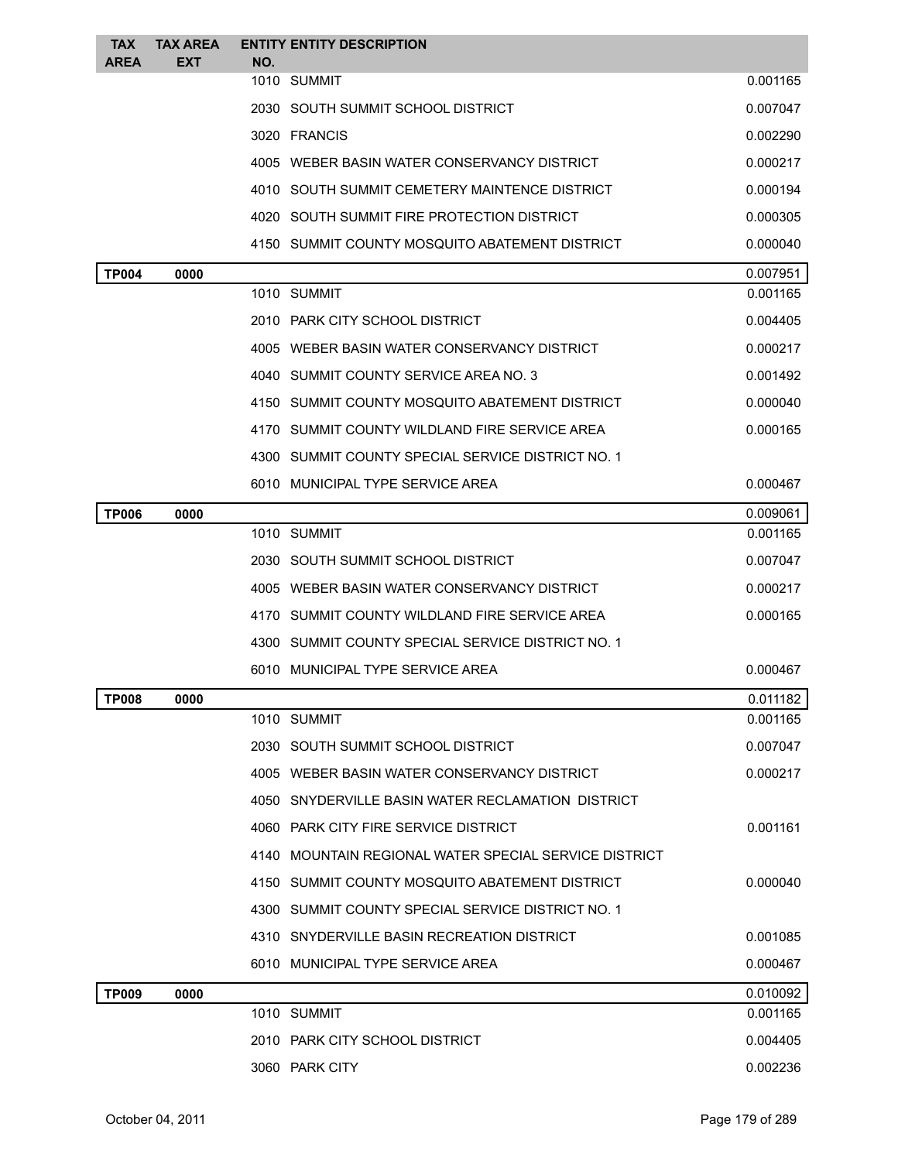| <b>TAX</b>   | <b>TAX AREA</b> |     | <b>ENTITY ENTITY DESCRIPTION</b>                      |                      |
|--------------|-----------------|-----|-------------------------------------------------------|----------------------|
| <b>AREA</b>  | EXT             | NO. | 1010 SUMMIT                                           | 0.001165             |
|              |                 |     | 2030 SOUTH SUMMIT SCHOOL DISTRICT                     | 0.007047             |
|              |                 |     | 3020 FRANCIS                                          |                      |
|              |                 |     |                                                       | 0.002290             |
|              |                 |     | 4005 WEBER BASIN WATER CONSERVANCY DISTRICT           | 0.000217             |
|              |                 |     | 4010 SOUTH SUMMIT CEMETERY MAINTENCE DISTRICT         | 0.000194             |
|              |                 |     | 4020 SOUTH SUMMIT FIRE PROTECTION DISTRICT            | 0.000305             |
|              |                 |     | 4150 SUMMIT COUNTY MOSQUITO ABATEMENT DISTRICT        | 0.000040             |
| <b>TP004</b> | 0000            |     | 1010 SUMMIT                                           | 0.007951<br>0.001165 |
|              |                 |     | 2010 PARK CITY SCHOOL DISTRICT                        | 0.004405             |
|              |                 |     | 4005 WEBER BASIN WATER CONSERVANCY DISTRICT           | 0.000217             |
|              |                 |     | 4040 SUMMIT COUNTY SERVICE AREA NO. 3                 | 0.001492             |
|              |                 |     | 4150 SUMMIT COUNTY MOSQUITO ABATEMENT DISTRICT        | 0.000040             |
|              |                 |     |                                                       |                      |
|              |                 |     | 4170 SUMMIT COUNTY WILDLAND FIRE SERVICE AREA         | 0.000165             |
|              |                 |     | 4300 SUMMIT COUNTY SPECIAL SERVICE DISTRICT NO. 1     |                      |
|              |                 |     | 6010 MUNICIPAL TYPE SERVICE AREA                      | 0.000467             |
| <b>TP006</b> | 0000            |     | 1010 SUMMIT                                           | 0.009061<br>0.001165 |
|              |                 |     | 2030 SOUTH SUMMIT SCHOOL DISTRICT                     | 0.007047             |
|              |                 |     | 4005 WEBER BASIN WATER CONSERVANCY DISTRICT           | 0.000217             |
|              |                 |     | 4170 SUMMIT COUNTY WILDLAND FIRE SERVICE AREA         | 0.000165             |
|              |                 |     | 4300 SUMMIT COUNTY SPECIAL SERVICE DISTRICT NO. 1     |                      |
|              |                 |     | 6010 MUNICIPAL TYPE SERVICE AREA                      | 0.000467             |
|              |                 |     |                                                       |                      |
| <b>TP008</b> | 0000            |     | 1010 SUMMIT                                           | 0.011182<br>0.001165 |
|              |                 |     | 2030 SOUTH SUMMIT SCHOOL DISTRICT                     | 0.007047             |
|              |                 |     | 4005 WEBER BASIN WATER CONSERVANCY DISTRICT           | 0.000217             |
|              |                 |     | 4050 SNYDERVILLE BASIN WATER RECLAMATION DISTRICT     |                      |
|              |                 |     | 4060 PARK CITY FIRE SERVICE DISTRICT                  | 0.001161             |
|              |                 |     | 4140 MOUNTAIN REGIONAL WATER SPECIAL SERVICE DISTRICT |                      |
|              |                 |     | 4150 SUMMIT COUNTY MOSQUITO ABATEMENT DISTRICT        | 0.000040             |
|              |                 |     | 4300 SUMMIT COUNTY SPECIAL SERVICE DISTRICT NO. 1     |                      |
|              |                 |     | 4310 SNYDERVILLE BASIN RECREATION DISTRICT            | 0.001085             |
|              |                 |     | 6010 MUNICIPAL TYPE SERVICE AREA                      | 0.000467             |
| <b>TP009</b> | 0000            |     |                                                       | 0.010092             |
|              |                 |     | 1010 SUMMIT                                           | 0.001165             |
|              |                 |     | 2010 PARK CITY SCHOOL DISTRICT                        | 0.004405             |
|              |                 |     | 3060 PARK CITY                                        | 0.002236             |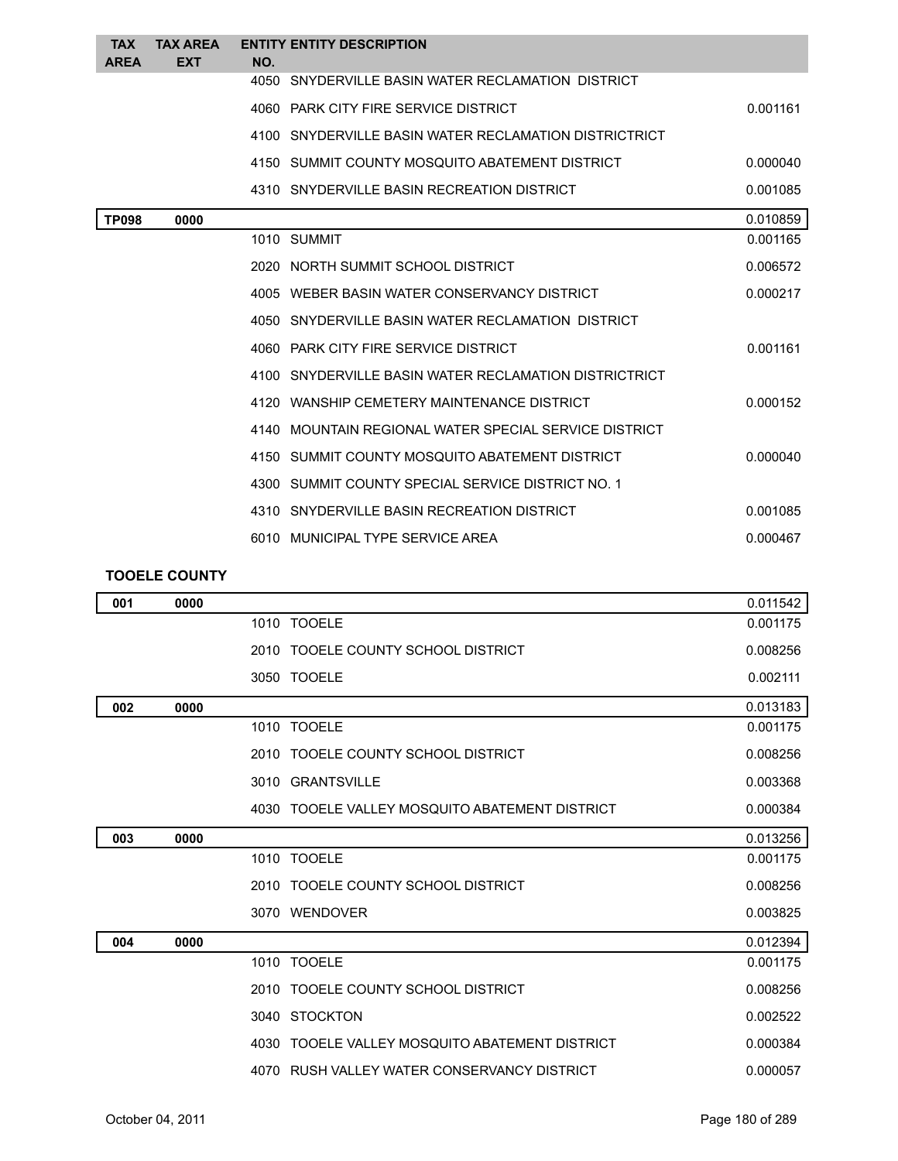| <b>TAX</b>   | <b>TAX AREA</b> |     | <b>ENTITY ENTITY DESCRIPTION</b>                      |          |
|--------------|-----------------|-----|-------------------------------------------------------|----------|
| <b>AREA</b>  | <b>EXT</b>      | NO. |                                                       |          |
|              |                 |     | 4050 SNYDERVILLE BASIN WATER RECLAMATION DISTRICT     |          |
|              |                 |     | 4060 PARK CITY FIRE SERVICE DISTRICT                  | 0.001161 |
|              |                 |     | 4100 SNYDERVILLE BASIN WATER RECLAMATION DISTRICTRICT |          |
|              |                 |     | 4150 SUMMIT COUNTY MOSQUITO ABATEMENT DISTRICT        | 0.000040 |
|              |                 |     | 4310 SNYDERVILLE BASIN RECREATION DISTRICT            | 0.001085 |
| <b>TP098</b> | 0000            |     |                                                       | 0.010859 |
|              |                 |     | 1010 SUMMIT                                           | 0.001165 |
|              |                 |     | 2020 NORTH SUMMIT SCHOOL DISTRICT                     | 0.006572 |
|              |                 |     | 4005 WEBER BASIN WATER CONSERVANCY DISTRICT           | 0.000217 |
|              |                 |     | 4050 SNYDERVILLE BASIN WATER RECLAMATION DISTRICT     |          |
|              |                 |     | 4060 PARK CITY FIRE SERVICE DISTRICT                  | 0.001161 |
|              |                 |     | 4100 SNYDERVILLE BASIN WATER RECLAMATION DISTRICTRICT |          |
|              |                 |     | 4120 WANSHIP CEMETERY MAINTENANCE DISTRICT            | 0.000152 |
|              |                 |     | 4140 MOUNTAIN REGIONAL WATER SPECIAL SERVICE DISTRICT |          |
|              |                 |     | 4150 SUMMIT COUNTY MOSQUITO ABATEMENT DISTRICT        | 0.000040 |
|              |                 |     | 4300 SUMMIT COUNTY SPECIAL SERVICE DISTRICT NO. 1     |          |
|              |                 |     | 4310 SNYDERVILLE BASIN RECREATION DISTRICT            | 0.001085 |
|              |                 |     | 6010 MUNICIPAL TYPE SERVICE AREA                      | 0.000467 |

## **TOOELE COUNTY**

| 001 | 0000 |                                                | 0.011542 |
|-----|------|------------------------------------------------|----------|
|     |      | 1010 TOOELE                                    | 0.001175 |
|     |      | 2010 TOOELE COUNTY SCHOOL DISTRICT             | 0.008256 |
|     |      | 3050 TOOELE                                    | 0.002111 |
| 002 | 0000 |                                                | 0.013183 |
|     |      | 1010 TOOELE                                    | 0.001175 |
|     |      | 2010 TOOELE COUNTY SCHOOL DISTRICT             | 0.008256 |
|     |      | 3010 GRANTSVILLE                               | 0.003368 |
|     |      | 4030 TOOELE VALLEY MOSQUITO ABATEMENT DISTRICT | 0.000384 |
| 003 | 0000 |                                                | 0.013256 |
|     |      | 1010 TOOELE                                    | 0.001175 |
|     |      | 2010 TOOELE COUNTY SCHOOL DISTRICT             | 0.008256 |
|     |      | 3070 WENDOVER                                  | 0.003825 |
| 004 | 0000 |                                                | 0.012394 |
|     |      | 1010 TOOELE                                    | 0.001175 |
|     |      | 2010 TOOELE COUNTY SCHOOL DISTRICT             | 0.008256 |
|     |      | 3040 STOCKTON                                  | 0.002522 |
|     |      | 4030 TOOELE VALLEY MOSQUITO ABATEMENT DISTRICT | 0.000384 |
|     |      | 4070 RUSH VALLEY WATER CONSERVANCY DISTRICT    | 0.000057 |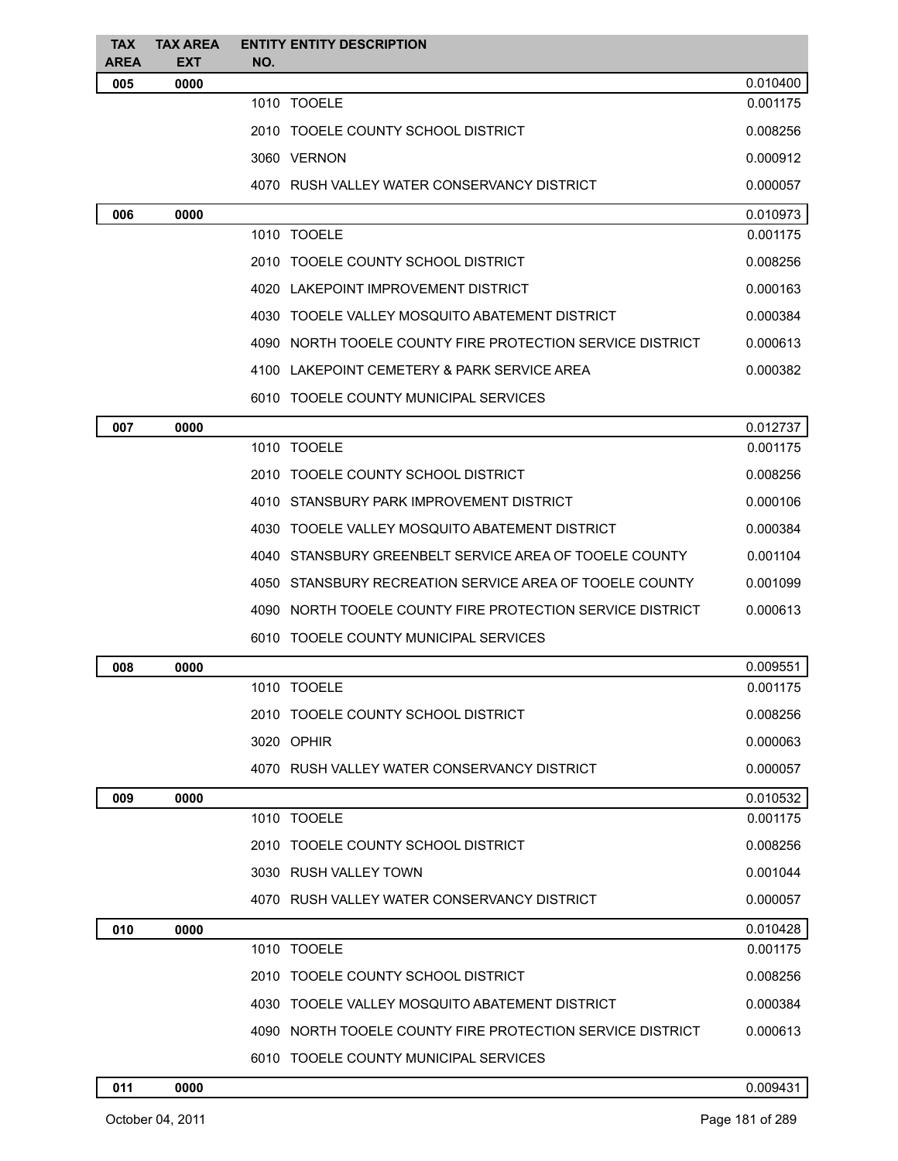| <b>TAX</b>         | <b>TAX AREA</b>    | <b>ENTITY ENTITY DESCRIPTION</b>                          |          |
|--------------------|--------------------|-----------------------------------------------------------|----------|
| <b>AREA</b><br>005 | <b>EXT</b><br>0000 | NO.                                                       | 0.010400 |
|                    |                    | 1010 TOOELE                                               | 0.001175 |
|                    |                    | 2010 TOOELE COUNTY SCHOOL DISTRICT                        | 0.008256 |
|                    |                    | 3060 VERNON                                               | 0.000912 |
|                    |                    | 4070 RUSH VALLEY WATER CONSERVANCY DISTRICT               | 0.000057 |
| 006                | 0000               |                                                           | 0.010973 |
|                    |                    | 1010 TOOELE                                               | 0.001175 |
|                    |                    | 2010 TOOELE COUNTY SCHOOL DISTRICT                        | 0.008256 |
|                    |                    | 4020 LAKEPOINT IMPROVEMENT DISTRICT                       | 0.000163 |
|                    |                    | 4030 TOOELE VALLEY MOSQUITO ABATEMENT DISTRICT            | 0.000384 |
|                    |                    | 4090 NORTH TOOELE COUNTY FIRE PROTECTION SERVICE DISTRICT | 0.000613 |
|                    |                    | 4100 LAKEPOINT CEMETERY & PARK SERVICE AREA               | 0.000382 |
|                    |                    | 6010 TOOELE COUNTY MUNICIPAL SERVICES                     |          |
| 007                | 0000               |                                                           | 0.012737 |
|                    |                    | 1010 TOOELE                                               | 0.001175 |
|                    |                    | 2010 TOOELE COUNTY SCHOOL DISTRICT                        | 0.008256 |
|                    |                    | 4010 STANSBURY PARK IMPROVEMENT DISTRICT                  | 0.000106 |
|                    |                    | 4030 TOOELE VALLEY MOSQUITO ABATEMENT DISTRICT            | 0.000384 |
|                    |                    | 4040 STANSBURY GREENBELT SERVICE AREA OF TOOELE COUNTY    | 0.001104 |
|                    |                    | 4050 STANSBURY RECREATION SERVICE AREA OF TOOELE COUNTY   | 0.001099 |
|                    |                    | 4090 NORTH TOOELE COUNTY FIRE PROTECTION SERVICE DISTRICT | 0.000613 |
|                    |                    | 6010 TOOELE COUNTY MUNICIPAL SERVICES                     |          |
| 008                | 0000               |                                                           | 0.009551 |
|                    |                    | 1010 TOOELE                                               | 0.001175 |
|                    |                    | 2010 TOOELE COUNTY SCHOOL DISTRICT                        | 0.008256 |
|                    |                    | 3020 OPHIR                                                | 0.000063 |
|                    |                    | 4070 RUSH VALLEY WATER CONSERVANCY DISTRICT               | 0.000057 |
| 009                | 0000               |                                                           | 0.010532 |
|                    |                    | 1010 TOOELE                                               | 0.001175 |
|                    |                    | 2010 TOOELE COUNTY SCHOOL DISTRICT                        | 0.008256 |
|                    |                    | 3030 RUSH VALLEY TOWN                                     | 0.001044 |
|                    |                    | 4070 RUSH VALLEY WATER CONSERVANCY DISTRICT               | 0.000057 |
| 010                | 0000               |                                                           | 0.010428 |
|                    |                    | 1010 TOOELE                                               | 0.001175 |
|                    |                    | 2010 TOOELE COUNTY SCHOOL DISTRICT                        | 0.008256 |
|                    |                    | 4030 TOOELE VALLEY MOSQUITO ABATEMENT DISTRICT            | 0.000384 |
|                    |                    | 4090 NORTH TOOELE COUNTY FIRE PROTECTION SERVICE DISTRICT | 0.000613 |
|                    |                    | 6010 TOOELE COUNTY MUNICIPAL SERVICES                     |          |
|                    |                    |                                                           |          |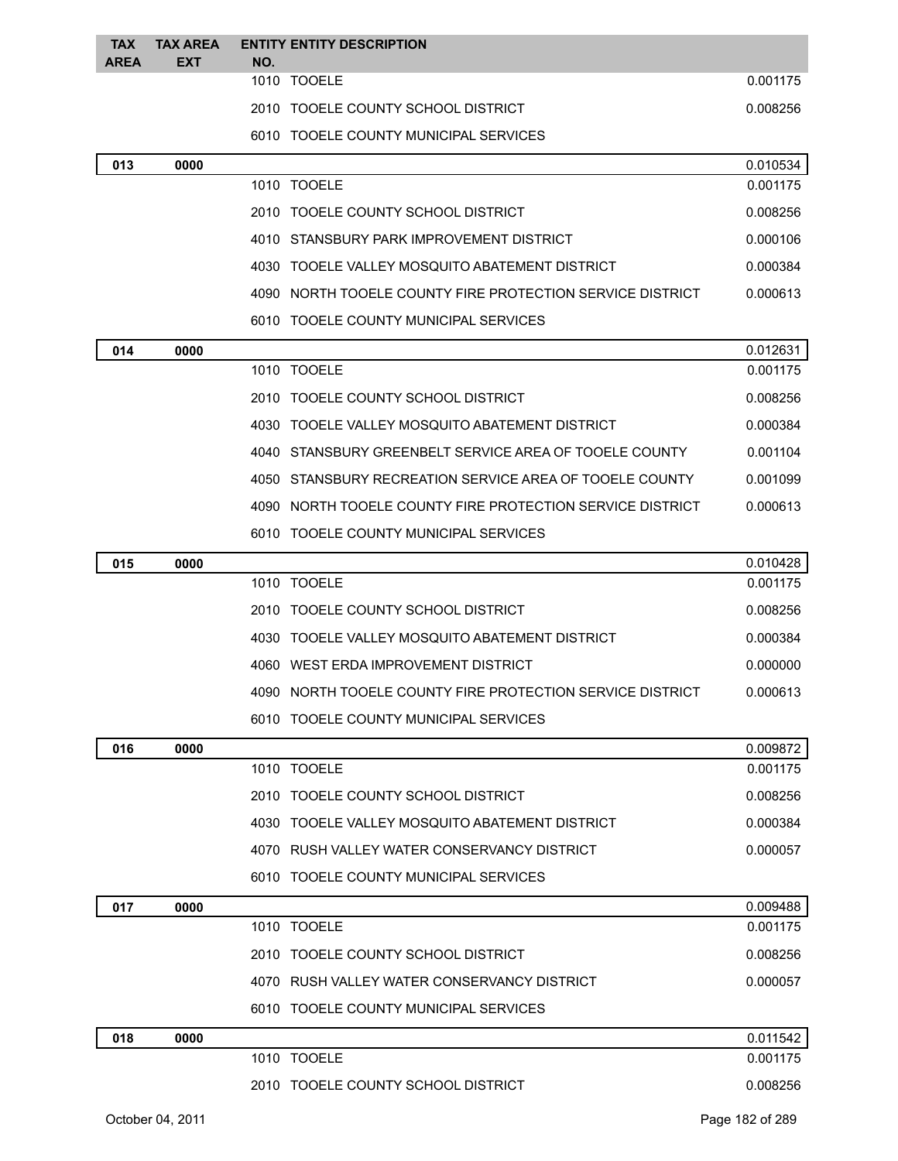| <b>TAX</b><br><b>AREA</b> | <b>TAX AREA</b><br><b>EXT</b> | NO. | <b>ENTITY ENTITY DESCRIPTION</b>                          |          |
|---------------------------|-------------------------------|-----|-----------------------------------------------------------|----------|
|                           |                               |     | 1010 TOOELE                                               | 0.001175 |
|                           |                               |     | 2010 TOOELE COUNTY SCHOOL DISTRICT                        | 0.008256 |
|                           |                               |     | 6010 TOOELE COUNTY MUNICIPAL SERVICES                     |          |
| 013                       | 0000                          |     |                                                           | 0.010534 |
|                           |                               |     | 1010 TOOELE                                               | 0.001175 |
|                           |                               |     | 2010 TOOELE COUNTY SCHOOL DISTRICT                        | 0.008256 |
|                           |                               |     | 4010 STANSBURY PARK IMPROVEMENT DISTRICT                  | 0.000106 |
|                           |                               |     | 4030 TOOELE VALLEY MOSQUITO ABATEMENT DISTRICT            | 0.000384 |
|                           |                               |     | 4090 NORTH TOOELE COUNTY FIRE PROTECTION SERVICE DISTRICT | 0.000613 |
|                           |                               |     | 6010 TOOELE COUNTY MUNICIPAL SERVICES                     |          |
| 014                       | 0000                          |     |                                                           | 0.012631 |
|                           |                               |     | 1010 TOOELE                                               | 0.001175 |
|                           |                               |     | 2010 TOOELE COUNTY SCHOOL DISTRICT                        | 0.008256 |
|                           |                               |     | 4030 TOOELE VALLEY MOSQUITO ABATEMENT DISTRICT            | 0.000384 |
|                           |                               |     | 4040 STANSBURY GREENBELT SERVICE AREA OF TOOELE COUNTY    | 0.001104 |
|                           |                               |     | 4050 STANSBURY RECREATION SERVICE AREA OF TOOELE COUNTY   | 0.001099 |
|                           |                               |     | 4090 NORTH TOOELE COUNTY FIRE PROTECTION SERVICE DISTRICT | 0.000613 |
|                           |                               |     | 6010 TOOELE COUNTY MUNICIPAL SERVICES                     |          |
| 015                       | 0000                          |     |                                                           | 0.010428 |
|                           |                               |     | 1010 TOOELE                                               | 0.001175 |
|                           |                               |     | 2010 TOOELE COUNTY SCHOOL DISTRICT                        | 0.008256 |
|                           |                               |     | 4030 TOOELE VALLEY MOSQUITO ABATEMENT DISTRICT            | 0.000384 |
|                           |                               |     | 4060 WEST ERDA IMPROVEMENT DISTRICT                       | 0.000000 |
|                           |                               |     | 4090 NORTH TOOELE COUNTY FIRE PROTECTION SERVICE DISTRICT | 0.000613 |
|                           |                               |     | 6010 TOOELE COUNTY MUNICIPAL SERVICES                     |          |
| 016                       | 0000                          |     |                                                           | 0.009872 |
|                           |                               |     | 1010 TOOELE                                               | 0.001175 |
|                           |                               |     | 2010 TOOELE COUNTY SCHOOL DISTRICT                        | 0.008256 |
|                           |                               |     | 4030 TOOELE VALLEY MOSQUITO ABATEMENT DISTRICT            | 0.000384 |
|                           |                               |     | 4070 RUSH VALLEY WATER CONSERVANCY DISTRICT               | 0.000057 |
|                           |                               |     | 6010 TOOELE COUNTY MUNICIPAL SERVICES                     |          |
| 017                       | 0000                          |     |                                                           | 0.009488 |
|                           |                               |     | 1010 TOOELE                                               | 0.001175 |
|                           |                               |     | 2010 TOOELE COUNTY SCHOOL DISTRICT                        | 0.008256 |
|                           |                               |     | 4070 RUSH VALLEY WATER CONSERVANCY DISTRICT               | 0.000057 |
|                           |                               |     | 6010 TOOELE COUNTY MUNICIPAL SERVICES                     |          |
| 018                       | 0000                          |     |                                                           | 0.011542 |
|                           |                               |     | 1010 TOOELE                                               | 0.001175 |
|                           |                               |     | 2010 TOOELE COUNTY SCHOOL DISTRICT                        | 0.008256 |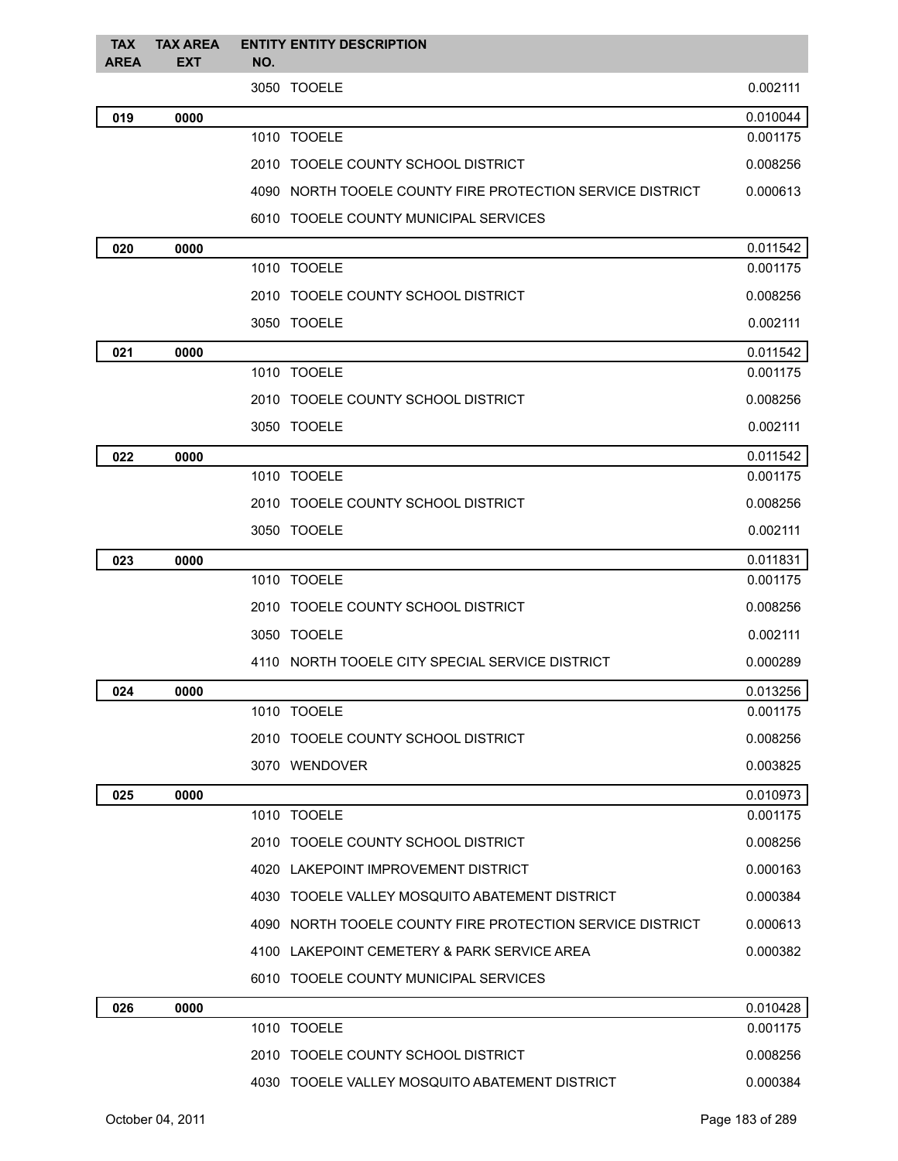| <b>TAX</b><br><b>AREA</b> | <b>TAX AREA</b><br><b>EXT</b> | <b>ENTITY ENTITY DESCRIPTION</b><br>NO.                   |          |
|---------------------------|-------------------------------|-----------------------------------------------------------|----------|
|                           |                               | 3050 TOOELE                                               | 0.002111 |
| 019                       | 0000                          |                                                           | 0.010044 |
|                           |                               | 1010 TOOELE                                               | 0.001175 |
|                           |                               | 2010 TOOELE COUNTY SCHOOL DISTRICT                        | 0.008256 |
|                           |                               | 4090 NORTH TOOELE COUNTY FIRE PROTECTION SERVICE DISTRICT | 0.000613 |
|                           |                               | 6010 TOOELE COUNTY MUNICIPAL SERVICES                     |          |
| 020                       | 0000                          |                                                           | 0.011542 |
|                           |                               | 1010 TOOELE                                               | 0.001175 |
|                           |                               | 2010 TOOELE COUNTY SCHOOL DISTRICT                        | 0.008256 |
|                           |                               | 3050 TOOELE                                               | 0.002111 |
| 021                       | 0000                          |                                                           | 0.011542 |
|                           |                               | 1010 TOOELE                                               | 0.001175 |
|                           |                               | 2010 TOOELE COUNTY SCHOOL DISTRICT                        | 0.008256 |
|                           |                               | 3050 TOOELE                                               | 0.002111 |
| 022                       | 0000                          |                                                           | 0.011542 |
|                           |                               | 1010 TOOELE                                               | 0.001175 |
|                           |                               | 2010 TOOELE COUNTY SCHOOL DISTRICT                        | 0.008256 |
|                           |                               | 3050 TOOELE                                               | 0.002111 |
| 023                       | 0000                          |                                                           | 0.011831 |
|                           |                               | 1010 TOOELE                                               | 0.001175 |
|                           |                               | 2010 TOOELE COUNTY SCHOOL DISTRICT                        | 0.008256 |
|                           |                               | 3050 TOOELE                                               | 0.002111 |
|                           |                               | 4110 NORTH TOOELE CITY SPECIAL SERVICE DISTRICT           | 0.000289 |
| 024                       | 0000                          |                                                           | 0.013256 |
|                           |                               | 1010 TOOELE                                               | 0.001175 |
|                           |                               | 2010 TOOELE COUNTY SCHOOL DISTRICT                        | 0.008256 |
|                           |                               | 3070 WENDOVER                                             | 0.003825 |
| 025                       | 0000                          |                                                           | 0.010973 |
|                           |                               | 1010 TOOELE                                               | 0.001175 |
|                           |                               | 2010 TOOELE COUNTY SCHOOL DISTRICT                        | 0.008256 |
|                           |                               | 4020 LAKEPOINT IMPROVEMENT DISTRICT                       | 0.000163 |
|                           |                               | 4030 TOOELE VALLEY MOSQUITO ABATEMENT DISTRICT            | 0.000384 |
|                           |                               | 4090 NORTH TOOELE COUNTY FIRE PROTECTION SERVICE DISTRICT | 0.000613 |
|                           |                               | 4100 LAKEPOINT CEMETERY & PARK SERVICE AREA               | 0.000382 |
|                           |                               | 6010 TOOELE COUNTY MUNICIPAL SERVICES                     |          |
| 026                       | 0000                          |                                                           | 0.010428 |
|                           |                               | 1010 TOOELE                                               | 0.001175 |
|                           |                               | 2010 TOOELE COUNTY SCHOOL DISTRICT                        | 0.008256 |
|                           |                               | 4030 TOOELE VALLEY MOSQUITO ABATEMENT DISTRICT            | 0.000384 |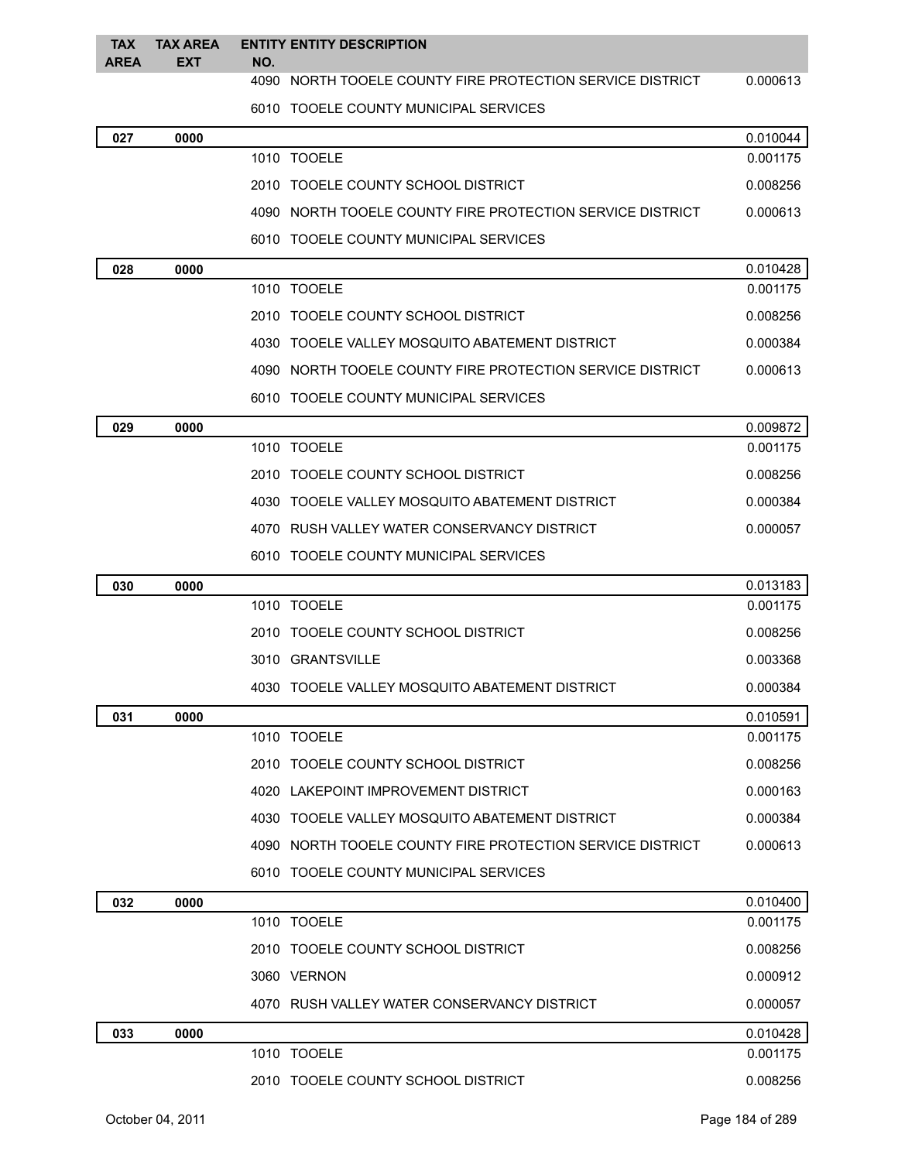| <b>TAX</b><br><b>AREA</b> | <b>TAX AREA</b><br><b>EXT</b> | NO. | <b>ENTITY ENTITY DESCRIPTION</b>                          |          |
|---------------------------|-------------------------------|-----|-----------------------------------------------------------|----------|
|                           |                               |     | 4090 NORTH TOOELE COUNTY FIRE PROTECTION SERVICE DISTRICT | 0.000613 |
|                           |                               |     | 6010 TOOELE COUNTY MUNICIPAL SERVICES                     |          |
| 027                       | 0000                          |     |                                                           | 0.010044 |
|                           |                               |     | 1010 TOOELE                                               | 0.001175 |
|                           |                               |     | 2010 TOOELE COUNTY SCHOOL DISTRICT                        | 0.008256 |
|                           |                               |     | 4090 NORTH TOOELE COUNTY FIRE PROTECTION SERVICE DISTRICT | 0.000613 |
|                           |                               |     | 6010 TOOELE COUNTY MUNICIPAL SERVICES                     |          |
| 028                       | 0000                          |     |                                                           | 0.010428 |
|                           |                               |     | 1010 TOOELE                                               | 0.001175 |
|                           |                               |     | 2010 TOOELE COUNTY SCHOOL DISTRICT                        | 0.008256 |
|                           |                               |     | 4030 TOOELE VALLEY MOSQUITO ABATEMENT DISTRICT            | 0.000384 |
|                           |                               |     | 4090 NORTH TOOELE COUNTY FIRE PROTECTION SERVICE DISTRICT | 0.000613 |
|                           |                               |     | 6010 TOOELE COUNTY MUNICIPAL SERVICES                     |          |
| 029                       | 0000                          |     |                                                           | 0.009872 |
|                           |                               |     | 1010 TOOELE                                               | 0.001175 |
|                           |                               |     | 2010 TOOELE COUNTY SCHOOL DISTRICT                        | 0.008256 |
|                           |                               |     | 4030 TOOELE VALLEY MOSQUITO ABATEMENT DISTRICT            | 0.000384 |
|                           |                               |     | 4070 RUSH VALLEY WATER CONSERVANCY DISTRICT               | 0.000057 |
|                           |                               |     | 6010 TOOELE COUNTY MUNICIPAL SERVICES                     |          |
| 030                       | 0000                          |     |                                                           | 0.013183 |
|                           |                               |     | 1010 TOOELE                                               | 0.001175 |
|                           |                               |     | 2010 TOOELE COUNTY SCHOOL DISTRICT                        | 0.008256 |
|                           |                               |     | 3010 GRANTSVILLE                                          | 0.003368 |
|                           |                               |     | 4030 TOOELE VALLEY MOSQUITO ABATEMENT DISTRICT            | 0.000384 |
| 031                       | 0000                          |     |                                                           | 0.010591 |
|                           |                               |     | 1010 TOOELE                                               | 0.001175 |
|                           |                               |     | 2010 TOOELE COUNTY SCHOOL DISTRICT                        | 0.008256 |
|                           |                               |     | 4020 LAKEPOINT IMPROVEMENT DISTRICT                       | 0.000163 |
|                           |                               |     | 4030 TOOELE VALLEY MOSQUITO ABATEMENT DISTRICT            | 0.000384 |
|                           |                               |     | 4090 NORTH TOOELE COUNTY FIRE PROTECTION SERVICE DISTRICT | 0.000613 |
|                           |                               |     | 6010 TOOELE COUNTY MUNICIPAL SERVICES                     |          |
| 032                       | 0000                          |     |                                                           | 0.010400 |
|                           |                               |     | 1010 TOOELE                                               | 0.001175 |
|                           |                               |     | 2010 TOOELE COUNTY SCHOOL DISTRICT                        | 0.008256 |
|                           |                               |     | 3060 VERNON                                               | 0.000912 |
|                           |                               |     | 4070 RUSH VALLEY WATER CONSERVANCY DISTRICT               | 0.000057 |
| 033                       | 0000                          |     |                                                           | 0.010428 |
|                           |                               |     | 1010 TOOELE                                               | 0.001175 |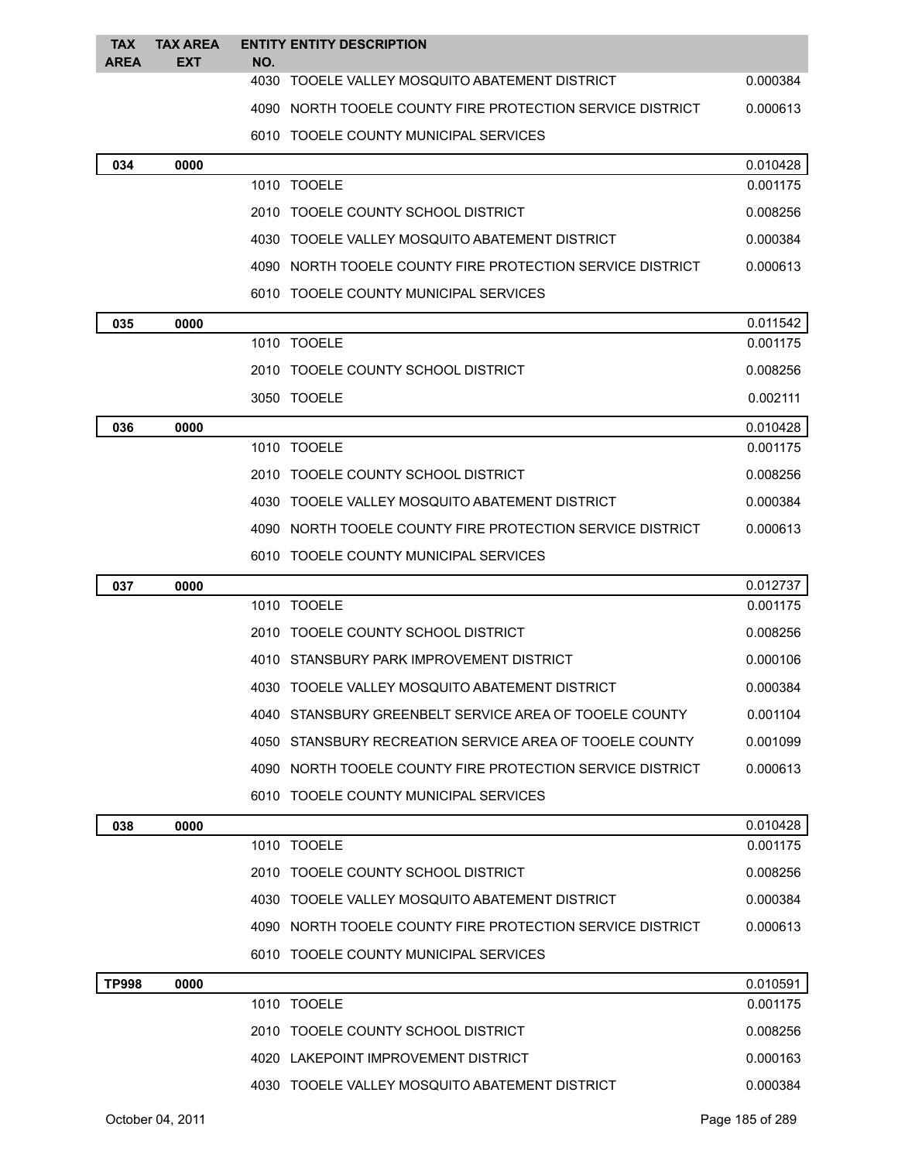| <b>TAX</b><br><b>AREA</b> | <b>TAX AREA</b><br><b>EXT</b> | <b>ENTITY ENTITY DESCRIPTION</b><br>NO.                   |          |
|---------------------------|-------------------------------|-----------------------------------------------------------|----------|
|                           |                               | 4030 TOOELE VALLEY MOSQUITO ABATEMENT DISTRICT            | 0.000384 |
|                           |                               | 4090 NORTH TOOELE COUNTY FIRE PROTECTION SERVICE DISTRICT | 0.000613 |
|                           |                               | 6010 TOOELE COUNTY MUNICIPAL SERVICES                     |          |
| 034                       | 0000                          |                                                           | 0.010428 |
|                           |                               | 1010 TOOELE                                               | 0.001175 |
|                           |                               | 2010 TOOELE COUNTY SCHOOL DISTRICT                        | 0.008256 |
|                           |                               | 4030 TOOELE VALLEY MOSQUITO ABATEMENT DISTRICT            | 0.000384 |
|                           |                               | 4090 NORTH TOOELE COUNTY FIRE PROTECTION SERVICE DISTRICT | 0.000613 |
|                           |                               | 6010 TOOELE COUNTY MUNICIPAL SERVICES                     |          |
| 035                       | 0000                          |                                                           | 0.011542 |
|                           |                               | 1010 TOOELE                                               | 0.001175 |
|                           |                               | 2010 TOOELE COUNTY SCHOOL DISTRICT                        | 0.008256 |
|                           |                               | 3050 TOOELE                                               | 0.002111 |
| 036                       | 0000                          |                                                           | 0.010428 |
|                           |                               | 1010 TOOELE                                               | 0.001175 |
|                           |                               | 2010 TOOELE COUNTY SCHOOL DISTRICT                        | 0.008256 |
|                           |                               | 4030 TOOELE VALLEY MOSQUITO ABATEMENT DISTRICT            | 0.000384 |
|                           |                               | 4090 NORTH TOOELE COUNTY FIRE PROTECTION SERVICE DISTRICT | 0.000613 |
|                           |                               | 6010 TOOELE COUNTY MUNICIPAL SERVICES                     |          |
| 037                       | 0000                          |                                                           | 0.012737 |
|                           |                               | 1010 TOOELE                                               | 0.001175 |
|                           |                               | 2010 TOOELE COUNTY SCHOOL DISTRICT                        | 0.008256 |
|                           |                               | 4010 STANSBURY PARK IMPROVEMENT DISTRICT                  | 0.000106 |
|                           |                               | 4030 TOOELE VALLEY MOSQUITO ABATEMENT DISTRICT            | 0.000384 |
|                           |                               | 4040 STANSBURY GREENBELT SERVICE AREA OF TOOELE COUNTY    | 0.001104 |
|                           |                               | 4050 STANSBURY RECREATION SERVICE AREA OF TOOELE COUNTY   | 0.001099 |
|                           |                               | 4090 NORTH TOOELE COUNTY FIRE PROTECTION SERVICE DISTRICT | 0.000613 |
|                           |                               | 6010 TOOELE COUNTY MUNICIPAL SERVICES                     |          |
| 038                       | 0000                          |                                                           | 0.010428 |
|                           |                               | 1010 TOOELE                                               | 0.001175 |
|                           |                               | 2010 TOOELE COUNTY SCHOOL DISTRICT                        | 0.008256 |
|                           |                               | 4030 TOOELE VALLEY MOSQUITO ABATEMENT DISTRICT            | 0.000384 |
|                           |                               | 4090 NORTH TOOELE COUNTY FIRE PROTECTION SERVICE DISTRICT | 0.000613 |
|                           |                               | 6010 TOOELE COUNTY MUNICIPAL SERVICES                     |          |
| <b>TP998</b>              | 0000                          |                                                           | 0.010591 |
|                           |                               | 1010 TOOELE                                               | 0.001175 |
|                           |                               | 2010 TOOELE COUNTY SCHOOL DISTRICT                        | 0.008256 |
|                           |                               | 4020 LAKEPOINT IMPROVEMENT DISTRICT                       | 0.000163 |
|                           |                               | 4030 TOOELE VALLEY MOSQUITO ABATEMENT DISTRICT            | 0.000384 |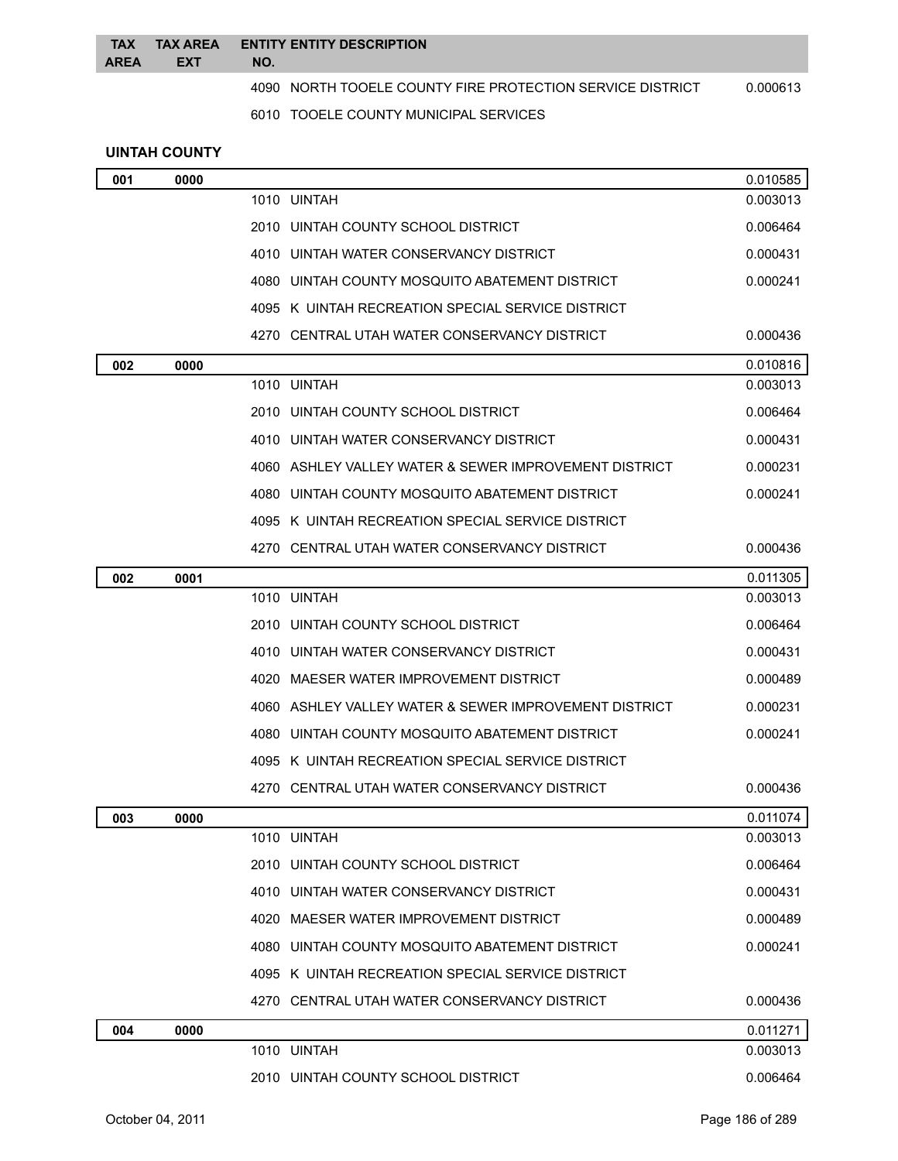| <b>TAX</b><br><b>AREA</b> | <b>TAX AREA</b><br><b>EXT</b> | <b>ENTITY ENTITY DESCRIPTION</b><br>NO.                               |
|---------------------------|-------------------------------|-----------------------------------------------------------------------|
|                           |                               | 4090 NORTH TOOELE COUNTY FIRE PROTECTION SERVICE DISTRICT<br>0.000613 |
|                           |                               | 6010 TOOELE COUNTY MUNICIPAL SERVICES                                 |
|                           | <b>UINTAH COUNTY</b>          |                                                                       |
| 001                       | 0000                          | 0.010585                                                              |

|     |      | 1010 UINTAH                                           | 0.003013 |
|-----|------|-------------------------------------------------------|----------|
|     |      | 2010 UINTAH COUNTY SCHOOL DISTRICT                    | 0.006464 |
|     |      | 4010 UINTAH WATER CONSERVANCY DISTRICT                | 0.000431 |
|     |      | 4080 UINTAH COUNTY MOSQUITO ABATEMENT DISTRICT        | 0.000241 |
|     |      | 4095 K UINTAH RECREATION SPECIAL SERVICE DISTRICT     |          |
|     |      | 4270 CENTRAL UTAH WATER CONSERVANCY DISTRICT          | 0.000436 |
| 002 | 0000 |                                                       | 0.010816 |
|     |      | 1010 UINTAH                                           | 0.003013 |
|     |      | 2010 UINTAH COUNTY SCHOOL DISTRICT                    | 0.006464 |
|     |      | 4010 UINTAH WATER CONSERVANCY DISTRICT                | 0.000431 |
|     |      | 4060 ASHLEY VALLEY WATER & SEWER IMPROVEMENT DISTRICT | 0.000231 |
|     |      | 4080 UINTAH COUNTY MOSQUITO ABATEMENT DISTRICT        | 0.000241 |
|     |      | 4095 K UINTAH RECREATION SPECIAL SERVICE DISTRICT     |          |
|     |      | 4270 CENTRAL UTAH WATER CONSERVANCY DISTRICT          | 0.000436 |
| 002 | 0001 |                                                       | 0.011305 |
|     |      | 1010 UINTAH                                           | 0.003013 |
|     |      | 2010 UINTAH COUNTY SCHOOL DISTRICT                    | 0.006464 |
|     |      | 4010 UINTAH WATER CONSERVANCY DISTRICT                | 0.000431 |
|     |      | 4020 MAESER WATER IMPROVEMENT DISTRICT                | 0.000489 |
|     |      | 4060 ASHLEY VALLEY WATER & SEWER IMPROVEMENT DISTRICT | 0.000231 |
|     |      | 4080 UINTAH COUNTY MOSQUITO ABATEMENT DISTRICT        | 0.000241 |
|     |      | 4095 K UINTAH RECREATION SPECIAL SERVICE DISTRICT     |          |
|     |      | 4270 CENTRAL UTAH WATER CONSERVANCY DISTRICT          | 0.000436 |
| 003 | 0000 |                                                       | 0.011074 |
|     |      | 1010 UINTAH                                           | 0.003013 |
|     |      | 2010 UINTAH COUNTY SCHOOL DISTRICT                    | 0.006464 |
|     |      | 4010 UINTAH WATER CONSERVANCY DISTRICT                | 0.000431 |
|     |      | 4020 MAESER WATER IMPROVEMENT DISTRICT                | 0.000489 |
|     |      | 4080 UINTAH COUNTY MOSQUITO ABATEMENT DISTRICT        | 0.000241 |
|     |      | 4095 K UINTAH RECREATION SPECIAL SERVICE DISTRICT     |          |
|     |      | 4270 CENTRAL UTAH WATER CONSERVANCY DISTRICT          | 0.000436 |
| 004 | 0000 |                                                       | 0.011271 |
|     |      | 1010 UINTAH                                           | 0.003013 |
|     |      | 2010 UINTAH COUNTY SCHOOL DISTRICT                    | 0.006464 |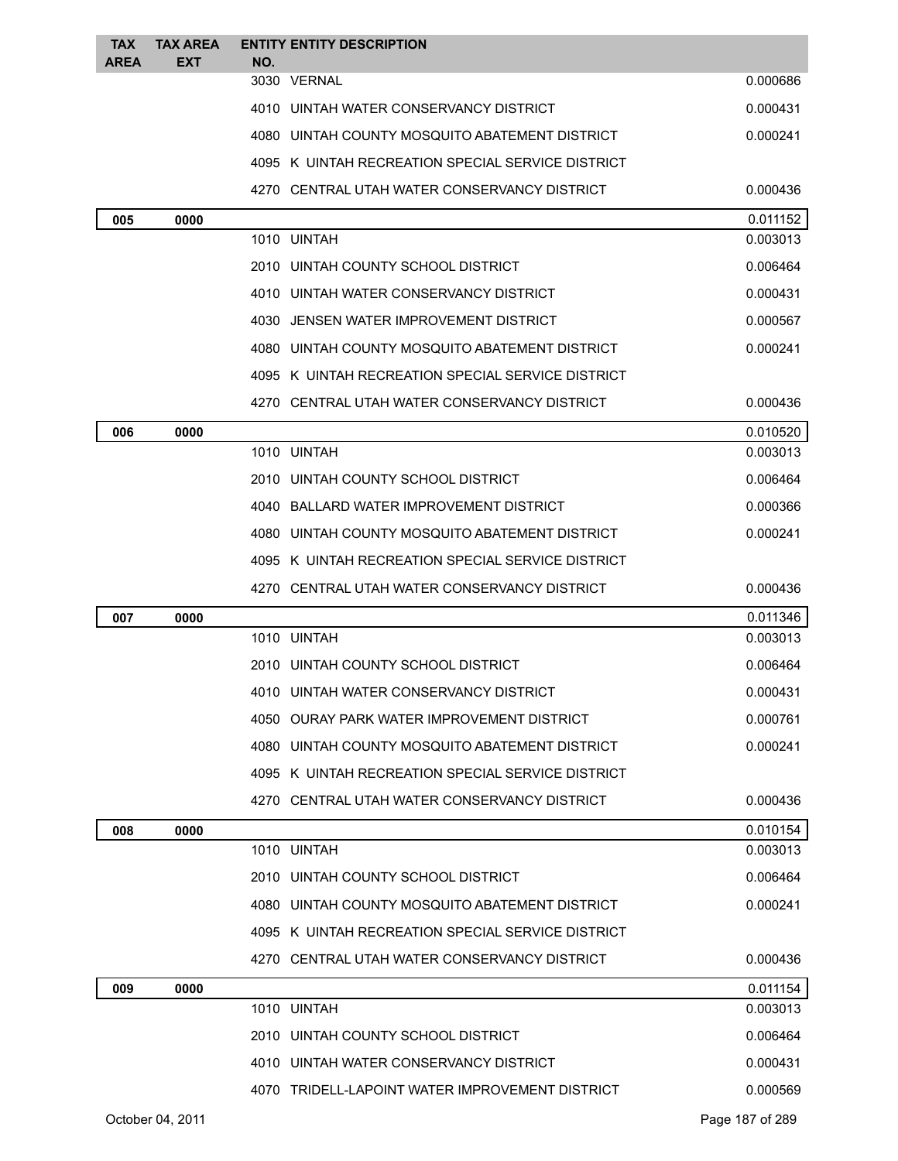| <b>TAX</b><br><b>AREA</b> | <b>TAX AREA</b><br><b>EXT</b> | NO. | <b>ENTITY ENTITY DESCRIPTION</b>                  |          |
|---------------------------|-------------------------------|-----|---------------------------------------------------|----------|
|                           |                               |     | 3030 VERNAL                                       | 0.000686 |
|                           |                               |     | 4010 UINTAH WATER CONSERVANCY DISTRICT            | 0.000431 |
|                           |                               |     | 4080 UINTAH COUNTY MOSQUITO ABATEMENT DISTRICT    | 0.000241 |
|                           |                               |     | 4095 K UINTAH RECREATION SPECIAL SERVICE DISTRICT |          |
|                           |                               |     | 4270 CENTRAL UTAH WATER CONSERVANCY DISTRICT      | 0.000436 |
| 005                       | 0000                          |     |                                                   | 0.011152 |
|                           |                               |     | 1010 UINTAH                                       | 0.003013 |
|                           |                               |     | 2010 UINTAH COUNTY SCHOOL DISTRICT                | 0.006464 |
|                           |                               |     | 4010 UINTAH WATER CONSERVANCY DISTRICT            | 0.000431 |
|                           |                               |     | 4030 JENSEN WATER IMPROVEMENT DISTRICT            | 0.000567 |
|                           |                               |     | 4080 UINTAH COUNTY MOSQUITO ABATEMENT DISTRICT    | 0.000241 |
|                           |                               |     | 4095 K UINTAH RECREATION SPECIAL SERVICE DISTRICT |          |
|                           |                               |     | 4270 CENTRAL UTAH WATER CONSERVANCY DISTRICT      | 0.000436 |
| 006                       | 0000                          |     |                                                   | 0.010520 |
|                           |                               |     | 1010 UINTAH                                       | 0.003013 |
|                           |                               |     | 2010 UINTAH COUNTY SCHOOL DISTRICT                | 0.006464 |
|                           |                               |     | 4040 BALLARD WATER IMPROVEMENT DISTRICT           | 0.000366 |
|                           |                               |     | 4080 UINTAH COUNTY MOSQUITO ABATEMENT DISTRICT    | 0.000241 |
|                           |                               |     | 4095 K UINTAH RECREATION SPECIAL SERVICE DISTRICT |          |
|                           |                               |     | 4270 CENTRAL UTAH WATER CONSERVANCY DISTRICT      | 0.000436 |
| 007                       | 0000                          |     |                                                   | 0.011346 |
|                           |                               |     | 1010 UINTAH                                       | 0.003013 |
|                           |                               |     | 2010 UINTAH COUNTY SCHOOL DISTRICT                | 0.006464 |
|                           |                               |     | 4010 UINTAH WATER CONSERVANCY DISTRICT            | 0.000431 |
|                           |                               |     | 4050 OURAY PARK WATER IMPROVEMENT DISTRICT        | 0.000761 |
|                           |                               |     | 4080 UINTAH COUNTY MOSQUITO ABATEMENT DISTRICT    | 0.000241 |
|                           |                               |     | 4095 K UINTAH RECREATION SPECIAL SERVICE DISTRICT |          |
|                           |                               |     | 4270 CENTRAL UTAH WATER CONSERVANCY DISTRICT      | 0.000436 |
| 008                       | 0000                          |     |                                                   | 0.010154 |
|                           |                               |     | 1010 UINTAH                                       | 0.003013 |
|                           |                               |     | 2010 UINTAH COUNTY SCHOOL DISTRICT                | 0.006464 |
|                           |                               |     | 4080 UINTAH COUNTY MOSQUITO ABATEMENT DISTRICT    | 0.000241 |
|                           |                               |     | 4095 K UINTAH RECREATION SPECIAL SERVICE DISTRICT |          |
|                           |                               |     | 4270 CENTRAL UTAH WATER CONSERVANCY DISTRICT      | 0.000436 |
| 009                       | 0000                          |     |                                                   | 0.011154 |
|                           |                               |     | 1010 UINTAH                                       | 0.003013 |
|                           |                               |     | 2010 UINTAH COUNTY SCHOOL DISTRICT                | 0.006464 |
|                           |                               |     | 4010 UINTAH WATER CONSERVANCY DISTRICT            | 0.000431 |
|                           |                               |     | 4070 TRIDELL-LAPOINT WATER IMPROVEMENT DISTRICT   | 0.000569 |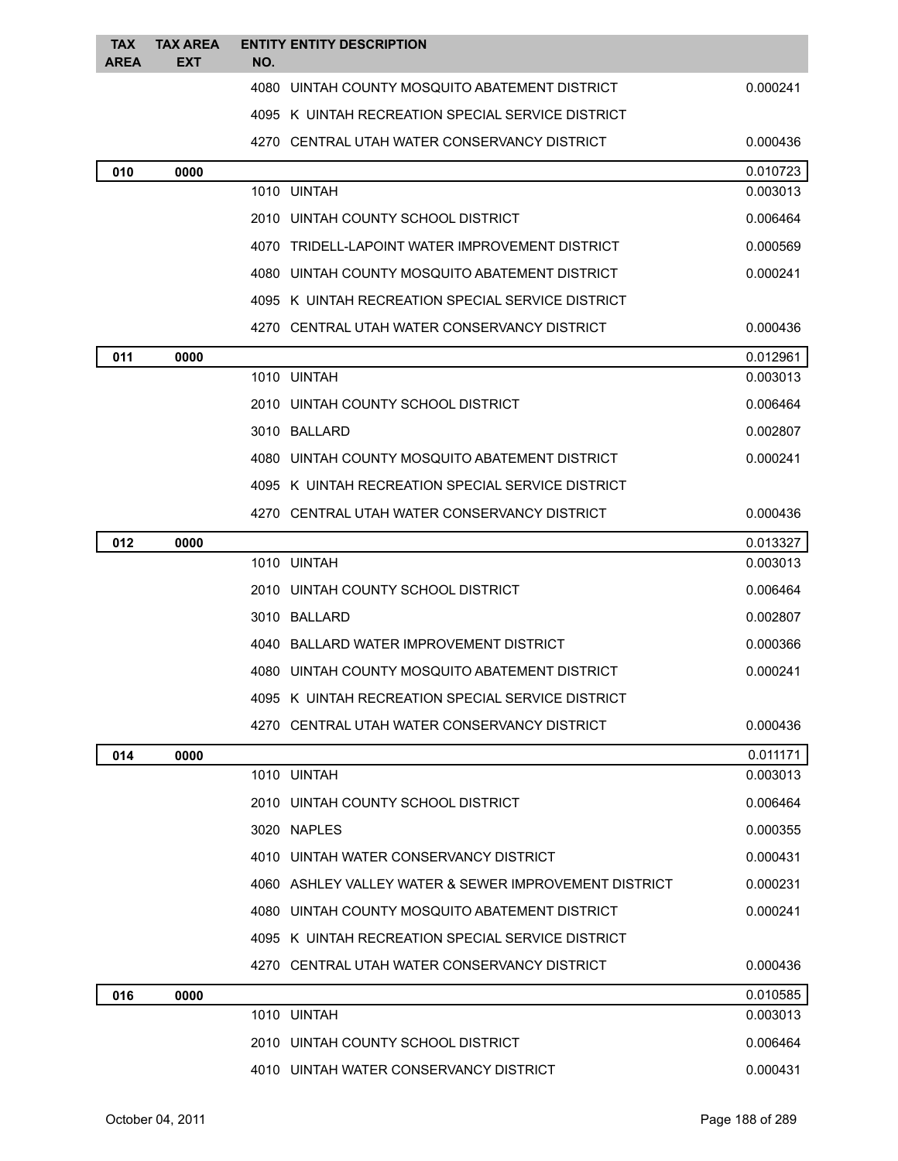| <b>TAX</b><br><b>AREA</b> | <b>TAX AREA</b><br><b>EXT</b> | NO. | <b>ENTITY ENTITY DESCRIPTION</b>                      |                      |
|---------------------------|-------------------------------|-----|-------------------------------------------------------|----------------------|
|                           |                               |     | 4080 UINTAH COUNTY MOSQUITO ABATEMENT DISTRICT        | 0.000241             |
|                           |                               |     | 4095 K UINTAH RECREATION SPECIAL SERVICE DISTRICT     |                      |
|                           |                               |     | 4270 CENTRAL UTAH WATER CONSERVANCY DISTRICT          | 0.000436             |
| 010                       | 0000                          |     |                                                       | 0.010723             |
|                           |                               |     | 1010 UINTAH                                           | 0.003013             |
|                           |                               |     | 2010 UINTAH COUNTY SCHOOL DISTRICT                    | 0.006464             |
|                           |                               |     | 4070 TRIDELL-LAPOINT WATER IMPROVEMENT DISTRICT       | 0.000569             |
|                           |                               |     | 4080 UINTAH COUNTY MOSQUITO ABATEMENT DISTRICT        | 0.000241             |
|                           |                               |     | 4095 K UINTAH RECREATION SPECIAL SERVICE DISTRICT     |                      |
|                           |                               |     | 4270 CENTRAL UTAH WATER CONSERVANCY DISTRICT          | 0.000436             |
| 011                       | 0000                          |     |                                                       | 0.012961             |
|                           |                               |     | 1010 UINTAH                                           | 0.003013             |
|                           |                               |     | 2010 UINTAH COUNTY SCHOOL DISTRICT                    | 0.006464             |
|                           |                               |     | 3010 BALLARD                                          | 0.002807             |
|                           |                               |     | 4080 UINTAH COUNTY MOSQUITO ABATEMENT DISTRICT        | 0.000241             |
|                           |                               |     | 4095 K UINTAH RECREATION SPECIAL SERVICE DISTRICT     |                      |
|                           |                               |     | 4270 CENTRAL UTAH WATER CONSERVANCY DISTRICT          | 0.000436             |
| 012                       | 0000                          |     | 1010 UINTAH                                           | 0.013327<br>0.003013 |
|                           |                               |     | 2010 UINTAH COUNTY SCHOOL DISTRICT                    | 0.006464             |
|                           |                               |     | 3010 BALLARD                                          | 0.002807             |
|                           |                               |     | 4040 BALLARD WATER IMPROVEMENT DISTRICT               | 0.000366             |
|                           |                               |     | 4080 UINTAH COUNTY MOSQUITO ABATEMENT DISTRICT        | 0.000241             |
|                           |                               |     | 4095 K UINTAH RECREATION SPECIAL SERVICE DISTRICT     |                      |
|                           |                               |     | 4270 CENTRAL UTAH WATER CONSERVANCY DISTRICT          | 0.000436             |
| 014                       | 0000                          |     |                                                       | 0.011171             |
|                           |                               |     | 1010 UINTAH                                           | 0.003013             |
|                           |                               |     | 2010 UINTAH COUNTY SCHOOL DISTRICT                    | 0.006464             |
|                           |                               |     | 3020 NAPLES                                           | 0.000355             |
|                           |                               |     | 4010 UINTAH WATER CONSERVANCY DISTRICT                | 0.000431             |
|                           |                               |     | 4060 ASHLEY VALLEY WATER & SEWER IMPROVEMENT DISTRICT | 0.000231             |
|                           |                               |     | 4080 UINTAH COUNTY MOSQUITO ABATEMENT DISTRICT        | 0.000241             |
|                           |                               |     | 4095 K UINTAH RECREATION SPECIAL SERVICE DISTRICT     |                      |
|                           |                               |     | 4270 CENTRAL UTAH WATER CONSERVANCY DISTRICT          | 0.000436             |
| 016                       | 0000                          |     |                                                       | 0.010585             |
|                           |                               |     | 1010 UINTAH                                           | 0.003013             |
|                           |                               |     | 2010 UINTAH COUNTY SCHOOL DISTRICT                    | 0.006464             |
|                           |                               |     | 4010 UINTAH WATER CONSERVANCY DISTRICT                | 0.000431             |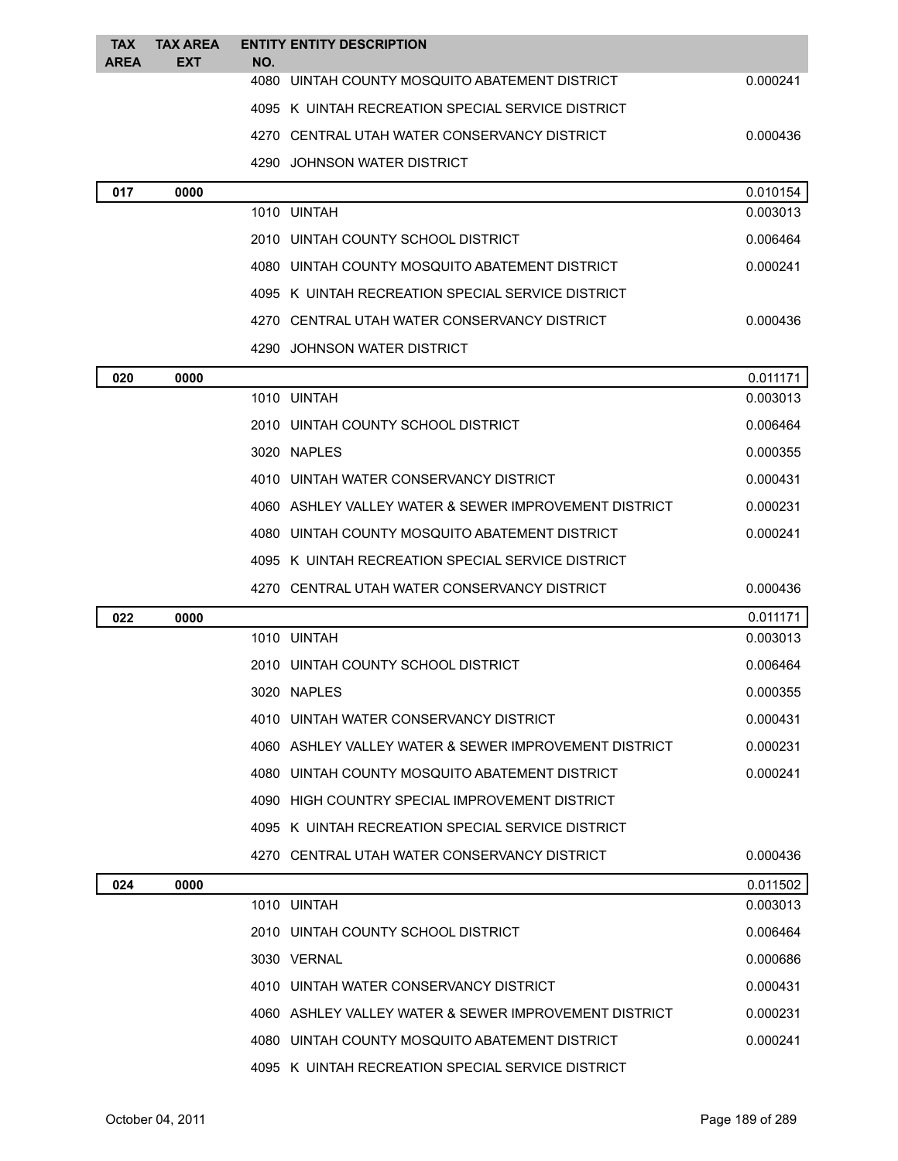| <b>TAX</b><br><b>AREA</b> | <b>TAX AREA</b><br><b>EXT</b> | NO. | <b>ENTITY ENTITY DESCRIPTION</b>                      |          |
|---------------------------|-------------------------------|-----|-------------------------------------------------------|----------|
|                           |                               |     | 4080 UINTAH COUNTY MOSQUITO ABATEMENT DISTRICT        | 0.000241 |
|                           |                               |     | 4095 K UINTAH RECREATION SPECIAL SERVICE DISTRICT     |          |
|                           |                               |     | 4270 CENTRAL UTAH WATER CONSERVANCY DISTRICT          | 0.000436 |
|                           |                               |     | 4290 JOHNSON WATER DISTRICT                           |          |
| 017                       | 0000                          |     |                                                       | 0.010154 |
|                           |                               |     | 1010 UINTAH                                           | 0.003013 |
|                           |                               |     | 2010 UINTAH COUNTY SCHOOL DISTRICT                    | 0.006464 |
|                           |                               |     | 4080 UINTAH COUNTY MOSQUITO ABATEMENT DISTRICT        | 0.000241 |
|                           |                               |     | 4095 K UINTAH RECREATION SPECIAL SERVICE DISTRICT     |          |
|                           |                               |     | 4270 CENTRAL UTAH WATER CONSERVANCY DISTRICT          | 0.000436 |
|                           |                               |     | 4290 JOHNSON WATER DISTRICT                           |          |
| 020                       | 0000                          |     |                                                       | 0.011171 |
|                           |                               |     | 1010 UINTAH                                           | 0.003013 |
|                           |                               |     | 2010 UINTAH COUNTY SCHOOL DISTRICT                    | 0.006464 |
|                           |                               |     | 3020 NAPLES                                           | 0.000355 |
|                           |                               |     | 4010 UINTAH WATER CONSERVANCY DISTRICT                | 0.000431 |
|                           |                               |     | 4060 ASHLEY VALLEY WATER & SEWER IMPROVEMENT DISTRICT | 0.000231 |
|                           |                               |     | 4080 UINTAH COUNTY MOSQUITO ABATEMENT DISTRICT        | 0.000241 |
|                           |                               |     | 4095 K UINTAH RECREATION SPECIAL SERVICE DISTRICT     |          |
|                           |                               |     | 4270 CENTRAL UTAH WATER CONSERVANCY DISTRICT          | 0.000436 |
| 022                       | 0000                          |     |                                                       | 0.011171 |
|                           |                               |     | 1010 UINTAH                                           | 0.003013 |
|                           |                               |     | 2010 UINTAH COUNTY SCHOOL DISTRICT                    | 0.006464 |
|                           |                               |     | 3020 NAPLES                                           | 0.000355 |
|                           |                               |     | 4010 UINTAH WATER CONSERVANCY DISTRICT                | 0.000431 |
|                           |                               |     | 4060 ASHLEY VALLEY WATER & SEWER IMPROVEMENT DISTRICT | 0.000231 |
|                           |                               |     | 4080 UINTAH COUNTY MOSQUITO ABATEMENT DISTRICT        | 0.000241 |
|                           |                               |     | 4090 HIGH COUNTRY SPECIAL IMPROVEMENT DISTRICT        |          |
|                           |                               |     | 4095 K UINTAH RECREATION SPECIAL SERVICE DISTRICT     |          |
|                           |                               |     | 4270 CENTRAL UTAH WATER CONSERVANCY DISTRICT          | 0.000436 |
| 024                       | 0000                          |     |                                                       | 0.011502 |
|                           |                               |     | 1010 UINTAH                                           | 0.003013 |
|                           |                               |     | 2010 UINTAH COUNTY SCHOOL DISTRICT                    | 0.006464 |
|                           |                               |     | 3030 VERNAL                                           | 0.000686 |
|                           |                               |     | 4010 UINTAH WATER CONSERVANCY DISTRICT                | 0.000431 |
|                           |                               |     | 4060 ASHLEY VALLEY WATER & SEWER IMPROVEMENT DISTRICT | 0.000231 |
|                           |                               |     | 4080 UINTAH COUNTY MOSQUITO ABATEMENT DISTRICT        | 0.000241 |
|                           |                               |     | 4095 K UINTAH RECREATION SPECIAL SERVICE DISTRICT     |          |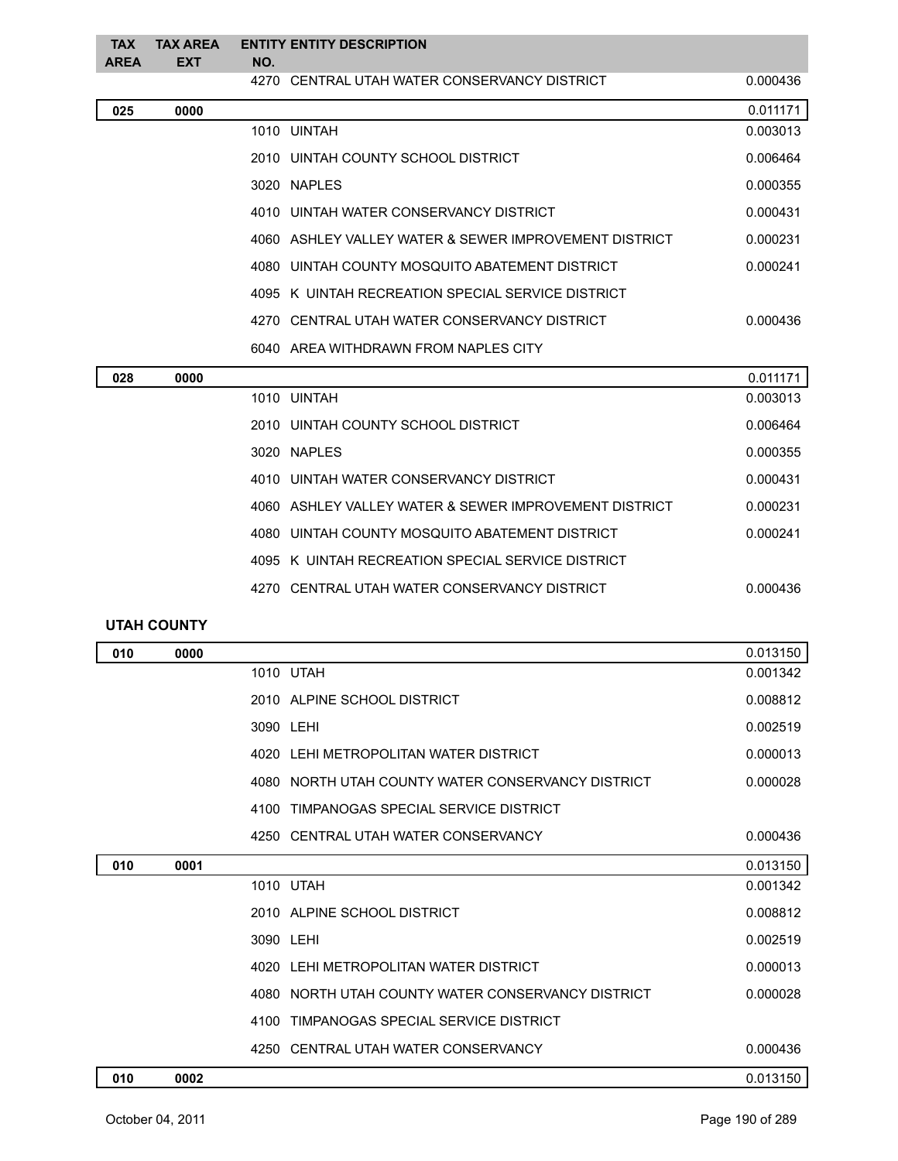| <b>TAX</b><br><b>AREA</b> | <b>TAX AREA</b><br><b>EXT</b> | NO. | <b>ENTITY ENTITY DESCRIPTION</b>                                                                     |          |
|---------------------------|-------------------------------|-----|------------------------------------------------------------------------------------------------------|----------|
|                           |                               |     | 4270 CENTRAL UTAH WATER CONSERVANCY DISTRICT                                                         | 0.000436 |
| 025                       | 0000                          |     |                                                                                                      | 0.011171 |
|                           |                               |     | 1010 UINTAH                                                                                          | 0.003013 |
|                           |                               |     | 2010 UINTAH COUNTY SCHOOL DISTRICT                                                                   | 0.006464 |
|                           |                               |     | 3020 NAPLES                                                                                          | 0.000355 |
|                           |                               |     | 4010 UINTAH WATER CONSERVANCY DISTRICT                                                               | 0.000431 |
|                           |                               |     | 4060 ASHLEY VALLEY WATER & SEWER IMPROVEMENT DISTRICT                                                | 0.000231 |
|                           |                               |     | 4080 UINTAH COUNTY MOSQUITO ABATEMENT DISTRICT                                                       | 0.000241 |
|                           |                               |     | 4095 K UINTAH RECREATION SPECIAL SERVICE DISTRICT                                                    |          |
|                           |                               |     | 4270 CENTRAL UTAH WATER CONSERVANCY DISTRICT                                                         | 0.000436 |
|                           |                               |     | 6040 AREA WITHDRAWN FROM NAPLES CITY                                                                 |          |
| 028                       | 0000                          |     |                                                                                                      | 0.011171 |
|                           |                               |     | 1010 UINTAH                                                                                          | 0.003013 |
|                           |                               |     | 2010 UINTAH COUNTY SCHOOL DISTRICT                                                                   | 0.006464 |
|                           |                               |     | 3020 NAPLES                                                                                          | 0.000355 |
|                           |                               |     | 4010 UINTAH WATER CONSERVANCY DISTRICT                                                               | 0.000431 |
|                           |                               |     | $1000 - 1010$ FM $111 - 11111$ FM $111 - 0$ of $110 - 011$ in $0.011$ in $111 - 0.07$ in $10 - 0.07$ | 0.00001  |

| 4060 ASHLEY VALLEY WATER & SEWER IMPROVEMENT DISTRICT | 0.000231 |
|-------------------------------------------------------|----------|
| 4080 UINTAH COUNTY MOSQUITO ABATEMENT DISTRICT        | 0.000241 |
| 4095 K UINTAH RECREATION SPECIAL SERVICE DISTRICT     |          |
| 4270 CENTRAL UTAH WATER CONSERVANCY DISTRICT          | 0.000436 |

## **UTAH COUNTY**

| 010 | 0000 |                                                   | 0.013150 |
|-----|------|---------------------------------------------------|----------|
|     |      | 1010 UTAH                                         | 0.001342 |
|     |      | 2010 ALPINE SCHOOL DISTRICT                       | 0.008812 |
|     |      | 3090 LEHI                                         | 0.002519 |
|     |      | 4020 LEHI METROPOLITAN WATER DISTRICT             | 0.000013 |
|     |      | 4080 NORTH UTAH COUNTY WATER CONSERVANCY DISTRICT | 0.000028 |
|     |      | TIMPANOGAS SPECIAL SERVICE DISTRICT<br>4100       |          |
|     |      | 4250 CENTRAL UTAH WATER CONSERVANCY               | 0.000436 |
| 010 | 0001 |                                                   | 0.013150 |
|     |      | 1010 UTAH                                         | 0.001342 |
|     |      | 2010 ALPINE SCHOOL DISTRICT                       | 0.008812 |
|     |      | 3090 LEHI                                         | 0.002519 |
|     |      | 4020 LEHI METROPOLITAN WATER DISTRICT             | 0.000013 |
|     |      | 4080 NORTH UTAH COUNTY WATER CONSERVANCY DISTRICT | 0.000028 |
|     |      | 4100 TIMPANOGAS SPECIAL SERVICE DISTRICT          |          |
|     |      | 4250 CENTRAL UTAH WATER CONSERVANCY               | 0.000436 |
| 010 | 0002 |                                                   | 0.013150 |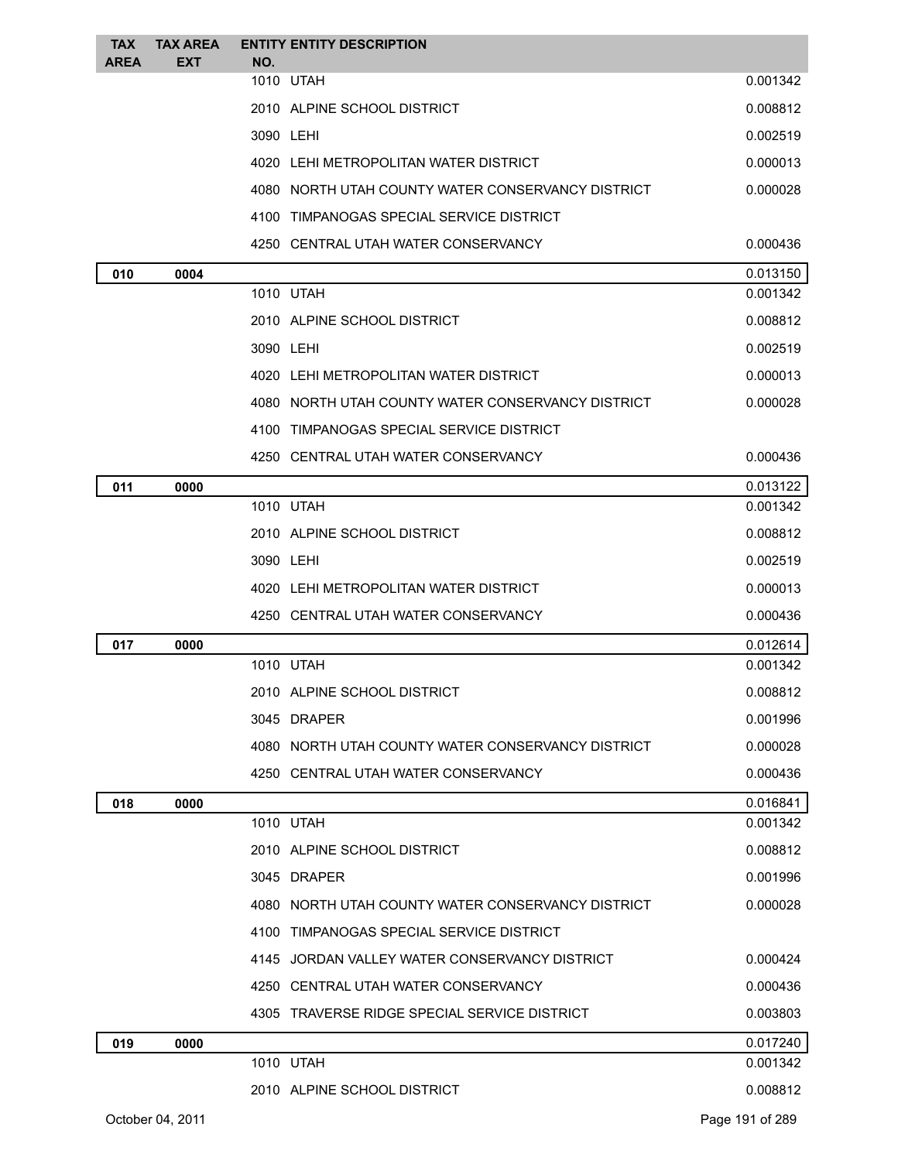| <b>TAX</b>  | <b>TAX AREA</b>  | <b>ENTITY ENTITY DESCRIPTION</b>                  |                 |
|-------------|------------------|---------------------------------------------------|-----------------|
| <b>AREA</b> | EXT              | NO.<br>1010 UTAH                                  | 0.001342        |
|             |                  | 2010 ALPINE SCHOOL DISTRICT                       | 0.008812        |
|             |                  | 3090 LEHI                                         | 0.002519        |
|             |                  | 4020 LEHI METROPOLITAN WATER DISTRICT             | 0.000013        |
|             |                  | 4080 NORTH UTAH COUNTY WATER CONSERVANCY DISTRICT | 0.000028        |
|             |                  | 4100 TIMPANOGAS SPECIAL SERVICE DISTRICT          |                 |
|             |                  | 4250 CENTRAL UTAH WATER CONSERVANCY               | 0.000436        |
| 010         | 0004             |                                                   | 0.013150        |
|             |                  | 1010 UTAH                                         | 0.001342        |
|             |                  | 2010 ALPINE SCHOOL DISTRICT                       | 0.008812        |
|             |                  | 3090 LEHI                                         | 0.002519        |
|             |                  | 4020 LEHI METROPOLITAN WATER DISTRICT             | 0.000013        |
|             |                  | 4080 NORTH UTAH COUNTY WATER CONSERVANCY DISTRICT | 0.000028        |
|             |                  | 4100 TIMPANOGAS SPECIAL SERVICE DISTRICT          |                 |
|             |                  | 4250 CENTRAL UTAH WATER CONSERVANCY               | 0.000436        |
| 011         | 0000             |                                                   | 0.013122        |
|             |                  | 1010 UTAH                                         | 0.001342        |
|             |                  | 2010 ALPINE SCHOOL DISTRICT                       | 0.008812        |
|             |                  | 3090 LEHI                                         | 0.002519        |
|             |                  | 4020 LEHI METROPOLITAN WATER DISTRICT             | 0.000013        |
|             |                  | 4250 CENTRAL UTAH WATER CONSERVANCY               | 0.000436        |
| 017         | 0000             |                                                   | 0.012614        |
|             |                  | 1010 UTAH                                         | 0.001342        |
|             |                  | 2010 ALPINE SCHOOL DISTRICT                       | 0.008812        |
|             |                  | 3045 DRAPER                                       | 0.001996        |
|             |                  | 4080 NORTH UTAH COUNTY WATER CONSERVANCY DISTRICT | 0.000028        |
|             |                  | 4250 CENTRAL UTAH WATER CONSERVANCY               | 0.000436        |
| 018         | 0000             |                                                   | 0.016841        |
|             |                  | 1010 UTAH                                         | 0.001342        |
|             |                  | 2010 ALPINE SCHOOL DISTRICT                       | 0.008812        |
|             |                  | 3045 DRAPER                                       | 0.001996        |
|             |                  | 4080 NORTH UTAH COUNTY WATER CONSERVANCY DISTRICT | 0.000028        |
|             |                  | 4100 TIMPANOGAS SPECIAL SERVICE DISTRICT          |                 |
|             |                  | 4145 JORDAN VALLEY WATER CONSERVANCY DISTRICT     | 0.000424        |
|             |                  | 4250 CENTRAL UTAH WATER CONSERVANCY               | 0.000436        |
|             |                  | 4305 TRAVERSE RIDGE SPECIAL SERVICE DISTRICT      | 0.003803        |
| 019         | 0000             |                                                   | 0.017240        |
|             |                  | 1010 UTAH                                         | 0.001342        |
|             |                  | 2010 ALPINE SCHOOL DISTRICT                       | 0.008812        |
|             | October 04, 2011 |                                                   | Page 191 of 289 |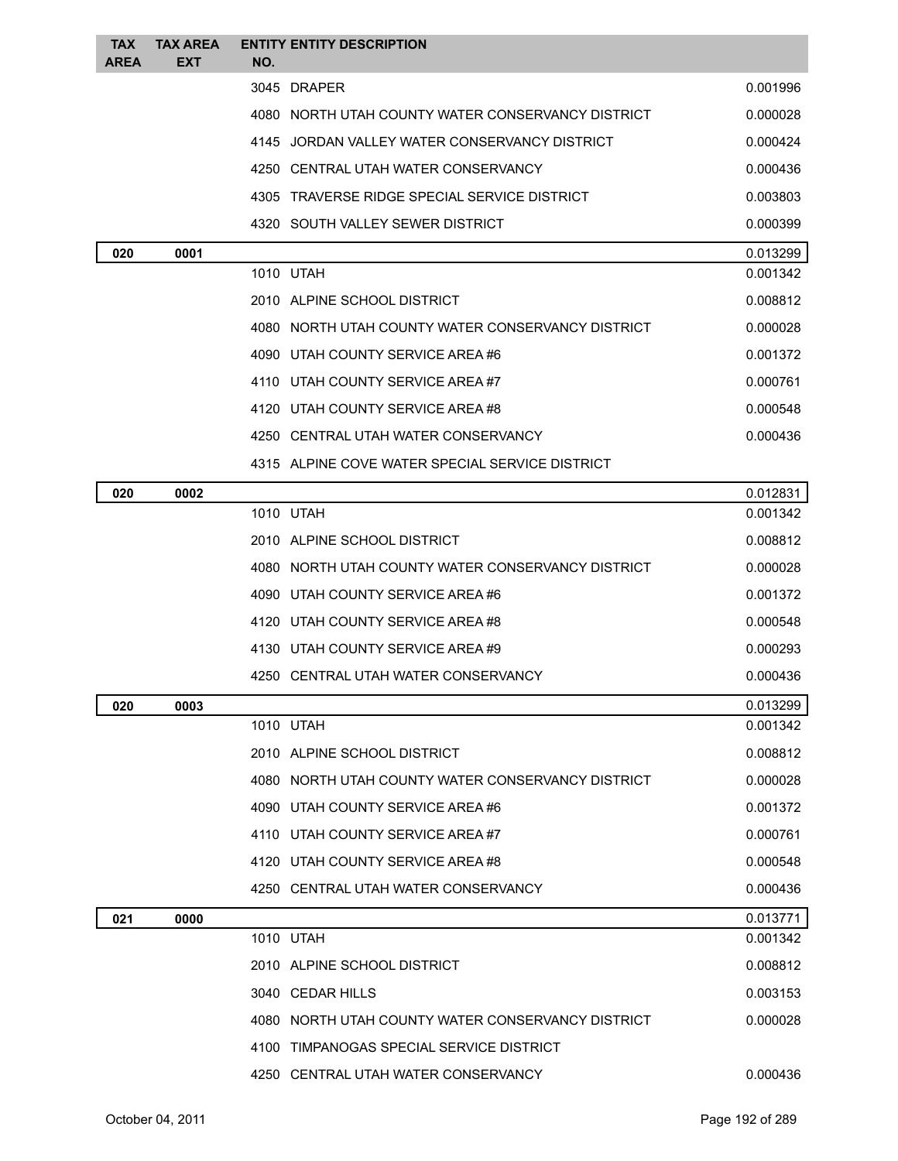| <b>TAX</b>  | <b>TAX AREA</b> | <b>ENTITY ENTITY DESCRIPTION</b>                  |          |
|-------------|-----------------|---------------------------------------------------|----------|
| <b>AREA</b> | EXT             | NO.                                               |          |
|             |                 | 3045 DRAPER                                       | 0.001996 |
|             |                 | 4080 NORTH UTAH COUNTY WATER CONSERVANCY DISTRICT | 0.000028 |
|             |                 | 4145 JORDAN VALLEY WATER CONSERVANCY DISTRICT     | 0.000424 |
|             |                 | 4250 CENTRAL UTAH WATER CONSERVANCY               | 0.000436 |
|             |                 | 4305 TRAVERSE RIDGE SPECIAL SERVICE DISTRICT      | 0.003803 |
|             |                 | 4320 SOUTH VALLEY SEWER DISTRICT                  | 0.000399 |
| 020         | 0001            |                                                   | 0.013299 |
|             |                 | 1010 UTAH                                         | 0.001342 |
|             |                 | 2010 ALPINE SCHOOL DISTRICT                       | 0.008812 |
|             |                 | 4080 NORTH UTAH COUNTY WATER CONSERVANCY DISTRICT | 0.000028 |
|             |                 | 4090 UTAH COUNTY SERVICE AREA #6                  | 0.001372 |
|             |                 | 4110 UTAH COUNTY SERVICE AREA#7                   | 0.000761 |
|             |                 | 4120 UTAH COUNTY SERVICE AREA#8                   | 0.000548 |
|             |                 | 4250 CENTRAL UTAH WATER CONSERVANCY               | 0.000436 |
|             |                 | 4315 ALPINE COVE WATER SPECIAL SERVICE DISTRICT   |          |
| 020         | 0002            |                                                   | 0.012831 |
|             |                 | 1010 UTAH                                         | 0.001342 |
|             |                 | 2010 ALPINE SCHOOL DISTRICT                       | 0.008812 |
|             |                 | 4080 NORTH UTAH COUNTY WATER CONSERVANCY DISTRICT | 0.000028 |
|             |                 | 4090 UTAH COUNTY SERVICE AREA #6                  | 0.001372 |
|             |                 | 4120 UTAH COUNTY SERVICE AREA #8                  | 0.000548 |
|             |                 | 4130 UTAH COUNTY SERVICE AREA #9                  | 0.000293 |
|             |                 | 4250 CENTRAL UTAH WATER CONSERVANCY               | 0.000436 |
| 020         | 0003            |                                                   | 0.013299 |
|             |                 | 1010 UTAH                                         | 0.001342 |
|             |                 | 2010 ALPINE SCHOOL DISTRICT                       | 0.008812 |
|             |                 | 4080 NORTH UTAH COUNTY WATER CONSERVANCY DISTRICT | 0.000028 |
|             |                 | 4090 UTAH COUNTY SERVICE AREA #6                  | 0.001372 |
|             |                 | 4110 UTAH COUNTY SERVICE AREA#7                   | 0.000761 |
|             |                 | 4120 UTAH COUNTY SERVICE AREA #8                  | 0.000548 |
|             |                 | 4250 CENTRAL UTAH WATER CONSERVANCY               | 0.000436 |
| 021         | 0000            |                                                   | 0.013771 |
|             |                 | 1010 UTAH                                         | 0.001342 |
|             |                 | 2010 ALPINE SCHOOL DISTRICT                       | 0.008812 |
|             |                 | 3040 CEDAR HILLS                                  | 0.003153 |
|             |                 | 4080 NORTH UTAH COUNTY WATER CONSERVANCY DISTRICT | 0.000028 |
|             |                 | 4100 TIMPANOGAS SPECIAL SERVICE DISTRICT          |          |
|             |                 | 4250 CENTRAL UTAH WATER CONSERVANCY               | 0.000436 |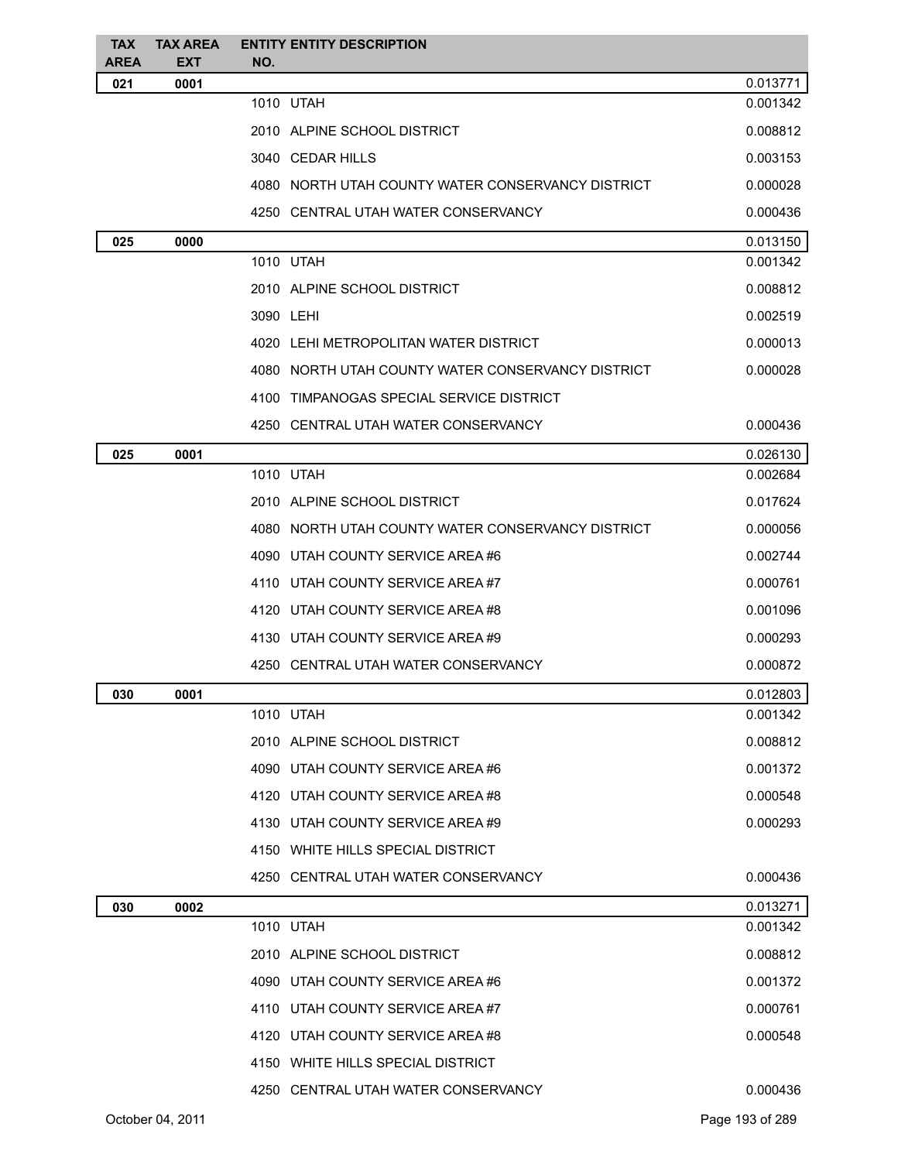| <b>TAX</b><br><b>AREA</b> | <b>TAX AREA</b><br><b>EXT</b> | <b>ENTITY ENTITY DESCRIPTION</b><br>NO.           |          |
|---------------------------|-------------------------------|---------------------------------------------------|----------|
| 021                       | 0001                          |                                                   | 0.013771 |
|                           |                               | 1010 UTAH                                         | 0.001342 |
|                           |                               | 2010 ALPINE SCHOOL DISTRICT                       | 0.008812 |
|                           |                               | 3040 CEDAR HILLS                                  | 0.003153 |
|                           |                               | 4080 NORTH UTAH COUNTY WATER CONSERVANCY DISTRICT | 0.000028 |
|                           |                               | 4250 CENTRAL UTAH WATER CONSERVANCY               | 0.000436 |
| 025                       | 0000                          |                                                   | 0.013150 |
|                           |                               | 1010 UTAH                                         | 0.001342 |
|                           |                               | 2010 ALPINE SCHOOL DISTRICT                       | 0.008812 |
|                           |                               | 3090 LEHI                                         | 0.002519 |
|                           |                               | 4020 LEHI METROPOLITAN WATER DISTRICT             | 0.000013 |
|                           |                               | 4080 NORTH UTAH COUNTY WATER CONSERVANCY DISTRICT | 0.000028 |
|                           |                               | 4100 TIMPANOGAS SPECIAL SERVICE DISTRICT          |          |
|                           |                               | 4250 CENTRAL UTAH WATER CONSERVANCY               | 0.000436 |
| 025                       | 0001                          |                                                   | 0.026130 |
|                           |                               | 1010 UTAH                                         | 0.002684 |
|                           |                               | 2010 ALPINE SCHOOL DISTRICT                       | 0.017624 |
|                           |                               | 4080 NORTH UTAH COUNTY WATER CONSERVANCY DISTRICT | 0.000056 |
|                           |                               | 4090 UTAH COUNTY SERVICE AREA #6                  | 0.002744 |
|                           |                               | 4110 UTAH COUNTY SERVICE AREA #7                  | 0.000761 |
|                           |                               | 4120 UTAH COUNTY SERVICE AREA #8                  | 0.001096 |
|                           |                               | 4130 UTAH COUNTY SERVICE AREA #9                  | 0.000293 |
|                           |                               | 4250 CENTRAL UTAH WATER CONSERVANCY               | 0.000872 |
| 030                       | 0001                          |                                                   | 0.012803 |
|                           |                               | 1010 UTAH                                         | 0.001342 |
|                           |                               | 2010 ALPINE SCHOOL DISTRICT                       | 0.008812 |
|                           |                               | 4090 UTAH COUNTY SERVICE AREA #6                  | 0.001372 |
|                           |                               | 4120 UTAH COUNTY SERVICE AREA #8                  | 0.000548 |
|                           |                               | 4130 UTAH COUNTY SERVICE AREA #9                  | 0.000293 |
|                           |                               | 4150 WHITE HILLS SPECIAL DISTRICT                 |          |
|                           |                               | 4250 CENTRAL UTAH WATER CONSERVANCY               | 0.000436 |
| 030                       | 0002                          |                                                   | 0.013271 |
|                           |                               | 1010 UTAH                                         | 0.001342 |
|                           |                               | 2010 ALPINE SCHOOL DISTRICT                       | 0.008812 |
|                           |                               | 4090 UTAH COUNTY SERVICE AREA #6                  | 0.001372 |
|                           |                               | 4110 UTAH COUNTY SERVICE AREA#7                   | 0.000761 |
|                           |                               | 4120 UTAH COUNTY SERVICE AREA #8                  | 0.000548 |
|                           |                               | 4150 WHITE HILLS SPECIAL DISTRICT                 |          |
|                           |                               | 4250 CENTRAL UTAH WATER CONSERVANCY               | 0.000436 |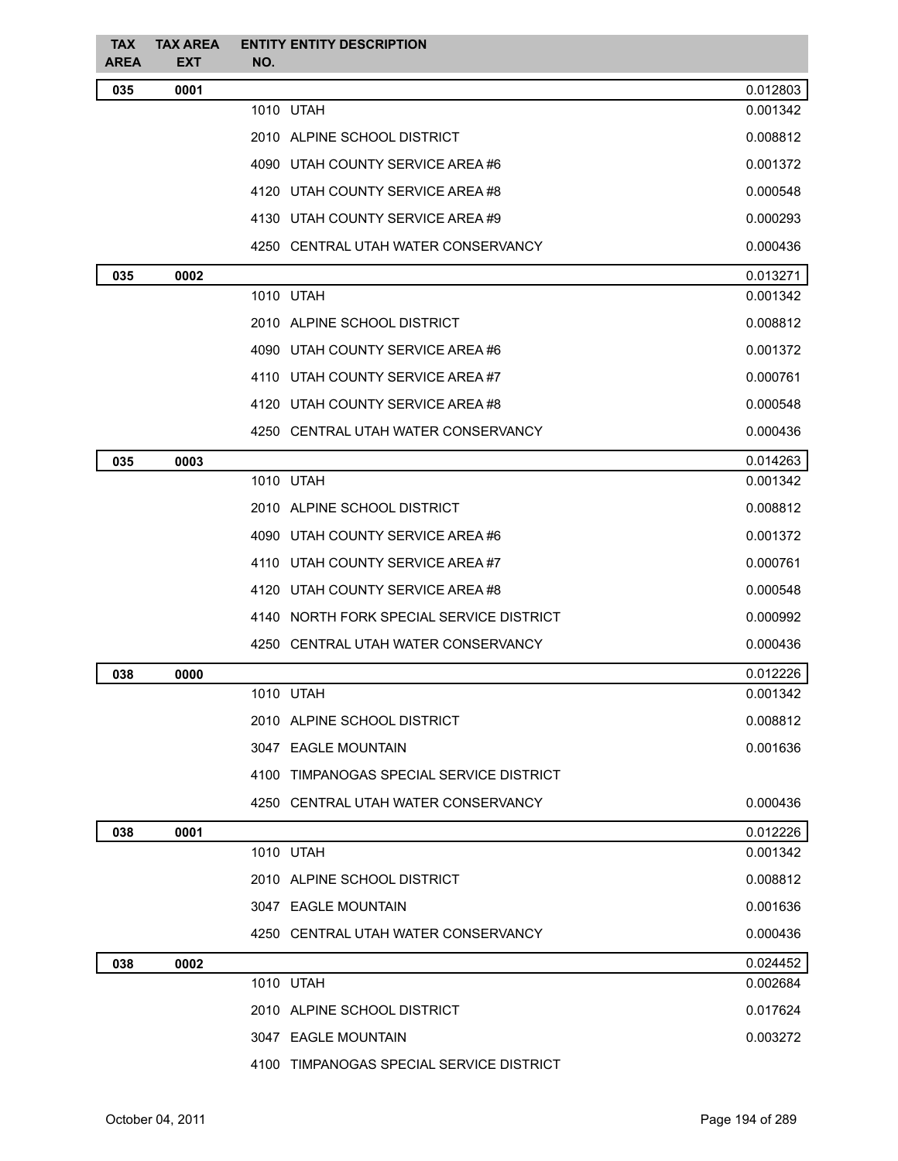| <b>TAX</b><br><b>AREA</b> | <b>TAX AREA</b><br><b>EXT</b> | <b>ENTITY ENTITY DESCRIPTION</b><br>NO.  |          |
|---------------------------|-------------------------------|------------------------------------------|----------|
| 035                       | 0001                          |                                          | 0.012803 |
|                           |                               | 1010 UTAH                                | 0.001342 |
|                           |                               | 2010 ALPINE SCHOOL DISTRICT              | 0.008812 |
|                           |                               | 4090 UTAH COUNTY SERVICE AREA #6         | 0.001372 |
|                           |                               | 4120 UTAH COUNTY SERVICE AREA#8          | 0.000548 |
|                           |                               | 4130 UTAH COUNTY SERVICE AREA #9         | 0.000293 |
|                           |                               | 4250 CENTRAL UTAH WATER CONSERVANCY      | 0.000436 |
| 035                       | 0002                          |                                          | 0.013271 |
|                           |                               | 1010 UTAH                                | 0.001342 |
|                           |                               | 2010 ALPINE SCHOOL DISTRICT              | 0.008812 |
|                           |                               | 4090 UTAH COUNTY SERVICE AREA #6         | 0.001372 |
|                           |                               | 4110 UTAH COUNTY SERVICE AREA#7          | 0.000761 |
|                           |                               | 4120 UTAH COUNTY SERVICE AREA#8          | 0.000548 |
|                           |                               | 4250 CENTRAL UTAH WATER CONSERVANCY      | 0.000436 |
| 035                       | 0003                          |                                          | 0.014263 |
|                           |                               | 1010 UTAH                                | 0.001342 |
|                           |                               | 2010 ALPINE SCHOOL DISTRICT              | 0.008812 |
|                           |                               | 4090 UTAH COUNTY SERVICE AREA #6         | 0.001372 |
|                           |                               | 4110 UTAH COUNTY SERVICE AREA#7          | 0.000761 |
|                           |                               | 4120 UTAH COUNTY SERVICE AREA #8         | 0.000548 |
|                           |                               | 4140 NORTH FORK SPECIAL SERVICE DISTRICT | 0.000992 |
|                           |                               | 4250 CENTRAL UTAH WATER CONSERVANCY      | 0.000436 |
| 038                       | 0000                          |                                          | 0.012226 |
|                           |                               | 1010 UTAH                                | 0.001342 |
|                           |                               | 2010 ALPINE SCHOOL DISTRICT              | 0.008812 |
|                           |                               | 3047 EAGLE MOUNTAIN                      | 0.001636 |
|                           |                               | 4100 TIMPANOGAS SPECIAL SERVICE DISTRICT |          |
|                           |                               | 4250 CENTRAL UTAH WATER CONSERVANCY      | 0.000436 |
| 038                       | 0001                          |                                          | 0.012226 |
|                           |                               | 1010 UTAH                                | 0.001342 |
|                           |                               | 2010 ALPINE SCHOOL DISTRICT              | 0.008812 |
|                           |                               | 3047 EAGLE MOUNTAIN                      | 0.001636 |
|                           |                               | 4250 CENTRAL UTAH WATER CONSERVANCY      | 0.000436 |
| 038                       | 0002                          |                                          | 0.024452 |
|                           |                               | 1010 UTAH                                | 0.002684 |
|                           |                               | 2010 ALPINE SCHOOL DISTRICT              | 0.017624 |
|                           |                               | 3047 EAGLE MOUNTAIN                      | 0.003272 |
|                           |                               | 4100 TIMPANOGAS SPECIAL SERVICE DISTRICT |          |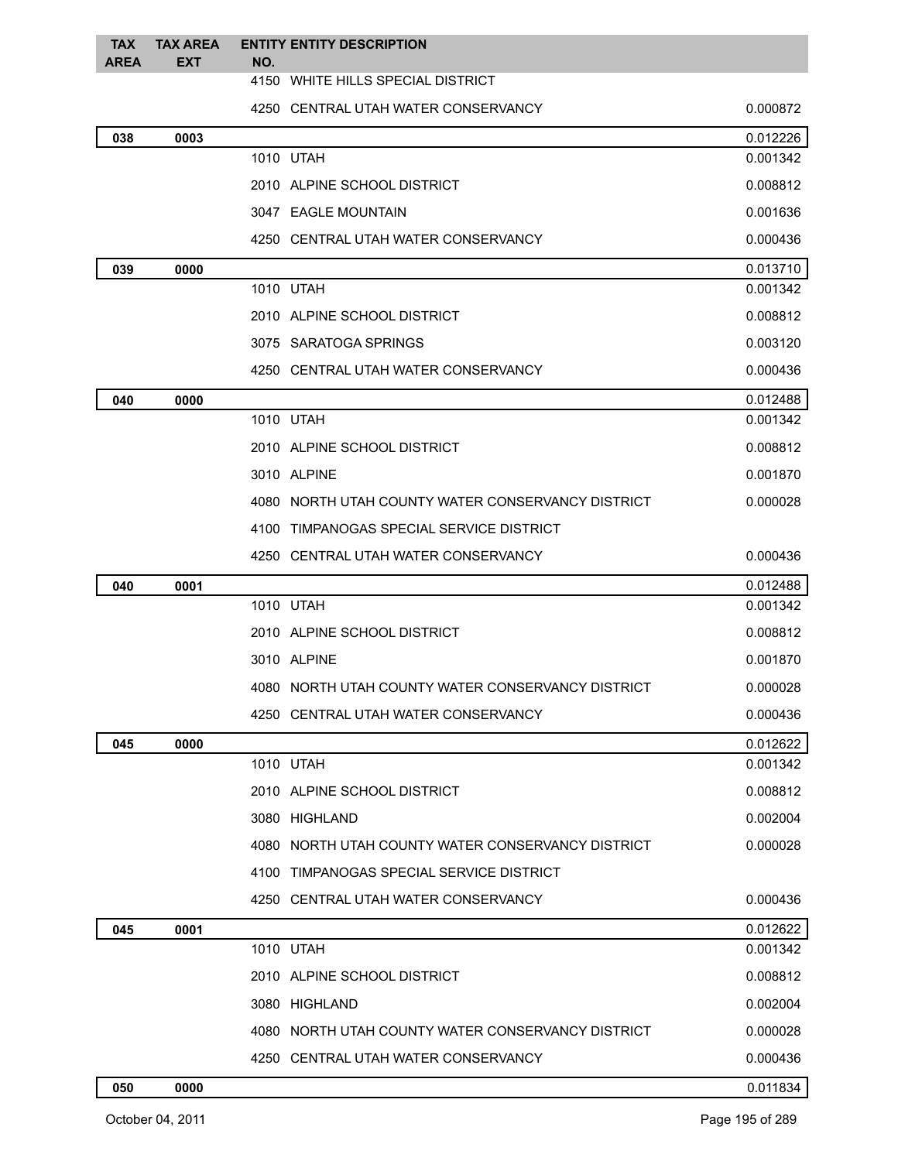| <b>TAX</b>  | <b>TAX AREA</b>   | <b>ENTITY ENTITY DESCRIPTION</b>                  |          |  |
|-------------|-------------------|---------------------------------------------------|----------|--|
| <b>AREA</b> | <b>EXT</b><br>NO. |                                                   |          |  |
|             |                   | 4150 WHITE HILLS SPECIAL DISTRICT                 |          |  |
|             |                   | 4250 CENTRAL UTAH WATER CONSERVANCY               | 0.000872 |  |
| 038         | 0003              |                                                   | 0.012226 |  |
|             |                   | 1010 UTAH                                         | 0.001342 |  |
|             |                   | 2010 ALPINE SCHOOL DISTRICT                       | 0.008812 |  |
|             |                   | 3047 EAGLE MOUNTAIN                               | 0.001636 |  |
|             |                   | 4250 CENTRAL UTAH WATER CONSERVANCY               | 0.000436 |  |
| 039         | 0000              |                                                   | 0.013710 |  |
|             |                   | 1010 UTAH                                         | 0.001342 |  |
|             |                   | 2010 ALPINE SCHOOL DISTRICT                       | 0.008812 |  |
|             |                   | 3075 SARATOGA SPRINGS                             | 0.003120 |  |
|             |                   | 4250 CENTRAL UTAH WATER CONSERVANCY               | 0.000436 |  |
| 040         | 0000              |                                                   | 0.012488 |  |
|             |                   | 1010 UTAH                                         | 0.001342 |  |
|             |                   | 2010 ALPINE SCHOOL DISTRICT                       | 0.008812 |  |
|             |                   | 3010 ALPINE                                       | 0.001870 |  |
|             |                   | 4080 NORTH UTAH COUNTY WATER CONSERVANCY DISTRICT | 0.000028 |  |
|             |                   | 4100 TIMPANOGAS SPECIAL SERVICE DISTRICT          |          |  |
|             |                   | 4250 CENTRAL UTAH WATER CONSERVANCY               | 0.000436 |  |
| 040         | 0001              |                                                   | 0.012488 |  |
|             |                   | 1010 UTAH                                         | 0.001342 |  |
|             |                   | 2010 ALPINE SCHOOL DISTRICT                       | 0.008812 |  |
|             |                   | 3010 ALPINE                                       | 0.001870 |  |
|             |                   | 4080 NORTH UTAH COUNTY WATER CONSERVANCY DISTRICT | 0.000028 |  |
|             |                   | 4250 CENTRAL UTAH WATER CONSERVANCY               | 0.000436 |  |
| 045         | 0000              |                                                   | 0.012622 |  |
|             |                   | 1010 UTAH                                         | 0.001342 |  |
|             |                   | 2010 ALPINE SCHOOL DISTRICT                       | 0.008812 |  |
|             |                   | 3080 HIGHLAND                                     | 0.002004 |  |
|             |                   | 4080 NORTH UTAH COUNTY WATER CONSERVANCY DISTRICT | 0.000028 |  |
|             |                   | 4100 TIMPANOGAS SPECIAL SERVICE DISTRICT          |          |  |
|             |                   | 4250 CENTRAL UTAH WATER CONSERVANCY               | 0.000436 |  |
| 045         | 0001              |                                                   | 0.012622 |  |
|             |                   | 1010 UTAH                                         | 0.001342 |  |
|             |                   | 2010 ALPINE SCHOOL DISTRICT                       | 0.008812 |  |
|             |                   | 3080 HIGHLAND                                     | 0.002004 |  |
|             |                   | 4080 NORTH UTAH COUNTY WATER CONSERVANCY DISTRICT | 0.000028 |  |
|             |                   | 4250 CENTRAL UTAH WATER CONSERVANCY               | 0.000436 |  |
| 050         | 0000              |                                                   | 0.011834 |  |
|             |                   |                                                   |          |  |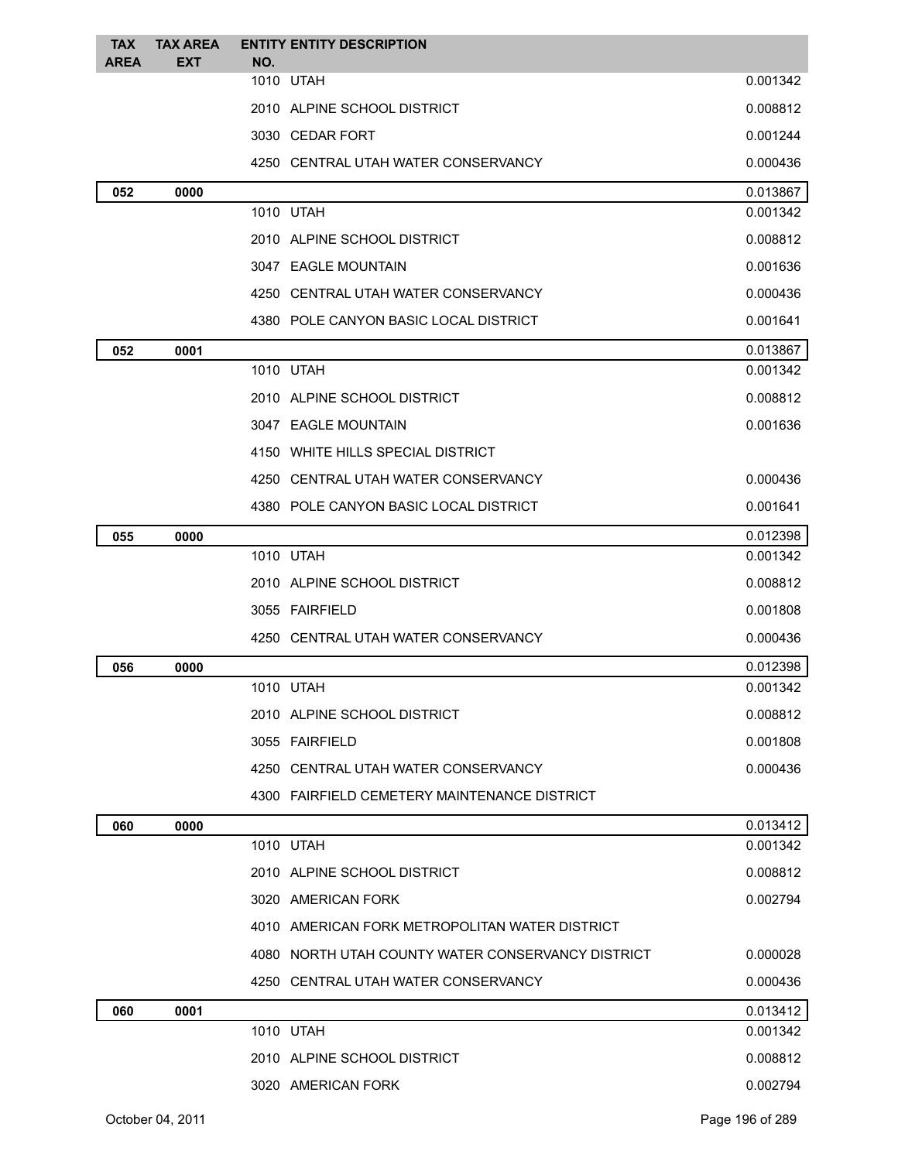| <b>TAX</b>  | <b>TAX AREA</b>     | <b>ENTITY ENTITY DESCRIPTION</b>                  |          |
|-------------|---------------------|---------------------------------------------------|----------|
| <b>AREA</b> | <b>EXT</b>          | NO.<br>1010 UTAH                                  | 0.001342 |
|             |                     | 2010 ALPINE SCHOOL DISTRICT                       | 0.008812 |
|             |                     | 3030 CEDAR FORT                                   | 0.001244 |
|             |                     | 4250 CENTRAL UTAH WATER CONSERVANCY               | 0.000436 |
| 052         | 0000                |                                                   | 0.013867 |
|             |                     | 1010 UTAH                                         | 0.001342 |
|             |                     | 2010 ALPINE SCHOOL DISTRICT                       | 0.008812 |
|             | 3047 EAGLE MOUNTAIN |                                                   | 0.001636 |
|             |                     | 4250 CENTRAL UTAH WATER CONSERVANCY               | 0.000436 |
|             |                     | 4380 POLE CANYON BASIC LOCAL DISTRICT             | 0.001641 |
| 052         | 0001                |                                                   | 0.013867 |
|             |                     | 1010 UTAH                                         | 0.001342 |
|             |                     | 2010 ALPINE SCHOOL DISTRICT                       | 0.008812 |
|             |                     | 3047 EAGLE MOUNTAIN                               | 0.001636 |
|             |                     | 4150 WHITE HILLS SPECIAL DISTRICT                 |          |
|             |                     | 4250 CENTRAL UTAH WATER CONSERVANCY               | 0.000436 |
|             |                     | 4380 POLE CANYON BASIC LOCAL DISTRICT             | 0.001641 |
| 055         | 0000                |                                                   | 0.012398 |
|             |                     | 1010 UTAH                                         | 0.001342 |
|             |                     | 2010 ALPINE SCHOOL DISTRICT                       | 0.008812 |
|             |                     | 3055 FAIRFIELD                                    | 0.001808 |
|             |                     | 4250 CENTRAL UTAH WATER CONSERVANCY               | 0.000436 |
| 056         | 0000                |                                                   | 0.012398 |
|             |                     | 1010 UTAH                                         | 0.001342 |
|             |                     | 2010 ALPINE SCHOOL DISTRICT                       | 0.008812 |
|             |                     | 3055 FAIRFIELD                                    | 0.001808 |
|             |                     | 4250 CENTRAL UTAH WATER CONSERVANCY               | 0.000436 |
|             |                     | 4300 FAIRFIELD CEMETERY MAINTENANCE DISTRICT      |          |
| 060         | 0000                |                                                   | 0.013412 |
|             |                     | 1010 UTAH                                         | 0.001342 |
|             |                     | 2010 ALPINE SCHOOL DISTRICT                       | 0.008812 |
|             |                     | 3020 AMERICAN FORK                                | 0.002794 |
|             |                     | 4010 AMERICAN FORK METROPOLITAN WATER DISTRICT    |          |
|             |                     | 4080 NORTH UTAH COUNTY WATER CONSERVANCY DISTRICT | 0.000028 |
|             |                     | 4250 CENTRAL UTAH WATER CONSERVANCY               | 0.000436 |
| 060         | 0001                |                                                   | 0.013412 |
|             |                     | 1010 UTAH                                         | 0.001342 |
|             |                     | 2010 ALPINE SCHOOL DISTRICT                       | 0.008812 |
|             |                     | 3020 AMERICAN FORK                                | 0.002794 |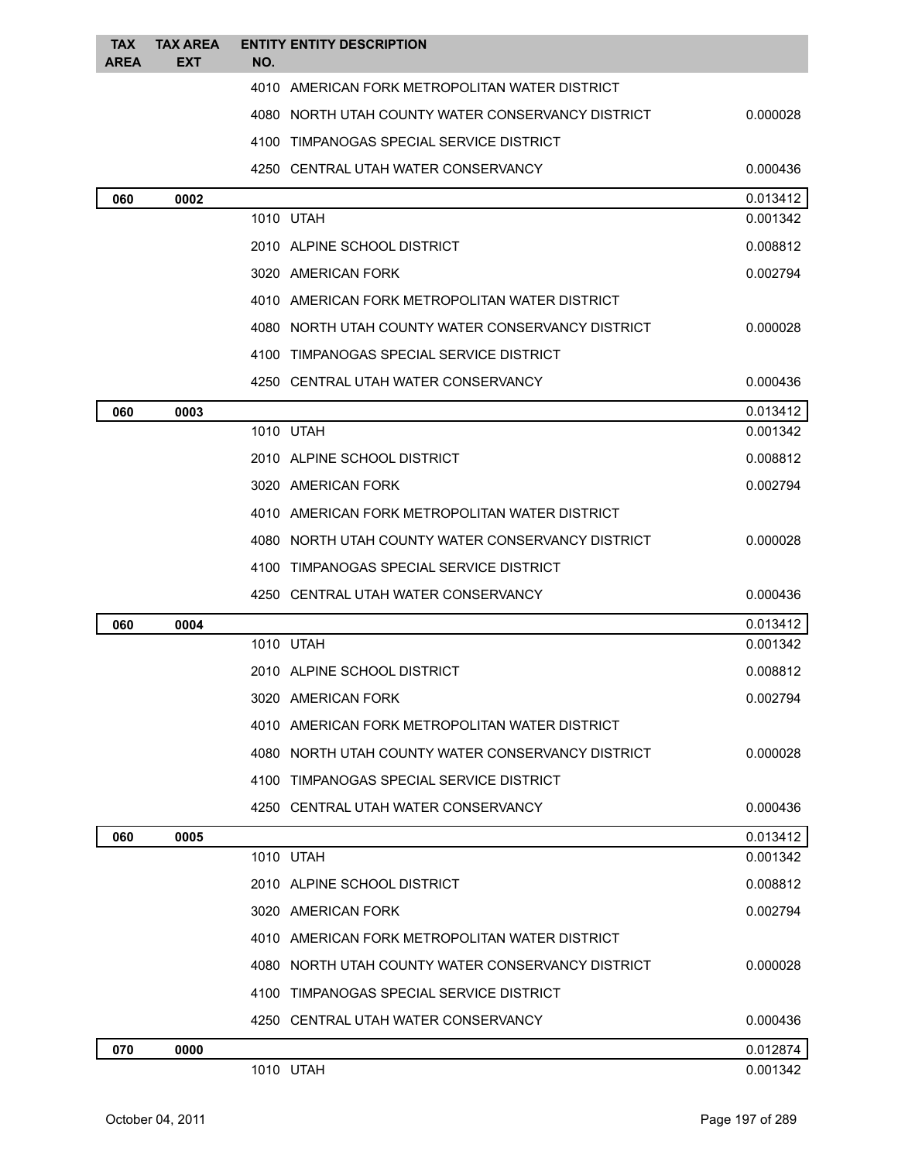| <b>TAX</b><br><b>AREA</b> | <b>TAX AREA</b><br><b>EXT</b> | <b>ENTITY ENTITY DESCRIPTION</b><br>NO.           |          |
|---------------------------|-------------------------------|---------------------------------------------------|----------|
|                           |                               | 4010 AMERICAN FORK METROPOLITAN WATER DISTRICT    |          |
|                           |                               | 4080 NORTH UTAH COUNTY WATER CONSERVANCY DISTRICT | 0.000028 |
|                           |                               | 4100 TIMPANOGAS SPECIAL SERVICE DISTRICT          |          |
|                           |                               | 4250 CENTRAL UTAH WATER CONSERVANCY               | 0.000436 |
| 060                       | 0002                          |                                                   | 0.013412 |
|                           |                               | 1010 UTAH                                         | 0.001342 |
|                           |                               | 2010 ALPINE SCHOOL DISTRICT                       | 0.008812 |
|                           |                               | 3020 AMERICAN FORK                                | 0.002794 |
|                           |                               | 4010 AMERICAN FORK METROPOLITAN WATER DISTRICT    |          |
|                           |                               | 4080 NORTH UTAH COUNTY WATER CONSERVANCY DISTRICT | 0.000028 |
|                           |                               | 4100 TIMPANOGAS SPECIAL SERVICE DISTRICT          |          |
|                           |                               | 4250 CENTRAL UTAH WATER CONSERVANCY               | 0.000436 |
| 060                       | 0003                          |                                                   | 0.013412 |
|                           |                               | 1010 UTAH                                         | 0.001342 |
|                           |                               | 2010 ALPINE SCHOOL DISTRICT                       | 0.008812 |
|                           |                               | 3020 AMERICAN FORK                                | 0.002794 |
|                           |                               | 4010 AMERICAN FORK METROPOLITAN WATER DISTRICT    |          |
|                           |                               | 4080 NORTH UTAH COUNTY WATER CONSERVANCY DISTRICT | 0.000028 |
|                           |                               | 4100 TIMPANOGAS SPECIAL SERVICE DISTRICT          |          |
|                           |                               | 4250 CENTRAL UTAH WATER CONSERVANCY               | 0.000436 |
| 060                       | 0004                          |                                                   | 0.013412 |
|                           |                               | 1010 UTAH                                         | 0.001342 |
|                           |                               | 2010 ALPINE SCHOOL DISTRICT                       | 0.008812 |
|                           |                               | 3020 AMERICAN FORK                                | 0.002794 |
|                           |                               | 4010 AMERICAN FORK METROPOLITAN WATER DISTRICT    |          |
|                           |                               | 4080 NORTH UTAH COUNTY WATER CONSERVANCY DISTRICT | 0.000028 |
|                           |                               | 4100 TIMPANOGAS SPECIAL SERVICE DISTRICT          |          |
|                           |                               | 4250 CENTRAL UTAH WATER CONSERVANCY               | 0.000436 |
| 060                       | 0005                          |                                                   | 0.013412 |
|                           |                               | 1010 UTAH                                         | 0.001342 |
|                           |                               | 2010 ALPINE SCHOOL DISTRICT                       | 0.008812 |
|                           |                               | 3020 AMERICAN FORK                                | 0.002794 |
|                           |                               | 4010 AMERICAN FORK METROPOLITAN WATER DISTRICT    |          |
|                           |                               | 4080 NORTH UTAH COUNTY WATER CONSERVANCY DISTRICT | 0.000028 |
|                           |                               | 4100 TIMPANOGAS SPECIAL SERVICE DISTRICT          |          |
|                           |                               | 4250 CENTRAL UTAH WATER CONSERVANCY               | 0.000436 |
| 070                       | 0000                          |                                                   | 0.012874 |
|                           |                               | 1010 UTAH                                         | 0.001342 |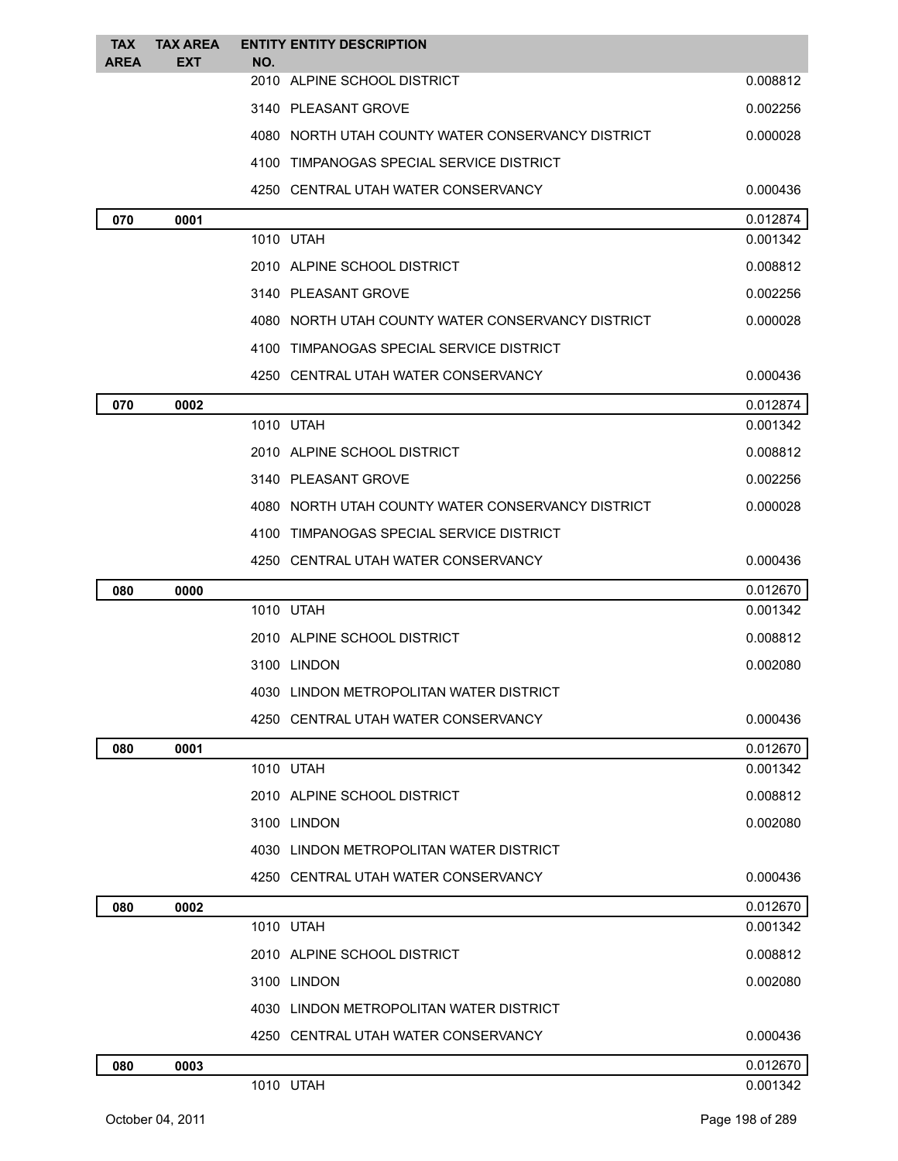| <b>TAX</b><br><b>AREA</b> | <b>TAX AREA</b><br><b>EXT</b> | NO. | <b>ENTITY ENTITY DESCRIPTION</b>                  |          |
|---------------------------|-------------------------------|-----|---------------------------------------------------|----------|
|                           |                               |     | 2010 ALPINE SCHOOL DISTRICT                       | 0.008812 |
|                           |                               |     | 3140 PLEASANT GROVE                               | 0.002256 |
|                           |                               |     | 4080 NORTH UTAH COUNTY WATER CONSERVANCY DISTRICT | 0.000028 |
|                           |                               |     | 4100 TIMPANOGAS SPECIAL SERVICE DISTRICT          |          |
|                           |                               |     | 4250 CENTRAL UTAH WATER CONSERVANCY               | 0.000436 |
| 070                       | 0001                          |     |                                                   | 0.012874 |
|                           |                               |     | 1010 UTAH                                         | 0.001342 |
|                           |                               |     | 2010 ALPINE SCHOOL DISTRICT                       | 0.008812 |
|                           |                               |     | 3140 PLEASANT GROVE                               | 0.002256 |
|                           |                               |     | 4080 NORTH UTAH COUNTY WATER CONSERVANCY DISTRICT | 0.000028 |
|                           |                               |     | 4100 TIMPANOGAS SPECIAL SERVICE DISTRICT          |          |
|                           |                               |     | 4250 CENTRAL UTAH WATER CONSERVANCY               | 0.000436 |
| 070                       | 0002                          |     |                                                   | 0.012874 |
|                           |                               |     | 1010 UTAH                                         | 0.001342 |
|                           |                               |     | 2010 ALPINE SCHOOL DISTRICT                       | 0.008812 |
|                           |                               |     | 3140 PLEASANT GROVE                               | 0.002256 |
|                           |                               |     | 4080 NORTH UTAH COUNTY WATER CONSERVANCY DISTRICT | 0.000028 |
|                           |                               |     | 4100 TIMPANOGAS SPECIAL SERVICE DISTRICT          |          |
|                           |                               |     | 4250 CENTRAL UTAH WATER CONSERVANCY               | 0.000436 |
| 080                       | 0000                          |     |                                                   | 0.012670 |
|                           |                               |     | 1010 UTAH                                         | 0.001342 |
|                           |                               |     | 2010 ALPINE SCHOOL DISTRICT                       | 0.008812 |
|                           |                               |     | 3100 LINDON                                       | 0.002080 |
|                           |                               |     | 4030 LINDON METROPOLITAN WATER DISTRICT           |          |
|                           |                               |     | 4250 CENTRAL UTAH WATER CONSERVANCY               | 0.000436 |
| 080                       | 0001                          |     |                                                   | 0.012670 |
|                           |                               |     | 1010 UTAH                                         | 0.001342 |
|                           |                               |     | 2010 ALPINE SCHOOL DISTRICT                       | 0.008812 |
|                           |                               |     | 3100 LINDON                                       | 0.002080 |
|                           |                               |     | 4030 LINDON METROPOLITAN WATER DISTRICT           |          |
|                           |                               |     | 4250 CENTRAL UTAH WATER CONSERVANCY               | 0.000436 |
| 080                       | 0002                          |     |                                                   | 0.012670 |
|                           |                               |     | 1010 UTAH                                         | 0.001342 |
|                           |                               |     | 2010 ALPINE SCHOOL DISTRICT                       | 0.008812 |
|                           |                               |     | 3100 LINDON                                       | 0.002080 |
|                           |                               |     | 4030 LINDON METROPOLITAN WATER DISTRICT           |          |
|                           |                               |     | 4250 CENTRAL UTAH WATER CONSERVANCY               | 0.000436 |
| 080                       | 0003                          |     |                                                   | 0.012670 |
|                           |                               |     | 1010 UTAH                                         | 0.001342 |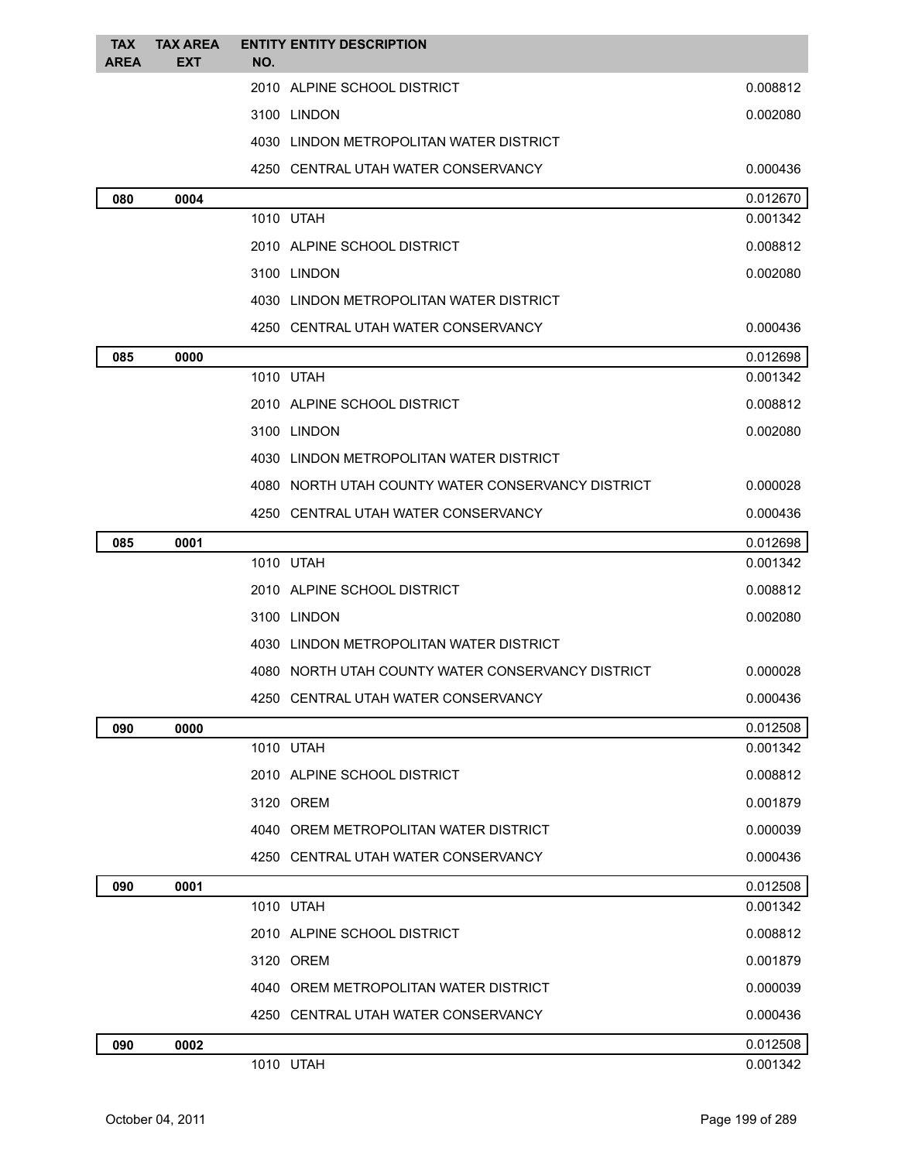| <b>TAX</b>  | <b>TAX AREA</b> | <b>ENTITY ENTITY DESCRIPTION</b>                  |                      |
|-------------|-----------------|---------------------------------------------------|----------------------|
| <b>AREA</b> | <b>EXT</b>      | NO.                                               |                      |
|             |                 | 2010 ALPINE SCHOOL DISTRICT                       | 0.008812             |
|             |                 | 3100 LINDON                                       | 0.002080             |
|             |                 | 4030 LINDON METROPOLITAN WATER DISTRICT           |                      |
|             |                 | 4250 CENTRAL UTAH WATER CONSERVANCY               | 0.000436             |
| 080         | 0004            |                                                   | 0.012670             |
|             |                 | 1010 UTAH                                         | 0.001342             |
|             |                 | 2010 ALPINE SCHOOL DISTRICT                       | 0.008812             |
|             |                 | 3100 LINDON                                       | 0.002080             |
|             |                 | 4030 LINDON METROPOLITAN WATER DISTRICT           |                      |
|             |                 | 4250 CENTRAL UTAH WATER CONSERVANCY               | 0.000436             |
| 085         | 0000            | 1010 UTAH                                         | 0.012698<br>0.001342 |
|             |                 | 2010 ALPINE SCHOOL DISTRICT                       | 0.008812             |
|             |                 | 3100 LINDON                                       | 0.002080             |
|             |                 | 4030 LINDON METROPOLITAN WATER DISTRICT           |                      |
|             |                 |                                                   |                      |
|             |                 | 4080 NORTH UTAH COUNTY WATER CONSERVANCY DISTRICT | 0.000028             |
|             |                 | 4250 CENTRAL UTAH WATER CONSERVANCY               | 0.000436             |
| 085         | 0001            | 1010 UTAH                                         | 0.012698<br>0.001342 |
|             |                 | 2010 ALPINE SCHOOL DISTRICT                       | 0.008812             |
|             |                 | 3100 LINDON                                       | 0.002080             |
|             |                 | 4030 LINDON METROPOLITAN WATER DISTRICT           |                      |
|             |                 | 4080 NORTH UTAH COUNTY WATER CONSERVANCY DISTRICT | 0.000028             |
|             |                 | 4250 CENTRAL UTAH WATER CONSERVANCY               | 0.000436             |
|             |                 |                                                   |                      |
| 090         | 0000            | 1010 UTAH                                         | 0.012508<br>0.001342 |
|             |                 | 2010 ALPINE SCHOOL DISTRICT                       | 0.008812             |
|             |                 | 3120 OREM                                         | 0.001879             |
|             |                 | 4040 OREM METROPOLITAN WATER DISTRICT             | 0.000039             |
|             |                 | 4250 CENTRAL UTAH WATER CONSERVANCY               | 0.000436             |
| 090         | 0001            |                                                   | 0.012508             |
|             |                 | 1010 UTAH                                         | 0.001342             |
|             |                 | 2010 ALPINE SCHOOL DISTRICT                       | 0.008812             |
|             |                 | 3120 OREM                                         | 0.001879             |
|             |                 | 4040 OREM METROPOLITAN WATER DISTRICT             | 0.000039             |
|             |                 | 4250 CENTRAL UTAH WATER CONSERVANCY               | 0.000436             |
| 090         | 0002            |                                                   | 0.012508             |
|             |                 | 1010 UTAH                                         | 0.001342             |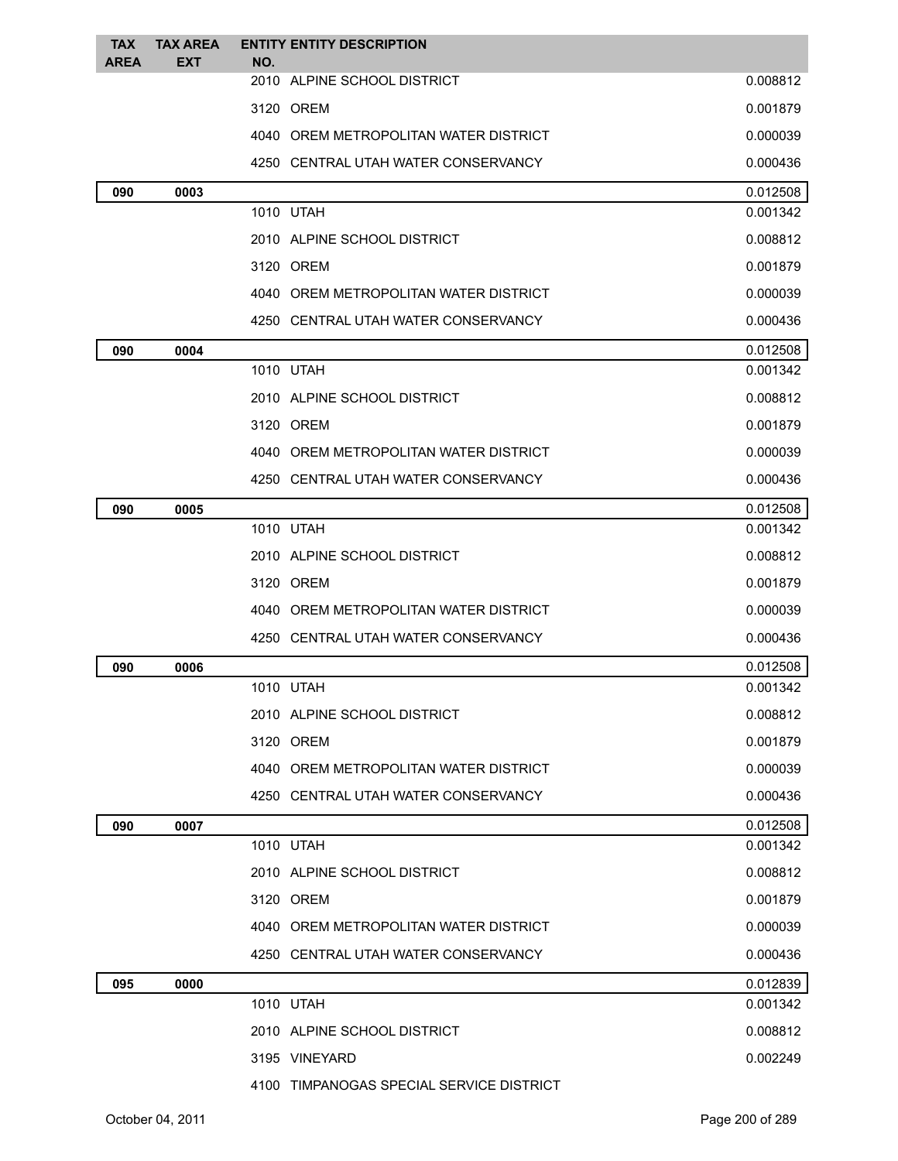| <b>TAX</b>  | <b>TAX AREA</b> | <b>ENTITY ENTITY DESCRIPTION</b>         |          |
|-------------|-----------------|------------------------------------------|----------|
| <b>AREA</b> | <b>EXT</b>      | NO.<br>2010 ALPINE SCHOOL DISTRICT       | 0.008812 |
|             |                 | 3120 OREM                                | 0.001879 |
|             |                 | 4040 OREM METROPOLITAN WATER DISTRICT    | 0.000039 |
|             |                 | 4250 CENTRAL UTAH WATER CONSERVANCY      | 0.000436 |
| 090         | 0003            |                                          | 0.012508 |
|             |                 | 1010 UTAH                                | 0.001342 |
|             |                 | 2010 ALPINE SCHOOL DISTRICT              | 0.008812 |
|             |                 | 3120 OREM                                | 0.001879 |
|             |                 | 4040 OREM METROPOLITAN WATER DISTRICT    | 0.000039 |
|             |                 | 4250 CENTRAL UTAH WATER CONSERVANCY      | 0.000436 |
| 090         | 0004            |                                          | 0.012508 |
|             |                 | 1010 UTAH                                | 0.001342 |
|             |                 | 2010 ALPINE SCHOOL DISTRICT              | 0.008812 |
|             |                 | 3120 OREM                                | 0.001879 |
|             |                 | 4040 OREM METROPOLITAN WATER DISTRICT    | 0.000039 |
|             |                 | 4250 CENTRAL UTAH WATER CONSERVANCY      | 0.000436 |
| 090         | 0005            |                                          | 0.012508 |
|             |                 | 1010 UTAH                                | 0.001342 |
|             |                 | 2010 ALPINE SCHOOL DISTRICT              | 0.008812 |
|             |                 | 3120 OREM                                | 0.001879 |
|             |                 | 4040 OREM METROPOLITAN WATER DISTRICT    | 0.000039 |
|             |                 | 4250 CENTRAL UTAH WATER CONSERVANCY      | 0.000436 |
| 090         | 0006            |                                          | 0.012508 |
|             |                 | 1010 UTAH                                | 0.001342 |
|             |                 | 2010 ALPINE SCHOOL DISTRICT              | 0.008812 |
|             |                 | 3120 OREM                                | 0.001879 |
|             |                 | 4040 OREM METROPOLITAN WATER DISTRICT    | 0.000039 |
|             |                 | 4250 CENTRAL UTAH WATER CONSERVANCY      | 0.000436 |
| 090         | 0007            |                                          | 0.012508 |
|             |                 | 1010 UTAH                                | 0.001342 |
|             |                 | 2010 ALPINE SCHOOL DISTRICT              | 0.008812 |
|             |                 | 3120 OREM                                | 0.001879 |
|             |                 | 4040 OREM METROPOLITAN WATER DISTRICT    | 0.000039 |
|             |                 | 4250   CENTRAL UTAH WATER CONSERVANCY    | 0.000436 |
| 095         | 0000            |                                          | 0.012839 |
|             |                 | 1010 UTAH                                | 0.001342 |
|             |                 | 2010 ALPINE SCHOOL DISTRICT              | 0.008812 |
|             |                 | 3195 VINEYARD                            | 0.002249 |
|             |                 | 4100 TIMPANOGAS SPECIAL SERVICE DISTRICT |          |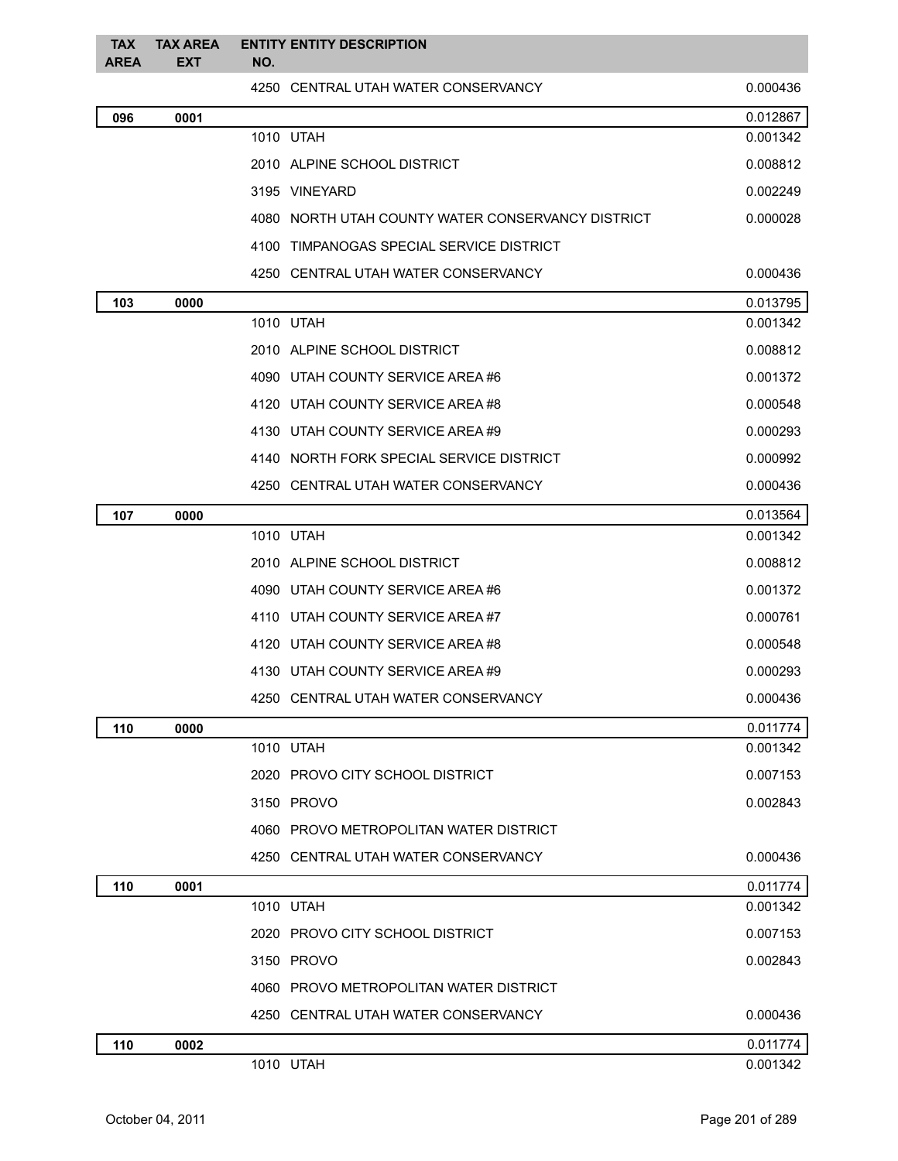| <b>TAX</b><br><b>AREA</b> | <b>TAX AREA</b><br><b>EXT</b> | <b>ENTITY ENTITY DESCRIPTION</b><br>NO.           |          |
|---------------------------|-------------------------------|---------------------------------------------------|----------|
|                           |                               | 4250 CENTRAL UTAH WATER CONSERVANCY               | 0.000436 |
| 096                       | 0001                          |                                                   | 0.012867 |
|                           |                               | 1010 UTAH                                         | 0.001342 |
|                           |                               | 2010 ALPINE SCHOOL DISTRICT                       | 0.008812 |
|                           |                               | 3195 VINEYARD                                     | 0.002249 |
|                           |                               | 4080 NORTH UTAH COUNTY WATER CONSERVANCY DISTRICT | 0.000028 |
|                           |                               | 4100 TIMPANOGAS SPECIAL SERVICE DISTRICT          |          |
|                           |                               | 4250 CENTRAL UTAH WATER CONSERVANCY               | 0.000436 |
| 103                       | 0000                          |                                                   | 0.013795 |
|                           |                               | 1010 UTAH                                         | 0.001342 |
|                           |                               | 2010 ALPINE SCHOOL DISTRICT                       | 0.008812 |
|                           |                               | 4090 UTAH COUNTY SERVICE AREA #6                  | 0.001372 |
|                           |                               | 4120 UTAH COUNTY SERVICE AREA #8                  | 0.000548 |
|                           |                               | 4130 UTAH COUNTY SERVICE AREA #9                  | 0.000293 |
|                           |                               | 4140 NORTH FORK SPECIAL SERVICE DISTRICT          | 0.000992 |
|                           |                               | 4250 CENTRAL UTAH WATER CONSERVANCY               | 0.000436 |
| 107                       | 0000                          |                                                   | 0.013564 |
|                           |                               | 1010 UTAH                                         | 0.001342 |
|                           |                               | 2010 ALPINE SCHOOL DISTRICT                       | 0.008812 |
|                           |                               | 4090 UTAH COUNTY SERVICE AREA #6                  | 0.001372 |
|                           |                               | 4110 UTAH COUNTY SERVICE AREA#7                   | 0.000761 |
|                           |                               | 4120 UTAH COUNTY SERVICE AREA#8                   | 0.000548 |
|                           |                               | 4130 UTAH COUNTY SERVICE AREA #9                  | 0.000293 |
|                           |                               | 4250 CENTRAL UTAH WATER CONSERVANCY               | 0.000436 |
| 110                       | 0000                          |                                                   | 0.011774 |
|                           |                               | 1010 UTAH                                         | 0.001342 |
|                           |                               | 2020 PROVO CITY SCHOOL DISTRICT                   | 0.007153 |
|                           |                               | 3150 PROVO                                        | 0.002843 |
|                           |                               | 4060 PROVO METROPOLITAN WATER DISTRICT            |          |
|                           |                               | 4250 CENTRAL UTAH WATER CONSERVANCY               | 0.000436 |
| 110                       | 0001                          |                                                   | 0.011774 |
|                           |                               | 1010 UTAH                                         | 0.001342 |
|                           |                               | 2020 PROVO CITY SCHOOL DISTRICT                   | 0.007153 |
|                           |                               | 3150 PROVO                                        | 0.002843 |
|                           |                               | 4060 PROVO METROPOLITAN WATER DISTRICT            |          |
|                           |                               | 4250 CENTRAL UTAH WATER CONSERVANCY               | 0.000436 |
| 110                       | 0002                          |                                                   | 0.011774 |
|                           |                               | 1010 UTAH                                         | 0.001342 |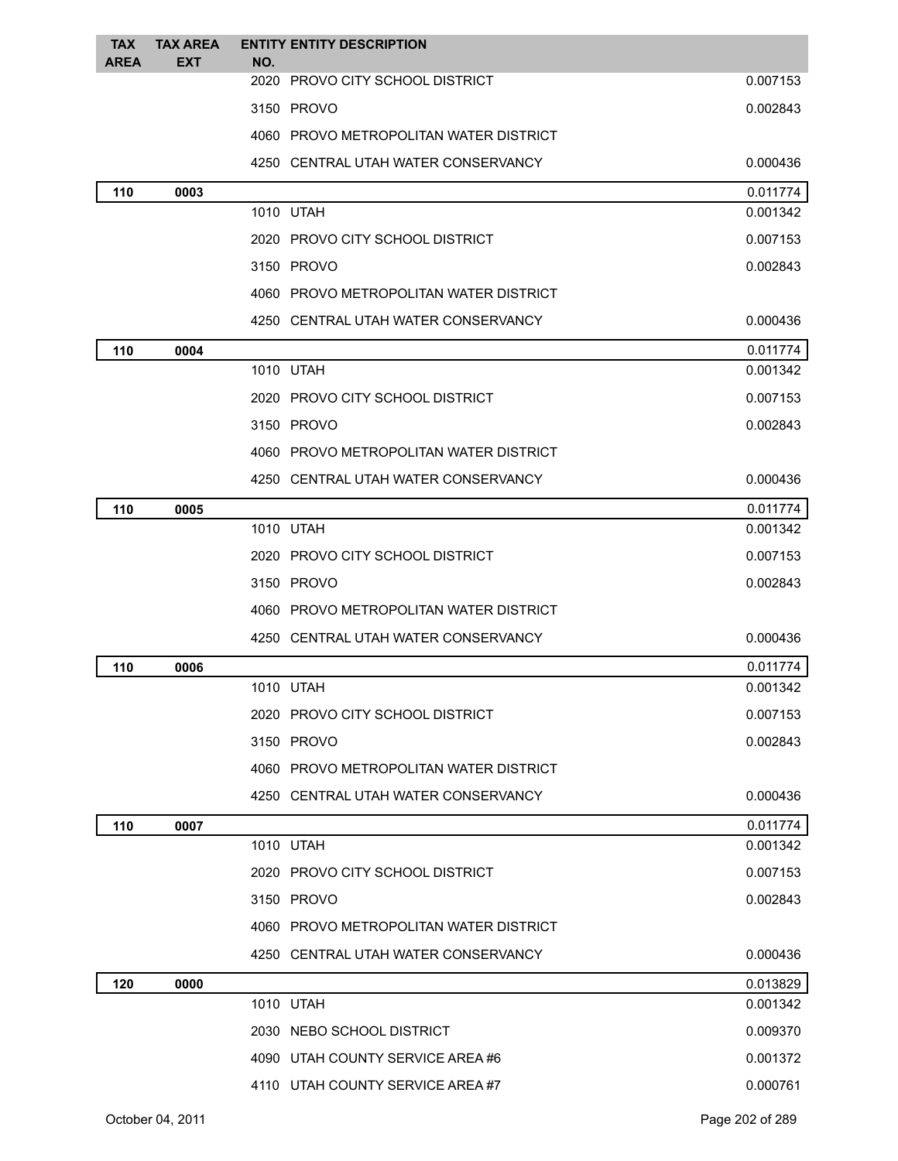| <b>TAX</b>  | <b>TAX AREA</b> | <b>ENTITY ENTITY DESCRIPTION</b>       |          |
|-------------|-----------------|----------------------------------------|----------|
| <b>AREA</b> | <b>EXT</b>      | NO.<br>2020 PROVO CITY SCHOOL DISTRICT | 0.007153 |
|             |                 | 3150 PROVO                             | 0.002843 |
|             |                 | 4060 PROVO METROPOLITAN WATER DISTRICT |          |
|             |                 | 4250 CENTRAL UTAH WATER CONSERVANCY    | 0.000436 |
| 110         | 0003            |                                        | 0.011774 |
|             |                 | 1010 UTAH                              | 0.001342 |
|             |                 | 2020 PROVO CITY SCHOOL DISTRICT        | 0.007153 |
|             |                 | 3150 PROVO                             | 0.002843 |
|             |                 | 4060 PROVO METROPOLITAN WATER DISTRICT |          |
|             |                 | 4250 CENTRAL UTAH WATER CONSERVANCY    | 0.000436 |
| 110         | 0004            |                                        | 0.011774 |
|             |                 | 1010 UTAH                              | 0.001342 |
|             |                 | 2020 PROVO CITY SCHOOL DISTRICT        | 0.007153 |
|             |                 | 3150 PROVO                             | 0.002843 |
|             |                 | 4060 PROVO METROPOLITAN WATER DISTRICT |          |
|             |                 | 4250 CENTRAL UTAH WATER CONSERVANCY    | 0.000436 |
| 110         | 0005            |                                        | 0.011774 |
|             |                 | 1010 UTAH                              | 0.001342 |
|             |                 | 2020 PROVO CITY SCHOOL DISTRICT        | 0.007153 |
|             |                 | 3150 PROVO                             | 0.002843 |
|             |                 | 4060 PROVO METROPOLITAN WATER DISTRICT |          |
|             |                 | 4250 CENTRAL UTAH WATER CONSERVANCY    | 0.000436 |
| 110         | 0006            |                                        | 0.011774 |
|             |                 | 1010 UTAH                              | 0.001342 |
|             |                 | 2020 PROVO CITY SCHOOL DISTRICT        | 0.007153 |
|             |                 | 3150 PROVO                             | 0.002843 |
|             |                 | 4060 PROVO METROPOLITAN WATER DISTRICT |          |
|             |                 | 4250 CENTRAL UTAH WATER CONSERVANCY    | 0.000436 |
| 110         | 0007            |                                        | 0.011774 |
|             |                 | 1010 UTAH                              | 0.001342 |
|             |                 | 2020 PROVO CITY SCHOOL DISTRICT        | 0.007153 |
|             |                 | 3150 PROVO                             | 0.002843 |
|             |                 | 4060 PROVO METROPOLITAN WATER DISTRICT |          |
|             |                 | 4250 CENTRAL UTAH WATER CONSERVANCY    | 0.000436 |
| 120         | 0000            |                                        | 0.013829 |
|             |                 | 1010 UTAH                              | 0.001342 |
|             |                 | 2030 NEBO SCHOOL DISTRICT              | 0.009370 |
|             |                 | 4090 UTAH COUNTY SERVICE AREA #6       | 0.001372 |
|             |                 | 4110 UTAH COUNTY SERVICE AREA #7       | 0.000761 |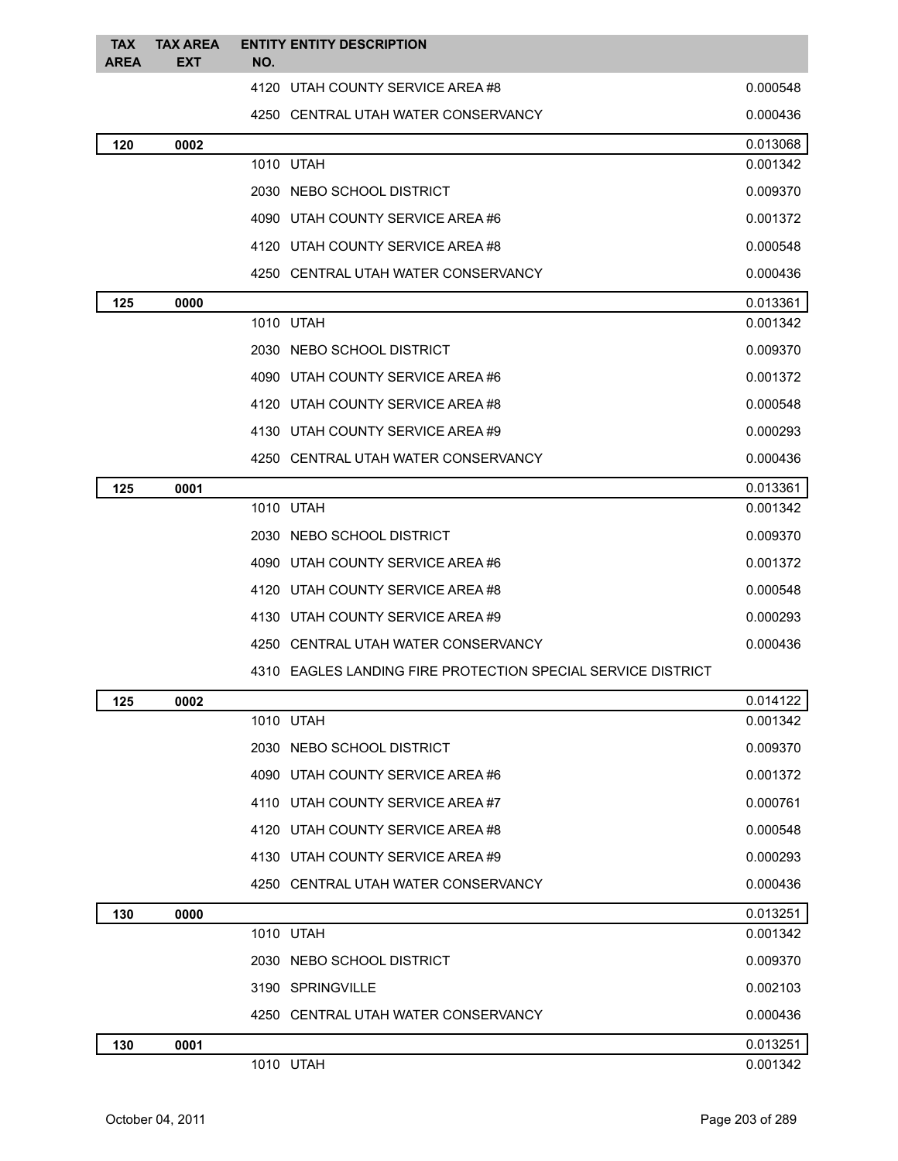| <b>TAX</b><br><b>AREA</b> | <b>TAX AREA</b><br><b>EXT</b> | NO.  | <b>ENTITY ENTITY DESCRIPTION</b>                             |                      |
|---------------------------|-------------------------------|------|--------------------------------------------------------------|----------------------|
|                           |                               |      | 4120 UTAH COUNTY SERVICE AREA#8                              | 0.000548             |
|                           |                               |      | 4250 CENTRAL UTAH WATER CONSERVANCY                          | 0.000436             |
| 120                       | 0002                          |      |                                                              | 0.013068             |
|                           |                               |      | 1010 UTAH                                                    | 0.001342             |
|                           |                               |      | 2030 NEBO SCHOOL DISTRICT                                    | 0.009370             |
|                           |                               |      | 4090 UTAH COUNTY SERVICE AREA#6                              | 0.001372             |
|                           |                               |      | 4120 UTAH COUNTY SERVICE AREA #8                             | 0.000548             |
|                           |                               |      | 4250 CENTRAL UTAH WATER CONSERVANCY                          | 0.000436             |
| 125                       | 0000                          |      |                                                              | 0.013361             |
|                           |                               |      | 1010 UTAH                                                    | 0.001342             |
|                           |                               |      | 2030 NEBO SCHOOL DISTRICT                                    | 0.009370             |
|                           |                               |      | 4090 UTAH COUNTY SERVICE AREA #6                             | 0.001372             |
|                           |                               |      | 4120 UTAH COUNTY SERVICE AREA #8                             | 0.000548             |
|                           |                               |      | 4130 UTAH COUNTY SERVICE AREA #9                             | 0.000293             |
|                           |                               |      | 4250 CENTRAL UTAH WATER CONSERVANCY                          | 0.000436             |
| 125                       | 0001                          |      | 1010 UTAH                                                    | 0.013361<br>0.001342 |
|                           |                               |      |                                                              |                      |
|                           |                               |      | 2030 NEBO SCHOOL DISTRICT                                    | 0.009370             |
|                           |                               |      | 4090 UTAH COUNTY SERVICE AREA #6                             | 0.001372             |
|                           |                               |      | 4120 UTAH COUNTY SERVICE AREA#8                              | 0.000548             |
|                           |                               |      | 4130 UTAH COUNTY SERVICE AREA #9                             | 0.000293             |
|                           |                               |      | 4250 CENTRAL UTAH WATER CONSERVANCY                          | 0.000436             |
|                           |                               |      | 4310 EAGLES LANDING FIRE PROTECTION SPECIAL SERVICE DISTRICT |                      |
| 125                       | 0002                          |      | 1010 UTAH                                                    | 0.014122<br>0.001342 |
|                           |                               |      | 2030 NEBO SCHOOL DISTRICT                                    | 0.009370             |
|                           |                               | 4090 | UTAH COUNTY SERVICE AREA #6                                  | 0.001372             |
|                           |                               | 4110 | UTAH COUNTY SERVICE AREA #7                                  | 0.000761             |
|                           |                               |      | 4120 UTAH COUNTY SERVICE AREA #8                             | 0.000548             |
|                           |                               |      | 4130 UTAH COUNTY SERVICE AREA #9                             | 0.000293             |
|                           |                               |      | 4250 CENTRAL UTAH WATER CONSERVANCY                          | 0.000436             |
| 130                       | 0000                          |      |                                                              | 0.013251             |
|                           |                               |      | 1010 UTAH                                                    | 0.001342             |
|                           |                               |      | 2030 NEBO SCHOOL DISTRICT                                    | 0.009370             |
|                           |                               |      | 3190 SPRINGVILLE                                             | 0.002103             |
|                           |                               |      | 4250 CENTRAL UTAH WATER CONSERVANCY                          | 0.000436             |
| 130                       | 0001                          |      |                                                              | 0.013251             |
|                           |                               |      | 1010 UTAH                                                    | 0.001342             |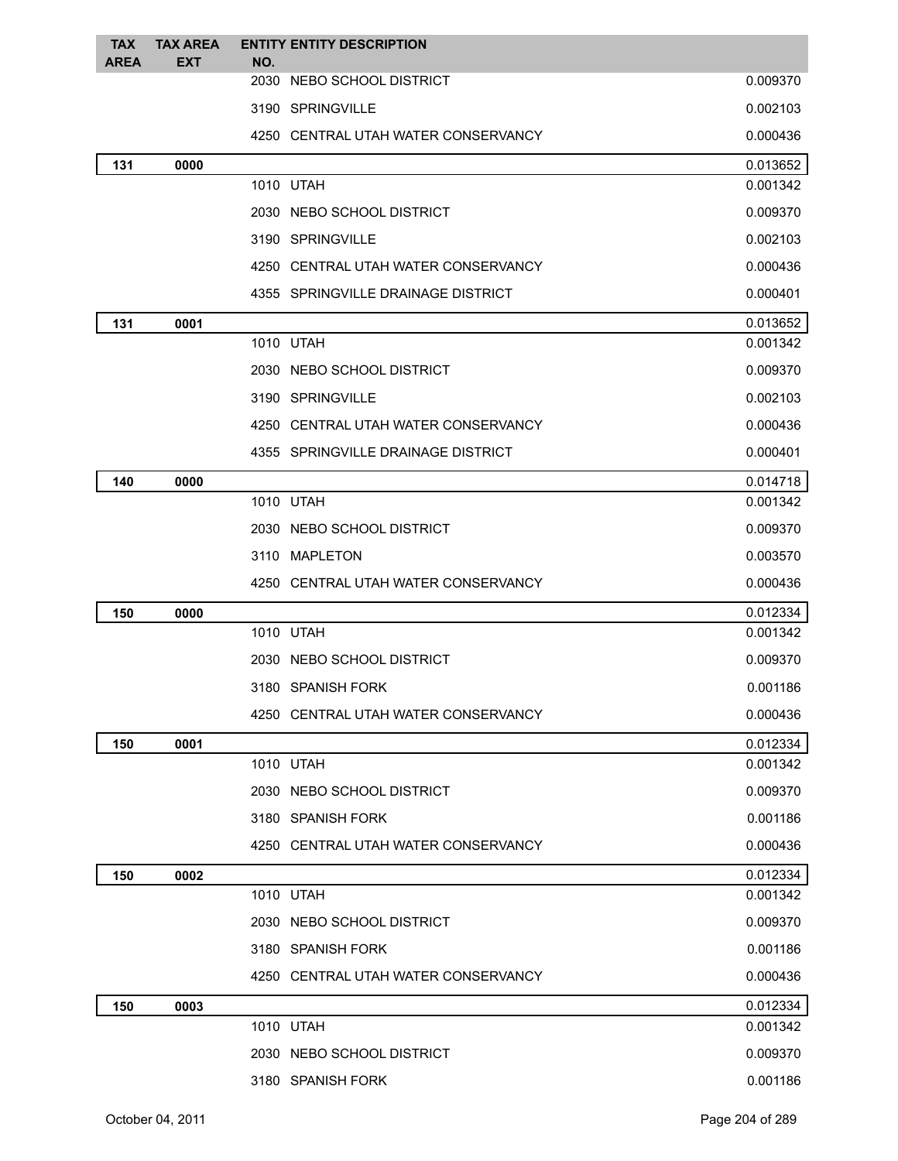| <b>TAX</b>  | <b>TAX AREA</b> |     | <b>ENTITY ENTITY DESCRIPTION</b>    |          |
|-------------|-----------------|-----|-------------------------------------|----------|
| <b>AREA</b> | <b>EXT</b>      | NO. | 2030 NEBO SCHOOL DISTRICT           | 0.009370 |
|             |                 |     | 3190 SPRINGVILLE                    | 0.002103 |
|             |                 |     | 4250 CENTRAL UTAH WATER CONSERVANCY | 0.000436 |
| 131         | 0000            |     |                                     | 0.013652 |
|             |                 |     | 1010 UTAH                           | 0.001342 |
|             |                 |     | 2030 NEBO SCHOOL DISTRICT           | 0.009370 |
|             |                 |     | 3190 SPRINGVILLE                    | 0.002103 |
|             |                 |     | 4250 CENTRAL UTAH WATER CONSERVANCY | 0.000436 |
|             |                 |     | 4355 SPRINGVILLE DRAINAGE DISTRICT  | 0.000401 |
| 131         | 0001            |     |                                     | 0.013652 |
|             |                 |     | 1010 UTAH                           | 0.001342 |
|             |                 |     | 2030 NEBO SCHOOL DISTRICT           | 0.009370 |
|             |                 |     | 3190 SPRINGVILLE                    | 0.002103 |
|             |                 |     | 4250 CENTRAL UTAH WATER CONSERVANCY | 0.000436 |
|             |                 |     | 4355 SPRINGVILLE DRAINAGE DISTRICT  | 0.000401 |
| 140         | 0000            |     |                                     | 0.014718 |
|             |                 |     | 1010 UTAH                           | 0.001342 |
|             |                 |     | 2030 NEBO SCHOOL DISTRICT           | 0.009370 |
|             |                 |     | 3110 MAPLETON                       | 0.003570 |
|             |                 |     | 4250 CENTRAL UTAH WATER CONSERVANCY | 0.000436 |
| 150         | 0000            |     |                                     | 0.012334 |
|             |                 |     | 1010 UTAH                           | 0.001342 |
|             |                 |     | 2030 NEBO SCHOOL DISTRICT           | 0.009370 |
|             |                 |     | 3180 SPANISH FORK                   | 0.001186 |
|             |                 |     | 4250 CENTRAL UTAH WATER CONSERVANCY | 0.000436 |
| 150         | 0001            |     |                                     | 0.012334 |
|             |                 |     | 1010 UTAH                           | 0.001342 |
|             |                 |     | 2030 NEBO SCHOOL DISTRICT           | 0.009370 |
|             |                 |     | 3180 SPANISH FORK                   | 0.001186 |
|             |                 |     | 4250 CENTRAL UTAH WATER CONSERVANCY | 0.000436 |
| 150         | 0002            |     |                                     | 0.012334 |
|             |                 |     | 1010 UTAH                           | 0.001342 |
|             |                 |     | 2030 NEBO SCHOOL DISTRICT           | 0.009370 |
|             |                 |     | 3180 SPANISH FORK                   | 0.001186 |
|             |                 |     | 4250 CENTRAL UTAH WATER CONSERVANCY | 0.000436 |
| 150         | 0003            |     |                                     | 0.012334 |
|             |                 |     | 1010 UTAH                           | 0.001342 |
|             |                 |     | 2030 NEBO SCHOOL DISTRICT           | 0.009370 |
|             |                 |     | 3180 SPANISH FORK                   | 0.001186 |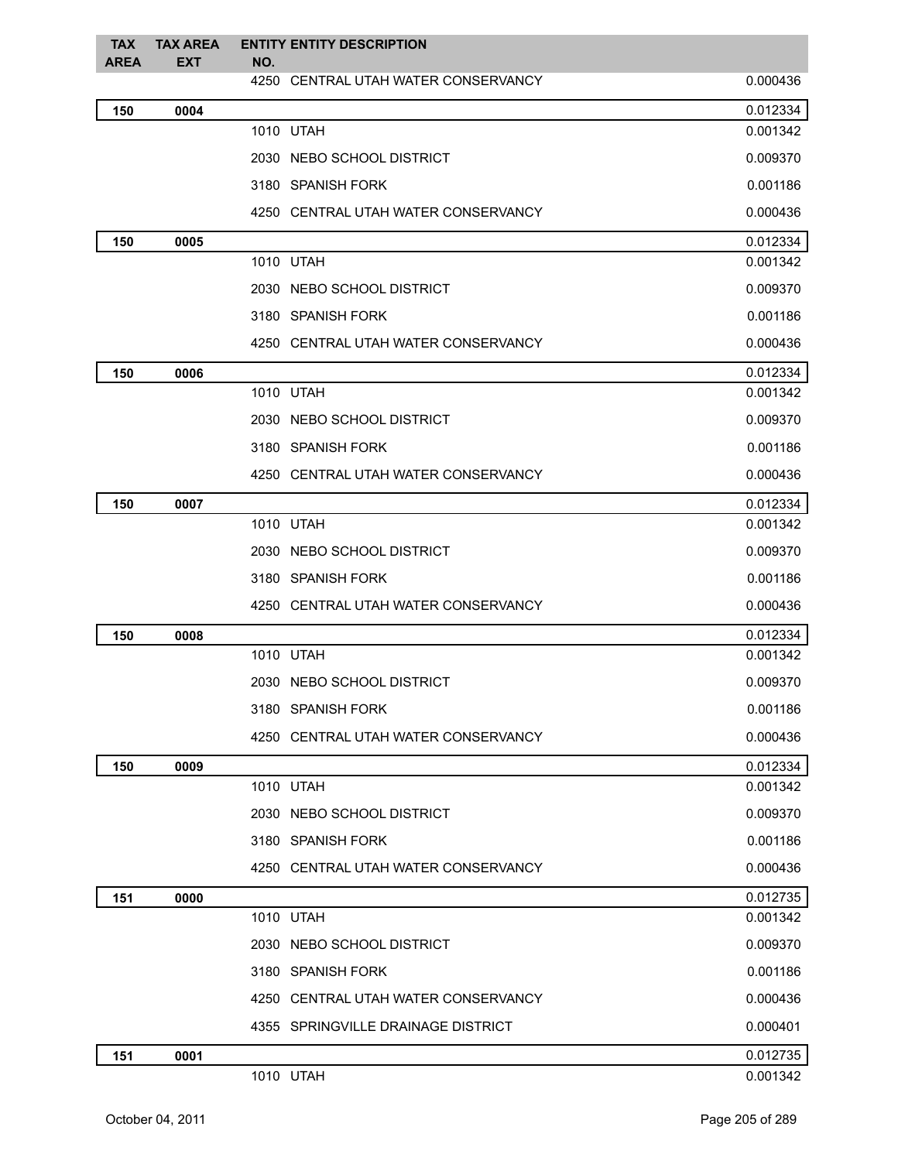| <b>TAX</b><br><b>AREA</b> | <b>TAX AREA</b><br><b>EXT</b> | <b>ENTITY ENTITY DESCRIPTION</b><br>NO. |          |
|---------------------------|-------------------------------|-----------------------------------------|----------|
|                           |                               | 4250 CENTRAL UTAH WATER CONSERVANCY     | 0.000436 |
| 150                       | 0004                          |                                         | 0.012334 |
|                           |                               | 1010 UTAH                               | 0.001342 |
|                           |                               | 2030 NEBO SCHOOL DISTRICT               | 0.009370 |
|                           |                               | 3180 SPANISH FORK                       | 0.001186 |
|                           |                               | 4250 CENTRAL UTAH WATER CONSERVANCY     | 0.000436 |
| 150                       | 0005                          |                                         | 0.012334 |
|                           |                               | 1010 UTAH                               | 0.001342 |
|                           |                               | 2030 NEBO SCHOOL DISTRICT               | 0.009370 |
|                           |                               | 3180 SPANISH FORK                       | 0.001186 |
|                           |                               | 4250 CENTRAL UTAH WATER CONSERVANCY     | 0.000436 |
| 150                       | 0006                          |                                         | 0.012334 |
|                           |                               | 1010 UTAH                               | 0.001342 |
|                           |                               | 2030 NEBO SCHOOL DISTRICT               | 0.009370 |
|                           |                               | 3180 SPANISH FORK                       | 0.001186 |
|                           |                               | 4250 CENTRAL UTAH WATER CONSERVANCY     | 0.000436 |
| 150                       | 0007                          |                                         | 0.012334 |
|                           |                               | 1010 UTAH                               | 0.001342 |
|                           |                               | 2030 NEBO SCHOOL DISTRICT               | 0.009370 |
|                           |                               | 3180 SPANISH FORK                       | 0.001186 |
|                           |                               | 4250 CENTRAL UTAH WATER CONSERVANCY     | 0.000436 |
| 150                       | 0008                          |                                         | 0.012334 |
|                           |                               | 1010 UTAH                               | 0.001342 |
|                           |                               | 2030 NEBO SCHOOL DISTRICT               | 0.009370 |
|                           |                               | 3180 SPANISH FORK                       | 0.001186 |
|                           |                               | 4250 CENTRAL UTAH WATER CONSERVANCY     | 0.000436 |
| 150                       | 0009                          |                                         | 0.012334 |
|                           |                               | 1010 UTAH                               | 0.001342 |
|                           |                               | 2030 NEBO SCHOOL DISTRICT               | 0.009370 |
|                           |                               | 3180 SPANISH FORK                       | 0.001186 |
|                           |                               | 4250 CENTRAL UTAH WATER CONSERVANCY     | 0.000436 |
| 151                       | 0000                          |                                         | 0.012735 |
|                           |                               | 1010 UTAH                               | 0.001342 |
|                           |                               | 2030 NEBO SCHOOL DISTRICT               | 0.009370 |
|                           |                               | 3180 SPANISH FORK                       | 0.001186 |
|                           |                               | 4250 CENTRAL UTAH WATER CONSERVANCY     | 0.000436 |
|                           |                               | 4355 SPRINGVILLE DRAINAGE DISTRICT      | 0.000401 |
| 151                       | 0001                          |                                         | 0.012735 |
|                           |                               | 1010 UTAH                               | 0.001342 |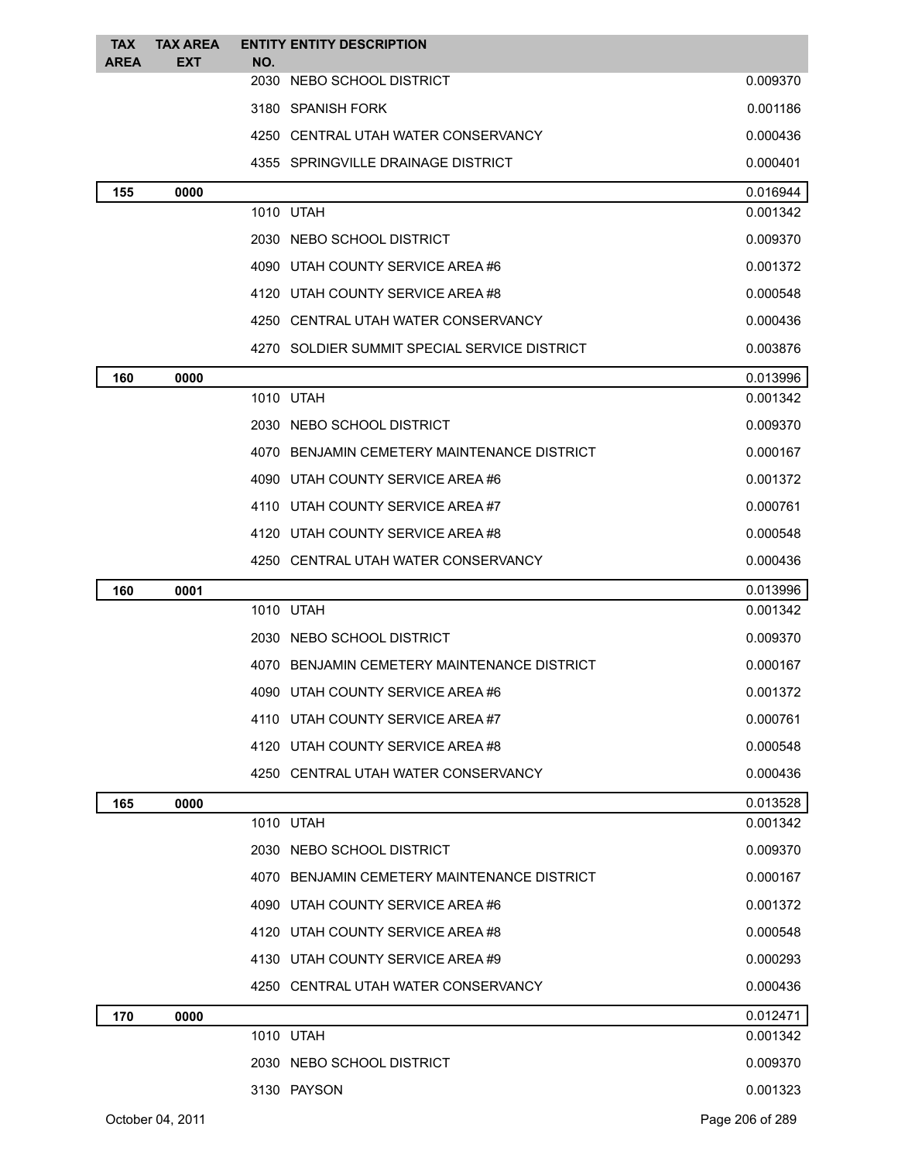| <b>TAX</b>  | <b>TAX AREA</b> | <b>ENTITY ENTITY DESCRIPTION</b>             |          |
|-------------|-----------------|----------------------------------------------|----------|
| <b>AREA</b> | EXT             | NO.<br>2030 NEBO SCHOOL DISTRICT             | 0.009370 |
|             |                 | 3180 SPANISH FORK                            | 0.001186 |
|             |                 | 4250 CENTRAL UTAH WATER CONSERVANCY          | 0.000436 |
|             |                 | 4355 SPRINGVILLE DRAINAGE DISTRICT           | 0.000401 |
| 155         | 0000            |                                              | 0.016944 |
|             |                 | 1010 UTAH                                    | 0.001342 |
|             |                 | 2030 NEBO SCHOOL DISTRICT                    | 0.009370 |
|             |                 | 4090 UTAH COUNTY SERVICE AREA #6             | 0.001372 |
|             |                 | 4120 UTAH COUNTY SERVICE AREA#8              | 0.000548 |
|             |                 | 4250 CENTRAL UTAH WATER CONSERVANCY          | 0.000436 |
|             |                 | 4270 SOLDIER SUMMIT SPECIAL SERVICE DISTRICT | 0.003876 |
| 160         | 0000            |                                              | 0.013996 |
|             |                 | 1010 UTAH                                    | 0.001342 |
|             |                 | 2030 NEBO SCHOOL DISTRICT                    | 0.009370 |
|             |                 | 4070 BENJAMIN CEMETERY MAINTENANCE DISTRICT  | 0.000167 |
|             |                 | 4090 UTAH COUNTY SERVICE AREA #6             | 0.001372 |
|             |                 | 4110 UTAH COUNTY SERVICE AREA#7              | 0.000761 |
|             |                 | 4120 UTAH COUNTY SERVICE AREA#8              | 0.000548 |
|             |                 | 4250 CENTRAL UTAH WATER CONSERVANCY          | 0.000436 |
| 160         | 0001            |                                              | 0.013996 |
|             |                 | 1010 UTAH                                    | 0.001342 |
|             |                 | 2030 NEBO SCHOOL DISTRICT                    | 0.009370 |
|             |                 | 4070 BENJAMIN CEMETERY MAINTENANCE DISTRICT  | 0.000167 |
|             |                 | 4090 UTAH COUNTY SERVICE AREA #6             | 0.001372 |
|             |                 | 4110 UTAH COUNTY SERVICE AREA#7              | 0.000761 |
|             |                 | 4120 UTAH COUNTY SERVICE AREA#8              | 0.000548 |
|             |                 | 4250 CENTRAL UTAH WATER CONSERVANCY          | 0.000436 |
| 165         | 0000            |                                              | 0.013528 |
|             |                 | 1010 UTAH                                    | 0.001342 |
|             |                 | 2030 NEBO SCHOOL DISTRICT                    | 0.009370 |
|             |                 | 4070 BENJAMIN CEMETERY MAINTENANCE DISTRICT  | 0.000167 |
|             |                 | 4090 UTAH COUNTY SERVICE AREA #6             | 0.001372 |
|             |                 | 4120 UTAH COUNTY SERVICE AREA#8              | 0.000548 |
|             |                 | 4130 UTAH COUNTY SERVICE AREA #9             | 0.000293 |
|             |                 | 4250 CENTRAL UTAH WATER CONSERVANCY          | 0.000436 |
| 170         | 0000            |                                              | 0.012471 |
|             |                 | 1010 UTAH                                    | 0.001342 |
|             |                 | 2030 NEBO SCHOOL DISTRICT                    | 0.009370 |
|             |                 | 3130 PAYSON                                  | 0.001323 |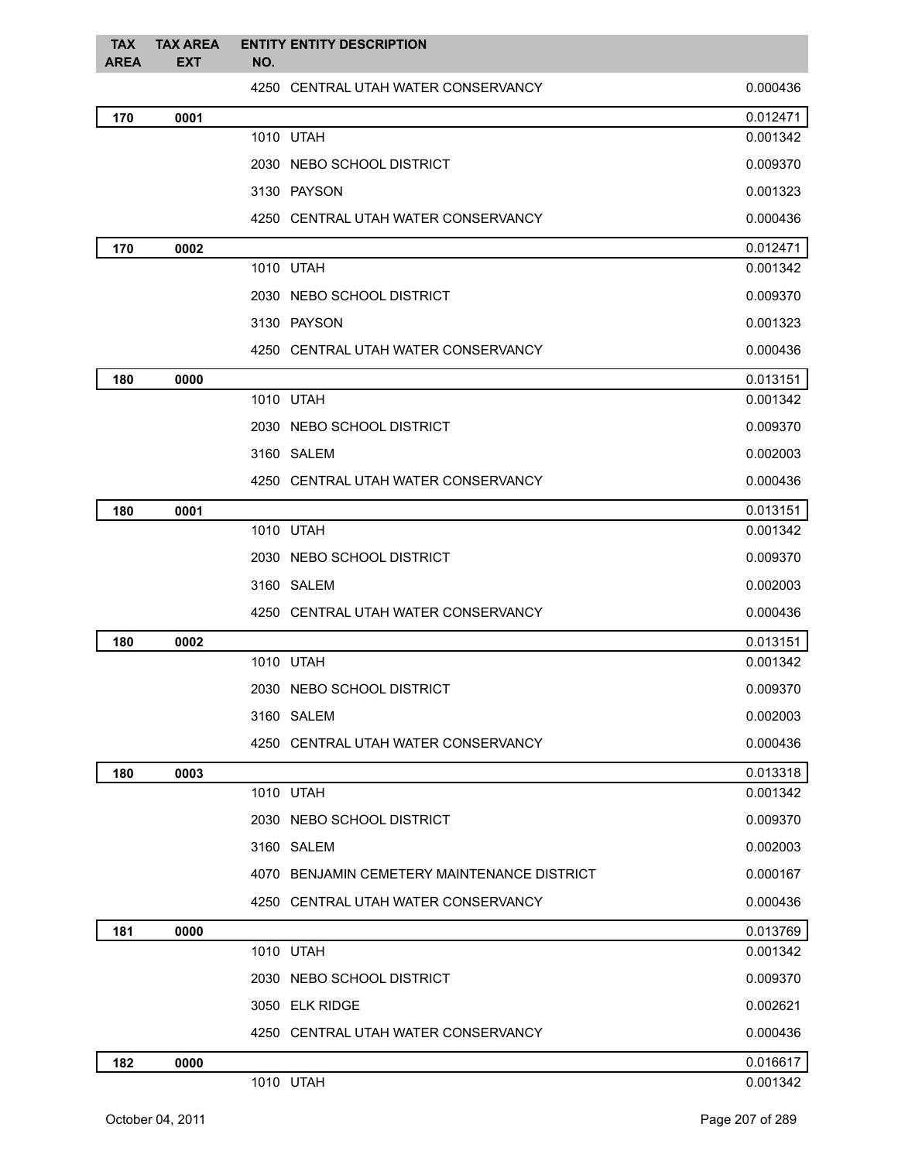| <b>TAX</b><br><b>AREA</b> | <b>TAX AREA</b><br><b>EXT</b> | NO. | <b>ENTITY ENTITY DESCRIPTION</b>            |          |
|---------------------------|-------------------------------|-----|---------------------------------------------|----------|
|                           |                               |     | 4250 CENTRAL UTAH WATER CONSERVANCY         | 0.000436 |
| 170                       | 0001                          |     |                                             | 0.012471 |
|                           |                               |     | 1010 UTAH                                   | 0.001342 |
|                           |                               |     | 2030 NEBO SCHOOL DISTRICT                   | 0.009370 |
|                           |                               |     | 3130 PAYSON                                 | 0.001323 |
|                           |                               |     | 4250 CENTRAL UTAH WATER CONSERVANCY         | 0.000436 |
| 170                       | 0002                          |     |                                             | 0.012471 |
|                           |                               |     | 1010 UTAH                                   | 0.001342 |
|                           |                               |     | 2030 NEBO SCHOOL DISTRICT                   | 0.009370 |
|                           |                               |     | 3130 PAYSON                                 | 0.001323 |
|                           |                               |     | 4250 CENTRAL UTAH WATER CONSERVANCY         | 0.000436 |
| 180                       | 0000                          |     |                                             | 0.013151 |
|                           |                               |     | 1010 UTAH                                   | 0.001342 |
|                           |                               |     | 2030 NEBO SCHOOL DISTRICT                   | 0.009370 |
|                           |                               |     | 3160 SALEM                                  | 0.002003 |
|                           |                               |     | 4250 CENTRAL UTAH WATER CONSERVANCY         | 0.000436 |
| 180                       | 0001                          |     |                                             | 0.013151 |
|                           |                               |     | 1010 UTAH                                   | 0.001342 |
|                           |                               |     | 2030 NEBO SCHOOL DISTRICT                   | 0.009370 |
|                           |                               |     | 3160 SALEM                                  | 0.002003 |
|                           |                               |     | 4250 CENTRAL UTAH WATER CONSERVANCY         | 0.000436 |
| 180                       | 0002                          |     |                                             | 0.013151 |
|                           |                               |     | 1010 UTAH                                   | 0.001342 |
|                           |                               |     | 2030 NEBO SCHOOL DISTRICT                   | 0.009370 |
|                           |                               |     | 3160 SALEM                                  | 0.002003 |
|                           |                               |     | 4250 CENTRAL UTAH WATER CONSERVANCY         | 0.000436 |
| 180                       | 0003                          |     |                                             | 0.013318 |
|                           |                               |     | 1010 UTAH                                   | 0.001342 |
|                           |                               |     | 2030 NEBO SCHOOL DISTRICT                   | 0.009370 |
|                           |                               |     | 3160 SALEM                                  | 0.002003 |
|                           |                               |     | 4070 BENJAMIN CEMETERY MAINTENANCE DISTRICT | 0.000167 |
|                           |                               |     | 4250 CENTRAL UTAH WATER CONSERVANCY         | 0.000436 |
| 181                       | 0000                          |     |                                             | 0.013769 |
|                           |                               |     | 1010 UTAH                                   | 0.001342 |
|                           |                               |     | 2030 NEBO SCHOOL DISTRICT                   | 0.009370 |
|                           |                               |     | 3050 ELK RIDGE                              | 0.002621 |
|                           |                               |     | 4250 CENTRAL UTAH WATER CONSERVANCY         | 0.000436 |
| 182                       | 0000                          |     |                                             | 0.016617 |
|                           |                               |     | 1010 UTAH                                   | 0.001342 |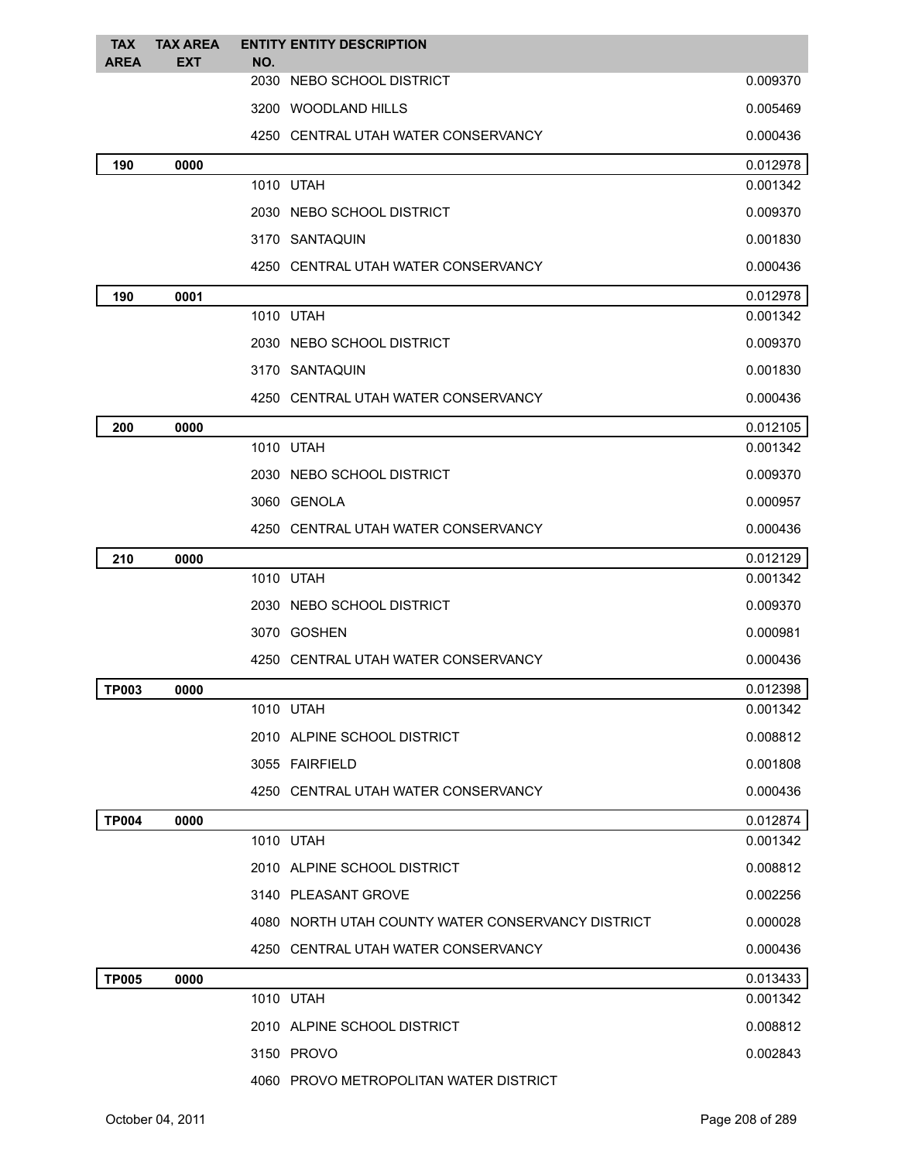| <b>TAX</b>   | <b>TAX AREA</b> |     | <b>ENTITY ENTITY DESCRIPTION</b>                  |          |
|--------------|-----------------|-----|---------------------------------------------------|----------|
| <b>AREA</b>  | <b>EXT</b>      | NO. | 2030 NEBO SCHOOL DISTRICT                         | 0.009370 |
|              |                 |     | 3200 WOODLAND HILLS                               | 0.005469 |
|              |                 |     | 4250 CENTRAL UTAH WATER CONSERVANCY               | 0.000436 |
| 190          | 0000            |     |                                                   | 0.012978 |
|              |                 |     | 1010 UTAH                                         | 0.001342 |
|              |                 |     | 2030 NEBO SCHOOL DISTRICT                         | 0.009370 |
|              |                 |     | 3170 SANTAQUIN                                    | 0.001830 |
|              |                 |     | 4250 CENTRAL UTAH WATER CONSERVANCY               | 0.000436 |
| 190          | 0001            |     |                                                   | 0.012978 |
|              |                 |     | 1010 UTAH                                         | 0.001342 |
|              |                 |     | 2030 NEBO SCHOOL DISTRICT                         | 0.009370 |
|              |                 |     | 3170 SANTAQUIN                                    | 0.001830 |
|              |                 |     | 4250 CENTRAL UTAH WATER CONSERVANCY               | 0.000436 |
| 200          | 0000            |     |                                                   | 0.012105 |
|              |                 |     | 1010 UTAH                                         | 0.001342 |
|              |                 |     | 2030 NEBO SCHOOL DISTRICT                         | 0.009370 |
|              |                 |     | 3060 GENOLA                                       | 0.000957 |
|              |                 |     | 4250 CENTRAL UTAH WATER CONSERVANCY               | 0.000436 |
| 210          | 0000            |     |                                                   | 0.012129 |
|              |                 |     | 1010 UTAH                                         | 0.001342 |
|              |                 |     | 2030 NEBO SCHOOL DISTRICT                         | 0.009370 |
|              |                 |     | 3070 GOSHEN                                       | 0.000981 |
|              |                 |     | 4250 CENTRAL UTAH WATER CONSERVANCY               | 0.000436 |
| <b>TP003</b> | 0000            |     |                                                   | 0.012398 |
|              |                 |     | 1010 UTAH                                         | 0.001342 |
|              |                 |     | 2010 ALPINE SCHOOL DISTRICT                       | 0.008812 |
|              |                 |     | 3055 FAIRFIELD                                    | 0.001808 |
|              |                 |     | 4250 CENTRAL UTAH WATER CONSERVANCY               | 0.000436 |
| <b>TP004</b> | 0000            |     |                                                   | 0.012874 |
|              |                 |     | 1010 UTAH                                         | 0.001342 |
|              |                 |     | 2010 ALPINE SCHOOL DISTRICT                       | 0.008812 |
|              |                 |     | 3140 PLEASANT GROVE                               | 0.002256 |
|              |                 |     | 4080 NORTH UTAH COUNTY WATER CONSERVANCY DISTRICT | 0.000028 |
|              |                 |     | 4250 CENTRAL UTAH WATER CONSERVANCY               | 0.000436 |
| <b>TP005</b> | 0000            |     |                                                   | 0.013433 |
|              |                 |     | 1010 UTAH                                         | 0.001342 |
|              |                 |     | 2010 ALPINE SCHOOL DISTRICT                       | 0.008812 |
|              |                 |     | 3150 PROVO                                        | 0.002843 |
|              |                 |     | 4060 PROVO METROPOLITAN WATER DISTRICT            |          |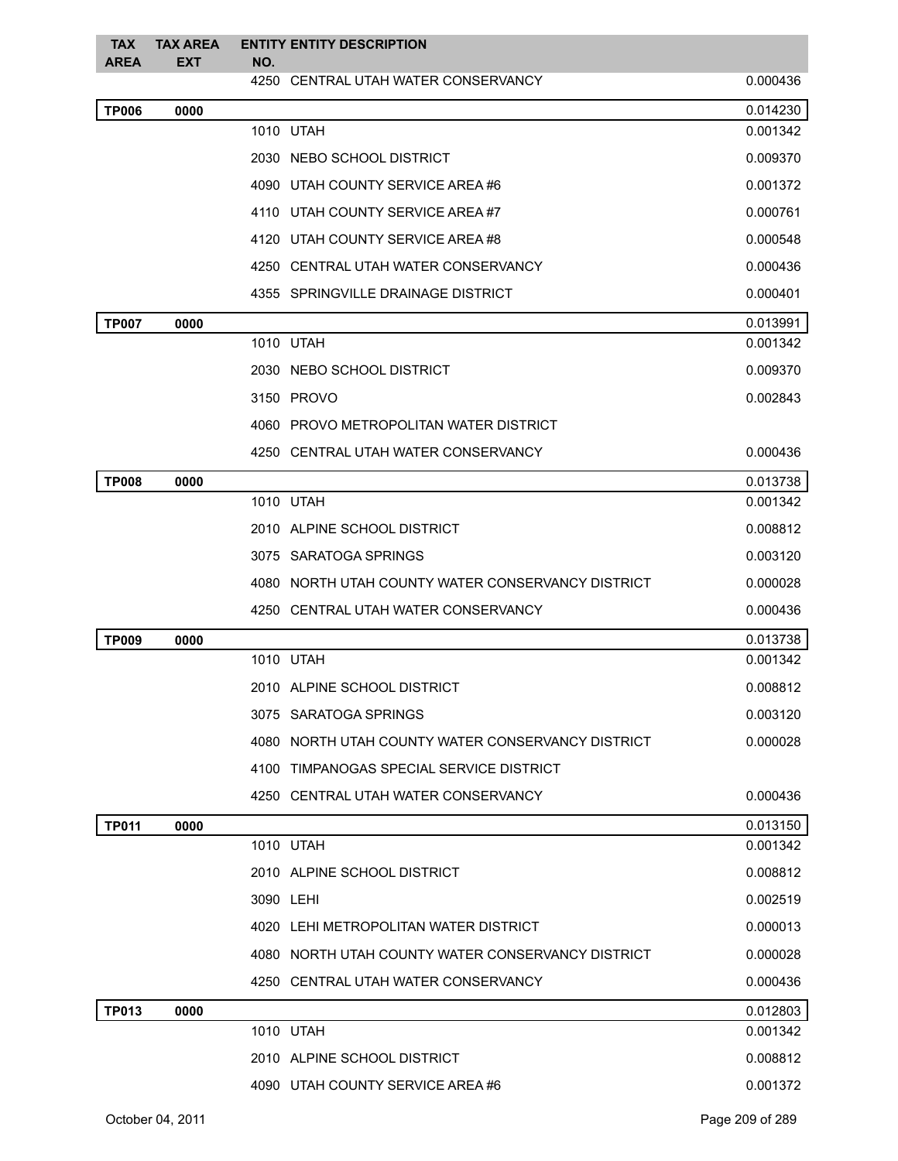| <b>TAX</b><br><b>AREA</b> | <b>TAX AREA</b><br><b>EXT</b> | NO. | <b>ENTITY ENTITY DESCRIPTION</b>                  |          |
|---------------------------|-------------------------------|-----|---------------------------------------------------|----------|
|                           |                               |     | 4250 CENTRAL UTAH WATER CONSERVANCY               | 0.000436 |
| <b>TP006</b>              | 0000                          |     |                                                   | 0.014230 |
|                           |                               |     | 1010 UTAH                                         | 0.001342 |
|                           |                               |     | 2030 NEBO SCHOOL DISTRICT                         | 0.009370 |
|                           |                               |     | 4090 UTAH COUNTY SERVICE AREA#6                   | 0.001372 |
|                           |                               |     | 4110 UTAH COUNTY SERVICE AREA#7                   | 0.000761 |
|                           |                               |     | 4120 UTAH COUNTY SERVICE AREA#8                   | 0.000548 |
|                           |                               |     | 4250 CENTRAL UTAH WATER CONSERVANCY               | 0.000436 |
|                           |                               |     | 4355 SPRINGVILLE DRAINAGE DISTRICT                | 0.000401 |
| <b>TP007</b>              | 0000                          |     |                                                   | 0.013991 |
|                           |                               |     | 1010 UTAH                                         | 0.001342 |
|                           |                               |     | 2030 NEBO SCHOOL DISTRICT                         | 0.009370 |
|                           |                               |     | 3150 PROVO                                        | 0.002843 |
|                           |                               |     | 4060 PROVO METROPOLITAN WATER DISTRICT            |          |
|                           |                               |     | 4250 CENTRAL UTAH WATER CONSERVANCY               | 0.000436 |
| <b>TP008</b>              | 0000                          |     |                                                   | 0.013738 |
|                           |                               |     | 1010 UTAH                                         | 0.001342 |
|                           |                               |     | 2010 ALPINE SCHOOL DISTRICT                       | 0.008812 |
|                           |                               |     | 3075 SARATOGA SPRINGS                             | 0.003120 |
|                           |                               |     | 4080 NORTH UTAH COUNTY WATER CONSERVANCY DISTRICT | 0.000028 |
|                           |                               |     | 4250 CENTRAL UTAH WATER CONSERVANCY               | 0.000436 |
| <b>TP009</b>              | 0000                          |     |                                                   | 0.013738 |
|                           |                               |     | 1010 UTAH                                         | 0.001342 |
|                           |                               |     | 2010 ALPINE SCHOOL DISTRICT                       | 0.008812 |
|                           |                               |     | 3075 SARATOGA SPRINGS                             | 0.003120 |
|                           |                               |     | 4080 NORTH UTAH COUNTY WATER CONSERVANCY DISTRICT | 0.000028 |
|                           |                               |     | 4100 TIMPANOGAS SPECIAL SERVICE DISTRICT          |          |
|                           |                               |     | 4250 CENTRAL UTAH WATER CONSERVANCY               | 0.000436 |
| <b>TP011</b>              | 0000                          |     |                                                   | 0.013150 |
|                           |                               |     | 1010 UTAH                                         | 0.001342 |
|                           |                               |     | 2010 ALPINE SCHOOL DISTRICT                       | 0.008812 |
|                           |                               |     | 3090 LEHI                                         | 0.002519 |
|                           |                               |     | 4020 LEHI METROPOLITAN WATER DISTRICT             | 0.000013 |
|                           |                               |     | 4080 NORTH UTAH COUNTY WATER CONSERVANCY DISTRICT | 0.000028 |
|                           |                               |     | 4250 CENTRAL UTAH WATER CONSERVANCY               | 0.000436 |
| <b>TP013</b>              | 0000                          |     |                                                   | 0.012803 |
|                           |                               |     | 1010 UTAH                                         | 0.001342 |
|                           |                               |     | 2010 ALPINE SCHOOL DISTRICT                       | 0.008812 |
|                           |                               |     | 4090 UTAH COUNTY SERVICE AREA #6                  | 0.001372 |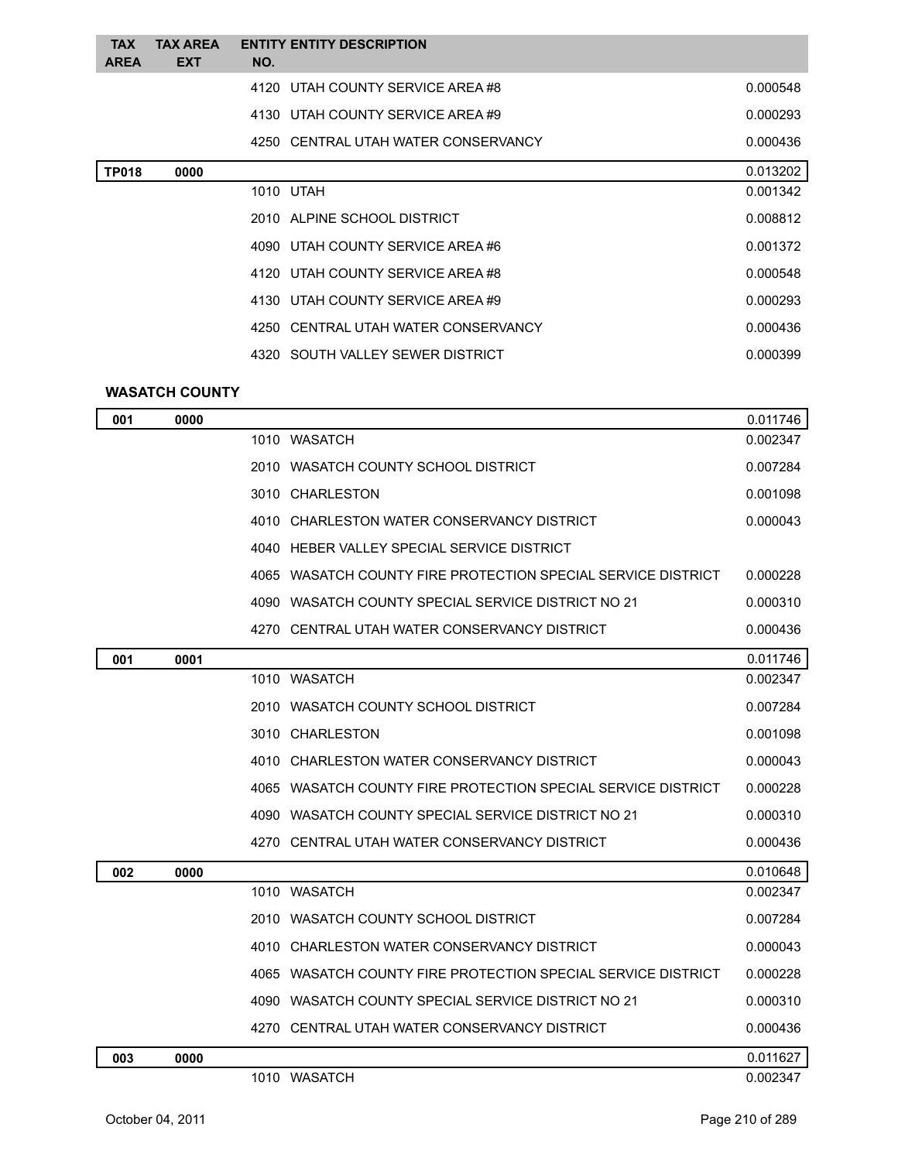| <b>TAX</b><br><b>AREA</b> | <b>TAX AREA</b><br><b>EXT</b> | <b>ENTITY ENTITY DESCRIPTION</b><br>NO. |          |
|---------------------------|-------------------------------|-----------------------------------------|----------|
|                           |                               | 4120 UTAH COUNTY SERVICE AREA#8         | 0.000548 |
|                           |                               | 4130 UTAH COUNTY SERVICE AREA #9        | 0.000293 |
|                           |                               | 4250 CENTRAL UTAH WATER CONSERVANCY     | 0.000436 |
| <b>TP018</b>              | 0000                          |                                         | 0.013202 |
|                           |                               | 1010 UTAH                               | 0.001342 |
|                           |                               | 2010 ALPINE SCHOOL DISTRICT             | 0.008812 |
|                           |                               | 4090 UTAH COUNTY SERVICE AREA #6        | 0.001372 |
|                           |                               | 4120 UTAH COUNTY SERVICE AREA#8         | 0.000548 |
|                           |                               | 4130 UTAH COUNTY SERVICE AREA #9        | 0.000293 |
|                           |                               | 4250 CENTRAL UTAH WATER CONSERVANCY     | 0.000436 |
|                           |                               | 4320 SOUTH VALLEY SEWER DISTRICT        | 0.000399 |
|                           |                               |                                         |          |

## **WASATCH COUNTY**

| 001 | 0000 |                                                                | 0.011746 |
|-----|------|----------------------------------------------------------------|----------|
|     |      | 1010 WASATCH                                                   | 0.002347 |
|     |      | 2010 WASATCH COUNTY SCHOOL DISTRICT                            | 0.007284 |
|     |      | 3010 CHARLESTON                                                | 0.001098 |
|     |      | 4010 CHARLESTON WATER CONSERVANCY DISTRICT                     | 0.000043 |
|     |      | 4040 HEBER VALLEY SPECIAL SERVICE DISTRICT                     |          |
|     |      | 4065   WASATCH COUNTY FIRE PROTECTION SPECIAL SERVICE DISTRICT | 0.000228 |
|     |      | 4090 WASATCH COUNTY SPECIAL SERVICE DISTRICT NO 21             | 0.000310 |
|     |      | 4270 CENTRAL UTAH WATER CONSERVANCY DISTRICT                   | 0.000436 |
| 001 | 0001 |                                                                | 0.011746 |
|     |      | 1010 WASATCH                                                   | 0.002347 |
|     |      | 2010 WASATCH COUNTY SCHOOL DISTRICT                            | 0.007284 |
|     |      | 3010 CHARLESTON                                                | 0.001098 |
|     |      | 4010 CHARLESTON WATER CONSERVANCY DISTRICT                     | 0.000043 |
|     |      | 4065 WASATCH COUNTY FIRE PROTECTION SPECIAL SERVICE DISTRICT   | 0.000228 |
|     |      | 4090 WASATCH COUNTY SPECIAL SERVICE DISTRICT NO 21             | 0.000310 |
|     |      | 4270 CENTRAL UTAH WATER CONSERVANCY DISTRICT                   | 0.000436 |
| 002 | 0000 |                                                                | 0.010648 |
|     |      | 1010 WASATCH                                                   | 0.002347 |
|     |      | 2010   WASATCH COUNTY SCHOOL DISTRICT                          | 0.007284 |
|     |      | CHARLESTON WATER CONSERVANCY DISTRICT<br>4010                  | 0.000043 |
|     |      | 4065   WASATCH COUNTY FIRE PROTECTION SPECIAL SERVICE DISTRICT | 0.000228 |
|     |      | 4090   WASATCH COUNTY SPECIAL SERVICE DISTRICT NO 21           | 0.000310 |
|     |      | 4270 CENTRAL UTAH WATER CONSERVANCY DISTRICT                   | 0.000436 |
| 003 | 0000 |                                                                | 0.011627 |
|     |      | 1010 WASATCH                                                   | 0.002347 |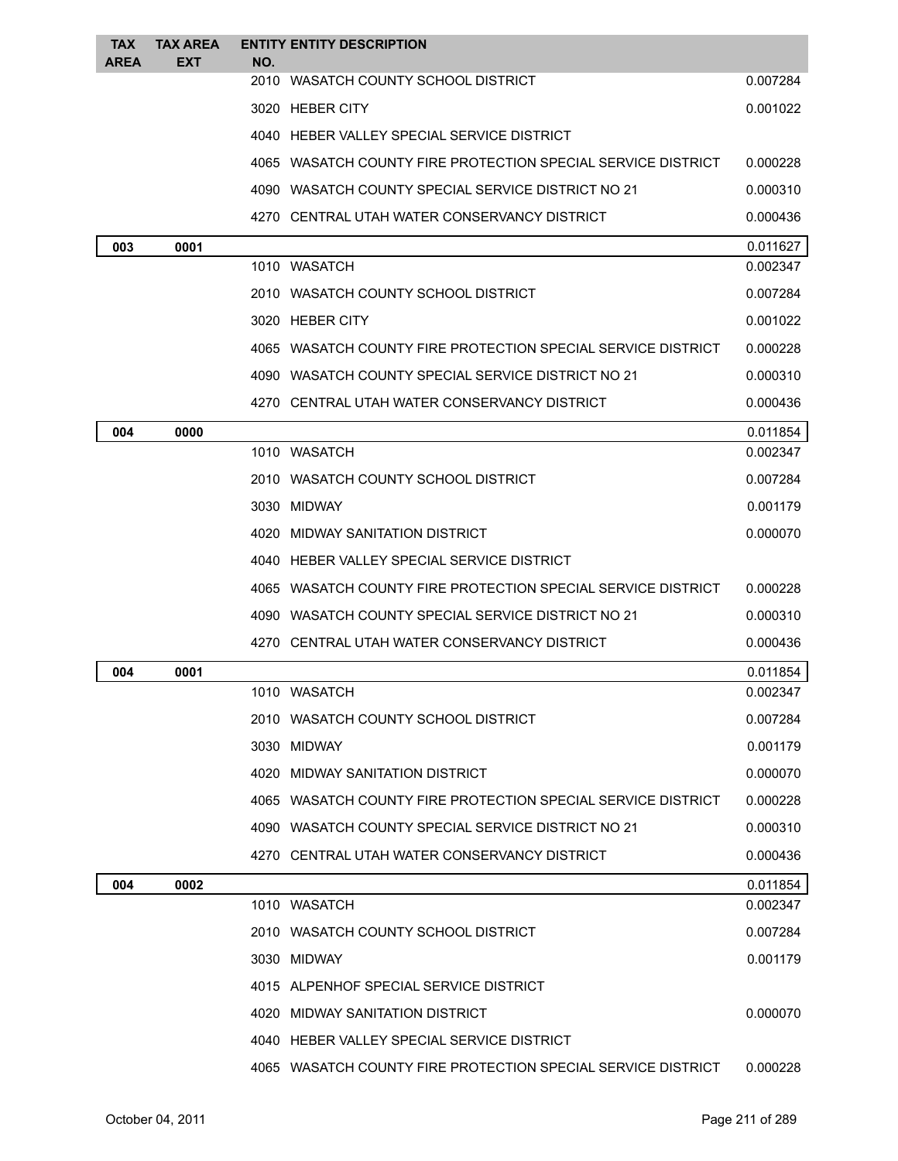| <b>TAX</b>  | <b>TAX AREA</b> |     | <b>ENTITY ENTITY DESCRIPTION</b>                             |          |
|-------------|-----------------|-----|--------------------------------------------------------------|----------|
| <b>AREA</b> | <b>EXT</b>      | NO. |                                                              |          |
|             |                 |     | 2010 WASATCH COUNTY SCHOOL DISTRICT                          | 0.007284 |
|             |                 |     | 3020 HEBER CITY                                              | 0.001022 |
|             |                 |     | 4040 HEBER VALLEY SPECIAL SERVICE DISTRICT                   |          |
|             |                 |     | 4065 WASATCH COUNTY FIRE PROTECTION SPECIAL SERVICE DISTRICT | 0.000228 |
|             |                 |     | 4090 WASATCH COUNTY SPECIAL SERVICE DISTRICT NO 21           | 0.000310 |
|             |                 |     | 4270 CENTRAL UTAH WATER CONSERVANCY DISTRICT                 | 0.000436 |
| 003         | 0001            |     |                                                              | 0.011627 |
|             |                 |     | 1010 WASATCH                                                 | 0.002347 |
|             |                 |     | 2010 WASATCH COUNTY SCHOOL DISTRICT                          | 0.007284 |
|             |                 |     | 3020 HEBER CITY                                              | 0.001022 |
|             |                 |     | 4065 WASATCH COUNTY FIRE PROTECTION SPECIAL SERVICE DISTRICT | 0.000228 |
|             |                 |     | 4090 WASATCH COUNTY SPECIAL SERVICE DISTRICT NO 21           | 0.000310 |
|             |                 |     | 4270 CENTRAL UTAH WATER CONSERVANCY DISTRICT                 | 0.000436 |
| 004         | 0000            |     |                                                              | 0.011854 |
|             |                 |     | 1010 WASATCH                                                 | 0.002347 |
|             |                 |     | 2010 WASATCH COUNTY SCHOOL DISTRICT                          | 0.007284 |
|             |                 |     | 3030 MIDWAY                                                  | 0.001179 |
|             |                 |     | 4020 MIDWAY SANITATION DISTRICT                              | 0.000070 |
|             |                 |     | 4040 HEBER VALLEY SPECIAL SERVICE DISTRICT                   |          |
|             |                 |     | 4065 WASATCH COUNTY FIRE PROTECTION SPECIAL SERVICE DISTRICT | 0.000228 |
|             |                 |     | 4090 WASATCH COUNTY SPECIAL SERVICE DISTRICT NO 21           | 0.000310 |
|             |                 |     | 4270 CENTRAL UTAH WATER CONSERVANCY DISTRICT                 | 0.000436 |
| 004         | 0001            |     |                                                              | 0.011854 |
|             |                 |     | 1010 WASATCH                                                 | 0.002347 |
|             |                 |     | 2010 WASATCH COUNTY SCHOOL DISTRICT                          | 0.007284 |
|             |                 |     | 3030 MIDWAY                                                  | 0.001179 |
|             |                 |     | 4020 MIDWAY SANITATION DISTRICT                              | 0.000070 |
|             |                 |     | 4065 WASATCH COUNTY FIRE PROTECTION SPECIAL SERVICE DISTRICT | 0.000228 |
|             |                 |     | 4090 WASATCH COUNTY SPECIAL SERVICE DISTRICT NO 21           | 0.000310 |
|             |                 |     | 4270 CENTRAL UTAH WATER CONSERVANCY DISTRICT                 | 0.000436 |
| 004         | 0002            |     |                                                              | 0.011854 |
|             |                 |     | 1010 WASATCH                                                 | 0.002347 |
|             |                 |     | 2010 WASATCH COUNTY SCHOOL DISTRICT                          | 0.007284 |
|             |                 |     | 3030 MIDWAY                                                  | 0.001179 |
|             |                 |     | 4015 ALPENHOF SPECIAL SERVICE DISTRICT                       |          |
|             |                 |     | 4020 MIDWAY SANITATION DISTRICT                              | 0.000070 |
|             |                 |     | 4040 HEBER VALLEY SPECIAL SERVICE DISTRICT                   |          |
|             |                 |     | 4065 WASATCH COUNTY FIRE PROTECTION SPECIAL SERVICE DISTRICT | 0.000228 |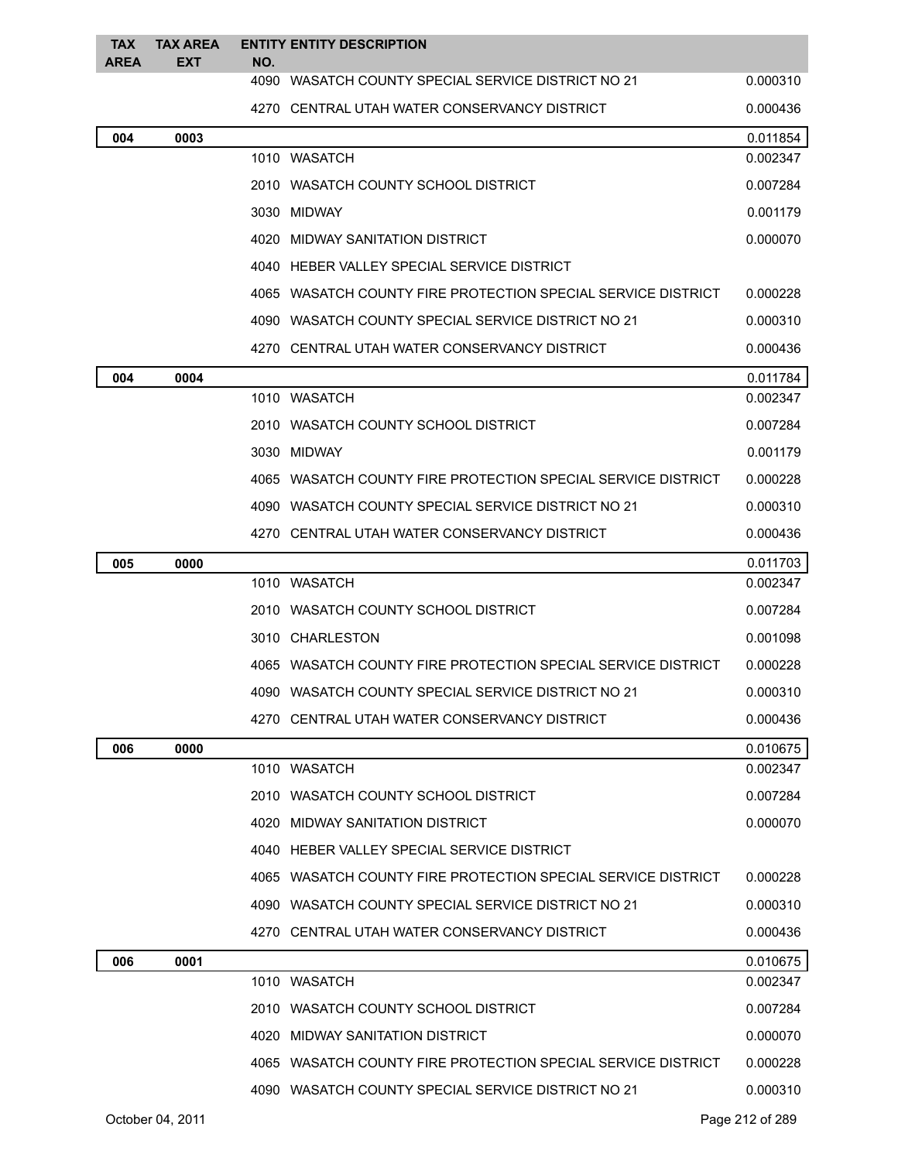| <b>TAX</b><br><b>AREA</b> | <b>TAX AREA</b><br><b>EXT</b> | <b>ENTITY ENTITY DESCRIPTION</b><br>NO.                      |          |
|---------------------------|-------------------------------|--------------------------------------------------------------|----------|
|                           |                               | 4090 WASATCH COUNTY SPECIAL SERVICE DISTRICT NO 21           | 0.000310 |
|                           |                               | 4270 CENTRAL UTAH WATER CONSERVANCY DISTRICT                 | 0.000436 |
| 004                       | 0003                          |                                                              | 0.011854 |
|                           |                               | 1010 WASATCH                                                 | 0.002347 |
|                           |                               | 2010 WASATCH COUNTY SCHOOL DISTRICT                          | 0.007284 |
|                           |                               | 3030 MIDWAY                                                  | 0.001179 |
|                           |                               | 4020 MIDWAY SANITATION DISTRICT                              | 0.000070 |
|                           |                               | 4040 HEBER VALLEY SPECIAL SERVICE DISTRICT                   |          |
|                           |                               | 4065 WASATCH COUNTY FIRE PROTECTION SPECIAL SERVICE DISTRICT | 0.000228 |
|                           |                               | 4090 WASATCH COUNTY SPECIAL SERVICE DISTRICT NO 21           | 0.000310 |
|                           |                               | 4270 CENTRAL UTAH WATER CONSERVANCY DISTRICT                 | 0.000436 |
| 004                       | 0004                          |                                                              | 0.011784 |
|                           |                               | 1010 WASATCH                                                 | 0.002347 |
|                           |                               | 2010 WASATCH COUNTY SCHOOL DISTRICT                          | 0.007284 |
|                           |                               | 3030 MIDWAY                                                  | 0.001179 |
|                           |                               | 4065 WASATCH COUNTY FIRE PROTECTION SPECIAL SERVICE DISTRICT | 0.000228 |
|                           |                               | 4090 WASATCH COUNTY SPECIAL SERVICE DISTRICT NO 21           | 0.000310 |
|                           |                               | 4270   CENTRAL UTAH WATER CONSERVANCY DISTRICT               | 0.000436 |
| 005                       | 0000                          |                                                              | 0.011703 |
|                           |                               | 1010 WASATCH                                                 | 0.002347 |
|                           |                               | 2010 WASATCH COUNTY SCHOOL DISTRICT                          | 0.007284 |
|                           |                               | 3010 CHARLESTON                                              | 0.001098 |
|                           |                               | 4065 WASATCH COUNTY FIRE PROTECTION SPECIAL SERVICE DISTRICT | 0.000228 |
|                           |                               | 4090 WASATCH COUNTY SPECIAL SERVICE DISTRICT NO 21           | 0.000310 |
|                           |                               | 4270   CENTRAL UTAH WATER CONSERVANCY DISTRICT               | 0.000436 |
| 006                       | 0000                          |                                                              | 0.010675 |
|                           |                               | 1010 WASATCH                                                 | 0.002347 |
|                           |                               | 2010   WASATCH COUNTY SCHOOL DISTRICT                        | 0.007284 |
|                           |                               | 4020 MIDWAY SANITATION DISTRICT                              | 0.000070 |
|                           |                               | 4040 HEBER VALLEY SPECIAL SERVICE DISTRICT                   |          |
|                           |                               | 4065 WASATCH COUNTY FIRE PROTECTION SPECIAL SERVICE DISTRICT | 0.000228 |
|                           |                               | 4090 WASATCH COUNTY SPECIAL SERVICE DISTRICT NO 21           | 0.000310 |
|                           |                               | 4270 CENTRAL UTAH WATER CONSERVANCY DISTRICT                 | 0.000436 |
| 006                       | 0001                          |                                                              | 0.010675 |
|                           |                               | 1010 WASATCH                                                 | 0.002347 |
|                           |                               | 2010   WASATCH COUNTY SCHOOL DISTRICT                        | 0.007284 |
|                           |                               | 4020 MIDWAY SANITATION DISTRICT                              | 0.000070 |
|                           |                               | 4065 WASATCH COUNTY FIRE PROTECTION SPECIAL SERVICE DISTRICT | 0.000228 |
|                           |                               | 4090 WASATCH COUNTY SPECIAL SERVICE DISTRICT NO 21           | 0.000310 |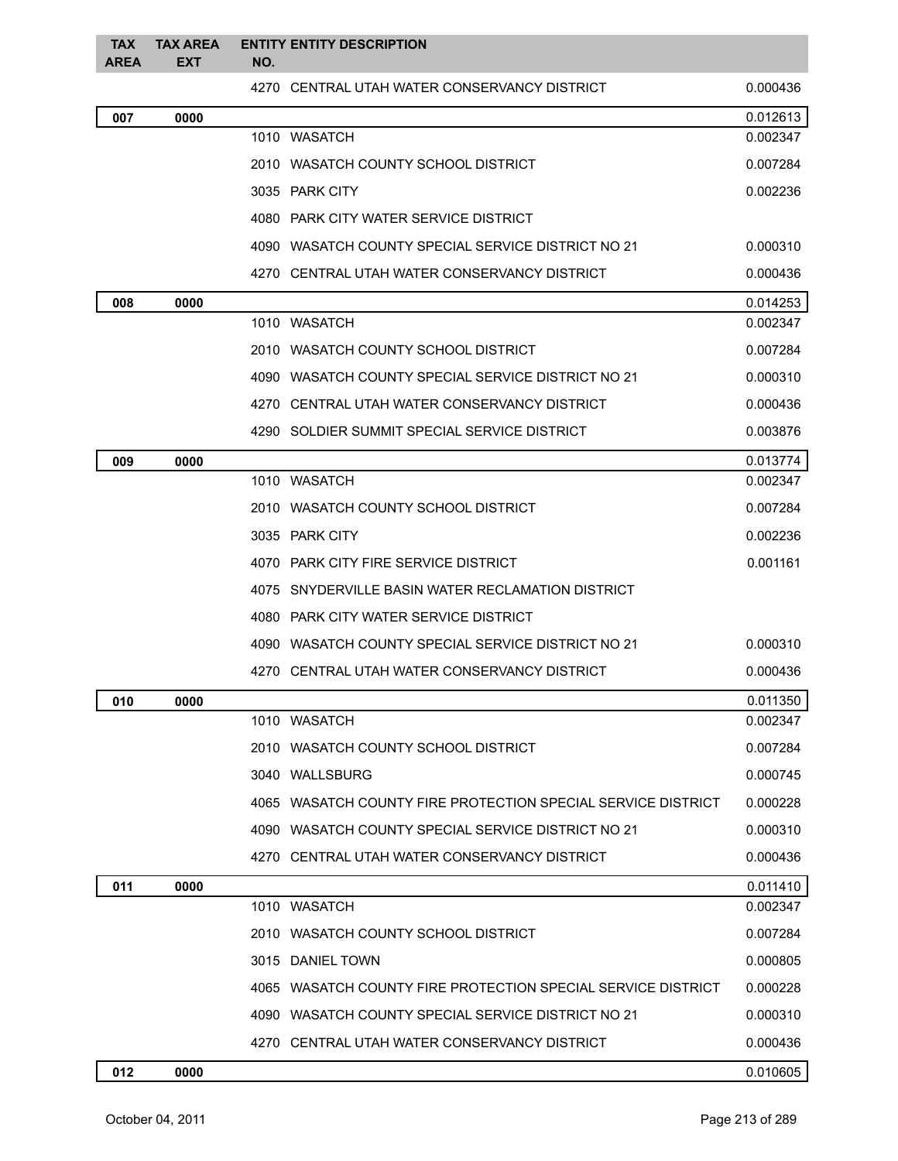| <b>TAX</b><br><b>AREA</b> | <b>TAX AREA</b><br><b>EXT</b> | NO. | <b>ENTITY ENTITY DESCRIPTION</b>                             |          |
|---------------------------|-------------------------------|-----|--------------------------------------------------------------|----------|
|                           |                               |     | 4270 CENTRAL UTAH WATER CONSERVANCY DISTRICT                 | 0.000436 |
| 007                       | 0000                          |     |                                                              | 0.012613 |
|                           |                               |     | 1010 WASATCH                                                 | 0.002347 |
|                           |                               |     | 2010 WASATCH COUNTY SCHOOL DISTRICT                          | 0.007284 |
|                           |                               |     | 3035 PARK CITY                                               | 0.002236 |
|                           |                               |     | 4080 PARK CITY WATER SERVICE DISTRICT                        |          |
|                           |                               |     | 4090 WASATCH COUNTY SPECIAL SERVICE DISTRICT NO 21           | 0.000310 |
|                           |                               |     | 4270 CENTRAL UTAH WATER CONSERVANCY DISTRICT                 | 0.000436 |
| 008                       | 0000                          |     |                                                              | 0.014253 |
|                           |                               |     | 1010 WASATCH                                                 | 0.002347 |
|                           |                               |     | 2010 WASATCH COUNTY SCHOOL DISTRICT                          | 0.007284 |
|                           |                               |     | 4090 WASATCH COUNTY SPECIAL SERVICE DISTRICT NO 21           | 0.000310 |
|                           |                               |     | 4270 CENTRAL UTAH WATER CONSERVANCY DISTRICT                 | 0.000436 |
|                           |                               |     | 4290 SOLDIER SUMMIT SPECIAL SERVICE DISTRICT                 | 0.003876 |
| 009                       | 0000                          |     |                                                              | 0.013774 |
|                           |                               |     | 1010 WASATCH                                                 | 0.002347 |
|                           |                               |     | 2010 WASATCH COUNTY SCHOOL DISTRICT                          | 0.007284 |
|                           |                               |     | 3035 PARK CITY                                               | 0.002236 |
|                           |                               |     | 4070 PARK CITY FIRE SERVICE DISTRICT                         | 0.001161 |
|                           |                               |     | 4075 SNYDERVILLE BASIN WATER RECLAMATION DISTRICT            |          |
|                           |                               |     | 4080 PARK CITY WATER SERVICE DISTRICT                        |          |
|                           |                               |     | 4090 WASATCH COUNTY SPECIAL SERVICE DISTRICT NO 21           | 0.000310 |
|                           |                               |     | 4270 CENTRAL UTAH WATER CONSERVANCY DISTRICT                 | 0.000436 |
| 010                       | 0000                          |     |                                                              | 0.011350 |
|                           |                               |     | 1010 WASATCH                                                 | 0.002347 |
|                           |                               |     | 2010 WASATCH COUNTY SCHOOL DISTRICT                          | 0.007284 |
|                           |                               |     | 3040 WALLSBURG                                               | 0.000745 |
|                           |                               |     | 4065 WASATCH COUNTY FIRE PROTECTION SPECIAL SERVICE DISTRICT | 0.000228 |
|                           |                               |     | 4090 WASATCH COUNTY SPECIAL SERVICE DISTRICT NO 21           | 0.000310 |
|                           |                               |     | 4270 CENTRAL UTAH WATER CONSERVANCY DISTRICT                 | 0.000436 |
| 011                       | 0000                          |     |                                                              | 0.011410 |
|                           |                               |     | 1010 WASATCH                                                 | 0.002347 |
|                           |                               |     | 2010 WASATCH COUNTY SCHOOL DISTRICT                          | 0.007284 |
|                           |                               |     | 3015 DANIEL TOWN                                             | 0.000805 |
|                           |                               |     | 4065 WASATCH COUNTY FIRE PROTECTION SPECIAL SERVICE DISTRICT | 0.000228 |
|                           |                               |     | 4090 WASATCH COUNTY SPECIAL SERVICE DISTRICT NO 21           | 0.000310 |
|                           |                               |     | 4270 CENTRAL UTAH WATER CONSERVANCY DISTRICT                 | 0.000436 |
| 012                       | 0000                          |     |                                                              | 0.010605 |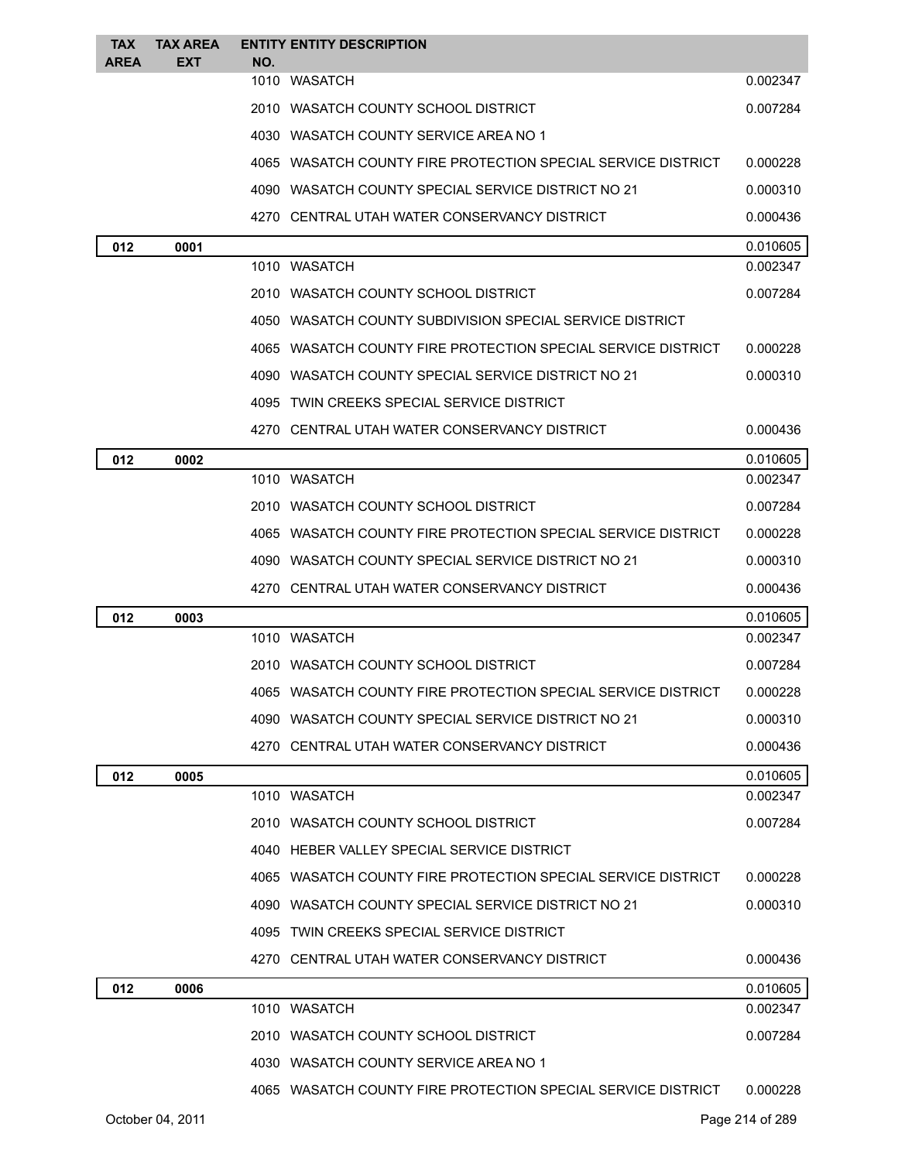| <b>TAX</b><br><b>AREA</b> | <b>TAX AREA</b><br>EXT | <b>ENTITY ENTITY DESCRIPTION</b>                             |          |
|---------------------------|------------------------|--------------------------------------------------------------|----------|
|                           |                        | NO.<br>1010 WASATCH                                          | 0.002347 |
|                           |                        | 2010 WASATCH COUNTY SCHOOL DISTRICT                          | 0.007284 |
|                           |                        | 4030 WASATCH COUNTY SERVICE AREA NO 1                        |          |
|                           |                        | 4065 WASATCH COUNTY FIRE PROTECTION SPECIAL SERVICE DISTRICT | 0.000228 |
|                           |                        | 4090 WASATCH COUNTY SPECIAL SERVICE DISTRICT NO 21           | 0.000310 |
|                           |                        | 4270 CENTRAL UTAH WATER CONSERVANCY DISTRICT                 | 0.000436 |
| 012                       | 0001                   |                                                              | 0.010605 |
|                           |                        | 1010 WASATCH                                                 | 0.002347 |
|                           |                        | 2010 WASATCH COUNTY SCHOOL DISTRICT                          | 0.007284 |
|                           |                        | 4050 WASATCH COUNTY SUBDIVISION SPECIAL SERVICE DISTRICT     |          |
|                           |                        | 4065 WASATCH COUNTY FIRE PROTECTION SPECIAL SERVICE DISTRICT | 0.000228 |
|                           |                        | 4090 WASATCH COUNTY SPECIAL SERVICE DISTRICT NO 21           | 0.000310 |
|                           |                        | 4095 TWIN CREEKS SPECIAL SERVICE DISTRICT                    |          |
|                           |                        | 4270 CENTRAL UTAH WATER CONSERVANCY DISTRICT                 | 0.000436 |
| 012                       | 0002                   |                                                              | 0.010605 |
|                           |                        | 1010 WASATCH                                                 | 0.002347 |
|                           |                        | 2010 WASATCH COUNTY SCHOOL DISTRICT                          | 0.007284 |
|                           |                        | 4065 WASATCH COUNTY FIRE PROTECTION SPECIAL SERVICE DISTRICT | 0.000228 |
|                           |                        | 4090 WASATCH COUNTY SPECIAL SERVICE DISTRICT NO 21           | 0.000310 |
|                           |                        | 4270 CENTRAL UTAH WATER CONSERVANCY DISTRICT                 | 0.000436 |
| 012                       | 0003                   |                                                              | 0.010605 |
|                           |                        | 1010 WASATCH                                                 | 0.002347 |
|                           |                        | 2010 WASATCH COUNTY SCHOOL DISTRICT                          | 0.007284 |
|                           |                        | 4065 WASATCH COUNTY FIRE PROTECTION SPECIAL SERVICE DISTRICT | 0.000228 |
|                           |                        | 4090 WASATCH COUNTY SPECIAL SERVICE DISTRICT NO 21           | 0.000310 |
|                           |                        | 4270 CENTRAL UTAH WATER CONSERVANCY DISTRICT                 | 0.000436 |
| 012                       | 0005                   |                                                              | 0.010605 |
|                           |                        | 1010 WASATCH                                                 | 0.002347 |
|                           |                        | 2010 WASATCH COUNTY SCHOOL DISTRICT                          | 0.007284 |
|                           |                        | 4040 HEBER VALLEY SPECIAL SERVICE DISTRICT                   |          |
|                           |                        | 4065 WASATCH COUNTY FIRE PROTECTION SPECIAL SERVICE DISTRICT | 0.000228 |
|                           |                        | 4090 WASATCH COUNTY SPECIAL SERVICE DISTRICT NO 21           | 0.000310 |
|                           |                        | 4095 TWIN CREEKS SPECIAL SERVICE DISTRICT                    |          |
|                           |                        | 4270 CENTRAL UTAH WATER CONSERVANCY DISTRICT                 | 0.000436 |
| 012                       | 0006                   |                                                              | 0.010605 |
|                           |                        | 1010 WASATCH                                                 | 0.002347 |
|                           |                        | 2010 WASATCH COUNTY SCHOOL DISTRICT                          | 0.007284 |
|                           |                        | 4030 WASATCH COUNTY SERVICE AREA NO 1                        |          |
|                           |                        | 4065 WASATCH COUNTY FIRE PROTECTION SPECIAL SERVICE DISTRICT | 0.000228 |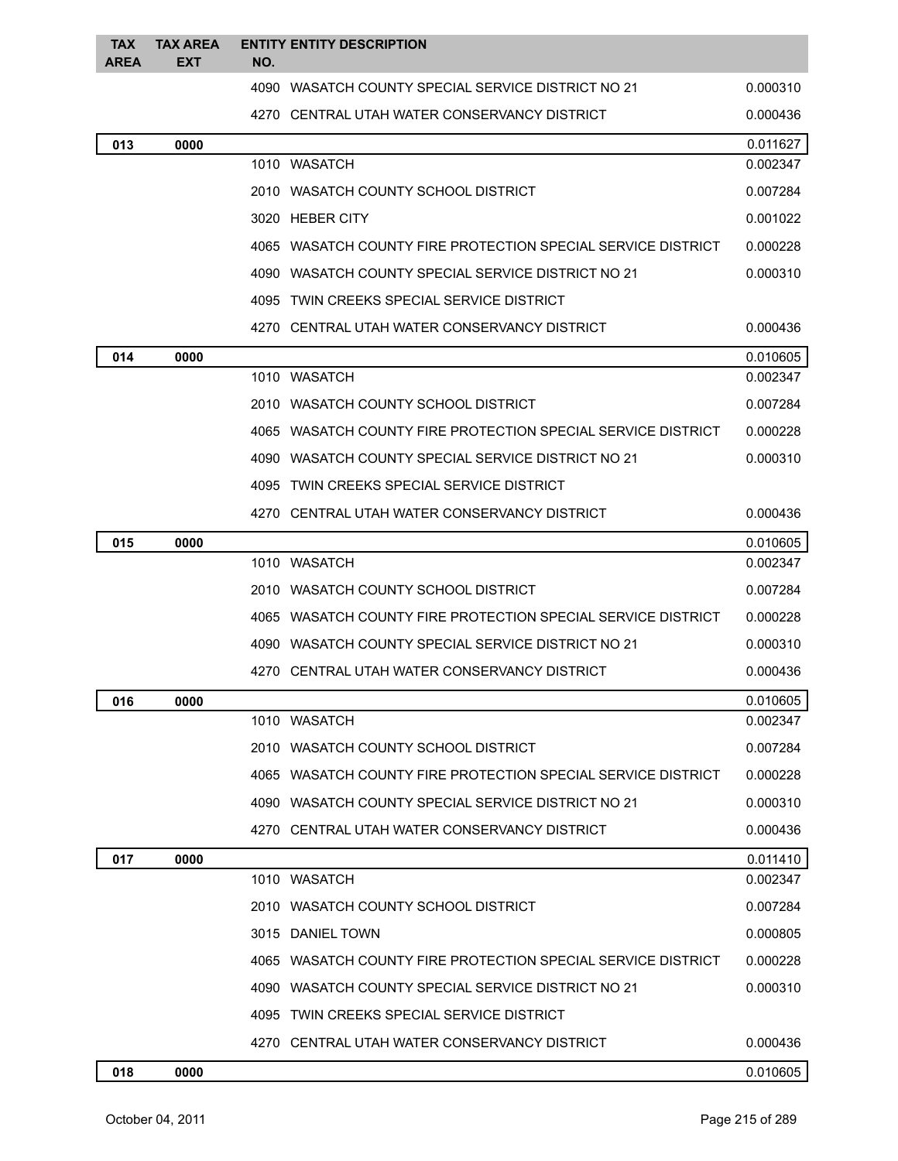| <b>TAX</b><br><b>AREA</b> | <b>TAX AREA</b><br><b>EXT</b> | NO. | <b>ENTITY ENTITY DESCRIPTION</b>                             |          |
|---------------------------|-------------------------------|-----|--------------------------------------------------------------|----------|
|                           |                               |     | 4090 WASATCH COUNTY SPECIAL SERVICE DISTRICT NO 21           | 0.000310 |
|                           |                               |     | 4270 CENTRAL UTAH WATER CONSERVANCY DISTRICT                 | 0.000436 |
| 013                       | 0000                          |     |                                                              | 0.011627 |
|                           |                               |     | 1010 WASATCH                                                 | 0.002347 |
|                           |                               |     | 2010 WASATCH COUNTY SCHOOL DISTRICT                          | 0.007284 |
|                           |                               |     | 3020 HEBER CITY                                              | 0.001022 |
|                           |                               |     | 4065 WASATCH COUNTY FIRE PROTECTION SPECIAL SERVICE DISTRICT | 0.000228 |
|                           |                               |     | 4090 WASATCH COUNTY SPECIAL SERVICE DISTRICT NO 21           | 0.000310 |
|                           |                               |     | 4095 TWIN CREEKS SPECIAL SERVICE DISTRICT                    |          |
|                           |                               |     | 4270 CENTRAL UTAH WATER CONSERVANCY DISTRICT                 | 0.000436 |
| 014                       | 0000                          |     |                                                              | 0.010605 |
|                           |                               |     | 1010 WASATCH                                                 | 0.002347 |
|                           |                               |     | 2010 WASATCH COUNTY SCHOOL DISTRICT                          | 0.007284 |
|                           |                               |     | 4065 WASATCH COUNTY FIRE PROTECTION SPECIAL SERVICE DISTRICT | 0.000228 |
|                           |                               |     | 4090 WASATCH COUNTY SPECIAL SERVICE DISTRICT NO 21           | 0.000310 |
|                           |                               |     | 4095 TWIN CREEKS SPECIAL SERVICE DISTRICT                    |          |
|                           |                               |     | 4270 CENTRAL UTAH WATER CONSERVANCY DISTRICT                 | 0.000436 |
| 015                       | 0000                          |     |                                                              | 0.010605 |
|                           |                               |     | 1010 WASATCH                                                 | 0.002347 |
|                           |                               |     | 2010 WASATCH COUNTY SCHOOL DISTRICT                          | 0.007284 |
|                           |                               |     | 4065 WASATCH COUNTY FIRE PROTECTION SPECIAL SERVICE DISTRICT | 0.000228 |
|                           |                               |     | 4090 WASATCH COUNTY SPECIAL SERVICE DISTRICT NO 21           | 0.000310 |
|                           |                               |     | 4270 CENTRAL UTAH WATER CONSERVANCY DISTRICT                 | 0.000436 |
| 016                       | 0000                          |     |                                                              | 0.010605 |
|                           |                               |     | 1010 WASATCH                                                 | 0.002347 |
|                           |                               |     | 2010 WASATCH COUNTY SCHOOL DISTRICT                          | 0.007284 |
|                           |                               |     | 4065 WASATCH COUNTY FIRE PROTECTION SPECIAL SERVICE DISTRICT | 0.000228 |
|                           |                               |     | 4090 WASATCH COUNTY SPECIAL SERVICE DISTRICT NO 21           | 0.000310 |
|                           |                               |     | 4270 CENTRAL UTAH WATER CONSERVANCY DISTRICT                 | 0.000436 |
| 017                       | 0000                          |     |                                                              | 0.011410 |
|                           |                               |     | 1010 WASATCH                                                 | 0.002347 |
|                           |                               |     | 2010 WASATCH COUNTY SCHOOL DISTRICT                          | 0.007284 |
|                           |                               |     | 3015 DANIEL TOWN                                             | 0.000805 |
|                           |                               |     | 4065 WASATCH COUNTY FIRE PROTECTION SPECIAL SERVICE DISTRICT | 0.000228 |
|                           |                               |     | 4090 WASATCH COUNTY SPECIAL SERVICE DISTRICT NO 21           | 0.000310 |
|                           |                               |     | 4095 TWIN CREEKS SPECIAL SERVICE DISTRICT                    |          |
|                           |                               |     | 4270 CENTRAL UTAH WATER CONSERVANCY DISTRICT                 | 0.000436 |
| 018                       | 0000                          |     |                                                              | 0.010605 |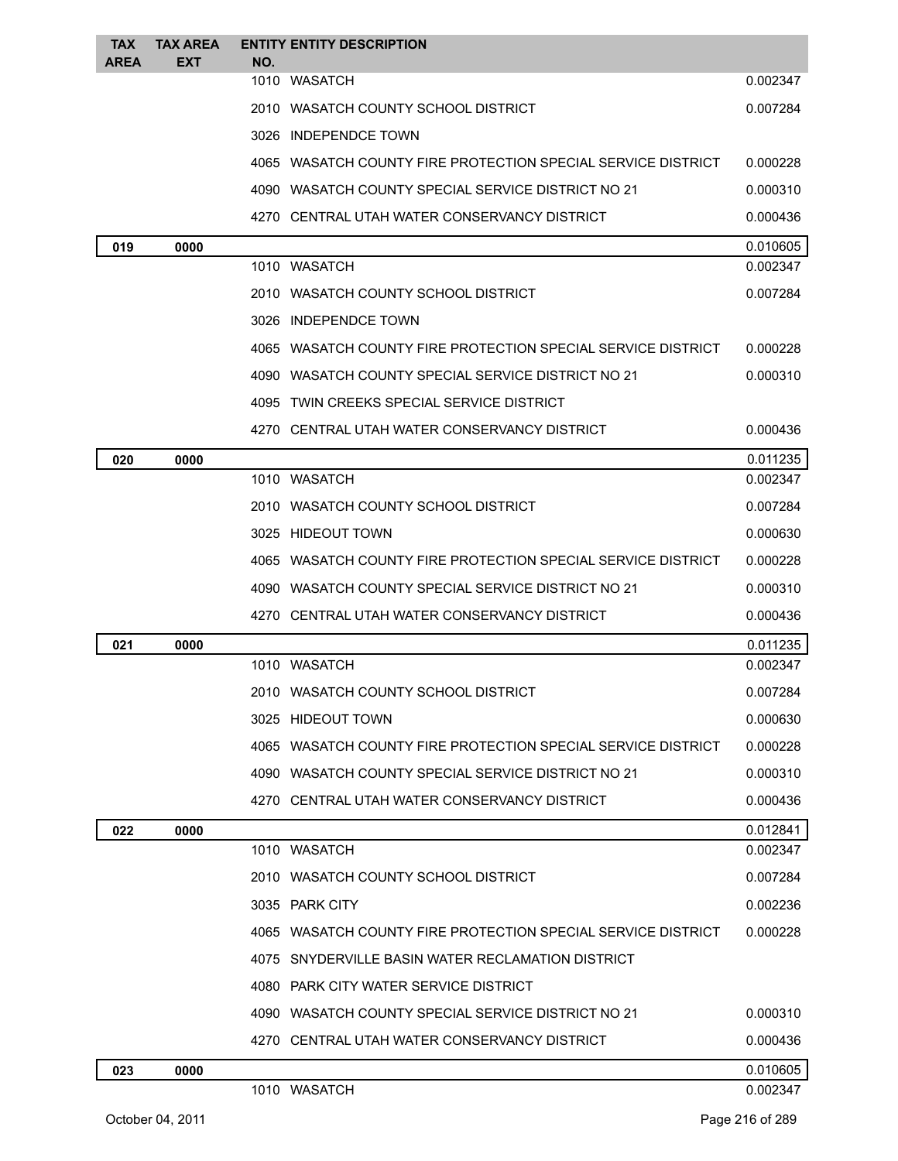| <b>TAX</b>  | <b>TAX AREA</b> | <b>ENTITY ENTITY DESCRIPTION</b>                             |                      |
|-------------|-----------------|--------------------------------------------------------------|----------------------|
| <b>AREA</b> | <b>EXT</b>      | NO.<br>1010 WASATCH                                          | 0.002347             |
|             |                 | 2010 WASATCH COUNTY SCHOOL DISTRICT                          | 0.007284             |
|             |                 | 3026 INDEPENDCE TOWN                                         |                      |
|             |                 | 4065 WASATCH COUNTY FIRE PROTECTION SPECIAL SERVICE DISTRICT | 0.000228             |
|             |                 |                                                              |                      |
|             |                 | 4090 WASATCH COUNTY SPECIAL SERVICE DISTRICT NO 21           | 0.000310             |
|             |                 | 4270 CENTRAL UTAH WATER CONSERVANCY DISTRICT                 | 0.000436             |
| 019         | 0000            | 1010 WASATCH                                                 | 0.010605<br>0.002347 |
|             |                 | 2010 WASATCH COUNTY SCHOOL DISTRICT                          | 0.007284             |
|             |                 | 3026 INDEPENDCE TOWN                                         |                      |
|             |                 | 4065 WASATCH COUNTY FIRE PROTECTION SPECIAL SERVICE DISTRICT | 0.000228             |
|             |                 | 4090 WASATCH COUNTY SPECIAL SERVICE DISTRICT NO 21           | 0.000310             |
|             |                 | 4095 TWIN CREEKS SPECIAL SERVICE DISTRICT                    |                      |
|             |                 | 4270 CENTRAL UTAH WATER CONSERVANCY DISTRICT                 | 0.000436             |
|             |                 |                                                              |                      |
| 020         | 0000            | 1010 WASATCH                                                 | 0.011235<br>0.002347 |
|             |                 | 2010 WASATCH COUNTY SCHOOL DISTRICT                          | 0.007284             |
|             |                 | 3025 HIDEOUT TOWN                                            | 0.000630             |
|             |                 | 4065 WASATCH COUNTY FIRE PROTECTION SPECIAL SERVICE DISTRICT | 0.000228             |
|             |                 | 4090 WASATCH COUNTY SPECIAL SERVICE DISTRICT NO 21           | 0.000310             |
|             |                 | 4270 CENTRAL UTAH WATER CONSERVANCY DISTRICT                 | 0.000436             |
| 021         | 0000            |                                                              | 0.011235             |
|             |                 | 1010 WASATCH                                                 | 0.002347             |
|             |                 | 2010 WASATCH COUNTY SCHOOL DISTRICT                          | 0.007284             |
|             |                 | 3025 HIDEOUT TOWN                                            | 0.000630             |
|             |                 | 4065 WASATCH COUNTY FIRE PROTECTION SPECIAL SERVICE DISTRICT | 0.000228             |
|             |                 | 4090 WASATCH COUNTY SPECIAL SERVICE DISTRICT NO 21           | 0.000310             |
|             |                 | 4270 CENTRAL UTAH WATER CONSERVANCY DISTRICT                 | 0.000436             |
| 022         | 0000            |                                                              | 0.012841             |
|             |                 | 1010 WASATCH                                                 | 0.002347             |
|             |                 | 2010 WASATCH COUNTY SCHOOL DISTRICT                          | 0.007284             |
|             |                 | 3035 PARK CITY                                               | 0.002236             |
|             |                 | 4065 WASATCH COUNTY FIRE PROTECTION SPECIAL SERVICE DISTRICT | 0.000228             |
|             |                 | 4075 SNYDERVILLE BASIN WATER RECLAMATION DISTRICT            |                      |
|             |                 | 4080 PARK CITY WATER SERVICE DISTRICT                        |                      |
|             |                 | 4090 WASATCH COUNTY SPECIAL SERVICE DISTRICT NO 21           | 0.000310             |
|             |                 | 4270 CENTRAL UTAH WATER CONSERVANCY DISTRICT                 | 0.000436             |
| 023         | 0000            |                                                              | 0.010605             |
|             |                 | 1010 WASATCH                                                 | 0.002347             |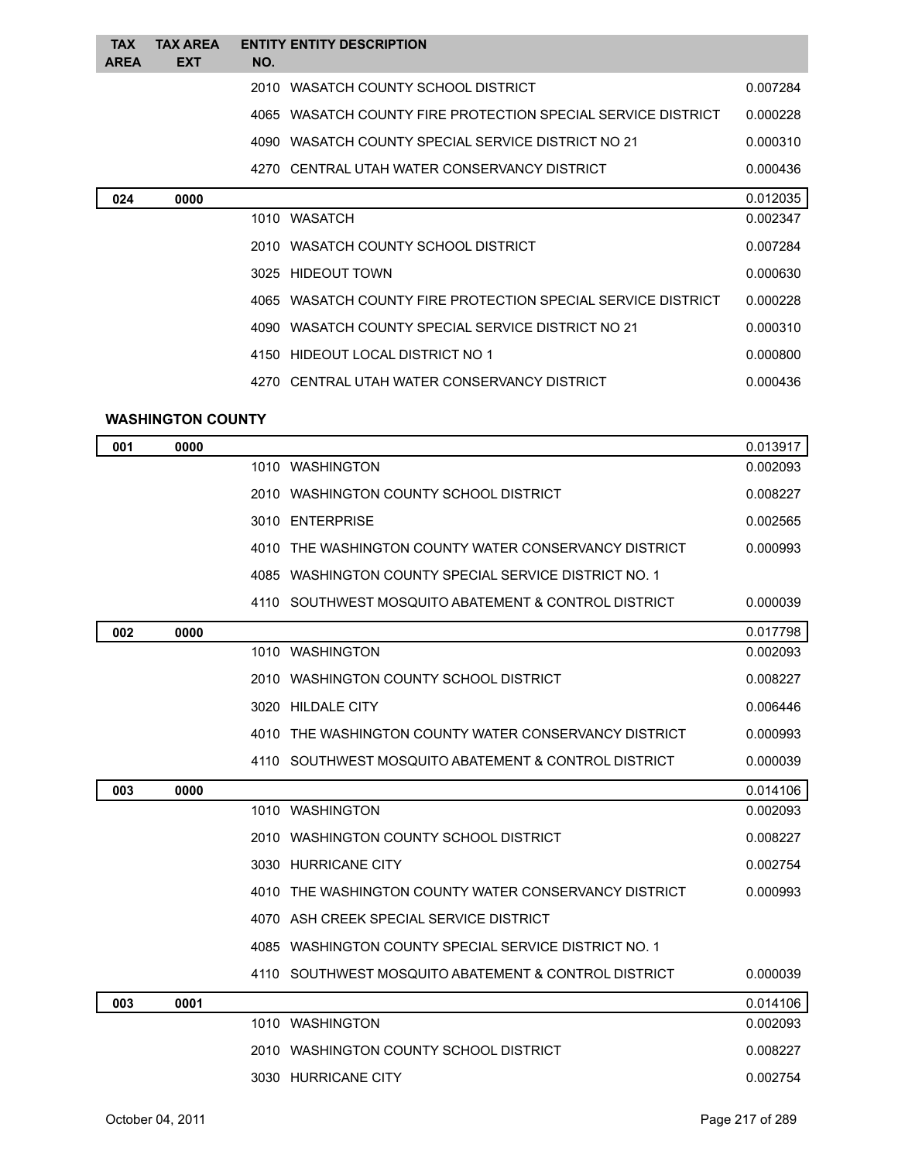| <b>TAX</b><br><b>AREA</b> | <b>TAX AREA</b><br><b>EXT</b> | <b>ENTITY ENTITY DESCRIPTION</b><br>NO.                      |          |
|---------------------------|-------------------------------|--------------------------------------------------------------|----------|
|                           |                               | 2010 WASATCH COUNTY SCHOOL DISTRICT                          | 0.007284 |
|                           |                               | 4065 WASATCH COUNTY FIRE PROTECTION SPECIAL SERVICE DISTRICT | 0.000228 |
|                           |                               | 4090 WASATCH COUNTY SPECIAL SERVICE DISTRICT NO 21           | 0.000310 |
|                           |                               | 4270 CENTRAL UTAH WATER CONSERVANCY DISTRICT                 | 0.000436 |
| 024                       | 0000                          |                                                              | 0.012035 |
|                           |                               | 1010 WASATCH                                                 | 0.002347 |
|                           |                               | 2010 WASATCH COUNTY SCHOOL DISTRICT                          | 0.007284 |
|                           |                               | 3025 HIDEOUT TOWN                                            | 0.000630 |
|                           |                               | 4065 WASATCH COUNTY FIRE PROTECTION SPECIAL SERVICE DISTRICT | 0.000228 |
|                           |                               | 4090 WASATCH COUNTY SPECIAL SERVICE DISTRICT NO 21           | 0.000310 |
|                           |                               | 4150 HIDEOUT LOCAL DISTRICT NO 1                             | 0.000800 |
|                           |                               | 4270 CENTRAL UTAH WATER CONSERVANCY DISTRICT                 | 0.000436 |
|                           |                               |                                                              |          |

## **WASHINGTON COUNTY**

| 001 | 0000 |                                                       | 0.013917 |
|-----|------|-------------------------------------------------------|----------|
|     |      | 1010 WASHINGTON                                       | 0.002093 |
|     |      | 2010 WASHINGTON COUNTY SCHOOL DISTRICT                | 0.008227 |
|     |      | 3010 ENTERPRISE                                       | 0.002565 |
|     |      | 4010 THE WASHINGTON COUNTY WATER CONSERVANCY DISTRICT | 0.000993 |
|     |      | 4085 WASHINGTON COUNTY SPECIAL SERVICE DISTRICT NO. 1 |          |
|     |      | 4110 SOUTHWEST MOSQUITO ABATEMENT & CONTROL DISTRICT  | 0.000039 |
| 002 | 0000 |                                                       | 0.017798 |
|     |      | 1010 WASHINGTON                                       | 0.002093 |
|     |      | 2010 WASHINGTON COUNTY SCHOOL DISTRICT                | 0.008227 |
|     |      | 3020 HILDALE CITY                                     | 0.006446 |
|     |      | 4010 THE WASHINGTON COUNTY WATER CONSERVANCY DISTRICT | 0.000993 |
|     |      | 4110 SOUTHWEST MOSQUITO ABATEMENT & CONTROL DISTRICT  | 0.000039 |
| 003 | 0000 |                                                       | 0.014106 |
|     |      | 1010 WASHINGTON                                       | 0.002093 |
|     |      | 2010 WASHINGTON COUNTY SCHOOL DISTRICT                | 0.008227 |
|     |      | 3030 HURRICANE CITY                                   | 0.002754 |
|     |      | 4010 THE WASHINGTON COUNTY WATER CONSERVANCY DISTRICT | 0.000993 |
|     |      | 4070 ASH CREEK SPECIAL SERVICE DISTRICT               |          |
|     |      | 4085 WASHINGTON COUNTY SPECIAL SERVICE DISTRICT NO. 1 |          |
|     |      | 4110 SOUTHWEST MOSQUITO ABATEMENT & CONTROL DISTRICT  | 0.000039 |
| 003 | 0001 |                                                       | 0.014106 |
|     |      | 1010 WASHINGTON                                       | 0.002093 |
|     |      | 2010 WASHINGTON COUNTY SCHOOL DISTRICT                | 0.008227 |
|     |      | 3030 HURRICANE CITY                                   | 0.002754 |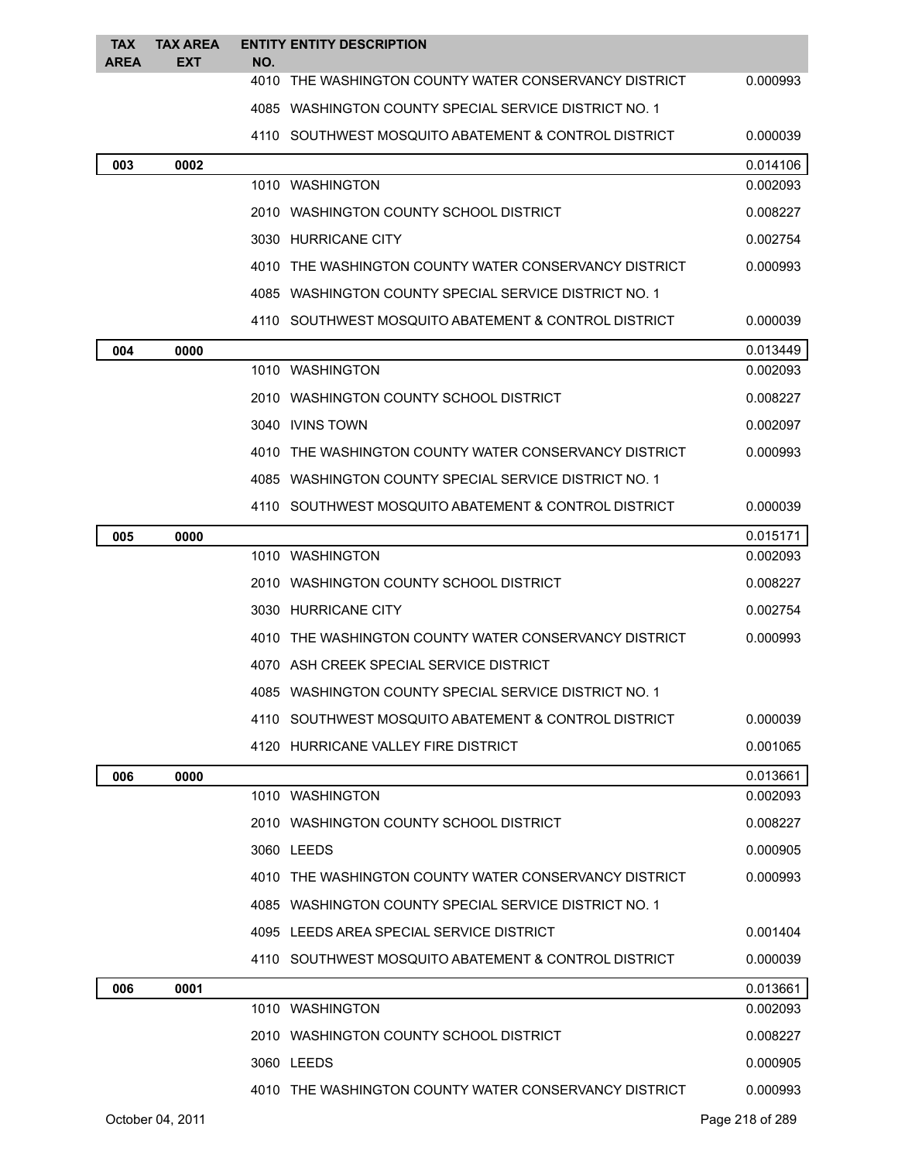| <b>TAX</b><br><b>AREA</b> | <b>TAX AREA</b><br><b>EXT</b> | <b>ENTITY ENTITY DESCRIPTION</b><br>NO.                 |          |
|---------------------------|-------------------------------|---------------------------------------------------------|----------|
|                           |                               | 4010 THE WASHINGTON COUNTY WATER CONSERVANCY DISTRICT   | 0.000993 |
|                           |                               | 4085 WASHINGTON COUNTY SPECIAL SERVICE DISTRICT NO. 1   |          |
|                           |                               | 4110 SOUTHWEST MOSQUITO ABATEMENT & CONTROL DISTRICT    | 0.000039 |
| 003                       | 0002                          |                                                         | 0.014106 |
|                           |                               | 1010 WASHINGTON                                         | 0.002093 |
|                           |                               | 2010 WASHINGTON COUNTY SCHOOL DISTRICT                  | 0.008227 |
|                           |                               | 3030 HURRICANE CITY                                     | 0.002754 |
|                           |                               | 4010 THE WASHINGTON COUNTY WATER CONSERVANCY DISTRICT   | 0.000993 |
|                           |                               | 4085 WASHINGTON COUNTY SPECIAL SERVICE DISTRICT NO. 1   |          |
|                           |                               | 4110 SOUTHWEST MOSQUITO ABATEMENT & CONTROL DISTRICT    | 0.000039 |
| 004                       | 0000                          |                                                         | 0.013449 |
|                           |                               | 1010 WASHINGTON                                         | 0.002093 |
|                           |                               | 2010 WASHINGTON COUNTY SCHOOL DISTRICT                  | 0.008227 |
|                           |                               | 3040 IVINS TOWN                                         | 0.002097 |
|                           |                               | 4010 THE WASHINGTON COUNTY WATER CONSERVANCY DISTRICT   | 0.000993 |
|                           |                               | 4085 WASHINGTON COUNTY SPECIAL SERVICE DISTRICT NO. 1   |          |
|                           |                               | 4110 SOUTHWEST MOSQUITO ABATEMENT & CONTROL DISTRICT    | 0.000039 |
| 005                       | 0000                          |                                                         | 0.015171 |
|                           |                               | 1010 WASHINGTON                                         | 0.002093 |
|                           |                               | 2010 WASHINGTON COUNTY SCHOOL DISTRICT                  | 0.008227 |
|                           |                               | 3030 HURRICANE CITY                                     | 0.002754 |
|                           |                               | 4010 THE WASHINGTON COUNTY WATER CONSERVANCY DISTRICT   | 0.000993 |
|                           |                               | 4070 ASH CREEK SPECIAL SERVICE DISTRICT                 |          |
|                           |                               | 4085   WASHINGTON COUNTY SPECIAL SERVICE DISTRICT NO. 1 |          |
|                           |                               | 4110 SOUTHWEST MOSQUITO ABATEMENT & CONTROL DISTRICT    | 0.000039 |
|                           |                               | 4120 HURRICANE VALLEY FIRE DISTRICT                     | 0.001065 |
| 006                       | 0000                          |                                                         | 0.013661 |
|                           |                               | 1010 WASHINGTON                                         | 0.002093 |
|                           |                               | 2010 WASHINGTON COUNTY SCHOOL DISTRICT                  | 0.008227 |
|                           |                               | 3060 LEEDS                                              | 0.000905 |
|                           |                               | 4010 THE WASHINGTON COUNTY WATER CONSERVANCY DISTRICT   | 0.000993 |
|                           |                               | 4085 WASHINGTON COUNTY SPECIAL SERVICE DISTRICT NO. 1   |          |
|                           |                               | 4095 LEEDS AREA SPECIAL SERVICE DISTRICT                | 0.001404 |
|                           |                               | 4110 SOUTHWEST MOSQUITO ABATEMENT & CONTROL DISTRICT    | 0.000039 |
| 006                       | 0001                          |                                                         | 0.013661 |
|                           |                               | 1010 WASHINGTON                                         | 0.002093 |
|                           |                               | 2010 WASHINGTON COUNTY SCHOOL DISTRICT                  | 0.008227 |
|                           |                               | 3060 LEEDS                                              | 0.000905 |
|                           |                               | 4010 THE WASHINGTON COUNTY WATER CONSERVANCY DISTRICT   | 0.000993 |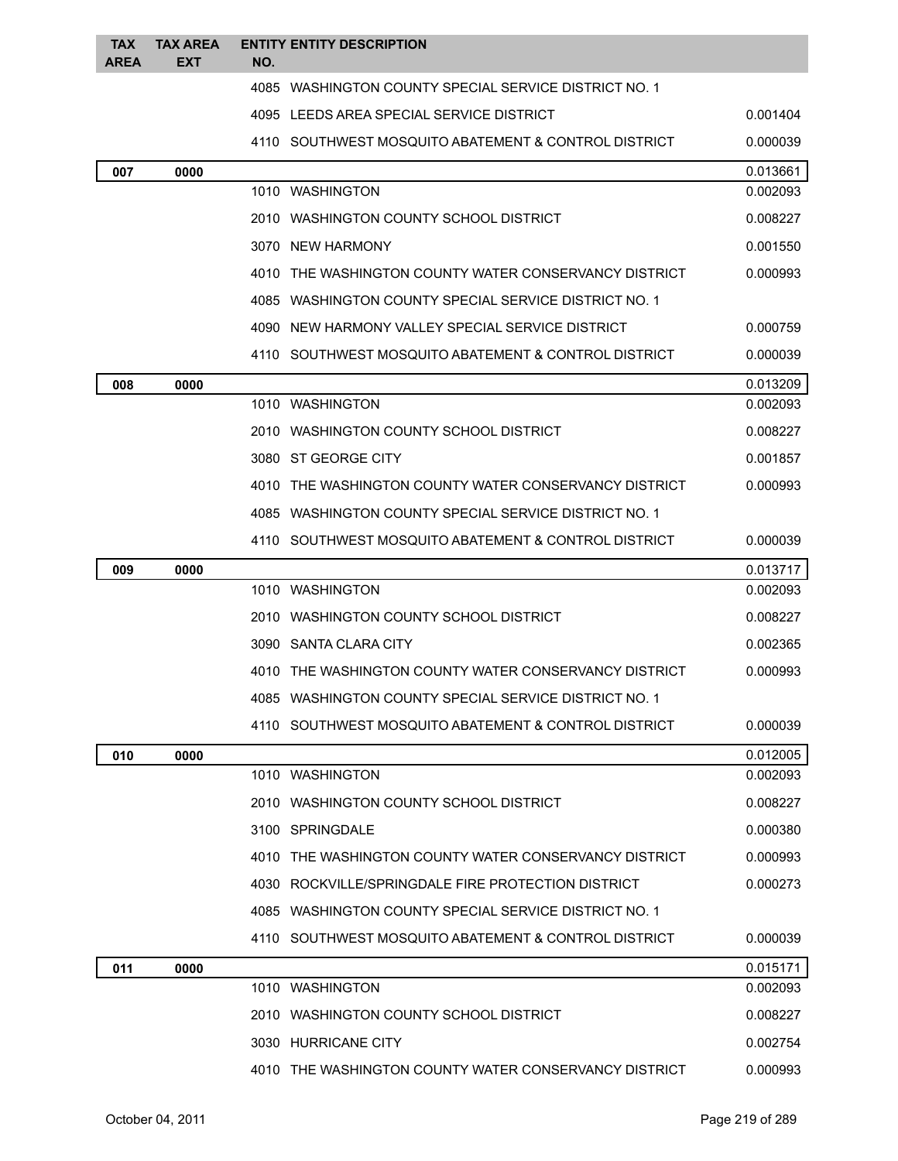| <b>TAX</b><br><b>AREA</b> | <b>TAX AREA</b><br><b>EXT</b> | NO. | <b>ENTITY ENTITY DESCRIPTION</b>                      |          |
|---------------------------|-------------------------------|-----|-------------------------------------------------------|----------|
|                           |                               |     | 4085 WASHINGTON COUNTY SPECIAL SERVICE DISTRICT NO. 1 |          |
|                           |                               |     | 4095 LEEDS AREA SPECIAL SERVICE DISTRICT              | 0.001404 |
|                           |                               |     | 4110 SOUTHWEST MOSQUITO ABATEMENT & CONTROL DISTRICT  | 0.000039 |
| 007                       | 0000                          |     |                                                       | 0.013661 |
|                           |                               |     | 1010 WASHINGTON                                       | 0.002093 |
|                           |                               |     | 2010 WASHINGTON COUNTY SCHOOL DISTRICT                | 0.008227 |
|                           |                               |     | 3070 NEW HARMONY                                      | 0.001550 |
|                           |                               |     | 4010 THE WASHINGTON COUNTY WATER CONSERVANCY DISTRICT | 0.000993 |
|                           |                               |     | 4085 WASHINGTON COUNTY SPECIAL SERVICE DISTRICT NO. 1 |          |
|                           |                               |     | 4090 NEW HARMONY VALLEY SPECIAL SERVICE DISTRICT      | 0.000759 |
|                           |                               |     | 4110 SOUTHWEST MOSQUITO ABATEMENT & CONTROL DISTRICT  | 0.000039 |
| 008                       | 0000                          |     |                                                       | 0.013209 |
|                           |                               |     | 1010 WASHINGTON                                       | 0.002093 |
|                           |                               |     | 2010 WASHINGTON COUNTY SCHOOL DISTRICT                | 0.008227 |
|                           |                               |     | 3080 ST GEORGE CITY                                   | 0.001857 |
|                           |                               |     | 4010 THE WASHINGTON COUNTY WATER CONSERVANCY DISTRICT | 0.000993 |
|                           |                               |     | 4085 WASHINGTON COUNTY SPECIAL SERVICE DISTRICT NO. 1 |          |
|                           |                               |     | 4110 SOUTHWEST MOSQUITO ABATEMENT & CONTROL DISTRICT  | 0.000039 |
| 009                       | 0000                          |     |                                                       | 0.013717 |
|                           |                               |     | 1010 WASHINGTON                                       | 0.002093 |
|                           |                               |     | 2010 WASHINGTON COUNTY SCHOOL DISTRICT                | 0.008227 |
|                           |                               |     | 3090 SANTA CLARA CITY                                 | 0.002365 |
|                           |                               |     | 4010 THE WASHINGTON COUNTY WATER CONSERVANCY DISTRICT | 0.000993 |
|                           |                               |     | 4085 WASHINGTON COUNTY SPECIAL SERVICE DISTRICT NO. 1 |          |
|                           |                               |     | 4110 SOUTHWEST MOSQUITO ABATEMENT & CONTROL DISTRICT  | 0.000039 |
| 010                       | 0000                          |     |                                                       | 0.012005 |
|                           |                               |     | 1010 WASHINGTON                                       | 0.002093 |
|                           |                               |     | 2010 WASHINGTON COUNTY SCHOOL DISTRICT                | 0.008227 |
|                           |                               |     | 3100 SPRINGDALE                                       | 0.000380 |
|                           |                               |     | 4010 THE WASHINGTON COUNTY WATER CONSERVANCY DISTRICT | 0.000993 |
|                           |                               |     | 4030 ROCKVILLE/SPRINGDALE FIRE PROTECTION DISTRICT    | 0.000273 |
|                           |                               |     | 4085 WASHINGTON COUNTY SPECIAL SERVICE DISTRICT NO. 1 |          |
|                           |                               |     | 4110 SOUTHWEST MOSQUITO ABATEMENT & CONTROL DISTRICT  | 0.000039 |
| 011                       | 0000                          |     |                                                       | 0.015171 |
|                           |                               |     | 1010 WASHINGTON                                       | 0.002093 |
|                           |                               |     | 2010 WASHINGTON COUNTY SCHOOL DISTRICT                | 0.008227 |
|                           |                               |     | 3030 HURRICANE CITY                                   | 0.002754 |
|                           |                               |     | 4010 THE WASHINGTON COUNTY WATER CONSERVANCY DISTRICT | 0.000993 |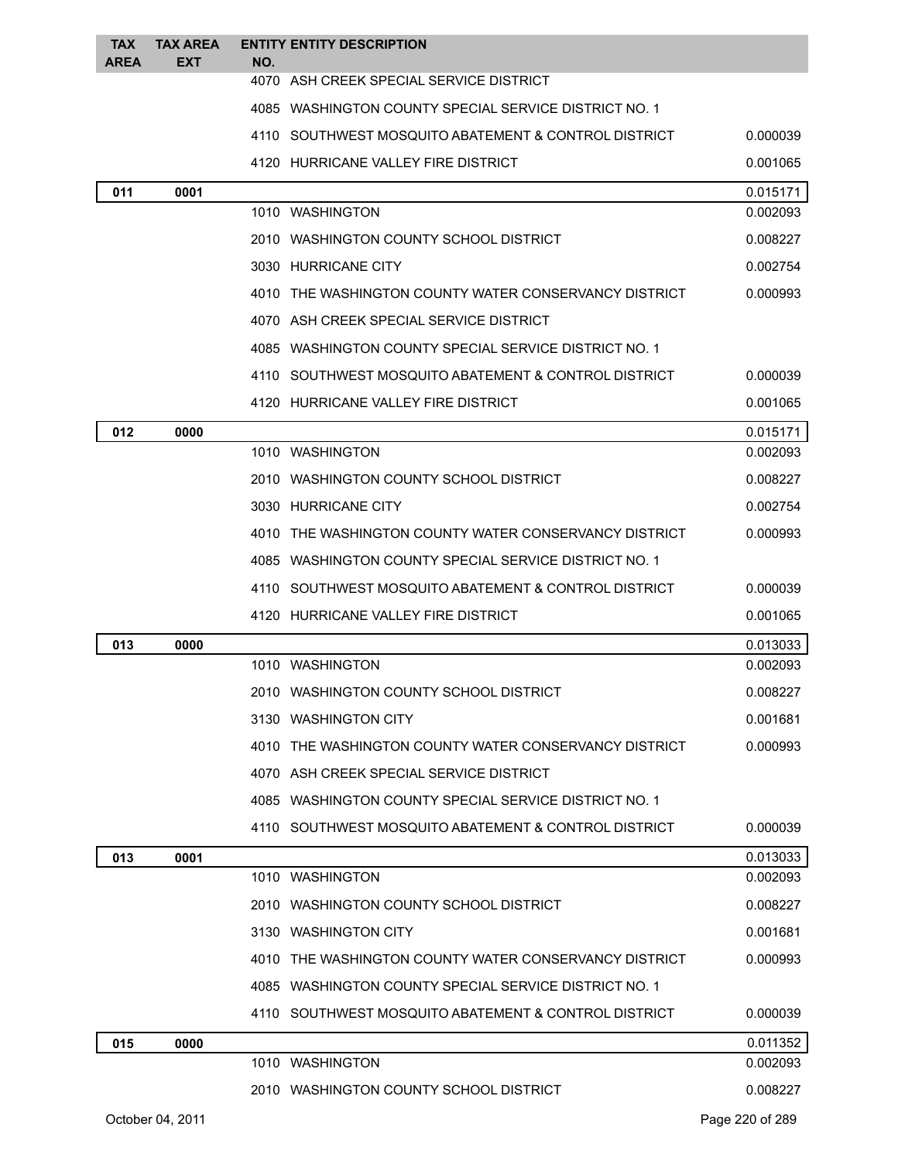| <b>TAX</b><br><b>AREA</b> | <b>TAX AREA</b><br><b>EXT</b> | <b>ENTITY ENTITY DESCRIPTION</b><br>NO.               |          |
|---------------------------|-------------------------------|-------------------------------------------------------|----------|
|                           |                               | 4070 ASH CREEK SPECIAL SERVICE DISTRICT               |          |
|                           |                               | 4085 WASHINGTON COUNTY SPECIAL SERVICE DISTRICT NO. 1 |          |
|                           |                               | 4110 SOUTHWEST MOSQUITO ABATEMENT & CONTROL DISTRICT  | 0.000039 |
|                           |                               | 4120 HURRICANE VALLEY FIRE DISTRICT                   | 0.001065 |
| 011                       | 0001                          |                                                       | 0.015171 |
|                           |                               | 1010 WASHINGTON                                       | 0.002093 |
|                           |                               | 2010 WASHINGTON COUNTY SCHOOL DISTRICT                | 0.008227 |
|                           |                               | 3030 HURRICANE CITY                                   | 0.002754 |
|                           |                               | 4010 THE WASHINGTON COUNTY WATER CONSERVANCY DISTRICT | 0.000993 |
|                           |                               | 4070 ASH CREEK SPECIAL SERVICE DISTRICT               |          |
|                           |                               | 4085 WASHINGTON COUNTY SPECIAL SERVICE DISTRICT NO. 1 |          |
|                           |                               | 4110 SOUTHWEST MOSQUITO ABATEMENT & CONTROL DISTRICT  | 0.000039 |
|                           |                               | 4120 HURRICANE VALLEY FIRE DISTRICT                   | 0.001065 |
| 012                       | 0000                          |                                                       | 0.015171 |
|                           |                               | 1010 WASHINGTON                                       | 0.002093 |
|                           |                               | 2010 WASHINGTON COUNTY SCHOOL DISTRICT                | 0.008227 |
|                           |                               | 3030 HURRICANE CITY                                   | 0.002754 |
|                           |                               | 4010 THE WASHINGTON COUNTY WATER CONSERVANCY DISTRICT | 0.000993 |
|                           |                               | 4085 WASHINGTON COUNTY SPECIAL SERVICE DISTRICT NO. 1 |          |
|                           |                               | 4110 SOUTHWEST MOSQUITO ABATEMENT & CONTROL DISTRICT  | 0.000039 |
|                           |                               | 4120 HURRICANE VALLEY FIRE DISTRICT                   | 0.001065 |
| 013                       | 0000                          |                                                       | 0.013033 |
|                           |                               | 1010 WASHINGTON                                       | 0.002093 |
|                           |                               | 2010 WASHINGTON COUNTY SCHOOL DISTRICT                | 0.008227 |
|                           |                               | 3130 WASHINGTON CITY                                  | 0.001681 |
|                           |                               | 4010 THE WASHINGTON COUNTY WATER CONSERVANCY DISTRICT | 0.000993 |
|                           |                               | 4070 ASH CREEK SPECIAL SERVICE DISTRICT               |          |
|                           |                               | 4085 WASHINGTON COUNTY SPECIAL SERVICE DISTRICT NO. 1 |          |
|                           |                               | 4110 SOUTHWEST MOSQUITO ABATEMENT & CONTROL DISTRICT  | 0.000039 |
| 013                       | 0001                          |                                                       | 0.013033 |
|                           |                               | 1010 WASHINGTON                                       | 0.002093 |
|                           |                               | 2010   WASHINGTON COUNTY SCHOOL DISTRICT              | 0.008227 |
|                           |                               | 3130 WASHINGTON CITY                                  | 0.001681 |
|                           |                               | 4010 THE WASHINGTON COUNTY WATER CONSERVANCY DISTRICT | 0.000993 |
|                           |                               | 4085 WASHINGTON COUNTY SPECIAL SERVICE DISTRICT NO. 1 |          |
|                           |                               | 4110 SOUTHWEST MOSQUITO ABATEMENT & CONTROL DISTRICT  | 0.000039 |
| 015                       | 0000                          |                                                       | 0.011352 |
|                           |                               |                                                       |          |
|                           |                               | 1010 WASHINGTON                                       | 0.002093 |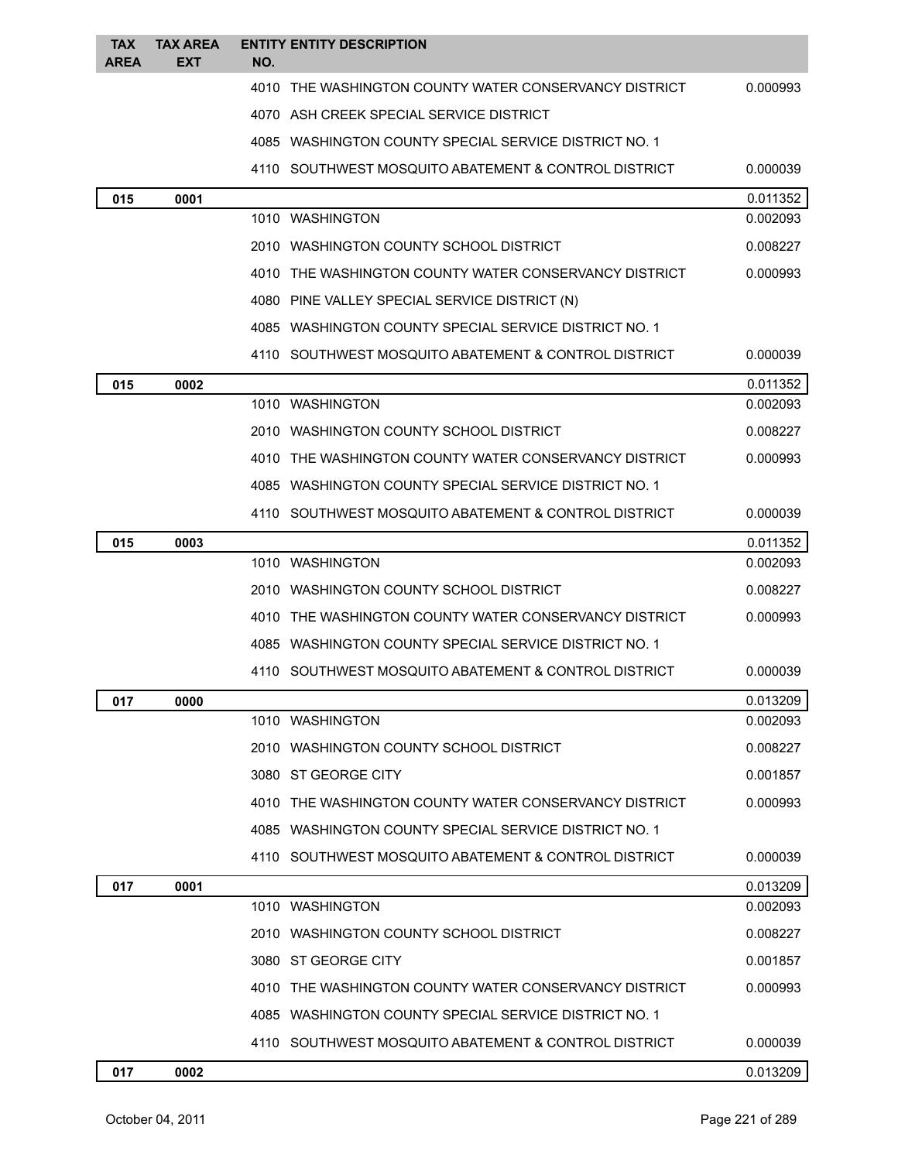| <b>TAX</b><br><b>AREA</b> | <b>TAX AREA</b><br>EXT | <b>ENTITY ENTITY DESCRIPTION</b><br>NO.                 |          |
|---------------------------|------------------------|---------------------------------------------------------|----------|
|                           |                        | 4010 THE WASHINGTON COUNTY WATER CONSERVANCY DISTRICT   | 0.000993 |
|                           |                        | 4070 ASH CREEK SPECIAL SERVICE DISTRICT                 |          |
|                           |                        | 4085   WASHINGTON COUNTY SPECIAL SERVICE DISTRICT NO. 1 |          |
|                           |                        | 4110 SOUTHWEST MOSQUITO ABATEMENT & CONTROL DISTRICT    | 0.000039 |
| 015                       | 0001                   |                                                         | 0.011352 |
|                           |                        | 1010 WASHINGTON                                         | 0.002093 |
|                           |                        | 2010 WASHINGTON COUNTY SCHOOL DISTRICT                  | 0.008227 |
|                           |                        | 4010 THE WASHINGTON COUNTY WATER CONSERVANCY DISTRICT   | 0.000993 |
|                           |                        | 4080 PINE VALLEY SPECIAL SERVICE DISTRICT (N)           |          |
|                           |                        | 4085 WASHINGTON COUNTY SPECIAL SERVICE DISTRICT NO. 1   |          |
|                           |                        | 4110 SOUTHWEST MOSQUITO ABATEMENT & CONTROL DISTRICT    | 0.000039 |
| 015                       | 0002                   |                                                         | 0.011352 |
|                           |                        | 1010 WASHINGTON                                         | 0.002093 |
|                           |                        | 2010 WASHINGTON COUNTY SCHOOL DISTRICT                  | 0.008227 |
|                           |                        | 4010 THE WASHINGTON COUNTY WATER CONSERVANCY DISTRICT   | 0.000993 |
|                           |                        | 4085 WASHINGTON COUNTY SPECIAL SERVICE DISTRICT NO. 1   |          |
|                           |                        | 4110 SOUTHWEST MOSQUITO ABATEMENT & CONTROL DISTRICT    | 0.000039 |
| 015                       | 0003                   |                                                         | 0.011352 |
|                           |                        | 1010 WASHINGTON                                         | 0.002093 |
|                           |                        | 2010 WASHINGTON COUNTY SCHOOL DISTRICT                  | 0.008227 |
|                           |                        | 4010 THE WASHINGTON COUNTY WATER CONSERVANCY DISTRICT   | 0.000993 |
|                           |                        | 4085   WASHINGTON COUNTY SPECIAL SERVICE DISTRICT NO. 1 |          |
|                           |                        | 4110 SOUTHWEST MOSQUITO ABATEMENT & CONTROL DISTRICT    | 0.000039 |
| 017                       | 0000                   |                                                         | 0.013209 |
|                           |                        | 1010 WASHINGTON                                         | 0.002093 |
|                           |                        | 2010   WASHINGTON COUNTY SCHOOL DISTRICT                | 0.008227 |
|                           |                        | 3080 ST GEORGE CITY                                     | 0.001857 |
|                           |                        | 4010 THE WASHINGTON COUNTY WATER CONSERVANCY DISTRICT   | 0.000993 |
|                           |                        | 4085 WASHINGTON COUNTY SPECIAL SERVICE DISTRICT NO. 1   |          |
|                           |                        | 4110 SOUTHWEST MOSQUITO ABATEMENT & CONTROL DISTRICT    | 0.000039 |
| 017                       | 0001                   |                                                         | 0.013209 |
|                           |                        | 1010 WASHINGTON                                         | 0.002093 |
|                           |                        | 2010 WASHINGTON COUNTY SCHOOL DISTRICT                  | 0.008227 |
|                           |                        | 3080 ST GEORGE CITY                                     | 0.001857 |
|                           |                        | 4010 THE WASHINGTON COUNTY WATER CONSERVANCY DISTRICT   | 0.000993 |
|                           |                        | 4085 WASHINGTON COUNTY SPECIAL SERVICE DISTRICT NO. 1   |          |
|                           |                        | 4110 SOUTHWEST MOSQUITO ABATEMENT & CONTROL DISTRICT    | 0.000039 |
| 017                       | 0002                   |                                                         | 0.013209 |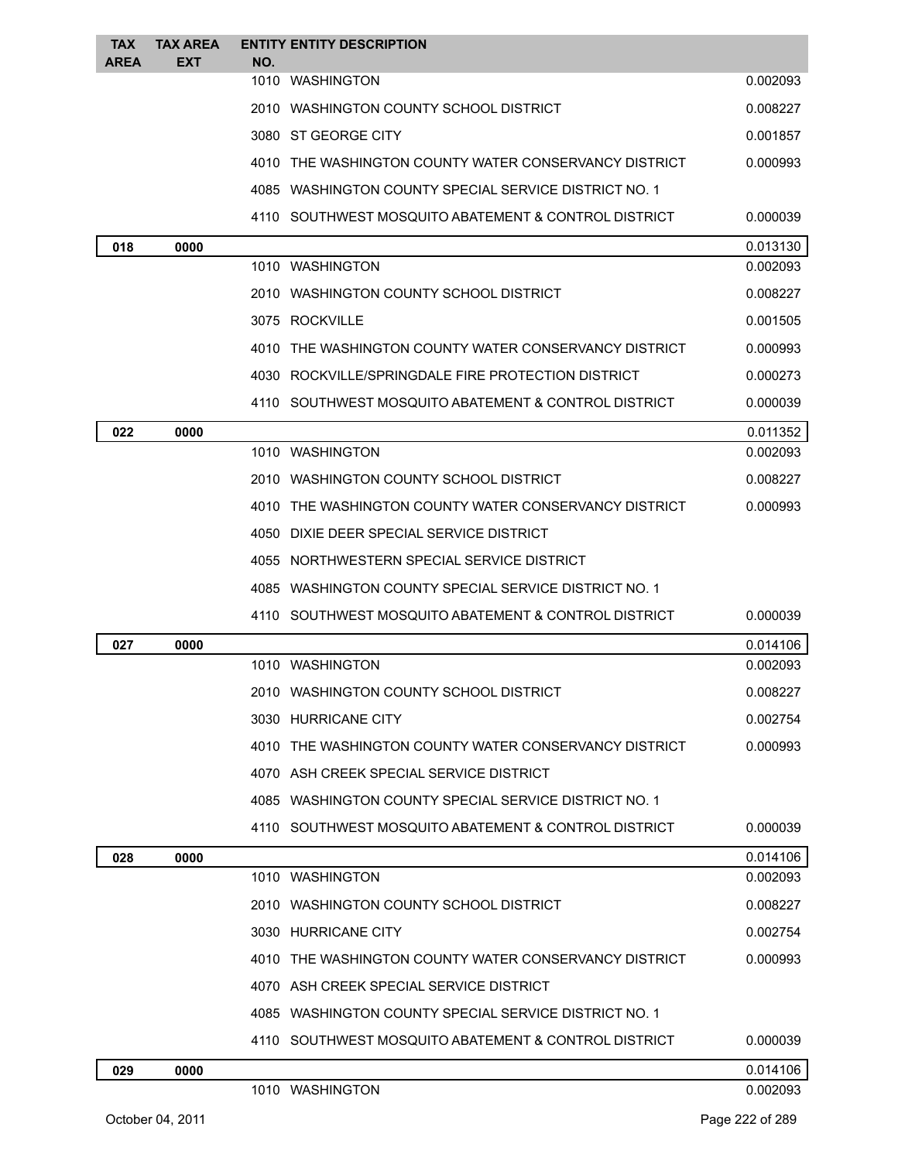| <b>TAX</b>  | <b>TAX AREA</b> | <b>ENTITY ENTITY DESCRIPTION</b>                      |          |
|-------------|-----------------|-------------------------------------------------------|----------|
| <b>AREA</b> | EXT             | NO.<br>1010 WASHINGTON                                | 0.002093 |
|             |                 | 2010 WASHINGTON COUNTY SCHOOL DISTRICT                | 0.008227 |
|             |                 | 3080 ST GEORGE CITY                                   | 0.001857 |
|             |                 | 4010 THE WASHINGTON COUNTY WATER CONSERVANCY DISTRICT | 0.000993 |
|             |                 | 4085 WASHINGTON COUNTY SPECIAL SERVICE DISTRICT NO. 1 |          |
|             |                 | 4110 SOUTHWEST MOSQUITO ABATEMENT & CONTROL DISTRICT  | 0.000039 |
| 018         | 0000            |                                                       | 0.013130 |
|             |                 | 1010 WASHINGTON                                       | 0.002093 |
|             |                 | 2010 WASHINGTON COUNTY SCHOOL DISTRICT                | 0.008227 |
|             |                 | 3075 ROCKVILLE                                        | 0.001505 |
|             |                 | 4010 THE WASHINGTON COUNTY WATER CONSERVANCY DISTRICT | 0.000993 |
|             |                 | 4030 ROCKVILLE/SPRINGDALE FIRE PROTECTION DISTRICT    | 0.000273 |
|             |                 | 4110 SOUTHWEST MOSQUITO ABATEMENT & CONTROL DISTRICT  | 0.000039 |
| 022         | 0000            |                                                       | 0.011352 |
|             |                 | 1010 WASHINGTON                                       | 0.002093 |
|             |                 | 2010 WASHINGTON COUNTY SCHOOL DISTRICT                | 0.008227 |
|             |                 | 4010 THE WASHINGTON COUNTY WATER CONSERVANCY DISTRICT | 0.000993 |
|             |                 | 4050 DIXIE DEER SPECIAL SERVICE DISTRICT              |          |
|             |                 | 4055 NORTHWESTERN SPECIAL SERVICE DISTRICT            |          |
|             |                 | 4085 WASHINGTON COUNTY SPECIAL SERVICE DISTRICT NO. 1 |          |
|             |                 | 4110 SOUTHWEST MOSQUITO ABATEMENT & CONTROL DISTRICT  | 0.000039 |
| 027         | 0000            |                                                       | 0.014106 |
|             |                 | 1010 WASHINGTON                                       | 0.002093 |
|             |                 | 2010 WASHINGTON COUNTY SCHOOL DISTRICT                | 0.008227 |
|             |                 | 3030 HURRICANE CITY                                   | 0.002754 |
|             |                 | 4010 THE WASHINGTON COUNTY WATER CONSERVANCY DISTRICT | 0.000993 |
|             |                 | 4070 ASH CREEK SPECIAL SERVICE DISTRICT               |          |
|             |                 | 4085 WASHINGTON COUNTY SPECIAL SERVICE DISTRICT NO. 1 |          |
|             |                 | 4110 SOUTHWEST MOSQUITO ABATEMENT & CONTROL DISTRICT  | 0.000039 |
| 028         | 0000            |                                                       | 0.014106 |
|             |                 | 1010 WASHINGTON                                       | 0.002093 |
|             |                 | 2010 WASHINGTON COUNTY SCHOOL DISTRICT                | 0.008227 |
|             |                 | 3030 HURRICANE CITY                                   | 0.002754 |
|             |                 | 4010 THE WASHINGTON COUNTY WATER CONSERVANCY DISTRICT | 0.000993 |
|             |                 | 4070 ASH CREEK SPECIAL SERVICE DISTRICT               |          |
|             |                 | 4085 WASHINGTON COUNTY SPECIAL SERVICE DISTRICT NO. 1 |          |
|             |                 | 4110 SOUTHWEST MOSQUITO ABATEMENT & CONTROL DISTRICT  | 0.000039 |
| 029         | 0000            |                                                       | 0.014106 |
|             |                 | 1010 WASHINGTON                                       | 0.002093 |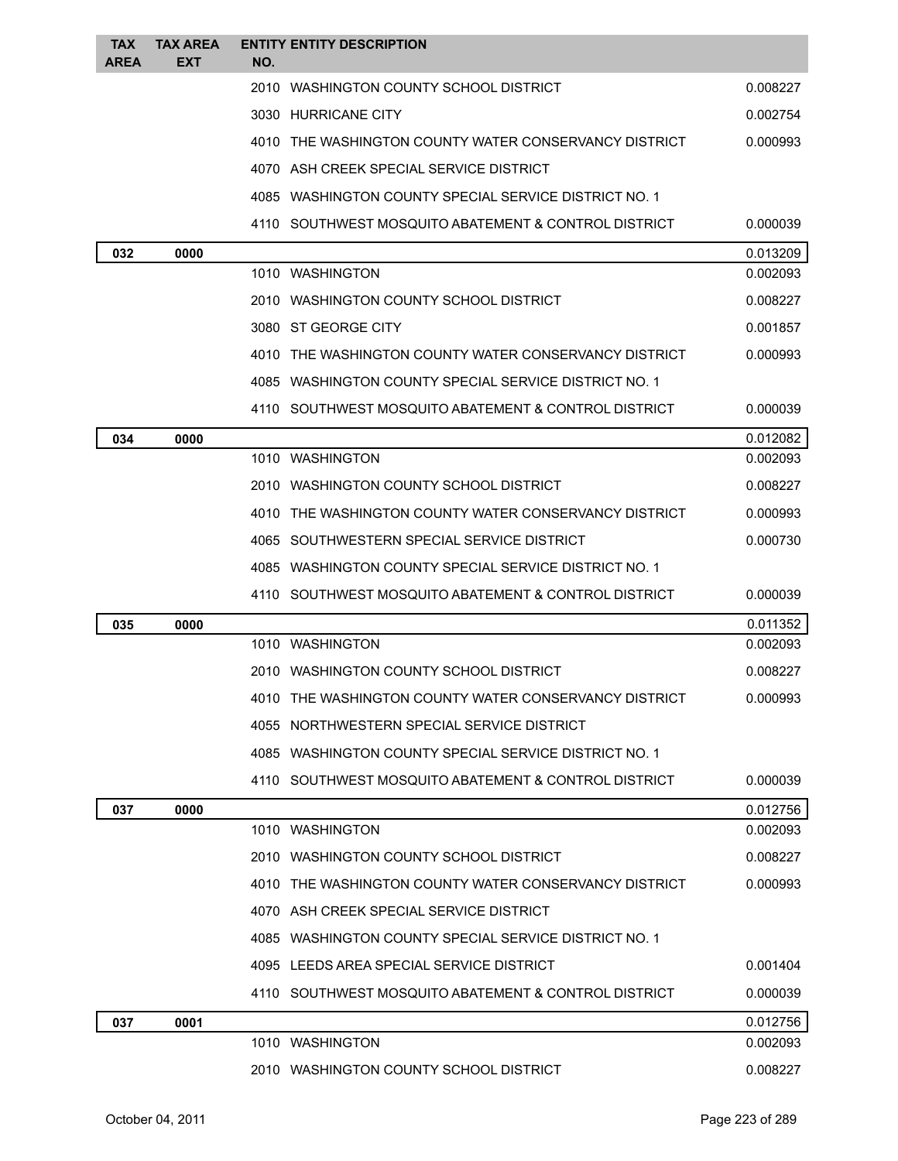| <b>TAX</b><br><b>AREA</b> | <b>TAX AREA</b><br>EXT | <b>ENTITY ENTITY DESCRIPTION</b><br>NO.                |          |
|---------------------------|------------------------|--------------------------------------------------------|----------|
|                           |                        | 2010 WASHINGTON COUNTY SCHOOL DISTRICT                 | 0.008227 |
|                           |                        | 3030 HURRICANE CITY                                    | 0.002754 |
|                           |                        | 4010 THE WASHINGTON COUNTY WATER CONSERVANCY DISTRICT  | 0.000993 |
|                           |                        | 4070 ASH CREEK SPECIAL SERVICE DISTRICT                |          |
|                           |                        | 4085 WASHINGTON COUNTY SPECIAL SERVICE DISTRICT NO. 1  |          |
|                           |                        | 4110 SOUTHWEST MOSQUITO ABATEMENT & CONTROL DISTRICT   | 0.000039 |
| 032                       | 0000                   |                                                        | 0.013209 |
|                           |                        | 1010 WASHINGTON                                        | 0.002093 |
|                           |                        | 2010 WASHINGTON COUNTY SCHOOL DISTRICT                 | 0.008227 |
|                           |                        | 3080 ST GEORGE CITY                                    | 0.001857 |
|                           |                        | 4010 THE WASHINGTON COUNTY WATER CONSERVANCY DISTRICT  | 0.000993 |
|                           |                        | 4085 WASHINGTON COUNTY SPECIAL SERVICE DISTRICT NO. 1  |          |
|                           |                        | 4110 SOUTHWEST MOSQUITO ABATEMENT & CONTROL DISTRICT   | 0.000039 |
| 034                       | 0000                   |                                                        | 0.012082 |
|                           |                        | 1010 WASHINGTON                                        | 0.002093 |
|                           |                        | 2010   WASHINGTON COUNTY SCHOOL DISTRICT               | 0.008227 |
|                           |                        | 4010 THE WASHINGTON COUNTY WATER CONSERVANCY DISTRICT  | 0.000993 |
|                           |                        | 4065 SOUTHWESTERN SPECIAL SERVICE DISTRICT             | 0.000730 |
|                           |                        | 4085 WASHINGTON COUNTY SPECIAL SERVICE DISTRICT NO. 1  |          |
|                           |                        | 4110 SOUTHWEST MOSQUITO ABATEMENT & CONTROL DISTRICT   | 0.000039 |
| 035                       | 0000                   |                                                        | 0.011352 |
|                           |                        | 1010 WASHINGTON                                        | 0.002093 |
|                           |                        | 2010 WASHINGTON COUNTY SCHOOL DISTRICT                 | 0.008227 |
|                           |                        | 4010 THE WASHINGTON COUNTY WATER CONSERVANCY DISTRICT  | 0.000993 |
|                           |                        | 4055 NORTHWESTERN SPECIAL SERVICE DISTRICT             |          |
|                           |                        | 4085 WASHINGTON COUNTY SPECIAL SERVICE DISTRICT NO. 1  |          |
|                           |                        | 4110   SOUTHWEST MOSQUITO ABATEMENT & CONTROL DISTRICT | 0.000039 |
| 037                       | 0000                   |                                                        | 0.012756 |
|                           |                        | 1010 WASHINGTON                                        | 0.002093 |
|                           |                        | 2010 WASHINGTON COUNTY SCHOOL DISTRICT                 | 0.008227 |
|                           |                        | 4010 THE WASHINGTON COUNTY WATER CONSERVANCY DISTRICT  | 0.000993 |
|                           |                        | 4070 ASH CREEK SPECIAL SERVICE DISTRICT                |          |
|                           |                        | 4085 WASHINGTON COUNTY SPECIAL SERVICE DISTRICT NO. 1  |          |
|                           |                        | 4095 LEEDS AREA SPECIAL SERVICE DISTRICT               | 0.001404 |
|                           |                        | 4110   SOUTHWEST MOSQUITO ABATEMENT & CONTROL DISTRICT | 0.000039 |
| 037                       | 0001                   |                                                        | 0.012756 |
|                           |                        | 1010 WASHINGTON                                        | 0.002093 |
|                           |                        | 2010 WASHINGTON COUNTY SCHOOL DISTRICT                 | 0.008227 |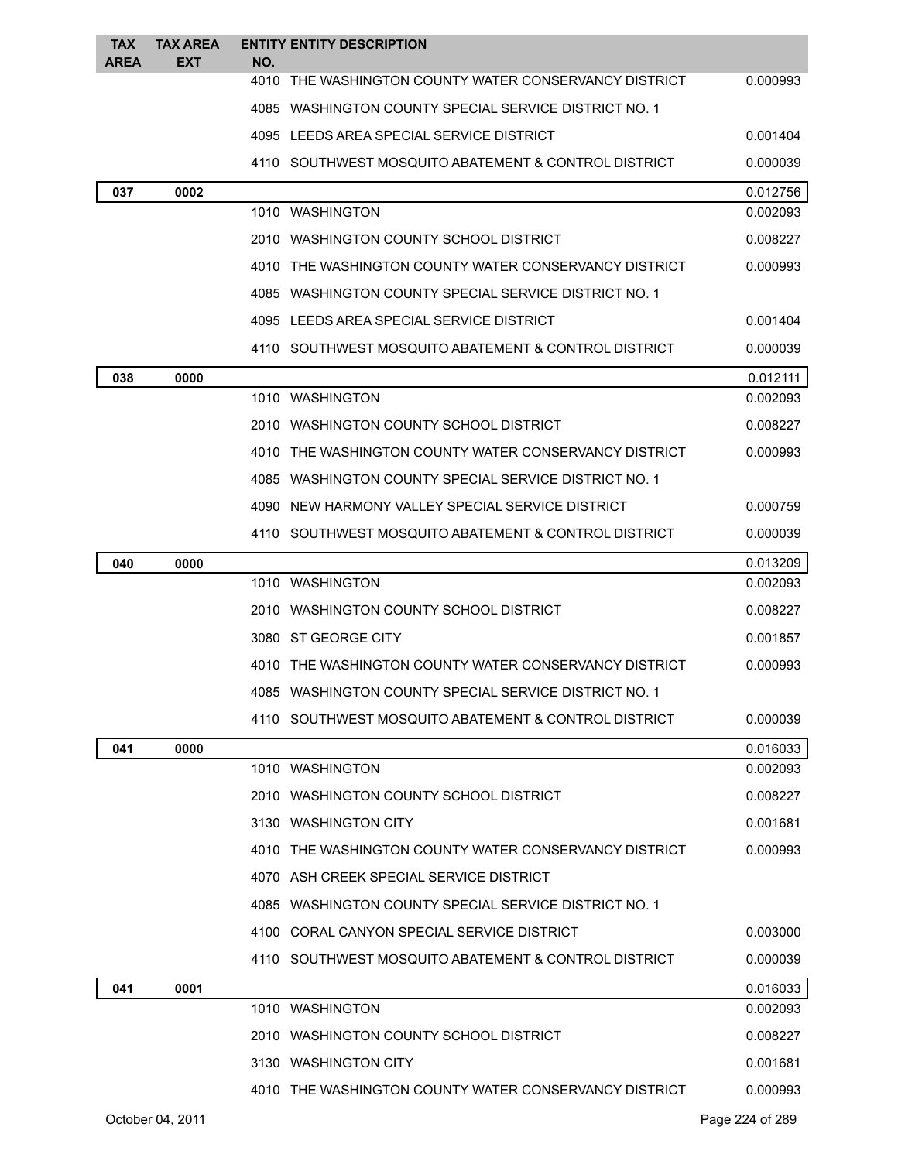| <b>TAX</b><br><b>AREA</b> | <b>TAX AREA</b><br><b>EXT</b> | <b>ENTITY ENTITY DESCRIPTION</b><br>NO.               |          |
|---------------------------|-------------------------------|-------------------------------------------------------|----------|
|                           |                               | 4010 THE WASHINGTON COUNTY WATER CONSERVANCY DISTRICT | 0.000993 |
|                           |                               | 4085 WASHINGTON COUNTY SPECIAL SERVICE DISTRICT NO. 1 |          |
|                           |                               | 4095 LEEDS AREA SPECIAL SERVICE DISTRICT              | 0.001404 |
|                           |                               | 4110 SOUTHWEST MOSQUITO ABATEMENT & CONTROL DISTRICT  | 0.000039 |
| 037                       | 0002                          |                                                       | 0.012756 |
|                           |                               | 1010 WASHINGTON                                       | 0.002093 |
|                           |                               | 2010 WASHINGTON COUNTY SCHOOL DISTRICT                | 0.008227 |
|                           |                               | 4010 THE WASHINGTON COUNTY WATER CONSERVANCY DISTRICT | 0.000993 |
|                           |                               | 4085 WASHINGTON COUNTY SPECIAL SERVICE DISTRICT NO. 1 |          |
|                           |                               | 4095 LEEDS AREA SPECIAL SERVICE DISTRICT              | 0.001404 |
|                           |                               | 4110 SOUTHWEST MOSQUITO ABATEMENT & CONTROL DISTRICT  | 0.000039 |
| 038                       | 0000                          |                                                       | 0.012111 |
|                           |                               | 1010 WASHINGTON                                       | 0.002093 |
|                           |                               | 2010 WASHINGTON COUNTY SCHOOL DISTRICT                | 0.008227 |
|                           |                               | 4010 THE WASHINGTON COUNTY WATER CONSERVANCY DISTRICT | 0.000993 |
|                           |                               | 4085 WASHINGTON COUNTY SPECIAL SERVICE DISTRICT NO. 1 |          |
|                           |                               | 4090 NEW HARMONY VALLEY SPECIAL SERVICE DISTRICT      | 0.000759 |
|                           |                               | 4110 SOUTHWEST MOSQUITO ABATEMENT & CONTROL DISTRICT  | 0.000039 |
| 040                       | 0000                          |                                                       | 0.013209 |
|                           |                               | 1010 WASHINGTON                                       | 0.002093 |
|                           |                               | 2010 WASHINGTON COUNTY SCHOOL DISTRICT                | 0.008227 |
|                           |                               | 3080 ST GEORGE CITY                                   | 0.001857 |
|                           |                               | 4010 THE WASHINGTON COUNTY WATER CONSERVANCY DISTRICT | 0.000993 |
|                           |                               | 4085 WASHINGTON COUNTY SPECIAL SERVICE DISTRICT NO. 1 |          |
|                           |                               | 4110 SOUTHWEST MOSQUITO ABATEMENT & CONTROL DISTRICT  | 0.000039 |
| 041                       | 0000                          |                                                       | 0.016033 |
|                           |                               | 1010 WASHINGTON                                       | 0.002093 |
|                           |                               | 2010 WASHINGTON COUNTY SCHOOL DISTRICT                | 0.008227 |
|                           |                               | 3130 WASHINGTON CITY                                  | 0.001681 |
|                           |                               | 4010 THE WASHINGTON COUNTY WATER CONSERVANCY DISTRICT | 0.000993 |
|                           |                               | 4070 ASH CREEK SPECIAL SERVICE DISTRICT               |          |
|                           |                               | 4085 WASHINGTON COUNTY SPECIAL SERVICE DISTRICT NO. 1 |          |
|                           |                               | 4100 CORAL CANYON SPECIAL SERVICE DISTRICT            | 0.003000 |
|                           |                               | 4110 SOUTHWEST MOSQUITO ABATEMENT & CONTROL DISTRICT  | 0.000039 |
| 041                       | 0001                          |                                                       | 0.016033 |
|                           |                               | 1010 WASHINGTON                                       | 0.002093 |
|                           |                               | 2010 WASHINGTON COUNTY SCHOOL DISTRICT                | 0.008227 |
|                           |                               | 3130 WASHINGTON CITY                                  | 0.001681 |
|                           |                               | 4010 THE WASHINGTON COUNTY WATER CONSERVANCY DISTRICT | 0.000993 |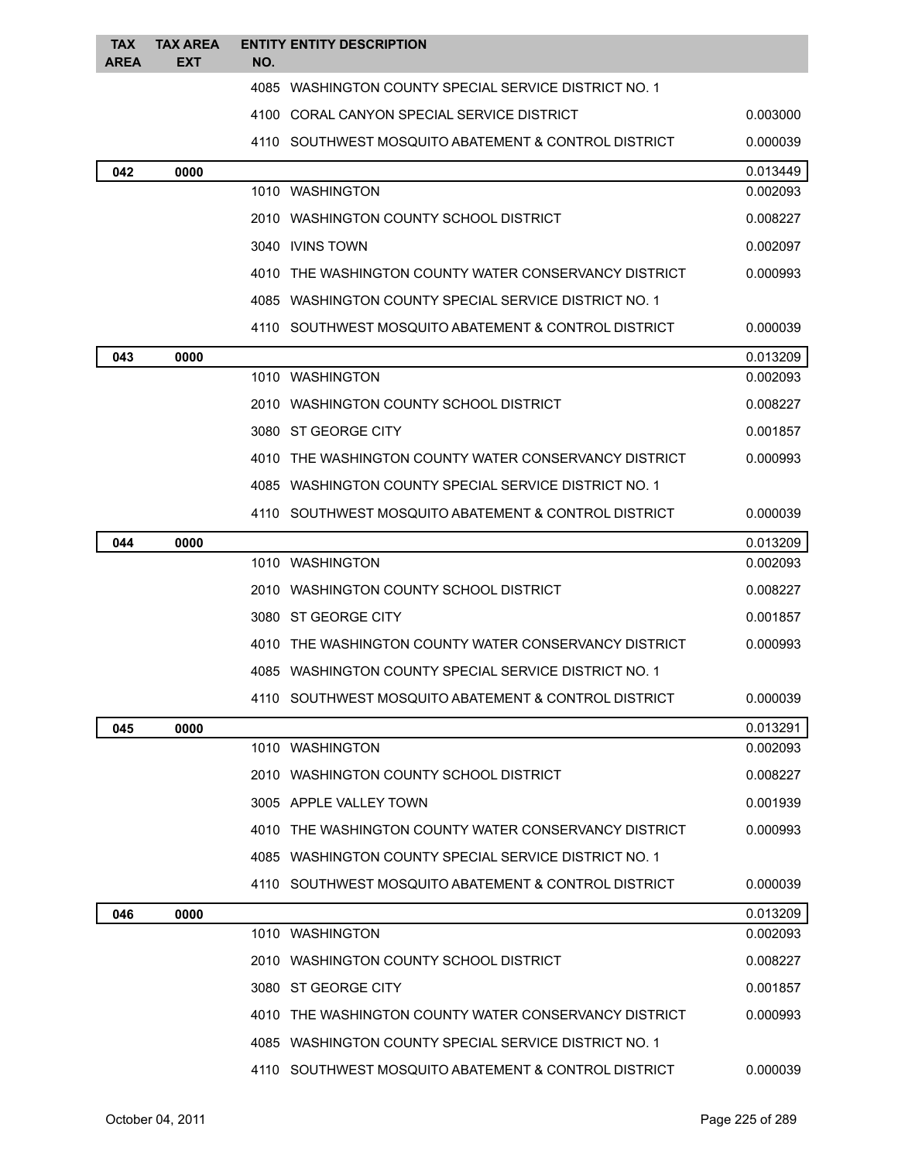| <b>TAX</b><br><b>AREA</b> | <b>TAX AREA</b><br><b>EXT</b> | NO. | <b>ENTITY ENTITY DESCRIPTION</b>                       |          |
|---------------------------|-------------------------------|-----|--------------------------------------------------------|----------|
|                           |                               |     | 4085 WASHINGTON COUNTY SPECIAL SERVICE DISTRICT NO. 1  |          |
|                           |                               |     | 4100 CORAL CANYON SPECIAL SERVICE DISTRICT             | 0.003000 |
|                           |                               |     | 4110 SOUTHWEST MOSQUITO ABATEMENT & CONTROL DISTRICT   | 0.000039 |
| 042                       | 0000                          |     |                                                        | 0.013449 |
|                           |                               |     | 1010 WASHINGTON                                        | 0.002093 |
|                           |                               |     | 2010 WASHINGTON COUNTY SCHOOL DISTRICT                 | 0.008227 |
|                           |                               |     | 3040 IVINS TOWN                                        | 0.002097 |
|                           |                               |     | 4010 THE WASHINGTON COUNTY WATER CONSERVANCY DISTRICT  | 0.000993 |
|                           |                               |     | 4085 WASHINGTON COUNTY SPECIAL SERVICE DISTRICT NO. 1  |          |
|                           |                               |     | 4110 SOUTHWEST MOSQUITO ABATEMENT & CONTROL DISTRICT   | 0.000039 |
| 043                       | 0000                          |     |                                                        | 0.013209 |
|                           |                               |     | 1010 WASHINGTON                                        | 0.002093 |
|                           |                               |     | 2010 WASHINGTON COUNTY SCHOOL DISTRICT                 | 0.008227 |
|                           |                               |     | 3080 ST GEORGE CITY                                    | 0.001857 |
|                           |                               |     | 4010 THE WASHINGTON COUNTY WATER CONSERVANCY DISTRICT  | 0.000993 |
|                           |                               |     | 4085 WASHINGTON COUNTY SPECIAL SERVICE DISTRICT NO. 1  |          |
|                           |                               |     | 4110   SOUTHWEST MOSQUITO ABATEMENT & CONTROL DISTRICT | 0.000039 |
| 044                       | 0000                          |     |                                                        | 0.013209 |
|                           |                               |     | 1010 WASHINGTON                                        | 0.002093 |
|                           |                               |     | 2010 WASHINGTON COUNTY SCHOOL DISTRICT                 | 0.008227 |
|                           |                               |     | 3080 ST GEORGE CITY                                    | 0.001857 |
|                           |                               |     | 4010 THE WASHINGTON COUNTY WATER CONSERVANCY DISTRICT  | 0.000993 |
|                           |                               |     | 4085 WASHINGTON COUNTY SPECIAL SERVICE DISTRICT NO. 1  |          |
|                           |                               |     | 4110 SOUTHWEST MOSQUITO ABATEMENT & CONTROL DISTRICT   | 0.000039 |
| 045                       | 0000                          |     |                                                        | 0.013291 |
|                           |                               |     | 1010 WASHINGTON                                        | 0.002093 |
|                           |                               |     | 2010   WASHINGTON COUNTY SCHOOL DISTRICT               | 0.008227 |
|                           |                               |     | 3005 APPLE VALLEY TOWN                                 | 0.001939 |
|                           |                               |     | 4010 THE WASHINGTON COUNTY WATER CONSERVANCY DISTRICT  | 0.000993 |
|                           |                               |     | 4085 WASHINGTON COUNTY SPECIAL SERVICE DISTRICT NO. 1  |          |
|                           |                               |     | 4110 SOUTHWEST MOSQUITO ABATEMENT & CONTROL DISTRICT   | 0.000039 |
| 046                       | 0000                          |     |                                                        | 0.013209 |
|                           |                               |     | 1010 WASHINGTON                                        | 0.002093 |
|                           |                               |     | 2010 WASHINGTON COUNTY SCHOOL DISTRICT                 | 0.008227 |
|                           |                               |     | 3080 ST GEORGE CITY                                    | 0.001857 |
|                           |                               |     | 4010 THE WASHINGTON COUNTY WATER CONSERVANCY DISTRICT  | 0.000993 |
|                           |                               |     | 4085 WASHINGTON COUNTY SPECIAL SERVICE DISTRICT NO. 1  |          |
|                           |                               |     | 4110 SOUTHWEST MOSQUITO ABATEMENT & CONTROL DISTRICT   | 0.000039 |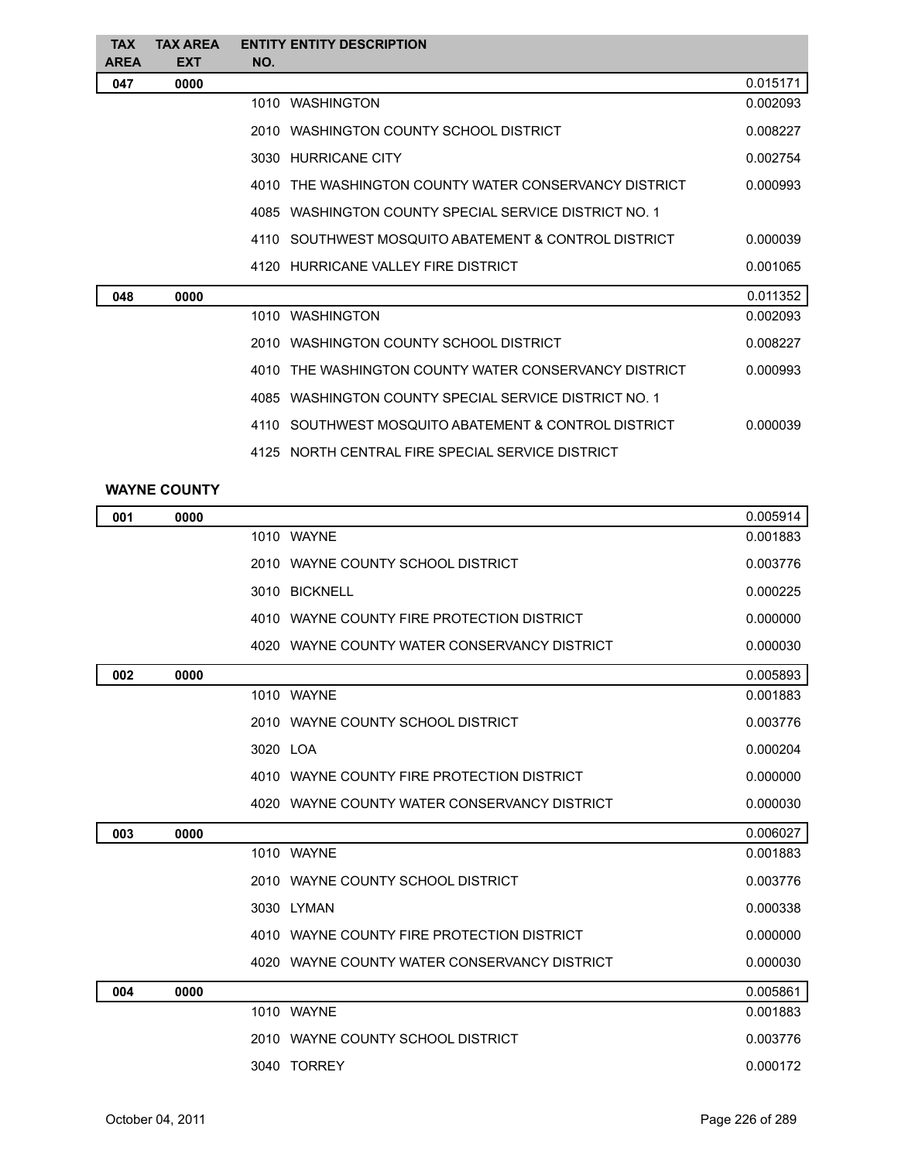| <b>TAX</b><br><b>AREA</b> | <b>TAX AREA</b><br><b>EXT</b> | NO. | <b>ENTITY ENTITY DESCRIPTION</b>                      |          |
|---------------------------|-------------------------------|-----|-------------------------------------------------------|----------|
| 047                       | 0000                          |     |                                                       | 0.015171 |
|                           |                               |     | 1010 WASHINGTON                                       | 0.002093 |
|                           |                               |     | 2010 WASHINGTON COUNTY SCHOOL DISTRICT                | 0.008227 |
|                           |                               |     | 3030 HURRICANE CITY                                   | 0.002754 |
|                           |                               |     | 4010 THE WASHINGTON COUNTY WATER CONSERVANCY DISTRICT | 0.000993 |
|                           |                               |     | 4085 WASHINGTON COUNTY SPECIAL SERVICE DISTRICT NO. 1 |          |
|                           |                               |     | 4110 SOUTHWEST MOSQUITO ABATEMENT & CONTROL DISTRICT  | 0.000039 |
|                           |                               |     | 4120 HURRICANE VALLEY FIRE DISTRICT                   | 0.001065 |
| 048                       | 0000                          |     |                                                       | 0.011352 |
|                           |                               |     | 1010 WASHINGTON                                       | 0.002093 |
|                           |                               |     | 2010 WASHINGTON COUNTY SCHOOL DISTRICT                | 0.008227 |
|                           |                               |     | 4010 THE WASHINGTON COUNTY WATER CONSERVANCY DISTRICT | 0.000993 |
|                           |                               |     | 4085 WASHINGTON COUNTY SPECIAL SERVICE DISTRICT NO. 1 |          |
|                           |                               |     | 4110 SOUTHWEST MOSQUITO ABATEMENT & CONTROL DISTRICT  | 0.000039 |
|                           |                               |     | 4125 NORTH CENTRAL FIRE SPECIAL SERVICE DISTRICT      |          |
|                           |                               |     |                                                       |          |

## **WAYNE COUNTY**

| 001 | 0000 |                                              | 0.005914 |
|-----|------|----------------------------------------------|----------|
|     |      | 1010 WAYNE                                   | 0.001883 |
|     |      | 2010 WAYNE COUNTY SCHOOL DISTRICT            | 0.003776 |
|     |      | 3010 BICKNELL                                | 0.000225 |
|     |      | 4010 WAYNE COUNTY FIRE PROTECTION DISTRICT   | 0.000000 |
|     |      | 4020 WAYNE COUNTY WATER CONSERVANCY DISTRICT | 0.000030 |
| 002 | 0000 |                                              | 0.005893 |
|     |      | 1010 WAYNE                                   | 0.001883 |
|     |      | 2010 WAYNE COUNTY SCHOOL DISTRICT            | 0.003776 |
|     |      | 3020 LOA                                     | 0.000204 |
|     |      | 4010 WAYNE COUNTY FIRE PROTECTION DISTRICT   | 0.000000 |
|     |      | 4020 WAYNE COUNTY WATER CONSERVANCY DISTRICT | 0.000030 |
| 003 | 0000 |                                              | 0.006027 |
|     |      | 1010 WAYNE                                   | 0.001883 |
|     |      | 2010 WAYNE COUNTY SCHOOL DISTRICT            | 0.003776 |
|     |      | 3030 LYMAN                                   | 0.000338 |
|     |      | 4010 WAYNE COUNTY FIRE PROTECTION DISTRICT   | 0.000000 |
|     |      | 4020 WAYNE COUNTY WATER CONSERVANCY DISTRICT | 0.000030 |
| 004 | 0000 |                                              | 0.005861 |
|     |      | 1010 WAYNE                                   | 0.001883 |
|     |      | 2010 WAYNE COUNTY SCHOOL DISTRICT            | 0.003776 |
|     |      | 3040 TORREY                                  | 0.000172 |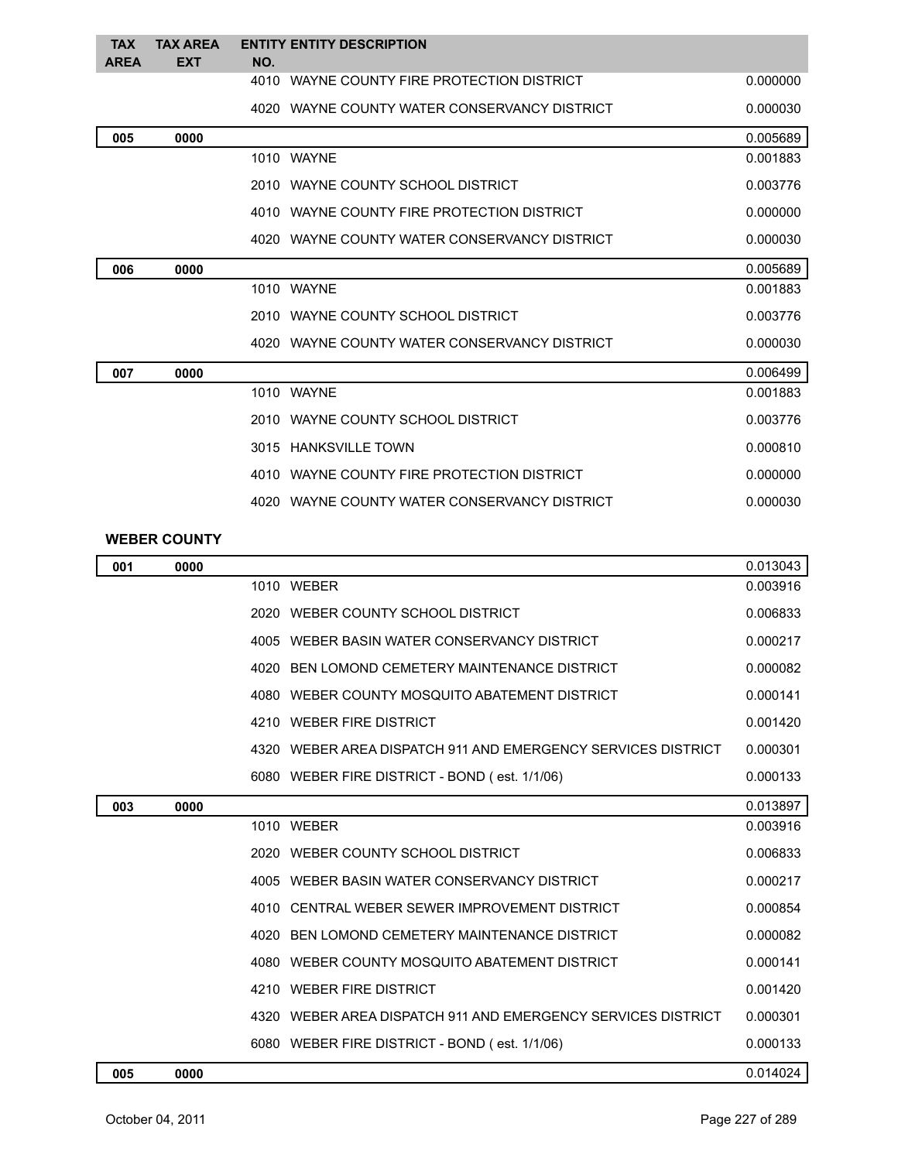| <b>TAX</b><br><b>AREA</b> | <b>TAX AREA</b><br><b>EXT</b> | <b>ENTITY ENTITY DESCRIPTION</b><br>NO.      |          |
|---------------------------|-------------------------------|----------------------------------------------|----------|
|                           |                               | 4010 WAYNE COUNTY FIRE PROTECTION DISTRICT   | 0.000000 |
|                           |                               | 4020 WAYNE COUNTY WATER CONSERVANCY DISTRICT | 0.000030 |
| 005                       | 0000                          |                                              | 0.005689 |
|                           |                               | 1010 WAYNE                                   | 0.001883 |
|                           |                               | 2010 WAYNE COUNTY SCHOOL DISTRICT            | 0.003776 |
|                           |                               | 4010 WAYNE COUNTY FIRE PROTECTION DISTRICT   | 0.000000 |
|                           |                               | 4020 WAYNE COUNTY WATER CONSERVANCY DISTRICT | 0.000030 |
| 006                       | 0000                          |                                              | 0.005689 |
|                           |                               | 1010 WAYNE                                   | 0.001883 |
|                           |                               | 2010 WAYNE COUNTY SCHOOL DISTRICT            | 0.003776 |
|                           |                               | 4020 WAYNE COUNTY WATER CONSERVANCY DISTRICT | 0.000030 |
| 007                       | 0000                          |                                              | 0.006499 |
|                           |                               | 1010 WAYNE                                   | 0.001883 |
|                           |                               | 2010 WAYNE COUNTY SCHOOL DISTRICT            | 0.003776 |
|                           |                               | 3015 HANKSVILLE TOWN                         | 0.000810 |
|                           |                               | 4010 WAYNE COUNTY FIRE PROTECTION DISTRICT   | 0.000000 |
|                           |                               | 4020 WAYNE COUNTY WATER CONSERVANCY DISTRICT | 0.000030 |

## **WEBER COUNTY**

| 001 | 0000 |                                                              | 0.013043 |
|-----|------|--------------------------------------------------------------|----------|
|     |      | 1010 WEBER                                                   | 0.003916 |
|     |      | 2020 WEBER COUNTY SCHOOL DISTRICT                            | 0.006833 |
|     |      | 4005 WEBER BASIN WATER CONSERVANCY DISTRICT                  | 0.000217 |
|     |      | 4020 BEN LOMOND CEMETERY MAINTENANCE DISTRICT                | 0.000082 |
|     |      | 4080 WEBER COUNTY MOSQUITO ABATEMENT DISTRICT                | 0.000141 |
|     |      | 4210 WEBER FIRE DISTRICT                                     | 0.001420 |
|     |      | 4320 WEBER AREA DISPATCH 911 AND EMERGENCY SERVICES DISTRICT | 0.000301 |
|     |      | 6080 WEBER FIRE DISTRICT - BOND (est. 1/1/06)                | 0.000133 |
| 003 | 0000 |                                                              | 0.013897 |
|     |      | 1010 WEBER                                                   | 0.003916 |
|     |      | 2020 WEBER COUNTY SCHOOL DISTRICT                            | 0.006833 |
|     |      | 4005 WEBER BASIN WATER CONSERVANCY DISTRICT                  | 0.000217 |
|     |      | 4010 CENTRAL WEBER SEWER IMPROVEMENT DISTRICT                | 0.000854 |
|     |      | 4020 BEN LOMOND CEMETERY MAINTENANCE DISTRICT                | 0.000082 |
|     |      | 4080 WEBER COUNTY MOSQUITO ABATEMENT DISTRICT                | 0.000141 |
|     |      | 4210 WEBER FIRE DISTRICT                                     | 0.001420 |
|     |      | 4320 WEBER AREA DISPATCH 911 AND EMERGENCY SERVICES DISTRICT | 0.000301 |
|     |      | 6080 WEBER FIRE DISTRICT - BOND (est. 1/1/06)                | 0.000133 |
| 005 | 0000 |                                                              | 0.014024 |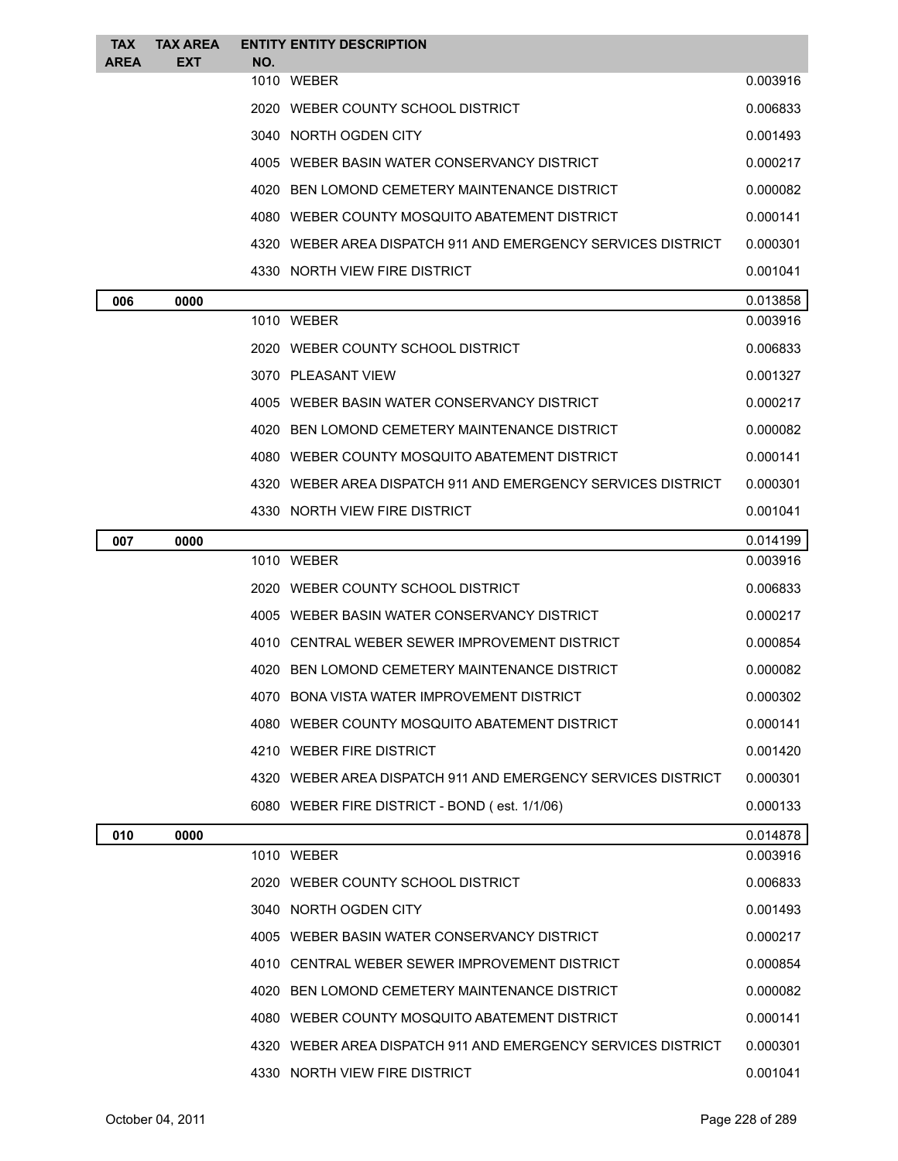| <b>TAX</b>  | <b>TAX AREA</b> |     | <b>ENTITY ENTITY DESCRIPTION</b>                             |          |
|-------------|-----------------|-----|--------------------------------------------------------------|----------|
| <b>AREA</b> | <b>EXT</b>      | NO. | 1010 WEBER                                                   | 0.003916 |
|             |                 |     | 2020 WEBER COUNTY SCHOOL DISTRICT                            | 0.006833 |
|             |                 |     | 3040 NORTH OGDEN CITY                                        | 0.001493 |
|             |                 |     | 4005 WEBER BASIN WATER CONSERVANCY DISTRICT                  | 0.000217 |
|             |                 |     | 4020 BEN LOMOND CEMETERY MAINTENANCE DISTRICT                | 0.000082 |
|             |                 |     | 4080 WEBER COUNTY MOSQUITO ABATEMENT DISTRICT                | 0.000141 |
|             |                 |     | 4320 WEBER AREA DISPATCH 911 AND EMERGENCY SERVICES DISTRICT | 0.000301 |
|             |                 |     | 4330 NORTH VIEW FIRE DISTRICT                                | 0.001041 |
| 006         | 0000            |     |                                                              | 0.013858 |
|             |                 |     | 1010 WEBER                                                   | 0.003916 |
|             |                 |     | 2020 WEBER COUNTY SCHOOL DISTRICT                            | 0.006833 |
|             |                 |     | 3070 PLEASANT VIEW                                           | 0.001327 |
|             |                 |     | 4005 WEBER BASIN WATER CONSERVANCY DISTRICT                  | 0.000217 |
|             |                 |     | 4020 BEN LOMOND CEMETERY MAINTENANCE DISTRICT                | 0.000082 |
|             |                 |     | 4080 WEBER COUNTY MOSQUITO ABATEMENT DISTRICT                | 0.000141 |
|             |                 |     | 4320 WEBER AREA DISPATCH 911 AND EMERGENCY SERVICES DISTRICT | 0.000301 |
|             |                 |     | 4330 NORTH VIEW FIRE DISTRICT                                | 0.001041 |
| 007         | 0000            |     |                                                              | 0.014199 |
|             |                 |     | 1010 WEBER                                                   | 0.003916 |
|             |                 |     | 2020 WEBER COUNTY SCHOOL DISTRICT                            | 0.006833 |
|             |                 |     | 4005 WEBER BASIN WATER CONSERVANCY DISTRICT                  | 0.000217 |
|             |                 |     | 4010 CENTRAL WEBER SEWER IMPROVEMENT DISTRICT                | 0.000854 |
|             |                 |     | 4020 BEN LOMOND CEMETERY MAINTENANCE DISTRICT                | 0.000082 |
|             |                 |     | 4070 BONA VISTA WATER IMPROVEMENT DISTRICT                   | 0.000302 |
|             |                 |     | 4080 WEBER COUNTY MOSQUITO ABATEMENT DISTRICT                | 0.000141 |
|             |                 |     | 4210 WEBER FIRE DISTRICT                                     | 0.001420 |
|             |                 |     | 4320 WEBER AREA DISPATCH 911 AND EMERGENCY SERVICES DISTRICT | 0.000301 |
|             |                 |     | 6080 WEBER FIRE DISTRICT - BOND (est. 1/1/06)                | 0.000133 |
| 010         | 0000            |     |                                                              | 0.014878 |
|             |                 |     | 1010 WEBER                                                   | 0.003916 |
|             |                 |     | 2020 WEBER COUNTY SCHOOL DISTRICT                            | 0.006833 |
|             |                 |     | 3040 NORTH OGDEN CITY                                        | 0.001493 |
|             |                 |     | 4005 WEBER BASIN WATER CONSERVANCY DISTRICT                  | 0.000217 |
|             |                 |     | 4010 CENTRAL WEBER SEWER IMPROVEMENT DISTRICT                | 0.000854 |
|             |                 |     | 4020 BEN LOMOND CEMETERY MAINTENANCE DISTRICT                | 0.000082 |
|             |                 |     | 4080 WEBER COUNTY MOSQUITO ABATEMENT DISTRICT                | 0.000141 |
|             |                 |     | 4320 WEBER AREA DISPATCH 911 AND EMERGENCY SERVICES DISTRICT | 0.000301 |
|             |                 |     | 4330 NORTH VIEW FIRE DISTRICT                                | 0.001041 |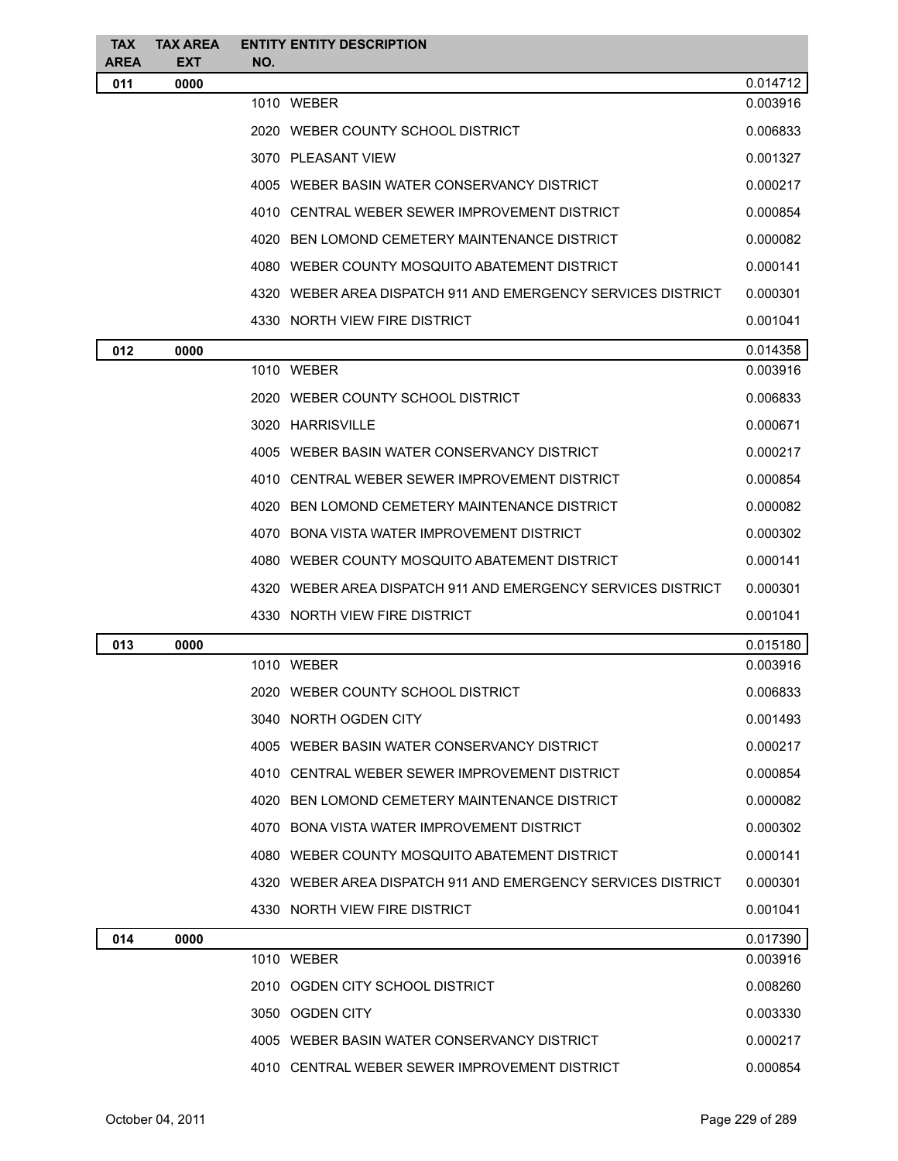| <b>TAX</b>         | <b>TAX AREA</b>    |     | <b>ENTITY ENTITY DESCRIPTION</b>                             |          |
|--------------------|--------------------|-----|--------------------------------------------------------------|----------|
| <b>AREA</b><br>011 | <b>EXT</b><br>0000 | NO. |                                                              | 0.014712 |
|                    |                    |     | 1010 WEBER                                                   | 0.003916 |
|                    |                    |     | 2020 WEBER COUNTY SCHOOL DISTRICT                            | 0.006833 |
|                    |                    |     | 3070 PLEASANT VIEW                                           | 0.001327 |
|                    |                    |     | 4005 WEBER BASIN WATER CONSERVANCY DISTRICT                  | 0.000217 |
|                    |                    |     | 4010 CENTRAL WEBER SEWER IMPROVEMENT DISTRICT                | 0.000854 |
|                    |                    |     | 4020 BEN LOMOND CEMETERY MAINTENANCE DISTRICT                | 0.000082 |
|                    |                    |     | 4080 WEBER COUNTY MOSQUITO ABATEMENT DISTRICT                | 0.000141 |
|                    |                    |     | 4320 WEBER AREA DISPATCH 911 AND EMERGENCY SERVICES DISTRICT | 0.000301 |
|                    |                    |     | 4330 NORTH VIEW FIRE DISTRICT                                | 0.001041 |
| 012                | 0000               |     |                                                              | 0.014358 |
|                    |                    |     | 1010 WEBER                                                   | 0.003916 |
|                    |                    |     | 2020 WEBER COUNTY SCHOOL DISTRICT                            | 0.006833 |
|                    |                    |     | 3020 HARRISVILLE                                             | 0.000671 |
|                    |                    |     | 4005 WEBER BASIN WATER CONSERVANCY DISTRICT                  | 0.000217 |
|                    |                    |     | 4010 CENTRAL WEBER SEWER IMPROVEMENT DISTRICT                | 0.000854 |
|                    |                    |     | 4020 BEN LOMOND CEMETERY MAINTENANCE DISTRICT                | 0.000082 |
|                    |                    |     | 4070 BONA VISTA WATER IMPROVEMENT DISTRICT                   | 0.000302 |
|                    |                    |     | 4080 WEBER COUNTY MOSQUITO ABATEMENT DISTRICT                | 0.000141 |
|                    |                    |     | 4320 WEBER AREA DISPATCH 911 AND EMERGENCY SERVICES DISTRICT | 0.000301 |
|                    |                    |     | 4330 NORTH VIEW FIRE DISTRICT                                | 0.001041 |
| 013                | 0000               |     |                                                              | 0.015180 |
|                    |                    |     | 1010 WEBER                                                   | 0.003916 |
|                    |                    |     | 2020 WEBER COUNTY SCHOOL DISTRICT                            | 0.006833 |
|                    |                    |     | 3040 NORTH OGDEN CITY                                        | 0.001493 |
|                    |                    |     | 4005 WEBER BASIN WATER CONSERVANCY DISTRICT                  | 0.000217 |
|                    |                    |     | 4010 CENTRAL WEBER SEWER IMPROVEMENT DISTRICT                | 0.000854 |
|                    |                    |     | 4020 BEN LOMOND CEMETERY MAINTENANCE DISTRICT                | 0.000082 |
|                    |                    |     | 4070 BONA VISTA WATER IMPROVEMENT DISTRICT                   | 0.000302 |
|                    |                    |     | 4080 WEBER COUNTY MOSQUITO ABATEMENT DISTRICT                | 0.000141 |
|                    |                    |     | 4320 WEBER AREA DISPATCH 911 AND EMERGENCY SERVICES DISTRICT | 0.000301 |
|                    |                    |     | 4330 NORTH VIEW FIRE DISTRICT                                | 0.001041 |
| 014                | 0000               |     |                                                              | 0.017390 |
|                    |                    |     | 1010 WEBER                                                   | 0.003916 |
|                    |                    |     | 2010 OGDEN CITY SCHOOL DISTRICT                              | 0.008260 |
|                    |                    |     | 3050 OGDEN CITY                                              | 0.003330 |
|                    |                    |     | 4005 WEBER BASIN WATER CONSERVANCY DISTRICT                  | 0.000217 |
|                    |                    |     | 4010 CENTRAL WEBER SEWER IMPROVEMENT DISTRICT                | 0.000854 |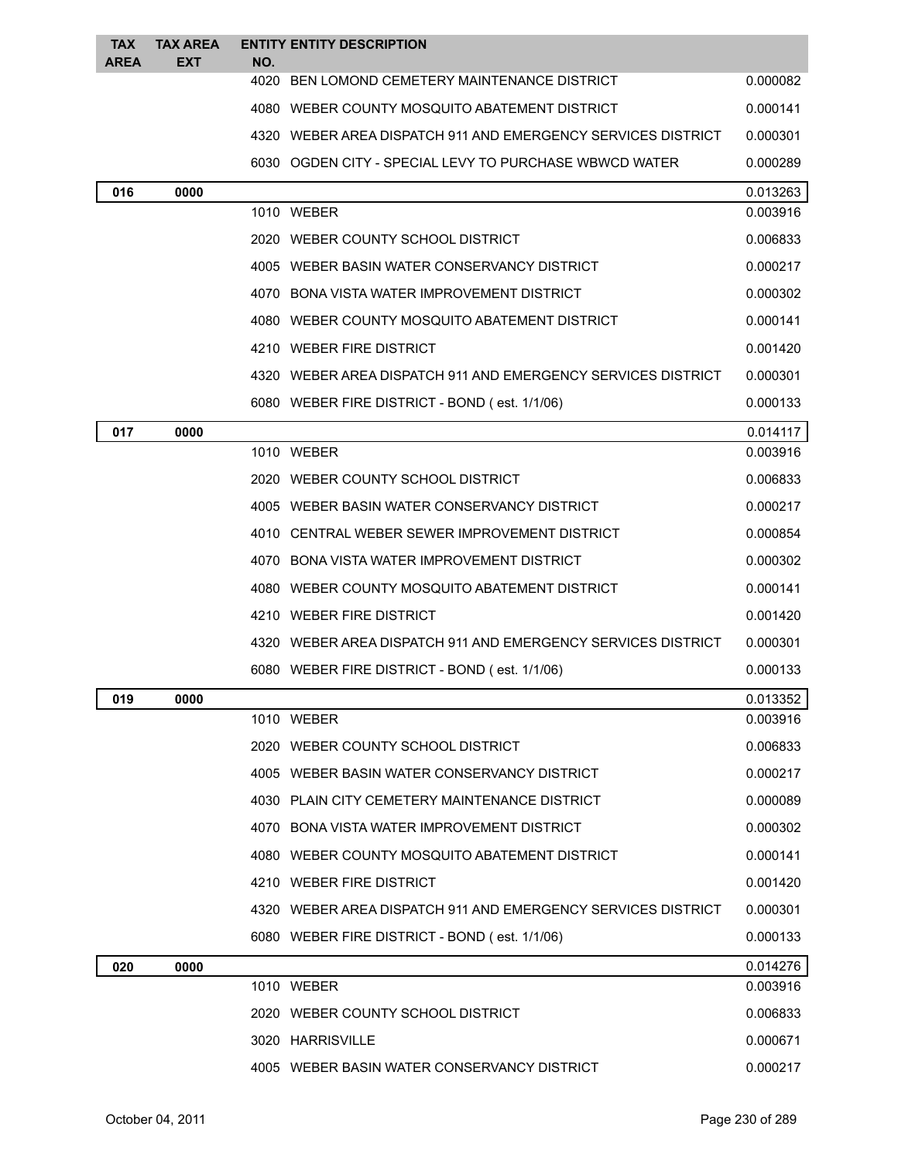| <b>TAX</b><br><b>AREA</b> | <b>TAX AREA</b><br>EXT | <b>ENTITY ENTITY DESCRIPTION</b><br>NO.                      |          |
|---------------------------|------------------------|--------------------------------------------------------------|----------|
|                           |                        | 4020 BEN LOMOND CEMETERY MAINTENANCE DISTRICT                | 0.000082 |
|                           |                        | 4080 WEBER COUNTY MOSQUITO ABATEMENT DISTRICT                | 0.000141 |
|                           |                        | 4320 WEBER AREA DISPATCH 911 AND EMERGENCY SERVICES DISTRICT | 0.000301 |
|                           |                        | 6030 OGDEN CITY - SPECIAL LEVY TO PURCHASE WBWCD WATER       | 0.000289 |
| 016                       | 0000                   |                                                              | 0.013263 |
|                           |                        | 1010 WEBER                                                   | 0.003916 |
|                           |                        | 2020 WEBER COUNTY SCHOOL DISTRICT                            | 0.006833 |
|                           |                        | 4005 WEBER BASIN WATER CONSERVANCY DISTRICT                  | 0.000217 |
|                           |                        | 4070 BONA VISTA WATER IMPROVEMENT DISTRICT                   | 0.000302 |
|                           |                        | 4080 WEBER COUNTY MOSQUITO ABATEMENT DISTRICT                | 0.000141 |
|                           |                        | 4210 WEBER FIRE DISTRICT                                     | 0.001420 |
|                           |                        | 4320 WEBER AREA DISPATCH 911 AND EMERGENCY SERVICES DISTRICT | 0.000301 |
|                           |                        | 6080 WEBER FIRE DISTRICT - BOND (est. 1/1/06)                | 0.000133 |
| 017                       | 0000                   |                                                              | 0.014117 |
|                           |                        | 1010 WEBER                                                   | 0.003916 |
|                           |                        | 2020 WEBER COUNTY SCHOOL DISTRICT                            | 0.006833 |
|                           |                        | 4005 WEBER BASIN WATER CONSERVANCY DISTRICT                  | 0.000217 |
|                           |                        | 4010 CENTRAL WEBER SEWER IMPROVEMENT DISTRICT                | 0.000854 |
|                           |                        | 4070 BONA VISTA WATER IMPROVEMENT DISTRICT                   | 0.000302 |
|                           |                        | 4080 WEBER COUNTY MOSQUITO ABATEMENT DISTRICT                | 0.000141 |
|                           |                        | 4210 WEBER FIRE DISTRICT                                     | 0.001420 |
|                           |                        | 4320 WEBER AREA DISPATCH 911 AND EMERGENCY SERVICES DISTRICT | 0.000301 |
|                           |                        | 6080 WEBER FIRE DISTRICT - BOND (est. 1/1/06)                | 0.000133 |
| 019                       | 0000                   |                                                              | 0.013352 |
|                           |                        | 1010 WEBER                                                   | 0.003916 |
|                           |                        | 2020 WEBER COUNTY SCHOOL DISTRICT                            | 0.006833 |
|                           |                        | 4005 WEBER BASIN WATER CONSERVANCY DISTRICT                  | 0.000217 |
|                           |                        | 4030 PLAIN CITY CEMETERY MAINTENANCE DISTRICT                | 0.000089 |
|                           |                        | 4070 BONA VISTA WATER IMPROVEMENT DISTRICT                   | 0.000302 |
|                           |                        | 4080 WEBER COUNTY MOSQUITO ABATEMENT DISTRICT                | 0.000141 |
|                           |                        | 4210 WEBER FIRE DISTRICT                                     | 0.001420 |
|                           |                        | 4320 WEBER AREA DISPATCH 911 AND EMERGENCY SERVICES DISTRICT | 0.000301 |
|                           |                        | 6080 WEBER FIRE DISTRICT - BOND (est. 1/1/06)                | 0.000133 |
| 020                       | 0000                   |                                                              | 0.014276 |
|                           |                        | 1010 WEBER                                                   | 0.003916 |
|                           |                        | 2020 WEBER COUNTY SCHOOL DISTRICT                            | 0.006833 |
|                           |                        | 3020 HARRISVILLE                                             | 0.000671 |
|                           |                        | 4005 WEBER BASIN WATER CONSERVANCY DISTRICT                  | 0.000217 |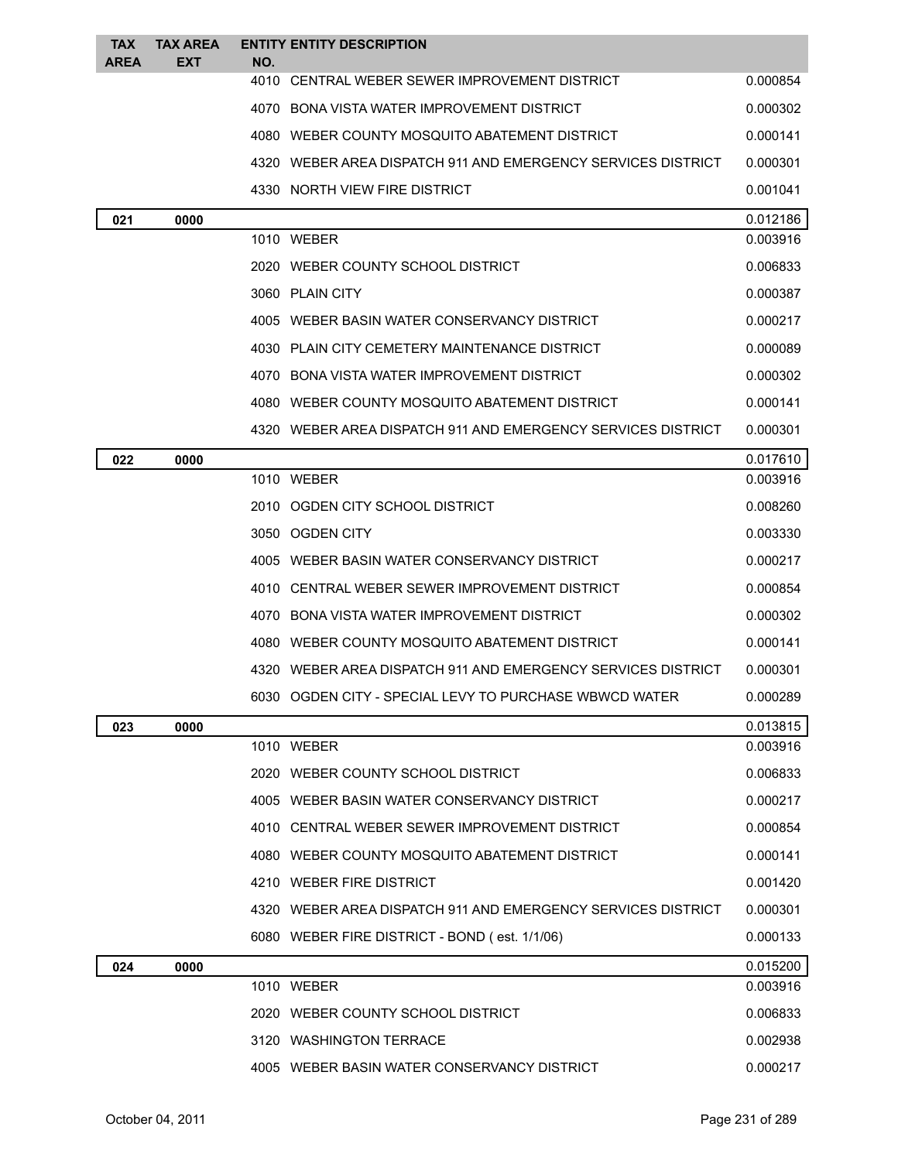| <b>TAX</b><br><b>AREA</b> | <b>TAX AREA</b><br><b>EXT</b> | <b>ENTITY ENTITY DESCRIPTION</b><br>NO.                      |          |
|---------------------------|-------------------------------|--------------------------------------------------------------|----------|
|                           |                               | 4010 CENTRAL WEBER SEWER IMPROVEMENT DISTRICT                | 0.000854 |
|                           |                               | 4070 BONA VISTA WATER IMPROVEMENT DISTRICT                   | 0.000302 |
|                           |                               | 4080 WEBER COUNTY MOSQUITO ABATEMENT DISTRICT                | 0.000141 |
|                           |                               | 4320 WEBER AREA DISPATCH 911 AND EMERGENCY SERVICES DISTRICT | 0.000301 |
|                           |                               | 4330 NORTH VIEW FIRE DISTRICT                                | 0.001041 |
| 021                       | 0000                          |                                                              | 0.012186 |
|                           |                               | 1010 WEBER                                                   | 0.003916 |
|                           |                               | 2020 WEBER COUNTY SCHOOL DISTRICT                            | 0.006833 |
|                           |                               | 3060 PLAIN CITY                                              | 0.000387 |
|                           |                               | 4005 WEBER BASIN WATER CONSERVANCY DISTRICT                  | 0.000217 |
|                           |                               | 4030 PLAIN CITY CEMETERY MAINTENANCE DISTRICT                | 0.000089 |
|                           |                               | 4070 BONA VISTA WATER IMPROVEMENT DISTRICT                   | 0.000302 |
|                           |                               | 4080 WEBER COUNTY MOSQUITO ABATEMENT DISTRICT                | 0.000141 |
|                           |                               | 4320 WEBER AREA DISPATCH 911 AND EMERGENCY SERVICES DISTRICT | 0.000301 |
| 022                       | 0000                          |                                                              | 0.017610 |
|                           |                               | 1010 WEBER                                                   | 0.003916 |
|                           |                               | 2010 OGDEN CITY SCHOOL DISTRICT                              | 0.008260 |
|                           |                               | 3050 OGDEN CITY                                              | 0.003330 |
|                           |                               | 4005 WEBER BASIN WATER CONSERVANCY DISTRICT                  | 0.000217 |
|                           |                               | 4010 CENTRAL WEBER SEWER IMPROVEMENT DISTRICT                | 0.000854 |
|                           |                               | 4070 BONA VISTA WATER IMPROVEMENT DISTRICT                   | 0.000302 |
|                           |                               | 4080 WEBER COUNTY MOSQUITO ABATEMENT DISTRICT                | 0.000141 |
|                           |                               | 4320 WEBER AREA DISPATCH 911 AND EMERGENCY SERVICES DISTRICT | 0.000301 |
|                           |                               | 6030 OGDEN CITY - SPECIAL LEVY TO PURCHASE WBWCD WATER       | 0.000289 |
| 023                       | 0000                          |                                                              | 0.013815 |
|                           |                               | 1010 WEBER                                                   | 0.003916 |
|                           |                               | 2020 WEBER COUNTY SCHOOL DISTRICT                            | 0.006833 |
|                           |                               | 4005 WEBER BASIN WATER CONSERVANCY DISTRICT                  | 0.000217 |
|                           |                               | 4010 CENTRAL WEBER SEWER IMPROVEMENT DISTRICT                | 0.000854 |
|                           |                               | 4080 WEBER COUNTY MOSQUITO ABATEMENT DISTRICT                | 0.000141 |
|                           |                               | 4210 WEBER FIRE DISTRICT                                     | 0.001420 |
|                           |                               | 4320 WEBER AREA DISPATCH 911 AND EMERGENCY SERVICES DISTRICT | 0.000301 |
|                           |                               | 6080 WEBER FIRE DISTRICT - BOND (est. 1/1/06)                | 0.000133 |
| 024                       | 0000                          |                                                              | 0.015200 |
|                           |                               | 1010 WEBER                                                   | 0.003916 |
|                           |                               | 2020 WEBER COUNTY SCHOOL DISTRICT                            | 0.006833 |
|                           |                               | 3120 WASHINGTON TERRACE                                      | 0.002938 |
|                           |                               | 4005 WEBER BASIN WATER CONSERVANCY DISTRICT                  | 0.000217 |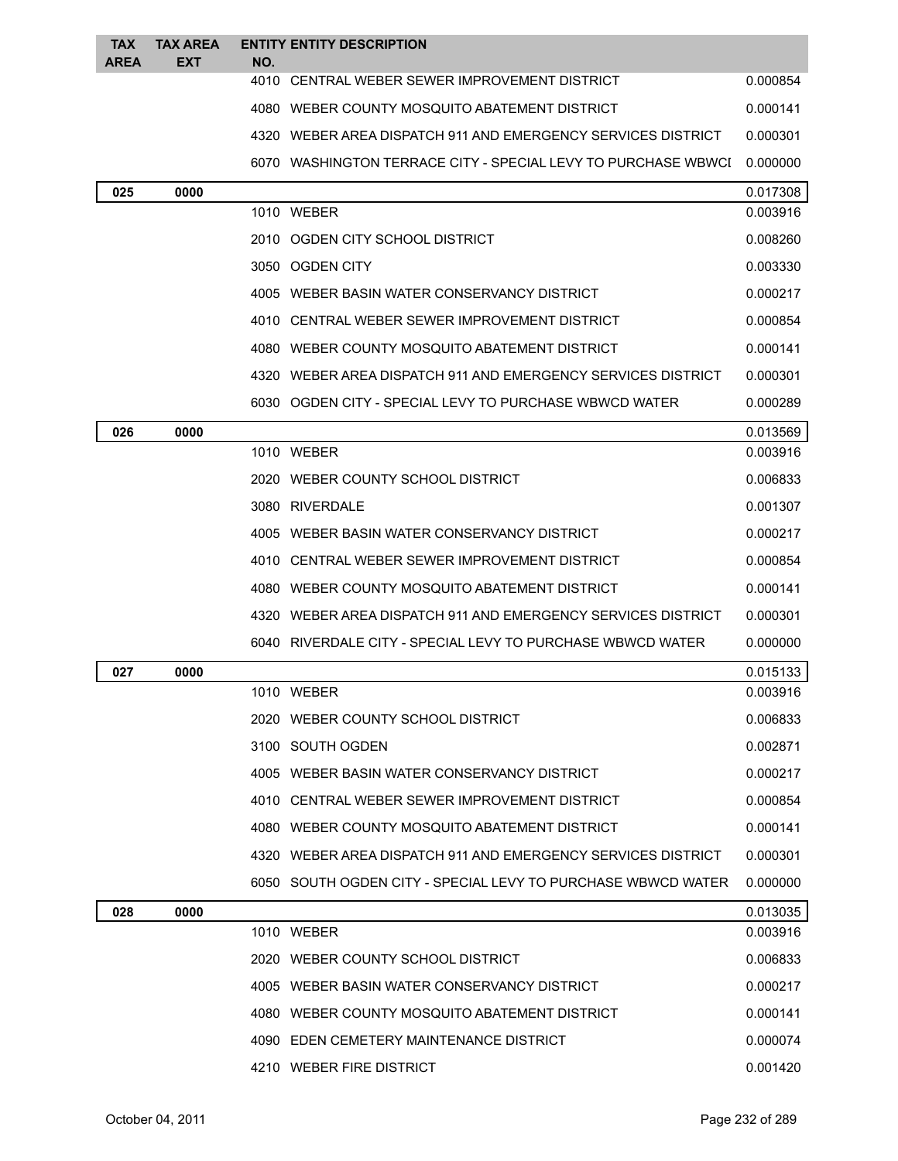| <b>TAX</b>  | <b>TAX AREA</b> |     | <b>ENTITY ENTITY DESCRIPTION</b>                              |          |
|-------------|-----------------|-----|---------------------------------------------------------------|----------|
| <b>AREA</b> | EXT             | NO. | 4010 CENTRAL WEBER SEWER IMPROVEMENT DISTRICT                 | 0.000854 |
|             |                 |     | 4080 WEBER COUNTY MOSQUITO ABATEMENT DISTRICT                 | 0.000141 |
|             |                 |     | 4320 WEBER AREA DISPATCH 911 AND EMERGENCY SERVICES DISTRICT  | 0.000301 |
|             |                 |     | 6070 WASHINGTON TERRACE CITY - SPECIAL LEVY TO PURCHASE WBWCI | 0.000000 |
| 025         | 0000            |     |                                                               | 0.017308 |
|             |                 |     | 1010 WEBER                                                    | 0.003916 |
|             |                 |     | 2010 OGDEN CITY SCHOOL DISTRICT                               | 0.008260 |
|             |                 |     | 3050 OGDEN CITY                                               | 0.003330 |
|             |                 |     | 4005 WEBER BASIN WATER CONSERVANCY DISTRICT                   | 0.000217 |
|             |                 |     | 4010 CENTRAL WEBER SEWER IMPROVEMENT DISTRICT                 | 0.000854 |
|             |                 |     | 4080 WEBER COUNTY MOSQUITO ABATEMENT DISTRICT                 | 0.000141 |
|             |                 |     | 4320 WEBER AREA DISPATCH 911 AND EMERGENCY SERVICES DISTRICT  | 0.000301 |
|             |                 |     | 6030 OGDEN CITY - SPECIAL LEVY TO PURCHASE WBWCD WATER        | 0.000289 |
| 026         | 0000            |     |                                                               | 0.013569 |
|             |                 |     | 1010 WEBER                                                    | 0.003916 |
|             |                 |     | 2020 WEBER COUNTY SCHOOL DISTRICT                             | 0.006833 |
|             |                 |     | 3080 RIVERDALE                                                | 0.001307 |
|             |                 |     | 4005 WEBER BASIN WATER CONSERVANCY DISTRICT                   | 0.000217 |
|             |                 |     | 4010 CENTRAL WEBER SEWER IMPROVEMENT DISTRICT                 | 0.000854 |
|             |                 |     | 4080 WEBER COUNTY MOSQUITO ABATEMENT DISTRICT                 | 0.000141 |
|             |                 |     | 4320 WEBER AREA DISPATCH 911 AND EMERGENCY SERVICES DISTRICT  | 0.000301 |
|             |                 |     | 6040 RIVERDALE CITY - SPECIAL LEVY TO PURCHASE WBWCD WATER    | 0.000000 |
| 027         | 0000            |     |                                                               | 0.015133 |
|             |                 |     | 1010 WEBER                                                    | 0.003916 |
|             |                 |     | 2020 WEBER COUNTY SCHOOL DISTRICT                             | 0.006833 |
|             |                 |     | 3100 SOUTH OGDEN                                              | 0.002871 |
|             |                 |     | 4005 WEBER BASIN WATER CONSERVANCY DISTRICT                   | 0.000217 |
|             |                 |     | 4010 CENTRAL WEBER SEWER IMPROVEMENT DISTRICT                 | 0.000854 |
|             |                 |     | 4080 WEBER COUNTY MOSQUITO ABATEMENT DISTRICT                 | 0.000141 |
|             |                 |     | 4320 WEBER AREA DISPATCH 911 AND EMERGENCY SERVICES DISTRICT  | 0.000301 |
|             |                 |     | 6050 SOUTH OGDEN CITY - SPECIAL LEVY TO PURCHASE WBWCD WATER  | 0.000000 |
| 028         | 0000            |     |                                                               | 0.013035 |
|             |                 |     | 1010 WEBER                                                    | 0.003916 |
|             |                 |     | 2020 WEBER COUNTY SCHOOL DISTRICT                             | 0.006833 |
|             |                 |     | 4005 WEBER BASIN WATER CONSERVANCY DISTRICT                   | 0.000217 |
|             |                 |     | 4080 WEBER COUNTY MOSQUITO ABATEMENT DISTRICT                 | 0.000141 |
|             |                 |     | 4090 EDEN CEMETERY MAINTENANCE DISTRICT                       | 0.000074 |
|             |                 |     | 4210 WEBER FIRE DISTRICT                                      | 0.001420 |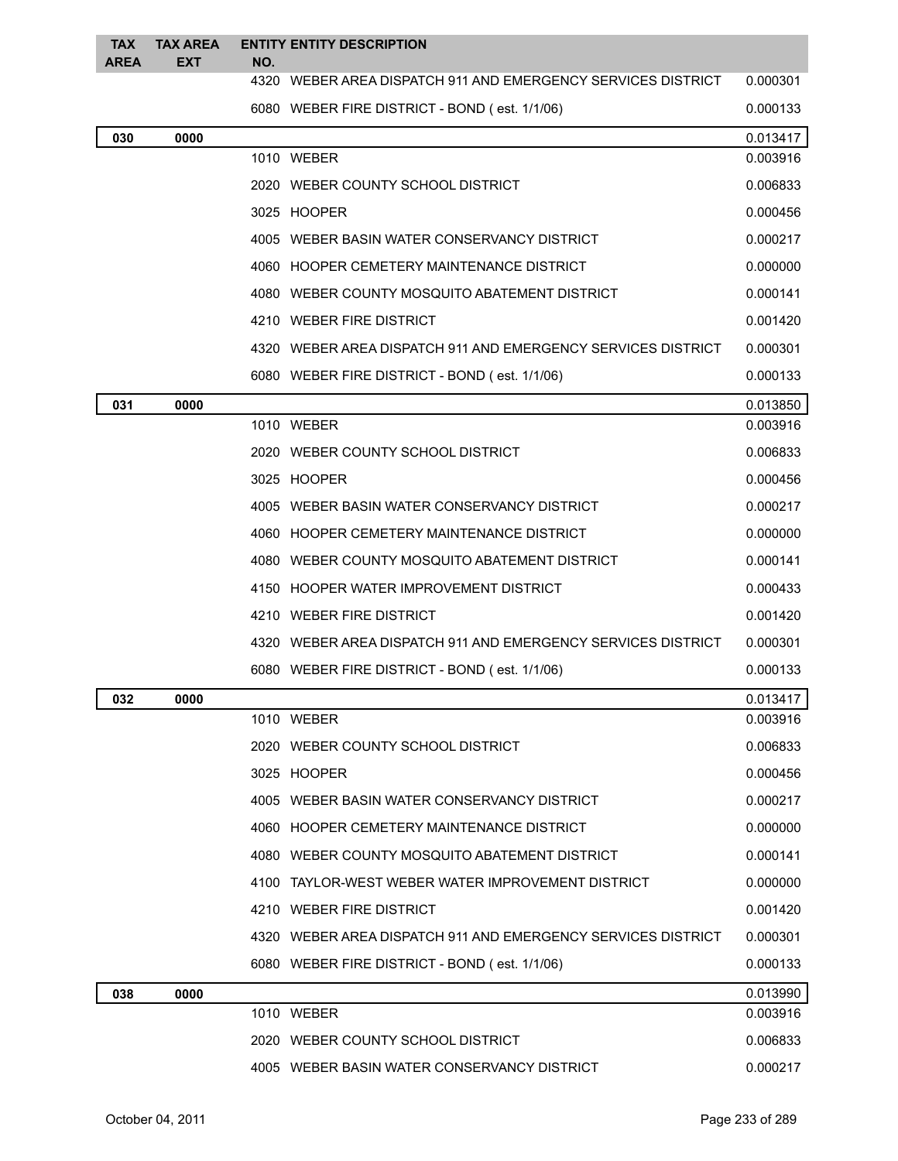| <b>TAX</b><br><b>AREA</b> | <b>TAX AREA</b><br>EXT | <b>ENTITY ENTITY DESCRIPTION</b><br>NO.                      |          |
|---------------------------|------------------------|--------------------------------------------------------------|----------|
|                           |                        | 4320 WEBER AREA DISPATCH 911 AND EMERGENCY SERVICES DISTRICT | 0.000301 |
|                           |                        | 6080 WEBER FIRE DISTRICT - BOND (est. 1/1/06)                | 0.000133 |
| 030                       | 0000                   |                                                              | 0.013417 |
|                           |                        | 1010 WEBER                                                   | 0.003916 |
|                           |                        | 2020 WEBER COUNTY SCHOOL DISTRICT                            | 0.006833 |
|                           |                        | 3025 HOOPER                                                  | 0.000456 |
|                           |                        | 4005 WEBER BASIN WATER CONSERVANCY DISTRICT                  | 0.000217 |
|                           |                        | 4060 HOOPER CEMETERY MAINTENANCE DISTRICT                    | 0.000000 |
|                           |                        | 4080 WEBER COUNTY MOSQUITO ABATEMENT DISTRICT                | 0.000141 |
|                           |                        | 4210 WEBER FIRE DISTRICT                                     | 0.001420 |
|                           |                        | 4320 WEBER AREA DISPATCH 911 AND EMERGENCY SERVICES DISTRICT | 0.000301 |
|                           |                        | 6080 WEBER FIRE DISTRICT - BOND (est. 1/1/06)                | 0.000133 |
| 031                       | 0000                   |                                                              | 0.013850 |
|                           |                        | 1010 WEBER                                                   | 0.003916 |
|                           |                        | 2020 WEBER COUNTY SCHOOL DISTRICT                            | 0.006833 |
|                           |                        | 3025 HOOPER                                                  | 0.000456 |
|                           |                        | 4005 WEBER BASIN WATER CONSERVANCY DISTRICT                  | 0.000217 |
|                           |                        | 4060 HOOPER CEMETERY MAINTENANCE DISTRICT                    | 0.000000 |
|                           |                        | 4080 WEBER COUNTY MOSQUITO ABATEMENT DISTRICT                | 0.000141 |
|                           |                        | 4150 HOOPER WATER IMPROVEMENT DISTRICT                       | 0.000433 |
|                           |                        | 4210 WEBER FIRE DISTRICT                                     | 0.001420 |
|                           |                        | 4320 WEBER AREA DISPATCH 911 AND EMERGENCY SERVICES DISTRICT | 0.000301 |
|                           |                        | 6080 WEBER FIRE DISTRICT - BOND (est. 1/1/06)                | 0.000133 |
| 032                       | 0000                   |                                                              | 0.013417 |
|                           |                        | 1010 WEBER                                                   | 0.003916 |
|                           |                        | 2020 WEBER COUNTY SCHOOL DISTRICT                            | 0.006833 |
|                           |                        | 3025 HOOPER                                                  | 0.000456 |
|                           |                        | 4005 WEBER BASIN WATER CONSERVANCY DISTRICT                  | 0.000217 |
|                           |                        | 4060 HOOPER CEMETERY MAINTENANCE DISTRICT                    | 0.000000 |
|                           |                        | 4080 WEBER COUNTY MOSQUITO ABATEMENT DISTRICT                | 0.000141 |
|                           |                        | 4100 TAYLOR-WEST WEBER WATER IMPROVEMENT DISTRICT            | 0.000000 |
|                           |                        | 4210 WEBER FIRE DISTRICT                                     | 0.001420 |
|                           |                        | 4320 WEBER AREA DISPATCH 911 AND EMERGENCY SERVICES DISTRICT | 0.000301 |
|                           |                        | 6080 WEBER FIRE DISTRICT - BOND (est. 1/1/06)                | 0.000133 |
| 038                       | 0000                   |                                                              | 0.013990 |
|                           |                        | 1010 WEBER                                                   | 0.003916 |
|                           |                        | 2020 WEBER COUNTY SCHOOL DISTRICT                            | 0.006833 |
|                           |                        | 4005 WEBER BASIN WATER CONSERVANCY DISTRICT                  | 0.000217 |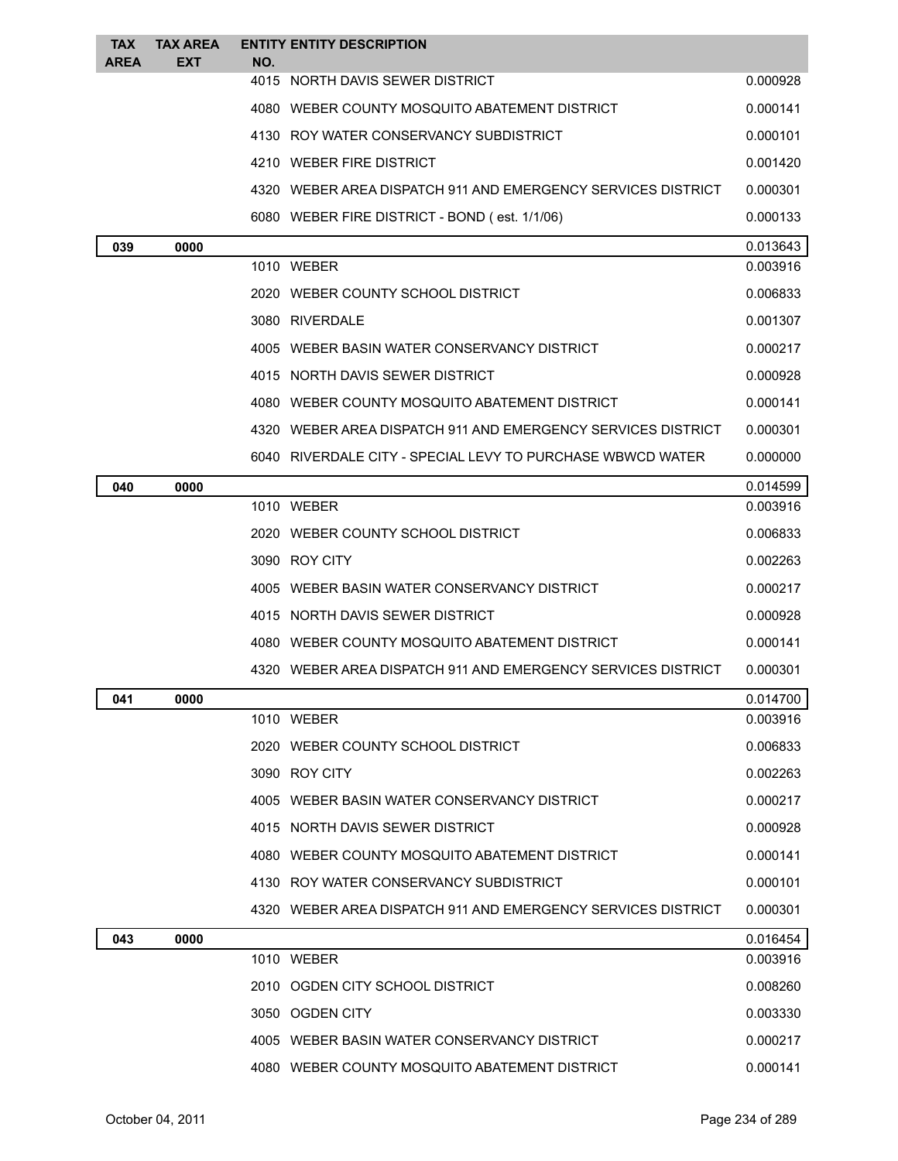| <b>TAX</b>  | <b>TAX AREA</b> |     | <b>ENTITY ENTITY DESCRIPTION</b>                             |          |
|-------------|-----------------|-----|--------------------------------------------------------------|----------|
| <b>AREA</b> | <b>EXT</b>      | NO. | 4015 NORTH DAVIS SEWER DISTRICT                              | 0.000928 |
|             |                 |     | 4080 WEBER COUNTY MOSQUITO ABATEMENT DISTRICT                | 0.000141 |
|             |                 |     | 4130 ROY WATER CONSERVANCY SUBDISTRICT                       | 0.000101 |
|             |                 |     | 4210 WEBER FIRE DISTRICT                                     | 0.001420 |
|             |                 |     | 4320 WEBER AREA DISPATCH 911 AND EMERGENCY SERVICES DISTRICT | 0.000301 |
|             |                 |     | 6080 WEBER FIRE DISTRICT - BOND (est. 1/1/06)                | 0.000133 |
| 039         | 0000            |     |                                                              | 0.013643 |
|             |                 |     | 1010 WEBER                                                   | 0.003916 |
|             |                 |     | 2020 WEBER COUNTY SCHOOL DISTRICT                            | 0.006833 |
|             |                 |     | 3080 RIVERDALE                                               | 0.001307 |
|             |                 |     | 4005 WEBER BASIN WATER CONSERVANCY DISTRICT                  | 0.000217 |
|             |                 |     | 4015 NORTH DAVIS SEWER DISTRICT                              | 0.000928 |
|             |                 |     | 4080 WEBER COUNTY MOSQUITO ABATEMENT DISTRICT                | 0.000141 |
|             |                 |     | 4320 WEBER AREA DISPATCH 911 AND EMERGENCY SERVICES DISTRICT | 0.000301 |
|             |                 |     | 6040 RIVERDALE CITY - SPECIAL LEVY TO PURCHASE WBWCD WATER   | 0.000000 |
| 040         | 0000            |     |                                                              | 0.014599 |
|             |                 |     | 1010 WEBER                                                   | 0.003916 |
|             |                 |     | 2020 WEBER COUNTY SCHOOL DISTRICT                            | 0.006833 |
|             |                 |     | 3090 ROY CITY                                                | 0.002263 |
|             |                 |     | 4005 WEBER BASIN WATER CONSERVANCY DISTRICT                  | 0.000217 |
|             |                 |     | 4015 NORTH DAVIS SEWER DISTRICT                              | 0.000928 |
|             |                 |     | 4080 WEBER COUNTY MOSQUITO ABATEMENT DISTRICT                | 0.000141 |
|             |                 |     | 4320 WEBER AREA DISPATCH 911 AND EMERGENCY SERVICES DISTRICT | 0.000301 |
| 041         | 0000            |     |                                                              | 0.014700 |
|             |                 |     | 1010 WEBER                                                   | 0.003916 |
|             |                 |     | 2020 WEBER COUNTY SCHOOL DISTRICT                            | 0.006833 |
|             |                 |     | 3090 ROY CITY                                                | 0.002263 |
|             |                 |     | 4005 WEBER BASIN WATER CONSERVANCY DISTRICT                  | 0.000217 |
|             |                 |     | 4015 NORTH DAVIS SEWER DISTRICT                              | 0.000928 |
|             |                 |     | 4080 WEBER COUNTY MOSQUITO ABATEMENT DISTRICT                | 0.000141 |
|             |                 |     | 4130 ROY WATER CONSERVANCY SUBDISTRICT                       | 0.000101 |
|             |                 |     | 4320 WEBER AREA DISPATCH 911 AND EMERGENCY SERVICES DISTRICT | 0.000301 |
| 043         | 0000            |     |                                                              | 0.016454 |
|             |                 |     | 1010 WEBER                                                   | 0.003916 |
|             |                 |     | 2010 OGDEN CITY SCHOOL DISTRICT                              | 0.008260 |
|             |                 |     | 3050 OGDEN CITY                                              | 0.003330 |
|             |                 |     | 4005 WEBER BASIN WATER CONSERVANCY DISTRICT                  | 0.000217 |
|             |                 |     | 4080 WEBER COUNTY MOSQUITO ABATEMENT DISTRICT                | 0.000141 |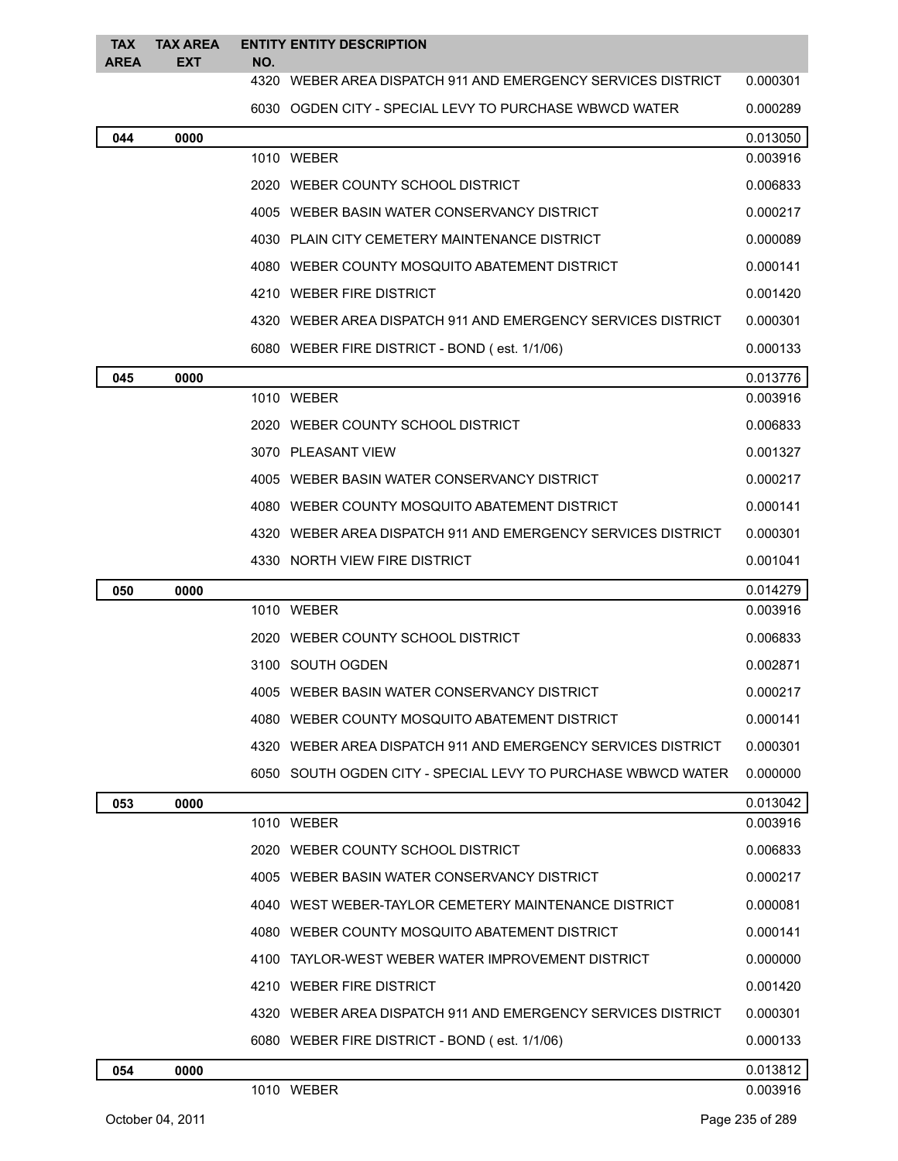| <b>TAX</b><br><b>AREA</b> | <b>TAX AREA</b><br><b>EXT</b> | <b>ENTITY ENTITY DESCRIPTION</b><br>NO.                      |          |
|---------------------------|-------------------------------|--------------------------------------------------------------|----------|
|                           |                               | 4320 WEBER AREA DISPATCH 911 AND EMERGENCY SERVICES DISTRICT | 0.000301 |
|                           |                               | 6030 OGDEN CITY - SPECIAL LEVY TO PURCHASE WBWCD WATER       | 0.000289 |
| 044                       | 0000                          |                                                              | 0.013050 |
|                           |                               | 1010 WEBER                                                   | 0.003916 |
|                           |                               | 2020 WEBER COUNTY SCHOOL DISTRICT                            | 0.006833 |
|                           |                               | 4005 WEBER BASIN WATER CONSERVANCY DISTRICT                  | 0.000217 |
|                           |                               | 4030 PLAIN CITY CEMETERY MAINTENANCE DISTRICT                | 0.000089 |
|                           |                               | 4080 WEBER COUNTY MOSQUITO ABATEMENT DISTRICT                | 0.000141 |
|                           |                               | 4210 WEBER FIRE DISTRICT                                     | 0.001420 |
|                           |                               | 4320 WEBER AREA DISPATCH 911 AND EMERGENCY SERVICES DISTRICT | 0.000301 |
|                           |                               | 6080 WEBER FIRE DISTRICT - BOND (est. 1/1/06)                | 0.000133 |
| 045                       | 0000                          |                                                              | 0.013776 |
|                           |                               | 1010 WEBER                                                   | 0.003916 |
|                           |                               | 2020 WEBER COUNTY SCHOOL DISTRICT                            | 0.006833 |
|                           |                               | 3070 PLEASANT VIEW                                           | 0.001327 |
|                           |                               | 4005 WEBER BASIN WATER CONSERVANCY DISTRICT                  | 0.000217 |
|                           |                               | 4080 WEBER COUNTY MOSQUITO ABATEMENT DISTRICT                | 0.000141 |
|                           |                               | 4320 WEBER AREA DISPATCH 911 AND EMERGENCY SERVICES DISTRICT | 0.000301 |
|                           |                               | 4330 NORTH VIEW FIRE DISTRICT                                | 0.001041 |
| 050                       | 0000                          |                                                              | 0.014279 |
|                           |                               | 1010 WEBER                                                   | 0.003916 |
|                           |                               | 2020 WEBER COUNTY SCHOOL DISTRICT                            | 0.006833 |
|                           |                               | 3100 SOUTH OGDEN                                             | 0.002871 |
|                           |                               | 4005 WEBER BASIN WATER CONSERVANCY DISTRICT                  | 0.000217 |
|                           |                               | 4080 WEBER COUNTY MOSQUITO ABATEMENT DISTRICT                | 0.000141 |
|                           |                               | 4320 WEBER AREA DISPATCH 911 AND EMERGENCY SERVICES DISTRICT | 0.000301 |
|                           |                               | 6050 SOUTH OGDEN CITY - SPECIAL LEVY TO PURCHASE WBWCD WATER | 0.000000 |
| 053                       | 0000                          |                                                              | 0.013042 |
|                           |                               | 1010 WEBER                                                   | 0.003916 |
|                           |                               | 2020 WEBER COUNTY SCHOOL DISTRICT                            | 0.006833 |
|                           |                               | 4005 WEBER BASIN WATER CONSERVANCY DISTRICT                  | 0.000217 |
|                           |                               | 4040 WEST WEBER-TAYLOR CEMETERY MAINTENANCE DISTRICT         | 0.000081 |
|                           |                               | 4080 WEBER COUNTY MOSQUITO ABATEMENT DISTRICT                | 0.000141 |
|                           |                               | 4100 TAYLOR-WEST WEBER WATER IMPROVEMENT DISTRICT            | 0.000000 |
|                           |                               | 4210 WEBER FIRE DISTRICT                                     | 0.001420 |
|                           |                               | 4320 WEBER AREA DISPATCH 911 AND EMERGENCY SERVICES DISTRICT | 0.000301 |
|                           |                               | 6080 WEBER FIRE DISTRICT - BOND (est. 1/1/06)                | 0.000133 |
| 054                       | 0000                          |                                                              | 0.013812 |
|                           |                               | 1010 WEBER                                                   | 0.003916 |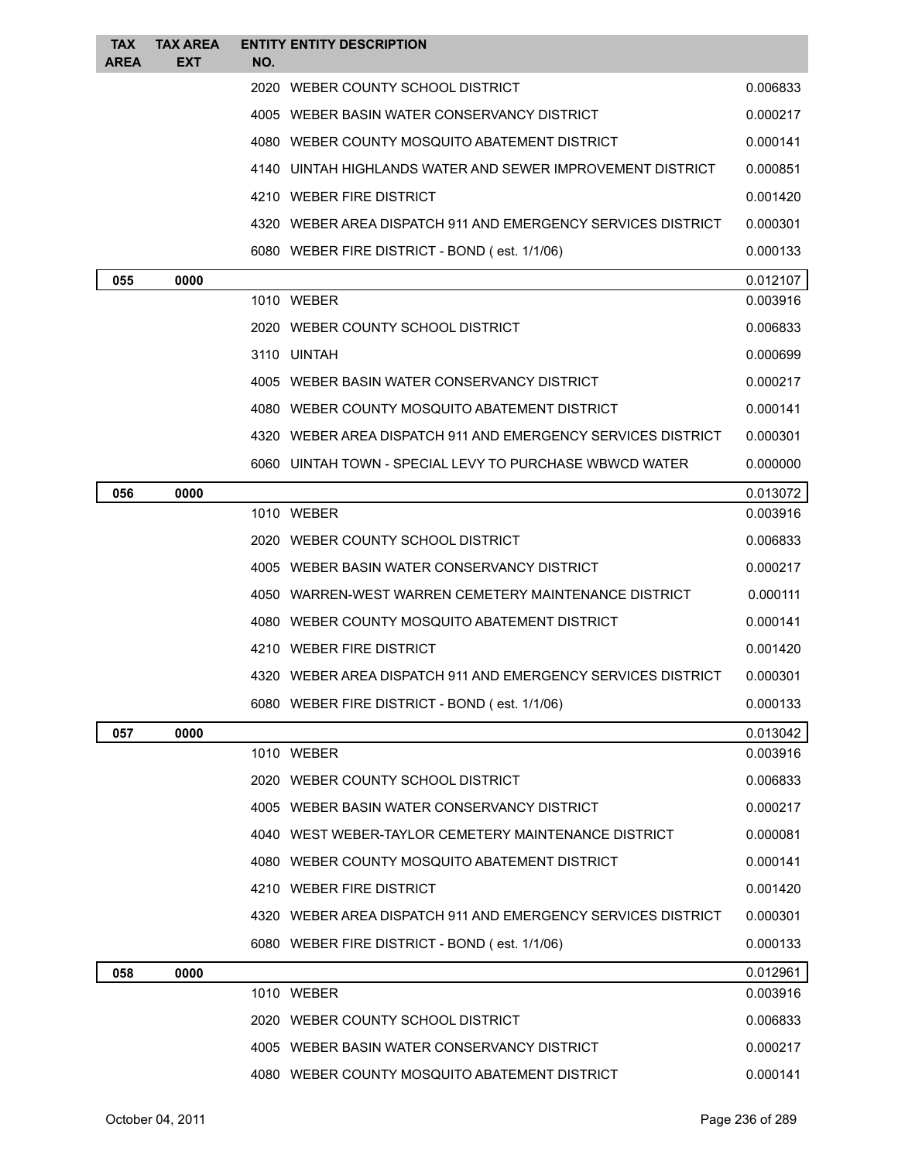| <b>TAX</b><br><b>AREA</b> | <b>TAX AREA</b><br><b>EXT</b> | <b>ENTITY ENTITY DESCRIPTION</b><br>NO.                      |          |
|---------------------------|-------------------------------|--------------------------------------------------------------|----------|
|                           |                               | 2020 WEBER COUNTY SCHOOL DISTRICT                            | 0.006833 |
|                           |                               | 4005 WEBER BASIN WATER CONSERVANCY DISTRICT                  | 0.000217 |
|                           |                               | 4080 WEBER COUNTY MOSQUITO ABATEMENT DISTRICT                | 0.000141 |
|                           |                               | 4140 UINTAH HIGHLANDS WATER AND SEWER IMPROVEMENT DISTRICT   | 0.000851 |
|                           |                               | 4210 WEBER FIRE DISTRICT                                     | 0.001420 |
|                           |                               | 4320 WEBER AREA DISPATCH 911 AND EMERGENCY SERVICES DISTRICT | 0.000301 |
|                           |                               | 6080 WEBER FIRE DISTRICT - BOND (est. 1/1/06)                | 0.000133 |
| 055                       | 0000                          |                                                              | 0.012107 |
|                           |                               | 1010 WEBER                                                   | 0.003916 |
|                           |                               | 2020 WEBER COUNTY SCHOOL DISTRICT                            | 0.006833 |
|                           |                               | 3110 UINTAH                                                  | 0.000699 |
|                           |                               | 4005 WEBER BASIN WATER CONSERVANCY DISTRICT                  | 0.000217 |
|                           |                               | 4080 WEBER COUNTY MOSQUITO ABATEMENT DISTRICT                | 0.000141 |
|                           |                               | 4320 WEBER AREA DISPATCH 911 AND EMERGENCY SERVICES DISTRICT | 0.000301 |
|                           |                               | 6060 UINTAH TOWN - SPECIAL LEVY TO PURCHASE WBWCD WATER      | 0.000000 |
| 056                       | 0000                          |                                                              | 0.013072 |
|                           |                               | 1010 WEBER                                                   | 0.003916 |
|                           |                               | 2020 WEBER COUNTY SCHOOL DISTRICT                            | 0.006833 |
|                           |                               | 4005 WEBER BASIN WATER CONSERVANCY DISTRICT                  | 0.000217 |
|                           |                               | 4050 WARREN-WEST WARREN CEMETERY MAINTENANCE DISTRICT        | 0.000111 |
|                           |                               | 4080 WEBER COUNTY MOSQUITO ABATEMENT DISTRICT                | 0.000141 |
|                           |                               | 4210 WEBER FIRE DISTRICT                                     | 0.001420 |
|                           |                               | 4320 WEBER AREA DISPATCH 911 AND EMERGENCY SERVICES DISTRICT | 0.000301 |
|                           |                               | 6080 WEBER FIRE DISTRICT - BOND (est. 1/1/06)                | 0.000133 |
| 057                       | 0000                          |                                                              | 0.013042 |
|                           |                               | 1010 WEBER                                                   | 0.003916 |
|                           |                               | 2020 WEBER COUNTY SCHOOL DISTRICT                            | 0.006833 |
|                           |                               | 4005 WEBER BASIN WATER CONSERVANCY DISTRICT                  | 0.000217 |
|                           |                               | 4040 WEST WEBER-TAYLOR CEMETERY MAINTENANCE DISTRICT         | 0.000081 |
|                           |                               | 4080 WEBER COUNTY MOSQUITO ABATEMENT DISTRICT                | 0.000141 |
|                           |                               | 4210 WEBER FIRE DISTRICT                                     | 0.001420 |
|                           |                               | 4320 WEBER AREA DISPATCH 911 AND EMERGENCY SERVICES DISTRICT | 0.000301 |
|                           |                               | 6080 WEBER FIRE DISTRICT - BOND (est. 1/1/06)                | 0.000133 |
| 058                       | 0000                          |                                                              | 0.012961 |
|                           |                               | 1010 WEBER                                                   | 0.003916 |
|                           |                               | 2020 WEBER COUNTY SCHOOL DISTRICT                            | 0.006833 |
|                           |                               | 4005 WEBER BASIN WATER CONSERVANCY DISTRICT                  | 0.000217 |
|                           |                               | 4080 WEBER COUNTY MOSQUITO ABATEMENT DISTRICT                | 0.000141 |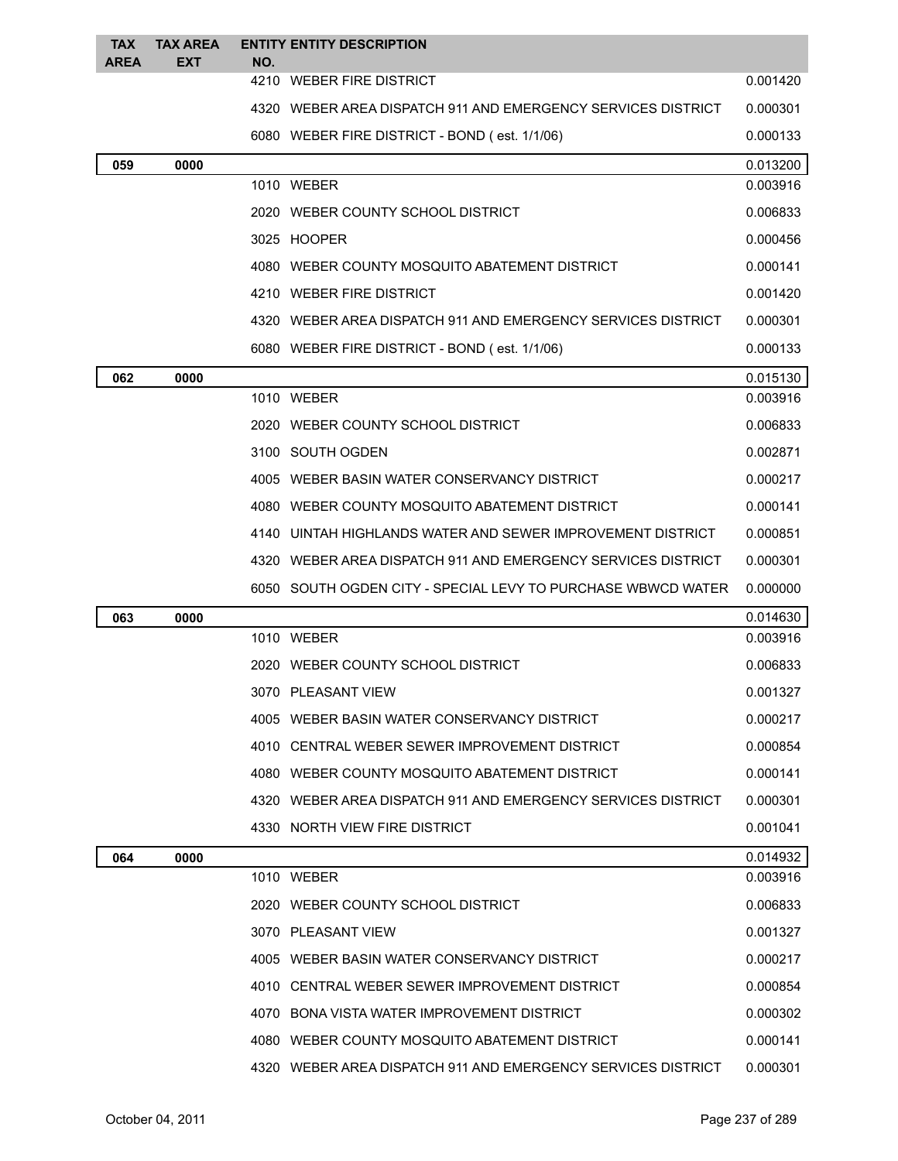| <b>TAX</b><br><b>AREA</b> | <b>TAX AREA</b><br><b>EXT</b> | NO. | <b>ENTITY ENTITY DESCRIPTION</b>                             |          |
|---------------------------|-------------------------------|-----|--------------------------------------------------------------|----------|
|                           |                               |     | 4210 WEBER FIRE DISTRICT                                     | 0.001420 |
|                           |                               |     | 4320 WEBER AREA DISPATCH 911 AND EMERGENCY SERVICES DISTRICT | 0.000301 |
|                           |                               |     | 6080 WEBER FIRE DISTRICT - BOND (est. 1/1/06)                | 0.000133 |
| 059                       | 0000                          |     |                                                              | 0.013200 |
|                           |                               |     | 1010 WEBER                                                   | 0.003916 |
|                           |                               |     | 2020 WEBER COUNTY SCHOOL DISTRICT                            | 0.006833 |
|                           |                               |     | 3025 HOOPER                                                  | 0.000456 |
|                           |                               |     | 4080 WEBER COUNTY MOSQUITO ABATEMENT DISTRICT                | 0.000141 |
|                           |                               |     | 4210 WEBER FIRE DISTRICT                                     | 0.001420 |
|                           |                               |     | 4320 WEBER AREA DISPATCH 911 AND EMERGENCY SERVICES DISTRICT | 0.000301 |
|                           |                               |     | 6080 WEBER FIRE DISTRICT - BOND (est. 1/1/06)                | 0.000133 |
| 062                       | 0000                          |     |                                                              | 0.015130 |
|                           |                               |     | 1010 WEBER                                                   | 0.003916 |
|                           |                               |     | 2020 WEBER COUNTY SCHOOL DISTRICT                            | 0.006833 |
|                           |                               |     | 3100 SOUTH OGDEN                                             | 0.002871 |
|                           |                               |     | 4005 WEBER BASIN WATER CONSERVANCY DISTRICT                  | 0.000217 |
|                           |                               |     | 4080 WEBER COUNTY MOSQUITO ABATEMENT DISTRICT                | 0.000141 |
|                           |                               |     | 4140 UINTAH HIGHLANDS WATER AND SEWER IMPROVEMENT DISTRICT   | 0.000851 |
|                           |                               |     | 4320 WEBER AREA DISPATCH 911 AND EMERGENCY SERVICES DISTRICT | 0.000301 |
|                           |                               |     | 6050 SOUTH OGDEN CITY - SPECIAL LEVY TO PURCHASE WBWCD WATER | 0.000000 |
| 063                       | 0000                          |     |                                                              | 0.014630 |
|                           |                               |     | 1010 WEBER                                                   | 0.003916 |
|                           |                               |     | 2020 WEBER COUNTY SCHOOL DISTRICT                            | 0.006833 |
|                           |                               |     | 3070 PLEASANT VIEW                                           | 0.001327 |
|                           |                               |     | 4005 WEBER BASIN WATER CONSERVANCY DISTRICT                  | 0.000217 |
|                           |                               |     | 4010 CENTRAL WEBER SEWER IMPROVEMENT DISTRICT                | 0.000854 |
|                           |                               |     | 4080 WEBER COUNTY MOSQUITO ABATEMENT DISTRICT                | 0.000141 |
|                           |                               |     | 4320 WEBER AREA DISPATCH 911 AND EMERGENCY SERVICES DISTRICT | 0.000301 |
|                           |                               |     | 4330 NORTH VIEW FIRE DISTRICT                                | 0.001041 |
| 064                       | 0000                          |     |                                                              | 0.014932 |
|                           |                               |     | 1010 WEBER                                                   | 0.003916 |
|                           |                               |     | 2020 WEBER COUNTY SCHOOL DISTRICT                            | 0.006833 |
|                           |                               |     | 3070 PLEASANT VIEW                                           | 0.001327 |
|                           |                               |     | 4005 WEBER BASIN WATER CONSERVANCY DISTRICT                  | 0.000217 |
|                           |                               |     | 4010 CENTRAL WEBER SEWER IMPROVEMENT DISTRICT                | 0.000854 |
|                           |                               |     | 4070 BONA VISTA WATER IMPROVEMENT DISTRICT                   | 0.000302 |
|                           |                               |     | 4080 WEBER COUNTY MOSQUITO ABATEMENT DISTRICT                | 0.000141 |
|                           |                               |     | 4320 WEBER AREA DISPATCH 911 AND EMERGENCY SERVICES DISTRICT | 0.000301 |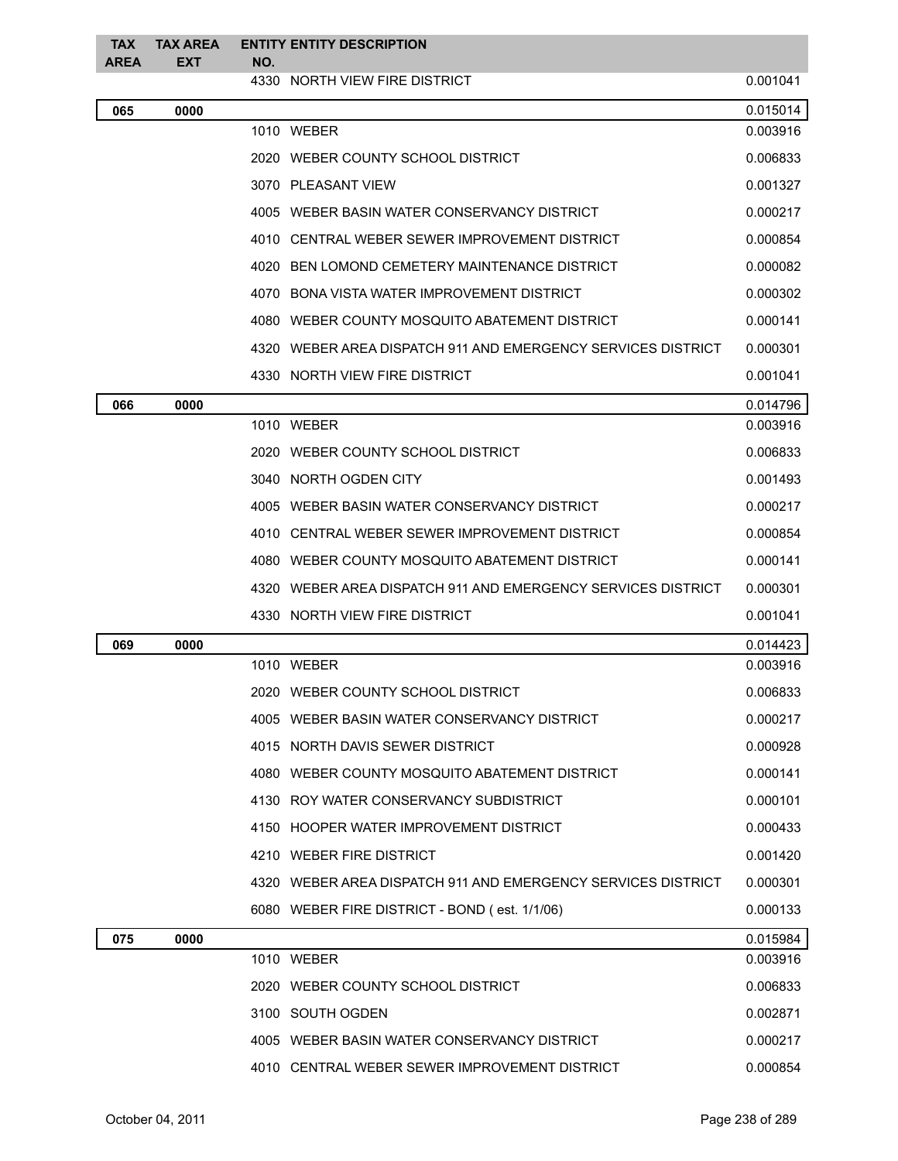| <b>TAX</b><br><b>AREA</b> | <b>TAX AREA</b><br>EXT | NO. | <b>ENTITY ENTITY DESCRIPTION</b>                             |          |
|---------------------------|------------------------|-----|--------------------------------------------------------------|----------|
|                           |                        |     | 4330 NORTH VIEW FIRE DISTRICT                                | 0.001041 |
| 065                       | 0000                   |     |                                                              | 0.015014 |
|                           |                        |     | 1010 WEBER                                                   | 0.003916 |
|                           |                        |     | 2020 WEBER COUNTY SCHOOL DISTRICT                            | 0.006833 |
|                           |                        |     | 3070 PLEASANT VIEW                                           | 0.001327 |
|                           |                        |     | 4005 WEBER BASIN WATER CONSERVANCY DISTRICT                  | 0.000217 |
|                           |                        |     | 4010 CENTRAL WEBER SEWER IMPROVEMENT DISTRICT                | 0.000854 |
|                           |                        |     | 4020 BEN LOMOND CEMETERY MAINTENANCE DISTRICT                | 0.000082 |
|                           |                        |     | 4070 BONA VISTA WATER IMPROVEMENT DISTRICT                   | 0.000302 |
|                           |                        |     | 4080 WEBER COUNTY MOSQUITO ABATEMENT DISTRICT                | 0.000141 |
|                           |                        |     | 4320 WEBER AREA DISPATCH 911 AND EMERGENCY SERVICES DISTRICT | 0.000301 |
|                           |                        |     | 4330 NORTH VIEW FIRE DISTRICT                                | 0.001041 |
| 066                       | 0000                   |     |                                                              | 0.014796 |
|                           |                        |     | 1010 WEBER                                                   | 0.003916 |
|                           |                        |     | 2020 WEBER COUNTY SCHOOL DISTRICT                            | 0.006833 |
|                           |                        |     | 3040 NORTH OGDEN CITY                                        | 0.001493 |
|                           |                        |     | 4005 WEBER BASIN WATER CONSERVANCY DISTRICT                  | 0.000217 |
|                           |                        |     | 4010 CENTRAL WEBER SEWER IMPROVEMENT DISTRICT                | 0.000854 |
|                           |                        |     | 4080 WEBER COUNTY MOSQUITO ABATEMENT DISTRICT                | 0.000141 |
|                           |                        |     | 4320 WEBER AREA DISPATCH 911 AND EMERGENCY SERVICES DISTRICT | 0.000301 |
|                           |                        |     | 4330 NORTH VIEW FIRE DISTRICT                                | 0.001041 |
| 069                       | 0000                   |     |                                                              | 0.014423 |
|                           |                        |     | 1010 WEBER                                                   | 0.003916 |
|                           |                        |     | 2020 WEBER COUNTY SCHOOL DISTRICT                            | 0.006833 |
|                           |                        |     | 4005 WEBER BASIN WATER CONSERVANCY DISTRICT                  | 0.000217 |
|                           |                        |     | 4015 NORTH DAVIS SEWER DISTRICT                              | 0.000928 |
|                           |                        |     | 4080 WEBER COUNTY MOSQUITO ABATEMENT DISTRICT                | 0.000141 |
|                           |                        |     | 4130 ROY WATER CONSERVANCY SUBDISTRICT                       | 0.000101 |
|                           |                        |     | 4150 HOOPER WATER IMPROVEMENT DISTRICT                       | 0.000433 |
|                           |                        |     | 4210 WEBER FIRE DISTRICT                                     | 0.001420 |
|                           |                        |     | 4320 WEBER AREA DISPATCH 911 AND EMERGENCY SERVICES DISTRICT | 0.000301 |
|                           |                        |     | 6080 WEBER FIRE DISTRICT - BOND (est. 1/1/06)                | 0.000133 |
| 075                       | 0000                   |     |                                                              | 0.015984 |
|                           |                        |     | 1010 WEBER                                                   | 0.003916 |
|                           |                        |     | 2020 WEBER COUNTY SCHOOL DISTRICT                            | 0.006833 |
|                           |                        |     | 3100 SOUTH OGDEN                                             | 0.002871 |
|                           |                        |     | 4005 WEBER BASIN WATER CONSERVANCY DISTRICT                  | 0.000217 |
|                           |                        |     | 4010 CENTRAL WEBER SEWER IMPROVEMENT DISTRICT                | 0.000854 |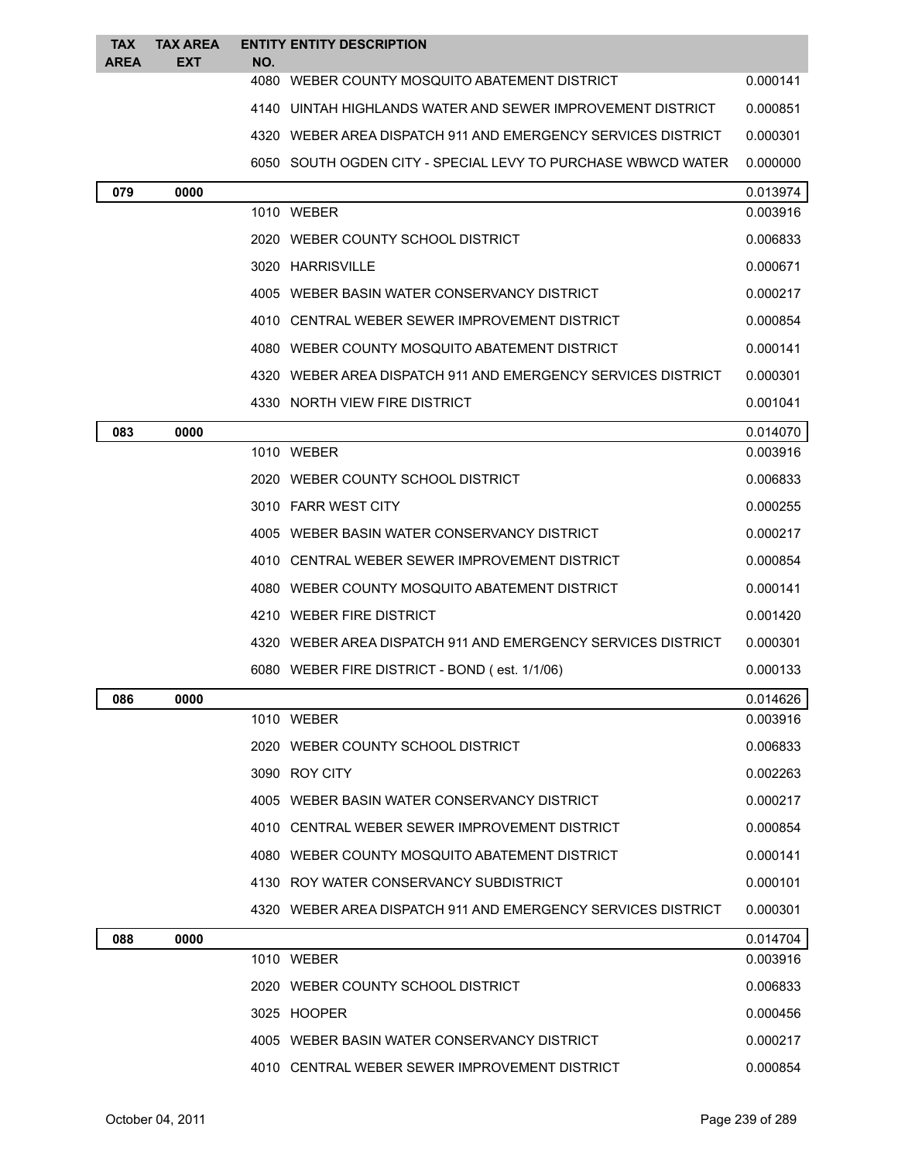| <b>TAX</b>  | <b>TAX AREA</b> |     | <b>ENTITY ENTITY DESCRIPTION</b>                             |          |
|-------------|-----------------|-----|--------------------------------------------------------------|----------|
| <b>AREA</b> | <b>EXT</b>      | NO. |                                                              |          |
|             |                 |     | 4080 WEBER COUNTY MOSQUITO ABATEMENT DISTRICT                | 0.000141 |
|             |                 |     | 4140 UINTAH HIGHLANDS WATER AND SEWER IMPROVEMENT DISTRICT   | 0.000851 |
|             |                 |     | 4320 WEBER AREA DISPATCH 911 AND EMERGENCY SERVICES DISTRICT | 0.000301 |
|             |                 |     | 6050 SOUTH OGDEN CITY - SPECIAL LEVY TO PURCHASE WBWCD WATER | 0.000000 |
| 079         | 0000            |     |                                                              | 0.013974 |
|             |                 |     | 1010 WEBER                                                   | 0.003916 |
|             |                 |     | 2020 WEBER COUNTY SCHOOL DISTRICT                            | 0.006833 |
|             |                 |     | 3020 HARRISVILLE                                             | 0.000671 |
|             |                 |     | 4005 WEBER BASIN WATER CONSERVANCY DISTRICT                  | 0.000217 |
|             |                 |     | 4010 CENTRAL WEBER SEWER IMPROVEMENT DISTRICT                | 0.000854 |
|             |                 |     | 4080 WEBER COUNTY MOSQUITO ABATEMENT DISTRICT                | 0.000141 |
|             |                 |     | 4320 WEBER AREA DISPATCH 911 AND EMERGENCY SERVICES DISTRICT | 0.000301 |
|             |                 |     | 4330 NORTH VIEW FIRE DISTRICT                                | 0.001041 |
| 083         | 0000            |     |                                                              | 0.014070 |
|             |                 |     | 1010 WEBER                                                   | 0.003916 |
|             |                 |     | 2020 WEBER COUNTY SCHOOL DISTRICT                            | 0.006833 |
|             |                 |     | 3010 FARR WEST CITY                                          | 0.000255 |
|             |                 |     | 4005 WEBER BASIN WATER CONSERVANCY DISTRICT                  | 0.000217 |
|             |                 |     | 4010 CENTRAL WEBER SEWER IMPROVEMENT DISTRICT                | 0.000854 |
|             |                 |     | 4080 WEBER COUNTY MOSQUITO ABATEMENT DISTRICT                | 0.000141 |
|             |                 |     | 4210 WEBER FIRE DISTRICT                                     | 0.001420 |
|             |                 |     | 4320 WEBER AREA DISPATCH 911 AND EMERGENCY SERVICES DISTRICT | 0.000301 |
|             |                 |     | 6080 WEBER FIRE DISTRICT - BOND (est. 1/1/06)                | 0.000133 |
| 086         | 0000            |     |                                                              | 0.014626 |
|             |                 |     | 1010 WEBER                                                   | 0.003916 |
|             |                 |     | 2020 WEBER COUNTY SCHOOL DISTRICT                            | 0.006833 |
|             |                 |     | 3090 ROY CITY                                                | 0.002263 |
|             |                 |     | 4005 WEBER BASIN WATER CONSERVANCY DISTRICT                  | 0.000217 |
|             |                 |     | 4010 CENTRAL WEBER SEWER IMPROVEMENT DISTRICT                | 0.000854 |
|             |                 |     | 4080 WEBER COUNTY MOSQUITO ABATEMENT DISTRICT                | 0.000141 |
|             |                 |     | 4130 ROY WATER CONSERVANCY SUBDISTRICT                       | 0.000101 |
|             |                 |     | 4320 WEBER AREA DISPATCH 911 AND EMERGENCY SERVICES DISTRICT | 0.000301 |
| 088         | 0000            |     |                                                              | 0.014704 |
|             |                 |     | 1010 WEBER                                                   | 0.003916 |
|             |                 |     | 2020 WEBER COUNTY SCHOOL DISTRICT                            | 0.006833 |
|             |                 |     | 3025 HOOPER                                                  | 0.000456 |
|             |                 |     | 4005 WEBER BASIN WATER CONSERVANCY DISTRICT                  | 0.000217 |
|             |                 |     | 4010 CENTRAL WEBER SEWER IMPROVEMENT DISTRICT                | 0.000854 |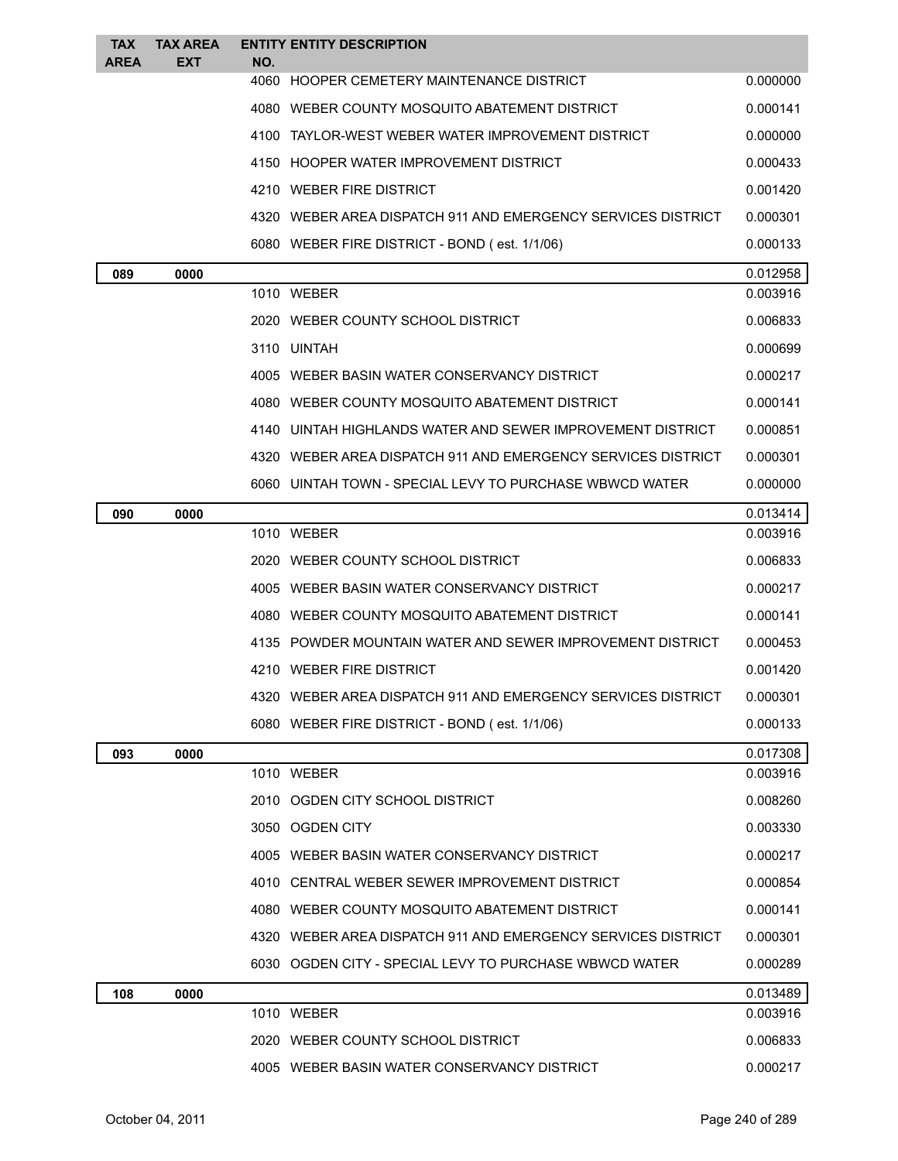| <b>TAX</b><br><b>AREA</b> | <b>TAX AREA</b><br><b>EXT</b> | <b>ENTITY ENTITY DESCRIPTION</b><br>NO.                      |          |
|---------------------------|-------------------------------|--------------------------------------------------------------|----------|
|                           |                               | 4060 HOOPER CEMETERY MAINTENANCE DISTRICT                    | 0.000000 |
|                           |                               | 4080 WEBER COUNTY MOSQUITO ABATEMENT DISTRICT                | 0.000141 |
|                           |                               | 4100 TAYLOR-WEST WEBER WATER IMPROVEMENT DISTRICT            | 0.000000 |
|                           |                               | 4150 HOOPER WATER IMPROVEMENT DISTRICT                       | 0.000433 |
|                           |                               | 4210 WEBER FIRE DISTRICT                                     | 0.001420 |
|                           |                               | 4320 WEBER AREA DISPATCH 911 AND EMERGENCY SERVICES DISTRICT | 0.000301 |
|                           |                               | 6080 WEBER FIRE DISTRICT - BOND (est. 1/1/06)                | 0.000133 |
| 089                       | 0000                          |                                                              | 0.012958 |
|                           |                               | 1010 WEBER                                                   | 0.003916 |
|                           |                               | 2020 WEBER COUNTY SCHOOL DISTRICT                            | 0.006833 |
|                           |                               | 3110 UINTAH                                                  | 0.000699 |
|                           |                               | 4005 WEBER BASIN WATER CONSERVANCY DISTRICT                  | 0.000217 |
|                           |                               | 4080 WEBER COUNTY MOSQUITO ABATEMENT DISTRICT                | 0.000141 |
|                           |                               | 4140 UINTAH HIGHLANDS WATER AND SEWER IMPROVEMENT DISTRICT   | 0.000851 |
|                           |                               | 4320 WEBER AREA DISPATCH 911 AND EMERGENCY SERVICES DISTRICT | 0.000301 |
|                           |                               | 6060 UINTAH TOWN - SPECIAL LEVY TO PURCHASE WBWCD WATER      | 0.000000 |
| 090                       | 0000                          |                                                              | 0.013414 |
|                           |                               | 1010 WEBER                                                   | 0.003916 |
|                           |                               | 2020 WEBER COUNTY SCHOOL DISTRICT                            | 0.006833 |
|                           |                               | 4005 WEBER BASIN WATER CONSERVANCY DISTRICT                  | 0.000217 |
|                           |                               | 4080 WEBER COUNTY MOSQUITO ABATEMENT DISTRICT                | 0.000141 |
|                           |                               | 4135 POWDER MOUNTAIN WATER AND SEWER IMPROVEMENT DISTRICT    | 0.000453 |
|                           |                               | 4210 WEBER FIRE DISTRICT                                     | 0.001420 |
|                           |                               | 4320 WEBER AREA DISPATCH 911 AND EMERGENCY SERVICES DISTRICT | 0.000301 |
|                           |                               | 6080 WEBER FIRE DISTRICT - BOND (est. 1/1/06)                | 0.000133 |
| 093                       | 0000                          |                                                              | 0.017308 |
|                           |                               | 1010 WEBER                                                   | 0.003916 |
|                           |                               | 2010 OGDEN CITY SCHOOL DISTRICT                              | 0.008260 |
|                           |                               | 3050 OGDEN CITY                                              | 0.003330 |
|                           |                               | 4005 WEBER BASIN WATER CONSERVANCY DISTRICT                  | 0.000217 |
|                           |                               | 4010 CENTRAL WEBER SEWER IMPROVEMENT DISTRICT                | 0.000854 |
|                           |                               | 4080 WEBER COUNTY MOSQUITO ABATEMENT DISTRICT                | 0.000141 |
|                           |                               | 4320 WEBER AREA DISPATCH 911 AND EMERGENCY SERVICES DISTRICT | 0.000301 |
|                           |                               | 6030 OGDEN CITY - SPECIAL LEVY TO PURCHASE WBWCD WATER       | 0.000289 |
| 108                       | 0000                          |                                                              | 0.013489 |
|                           |                               | 1010 WEBER                                                   | 0.003916 |
|                           |                               | 2020 WEBER COUNTY SCHOOL DISTRICT                            | 0.006833 |
|                           |                               | 4005 WEBER BASIN WATER CONSERVANCY DISTRICT                  | 0.000217 |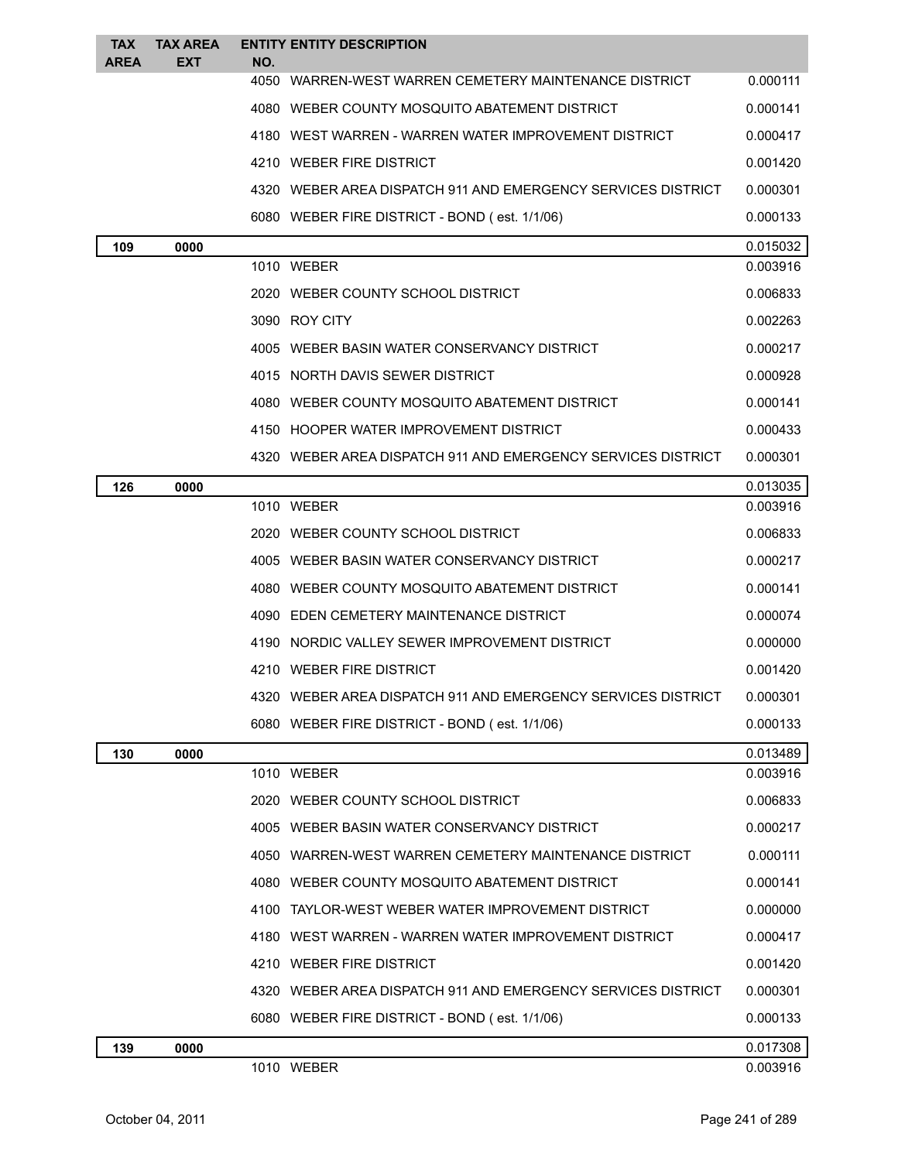| <b>TAX</b>  | <b>TAX AREA</b> | <b>ENTITY ENTITY DESCRIPTION</b>                             |          |
|-------------|-----------------|--------------------------------------------------------------|----------|
| <b>AREA</b> | <b>EXT</b>      | NO.<br>4050 WARREN-WEST WARREN CEMETERY MAINTENANCE DISTRICT | 0.000111 |
|             |                 | 4080 WEBER COUNTY MOSQUITO ABATEMENT DISTRICT                | 0.000141 |
|             |                 | 4180 WEST WARREN - WARREN WATER IMPROVEMENT DISTRICT         | 0.000417 |
|             |                 | 4210 WEBER FIRE DISTRICT                                     | 0.001420 |
|             |                 | 4320 WEBER AREA DISPATCH 911 AND EMERGENCY SERVICES DISTRICT | 0.000301 |
|             |                 | 6080 WEBER FIRE DISTRICT - BOND (est. 1/1/06)                | 0.000133 |
| 109         | 0000            |                                                              | 0.015032 |
|             |                 | 1010 WEBER                                                   | 0.003916 |
|             |                 | 2020 WEBER COUNTY SCHOOL DISTRICT                            | 0.006833 |
|             |                 | 3090 ROY CITY                                                | 0.002263 |
|             |                 | 4005 WEBER BASIN WATER CONSERVANCY DISTRICT                  | 0.000217 |
|             |                 | 4015 NORTH DAVIS SEWER DISTRICT                              | 0.000928 |
|             |                 | 4080 WEBER COUNTY MOSQUITO ABATEMENT DISTRICT                | 0.000141 |
|             |                 | 4150 HOOPER WATER IMPROVEMENT DISTRICT                       | 0.000433 |
|             |                 | 4320 WEBER AREA DISPATCH 911 AND EMERGENCY SERVICES DISTRICT | 0.000301 |
| 126         | 0000            |                                                              | 0.013035 |
|             |                 | 1010 WEBER                                                   | 0.003916 |
|             |                 | 2020 WEBER COUNTY SCHOOL DISTRICT                            | 0.006833 |
|             |                 | 4005 WEBER BASIN WATER CONSERVANCY DISTRICT                  | 0.000217 |
|             |                 | 4080 WEBER COUNTY MOSQUITO ABATEMENT DISTRICT                | 0.000141 |
|             |                 | 4090 EDEN CEMETERY MAINTENANCE DISTRICT                      | 0.000074 |
|             |                 | 4190 NORDIC VALLEY SEWER IMPROVEMENT DISTRICT                | 0.000000 |
|             |                 | 4210 WEBER FIRE DISTRICT                                     | 0.001420 |
|             |                 | 4320 WEBER AREA DISPATCH 911 AND EMERGENCY SERVICES DISTRICT | 0.000301 |
|             |                 | 6080 WEBER FIRE DISTRICT - BOND (est. 1/1/06)                | 0.000133 |
| 130         | 0000            |                                                              | 0.013489 |
|             |                 | 1010 WEBER                                                   | 0.003916 |
|             |                 | 2020 WEBER COUNTY SCHOOL DISTRICT                            | 0.006833 |
|             |                 | 4005 WEBER BASIN WATER CONSERVANCY DISTRICT                  | 0.000217 |
|             |                 | 4050 WARREN-WEST WARREN CEMETERY MAINTENANCE DISTRICT        | 0.000111 |
|             |                 | 4080 WEBER COUNTY MOSQUITO ABATEMENT DISTRICT                | 0.000141 |
|             |                 | 4100 TAYLOR-WEST WEBER WATER IMPROVEMENT DISTRICT            | 0.000000 |
|             |                 | 4180 WEST WARREN - WARREN WATER IMPROVEMENT DISTRICT         | 0.000417 |
|             |                 | 4210 WEBER FIRE DISTRICT                                     | 0.001420 |
|             |                 | 4320 WEBER AREA DISPATCH 911 AND EMERGENCY SERVICES DISTRICT | 0.000301 |
|             |                 | 6080 WEBER FIRE DISTRICT - BOND (est. 1/1/06)                | 0.000133 |
| 139         | 0000            |                                                              | 0.017308 |
|             |                 | 1010 WEBER                                                   | 0.003916 |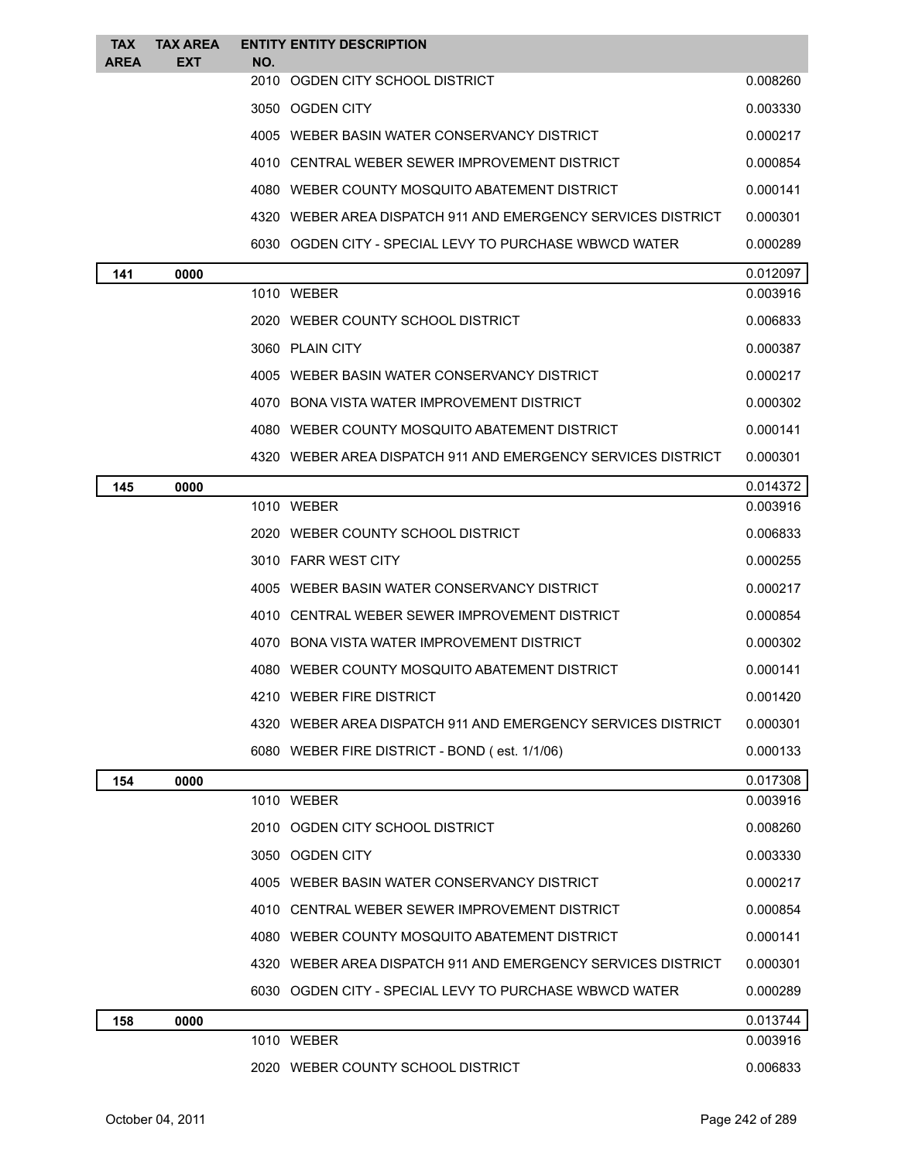| <b>TAX</b>  | <b>TAX AREA</b> |            | <b>ENTITY ENTITY DESCRIPTION</b>                             |          |
|-------------|-----------------|------------|--------------------------------------------------------------|----------|
| <b>AREA</b> | EXT             | NO.        | 2010 OGDEN CITY SCHOOL DISTRICT                              | 0.008260 |
|             |                 |            | 3050 OGDEN CITY                                              | 0.003330 |
|             |                 |            | 4005 WEBER BASIN WATER CONSERVANCY DISTRICT                  | 0.000217 |
|             |                 |            | 4010 CENTRAL WEBER SEWER IMPROVEMENT DISTRICT                | 0.000854 |
|             |                 |            | 4080 WEBER COUNTY MOSQUITO ABATEMENT DISTRICT                | 0.000141 |
|             |                 |            | 4320 WEBER AREA DISPATCH 911 AND EMERGENCY SERVICES DISTRICT | 0.000301 |
|             |                 |            | 6030   OGDEN CITY - SPECIAL LEVY TO PURCHASE WBWCD WATER     | 0.000289 |
| 141         | 0000            |            |                                                              | 0.012097 |
|             |                 | 1010 WEBER |                                                              | 0.003916 |
|             |                 |            | 2020 WEBER COUNTY SCHOOL DISTRICT                            | 0.006833 |
|             |                 |            | 3060 PLAIN CITY                                              | 0.000387 |
|             |                 |            | 4005 WEBER BASIN WATER CONSERVANCY DISTRICT                  | 0.000217 |
|             |                 |            | 4070 BONA VISTA WATER IMPROVEMENT DISTRICT                   | 0.000302 |
|             |                 |            | 4080 WEBER COUNTY MOSQUITO ABATEMENT DISTRICT                | 0.000141 |
|             |                 |            | 4320 WEBER AREA DISPATCH 911 AND EMERGENCY SERVICES DISTRICT | 0.000301 |
| 145         | 0000            |            |                                                              | 0.014372 |
|             |                 | 1010 WEBER |                                                              | 0.003916 |
|             |                 |            | 2020 WEBER COUNTY SCHOOL DISTRICT                            | 0.006833 |
|             |                 |            | 3010 FARR WEST CITY                                          | 0.000255 |
|             |                 |            | 4005 WEBER BASIN WATER CONSERVANCY DISTRICT                  | 0.000217 |
|             |                 |            | 4010 CENTRAL WEBER SEWER IMPROVEMENT DISTRICT                | 0.000854 |
|             |                 |            | 4070 BONA VISTA WATER IMPROVEMENT DISTRICT                   | 0.000302 |
|             |                 |            | 4080 WEBER COUNTY MOSOUITO ABATEMENT DISTRICT                | 0.000141 |
|             |                 |            | 4210 WEBER FIRE DISTRICT                                     | 0.001420 |
|             |                 |            | 4320 WEBER AREA DISPATCH 911 AND EMERGENCY SERVICES DISTRICT | 0.000301 |
|             |                 |            | 6080 WEBER FIRE DISTRICT - BOND (est. 1/1/06)                | 0.000133 |
| 154         | 0000            |            |                                                              | 0.017308 |
|             |                 | 1010 WEBER |                                                              | 0.003916 |
|             |                 |            | 2010 OGDEN CITY SCHOOL DISTRICT                              | 0.008260 |
|             |                 |            | 3050 OGDEN CITY                                              | 0.003330 |
|             |                 |            | 4005 WEBER BASIN WATER CONSERVANCY DISTRICT                  | 0.000217 |
|             |                 |            | 4010 CENTRAL WEBER SEWER IMPROVEMENT DISTRICT                | 0.000854 |
|             |                 |            | 4080 WEBER COUNTY MOSQUITO ABATEMENT DISTRICT                | 0.000141 |
|             |                 |            | 4320 WEBER AREA DISPATCH 911 AND EMERGENCY SERVICES DISTRICT | 0.000301 |
|             |                 |            | 6030   OGDEN CITY - SPECIAL LEVY TO PURCHASE WBWCD WATER     | 0.000289 |
| 158         | 0000            |            |                                                              | 0.013744 |
|             |                 | 1010 WEBER |                                                              | 0.003916 |
|             |                 |            | 2020 WEBER COUNTY SCHOOL DISTRICT                            | 0.006833 |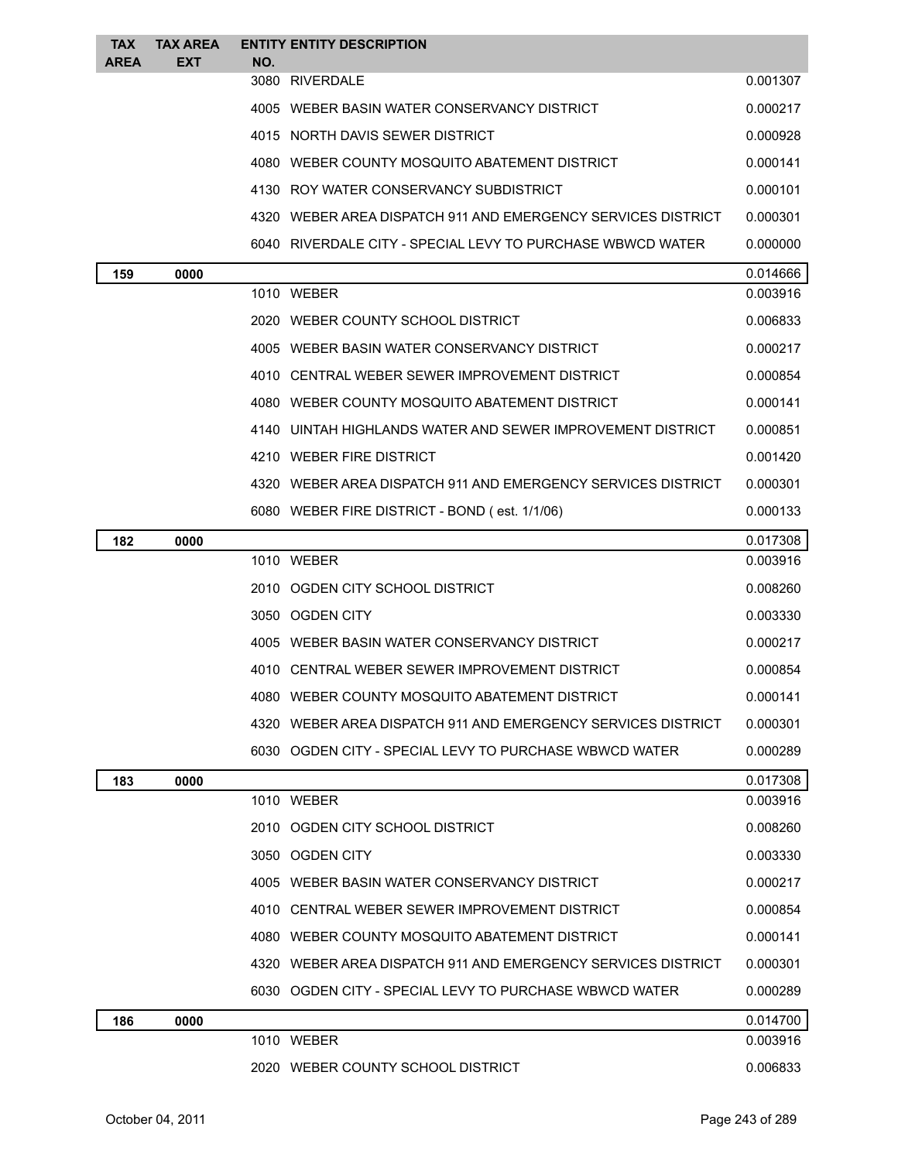| <b>TAX</b>  | <b>TAX AREA</b> | <b>ENTITY ENTITY DESCRIPTION</b>                             |          |
|-------------|-----------------|--------------------------------------------------------------|----------|
| <b>AREA</b> | <b>EXT</b>      | NO.<br>3080 RIVERDALE                                        | 0.001307 |
|             |                 |                                                              |          |
|             |                 | 4005 WEBER BASIN WATER CONSERVANCY DISTRICT                  | 0.000217 |
|             |                 | 4015 NORTH DAVIS SEWER DISTRICT                              | 0.000928 |
|             |                 | 4080 WEBER COUNTY MOSQUITO ABATEMENT DISTRICT                | 0.000141 |
|             |                 | 4130 ROY WATER CONSERVANCY SUBDISTRICT                       | 0.000101 |
|             |                 | 4320 WEBER AREA DISPATCH 911 AND EMERGENCY SERVICES DISTRICT | 0.000301 |
|             |                 | 6040   RIVERDALE CITY - SPECIAL LEVY TO PURCHASE WBWCD WATER | 0.000000 |
| 159         | 0000            |                                                              | 0.014666 |
|             |                 | 1010 WEBER                                                   | 0.003916 |
|             |                 | 2020 WEBER COUNTY SCHOOL DISTRICT                            | 0.006833 |
|             |                 | 4005 WEBER BASIN WATER CONSERVANCY DISTRICT                  | 0.000217 |
|             |                 | 4010 CENTRAL WEBER SEWER IMPROVEMENT DISTRICT                | 0.000854 |
|             |                 | 4080 WEBER COUNTY MOSQUITO ABATEMENT DISTRICT                | 0.000141 |
|             |                 | 4140 UINTAH HIGHLANDS WATER AND SEWER IMPROVEMENT DISTRICT   | 0.000851 |
|             |                 | 4210 WEBER FIRE DISTRICT                                     | 0.001420 |
|             |                 | 4320 WEBER AREA DISPATCH 911 AND EMERGENCY SERVICES DISTRICT | 0.000301 |
|             |                 | 6080 WEBER FIRE DISTRICT - BOND (est. 1/1/06)                | 0.000133 |
| 182         | 0000            |                                                              | 0.017308 |
|             |                 | 1010 WEBER                                                   | 0.003916 |
|             |                 | 2010 OGDEN CITY SCHOOL DISTRICT                              | 0.008260 |
|             |                 | 3050 OGDEN CITY                                              | 0.003330 |
|             |                 | 4005 WEBER BASIN WATER CONSERVANCY DISTRICT                  | 0.000217 |
|             |                 | 4010   CENTRAL WEBER SEWER IMPROVEMENT DISTRICT              | 0.000854 |
|             |                 | 4080 WEBER COUNTY MOSQUITO ABATEMENT DISTRICT                | 0.000141 |
|             |                 | 4320 WEBER AREA DISPATCH 911 AND EMERGENCY SERVICES DISTRICT | 0.000301 |
|             |                 | 6030   OGDEN CITY - SPECIAL LEVY TO PURCHASE WBWCD WATER     | 0.000289 |
| 183         | 0000            |                                                              | 0.017308 |
|             |                 | 1010 WEBER                                                   | 0.003916 |
|             |                 | 2010 OGDEN CITY SCHOOL DISTRICT                              | 0.008260 |
|             |                 | 3050 OGDEN CITY                                              | 0.003330 |
|             |                 | 4005 WEBER BASIN WATER CONSERVANCY DISTRICT                  | 0.000217 |
|             |                 | 4010 CENTRAL WEBER SEWER IMPROVEMENT DISTRICT                | 0.000854 |
|             |                 | 4080 WEBER COUNTY MOSQUITO ABATEMENT DISTRICT                | 0.000141 |
|             |                 | 4320 WEBER AREA DISPATCH 911 AND EMERGENCY SERVICES DISTRICT | 0.000301 |
|             |                 | 6030   OGDEN CITY - SPECIAL LEVY TO PURCHASE WBWCD WATER     | 0.000289 |
| 186         | 0000            |                                                              | 0.014700 |
|             |                 | 1010 WEBER                                                   | 0.003916 |
|             |                 | 2020 WEBER COUNTY SCHOOL DISTRICT                            | 0.006833 |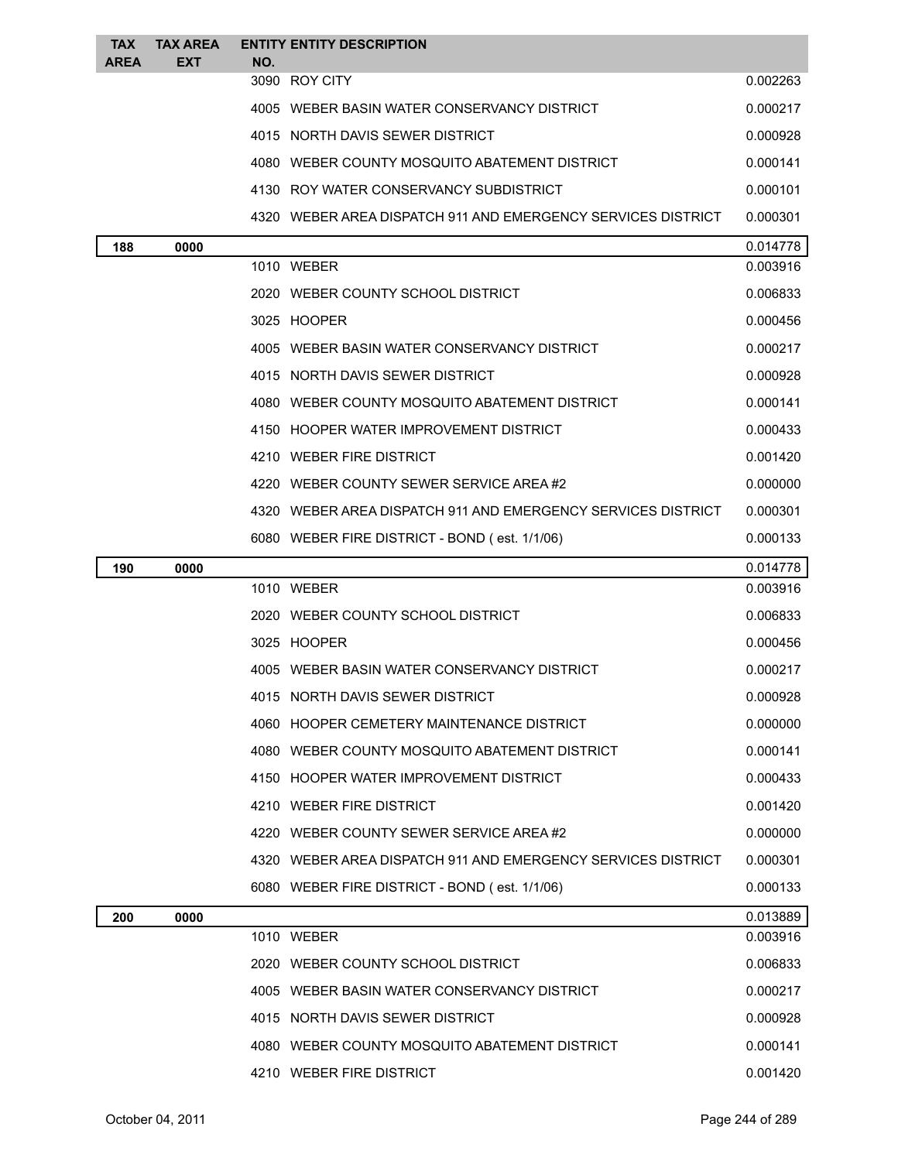| <b>TAX</b><br><b>AREA</b> | <b>TAX AREA</b><br><b>EXT</b> | NO. | <b>ENTITY ENTITY DESCRIPTION</b>                             |          |
|---------------------------|-------------------------------|-----|--------------------------------------------------------------|----------|
|                           |                               |     | 3090 ROY CITY                                                | 0.002263 |
|                           |                               |     | 4005 WEBER BASIN WATER CONSERVANCY DISTRICT                  | 0.000217 |
|                           |                               |     | 4015 NORTH DAVIS SEWER DISTRICT                              | 0.000928 |
|                           |                               |     | 4080 WEBER COUNTY MOSQUITO ABATEMENT DISTRICT                | 0.000141 |
|                           |                               |     | 4130 ROY WATER CONSERVANCY SUBDISTRICT                       | 0.000101 |
|                           |                               |     | 4320 WEBER AREA DISPATCH 911 AND EMERGENCY SERVICES DISTRICT | 0.000301 |
| 188                       | 0000                          |     |                                                              | 0.014778 |
|                           |                               |     | 1010 WEBER                                                   | 0.003916 |
|                           |                               |     | 2020 WEBER COUNTY SCHOOL DISTRICT                            | 0.006833 |
|                           |                               |     | 3025 HOOPER                                                  | 0.000456 |
|                           |                               |     | 4005 WEBER BASIN WATER CONSERVANCY DISTRICT                  | 0.000217 |
|                           |                               |     | 4015 NORTH DAVIS SEWER DISTRICT                              | 0.000928 |
|                           |                               |     | 4080 WEBER COUNTY MOSQUITO ABATEMENT DISTRICT                | 0.000141 |
|                           |                               |     | 4150 HOOPER WATER IMPROVEMENT DISTRICT                       | 0.000433 |
|                           |                               |     | 4210 WEBER FIRE DISTRICT                                     | 0.001420 |
|                           |                               |     | 4220 WEBER COUNTY SEWER SERVICE AREA#2                       | 0.000000 |
|                           |                               |     | 4320 WEBER AREA DISPATCH 911 AND EMERGENCY SERVICES DISTRICT | 0.000301 |
|                           |                               |     | 6080 WEBER FIRE DISTRICT - BOND (est. 1/1/06)                | 0.000133 |
| 190                       | 0000                          |     |                                                              | 0.014778 |
|                           |                               |     | 1010 WEBER                                                   | 0.003916 |
|                           |                               |     | 2020 WEBER COUNTY SCHOOL DISTRICT                            | 0.006833 |
|                           |                               |     | 3025 HOOPER                                                  | 0.000456 |
|                           |                               |     | 4005 WEBER BASIN WATER CONSERVANCY DISTRICT                  | 0.000217 |
|                           |                               |     | 4015 NORTH DAVIS SEWER DISTRICT                              | 0.000928 |
|                           |                               |     | 4060 HOOPER CEMETERY MAINTENANCE DISTRICT                    | 0.000000 |
|                           |                               |     | 4080 WEBER COUNTY MOSQUITO ABATEMENT DISTRICT                | 0.000141 |
|                           |                               |     | 4150 HOOPER WATER IMPROVEMENT DISTRICT                       | 0.000433 |
|                           |                               |     | 4210 WEBER FIRE DISTRICT                                     | 0.001420 |
|                           |                               |     | 4220 WEBER COUNTY SEWER SERVICE AREA#2                       | 0.000000 |
|                           |                               |     | 4320 WEBER AREA DISPATCH 911 AND EMERGENCY SERVICES DISTRICT | 0.000301 |
|                           |                               |     | 6080 WEBER FIRE DISTRICT - BOND (est. 1/1/06)                | 0.000133 |
| 200                       | 0000                          |     |                                                              | 0.013889 |
|                           |                               |     | 1010 WEBER                                                   | 0.003916 |
|                           |                               |     | 2020 WEBER COUNTY SCHOOL DISTRICT                            | 0.006833 |
|                           |                               |     | 4005 WEBER BASIN WATER CONSERVANCY DISTRICT                  | 0.000217 |
|                           |                               |     | 4015 NORTH DAVIS SEWER DISTRICT                              | 0.000928 |
|                           |                               |     | 4080 WEBER COUNTY MOSQUITO ABATEMENT DISTRICT                | 0.000141 |
|                           |                               |     | 4210 WEBER FIRE DISTRICT                                     | 0.001420 |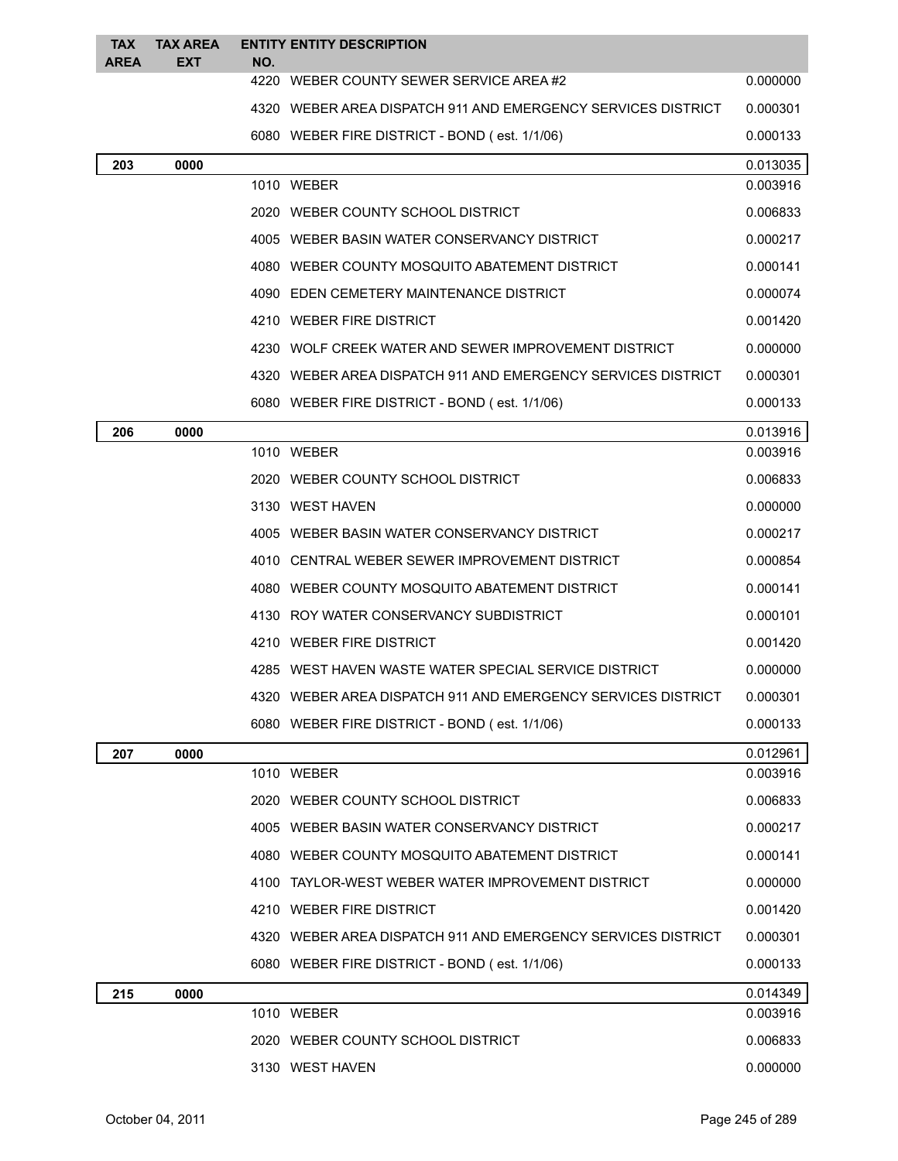| <b>TAX</b><br><b>AREA</b> | <b>TAX AREA</b><br><b>EXT</b> | NO. | <b>ENTITY ENTITY DESCRIPTION</b>                             |          |
|---------------------------|-------------------------------|-----|--------------------------------------------------------------|----------|
|                           |                               |     | 4220 WEBER COUNTY SEWER SERVICE AREA#2                       | 0.000000 |
|                           |                               |     | 4320 WEBER AREA DISPATCH 911 AND EMERGENCY SERVICES DISTRICT | 0.000301 |
|                           |                               |     | 6080 WEBER FIRE DISTRICT - BOND (est. 1/1/06)                | 0.000133 |
| 203                       | 0000                          |     |                                                              | 0.013035 |
|                           |                               |     | 1010 WEBER                                                   | 0.003916 |
|                           |                               |     | 2020 WEBER COUNTY SCHOOL DISTRICT                            | 0.006833 |
|                           |                               |     | 4005 WEBER BASIN WATER CONSERVANCY DISTRICT                  | 0.000217 |
|                           |                               |     | 4080 WEBER COUNTY MOSQUITO ABATEMENT DISTRICT                | 0.000141 |
|                           |                               |     | 4090 EDEN CEMETERY MAINTENANCE DISTRICT                      | 0.000074 |
|                           |                               |     | 4210 WEBER FIRE DISTRICT                                     | 0.001420 |
|                           |                               |     | 4230 WOLF CREEK WATER AND SEWER IMPROVEMENT DISTRICT         | 0.000000 |
|                           |                               |     | 4320 WEBER AREA DISPATCH 911 AND EMERGENCY SERVICES DISTRICT | 0.000301 |
|                           |                               |     | 6080 WEBER FIRE DISTRICT - BOND (est. 1/1/06)                | 0.000133 |
| 206                       | 0000                          |     |                                                              | 0.013916 |
|                           |                               |     | 1010 WEBER                                                   | 0.003916 |
|                           |                               |     | 2020 WEBER COUNTY SCHOOL DISTRICT                            | 0.006833 |
|                           |                               |     | 3130 WEST HAVEN                                              | 0.000000 |
|                           |                               |     | 4005 WEBER BASIN WATER CONSERVANCY DISTRICT                  | 0.000217 |
|                           |                               |     | 4010 CENTRAL WEBER SEWER IMPROVEMENT DISTRICT                | 0.000854 |
|                           |                               |     | 4080 WEBER COUNTY MOSQUITO ABATEMENT DISTRICT                | 0.000141 |
|                           |                               |     | 4130 ROY WATER CONSERVANCY SUBDISTRICT                       | 0.000101 |
|                           |                               |     | 4210 WEBER FIRE DISTRICT                                     | 0.001420 |
|                           |                               |     | 4285 WEST HAVEN WASTE WATER SPECIAL SERVICE DISTRICT         | 0.000000 |
|                           |                               |     | 4320 WEBER AREA DISPATCH 911 AND EMERGENCY SERVICES DISTRICT | 0.000301 |
|                           |                               |     | 6080 WEBER FIRE DISTRICT - BOND (est. 1/1/06)                | 0.000133 |
| 207                       | 0000                          |     |                                                              | 0.012961 |
|                           |                               |     | 1010 WEBER                                                   | 0.003916 |
|                           |                               |     | 2020 WEBER COUNTY SCHOOL DISTRICT                            | 0.006833 |
|                           |                               |     | 4005 WEBER BASIN WATER CONSERVANCY DISTRICT                  | 0.000217 |
|                           |                               |     | 4080 WEBER COUNTY MOSQUITO ABATEMENT DISTRICT                | 0.000141 |
|                           |                               |     | 4100 TAYLOR-WEST WEBER WATER IMPROVEMENT DISTRICT            | 0.000000 |
|                           |                               |     | 4210 WEBER FIRE DISTRICT                                     | 0.001420 |
|                           |                               |     | 4320 WEBER AREA DISPATCH 911 AND EMERGENCY SERVICES DISTRICT | 0.000301 |
|                           |                               |     | 6080 WEBER FIRE DISTRICT - BOND (est. 1/1/06)                | 0.000133 |
| 215                       | 0000                          |     |                                                              | 0.014349 |
|                           |                               |     | 1010 WEBER                                                   | 0.003916 |
|                           |                               |     | 2020 WEBER COUNTY SCHOOL DISTRICT                            | 0.006833 |
|                           |                               |     | 3130 WEST HAVEN                                              | 0.000000 |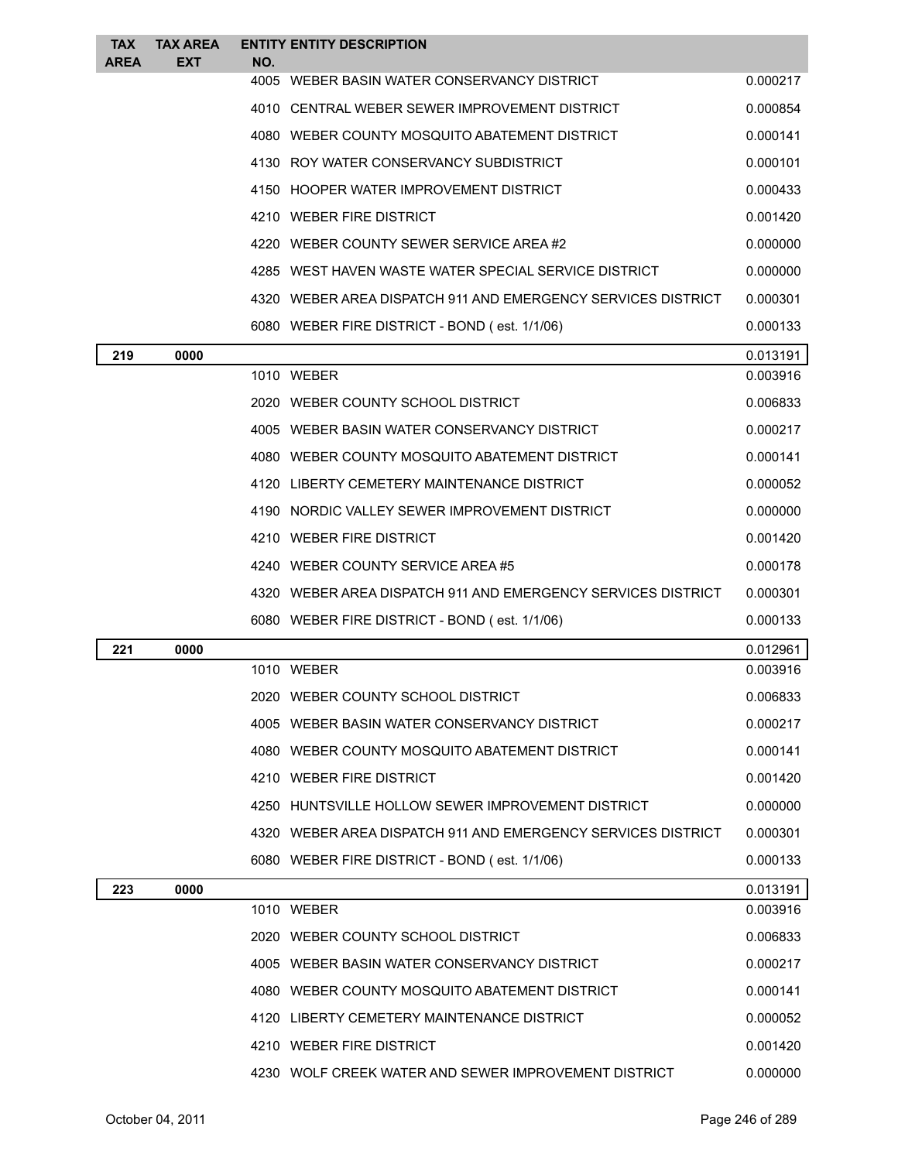| <b>TAX</b><br><b>AREA</b> | <b>TAX AREA</b><br><b>EXT</b> | <b>ENTITY ENTITY DESCRIPTION</b><br>NO.                      |          |
|---------------------------|-------------------------------|--------------------------------------------------------------|----------|
|                           |                               | 4005 WEBER BASIN WATER CONSERVANCY DISTRICT                  | 0.000217 |
|                           |                               | 4010 CENTRAL WEBER SEWER IMPROVEMENT DISTRICT                | 0.000854 |
|                           |                               | 4080 WEBER COUNTY MOSQUITO ABATEMENT DISTRICT                | 0.000141 |
|                           |                               | 4130 ROY WATER CONSERVANCY SUBDISTRICT                       | 0.000101 |
|                           |                               | 4150 HOOPER WATER IMPROVEMENT DISTRICT                       | 0.000433 |
|                           |                               | 4210 WEBER FIRE DISTRICT                                     | 0.001420 |
|                           |                               | 4220 WEBER COUNTY SEWER SERVICE AREA#2                       | 0.000000 |
|                           |                               | 4285 WEST HAVEN WASTE WATER SPECIAL SERVICE DISTRICT         | 0.000000 |
|                           |                               | 4320 WEBER AREA DISPATCH 911 AND EMERGENCY SERVICES DISTRICT | 0.000301 |
|                           |                               | 6080 WEBER FIRE DISTRICT - BOND (est. 1/1/06)                | 0.000133 |
| 219                       | 0000                          |                                                              | 0.013191 |
|                           |                               | 1010 WEBER                                                   | 0.003916 |
|                           |                               | 2020 WEBER COUNTY SCHOOL DISTRICT                            | 0.006833 |
|                           |                               | 4005 WEBER BASIN WATER CONSERVANCY DISTRICT                  | 0.000217 |
|                           |                               | 4080 WEBER COUNTY MOSQUITO ABATEMENT DISTRICT                | 0.000141 |
|                           |                               | 4120 LIBERTY CEMETERY MAINTENANCE DISTRICT                   | 0.000052 |
|                           |                               | 4190 NORDIC VALLEY SEWER IMPROVEMENT DISTRICT                | 0.000000 |
|                           |                               | 4210 WEBER FIRE DISTRICT                                     | 0.001420 |
|                           |                               | 4240 WEBER COUNTY SERVICE AREA#5                             | 0.000178 |
|                           |                               | 4320 WEBER AREA DISPATCH 911 AND EMERGENCY SERVICES DISTRICT | 0.000301 |
|                           |                               | 6080 WEBER FIRE DISTRICT - BOND (est. 1/1/06)                | 0.000133 |
| 221                       | 0000                          |                                                              | 0.012961 |
|                           |                               | 1010 WEBER                                                   | 0.003916 |
|                           |                               | 2020 WEBER COUNTY SCHOOL DISTRICT                            | 0.006833 |
|                           |                               | 4005 WEBER BASIN WATER CONSERVANCY DISTRICT                  | 0.000217 |
|                           |                               | 4080 WEBER COUNTY MOSQUITO ABATEMENT DISTRICT                | 0.000141 |
|                           |                               | 4210 WEBER FIRE DISTRICT                                     | 0.001420 |
|                           |                               | 4250 HUNTSVILLE HOLLOW SEWER IMPROVEMENT DISTRICT            | 0.000000 |
|                           |                               | 4320 WEBER AREA DISPATCH 911 AND EMERGENCY SERVICES DISTRICT | 0.000301 |
|                           |                               | 6080 WEBER FIRE DISTRICT - BOND (est. 1/1/06)                | 0.000133 |
| 223                       | 0000                          |                                                              | 0.013191 |
|                           |                               | 1010 WEBER                                                   | 0.003916 |
|                           |                               | 2020 WEBER COUNTY SCHOOL DISTRICT                            | 0.006833 |
|                           |                               | 4005 WEBER BASIN WATER CONSERVANCY DISTRICT                  | 0.000217 |
|                           |                               | 4080 WEBER COUNTY MOSQUITO ABATEMENT DISTRICT                | 0.000141 |
|                           |                               | 4120 LIBERTY CEMETERY MAINTENANCE DISTRICT                   | 0.000052 |
|                           |                               | 4210 WEBER FIRE DISTRICT                                     | 0.001420 |
|                           |                               | 4230 WOLF CREEK WATER AND SEWER IMPROVEMENT DISTRICT         | 0.000000 |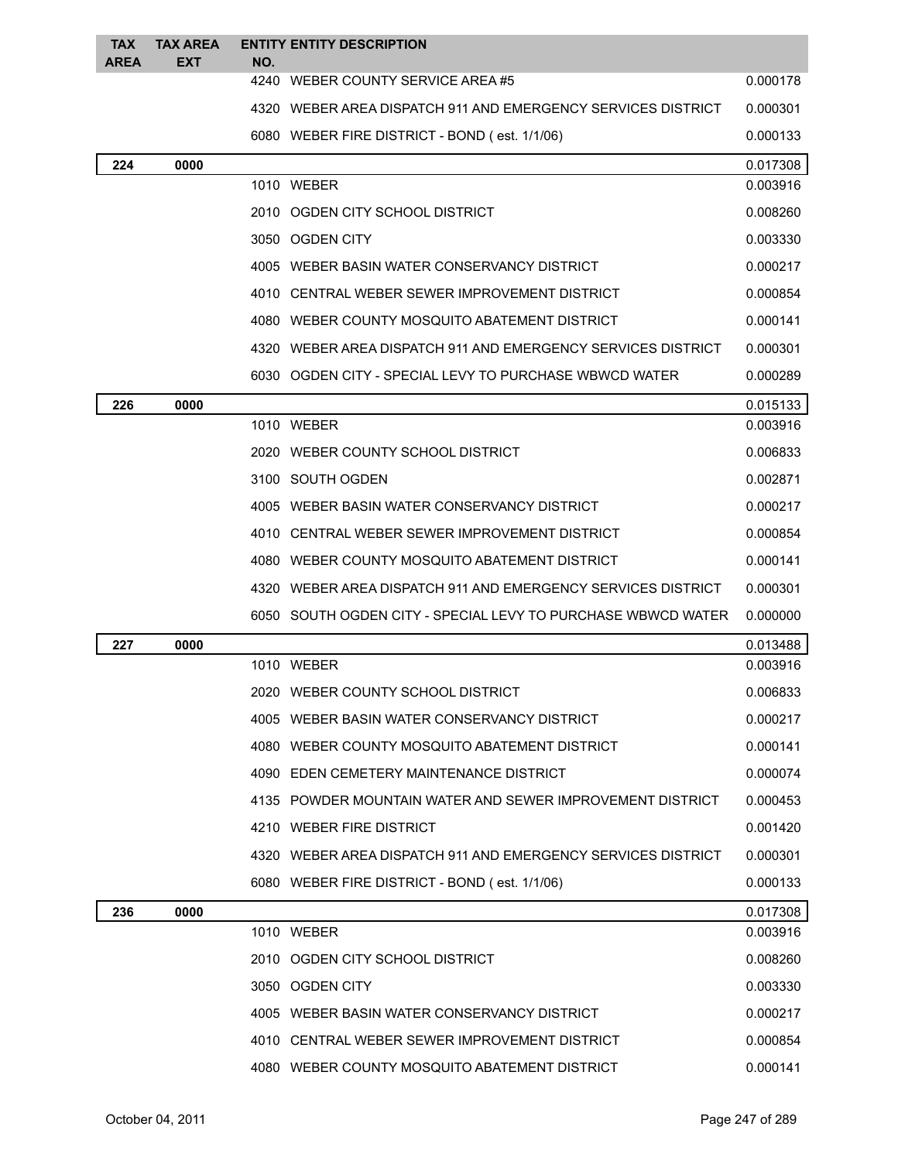| <b>TAX</b><br><b>AREA</b> | <b>TAX AREA</b><br><b>EXT</b> | NO. | <b>ENTITY ENTITY DESCRIPTION</b>                             |          |
|---------------------------|-------------------------------|-----|--------------------------------------------------------------|----------|
|                           |                               |     | 4240 WEBER COUNTY SERVICE AREA#5                             | 0.000178 |
|                           |                               |     | 4320 WEBER AREA DISPATCH 911 AND EMERGENCY SERVICES DISTRICT | 0.000301 |
|                           |                               |     | 6080 WEBER FIRE DISTRICT - BOND (est. 1/1/06)                | 0.000133 |
| 224                       | 0000                          |     |                                                              | 0.017308 |
|                           |                               |     | 1010 WEBER                                                   | 0.003916 |
|                           |                               |     | 2010 OGDEN CITY SCHOOL DISTRICT                              | 0.008260 |
|                           |                               |     | 3050 OGDEN CITY                                              | 0.003330 |
|                           |                               |     | 4005 WEBER BASIN WATER CONSERVANCY DISTRICT                  | 0.000217 |
|                           |                               |     | 4010 CENTRAL WEBER SEWER IMPROVEMENT DISTRICT                | 0.000854 |
|                           |                               |     | 4080 WEBER COUNTY MOSQUITO ABATEMENT DISTRICT                | 0.000141 |
|                           |                               |     | 4320 WEBER AREA DISPATCH 911 AND EMERGENCY SERVICES DISTRICT | 0.000301 |
|                           |                               |     | 6030 OGDEN CITY - SPECIAL LEVY TO PURCHASE WBWCD WATER       | 0.000289 |
| 226                       | 0000                          |     |                                                              | 0.015133 |
|                           |                               |     | 1010 WEBER                                                   | 0.003916 |
|                           |                               |     | 2020 WEBER COUNTY SCHOOL DISTRICT                            | 0.006833 |
|                           |                               |     | 3100 SOUTH OGDEN                                             | 0.002871 |
|                           |                               |     | 4005 WEBER BASIN WATER CONSERVANCY DISTRICT                  | 0.000217 |
|                           |                               |     | 4010 CENTRAL WEBER SEWER IMPROVEMENT DISTRICT                | 0.000854 |
|                           |                               |     | 4080 WEBER COUNTY MOSQUITO ABATEMENT DISTRICT                | 0.000141 |
|                           |                               |     | 4320 WEBER AREA DISPATCH 911 AND EMERGENCY SERVICES DISTRICT | 0.000301 |
|                           |                               |     | 6050 SOUTH OGDEN CITY - SPECIAL LEVY TO PURCHASE WBWCD WATER | 0.000000 |
| 227                       | 0000                          |     |                                                              | 0.013488 |
|                           |                               |     | 1010 WEBER                                                   | 0.003916 |
|                           |                               |     | 2020 WEBER COUNTY SCHOOL DISTRICT                            | 0.006833 |
|                           |                               |     | 4005 WEBER BASIN WATER CONSERVANCY DISTRICT                  | 0.000217 |
|                           |                               |     | 4080 WEBER COUNTY MOSQUITO ABATEMENT DISTRICT                | 0.000141 |
|                           |                               |     | 4090 EDEN CEMETERY MAINTENANCE DISTRICT                      | 0.000074 |
|                           |                               |     | 4135 POWDER MOUNTAIN WATER AND SEWER IMPROVEMENT DISTRICT    | 0.000453 |
|                           |                               |     | 4210 WEBER FIRE DISTRICT                                     | 0.001420 |
|                           |                               |     | 4320 WEBER AREA DISPATCH 911 AND EMERGENCY SERVICES DISTRICT | 0.000301 |
|                           |                               |     | 6080 WEBER FIRE DISTRICT - BOND (est. 1/1/06)                | 0.000133 |
| 236                       | 0000                          |     |                                                              | 0.017308 |
|                           |                               |     | 1010 WEBER                                                   | 0.003916 |
|                           |                               |     | 2010 OGDEN CITY SCHOOL DISTRICT                              | 0.008260 |
|                           |                               |     | 3050 OGDEN CITY                                              | 0.003330 |
|                           |                               |     | 4005 WEBER BASIN WATER CONSERVANCY DISTRICT                  | 0.000217 |
|                           |                               |     | 4010 CENTRAL WEBER SEWER IMPROVEMENT DISTRICT                | 0.000854 |
|                           |                               |     | 4080 WEBER COUNTY MOSQUITO ABATEMENT DISTRICT                | 0.000141 |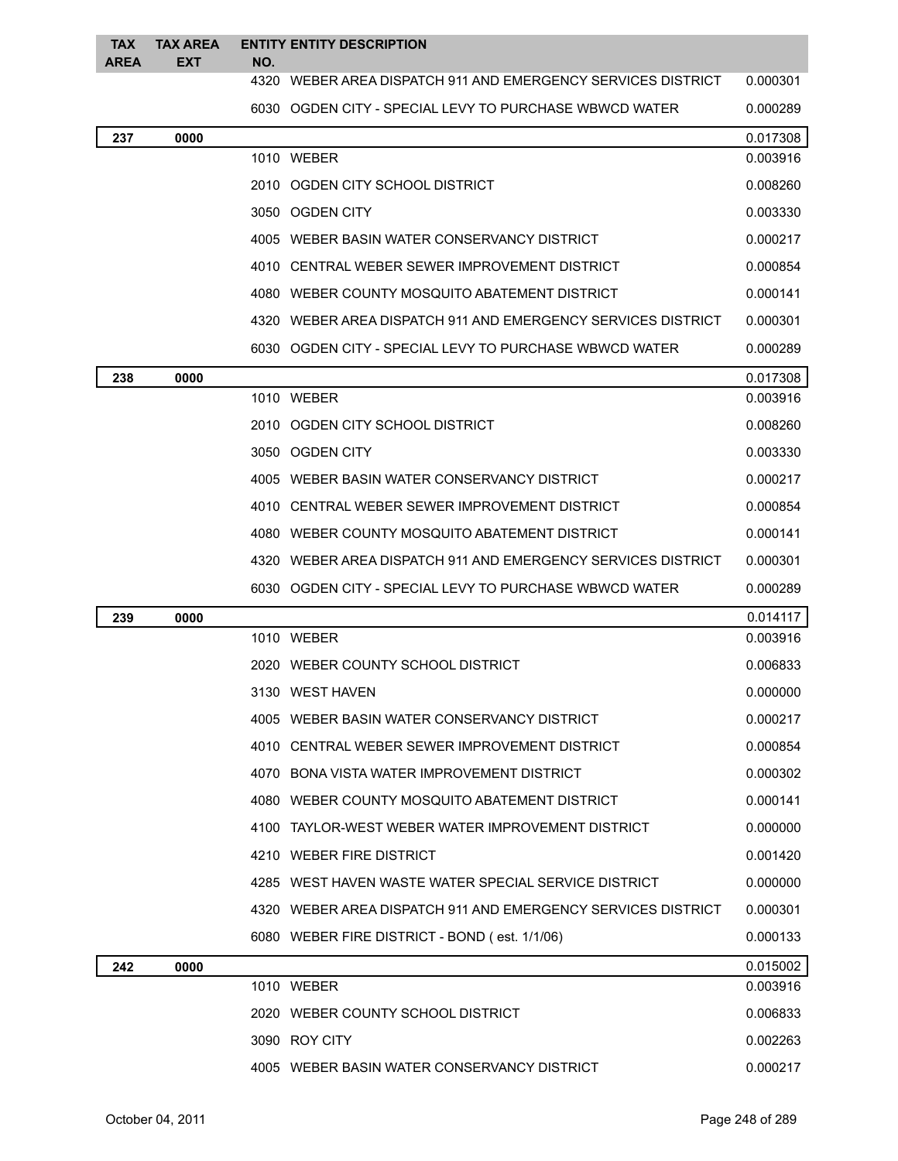| <b>TAX</b><br><b>AREA</b> | <b>TAX AREA</b><br><b>EXT</b> | NO. | <b>ENTITY ENTITY DESCRIPTION</b>                             |          |
|---------------------------|-------------------------------|-----|--------------------------------------------------------------|----------|
|                           |                               |     | 4320 WEBER AREA DISPATCH 911 AND EMERGENCY SERVICES DISTRICT | 0.000301 |
|                           |                               |     | 6030 OGDEN CITY - SPECIAL LEVY TO PURCHASE WBWCD WATER       | 0.000289 |
| 237                       | 0000                          |     |                                                              | 0.017308 |
|                           |                               |     | 1010 WEBER                                                   | 0.003916 |
|                           |                               |     | 2010 OGDEN CITY SCHOOL DISTRICT                              | 0.008260 |
|                           |                               |     | 3050 OGDEN CITY                                              | 0.003330 |
|                           |                               |     | 4005 WEBER BASIN WATER CONSERVANCY DISTRICT                  | 0.000217 |
|                           |                               |     | 4010 CENTRAL WEBER SEWER IMPROVEMENT DISTRICT                | 0.000854 |
|                           |                               |     | 4080 WEBER COUNTY MOSQUITO ABATEMENT DISTRICT                | 0.000141 |
|                           |                               |     | 4320 WEBER AREA DISPATCH 911 AND EMERGENCY SERVICES DISTRICT | 0.000301 |
|                           |                               |     | 6030 OGDEN CITY - SPECIAL LEVY TO PURCHASE WBWCD WATER       | 0.000289 |
| 238                       | 0000                          |     |                                                              | 0.017308 |
|                           |                               |     | 1010 WEBER                                                   | 0.003916 |
|                           |                               |     | 2010 OGDEN CITY SCHOOL DISTRICT                              | 0.008260 |
|                           |                               |     | 3050 OGDEN CITY                                              | 0.003330 |
|                           |                               |     | 4005 WEBER BASIN WATER CONSERVANCY DISTRICT                  | 0.000217 |
|                           |                               |     | 4010 CENTRAL WEBER SEWER IMPROVEMENT DISTRICT                | 0.000854 |
|                           |                               |     | 4080 WEBER COUNTY MOSQUITO ABATEMENT DISTRICT                | 0.000141 |
|                           |                               |     | 4320 WEBER AREA DISPATCH 911 AND EMERGENCY SERVICES DISTRICT | 0.000301 |
|                           |                               |     | 6030 OGDEN CITY - SPECIAL LEVY TO PURCHASE WBWCD WATER       | 0.000289 |
| 239                       | 0000                          |     |                                                              | 0.014117 |
|                           |                               |     | 1010 WEBER                                                   | 0.003916 |
|                           |                               |     | 2020 WEBER COUNTY SCHOOL DISTRICT                            | 0.006833 |
|                           |                               |     | 3130 WEST HAVEN                                              | 0.000000 |
|                           |                               |     | 4005 WEBER BASIN WATER CONSERVANCY DISTRICT                  | 0.000217 |
|                           |                               |     | 4010 CENTRAL WEBER SEWER IMPROVEMENT DISTRICT                | 0.000854 |
|                           |                               |     | 4070 BONA VISTA WATER IMPROVEMENT DISTRICT                   | 0.000302 |
|                           |                               |     | 4080 WEBER COUNTY MOSQUITO ABATEMENT DISTRICT                | 0.000141 |
|                           |                               |     | 4100 TAYLOR-WEST WEBER WATER IMPROVEMENT DISTRICT            | 0.000000 |
|                           |                               |     | 4210 WEBER FIRE DISTRICT                                     | 0.001420 |
|                           |                               |     | 4285 WEST HAVEN WASTE WATER SPECIAL SERVICE DISTRICT         | 0.000000 |
|                           |                               |     | 4320 WEBER AREA DISPATCH 911 AND EMERGENCY SERVICES DISTRICT | 0.000301 |
|                           |                               |     | 6080 WEBER FIRE DISTRICT - BOND (est. 1/1/06)                | 0.000133 |
| 242                       | 0000                          |     |                                                              | 0.015002 |
|                           |                               |     | 1010 WEBER                                                   | 0.003916 |
|                           |                               |     | 2020 WEBER COUNTY SCHOOL DISTRICT                            | 0.006833 |
|                           |                               |     | 3090 ROY CITY                                                | 0.002263 |
|                           |                               |     | 4005 WEBER BASIN WATER CONSERVANCY DISTRICT                  | 0.000217 |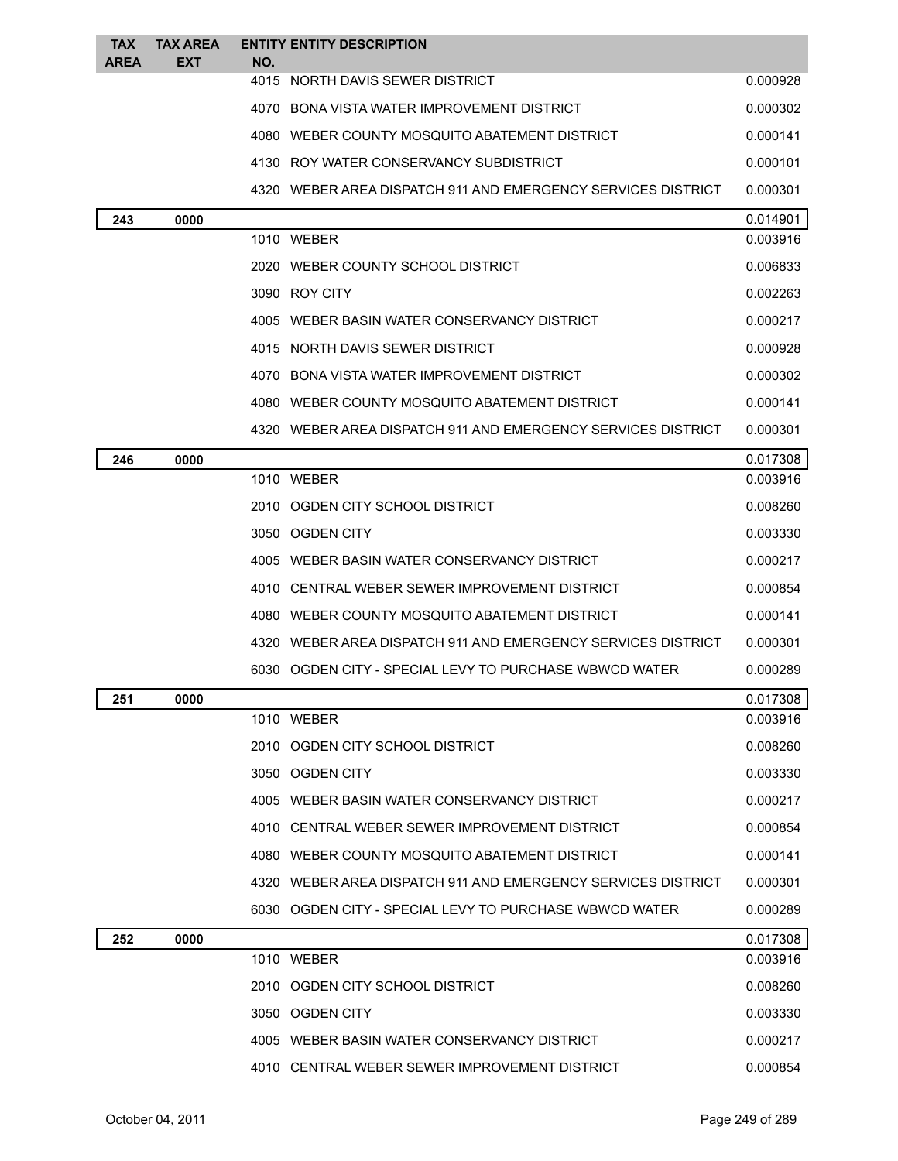| <b>TAX</b><br><b>AREA</b> | <b>TAX AREA</b><br><b>EXT</b> | <b>ENTITY ENTITY DESCRIPTION</b><br>NO.                      |          |
|---------------------------|-------------------------------|--------------------------------------------------------------|----------|
|                           |                               | 4015 NORTH DAVIS SEWER DISTRICT                              | 0.000928 |
|                           |                               | 4070 BONA VISTA WATER IMPROVEMENT DISTRICT                   | 0.000302 |
|                           |                               | 4080 WEBER COUNTY MOSQUITO ABATEMENT DISTRICT                | 0.000141 |
|                           |                               | 4130 ROY WATER CONSERVANCY SUBDISTRICT                       | 0.000101 |
|                           |                               | 4320 WEBER AREA DISPATCH 911 AND EMERGENCY SERVICES DISTRICT | 0.000301 |
| 243                       | 0000                          |                                                              | 0.014901 |
|                           |                               | 1010 WEBER                                                   | 0.003916 |
|                           |                               | 2020 WEBER COUNTY SCHOOL DISTRICT                            | 0.006833 |
|                           |                               | 3090 ROY CITY                                                | 0.002263 |
|                           |                               | 4005 WEBER BASIN WATER CONSERVANCY DISTRICT                  | 0.000217 |
|                           |                               | 4015 NORTH DAVIS SEWER DISTRICT                              | 0.000928 |
|                           |                               | 4070 BONA VISTA WATER IMPROVEMENT DISTRICT                   | 0.000302 |
|                           |                               | 4080 WEBER COUNTY MOSQUITO ABATEMENT DISTRICT                | 0.000141 |
|                           |                               | 4320 WEBER AREA DISPATCH 911 AND EMERGENCY SERVICES DISTRICT | 0.000301 |
| 246                       | 0000                          |                                                              | 0.017308 |
|                           |                               | 1010 WEBER                                                   | 0.003916 |
|                           |                               | 2010 OGDEN CITY SCHOOL DISTRICT                              | 0.008260 |
|                           |                               | 3050 OGDEN CITY                                              | 0.003330 |
|                           |                               | 4005 WEBER BASIN WATER CONSERVANCY DISTRICT                  | 0.000217 |
|                           |                               | 4010 CENTRAL WEBER SEWER IMPROVEMENT DISTRICT                | 0.000854 |
|                           |                               | 4080 WEBER COUNTY MOSQUITO ABATEMENT DISTRICT                | 0.000141 |
|                           |                               | 4320 WEBER AREA DISPATCH 911 AND EMERGENCY SERVICES DISTRICT | 0.000301 |
|                           |                               | 6030 OGDEN CITY - SPECIAL LEVY TO PURCHASE WBWCD WATER       | 0.000289 |
| 251                       | 0000                          |                                                              | 0.017308 |
|                           |                               | 1010 WEBER                                                   | 0.003916 |
|                           |                               | 2010 OGDEN CITY SCHOOL DISTRICT                              | 0.008260 |
|                           |                               | 3050 OGDEN CITY                                              | 0.003330 |
|                           |                               | 4005 WEBER BASIN WATER CONSERVANCY DISTRICT                  | 0.000217 |
|                           |                               | 4010 CENTRAL WEBER SEWER IMPROVEMENT DISTRICT                | 0.000854 |
|                           |                               | 4080 WEBER COUNTY MOSQUITO ABATEMENT DISTRICT                | 0.000141 |
|                           |                               | 4320 WEBER AREA DISPATCH 911 AND EMERGENCY SERVICES DISTRICT | 0.000301 |
|                           |                               | 6030 OGDEN CITY - SPECIAL LEVY TO PURCHASE WBWCD WATER       | 0.000289 |
| 252                       | 0000                          |                                                              | 0.017308 |
|                           |                               | 1010 WEBER                                                   | 0.003916 |
|                           |                               | 2010 OGDEN CITY SCHOOL DISTRICT                              | 0.008260 |
|                           |                               | 3050 OGDEN CITY                                              | 0.003330 |
|                           |                               | 4005 WEBER BASIN WATER CONSERVANCY DISTRICT                  | 0.000217 |
|                           |                               | 4010 CENTRAL WEBER SEWER IMPROVEMENT DISTRICT                | 0.000854 |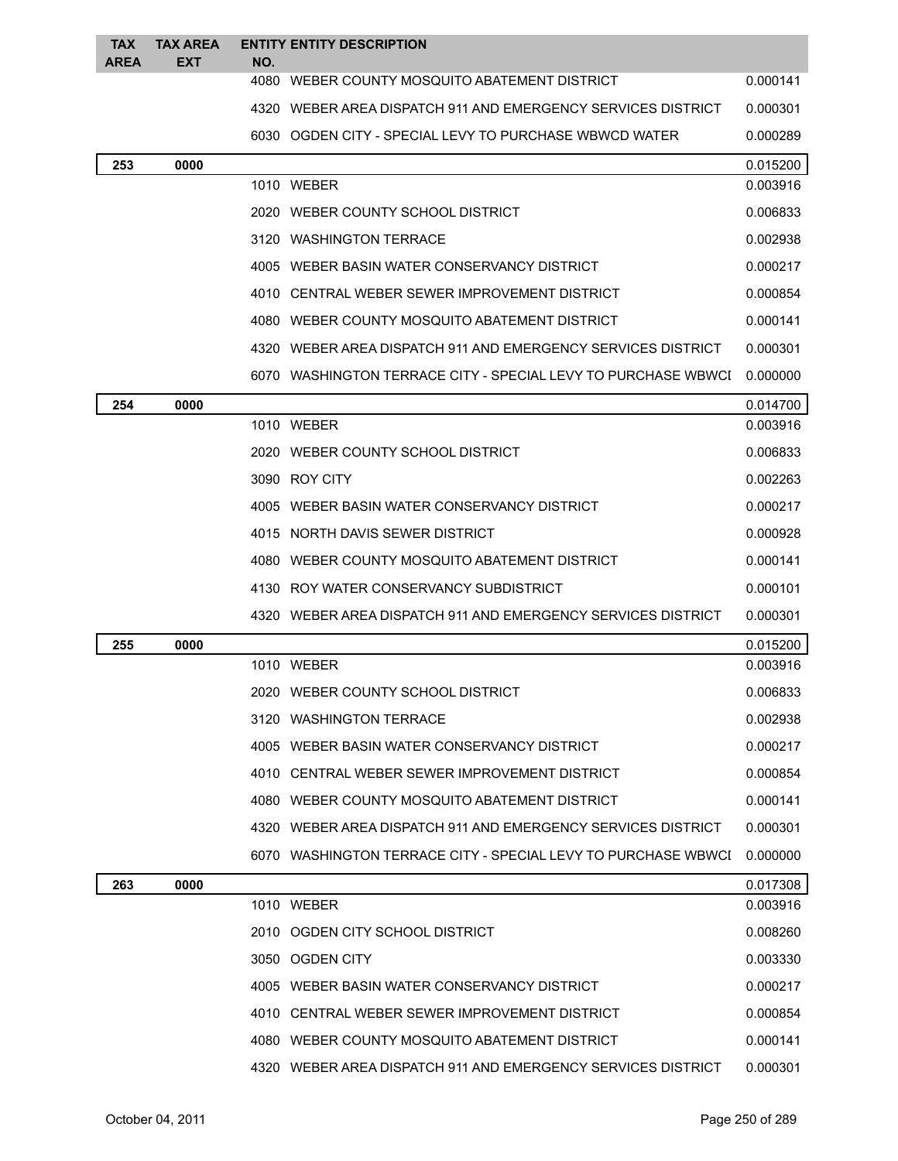| <b>TAX</b><br><b>AREA</b> | <b>TAX AREA</b><br><b>EXT</b> | NO. | <b>ENTITY ENTITY DESCRIPTION</b>                              |          |
|---------------------------|-------------------------------|-----|---------------------------------------------------------------|----------|
|                           |                               |     | 4080 WEBER COUNTY MOSQUITO ABATEMENT DISTRICT                 | 0.000141 |
|                           |                               |     | 4320 WEBER AREA DISPATCH 911 AND EMERGENCY SERVICES DISTRICT  | 0.000301 |
|                           |                               |     | 6030 OGDEN CITY - SPECIAL LEVY TO PURCHASE WBWCD WATER        | 0.000289 |
| 253                       | 0000                          |     |                                                               | 0.015200 |
|                           |                               |     | 1010 WEBER                                                    | 0.003916 |
|                           |                               |     | 2020 WEBER COUNTY SCHOOL DISTRICT                             | 0.006833 |
|                           |                               |     | 3120 WASHINGTON TERRACE                                       | 0.002938 |
|                           |                               |     | 4005 WEBER BASIN WATER CONSERVANCY DISTRICT                   | 0.000217 |
|                           |                               |     | 4010 CENTRAL WEBER SEWER IMPROVEMENT DISTRICT                 | 0.000854 |
|                           |                               |     | 4080 WEBER COUNTY MOSQUITO ABATEMENT DISTRICT                 | 0.000141 |
|                           |                               |     | 4320 WEBER AREA DISPATCH 911 AND EMERGENCY SERVICES DISTRICT  | 0.000301 |
|                           |                               |     | 6070 WASHINGTON TERRACE CITY - SPECIAL LEVY TO PURCHASE WBWCL | 0.000000 |
| 254                       | 0000                          |     |                                                               | 0.014700 |
|                           |                               |     | 1010 WEBER                                                    | 0.003916 |
|                           |                               |     | 2020 WEBER COUNTY SCHOOL DISTRICT                             | 0.006833 |
|                           |                               |     | 3090 ROY CITY                                                 | 0.002263 |
|                           |                               |     | 4005 WEBER BASIN WATER CONSERVANCY DISTRICT                   | 0.000217 |
|                           |                               |     | 4015 NORTH DAVIS SEWER DISTRICT                               | 0.000928 |
|                           |                               |     | 4080 WEBER COUNTY MOSQUITO ABATEMENT DISTRICT                 | 0.000141 |
|                           |                               |     | 4130 ROY WATER CONSERVANCY SUBDISTRICT                        | 0.000101 |
|                           |                               |     | 4320 WEBER AREA DISPATCH 911 AND EMERGENCY SERVICES DISTRICT  | 0.000301 |
| 255                       | 0000                          |     |                                                               | 0.015200 |
|                           |                               |     | 1010 WEBER                                                    | 0.003916 |
|                           |                               |     | 2020 WEBER COUNTY SCHOOL DISTRICT                             | 0.006833 |
|                           |                               |     | 3120 WASHINGTON TERRACE                                       | 0.002938 |
|                           |                               |     | 4005 WEBER BASIN WATER CONSERVANCY DISTRICT                   | 0.000217 |
|                           |                               |     | 4010 CENTRAL WEBER SEWER IMPROVEMENT DISTRICT                 | 0.000854 |
|                           |                               |     | 4080 WEBER COUNTY MOSQUITO ABATEMENT DISTRICT                 | 0.000141 |
|                           |                               |     | 4320 WEBER AREA DISPATCH 911 AND EMERGENCY SERVICES DISTRICT  | 0.000301 |
|                           |                               |     | 6070 WASHINGTON TERRACE CITY - SPECIAL LEVY TO PURCHASE WBWCI | 0.000000 |
| 263                       | 0000                          |     |                                                               | 0.017308 |
|                           |                               |     | 1010 WEBER                                                    | 0.003916 |
|                           |                               |     | 2010 OGDEN CITY SCHOOL DISTRICT                               | 0.008260 |
|                           |                               |     | 3050 OGDEN CITY                                               | 0.003330 |
|                           |                               |     | 4005 WEBER BASIN WATER CONSERVANCY DISTRICT                   | 0.000217 |
|                           |                               |     | 4010 CENTRAL WEBER SEWER IMPROVEMENT DISTRICT                 | 0.000854 |
|                           |                               |     | 4080 WEBER COUNTY MOSQUITO ABATEMENT DISTRICT                 | 0.000141 |
|                           |                               |     | 4320 WEBER AREA DISPATCH 911 AND EMERGENCY SERVICES DISTRICT  | 0.000301 |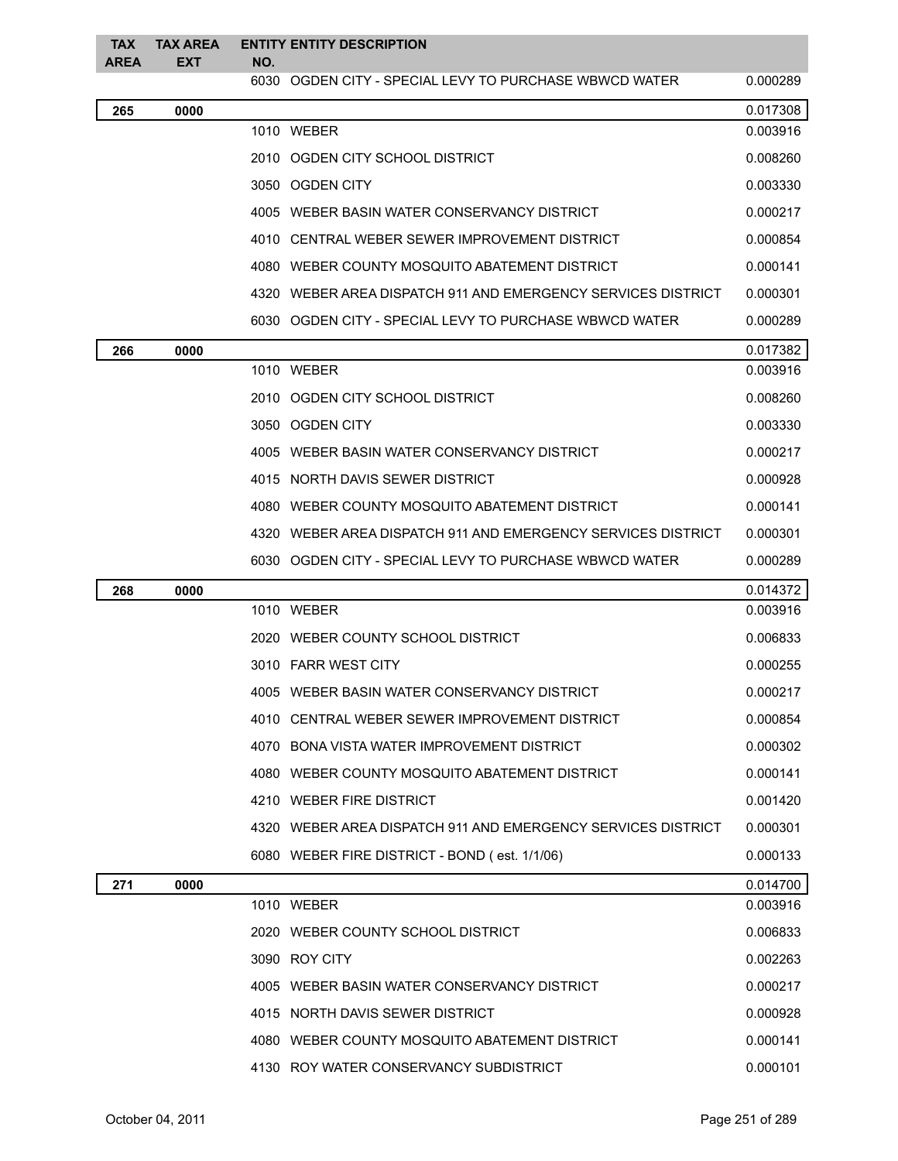| <b>TAX</b><br><b>AREA</b> | <b>TAX AREA</b><br><b>EXT</b> | NO. | <b>ENTITY ENTITY DESCRIPTION</b>                             |          |
|---------------------------|-------------------------------|-----|--------------------------------------------------------------|----------|
|                           |                               |     | 6030 OGDEN CITY - SPECIAL LEVY TO PURCHASE WBWCD WATER       | 0.000289 |
| 265                       | 0000                          |     |                                                              | 0.017308 |
|                           |                               |     | 1010 WEBER                                                   | 0.003916 |
|                           |                               |     | 2010 OGDEN CITY SCHOOL DISTRICT                              | 0.008260 |
|                           |                               |     | 3050 OGDEN CITY                                              | 0.003330 |
|                           |                               |     | 4005 WEBER BASIN WATER CONSERVANCY DISTRICT                  | 0.000217 |
|                           |                               |     | 4010 CENTRAL WEBER SEWER IMPROVEMENT DISTRICT                | 0.000854 |
|                           |                               |     | 4080 WEBER COUNTY MOSQUITO ABATEMENT DISTRICT                | 0.000141 |
|                           |                               |     | 4320 WEBER AREA DISPATCH 911 AND EMERGENCY SERVICES DISTRICT | 0.000301 |
|                           |                               |     | 6030 OGDEN CITY - SPECIAL LEVY TO PURCHASE WBWCD WATER       | 0.000289 |
| 266                       | 0000                          |     |                                                              | 0.017382 |
|                           |                               |     | 1010 WEBER                                                   | 0.003916 |
|                           |                               |     | 2010 OGDEN CITY SCHOOL DISTRICT                              | 0.008260 |
|                           |                               |     | 3050 OGDEN CITY                                              | 0.003330 |
|                           |                               |     | 4005 WEBER BASIN WATER CONSERVANCY DISTRICT                  | 0.000217 |
|                           |                               |     | 4015 NORTH DAVIS SEWER DISTRICT                              | 0.000928 |
|                           |                               |     | 4080 WEBER COUNTY MOSQUITO ABATEMENT DISTRICT                | 0.000141 |
|                           |                               |     | 4320 WEBER AREA DISPATCH 911 AND EMERGENCY SERVICES DISTRICT | 0.000301 |
|                           |                               |     | 6030 OGDEN CITY - SPECIAL LEVY TO PURCHASE WBWCD WATER       | 0.000289 |
| 268                       | 0000                          |     |                                                              | 0.014372 |
|                           |                               |     | 1010 WEBER                                                   | 0.003916 |
|                           |                               |     | 2020 WEBER COUNTY SCHOOL DISTRICT                            | 0.006833 |
|                           |                               |     | 3010 FARR WEST CITY                                          | 0.000255 |
|                           |                               |     | 4005 WEBER BASIN WATER CONSERVANCY DISTRICT                  | 0.000217 |
|                           |                               |     | 4010 CENTRAL WEBER SEWER IMPROVEMENT DISTRICT                | 0.000854 |
|                           |                               |     | 4070 BONA VISTA WATER IMPROVEMENT DISTRICT                   | 0.000302 |
|                           |                               |     | 4080 WEBER COUNTY MOSQUITO ABATEMENT DISTRICT                | 0.000141 |
|                           |                               |     | 4210 WEBER FIRE DISTRICT                                     | 0.001420 |
|                           |                               |     | 4320 WEBER AREA DISPATCH 911 AND EMERGENCY SERVICES DISTRICT | 0.000301 |
|                           |                               |     | 6080 WEBER FIRE DISTRICT - BOND (est. 1/1/06)                | 0.000133 |
| 271                       | 0000                          |     |                                                              | 0.014700 |
|                           |                               |     | 1010 WEBER                                                   | 0.003916 |
|                           |                               |     | 2020 WEBER COUNTY SCHOOL DISTRICT                            | 0.006833 |
|                           |                               |     | 3090 ROY CITY                                                | 0.002263 |
|                           |                               |     | 4005 WEBER BASIN WATER CONSERVANCY DISTRICT                  | 0.000217 |
|                           |                               |     | 4015 NORTH DAVIS SEWER DISTRICT                              | 0.000928 |
|                           |                               |     | 4080 WEBER COUNTY MOSQUITO ABATEMENT DISTRICT                | 0.000141 |
|                           |                               |     | 4130 ROY WATER CONSERVANCY SUBDISTRICT                       | 0.000101 |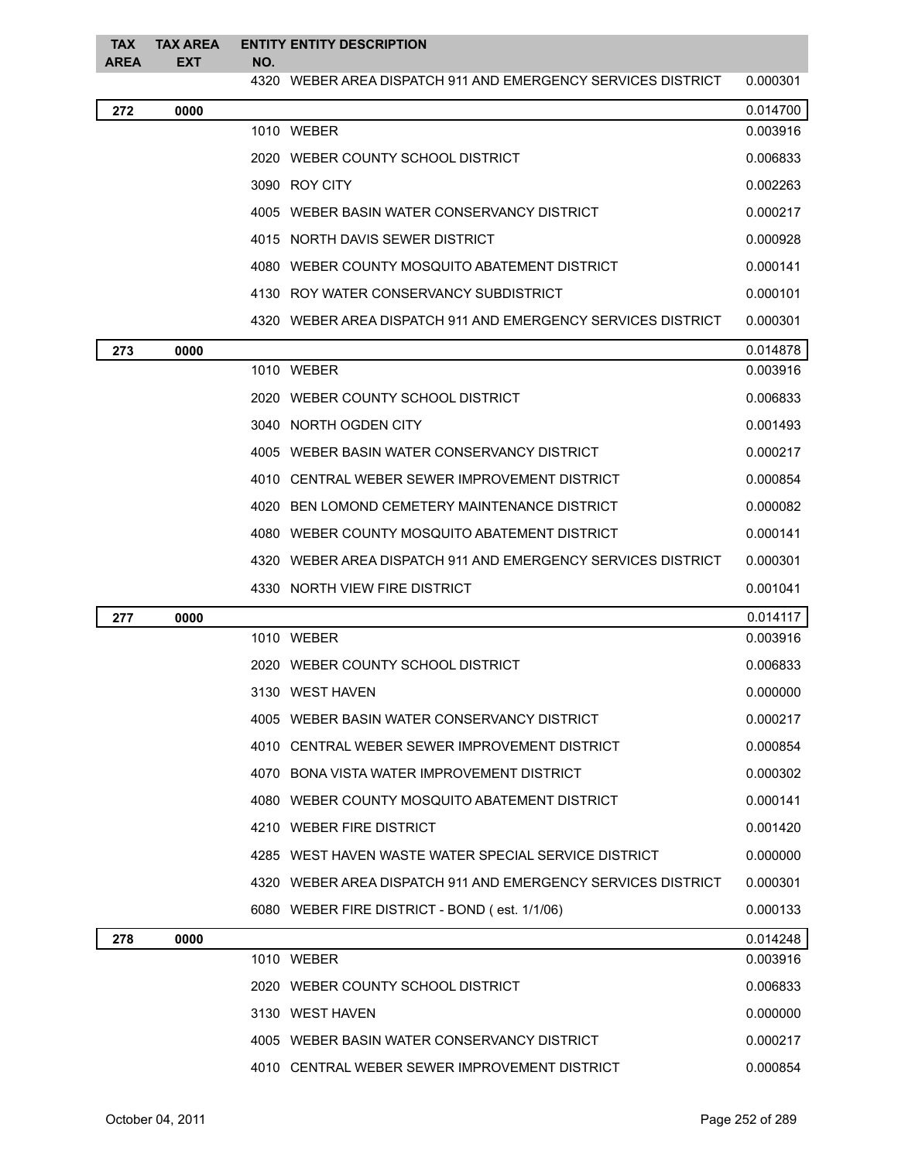| <b>TAX</b>  | <b>TAX AREA</b> |     | <b>ENTITY ENTITY DESCRIPTION</b>                             |          |  |  |
|-------------|-----------------|-----|--------------------------------------------------------------|----------|--|--|
| <b>AREA</b> | <b>EXT</b>      | NO. | 4320 WEBER AREA DISPATCH 911 AND EMERGENCY SERVICES DISTRICT | 0.000301 |  |  |
| 272         | 0000            |     |                                                              | 0.014700 |  |  |
|             |                 |     | 1010 WEBER                                                   | 0.003916 |  |  |
|             |                 |     | 2020 WEBER COUNTY SCHOOL DISTRICT                            | 0.006833 |  |  |
|             |                 |     | 3090 ROY CITY                                                | 0.002263 |  |  |
|             |                 |     | 4005 WEBER BASIN WATER CONSERVANCY DISTRICT                  | 0.000217 |  |  |
|             |                 |     | 4015 NORTH DAVIS SEWER DISTRICT                              | 0.000928 |  |  |
|             |                 |     | 4080 WEBER COUNTY MOSQUITO ABATEMENT DISTRICT                | 0.000141 |  |  |
|             |                 |     | 4130 ROY WATER CONSERVANCY SUBDISTRICT                       | 0.000101 |  |  |
|             |                 |     | 4320 WEBER AREA DISPATCH 911 AND EMERGENCY SERVICES DISTRICT | 0.000301 |  |  |
| 273         | 0000            |     |                                                              | 0.014878 |  |  |
|             |                 |     | 1010 WEBER                                                   | 0.003916 |  |  |
|             |                 |     | 2020 WEBER COUNTY SCHOOL DISTRICT                            | 0.006833 |  |  |
|             |                 |     | 3040 NORTH OGDEN CITY                                        | 0.001493 |  |  |
|             |                 |     | 4005 WEBER BASIN WATER CONSERVANCY DISTRICT                  | 0.000217 |  |  |
|             |                 |     | 4010 CENTRAL WEBER SEWER IMPROVEMENT DISTRICT                | 0.000854 |  |  |
|             |                 |     | 4020 BEN LOMOND CEMETERY MAINTENANCE DISTRICT                | 0.000082 |  |  |
|             |                 |     | 4080 WEBER COUNTY MOSQUITO ABATEMENT DISTRICT                | 0.000141 |  |  |
|             |                 |     | 4320 WEBER AREA DISPATCH 911 AND EMERGENCY SERVICES DISTRICT | 0.000301 |  |  |
|             |                 |     | 4330 NORTH VIEW FIRE DISTRICT                                | 0.001041 |  |  |
| 277         | 0000            |     |                                                              | 0.014117 |  |  |
|             |                 |     | 1010 WEBER                                                   | 0.003916 |  |  |
|             |                 |     | 2020 WEBER COUNTY SCHOOL DISTRICT                            | 0.006833 |  |  |
|             |                 |     | 3130 WEST HAVEN                                              | 0.000000 |  |  |
|             |                 |     | 4005 WEBER BASIN WATER CONSERVANCY DISTRICT                  | 0.000217 |  |  |
|             |                 |     | 4010 CENTRAL WEBER SEWER IMPROVEMENT DISTRICT                | 0.000854 |  |  |
|             |                 |     | 4070 BONA VISTA WATER IMPROVEMENT DISTRICT                   | 0.000302 |  |  |
|             |                 |     | 4080 WEBER COUNTY MOSQUITO ABATEMENT DISTRICT                | 0.000141 |  |  |
|             |                 |     | 4210 WEBER FIRE DISTRICT                                     | 0.001420 |  |  |
|             |                 |     | 4285 WEST HAVEN WASTE WATER SPECIAL SERVICE DISTRICT         | 0.000000 |  |  |
|             |                 |     | 4320 WEBER AREA DISPATCH 911 AND EMERGENCY SERVICES DISTRICT | 0.000301 |  |  |
|             |                 |     | 6080 WEBER FIRE DISTRICT - BOND (est. 1/1/06)                | 0.000133 |  |  |
| 278         | 0000            |     |                                                              | 0.014248 |  |  |
|             |                 |     | 1010 WEBER                                                   | 0.003916 |  |  |
|             |                 |     | 2020 WEBER COUNTY SCHOOL DISTRICT                            | 0.006833 |  |  |
|             |                 |     | 3130 WEST HAVEN                                              | 0.000000 |  |  |
|             |                 |     | 4005 WEBER BASIN WATER CONSERVANCY DISTRICT                  | 0.000217 |  |  |
|             |                 |     |                                                              |          |  |  |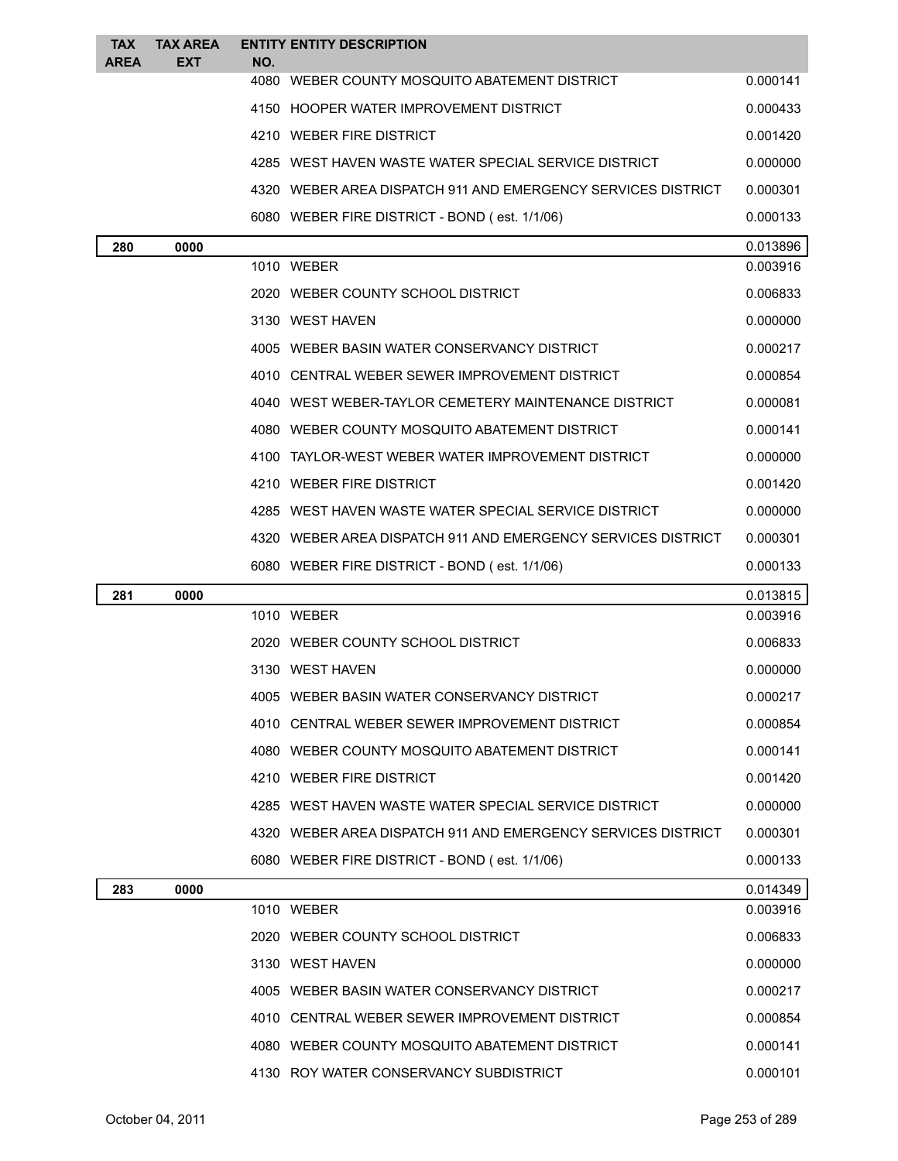| <b>TAX</b>  | <b>TAX AREA</b> |     | <b>ENTITY ENTITY DESCRIPTION</b>                             |                      |
|-------------|-----------------|-----|--------------------------------------------------------------|----------------------|
| <b>AREA</b> | <b>EXT</b>      | NO. | 4080 WEBER COUNTY MOSQUITO ABATEMENT DISTRICT                | 0.000141             |
|             |                 |     | 4150 HOOPER WATER IMPROVEMENT DISTRICT                       | 0.000433             |
|             |                 |     | 4210 WEBER FIRE DISTRICT                                     | 0.001420             |
|             |                 |     | 4285 WEST HAVEN WASTE WATER SPECIAL SERVICE DISTRICT         | 0.000000             |
|             |                 |     | 4320 WEBER AREA DISPATCH 911 AND EMERGENCY SERVICES DISTRICT | 0.000301             |
|             |                 |     | 6080 WEBER FIRE DISTRICT - BOND (est. 1/1/06)                | 0.000133             |
|             |                 |     |                                                              |                      |
| 280         | 0000            |     | 1010 WEBER                                                   | 0.013896<br>0.003916 |
|             |                 |     | 2020 WEBER COUNTY SCHOOL DISTRICT                            | 0.006833             |
|             |                 |     | 3130 WEST HAVEN                                              | 0.000000             |
|             |                 |     | 4005 WEBER BASIN WATER CONSERVANCY DISTRICT                  | 0.000217             |
|             |                 |     | 4010 CENTRAL WEBER SEWER IMPROVEMENT DISTRICT                | 0.000854             |
|             |                 |     | 4040 WEST WEBER-TAYLOR CEMETERY MAINTENANCE DISTRICT         | 0.000081             |
|             |                 |     | 4080 WEBER COUNTY MOSQUITO ABATEMENT DISTRICT                | 0.000141             |
|             |                 |     | 4100 TAYLOR-WEST WEBER WATER IMPROVEMENT DISTRICT            | 0.000000             |
|             |                 |     | 4210 WEBER FIRE DISTRICT                                     | 0.001420             |
|             |                 |     |                                                              |                      |
|             |                 |     | 4285 WEST HAVEN WASTE WATER SPECIAL SERVICE DISTRICT         | 0.000000             |
|             |                 |     | 4320 WEBER AREA DISPATCH 911 AND EMERGENCY SERVICES DISTRICT | 0.000301             |
|             |                 |     | 6080 WEBER FIRE DISTRICT - BOND (est. 1/1/06)                | 0.000133             |
| 281         | 0000            |     | 1010 WEBER                                                   | 0.013815<br>0.003916 |
|             |                 |     | 2020 WEBER COUNTY SCHOOL DISTRICT                            | 0.006833             |
|             |                 |     | 3130 WEST HAVEN                                              | 0.000000             |
|             |                 |     |                                                              | 0.000217             |
|             |                 |     | 4005 WEBER BASIN WATER CONSERVANCY DISTRICT                  |                      |
|             |                 |     | 4010 CENTRAL WEBER SEWER IMPROVEMENT DISTRICT                | 0.000854             |
|             |                 |     | 4080 WEBER COUNTY MOSQUITO ABATEMENT DISTRICT                | 0.000141             |
|             |                 |     | 4210 WEBER FIRE DISTRICT                                     | 0.001420             |
|             |                 |     | 4285 WEST HAVEN WASTE WATER SPECIAL SERVICE DISTRICT         | 0.000000             |
|             |                 |     | 4320 WEBER AREA DISPATCH 911 AND EMERGENCY SERVICES DISTRICT | 0.000301             |
|             |                 |     | 6080 WEBER FIRE DISTRICT - BOND (est. 1/1/06)                | 0.000133             |
| 283         | 0000            |     | 1010 WEBER                                                   | 0.014349<br>0.003916 |
|             |                 |     |                                                              |                      |
|             |                 |     | 2020 WEBER COUNTY SCHOOL DISTRICT                            | 0.006833             |
|             |                 |     | 3130 WEST HAVEN                                              | 0.000000             |
|             |                 |     | 4005 WEBER BASIN WATER CONSERVANCY DISTRICT                  | 0.000217             |
|             |                 |     | 4010 CENTRAL WEBER SEWER IMPROVEMENT DISTRICT                | 0.000854             |
|             |                 |     | 4080 WEBER COUNTY MOSQUITO ABATEMENT DISTRICT                | 0.000141             |
|             |                 |     | 4130 ROY WATER CONSERVANCY SUBDISTRICT                       | 0.000101             |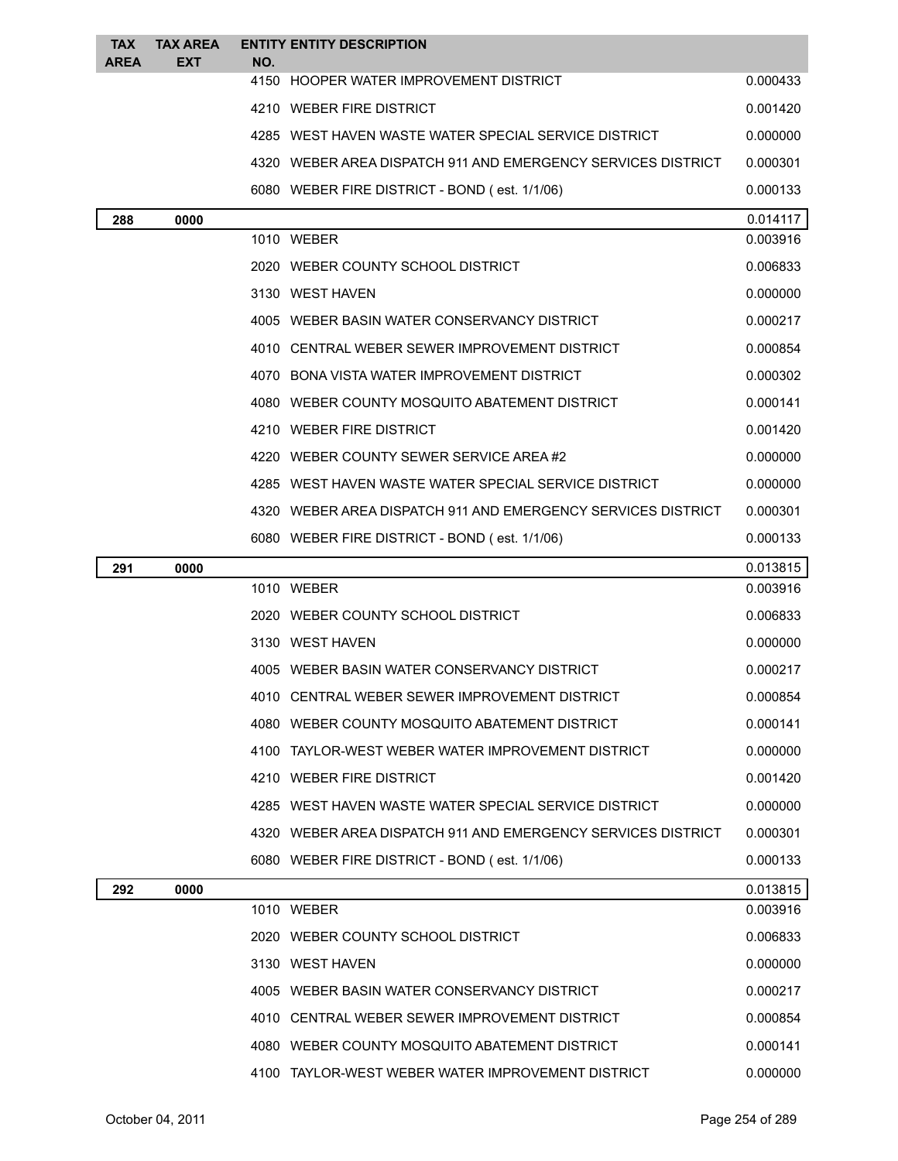| <b>TAX</b>  | <b>TAX AREA</b> |     | <b>ENTITY ENTITY DESCRIPTION</b>                             |                      |
|-------------|-----------------|-----|--------------------------------------------------------------|----------------------|
| <b>AREA</b> | EXT             | NO. | 4150 HOOPER WATER IMPROVEMENT DISTRICT                       | 0.000433             |
|             |                 |     | 4210 WEBER FIRE DISTRICT                                     | 0.001420             |
|             |                 |     | 4285 WEST HAVEN WASTE WATER SPECIAL SERVICE DISTRICT         | 0.000000             |
|             |                 |     | 4320 WEBER AREA DISPATCH 911 AND EMERGENCY SERVICES DISTRICT | 0.000301             |
|             |                 |     |                                                              | 0.000133             |
|             |                 |     | 6080 WEBER FIRE DISTRICT - BOND (est. 1/1/06)                |                      |
| 288         | 0000            |     | 1010 WEBER                                                   | 0.014117<br>0.003916 |
|             |                 |     | 2020 WEBER COUNTY SCHOOL DISTRICT                            | 0.006833             |
|             |                 |     | 3130 WEST HAVEN                                              | 0.000000             |
|             |                 |     | 4005 WEBER BASIN WATER CONSERVANCY DISTRICT                  | 0.000217             |
|             |                 |     | 4010 CENTRAL WEBER SEWER IMPROVEMENT DISTRICT                | 0.000854             |
|             |                 |     | 4070 BONA VISTA WATER IMPROVEMENT DISTRICT                   | 0.000302             |
|             |                 |     | 4080 WEBER COUNTY MOSQUITO ABATEMENT DISTRICT                | 0.000141             |
|             |                 |     | 4210 WEBER FIRE DISTRICT                                     | 0.001420             |
|             |                 |     | 4220 WEBER COUNTY SEWER SERVICE AREA#2                       | 0.000000             |
|             |                 |     | 4285 WEST HAVEN WASTE WATER SPECIAL SERVICE DISTRICT         | 0.000000             |
|             |                 |     | 4320 WEBER AREA DISPATCH 911 AND EMERGENCY SERVICES DISTRICT | 0.000301             |
|             |                 |     | 6080 WEBER FIRE DISTRICT - BOND (est. 1/1/06)                | 0.000133             |
| 291         | 0000            |     |                                                              | 0.013815             |
|             |                 |     | 1010 WEBER                                                   | 0.003916             |
|             |                 |     | 2020 WEBER COUNTY SCHOOL DISTRICT                            | 0.006833             |
|             |                 |     | 3130 WEST HAVEN                                              | 0.000000             |
|             |                 |     | 4005 WEBER BASIN WATER CONSERVANCY DISTRICT                  | 0.000217             |
|             |                 |     | 4010   CENTRAL WEBER SEWER IMPROVEMENT DISTRICT              | 0.000854             |
|             |                 |     | 4080 WEBER COUNTY MOSQUITO ABATEMENT DISTRICT                | 0.000141             |
|             |                 |     | 4100 TAYLOR-WEST WEBER WATER IMPROVEMENT DISTRICT            | 0.000000             |
|             |                 |     | 4210 WEBER FIRE DISTRICT                                     | 0.001420             |
|             |                 |     | 4285 WEST HAVEN WASTE WATER SPECIAL SERVICE DISTRICT         | 0.000000             |
|             |                 |     | 4320 WEBER AREA DISPATCH 911 AND EMERGENCY SERVICES DISTRICT | 0.000301             |
|             |                 |     | 6080 WEBER FIRE DISTRICT - BOND (est. 1/1/06)                | 0.000133             |
| 292         | 0000            |     |                                                              | 0.013815             |
|             |                 |     | 1010 WEBER                                                   | 0.003916             |
|             |                 |     | 2020 WEBER COUNTY SCHOOL DISTRICT                            | 0.006833             |
|             |                 |     | 3130 WEST HAVEN                                              | 0.000000             |
|             |                 |     | 4005 WEBER BASIN WATER CONSERVANCY DISTRICT                  | 0.000217             |
|             |                 |     | 4010 CENTRAL WEBER SEWER IMPROVEMENT DISTRICT                | 0.000854             |
|             |                 |     | 4080 WEBER COUNTY MOSQUITO ABATEMENT DISTRICT                | 0.000141             |
|             |                 |     | 4100 TAYLOR-WEST WEBER WATER IMPROVEMENT DISTRICT            | 0.000000             |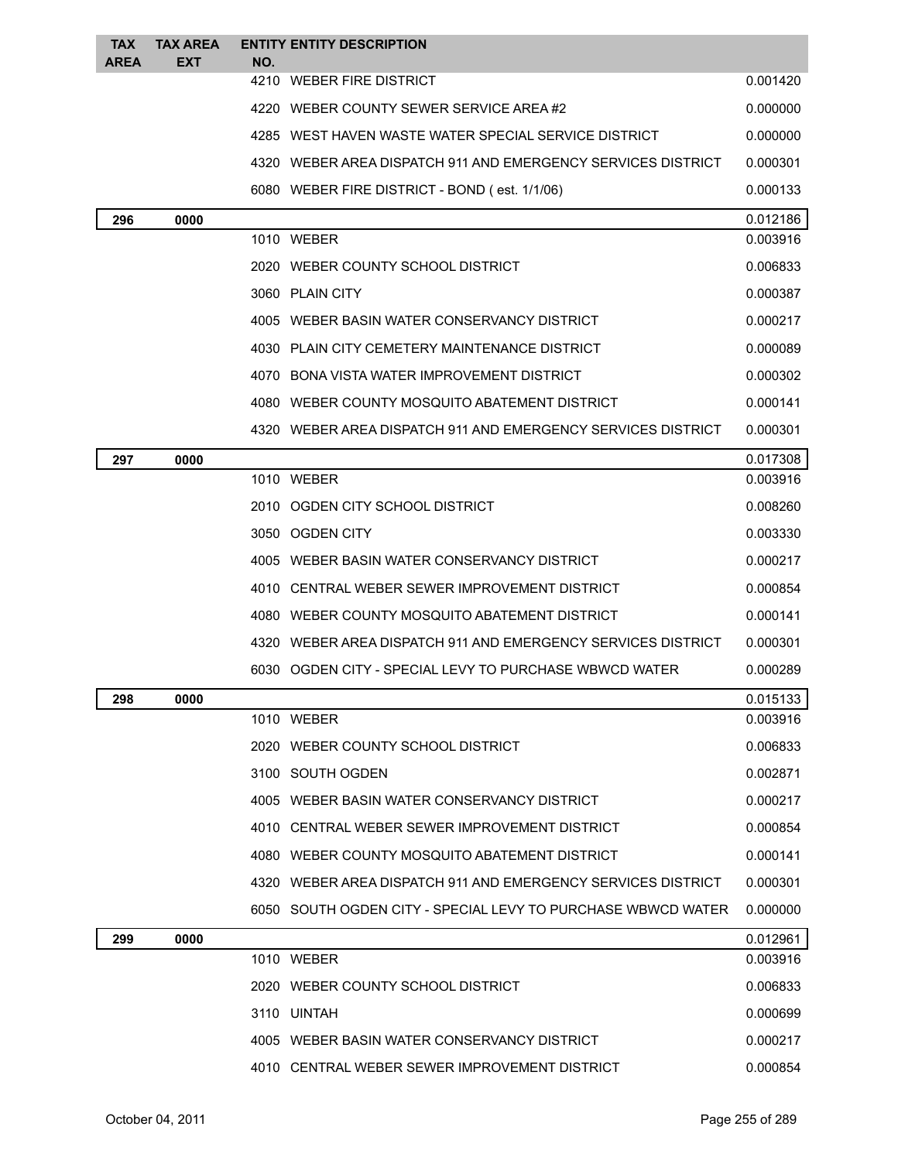| <b>TAX</b>  | <b>TAX AREA</b> | <b>ENTITY ENTITY DESCRIPTION</b> |                                                              |                      |
|-------------|-----------------|----------------------------------|--------------------------------------------------------------|----------------------|
| <b>AREA</b> | <b>EXT</b>      | NO.<br>4210 WEBER FIRE DISTRICT  |                                                              | 0.001420             |
|             |                 |                                  | 4220 WEBER COUNTY SEWER SERVICE AREA#2                       | 0.000000             |
|             |                 |                                  | 4285 WEST HAVEN WASTE WATER SPECIAL SERVICE DISTRICT         | 0.000000             |
|             |                 |                                  | 4320 WEBER AREA DISPATCH 911 AND EMERGENCY SERVICES DISTRICT | 0.000301             |
|             |                 |                                  | 6080 WEBER FIRE DISTRICT - BOND (est. 1/1/06)                | 0.000133             |
| 296         | 0000            |                                  |                                                              |                      |
|             |                 | 1010 WEBER                       |                                                              | 0.012186<br>0.003916 |
|             |                 |                                  | 2020 WEBER COUNTY SCHOOL DISTRICT                            | 0.006833             |
|             |                 | 3060 PLAIN CITY                  |                                                              | 0.000387             |
|             |                 |                                  | 4005 WEBER BASIN WATER CONSERVANCY DISTRICT                  | 0.000217             |
|             |                 |                                  | 4030 PLAIN CITY CEMETERY MAINTENANCE DISTRICT                | 0.000089             |
|             |                 |                                  | 4070 BONA VISTA WATER IMPROVEMENT DISTRICT                   | 0.000302             |
|             |                 |                                  | 4080 WEBER COUNTY MOSQUITO ABATEMENT DISTRICT                | 0.000141             |
|             |                 |                                  | 4320 WEBER AREA DISPATCH 911 AND EMERGENCY SERVICES DISTRICT | 0.000301             |
| 297         | 0000            |                                  |                                                              | 0.017308             |
|             |                 | 1010 WEBER                       |                                                              | 0.003916             |
|             |                 |                                  | 2010 OGDEN CITY SCHOOL DISTRICT                              | 0.008260             |
|             |                 | 3050 OGDEN CITY                  |                                                              | 0.003330             |
|             |                 |                                  | 4005 WEBER BASIN WATER CONSERVANCY DISTRICT                  | 0.000217             |
|             |                 |                                  | 4010 CENTRAL WEBER SEWER IMPROVEMENT DISTRICT                | 0.000854             |
|             |                 |                                  | 4080 WEBER COUNTY MOSQUITO ABATEMENT DISTRICT                | 0.000141             |
|             |                 |                                  | 4320 WEBER AREA DISPATCH 911 AND EMERGENCY SERVICES DISTRICT | 0.000301             |
|             |                 |                                  | 6030 OGDEN CITY - SPECIAL LEVY TO PURCHASE WBWCD WATER       | 0.000289             |
| 298         | 0000            |                                  |                                                              | 0.015133             |
|             |                 | 1010 WEBER                       |                                                              | 0.003916             |
|             |                 |                                  | 2020 WEBER COUNTY SCHOOL DISTRICT                            | 0.006833             |
|             |                 | 3100 SOUTH OGDEN                 |                                                              | 0.002871             |
|             |                 |                                  | 4005 WEBER BASIN WATER CONSERVANCY DISTRICT                  | 0.000217             |
|             |                 |                                  | 4010 CENTRAL WEBER SEWER IMPROVEMENT DISTRICT                | 0.000854             |
|             |                 |                                  | 4080 WEBER COUNTY MOSQUITO ABATEMENT DISTRICT                | 0.000141             |
|             |                 |                                  | 4320 WEBER AREA DISPATCH 911 AND EMERGENCY SERVICES DISTRICT | 0.000301             |
|             |                 |                                  | 6050 SOUTH OGDEN CITY - SPECIAL LEVY TO PURCHASE WBWCD WATER | 0.000000             |
| 299         | 0000            |                                  |                                                              | 0.012961             |
|             |                 | 1010 WEBER                       |                                                              | 0.003916             |
|             |                 |                                  | 2020 WEBER COUNTY SCHOOL DISTRICT                            | 0.006833             |
|             |                 | 3110 UINTAH                      |                                                              | 0.000699             |

| WEBER BASIN WATER CONSERVANCY DISTRICT<br>4005 | 0.000217 |
|------------------------------------------------|----------|
| 4010 CENTRAL WEBER SEWER IMPROVEMENT DISTRICT  | 0.000854 |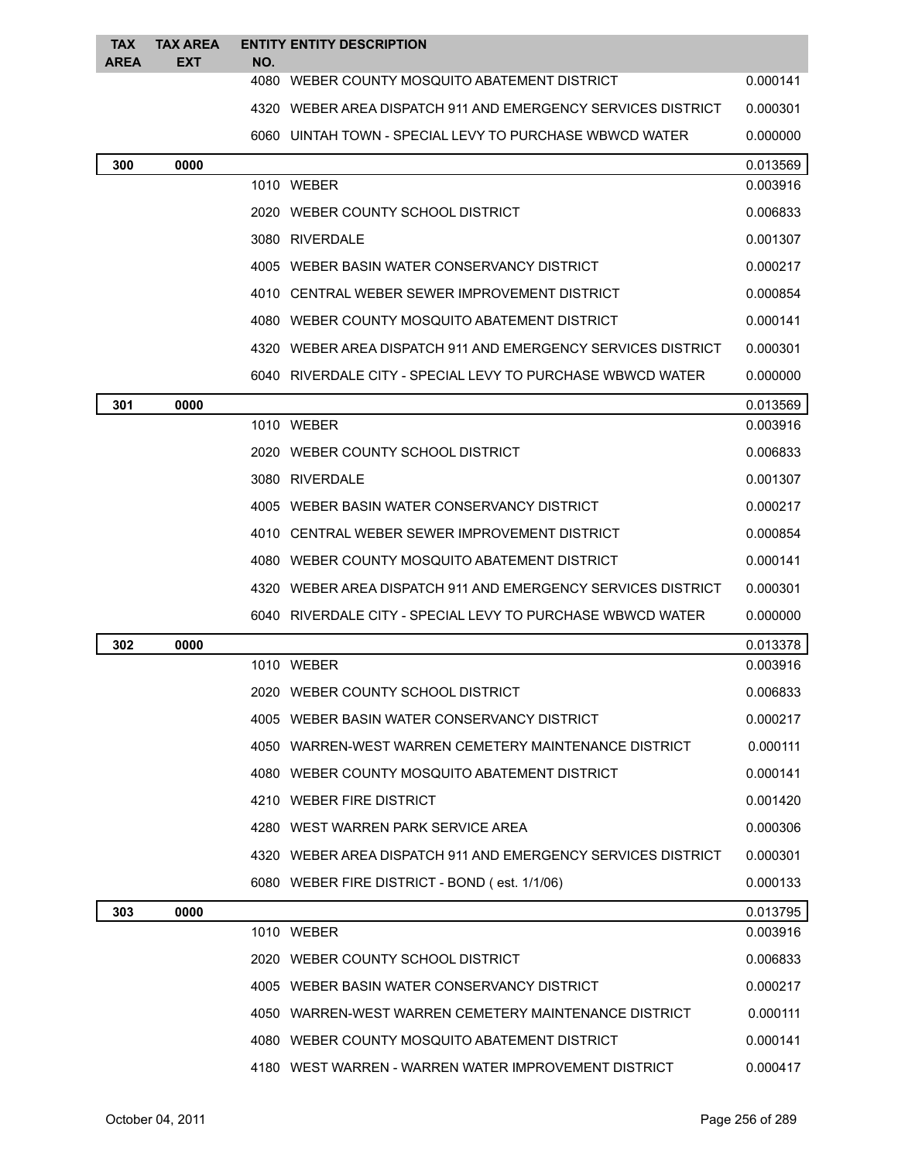| <b>TAX</b><br><b>AREA</b> | <b>TAX AREA</b><br><b>EXT</b> | NO. | <b>ENTITY ENTITY DESCRIPTION</b>                             |          |
|---------------------------|-------------------------------|-----|--------------------------------------------------------------|----------|
|                           |                               |     | 4080 WEBER COUNTY MOSQUITO ABATEMENT DISTRICT                | 0.000141 |
|                           |                               |     | 4320 WEBER AREA DISPATCH 911 AND EMERGENCY SERVICES DISTRICT | 0.000301 |
|                           |                               |     | 6060 UINTAH TOWN - SPECIAL LEVY TO PURCHASE WBWCD WATER      | 0.000000 |
| 300                       | 0000                          |     |                                                              | 0.013569 |
|                           |                               |     | 1010 WEBER                                                   | 0.003916 |
|                           |                               |     | 2020 WEBER COUNTY SCHOOL DISTRICT                            | 0.006833 |
|                           |                               |     | 3080 RIVERDALE                                               | 0.001307 |
|                           |                               |     | 4005 WEBER BASIN WATER CONSERVANCY DISTRICT                  | 0.000217 |
|                           |                               |     | 4010 CENTRAL WEBER SEWER IMPROVEMENT DISTRICT                | 0.000854 |
|                           |                               |     | 4080 WEBER COUNTY MOSQUITO ABATEMENT DISTRICT                | 0.000141 |
|                           |                               |     | 4320 WEBER AREA DISPATCH 911 AND EMERGENCY SERVICES DISTRICT | 0.000301 |
|                           |                               |     | 6040 RIVERDALE CITY - SPECIAL LEVY TO PURCHASE WBWCD WATER   | 0.000000 |
| 301                       | 0000                          |     |                                                              | 0.013569 |
|                           |                               |     | 1010 WEBER                                                   | 0.003916 |
|                           |                               |     | 2020 WEBER COUNTY SCHOOL DISTRICT                            | 0.006833 |
|                           |                               |     | 3080 RIVERDALE                                               | 0.001307 |
|                           |                               |     | 4005 WEBER BASIN WATER CONSERVANCY DISTRICT                  | 0.000217 |
|                           |                               |     | 4010 CENTRAL WEBER SEWER IMPROVEMENT DISTRICT                | 0.000854 |
|                           |                               |     | 4080 WEBER COUNTY MOSQUITO ABATEMENT DISTRICT                | 0.000141 |
|                           |                               |     | 4320 WEBER AREA DISPATCH 911 AND EMERGENCY SERVICES DISTRICT | 0.000301 |
|                           |                               |     | 6040 RIVERDALE CITY - SPECIAL LEVY TO PURCHASE WBWCD WATER   | 0.000000 |
| 302                       | 0000                          |     |                                                              | 0.013378 |
|                           |                               |     | 1010 WEBER                                                   | 0.003916 |
|                           |                               |     | 2020 WEBER COUNTY SCHOOL DISTRICT                            | 0.006833 |
|                           |                               |     | 4005 WEBER BASIN WATER CONSERVANCY DISTRICT                  | 0.000217 |
|                           |                               |     | 4050 WARREN-WEST WARREN CEMETERY MAINTENANCE DISTRICT        | 0.000111 |
|                           |                               |     | 4080 WEBER COUNTY MOSQUITO ABATEMENT DISTRICT                | 0.000141 |
|                           |                               |     | 4210 WEBER FIRE DISTRICT                                     | 0.001420 |
|                           |                               |     | 4280 WEST WARREN PARK SERVICE AREA                           | 0.000306 |
|                           |                               |     | 4320 WEBER AREA DISPATCH 911 AND EMERGENCY SERVICES DISTRICT | 0.000301 |
|                           |                               |     | 6080 WEBER FIRE DISTRICT - BOND (est. 1/1/06)                | 0.000133 |
| 303                       | 0000                          |     |                                                              | 0.013795 |
|                           |                               |     | 1010 WEBER                                                   | 0.003916 |
|                           |                               |     | 2020 WEBER COUNTY SCHOOL DISTRICT                            | 0.006833 |
|                           |                               |     | 4005 WEBER BASIN WATER CONSERVANCY DISTRICT                  | 0.000217 |
|                           |                               |     | 4050 WARREN-WEST WARREN CEMETERY MAINTENANCE DISTRICT        | 0.000111 |
|                           |                               |     | 4080 WEBER COUNTY MOSQUITO ABATEMENT DISTRICT                | 0.000141 |
|                           |                               |     | 4180 WEST WARREN - WARREN WATER IMPROVEMENT DISTRICT         | 0.000417 |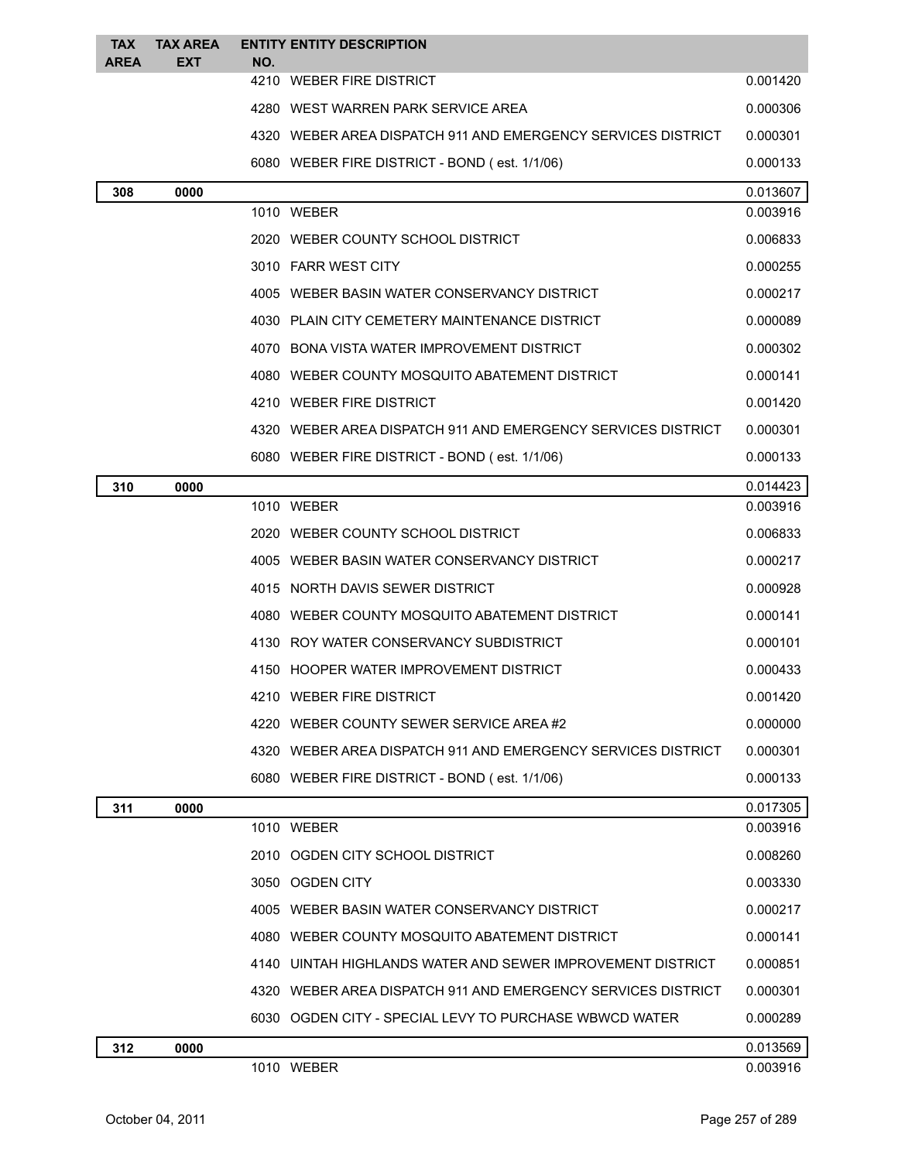| <b>TAX</b><br><b>AREA</b> | <b>TAX AREA</b><br>EXT | <b>ENTITY ENTITY DESCRIPTION</b><br>NO.                      |          |
|---------------------------|------------------------|--------------------------------------------------------------|----------|
|                           |                        | 4210 WEBER FIRE DISTRICT                                     | 0.001420 |
|                           |                        | 4280 WEST WARREN PARK SERVICE AREA                           | 0.000306 |
|                           |                        | 4320 WEBER AREA DISPATCH 911 AND EMERGENCY SERVICES DISTRICT | 0.000301 |
|                           |                        | 6080 WEBER FIRE DISTRICT - BOND (est. 1/1/06)                | 0.000133 |
| 308                       | 0000                   |                                                              | 0.013607 |
|                           |                        | 1010 WEBER                                                   | 0.003916 |
|                           |                        | 2020 WEBER COUNTY SCHOOL DISTRICT                            | 0.006833 |
|                           |                        | 3010 FARR WEST CITY                                          | 0.000255 |
|                           |                        | 4005 WEBER BASIN WATER CONSERVANCY DISTRICT                  | 0.000217 |
|                           |                        | 4030 PLAIN CITY CEMETERY MAINTENANCE DISTRICT                | 0.000089 |
|                           |                        | 4070 BONA VISTA WATER IMPROVEMENT DISTRICT                   | 0.000302 |
|                           |                        | 4080 WEBER COUNTY MOSQUITO ABATEMENT DISTRICT                | 0.000141 |
|                           |                        | 4210 WEBER FIRE DISTRICT                                     | 0.001420 |
|                           |                        | 4320 WEBER AREA DISPATCH 911 AND EMERGENCY SERVICES DISTRICT | 0.000301 |
|                           |                        | 6080 WEBER FIRE DISTRICT - BOND (est. 1/1/06)                | 0.000133 |
| 310                       | 0000                   |                                                              | 0.014423 |
|                           |                        | 1010 WEBER                                                   | 0.003916 |
|                           |                        | 2020 WEBER COUNTY SCHOOL DISTRICT                            | 0.006833 |
|                           |                        | 4005 WEBER BASIN WATER CONSERVANCY DISTRICT                  | 0.000217 |
|                           |                        | 4015 NORTH DAVIS SEWER DISTRICT                              | 0.000928 |
|                           |                        | 4080 WEBER COUNTY MOSQUITO ABATEMENT DISTRICT                | 0.000141 |
|                           |                        | 4130 ROY WATER CONSERVANCY SUBDISTRICT                       | 0.000101 |
|                           |                        | 4150 HOOPER WATER IMPROVEMENT DISTRICT                       | 0.000433 |
|                           |                        | 4210 WEBER FIRE DISTRICT                                     | 0.001420 |
|                           |                        | 4220 WEBER COUNTY SEWER SERVICE AREA#2                       | 0.000000 |
|                           |                        | 4320 WEBER AREA DISPATCH 911 AND EMERGENCY SERVICES DISTRICT | 0.000301 |
|                           |                        | 6080 WEBER FIRE DISTRICT - BOND (est. 1/1/06)                | 0.000133 |
| 311                       | 0000                   |                                                              | 0.017305 |
|                           |                        | 1010 WEBER                                                   | 0.003916 |
|                           |                        | 2010 OGDEN CITY SCHOOL DISTRICT                              | 0.008260 |
|                           |                        | 3050 OGDEN CITY                                              | 0.003330 |
|                           |                        | 4005 WEBER BASIN WATER CONSERVANCY DISTRICT                  | 0.000217 |
|                           |                        | 4080 WEBER COUNTY MOSQUITO ABATEMENT DISTRICT                | 0.000141 |
|                           |                        | 4140 UINTAH HIGHLANDS WATER AND SEWER IMPROVEMENT DISTRICT   | 0.000851 |
|                           |                        | 4320 WEBER AREA DISPATCH 911 AND EMERGENCY SERVICES DISTRICT | 0.000301 |
|                           |                        | 6030   OGDEN CITY - SPECIAL LEVY TO PURCHASE WBWCD WATER     | 0.000289 |
| 312                       | 0000                   |                                                              | 0.013569 |
|                           |                        | 1010 WEBER                                                   | 0.003916 |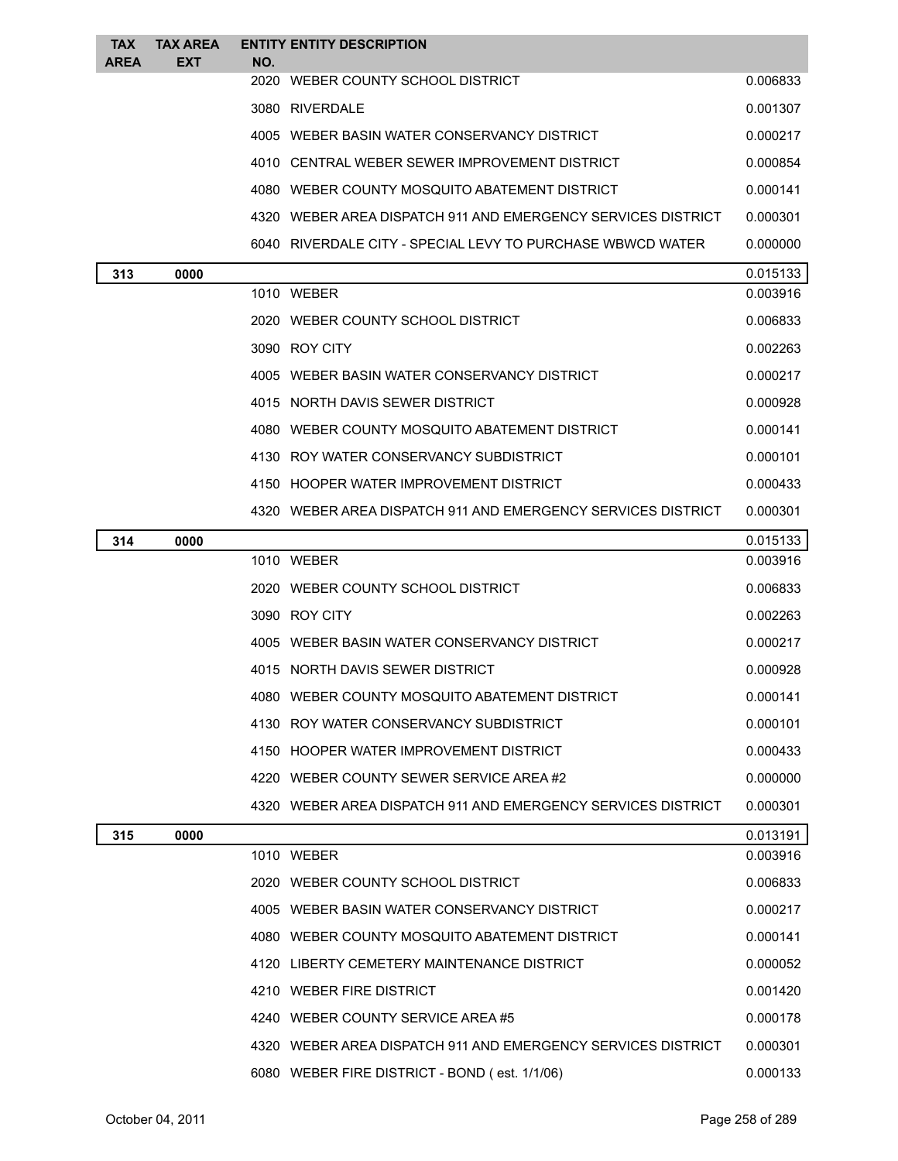| <b>TAX</b><br><b>AREA</b> | <b>TAX AREA</b><br><b>EXT</b> | NO. | <b>ENTITY ENTITY DESCRIPTION</b>                             |          |
|---------------------------|-------------------------------|-----|--------------------------------------------------------------|----------|
|                           |                               |     | 2020 WEBER COUNTY SCHOOL DISTRICT                            | 0.006833 |
|                           |                               |     | 3080 RIVERDALE                                               | 0.001307 |
|                           |                               |     | 4005 WEBER BASIN WATER CONSERVANCY DISTRICT                  | 0.000217 |
|                           |                               |     | 4010 CENTRAL WEBER SEWER IMPROVEMENT DISTRICT                | 0.000854 |
|                           |                               |     | 4080 WEBER COUNTY MOSQUITO ABATEMENT DISTRICT                | 0.000141 |
|                           |                               |     | 4320 WEBER AREA DISPATCH 911 AND EMERGENCY SERVICES DISTRICT | 0.000301 |
|                           |                               |     | 6040 RIVERDALE CITY - SPECIAL LEVY TO PURCHASE WBWCD WATER   | 0.000000 |
| 313                       | 0000                          |     |                                                              | 0.015133 |
|                           |                               |     | 1010 WEBER                                                   | 0.003916 |
|                           |                               |     | 2020 WEBER COUNTY SCHOOL DISTRICT                            | 0.006833 |
|                           |                               |     | 3090 ROY CITY                                                | 0.002263 |
|                           |                               |     | 4005 WEBER BASIN WATER CONSERVANCY DISTRICT                  | 0.000217 |
|                           |                               |     | 4015 NORTH DAVIS SEWER DISTRICT                              | 0.000928 |
|                           |                               |     | 4080 WEBER COUNTY MOSQUITO ABATEMENT DISTRICT                | 0.000141 |
|                           |                               |     | 4130 ROY WATER CONSERVANCY SUBDISTRICT                       | 0.000101 |
|                           |                               |     | 4150 HOOPER WATER IMPROVEMENT DISTRICT                       | 0.000433 |
|                           |                               |     | 4320 WEBER AREA DISPATCH 911 AND EMERGENCY SERVICES DISTRICT | 0.000301 |
| 314                       | 0000                          |     |                                                              | 0.015133 |
|                           |                               |     | 1010 WEBER                                                   | 0.003916 |
|                           |                               |     | 2020 WEBER COUNTY SCHOOL DISTRICT                            | 0.006833 |
|                           |                               |     | 3090 ROY CITY                                                | 0.002263 |
|                           |                               |     | 4005 WEBER BASIN WATER CONSERVANCY DISTRICT                  | 0.000217 |
|                           |                               |     | 4015 NORTH DAVIS SEWER DISTRICT                              | 0.000928 |
|                           |                               |     | 4080 WEBER COUNTY MOSQUITO ABATEMENT DISTRICT                | 0.000141 |
|                           |                               |     | 4130 ROY WATER CONSERVANCY SUBDISTRICT                       | 0.000101 |
|                           |                               |     | 4150 HOOPER WATER IMPROVEMENT DISTRICT                       | 0.000433 |
|                           |                               |     | 4220 WEBER COUNTY SEWER SERVICE AREA#2                       | 0.000000 |
|                           |                               |     | 4320 WEBER AREA DISPATCH 911 AND EMERGENCY SERVICES DISTRICT | 0.000301 |
| 315                       | 0000                          |     |                                                              | 0.013191 |
|                           |                               |     | 1010 WEBER                                                   | 0.003916 |
|                           |                               |     | 2020 WEBER COUNTY SCHOOL DISTRICT                            | 0.006833 |
|                           |                               |     | 4005 WEBER BASIN WATER CONSERVANCY DISTRICT                  | 0.000217 |
|                           |                               |     | 4080 WEBER COUNTY MOSQUITO ABATEMENT DISTRICT                | 0.000141 |
|                           |                               |     | 4120 LIBERTY CEMETERY MAINTENANCE DISTRICT                   | 0.000052 |
|                           |                               |     | 4210 WEBER FIRE DISTRICT                                     | 0.001420 |
|                           |                               |     | 4240 WEBER COUNTY SERVICE AREA#5                             | 0.000178 |
|                           |                               |     | 4320 WEBER AREA DISPATCH 911 AND EMERGENCY SERVICES DISTRICT | 0.000301 |
|                           |                               |     | 6080 WEBER FIRE DISTRICT - BOND (est. 1/1/06)                | 0.000133 |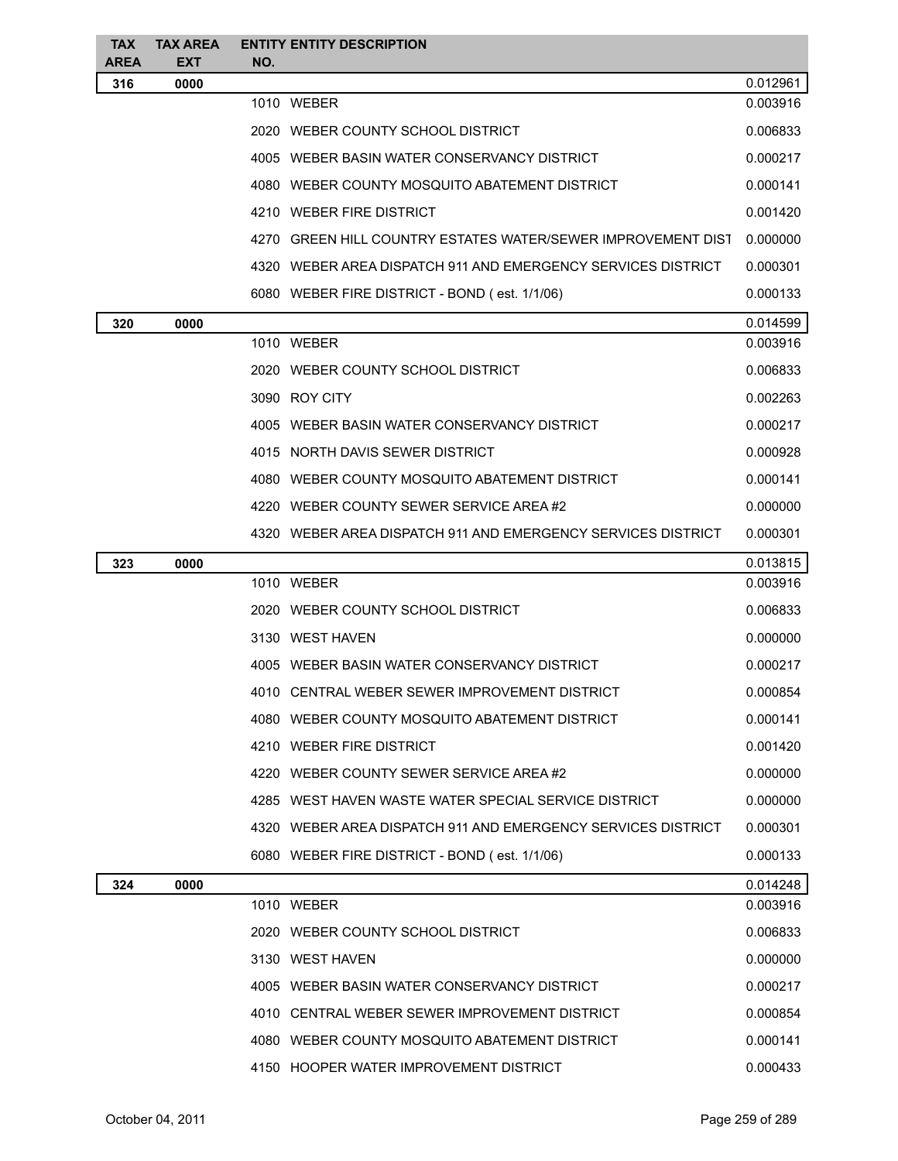| <b>TAX</b>         | <b>TAX AREA</b>    | <b>ENTITY ENTITY DESCRIPTION</b>                             |                      |
|--------------------|--------------------|--------------------------------------------------------------|----------------------|
| <b>AREA</b><br>316 | <b>EXT</b><br>0000 | NO.                                                          | 0.012961             |
|                    |                    | 1010 WEBER                                                   | 0.003916             |
|                    |                    | 2020 WEBER COUNTY SCHOOL DISTRICT                            | 0.006833             |
|                    |                    | 4005 WEBER BASIN WATER CONSERVANCY DISTRICT                  | 0.000217             |
|                    |                    | 4080 WEBER COUNTY MOSQUITO ABATEMENT DISTRICT                | 0.000141             |
|                    |                    | 4210 WEBER FIRE DISTRICT                                     | 0.001420             |
|                    |                    | 4270 GREEN HILL COUNTRY ESTATES WATER/SEWER IMPROVEMENT DIST | 0.000000             |
|                    |                    | 4320 WEBER AREA DISPATCH 911 AND EMERGENCY SERVICES DISTRICT | 0.000301             |
|                    |                    | 6080 WEBER FIRE DISTRICT - BOND (est. 1/1/06)                | 0.000133             |
|                    |                    |                                                              |                      |
| 320                | 0000               | 1010 WEBER                                                   | 0.014599<br>0.003916 |
|                    |                    | 2020 WEBER COUNTY SCHOOL DISTRICT                            | 0.006833             |
|                    |                    | 3090 ROY CITY                                                | 0.002263             |
|                    |                    | 4005 WEBER BASIN WATER CONSERVANCY DISTRICT                  | 0.000217             |
|                    |                    | 4015 NORTH DAVIS SEWER DISTRICT                              | 0.000928             |
|                    |                    | 4080 WEBER COUNTY MOSQUITO ABATEMENT DISTRICT                | 0.000141             |
|                    |                    | 4220 WEBER COUNTY SEWER SERVICE AREA#2                       | 0.000000             |
|                    |                    | 4320 WEBER AREA DISPATCH 911 AND EMERGENCY SERVICES DISTRICT | 0.000301             |
| 323                | 0000               |                                                              | 0.013815             |
|                    |                    | 1010 WEBER                                                   | 0.003916             |
|                    |                    | 2020 WEBER COUNTY SCHOOL DISTRICT                            | 0.006833             |
|                    |                    | 3130 WEST HAVEN                                              | 0.000000             |
|                    |                    | 4005 WEBER BASIN WATER CONSERVANCY DISTRICT                  | 0.000217             |
|                    |                    | 4010 CENTRAL WEBER SEWER IMPROVEMENT DISTRICT                | 0.000854             |
|                    |                    | 4080 WEBER COUNTY MOSQUITO ABATEMENT DISTRICT                | 0.000141             |
|                    |                    | 4210 WEBER FIRE DISTRICT                                     | 0.001420             |
|                    |                    | 4220 WEBER COUNTY SEWER SERVICE AREA#2                       | 0.000000             |
|                    |                    | 4285 WEST HAVEN WASTE WATER SPECIAL SERVICE DISTRICT         | 0.000000             |
|                    |                    | 4320 WEBER AREA DISPATCH 911 AND EMERGENCY SERVICES DISTRICT | 0.000301             |
|                    |                    | 6080 WEBER FIRE DISTRICT - BOND (est. 1/1/06)                | 0.000133             |
| 324                | 0000               |                                                              | 0.014248             |
|                    |                    | 1010 WEBER                                                   | 0.003916             |
|                    |                    | 2020 WEBER COUNTY SCHOOL DISTRICT                            | 0.006833             |
|                    |                    | 3130 WEST HAVEN                                              | 0.000000             |
|                    |                    | 4005 WEBER BASIN WATER CONSERVANCY DISTRICT                  | 0.000217             |
|                    |                    | 4010 CENTRAL WEBER SEWER IMPROVEMENT DISTRICT                | 0.000854             |
|                    |                    | 4080 WEBER COUNTY MOSQUITO ABATEMENT DISTRICT                | 0.000141             |
|                    |                    | 4150 HOOPER WATER IMPROVEMENT DISTRICT                       | 0.000433             |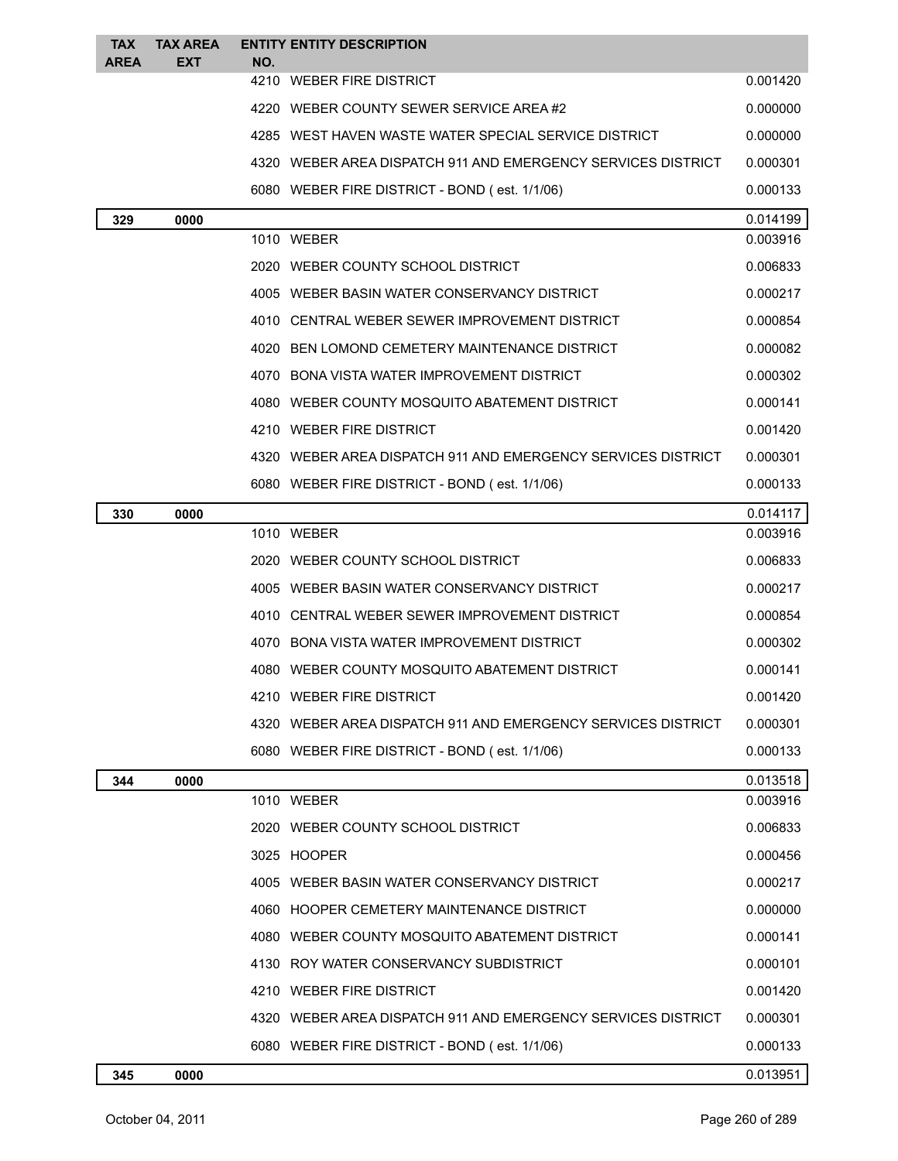| <b>TAX</b>  | <b>TAX AREA</b> | <b>ENTITY ENTITY DESCRIPTION</b>                             |          |
|-------------|-----------------|--------------------------------------------------------------|----------|
| <b>AREA</b> | EXT             | NO.<br>4210 WEBER FIRE DISTRICT                              | 0.001420 |
|             |                 | 4220 WEBER COUNTY SEWER SERVICE AREA #2                      | 0.000000 |
|             |                 | 4285 WEST HAVEN WASTE WATER SPECIAL SERVICE DISTRICT         | 0.000000 |
|             |                 | 4320 WEBER AREA DISPATCH 911 AND EMERGENCY SERVICES DISTRICT | 0.000301 |
|             |                 | 6080 WEBER FIRE DISTRICT - BOND (est. 1/1/06)                | 0.000133 |
| 329         | 0000            |                                                              | 0.014199 |
|             |                 | 1010 WEBER                                                   | 0.003916 |
|             |                 | 2020 WEBER COUNTY SCHOOL DISTRICT                            | 0.006833 |
|             |                 | 4005 WEBER BASIN WATER CONSERVANCY DISTRICT                  | 0.000217 |
|             |                 | 4010 CENTRAL WEBER SEWER IMPROVEMENT DISTRICT                | 0.000854 |
|             |                 | 4020 BEN LOMOND CEMETERY MAINTENANCE DISTRICT                | 0.000082 |
|             |                 | 4070 BONA VISTA WATER IMPROVEMENT DISTRICT                   | 0.000302 |
|             |                 | 4080 WEBER COUNTY MOSQUITO ABATEMENT DISTRICT                | 0.000141 |
|             |                 | 4210 WEBER FIRE DISTRICT                                     | 0.001420 |
|             |                 | 4320 WEBER AREA DISPATCH 911 AND EMERGENCY SERVICES DISTRICT | 0.000301 |
|             |                 | 6080 WEBER FIRE DISTRICT - BOND (est. 1/1/06)                | 0.000133 |
| 330         | 0000            |                                                              | 0.014117 |
|             |                 | 1010 WEBER                                                   | 0.003916 |
|             |                 | 2020 WEBER COUNTY SCHOOL DISTRICT                            | 0.006833 |
|             |                 | 4005 WEBER BASIN WATER CONSERVANCY DISTRICT                  | 0.000217 |
|             |                 | 4010 CENTRAL WEBER SEWER IMPROVEMENT DISTRICT                | 0.000854 |
|             |                 | 4070 BONA VISTA WATER IMPROVEMENT DISTRICT                   | 0.000302 |
|             |                 | 4080 WEBER COUNTY MOSQUITO ABATEMENT DISTRICT                | 0.000141 |
|             |                 | 4210 WEBER FIRE DISTRICT                                     | 0.001420 |
|             |                 | 4320 WEBER AREA DISPATCH 911 AND EMERGENCY SERVICES DISTRICT | 0.000301 |
|             |                 | 6080 WEBER FIRE DISTRICT - BOND (est. 1/1/06)                | 0.000133 |
| 344         | 0000            |                                                              | 0.013518 |
|             |                 | 1010 WEBER                                                   | 0.003916 |
|             |                 | 2020 WEBER COUNTY SCHOOL DISTRICT                            | 0.006833 |
|             |                 | 3025 HOOPER                                                  | 0.000456 |
|             |                 | 4005 WEBER BASIN WATER CONSERVANCY DISTRICT                  | 0.000217 |
|             |                 | 4060 HOOPER CEMETERY MAINTENANCE DISTRICT                    | 0.000000 |
|             |                 | 4080 WEBER COUNTY MOSQUITO ABATEMENT DISTRICT                | 0.000141 |
|             |                 | 4130 ROY WATER CONSERVANCY SUBDISTRICT                       | 0.000101 |
|             |                 | 4210 WEBER FIRE DISTRICT                                     | 0.001420 |
|             |                 | 4320 WEBER AREA DISPATCH 911 AND EMERGENCY SERVICES DISTRICT | 0.000301 |
|             |                 | 6080 WEBER FIRE DISTRICT - BOND (est. 1/1/06)                | 0.000133 |
| 345         | 0000            |                                                              | 0.013951 |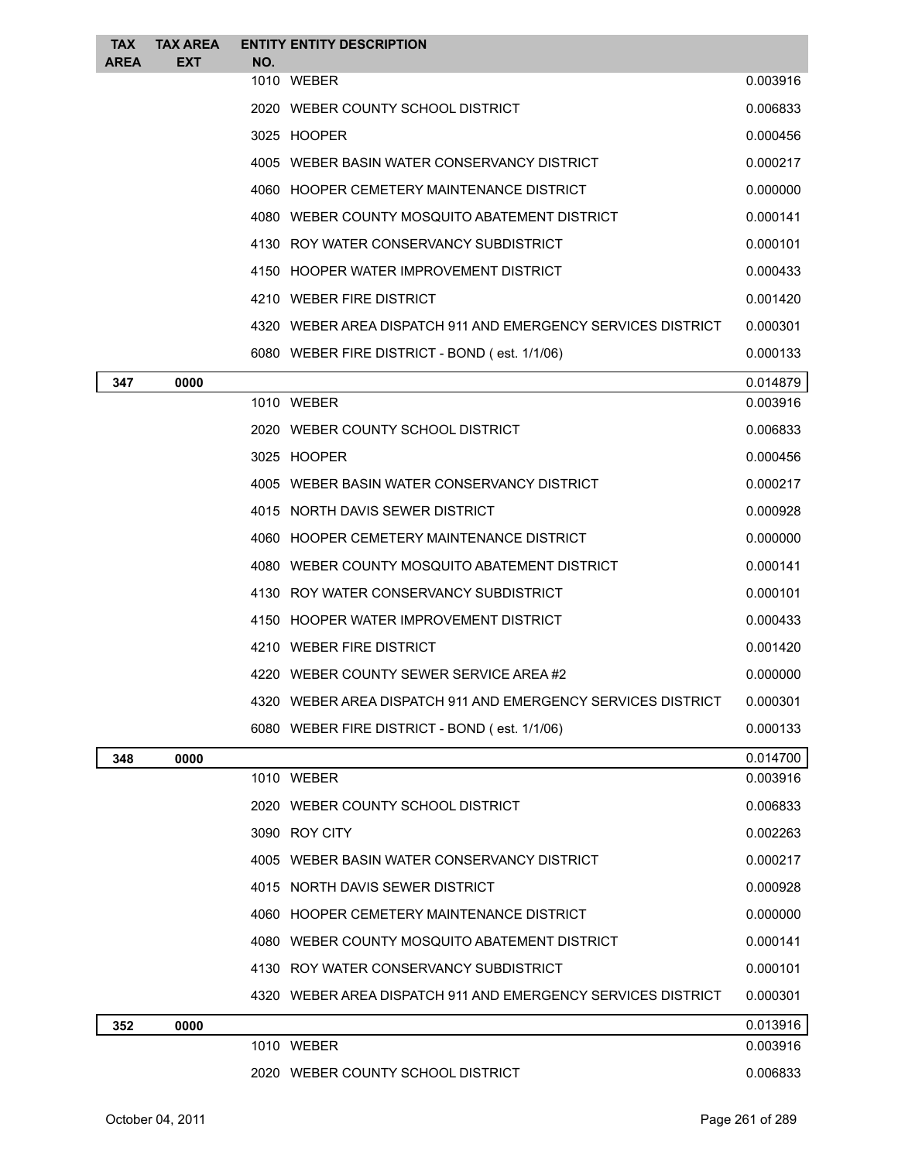| <b>TAX</b><br><b>AREA</b> | <b>TAX AREA</b><br><b>EXT</b> | NO. | <b>ENTITY ENTITY DESCRIPTION</b>                             |          |
|---------------------------|-------------------------------|-----|--------------------------------------------------------------|----------|
|                           |                               |     | 1010 WEBER                                                   | 0.003916 |
|                           |                               |     | 2020 WEBER COUNTY SCHOOL DISTRICT                            | 0.006833 |
|                           |                               |     | 3025 HOOPER                                                  | 0.000456 |
|                           |                               |     | 4005 WEBER BASIN WATER CONSERVANCY DISTRICT                  | 0.000217 |
|                           |                               |     | 4060 HOOPER CEMETERY MAINTENANCE DISTRICT                    | 0.000000 |
|                           |                               |     | 4080 WEBER COUNTY MOSQUITO ABATEMENT DISTRICT                | 0.000141 |
|                           |                               |     | 4130 ROY WATER CONSERVANCY SUBDISTRICT                       | 0.000101 |
|                           |                               |     | 4150 HOOPER WATER IMPROVEMENT DISTRICT                       | 0.000433 |
|                           |                               |     | 4210 WEBER FIRE DISTRICT                                     | 0.001420 |
|                           |                               |     | 4320 WEBER AREA DISPATCH 911 AND EMERGENCY SERVICES DISTRICT | 0.000301 |
|                           |                               |     | 6080 WEBER FIRE DISTRICT - BOND (est. 1/1/06)                | 0.000133 |
| 347                       | 0000                          |     |                                                              | 0.014879 |
|                           |                               |     | 1010 WEBER                                                   | 0.003916 |
|                           |                               |     | 2020 WEBER COUNTY SCHOOL DISTRICT                            | 0.006833 |
|                           |                               |     | 3025 HOOPER                                                  | 0.000456 |
|                           |                               |     | 4005 WEBER BASIN WATER CONSERVANCY DISTRICT                  | 0.000217 |
|                           |                               |     | 4015 NORTH DAVIS SEWER DISTRICT                              | 0.000928 |
|                           |                               |     | 4060 HOOPER CEMETERY MAINTENANCE DISTRICT                    | 0.000000 |
|                           |                               |     | 4080 WEBER COUNTY MOSQUITO ABATEMENT DISTRICT                | 0.000141 |
|                           |                               |     | 4130 ROY WATER CONSERVANCY SUBDISTRICT                       | 0.000101 |
|                           |                               |     | 4150 HOOPER WATER IMPROVEMENT DISTRICT                       | 0.000433 |
|                           |                               |     | 4210 WEBER FIRE DISTRICT                                     | 0.001420 |
|                           |                               |     | 4220 WEBER COUNTY SEWER SERVICE AREA#2                       | 0.000000 |
|                           |                               |     | 4320 WEBER AREA DISPATCH 911 AND EMERGENCY SERVICES DISTRICT | 0.000301 |
|                           |                               |     | 6080 WEBER FIRE DISTRICT - BOND (est. 1/1/06)                | 0.000133 |
| 348                       | 0000                          |     |                                                              | 0.014700 |
|                           |                               |     | 1010 WEBER                                                   | 0.003916 |
|                           |                               |     | 2020 WEBER COUNTY SCHOOL DISTRICT                            | 0.006833 |
|                           |                               |     | 3090 ROY CITY                                                | 0.002263 |
|                           |                               |     | 4005 WEBER BASIN WATER CONSERVANCY DISTRICT                  | 0.000217 |
|                           |                               |     | 4015 NORTH DAVIS SEWER DISTRICT                              | 0.000928 |
|                           |                               |     | 4060 HOOPER CEMETERY MAINTENANCE DISTRICT                    | 0.000000 |
|                           |                               |     | 4080 WEBER COUNTY MOSQUITO ABATEMENT DISTRICT                | 0.000141 |
|                           |                               |     | 4130 ROY WATER CONSERVANCY SUBDISTRICT                       | 0.000101 |
|                           |                               |     | 4320 WEBER AREA DISPATCH 911 AND EMERGENCY SERVICES DISTRICT | 0.000301 |
| 352                       | 0000                          |     |                                                              | 0.013916 |
|                           |                               |     | 1010 WEBER                                                   | 0.003916 |
|                           |                               |     | 2020 WEBER COUNTY SCHOOL DISTRICT                            | 0.006833 |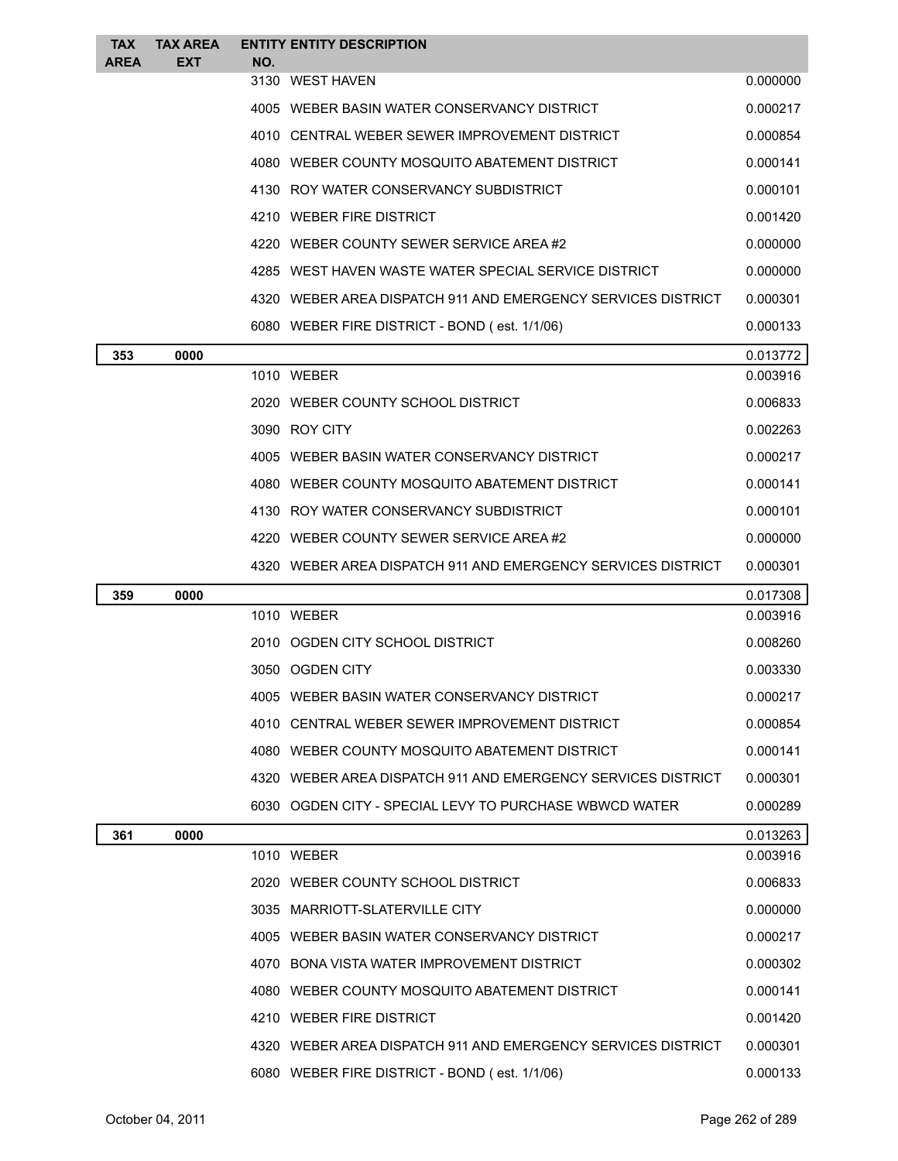| <b>TAX</b><br><b>AREA</b> | <b>TAX AREA</b><br><b>EXT</b> | <b>ENTITY ENTITY DESCRIPTION</b><br>NO.                      |          |
|---------------------------|-------------------------------|--------------------------------------------------------------|----------|
|                           |                               | 3130 WEST HAVEN                                              | 0.000000 |
|                           |                               | 4005 WEBER BASIN WATER CONSERVANCY DISTRICT                  | 0.000217 |
|                           |                               | 4010 CENTRAL WEBER SEWER IMPROVEMENT DISTRICT                | 0.000854 |
|                           |                               | 4080 WEBER COUNTY MOSQUITO ABATEMENT DISTRICT                | 0.000141 |
|                           |                               | 4130 ROY WATER CONSERVANCY SUBDISTRICT                       | 0.000101 |
|                           |                               | 4210 WEBER FIRE DISTRICT                                     | 0.001420 |
|                           |                               | 4220 WEBER COUNTY SEWER SERVICE AREA#2                       | 0.000000 |
|                           |                               | 4285 WEST HAVEN WASTE WATER SPECIAL SERVICE DISTRICT         | 0.000000 |
|                           |                               | 4320 WEBER AREA DISPATCH 911 AND EMERGENCY SERVICES DISTRICT | 0.000301 |
|                           |                               | 6080 WEBER FIRE DISTRICT - BOND (est. 1/1/06)                | 0.000133 |
| 353                       | 0000                          |                                                              | 0.013772 |
|                           |                               | 1010 WEBER                                                   | 0.003916 |
|                           |                               | 2020 WEBER COUNTY SCHOOL DISTRICT                            | 0.006833 |
|                           |                               | 3090 ROY CITY                                                | 0.002263 |
|                           |                               | 4005 WEBER BASIN WATER CONSERVANCY DISTRICT                  | 0.000217 |
|                           |                               | 4080 WEBER COUNTY MOSQUITO ABATEMENT DISTRICT                | 0.000141 |
|                           |                               | 4130 ROY WATER CONSERVANCY SUBDISTRICT                       | 0.000101 |
|                           |                               | 4220 WEBER COUNTY SEWER SERVICE AREA#2                       | 0.000000 |
|                           |                               | 4320 WEBER AREA DISPATCH 911 AND EMERGENCY SERVICES DISTRICT | 0.000301 |
| 359                       | 0000                          |                                                              | 0.017308 |
|                           |                               | 1010 WEBER                                                   | 0.003916 |
|                           |                               | 2010 OGDEN CITY SCHOOL DISTRICT                              | 0.008260 |
|                           |                               | 3050 OGDEN CITY                                              | 0.003330 |
|                           |                               | 4005 WEBER BASIN WATER CONSERVANCY DISTRICT                  | 0.000217 |
|                           |                               | 4010 CENTRAL WEBER SEWER IMPROVEMENT DISTRICT                | 0.000854 |
|                           |                               | 4080 WEBER COUNTY MOSQUITO ABATEMENT DISTRICT                | 0.000141 |
|                           |                               | 4320 WEBER AREA DISPATCH 911 AND EMERGENCY SERVICES DISTRICT | 0.000301 |
|                           |                               | 6030 OGDEN CITY - SPECIAL LEVY TO PURCHASE WBWCD WATER       | 0.000289 |
| 361                       | 0000                          |                                                              | 0.013263 |
|                           |                               | 1010 WEBER                                                   | 0.003916 |
|                           |                               | 2020 WEBER COUNTY SCHOOL DISTRICT                            | 0.006833 |
|                           |                               | 3035 MARRIOTT-SLATERVILLE CITY                               | 0.000000 |
|                           |                               | 4005 WEBER BASIN WATER CONSERVANCY DISTRICT                  | 0.000217 |
|                           |                               | 4070 BONA VISTA WATER IMPROVEMENT DISTRICT                   | 0.000302 |
|                           |                               | 4080 WEBER COUNTY MOSQUITO ABATEMENT DISTRICT                | 0.000141 |
|                           |                               | 4210 WEBER FIRE DISTRICT                                     | 0.001420 |
|                           |                               | 4320 WEBER AREA DISPATCH 911 AND EMERGENCY SERVICES DISTRICT | 0.000301 |
|                           |                               | 6080 WEBER FIRE DISTRICT - BOND (est. 1/1/06)                | 0.000133 |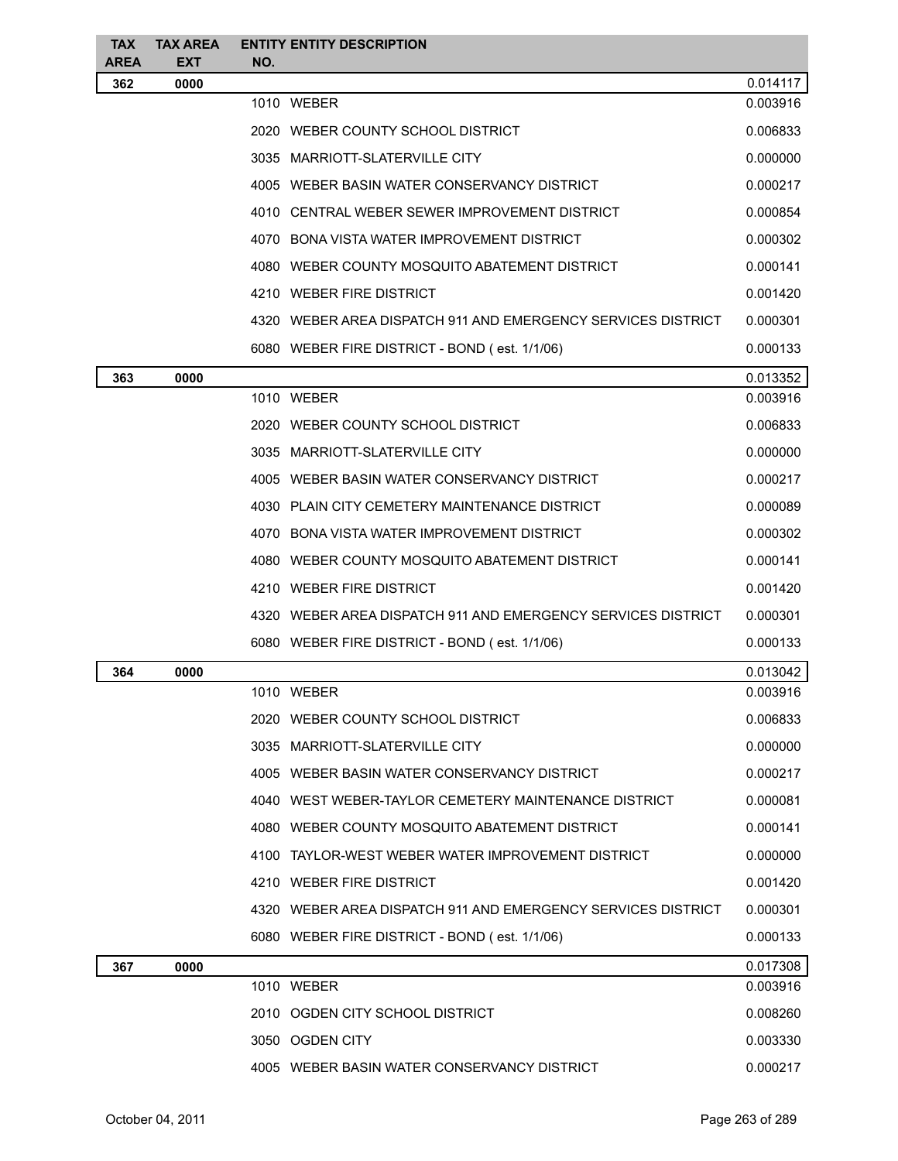| <b>TAX</b>         | <b>TAX AREA</b>    | <b>ENTITY ENTITY DESCRIPTION</b>                             |          |
|--------------------|--------------------|--------------------------------------------------------------|----------|
| <b>AREA</b><br>362 | <b>EXT</b><br>0000 | NO.                                                          | 0.014117 |
|                    |                    | 1010 WEBER                                                   | 0.003916 |
|                    |                    | 2020 WEBER COUNTY SCHOOL DISTRICT                            | 0.006833 |
|                    |                    | 3035 MARRIOTT-SLATERVILLE CITY                               | 0.000000 |
|                    |                    | 4005 WEBER BASIN WATER CONSERVANCY DISTRICT                  | 0.000217 |
|                    |                    | 4010 CENTRAL WEBER SEWER IMPROVEMENT DISTRICT                | 0.000854 |
|                    |                    | 4070 BONA VISTA WATER IMPROVEMENT DISTRICT                   | 0.000302 |
|                    |                    | 4080 WEBER COUNTY MOSQUITO ABATEMENT DISTRICT                | 0.000141 |
|                    |                    | 4210 WEBER FIRE DISTRICT                                     | 0.001420 |
|                    |                    | 4320 WEBER AREA DISPATCH 911 AND EMERGENCY SERVICES DISTRICT | 0.000301 |
|                    |                    | 6080 WEBER FIRE DISTRICT - BOND (est. 1/1/06)                | 0.000133 |
| 363                | 0000               |                                                              | 0.013352 |
|                    |                    | 1010 WEBER                                                   | 0.003916 |
|                    |                    | 2020 WEBER COUNTY SCHOOL DISTRICT                            | 0.006833 |
|                    |                    | 3035 MARRIOTT-SLATERVILLE CITY                               | 0.000000 |
|                    |                    | 4005 WEBER BASIN WATER CONSERVANCY DISTRICT                  | 0.000217 |
|                    |                    | 4030 PLAIN CITY CEMETERY MAINTENANCE DISTRICT                | 0.000089 |
|                    |                    | 4070 BONA VISTA WATER IMPROVEMENT DISTRICT                   | 0.000302 |
|                    |                    | 4080 WEBER COUNTY MOSQUITO ABATEMENT DISTRICT                | 0.000141 |
|                    |                    | 4210 WEBER FIRE DISTRICT                                     | 0.001420 |
|                    |                    | 4320 WEBER AREA DISPATCH 911 AND EMERGENCY SERVICES DISTRICT | 0.000301 |
|                    |                    | 6080 WEBER FIRE DISTRICT - BOND (est. 1/1/06)                | 0.000133 |
| 364                | 0000               |                                                              | 0.013042 |
|                    |                    | 1010 WEBER                                                   | 0.003916 |
|                    |                    | 2020 WEBER COUNTY SCHOOL DISTRICT                            | 0.006833 |
|                    |                    | 3035 MARRIOTT-SLATERVILLE CITY                               | 0.000000 |
|                    |                    | 4005 WEBER BASIN WATER CONSERVANCY DISTRICT                  | 0.000217 |
|                    |                    | 4040 WEST WEBER-TAYLOR CEMETERY MAINTENANCE DISTRICT         | 0.000081 |
|                    |                    | 4080 WEBER COUNTY MOSQUITO ABATEMENT DISTRICT                | 0.000141 |
|                    |                    | 4100 TAYLOR-WEST WEBER WATER IMPROVEMENT DISTRICT            | 0.000000 |
|                    |                    | 4210 WEBER FIRE DISTRICT                                     | 0.001420 |
|                    |                    | 4320 WEBER AREA DISPATCH 911 AND EMERGENCY SERVICES DISTRICT | 0.000301 |
|                    |                    | 6080 WEBER FIRE DISTRICT - BOND (est. 1/1/06)                | 0.000133 |
| 367                | 0000               |                                                              | 0.017308 |
|                    |                    | 1010 WEBER                                                   | 0.003916 |
|                    |                    | 2010 OGDEN CITY SCHOOL DISTRICT                              | 0.008260 |
|                    |                    | 3050 OGDEN CITY                                              | 0.003330 |
|                    |                    | 4005 WEBER BASIN WATER CONSERVANCY DISTRICT                  | 0.000217 |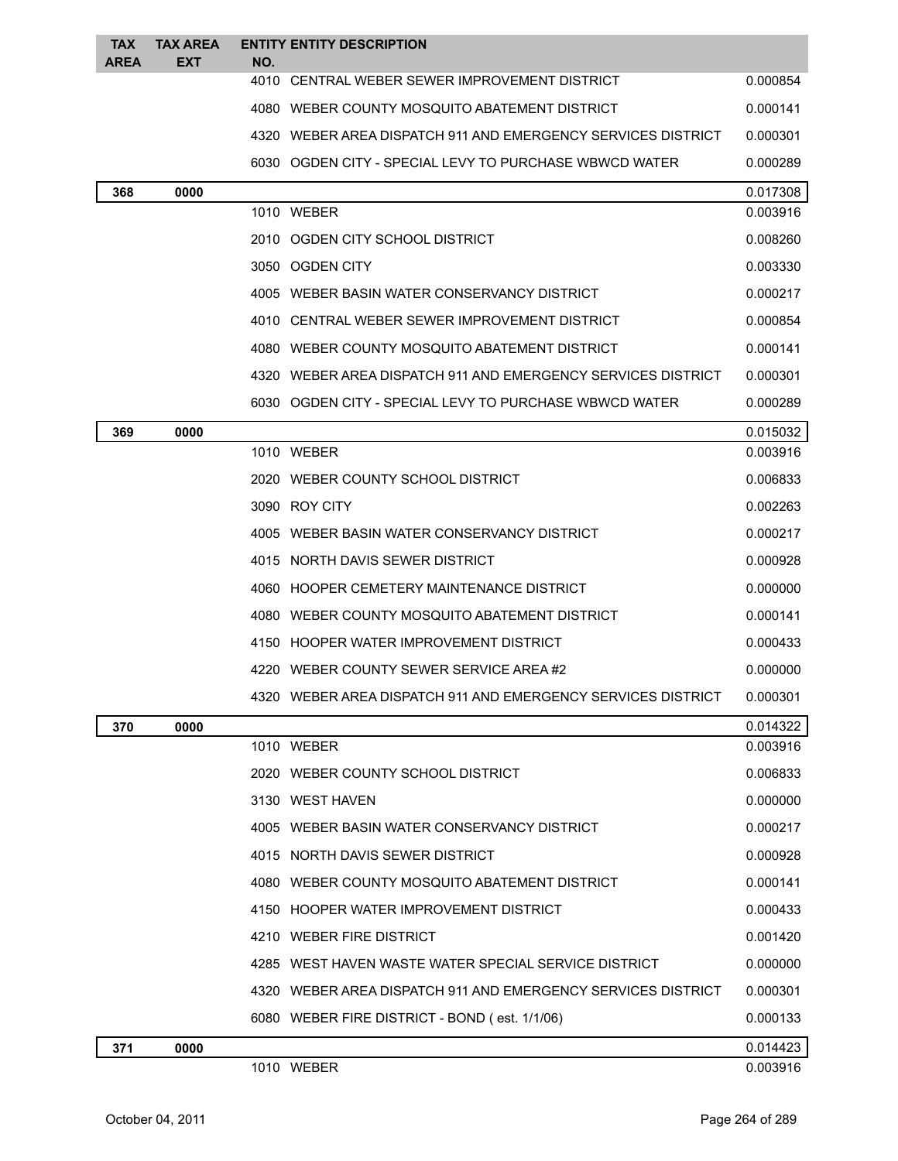| <b>TAX</b>  | <b>TAX AREA</b> | <b>ENTITY ENTITY DESCRIPTION</b>                             |                      |  |
|-------------|-----------------|--------------------------------------------------------------|----------------------|--|
| <b>AREA</b> | EXT             | NO.<br>4010 CENTRAL WEBER SEWER IMPROVEMENT DISTRICT         | 0.000854             |  |
|             |                 | 4080 WEBER COUNTY MOSQUITO ABATEMENT DISTRICT                | 0.000141             |  |
|             |                 | 4320 WEBER AREA DISPATCH 911 AND EMERGENCY SERVICES DISTRICT | 0.000301             |  |
|             |                 | 6030 OGDEN CITY - SPECIAL LEVY TO PURCHASE WBWCD WATER       | 0.000289             |  |
|             |                 |                                                              |                      |  |
| 368         | 0000            | 1010 WEBER                                                   | 0.017308<br>0.003916 |  |
|             |                 | 2010 OGDEN CITY SCHOOL DISTRICT                              | 0.008260             |  |
|             |                 | 3050 OGDEN CITY                                              | 0.003330             |  |
|             |                 | 4005 WEBER BASIN WATER CONSERVANCY DISTRICT                  | 0.000217             |  |
|             |                 | 4010 CENTRAL WEBER SEWER IMPROVEMENT DISTRICT                | 0.000854             |  |
|             |                 | 4080 WEBER COUNTY MOSQUITO ABATEMENT DISTRICT                | 0.000141             |  |
|             |                 | 4320 WEBER AREA DISPATCH 911 AND EMERGENCY SERVICES DISTRICT | 0.000301             |  |
|             |                 | 6030 OGDEN CITY - SPECIAL LEVY TO PURCHASE WBWCD WATER       | 0.000289             |  |
| 369         | 0000            |                                                              |                      |  |
|             |                 | 1010 WEBER                                                   | 0.015032<br>0.003916 |  |
|             |                 | 2020 WEBER COUNTY SCHOOL DISTRICT                            | 0.006833             |  |
|             |                 | 3090 ROY CITY                                                | 0.002263             |  |
|             |                 | 4005 WEBER BASIN WATER CONSERVANCY DISTRICT                  | 0.000217             |  |
|             |                 | 4015 NORTH DAVIS SEWER DISTRICT                              | 0.000928             |  |
|             |                 | 4060 HOOPER CEMETERY MAINTENANCE DISTRICT                    | 0.000000             |  |
|             |                 | 4080 WEBER COUNTY MOSQUITO ABATEMENT DISTRICT                | 0.000141             |  |
|             |                 | 4150 HOOPER WATER IMPROVEMENT DISTRICT                       | 0.000433             |  |
|             |                 | 4220 WEBER COUNTY SEWER SERVICE AREA#2                       | 0.000000             |  |
|             |                 | 4320 WEBER AREA DISPATCH 911 AND EMERGENCY SERVICES DISTRICT | 0.000301             |  |
| 370         | 0000            |                                                              | 0.014322             |  |
|             |                 | 1010 WEBER                                                   | 0.003916             |  |
|             |                 | 2020 WEBER COUNTY SCHOOL DISTRICT                            | 0.006833             |  |
|             |                 | 3130 WEST HAVEN                                              | 0.000000             |  |
|             |                 | 4005 WEBER BASIN WATER CONSERVANCY DISTRICT                  | 0.000217             |  |
|             |                 | 4015 NORTH DAVIS SEWER DISTRICT                              | 0.000928             |  |
|             |                 | 4080 WEBER COUNTY MOSQUITO ABATEMENT DISTRICT                | 0.000141             |  |
|             |                 | 4150 HOOPER WATER IMPROVEMENT DISTRICT                       | 0.000433             |  |
|             |                 | 4210 WEBER FIRE DISTRICT                                     | 0.001420             |  |
|             |                 | 4285 WEST HAVEN WASTE WATER SPECIAL SERVICE DISTRICT         | 0.000000             |  |
|             |                 | 4320 WEBER AREA DISPATCH 911 AND EMERGENCY SERVICES DISTRICT | 0.000301             |  |
|             |                 | 6080 WEBER FIRE DISTRICT - BOND (est. 1/1/06)                | 0.000133             |  |
| 371         | 0000            |                                                              | 0.014423             |  |
|             |                 | 1010 WEBER                                                   | 0.003916             |  |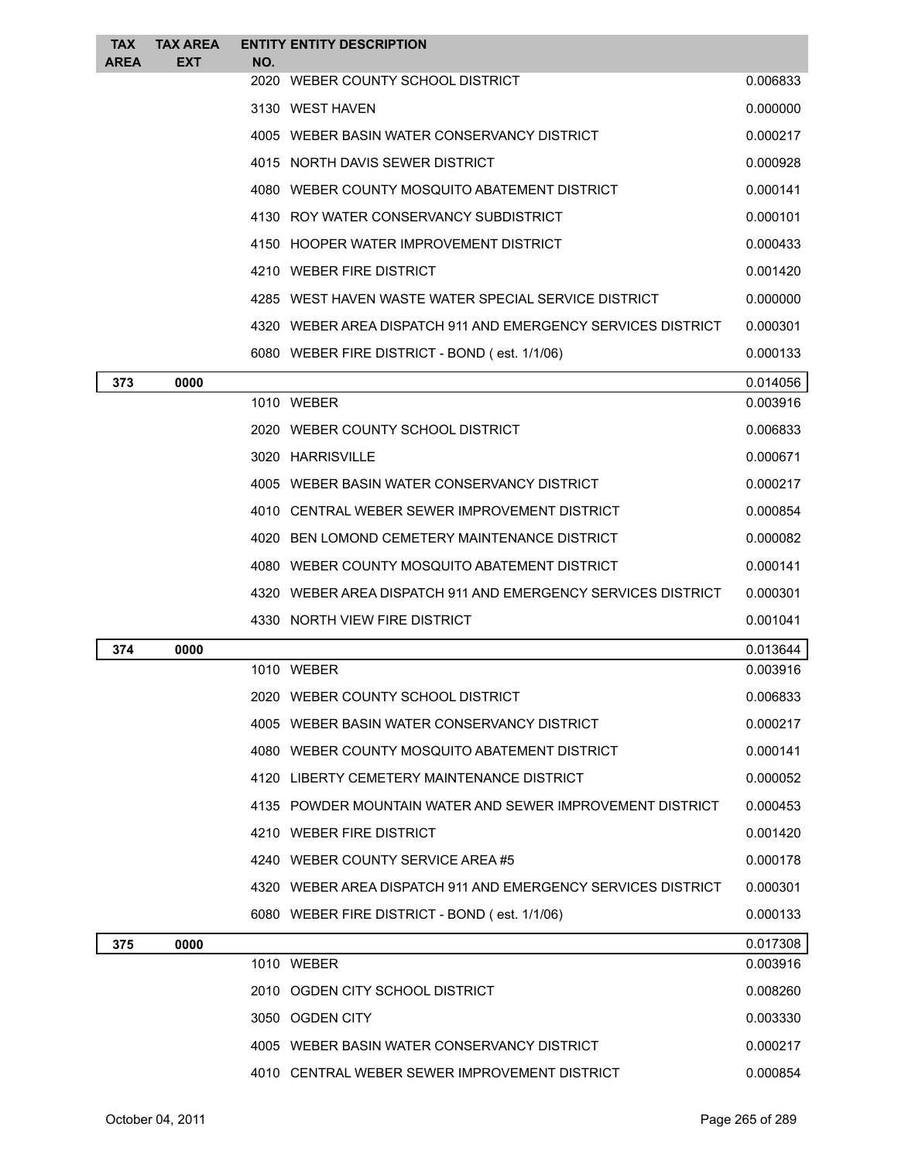| <b>TAX</b><br><b>AREA</b> | <b>TAX AREA</b><br><b>EXT</b> | NO. | <b>ENTITY ENTITY DESCRIPTION</b>                             |          |
|---------------------------|-------------------------------|-----|--------------------------------------------------------------|----------|
|                           |                               |     | 2020 WEBER COUNTY SCHOOL DISTRICT                            | 0.006833 |
|                           |                               |     | 3130 WEST HAVEN                                              | 0.000000 |
|                           |                               |     | 4005 WEBER BASIN WATER CONSERVANCY DISTRICT                  | 0.000217 |
|                           |                               |     | 4015 NORTH DAVIS SEWER DISTRICT                              | 0.000928 |
|                           |                               |     | 4080 WEBER COUNTY MOSQUITO ABATEMENT DISTRICT                | 0.000141 |
|                           |                               |     | 4130 ROY WATER CONSERVANCY SUBDISTRICT                       | 0.000101 |
|                           |                               |     | 4150 HOOPER WATER IMPROVEMENT DISTRICT                       | 0.000433 |
|                           |                               |     | 4210 WEBER FIRE DISTRICT                                     | 0.001420 |
|                           |                               |     | 4285 WEST HAVEN WASTE WATER SPECIAL SERVICE DISTRICT         | 0.000000 |
|                           |                               |     | 4320 WEBER AREA DISPATCH 911 AND EMERGENCY SERVICES DISTRICT | 0.000301 |
|                           |                               |     | 6080 WEBER FIRE DISTRICT - BOND (est. 1/1/06)                | 0.000133 |
| 373                       | 0000                          |     |                                                              | 0.014056 |
|                           |                               |     | 1010 WEBER                                                   | 0.003916 |
|                           |                               |     | 2020 WEBER COUNTY SCHOOL DISTRICT                            | 0.006833 |
|                           |                               |     | 3020 HARRISVILLE                                             | 0.000671 |
|                           |                               |     | 4005 WEBER BASIN WATER CONSERVANCY DISTRICT                  | 0.000217 |
|                           |                               |     | 4010 CENTRAL WEBER SEWER IMPROVEMENT DISTRICT                | 0.000854 |
|                           |                               |     | 4020 BEN LOMOND CEMETERY MAINTENANCE DISTRICT                | 0.000082 |
|                           |                               |     | 4080 WEBER COUNTY MOSQUITO ABATEMENT DISTRICT                | 0.000141 |
|                           |                               |     | 4320 WEBER AREA DISPATCH 911 AND EMERGENCY SERVICES DISTRICT | 0.000301 |
|                           |                               |     | 4330 NORTH VIEW FIRE DISTRICT                                | 0.001041 |
| 374                       | 0000                          |     |                                                              | 0.013644 |
|                           |                               |     | 1010 WEBER                                                   | 0.003916 |
|                           |                               |     | 2020 WEBER COUNTY SCHOOL DISTRICT                            | 0.006833 |
|                           |                               |     | 4005 WEBER BASIN WATER CONSERVANCY DISTRICT                  | 0.000217 |
|                           |                               |     | 4080 WEBER COUNTY MOSQUITO ABATEMENT DISTRICT                | 0.000141 |
|                           |                               |     | 4120 LIBERTY CEMETERY MAINTENANCE DISTRICT                   | 0.000052 |
|                           |                               |     | 4135 POWDER MOUNTAIN WATER AND SEWER IMPROVEMENT DISTRICT    | 0.000453 |
|                           |                               |     | 4210 WEBER FIRE DISTRICT                                     | 0.001420 |
|                           |                               |     | 4240 WEBER COUNTY SERVICE AREA #5                            | 0.000178 |
|                           |                               |     | 4320 WEBER AREA DISPATCH 911 AND EMERGENCY SERVICES DISTRICT | 0.000301 |
|                           |                               |     | 6080 WEBER FIRE DISTRICT - BOND (est. 1/1/06)                | 0.000133 |
| 375                       | 0000                          |     |                                                              | 0.017308 |
|                           |                               |     | 1010 WEBER                                                   | 0.003916 |
|                           |                               |     | 2010 OGDEN CITY SCHOOL DISTRICT                              | 0.008260 |
|                           |                               |     | 3050 OGDEN CITY                                              | 0.003330 |
|                           |                               |     | 4005 WEBER BASIN WATER CONSERVANCY DISTRICT                  | 0.000217 |
|                           |                               |     | 4010 CENTRAL WEBER SEWER IMPROVEMENT DISTRICT                | 0.000854 |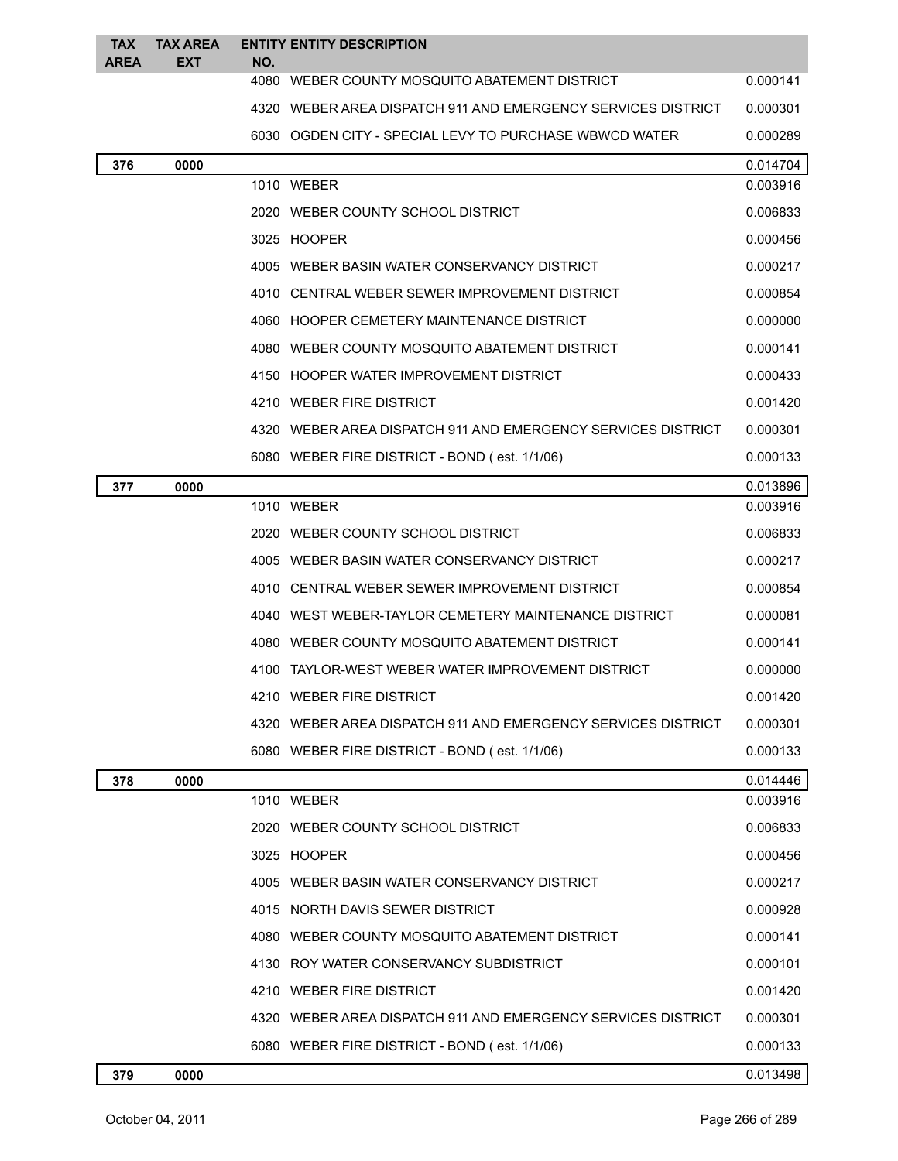| <b>TAX</b>  | <b>TAX AREA</b> | <b>ENTITY ENTITY DESCRIPTION</b>                             |          |
|-------------|-----------------|--------------------------------------------------------------|----------|
| <b>AREA</b> | <b>EXT</b>      | NO.<br>4080 WEBER COUNTY MOSQUITO ABATEMENT DISTRICT         | 0.000141 |
|             |                 | 4320 WEBER AREA DISPATCH 911 AND EMERGENCY SERVICES DISTRICT | 0.000301 |
|             |                 | 6030 OGDEN CITY - SPECIAL LEVY TO PURCHASE WBWCD WATER       | 0.000289 |
| 376         | 0000            |                                                              | 0.014704 |
|             |                 | 1010 WEBER                                                   | 0.003916 |
|             |                 | 2020 WEBER COUNTY SCHOOL DISTRICT                            | 0.006833 |
|             |                 | 3025 HOOPER                                                  | 0.000456 |
|             |                 | 4005 WEBER BASIN WATER CONSERVANCY DISTRICT                  | 0.000217 |
|             |                 | 4010 CENTRAL WEBER SEWER IMPROVEMENT DISTRICT                | 0.000854 |
|             |                 | 4060 HOOPER CEMETERY MAINTENANCE DISTRICT                    | 0.000000 |
|             |                 | 4080 WEBER COUNTY MOSQUITO ABATEMENT DISTRICT                | 0.000141 |
|             |                 | 4150 HOOPER WATER IMPROVEMENT DISTRICT                       | 0.000433 |
|             |                 | 4210 WEBER FIRE DISTRICT                                     | 0.001420 |
|             |                 | 4320 WEBER AREA DISPATCH 911 AND EMERGENCY SERVICES DISTRICT | 0.000301 |
|             |                 | 6080 WEBER FIRE DISTRICT - BOND (est. 1/1/06)                | 0.000133 |
| 377         | 0000            |                                                              | 0.013896 |
|             |                 | 1010 WEBER                                                   | 0.003916 |
|             |                 | 2020 WEBER COUNTY SCHOOL DISTRICT                            | 0.006833 |
|             |                 | 4005 WEBER BASIN WATER CONSERVANCY DISTRICT                  | 0.000217 |
|             |                 | 4010 CENTRAL WEBER SEWER IMPROVEMENT DISTRICT                | 0.000854 |
|             |                 | 4040 WEST WEBER-TAYLOR CEMETERY MAINTENANCE DISTRICT         | 0.000081 |
|             |                 | 4080 WEBER COUNTY MOSQUITO ABATEMENT DISTRICT                | 0.000141 |
|             |                 | 4100 TAYLOR-WEST WEBER WATER IMPROVEMENT DISTRICT            | 0.000000 |
|             |                 | 4210 WEBER FIRE DISTRICT                                     | 0.001420 |
|             |                 | 4320 WEBER AREA DISPATCH 911 AND EMERGENCY SERVICES DISTRICT | 0.000301 |
|             |                 | 6080 WEBER FIRE DISTRICT - BOND (est. 1/1/06)                | 0.000133 |
| 378         | 0000            |                                                              | 0.014446 |
|             |                 | 1010 WEBER                                                   | 0.003916 |
|             |                 | 2020 WEBER COUNTY SCHOOL DISTRICT                            | 0.006833 |
|             |                 | 3025 HOOPER                                                  | 0.000456 |
|             |                 | 4005 WEBER BASIN WATER CONSERVANCY DISTRICT                  | 0.000217 |
|             |                 | 4015 NORTH DAVIS SEWER DISTRICT                              | 0.000928 |
|             |                 | 4080 WEBER COUNTY MOSQUITO ABATEMENT DISTRICT                | 0.000141 |
|             |                 | 4130 ROY WATER CONSERVANCY SUBDISTRICT                       | 0.000101 |
|             |                 | 4210 WEBER FIRE DISTRICT                                     | 0.001420 |
|             |                 | 4320 WEBER AREA DISPATCH 911 AND EMERGENCY SERVICES DISTRICT | 0.000301 |
|             |                 | 6080 WEBER FIRE DISTRICT - BOND (est. 1/1/06)                | 0.000133 |

**0000** 0.013498

L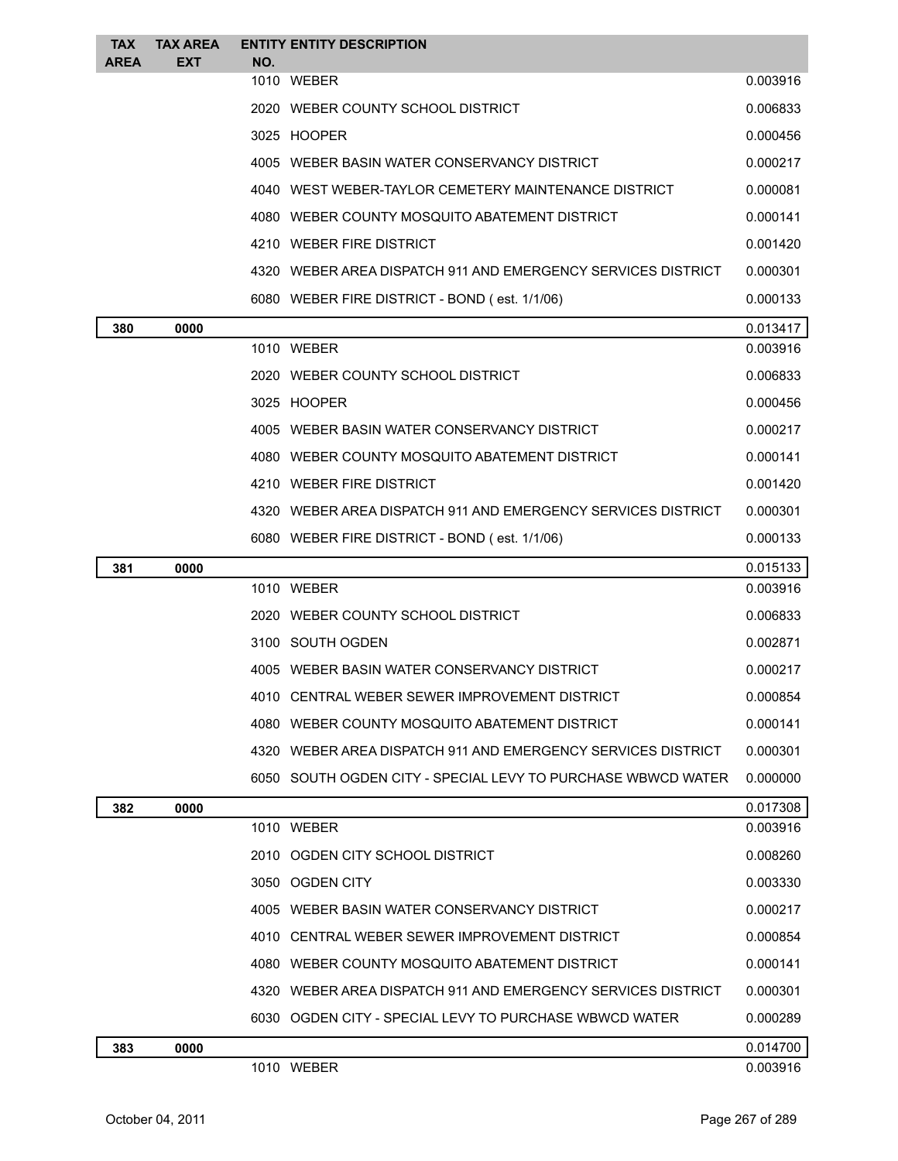| <b>TAX</b><br><b>AREA</b> | <b>TAX AREA</b><br><b>EXT</b> | NO. | <b>ENTITY ENTITY DESCRIPTION</b>                             |                      |
|---------------------------|-------------------------------|-----|--------------------------------------------------------------|----------------------|
|                           |                               |     | 1010 WEBER                                                   | 0.003916             |
|                           |                               |     | 2020 WEBER COUNTY SCHOOL DISTRICT                            | 0.006833             |
|                           |                               |     | 3025 HOOPER                                                  | 0.000456             |
|                           |                               |     | 4005 WEBER BASIN WATER CONSERVANCY DISTRICT                  | 0.000217             |
|                           |                               |     | 4040 WEST WEBER-TAYLOR CEMETERY MAINTENANCE DISTRICT         | 0.000081             |
|                           |                               |     | 4080 WEBER COUNTY MOSQUITO ABATEMENT DISTRICT                | 0.000141             |
|                           |                               |     | 4210 WEBER FIRE DISTRICT                                     | 0.001420             |
|                           |                               |     | 4320 WEBER AREA DISPATCH 911 AND EMERGENCY SERVICES DISTRICT | 0.000301             |
|                           |                               |     | 6080 WEBER FIRE DISTRICT - BOND (est. 1/1/06)                | 0.000133             |
| 380                       | 0000                          |     |                                                              | 0.013417             |
|                           |                               |     | 1010 WEBER                                                   | 0.003916             |
|                           |                               |     | 2020 WEBER COUNTY SCHOOL DISTRICT                            | 0.006833             |
|                           |                               |     | 3025 HOOPER                                                  | 0.000456             |
|                           |                               |     | 4005 WEBER BASIN WATER CONSERVANCY DISTRICT                  | 0.000217             |
|                           |                               |     | 4080 WEBER COUNTY MOSQUITO ABATEMENT DISTRICT                | 0.000141             |
|                           |                               |     | 4210 WEBER FIRE DISTRICT                                     | 0.001420             |
|                           |                               |     | 4320 WEBER AREA DISPATCH 911 AND EMERGENCY SERVICES DISTRICT | 0.000301             |
|                           |                               |     | 6080 WEBER FIRE DISTRICT - BOND (est. 1/1/06)                | 0.000133             |
| 381                       | 0000                          |     | 1010 WEBER                                                   | 0.015133<br>0.003916 |
|                           |                               |     | 2020 WEBER COUNTY SCHOOL DISTRICT                            | 0.006833             |
|                           |                               |     | 3100 SOUTH OGDEN                                             | 0.002871             |
|                           |                               |     | 4005 WEBER BASIN WATER CONSERVANCY DISTRICT                  | 0.000217             |
|                           |                               |     | 4010 CENTRAL WEBER SEWER IMPROVEMENT DISTRICT                | 0.000854             |
|                           |                               |     | 4080 WEBER COUNTY MOSQUITO ABATEMENT DISTRICT                | 0.000141             |
|                           |                               |     | 4320 WEBER AREA DISPATCH 911 AND EMERGENCY SERVICES DISTRICT | 0.000301             |
|                           |                               |     | 6050 SOUTH OGDEN CITY - SPECIAL LEVY TO PURCHASE WBWCD WATER | 0.000000             |
| 382                       | 0000                          |     |                                                              | 0.017308             |
|                           |                               |     | 1010 WEBER                                                   | 0.003916             |
|                           |                               |     | 2010 OGDEN CITY SCHOOL DISTRICT                              | 0.008260             |
|                           |                               |     | 3050 OGDEN CITY                                              | 0.003330             |
|                           |                               |     | 4005 WEBER BASIN WATER CONSERVANCY DISTRICT                  | 0.000217             |
|                           |                               |     | 4010 CENTRAL WEBER SEWER IMPROVEMENT DISTRICT                | 0.000854             |
|                           |                               |     |                                                              |                      |
|                           |                               |     | 4080 WEBER COUNTY MOSQUITO ABATEMENT DISTRICT                | 0.000141             |
|                           |                               |     | 4320 WEBER AREA DISPATCH 911 AND EMERGENCY SERVICES DISTRICT | 0.000301             |
|                           |                               |     | 6030 OGDEN CITY - SPECIAL LEVY TO PURCHASE WBWCD WATER       | 0.000289             |
| 383                       | 0000                          |     |                                                              | 0.014700             |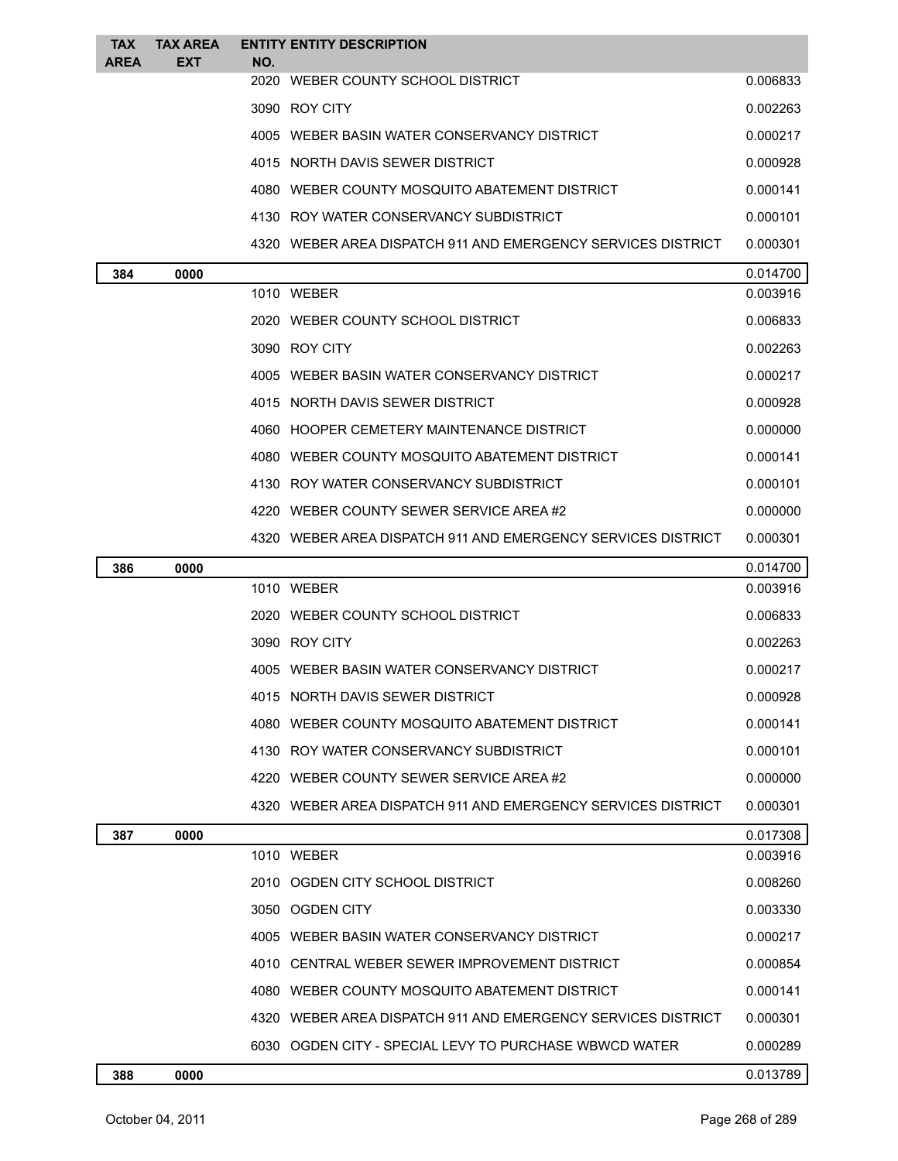| <b>TAX</b><br><b>AREA</b> | <b>TAX AREA</b><br><b>EXT</b> | <b>ENTITY ENTITY DESCRIPTION</b><br>NO.       |                                                              |          |
|---------------------------|-------------------------------|-----------------------------------------------|--------------------------------------------------------------|----------|
|                           |                               | 2020 WEBER COUNTY SCHOOL DISTRICT             |                                                              | 0.006833 |
|                           |                               | 3090 ROY CITY                                 |                                                              | 0.002263 |
|                           |                               | 4005 WEBER BASIN WATER CONSERVANCY DISTRICT   |                                                              | 0.000217 |
|                           |                               | 4015 NORTH DAVIS SEWER DISTRICT               |                                                              | 0.000928 |
|                           |                               | 4080 WEBER COUNTY MOSQUITO ABATEMENT DISTRICT |                                                              | 0.000141 |
|                           |                               | 4130 ROY WATER CONSERVANCY SUBDISTRICT        |                                                              | 0.000101 |
|                           |                               |                                               | 4320 WEBER AREA DISPATCH 911 AND EMERGENCY SERVICES DISTRICT | 0.000301 |
| 384                       | 0000                          |                                               |                                                              | 0.014700 |
|                           |                               | 1010 WEBER                                    |                                                              | 0.003916 |
|                           |                               | 2020 WEBER COUNTY SCHOOL DISTRICT             |                                                              | 0.006833 |
|                           |                               | 3090 ROY CITY                                 |                                                              | 0.002263 |
|                           |                               | 4005 WEBER BASIN WATER CONSERVANCY DISTRICT   |                                                              | 0.000217 |
|                           |                               | 4015 NORTH DAVIS SEWER DISTRICT               |                                                              | 0.000928 |
|                           |                               | 4060 HOOPER CEMETERY MAINTENANCE DISTRICT     |                                                              | 0.000000 |
|                           |                               | 4080 WEBER COUNTY MOSQUITO ABATEMENT DISTRICT |                                                              | 0.000141 |
|                           |                               | 4130 ROY WATER CONSERVANCY SUBDISTRICT        |                                                              | 0.000101 |
|                           |                               | 4220 WEBER COUNTY SEWER SERVICE AREA#2        |                                                              | 0.000000 |
|                           |                               |                                               | 4320 WEBER AREA DISPATCH 911 AND EMERGENCY SERVICES DISTRICT | 0.000301 |
| 386                       | 0000                          |                                               |                                                              | 0.014700 |
|                           |                               | 1010 WEBER                                    |                                                              | 0.003916 |
|                           |                               | 2020 WEBER COUNTY SCHOOL DISTRICT             |                                                              | 0.006833 |
|                           |                               | 3090 ROY CITY                                 |                                                              | 0.002263 |
|                           |                               | 4005 WEBER BASIN WATER CONSERVANCY DISTRICT   |                                                              | 0.000217 |
|                           |                               | 4015 NORTH DAVIS SEWER DISTRICT               |                                                              | 0.000928 |
|                           |                               | 4080 WEBER COUNTY MOSQUITO ABATEMENT DISTRICT |                                                              | 0.000141 |
|                           |                               | 4130 ROY WATER CONSERVANCY SUBDISTRICT        |                                                              | 0.000101 |
|                           |                               | 4220 WEBER COUNTY SEWER SERVICE AREA#2        |                                                              | 0.000000 |
|                           |                               |                                               | 4320 WEBER AREA DISPATCH 911 AND EMERGENCY SERVICES DISTRICT | 0.000301 |
| 387                       | 0000                          |                                               |                                                              | 0.017308 |
|                           |                               | 1010 WEBER                                    |                                                              | 0.003916 |
|                           |                               | 2010 OGDEN CITY SCHOOL DISTRICT               |                                                              | 0.008260 |
|                           |                               | 3050 OGDEN CITY                               |                                                              | 0.003330 |
|                           |                               | 4005 WEBER BASIN WATER CONSERVANCY DISTRICT   |                                                              | 0.000217 |
|                           |                               | 4010 CENTRAL WEBER SEWER IMPROVEMENT DISTRICT |                                                              | 0.000854 |
|                           |                               | 4080 WEBER COUNTY MOSQUITO ABATEMENT DISTRICT |                                                              | 0.000141 |
|                           |                               |                                               | 4320 WEBER AREA DISPATCH 911 AND EMERGENCY SERVICES DISTRICT | 0.000301 |
|                           |                               |                                               | 6030 OGDEN CITY - SPECIAL LEVY TO PURCHASE WBWCD WATER       | 0.000289 |
| 388                       | 0000                          |                                               |                                                              | 0.013789 |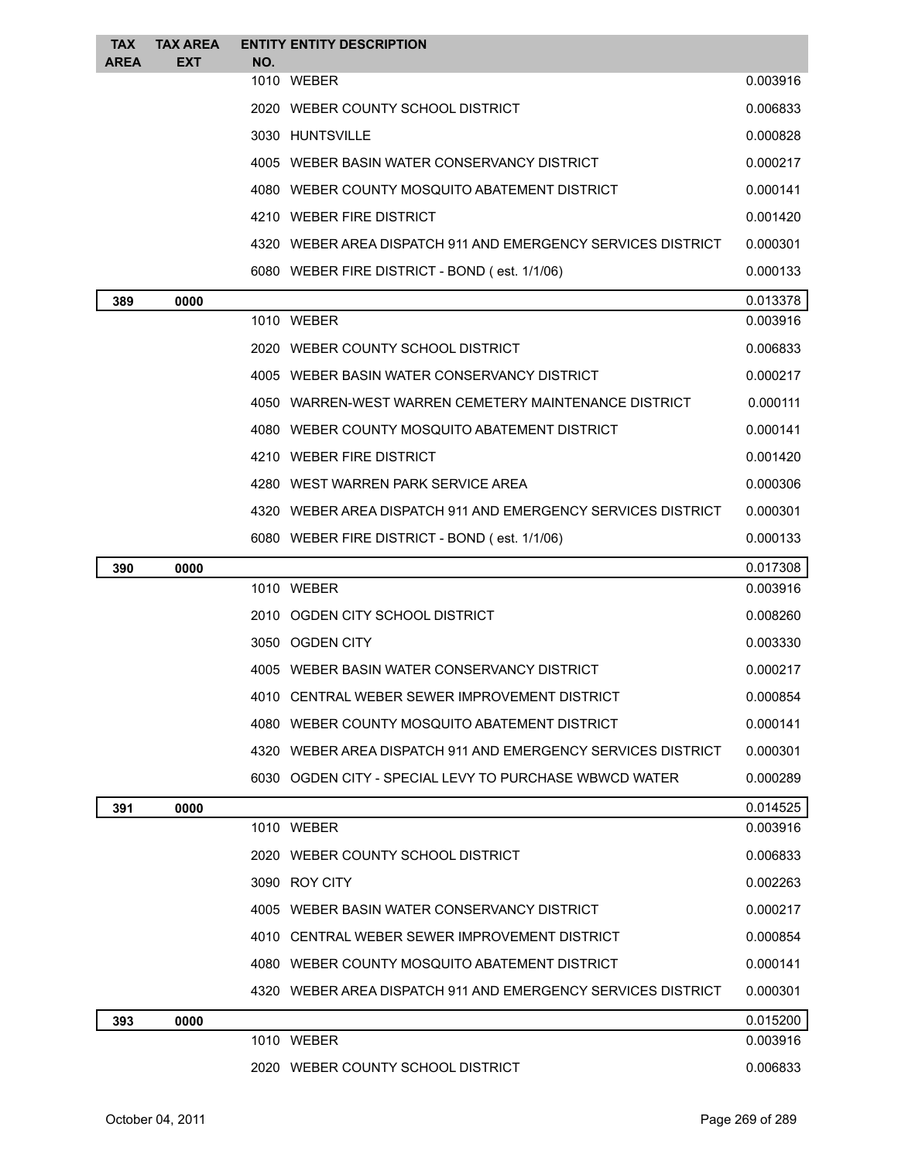| <b>TAX</b><br><b>AREA</b> | <b>TAX AREA</b><br><b>EXT</b> | <b>ENTITY ENTITY DESCRIPTION</b><br>NO.                      |          |
|---------------------------|-------------------------------|--------------------------------------------------------------|----------|
|                           |                               | 1010 WEBER                                                   | 0.003916 |
|                           |                               | 2020 WEBER COUNTY SCHOOL DISTRICT                            | 0.006833 |
|                           |                               | 3030 HUNTSVILLE                                              | 0.000828 |
|                           |                               | 4005 WEBER BASIN WATER CONSERVANCY DISTRICT                  | 0.000217 |
|                           |                               | 4080 WEBER COUNTY MOSQUITO ABATEMENT DISTRICT                | 0.000141 |
|                           |                               | 4210 WEBER FIRE DISTRICT                                     | 0.001420 |
|                           |                               | 4320 WEBER AREA DISPATCH 911 AND EMERGENCY SERVICES DISTRICT | 0.000301 |
|                           |                               | 6080 WEBER FIRE DISTRICT - BOND (est. 1/1/06)                | 0.000133 |
| 389                       | 0000                          |                                                              | 0.013378 |
|                           |                               | 1010 WEBER                                                   | 0.003916 |
|                           |                               | 2020 WEBER COUNTY SCHOOL DISTRICT                            | 0.006833 |
|                           |                               | 4005 WEBER BASIN WATER CONSERVANCY DISTRICT                  | 0.000217 |
|                           |                               | 4050 WARREN-WEST WARREN CEMETERY MAINTENANCE DISTRICT        | 0.000111 |
|                           |                               | 4080 WEBER COUNTY MOSQUITO ABATEMENT DISTRICT                | 0.000141 |
|                           |                               | 4210 WEBER FIRE DISTRICT                                     | 0.001420 |
|                           |                               | 4280 WEST WARREN PARK SERVICE AREA                           | 0.000306 |
|                           |                               | 4320 WEBER AREA DISPATCH 911 AND EMERGENCY SERVICES DISTRICT | 0.000301 |
|                           |                               | 6080 WEBER FIRE DISTRICT - BOND (est. 1/1/06)                | 0.000133 |
| 390                       | 0000                          |                                                              | 0.017308 |
|                           |                               | 1010 WEBER                                                   | 0.003916 |
|                           |                               | 2010 OGDEN CITY SCHOOL DISTRICT                              | 0.008260 |
|                           |                               | 3050 OGDEN CITY                                              | 0.003330 |
|                           |                               | 4005 WEBER BASIN WATER CONSERVANCY DISTRICT                  | 0.000217 |
|                           |                               | 4010 CENTRAL WEBER SEWER IMPROVEMENT DISTRICT                | 0.000854 |
|                           |                               | 4080 WEBER COUNTY MOSQUITO ABATEMENT DISTRICT                | 0.000141 |
|                           |                               | 4320 WEBER AREA DISPATCH 911 AND EMERGENCY SERVICES DISTRICT | 0.000301 |
|                           |                               | 6030 OGDEN CITY - SPECIAL LEVY TO PURCHASE WBWCD WATER       | 0.000289 |
| 391                       | 0000                          |                                                              | 0.014525 |
|                           |                               | 1010 WEBER                                                   | 0.003916 |
|                           |                               | 2020 WEBER COUNTY SCHOOL DISTRICT                            | 0.006833 |
|                           |                               | 3090 ROY CITY                                                | 0.002263 |
|                           |                               | 4005 WEBER BASIN WATER CONSERVANCY DISTRICT                  | 0.000217 |
|                           |                               | 4010 CENTRAL WEBER SEWER IMPROVEMENT DISTRICT                | 0.000854 |
|                           |                               | 4080 WEBER COUNTY MOSQUITO ABATEMENT DISTRICT                | 0.000141 |
|                           |                               | 4320 WEBER AREA DISPATCH 911 AND EMERGENCY SERVICES DISTRICT | 0.000301 |
| 393                       | 0000                          |                                                              | 0.015200 |
|                           |                               | 1010 WEBER                                                   | 0.003916 |
|                           |                               | 2020 WEBER COUNTY SCHOOL DISTRICT                            | 0.006833 |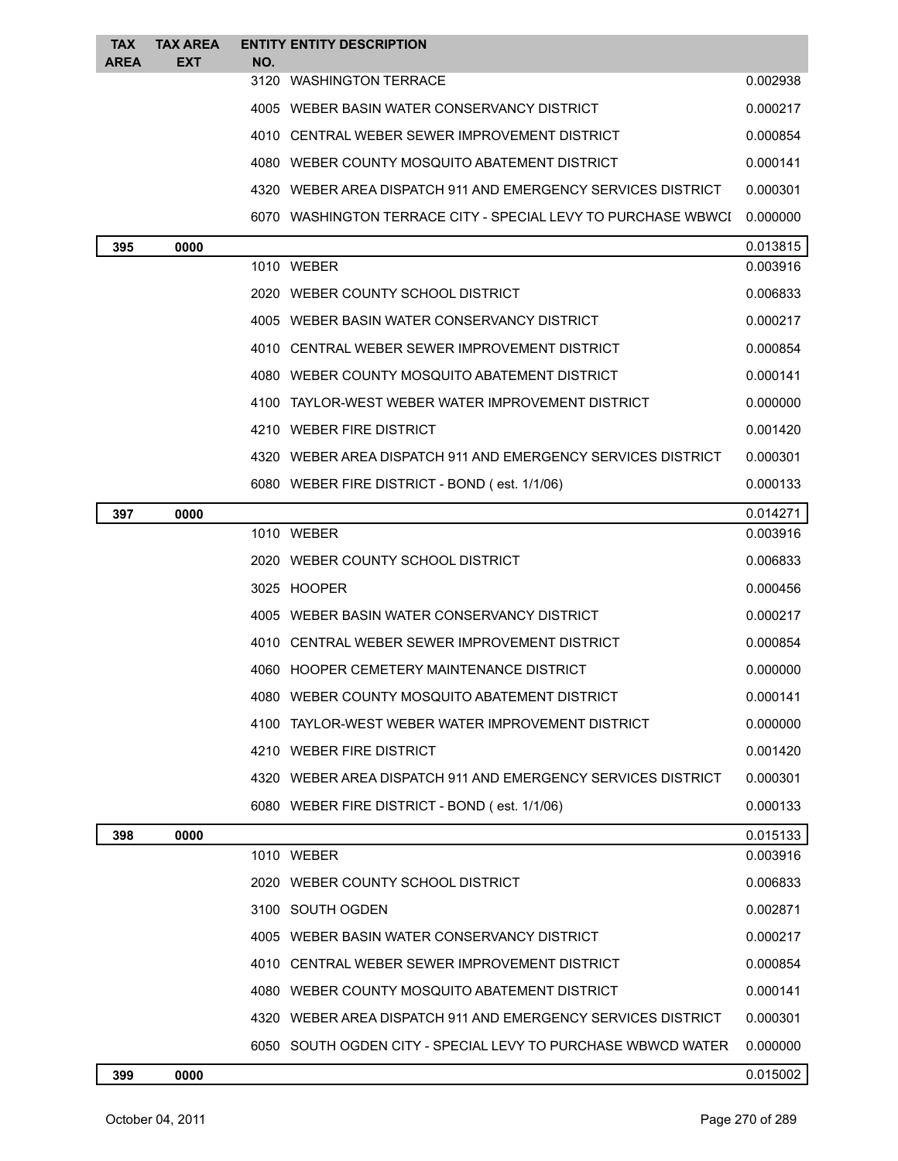| <b>TAX</b>  | <b>TAX AREA</b> | <b>ENTITY ENTITY DESCRIPTION</b>  |                                                               |          |
|-------------|-----------------|-----------------------------------|---------------------------------------------------------------|----------|
| <b>AREA</b> | <b>EXT</b>      | NO.<br>3120 WASHINGTON TERRACE    |                                                               | 0.002938 |
|             |                 |                                   | 4005 WEBER BASIN WATER CONSERVANCY DISTRICT                   | 0.000217 |
|             |                 |                                   | 4010 CENTRAL WEBER SEWER IMPROVEMENT DISTRICT                 | 0.000854 |
|             |                 |                                   | 4080 WEBER COUNTY MOSQUITO ABATEMENT DISTRICT                 | 0.000141 |
|             |                 |                                   | 4320 WEBER AREA DISPATCH 911 AND EMERGENCY SERVICES DISTRICT  | 0.000301 |
|             |                 |                                   | 6070 WASHINGTON TERRACE CITY - SPECIAL LEVY TO PURCHASE WBWCI | 0.000000 |
| 395         | 0000            |                                   |                                                               | 0.013815 |
|             |                 | 1010 WEBER                        |                                                               | 0.003916 |
|             |                 | 2020 WEBER COUNTY SCHOOL DISTRICT |                                                               | 0.006833 |
|             |                 |                                   | 4005 WEBER BASIN WATER CONSERVANCY DISTRICT                   | 0.000217 |
|             |                 |                                   | 4010 CENTRAL WEBER SEWER IMPROVEMENT DISTRICT                 | 0.000854 |
|             |                 |                                   | 4080 WEBER COUNTY MOSQUITO ABATEMENT DISTRICT                 | 0.000141 |
|             |                 |                                   | 4100 TAYLOR-WEST WEBER WATER IMPROVEMENT DISTRICT             | 0.000000 |
|             |                 | 4210 WEBER FIRE DISTRICT          |                                                               | 0.001420 |
|             |                 |                                   | 4320 WEBER AREA DISPATCH 911 AND EMERGENCY SERVICES DISTRICT  | 0.000301 |
|             |                 |                                   | 6080 WEBER FIRE DISTRICT - BOND (est. 1/1/06)                 | 0.000133 |
| 397         | 0000            |                                   |                                                               | 0.014271 |
|             |                 | 1010 WEBER                        |                                                               | 0.003916 |
|             |                 | 2020 WEBER COUNTY SCHOOL DISTRICT |                                                               | 0.006833 |
|             |                 | 3025 HOOPER                       |                                                               | 0.000456 |
|             |                 |                                   | 4005 WEBER BASIN WATER CONSERVANCY DISTRICT                   | 0.000217 |
|             |                 |                                   | 4010 CENTRAL WEBER SEWER IMPROVEMENT DISTRICT                 | 0.000854 |
|             |                 |                                   | 4060 HOOPER CEMETERY MAINTENANCE DISTRICT                     | 0.000000 |
|             |                 |                                   | 4080 WEBER COUNTY MOSQUITO ABATEMENT DISTRICT                 | 0.000141 |
|             |                 |                                   | 4100 TAYLOR-WEST WEBER WATER IMPROVEMENT DISTRICT             | 0.000000 |
|             |                 | 4210 WEBER FIRE DISTRICT          |                                                               | 0.001420 |
|             |                 |                                   | 4320 WEBER AREA DISPATCH 911 AND EMERGENCY SERVICES DISTRICT  | 0.000301 |
|             |                 |                                   | 6080 WEBER FIRE DISTRICT - BOND (est. 1/1/06)                 | 0.000133 |
| 398         | 0000            |                                   |                                                               | 0.015133 |
|             |                 | 1010 WEBER                        |                                                               | 0.003916 |
|             |                 | 2020 WEBER COUNTY SCHOOL DISTRICT |                                                               | 0.006833 |
|             |                 | 3100 SOUTH OGDEN                  |                                                               | 0.002871 |
|             |                 |                                   | 4005 WEBER BASIN WATER CONSERVANCY DISTRICT                   | 0.000217 |
|             |                 |                                   | 4010 CENTRAL WEBER SEWER IMPROVEMENT DISTRICT                 | 0.000854 |
|             |                 |                                   | 4080 WEBER COUNTY MOSQUITO ABATEMENT DISTRICT                 | 0.000141 |
|             |                 |                                   | 4320 WEBER AREA DISPATCH 911 AND EMERGENCY SERVICES DISTRICT  | 0.000301 |
|             |                 |                                   | 6050 SOUTH OGDEN CITY - SPECIAL LEVY TO PURCHASE WBWCD WATER  | 0.000000 |
| 399         | 0000            |                                   |                                                               | 0.015002 |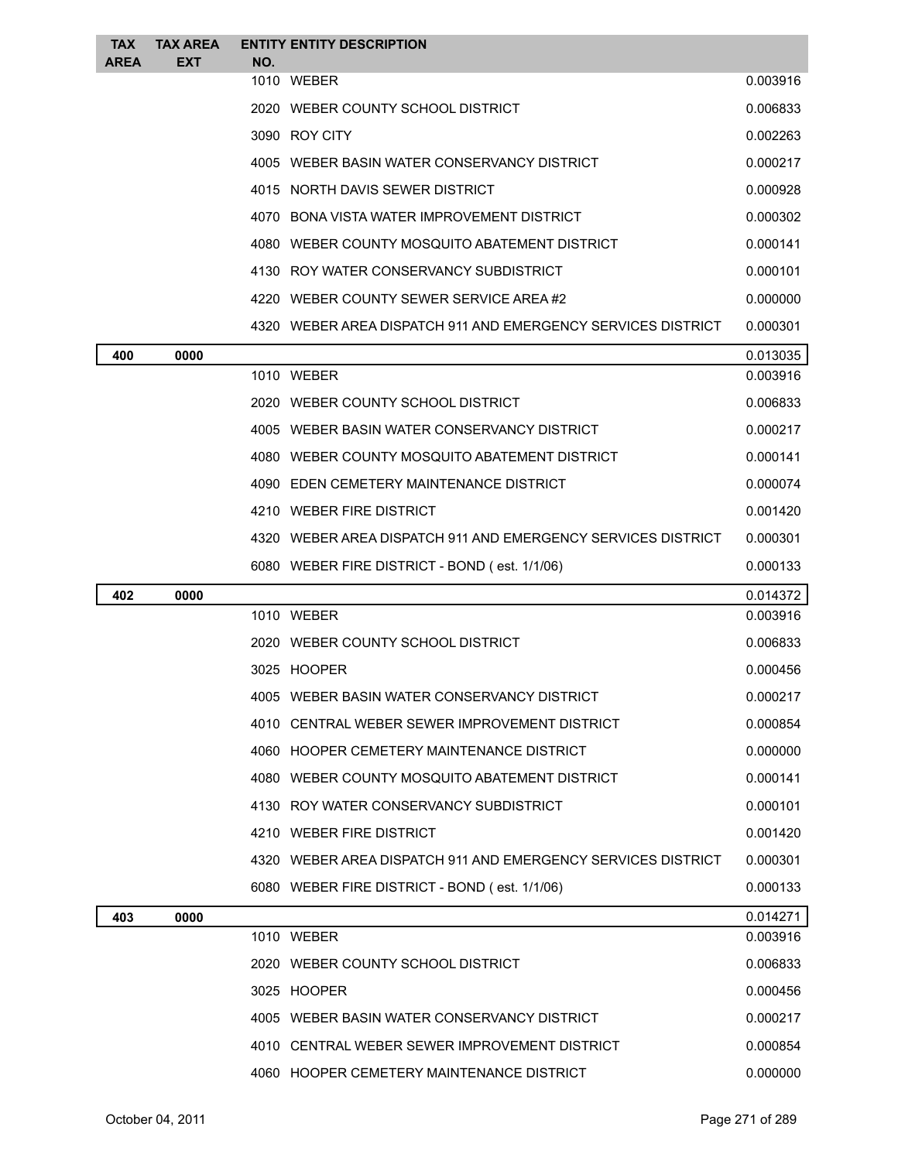| <b>TAX</b>  | <b>TAX AREA</b> |     | <b>ENTITY ENTITY DESCRIPTION</b>                             |          |
|-------------|-----------------|-----|--------------------------------------------------------------|----------|
| <b>AREA</b> | <b>EXT</b>      | NO. | 1010 WEBER                                                   | 0.003916 |
|             |                 |     | 2020 WEBER COUNTY SCHOOL DISTRICT                            | 0.006833 |
|             |                 |     | 3090 ROY CITY                                                | 0.002263 |
|             |                 |     | 4005 WEBER BASIN WATER CONSERVANCY DISTRICT                  | 0.000217 |
|             |                 |     | 4015 NORTH DAVIS SEWER DISTRICT                              | 0.000928 |
|             |                 |     | 4070 BONA VISTA WATER IMPROVEMENT DISTRICT                   | 0.000302 |
|             |                 |     | 4080 WEBER COUNTY MOSQUITO ABATEMENT DISTRICT                | 0.000141 |
|             |                 |     | 4130 ROY WATER CONSERVANCY SUBDISTRICT                       | 0.000101 |
|             |                 |     | 4220 WEBER COUNTY SEWER SERVICE AREA#2                       | 0.000000 |
|             |                 |     | 4320 WEBER AREA DISPATCH 911 AND EMERGENCY SERVICES DISTRICT | 0.000301 |
| 400         | 0000            |     |                                                              | 0.013035 |
|             |                 |     | 1010 WEBER                                                   | 0.003916 |
|             |                 |     | 2020 WEBER COUNTY SCHOOL DISTRICT                            | 0.006833 |
|             |                 |     | 4005 WEBER BASIN WATER CONSERVANCY DISTRICT                  | 0.000217 |
|             |                 |     | 4080 WEBER COUNTY MOSQUITO ABATEMENT DISTRICT                | 0.000141 |
|             |                 |     | 4090 EDEN CEMETERY MAINTENANCE DISTRICT                      | 0.000074 |
|             |                 |     | 4210 WEBER FIRE DISTRICT                                     | 0.001420 |
|             |                 |     | 4320 WEBER AREA DISPATCH 911 AND EMERGENCY SERVICES DISTRICT | 0.000301 |
|             |                 |     | 6080 WEBER FIRE DISTRICT - BOND (est. 1/1/06)                | 0.000133 |
| 402         | 0000            |     |                                                              | 0.014372 |
|             |                 |     | 1010 WEBER                                                   | 0.003916 |
|             |                 |     | 2020 WEBER COUNTY SCHOOL DISTRICT                            | 0.006833 |
|             |                 |     | 3025 HOOPER                                                  | 0.000456 |
|             |                 |     | 4005 WEBER BASIN WATER CONSERVANCY DISTRICT                  | 0.000217 |
|             |                 |     | 4010 CENTRAL WEBER SEWER IMPROVEMENT DISTRICT                | 0.000854 |
|             |                 |     | 4060 HOOPER CEMETERY MAINTENANCE DISTRICT                    | 0.000000 |
|             |                 |     | 4080 WEBER COUNTY MOSQUITO ABATEMENT DISTRICT                | 0.000141 |
|             |                 |     | 4130 ROY WATER CONSERVANCY SUBDISTRICT                       | 0.000101 |
|             |                 |     | 4210 WEBER FIRE DISTRICT                                     | 0.001420 |
|             |                 |     | 4320 WEBER AREA DISPATCH 911 AND EMERGENCY SERVICES DISTRICT | 0.000301 |
|             |                 |     | 6080 WEBER FIRE DISTRICT - BOND (est. 1/1/06)                | 0.000133 |
| 403         | 0000            |     |                                                              | 0.014271 |
|             |                 |     | 1010 WEBER                                                   | 0.003916 |
|             |                 |     | 2020 WEBER COUNTY SCHOOL DISTRICT                            | 0.006833 |
|             |                 |     | 3025 HOOPER                                                  | 0.000456 |
|             |                 |     | 4005 WEBER BASIN WATER CONSERVANCY DISTRICT                  | 0.000217 |
|             |                 |     | 4010 CENTRAL WEBER SEWER IMPROVEMENT DISTRICT                | 0.000854 |
|             |                 |     | 4060 HOOPER CEMETERY MAINTENANCE DISTRICT                    | 0.000000 |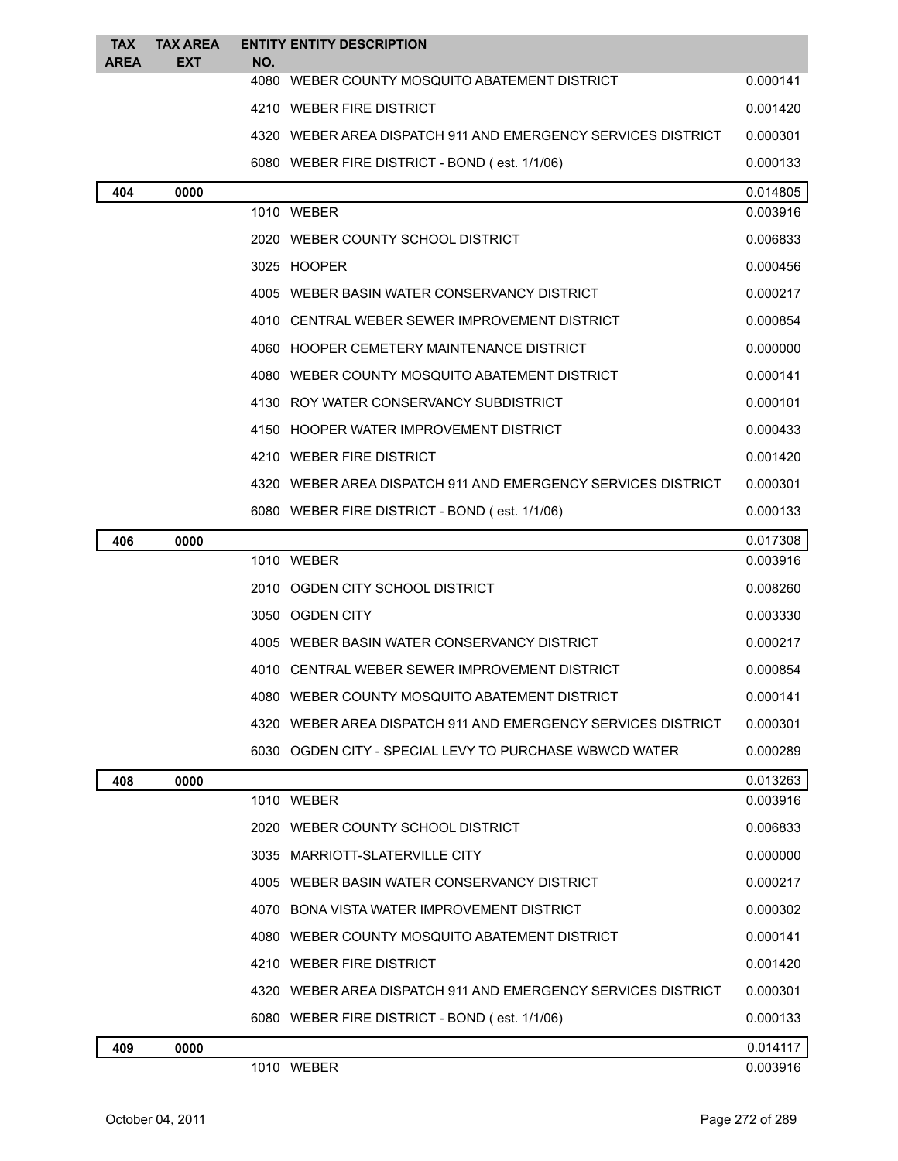| <b>TAX</b>  | <b>TAX AREA</b> | <b>ENTITY ENTITY DESCRIPTION</b>                             |          |
|-------------|-----------------|--------------------------------------------------------------|----------|
| <b>AREA</b> | EXT             | NO.<br>4080 WEBER COUNTY MOSQUITO ABATEMENT DISTRICT         | 0.000141 |
|             |                 | 4210 WEBER FIRE DISTRICT                                     | 0.001420 |
|             |                 | 4320 WEBER AREA DISPATCH 911 AND EMERGENCY SERVICES DISTRICT | 0.000301 |
|             |                 | 6080 WEBER FIRE DISTRICT - BOND (est. 1/1/06)                | 0.000133 |
| 404         | 0000            |                                                              | 0.014805 |
|             |                 | 1010 WEBER                                                   | 0.003916 |
|             |                 | 2020 WEBER COUNTY SCHOOL DISTRICT                            | 0.006833 |
|             |                 | 3025 HOOPER                                                  | 0.000456 |
|             |                 | 4005 WEBER BASIN WATER CONSERVANCY DISTRICT                  | 0.000217 |
|             |                 | 4010 CENTRAL WEBER SEWER IMPROVEMENT DISTRICT                | 0.000854 |
|             |                 | 4060 HOOPER CEMETERY MAINTENANCE DISTRICT                    | 0.000000 |
|             |                 | 4080 WEBER COUNTY MOSQUITO ABATEMENT DISTRICT                | 0.000141 |
|             |                 | 4130 ROY WATER CONSERVANCY SUBDISTRICT                       | 0.000101 |
|             |                 | 4150 HOOPER WATER IMPROVEMENT DISTRICT                       | 0.000433 |
|             |                 | 4210 WEBER FIRE DISTRICT                                     | 0.001420 |
|             |                 | 4320 WEBER AREA DISPATCH 911 AND EMERGENCY SERVICES DISTRICT | 0.000301 |
|             |                 | 6080 WEBER FIRE DISTRICT - BOND (est. 1/1/06)                | 0.000133 |
| 406         | 0000            |                                                              | 0.017308 |
|             |                 | 1010 WEBER                                                   | 0.003916 |
|             |                 | 2010 OGDEN CITY SCHOOL DISTRICT                              | 0.008260 |
|             |                 | 3050 OGDEN CITY                                              | 0.003330 |
|             |                 | 4005 WEBER BASIN WATER CONSERVANCY DISTRICT                  | 0.000217 |
|             |                 | 4010 CENTRAL WEBER SEWER IMPROVEMENT DISTRICT                | 0.000854 |
|             |                 | 4080 WEBER COUNTY MOSQUITO ABATEMENT DISTRICT                | 0.000141 |
|             |                 | 4320 WEBER AREA DISPATCH 911 AND EMERGENCY SERVICES DISTRICT | 0.000301 |
|             |                 | 6030 OGDEN CITY - SPECIAL LEVY TO PURCHASE WBWCD WATER       | 0.000289 |
| 408         | 0000            |                                                              | 0.013263 |
|             |                 | 1010 WEBER                                                   | 0.003916 |
|             |                 | 2020 WEBER COUNTY SCHOOL DISTRICT                            | 0.006833 |
|             |                 | 3035 MARRIOTT-SLATERVILLE CITY                               | 0.000000 |
|             |                 | 4005 WEBER BASIN WATER CONSERVANCY DISTRICT                  | 0.000217 |
|             |                 | 4070 BONA VISTA WATER IMPROVEMENT DISTRICT                   | 0.000302 |
|             |                 | 4080 WEBER COUNTY MOSQUITO ABATEMENT DISTRICT                | 0.000141 |
|             |                 | 4210 WEBER FIRE DISTRICT                                     | 0.001420 |
|             |                 | 4320 WEBER AREA DISPATCH 911 AND EMERGENCY SERVICES DISTRICT | 0.000301 |
|             |                 | 6080 WEBER FIRE DISTRICT - BOND (est. 1/1/06)                | 0.000133 |
| 409         | 0000            |                                                              | 0.014117 |
|             |                 | 1010 WEBER                                                   | 0.003916 |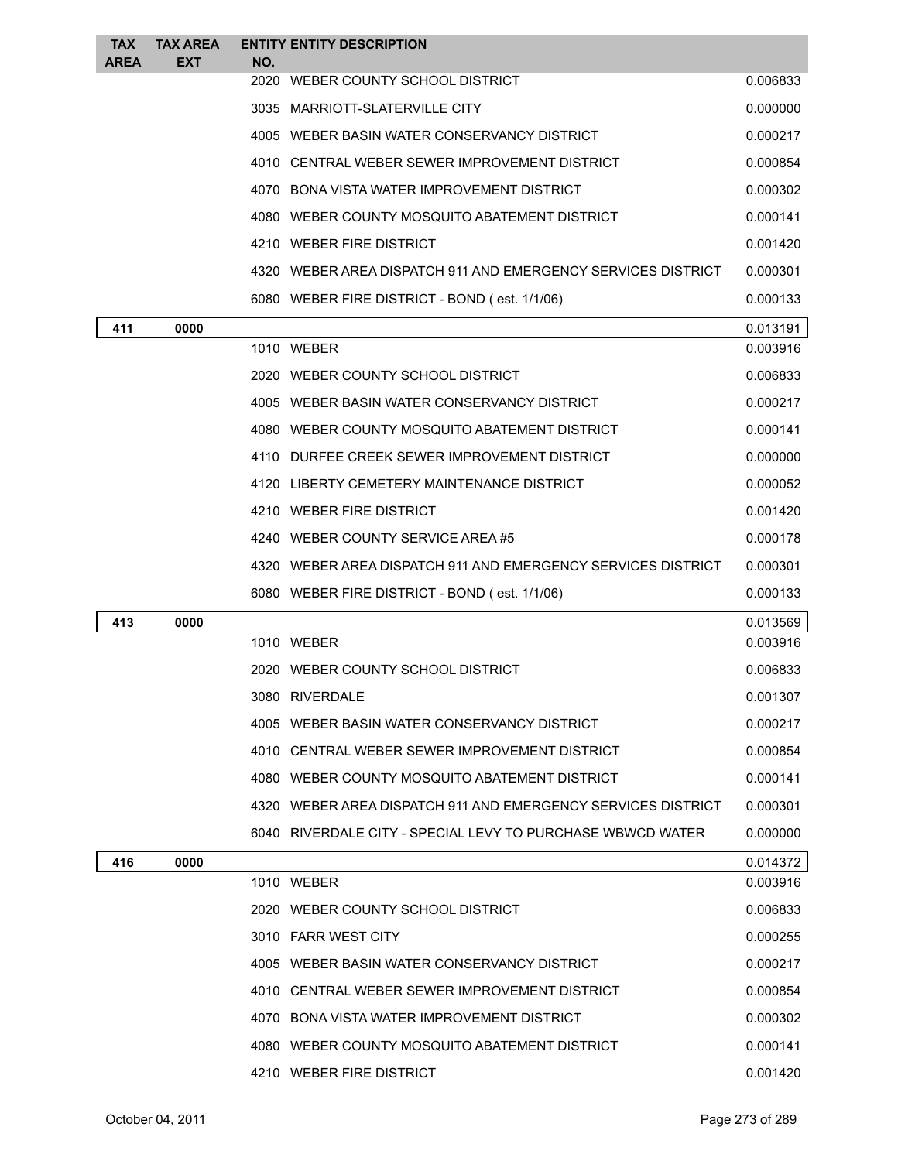| <b>TAX</b>  | <b>TAX AREA</b> | <b>ENTITY ENTITY DESCRIPTION</b>                             |          |
|-------------|-----------------|--------------------------------------------------------------|----------|
| <b>AREA</b> | <b>EXT</b>      | NO.<br>2020 WEBER COUNTY SCHOOL DISTRICT                     | 0.006833 |
|             |                 | 3035 MARRIOTT-SLATERVILLE CITY                               | 0.000000 |
|             |                 | 4005 WEBER BASIN WATER CONSERVANCY DISTRICT                  | 0.000217 |
|             |                 | 4010 CENTRAL WEBER SEWER IMPROVEMENT DISTRICT                | 0.000854 |
|             |                 | 4070 BONA VISTA WATER IMPROVEMENT DISTRICT                   | 0.000302 |
|             |                 | 4080 WEBER COUNTY MOSQUITO ABATEMENT DISTRICT                | 0.000141 |
|             |                 | 4210 WEBER FIRE DISTRICT                                     | 0.001420 |
|             |                 | 4320 WEBER AREA DISPATCH 911 AND EMERGENCY SERVICES DISTRICT | 0.000301 |
|             |                 | 6080 WEBER FIRE DISTRICT - BOND (est. 1/1/06)                | 0.000133 |
| 411         | 0000            |                                                              | 0.013191 |
|             |                 | 1010 WEBER                                                   | 0.003916 |
|             |                 | 2020 WEBER COUNTY SCHOOL DISTRICT                            | 0.006833 |
|             |                 | 4005 WEBER BASIN WATER CONSERVANCY DISTRICT                  | 0.000217 |
|             |                 | 4080 WEBER COUNTY MOSQUITO ABATEMENT DISTRICT                | 0.000141 |
|             |                 | 4110 DURFEE CREEK SEWER IMPROVEMENT DISTRICT                 | 0.000000 |
|             |                 | 4120 LIBERTY CEMETERY MAINTENANCE DISTRICT                   | 0.000052 |
|             |                 | 4210 WEBER FIRE DISTRICT                                     | 0.001420 |
|             |                 | 4240 WEBER COUNTY SERVICE AREA #5                            | 0.000178 |
|             |                 | 4320 WEBER AREA DISPATCH 911 AND EMERGENCY SERVICES DISTRICT | 0.000301 |
|             |                 | 6080 WEBER FIRE DISTRICT - BOND (est. 1/1/06)                | 0.000133 |
| 413         | 0000            |                                                              | 0.013569 |
|             |                 | 1010 WEBER                                                   | 0.003916 |
|             |                 | 2020 WEBER COUNTY SCHOOL DISTRICT                            | 0.006833 |
|             |                 | 3080 RIVERDALE                                               | 0.001307 |
|             |                 | 4005 WEBER BASIN WATER CONSERVANCY DISTRICT                  | 0.000217 |
|             |                 | 4010 CENTRAL WEBER SEWER IMPROVEMENT DISTRICT                | 0.000854 |
|             |                 | 4080 WEBER COUNTY MOSQUITO ABATEMENT DISTRICT                | 0.000141 |
|             |                 | 4320 WEBER AREA DISPATCH 911 AND EMERGENCY SERVICES DISTRICT | 0.000301 |
|             |                 | 6040 RIVERDALE CITY - SPECIAL LEVY TO PURCHASE WBWCD WATER   | 0.000000 |
| 416         | 0000            |                                                              | 0.014372 |
|             |                 | 1010 WEBER                                                   | 0.003916 |
|             |                 | 2020 WEBER COUNTY SCHOOL DISTRICT                            | 0.006833 |
|             |                 | 3010 FARR WEST CITY                                          | 0.000255 |
|             |                 | 4005 WEBER BASIN WATER CONSERVANCY DISTRICT                  | 0.000217 |
|             |                 | 4010 CENTRAL WEBER SEWER IMPROVEMENT DISTRICT                | 0.000854 |
|             |                 | 4070 BONA VISTA WATER IMPROVEMENT DISTRICT                   | 0.000302 |
|             |                 | 4080 WEBER COUNTY MOSQUITO ABATEMENT DISTRICT                | 0.000141 |
|             |                 | 4210 WEBER FIRE DISTRICT                                     | 0.001420 |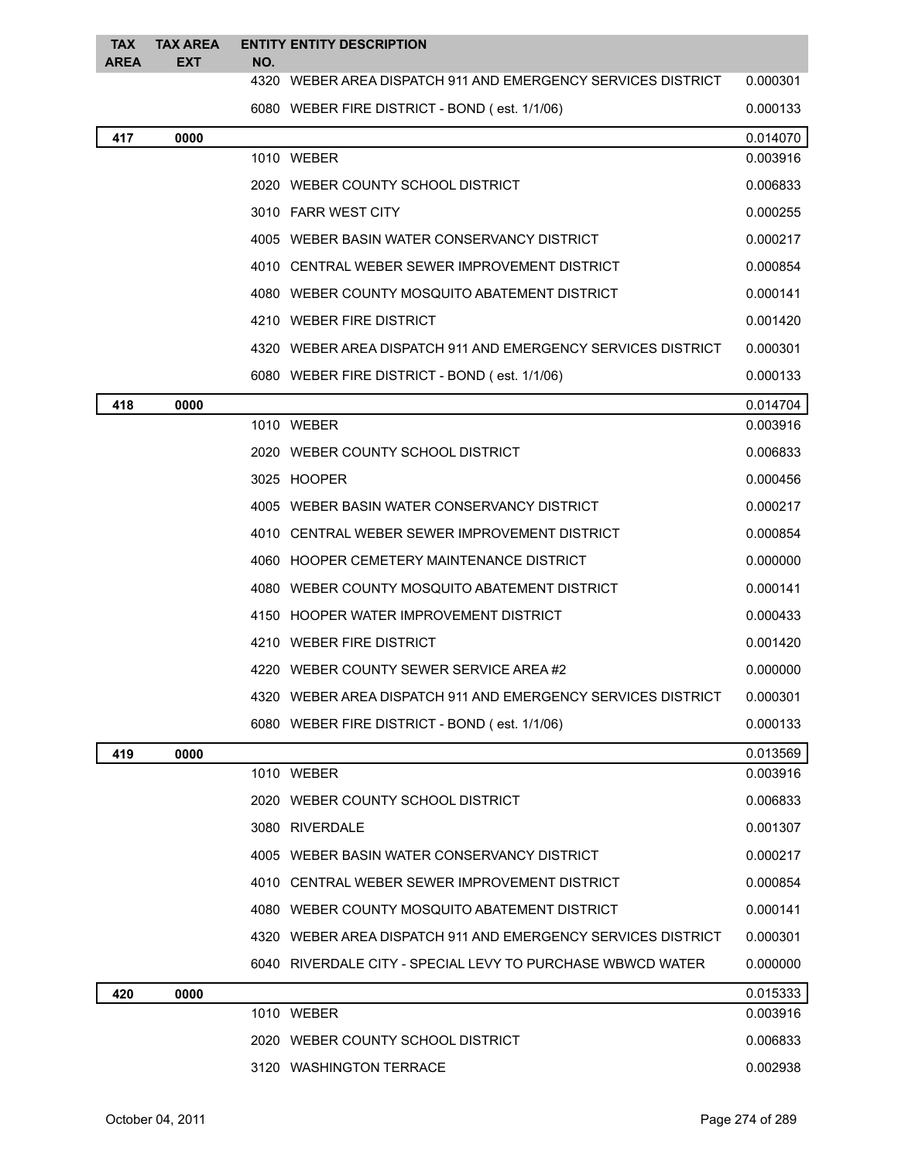| <b>TAX</b><br><b>AREA</b> | <b>TAX AREA</b><br><b>EXT</b> | NO. | <b>ENTITY ENTITY DESCRIPTION</b>                             |          |
|---------------------------|-------------------------------|-----|--------------------------------------------------------------|----------|
|                           |                               |     | 4320 WEBER AREA DISPATCH 911 AND EMERGENCY SERVICES DISTRICT | 0.000301 |
|                           |                               |     | 6080 WEBER FIRE DISTRICT - BOND (est. 1/1/06)                | 0.000133 |
| 417                       | 0000                          |     |                                                              | 0.014070 |
|                           |                               |     | 1010 WEBER                                                   | 0.003916 |
|                           |                               |     | 2020 WEBER COUNTY SCHOOL DISTRICT                            | 0.006833 |
|                           |                               |     | 3010 FARR WEST CITY                                          | 0.000255 |
|                           |                               |     | 4005 WEBER BASIN WATER CONSERVANCY DISTRICT                  | 0.000217 |
|                           |                               |     | 4010 CENTRAL WEBER SEWER IMPROVEMENT DISTRICT                | 0.000854 |
|                           |                               |     | 4080 WEBER COUNTY MOSQUITO ABATEMENT DISTRICT                | 0.000141 |
|                           |                               |     | 4210 WEBER FIRE DISTRICT                                     | 0.001420 |
|                           |                               |     | 4320 WEBER AREA DISPATCH 911 AND EMERGENCY SERVICES DISTRICT | 0.000301 |
|                           |                               |     | 6080 WEBER FIRE DISTRICT - BOND (est. 1/1/06)                | 0.000133 |
| 418                       | 0000                          |     |                                                              | 0.014704 |
|                           |                               |     | 1010 WEBER                                                   | 0.003916 |
|                           |                               |     | 2020 WEBER COUNTY SCHOOL DISTRICT                            | 0.006833 |
|                           |                               |     | 3025 HOOPER                                                  | 0.000456 |
|                           |                               |     | 4005 WEBER BASIN WATER CONSERVANCY DISTRICT                  | 0.000217 |
|                           |                               |     | 4010 CENTRAL WEBER SEWER IMPROVEMENT DISTRICT                | 0.000854 |
|                           |                               |     | 4060 HOOPER CEMETERY MAINTENANCE DISTRICT                    | 0.000000 |
|                           |                               |     | 4080 WEBER COUNTY MOSQUITO ABATEMENT DISTRICT                | 0.000141 |
|                           |                               |     | 4150 HOOPER WATER IMPROVEMENT DISTRICT                       | 0.000433 |
|                           |                               |     | 4210 WEBER FIRE DISTRICT                                     | 0.001420 |
|                           |                               |     | 4220 WEBER COUNTY SEWER SERVICE AREA #2                      | 0.000000 |
|                           |                               |     | 4320 WEBER AREA DISPATCH 911 AND EMERGENCY SERVICES DISTRICT | 0.000301 |
|                           |                               |     | 6080 WEBER FIRE DISTRICT - BOND (est. 1/1/06)                | 0.000133 |
| 419                       | 0000                          |     |                                                              | 0.013569 |
|                           |                               |     | 1010 WEBER                                                   | 0.003916 |
|                           |                               |     | 2020 WEBER COUNTY SCHOOL DISTRICT                            | 0.006833 |
|                           |                               |     | 3080 RIVERDALE                                               | 0.001307 |
|                           |                               |     | 4005 WEBER BASIN WATER CONSERVANCY DISTRICT                  | 0.000217 |
|                           |                               |     | 4010 CENTRAL WEBER SEWER IMPROVEMENT DISTRICT                | 0.000854 |
|                           |                               |     | 4080 WEBER COUNTY MOSQUITO ABATEMENT DISTRICT                | 0.000141 |
|                           |                               |     | 4320 WEBER AREA DISPATCH 911 AND EMERGENCY SERVICES DISTRICT | 0.000301 |
|                           |                               |     | 6040 RIVERDALE CITY - SPECIAL LEVY TO PURCHASE WBWCD WATER   | 0.000000 |
| 420                       | 0000                          |     |                                                              | 0.015333 |
|                           |                               |     | 1010 WEBER                                                   | 0.003916 |
|                           |                               |     | 2020 WEBER COUNTY SCHOOL DISTRICT                            | 0.006833 |
|                           |                               |     | 3120 WASHINGTON TERRACE                                      | 0.002938 |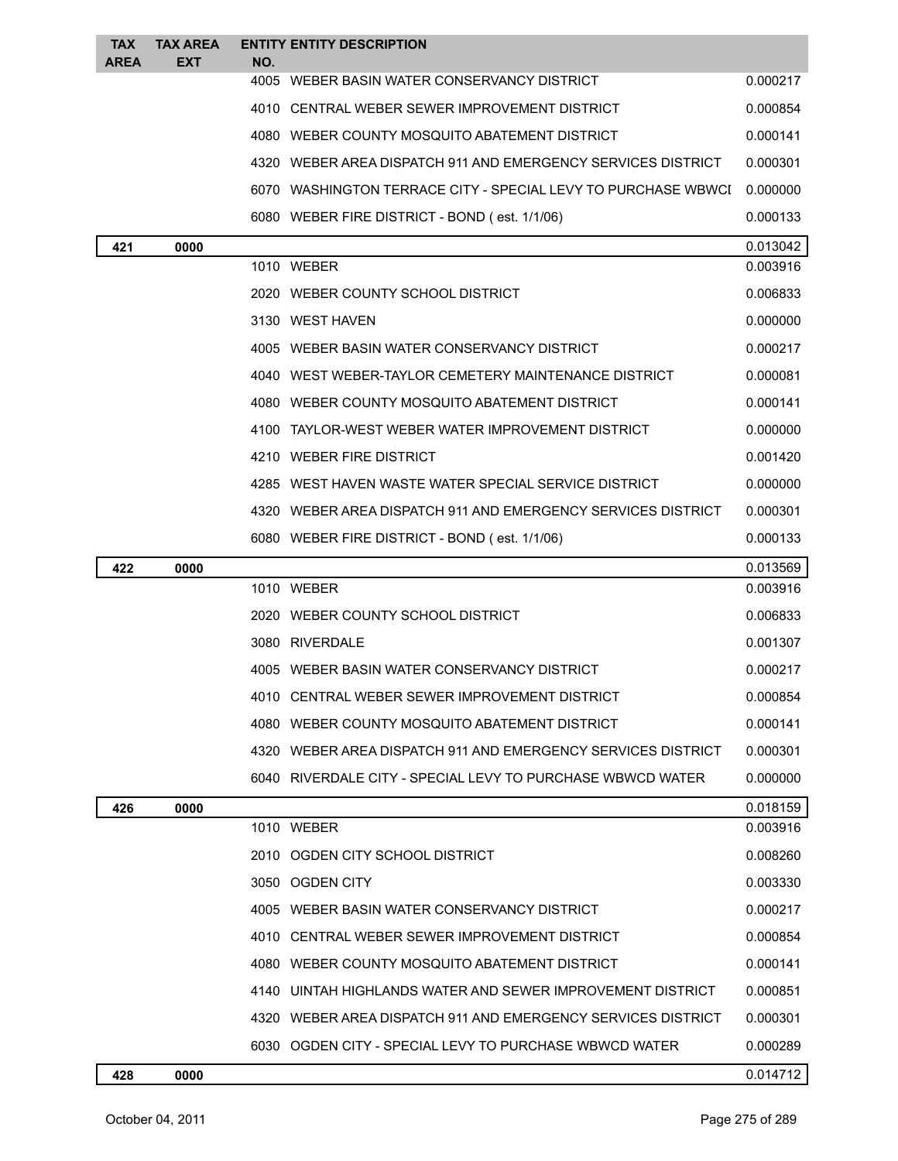| <b>TAX</b><br><b>AREA</b> | <b>TAX AREA</b><br>EXT | <b>ENTITY ENTITY DESCRIPTION</b><br>NO.                       |          |
|---------------------------|------------------------|---------------------------------------------------------------|----------|
|                           |                        | 4005 WEBER BASIN WATER CONSERVANCY DISTRICT                   | 0.000217 |
|                           |                        | 4010 CENTRAL WEBER SEWER IMPROVEMENT DISTRICT                 | 0.000854 |
|                           |                        | 4080 WEBER COUNTY MOSQUITO ABATEMENT DISTRICT                 | 0.000141 |
|                           |                        | 4320 WEBER AREA DISPATCH 911 AND EMERGENCY SERVICES DISTRICT  | 0.000301 |
|                           |                        | 6070 WASHINGTON TERRACE CITY - SPECIAL LEVY TO PURCHASE WBWCI | 0.000000 |
|                           |                        | 6080 WEBER FIRE DISTRICT - BOND (est. 1/1/06)                 | 0.000133 |
| 421                       | 0000                   |                                                               | 0.013042 |
|                           |                        | 1010 WEBER                                                    | 0.003916 |
|                           |                        | 2020 WEBER COUNTY SCHOOL DISTRICT                             | 0.006833 |
|                           |                        | 3130 WEST HAVEN                                               | 0.000000 |
|                           |                        | 4005 WEBER BASIN WATER CONSERVANCY DISTRICT                   | 0.000217 |
|                           |                        | 4040 WEST WEBER-TAYLOR CEMETERY MAINTENANCE DISTRICT          | 0.000081 |
|                           |                        | 4080 WEBER COUNTY MOSQUITO ABATEMENT DISTRICT                 | 0.000141 |
|                           |                        | 4100 TAYLOR-WEST WEBER WATER IMPROVEMENT DISTRICT             | 0.000000 |
|                           |                        | 4210 WEBER FIRE DISTRICT                                      | 0.001420 |
|                           |                        | 4285 WEST HAVEN WASTE WATER SPECIAL SERVICE DISTRICT          | 0.000000 |
|                           |                        | 4320 WEBER AREA DISPATCH 911 AND EMERGENCY SERVICES DISTRICT  | 0.000301 |
|                           |                        | 6080 WEBER FIRE DISTRICT - BOND (est. 1/1/06)                 | 0.000133 |
| 422                       | 0000                   |                                                               | 0.013569 |
|                           |                        | 1010 WEBER                                                    | 0.003916 |
|                           |                        | 2020 WEBER COUNTY SCHOOL DISTRICT                             | 0.006833 |
|                           |                        | 3080 RIVERDALE                                                | 0.001307 |
|                           |                        | 4005 WEBER BASIN WATER CONSERVANCY DISTRICT                   | 0.000217 |
|                           |                        | 4010 CENTRAL WEBER SEWER IMPROVEMENT DISTRICT                 | 0.000854 |
|                           |                        | 4080 WEBER COUNTY MOSQUITO ABATEMENT DISTRICT                 | 0.000141 |
|                           |                        | 4320 WEBER AREA DISPATCH 911 AND EMERGENCY SERVICES DISTRICT  | 0.000301 |
|                           |                        | 6040 RIVERDALE CITY - SPECIAL LEVY TO PURCHASE WBWCD WATER    | 0.000000 |
| 426                       | 0000                   |                                                               | 0.018159 |
|                           |                        | 1010 WEBER                                                    | 0.003916 |
|                           |                        | 2010 OGDEN CITY SCHOOL DISTRICT                               | 0.008260 |
|                           |                        | 3050 OGDEN CITY                                               | 0.003330 |
|                           |                        | 4005 WEBER BASIN WATER CONSERVANCY DISTRICT                   | 0.000217 |
|                           |                        | 4010 CENTRAL WEBER SEWER IMPROVEMENT DISTRICT                 | 0.000854 |
|                           |                        | 4080 WEBER COUNTY MOSQUITO ABATEMENT DISTRICT                 | 0.000141 |
|                           |                        | 4140 UINTAH HIGHLANDS WATER AND SEWER IMPROVEMENT DISTRICT    | 0.000851 |
|                           |                        | 4320 WEBER AREA DISPATCH 911 AND EMERGENCY SERVICES DISTRICT  | 0.000301 |
|                           |                        | 6030 OGDEN CITY - SPECIAL LEVY TO PURCHASE WBWCD WATER        | 0.000289 |
| 428                       | 0000                   |                                                               | 0.014712 |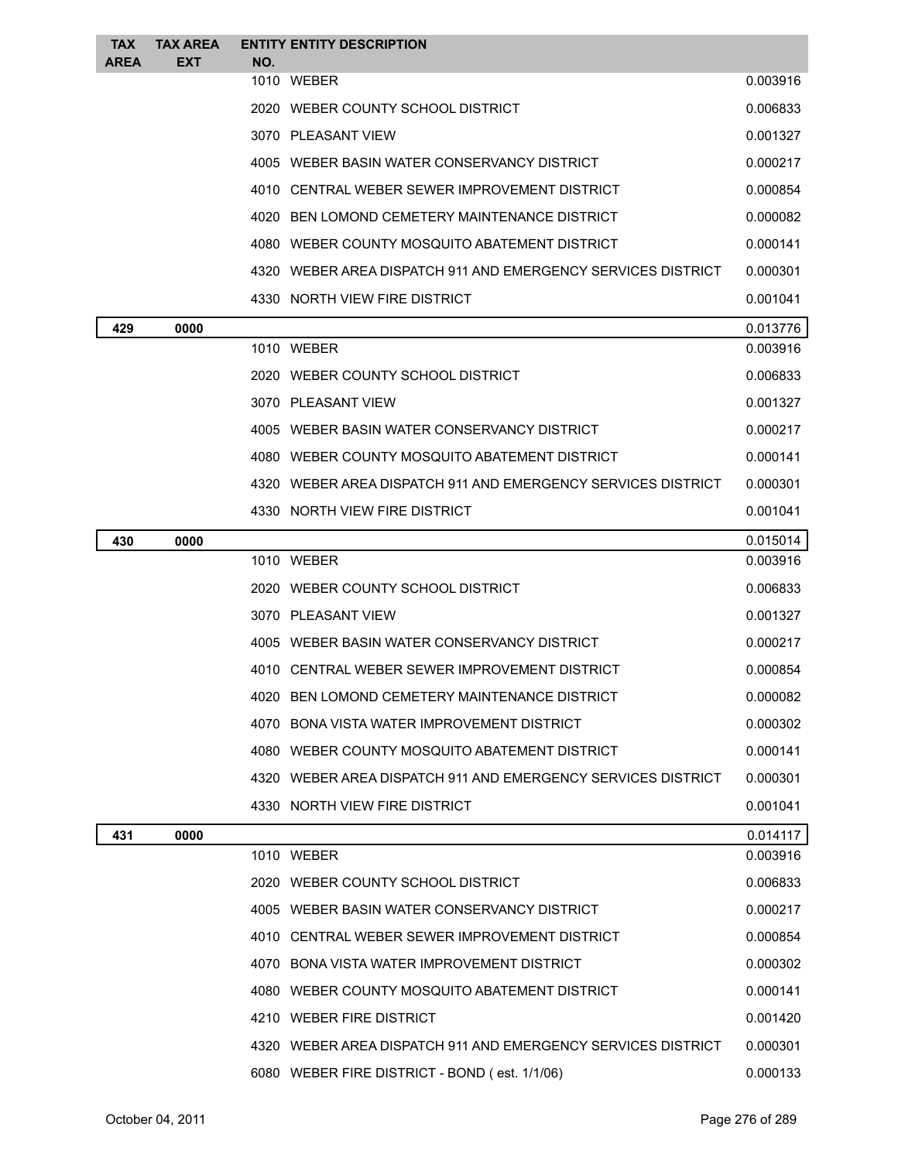| <b>TAX</b><br><b>AREA</b> | <b>TAX AREA</b><br><b>EXT</b> | <b>ENTITY ENTITY DESCRIPTION</b><br>NO.                      |          |
|---------------------------|-------------------------------|--------------------------------------------------------------|----------|
|                           |                               | 1010 WEBER                                                   | 0.003916 |
|                           |                               | 2020 WEBER COUNTY SCHOOL DISTRICT                            | 0.006833 |
|                           |                               | 3070 PLEASANT VIEW                                           | 0.001327 |
|                           |                               | 4005 WEBER BASIN WATER CONSERVANCY DISTRICT                  | 0.000217 |
|                           |                               | 4010 CENTRAL WEBER SEWER IMPROVEMENT DISTRICT                | 0.000854 |
|                           |                               | 4020 BEN LOMOND CEMETERY MAINTENANCE DISTRICT                | 0.000082 |
|                           |                               | 4080 WEBER COUNTY MOSOUITO ABATEMENT DISTRICT                | 0.000141 |
|                           |                               | 4320 WEBER AREA DISPATCH 911 AND EMERGENCY SERVICES DISTRICT | 0.000301 |
|                           |                               | 4330 NORTH VIEW FIRE DISTRICT                                | 0.001041 |
| 429                       | 0000                          |                                                              | 0.013776 |
|                           |                               | 1010 WEBER                                                   | 0.003916 |
|                           |                               | 2020 WEBER COUNTY SCHOOL DISTRICT                            | 0.006833 |
|                           |                               | 3070 PLEASANT VIEW                                           | 0.001327 |
|                           |                               | 4005 WEBER BASIN WATER CONSERVANCY DISTRICT                  | 0.000217 |
|                           |                               | 4080 WEBER COUNTY MOSQUITO ABATEMENT DISTRICT                | 0.000141 |
|                           |                               | 4320 WEBER AREA DISPATCH 911 AND EMERGENCY SERVICES DISTRICT | 0.000301 |
|                           |                               | 4330 NORTH VIEW FIRE DISTRICT                                | 0.001041 |
| 430                       | 0000                          |                                                              | 0.015014 |
|                           |                               | 1010 WEBER                                                   | 0.003916 |
|                           |                               | 2020 WEBER COUNTY SCHOOL DISTRICT                            | 0.006833 |
|                           |                               | 3070 PLEASANT VIEW                                           | 0.001327 |
|                           |                               | 4005 WEBER BASIN WATER CONSERVANCY DISTRICT                  | 0.000217 |
|                           |                               | 4010 CENTRAL WEBER SEWER IMPROVEMENT DISTRICT                | 0.000854 |
|                           |                               | 4020 BEN LOMOND CEMETERY MAINTENANCE DISTRICT                | 0.000082 |
|                           |                               | 4070 BONA VISTA WATER IMPROVEMENT DISTRICT                   | 0.000302 |
|                           |                               | 4080 WEBER COUNTY MOSQUITO ABATEMENT DISTRICT                | 0.000141 |
|                           |                               | 4320 WEBER AREA DISPATCH 911 AND EMERGENCY SERVICES DISTRICT | 0.000301 |
|                           |                               | 4330 NORTH VIEW FIRE DISTRICT                                | 0.001041 |
| 431                       | 0000                          |                                                              | 0.014117 |
|                           |                               | 1010 WEBER                                                   | 0.003916 |
|                           |                               | 2020 WEBER COUNTY SCHOOL DISTRICT                            | 0.006833 |
|                           |                               | 4005 WEBER BASIN WATER CONSERVANCY DISTRICT                  | 0.000217 |
|                           |                               | 4010 CENTRAL WEBER SEWER IMPROVEMENT DISTRICT                | 0.000854 |
|                           |                               | 4070 BONA VISTA WATER IMPROVEMENT DISTRICT                   | 0.000302 |
|                           |                               | 4080 WEBER COUNTY MOSQUITO ABATEMENT DISTRICT                | 0.000141 |
|                           |                               | 4210 WEBER FIRE DISTRICT                                     | 0.001420 |
|                           |                               | 4320 WEBER AREA DISPATCH 911 AND EMERGENCY SERVICES DISTRICT | 0.000301 |
|                           |                               | 6080 WEBER FIRE DISTRICT - BOND (est. 1/1/06)                | 0.000133 |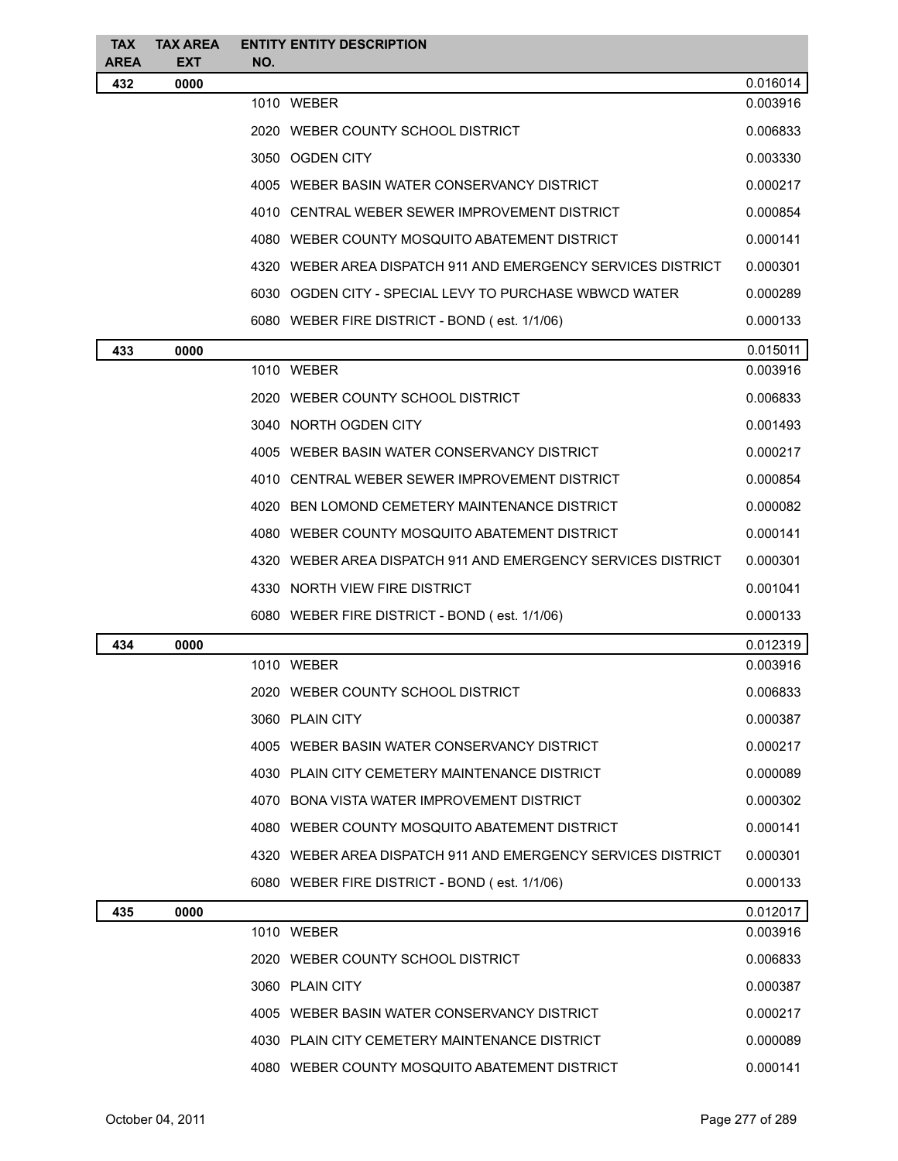| <b>TAX</b>  | <b>TAX AREA</b> |     | <b>ENTITY ENTITY DESCRIPTION</b>                             |                      |
|-------------|-----------------|-----|--------------------------------------------------------------|----------------------|
| <b>AREA</b> | <b>EXT</b>      | NO. |                                                              |                      |
| 432         | 0000            |     | 1010 WEBER                                                   | 0.016014<br>0.003916 |
|             |                 |     | 2020 WEBER COUNTY SCHOOL DISTRICT                            | 0.006833             |
|             |                 |     | 3050 OGDEN CITY                                              | 0.003330             |
|             |                 |     | 4005 WEBER BASIN WATER CONSERVANCY DISTRICT                  | 0.000217             |
|             |                 |     |                                                              |                      |
|             |                 |     | 4010 CENTRAL WEBER SEWER IMPROVEMENT DISTRICT                | 0.000854             |
|             |                 |     | 4080 WEBER COUNTY MOSQUITO ABATEMENT DISTRICT                | 0.000141             |
|             |                 |     | 4320 WEBER AREA DISPATCH 911 AND EMERGENCY SERVICES DISTRICT | 0.000301             |
|             |                 |     | 6030 OGDEN CITY - SPECIAL LEVY TO PURCHASE WBWCD WATER       | 0.000289             |
|             |                 |     | 6080 WEBER FIRE DISTRICT - BOND (est. 1/1/06)                | 0.000133             |
| 433         | 0000            |     |                                                              | 0.015011             |
|             |                 |     | 1010 WEBER                                                   | 0.003916             |
|             |                 |     | 2020 WEBER COUNTY SCHOOL DISTRICT                            | 0.006833             |
|             |                 |     | 3040 NORTH OGDEN CITY                                        | 0.001493             |
|             |                 |     | 4005 WEBER BASIN WATER CONSERVANCY DISTRICT                  | 0.000217             |
|             |                 |     | 4010 CENTRAL WEBER SEWER IMPROVEMENT DISTRICT                | 0.000854             |
|             |                 |     | 4020 BEN LOMOND CEMETERY MAINTENANCE DISTRICT                | 0.000082             |
|             |                 |     | 4080 WEBER COUNTY MOSQUITO ABATEMENT DISTRICT                | 0.000141             |
|             |                 |     | 4320 WEBER AREA DISPATCH 911 AND EMERGENCY SERVICES DISTRICT | 0.000301             |
|             |                 |     | 4330 NORTH VIEW FIRE DISTRICT                                | 0.001041             |
|             |                 |     | 6080 WEBER FIRE DISTRICT - BOND (est. 1/1/06)                | 0.000133             |
| 434         | 0000            |     |                                                              | 0.012319             |
|             |                 |     | 1010 WEBER                                                   | 0.003916             |
|             |                 |     | 2020 WEBER COUNTY SCHOOL DISTRICT                            | 0.006833             |
|             |                 |     | 3060 PLAIN CITY                                              | 0.000387             |
|             |                 |     | 4005 WEBER BASIN WATER CONSERVANCY DISTRICT                  | 0.000217             |
|             |                 |     | 4030 PLAIN CITY CEMETERY MAINTENANCE DISTRICT                | 0.000089             |
|             |                 |     | 4070 BONA VISTA WATER IMPROVEMENT DISTRICT                   | 0.000302             |
|             |                 |     | 4080 WEBER COUNTY MOSQUITO ABATEMENT DISTRICT                | 0.000141             |
|             |                 |     | 4320 WEBER AREA DISPATCH 911 AND EMERGENCY SERVICES DISTRICT | 0.000301             |
|             |                 |     | 6080 WEBER FIRE DISTRICT - BOND (est. 1/1/06)                | 0.000133             |
| 435         | 0000            |     |                                                              | 0.012017             |
|             |                 |     | 1010 WEBER                                                   | 0.003916             |
|             |                 |     | 2020 WEBER COUNTY SCHOOL DISTRICT                            | 0.006833             |
|             |                 |     | 3060 PLAIN CITY                                              | 0.000387             |
|             |                 |     | 4005 WEBER BASIN WATER CONSERVANCY DISTRICT                  | 0.000217             |
|             |                 |     | 4030 PLAIN CITY CEMETERY MAINTENANCE DISTRICT                | 0.000089             |
|             |                 |     | 4080 WEBER COUNTY MOSQUITO ABATEMENT DISTRICT                | 0.000141             |
|             |                 |     |                                                              |                      |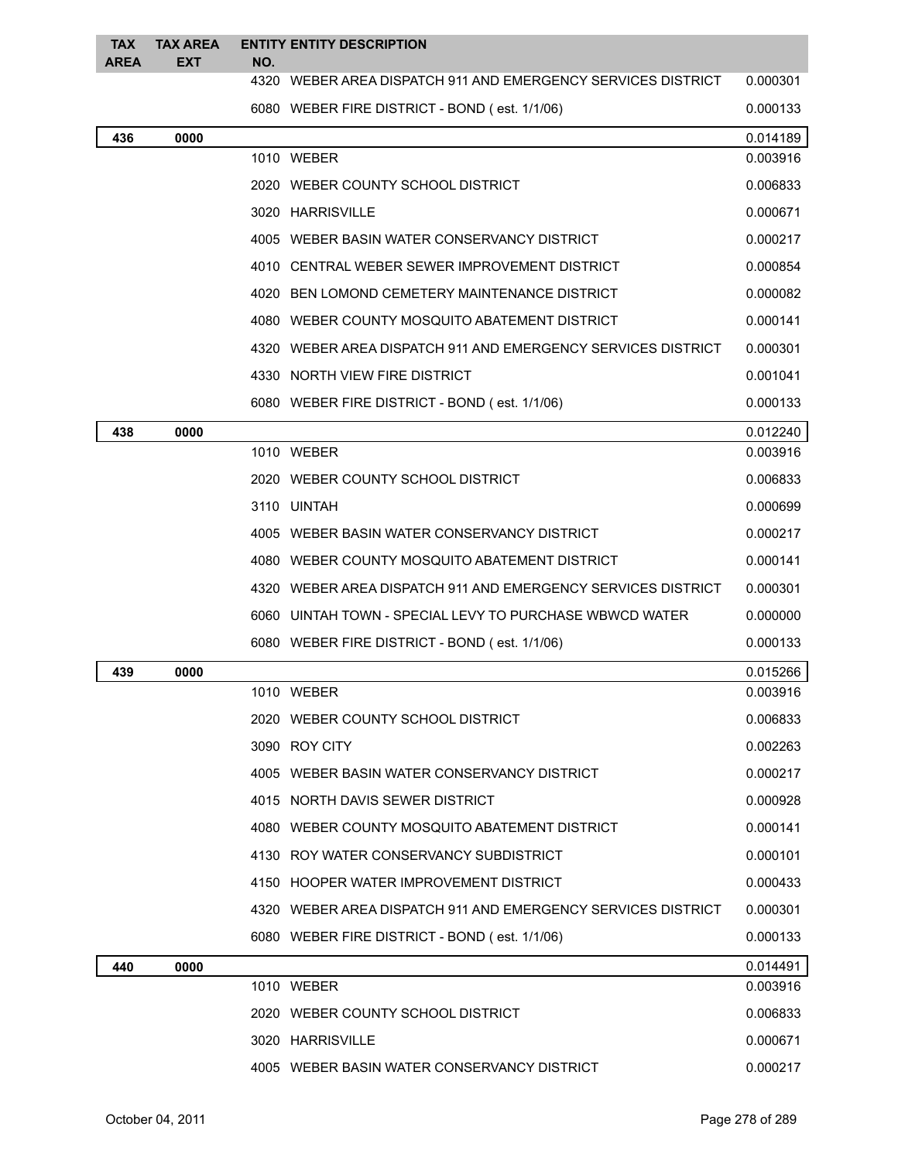| <b>TAX</b>  | <b>TAX AREA</b> |      | <b>ENTITY ENTITY DESCRIPTION</b>                                |                      |
|-------------|-----------------|------|-----------------------------------------------------------------|----------------------|
| <b>AREA</b> | <b>EXT</b>      | NO.  |                                                                 |                      |
|             |                 |      | 4320 WEBER AREA DISPATCH 911 AND EMERGENCY SERVICES DISTRICT    | 0.000301             |
|             |                 |      | 6080 WEBER FIRE DISTRICT - BOND (est. 1/1/06)                   | 0.000133             |
| 436         | 0000            |      | 1010 WEBER                                                      | 0.014189<br>0.003916 |
|             |                 |      | 2020 WEBER COUNTY SCHOOL DISTRICT                               | 0.006833             |
|             |                 |      |                                                                 | 0.000671             |
|             |                 |      | 3020 HARRISVILLE<br>4005 WEBER BASIN WATER CONSERVANCY DISTRICT |                      |
|             |                 |      |                                                                 | 0.000217             |
|             |                 |      | 4010 CENTRAL WEBER SEWER IMPROVEMENT DISTRICT                   | 0.000854             |
|             |                 | 4020 | BEN LOMOND CEMETERY MAINTENANCE DISTRICT                        | 0.000082             |
|             |                 |      | 4080 WEBER COUNTY MOSQUITO ABATEMENT DISTRICT                   | 0.000141             |
|             |                 |      | 4320 WEBER AREA DISPATCH 911 AND EMERGENCY SERVICES DISTRICT    | 0.000301             |
|             |                 |      | 4330 NORTH VIEW FIRE DISTRICT                                   | 0.001041             |
|             |                 |      | 6080 WEBER FIRE DISTRICT - BOND (est. 1/1/06)                   | 0.000133             |
| 438         | 0000            |      |                                                                 | 0.012240             |
|             |                 |      | 1010 WEBER                                                      | 0.003916             |
|             |                 |      | 2020 WEBER COUNTY SCHOOL DISTRICT                               | 0.006833             |
|             |                 |      | 3110 UINTAH                                                     | 0.000699             |
|             |                 |      | 4005 WEBER BASIN WATER CONSERVANCY DISTRICT                     | 0.000217             |
|             |                 |      | 4080 WEBER COUNTY MOSQUITO ABATEMENT DISTRICT                   | 0.000141             |
|             |                 |      | 4320 WEBER AREA DISPATCH 911 AND EMERGENCY SERVICES DISTRICT    | 0.000301             |
|             |                 |      | 6060 UINTAH TOWN - SPECIAL LEVY TO PURCHASE WBWCD WATER         | 0.000000             |
|             |                 |      | 6080 WEBER FIRE DISTRICT - BOND (est. 1/1/06)                   | 0.000133             |
| 439         | 0000            |      | 1010 WEBER                                                      | 0.015266             |
|             |                 |      |                                                                 | 0.003916<br>0.006833 |
|             |                 |      | 2020 WEBER COUNTY SCHOOL DISTRICT                               |                      |
|             |                 |      | 3090 ROY CITY                                                   | 0.002263             |
|             |                 |      | 4005 WEBER BASIN WATER CONSERVANCY DISTRICT                     | 0.000217             |
|             |                 |      | 4015 NORTH DAVIS SEWER DISTRICT                                 | 0.000928             |
|             |                 |      | 4080 WEBER COUNTY MOSQUITO ABATEMENT DISTRICT                   | 0.000141             |
|             |                 |      | 4130 ROY WATER CONSERVANCY SUBDISTRICT                          | 0.000101             |
|             |                 |      | 4150 HOOPER WATER IMPROVEMENT DISTRICT                          | 0.000433             |
|             |                 |      | 4320 WEBER AREA DISPATCH 911 AND EMERGENCY SERVICES DISTRICT    | 0.000301             |
|             |                 |      | 6080 WEBER FIRE DISTRICT - BOND (est. 1/1/06)                   | 0.000133             |
| 440         | 0000            |      | 1010 WEBER                                                      | 0.014491             |
|             |                 |      |                                                                 | 0.003916             |
|             |                 |      | 2020 WEBER COUNTY SCHOOL DISTRICT                               | 0.006833             |
|             |                 |      | 3020 HARRISVILLE                                                | 0.000671             |
|             |                 |      | 4005 WEBER BASIN WATER CONSERVANCY DISTRICT                     | 0.000217             |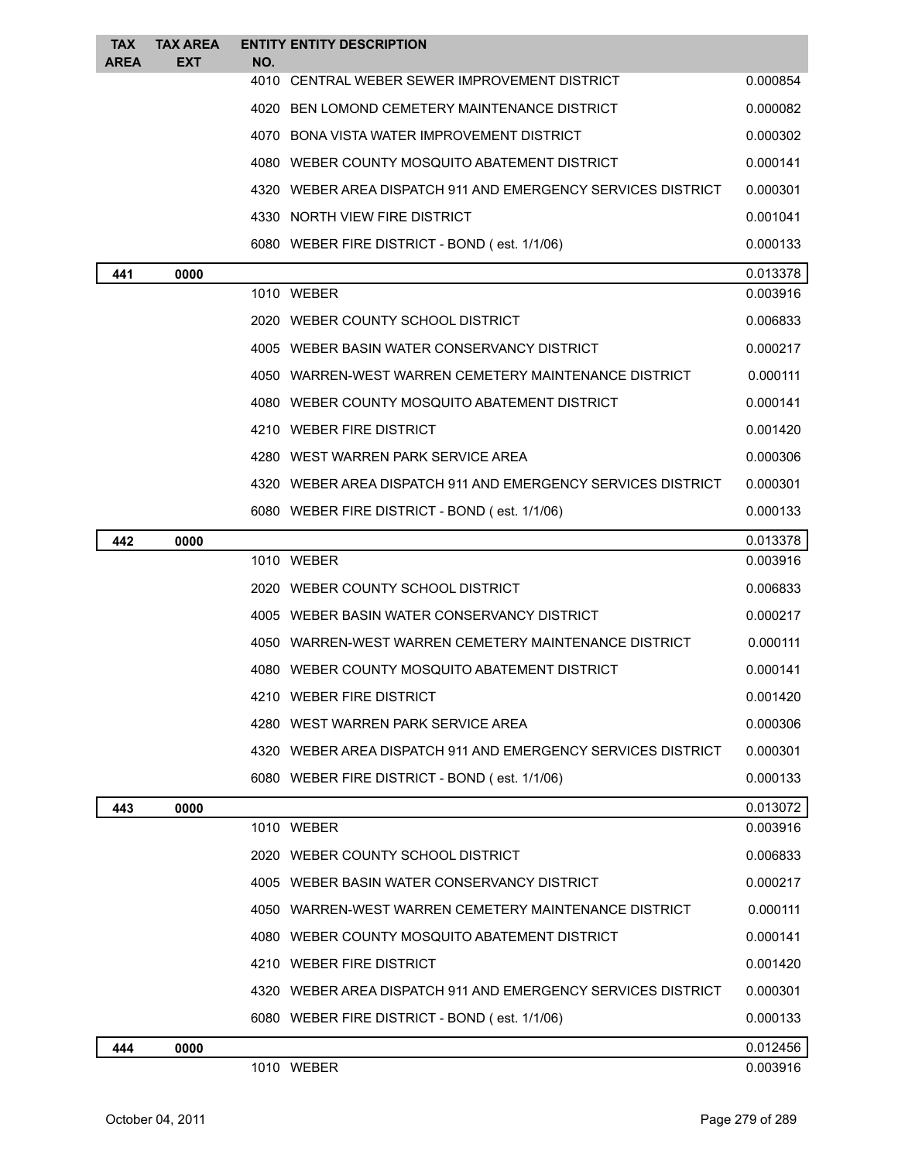| <b>TAX</b><br><b>AREA</b> | <b>TAX AREA</b><br><b>EXT</b> | <b>ENTITY ENTITY DESCRIPTION</b><br>NO.                      |          |
|---------------------------|-------------------------------|--------------------------------------------------------------|----------|
|                           |                               | 4010 CENTRAL WEBER SEWER IMPROVEMENT DISTRICT                | 0.000854 |
|                           |                               | BEN LOMOND CEMETERY MAINTENANCE DISTRICT<br>4020             | 0.000082 |
|                           |                               | 4070 BONA VISTA WATER IMPROVEMENT DISTRICT                   | 0.000302 |
|                           |                               | 4080 WEBER COUNTY MOSQUITO ABATEMENT DISTRICT                | 0.000141 |
|                           |                               | 4320 WEBER AREA DISPATCH 911 AND EMERGENCY SERVICES DISTRICT | 0.000301 |
|                           |                               | 4330 NORTH VIEW FIRE DISTRICT                                | 0.001041 |
|                           |                               | 6080 WEBER FIRE DISTRICT - BOND (est. 1/1/06)                | 0.000133 |
| 441                       | 0000                          |                                                              | 0.013378 |
|                           |                               | 1010 WEBER                                                   | 0.003916 |
|                           |                               | 2020 WEBER COUNTY SCHOOL DISTRICT                            | 0.006833 |
|                           |                               | 4005 WEBER BASIN WATER CONSERVANCY DISTRICT                  | 0.000217 |
|                           |                               | 4050 WARREN-WEST WARREN CEMETERY MAINTENANCE DISTRICT        | 0.000111 |
|                           |                               | 4080 WEBER COUNTY MOSQUITO ABATEMENT DISTRICT                | 0.000141 |
|                           |                               | 4210 WEBER FIRE DISTRICT                                     | 0.001420 |
|                           |                               | 4280 WEST WARREN PARK SERVICE AREA                           | 0.000306 |
|                           |                               | 4320 WEBER AREA DISPATCH 911 AND EMERGENCY SERVICES DISTRICT | 0.000301 |
|                           |                               | 6080 WEBER FIRE DISTRICT - BOND (est. 1/1/06)                | 0.000133 |
| 442                       | 0000                          |                                                              | 0.013378 |
|                           |                               | 1010 WEBER                                                   | 0.003916 |
|                           |                               | 2020 WEBER COUNTY SCHOOL DISTRICT                            | 0.006833 |
|                           |                               | 4005 WEBER BASIN WATER CONSERVANCY DISTRICT                  | 0.000217 |
|                           |                               | 4050 WARREN-WEST WARREN CEMETERY MAINTENANCE DISTRICT        | 0.000111 |
|                           |                               | 4080 WEBER COUNTY MOSQUITO ABATEMENT DISTRICT                | 0.000141 |
|                           |                               | 4210 WEBER FIRE DISTRICT                                     | 0.001420 |
|                           |                               | 4280 WEST WARREN PARK SERVICE AREA                           | 0.000306 |
|                           |                               | 4320 WEBER AREA DISPATCH 911 AND EMERGENCY SERVICES DISTRICT | 0.000301 |
|                           |                               | 6080 WEBER FIRE DISTRICT - BOND (est. 1/1/06)                | 0.000133 |
| 443                       | 0000                          |                                                              | 0.013072 |
|                           |                               | 1010 WEBER                                                   | 0.003916 |
|                           |                               | 2020 WEBER COUNTY SCHOOL DISTRICT                            | 0.006833 |
|                           |                               | 4005 WEBER BASIN WATER CONSERVANCY DISTRICT                  | 0.000217 |
|                           |                               | 4050 WARREN-WEST WARREN CEMETERY MAINTENANCE DISTRICT        | 0.000111 |
|                           |                               | 4080 WEBER COUNTY MOSQUITO ABATEMENT DISTRICT                | 0.000141 |
|                           |                               | 4210 WEBER FIRE DISTRICT                                     | 0.001420 |
|                           |                               | 4320 WEBER AREA DISPATCH 911 AND EMERGENCY SERVICES DISTRICT | 0.000301 |
|                           |                               | 6080 WEBER FIRE DISTRICT - BOND (est. 1/1/06)                | 0.000133 |
| 444                       | 0000                          |                                                              | 0.012456 |
|                           |                               | 1010 WEBER                                                   | 0.003916 |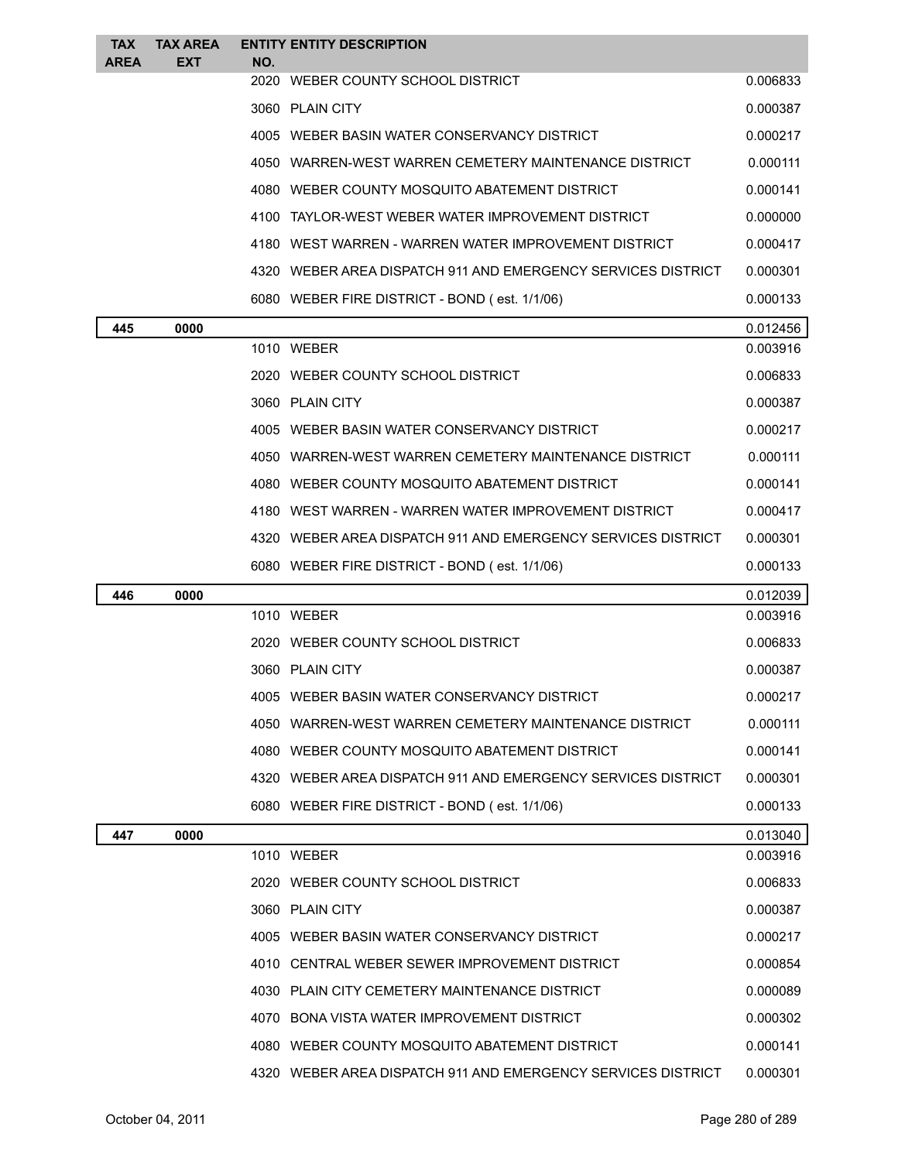| <b>TAX</b>  | <b>TAX AREA</b> |     | <b>ENTITY ENTITY DESCRIPTION</b>                             |          |
|-------------|-----------------|-----|--------------------------------------------------------------|----------|
| <b>AREA</b> | <b>EXT</b>      | NO. | 2020 WEBER COUNTY SCHOOL DISTRICT                            | 0.006833 |
|             |                 |     | 3060 PLAIN CITY                                              | 0.000387 |
|             |                 |     | 4005 WEBER BASIN WATER CONSERVANCY DISTRICT                  | 0.000217 |
|             |                 |     | 4050 WARREN-WEST WARREN CEMETERY MAINTENANCE DISTRICT        | 0.000111 |
|             |                 |     | 4080 WEBER COUNTY MOSQUITO ABATEMENT DISTRICT                | 0.000141 |
|             |                 |     | 4100 TAYLOR-WEST WEBER WATER IMPROVEMENT DISTRICT            | 0.000000 |
|             |                 |     | 4180 WEST WARREN - WARREN WATER IMPROVEMENT DISTRICT         | 0.000417 |
|             |                 |     | 4320 WEBER AREA DISPATCH 911 AND EMERGENCY SERVICES DISTRICT | 0.000301 |
|             |                 |     | 6080 WEBER FIRE DISTRICT - BOND (est. 1/1/06)                | 0.000133 |
| 445         | 0000            |     |                                                              | 0.012456 |
|             |                 |     | 1010 WEBER                                                   | 0.003916 |
|             |                 |     | 2020 WEBER COUNTY SCHOOL DISTRICT                            | 0.006833 |
|             |                 |     | 3060 PLAIN CITY                                              | 0.000387 |
|             |                 |     | 4005 WEBER BASIN WATER CONSERVANCY DISTRICT                  | 0.000217 |
|             |                 |     | 4050 WARREN-WEST WARREN CEMETERY MAINTENANCE DISTRICT        | 0.000111 |
|             |                 |     | 4080 WEBER COUNTY MOSQUITO ABATEMENT DISTRICT                | 0.000141 |
|             |                 |     | 4180 WEST WARREN - WARREN WATER IMPROVEMENT DISTRICT         | 0.000417 |
|             |                 |     | 4320 WEBER AREA DISPATCH 911 AND EMERGENCY SERVICES DISTRICT | 0.000301 |
|             |                 |     | 6080 WEBER FIRE DISTRICT - BOND (est. 1/1/06)                | 0.000133 |
| 446         | 0000            |     |                                                              | 0.012039 |
|             |                 |     | 1010 WEBER                                                   | 0.003916 |
|             |                 |     | 2020 WEBER COUNTY SCHOOL DISTRICT                            | 0.006833 |
|             |                 |     | 3060 PLAIN CITY                                              | 0.000387 |
|             |                 |     | 4005 WEBER BASIN WATER CONSERVANCY DISTRICT                  | 0.000217 |
|             |                 |     | 4050 WARREN-WEST WARREN CEMETERY MAINTENANCE DISTRICT        | 0.000111 |
|             |                 |     | 4080 WEBER COUNTY MOSQUITO ABATEMENT DISTRICT                | 0.000141 |
|             |                 |     | 4320 WEBER AREA DISPATCH 911 AND EMERGENCY SERVICES DISTRICT | 0.000301 |
|             |                 |     | 6080 WEBER FIRE DISTRICT - BOND (est. 1/1/06)                | 0.000133 |
| 447         | 0000            |     |                                                              | 0.013040 |
|             |                 |     | 1010 WEBER                                                   | 0.003916 |
|             |                 |     | 2020 WEBER COUNTY SCHOOL DISTRICT                            | 0.006833 |
|             |                 |     | 3060 PLAIN CITY                                              | 0.000387 |
|             |                 |     | 4005 WEBER BASIN WATER CONSERVANCY DISTRICT                  | 0.000217 |
|             |                 |     | 4010 CENTRAL WEBER SEWER IMPROVEMENT DISTRICT                | 0.000854 |
|             |                 |     | 4030 PLAIN CITY CEMETERY MAINTENANCE DISTRICT                | 0.000089 |
|             |                 |     | 4070 BONA VISTA WATER IMPROVEMENT DISTRICT                   | 0.000302 |
|             |                 |     | 4080 WEBER COUNTY MOSQUITO ABATEMENT DISTRICT                | 0.000141 |
|             |                 |     | 4320 WEBER AREA DISPATCH 911 AND EMERGENCY SERVICES DISTRICT | 0.000301 |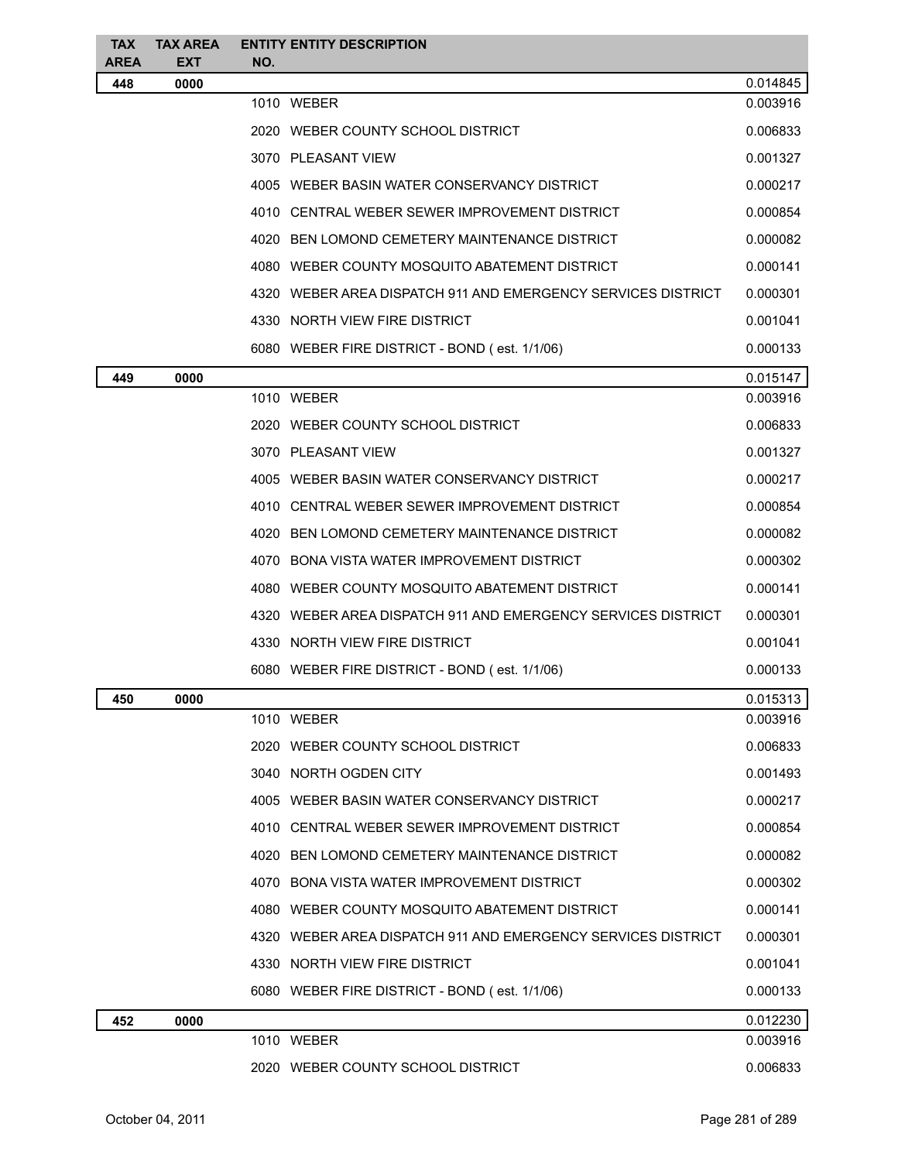| <b>TAX</b><br><b>AREA</b> | <b>TAX AREA</b><br><b>EXT</b> | <b>ENTITY ENTITY DESCRIPTION</b><br>NO.                      |          |
|---------------------------|-------------------------------|--------------------------------------------------------------|----------|
| 448                       | 0000                          |                                                              | 0.014845 |
|                           |                               | 1010 WEBER                                                   | 0.003916 |
|                           |                               | 2020 WEBER COUNTY SCHOOL DISTRICT                            | 0.006833 |
|                           |                               | 3070 PLEASANT VIEW                                           | 0.001327 |
|                           |                               | 4005 WEBER BASIN WATER CONSERVANCY DISTRICT                  | 0.000217 |
|                           |                               | 4010 CENTRAL WEBER SEWER IMPROVEMENT DISTRICT                | 0.000854 |
|                           |                               | 4020 BEN LOMOND CEMETERY MAINTENANCE DISTRICT                | 0.000082 |
|                           |                               | 4080 WEBER COUNTY MOSQUITO ABATEMENT DISTRICT                | 0.000141 |
|                           |                               | 4320 WEBER AREA DISPATCH 911 AND EMERGENCY SERVICES DISTRICT | 0.000301 |
|                           |                               | 4330 NORTH VIEW FIRE DISTRICT                                | 0.001041 |
|                           |                               | 6080 WEBER FIRE DISTRICT - BOND (est. 1/1/06)                | 0.000133 |
| 449                       | 0000                          |                                                              | 0.015147 |
|                           |                               | 1010 WEBER                                                   | 0.003916 |
|                           |                               | 2020 WEBER COUNTY SCHOOL DISTRICT                            | 0.006833 |
|                           |                               | 3070 PLEASANT VIEW                                           | 0.001327 |
|                           |                               | 4005 WEBER BASIN WATER CONSERVANCY DISTRICT                  | 0.000217 |
|                           |                               | 4010 CENTRAL WEBER SEWER IMPROVEMENT DISTRICT                | 0.000854 |
|                           |                               | 4020 BEN LOMOND CEMETERY MAINTENANCE DISTRICT                | 0.000082 |
|                           |                               | 4070 BONA VISTA WATER IMPROVEMENT DISTRICT                   | 0.000302 |
|                           |                               | 4080 WEBER COUNTY MOSQUITO ABATEMENT DISTRICT                | 0.000141 |
|                           |                               | 4320 WEBER AREA DISPATCH 911 AND EMERGENCY SERVICES DISTRICT | 0.000301 |
|                           |                               | 4330 NORTH VIEW FIRE DISTRICT                                | 0.001041 |
|                           |                               | 6080 WEBER FIRE DISTRICT - BOND (est. 1/1/06)                | 0.000133 |
| 450                       | 0000                          |                                                              | 0.015313 |
|                           |                               | 1010 WEBER                                                   | 0.003916 |
|                           |                               | 2020 WEBER COUNTY SCHOOL DISTRICT                            | 0.006833 |
|                           |                               | 3040 NORTH OGDEN CITY                                        | 0.001493 |
|                           |                               | 4005 WEBER BASIN WATER CONSERVANCY DISTRICT                  | 0.000217 |
|                           |                               | 4010 CENTRAL WEBER SEWER IMPROVEMENT DISTRICT                | 0.000854 |
|                           |                               | 4020 BEN LOMOND CEMETERY MAINTENANCE DISTRICT                | 0.000082 |
|                           |                               | 4070 BONA VISTA WATER IMPROVEMENT DISTRICT                   | 0.000302 |
|                           |                               | 4080 WEBER COUNTY MOSQUITO ABATEMENT DISTRICT                | 0.000141 |
|                           |                               | 4320 WEBER AREA DISPATCH 911 AND EMERGENCY SERVICES DISTRICT | 0.000301 |
|                           |                               | 4330 NORTH VIEW FIRE DISTRICT                                | 0.001041 |
|                           |                               | 6080 WEBER FIRE DISTRICT - BOND (est. 1/1/06)                | 0.000133 |
| 452                       | 0000                          |                                                              | 0.012230 |
|                           |                               | 1010 WEBER                                                   | 0.003916 |
|                           |                               | 2020 WEBER COUNTY SCHOOL DISTRICT                            | 0.006833 |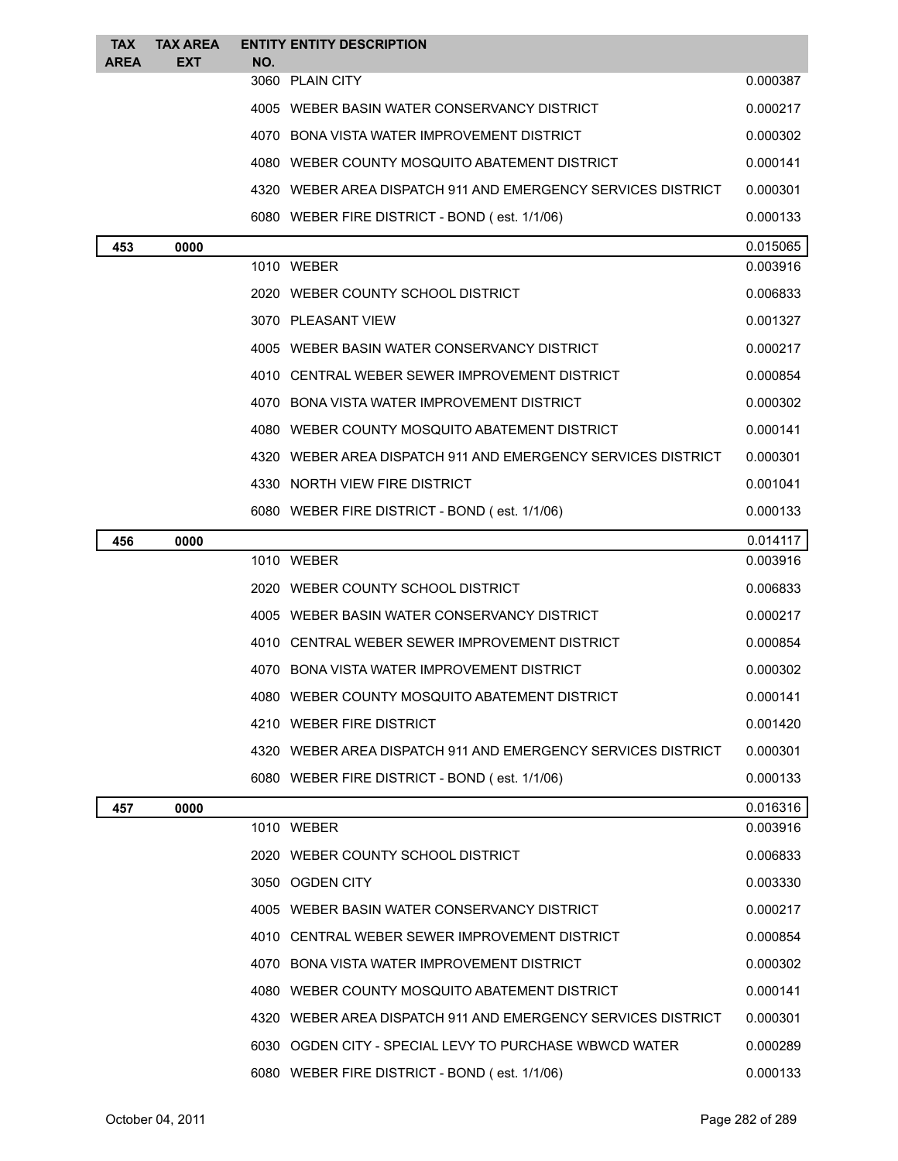| <b>TAX</b>  | <b>TAX AREA</b> |            | <b>ENTITY ENTITY DESCRIPTION</b>                             |                      |
|-------------|-----------------|------------|--------------------------------------------------------------|----------------------|
| <b>AREA</b> | <b>EXT</b>      | NO.        | 3060 PLAIN CITY                                              | 0.000387             |
|             |                 |            | 4005 WEBER BASIN WATER CONSERVANCY DISTRICT                  | 0.000217             |
|             |                 |            | 4070 BONA VISTA WATER IMPROVEMENT DISTRICT                   | 0.000302             |
|             |                 |            | 4080 WEBER COUNTY MOSQUITO ABATEMENT DISTRICT                | 0.000141             |
|             |                 |            | 4320 WEBER AREA DISPATCH 911 AND EMERGENCY SERVICES DISTRICT | 0.000301             |
|             |                 |            |                                                              |                      |
|             |                 |            | 6080 WEBER FIRE DISTRICT - BOND (est. 1/1/06)                | 0.000133             |
| 453         | 0000            | 1010 WEBER |                                                              | 0.015065<br>0.003916 |
|             |                 |            | 2020 WEBER COUNTY SCHOOL DISTRICT                            | 0.006833             |
|             |                 |            | 3070 PLEASANT VIEW                                           | 0.001327             |
|             |                 |            | 4005 WEBER BASIN WATER CONSERVANCY DISTRICT                  | 0.000217             |
|             |                 |            | 4010 CENTRAL WEBER SEWER IMPROVEMENT DISTRICT                | 0.000854             |
|             |                 |            | 4070 BONA VISTA WATER IMPROVEMENT DISTRICT                   | 0.000302             |
|             |                 |            | 4080 WEBER COUNTY MOSQUITO ABATEMENT DISTRICT                | 0.000141             |
|             |                 |            | 4320 WEBER AREA DISPATCH 911 AND EMERGENCY SERVICES DISTRICT | 0.000301             |
|             |                 |            | 4330 NORTH VIEW FIRE DISTRICT                                | 0.001041             |
|             |                 |            | 6080 WEBER FIRE DISTRICT - BOND (est. 1/1/06)                | 0.000133             |
| 456         | 0000            |            |                                                              | 0.014117             |
|             |                 | 1010 WEBER |                                                              | 0.003916             |
|             |                 |            | 2020 WEBER COUNTY SCHOOL DISTRICT                            | 0.006833             |
|             |                 |            | 4005 WEBER BASIN WATER CONSERVANCY DISTRICT                  | 0.000217             |
|             |                 |            | 4010 CENTRAL WEBER SEWER IMPROVEMENT DISTRICT                | 0.000854             |
|             |                 |            | 4070 BONA VISTA WATER IMPROVEMENT DISTRICT                   | 0.000302             |
|             |                 |            | 4080 WEBER COUNTY MOSQUITO ABATEMENT DISTRICT                | 0.000141             |
|             |                 |            | 4210 WEBER FIRE DISTRICT                                     | 0.001420             |
|             |                 |            | 4320 WEBER AREA DISPATCH 911 AND EMERGENCY SERVICES DISTRICT | 0.000301             |
|             |                 |            | 6080 WEBER FIRE DISTRICT - BOND (est. 1/1/06)                | 0.000133             |
| 457         | 0000            |            |                                                              | 0.016316             |
|             |                 | 1010 WEBER |                                                              | 0.003916             |
|             |                 |            | 2020 WEBER COUNTY SCHOOL DISTRICT                            | 0.006833             |
|             |                 |            | 3050 OGDEN CITY                                              | 0.003330             |
|             |                 |            | 4005 WEBER BASIN WATER CONSERVANCY DISTRICT                  | 0.000217             |
|             |                 |            | 4010 CENTRAL WEBER SEWER IMPROVEMENT DISTRICT                | 0.000854             |
|             |                 |            | 4070 BONA VISTA WATER IMPROVEMENT DISTRICT                   | 0.000302             |
|             |                 |            | 4080 WEBER COUNTY MOSQUITO ABATEMENT DISTRICT                | 0.000141             |
|             |                 |            | 4320 WEBER AREA DISPATCH 911 AND EMERGENCY SERVICES DISTRICT | 0.000301             |
|             |                 |            | 6030 OGDEN CITY - SPECIAL LEVY TO PURCHASE WBWCD WATER       | 0.000289             |
|             |                 |            | 6080 WEBER FIRE DISTRICT - BOND (est. 1/1/06)                | 0.000133             |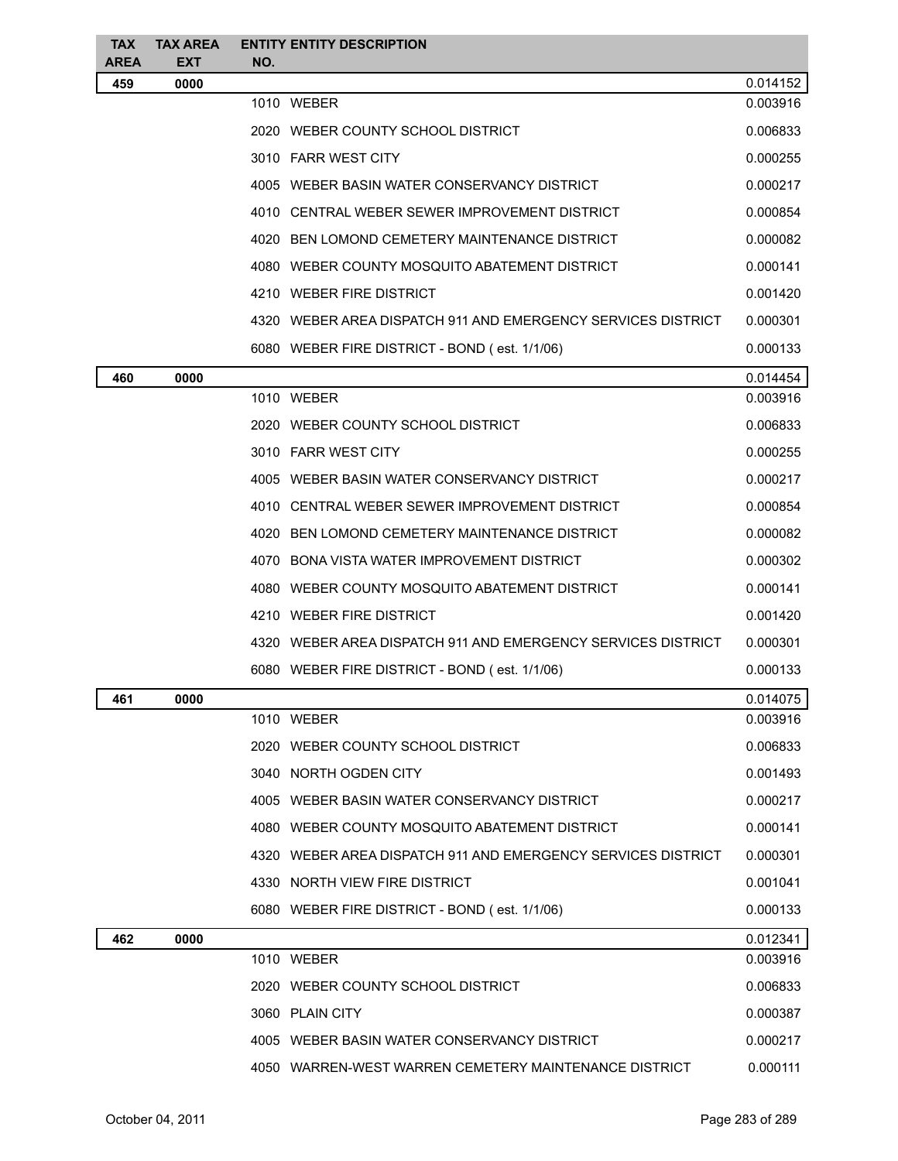| <b>TAX</b>         | <b>TAX AREA</b>    |      | <b>ENTITY ENTITY DESCRIPTION</b>                             |          |
|--------------------|--------------------|------|--------------------------------------------------------------|----------|
| <b>AREA</b><br>459 | <b>EXT</b><br>0000 | NO.  |                                                              | 0.014152 |
|                    |                    |      | 1010 WEBER                                                   | 0.003916 |
|                    |                    |      | 2020 WEBER COUNTY SCHOOL DISTRICT                            | 0.006833 |
|                    |                    |      | 3010 FARR WEST CITY                                          | 0.000255 |
|                    |                    |      | 4005 WEBER BASIN WATER CONSERVANCY DISTRICT                  | 0.000217 |
|                    |                    |      | 4010 CENTRAL WEBER SEWER IMPROVEMENT DISTRICT                | 0.000854 |
|                    |                    |      | 4020 BEN LOMOND CEMETERY MAINTENANCE DISTRICT                | 0.000082 |
|                    |                    |      | 4080 WEBER COUNTY MOSQUITO ABATEMENT DISTRICT                | 0.000141 |
|                    |                    |      | 4210 WEBER FIRE DISTRICT                                     | 0.001420 |
|                    |                    |      | 4320 WEBER AREA DISPATCH 911 AND EMERGENCY SERVICES DISTRICT | 0.000301 |
|                    |                    |      | 6080 WEBER FIRE DISTRICT - BOND (est. 1/1/06)                | 0.000133 |
| 460                | 0000               |      |                                                              | 0.014454 |
|                    |                    |      | 1010 WEBER                                                   | 0.003916 |
|                    |                    |      | 2020 WEBER COUNTY SCHOOL DISTRICT                            | 0.006833 |
|                    |                    |      | 3010 FARR WEST CITY                                          | 0.000255 |
|                    |                    |      | 4005 WEBER BASIN WATER CONSERVANCY DISTRICT                  | 0.000217 |
|                    |                    |      | 4010 CENTRAL WEBER SEWER IMPROVEMENT DISTRICT                | 0.000854 |
|                    |                    | 4020 | BEN LOMOND CEMETERY MAINTENANCE DISTRICT                     | 0.000082 |
|                    |                    |      | 4070 BONA VISTA WATER IMPROVEMENT DISTRICT                   | 0.000302 |
|                    |                    |      | 4080 WEBER COUNTY MOSQUITO ABATEMENT DISTRICT                | 0.000141 |
|                    |                    |      | 4210 WEBER FIRE DISTRICT                                     | 0.001420 |
|                    |                    |      | 4320 WEBER AREA DISPATCH 911 AND EMERGENCY SERVICES DISTRICT | 0.000301 |
|                    |                    |      | 6080 WEBER FIRE DISTRICT - BOND (est. 1/1/06)                | 0.000133 |
| 461                | 0000               |      |                                                              | 0.014075 |
|                    |                    |      | 1010 WEBER                                                   | 0.003916 |
|                    |                    |      | 2020 WEBER COUNTY SCHOOL DISTRICT                            | 0.006833 |
|                    |                    |      | 3040 NORTH OGDEN CITY                                        | 0.001493 |
|                    |                    |      | 4005 WEBER BASIN WATER CONSERVANCY DISTRICT                  | 0.000217 |
|                    |                    |      | 4080 WEBER COUNTY MOSQUITO ABATEMENT DISTRICT                | 0.000141 |
|                    |                    |      | 4320 WEBER AREA DISPATCH 911 AND EMERGENCY SERVICES DISTRICT | 0.000301 |
|                    |                    |      | 4330 NORTH VIEW FIRE DISTRICT                                | 0.001041 |
|                    |                    |      | 6080 WEBER FIRE DISTRICT - BOND (est. 1/1/06)                | 0.000133 |
| 462                | 0000               |      |                                                              | 0.012341 |
|                    |                    |      | 1010 WEBER                                                   | 0.003916 |
|                    |                    |      | 2020 WEBER COUNTY SCHOOL DISTRICT                            | 0.006833 |
|                    |                    |      | 3060 PLAIN CITY                                              | 0.000387 |
|                    |                    |      | 4005 WEBER BASIN WATER CONSERVANCY DISTRICT                  | 0.000217 |
|                    |                    |      | 4050 WARREN-WEST WARREN CEMETERY MAINTENANCE DISTRICT        | 0.000111 |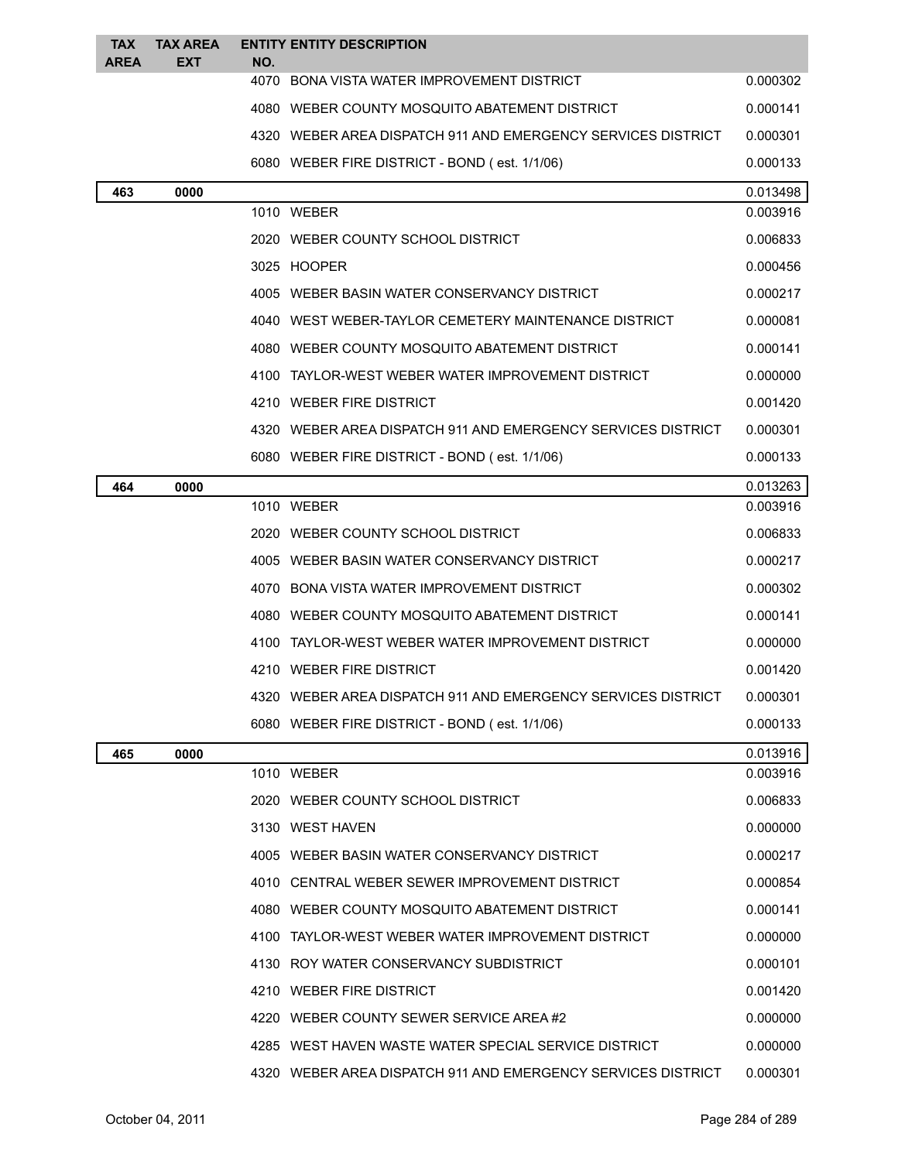| <b>TAX</b>  | <b>TAX AREA</b> |     | <b>ENTITY ENTITY DESCRIPTION</b>                             |          |
|-------------|-----------------|-----|--------------------------------------------------------------|----------|
| <b>AREA</b> | <b>EXT</b>      | NO. |                                                              |          |
|             |                 |     | 4070 BONA VISTA WATER IMPROVEMENT DISTRICT                   | 0.000302 |
|             |                 |     | 4080 WEBER COUNTY MOSQUITO ABATEMENT DISTRICT                | 0.000141 |
|             |                 |     | 4320 WEBER AREA DISPATCH 911 AND EMERGENCY SERVICES DISTRICT | 0.000301 |
|             |                 |     | 6080 WEBER FIRE DISTRICT - BOND (est. 1/1/06)                | 0.000133 |
| 463         | 0000            |     |                                                              | 0.013498 |
|             |                 |     | 1010 WEBER                                                   | 0.003916 |
|             |                 |     | 2020 WEBER COUNTY SCHOOL DISTRICT                            | 0.006833 |
|             |                 |     | 3025 HOOPER                                                  | 0.000456 |
|             |                 |     | 4005 WEBER BASIN WATER CONSERVANCY DISTRICT                  | 0.000217 |
|             |                 |     | 4040 WEST WEBER-TAYLOR CEMETERY MAINTENANCE DISTRICT         | 0.000081 |
|             |                 |     | 4080 WEBER COUNTY MOSQUITO ABATEMENT DISTRICT                | 0.000141 |
|             |                 |     | 4100 TAYLOR-WEST WEBER WATER IMPROVEMENT DISTRICT            | 0.000000 |
|             |                 |     | 4210 WEBER FIRE DISTRICT                                     | 0.001420 |
|             |                 |     | 4320 WEBER AREA DISPATCH 911 AND EMERGENCY SERVICES DISTRICT | 0.000301 |
|             |                 |     | 6080 WEBER FIRE DISTRICT - BOND (est. 1/1/06)                | 0.000133 |
| 464         | 0000            |     |                                                              | 0.013263 |
|             |                 |     | 1010 WEBER                                                   | 0.003916 |
|             |                 |     | 2020 WEBER COUNTY SCHOOL DISTRICT                            | 0.006833 |
|             |                 |     | 4005 WEBER BASIN WATER CONSERVANCY DISTRICT                  | 0.000217 |
|             |                 |     | 4070 BONA VISTA WATER IMPROVEMENT DISTRICT                   | 0.000302 |
|             |                 |     | 4080 WEBER COUNTY MOSQUITO ABATEMENT DISTRICT                | 0.000141 |
|             |                 |     | 4100 TAYLOR-WEST WEBER WATER IMPROVEMENT DISTRICT            | 0.000000 |
|             |                 |     | 4210 WEBER FIRE DISTRICT                                     | 0.001420 |
|             |                 |     | 4320 WEBER AREA DISPATCH 911 AND EMERGENCY SERVICES DISTRICT | 0.000301 |
|             |                 |     | 6080 WEBER FIRE DISTRICT - BOND (est. 1/1/06)                | 0.000133 |
| 465         | 0000            |     |                                                              | 0.013916 |
|             |                 |     | 1010 WEBER                                                   | 0.003916 |
|             |                 |     | 2020 WEBER COUNTY SCHOOL DISTRICT                            | 0.006833 |
|             |                 |     | 3130 WEST HAVEN                                              | 0.000000 |
|             |                 |     | 4005 WEBER BASIN WATER CONSERVANCY DISTRICT                  | 0.000217 |
|             |                 |     | 4010 CENTRAL WEBER SEWER IMPROVEMENT DISTRICT                | 0.000854 |
|             |                 |     | 4080 WEBER COUNTY MOSQUITO ABATEMENT DISTRICT                | 0.000141 |
|             |                 |     | 4100 TAYLOR-WEST WEBER WATER IMPROVEMENT DISTRICT            | 0.000000 |
|             |                 |     | 4130 ROY WATER CONSERVANCY SUBDISTRICT                       | 0.000101 |
|             |                 |     | 4210 WEBER FIRE DISTRICT                                     | 0.001420 |
|             |                 |     | 4220 WEBER COUNTY SEWER SERVICE AREA#2                       | 0.000000 |
|             |                 |     | 4285 WEST HAVEN WASTE WATER SPECIAL SERVICE DISTRICT         | 0.000000 |
|             |                 |     | 4320 WEBER AREA DISPATCH 911 AND EMERGENCY SERVICES DISTRICT | 0.000301 |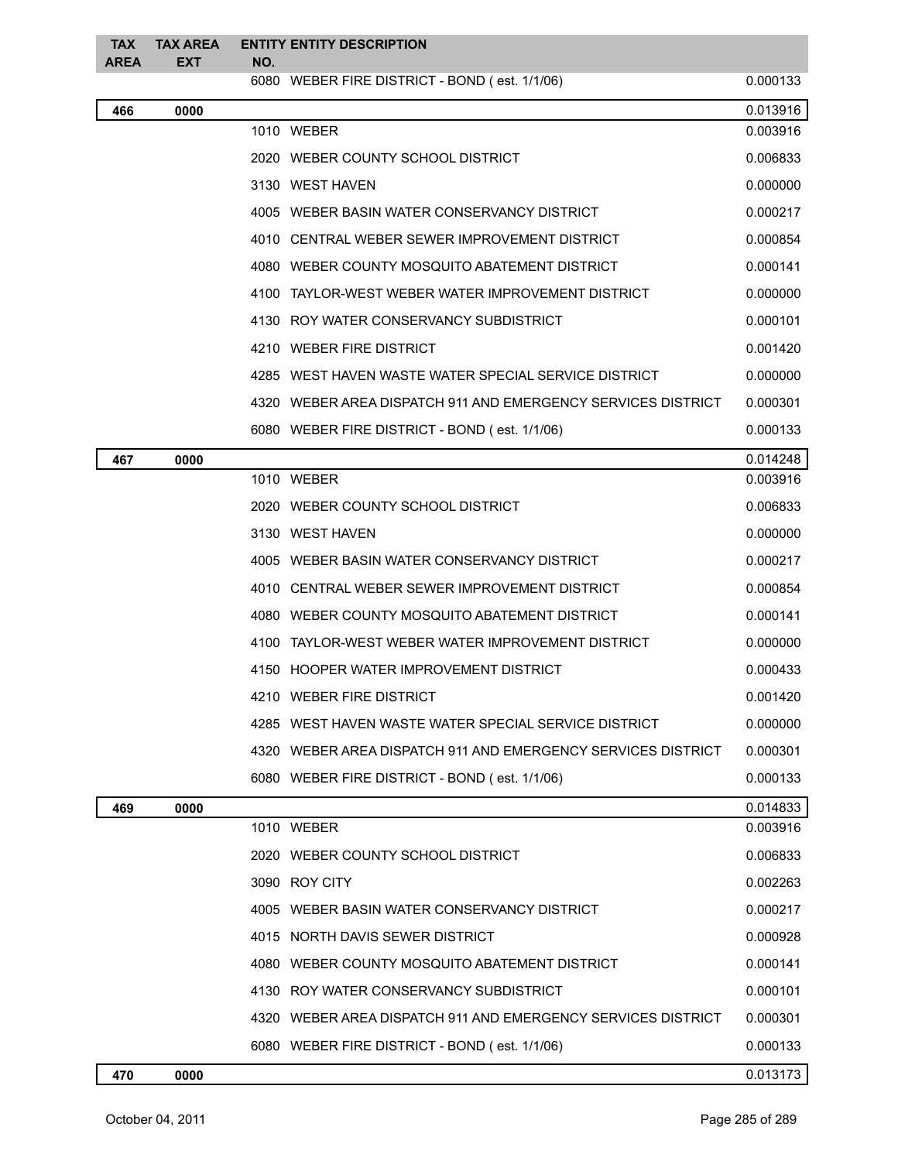| <b>TAX</b><br><b>AREA</b> | <b>TAX AREA</b><br>EXT | <b>ENTITY ENTITY DESCRIPTION</b><br>NO.                      |          |
|---------------------------|------------------------|--------------------------------------------------------------|----------|
|                           |                        | 6080 WEBER FIRE DISTRICT - BOND (est. 1/1/06)                | 0.000133 |
| 466                       | 0000                   |                                                              | 0.013916 |
|                           |                        | 1010 WEBER                                                   | 0.003916 |
|                           |                        | 2020 WEBER COUNTY SCHOOL DISTRICT                            | 0.006833 |
|                           |                        | 3130 WEST HAVEN                                              | 0.000000 |
|                           |                        | 4005 WEBER BASIN WATER CONSERVANCY DISTRICT                  | 0.000217 |
|                           |                        | 4010 CENTRAL WEBER SEWER IMPROVEMENT DISTRICT                | 0.000854 |
|                           |                        | 4080 WEBER COUNTY MOSQUITO ABATEMENT DISTRICT                | 0.000141 |
|                           |                        | 4100 TAYLOR-WEST WEBER WATER IMPROVEMENT DISTRICT            | 0.000000 |
|                           |                        | 4130 ROY WATER CONSERVANCY SUBDISTRICT                       | 0.000101 |
|                           |                        | 4210 WEBER FIRE DISTRICT                                     | 0.001420 |
|                           |                        | 4285 WEST HAVEN WASTE WATER SPECIAL SERVICE DISTRICT         | 0.000000 |
|                           |                        | 4320 WEBER AREA DISPATCH 911 AND EMERGENCY SERVICES DISTRICT | 0.000301 |
|                           |                        | 6080 WEBER FIRE DISTRICT - BOND (est. 1/1/06)                | 0.000133 |
| 467                       | 0000                   |                                                              | 0.014248 |
|                           |                        | 1010 WEBER                                                   | 0.003916 |
|                           |                        | 2020 WEBER COUNTY SCHOOL DISTRICT                            | 0.006833 |
|                           |                        | 3130 WEST HAVEN                                              | 0.000000 |
|                           |                        | 4005 WEBER BASIN WATER CONSERVANCY DISTRICT                  | 0.000217 |
|                           |                        | 4010 CENTRAL WEBER SEWER IMPROVEMENT DISTRICT                | 0.000854 |
|                           |                        | 4080 WEBER COUNTY MOSQUITO ABATEMENT DISTRICT                | 0.000141 |
|                           |                        | 4100 TAYLOR-WEST WEBER WATER IMPROVEMENT DISTRICT            | 0.000000 |
|                           |                        | 4150 HOOPER WATER IMPROVEMENT DISTRICT                       | 0.000433 |
|                           |                        | 4210 WEBER FIRE DISTRICT                                     | 0.001420 |
|                           |                        | 4285 WEST HAVEN WASTE WATER SPECIAL SERVICE DISTRICT         | 0.000000 |
|                           |                        | 4320 WEBER AREA DISPATCH 911 AND EMERGENCY SERVICES DISTRICT | 0.000301 |
|                           |                        | 6080 WEBER FIRE DISTRICT - BOND (est. 1/1/06)                | 0.000133 |
| 469                       | 0000                   |                                                              | 0.014833 |
|                           |                        | 1010 WEBER                                                   | 0.003916 |
|                           |                        | 2020 WEBER COUNTY SCHOOL DISTRICT                            | 0.006833 |
|                           |                        | 3090 ROY CITY                                                | 0.002263 |
|                           |                        | 4005 WEBER BASIN WATER CONSERVANCY DISTRICT                  | 0.000217 |
|                           |                        | 4015 NORTH DAVIS SEWER DISTRICT                              | 0.000928 |
|                           |                        | 4080 WEBER COUNTY MOSQUITO ABATEMENT DISTRICT                | 0.000141 |
|                           |                        | 4130 ROY WATER CONSERVANCY SUBDISTRICT                       | 0.000101 |
|                           |                        | 4320 WEBER AREA DISPATCH 911 AND EMERGENCY SERVICES DISTRICT | 0.000301 |
|                           |                        | 6080 WEBER FIRE DISTRICT - BOND (est. 1/1/06)                | 0.000133 |
|                           |                        |                                                              |          |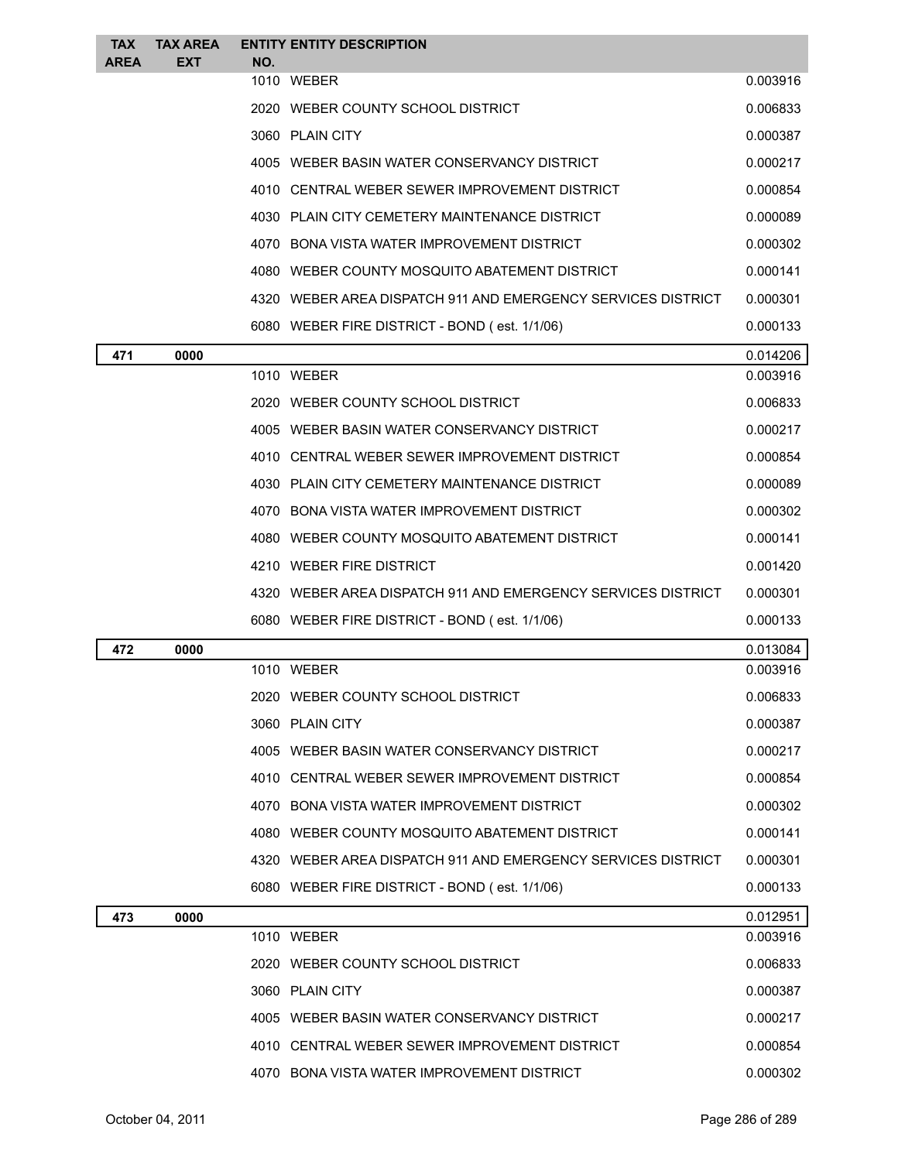| <b>TAX</b><br><b>AREA</b> | <b>TAX AREA</b><br><b>EXT</b> | <b>ENTITY ENTITY DESCRIPTION</b><br>NO.                      |          |
|---------------------------|-------------------------------|--------------------------------------------------------------|----------|
|                           |                               | 1010 WEBER                                                   | 0.003916 |
|                           |                               | 2020 WEBER COUNTY SCHOOL DISTRICT                            | 0.006833 |
|                           |                               | 3060 PLAIN CITY                                              | 0.000387 |
|                           |                               | 4005 WEBER BASIN WATER CONSERVANCY DISTRICT                  | 0.000217 |
|                           |                               | 4010 CENTRAL WEBER SEWER IMPROVEMENT DISTRICT                | 0.000854 |
|                           |                               | 4030 PLAIN CITY CEMETERY MAINTENANCE DISTRICT                | 0.000089 |
|                           |                               | 4070 BONA VISTA WATER IMPROVEMENT DISTRICT                   | 0.000302 |
|                           |                               | 4080 WEBER COUNTY MOSQUITO ABATEMENT DISTRICT                | 0.000141 |
|                           |                               | 4320 WEBER AREA DISPATCH 911 AND EMERGENCY SERVICES DISTRICT | 0.000301 |
|                           |                               | 6080 WEBER FIRE DISTRICT - BOND (est. 1/1/06)                | 0.000133 |
| 471                       | 0000                          |                                                              | 0.014206 |
|                           |                               | 1010 WEBER                                                   | 0.003916 |
|                           |                               | 2020 WEBER COUNTY SCHOOL DISTRICT                            | 0.006833 |
|                           |                               | 4005 WEBER BASIN WATER CONSERVANCY DISTRICT                  | 0.000217 |
|                           |                               | 4010 CENTRAL WEBER SEWER IMPROVEMENT DISTRICT                | 0.000854 |
|                           |                               | 4030 PLAIN CITY CEMETERY MAINTENANCE DISTRICT                | 0.000089 |
|                           |                               | 4070 BONA VISTA WATER IMPROVEMENT DISTRICT                   | 0.000302 |
|                           |                               | 4080 WEBER COUNTY MOSQUITO ABATEMENT DISTRICT                | 0.000141 |
|                           |                               | 4210 WEBER FIRE DISTRICT                                     | 0.001420 |
|                           |                               | 4320 WEBER AREA DISPATCH 911 AND EMERGENCY SERVICES DISTRICT | 0.000301 |
|                           |                               | 6080 WEBER FIRE DISTRICT - BOND (est. 1/1/06)                | 0.000133 |
| 472                       | 0000                          |                                                              | 0.013084 |
|                           |                               | 1010 WEBER                                                   | 0.003916 |
|                           |                               | 2020 WEBER COUNTY SCHOOL DISTRICT                            | 0.006833 |
|                           |                               | 3060 PLAIN CITY                                              | 0.000387 |
|                           |                               | 4005 WEBER BASIN WATER CONSERVANCY DISTRICT                  | 0.000217 |
|                           |                               | 4010 CENTRAL WEBER SEWER IMPROVEMENT DISTRICT                | 0.000854 |
|                           |                               | 4070 BONA VISTA WATER IMPROVEMENT DISTRICT                   | 0.000302 |
|                           |                               | 4080 WEBER COUNTY MOSQUITO ABATEMENT DISTRICT                | 0.000141 |
|                           |                               | 4320 WEBER AREA DISPATCH 911 AND EMERGENCY SERVICES DISTRICT | 0.000301 |
|                           |                               | 6080 WEBER FIRE DISTRICT - BOND (est. 1/1/06)                | 0.000133 |
| 473                       | 0000                          |                                                              | 0.012951 |
|                           |                               | 1010 WEBER                                                   | 0.003916 |
|                           |                               | 2020 WEBER COUNTY SCHOOL DISTRICT                            | 0.006833 |
|                           |                               | 3060 PLAIN CITY                                              | 0.000387 |
|                           |                               | 4005 WEBER BASIN WATER CONSERVANCY DISTRICT                  | 0.000217 |
|                           |                               | 4010 CENTRAL WEBER SEWER IMPROVEMENT DISTRICT                | 0.000854 |
|                           |                               | 4070 BONA VISTA WATER IMPROVEMENT DISTRICT                   | 0.000302 |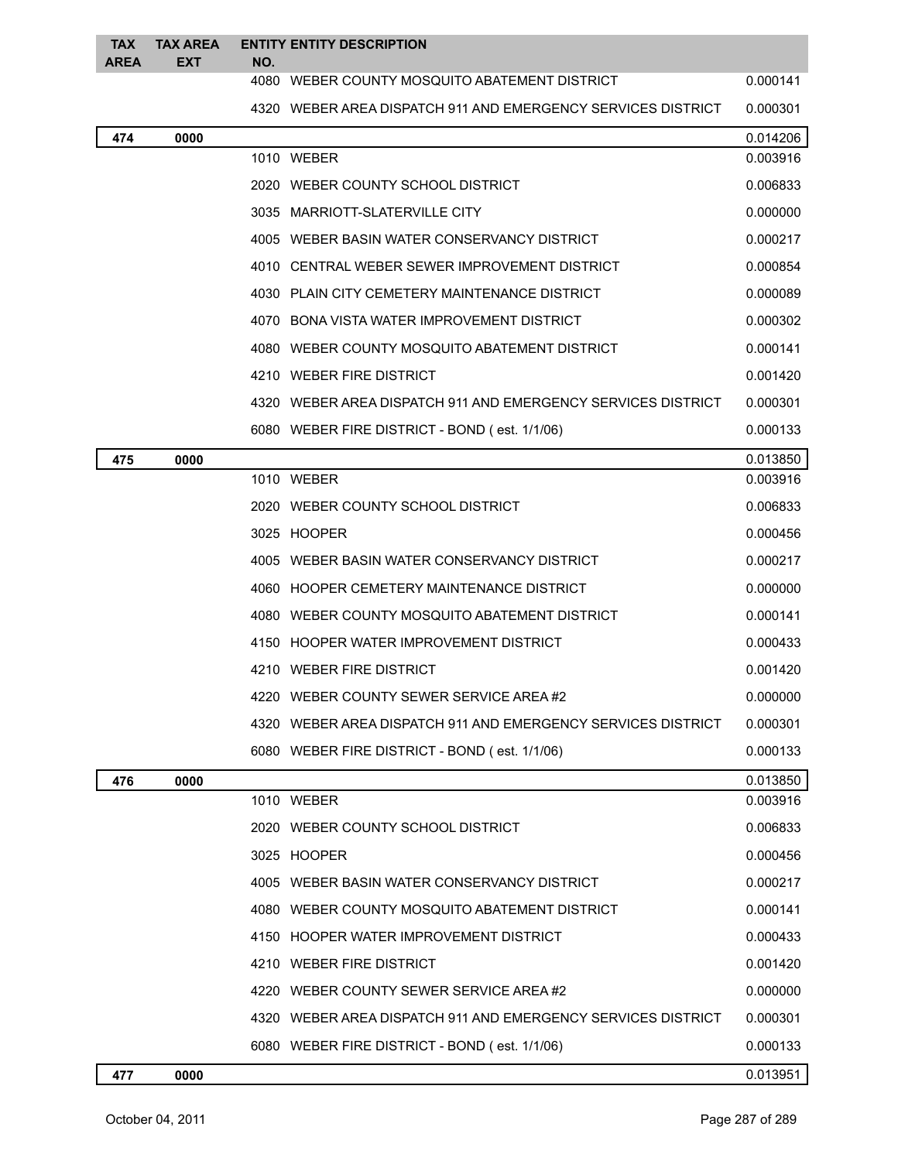| <b>TAX</b><br><b>AREA</b> | <b>TAX AREA</b><br><b>EXT</b> | NO. | <b>ENTITY ENTITY DESCRIPTION</b>                             |          |
|---------------------------|-------------------------------|-----|--------------------------------------------------------------|----------|
|                           |                               |     | 4080 WEBER COUNTY MOSQUITO ABATEMENT DISTRICT                | 0.000141 |
|                           |                               |     | 4320 WEBER AREA DISPATCH 911 AND EMERGENCY SERVICES DISTRICT | 0.000301 |
| 474                       | 0000                          |     |                                                              | 0.014206 |
|                           |                               |     | 1010 WEBER                                                   | 0.003916 |
|                           |                               |     | 2020 WEBER COUNTY SCHOOL DISTRICT                            | 0.006833 |
|                           |                               |     | 3035 MARRIOTT-SLATERVILLE CITY                               | 0.000000 |
|                           |                               |     | 4005 WEBER BASIN WATER CONSERVANCY DISTRICT                  | 0.000217 |
|                           |                               |     | 4010 CENTRAL WEBER SEWER IMPROVEMENT DISTRICT                | 0.000854 |
|                           |                               |     | 4030 PLAIN CITY CEMETERY MAINTENANCE DISTRICT                | 0.000089 |
|                           |                               |     | 4070 BONA VISTA WATER IMPROVEMENT DISTRICT                   | 0.000302 |
|                           |                               |     | 4080 WEBER COUNTY MOSQUITO ABATEMENT DISTRICT                | 0.000141 |
|                           |                               |     | 4210 WEBER FIRE DISTRICT                                     | 0.001420 |
|                           |                               |     | 4320 WEBER AREA DISPATCH 911 AND EMERGENCY SERVICES DISTRICT | 0.000301 |
|                           |                               |     | 6080 WEBER FIRE DISTRICT - BOND (est. 1/1/06)                | 0.000133 |
| 475                       | 0000                          |     |                                                              | 0.013850 |
|                           |                               |     | 1010 WEBER                                                   | 0.003916 |
|                           |                               |     | 2020 WEBER COUNTY SCHOOL DISTRICT                            | 0.006833 |
|                           |                               |     | 3025 HOOPER                                                  | 0.000456 |
|                           |                               |     | 4005 WEBER BASIN WATER CONSERVANCY DISTRICT                  | 0.000217 |
|                           |                               |     | 4060 HOOPER CEMETERY MAINTENANCE DISTRICT                    | 0.000000 |
|                           |                               |     | 4080 WEBER COUNTY MOSQUITO ABATEMENT DISTRICT                | 0.000141 |
|                           |                               |     | 4150 HOOPER WATER IMPROVEMENT DISTRICT                       | 0.000433 |
|                           |                               |     | 4210 WEBER FIRE DISTRICT                                     | 0.001420 |
|                           |                               |     | 4220 WEBER COUNTY SEWER SERVICE AREA #2                      | 0.000000 |
|                           |                               |     | 4320 WEBER AREA DISPATCH 911 AND EMERGENCY SERVICES DISTRICT | 0.000301 |
|                           |                               |     | 6080 WEBER FIRE DISTRICT - BOND (est. 1/1/06)                | 0.000133 |
| 476                       | 0000                          |     |                                                              | 0.013850 |
|                           |                               |     | 1010 WEBER                                                   | 0.003916 |
|                           |                               |     | 2020 WEBER COUNTY SCHOOL DISTRICT                            | 0.006833 |
|                           |                               |     | 3025 HOOPER                                                  | 0.000456 |
|                           |                               |     | 4005 WEBER BASIN WATER CONSERVANCY DISTRICT                  | 0.000217 |
|                           |                               |     | 4080 WEBER COUNTY MOSQUITO ABATEMENT DISTRICT                | 0.000141 |
|                           |                               |     | 4150 HOOPER WATER IMPROVEMENT DISTRICT                       | 0.000433 |
|                           |                               |     | 4210 WEBER FIRE DISTRICT                                     | 0.001420 |
|                           |                               |     | 4220 WEBER COUNTY SEWER SERVICE AREA #2                      | 0.000000 |
|                           |                               |     | 4320 WEBER AREA DISPATCH 911 AND EMERGENCY SERVICES DISTRICT | 0.000301 |
|                           |                               |     | 6080 WEBER FIRE DISTRICT - BOND (est. 1/1/06)                | 0.000133 |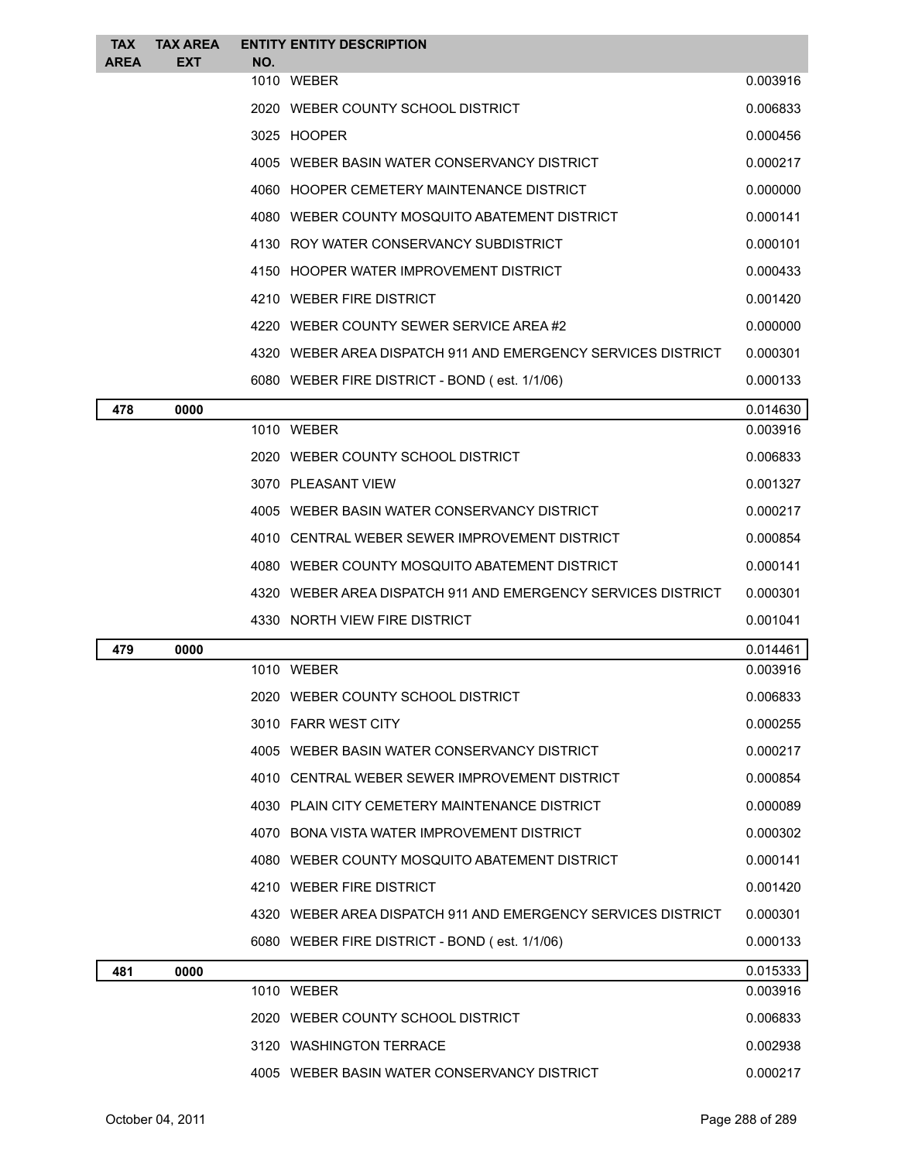| <b>TAX</b>  | <b>TAX AREA</b> | <b>ENTITY ENTITY DESCRIPTION</b>                             |          |
|-------------|-----------------|--------------------------------------------------------------|----------|
| <b>AREA</b> | <b>EXT</b>      | NO.<br>1010 WEBER                                            | 0.003916 |
|             |                 | 2020 WEBER COUNTY SCHOOL DISTRICT                            | 0.006833 |
|             |                 | 3025 HOOPER                                                  | 0.000456 |
|             |                 | 4005 WEBER BASIN WATER CONSERVANCY DISTRICT                  | 0.000217 |
|             |                 | 4060 HOOPER CEMETERY MAINTENANCE DISTRICT                    | 0.000000 |
|             |                 | 4080 WEBER COUNTY MOSQUITO ABATEMENT DISTRICT                | 0.000141 |
|             |                 | 4130 ROY WATER CONSERVANCY SUBDISTRICT                       | 0.000101 |
|             |                 | 4150 HOOPER WATER IMPROVEMENT DISTRICT                       | 0.000433 |
|             |                 | 4210 WEBER FIRE DISTRICT                                     | 0.001420 |
|             |                 | 4220 WEBER COUNTY SEWER SERVICE AREA#2                       | 0.000000 |
|             |                 | 4320 WEBER AREA DISPATCH 911 AND EMERGENCY SERVICES DISTRICT | 0.000301 |
|             |                 | 6080 WEBER FIRE DISTRICT - BOND (est. 1/1/06)                | 0.000133 |
| 478         | 0000            |                                                              | 0.014630 |
|             |                 | 1010 WEBER                                                   | 0.003916 |
|             |                 | 2020 WEBER COUNTY SCHOOL DISTRICT                            | 0.006833 |
|             |                 | 3070 PLEASANT VIEW                                           | 0.001327 |
|             |                 | 4005 WEBER BASIN WATER CONSERVANCY DISTRICT                  | 0.000217 |
|             |                 | 4010 CENTRAL WEBER SEWER IMPROVEMENT DISTRICT                | 0.000854 |
|             |                 | 4080 WEBER COUNTY MOSQUITO ABATEMENT DISTRICT                | 0.000141 |
|             |                 | 4320 WEBER AREA DISPATCH 911 AND EMERGENCY SERVICES DISTRICT | 0.000301 |
|             |                 | 4330 NORTH VIEW FIRE DISTRICT                                | 0.001041 |
| 479         | 0000            |                                                              | 0.014461 |
|             |                 | 1010 WEBER                                                   | 0.003916 |
|             |                 | 2020 WEBER COUNTY SCHOOL DISTRICT                            | 0.006833 |
|             |                 | 3010 FARR WEST CITY                                          | 0.000255 |
|             |                 | 4005 WEBER BASIN WATER CONSERVANCY DISTRICT                  | 0.000217 |
|             |                 | 4010 CENTRAL WEBER SEWER IMPROVEMENT DISTRICT                | 0.000854 |
|             |                 | 4030 PLAIN CITY CEMETERY MAINTENANCE DISTRICT                | 0.000089 |
|             |                 | 4070 BONA VISTA WATER IMPROVEMENT DISTRICT                   | 0.000302 |
|             |                 | 4080 WEBER COUNTY MOSQUITO ABATEMENT DISTRICT                | 0.000141 |
|             |                 | 4210 WEBER FIRE DISTRICT                                     | 0.001420 |
|             |                 | 4320 WEBER AREA DISPATCH 911 AND EMERGENCY SERVICES DISTRICT | 0.000301 |
|             |                 | 6080 WEBER FIRE DISTRICT - BOND (est. 1/1/06)                | 0.000133 |
| 481         | 0000            |                                                              | 0.015333 |
|             |                 | 1010 WEBER                                                   | 0.003916 |
|             |                 | 2020 WEBER COUNTY SCHOOL DISTRICT                            | 0.006833 |
|             |                 | 3120 WASHINGTON TERRACE                                      | 0.002938 |
|             |                 | 4005 WEBER BASIN WATER CONSERVANCY DISTRICT                  | 0.000217 |